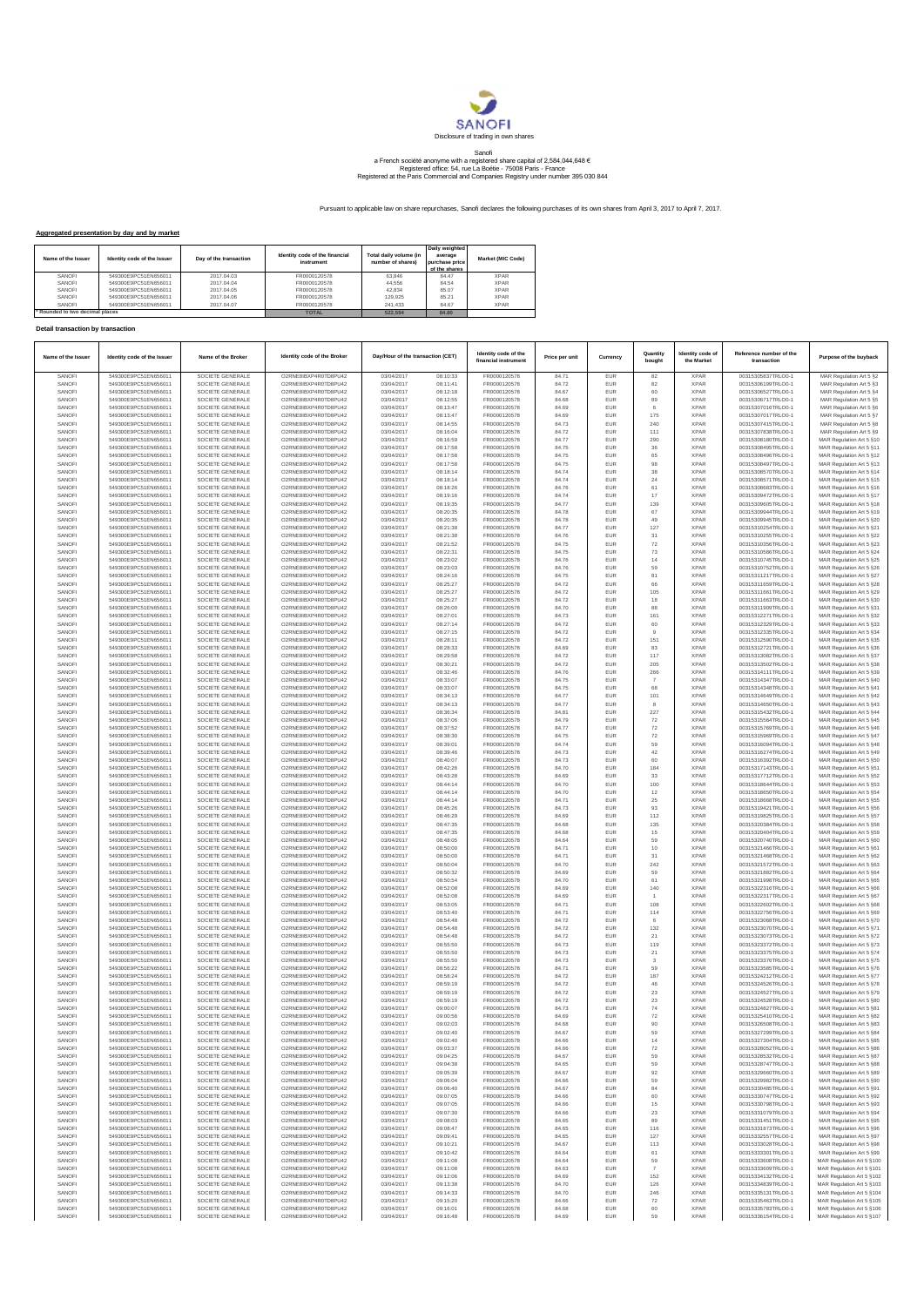

## Sanofi<br>a French société anonyme with a registered share capital of 2,584,044,648 €<br>Registered office: 54, rue La Boétie - 75008 Paris - France<br>Registered at the Paris Commercial and Companies Registry under number 395 030

Pursuant to applicable law on share repurchases, Sanofi declares the following purchases of its own shares from April 3, 2017 to April 7, 2017.

## **Aggregated presentation by day and by market**

| Name of the Issuer            | Identity code of the Issuer | Day of the transaction | Identity code of the financial<br>instrument | Total daily volume (in<br>number of shares) | Daily weighted<br>average<br>purchase price<br>of the shares | Market (MIC Code) |
|-------------------------------|-----------------------------|------------------------|----------------------------------------------|---------------------------------------------|--------------------------------------------------------------|-------------------|
| SANOFL                        | 549300E9PC51EN656011        | 2017.04.03             | FR0000120578                                 | 63.846                                      | 84 47                                                        | <b>XPAR</b>       |
| SANOFL                        | 549300E9PC51EN656011        | 2017.04.04             | FR0000120578                                 | 44.556                                      | 84.54                                                        | <b>XPAR</b>       |
| SANOFL                        | 549300E9PC51EN656011        | 2017.04.05             | FR0000120578                                 | 42.834                                      | 85.07                                                        | <b>XPAR</b>       |
| SANOFL                        | 549300E9PC51EN656011        | 2017.04.06             | FR0000120578                                 | 129.925                                     | 85.21                                                        | <b>XPAR</b>       |
| SANOFL                        | 549300E9PC51EN656011        | 2017.04.07             | FR0000120578                                 | 241.433                                     | 84.67                                                        | <b>XPAR</b>       |
| Rounded to two decimal places |                             |                        | <b>TOTAL</b>                                 | 522.594                                     | 84,80                                                        |                   |

## **Detail transaction by transaction**

| Name of the Issuer | Identity code of the Issuer                  | Name of the Broker                   | Identity code of the Broker                  | Day/Hour of the transaction (CET) |                      | Identity code of the<br>financial instrumen | Price per unit | Currency          | Quantity<br>bought       | Identity code of<br>the Market | Reference number of the<br>transaction   | Purpose of the buyback                                 |
|--------------------|----------------------------------------------|--------------------------------------|----------------------------------------------|-----------------------------------|----------------------|---------------------------------------------|----------------|-------------------|--------------------------|--------------------------------|------------------------------------------|--------------------------------------------------------|
| SANOFI             | 549300E9PC51EN656011                         | SOCIETE GENERALE                     | O2RNE8IBXP4R0TD8PU42                         | 03/04/2017                        | 08:10:33             | FR0000120578                                | 84.71          | EUR               | 82                       | <b>XPAR</b>                    | 00315305837TRLO0-1                       | MAR Regulation Art 5 §2                                |
| SANOFI<br>SANOFI   | 549300E9PC51EN656011<br>549300E9PC51EN656011 | SOCIETE GENERALE<br>SOCIETE GENERALE | O2RNE8IBXP4R0TD8PU42<br>O2RNE8IBXP4R0TD8PU42 | 03/04/2017<br>03/04/2017          | 08:11:41<br>08:12:18 | FR0000120578<br>FR0000120578                | 84.72<br>84.67 | EUR<br><b>EUR</b> | 82<br>60                 | <b>XPAR</b><br><b>XPAR</b>     | 00315306199TRLO0-1<br>00315306527TRLO0-1 | MAR Regulation Art 5 §3<br>MAR Regulation Art 5 §4     |
| SANOFI             | 549300E9PC51EN656011                         | SOCIETE GENERALE                     | O2RNE8IBXP4R0TD8PU42                         | 03/04/2017                        | 08:12:55             | FR0000120578                                | 84.68          | EUR               | 89                       | <b>XPAR</b>                    | 00315306717TRLO0-1                       | MAR Regulation Art 5 §5                                |
| SANOFI             | 549300E9PC51EN656011                         | SOCIETE GENERALE                     | O2RNE8IBXP4R0TD8PU42                         | 03/04/2017                        | 08:13:47             | FR0000120578                                | 84.69          | <b>EUR</b>        | 6                        | <b>XPAR</b>                    | 00315307016TRLO0-1                       | MAR Regulation Art 5 §6                                |
| SANOFI<br>SANOFI   | 549300E9PC51EN656011<br>549300E9PC51EN656011 | SOCIETE GENERALE<br>SOCIETE GENERALE | O2RNE8IBXP4R0TD8PU42<br>O2RNE8IBXP4R0TD8PU42 | 03/04/2017<br>03/04/2017          | 08:13:47<br>08:14:55 | FR0000120578<br>FR0000120578                | 84.69<br>84.73 | EUR<br>EUR        | 175<br>240               | <b>XPAR</b><br><b>XPAR</b>     | 00315307017TRLO0-1<br>00315307415TRLO0-1 | MAR Regulation Art 5 §7<br>MAR Regulation Art 5 §8     |
| SANOFI             | 549300E9PC51EN656011                         | SOCIETE GENERALE                     | O2RNE8IBXP4R0TD8PU42                         | 03/04/2017                        | 08:16:04             | FR0000120578                                | 84.72          | EUR               | 111                      | <b>XPAR</b>                    | 00315307838TRLO0-1                       | MAR Regulation Art 5 §9                                |
| SANOFI             | 549300E9PC51EN656011                         | SOCIETE GENERALE                     | O2RNE8IBXP4R0TD8PU42                         | 03/04/2017                        | 08:16:59             | FR0000120578                                | 84.77          | EUR               | 290                      | <b>XPAR</b>                    | 00315308180TRLO0-1                       | MAR Regulation Art 5 §10                               |
| SANOFI             | 549300E9PC51EN656011                         | SOCIETE GENERALE                     | O2RNE8IBXP4R0TD8PU42                         | 03/04/2017                        | 08:17:58             | FR0000120578                                | 84.75          | <b>EUR</b>        | 36                       | <b>XPAR</b>                    | 00315308495TRLO0-1                       | MAR Regulation Art 5 §11                               |
| SANOFI<br>SANOFI   | 549300E9PC51EN656011<br>549300E9PC51EN656011 | SOCIETE GENERALE<br>SOCIETE GENERALE | O2RNE8IBXP4R0TD8PU42<br>O2RNE8IBXP4R0TD8PU42 | 03/04/2017<br>03/04/2017          | 08:17:58<br>08:17:58 | FR0000120578<br>FR0000120578                | 84.75<br>84.75 | EUR<br><b>EUR</b> | 65<br>98                 | <b>XPAR</b><br><b>XPAR</b>     | 00315308496TRLO0-1<br>00315308497TRLO0-1 | MAR Regulation Art 5 §12<br>MAR Regulation Art 5 §13   |
| SANOFI             | 549300E9PC51EN656011                         | SOCIETE GENERALE                     | O2RNE8IBXP4R0TD8PU42                         | 03/04/2017                        | 08:18:14             | FR0000120578                                | 84.74          | EUR               | 38                       | <b>XPAR</b>                    | 00315308570TRLO0-1                       | MAR Regulation Art 5 §14                               |
| SANOFI             | 549300E9PC51EN656011                         | SOCIETE GENERALE                     | O2RNE8IBXP4R0TD8PU42                         | 03/04/2017                        | 08:18:14             | FR0000120578                                | 84.74          | EUR               | $\bf 24$                 | <b>XPAR</b>                    | 00315308571TRLO0-1                       | MAR Regulation Art 5 §15                               |
| SANOFI<br>SANOFI   | 549300E9PC51EN656011<br>549300E9PC51EN656011 | SOCIETE GENERALE<br>SOCIETE GENERALE | O2RNE8IBXP4R0TD8PU42<br>O2RNE8IBXP4R0TD8PU42 | 03/04/2017<br>03/04/2017          | 08:18:26<br>08:19:16 | FR0000120578<br>FR0000120578                | 84.76<br>84.74 | EUR<br>EUR        | 61<br>$17\,$             | <b>XPAR</b><br><b>XPAR</b>     | 00315308683TRLO0-1<br>00315309472TRLO0-1 | MAR Regulation Art 5 §16<br>MAR Regulation Art 5 §17   |
| SANOFI             | 549300E9PC51EN656011                         | SOCIETE GENERALE                     | O2RNE8IBXP4R0TD8PU42                         | 03/04/2017                        | 08:19:35             | FR0000120578                                | 84.77          | EUR               | 139                      | <b>XPAR</b>                    | 00315309605TRLO0-1                       | MAR Regulation Art 5 §18                               |
| SANOFI             | 549300E9PC51EN656011                         | SOCIETE GENERALE                     | O2RNE8IBXP4R0TD8PU42                         | 03/04/2017                        | 08:20:35             | FR0000120578                                | 84.78          | EUR               | $67\,$                   | <b>XPAR</b>                    | 00315309944TRLO0-1                       | MAR Regulation Art 5 §19                               |
| SANOFI             | 549300E9PC51EN656011                         | SOCIETE GENERALE                     | O2RNE8IBXP4R0TD8PU42                         | 03/04/2017                        | 08:20:35             | FR0000120578                                | 84.78          | <b>EUR</b>        | 49                       | <b>XPAR</b>                    | 00315309945TRLO0-1                       | MAR Regulation Art 5 §20                               |
| SANOFI<br>SANOFI   | 549300E9PC51EN656011<br>549300E9PC51EN656011 | SOCIETE GENERALE<br>SOCIETE GENERALE | O2RNE8IBXP4R0TD8PU42<br>O2RNE8IBXP4R0TD8PU42 | 03/04/2017<br>03/04/2017          | 08:21:38<br>08:21:38 | FR0000120578<br>FR0000120578                | 84.77<br>84.76 | EUR<br><b>EUR</b> | 127<br>31                | <b>XPAR</b><br><b>XPAR</b>     | 00315310254TRLO0-1<br>00315310255TRLO0-1 | MAR Regulation Art 5 §21<br>MAR Regulation Art 5 §22   |
| SANOFI             | 549300E9PC51EN656011                         | SOCIETE GENERALE                     | O2RNE8IBXP4R0TD8PU42                         | 03/04/2017                        | 08:21:52             | FR0000120578                                | 84.75          | EUR               | $\scriptstyle{72}$       | <b>XPAR</b>                    | 00315310356TRLO0-1                       | MAR Regulation Art 5 §23                               |
| SANOFI             | 549300E9PC51EN656011                         | SOCIETE GENERALE                     | O2RNE8IBXP4R0TD8PU42                         | 03/04/2017                        | 08:22:31             | FR0000120578                                | 84.75          | EUR               | 73                       | <b>XPAR</b>                    | 00315310586TRLO0-1                       | MAR Regulation Art 5 §24                               |
| SANOFI             | 549300E9PC51EN656011                         | SOCIETE GENERALE                     | O2RNE8IBXP4R0TD8PU42                         | 03/04/2017                        | 08:23:02             | FR0000120578                                | 84.76          | EUR               | $14$                     | <b>XPAR</b>                    | 00315310745TRLO0-1                       | MAR Regulation Art 5 §25                               |
| SANOFI<br>SANOFI   | 549300E9PC51EN656011<br>549300E9PC51EN656011 | SOCIETE GENERALE<br>SOCIETE GENERALE | O2RNE8IBXP4R0TD8PU42<br>O2RNE8IBXP4R0TD8PU42 | 03/04/2017<br>03/04/2017          | 08:23:03<br>08:24:16 | FR0000120578<br>FR0000120578                | 84.76<br>84.75 | EUR<br>EUR        | 59<br>81                 | <b>XPAR</b><br><b>XPAR</b>     | 00315310752TRLO0-1<br>00315311217TRLO0-1 | MAR Regulation Art 5 §26<br>MAR Regulation Art 5 §27   |
| SANOFI             | 549300E9PC51EN656011                         | SOCIETE GENERALE                     | O2RNE8IBXP4R0TD8PU42                         | 03/04/2017                        | 08:25:27             | FR0000120578                                | 84.72          | EUR               | 66                       | <b>XPAR</b>                    | 00315311659TRLO0-1                       | MAR Regulation Art 5 §28                               |
| SANOFI             | 549300E9PC51EN656011                         | SOCIETE GENERALE                     | O2RNE8IBXP4R0TD8PU42                         | 03/04/2017                        | 08:25:27             | FR0000120578                                | 84.72          | <b>EUR</b>        | 105                      | <b>XPAR</b>                    | 00315311661TRLO0-1                       | MAR Regulation Art 5 §29                               |
| SANOFI             | 549300E9PC51EN656011                         | SOCIETE GENERALE                     | O2RNE8IBXP4R0TD8PU42                         | 03/04/2017                        | 08:25:27             | FR0000120578                                | 84.72          | EUR               | 18                       | <b>XPAR</b>                    | 00315311663TRLO0-1                       | MAR Regulation Art 5 §30                               |
| SANOFI<br>SANOFI   | 549300E9PC51EN656011<br>549300E9PC51EN656011 | SOCIETE GENERALE<br>SOCIETE GENERALE | O2RNE8IBXP4R0TD8PU42<br>O2RNE8IBXP4R0TD8PU42 | 03/04/2017<br>03/04/2017          | 08:26:00<br>08:27:01 | FR0000120578<br>FR0000120578                | 84.70<br>84.73 | <b>EUR</b><br>EUR | 88<br>161                | <b>XPAR</b><br><b>XPAR</b>     | 00315311909TRLO0-1<br>00315312271TRLO0-1 | MAR Regulation Art 5 §31<br>MAR Regulation Art 5 §32   |
| SANOFI             | 549300E9PC51EN656011                         | SOCIETE GENERALE                     | O2RNE8IBXP4R0TD8PU42                         | 03/04/2017                        | 08:27:14             | FR0000120578                                | 84.72          | EUR               | 60                       | <b>XPAR</b>                    | 00315312329TRLO0-1                       | MAR Regulation Art 5 §33                               |
| SANOFI             | 549300E9PC51EN656011                         | SOCIETE GENERALE                     | O2RNE8IBXP4R0TD8PU42                         | 03/04/2017                        | 08:27:15             | FR0000120578                                | 84.72          | EUR               | $\overline{9}$           | <b>XPAR</b>                    | 00315312335TRLO0-1                       | MAR Regulation Art 5 §34                               |
| SANOFI             | 549300E9PC51EN656011                         | SOCIETE GENERALE                     | O2RNE8IBXP4R0TD8PU42                         | 03/04/2017                        | 08:28:11             | FR0000120578                                | 84.72          | EUR               | 151                      | <b>XPAR</b>                    | 00315312590TRLO0-1                       | MAR Regulation Art 5 §35                               |
| SANOFI<br>SANOF    | 549300E9PC51EN656011<br>549300E9PC51EN656011 | SOCIETE GENERALE<br>SOCIETE GENERALE | O2RNE8IBXP4R0TD8PU42<br>O2RNE8IBXP4R0TD8PU42 | 03/04/2017<br>03/04/2017          | 08:28:33<br>08:29:58 | FR0000120578<br>FR0000120578                | 84.69<br>84.72 | EUR<br>EUR        | 83<br>117                | <b>XPAR</b><br><b>XPAR</b>     | 00315312721TRLO0-1<br>00315313082TRLO0-1 | MAR Regulation Art 5 §36<br>MAR Regulation Art 5 §37   |
| SANOFI             | 549300E9PC51EN656011                         | SOCIETE GENERALE                     | O2RNE8IBXP4R0TD8PU42                         | 03/04/2017                        | 08:30:21             | FR0000120578                                | 84.72          | <b>EUR</b>        | 205                      | <b>XPAR</b>                    | 00315313502TRLO0-1                       | MAR Regulation Art 5 §38                               |
| SANOFI             | 549300E9PC51EN656011                         | SOCIETE GENERALE                     | O2RNE8IBXP4R0TD8PU42                         | 03/04/2017                        | 08:32:46             | FR0000120578                                | 84.76          | EUR               | 266                      | <b>XPAR</b>                    | 00315314111TRLO0-1                       | MAR Regulation Art 5 §39                               |
| SANOFI             | 549300E9PC51EN656011                         | SOCIETE GENERALE                     | O2RNE8IBXP4R0TD8PU42                         | 03/04/2017                        | 08:33:07             | FR0000120578                                | 84.75          | EUR               | $\overline{7}$           | <b>XPAR</b>                    | 00315314347TRLO0-1                       | MAR Regulation Art 5 \$40                              |
| SANOFI<br>SANOFI   | 549300E9PC51EN656011<br>549300E9PC51EN656011 | SOCIETE GENERALE<br>SOCIETE GENERALE | O2RNE8IBXP4R0TD8PU42<br>O2RNE8IBXP4R0TD8PU42 | 03/04/2017<br>03/04/2017          | 08:33:07<br>08:34:13 | FR0000120578<br>FR0000120578                | 84.75<br>84.77 | EUR<br>EUR        | 68<br>101                | <b>XPAR</b><br><b>XPAR</b>     | 00315314348TRLO0-1<br>00315314649TRLO0-1 | MAR Regulation Art 5 §41<br>MAR Regulation Art 5 §42   |
| SANOFI             | 549300E9PC51EN656011                         | SOCIETE GENERALE                     | O2RNE8IBXP4R0TD8PU42                         | 03/04/2017                        | 08:34:13             | FR0000120578                                | 84.77          | EUR               |                          | <b>XPAR</b>                    | 00315314650TRLO0-1                       | MAR Regulation Art 5 §43                               |
| SANOFI             | 549300E9PC51EN656011                         | SOCIETE GENERALE                     | O2RNE8IBXP4R0TD8PU42                         | 03/04/2017                        | 08:36:34             | FR0000120578                                | 84.81          | EUR               | 227                      | <b>XPAR</b>                    | 00315315432TRLO0-1                       | MAR Regulation Art 5 §44                               |
| SANOFI<br>SANOFI   | 549300E9PC51EN656011<br>549300E9PC51EN656011 | SOCIETE GENERALE<br>SOCIETE GENERALE | O2RNE8IBXP4R0TD8PU42<br>O2RNE8IBXP4R0TD8PU42 | 03/04/2017<br>03/04/2017          | 08:37:06<br>08:37:52 | FR0000120578<br>FR0000120578                | 84.79<br>84.77 | <b>EUR</b><br>EUR | 72                       | <b>XPAR</b><br><b>XPAR</b>     | 00315315564TRLO0-1<br>00315315769TRLO0-1 | MAR Regulation Art 5 §45                               |
| SANOFI             | 549300E9PC51EN656011                         | SOCIETE GENERALE                     | O2RNE8IBXP4R0TD8PU42                         | 03/04/2017                        | 08:38:30             | FR0000120578                                | 84.75          | EUR               | $\scriptstyle{72}$<br>72 | <b>XPAR</b>                    | 00315315969TRLO0-1                       | MAR Regulation Art 5 §46<br>MAR Regulation Art 5 §47   |
| SANOFI             | 549300E9PC51EN656011                         | SOCIETE GENERALE                     | O2RNE8IBXP4R0TD8PU42                         | 03/04/2017                        | 08:39:01             | FR0000120578                                | 84.74          | EUR               | 59                       | <b>XPAR</b>                    | 00315316094TRLO0-1                       | MAR Regulation Art 5 §48                               |
| SANOFI             | 549300E9PC51EN656011                         | SOCIETE GENERALE                     | O2RNE8IBXP4R0TD8PU42                         | 03/04/2017                        | 08:39:46             | FR0000120578                                | 84.73          | EUR               | $42\,$                   | <b>XPAR</b>                    | 00315316274TRLO0-1                       | MAR Regulation Art 5 §49                               |
| SANOFI<br>SANOFI   | 549300E9PC51EN656011<br>549300E9PC51EN656011 | SOCIETE GENERALE<br>SOCIETE GENERALE | O2RNE8IBXP4R0TD8PU42<br>O2RNE8IBXP4R0TD8PU42 | 03/04/2017<br>03/04/2017          | 08:40:07<br>08:42:26 | FR0000120578<br>FR0000120578                | 84.73<br>84.70 | EUR<br>EUR        | 60<br>184                | <b>XPAR</b><br><b>XPAR</b>     | 00315316392TRLO0-1<br>00315317143TRLO0-1 | MAR Regulation Art 5 §50<br>MAR Regulation Art 5 §51   |
| SANOFI             | 549300E9PC51EN656011                         | SOCIETE GENERALE                     | O2RNE8IBXP4R0TD8PU42                         | 03/04/2017                        | 08:43:28             | FR0000120578                                | 84.69          | EUR               | $33\,$                   | <b>XPAR</b>                    | 00315317712TRLO0-1                       | MAR Regulation Art 5 §52                               |
| SANOFI             | 549300E9PC51EN656011                         | SOCIETE GENERALE                     | O2RNE8IBXP4R0TD8PU42                         | 03/04/2017                        | 08:44:14             | FR0000120578                                | 84.70          | EUR               | 100                      | <b>XPAR</b>                    | 00315318644TRLO0-1                       | MAR Regulation Art 5 §53                               |
| SANOFI             | 549300E9PC51EN656011                         | SOCIETE GENERALE                     | O2RNE8IBXP4R0TD8PU42                         | 03/04/2017                        | 08:44:14             | FR0000120578                                | 84.70          | <b>EUR</b>        | 12                       | <b>XPAR</b>                    | 00315318650TRLO0-1                       | MAR Regulation Art 5 §54                               |
| SANOFI<br>SANOFI   | 549300E9PC51EN656011<br>549300E9PC51EN656011 | SOCIETE GENERALE<br>SOCIETE GENERALE | O2RNE8IBXP4R0TD8PU42<br>O2RNE8IBXP4R0TD8PU42 | 03/04/2017<br>03/04/2017          | 08:44:14<br>08:45:26 | FR0000120578<br>FR0000120578                | 84.71<br>84.73 | EUR<br><b>EUR</b> | 25<br>93                 | <b>XPAR</b><br><b>XPAR</b>     | 00315318668TRLO0-1<br>00315319421TRLO0-1 | MAR Regulation Art 5 §55<br>MAR Regulation Art 5 §56   |
| SANOFI             | 549300E9PC51EN656011                         | SOCIETE GENERALE                     | O2RNE8IBXP4R0TD8PU42                         | 03/04/2017                        | 08:46:29             | FR0000120578                                | 84.69          | EUR               | 112                      | <b>XPAR</b>                    | 00315319825TRLO0-1                       | MAR Regulation Art 5 §57                               |
| SANOFI             | 549300E9PC51EN656011                         | SOCIETE GENERALE                     | O2RNE8IBXP4R0TD8PU42                         | 03/04/2017                        | 08:47:35             | FR0000120578                                | 84.68          | EUR               | 135                      | <b>XPAR</b>                    | 00315320384TRLO0-1                       | MAR Regulation Art 5 §58                               |
| SANOFI<br>SANOFI   | 549300E9PC51EN656011<br>549300E9PC51EN656011 | SOCIETE GENERALE<br>SOCIETE GENERALE | O2RNE8IBXP4R0TD8PU42<br>O2RNE8IBXP4R0TD8PU42 | 03/04/2017<br>03/04/2017          | 08:47:35<br>08:48:05 | FR0000120578<br>FR0000120578                | 84.68<br>84.64 | EUR<br>EUR        | $15\,$<br>59             | <b>XPAR</b><br><b>XPAR</b>     | 00315320404TRLO0-1<br>00315320740TRLO0-1 | MAR Regulation Art 5 §59<br>MAR Regulation Art 5 §60   |
| SANOFI             | 549300E9PC51EN656011                         | SOCIETE GENERALE                     | O2RNE8IBXP4R0TD8PU42                         | 03/04/2017                        | 08:50:00             | FR0000120578                                | 84.71          | EUR               | 10                       | <b>XPAR</b>                    | 00315321466TRLO0-1                       | MAR Regulation Art 5 §61                               |
| SANOFI             | 549300E9PC51EN656011                         | SOCIETE GENERALE                     | O2RNE8IBXP4R0TD8PU42                         | 03/04/2017                        | 08:50:00             | FR0000120578                                | 84.71          | EUR               | 31                       | <b>XPAR</b>                    | 00315321468TRLO0-1                       | MAR Regulation Art 5 §62                               |
| SANOFI             | 549300E9PC51EN656011                         | SOCIETE GENERALE                     | O2RNE8IBXP4R0TD8PU42                         | 03/04/2017                        | 08:50:04             | FR0000120578                                | 84.70          | <b>EUR</b>        | 242                      | <b>XPAR</b>                    | 00315321572TRLO0-1                       | MAR Regulation Art 5 §63                               |
| SANOFI<br>SANOFI   | 549300E9PC51EN656011<br>549300E9PC51EN656011 | SOCIETE GENERALE<br>SOCIETE GENERALE | O2RNE8IBXP4R0TD8PU42<br>O2RNE8IBXP4R0TD8PU42 | 03/04/2017<br>03/04/2017          | 08:50:32<br>08:50:54 | FR0000120578<br>FR0000120578                | 84.69<br>84.70 | EUR<br><b>EUR</b> | 59<br>61                 | <b>XPAR</b><br><b>XPAR</b>     | 00315321882TRLO0-1<br>00315321998TRLO0-1 | MAR Regulation Art 5 §64<br>MAR Regulation Art 5 §65   |
| SANOFI             | 549300E9PC51EN656011                         | SOCIETE GENERALE                     | O2RNE8IBXP4R0TD8PU42                         | 03/04/2017                        | 08:52:08             | FR0000120578                                | 84.69          | EUR               | 140                      | <b>XPAR</b>                    | 00315322316TRLO0-1                       | MAR Regulation Art 5 §66                               |
| SANOFI             | 549300E9PC51EN656011                         | SOCIETE GENERALE                     | O2RNE8IBXP4R0TD8PU42                         | 03/04/2017                        | 08:52:08             | FR0000120578                                | 84.69          | EUR               |                          | <b>XPAR</b>                    | 00315322317TRLO0-1                       | MAR Regulation Art 5 §67                               |
| SANOFI<br>SANOFI   | 549300E9PC51EN656011<br>549300E9PC51EN656011 | SOCIETE GENERALE<br>SOCIETE GENERALE | O2RNE8IBXP4R0TD8PU42<br>O2RNE8IBXP4R0TD8PU42 | 03/04/2017<br>03/04/2017          | 08:53:05<br>08:53:40 | FR0000120578<br>FR0000120578                | 84.71<br>84.71 | EUR<br>EUR        | 108<br>114               | <b>XPAR</b><br><b>XPAR</b>     | 00315322602TRLO0-1<br>00315322756TRLO0-1 | MAR Regulation Art 5 §68<br>MAR Regulation Art 5 §69   |
| SANOFI             | 549300E9PC51EN656011                         | SOCIETE GENERALE                     | O2RNE8IBXP4R0TD8PU42                         | 03/04/2017                        | 08:54:48             | FR0000120578                                | 84.72          | EUR               | 6                        | <b>XPAR</b>                    | 00315323068TRLO0-1                       | MAR Regulation Art 5 §70                               |
| SANOFI             | 549300E9PC51EN656011                         | SOCIETE GENERALE                     | O2RNE8IBXP4R0TD8PU42                         | 03/04/2017                        | 08:54:48             | FR0000120578                                | 84.72          | EUR               | 132                      | <b>XPAR</b>                    | 00315323070TRLO0-1                       | MAR Regulation Art 5 §71                               |
| SANOFI             | 549300E9PC51EN656011                         | SOCIETE GENERALE                     | O2RNE8IBXP4R0TD8PU42<br>O2RNE8IBXP4R0TD8PU42 | 03/04/2017                        | 08:54:48             | FR0000120578                                | 84.72          | <b>EUR</b>        | 21                       | <b>XPAR</b>                    | 00315323073TRLO0-1                       | MAR Regulation Art 5 §72<br>MAR Regulation Art 5 §73   |
| SANOFI<br>SANOFI   | 549300E9PC51EN656011<br>549300E9PC51EN656011 | SOCIETE GENERALE<br>SOCIETE GENERALE | O2RNE8IBXP4R0TD8PU42                         | 03/04/2017<br>03/04/2017          | 08:55:50<br>08:55:50 | FR0000120578<br>FR0000120578                | 84.73<br>84.73 | EUR<br><b>EUR</b> | 119<br>21                | <b>XPAR</b><br><b>XPAR</b>     | 00315323372TRLO0-1<br>00315323375TRLO0-1 | MAR Regulation Art 5 \$74                              |
| SANOFI             | 549300E9PC51EN656011                         | SOCIETE GENERALE                     | O2RNE8IBXP4R0TD8PU42                         | 03/04/2017                        | 08:55:50             | FR0000120578                                | 84.73          | EUR               | 3                        | <b>XPAR</b>                    | 00315323376TRLO0-1                       | MAR Regulation Art 5 §75                               |
| SANOFI             | 549300E9PC51EN656011                         | SOCIETE GENERALE                     | O2RNE8IBXP4R0TD8PU42                         | 03/04/2017                        | 08:56:22             | FR0000120578                                | 84.71          | EUR               | 59                       | <b>XPAR</b>                    | 00315323585TRLO0-1                       | MAR Regulation Art 5 §76                               |
| SANOFI<br>SANOFI   | 549300E9PC51EN656011<br>549300E9PC51EN656011 | SOCIETE GENERALE<br>SOCIETE GENERALE | O2RNE8IBXP4R0TD8PU42<br>O2RNE8IBXP4R0TD8PU42 | 03/04/2017<br>03/04/2017          | 08:58:24<br>08:59:19 | FR0000120578<br>FR0000120578                | 84.72<br>84.72 | EUR<br>EUR        | 187<br>46                | <b>XPAR</b><br><b>XPAR</b>     | 00315324212TRLO0-1<br>00315324526TRLO0-1 | MAR Regulation Art 5 §77<br>MAR Regulation Art 5 §78   |
| SANOFI             | 549300E9PC51EN656011                         | SOCIETE GENERALE                     | O2RNE8IBXP4R0TD8PU42                         | 03/04/2017                        | 08:59:19             | FR0000120578                                | 84.72          | <b>EUR</b>        | 23                       | <b>XPAR</b>                    | 00315324527TRLO0-1                       | MAR Regulation Art 5 §79                               |
| SANOFI             | 549300E9PC51EN656011                         | SOCIETE GENERALE                     | O2RNE8IBXP4R0TD8PU42                         | 03/04/2017                        | 08:59:19             | FR0000120578                                | 84.72          | EUR               | 23                       | <b>XPAR</b>                    | 00315324528TRLO0-1                       | MAR Regulation Art 5 §80                               |
| SANOFI             | 549300E9PC51EN656011                         | SOCIETE GENERALE                     | O2RNE8IBXP4R0TD8PU42                         | 03/04/2017                        | 09:00:07             | FR0000120578                                | 84.73          | <b>EUR</b>        | 74                       | <b>XPAR</b>                    | 00315324827TRLO0-1                       | MAR Regulation Art 5 §81                               |
| SANOFI<br>SANOFI   | 549300E9PC51EN656011<br>549300E9PC51EN656011 | SOCIETE GENERALE<br>SOCIETE GENERALE | O2RNE8IBXP4R0TD8PU42<br>O2RNE8IBXP4R0TD8PU42 | 03/04/2017<br>03/04/2017          | 09:00:56<br>09:02:03 | FR0000120578<br>FR0000120578                | 84.69<br>84.68 | EUR<br><b>EUR</b> | 72<br>90                 | <b>XPAR</b><br><b>XPAR</b>     | 00315325410TRLO0-1<br>00315326508TRLO0-1 | MAR Regulation Art 5 §82<br>MAR Regulation Art 5 §83   |
| SANOFI             | 549300E9PC51EN656011                         | SOCIETE GENERALE                     | O2RNE8IBXP4R0TD8PU42                         | 03/04/2017                        | 09:02:40             | FR0000120578                                | 84.67          | EUR               | 59                       | <b>XPAR</b>                    | 00315327299TRLO0-1                       | MAR Regulation Art 5 §84                               |
| SANOFI             | 549300E9PC51EN656011                         | SOCIETE GENERALE                     | O2RNE8IBXP4R0TD8PU42                         | 03/04/2017                        | 09:02:40             | FR0000120578                                | 84.66          | <b>EUR</b>        | 14                       | <b>XPAR</b>                    | 00315327304TRLO0-1                       | MAR Regulation Art 5 §85                               |
| SANOFI<br>SANOFI   | 549300E9PC51EN656011<br>549300E9PC51EN656011 | SOCIETE GENERALE<br>SOCIETE GENERALE | O2RNE8IBXP4R0TD8PU42<br>O2RNE8IBXP4R0TD8PU42 | 03/04/2017<br>03/04/2017          | 09:03:37<br>09:04:25 | FR0000120578<br>FR0000120578                | 84.66<br>84.67 | EUR<br>EUR        | 72<br>59                 | <b>XPAR</b><br><b>XPAR</b>     | 00315328052TRLO0-1<br>00315328532TRLO0-1 | MAR Regulation Art 5 §86<br>MAR Regulation Art 5 §87   |
| SANOFI             | 549300E9PC51EN656011                         | SOCIETE GENERALE                     | O2RNE8IBXP4R0TD8PU42                         | 03/04/2017                        | 09:04:38             | FR0000120578                                | 84.65          | <b>EUR</b>        | 59                       | <b>XPAR</b>                    | 00315328747TRLO0-1                       | MAR Regulation Art 5 §88                               |
| SANOFI             | 549300E9PC51EN656011                         | SOCIETE GENERALE                     | O2RNE8IBXP4R0TD8PU42                         | 03/04/2017                        | 09:05:39             | FR0000120578                                | 84.67          | EUR               | 92                       | <b>XPAR</b>                    | 00315329660TRLO0-1                       | MAR Regulation Art 5 §89                               |
| SANOFI             | 549300E9PC51EN656011                         | SOCIETE GENERALE                     | O2RNE8IBXP4R0TD8PU42                         | 03/04/2017                        | 09:06:04             | FR0000120578                                | 84.66          | EUR               | 59                       | <b>XPAR</b>                    | 00315329982TRLO0-1                       | MAR Regulation Art 5 §90                               |
| SANOFI<br>SANOFI   | 549300E9PC51EN656011<br>549300E9PC51EN656011 | SOCIETE GENERALE<br>SOCIETE GENERALE | O2RNE8IBXP4R0TD8PU42<br>O2RNE8IBXP4R0TD8PU42 | 03/04/2017<br>03/04/2017          | 09:06:40<br>09:07:05 | FR0000120578<br>FR0000120578                | 84.67<br>84.66 | EUR<br>EUR        | 84<br>60                 | <b>XPAR</b><br><b>XPAR</b>     | 00315330485TRLO0-1<br>00315330747TRLO0-1 | MAR Regulation Art 5 §91<br>MAR Regulation Art 5 §92   |
| SANOFI             | 549300E9PC51EN656011                         | SOCIETE GENERALE                     | O2RNE8IBXP4R0TD8PU42                         | 03/04/2017                        | 09:07:05             | FR0000120578                                | 84.66          | EUR               | 15                       | <b>XPAR</b>                    | 00315330798TRLO0-1                       | MAR Regulation Art 5 §93                               |
| SANOFI             | 549300E9PC51EN656011                         | SOCIETE GENERALE                     | O2RNE8IBXP4R0TD8PU42                         | 03/04/2017                        | 09:07:30             | FR0000120578                                | 84.66          | EUR               | $23\,$                   | <b>XPAR</b>                    | 00315331079TRLO0-1                       | MAR Regulation Art 5 §94                               |
| SANOFI             | 549300E9PC51EN656011<br>549300E9PC51EN656011 | SOCIETE GENERALE                     | O2RNE8IBXP4R0TD8PU42                         | 03/04/2017                        | 09:08:03             | FR0000120578<br>FR0000120578                | 84.65          | EUR               | 89                       | <b>XPAR</b>                    | 00315331451TRLO0-1                       | MAR Regulation Art 5 §95                               |
| SANOFI<br>SANOFI   | 549300E9PC51EN656011                         | SOCIETE GENERALE<br>SOCIETE GENERALE | O2RNE8IBXP4R0TD8PU42<br>O2RNE8IBXP4R0TD8PU42 | 03/04/2017<br>03/04/2017          | 09:08:47<br>09:09:41 | FR0000120578                                | 84.65<br>84.65 | EUR<br>EUR        | 116<br>127               | <b>XPAR</b><br><b>XPAR</b>     | 00315331873TRLO0-1<br>00315332557TRLO0-1 | MAR Regulation Art 5 §96<br>MAR Regulation Art 5 §97   |
| SANOFI             | 549300E9PC51EN656011                         | SOCIETE GENERALE                     | O2RNE8IBXP4R0TD8PU42                         | 03/04/2017                        | 09:10:21             | FR0000120578                                | 84.67          | EUR               | 113                      | <b>XPAR</b>                    | 00315333028TRLO0-1                       | MAR Regulation Art 5 §98                               |
| SANOFI             | 549300E9PC51EN656011                         | SOCIETE GENERALE                     | O2RNE8IBXP4R0TD8PU42                         | 03/04/2017                        | 09:10:42             | FR0000120578                                | 84.64          | <b>EUR</b>        | 61                       | <b>XPAR</b>                    | 00315333301TRLO0-1                       | MAR Regulation Art 5 §99                               |
| SANOFI<br>SANOFI   | 549300E9PC51EN656011<br>549300E9PC51EN656011 | SOCIETE GENERALE<br>SOCIETE GENERALE | O2RNE8IBXP4R0TD8PU42<br>O2RNE8IBXP4R0TD8PU42 | 03/04/2017<br>03/04/2017          | 09:11:08<br>09:11:08 | FR0000120578<br>FR0000120578                | 84.64<br>84.63 | EUR<br>EUR        | 59                       | <b>XPAR</b><br><b>XPAR</b>     | 00315333608TRLO0-1<br>00315333609TRLO0-1 | MAR Regulation Art 5 §100<br>MAR Regulation Art 5 §101 |
| SANOFI             | 549300E9PC51EN656011                         | SOCIETE GENERALE                     | O2RNE8IBXP4R0TD8PU42                         | 03/04/2017                        | 09:12:06             | FR0000120578                                | 84.69          | EUR               | 152                      | <b>XPAR</b>                    | 00315334132TRLO0-1                       | MAR Regulation Art 5 §102                              |
| SANOFI             | 549300E9PC51EN656011                         | SOCIETE GENERALE                     | O2RNE8IBXP4R0TD8PU42                         | 03/04/2017                        | 09:13:38             | FR0000120578                                | 84.70          | EUR               | 126                      | <b>XPAR</b>                    | 00315334839TRLO0-1                       | MAR Regulation Art 5 §103                              |
| SANOFI             | 549300E9PC51EN656011                         | SOCIETE GENERALE                     | O2RNE8IBXP4R0TD8PU42<br>O2RNE8IBXP4R0TD8PU42 | 03/04/2017                        | 09:14:33             | FR0000120578<br>FR0000120578                | 84.70          | EUR               | 246                      | <b>XPAR</b>                    | 00315335131TRLO0-1                       | MAR Regulation Art 5 §104                              |
| SANOFI<br>SANOFI   | 549300E9PC51EN656011<br>549300E9PC51EN656011 | SOCIETE GENERALE<br>SOCIETE GENERALE | O2RNE8IBXP4R0TD8PU42                         | 03/04/2017<br>03/04/2017          | 09:15:20<br>09:16:01 | FR0000120578                                | 84.66<br>84.68 | EUR<br><b>EUR</b> | $\scriptstyle{72}$<br>60 | <b>XPAR</b><br><b>XPAR</b>     | 00315335463TRLO0-1<br>00315335783TRLO0-1 | MAR Regulation Art 5 §105<br>MAR Regulation Art 5 §106 |
| SANOFI             | 549300E9PC51EN656011                         | SOCIETE GENERALE                     | O2RNE8IBXP4R0TD8PU42                         | 03/04/2017                        | 09:16:48             | FR0000120578                                | 84.69          | EUR               | 59                       | <b>XPAR</b>                    | 00315336154TRLO0-1                       | MAR Regulation Art 5 §107                              |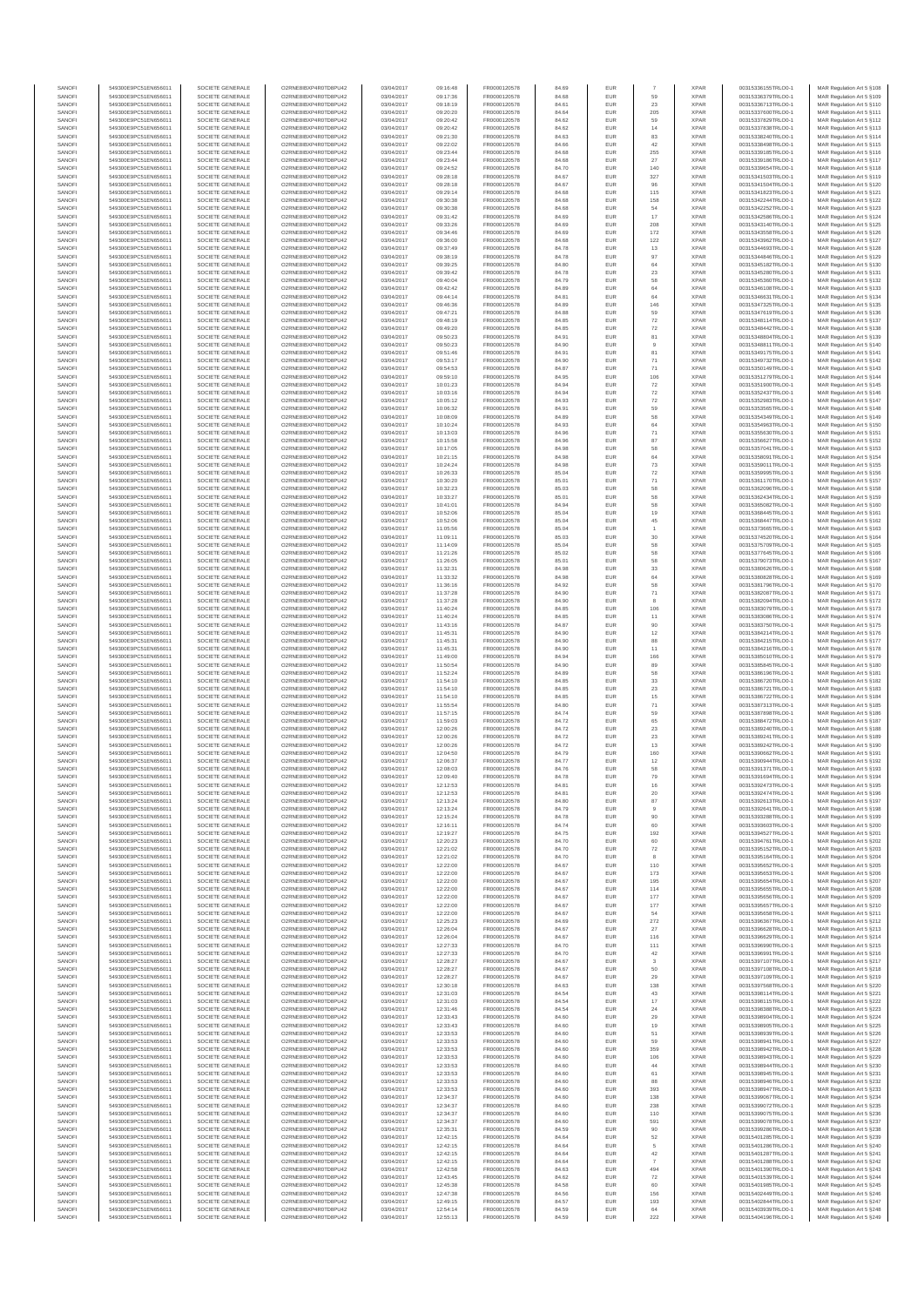| SANOFI<br>SANOFI | 549300E9PC51EN656011<br>549300E9PC51EN656011 | SOCIETE GENERALE<br>SOCIETE GENERALE | O2RNE8IBXP4R0TD8PLI42<br>O2RNE8IBXP4R0TD8PU42 | 03/04/2017<br>03/04/2017 | 09:16:48<br>09:17:36 | FR0000120578<br>FR0000120578 | 84.69<br>84.68 | <b>EUR</b><br><b>EUR</b> | 59                       | <b>XPAR</b><br><b>XPAR</b> | 00315336155TRLO0-1<br>00315336379TRLO0-1 | MAR Regulation Art 5 §108<br>MAR Regulation Art 5 §109  |
|------------------|----------------------------------------------|--------------------------------------|-----------------------------------------------|--------------------------|----------------------|------------------------------|----------------|--------------------------|--------------------------|----------------------------|------------------------------------------|---------------------------------------------------------|
| SANOFI           | 549300E9PC51EN656011                         | SOCIETE GENERALE                     | O2RNE8IBXP4R0TD8PU42                          | 03/04/2017               | 09:18:19             | FR0000120578                 | 84.61          | EUR                      | $23\,$                   | <b>XPAR</b>                | 00315336713TRLO0-1                       | MAR Regulation Art 5 §110                               |
| SANOFI           | 549300E9PC51EN656011                         | SOCIETE GENERALE                     | O2RNE8IBXP4R0TD8PU42                          | 03/04/2017               | 09:20:20             | FR0000120578                 | 84.64          | EUR                      | 205                      | <b>XPAR</b>                | 00315337600TRLO0-1                       | MAR Regulation Art 5 §111                               |
| SANOFI<br>SANOFI | 549300E9PC51EN656011<br>549300E9PC51EN656011 | SOCIETE GENERALE<br>SOCIETE GENERALE | O2RNE8IBXP4R0TD8PU42<br>O2RNE8IBXP4R0TD8PLI42 | 03/04/2017<br>03/04/2017 | 09:20:42<br>09:20:42 | FR0000120578<br>FR0000120578 | 84.62<br>84.62 | EUR<br><b>EUR</b>        | 59<br>14                 | <b>XPAR</b><br><b>XPAR</b> | 00315337829TRLO0-1<br>00315337838TRLO0-1 | MAR Regulation Art 5 §112<br>MAR Regulation Art 5 §113  |
| SANOFI           | 549300E9PC51EN656011                         | SOCIETE GENERALE                     | O2RNE8IBXP4R0TD8PU42                          | 03/04/2017               | 09:21:30             | FR0000120578                 | 84.63          | EUR                      | 83                       | <b>XPAR</b>                | 00315338240TRLO0-1                       | MAR Regulation Art 5 §114                               |
| SANOFI           | 549300E9PC51EN656011                         | SOCIETE GENERALE                     | O2RNE8IBXP4R0TD8PU42                          | 03/04/2017               | 09:22:02             | FR0000120578                 | 84.66          | <b>EUR</b>               | 42                       | <b>XPAR</b>                | 00315338498TRLO0-1                       | MAR Regulation Art 5 §115                               |
| SANOFI           | 549300E9PC51EN656011                         | SOCIETE GENERALE                     | O2RNE8IBXP4R0TD8PU42                          | 03/04/2017               | 09:23:44             | FR0000120578                 | 84.68          | EUR                      | 255                      | <b>XPAR</b>                | 00315339185TRLO0-1                       | MAR Regulation Art 5 §116                               |
| SANOFI<br>SANOFI | 549300E9PC51EN656011<br>549300E9PC51EN656011 | SOCIETE GENERALE<br>SOCIETE GENERALE | O2RNE8IBXP4R0TD8PU42<br>O2RNE8IBXP4R0TD8PU42  | 03/04/2017<br>03/04/2017 | 09:23:44<br>09:24:52 | FR0000120578<br>FR0000120578 | 84.68<br>84.70 | EUR<br>EUR               | 27<br>140                | <b>XPAR</b><br><b>XPAR</b> | 00315339186TRLO0-1<br>00315339654TRLO0-1 | MAR Regulation Art 5 §117<br>MAR Regulation Art 5 §118  |
| SANOFI           | 549300E9PC51EN656011                         | SOCIETE GENERALE                     | O2RNE8IBXP4R0TD8PU42                          | 03/04/2017               | 09:28:18             | FR0000120578                 | 84.67          | EUR                      | 327                      | <b>XPAR</b>                | 00315341503TRLO0-1                       | MAR Regulation Art 5 §119                               |
| SANOFI           | 549300E9PC51EN656011                         | SOCIETE GENERALE                     | O2RNE8IBXP4R0TD8PU42                          | 03/04/2017               | 09:28:18             | FR0000120578                 | 84.67          | EUR                      | 96                       | <b>XPAR</b>                | 00315341504TRLO0-1                       | MAR Regulation Art 5 §120                               |
| SANOFI           | 549300E9PC51EN656011                         | SOCIETE GENERALE                     | O2RNE8IBXP4R0TD8PU42                          | 03/04/2017               | 09:29:14             | FR0000120578                 | 84.68          | EUR                      | 115                      | <b>XPAR</b>                | 00315341823TRLO0-1                       | MAR Regulation Art 5 §121                               |
| SANOFI<br>SANOFI | 549300E9PC51EN656011<br>549300E9PC51EN656011 | SOCIETE GENERALE<br>SOCIETE GENERALE | O2RNE8IBXP4R0TD8PU42<br>O2RNE8IBXP4R0TD8PU42  | 03/04/2017<br>03/04/2017 | 09:30:38<br>09:30:38 | FR0000120578<br>FR0000120578 | 84.68<br>84.68 | <b>EUR</b><br>EUR        | 158<br>54                | <b>XPAR</b><br><b>XPAR</b> | 00315342244TRLO0-1<br>00315342252TRLO0-1 | MAR Regulation Art 5 §122                               |
| SANOFI           | 549300E9PC51EN656011                         | SOCIETE GENERALE                     | O2RNE8IBXP4R0TD8PU42                          | 03/04/2017               | 09:31:42             | FR0000120578                 | 84.69          | <b>EUR</b>               | 17                       | <b>XPAR</b>                | 00315342586TRLO0-1                       | MAR Regulation Art 5 §123<br>MAR Regulation Art 5 §124  |
| SANOFI           | 549300E9PC51EN656011                         | SOCIETE GENERALE                     | O2RNE8IBXP4R0TD8PU42                          | 03/04/2017               | 09:33:26             | FR0000120578                 | 84.69          | EUR                      | 208                      | <b>XPAR</b>                | 00315343140TRLO0-1                       | MAR Regulation Art 5 §125                               |
| SANOFI           | 549300E9PC51EN656011                         | SOCIETE GENERALE                     | O2RNE8IBXP4R0TD8PU42                          | 03/04/2017               | 09:34:46             | FR0000120578                 | 84.69          | EUR                      | 172                      | <b>XPAR</b>                | 00315343558TRLO0-1                       | MAR Regulation Art 5 §126                               |
| SANOFI           | 549300E9PC51EN656011                         | SOCIETE GENERALE                     | O2RNE8IBXP4R0TD8PU42                          | 03/04/2017               | 09:36:00             | FR0000120578                 | 84.68          | EUR                      | 122                      | <b>XPAR</b>                | 00315343962TRLO0-1                       | MAR Regulation Art 5 §127                               |
| SANOFI           | 549300E9PC51EN656011                         | SOCIETE GENERALE                     | O2RNE8IBXP4R0TD8PU42                          | 03/04/2017               | 09:37:49             | FR0000120578                 | 84.78          | EUR                      | $13\,$                   | <b>XPAR</b>                | 00315344693TRLO0-1                       | MAR Regulation Art 5 §128                               |
| SANOFI           | 549300E9PC51EN656011                         | SOCIETE GENERALE                     | O2RNE8IBXP4R0TD8PU42                          | 03/04/2017               | 09:38:19             | FR0000120578                 | 84.78          | EUR                      | 97                       | <b>XPAR</b>                | 00315344846TRLO0-1                       | MAR Regulation Art 5 §129                               |
| SANOFI<br>SANOFI | 549300E9PC51EN656011<br>549300E9PC51EN656011 | SOCIETE GENERALE<br>SOCIETE GENERALE | O2RNE8IBXP4R0TD8PU42<br>O2RNE8IBXP4R0TD8PU42  | 03/04/2017<br>03/04/2017 | 09:39:25<br>09:39:42 | FR0000120578<br>FR0000120578 | 84.80<br>84.78 | EUR<br><b>EUR</b>        | 64<br>$23\,$             | <b>XPAR</b><br><b>XPAR</b> | 00315345182TRLO0-1<br>00315345280TRLO0-1 | MAR Regulation Art 5 §130<br>MAR Regulation Art 5 §131  |
| SANOFI           | 549300E9PC51EN656011                         | SOCIETE GENERALE                     | O2RNE8IBXP4R0TD8PU42                          | 03/04/2017               | 09:40:04             | FR0000120578                 | 84.79          | EUR                      | 58                       | <b>XPAR</b>                | 00315345360TRLO0-1                       | MAR Regulation Art 5 §132                               |
| SANOFI           | 549300E9PC51EN656011                         | SOCIETE GENERALE                     | O2RNE8IBXP4R0TD8PU42                          | 03/04/2017               | 09:42:42             | FR0000120578                 | 84.89          | EUR                      | 64                       | <b>XPAR</b>                | 00315346108TRLO0-1                       | MAR Regulation Art 5 §133                               |
| SANOFI           | 549300E9PC51EN656011                         | SOCIETE GENERALE                     | O2RNE8IBXP4R0TD8PU42                          | 03/04/2017               | 09:44:14             | FR0000120578                 | 84.81          | EUR                      | 64                       | <b>XPAR</b>                | 00315346631TRLO0-1                       | MAR Regulation Art 5 §134                               |
| SANOFI           | 549300E9PC51EN656011                         | SOCIETE GENERALE                     | O2RNE8IBXP4R0TD8PU42                          | 03/04/2017               | 09:46:36             | FR0000120578                 | 84.89          | EUR                      | 146                      | <b>XPAR</b>                | 00315347325TRLO0-1                       | MAR Regulation Art 5 §135                               |
| SANOFI<br>SANOFI | 549300E9PC51EN656011<br>549300E9PC51EN656011 | SOCIETE GENERALE<br>SOCIETE GENERALE | O2RNE8IBXP4R0TD8PU42<br>O2RNE8IBXP4R0TD8PU42  | 03/04/2017<br>03/04/2017 | 09:47:21<br>09:48:19 | FR0000120578<br>FR0000120578 | 84.88<br>84.85 | EUR<br>EUR               | 59<br>72                 | <b>XPAR</b><br><b>XPAR</b> | 00315347619TRLO0-1<br>00315348114TRLO0-1 | MAR Regulation Art 5 §136<br>MAR Regulation Art 5 §137  |
| SANOFI           | 549300E9PC51EN656011                         | SOCIETE GENERALE                     | O2RNE8IBXP4R0TD8PU42                          | 03/04/2017               | 09:49:20             | FR0000120578                 | 84.85          | EUR                      | $\scriptstyle{72}$       | <b>XPAR</b>                | 00315348442TRLO0-1                       | MAR Regulation Art 5 §138                               |
| SANOFI           | 549300E9PC51EN656011                         | SOCIETE GENERALE                     | O2RNE8IBXP4R0TD8PU42                          | 03/04/2017               | 09:50:23             | FR0000120578                 | 84.91          | EUR                      | 81                       | <b>XPAR</b>                | 00315348804TRLO0-1                       | MAR Regulation Art 5 §139                               |
| SANOFI           | 549300E9PC51EN656011                         | SOCIETE GENERALE                     | O2RNE8IBXP4R0TD8PU42                          | 03/04/2017               | 09:50:23             | FR0000120578                 | 84.90          | EUR                      | $_{9}$                   | <b>XPAR</b>                | 00315348811TRLO0-1                       | MAR Regulation Art 5 §140                               |
| SANOFI           | 549300E9PC51EN656011                         | SOCIETE GENERALE                     | O2RNE8IBXP4R0TD8PU42                          | 03/04/2017               | 09:51:46             | FR0000120578                 | 84.91          | EUR                      | 81                       | <b>XPAR</b>                | 00315349175TRLO0-1                       | MAR Regulation Art 5 §141                               |
| SANOFI<br>SANOFI | 549300E9PC51EN656011<br>549300E9PC51EN656011 | SOCIETE GENERALE                     | O2RNE8IBXP4R0TD8PU42                          | 03/04/2017               | 09:53:17             | FR0000120578                 | 84.90          | <b>EUR</b>               | 71                       | <b>XPAR</b><br><b>XPAR</b> | 00315349732TRLO0-1                       | MAR Regulation Art 5 §142                               |
| SANOFI           | 549300E9PC51EN656011                         | SOCIETE GENERALE<br>SOCIETE GENERALE | O2RNE8IBXP4R0TD8PU42<br>O2RNE8IBXP4R0TD8PU42  | 03/04/2017<br>03/04/2017 | 09:54:53<br>09:59:10 | FR0000120578<br>FR0000120578 | 84.87<br>84.95 | EUR<br>EUR               | $71\,$<br>106            | <b>XPAR</b>                | 00315350149TRLO0-1<br>00315351279TRLO0-1 | MAR Regulation Art 5 §143<br>MAR Regulation Art 5 §144  |
| SANOFI           | 549300E9PC51EN656011                         | SOCIETE GENERALE                     | O2RNE8IBXP4R0TD8PU42                          | 03/04/2017               | 10:01:23             | FR0000120578                 | 84.94          | EUR                      | $\scriptstyle{72}$       | <b>XPAR</b>                | 00315351900TRLO0-1                       | MAR Regulation Art 5 §145                               |
| SANOFI           | 549300E9PC51EN656011                         | SOCIETE GENERALE                     | O2RNE8IBXP4R0TD8PU42                          | 03/04/2017               | 10:03:16             | FR0000120578                 | 84.94          | EUR                      | ${\bf 72}$               | <b>XPAR</b>                | 00315352437TRLO0-1                       | MAR Regulation Art 5 §146                               |
| SANOFI           | 549300E9PC51EN656011                         | SOCIETE GENERALE                     | O2RNE8IBXP4R0TD8PU42                          | 03/04/2017               | 10:05:12             | FR0000120578                 | 84.93          | EUR                      | $\scriptstyle{72}$       | <b>XPAR</b>                | 00315352983TRLO0-1                       | MAR Regulation Art 5 §147                               |
| SANOFI           | 549300E9PC51EN656011                         | SOCIETE GENERALE                     | O2RNE8IBXP4R0TD8PU42                          | 03/04/2017               | 10:06:32             | FR0000120578                 | 84.91          | EUR                      | 59                       | <b>XPAR</b>                | 00315353565TRLO0-1                       | MAR Regulation Art 5 §148<br>MAR Regulation Art 5 \$149 |
| SANOFI<br>SANOFI | 549300E9PC51EN656011<br>549300E9PC51EN656011 | SOCIETE GENERALE<br>SOCIETE GENERALE | O2RNE8IBXP4R0TD8PU42<br>O2RNE8IBXP4R0TD8PU42  | 03/04/2017<br>03/04/2017 | 10:08:09<br>10:10:24 | FR0000120578<br>FR0000120578 | 84.89<br>84.93 | <b>EUR</b><br>EUR        | 58<br>$64\,$             | <b>XPAR</b><br><b>XPAR</b> | 00315354349TRLO0-1<br>00315354963TRLO0-1 | MAR Regulation Art 5 §150                               |
| SANOFI           | 549300E9PC51EN656011                         | SOCIETE GENERALE                     | O2RNE8IBXP4R0TD8PU42                          | 03/04/2017               | 10:13:03             | FR0000120578                 | 84.96          | <b>EUR</b>               | 71                       | <b>XPAR</b>                | 00315355630TRLO0-1                       | MAR Regulation Art 5 \$151                              |
| SANOFI           | 549300E9PC51EN656011                         | SOCIETE GENERALE                     | O2RNE8IBXP4R0TD8PU42                          | 03/04/2017               | 10:15:58             | FR0000120578                 | 84.96          | EUR                      | $_{\rm 87}$              | <b>XPAR</b>                | 00315356627TRLO0-1                       | MAR Regulation Art 5 §152                               |
| SANOFI           | 549300E9PC51EN656011                         | SOCIETE GENERALE                     | O2RNE8IBXP4R0TD8PU42                          | 03/04/2017               | 10:17:05             | FR0000120578                 | 84.98          | EUR                      | 58                       | <b>XPAR</b>                | 00315357041TRLO0-1                       | MAR Regulation Art 5 §153                               |
| SANOFI           | 549300E9PC51EN656011                         | SOCIETE GENERALE<br>SOCIETE GENERALE | O2RNE8IBXP4R0TD8PU42<br>O2RNE8IBXP4R0TD8PU42  | 03/04/2017               | 10:21:15             | FR0000120578                 | 84.98          | EUR                      | 64                       | <b>XPAR</b>                | 00315358091TRLO0-1                       | MAR Regulation Art 5 §154                               |
| SANOFI<br>SANOFI | 549300E9PC51EN656011<br>549300E9PC51EN656011 | SOCIETE GENERALE                     | O2RNE8IBXP4R0TD8PLI42                         | 03/04/2017<br>03/04/2017 | 10:24:24<br>10:26:33 | FR0000120578<br>FR0000120578 | 84.98<br>85.04 | EUR<br><b>EUR</b>        | 73<br>$\scriptstyle{72}$ | <b>XPAR</b><br><b>XPAR</b> | 00315359011TRLO0-1<br>00315359995TRLO0-1 | MAR Regulation Art 5 §155<br>MAR Regulation Art 5 §156  |
| SANOFI           | 549300E9PC51EN656011                         | SOCIETE GENERALE                     | O2RNE8IBXP4R0TD8PU42                          | 03/04/2017               | 10:30:20             | FR0000120578                 | 85.01          | EUR                      | $71\,$                   | <b>XPAR</b>                | 00315361170TRLO0-1                       | MAR Regulation Art 5 §157                               |
| SANOFI           | 549300E9PC51EN656011                         | SOCIETE GENERALE                     | O2RNE8IBXP4R0TD8PU42                          | 03/04/2017               | 10:32:23             | FR0000120578                 | 85.03          | <b>EUR</b>               | 58                       | <b>XPAR</b>                | 00315362096TRLO0-1                       | MAR Regulation Art 5 §158                               |
| SANOFI           | 549300E9PC51EN656011                         | SOCIETE GENERALE                     | O2RNE8IBXP4R0TD8PU42                          | 03/04/2017               | 10:33:27             | FR0000120578                 | 85.01          | EUR                      | 58                       | <b>XPAR</b>                | 00315362434TRLO0-1                       | MAR Regulation Art 5 §159                               |
| SANOFI           | 549300E9PC51EN656011                         | SOCIETE GENERALE                     | O2RNE8IBXP4R0TD8PU42                          | 03/04/2017               | 10:41:01             | FR0000120578                 | 84.94          | EUR                      | 58                       | <b>XPAR</b>                | 00315365082TRLO0-1                       | MAR Regulation Art 5 §160                               |
| SANOFI<br>SANOFI | 549300E9PC51EN656011<br>549300E9PC51EN656011 | SOCIETE GENERALE<br>SOCIETE GENERALE | O2RNE8IBXP4R0TD8PU42<br>O2RNE8IBXP4R0TD8PU42  | 03/04/2017<br>03/04/2017 | 10:52:06<br>10:52:06 | FR0000120578<br>FR0000120578 | 85.04<br>85.04 | EUR<br>EUR               | 19<br>45                 | <b>XPAR</b><br><b>XPAR</b> | 00315368445TRLO0-1<br>00315368447TRLO0-1 | MAR Regulation Art 5 §161<br>MAR Regulation Art 5 §162  |
| SANOFI           | 549300E9PC51EN656011                         | SOCIETE GENERALE                     | O2RNE8IBXP4R0TD8PU42                          | 03/04/2017               | 11:05:56             | FR0000120578                 | 85.04          | EUR                      |                          | <b>XPAR</b>                | 00315373665TRLO0-1                       | MAR Regulation Art 5 §163                               |
| SANOFI           | 549300E9PC51EN656011                         | SOCIETE GENERALE                     | O2RNE8IBXP4R0TD8PU42                          | 03/04/2017               | 11:09:11             | FR0000120578                 | 85.03          | EUR                      | $30\,$                   | <b>XPAR</b>                | 00315374520TRLO0-1                       | MAR Regulation Art 5 §164                               |
| SANOFI           | 549300E9PC51EN656011                         | SOCIETE GENERALE                     | O2RNE8IBXP4R0TD8PU42                          | 03/04/2017               | 11:14:09             | FR0000120578                 | 85.04          | EUR                      | 58                       | <b>XPAR</b>                | 00315375709TRLO0-1                       | MAR Regulation Art 5 §165                               |
| SANOFI           | 549300E9PC51EN656011                         | SOCIETE GENERALE                     | O2RNE8IBXP4R0TD8PU42                          | 03/04/2017               | 11:21:26             | FR0000120578                 | 85.02          | EUR                      | 58                       | <b>XPAR</b>                | 00315377645TRLO0-1                       | MAR Regulation Art 5 §166                               |
| SANOFI           | 549300E9PC51EN656011                         | SOCIETE GENERALE                     | O2RNE8IBXP4R0TD8PU42                          | 03/04/2017               | 11:26:05             | FR0000120578                 | 85.01          | <b>EUR</b>               | 58                       | <b>XPAR</b>                | 00315379073TRLO0-1                       | MAR Regulation Art 5 §167                               |
| SANOFI<br>SANOFI | 549300E9PC51EN656011<br>549300E9PC51EN656011 | SOCIETE GENERALE<br>SOCIETE GENERALE | O2RNE8IBXP4R0TD8PU42<br>O2RNE8IBXP4R0TD8PU42  | 03/04/2017<br>03/04/2017 | 11:32:31<br>11:33:32 | FR0000120578<br>FR0000120578 | 84.98<br>84.98 | EUR<br>EUR               | 33<br>64                 | <b>XPAR</b><br><b>XPAR</b> | 00315380626TRLO0-1<br>00315380828TRLO0-1 | MAR Regulation Art 5 §168<br>MAR Regulation Art 5 §169  |
| SANOFI           | 549300E9PC51EN656011                         | SOCIETE GENERALE                     | O2RNE8IBXP4R0TD8PU42                          | 03/04/2017               | 11:36:16             | FR0000120578                 | 84.92          | EUR                      | 58                       | <b>XPAR</b>                | 00315381796TRLO0-1                       | MAR Regulation Art 5 §170                               |
| SANOFI           | 549300E9PC51EN656011                         | SOCIETE GENERALE                     | O2RNE8IBXP4R0TD8PU42                          | 03/04/2017               | 11:37:28             | FR0000120578                 | 84.90          | EUR                      | $71\,$                   | <b>XPAR</b>                | 00315382087TRLO0-1                       | MAR Regulation Art 5 §171                               |
| SANOFI           | 549300E9PC51EN656011                         | SOCIETE GENERALE                     | O2RNE8IBXP4R0TD8PU42                          | 03/04/2017               | 11:37:28             | FR0000120578                 | 84.90          | EUR                      | 8                        | <b>XPAR</b>                | 00315382094TRLO0-1                       | MAR Regulation Art 5 §172                               |
| SANOFI           | 549300E9PC51EN656011                         | SOCIETE GENERALE                     | O2RNE8IBXP4R0TD8PU42                          | 03/04/2017               | 11:40:24             | FR0000120578                 | 84.85          | EUR                      | 106                      | <b>XPAR</b>                | 00315383079TRLO0-1                       | MAR Regulation Art 5 §173                               |
| SANOFI<br>SANOFI | 549300E9PC51EN656011<br>549300E9PC51EN656011 | SOCIETE GENERALE<br>SOCIETE GENERALE | O2RNE8IBXP4R0TD8PU42<br>O2RNE8IBXP4R0TD8PU42  | 03/04/2017<br>03/04/2017 | 11:40:24<br>11:43:16 | FR0000120578<br>FR0000120578 | 84.85<br>84.87 | <b>EUR</b><br>EUR        | 11<br>90                 | <b>XPAR</b><br><b>XPAR</b> | 00315383086TRLO0-1<br>00315383750TRLO0-1 | MAR Regulation Art 5 §174<br>MAR Regulation Art 5 §175  |
| SANOFI           | 549300E9PC51EN656011                         | SOCIETE GENERALE                     | O2RNE8IBXP4R0TD8PU42                          | 03/04/2017               | 11:45:31             | FR0000120578                 | 84.90          | <b>EUR</b>               | 12                       | <b>XPAR</b>                | 00315384214TRLO0-1                       | MAR Regulation Art 5 §176                               |
| SANOFI           | 549300E9PC51EN656011                         | SOCIETE GENERALE                     | O2RNE8IBXP4R0TD8PU42                          | 03/04/2017               | 11:45:31             | FR0000120578                 | 84.90          | EUR                      | 88                       | <b>XPAR</b>                | 00315384215TRLO0-1                       | MAR Regulation Art 5 §177                               |
| SANOFI           | 549300E9PC51EN656011                         | SOCIETE GENERALE                     | O2RNE8IBXP4R0TD8PU42                          | 03/04/2017               | 11:45:31             | FR0000120578                 | 84.90          | EUR                      | $11$                     | <b>XPAR</b>                | 00315384216TRLO0-1                       | MAR Regulation Art 5 §178                               |
| SANOFI           | 549300E9PC51EN656011                         | SOCIETE GENERALE                     | O2RNE8IBXP4R0TD8PU42<br>O2RNE8IBXP4R0TD8PU42  | 03/04/2017               | 11:49:00             | FR0000120578                 | 84.94          | EUR                      | 166                      | <b>XPAR</b>                | 00315385010TRLO0-1                       | MAR Regulation Art 5 §179                               |
| SANOFI<br>SANOFI | 549300E9PC51EN656011<br>549300E9PC51EN656011 | SOCIETE GENERALE<br>SOCIETE GENERALE | O2RNE8IBXP4R0TD8PU42                          | 03/04/2017<br>03/04/2017 | 11:50:54<br>11:52:24 | FR0000120578<br>FR0000120578 | 84.90<br>84.89 | EUR<br><b>EUR</b>        | 89<br>58                 | <b>XPAR</b><br><b>XPAR</b> | 00315385845TRLO0-1<br>00315386196TRLO0-1 | MAR Regulation Art 5 §180<br>MAR Regulation Art 5 §181  |
| SANOFI           | 549300E9PC51EN656011                         | SOCIETE GENERALE                     | O2RNE8IBXP4R0TD8PU42                          | 03/04/2017               | 11:54:10             | FR0000120578                 | 84.85          | EUR                      | $33\,$                   | <b>XPAR</b>                | 00315386720TRLO0-1                       | MAR Regulation Art 5 §182                               |
| SANOFI           | 549300E9PC51EN656011                         | SOCIETE GENERALE                     | O2RNE8IBXP4R0TD8PU42                          | 03/04/2017               | 11:54:10             | FR0000120578                 | 84.85          | EUR                      | $23\,$                   | <b>XPAR</b>                | 00315386721TRLO0-1                       | MAR Regulation Art 5 §183                               |
| SANOFI           | 549300E9PC51EN656011                         | SOCIETE GENERALE                     | O2RNE8IBXP4R0TD8PU42                          | 03/04/2017               | 11:54:10             | FR0000120578                 | 84.85          | EUR                      | 15                       | <b>XPAR</b>                | 00315386722TRLO0-1                       | MAR Regulation Art 5 §184                               |
| SANOFI<br>SANOFI | 549300E9PC51EN656011<br>549300E9PC51EN656011 | SOCIETE GENERALE<br>SOCIETE GENERALE | O2RNE8IBXP4R0TD8PU42<br>O2RNE8IBXP4R0TD8PU42  | 03/04/2017               | 11:55:54             | FR0000120578                 | 84.80          | <b>EUR</b><br>EUR        | 71<br>59                 | <b>XPAR</b><br><b>XPAR</b> | 00315387313TRLO0-1                       | MAR Regulation Art 5 §185                               |
| SANOFI           | 549300E9PC51EN656011                         | SOCIETE GENERALE                     | O2RNE8IBXP4R0TD8PU42                          | 03/04/2017<br>03/04/2017 | 11:57:15<br>11:59:03 | FR0000120578<br>FR0000120578 | 84.74<br>84.72 | EUR                      | 65                       | <b>XPAR</b>                | 00315387898TRLO0-1<br>00315388472TRLO0-1 | MAR Regulation Art 5 §186<br>MAR Regulation Art 5 §187  |
| SANOFI           | 549300E9PC51EN656011                         | SOCIETE GENERALE                     | O2RNE8IBXP4R0TD8PU42                          | 03/04/2017               | 12:00:26             | FR0000120578                 | 84.72          | EUR                      | $23\,$                   | <b>XPAR</b>                | 00315389240TRLO0-1                       | MAR Regulation Art 5 §188                               |
| SANOFI           | 549300E9PC51EN656011                         | SOCIETE GENERALE                     | O2RNE8IBXP4R0TD8PU42                          | 03/04/2017               | 12:00:26             | FR0000120578                 | 84.72          | EUR                      | $23\,$                   | <b>XPAR</b>                | 00315389241TRLO0-1                       | MAR Regulation Art 5 §189                               |
| SANOFI           | 549300E9PC51EN656011                         | SOCIETE GENERALE                     | O2RNE8IBXP4R0TD8PU42                          | 03/04/2017               | 12:00:26             | FR0000120578                 | 84.72          | EUR                      | 13                       | <b>XPAR</b>                | 00315389242TRLO0-1                       | MAR Regulation Art 5 \$190                              |
| SANOFI<br>SANOFI | 549300E9PC51EN656011<br>549300E9PC51EN656011 | SOCIETE GENERALE<br>SOCIETE GENERALE | O2RNE8IBXP4R0TD8PU42<br>O2RNE8IBXP4R0TD8PU42  | 03/04/2017<br>03/04/2017 | 12:04:50<br>12:06:37 | FR0000120578                 | 84.79<br>84.77 | EUR                      | 160<br>12                | <b>XPAR</b><br><b>XPAR</b> | 00315390662TRLO0-1<br>00315390944TRLO0-1 | MAR Regulation Art 5 §191<br>MAR Regulation Art 5 \$192 |
| SANOFI           | 549300E9PC51EN656011                         | SOCIETE GENERALE                     | O2RNE8IBXP4R0TD8PU42                          | 03/04/2017               | 12:08:03             | FR0000120578<br>FR0000120578 | 84.76          | <b>EUR</b><br>EUR        | 58                       | <b>XPAR</b>                | 00315391371TRLO0-1                       | MAR Regulation Art 5 §193                               |
| SANOFI           | 549300E9PC51EN656011                         | SOCIETE GENERALE                     | O2RNE8IBXP4R0TD8PU42                          | 03/04/2017               | 12:09:40             | FR0000120578                 | 84.78          | EUR                      | 79                       | <b>XPAR</b>                | 00315391694TRLO0-1                       | MAR Regulation Art 5 §194                               |
| SANOFI           | 549300E9PC51EN656011                         | SOCIETE GENERALE                     | O2RNE8IBXP4R0TD8PU42                          | 03/04/2017               | 12:12:53             | FR0000120578                 | 84.81          | EUR                      | 16                       | <b>XPAR</b>                | 00315392473TRLO0-1                       | MAR Regulation Art 5 §195                               |
| SANOFI           | 549300E9PC51EN656011                         | SOCIETE GENERALE                     | O2RNE8IBXP4R0TD8PU42                          | 03/04/2017               | 12:12:53             | FR0000120578                 | 84.81          | EUR                      | $20\,$                   | <b>XPAR</b>                | 00315392474TRLO0-1                       | MAR Regulation Art 5 §196                               |
| SANOFI<br>SANOFI | 549300E9PC51EN656011<br>549300E9PC51EN656011 | SOCIETE GENERALE<br>SOCIETE GENERALE | O2RNE8IBXP4R0TD8PU42<br>O2RNE8IBXP4R0TD8PU42  | 03/04/2017<br>03/04/2017 | 12:13:24<br>12:13:24 | FR0000120578<br>FR0000120578 | 84.80<br>84.79 | EUR<br>EUR               | $_{\rm 87}$              | <b>XPAR</b><br><b>XPAR</b> | 00315392613TRLO0-1<br>00315392641TRLO0-1 | MAR Regulation Art 5 §197<br>MAR Regulation Art 5 §198  |
| SANOFI           | 549300E9PC51EN656011                         | SOCIETE GENERALE                     | O2RNE8IBXP4R0TD8PU42                          | 03/04/2017               | 12:15:24             | FR0000120578                 | 84.78          | <b>EUR</b>               | 90                       | <b>XPAR</b>                | 00315393288TRLO0-1                       | MAR Regulation Art 5 §199                               |
| SANOFI           | 549300E9PC51EN656011                         | SOCIETE GENERALE                     | O2RNE8IBXP4R0TD8PU42                          | 03/04/2017               | 12:16:11             | FR0000120578                 | 84.74          | EUR                      | 60                       | <b>XPAR</b>                | 00315393603TRLO0-1                       | MAR Regulation Art 5 §200                               |
| SANOFI           | 549300E9PC51EN656011                         | SOCIETE GENERALE                     | O2RNE8IBXP4R0TD8PLI42                         | 03/04/2017               | 12:19:27             | FR0000120578                 | 84.75          | <b>EUR</b>               | 192                      | <b>XPAR</b>                | 00315394527TRLO0-1                       | MAR Regulation Art 5 §201                               |
| SANOFI           | 549300E9PC51EN656011                         | SOCIETE GENERALE                     | O2RNE8IBXP4R0TD8PU42                          | 03/04/2017               | 12:20:23             | FR0000120578                 | 84.70          | EUR                      | 60                       | <b>XPAR</b>                | 00315394761TRLO0-1                       | MAR Regulation Art 5 §202                               |
| SANOFI<br>SANOFI | 549300E9PC51EN656011<br>549300E9PC51EN656011 | SOCIETE GENERALE<br>SOCIETE GENERALE | O2RNE8IBXP4R0TD8PU42<br>O2RNE8IBXP4R0TD8PU42  | 03/04/2017<br>03/04/2017 | 12:21:02<br>12:21:02 | FR0000120578<br>FR0000120578 | 84.70<br>84.70 | EUR<br>EUR               | ${\bf 72}$<br>8          | <b>XPAR</b><br><b>XPAR</b> | 00315395152TRLO0-1<br>00315395164TRLO0-1 | MAR Regulation Art 5 §203<br>MAR Regulation Art 5 §204  |
| SANOFI           | 549300E9PC51EN656011                         | SOCIETE GENERALE                     | O2RNE8IBXP4R0TD8PU42                          | 03/04/2017               | 12:22:00             | FR0000120578                 | 84.67          | EUR                      | 110                      | <b>XPAR</b>                | 00315395652TRLO0-1                       | MAR Regulation Art 5 §205                               |
| SANOFI           | 549300E9PC51EN656011                         | SOCIETE GENERALE                     | O2RNE8IBXP4R0TD8PU42                          | 03/04/2017               | 12:22:00             | FR0000120578                 | 84.67          | EUR                      | 173                      | <b>XPAR</b>                | 00315395653TRLO0-1                       | MAR Regulation Art 5 §206                               |
| SANOFI           | 549300E9PC51EN656011                         | SOCIETE GENERALE                     | O2RNE8IBXP4R0TD8PU42                          | 03/04/2017               | 12:22:00             | FR0000120578                 | 84.67          | EUR                      | 195                      | <b>XPAR</b>                | 00315395654TRLO0-1                       | MAR Regulation Art 5 §207                               |
| SANOFI<br>SANOFI | 549300E9PC51EN656011<br>549300E9PC51EN656011 | SOCIETE GENERALE<br>SOCIETE GENERALE | O2RNE8IBXP4R0TD8PU42<br>O2RNE8IBXP4R0TD8PU42  | 03/04/2017<br>03/04/2017 | 12:22:00<br>12:22:00 | FR0000120578<br>FR0000120578 | 84.67<br>84.67 | <b>EUR</b><br>EUR        | 114<br>177               | <b>XPAR</b><br><b>XPAR</b> | 00315395655TRLO0-1<br>00315395656TRLO0-1 | MAR Regulation Art 5 §208<br>MAR Regulation Art 5 §209  |
| SANOFI           | 549300E9PC51EN656011                         | SOCIETE GENERALE                     | O2RNE8IBXP4R0TD8PU42                          | 03/04/2017               | 12:22:00             | FR0000120578                 | 84.67          | <b>EUR</b>               | 177                      | <b>XPAR</b>                | 00315395657TRLO0-1                       | MAR Regulation Art 5 §210                               |
| SANOFI           | 549300E9PC51EN656011                         | SOCIETE GENERALE                     | O2RNE8IBXP4R0TD8PU42                          | 03/04/2017               | 12:22:00             | FR0000120578                 | 84.67          | EUR                      | 54                       | <b>XPAR</b>                | 00315395658TRLO0-1                       | MAR Regulation Art 5 §211                               |
| SANOFI           | 549300E9PC51EN656011                         | SOCIETE GENERALE                     | O2RNE8IBXP4R0TD8PU42                          | 03/04/2017               | 12:25:23             | FR0000120578                 | 84.69          | EUR                      | 272                      | <b>XPAR</b>                | 00315396367TRLO0-1                       | MAR Regulation Art 5 §212                               |
| SANOFI           | 549300E9PC51EN656011                         | SOCIETE GENERALE                     | O2RNE8IBXP4R0TD8PU42                          | 03/04/2017               | 12:26:04             | FR0000120578                 | 84.67          | EUR                      | 27                       | <b>XPAR</b>                | 00315396628TRLO0-1                       | MAR Regulation Art 5 §213                               |
| SANOFI<br>SANOFI | 549300E9PC51EN656011<br>549300E9PC51EN656011 | SOCIETE GENERALE<br>SOCIETE GENERALE | O2RNE8IBXP4R0TD8PU42<br>O2RNE8IBXP4R0TD8PU42  | 03/04/2017<br>03/04/2017 | 12:26:04<br>12:27:33 | FR0000120578<br>FR0000120578 | 84.67<br>84.70 | EUR<br><b>EUR</b>        | 116<br>111               | <b>XPAR</b><br><b>XPAR</b> | 00315396629TRLO0-1<br>00315396990TRLO0-1 | MAR Regulation Art 5 §214                               |
| SANOFI           | 549300E9PC51EN656011                         | SOCIETE GENERALE                     | O2RNE8IBXP4R0TD8PU42                          | 03/04/2017               | 12:27:33             | FR0000120578                 | 84.70          | EUR                      | 42                       | <b>XPAR</b>                | 00315396991TRLO0-1                       | MAR Regulation Art 5 §215<br>MAR Regulation Art 5 §216  |
| SANOFI           | 549300E9PC51EN656011                         | SOCIETE GENERALE                     | O2RNE8IBXP4R0TD8PU42                          | 03/04/2017               | 12:28:27             | FR0000120578                 | 84.67          | <b>EUR</b>               | $\overline{\mathbf{3}}$  | <b>XPAR</b>                | 00315397107TRLO0-1                       | MAR Regulation Art 5 §217                               |
| SANOFI           | 549300E9PC51EN656011                         | SOCIETE GENERALE                     | O2RNE8IBXP4R0TD8PU42                          | 03/04/2017               | 12:28:27             | FR0000120578                 | 84.67          | EUR                      | 50                       | <b>XPAR</b>                | 00315397108TRLO0-1                       | MAR Regulation Art 5 §218                               |
| SANOFI           | 549300E9PC51EN656011                         | SOCIETE GENERALE                     | O2RNE8IBXP4R0TD8PU42                          | 03/04/2017               | 12:28:27             | FR0000120578                 | 84.67          | <b>EUR</b>               | 29                       | <b>XPAR</b>                | 00315397109TRLO0-1                       | MAR Regulation Art 5 §219                               |
| SANOFI<br>SANOFI | 549300E9PC51EN656011<br>549300E9PC51EN656011 | SOCIETE GENERALE<br>SOCIETE GENERALE | O2RNE8IBXP4R0TD8PU42<br>O2RNE8IBXP4R0TD8PU42  | 03/04/2017<br>03/04/2017 | 12:30:18<br>12:31:03 | FR0000120578<br>FR0000120578 | 84.63<br>84.54 | EUR<br>EUR               | 138<br>$43\,$            | <b>XPAR</b><br>XPAR        | 00315397568TRLO0-1<br>00315398114TRLO0-1 | MAR Regulation Art 5 §220<br>MAR Regulation Art 5 §221  |
| SANOFI           | 549300E9PC51EN656011                         | SOCIETE GENERALE                     | O2RNE8IBXP4R0TD8PU42                          | 03/04/2017               | 12:31:03             | FR0000120578                 | 84.54          | EUR                      | 17                       | <b>XPAR</b>                | 00315398115TRLO0-1                       | MAR Regulation Art 5 §222                               |
| SANOFI           | 549300E9PC51EN656011                         | SOCIETE GENERALE                     | O2RNE8IBXP4R0TD8PU42                          | 03/04/2017               | 12:31:46             | FR0000120578                 | 84.54          | EUR                      | 24                       | <b>XPAR</b>                | 00315398388TRLO0-1                       | MAR Regulation Art 5 §223                               |
| SANOFI           | 549300E9PC51EN656011                         | SOCIETE GENERALE                     | O2RNE8IBXP4R0TD8PU42                          | 03/04/2017               | 12:33:43             | FR0000120578                 | 84.60          | <b>EUR</b>               | 29                       | <b>XPAR</b>                | 00315398904TRLO0-1                       | MAR Regulation Art 5 §224                               |
| SANOFI           | 549300E9PC51EN656011                         | SOCIETE GENERALE                     | O2RNE8IBXP4R0TD8PU42                          | 03/04/2017               | 12:33:43             | FR0000120578                 | 84.60          | EUR                      | 19                       | <b>XPAR</b>                | 00315398905TRLO0-1                       | MAR Regulation Art 5 §225                               |
| SANOFI<br>SANOFI | 549300E9PC51EN656011<br>549300E9PC51EN656011 | SOCIETE GENERALE<br>SOCIETE GENERALE | O2RNE8IBXP4R0TD8PU42<br>O2RNE8IBXP4R0TD8PU42  | 03/04/2017<br>03/04/2017 | 12:33:53<br>12:33:53 | FR0000120578<br>FR0000120578 | 84.60<br>84.60 | <b>EUR</b><br>EUR        | 51<br>59                 | <b>XPAR</b><br><b>XPAR</b> | 00315398939TRLO0-1<br>00315398941TRLO0-1 | MAR Regulation Art 5 §226                               |
| SANOFI           | 549300E9PC51EN656011                         | SOCIETE GENERALE                     | O2RNE8IBXP4R0TD8PU42                          | 03/04/2017               | 12:33:53             | FR0000120578                 | 84.60          | EUR                      | 359                      | <b>XPAR</b>                | 00315398942TRLO0-1                       | MAR Regulation Art 5 §227<br>MAR Regulation Art 5 §228  |
| SANOFI           | 549300E9PC51EN656011                         | SOCIETE GENERALE                     | O2RNE8IBXP4R0TD8PU42                          | 03/04/2017               | 12:33:53             | FR0000120578                 | 84.60          | EUR                      | 106                      | <b>XPAR</b>                | 00315398943TRLO0-1                       | MAR Regulation Art 5 §229                               |
| SANOFI           | 549300E9PC51EN656011                         | SOCIETE GENERALE                     | O2RNE8IBXP4R0TD8PU42                          | 03/04/2017               | 12:33:53             | FR0000120578                 | 84.60          | EUR                      | 44                       | <b>XPAR</b>                | 00315398944TRLO0-1                       | MAR Regulation Art 5 §230                               |
| SANOFI           | 549300E9PC51EN656011                         | SOCIETE GENERALE                     | O2RNE8IBXP4R0TD8PU42                          | 03/04/2017               | 12:33:53             | FR0000120578                 | 84.60          | EUR                      | 61                       | <b>XPAR</b>                | 00315398945TRLO0-1                       | MAR Regulation Art 5 §231                               |
| SANOFI<br>SANOFI | 549300E9PC51EN656011<br>549300E9PC51EN656011 | SOCIETE GENERALE<br>SOCIETE GENERALE | O2RNE8IBXP4R0TD8PU42<br>O2RNE8IBXP4R0TD8PU42  | 03/04/2017<br>03/04/2017 | 12:33:53<br>12:33:53 | FR0000120578                 | 84.60<br>84.60 | EUR<br><b>EUR</b>        | 88<br>393                | <b>XPAR</b><br><b>XPAR</b> | 00315398946TRLO0-1<br>00315398947TRLO0-1 | MAR Regulation Art 5 §232                               |
| SANOFI           | 549300E9PC51EN656011                         | SOCIETE GENERALE                     | O2RNE8IBXP4R0TD8PU42                          | 03/04/2017               | 12:34:37             | FR0000120578<br>FR0000120578 | 84.60          | EUR                      | 138                      | <b>XPAR</b>                | 00315399067TRLO0-1                       | MAR Regulation Art 5 §233<br>MAR Regulation Art 5 §234  |
| SANOFI           | 549300E9PC51EN656011                         | SOCIETE GENERALE                     | O2RNE8IBXP4R0TD8PU42                          | 03/04/2017               | 12:34:37             | FR0000120578                 | 84.60          | <b>EUR</b>               | 238                      | <b>XPAR</b>                | 00315399072TRLO0-1                       | MAR Regulation Art 5 §235                               |
| SANOFI           | 549300E9PC51EN656011                         | SOCIETE GENERALE                     | O2RNE8IBXP4R0TD8PU42                          | 03/04/2017               | 12:34:37             | FR0000120578                 | 84.60          | EUR                      | 110                      | <b>XPAR</b>                | 00315399075TRLO0-1                       | MAR Regulation Art 5 §236                               |
| SANOFI           | 549300E9PC51EN656011                         | SOCIETE GENERALE                     | O2RNE8IBXP4R0TD8PU42                          | 03/04/2017               | 12:34:37             | FR0000120578                 | 84.60          | EUR                      | 591                      | <b>XPAR</b>                | 00315399078TRLO0-1                       | MAR Regulation Art 5 §237                               |
| SANOFI<br>SANOFI | 549300E9PC51EN656011<br>549300E9PC51EN656011 | SOCIETE GENERALE<br>SOCIETE GENERALE | O2RNE8IBXP4R0TD8PU42<br>O2RNE8IBXP4R0TD8PU42  | 03/04/2017<br>03/04/2017 | 12:35:31<br>12:42:15 | FR0000120578<br>FR0000120578 | 84.59<br>84.64 | EUR<br>EUR               | 90<br>$52\,$             | <b>XPAR</b><br><b>XPAR</b> | 00315399286TRLO0-1<br>00315401285TRLO0-1 | MAR Regulation Art 5 §238<br>MAR Regulation Art 5 §239  |
| SANOFI           | 549300E9PC51EN656011                         | SOCIETE GENERALE                     | O2RNE8IBXP4R0TD8PU42                          | 03/04/2017               | 12:42:15             | FR0000120578                 | 84.64          | EUR                      | 5                        | <b>XPAR</b>                | 00315401286TRLO0-1                       | MAR Regulation Art 5 §240                               |
| SANOFI           | 549300E9PC51EN656011                         | SOCIETE GENERALE                     | O2RNE8IBXP4R0TD8PU42                          | 03/04/2017               | 12:42:15             | FR0000120578                 | 84.64          | EUR                      | 42                       | <b>XPAR</b>                | 00315401287TRLO0-1                       | MAR Regulation Art 5 §241                               |
| SANOFI           | 549300E9PC51EN656011                         | SOCIETE GENERALE                     | O2RNE8IBXP4R0TD8PU42                          | 03/04/2017               | 12:42:15             | FR0000120578                 | 84.64          | <b>EUR</b>               | $\overline{7}$           | <b>XPAR</b>                | 00315401288TRLO0-1                       | MAR Regulation Art 5 §242                               |
| SANOFI           | 549300E9PC51EN656011                         | SOCIETE GENERALE                     | O2RNE8IBXP4R0TD8PU42                          | 03/04/2017               | 12:42:58             | FR0000120578                 | 84.63          | EUR                      | 494                      | <b>XPAR</b>                | 00315401390TRLO0-1                       | MAR Regulation Art 5 §243                               |
| SANOFI<br>SANOFI | 549300E9PC51EN656011                         | SOCIETE GENERALE                     | O2RNE8IBXP4R0TD8PU42                          | 03/04/2017               | 12:43:45             | FR0000120578                 | 84.62<br>84.58 | <b>EUR</b>               | 72<br>60                 | <b>XPAR</b><br><b>XPAR</b> | 00315401539TRLO0-1                       | MAR Regulation Art 5 §244                               |
| SANOFI           | 549300E9PC51EN656011<br>549300E9PC51EN656011 | SOCIETE GENERALE<br>SOCIETE GENERALE | O2RNE8IBXP4R0TD8PU42<br>O2RNE8IBXP4R0TD8PU42  | 03/04/2017<br>03/04/2017 | 12:45:38<br>12:47:38 | FR0000120578<br>FR0000120578 | 84.56          | EUR<br>EUR               | 156                      | <b>XPAR</b>                | 00315401985TRLO0-1<br>00315402449TRLO0-1 | MAR Regulation Art 5 §245<br>MAR Regulation Art 5 §246  |
| SANOFI           | 549300E9PC51EN656011                         | SOCIETE GENERALE                     | O2RNE8IBXP4R0TD8PU42                          | 03/04/2017               | 12:49:15             | FR0000120578                 | 84.57          | EUR                      | 193                      | <b>XPAR</b>                | 00315402844TRLO0-1                       | MAR Regulation Art 5 §247                               |
| SANOFI           | 549300E9PC51EN656011                         | SOCIETE GENERALE                     | O2RNE8IBXP4R0TD8PU42                          | 03/04/2017               | 12:54:14             | FR0000120578                 | 84.59          | EUR                      | 64                       | <b>XPAR</b>                | 00315403939TRLO0-1                       | MAR Regulation Art 5 §248                               |
| SANOFI           | 549300E9PC51EN656011                         | SOCIETE GENERALE                     | O2RNE8IBXP4R0TD8PU42                          | 03/04/2017               | 12:55:13             | FR0000120578                 | 84.59          | EUR                      | 222                      | <b>XPAR</b>                | 00315404196TRLO0-1                       | MAR Regulation Art 5 §249                               |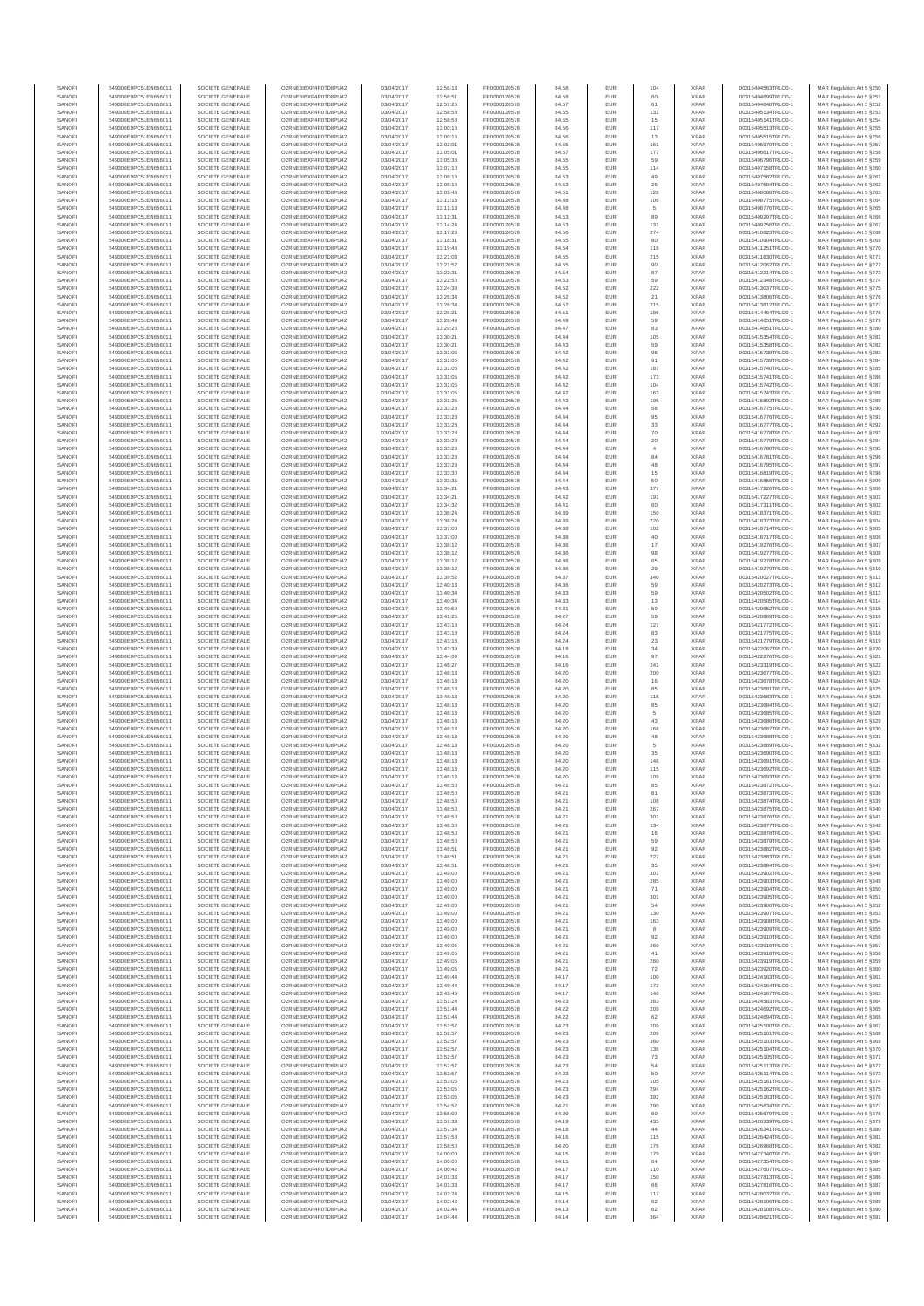| SANOFI<br>SANOFI | 549300E9PC51EN656011<br>549300E9PC51EN656011 | SOCIETE GENERALE<br>SOCIETE GENERALE | O2RNE8IBXP4R0TD8PU42<br>O2RNE8IBXP4R0TD8PU42  | 03/04/2017<br>03/04/2017 | 12:56:13<br>12:56:51 | FR0000120578<br>FR0000120578 | 84.58<br>84.58 | <b>EUR</b><br>EUR | 104                           | <b>XPAR</b><br><b>XPAR</b> | 00315404563TRLO0-1<br>00315404699TRLO0-1 | MAR Regulation Art 5 §250<br>MAR Regulation Art 5 §251  |
|------------------|----------------------------------------------|--------------------------------------|-----------------------------------------------|--------------------------|----------------------|------------------------------|----------------|-------------------|-------------------------------|----------------------------|------------------------------------------|---------------------------------------------------------|
| SANOFI           | 549300E9PC51EN656011                         | SOCIETE GENERALE                     | O2RNE8IBXP4R0TD8PU42                          | 03/04/2017               | 12:57:26             | FR0000120578                 | 84.57          | <b>EUR</b>        | 61                            | <b>XPAR</b>                | 00315404848TRLO0-1                       | MAR Regulation Art 5 §252                               |
| SANOFI           | 549300E9PC51EN656011                         | SOCIETE GENERALE                     | O2RNE8IBXP4R0TD8PU42                          | 03/04/2017               | 12:58:58             | FR0000120578                 | 84.55          | EUR               | 131                           | <b>XPAR</b>                | 00315405134TRLO0-1                       | MAR Regulation Art 5 §253                               |
| SANOFI<br>SANOFI | 549300E9PC51EN656011<br>549300E9PC51EN656011 | SOCIETE GENERALE<br>SOCIETE GENERALE | O2RNE8IBXP4R0TD8PU42<br>O2RNE8IBXP4R0TD8PU42  | 03/04/2017<br>03/04/2017 | 12:58:58<br>13:00:16 | FR0000120578<br>FR0000120578 | 84.55<br>84.56 | <b>EUR</b><br>EUR | 15<br>117                     | <b>XPAR</b><br><b>XPAR</b> | 00315405141TRLO0-1<br>00315405513TRLO0-1 | MAR Regulation Art 5 §254<br>MAR Regulation Art 5 §255  |
| SANOFI           | 549300E9PC51EN656011                         | SOCIETE GENERALE                     | O2RNE8IBXP4R0TD8PU42                          | 03/04/2017               | 13:00:16             | FR0000120578                 | 84.56          | EUR               | $13\,$                        | <b>XPAR</b>                | 00315405515TRLO0-1                       | MAR Regulation Art 5 §256                               |
| SANOFI<br>SANOFI | 549300E9PC51EN656011<br>549300E9PC51EN656011 | SOCIETE GENERALE<br>SOCIETE GENERALE | O2RNE8IBXP4R0TD8PU42<br>O2RNE8IBXP4R0TD8PU42  | 03/04/2017<br>03/04/2017 | 13:02:01             | FR0000120578<br>FR0000120578 | 84.55          | EUR<br>EUR        | 161<br>177                    | <b>XPAR</b><br><b>XPAR</b> | 00315405970TRLO0-1<br>00315406617TRLO0-1 | MAR Regulation Art 5 §257<br>MAR Regulation Art 5 §258  |
| SANOFI           | 549300E9PC51EN656011                         | SOCIETE GENERALE                     | O2RNE8IBXP4R0TD8PU42                          | 03/04/2017               | 13:05:01<br>13:05:38 | FR0000120578                 | 84.57<br>84.55 | <b>EUR</b>        | 59                            | <b>XPAR</b>                | 00315406796TRLO0-1                       | MAR Regulation Art 5 §259                               |
| SANOFI           | 549300E9PC51EN656011                         | SOCIETE GENERALE                     | O2RNE8IBXP4R0TD8PU42                          | 03/04/2017               | 13:07:10             | FR0000120578                 | 84.55          | EUR               | 114                           | <b>XPAR</b>                | 00315407158TRLO0-1                       | MAR Regulation Art 5 §260                               |
| SANOFI<br>SANOFI | 549300E9PC51EN656011<br>549300E9PC51EN656011 | SOCIETE GENERALE<br>SOCIETE GENERALE | O2RNE8IBXP4R0TD8PU42<br>O2RNE8IBXP4R0TD8PU42  | 03/04/2017<br>03/04/2017 | 13:08:16<br>13:08:16 | FR0000120578<br>FR0000120578 | 84.53<br>84.53 | <b>EUR</b><br>EUR | 49<br>26                      | <b>XPAR</b><br><b>XPAR</b> | 00315407582TRLO0-1<br>00315407584TRLO0-1 | MAR Regulation Art 5 \$261<br>MAR Regulation Art 5 §262 |
| SANOFI           | 549300E9PC51EN656011                         | SOCIETE GENERALE                     | O2RNE8IBXP4R0TD8PU42                          | 03/04/2017               | 13:09:48             | FR0000120578                 | 84.51          | <b>EUR</b>        | 128                           | <b>XPAR</b>                | 00315408088TRLO0-1                       | MAR Regulation Art 5 §263                               |
| SANOFI           | 549300E9PC51EN656011                         | SOCIETE GENERALE                     | O2RNE8IBXP4R0TD8PU42                          | 03/04/2017               | 13:11:13             | FR0000120578                 | 84.48          | EUR               | 106                           | <b>XPAR</b>                | 00315408775TRLO0-1                       | MAR Regulation Art 5 §264                               |
| SANOFI<br>SANOFI | 549300E9PC51EN656011<br>549300E9PC51EN656011 | SOCIETE GENERALE<br>SOCIETE GENERALE | O2RNE8IBXP4R0TD8PU42<br>O2RNE8IBXP4R0TD8PU42  | 03/04/2017<br>03/04/2017 | 13:11:13<br>13:12:31 | FR0000120578<br>FR0000120578 | 84.48<br>84.53 | EUR<br>EUR        | 5<br>89                       | <b>XPAR</b><br><b>XPAR</b> | 00315408776TRLO0-1<br>00315409297TRLO0-1 | MAR Regulation Art 5 §265<br>MAR Regulation Art 5 §266  |
| SANOFI           | 549300E9PC51EN656011                         | SOCIETE GENERALE                     | O2RNE8IBXP4R0TD8PU42                          | 03/04/2017               | 13:14:24             | FR0000120578                 | 84.53          | EUR               | 131                           | <b>XPAR</b>                | 00315409756TRLO0-1                       | MAR Regulation Art 5 §267                               |
| SANOFI           | 549300E9PC51EN656011                         | SOCIETE GENERALE                     | O2RNE8IBXP4R0TD8PU42                          | 03/04/2017               | 13:17:28             | FR0000120578                 | 84.56          | <b>EUR</b>        | 274                           | <b>XPAR</b>                | 00315410623TRLO0-1                       | MAR Regulation Art 5 §268                               |
| SANOFI<br>SANOFI | 549300E9PC51EN656011<br>549300E9PC51EN656011 | SOCIETE GENERALE<br>SOCIETE GENERALE | O2RNE8IBXP4R0TD8PU42<br>O2RNE8IBXP4R0TD8PU42  | 03/04/2017<br>03/04/2017 | 13:18:31<br>13:19:48 | FR0000120578<br>FR0000120578 | 84.55<br>84.54 | EUR<br><b>EUR</b> | 80<br>116                     | <b>XPAR</b><br><b>XPAR</b> | 00315410904TRLO0-1<br>00315411251TRLO0-1 | MAR Regulation Art 5 §269<br>MAR Regulation Art 5 \$270 |
| SANOFI           | 549300E9PC51EN656011                         | SOCIETE GENERALE                     | O2RNE8IBXP4R0TD8PU42                          | 03/04/2017               | 13:21:03             | FR0000120578                 | 84.55          | EUR               | 215                           | <b>XPAR</b>                | 00315411830TRLO0-1                       | MAR Regulation Art 5 \$271                              |
| SANOFI           | 549300E9PC51EN656011                         | SOCIETE GENERALE                     | O2RNE8IBXP4R0TD8PU42                          | 03/04/2017               | 13:21:52             | FR0000120578                 | 84.55          | EUR               | 90                            | <b>XPAR</b>                | 00315412062TRLO0-1                       | MAR Regulation Art 5 §272                               |
| SANOFI<br>SANOFI | 549300E9PC51EN656011<br>549300E9PC51EN656011 | SOCIETE GENERALE<br>SOCIETE GENERALE | O2RNE8IBXP4R0TD8PU42<br>O2RNE8IBXP4R0TD8PU42  | 03/04/2017<br>03/04/2017 | 13:22:31<br>13:22:50 | FR0000120578<br>FR0000120578 | 84.54<br>84.53 | EUR<br>EUR        | $_{\rm 87}$<br>59             | <b>XPAR</b><br><b>XPAR</b> | 00315412214TRLO0-1<br>00315412348TRLO0-1 | MAR Regulation Art 5 §273<br>MAR Regulation Art 5 §274  |
| SANOFI           | 549300E9PC51EN656011                         | SOCIETE GENERALE                     | O2RNE8IBXP4R0TD8PU42                          | 03/04/2017               | 13:24:38             | FR0000120578                 | 84.52          | EUR               | 222                           | <b>XPAR</b>                | 00315413037TRLO0-1                       | MAR Regulation Art 5 §275                               |
| SANOFI<br>SANOFI | 549300E9PC51EN656011<br>549300E9PC51EN656011 | SOCIETE GENERALE<br>SOCIETE GENERALE | O2RNE8IBXP4R0TD8PU42<br>O2RNE8IBXP4R0TD8PU42  | 03/04/2017<br>03/04/2017 | 13:26:34             | FR0000120578                 | 84.52          | EUR               | 21<br>215                     | <b>XPAR</b><br><b>XPAR</b> | 00315413806TRLO0-1                       | MAR Regulation Art 5 §276                               |
| SANOFI           | 549300E9PC51EN656011                         | SOCIETE GENERALE                     | O2RNE8IBXP4R0TD8PU42                          | 03/04/2017               | 13:26:34<br>13:28:21 | FR0000120578<br>FR0000120578 | 84.52<br>84.51 | <b>EUR</b><br>EUR | 186                           | <b>XPAR</b>                | 00315413812TRLO0-1<br>00315414464TRLO0-1 | MAR Regulation Art 5 §277<br>MAR Regulation Art 5 §278  |
| SANOFI           | 549300E9PC51EN656011                         | SOCIETE GENERALE                     | O2RNE8IBXP4R0TD8PU42                          | 03/04/2017               | 13:28:49             | FR0000120578                 | 84.49          | <b>EUR</b>        | 59                            | <b>XPAR</b>                | 00315414651TRLO0-1                       | MAR Regulation Art 5 §279                               |
| SANOFI<br>SANOFI | 549300E9PC51EN656011<br>549300E9PC51EN656011 | SOCIETE GENERALE<br>SOCIETE GENERALE | O2RNE8IBXP4R0TD8PU42<br>O2RNE8IBXP4R0TD8PU42  | 03/04/2017<br>03/04/2017 | 13:29:26<br>13:30:21 | FR0000120578<br>FR0000120578 | 84.47<br>84.44 | EUR<br>EUR        | 83<br>105                     | <b>XPAR</b><br><b>XPAR</b> | 00315414851TRLO0-1<br>00315415354TRLO0-1 | MAR Regulation Art 5 §280<br>MAR Regulation Art 5 §281  |
| SANOFI           | 549300E9PC51EN656011                         | SOCIETE GENERALE                     | O2RNE8IBXP4R0TD8PU42                          | 03/04/2017               | 13:30:21             | FR0000120578                 | 84.43          | EUR               | 59                            | <b>XPAR</b>                | 00315415358TRLO0-1                       | MAR Regulation Art 5 §282                               |
| SANOFI           | 549300E9PC51EN656011                         | SOCIETE GENERALE                     | O2RNE8IBXP4R0TD8PU42                          | 03/04/2017               | 13:31:05             | FR0000120578                 | 84.42          | EUR               | 96                            | <b>XPAR</b>                | 00315415738TRLO0-1                       | MAR Regulation Art 5 §283                               |
| SANOFI<br>SANOFI | 549300E9PC51EN656011<br>549300E9PC51EN656011 | SOCIETE GENERALE<br>SOCIETE GENERALE | O2RNE8IBXP4R0TD8PU42<br>O2RNE8IBXP4R0TD8PU42  | 03/04/2017<br>03/04/2017 | 13:31:05<br>13:31:05 | FR0000120578<br>FR0000120578 | 84.42<br>84.42 | EUR<br>EUR        | 91<br>187                     | <b>XPAR</b><br><b>XPAR</b> | 00315415739TRLO0-1<br>00315415740TRLO0-1 | MAR Regulation Art 5 §284<br>MAR Regulation Art 5 §285  |
| SANOFI           | 549300E9PC51EN656011                         | SOCIETE GENERALE                     | O2RNE8IBXP4R0TD8PU42                          | 03/04/2017               | 13:31:05             | FR0000120578                 | 84.42          | <b>EUR</b>        | 173                           | <b>XPAR</b>                | 00315415741TRLO0-1                       | MAR Regulation Art 5 §286                               |
| SANOFI<br>SANOFI | 549300E9PC51EN656011<br>549300E9PC51EN656011 | SOCIETE GENERALE<br>SOCIETE GENERALE | O2RNE8IBXP4R0TD8PU42<br>O2RNE8IBXP4R0TD8PU42  | 03/04/2017<br>03/04/2017 | 13:31:05<br>13:31:05 | FR0000120578<br>FR0000120578 | 84.42<br>84.42 | EUR<br><b>EUR</b> | 104<br>163                    | <b>XPAR</b><br><b>XPAR</b> | 00315415742TRLO0-1<br>00315415743TRLO0-1 | MAR Regulation Art 5 §287<br>MAR Regulation Art 5 §288  |
| SANOFI           | 549300E9PC51EN656011                         | SOCIETE GENERALE                     | O2RNE8IBXP4R0TD8PU42                          | 03/04/2017               | 13:31:25             | FR0000120578                 | 84.43          | EUR               | 195                           | <b>XPAR</b>                | 00315415892TRLO0-1                       | MAR Regulation Art 5 §289                               |
| SANOFI           | 549300E9PC51EN656011                         | SOCIETE GENERALE                     | O2RNE8IBXP4R0TD8PU42                          | 03/04/2017               | 13:33:28             | FR0000120578                 | 84.44          | EUR               | 58                            | <b>XPAR</b>                | 00315416775TRLO0-1                       | MAR Regulation Art 5 §290                               |
| SANOFI<br>SANOFI | 549300E9PC51EN656011<br>549300E9PC51EN656011 | SOCIETE GENERALE<br>SOCIETE GENERALE | O2RNE8IBXP4R0TD8PU42<br>O2RNE8IBXP4R0TD8PU42  | 03/04/2017<br>03/04/2017 | 13:33:28<br>13:33:28 | FR0000120578<br>FR0000120578 | 84.44<br>84.44 | EUR<br>EUR        | 95<br>$_{33}$                 | <b>XPAR</b><br><b>XPAR</b> | 00315416776TRLO0-1<br>00315416777TRLO0-1 | MAR Regulation Art 5 §291<br>MAR Regulation Art 5 §292  |
| SANOFI           | 549300E9PC51EN656011                         | SOCIETE GENERALE                     | O2RNE8IBXP4R0TD8PU42                          | 03/04/2017               | 13:33:28             | FR0000120578                 | 84.44          | EUR               | 70                            | <b>XPAR</b>                | 00315416778TRLO0-1                       | MAR Regulation Art 5 §293                               |
| SANOFI           | 549300E9PC51EN656011                         | SOCIETE GENERALE                     | O2RNE8IBXP4R0TD8PU42                          | 03/04/2017               | 13:33:28             | FR0000120578                 | 84.44          | EUR               | $20\,$                        | <b>XPAR</b>                | 00315416779TRLO0-1                       | MAR Regulation Art 5 §294                               |
| SANOFI<br>SANOFI | 549300E9PC51EN656011<br>549300E9PC51EN656011 | SOCIETE GENERALE<br>SOCIETE GENERALE | O2RNE8IBXP4R0TD8PU42<br>O2RNE8IBXP4R0TD8PU42  | 03/04/2017<br>03/04/2017 | 13:33:28<br>13:33:28 | FR0000120578<br>FR0000120578 | 84.44<br>84.44 | <b>EUR</b><br>EUR | $\overline{4}$<br>$^{\rm 84}$ | <b>XPAR</b><br><b>XPAR</b> | 00315416780TRLO0-1<br>00315416781TRLO0-1 | MAR Regulation Art 5 §295<br>MAR Regulation Art 5 §296  |
| SANOFI           | 549300E9PC51EN656011                         | SOCIETE GENERALE                     | O2RNE8IBXP4R0TD8PU42                          | 03/04/2017               | 13:33:29             | FR0000120578                 | 84.44          | <b>EUR</b>        | 48                            | <b>XPAR</b>                | 00315416795TRLO0-1                       | MAR Regulation Art 5 \$297                              |
| SANOFI<br>SANOFI | 549300E9PC51EN656011<br>549300E9PC51EN656011 | SOCIETE GENERALE<br>SOCIETE GENERALE | O2RNE8IBXP4R0TD8PU42<br>O2RNE8IBXP4R0TD8PU42  | 03/04/2017<br>03/04/2017 | 13:33:30<br>13:33:35 | FR0000120578<br>FR0000120578 | 84.44<br>84.44 | EUR<br>EUR        | 15<br>$50\,$                  | <b>XPAR</b><br><b>XPAR</b> | 00315416819TRLO0-1<br>00315416856TRLO0-1 | MAR Regulation Art 5 §298<br>MAR Regulation Art 5 §299  |
| SANOFI           | 549300E9PC51EN656011                         | SOCIETE GENERALE                     | O2RNE8IBXP4R0TD8PU42                          | 03/04/2017               | 13:34:21             | FR0000120578                 | 84.43          | EUR               | 377                           | <b>XPAR</b>                | 00315417226TRLO0-1                       | MAR Regulation Art 5 §300                               |
| SANOFI           | 549300E9PC51EN656011                         | SOCIETE GENERALE                     | O2RNE8IBXP4R0TD8PU42                          | 03/04/2017               | 13:34:21             | FR0000120578                 | 84.42          | EUR               | 191                           | <b>XPAR</b>                | 00315417227TRLO0-1                       | MAR Regulation Art 5 §301                               |
| SANOFI<br>SANOFI | 549300E9PC51EN656011<br>549300E9PC51EN656011 | SOCIETE GENERALE<br>SOCIETE GENERALE | O2RNE8IBXP4R0TD8PU42<br>O2RNE8IBXP4R0TD8PU42  | 03/04/2017<br>03/04/2017 | 13:34:32<br>13:36:24 | FR0000120578<br>FR0000120578 | 84.41<br>84.39 | <b>EUR</b><br>EUR | 60<br>150                     | <b>XPAR</b><br><b>XPAR</b> | 00315417311TRLO0-1<br>00315418371TRLO0-1 | MAR Regulation Art 5 §302<br>MAR Regulation Art 5 §303  |
| SANOFI           | 549300E9PC51EN656011                         | SOCIETE GENERALE                     | O2RNE8IBXP4R0TD8PU42                          | 03/04/2017               | 13:36:24             | FR0000120578                 | 84.39          | <b>EUR</b>        | 220                           | <b>XPAR</b>                | 00315418373TRLO0-1                       | MAR Regulation Art 5 §304                               |
| SANOFI           | 549300E9PC51EN656011                         | SOCIETE GENERALE                     | O2RNE8IBXP4R0TD8PU42                          | 03/04/2017               | 13:37:00             | FR0000120578                 | 84.38          | EUR               | 102                           | <b>XPAR</b>                | 00315418714TRLO0-1                       | MAR Regulation Art 5 §305                               |
| SANOFI<br>SANOFI | 549300E9PC51EN656011<br>549300E9PC51EN656011 | SOCIETE GENERALE<br>SOCIETE GENERALE | O2RNE8IBXP4R0TD8PU42<br>O2RNE8IBXP4R0TD8PU42  | 03/04/2017<br>03/04/2017 | 13:37:00<br>13:38:12 | FR0000120578<br>FR0000120578 | 84.38<br>84.36 | EUR<br>EUR        | $40\,$<br>$17\,$              | <b>XPAR</b><br><b>XPAR</b> | 00315418717TRLO0-1<br>00315419276TRLO0-1 | MAR Regulation Art 5 §306<br>MAR Regulation Art 5 §307  |
| SANOFI           | 549300E9PC51EN656011                         | SOCIETE GENERALE                     | O2RNE8IBXP4R0TD8PU42                          | 03/04/2017               | 13:38:12             | FR0000120578                 | 84.36          | EUR               | 98                            | <b>XPAR</b>                | 00315419277TRLO0-1                       | MAR Regulation Art 5 §308                               |
| SANOFI           | 549300E9PC51EN656011                         | SOCIETE GENERALE                     | O2RNE8IBXP4R0TD8PU42                          | 03/04/2017               | 13:38:12             | FR0000120578                 | 84.36          | EUR               | 65                            | <b>XPAR</b>                | 00315419278TRLO0-1                       | MAR Regulation Art 5 §309                               |
| SANOFI<br>SANOFI | 549300E9PC51EN656011<br>549300E9PC51EN656011 | SOCIETE GENERALE<br>SOCIETE GENERALE | O2RNE8IBXP4R0TD8PU42<br>O2RNE8IBXP4R0TD8PU42  | 03/04/2017<br>03/04/2017 | 13:38:12<br>13:39:52 | FR0000120578<br>FR0000120578 | 84.36<br>84.37 | EUR<br><b>EUR</b> | $29\,$<br>340                 | <b>XPAR</b><br><b>XPAR</b> | 00315419279TRLO0-1<br>00315420027TRLO0-1 | MAR Regulation Art 5 §310<br>MAR Regulation Art 5 §311  |
| SANOFI           | 549300E9PC51EN656011                         | SOCIETE GENERALE                     | O2RNE8IBXP4R0TD8PU42                          | 03/04/2017               | 13:40:13             | FR0000120578                 | 84.36          | EUR               | 59                            | <b>XPAR</b>                | 00315420273TRLO0-1                       | MAR Regulation Art 5 §312                               |
| SANOFI<br>SANOFI | 549300E9PC51EN656011<br>549300E9PC51EN656011 | SOCIETE GENERALE<br>SOCIETE GENERALE | O2RNE8IBXP4R0TD8PU42<br>O2RNE8IBXP4R0TD8PU42  | 03/04/2017<br>03/04/2017 | 13:40:34<br>13:40:34 | FR0000120578<br>FR0000120578 | 84.33<br>84.33 | <b>EUR</b><br>EUR | 59<br>13                      | <b>XPAR</b><br><b>XPAR</b> | 00315420502TRLO0-1<br>00315420505TRLO0-1 | MAR Regulation Art 5 §313<br>MAR Regulation Art 5 §314  |
| SANOFI           | 549300E9PC51EN656011                         | SOCIETE GENERALE                     | O2RNE8IBXP4R0TD8PU42                          | 03/04/2017               | 13:40:59             | FR0000120578                 | 84.31          | EUR               | 59                            | <b>XPAR</b>                | 00315420652TRLO0-1                       | MAR Regulation Art 5 §315                               |
| SANOFI           | 549300E9PC51EN656011                         | SOCIETE GENERALE                     | O2RNE8IBXP4R0TD8PU42                          | 03/04/2017               | 13:41:25             | FR0000120578                 | 84.27          | EUR               | 59                            | <b>XPAR</b>                | 00315420869TRLO0-1                       | MAR Regulation Art 5 §316                               |
| SANOFI<br>SANOFI | 549300E9PC51EN656011<br>549300E9PC51EN656011 | SOCIETE GENERALE<br>SOCIETE GENERALE | O2RNE8IBXP4R0TD8PU42<br>O2RNE8IBXP4R0TD8PU42  | 03/04/2017<br>03/04/2017 | 13:43:18<br>13:43:18 | FR0000120578<br>FR0000120578 | 84.24<br>84.24 | EUR<br>EUR        | 127<br>83                     | <b>XPAR</b><br><b>XPAR</b> | 00315421772TRLO0-1<br>00315421775TRLO0-1 | MAR Regulation Art 5 §317<br>MAR Regulation Art 5 §318  |
| SANOFI           | 549300E9PC51EN656011                         | SOCIETE GENERALE                     | O2RNE8IBXP4R0TD8PU42                          | 03/04/2017               | 13:43:18             | FR0000120578                 | 84.24          | EUR               | $23\,$                        | <b>XPAR</b>                | 00315421779TRLO0-1                       | MAR Regulation Art 5 §319                               |
| SANOFI<br>SANOFI | 549300E9PC51EN656011<br>549300E9PC51EN656011 | SOCIETE GENERALE<br>SOCIETE GENERALE | O2RNE8IBXP4R0TD8PU42<br>O2RNE8IBXP4R0TD8PU42  | 03/04/2017<br>03/04/2017 | 13:43:39<br>13:44:09 | FR0000120578<br>FR0000120578 | 84.18<br>84.16 | <b>EUR</b><br>EUR | $_{\rm 34}$<br>97             | <b>XPAR</b><br><b>XPAR</b> | 00315422067TRLO0-1<br>00315422276TRLO0-1 | MAR Regulation Art 5 §320<br>MAR Regulation Art 5 §321  |
| SANOFI           | 549300E9PC51EN656011                         | SOCIETE GENERALE                     | O2RNE8IBXP4R0TD8PU42                          | 03/04/2017               | 13:46:27             | FR0000120578                 | 84.16          | <b>EUR</b>        | 241                           | <b>XPAR</b>                | 00315423319TRLO0-1                       | MAR Regulation Art 5 §322                               |
| SANOFI           | 549300E9PC51EN656011                         | SOCIETE GENERALE                     | O2RNE8IBXP4R0TD8PU42                          | 03/04/2017               | 13:48:13             | FR0000120578                 | 84.20          | EUR               | 200                           | <b>XPAR</b>                | 00315423677TRLO0-1                       | MAR Regulation Art 5 §323                               |
| SANOFI<br>SANOFI | 549300E9PC51EN656011<br>549300E9PC51EN656011 | SOCIETE GENERALE<br>SOCIETE GENERALE | O2RNE8IBXP4R0TD8PU42<br>O2RNE8IBXP4R0TD8PU42  | 03/04/2017<br>03/04/2017 | 13:48:13<br>13:48:13 | FR0000120578<br>FR0000120578 | 84.20<br>84.20 | EUR<br>EUR        | $16\,$<br>85                  | <b>XPAR</b><br><b>XPAR</b> | 00315423678TRLO0-1<br>00315423681TRLO0-1 | MAR Regulation Art 5 §324<br>MAR Regulation Art 5 §325  |
| SANOFI           | 549300E9PC51EN656011                         | SOCIETE GENERALE                     | O2RNE8IBXP4R0TD8PU42                          | 03/04/2017               | 13:48:13             | FR0000120578                 | 84.20          | EUR               | 115                           | <b>XPAR</b>                | 00315423683TRLO0-1                       | MAR Regulation Art 5 §326                               |
| SANOFI           | 549300E9PC51EN656011                         | SOCIETE GENERALE                     | O2RNE8IBXP4R0TD8PU42                          | 03/04/2017               | 13:48:13             | FR0000120578                 | 84.20          | EUR               | 85                            | <b>XPAR</b>                | 00315423684TRLO0-1<br>00315423685TRLO0-1 | MAR Regulation Art 5 §327                               |
| SANOFI<br>SANOFI | 549300E9PC51EN656011<br>549300E9PC51EN656011 | SOCIETE GENERALE<br>SOCIETE GENERALE | O2RNE8IBXP4R0TD8PU42<br>O2RNE8IBXP4R0TD8PU42  | 03/04/2017<br>03/04/2017 | 13:48:13<br>13:48:13 | FR0000120578<br>FR0000120578 | 84.20<br>84.20 | EUR<br><b>EUR</b> | 5<br>43                       | <b>XPAR</b><br><b>XPAR</b> | 00315423686TRLO0-1                       | MAR Regulation Art 5 §328<br>MAR Regulation Art 5 §329  |
| SANOFI           | 549300E9PC51EN656011                         | SOCIETE GENERALE                     | O2RNE8IBXP4R0TD8PU42                          | 03/04/2017               | 13:48:13             | FR0000120578                 | 84.20          | EUR               | 168                           | <b>XPAR</b>                | 00315423687TRLO0-1                       | MAR Regulation Art 5 §330                               |
| SANOFI<br>SANOFI | 549300E9PC51EN656011<br>549300E9PC51EN656011 | SOCIETE GENERALE<br>SOCIETE GENERALE | O2RNE8IBXP4R0TD8PU42<br>O2RNE8IBXP4R0TD8PU42  | 03/04/2017<br>03/04/2017 | 13:48:13<br>13:48:13 | FR0000120578<br>FR0000120578 | 84.20<br>84.20 | <b>EUR</b><br>EUR | 48<br>$\sqrt{5}$              | <b>XPAR</b><br><b>XPAR</b> | 00315423688TRLO0-1<br>00315423689TRLO0-1 | MAR Regulation Art 5 §331<br>MAR Regulation Art 5 §332  |
| SANOFI           | 549300E9PC51EN656011                         | SOCIETE GENERALE                     | O2RNE8IBXP4R0TD8PU42                          | 03/04/2017               | 13:48:13             | FR0000120578                 | 84.20          | EUR               | 35                            | <b>XPAR</b>                | 00315423690TRLO0-1                       | MAR Regulation Art 5 §333                               |
| SANOFI           | 549300E9PC51EN656011                         | SOCIETE GENERALE                     | O2RNE8IBXP4R0TD8PU42                          | 03/04/2017               | 13:48:13             | FR0000120578                 | 84.20          | EUR               | 146                           | <b>XPAR</b>                | 00315423691TRLO0-1                       | MAR Regulation Art 5 §334                               |
| SANOFI<br>SANOFI | 549300E9PC51EN656011<br>549300E9PC51EN656011 | SOCIETE GENERALE<br>SOCIETE GENERALE | O2RNE8IBXP4R0TD8PLI42<br>O2RNE8IBXP4R0TD8PU42 | 03/04/2017<br>03/04/2017 | 13:48:13<br>13:48:13 | FR0000120578<br>FR0000120578 | 84.20<br>84.20 | EUR<br><b>EUR</b> | 115<br>109                    | <b>XPAR</b><br><b>XPAR</b> | 00315423692TRLO0-1<br>00315423693TRLO0-1 | MAR Regulation Art 5 \$335<br>MAR Regulation Art 5 §336 |
| SANOF            | 549300E9PC51EN656011                         | SOCIETE GENERALE                     | O2RNE8IBXP4R0TD8PU42                          | 03/04/2017               | 13:48:50             | FR0000120578                 | 84.2           | EUR               |                               | <b>XPAR</b>                | 00315423872TRLO0-                        | MAR Regulation Art 5 §337                               |
| SANOFI<br>SANOFI | 549300E9PC51EN656011<br>549300E9PC51EN656011 | SOCIETE GENERALE<br>SOCIETE GENERALE | O2RNE8IBXP4R0TD8PU42<br>O2RNE8IBXP4R0TD8PU42  | 03/04/2017<br>03/04/2017 | 13:48:50<br>13:48:50 | FR0000120578<br>FR0000120578 | 84.21<br>84.21 | <b>EUR</b><br>EUR | 81<br>108                     | <b>XPAR</b><br><b>XPAR</b> | 00315423873TRLO0-1<br>00315423874TRLO0-1 | MAR Regulation Art 5 §338                               |
| SANOFI           | 549300E9PC51EN656011                         | SOCIETE GENERALE                     | O2RNE8IBXP4R0TD8PU42                          | 03/04/2017               | 13:48:50             | FR0000120578                 | 84.21          | <b>EUR</b>        | 267                           | <b>XPAR</b>                | 00315423875TRLO0-1                       | MAR Regulation Art 5 §339<br>MAR Regulation Art 5 §340  |
| SANOFI           | 549300E9PC51EN656011                         | SOCIETE GENERALE                     | O2RNE8IBXP4R0TD8PU42                          | 03/04/2017               | 13:48:50             | FR0000120578                 | 84.21          | <b>EUR</b>        | 301                           | <b>XPAR</b>                | 00315423876TRLO0-1                       | MAR Regulation Art 5 §341                               |
| SANOFI<br>SANOFI | 549300E9PC51EN656011<br>549300E9PC51EN656011 | SOCIETE GENERALE<br>SOCIETE GENERALE | O2RNE8IBXP4R0TD8PU42<br>O2RNE8IBXP4R0TD8PU42  | 03/04/2017<br>03/04/2017 | 13:48:50<br>13:48:50 | FR0000120578<br>FR0000120578 | 84.21<br>84.21 | EUR<br>EUR        | 134<br>16                     | <b>XPAR</b><br><b>XPAR</b> | 00315423877TRLO0-1<br>00315423878TRLO0-1 | MAR Regulation Art 5 §342<br>MAR Regulation Art 5 §343  |
| SANOFI           | 549300E9PC51EN656011                         | SOCIETE GENERALE                     | O2RNE8IBXP4R0TD8PU42                          | 03/04/2017               | 13:48:50             | FR0000120578                 | 84.21          | EUR               | 59                            | <b>XPAR</b>                | 00315423879TRLO0-1                       | MAR Regulation Art 5 §344                               |
| SANOFI           | 549300E9PC51EN656011                         | SOCIETE GENERALE<br>SOCIETE GENERALE | O2RNE8IBXP4R0TD8PU42<br>O2RNE8IBXP4R0TD8PU42  | 03/04/2017               | 13:48:51             | FR0000120578                 | 84.21          | <b>EUR</b>        | 92                            | <b>XPAR</b>                | 00315423882TRLO0-1                       | MAR Regulation Art 5 §345                               |
| SANOFI<br>SANOFI | 549300E9PC51EN656011<br>549300E9PC51EN656011 | SOCIETE GENERALE                     | O2RNE8IBXP4R0TD8PU42                          | 03/04/2017<br>03/04/2017 | 13:48:51<br>13:48:51 | FR0000120578<br>FR0000120578 | 84.21<br>84.21 | EUR<br><b>EUR</b> | 227<br>35                     | <b>XPAR</b><br><b>XPAR</b> | 00315423883TRLO0-1<br>00315423884TRLO0-1 | MAR Regulation Art 5 §346<br>MAR Regulation Art 5 §347  |
| SANOFI           | 549300E9PC51EN656011                         | SOCIETE GENERALE                     | O2RNE8IBXP4R0TD8PU42                          | 03/04/2017               | 13:49:00             | FR0000120578                 | 84.21          | EUR               | 301                           | <b>XPAR</b>                | 00315423902TRLO0-1                       | MAR Regulation Art 5 §348                               |
| SANOFI<br>SANOFI | 549300E9PC51EN656011<br>549300E9PC51EN656011 | SOCIETE GENERALE<br>SOCIETE GENERALE | O2RNE8IBXP4R0TD8PU42<br>O2RNE8IBXP4R0TD8PU42  | 03/04/2017<br>03/04/2017 | 13:49:00<br>13:49:00 | FR0000120578<br>FR0000120578 | 84.21<br>84.21 | EUR<br>EUR        | 285<br>$71\,$                 | XPAR<br><b>XPAR</b>        | 00315423903TRLO0-1<br>00315423904TRLO0-1 | MAR Regulation Art 5 §349<br>MAR Regulation Art 5 §350  |
| SANOFI           | 549300E9PC51EN656011                         | SOCIETE GENERALE                     | O2RNE8IBXP4R0TD8PU42                          | 03/04/2017               | 13:49:00             | FR0000120578                 | 84.21          | EUR               | 301                           | <b>XPAR</b>                | 00315423905TRLO0-1                       | MAR Regulation Art 5 §351                               |
| SANOFI<br>SANOFI | 549300E9PC51EN656011<br>549300E9PC51EN656011 | SOCIETE GENERALE<br>SOCIETE GENERALE | O2RNE8IBXP4R0TD8PU42<br>O2RNE8IBXP4R0TD8PU42  | 03/04/2017<br>03/04/2017 | 13:49:00<br>13:49:00 | FR0000120578<br>FR0000120578 | 84.21<br>84.21 | <b>EUR</b><br>EUR | 54<br>130                     | <b>XPAR</b><br><b>XPAR</b> | 00315423906TRLO0-1<br>00315423907TRLO0-1 | MAR Regulation Art 5 §352<br>MAR Regulation Art 5 §353  |
| SANOFI           | 549300E9PC51EN656011                         | SOCIETE GENERALE                     | O2RNE8IBXP4R0TD8PU42                          | 03/04/2017               | 13:49:00             | FR0000120578                 | 84.21          | <b>EUR</b>        | 163                           | <b>XPAR</b>                | 00315423908TRLO0-1                       | MAR Regulation Art 5 §354                               |
| SANOFI<br>SANOFI | 549300E9PC51EN656011<br>549300E9PC51EN656011 | SOCIETE GENERALE<br>SOCIETE GENERALE | O2RNE8IBXP4R0TD8PU42<br>O2RNE8IBXP4R0TD8PU42  | 03/04/2017<br>03/04/2017 | 13:49:00<br>13:49:00 | FR0000120578<br>FR0000120578 | 84.21<br>84.21 | EUR<br><b>EUR</b> | 8<br>92                       | <b>XPAR</b><br><b>XPAR</b> | 00315423909TRLO0-1<br>00315423910TRLO0-1 | MAR Regulation Art 5 §355                               |
| SANOFI           | 549300E9PC51EN656011                         | SOCIETE GENERALE                     | O2RNE8IBXP4R0TD8PU42                          | 03/04/2017               | 13:49:05             | FR0000120578                 | 84.21          | EUR               | 260                           | <b>XPAR</b>                | 00315423916TRLO0-1                       | MAR Regulation Art 5 §356<br>MAR Regulation Art 5 §357  |
| SANOFI           | 549300E9PC51EN656011                         | SOCIETE GENERALE                     | O2RNE8IBXP4R0TD8PU42                          | 03/04/2017               | 13:49:05             | FR0000120578                 | 84.21          | EUR               | 41                            | <b>XPAR</b>                | 00315423918TRLO0-1                       | MAR Regulation Art 5 §358                               |
| SANOFI<br>SANOFI | 549300E9PC51EN656011<br>549300E9PC51EN656011 | SOCIETE GENERALE<br>SOCIETE GENERALE | O2RNE8IBXP4R0TD8PU42<br>O2RNE8IBXP4R0TD8PU42  | 03/04/2017<br>03/04/2017 | 13:49:05<br>13:49:05 | FR0000120578<br>FR0000120578 | 84.21<br>84.21 | EUR<br>EUR        | 260<br>72                     | <b>XPAR</b><br><b>XPAR</b> | 00315423919TRLO0-1<br>00315423920TRLO0-1 | MAR Regulation Art 5 §359<br>MAR Regulation Art 5 §360  |
| SANOFI           | 549300E9PC51EN656011                         | SOCIETE GENERALE                     | O2RNE8IBXP4R0TD8PU42                          | 03/04/2017               | 13:49:44             | FR0000120578                 | 84.17          | EUR               | 100                           | <b>XPAR</b>                | 00315424163TRLO0-1                       | MAR Regulation Art 5 §361                               |
| SANOFI           | 549300E9PC51EN656011                         | SOCIETE GENERALE                     | O2RNE8IBXP4R0TD8PU42                          | 03/04/2017               | 13:49:44             | FR0000120578                 | 84.17          | EUR               | 172                           | <b>XPAR</b>                | 00315424164TRLO0-1                       | MAR Regulation Art 5 §362                               |
| SANOFI<br>SANOFI | 549300E9PC51EN656011<br>549300E9PC51EN656011 | SOCIETE GENERALE<br>SOCIETE GENERALE | O2RNE8IBXP4R0TD8PU42<br>O2RNE8IBXP4R0TD8PU42  | 03/04/2017<br>03/04/2017 | 13:49:45<br>13:51:24 | FR0000120578<br>FR0000120578 | 84.17<br>84.23 | <b>EUR</b><br>EUR | 140<br>383                    | <b>XPAR</b><br><b>XPAR</b> | 00315424167TRLO0-1<br>00315424583TRLO0-1 | MAR Regulation Art 5 §363<br>MAR Regulation Art 5 §364  |
| SANOFI           | 549300E9PC51EN656011                         | SOCIETE GENERALE                     | O2RNE8IBXP4R0TD8PU42                          | 03/04/2017               | 13:51:44             | FR0000120578                 | 84.22          | <b>EUR</b>        | 209                           | <b>XPAR</b>                | 00315424692TRLO0-1                       | MAR Regulation Art 5 §365                               |
| SANOFI<br>SANOFI | 549300E9PC51EN656011<br>549300E9PC51EN656011 | SOCIETE GENERALE<br>SOCIETE GENERALE | O2RNE8IBXP4R0TD8PU42<br>O2RNE8IBXP4R0TD8PU42  | 03/04/2017<br>03/04/2017 | 13:51:44<br>13:52:57 | FR0000120578<br>FR0000120578 | 84.22<br>84.23 | EUR<br>EUR        | 62<br>209                     | <b>XPAR</b><br><b>XPAR</b> | 00315424694TRLO0-1<br>00315425100TRLO0-1 | MAR Regulation Art 5 §366<br>MAR Regulation Art 5 §367  |
| SANOFI           | 549300E9PC51EN656011                         | SOCIETE GENERALE                     | O2RNE8IBXP4R0TD8PU42                          | 03/04/2017               | 13:52:57             | FR0000120578                 | 84.23          | EUR               | 209                           | <b>XPAR</b>                | 00315425101TRLO0-1                       | MAR Regulation Art 5 §368                               |
| SANOFI           | 549300E9PC51EN656011                         | SOCIETE GENERALE                     | O2RNE8IBXP4R0TD8PU42                          | 03/04/2017               | 13:52:57             | FR0000120578                 | 84.23          | EUR               | 360                           | <b>XPAR</b>                | 00315425103TRLO0-1                       | MAR Regulation Art 5 §369                               |
| SANOFI<br>SANOFI | 549300E9PC51EN656011<br>549300E9PC51EN656011 | SOCIETE GENERALE<br>SOCIETE GENERALE | O2RNE8IBXP4R0TD8PU42<br>O2RNE8IBXP4R0TD8PU42  | 03/04/2017<br>03/04/2017 | 13:52:57<br>13:52:57 | FR0000120578<br>FR0000120578 | 84.23<br>84.23 | <b>EUR</b><br>EUR | 136<br>73                     | <b>XPAR</b><br><b>XPAR</b> | 00315425104TRLO0-1<br>00315425105TRLO0-1 | MAR Regulation Art 5 §370<br>MAR Regulation Art 5 §371  |
| SANOFI           | 549300E9PC51EN656011                         | SOCIETE GENERALE                     | O2RNE8IBXP4R0TD8PU42                          | 03/04/2017               | 13:52:57             | FR0000120578                 | 84.23          | <b>EUR</b>        | 54                            | <b>XPAR</b>                | 00315425113TRLO0-1                       | MAR Regulation Art 5 §372                               |
| SANOFI<br>SANOFI | 549300E9PC51EN656011<br>549300E9PC51EN656011 | SOCIETE GENERALE<br>SOCIETE GENERALE | O2RNE8IBXP4R0TD8PU42<br>O2RNE8IBXP4R0TD8PU42  | 03/04/2017<br>03/04/2017 | 13:52:57<br>13:53:05 | FR0000120578                 | 84.23<br>84.23 | EUR<br><b>EUR</b> | 50<br>105                     | <b>XPAR</b><br><b>XPAR</b> | 00315425114TRLO0-1<br>00315425161TRLO0-1 | MAR Regulation Art 5 §373                               |
| SANOFI           | 549300E9PC51EN656011                         | SOCIETE GENERALE                     | O2RNE8IBXP4R0TD8PU42                          | 03/04/2017               | 13:53:05             | FR0000120578<br>FR0000120578 | 84.23          | EUR               | 294                           | <b>XPAR</b>                | 00315425162TRLO0-1                       | MAR Regulation Art 5 §374<br>MAR Regulation Art 5 §375  |
| SANOFI           | 549300E9PC51EN656011                         | SOCIETE GENERALE                     | O2RNE8IBXP4R0TD8PU42                          | 03/04/2017               | 13:53:05             | FR0000120578                 | 84.23          | EUR               | 392                           | <b>XPAR</b>                | 00315425163TRLO0-1                       | MAR Regulation Art 5 §376                               |
| SANOFI<br>SANOFI | 549300E9PC51EN656011<br>549300E9PC51EN656011 | SOCIETE GENERALE<br>SOCIETE GENERALE | O2RNE8IBXP4R0TD8PU42<br>O2RNE8IBXP4R0TD8PU42  | 03/04/2017<br>03/04/2017 | 13:54:52<br>13:55:00 | FR0000120578<br>FR0000120578 | 84.21<br>84.20 | EUR<br>EUR        | 290<br>60                     | <b>XPAR</b><br><b>XPAR</b> | 00315425634TRLO0-1<br>00315425679TRLO0-1 | MAR Regulation Art 5 §377<br>MAR Regulation Art 5 §378  |
| SANOFI           | 549300E9PC51EN656011                         | SOCIETE GENERALE                     | O2RNE8IBXP4R0TD8PU42                          | 03/04/2017               | 13:57:33             | FR0000120578                 | 84.19          | <b>EUR</b>        | 435                           | <b>XPAR</b>                | 00315426339TRLO0-1                       | MAR Regulation Art 5 §379                               |
| SANOFI           | 549300E9PC51EN656011                         | SOCIETE GENERALE                     | O2RNE8IBXP4R0TD8PU42                          | 03/04/2017               | 13:57:34             | FR0000120578                 | 84.18          | EUR               | 44                            | <b>XPAR</b>                | 00315426341TRLO0-1                       | MAR Regulation Art 5 §380                               |
| SANOFI<br>SANOFI | 549300E9PC51EN656011<br>549300E9PC51EN656011 | SOCIETE GENERALE<br>SOCIETE GENERALE | O2RNE8IBXP4R0TD8PU42<br>O2RNE8IBXP4R0TD8PU42  | 03/04/2017<br>03/04/2017 | 13:57:58<br>13:58:50 | FR0000120578<br>FR0000120578 | 84.16<br>84.20 | <b>EUR</b><br>EUR | 115<br>176                    | <b>XPAR</b><br><b>XPAR</b> | 00315426424TRLO0-1<br>00315426968TRLO0-1 | MAR Regulation Art 5 §381<br>MAR Regulation Art 5 §382  |
| SANOFI           | 549300E9PC51EN656011                         | SOCIETE GENERALE                     | O2RNE8IBXP4R0TD8PU42                          | 03/04/2017               | 14:00:00             | FR0000120578                 | 84.15          | <b>EUR</b>        | 179                           | <b>XPAR</b>                | 00315427346TRLO0-1                       | MAR Regulation Art 5 §383                               |
| SANOFI<br>SANOFI | 549300E9PC51EN656011<br>549300E9PC51EN656011 | SOCIETE GENERALE<br>SOCIETE GENERALE | O2RNE8IBXP4R0TD8PU42<br>O2RNE8IBXP4R0TD8PU42  | 03/04/2017<br>03/04/2017 | 14:00:00<br>14:00:42 | FR0000120578<br>FR0000120578 | 84.15<br>84.17 | EUR<br>EUR        | 64<br>110                     | <b>XPAR</b><br><b>XPAR</b> | 00315427354TRLO0-1<br>00315427607TRLO0-1 | MAR Regulation Art 5 §384<br>MAR Regulation Art 5 §385  |
| SANOFI           | 549300E9PC51EN656011                         | SOCIETE GENERALE                     | O2RNE8IBXP4R0TD8PU42                          | 03/04/2017               | 14:01:33             | FR0000120578                 | 84.17          | EUR               | 150                           | <b>XPAR</b>                | 00315427813TRLO0-1                       | MAR Regulation Art 5 §386                               |
| SANOFI<br>SANOFI | 549300E9PC51EN656011<br>549300E9PC51EN656011 | SOCIETE GENERALE<br>SOCIETE GENERALE | O2RNE8IBXP4R0TD8PU42<br>O2RNE8IBXP4R0TD8PU42  | 03/04/2017<br>03/04/2017 | 14:01:33<br>14:02:24 | FR0000120578                 | 84.17<br>84.15 | EUR               | 66<br>117                     | <b>XPAR</b><br><b>XPAR</b> | 00315427816TRLO0-1                       | MAR Regulation Art 5 §387                               |
| SANOFI           | 549300E9PC51EN656011                         | SOCIETE GENERALE                     | O2RNE8IBXP4R0TD8PU42                          | 03/04/2017               | 14:02:42             | FR0000120578<br>FR0000120578 | 84.14          | <b>EUR</b><br>EUR | 62                            | <b>XPAR</b>                | 00315428032TRLO0-1<br>00315428106TRLO0-1 | MAR Regulation Art 5 §388<br>MAR Regulation Art 5 §389  |
| SANOFI           | 549300E9PC51EN656011                         | SOCIETE GENERALE                     | O2RNE8IBXP4R0TD8PU42                          | 03/04/2017               | 14:02:44             | FR0000120578                 | 84.13          | <b>EUR</b>        | 62                            | <b>XPAR</b>                | 00315428108TRLO0-1                       | MAR Regulation Art 5 §390                               |
| SANOFI           | 549300E9PC51EN656011                         | SOCIETE GENERALE                     | O2RNE8IBXP4R0TD8PU42                          | 03/04/2017               | 14:04:44             | FR0000120578                 | 84.14          | EUR               | 364                           | XPAR                       | 00315428621TRLO0-1                       | MAR Regulation Art 5 §391                               |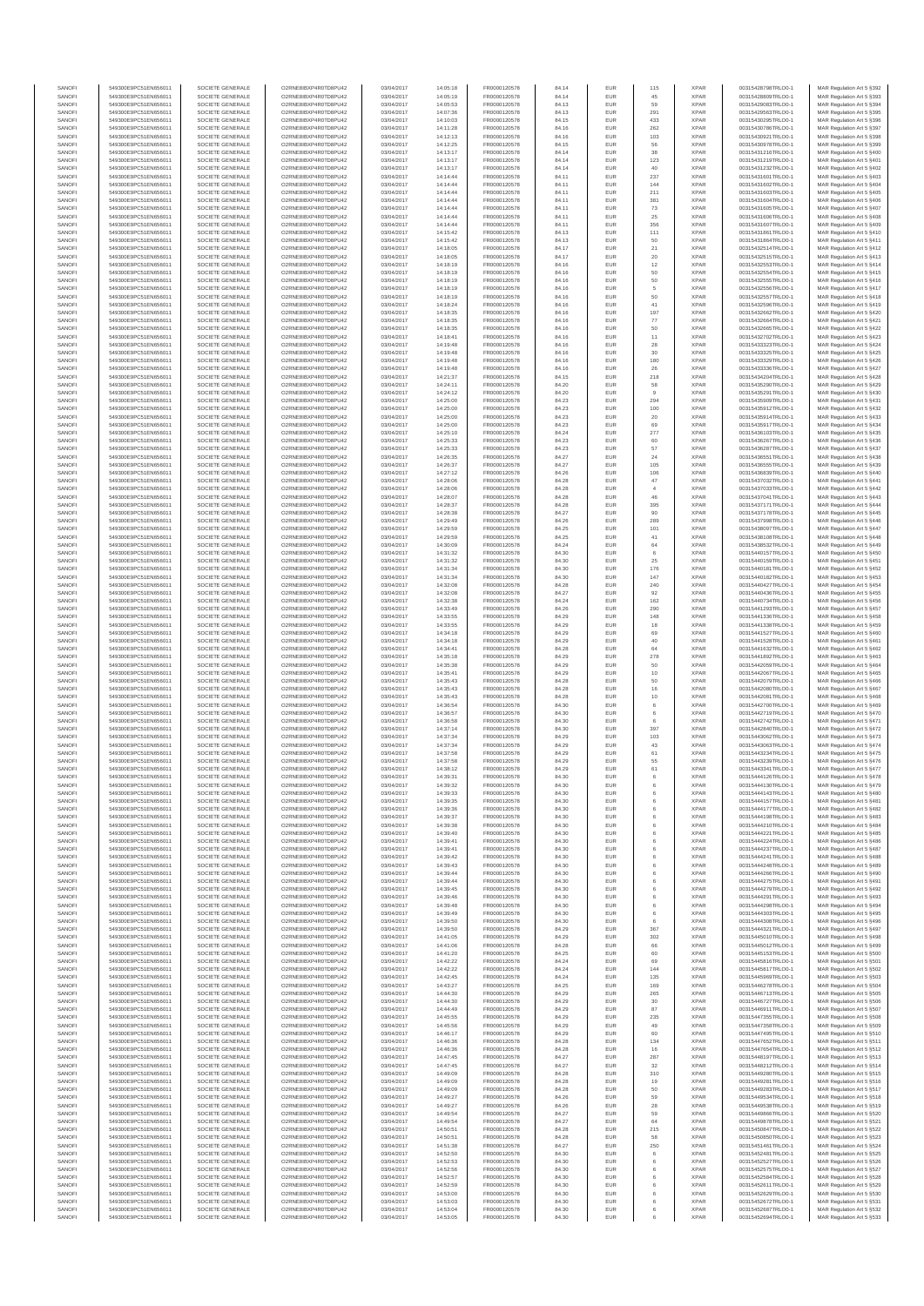| SANOF            | 549300E9PC51EN656011                         | SOCIETE GENERALE                     | O2RNE8IBXP4R0TD8PU42                          | 03/04/2017               | 14:05:18             | FR0000120578                 | 84.14          | EUR                      | 115              | <b>XPAR</b>                | 00315428798TRLO0-1                       | MAR Regulation Art 5 §392                               |
|------------------|----------------------------------------------|--------------------------------------|-----------------------------------------------|--------------------------|----------------------|------------------------------|----------------|--------------------------|------------------|----------------------------|------------------------------------------|---------------------------------------------------------|
| SANOFI<br>SANOFI | 549300E9PC51EN656011                         | SOCIETE GENERALE<br>SOCIETE GENERALE | O2RNE8IBXP4R0TD8PU42                          | 03/04/2017<br>03/04/2017 | 14:05:19             | FR0000120578                 | 84.14<br>84.13 | EUR<br>EUR               | 45<br>59         | <b>XPAR</b><br><b>XPAR</b> | 00315428809TRLO0-1                       | MAR Regulation Art 5 §393                               |
| SANOFI           | 549300E9PC51EN656011<br>549300E9PC51EN656011 | SOCIETE GENERALE                     | O2RNE8IBXP4R0TD8PU42<br>O2RNE8IBXP4R0TD8PU42  | 03/04/2017               | 14:05:53<br>14:07:36 | FR0000120578<br>FR0000120578 | 84.13          | EUR                      | 291              | <b>XPAR</b>                | 00315429083TRLO0-1<br>00315429563TRLO0-1 | MAR Regulation Art 5 §394<br>MAR Regulation Art 5 \$395 |
| SANOFI           | 549300E9PC51EN656011                         | SOCIETE GENERALE                     | O2RNE8IBXP4R0TD8PU42                          | 03/04/2017               | 14:10:03             | FR0000120578                 | 84.15          | EUR                      | 433              | <b>XPAR</b>                | 00315430295TRLO0-1                       | MAR Regulation Art 5 §396                               |
| SANOFI           | 549300E9PC51EN656011                         | SOCIETE GENERALE                     | O2RNE8IBXP4R0TD8PU42                          | 03/04/2017               | 14:11:28             | FR0000120578                 | 84.16          | EUR                      | 262              | <b>XPAR</b>                | 00315430786TRLO0-1                       | MAR Regulation Art 5 §397                               |
| SANOFI<br>SANOFI | 549300E9PC51EN656011<br>549300E9PC51EN656011 | SOCIETE GENERALE<br>SOCIETE GENERALE | O2RNE8IBXP4R0TD8PU42<br>O2RNE8IBXP4R0TD8PU42  | 03/04/2017<br>03/04/2017 | 14:12:13<br>14:12:25 | FR0000120578<br>FR0000120578 | 84.16<br>84.15 | <b>EUR</b><br>EUR        | 103<br>56        | <b>XPAR</b><br><b>XPAR</b> | 00315430921TRLO0-1<br>00315430978TRLO0-1 | MAR Regulation Art 5 \$398<br>MAR Regulation Art 5 §399 |
| SANOFI           | 549300E9PC51EN656011                         | SOCIETE GENERALE                     | O2RNE8IBXP4R0TD8PU42                          | 03/04/2017               | 14:13:17             | FR0000120578                 | 84.14          | <b>EUR</b>               | 38               | <b>XPAR</b>                | 00315431216TRLO0-1                       | MAR Regulation Art 5 §400                               |
| SANOFI           | 549300E9PC51EN656011                         | SOCIETE GENERALE                     | O2RNE8IBXP4R0TD8PU42                          | 03/04/2017               | 14:13:17             | FR0000120578                 | 84.14          | EUR                      | 123              | <b>XPAR</b>                | 00315431219TRLO0-1                       | MAR Regulation Art 5 §401                               |
| SANOFI<br>SANOFI | 549300E9PC51EN656011<br>549300E9PC51EN656011 | SOCIETE GENERALE<br>SOCIETE GENERALE | O2RNE8IBXP4R0TD8PU42<br>O2RNE8IBXP4R0TD8PU42  | 03/04/2017<br>03/04/2017 | 14:13:17<br>14:14:44 | FR0000120578                 | 84.14          | EUR                      | $40\,$           | <b>XPAR</b><br><b>XPAR</b> | 00315431232TRLO0-1                       | MAR Regulation Art 5 §402                               |
| SANOFI           | 549300E9PC51EN656011                         | SOCIETE GENERALE                     | O2RNE8IBXP4R0TD8PU42                          | 03/04/2017               | 14:14:44             | FR0000120578<br>FR0000120578 | 84.11<br>84.11 | EUR<br>EUR               | 237<br>144       | <b>XPAR</b>                | 00315431601TRLO0-1<br>00315431602TRLO0-1 | MAR Regulation Art 5 §403<br>MAR Regulation Art 5 §404  |
| SANOFI           | 549300E9PC51EN656011                         | SOCIETE GENERALE                     | O2RNE8IBXP4R0TD8PU42                          | 03/04/2017               | 14:14:44             | FR0000120578                 | 84.11          | EUR                      | 211              | <b>XPAR</b>                | 00315431603TRLO0-1                       | MAR Regulation Art 5 §405                               |
| SANOFI           | 549300E9PC51EN656011                         | SOCIETE GENERALE                     | O2RNE8IBXP4R0TD8PU42                          | 03/04/2017               | 14:14:44             | FR0000120578                 | 84.11          | EUR                      | 381              | <b>XPAR</b>                | 00315431604TRLO0-1                       | MAR Regulation Art 5 §406                               |
| SANOFI<br>SANOFI | 549300E9PC51EN656011<br>549300E9PC51EN656011 | SOCIETE GENERALE<br>SOCIETE GENERALE | O2RNE8IBXP4R0TD8PU42<br>O2RNE8IBXP4R0TD8PU42  | 03/04/2017<br>03/04/2017 | 14:14:44<br>14:14:44 | FR0000120578<br>FR0000120578 | 84.11<br>84.11 | <b>EUR</b><br>EUR        | 73<br>25         | <b>XPAR</b><br><b>XPAR</b> | 00315431605TRLO0-1<br>00315431606TRLO0-1 | MAR Regulation Art 5 §407<br>MAR Regulation Art 5 §408  |
| SANOFI           | 549300E9PC51EN656011                         | SOCIETE GENERALE                     | O2RNE8IBXP4R0TD8PU42                          | 03/04/2017               | 14:14:44             | FR0000120578                 | 84.11          | <b>EUR</b>               | 356              | <b>XPAR</b>                | 00315431607TRLO0-1                       | MAR Regulation Art 5 §409                               |
| SANOFI           | 549300E9PC51EN656011                         | SOCIETE GENERALE                     | O2RNE8IBXP4R0TD8PU42                          | 03/04/2017               | 14:15:42             | FR0000120578                 | 84.13          | EUR                      | 111              | <b>XPAR</b>                | 00315431861TRLO0-1                       | MAR Regulation Art 5 §410                               |
| SANOFI           | 549300E9PC51EN656011                         | SOCIETE GENERALE                     | O2RNE8IBXP4R0TD8PU42                          | 03/04/2017               | 14:15:42             | FR0000120578                 | 84.13          | EUR                      | 50               | <b>XPAR</b>                | 00315431864TRLO0-1                       | MAR Regulation Art 5 §411                               |
| SANOFI<br>SANOFI | 549300E9PC51EN656011<br>549300E9PC51EN656011 | SOCIETE GENERALE<br>SOCIETE GENERALE | O2RNE8IBXP4R0TD8PU42<br>O2RNE8IBXP4R0TD8PU42  | 03/04/2017<br>03/04/2017 | 14:18:05<br>14:18:05 | FR0000120578<br>FR0000120578 | 84.17<br>84.17 | EUR<br>EUR               | $21\,$<br>$20\,$ | <b>XPAR</b><br><b>XPAR</b> | 00315432514TRLO0-1<br>00315432515TRLO0-1 | MAR Regulation Art 5 §412<br>MAR Regulation Art 5 §413  |
| SANOFI           | 549300E9PC51EN656011                         | SOCIETE GENERALE                     | O2RNE8IBXP4R0TD8PU42                          | 03/04/2017               | 14:18:19             | FR0000120578                 | 84.16          | <b>EUR</b>               | 12               | <b>XPAR</b>                | 00315432553TRLO0-1                       | MAR Regulation Art 5 §414                               |
| SANOFI           | 549300E9PC51EN656011                         | SOCIETE GENERALE                     | O2RNE8IBXP4R0TD8PU42                          | 03/04/2017               | 14:18:19             | FR0000120578                 | 84.16          | EUR                      | 50               | <b>XPAR</b>                | 00315432554TRLO0-1                       | MAR Regulation Art 5 §415                               |
| SANOFI<br>SANOFI | 549300E9PC51EN656011<br>549300E9PC51EN656011 | SOCIETE GENERALE<br>SOCIETE GENERALE | O2RNE8IBXP4R0TD8PU42<br>O2RNE8IBXP4R0TD8PU42  | 03/04/2017<br>03/04/2017 | 14:18:19<br>14:18:19 | FR0000120578<br>FR0000120578 | 84.16<br>84.16 | <b>EUR</b><br>EUR        | $50\,$<br>5      | <b>XPAR</b><br><b>XPAR</b> | 00315432555TRLO0-1<br>00315432556TRLO0-1 | MAR Regulation Art 5 §416<br>MAR Regulation Art 5 §417  |
| SANOFI           | 549300E9PC51EN656011                         | SOCIETE GENERALE                     | O2RNE8IBXP4R0TD8PU42                          | 03/04/2017               | 14:18:19             | FR0000120578                 | 84.16          | <b>EUR</b>               | 50               | <b>XPAR</b>                | 00315432557TRLO0-1                       | MAR Regulation Art 5 §418                               |
| SANOFI           | 549300E9PC51EN656011                         | SOCIETE GENERALE                     | O2RNE8IBXP4R0TD8PU42                          | 03/04/2017               | 14:18:24             | FR0000120578                 | 84.16          | EUR                      | 41               | <b>XPAR</b>                | 00315432596TRLO0-1                       | MAR Regulation Art 5 §419                               |
| SANOFI           | 549300E9PC51EN656011                         | SOCIETE GENERALE                     | O2RNE8IBXP4R0TD8PU42                          | 03/04/2017               | 14:18:35             | FR0000120578                 | 84.16          | EUR                      | 197              | <b>XPAR</b>                | 00315432662TRLO0-1                       | MAR Regulation Art 5 §420                               |
| SANOFI<br>SANOFI | 549300E9PC51EN656011<br>549300E9PC51EN656011 | SOCIETE GENERALE<br>SOCIETE GENERALE | O2RNE8IBXP4R0TD8PU42<br>O2RNE8IBXP4R0TD8PU42  | 03/04/2017<br>03/04/2017 | 14:18:35<br>14:18:35 | FR0000120578<br>FR0000120578 | 84.16<br>84.16 | EUR<br>EUR               | $77\,$<br>50     | <b>XPAR</b><br><b>XPAR</b> | 00315432664TRLO0-1<br>00315432665TRLO0-1 | MAR Regulation Art 5 §421<br>MAR Regulation Art 5 §422  |
| SANOFI           | 549300E9PC51EN656011                         | SOCIETE GENERALE                     | O2RNE8IBXP4R0TD8PU42                          | 03/04/2017               | 14:18:41             | FR0000120578                 | 84.16          | <b>EUR</b>               | 11               | <b>XPAR</b>                | 00315432702TRLO0-1                       | MAR Regulation Art 5 §423                               |
| SANOFI           | 549300E9PC51EN656011                         | SOCIETE GENERALE                     | O2RNE8IBXP4R0TD8PU42                          | 03/04/2017               | 14:19:48             | FR0000120578                 | 84.16          | EUR                      | $\sqrt{28}$      | <b>XPAR</b>                | 00315433323TRLO0-1                       | MAR Regulation Art 5 §424                               |
| SANOFI<br>SANOFI | 549300E9PC51EN656011<br>549300E9PC51EN656011 | SOCIETE GENERALE<br>SOCIETE GENERALE | O2RNE8IBXP4R0TD8PU42<br>O2RNE8IBXP4R0TD8PU42  | 03/04/2017<br>03/04/2017 | 14:19:48<br>14:19:48 | FR0000120578<br>FR0000120578 | 84.16<br>84.16 | <b>EUR</b><br>EUR        | 30               | <b>XPAR</b><br><b>XPAR</b> | 00315433325TRLO0-1<br>00315433329TRLO0-1 | MAR Regulation Art 5 §425                               |
| SANOFI           | 549300E9PC51EN656011                         | SOCIETE GENERALE                     | O2RNE8IBXP4R0TD8PU42                          | 03/04/2017               | 14:19:48             | FR0000120578                 | 84.16          | EUR                      | 180<br>26        | <b>XPAR</b>                | 00315433336TRLO0-1                       | MAR Regulation Art 5 §426<br>MAR Regulation Art 5 §427  |
| SANOFI           | 549300E9PC51EN656011                         | SOCIETE GENERALE                     | O2RNE8IBXP4R0TD8PU42                          | 03/04/2017               | 14:21:37             | FR0000120578                 | 84.15          | EUR                      | 218              | <b>XPAR</b>                | 00315434204TRLO0-1                       | MAR Regulation Art 5 §428                               |
| SANOFI           | 549300E9PC51EN656011                         | SOCIETE GENERALE                     | O2RNE8IBXP4R0TD8PU42                          | 03/04/2017               | 14:24:11             | FR0000120578                 | 84.20          | EUR                      | 58               | <b>XPAR</b>                | 00315435290TRLO0-1                       | MAR Regulation Art 5 §429                               |
| SANOFI<br>SANOFI | 549300E9PC51EN656011<br>549300E9PC51EN656011 | SOCIETE GENERALE<br>SOCIETE GENERALE | O2RNE8IBXP4R0TD8PU42<br>O2RNE8IBXP4R0TD8PU42  | 03/04/2017<br>03/04/2017 | 14:24:12<br>14:25:00 | FR0000120578<br>FR0000120578 | 84.20<br>84.23 | EUR<br>EUR               | 294              | <b>XPAR</b><br><b>XPAR</b> | 00315435291TRLO0-1<br>00315435909TRLO0-1 | MAR Regulation Art 5 §430<br>MAR Regulation Art 5 §431  |
| SANOFI           | 549300E9PC51EN656011                         | SOCIETE GENERALE                     | O2RNE8IBXP4R0TD8PU42                          | 03/04/2017               | 14:25:00             | FR0000120578                 | 84.23          | <b>EUR</b>               | 100              | <b>XPAR</b>                | 00315435912TRLO0-1                       | MAR Regulation Art 5 §432                               |
| SANOFI           | 549300E9PC51EN656011                         | SOCIETE GENERALE                     | O2RNE8IBXP4R0TD8PU42                          | 03/04/2017               | 14:25:00             | FR0000120578                 | 84.23          | EUR                      | 20               | <b>XPAR</b>                | 00315435914TRLO0-1                       | MAR Regulation Art 5 §433                               |
| SANOFI<br>SANOFI | 549300E9PC51EN656011<br>549300E9PC51EN656011 | SOCIETE GENERALE<br>SOCIETE GENERALE | O2RNE8IBXP4R0TD8PLI42<br>O2RNE8IBXP4R0TD8PU42 | 03/04/2017<br>03/04/2017 | 14:25:00<br>14:25:10 | FR0000120578<br>FR0000120578 | 84.23<br>84.24 | <b>EUR</b><br>EUR        | 69               | <b>XPAR</b><br><b>XPAR</b> | 00315435917TRLO0-1<br>00315436103TRLO0-1 | MAR Regulation Art 5 §434<br>MAR Regulation Art 5 \$435 |
| SANOFI           | 549300E9PC51EN656011                         | SOCIETE GENERALE                     | O2RNE8IBXP4R0TD8PU42                          | 03/04/2017               | 14:25:33             | FR0000120578                 | 84.23          | EUR                      | 277<br>60        | <b>XPAR</b>                | 00315436267TRLO0-1                       | MAR Regulation Art 5 §436                               |
| SANOFI           | 549300E9PC51EN656011                         | SOCIETE GENERALE                     | O2RNE8IBXP4R0TD8PU42                          | 03/04/2017               | 14:25:33             | FR0000120578                 | 84.23          | EUR                      | 57               | <b>XPAR</b>                | 00315436287TRLO0-1                       | MAR Regulation Art 5 §437                               |
| SANOFI           | 549300E9PC51EN656011                         | SOCIETE GENERALE                     | O2RNE8IBXP4R0TD8PU42                          | 03/04/2017               | 14:26:35             | FR0000120578                 | 84.27          | EUR                      | $\mathbf{^{24}}$ | <b>XPAR</b>                | 00315436551TRLO0-1                       | MAR Regulation Art 5 §438                               |
| SANOFI<br>SANOFI | 549300E9PC51EN656011<br>549300E9PC51EN656011 | SOCIETE GENERALE<br>SOCIETE GENERALE | O2RNE8IBXP4R0TD8PU42<br>O2RNE8IBXP4R0TD8PU42  | 03/04/2017<br>03/04/2017 | 14:26:37<br>14:27:12 | FR0000120578<br>FR0000120578 | 84.27<br>84.26 | EUR<br>EUR               | 105<br>106       | <b>XPAR</b><br><b>XPAR</b> | 00315436555TRLO0-1<br>00315436839TRLO0-1 | MAR Regulation Art 5 §439<br>MAR Regulation Art 5 §440  |
| SANOFI           | 549300E9PC51EN656011                         | SOCIETE GENERALE                     | O2RNE8IBXP4R0TD8PU42                          | 03/04/2017               | 14:28:06             | FR0000120578                 | 84.28          | <b>EUR</b>               | $47\,$           | <b>XPAR</b>                | 00315437032TRLO0-1                       | MAR Regulation Art 5 §441                               |
| SANOFI           | 549300E9PC51EN656011                         | SOCIETE GENERALE                     | O2RNE8IBXP4R0TD8PU42                          | 03/04/2017               | 14:28:06             | FR0000120578                 | 84.28          | EUR                      | $\overline{4}$   | <b>XPAR</b>                | 00315437033TRLO0-1                       | MAR Regulation Art 5 \$442                              |
| SANOFI           | 549300E9PC51EN656011                         | SOCIETE GENERALE                     | O2RNE8IBXP4R0TD8PU42                          | 03/04/2017               | 14:28:07             | FR0000120578                 | 84.28          | <b>EUR</b>               | 46               | <b>XPAR</b>                | 00315437041TRLO0-1                       | MAR Regulation Art 5 §443                               |
| SANOFI<br>SANOFI | 549300E9PC51EN656011<br>549300E9PC51EN656011 | SOCIETE GENERALE<br>SOCIETE GENERALE | O2RNE8IBXP4R0TD8PU42<br>O2RNE8IBXP4R0TD8PU42  | 03/04/2017<br>03/04/2017 | 14:28:37<br>14:28:38 | FR0000120578<br>FR0000120578 | 84.28<br>84.27 | EUR<br>EUR               | 395<br>$90\,$    | <b>XPAR</b><br><b>XPAR</b> | 00315437171TRLO0-1<br>00315437178TRLO0-1 | MAR Regulation Art 5 §444<br>MAR Regulation Art 5 §445  |
| SANOFI           | 549300E9PC51EN656011                         | SOCIETE GENERALE                     | O2RNE8IBXP4R0TD8PU42                          | 03/04/2017               | 14:29:49             | FR0000120578                 | 84.26          | EUR                      | 289              | <b>XPAR</b>                | 00315437998TRLO0-1                       | MAR Regulation Art 5 §446                               |
| SANOFI           | 549300E9PC51EN656011                         | SOCIETE GENERALE                     | O2RNE8IBXP4R0TD8PU42                          | 03/04/2017               | 14:29:59             | FR0000120578                 | 84.25          | EUR                      | 101              | <b>XPAR</b>                | 00315438097TRLO0-1                       | MAR Regulation Art 5 §447                               |
| SANOFI           | 549300E9PC51EN656011                         | SOCIETE GENERALE                     | O2RNE8IBXP4R0TD8PU42                          | 03/04/2017               | 14:29:59             | FR0000120578                 | 84.25          | <b>EUR</b>               | 41               | <b>XPAR</b>                | 00315438108TRLO0-1                       | MAR Regulation Art 5 §448                               |
| SANOFI<br>SANOFI | 549300E9PC51EN656011<br>549300E9PC51EN656011 | SOCIETE GENERALE<br>SOCIETE GENERALE | O2RNE8IBXP4R0TD8PU42<br>O2RNE8IBXP4R0TD8PU42  | 03/04/2017<br>03/04/2017 | 14:30:09<br>14:31:32 | FR0000120578<br>FR0000120578 | 84.24<br>84.30 | EUR<br><b>EUR</b>        | $_{\rm 64}$<br>6 | <b>XPAR</b><br><b>XPAR</b> | 00315438532TRLO0-1<br>00315440157TRLO0-1 | MAR Regulation Art 5 §449<br>MAR Regulation Art 5 §450  |
| SANOFI           | 549300E9PC51EN656011                         | SOCIETE GENERALE                     | O2RNE8IBXP4R0TD8PU42                          | 03/04/2017               | 14:31:32             | FR0000120578                 | 84.30          | EUR                      | 25               | <b>XPAR</b>                | 00315440159TRLO0-1                       | MAR Regulation Art 5 §451                               |
| SANOFI           | 549300E9PC51EN656011                         | SOCIETE GENERALE                     | O2RNE8IBXP4R0TD8PU42                          | 03/04/2017               | 14:31:34             | FR0000120578                 | 84.30          | <b>EUR</b>               | 176              | <b>XPAR</b>                | 00315440181TRLO0-1                       | MAR Regulation Art 5 §452                               |
| SANOFI           | 549300E9PC51EN656011                         | SOCIETE GENERALE                     | O2RNE8IBXP4R0TD8PU42                          | 03/04/2017               | 14:31:34             | FR0000120578                 | 84.30          | EUR                      | 147              | <b>XPAR</b>                | 00315440182TRLO0-1                       | MAR Regulation Art 5 §453                               |
| SANOFI<br>SANOFI | 549300E9PC51EN656011<br>549300E9PC51EN656011 | SOCIETE GENERALE<br>SOCIETE GENERALE | O2RNE8IBXP4R0TD8PU42<br>O2RNE8IBXP4R0TD8PU42  | 03/04/2017<br>03/04/2017 | 14:32:08<br>14:32:08 | FR0000120578<br>FR0000120578 | 84.28<br>84.27 | EUR<br>EUR               | 240<br>92        | <b>XPAR</b><br><b>XPAR</b> | 00315440427TRLO0-1<br>00315440436TRLO0-1 | MAR Regulation Art 5 §454<br>MAR Regulation Art 5 §455  |
| SANOFI           | 549300E9PC51EN656011                         | SOCIETE GENERALE                     | O2RNE8IBXP4R0TD8PU42                          | 03/04/2017               | 14:32:38             | FR0000120578                 | 84.24          | EUR                      | 162              | <b>XPAR</b>                | 00315440734TRLO0-1                       | MAR Regulation Art 5 §456                               |
| SANOFI           | 549300E9PC51EN656011                         | SOCIETE GENERALE                     | O2RNE8IBXP4R0TD8PU42                          | 03/04/2017               | 14:33:49             | FR0000120578                 | 84.26          | <b>EUR</b>               | 290              | <b>XPAR</b>                | 00315441293TRLO0-1                       | MAR Regulation Art 5 §457                               |
| SANOFI<br>SANOFI | 549300E9PC51EN656011<br>549300E9PC51EN656011 | SOCIETE GENERALE<br>SOCIETE GENERALE | O2RNE8IBXP4R0TD8PU42<br>O2RNE8IBXP4R0TD8PU42  | 03/04/2017<br>03/04/2017 | 14:33:55<br>14:33:55 | FR0000120578<br>FR0000120578 | 84.29<br>84.29 | EUR<br><b>EUR</b>        | 148<br>18        | <b>XPAR</b><br><b>XPAR</b> | 00315441336TRLO0-1<br>00315441338TRLO0-1 | MAR Regulation Art 5 §458<br>MAR Regulation Art 5 §459  |
| SANOFI           | 549300E9PC51EN656011                         | SOCIETE GENERALE                     | O2RNE8IBXP4R0TD8PU42                          | 03/04/2017               | 14:34:18             | FR0000120578                 | 84.29          | EUR                      | 69               | <b>XPAR</b>                | 00315441527TRLO0-1                       | MAR Regulation Art 5 §460                               |
| SANOFI           | 549300E9PC51EN656011                         | SOCIETE GENERALE                     | O2RNE8IBXP4R0TD8PU42                          | 03/04/2017               | 14:34:18             | FR0000120578                 | 84.29          | EUR                      | 40               | <b>XPAR</b>                | 00315441528TRLO0-1                       | MAR Regulation Art 5 §461                               |
| SANOFI           | 549300E9PC51EN656011                         | SOCIETE GENERALE                     | O2RNE8IBXP4R0TD8PU42                          | 03/04/2017               | 14:34:41             | FR0000120578                 | 84.28          | EUR                      | 64               | <b>XPAR</b>                | 00315441632TRLO0-1                       | MAR Regulation Art 5 §462                               |
| SANOFI<br>SANOFI | 549300E9PC51EN656011<br>549300E9PC51EN656011 | SOCIETE GENERALE<br>SOCIETE GENERALE | O2RNE8IBXP4R0TD8PU42<br>O2RNE8IBXP4R0TD8PU42  | 03/04/2017<br>03/04/2017 | 14:35:18<br>14:35:38 | FR0000120578<br>FR0000120578 | 84.29<br>84.29 | EUR<br>EUR               | 278<br>50        | <b>XPAR</b><br><b>XPAR</b> | 00315441892TRLO0-1<br>00315442059TRLO0-1 | MAR Regulation Art 5 §463<br>MAR Regulation Art 5 §464  |
| SANOFI           | 549300E9PC51EN656011                         | SOCIETE GENERALE                     | O2RNE8IBXP4R0TD8PU42                          | 03/04/2017               | 14:35:41             | FR0000120578                 | 84.29          | EUR                      | 10               | <b>XPAR</b>                | 00315442067TRLO0-1                       | MAR Regulation Art 5 §465                               |
| SANOFI           | 549300E9PC51EN656011                         | SOCIETE GENERALE                     | O2RNE8IBXP4R0TD8PU42                          | 03/04/2017               | 14:35:43             | FR0000120578                 | 84.28          | <b>EUR</b>               | 50               | <b>XPAR</b>                | 00315442079TRLO0-1                       | MAR Regulation Art 5 §466                               |
| SANOFI           | 549300E9PC51EN656011                         | SOCIETE GENERALE                     | O2RNE8IBXP4R0TD8PU42                          | 03/04/2017               | 14:35:43             | FR0000120578                 | 84.28          | EUR                      | 16               | <b>XPAR</b>                | 00315442080TRLO0-1                       | MAR Regulation Art 5 \$467                              |
| SANOFI<br>SANOFI | 549300E9PC51EN656011<br>549300E9PC51EN656011 | SOCIETE GENERALE<br>SOCIETE GENERALE | O2RNE8IBXP4R0TD8PU42<br>O2RNE8IBXP4R0TD8PU42  | 03/04/2017<br>03/04/2017 | 14:35:43<br>14:36:54 | FR0000120578<br>FR0000120578 | 84.28<br>84.30 | <b>EUR</b><br>EUR        | 10<br>6          | <b>XPAR</b><br><b>XPAR</b> | 00315442081TRLO0-1<br>00315442700TRLO0-1 | MAR Regulation Art 5 §468<br>MAR Regulation Art 5 \$469 |
| SANOFI           | 549300E9PC51EN656011                         | SOCIETE GENERALE                     | O2RNE8IBXP4R0TD8PU42                          | 03/04/2017               | 14:36:57             | FR0000120578                 | 84.30          | EUR                      | $_{\rm 6}$       | <b>XPAR</b>                | 00315442719TRLO0-1                       | MAR Regulation Art 5 §470                               |
| SANOFI           | 549300E9PC51EN656011                         | SOCIETE GENERALE                     | O2RNE8IBXP4R0TD8PU42                          | 03/04/2017               | 14:36:58             | FR0000120578                 | 84.30          | EUR                      |                  | <b>XPAR</b>                | 00315442742TRLO0-1                       | MAR Regulation Art 5 §471                               |
| SANOFI<br>SANOFI | 549300E9PC51EN656011                         | SOCIETE GENERALE                     | O2RNE8IBXP4R0TD8PLI42<br>O2RNE8IBXP4R0TD8PU42 | 03/04/2017               | 14:37:14             | FR0000120578                 | 84.30          | EUR                      | 397              | <b>XPAR</b>                | 00315442840TRLO0-1                       | MAR Regulation Art 5 §472                               |
| SANOFI           | 549300E9PC51EN656011<br>549300E9PC51EN656011 | SOCIETE GENERALE<br>SOCIETE GENERALE | O2RNE8IBXP4R0TD8PU42                          | 03/04/2017<br>03/04/2017 | 14:37:34<br>14:37:34 | FR0000120578<br>FR0000120578 | 84.29<br>84.29 | EUR<br>EUR               | 103<br>43        | <b>XPAR</b><br><b>XPAR</b> | 00315443062TRLO0-1<br>00315443063TRLO0-1 | MAR Regulation Art 5 §473<br>MAR Regulation Art 5 §474  |
| SANOFI           | 549300E9PC51EN656011                         | SOCIETE GENERALE                     | O2RNE8IBXP4R0TD8PU42                          | 03/04/2017               | 14:37:58             | FR0000120578                 | 84.29          | <b>EUR</b>               | 61               | <b>XPAR</b>                | 00315443234TRLO0-1                       | MAR Regulation Art 5 §475                               |
| SANOFI           | 549300E9PC51EN656011                         | SOCIETE GENERALE                     | O2RNE8IBXP4R0TD8PU42                          | 03/04/2017               | 14:37:58             | FR0000120578                 | 84.29          | EUR                      | 55               | <b>XPAR</b>                | 00315443239TRLO0-1                       | MAR Regulation Art 5 §476                               |
| SANOFI<br>SANOFI | 549300E9PC51EN656011<br>549300E9PC51EN656011 | SOCIETE GENERALE<br>SOCIETE GENERALE | O2RNE8IBXP4R0TD8PU42<br>O2RNE8IBXP4R0TD8PU42  | 03/04/2017<br>03/04/2017 | 14:38:12<br>14:39:31 | FR0000120578<br>FR0000120578 | 84.29<br>84.30 | <b>EUR</b><br>EUR        | 61<br>6          | <b>XPAR</b><br><b>XPAR</b> | 00315443341TRLO0-1<br>00315444126TRLO0-1 | MAR Regulation Art 5 §477<br>MAR Regulation Art 5 §478  |
| SANOFI           | 549300E9PC51EN656011                         | SOCIETE GENERALE                     | O2RNE8IBXP4R0TD8PU42                          | 03/04/2017               | 14:39:32             | FR0000120578                 | 84.30          | EUR                      | 6                | <b>XPAR</b>                | 00315444130TRLO0-1                       | MAR Regulation Art 5 §479                               |
| SANOFI           | 549300E9PC51EN656011                         | SOCIETE GENERALE                     | O2RNE8IBXP4R0TD8PU42                          | 03/04/2017               | 14:39:33             | FR0000120578                 | 84.30          | <b>EUR</b>               | 6                | <b>XPAR</b>                | 00315444143TRLO0-1                       | MAR Regulation Art 5 §480                               |
| SANOFI<br>SANOFI | 549300E9PC51EN656011<br>549300E9PC51EN656011 | SOCIETE GENERALE<br>SOCIETE GENERALE | O2RNE8IBXP4R0TD8PU42<br>O2RNE8IBXP4R0TD8PU42  | 03/04/2017<br>03/04/2017 | 14:39:35<br>14:39:36 | FR0000120578                 | 84.30<br>84.30 | EUR<br>EUR               | 6<br>6           | <b>XPAR</b><br><b>XPAR</b> | 00315444157TRLO0-1<br>00315444177TRLO0-1 | MAR Regulation Art 5 §481<br>MAR Regulation Art 5 §482  |
| SANOFI           | 549300E9PC51EN656011                         | SOCIETE GENERALE                     | O2RNE8IBXP4R0TD8PU42                          | 03/04/2017               | 14:39:37             | FR0000120578<br>FR0000120578 | 84.30          | EUR                      | 6                | <b>XPAR</b>                | 00315444198TRLO0-1                       | MAR Regulation Art 5 §483                               |
| SANOFI           | 549300E9PC51EN656011                         | SOCIETE GENERALE                     | O2RNE8IBXP4R0TD8PU42                          | 03/04/2017               | 14:39:38             | FR0000120578                 | 84.30          | <b>EUR</b>               | 6                | <b>XPAR</b>                | 00315444210TRLO0-1                       | MAR Regulation Art 5 §484                               |
| SANOFI           | 549300E9PC51EN656011                         | SOCIETE GENERALE                     | O2RNE8IBXP4R0TD8PU42                          | 03/04/2017               | 14:39:40             | FR0000120578                 | 84.30          | EUR                      | 6                | <b>XPAR</b>                | 00315444221TRLO0-1                       | MAR Regulation Art 5 §485                               |
| SANOFI<br>SANOFI | 549300E9PC51EN656011<br>549300E9PC51EN656011 | SOCIETE GENERALE<br>SOCIETE GENERALE | O2RNE8IBXP4R0TD8PU42<br>O2RNE8IBXP4R0TD8PU42  | 03/04/2017<br>03/04/2017 | 14:39:41<br>14:39:41 | FR0000120578<br>FR0000120578 | 84.30<br>84.30 | <b>EUR</b><br><b>EUR</b> | 6<br>6           | <b>XPAR</b><br><b>XPAR</b> | 00315444224TRLO0-1<br>00315444237TRLO0-1 | MAR Regulation Art 5 \$486<br>MAR Regulation Art 5 §487 |
| SANOFI           | 549300E9PC51EN656011                         | SOCIETE GENERALE                     | O2RNE8IBXP4R0TD8PU42                          | 03/04/2017               | 14:39:42             | FR0000120578                 | 84.30          | EUR                      | $_{\rm 6}$       | <b>XPAR</b>                | 00315444241TRLO0-1                       | MAR Regulation Art 5 §488                               |
| SANOFI           | 549300E9PC51EN656011                         | SOCIETE GENERALE                     | O2RNE8IBXP4R0TD8PU42                          | 03/04/2017               | 14:39:43             | FR0000120578                 | 84.30          | EUR                      | 6                | <b>XPAR</b>                | 00315444248TRLO0-1                       | MAR Regulation Art 5 §489                               |
| SANOFI<br>SANOFI | 549300E9PC51EN656011<br>549300E9PC51EN656011 | SOCIETE GENERALE<br>SOCIETE GENERALE | O2RNE8IBXP4R0TD8PU42<br>O2RNE8IBXP4R0TD8PU42  | 03/04/2017<br>03/04/2017 | 14:39:44<br>14:39:44 | FR0000120578<br>FR0000120578 | 84.30<br>84.30 | EUR<br><b>EUR</b>        | 6<br>6           | <b>XPAR</b><br><b>XPAR</b> | 00315444266TRLO0-1<br>00315444275TRLO0-1 | MAR Regulation Art 5 §490<br>MAR Regulation Art 5 §491  |
| SANOFI           | 549300E9PC51EN656011                         | SOCIETE GENERALE                     | O2RNE8IBXP4R0TD8PU42                          | 03/04/2017               | 14:39:45             | FR0000120578                 | 84.30          | EUR                      | 6                | <b>XPAR</b>                | 00315444279TRLO0-1                       | MAR Regulation Art 5 §492                               |
| SANOFI           | 549300E9PC51EN656011                         | SOCIETE GENERALE                     | O2RNE8IBXP4R0TD8PU42                          | 03/04/2017               | 14:39:46             | FR0000120578                 | 84.30          | <b>EUR</b>               | 6                | <b>XPAR</b>                | 00315444291TRLO0-1                       | MAR Regulation Art 5 §493                               |
| SANOFI<br>SANOFI | 549300E9PC51EN656011<br>549300E9PC51EN656011 | SOCIETE GENERALE<br>SOCIETE GENERALE | O2RNE8IBXP4R0TD8PU42<br>O2RNE8IBXP4R0TD8PU42  | 03/04/2017<br>03/04/2017 | 14:39:48<br>14:39:49 | FR0000120578<br>FR0000120578 | 84.30<br>84.30 | EUR<br>EUR               | 6<br>$_{\rm 6}$  | <b>XPAR</b><br><b>XPAR</b> | 00315444298TRLO0-1<br>00315444303TRLO0-1 | MAR Regulation Art 5 §494<br>MAR Regulation Art 5 §495  |
| SANOFI           | 549300E9PC51EN656011                         | SOCIETE GENERALE                     | O2RNE8IBXP4R0TD8PU42                          | 03/04/2017               | 14:39:50             | FR0000120578                 | 84.30          | EUR                      | 6                | <b>XPAR</b>                | 00315444308TRLO0-1                       | MAR Regulation Art 5 §496                               |
| SANOFI           | 549300E9PC51EN656011                         | SOCIETE GENERALE                     | O2RNE8IBXP4R0TD8PU42                          | 03/04/2017               | 14:39:50             | FR0000120578                 | 84.29          | EUR                      | 367              | <b>XPAR</b>                | 00315444321TRLO0-1                       | MAR Regulation Art 5 §497                               |
| SANOFI<br>SANOFI | 549300E9PC51EN656011<br>549300E9PC51EN656011 | SOCIETE GENERALE<br>SOCIETE GENERALE | O2RNE8IBXP4R0TD8PU42<br>O2RNE8IBXP4R0TD8PU42  | 03/04/2017<br>03/04/2017 | 14:41:05<br>14:41:06 | FR0000120578<br>FR0000120578 | 84.29<br>84.28 | EUR<br>EUR               | 302<br>66        | <b>XPAR</b><br><b>XPAR</b> | 00315445010TRLO0-1<br>00315445012TRLO0-1 | MAR Regulation Art 5 §498                               |
| SANOFI           | 549300E9PC51EN656011                         | SOCIETE GENERALE                     | O2RNE8IBXP4R0TD8PU42                          | 03/04/2017               | 14:41:20             | FR0000120578                 | 84.25          | <b>EUR</b>               | 60               | <b>XPAR</b>                | 00315445153TRLO0-1                       | MAR Regulation Art 5 §499<br>MAR Regulation Art 5 §500  |
| SANOFI           | 549300E9PC51EN656011                         | SOCIETE GENERALE                     | O2RNE8IBXP4R0TD8PU42                          | 03/04/2017               | 14:42:22             | FR0000120578                 | 84.24          | EUR                      | 69               | <b>XPAR</b>                | 00315445816TRLO0-1                       | MAR Regulation Art 5 §501                               |
| SANOFI           | 549300E9PC51EN656011                         | SOCIETE GENERALE                     | O2RNE8IBXP4R0TD8PU42                          | 03/04/2017               | 14:42:22             | FR0000120578                 | 84.24          | <b>EUR</b>               | 144              | <b>XPAR</b>                | 00315445817TRLO0-1                       | MAR Regulation Art 5 §502                               |
| SANOFI<br>SANOFI | 549300E9PC51EN656011<br>549300E9PC51EN656011 | SOCIETE GENERALE<br>SOCIETE GENERALE | O2RNE8IBXP4R0TD8PU42<br>O2RNE8IBXP4R0TD8PU42  | 03/04/2017<br>03/04/2017 | 14:42:45<br>14:43:27 | FR0000120578<br>FR0000120578 | 84.24<br>84.25 | EUR<br>EUR               | 135<br>169       | <b>XPAR</b><br><b>XPAR</b> | 00315445969TRLO0-1<br>00315446278TRLO0-1 | MAR Regulation Art 5 §503<br>MAR Regulation Art 5 §504  |
| SANOFI           | 549300E9PC51EN656011                         | SOCIETE GENERALE                     | O2RNE8IBXP4R0TD8PU42                          | 03/04/2017               | 14:44:30             | FR0000120578                 | 84.29          | EUR                      | 265              | <b>XPAR</b>                | 00315446713TRLO0-1                       | MAR Regulation Art 5 §505                               |
| SANOFI           | 549300E9PC51EN656011                         | SOCIETE GENERALE                     | O2RNE8IBXP4R0TD8PU42                          | 03/04/2017               | 14:44:30             | FR0000120578                 | 84.29          | EUR                      | $30\,$           | <b>XPAR</b>                | 00315446727TRLO0-1                       | MAR Regulation Art 5 §506                               |
| SANOFI<br>SANOFI | 549300E9PC51EN656011<br>549300E9PC51EN656011 | SOCIETE GENERALE<br>SOCIETE GENERALE | O2RNE8IBXP4R0TD8PU42<br>O2RNE8IBXP4R0TD8PU42  | 03/04/2017<br>03/04/2017 | 14:44:49<br>14:45:55 | FR0000120578<br>FR0000120578 | 84.29<br>84.29 | EUR<br>EUR               | 87<br>235        | <b>XPAR</b><br><b>XPAR</b> | 00315446911TRLO0-1<br>00315447355TRLO0-1 | MAR Regulation Art 5 §507                               |
| SANOFI           | 549300E9PC51EN656011                         | SOCIETE GENERALE                     | O2RNE8IBXP4R0TD8PU42                          | 03/04/2017               | 14:45:56             | FR0000120578                 | 84.29          | <b>EUR</b>               | 49               | <b>XPAR</b>                | 00315447358TRLO0-1                       | MAR Regulation Art 5 §508<br>MAR Regulation Art 5 §509  |
| SANOFI           | 549300E9PC51EN656011                         | SOCIETE GENERALE                     | O2RNE8IBXP4R0TD8PU42                          | 03/04/2017               | 14:46:17             | FR0000120578                 | 84.29          | EUR                      | 60               | <b>XPAR</b>                | 00315447495TRLO0-1                       | MAR Regulation Art 5 §510                               |
| SANOFI           | 549300E9PC51EN656011                         | SOCIETE GENERALE                     | O2RNE8IBXP4R0TD8PU42                          | 03/04/2017               | 14:46:36             | FR0000120578                 | 84.28          | <b>EUR</b>               | 134              | <b>XPAR</b>                | 00315447652TRLO0-1                       | MAR Regulation Art 5 §511                               |
| SANOFI<br>SANOFI | 549300E9PC51EN656011<br>549300E9PC51EN656011 | SOCIETE GENERALE<br>SOCIETE GENERALE | O2RNE8IBXP4R0TD8PU42<br>O2RNE8IBXP4R0TD8PU42  | 03/04/2017<br>03/04/2017 | 14:46:36<br>14:47:45 | FR0000120578<br>FR0000120578 | 84.28<br>84.27 | <b>EUR</b><br>EUR        | 16<br>287        | <b>XPAR</b><br>XPAR        | 00315447654TRLO0-1<br>00315448197TRLO0-1 | MAR Regulation Art 5 §512<br>MAR Regulation Art 5 §513  |
| SANOFI           | 549300E9PC51EN656011                         | SOCIETE GENERALE                     | O2RNE8IBXP4R0TD8PU42                          | 03/04/2017               | 14:47:45             | FR0000120578                 | 84.27          | EUR                      | 32               | <b>XPAR</b>                | 00315448212TRLO0-1                       | MAR Regulation Art 5 §514                               |
| SANOFI           | 549300E9PC51EN656011                         | SOCIETE GENERALE                     | O2RNE8IBXP4R0TD8PU42                          | 03/04/2017               | 14:49:09             | FR0000120578                 | 84.28          | EUR                      | 310              | <b>XPAR</b>                | 00315449280TRLO0-1                       | MAR Regulation Art 5 §515                               |
| SANOFI           | 549300E9PC51EN656011                         | SOCIETE GENERALE                     | O2RNE8IBXP4R0TD8PU42                          | 03/04/2017               | 14:49:09             | FR0000120578                 | 84.28          | EUR                      | 19               | <b>XPAR</b>                | 00315449281TRLO0-1                       | MAR Regulation Art 5 §516                               |
| SANOFI<br>SANOFI | 549300E9PC51EN656011<br>549300E9PC51EN656011 | SOCIETE GENERALE<br>SOCIETE GENERALE | O2RNE8IBXP4R0TD8PU42<br>O2RNE8IBXP4R0TD8PU42  | 03/04/2017<br>03/04/2017 | 14:49:09<br>14:49:27 | FR0000120578<br>FR0000120578 | 84.28<br>84.26 | EUR<br><b>EUR</b>        | 50<br>59         | <b>XPAR</b><br><b>XPAR</b> | 00315449283TRLO0-1<br>00315449534TRLO0-1 | MAR Regulation Art 5 §517<br>MAR Regulation Art 5 §518  |
| SANOFI           | 549300E9PC51EN656011                         | SOCIETE GENERALE                     | O2RNE8IBXP4R0TD8PU42                          | 03/04/2017               | 14:49:27             | FR0000120578                 | 84.26          | EUR                      | 28               | <b>XPAR</b>                | 00315449538TRLO0-1                       | MAR Regulation Art 5 §519                               |
| SANOFI           | 549300E9PC51EN656011                         | SOCIETE GENERALE                     | O2RNE8IBXP4R0TD8PU42                          | 03/04/2017               | 14:49:54             | FR0000120578                 | 84.27          | <b>EUR</b>               | 59               | <b>XPAR</b>                | 00315449866TRLO0-1                       | MAR Regulation Art 5 §520                               |
| SANOFI           | 549300E9PC51EN656011                         | SOCIETE GENERALE                     | O2RNE8IBXP4R0TD8PU42                          | 03/04/2017               | 14:49:54             | FR0000120578                 | 84.27          | EUR                      | 64               | <b>XPAR</b>                | 00315449878TRLO0-1                       | MAR Regulation Art 5 §521                               |
| SANOFI<br>SANOFI | 549300E9PC51EN656011<br>549300E9PC51EN656011 | SOCIETE GENERALE<br>SOCIETE GENERALE | O2RNE8IBXP4R0TD8PU42<br>O2RNE8IBXP4R0TD8PU42  | 03/04/2017<br>03/04/2017 | 14:50:51<br>14:50:51 | FR0000120578<br>FR0000120578 | 84.28<br>84.28 | EUR<br>EUR               | 215<br>58        | <b>XPAR</b><br><b>XPAR</b> | 00315450847TRLO0-1<br>00315450850TRLO0-1 | MAR Regulation Art 5 §522<br>MAR Regulation Art 5 §523  |
| SANOFI           | 549300E9PC51EN656011                         | SOCIETE GENERALE                     | O2RNE8IBXP4R0TD8PU42                          | 03/04/2017               | 14:51:38             | FR0000120578                 | 84.27          | EUR                      | 250              | <b>XPAR</b>                | 00315451461TRLO0-1                       | MAR Regulation Art 5 §524                               |
| SANOFI           | 549300E9PC51EN656011                         | SOCIETE GENERALE                     | O2RNE8IBXP4R0TD8PU42                          | 03/04/2017               | 14:52:50             | FR0000120578                 | 84.30          | <b>EUR</b>               | 6                | <b>XPAR</b>                | 00315452481TRLO0-1                       | MAR Regulation Art 5 §525                               |
| SANOFI<br>SANOFI | 549300E9PC51EN656011<br>549300E9PC51EN656011 | SOCIETE GENERALE<br>SOCIETE GENERALE | O2RNE8IBXP4R0TD8PU42<br>O2RNE8IBXP4R0TD8PU42  | 03/04/2017<br>03/04/2017 | 14:52:53<br>14:52:56 | FR0000120578<br>FR0000120578 | 84.30<br>84.30 | EUR<br><b>EUR</b>        | 6<br>6           | <b>XPAR</b><br><b>XPAR</b> | 00315452527TRLO0-1<br>00315452575TRLO0-1 | MAR Regulation Art 5 §526<br>MAR Regulation Art 5 §527  |
| SANOFI           | 549300E9PC51EN656011                         | SOCIETE GENERALE                     | O2RNE8IBXP4R0TD8PU42                          | 03/04/2017               | 14:52:57             | FR0000120578                 | 84.30          | EUR                      | 6                | <b>XPAR</b>                | 00315452584TRLO0-1                       | MAR Regulation Art 5 §528                               |
| SANOFI           | 549300E9PC51EN656011                         | SOCIETE GENERALE                     | O2RNE8IBXP4R0TD8PU42                          | 03/04/2017               | 14:52:59             | FR0000120578                 | 84.30          | EUR                      | 6                | <b>XPAR</b>                | 00315452611TRLO0-1                       | MAR Regulation Art 5 §529                               |
| SANOFI           | 549300E9PC51EN656011                         | SOCIETE GENERALE                     | O2RNE8IBXP4R0TD8PU42                          | 03/04/2017               | 14:53:00             | FR0000120578                 | 84.30          | EUR                      | 6                | <b>XPAR</b><br><b>XPAR</b> | 00315452629TRLO0-1                       | MAR Regulation Art 5 §530                               |
| SANOFI<br>SANOFI | 549300E9PC51EN656011<br>549300E9PC51EN656011 | SOCIETE GENERALE<br>SOCIETE GENERALE | O2RNE8IBXP4R0TD8PU42<br>O2RNE8IBXP4R0TD8PU42  | 03/04/2017<br>03/04/2017 | 14:53:03<br>14:53:04 | FR0000120578<br>FR0000120578 | 84.30<br>84.30 | EUR<br>EUR               | $_{\rm 6}$<br>6  | <b>XPAR</b>                | 00315452672TRLO0-1<br>00315452687TRLO0-1 | MAR Regulation Art 5 §531<br>MAR Regulation Art 5 §532  |
| SANOFI           | 549300E9PC51EN656011                         | SOCIETE GENERALE                     | O2RNE8IBXP4R0TD8PU42                          | 03/04/2017               | 14:53:05             | FR0000120578                 | 84.30          | EUR                      | 6                | <b>XPAR</b>                | 00315452694TRLO0-1                       | MAR Regulation Art 5 §533                               |
|                  |                                              |                                      |                                               |                          |                      |                              |                |                          |                  |                            |                                          |                                                         |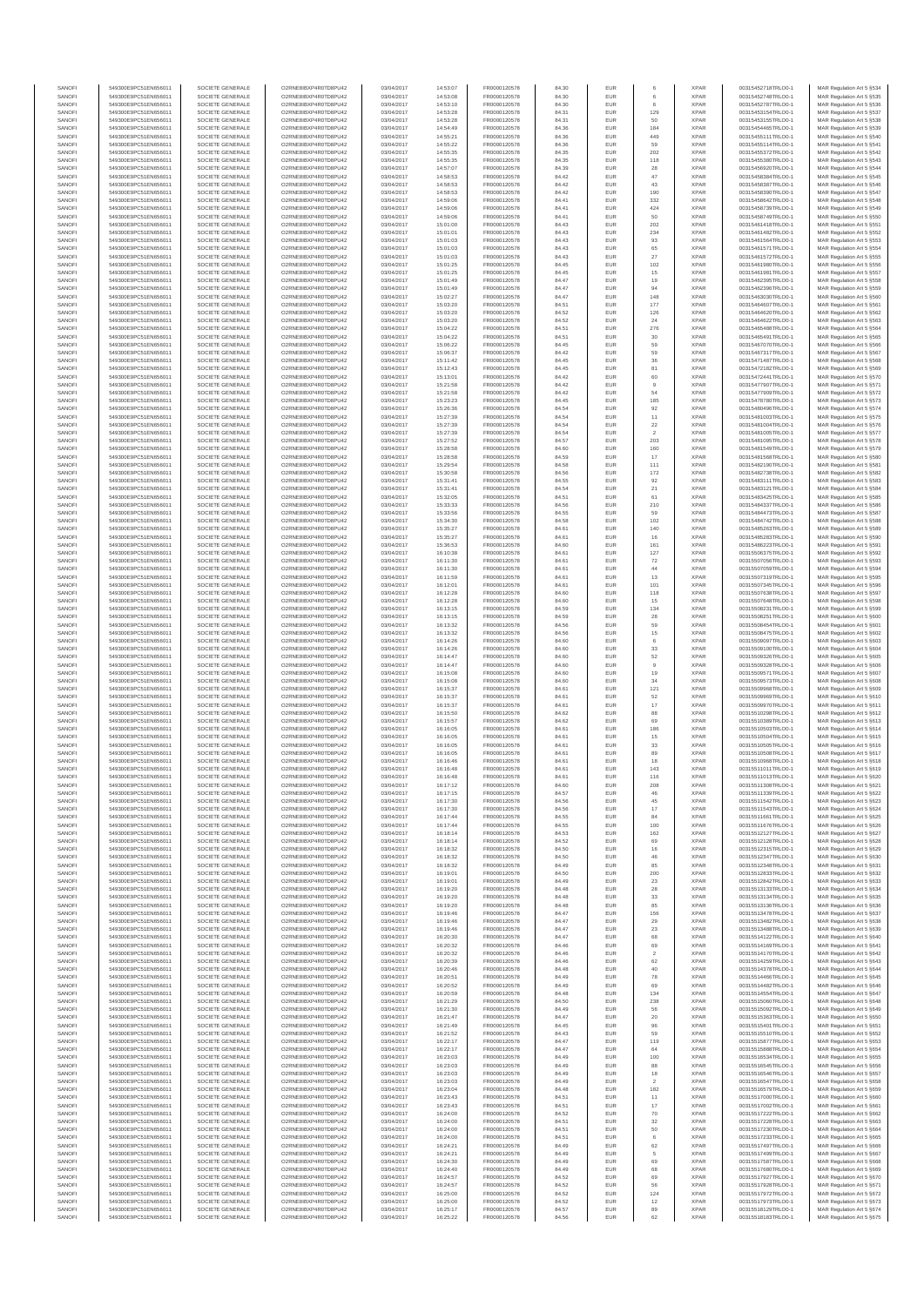| SANOFI<br>SANOFI | 549300E9PC51EN656011<br>549300E9PC51EN656011 | SOCIETE GENERALE<br>SOCIETE GENERALE | O2RNE8IBXP4R0TD8PU42<br>O2RNE8IBXP4R0TD8PU42 | 03/04/2017<br>03/04/2017 | 14:53:07<br>14:53:08 | FR0000120578<br>FR0000120578 | 84.30<br>84.30 | <b>EUR</b><br>EUR |                      | <b>XPAR</b><br><b>XPAR</b> | 00315452718TRLO0-1<br>00315452748TRLO0-1 | MAR Regulation Art 5 §534<br>MAR Regulation Art 5 §535  |
|------------------|----------------------------------------------|--------------------------------------|----------------------------------------------|--------------------------|----------------------|------------------------------|----------------|-------------------|----------------------|----------------------------|------------------------------------------|---------------------------------------------------------|
| SANOFI           | 549300E9PC51EN656011                         | SOCIETE GENERALE                     | O2RNE8IBXP4R0TD8PU42                         | 03/04/2017               | 14:53:10             | FR0000120578                 | 84.30          | <b>EUR</b>        | 6                    | <b>XPAR</b>                | 00315452787TRLO0-1                       | MAR Regulation Art 5 §536                               |
| SANOFI           | 549300E9PC51EN656011                         | SOCIETE GENERALE                     | O2RNE8IBXP4R0TD8PU42                         | 03/04/2017               | 14:53:28             | FR0000120578                 | 84.31          | EUR               | 129                  | <b>XPAR</b>                | 00315453154TRLO0-1                       | MAR Regulation Art 5 §537                               |
| SANOFI<br>SANOFI | 549300E9PC51EN656011<br>549300E9PC51EN656011 | SOCIETE GENERALE<br>SOCIETE GENERALE | O2RNE8IBXP4R0TD8PU42<br>O2RNE8IBXP4R0TD8PU42 | 03/04/2017<br>03/04/2017 | 14:53:28<br>14:54:49 | FR0000120578<br>FR0000120578 | 84.31<br>84.36 | <b>EUR</b><br>EUR | 50<br>184            | <b>XPAR</b><br><b>XPAR</b> | 00315453155TRLO0-1<br>00315454465TRLO0-1 | MAR Regulation Art 5 §538<br>MAR Regulation Art 5 §539  |
| SANOFI           | 549300E9PC51EN656011                         | SOCIETE GENERALE                     | O2RNE8IBXP4R0TD8PU42                         | 03/04/2017               | 14:55:21             | FR0000120578                 | 84.36          | EUR               | 449                  | <b>XPAR</b>                | 00315455111TRLO0-1                       | MAR Regulation Art 5 §540                               |
| SANOFI<br>SANOFI | 549300E9PC51EN656011<br>549300E9PC51EN656011 | SOCIETE GENERALE<br>SOCIETE GENERALE | O2RNE8IBXP4R0TD8PU42<br>O2RNE8IBXP4R0TD8PU42 | 03/04/2017<br>03/04/2017 | 14:55:22<br>14:55:35 | FR0000120578<br>FR0000120578 | 84.36          | EUR<br>EUR        | 59<br>202            | <b>XPAR</b><br><b>XPAR</b> | 00315455114TRLO0-1<br>00315455372TRLO0-1 | MAR Regulation Art 5 §541<br>MAR Regulation Art 5 §542  |
| SANOFI           | 549300E9PC51EN656011                         | SOCIETE GENERALE                     | O2RNE8IBXP4R0TD8PU42                         | 03/04/2017               | 14:55:35             | FR0000120578                 | 84.35<br>84.35 | <b>EUR</b>        | 118                  | <b>XPAR</b>                | 00315455380TRLO0-1                       | MAR Regulation Art 5 §543                               |
| SANOFI           | 549300E9PC51EN656011                         | SOCIETE GENERALE                     | O2RNE8IBXP4R0TD8PU42                         | 03/04/2017               | 14:57:07             | FR0000120578                 | 84.39          | EUR               | 28                   | <b>XPAR</b>                | 00315456920TRLO0-1                       | MAR Regulation Art 5 §544                               |
| SANOFI<br>SANOFI | 549300E9PC51EN656011<br>549300E9PC51EN656011 | SOCIETE GENERALE<br>SOCIETE GENERALE | O2RNE8IBXP4R0TD8PU42<br>O2RNE8IBXP4R0TD8PU42 | 03/04/2017<br>03/04/2017 | 14:58:53<br>14:58:53 | FR0000120578<br>FR0000120578 | 84.42<br>84.42 | <b>EUR</b><br>EUR | 47<br>43             | <b>XPAR</b><br><b>XPAR</b> | 00315458384TRLO0-1<br>00315458387TRLO0-1 | MAR Regulation Art 5 §545<br>MAR Regulation Art 5 §546  |
| SANOFI           | 549300E9PC51EN656011                         | SOCIETE GENERALE                     | O2RNE8IBXP4R0TD8PU42                         | 03/04/2017               | 14:58:53             | FR0000120578                 | 84.42          | <b>EUR</b>        | 190                  | <b>XPAR</b>                | 00315458390TRLO0-1                       | MAR Regulation Art 5 §547                               |
| SANOFI<br>SANOFI | 549300E9PC51EN656011<br>549300E9PC51EN656011 | SOCIETE GENERALE<br>SOCIETE GENERALE | O2RNE8IBXP4R0TD8PU42<br>O2RNE8IBXP4R0TD8PU42 | 03/04/2017<br>03/04/2017 | 14:59:06<br>14:59:06 | FR0000120578<br>FR0000120578 | 84.41<br>84.41 | EUR<br>EUR        | 332<br>424           | <b>XPAR</b><br><b>XPAR</b> | 00315458642TRLO0-1<br>00315458739TRLO0-1 | MAR Regulation Art 5 §548<br>MAR Regulation Art 5 §549  |
| SANOFI           | 549300E9PC51EN656011                         | SOCIETE GENERALE                     | O2RNE8IBXP4R0TD8PU42                         | 03/04/2017               | 14:59:06             | FR0000120578                 | 84.41          | EUR               | 50                   | <b>XPAR</b>                | 00315458749TRLO0-1                       | MAR Regulation Art 5 §550                               |
| SANOFI           | 549300E9PC51EN656011                         | SOCIETE GENERALE                     | O2RNE8IBXP4R0TD8PU42                         | 03/04/2017               | 15:01:00             | FR0000120578                 | 84.43          | EUR               | 202                  | <b>XPAR</b>                | 00315461418TRLO0-1                       | MAR Regulation Art 5 §551                               |
| SANOFI<br>SANOFI | 549300E9PC51EN656011<br>549300E9PC51EN656011 | SOCIETE GENERALE<br>SOCIETE GENERALE | O2RNE8IBXP4R0TD8PU42<br>O2RNE8IBXP4R0TD8PU42 | 03/04/2017<br>03/04/2017 | 15:01:01<br>15:01:03 | FR0000120578<br>FR0000120578 | 84.43<br>84.43 | <b>EUR</b><br>EUR | 234<br>93            | <b>XPAR</b><br><b>XPAR</b> | 00315461482TRLO0-1<br>00315461564TRLO0-1 | MAR Regulation Art 5 §552<br>MAR Regulation Art 5 §553  |
| SANOFI           | 549300E9PC51EN656011                         | SOCIETE GENERALE                     | O2RNE8IBXP4R0TD8PU42                         | 03/04/2017               | 15:01:03             | FR0000120578                 | 84.43          | <b>EUR</b>        | 65                   | <b>XPAR</b>                | 00315461571TRLO0-1                       | MAR Regulation Art 5 §554                               |
| SANOFI<br>SANOFI | 549300E9PC51EN656011<br>549300E9PC51EN656011 | SOCIETE GENERALE<br>SOCIETE GENERALE | O2RNE8IBXP4R0TD8PU42<br>O2RNE8IBXP4R0TD8PU42 | 03/04/2017<br>03/04/2017 | 15:01:03<br>15:01:25 | FR0000120578<br>FR0000120578 | 84.43<br>84.45 | EUR<br>EUR        | 27<br>102            | <b>XPAR</b><br><b>XPAR</b> | 00315461572TRLO0-1<br>00315461980TRLO0-1 | MAR Regulation Art 5 \$555<br>MAR Regulation Art 5 §556 |
| SANOFI           | 549300E9PC51EN656011                         | SOCIETE GENERALE                     | O2RNE8IBXP4R0TD8PU42                         | 03/04/2017               | 15:01:25             | FR0000120578                 | 84.45          | EUR               | 15                   | <b>XPAR</b>                | 00315461981TRLO0-1                       | MAR Regulation Art 5 §557                               |
| SANOFI           | 549300E9PC51EN656011                         | SOCIETE GENERALE                     | O2RNE8IBXP4R0TD8PU42                         | 03/04/2017               | 15:01:49             | FR0000120578                 | 84.47          | EUR               | 19                   | <b>XPAR</b>                | 00315462395TRLO0-1                       | MAR Regulation Art 5 §558                               |
| SANOFI<br>SANOFI | 549300E9PC51EN656011<br>549300E9PC51EN656011 | SOCIETE GENERALE<br>SOCIETE GENERALE | O2RNE8IBXP4R0TD8PU42<br>O2RNE8IBXP4R0TD8PU42 | 03/04/2017<br>03/04/2017 | 15:01:49<br>15:02:27 | FR0000120578<br>FR0000120578 | 84.47<br>84.47 | EUR<br>EUR        | 94<br>148            | <b>XPAR</b><br><b>XPAR</b> | 00315462396TRLO0-1<br>00315463030TRLO0-1 | MAR Regulation Art 5 §559<br>MAR Regulation Art 5 §560  |
| SANOFI           | 549300E9PC51EN656011                         | SOCIETE GENERALE                     | O2RNE8IBXP4R0TD8PU42                         | 03/04/2017               | 15:03:20             | FR0000120578                 | 84.51          | <b>EUR</b>        | 177                  | <b>XPAR</b>                | 00315464607TRLO0-1                       | MAR Regulation Art 5 §561                               |
| SANOFI<br>SANOFI | 549300E9PC51EN656011<br>549300E9PC51EN656011 | SOCIETE GENERALE<br>SOCIETE GENERALE | O2RNE8IBXP4R0TD8PU42<br>O2RNE8IBXP4R0TD8PU42 | 03/04/2017<br>03/04/2017 | 15:03:20<br>15:03:20 | FR0000120578<br>FR0000120578 | 84.52<br>84.52 | EUR<br><b>EUR</b> | 126<br>24            | <b>XPAR</b><br><b>XPAR</b> | 00315464620TRLO0-1<br>00315464622TRLO0-1 | MAR Regulation Art 5 §562<br>MAR Regulation Art 5 §563  |
| SANOFI           | 549300E9PC51EN656011                         | SOCIETE GENERALE                     | O2RNE8IBXP4R0TD8PU42                         | 03/04/2017               | 15:04:22             | FR0000120578                 | 84.51          | EUR               | 276                  | <b>XPAR</b>                | 00315465488TRLO0-1                       | MAR Regulation Art 5 §564                               |
| SANOFI           | 549300E9PC51EN656011                         | SOCIETE GENERALE                     | O2RNE8IBXP4R0TD8PU42                         | 03/04/2017               | 15:04:22             | FR0000120578                 | 84.51          | EUR               | $30\,$               | <b>XPAR</b>                | 00315465491TRLO0-1                       | MAR Regulation Art 5 §565                               |
| SANOFI<br>SANOFI | 549300E9PC51EN656011<br>549300E9PC51EN656011 | SOCIETE GENERALE<br>SOCIETE GENERALE | O2RNE8IBXP4R0TD8PU42<br>O2RNE8IBXP4R0TD8PU42 | 03/04/2017<br>03/04/2017 | 15:06:22<br>15:06:37 | FR0000120578<br>FR0000120578 | 84.45<br>84.42 | EUR<br>EUR        | 59<br>59             | <b>XPAR</b><br><b>XPAR</b> | 00315467070TRLO0-1<br>00315467317TRLO0-1 | MAR Regulation Art 5 §566<br>MAR Regulation Art 5 §567  |
| SANOFI           | 549300E9PC51EN656011                         | SOCIETE GENERALE                     | O2RNE8IBXP4R0TD8PU42                         | 03/04/2017               | 15:11:42             | FR0000120578                 | 84.45          | EUR               | $36\,$               | <b>XPAR</b>                | 00315471487TRLO0-1                       | MAR Regulation Art 5 §568                               |
| SANOFI<br>SANOFI | 549300E9PC51EN656011<br>549300E9PC51EN656011 | SOCIETE GENERALE<br>SOCIETE GENERALE | O2RNE8IBXP4R0TD8PU42<br>O2RNE8IBXP4R0TD8PU42 | 03/04/2017<br>03/04/2017 | 15:12:43<br>15:13:01 | FR0000120578<br>FR0000120578 | 84.45<br>84.42 | EUR<br><b>EUR</b> | 81<br>60             | <b>XPAR</b><br><b>XPAR</b> | 00315472182TRLO0-1<br>00315472441TRLO0-1 | MAR Regulation Art 5 §569<br>MAR Regulation Art 5 §570  |
| SANOFI           | 549300E9PC51EN656011                         | SOCIETE GENERALE                     | O2RNE8IBXP4R0TD8PU42                         | 03/04/2017               | 15:21:58             | FR0000120578                 | 84.42          | EUR               | 9                    | <b>XPAR</b>                | 00315477907TRLO0-1                       | MAR Regulation Art 5 §571                               |
| SANOFI           | 549300E9PC51EN656011                         | SOCIETE GENERALE                     | O2RNE8IBXP4R0TD8PU42                         | 03/04/2017               | 15:21:58             | FR0000120578                 | 84.42          | <b>EUR</b>        | 54                   | <b>XPAR</b>                | 00315477909TRLO0-1                       | MAR Regulation Art 5 §572                               |
| SANOFI<br>SANOFI | 549300E9PC51EN656011<br>549300E9PC51EN656011 | SOCIETE GENERALE<br>SOCIETE GENERALE | O2RNE8IBXP4R0TD8PU42<br>O2RNE8IBXP4R0TD8PU42 | 03/04/2017<br>03/04/2017 | 15:23:23<br>15:26:36 | FR0000120578<br>FR0000120578 | 84.45<br>84.54 | EUR<br>EUR        | 185<br>92            | <b>XPAR</b><br><b>XPAR</b> | 00315478780TRLO0-1<br>00315480496TRLO0-1 | MAR Regulation Art 5 §573<br>MAR Regulation Art 5 §574  |
| SANOFI           | 549300E9PC51EN656011                         | SOCIETE GENERALE                     | O2RNE8IBXP4R0TD8PU42                         | 03/04/2017               | 15:27:39             | FR0000120578                 | 84.54          | EUR               | 11                   | <b>XPAR</b>                | 00315481003TRLO0-1                       | MAR Regulation Art 5 §575                               |
| SANOFI           | 549300E9PC51EN656011                         | SOCIETE GENERALE                     | O2RNE8IBXP4R0TD8PU42                         | 03/04/2017               | 15:27:39             | FR0000120578                 | 84.54          | EUR               | $22\,$               | <b>XPAR</b>                | 00315481004TRLO0-1                       | MAR Regulation Art 5 §576                               |
| SANOFI<br>SANOFI | 549300E9PC51EN656011<br>549300E9PC51EN656011 | SOCIETE GENERALE<br>SOCIETE GENERALE | O2RNE8IBXP4R0TD8PU42<br>O2RNE8IBXP4R0TD8PU42 | 03/04/2017<br>03/04/2017 | 15:27:39<br>15:27:52 | FR0000120578<br>FR0000120578 | 84.54<br>84.57 | EUR<br>EUR        | 203                  | <b>XPAR</b><br><b>XPAR</b> | 00315481005TRLO0-1<br>00315481095TRLO0-1 | MAR Regulation Art 5 §577<br>MAR Regulation Art 5 §578  |
| SANOFI           | 549300E9PC51EN656011                         | SOCIETE GENERALE                     | O2RNE8IBXP4R0TD8PU42                         | 03/04/2017               | 15:28:58             | FR0000120578                 | 84.60          | <b>EUR</b>        | 160                  | <b>XPAR</b>                | 00315481549TRLO0-1                       | MAR Regulation Art 5 §579                               |
| SANOFI<br>SANOFI | 549300E9PC51EN656011<br>549300E9PC51EN656011 | SOCIETE GENERALE<br>SOCIETE GENERALE | O2RNE8IBXP4R0TD8PU42<br>O2RNE8IBXP4R0TD8PU42 | 03/04/2017<br>03/04/2017 | 15:28:58<br>15:29:54 | FR0000120578<br>FR0000120578 | 84.59<br>84.58 | EUR<br><b>EUR</b> | 17<br>111            | <b>XPAR</b><br><b>XPAR</b> | 00315481568TRLO0-1<br>00315482190TRLO0-1 | MAR Regulation Art 5 §580<br>MAR Regulation Art 5 §581  |
| SANOFI           | 549300E9PC51EN656011                         | SOCIETE GENERALE                     | O2RNE8IBXP4R0TD8PU42                         | 03/04/2017               | 15:30:58             | FR0000120578                 | 84.56          | EUR               | 172                  | <b>XPAR</b>                | 00315482738TRLO0-1                       | MAR Regulation Art 5 §582                               |
| SANOFI           | 549300E9PC51EN656011                         | SOCIETE GENERALE                     | O2RNE8IBXP4R0TD8PU42                         | 03/04/2017               | 15:31:41             | FR0000120578                 | 84.55          | EUR               | $92\,$               | <b>XPAR</b>                | 00315483111TRLO0-1                       | MAR Regulation Art 5 §583                               |
| SANOFI<br>SANOFI | 549300E9PC51EN656011<br>549300E9PC51EN656011 | SOCIETE GENERALE<br>SOCIETE GENERALE | O2RNE8IBXP4R0TD8PU42<br>O2RNE8IBXP4R0TD8PU42 | 03/04/2017<br>03/04/2017 | 15:31:41<br>15:32:05 | FR0000120578<br>FR0000120578 | 84.54<br>84.51 | EUR<br>EUR        | $21\,$<br>61         | <b>XPAR</b><br><b>XPAR</b> | 00315483121TRLO0-1<br>00315483425TRLO0-1 | MAR Regulation Art 5 §584<br>MAR Regulation Art 5 §585  |
| SANOFI           | 549300E9PC51EN656011                         | SOCIETE GENERALE                     | O2RNE8IBXP4R0TD8PU42                         | 03/04/2017               | 15:33:33             | FR0000120578                 | 84.56          | <b>EUR</b>        | 210                  | <b>XPAR</b>                | 00315484337TRLO0-1                       | MAR Regulation Art 5 §586                               |
| SANOFI<br>SANOFI | 549300E9PC51EN656011<br>549300E9PC51EN656011 | SOCIETE GENERALE<br>SOCIETE GENERALE | O2RNE8IBXP4R0TD8PU42<br>O2RNE8IBXP4R0TD8PU42 | 03/04/2017<br>03/04/2017 | 15:33:56<br>15:34:30 | FR0000120578<br>FR0000120578 | 84.55<br>84.58 | EUR<br><b>EUR</b> | 59<br>102            | <b>XPAR</b><br><b>XPAR</b> | 00315484473TRLO0-1<br>00315484742TRLO0-1 | MAR Regulation Art 5 §587<br>MAR Regulation Art 5 §588  |
| SANOFI           | 549300E9PC51EN656011                         | SOCIETE GENERALE                     | O2RNE8IBXP4R0TD8PU42                         | 03/04/2017               | 15:35:27             | FR0000120578                 | 84.61          | EUR               | 140                  | <b>XPAR</b>                | 00315485263TRLO0-1                       | MAR Regulation Art 5 §589                               |
| SANOFI           | 549300E9PC51EN656011                         | SOCIETE GENERALE                     | O2RNE8IBXP4R0TD8PU42                         | 03/04/2017               | 15:35:27             | FR0000120578                 | 84.61          | EUR               | 16                   | <b>XPAR</b>                | 00315485283TRLO0-1                       | MAR Regulation Art 5 §590                               |
| SANOFI<br>SANOFI | 549300E9PC51EN656011<br>549300E9PC51EN656011 | SOCIETE GENERALE<br>SOCIETE GENERALE | O2RNE8IBXP4R0TD8PU42<br>O2RNE8IBXP4R0TD8PU42 | 03/04/2017<br>03/04/2017 | 15:36:53<br>16:10:38 | FR0000120578<br>FR0000120578 | 84.60<br>84.61 | EUR<br>EUR        | 161<br>127           | <b>XPAR</b><br><b>XPAR</b> | 00315486223TRLO0-1<br>00315506375TRLO0-1 | MAR Regulation Art 5 §591<br>MAR Regulation Art 5 §592  |
| SANOFI           | 549300E9PC51EN656011                         | SOCIETE GENERALE                     | O2RNE8IBXP4R0TD8PU42                         | 03/04/2017               | 16:11:30             | FR0000120578                 | 84.61          | EUR               | $\scriptstyle{72}$   | <b>XPAR</b>                | 00315507056TRLO0-1                       | MAR Regulation Art 5 §593                               |
| SANOFI<br>SANOFI | 549300E9PC51EN656011<br>549300E9PC51EN656011 | SOCIETE GENERALE<br>SOCIETE GENERALE | O2RNE8IBXP4R0TD8PU42<br>O2RNE8IBXP4R0TD8PU42 | 03/04/2017<br>03/04/2017 | 16:11:30<br>16:11:59 | FR0000120578<br>FR0000120578 | 84.61<br>84.61 | EUR<br><b>EUR</b> | $44\,$<br>13         | <b>XPAR</b><br><b>XPAR</b> | 00315507059TRLO0-1<br>00315507319TRLO0-1 | MAR Regulation Art 5 §594<br>MAR Regulation Art 5 §595  |
| SANOFI           | 549300E9PC51EN656011                         | SOCIETE GENERALE                     | O2RNE8IBXP4R0TD8PU42                         | 03/04/2017               | 16:12:01             | FR0000120578                 | 84.61          | EUR               | 101                  | <b>XPAR</b>                | 00315507345TRLO0-1                       | MAR Regulation Art 5 §596                               |
| SANOFI           | 549300E9PC51EN656011                         | SOCIETE GENERALE                     | O2RNE8IBXP4R0TD8PU42                         | 03/04/2017               | 16:12:28             | FR0000120578                 | 84.60          | <b>EUR</b>        | 118                  | <b>XPAR</b>                | 00315507638TRLO0-1                       | MAR Regulation Art 5 §597                               |
| SANOFI<br>SANOFI | 549300E9PC51EN656011<br>549300E9PC51EN656011 | SOCIETE GENERALE<br>SOCIETE GENERALE | O2RNE8IBXP4R0TD8PU42<br>O2RNE8IBXP4R0TD8PU42 | 03/04/2017<br>03/04/2017 | 16:12:28<br>16:13:15 | FR0000120578<br>FR0000120578 | 84.60<br>84.59 | EUR<br>EUR        | 15<br>134            | <b>XPAR</b><br><b>XPAR</b> | 00315507648TRLO0-1<br>00315508231TRLO0-1 | MAR Regulation Art 5 §598<br>MAR Regulation Art 5 §599  |
| SANOFI           | 549300E9PC51EN656011                         | SOCIETE GENERALE                     | O2RNE8IBXP4R0TD8PU42                         | 03/04/2017               | 16:13:15             | FR0000120578                 | 84.59          | EUR               | ${\bf 28}$           | <b>XPAR</b>                | 00315508251TRLO0-1                       | MAR Regulation Art 5 §600                               |
| SANOFI<br>SANOFI | 549300E9PC51EN656011<br>549300E9PC51EN656011 | SOCIETE GENERALE<br>SOCIETE GENERALE | O2RNE8IBXP4R0TD8PU42<br>O2RNE8IBXP4R0TD8PU42 | 03/04/2017<br>03/04/2017 | 16:13:32<br>16:13:32 | FR0000120578<br>FR0000120578 | 84.56<br>84.56 | EUR<br>EUR        | 59<br>15             | <b>XPAR</b><br><b>XPAR</b> | 00315508454TRLO0-1<br>00315508475TRLO0-1 | MAR Regulation Art 5 §601<br>MAR Regulation Art 5 §602  |
| SANOFI           | 549300E9PC51EN656011                         | SOCIETE GENERALE                     | O2RNE8IBXP4R0TD8PU42                         | 03/04/2017               | 16:14:26             | FR0000120578                 | 84.60          | EUR               | 6                    | <b>XPAR</b>                | 00315509097TRLO0-1                       | MAR Regulation Art 5 §603                               |
| SANOFI           | 549300E9PC51EN656011                         | SOCIETE GENERALE                     | O2RNE8IBXP4R0TD8PU42                         | 03/04/2017               | 16:14:26             | FR0000120578                 | 84.60          | <b>EUR</b>        | 33                   | <b>XPAR</b>                | 00315509100TRLO0-1                       | MAR Regulation Art 5 §604                               |
| SANOFI<br>SANOFI | 549300E9PC51EN656011<br>549300E9PC51EN656011 | SOCIETE GENERALE<br>SOCIETE GENERALE | O2RNE8IBXP4R0TD8PU42<br>O2RNE8IBXP4R0TD8PU42 | 03/04/2017<br>03/04/2017 | 16:14:47<br>16:14:47 | FR0000120578<br>FR0000120578 | 84.60<br>84.60 | EUR<br><b>EUR</b> | 52<br>$_{9}$         | <b>XPAR</b><br><b>XPAR</b> | 00315509326TRLO0-1<br>00315509328TRLO0-1 | MAR Regulation Art 5 §605<br>MAR Regulation Art 5 §606  |
| SANOFI           | 549300E9PC51EN656011                         | SOCIETE GENERALE                     | O2RNE8IBXP4R0TD8PU42                         | 03/04/2017               | 16:15:08             | FR0000120578                 | 84.60          | EUR               | 19                   | <b>XPAR</b>                | 00315509571TRLO0-1                       | MAR Regulation Art 5 §607                               |
| SANOFI<br>SANOFI | 549300E9PC51EN656011<br>549300E9PC51EN656011 | SOCIETE GENERALE<br>SOCIETE GENERALE | O2RNE8IBXP4R0TD8PU42<br>O2RNE8IBXP4R0TD8PU42 | 03/04/2017<br>03/04/2017 | 16:15:08<br>16:15:37 | FR0000120578<br>FR0000120578 | 84.60<br>84.61 | EUR<br>EUR        | $34\,$<br>121        | <b>XPAR</b><br><b>XPAR</b> | 00315509573TRLO0-1<br>00315509968TRLO0-1 | MAR Regulation Art 5 §608<br>MAR Regulation Art 5 §609  |
| SANOFI           | 549300E9PC51EN656011                         | SOCIETE GENERALE                     | O2RNE8IBXP4R0TD8PU42                         | 03/04/2017               | 16:15:37             | FR0000120578                 | 84.61          | EUR               | 52                   | <b>XPAR</b>                | 00315509969TRLO0-1                       | MAR Regulation Art 5 §610                               |
| SANOFI<br>SANOFI | 549300E9PC51EN656011<br>549300E9PC51EN656011 | SOCIETE GENERALE<br>SOCIETE GENERALE | O2RNE8IBXP4R0TD8PU42<br>O2RNE8IBXP4R0TD8PU42 | 03/04/2017<br>03/04/2017 | 16:15:37<br>16:15:50 | FR0000120578<br>FR0000120578 | 84.61<br>84.62 | EUR<br>EUR        | $17\,$<br>88         | <b>XPAR</b><br><b>XPAR</b> | 00315509970TRLO0-1<br>00315510298TRLO0-1 | MAR Regulation Art 5 §611                               |
| SANOFI           | 549300E9PC51EN656011                         | SOCIETE GENERALE                     | O2RNE8IBXP4R0TD8PU42                         | 03/04/2017               | 16:15:57             | FR0000120578                 | 84.62          | <b>EUR</b>        | 69                   | <b>XPAR</b>                | 00315510389TRLO0-1                       | MAR Regulation Art 5 §612<br>MAR Regulation Art 5 §613  |
| SANOFI           | 549300E9PC51EN656011                         | SOCIETE GENERALE                     | O2RNE8IBXP4R0TD8PU42                         | 03/04/2017               | 16:16:05             | FR0000120578                 | 84.61          | EUR               | 186                  | <b>XPAR</b>                | 00315510503TRLO0-1                       | MAR Regulation Art 5 §614                               |
| SANOFI<br>SANOFI | 549300E9PC51EN656011<br>549300E9PC51EN656011 | SOCIETE GENERALE<br>SOCIETE GENERALE | O2RNE8IBXP4R0TD8PU42<br>O2RNE8IBXP4R0TD8PU42 | 03/04/2017<br>03/04/2017 | 16:16:05<br>16:16:05 | FR0000120578<br>FR0000120578 | 84.61<br>84.61 | <b>EUR</b><br>EUR | 15<br>$_{33}$        | <b>XPAR</b><br><b>XPAR</b> | 00315510504TRLO0-1<br>00315510505TRLO0-1 | MAR Regulation Art 5 §615<br>MAR Regulation Art 5 §616  |
| SANOFI           | 549300E9PC51EN656011                         | SOCIETE GENERALE                     | O2RNE8IBXP4R0TD8PU42                         | 03/04/2017               | 16:16:05             | FR0000120578                 | 84.61          | EUR               | 89                   | <b>XPAR</b>                | 00315510508TRLO0-1                       | MAR Regulation Art 5 §617                               |
| SANOFI           | 549300E9PC51EN656011                         | SOCIETE GENERALE                     | O2RNE8IBXP4R0TD8PU42<br>O2RNE8IBXP4R0TD8PU42 | 03/04/2017               | 16:16:46             | FR0000120578                 | 84.61          | EUR               | 18<br>143            | <b>XPAR</b><br><b>XPAR</b> | 00315510968TRLO0-1                       | MAR Regulation Art 5 §618                               |
| SANOFI<br>SANOFI | 549300E9PC51EN656011<br>549300E9PC51EN656011 | SOCIETE GENERALE<br>SOCIETE GENERALE | O2RNE8IBXP4R0TD8PU42                         | 03/04/2017<br>03/04/2017 | 16:16:48<br>16:16:48 | FR0000120578<br>FR0000120578 | 84.61<br>84.61 | EUR<br><b>EUR</b> | 116                  | <b>XPAR</b>                | 00315511011TRLO0-1<br>00315511013TRLO0-1 | MAR Regulation Art 5 §619<br>MAR Regulation Art 5 §620  |
| SANOF            | 549300E9PC51EN656011                         | SOCIETE GENERALE                     | O2RNE8IBXP4R0TD8PU42                         | 03/04/2017               | 16:17:12             | FR0000120578                 | 84.60          | EUR               | 208                  | <b>XPAR</b>                | 00315511308TRLO0-                        | MAR Regulation Art 5 §621                               |
| SANOFI<br>SANOFI | 549300E9PC51EN656011<br>549300E9PC51EN656011 | SOCIETE GENERALE<br>SOCIETE GENERALE | O2RNE8IBXP4R0TD8PU42<br>O2RNE8IBXP4R0TD8PU42 | 03/04/2017<br>03/04/2017 | 16:17:15<br>16:17:30 | FR0000120578<br>FR0000120578 | 84.57<br>84.56 | <b>EUR</b><br>EUR | 46<br>45             | <b>XPAR</b><br><b>XPAR</b> | 00315511339TRLO0-1<br>00315511542TRLO0-1 | MAR Regulation Art 5 §622<br>MAR Regulation Art 5 §623  |
| SANOFI           | 549300E9PC51EN656011                         | SOCIETE GENERALE                     | O2RNE8IBXP4R0TD8PU42                         | 03/04/2017               | 16:17:30             | FR0000120578                 | 84.56          | <b>EUR</b>        | 17                   | <b>XPAR</b>                | 00315511543TRLO0-1                       | MAR Regulation Art 5 §624                               |
| SANOFI           | 549300E9PC51EN656011                         | SOCIETE GENERALE<br>SOCIETE GENERALE | O2RNE8IBXP4R0TD8PU42                         | 03/04/2017               | 16:17:44             | FR0000120578<br>FR0000120578 | 84.55          | <b>EUR</b>        | 84                   | <b>XPAR</b>                | 00315511661TRLO0-1                       | MAR Regulation Art 5 §625                               |
| SANOFI<br>SANOFI | 549300E9PC51EN656011<br>549300E9PC51EN656011 | SOCIETE GENERALE                     | O2RNE8IBXP4R0TD8PU42<br>O2RNE8IBXP4R0TD8PU42 | 03/04/2017<br>03/04/2017 | 16:17:44<br>16:18:14 | FR0000120578                 | 84.55<br>84.53 | EUR<br>EUR        | 100<br>162           | <b>XPAR</b><br><b>XPAR</b> | 00315511676TRLO0-1<br>00315512127TRLO0-1 | MAR Regulation Art 5 §626<br>MAR Regulation Art 5 §627  |
| SANOFI           | 549300E9PC51EN656011                         | SOCIETE GENERALE                     | O2RNE8IBXP4R0TD8PU42                         | 03/04/2017               | 16:18:14             | FR0000120578                 | 84.52          | EUR               | 69                   | <b>XPAR</b>                | 00315512128TRLO0-1                       | MAR Regulation Art 5 §628                               |
| SANOFI<br>SANOFI | 549300E9PC51EN656011<br>549300E9PC51EN656011 | SOCIETE GENERALE<br>SOCIETE GENERALE | O2RNE8IBXP4R0TD8PU42<br>O2RNE8IBXP4R0TD8PU42 | 03/04/2017<br>03/04/2017 | 16:18:32<br>16:18:32 | FR0000120578<br>FR0000120578 | 84.50<br>84.50 | <b>EUR</b><br>EUR | 16<br>46             | <b>XPAR</b><br><b>XPAR</b> | 00315512315TRLO0-1<br>00315512347TRLO0-1 | MAR Regulation Art 5 §629<br>MAR Regulation Art 5 §630  |
| SANOFI           | 549300E9PC51EN656011                         | SOCIETE GENERALE                     | O2RNE8IBXP4R0TD8PU42                         | 03/04/2017               | 16:18:32             | FR0000120578                 | 84.49          | <b>EUR</b>        | 85                   | <b>XPAR</b>                | 00315512348TRLO0-1                       | MAR Regulation Art 5 §631                               |
| SANOFI<br>SANOFI | 549300E9PC51EN656011<br>549300E9PC51EN656011 | SOCIETE GENERALE<br>SOCIETE GENERALE | O2RNE8IBXP4R0TD8PU42<br>O2RNE8IBXP4R0TD8PU42 | 03/04/2017<br>03/04/2017 | 16:19:01<br>16:19:01 | FR0000120578<br>FR0000120578 | 84.50<br>84.49 | EUR<br>EUR        | 200<br>$23\,$        | <b>XPAR</b><br>XPAR        | 00315512833TRLO0-1<br>00315512842TRLO0-1 | MAR Regulation Art 5 §632<br>MAR Regulation Art 5 \$633 |
| SANOFI           | 549300E9PC51EN656011                         | SOCIETE GENERALE                     | O2RNE8IBXP4R0TD8PU42                         | 03/04/2017               | 16:19:20             | FR0000120578                 | 84.48          | EUR               | 28                   | <b>XPAR</b>                | 00315513133TRLO0-1                       | MAR Regulation Art 5 §634                               |
| SANOFI<br>SANOFI | 549300E9PC51EN656011<br>549300E9PC51EN656011 | SOCIETE GENERALE<br>SOCIETE GENERALE | O2RNE8IBXP4R0TD8PU42<br>O2RNE8IBXP4R0TD8PU42 | 03/04/2017<br>03/04/2017 | 16:19:20<br>16:19:20 | FR0000120578<br>FR0000120578 | 84.48<br>84.48 | EUR<br>EUR        | 33<br>85             | <b>XPAR</b><br><b>XPAR</b> | 00315513134TRLO0-1<br>00315513136TRLO0-1 | MAR Regulation Art 5 §635<br>MAR Regulation Art 5 §636  |
| SANOFI           | 549300E9PC51EN656011                         | SOCIETE GENERALE                     | O2RNE8IBXP4R0TD8PU42                         | 03/04/2017               | 16:19:46             | FR0000120578                 | 84.47          | EUR               | 156                  | <b>XPAR</b>                | 00315513478TRLO0-1                       | MAR Regulation Art 5 §637                               |
| SANOFI           | 549300E9PC51EN656011                         | SOCIETE GENERALE                     | O2RNE8IBXP4R0TD8PU42<br>O2RNE8IBXP4R0TD8PU42 | 03/04/2017               | 16:19:46             | FR0000120578                 | 84.47          | <b>EUR</b>        | 29                   | <b>XPAR</b>                | 00315513482TRLO0-1                       | MAR Regulation Art 5 §638                               |
| SANOFI<br>SANOFI | 549300E9PC51EN656011<br>549300E9PC51EN656011 | SOCIETE GENERALE<br>SOCIETE GENERALE | O2RNE8IBXP4R0TD8PU42                         | 03/04/2017<br>03/04/2017 | 16:19:46<br>16:20:30 | FR0000120578<br>FR0000120578 | 84.47<br>84.47 | EUR<br><b>EUR</b> | 23<br>68             | <b>XPAR</b><br><b>XPAR</b> | 00315513488TRLO0-1<br>00315514122TRLO0-1 | MAR Regulation Art 5 §639<br>MAR Regulation Art 5 §640  |
| SANOFI           | 549300E9PC51EN656011                         | SOCIETE GENERALE                     | O2RNE8IBXP4R0TD8PU42                         | 03/04/2017               | 16:20:32             | FR0000120578                 | 84.46          | EUR               | 69                   | <b>XPAR</b>                | 00315514169TRLO0-1                       | MAR Regulation Art 5 §641                               |
| SANOFI<br>SANOFI | 549300E9PC51EN656011<br>549300E9PC51EN656011 | SOCIETE GENERALE<br>SOCIETE GENERALE | O2RNE8IBXP4R0TD8PU42<br>O2RNE8IBXP4R0TD8PU42 | 03/04/2017<br>03/04/2017 | 16:20:32<br>16:20:39 | FR0000120578<br>FR0000120578 | 84.46<br>84.46 | EUR<br>EUR        | $\overline{2}$<br>62 | <b>XPAR</b><br><b>XPAR</b> | 00315514170TRLO0-1<br>00315514259TRLO0-1 | MAR Regulation Art 5 §642<br>MAR Regulation Art 5 §643  |
| SANOFI           | 549300E9PC51EN656011                         | SOCIETE GENERALE                     | O2RNE8IBXP4R0TD8PU42                         | 03/04/2017               | 16:20:46             | FR0000120578                 | 84.48          | EUR               | $40\,$               | <b>XPAR</b>                | 00315514378TRLO0-1                       | MAR Regulation Art 5 §644                               |
| SANOFI           | 549300E9PC51EN656011                         | SOCIETE GENERALE                     | O2RNE8IBXP4R0TD8PU42                         | 03/04/2017               | 16:20:51             | FR0000120578                 | 84.49          | EUR               | ${\bf 78}$           | <b>XPAR</b>                | 00315514466TRLO0-1                       | MAR Regulation Art 5 §645                               |
| SANOFI<br>SANOFI | 549300E9PC51EN656011<br>549300E9PC51EN656011 | SOCIETE GENERALE<br>SOCIETE GENERALE | O2RNE8IBXP4R0TD8PU42<br>O2RNE8IBXP4R0TD8PU42 | 03/04/2017<br>03/04/2017 | 16:20:52<br>16:20:59 | FR0000120578<br>FR0000120578 | 84.49<br>84.48 | EUR<br><b>EUR</b> | 69<br>134            | <b>XPAR</b><br><b>XPAR</b> | 00315514482TRLO0-1<br>00315514554TRLO0-1 | MAR Regulation Art 5 §646<br>MAR Regulation Art 5 §647  |
| SANOFI           | 549300E9PC51EN656011                         | SOCIETE GENERALE                     | O2RNE8IBXP4R0TD8PU42                         | 03/04/2017               | 16:21:29             | FR0000120578                 | 84.50          | EUR               | 238                  | <b>XPAR</b>                | 00315515060TRLO0-1                       | MAR Regulation Art 5 §648                               |
| SANOFI<br>SANOFI | 549300E9PC51EN656011<br>549300E9PC51EN656011 | SOCIETE GENERALE<br>SOCIETE GENERALE | O2RNE8IBXP4R0TD8PU42<br>O2RNE8IBXP4R0TD8PU42 | 03/04/2017<br>03/04/2017 | 16:21:30<br>16:21:47 | FR0000120578<br>FR0000120578 | 84.49<br>84.47 | <b>EUR</b><br>EUR | 56<br>20             | <b>XPAR</b><br><b>XPAR</b> | 00315515092TRLO0-1<br>00315515363TRLO0-1 | MAR Regulation Art 5 §649<br>MAR Regulation Art 5 §650  |
| SANOFI           | 549300E9PC51EN656011                         | SOCIETE GENERALE                     | O2RNE8IBXP4R0TD8PU42                         | 03/04/2017               | 16:21:49             | FR0000120578                 | 84.45          | EUR               | $96\,$               | <b>XPAR</b>                | 00315515401TRLO0-1                       | MAR Regulation Art 5 §651                               |
| SANOFI           | 549300E9PC51EN656011                         | SOCIETE GENERALE                     | O2RNE8IBXP4R0TD8PU42                         | 03/04/2017               | 16:21:52             | FR0000120578                 | 84.43          | EUR               | 59                   | <b>XPAR</b>                | 00315515510TRLO0-1                       | MAR Regulation Art 5 §652                               |
| SANOFI<br>SANOFI | 549300E9PC51EN656011<br>549300E9PC51EN656011 | SOCIETE GENERALE<br>SOCIETE GENERALE | O2RNE8IBXP4R0TD8PU42<br>O2RNE8IBXP4R0TD8PU42 | 03/04/2017<br>03/04/2017 | 16:22:17<br>16:22:17 | FR0000120578<br>FR0000120578 | 84.47<br>84.47 | EUR<br><b>EUR</b> | 119<br>64            | <b>XPAR</b><br><b>XPAR</b> | 00315515877TRLO0-1<br>00315515888TRLO0-1 | MAR Regulation Art 5 §653<br>MAR Regulation Art 5 §654  |
| SANOFI           | 549300E9PC51EN656011                         | SOCIETE GENERALE                     | O2RNE8IBXP4R0TD8PU42                         | 03/04/2017               | 16:23:03             | FR0000120578                 | 84.49          | EUR               | 100                  | <b>XPAR</b>                | 00315516534TRLO0-1                       | MAR Regulation Art 5 §655                               |
| SANOFI<br>SANOFI | 549300E9PC51EN656011<br>549300E9PC51EN656011 | SOCIETE GENERALE<br>SOCIETE GENERALE | O2RNE8IBXP4R0TD8PU42<br>O2RNE8IBXP4R0TD8PU42 | 03/04/2017<br>03/04/2017 | 16:23:03<br>16:23:03 | FR0000120578<br>FR0000120578 | 84.49<br>84.49 | <b>EUR</b><br>EUR | 88<br>18             | <b>XPAR</b><br><b>XPAR</b> | 00315516545TRLO0-1<br>00315516546TRLO0-1 | MAR Regulation Art 5 §656                               |
| SANOFI           | 549300E9PC51EN656011                         | SOCIETE GENERALE                     | O2RNE8IBXP4R0TD8PU42                         | 03/04/2017               | 16:23:03             | FR0000120578                 | 84.49          | <b>EUR</b>        | $\overline{2}$       | <b>XPAR</b>                | 00315516547TRLO0-1                       | MAR Regulation Art 5 §657<br>MAR Regulation Art 5 §658  |
| SANOFI           | 549300E9PC51EN656011                         | SOCIETE GENERALE                     | O2RNE8IBXP4R0TD8PU42                         | 03/04/2017               | 16:23:04             | FR0000120578                 | 84.48          | EUR               | 182                  | <b>XPAR</b>                | 00315516579TRLO0-1                       | MAR Regulation Art 5 §659                               |
| SANOFI<br>SANOFI | 549300E9PC51EN656011<br>549300E9PC51EN656011 | SOCIETE GENERALE<br>SOCIETE GENERALE | O2RNE8IBXP4R0TD8PU42<br>O2RNE8IBXP4R0TD8PU42 | 03/04/2017<br>03/04/2017 | 16:23:43<br>16:23:43 | FR0000120578<br>FR0000120578 | 84.51<br>84.51 | EUR<br>EUR        | 11<br>$17\,$         | <b>XPAR</b><br><b>XPAR</b> | 00315517000TRLO0-1<br>00315517002TRLO0-1 | MAR Regulation Art 5 §660<br>MAR Regulation Art 5 §661  |
| SANOFI           | 549300E9PC51EN656011                         | SOCIETE GENERALE                     | O2RNE8IBXP4R0TD8PU42                         | 03/04/2017               | 16:24:00             | FR0000120578                 | 84.52          | EUR               | $70$                 | <b>XPAR</b>                | 00315517222TRLO0-1                       | MAR Regulation Art 5 §662                               |
| SANOFI<br>SANOFI | 549300E9PC51EN656011<br>549300E9PC51EN656011 | SOCIETE GENERALE<br>SOCIETE GENERALE | O2RNE8IBXP4R0TD8PU42<br>O2RNE8IBXP4R0TD8PU42 | 03/04/2017<br>03/04/2017 | 16:24:00<br>16:24:00 | FR0000120578<br>FR0000120578 | 84.51<br>84.51 | <b>EUR</b><br>EUR | 32<br>50             | <b>XPAR</b><br><b>XPAR</b> | 00315517228TRLO0-1<br>00315517230TRLO0-1 | MAR Regulation Art 5 §663<br>MAR Regulation Art 5 §664  |
| SANOFI           | 549300E9PC51EN656011                         | SOCIETE GENERALE                     | O2RNE8IBXP4R0TD8PU42                         | 03/04/2017               | 16:24:00             | FR0000120578                 | 84.51          | <b>EUR</b>        | 6                    | <b>XPAR</b>                | 00315517233TRLO0-1                       | MAR Regulation Art 5 §665                               |
| SANOFI           | 549300E9PC51EN656011                         | SOCIETE GENERALE                     | O2RNE8IBXP4R0TD8PU42                         | 03/04/2017               | 16:24:21             | FR0000120578                 | 84.49          | EUR               | 62                   | <b>XPAR</b>                | 00315517497TRLO0-1                       | MAR Regulation Art 5 §666                               |
| SANOFI<br>SANOFI | 549300E9PC51EN656011<br>549300E9PC51EN656011 | SOCIETE GENERALE<br>SOCIETE GENERALE | O2RNE8IBXP4R0TD8PU42<br>O2RNE8IBXP4R0TD8PU42 | 03/04/2017<br>03/04/2017 | 16:24:21<br>16:24:30 | FR0000120578<br>FR0000120578 | 84.49<br>84.49 | <b>EUR</b><br>EUR | 5<br>69              | <b>XPAR</b><br><b>XPAR</b> | 00315517499TRLO0-1<br>00315517587TRLO0-1 | MAR Regulation Art 5 §667<br>MAR Regulation Art 5 §668  |
| SANOFI           | 549300E9PC51EN656011                         | SOCIETE GENERALE                     | O2RNE8IBXP4R0TD8PU42                         | 03/04/2017               | 16:24:40             | FR0000120578                 | 84.49          | EUR               | 68                   | <b>XPAR</b>                | 00315517680TRLO0-1                       | MAR Regulation Art 5 §669                               |
| SANOFI<br>SANOFI | 549300E9PC51EN656011<br>549300E9PC51EN656011 | SOCIETE GENERALE<br>SOCIETE GENERALE | O2RNE8IBXP4R0TD8PU42<br>O2RNE8IBXP4R0TD8PU42 | 03/04/2017<br>03/04/2017 | 16:24:57<br>16:24:57 | FR0000120578<br>FR0000120578 | 84.52<br>84.52 | EUR<br>EUR        | 69<br>56             | <b>XPAR</b><br><b>XPAR</b> | 00315517927TRLO0-1<br>00315517928TRLO0-1 | MAR Regulation Art 5 §670<br>MAR Regulation Art 5 §671  |
| SANOFI           | 549300E9PC51EN656011                         | SOCIETE GENERALE                     | O2RNE8IBXP4R0TD8PU42                         | 03/04/2017               | 16:25:00             | FR0000120578                 | 84.52          | <b>EUR</b>        | 124                  | <b>XPAR</b>                | 00315517972TRLO0-1                       | MAR Regulation Art 5 §672                               |
| SANOFI           | 549300E9PC51EN656011                         | SOCIETE GENERALE                     | O2RNE8IBXP4R0TD8PU42                         | 03/04/2017               | 16:25:00             | FR0000120578                 | 84.52          | EUR               | $12\,$               | <b>XPAR</b>                | 00315517973TRLO0-1                       | MAR Regulation Art 5 §673                               |
| SANOFI<br>SANOFI | 549300E9PC51EN656011<br>549300E9PC51EN656011 | SOCIETE GENERALE<br>SOCIETE GENERALE | O2RNE8IBXP4R0TD8PU42<br>O2RNE8IBXP4R0TD8PU42 | 03/04/2017<br>03/04/2017 | 16:25:17<br>16:25:22 | FR0000120578<br>FR0000120578 | 84.57<br>84.56 | <b>EUR</b><br>EUR | 89<br>62             | <b>XPAR</b><br>XPAR        | 00315518129TRLO0-1<br>00315518183TRLO0-1 | MAR Regulation Art 5 §674<br>MAR Regulation Art 5 §675  |
|                  |                                              |                                      |                                              |                          |                      |                              |                |                   |                      |                            |                                          |                                                         |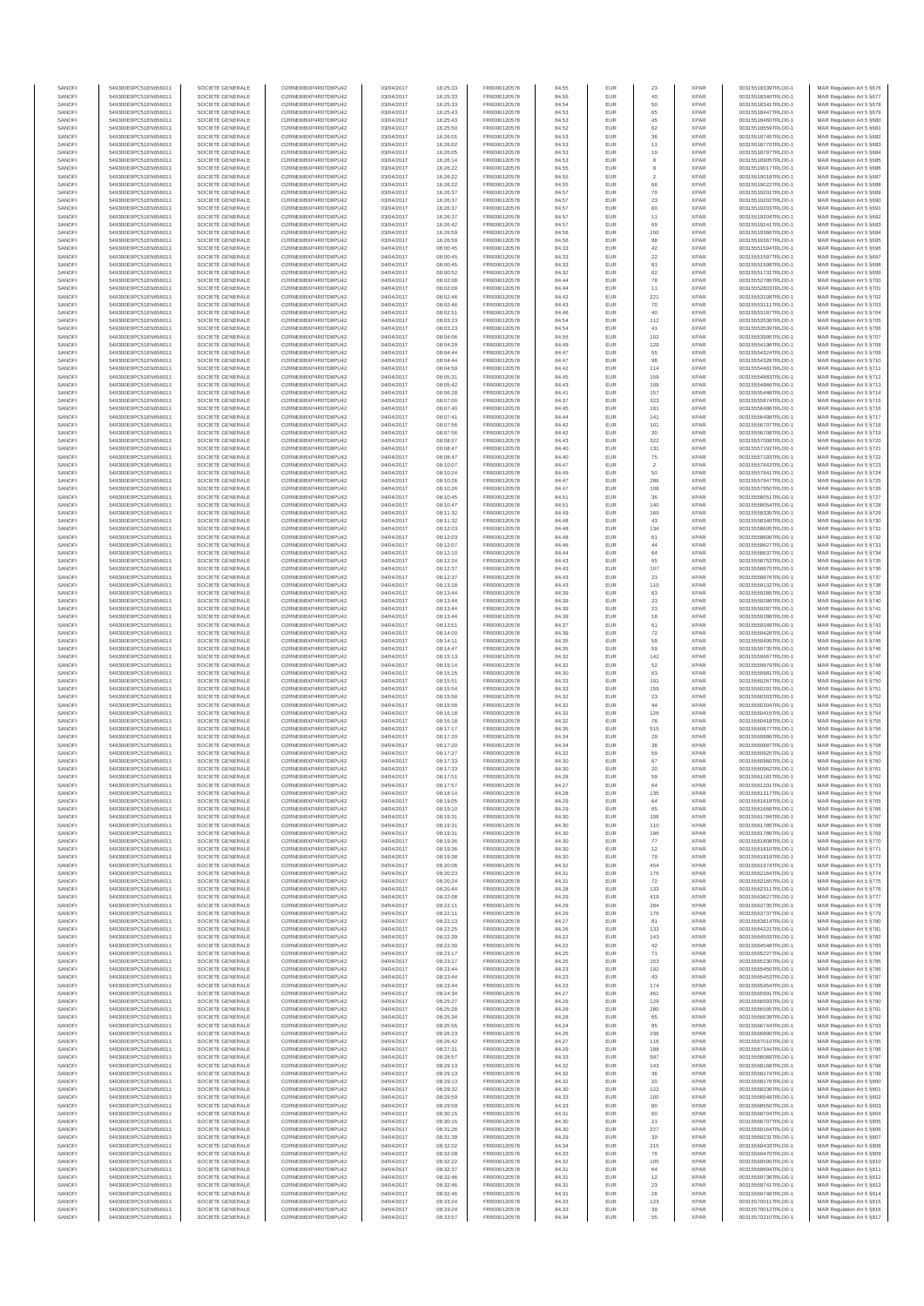| SANOFI<br>SANOFI | 549300E9PC51EN656011<br>549300E9PC51EN656011 | SOCIETE GENERALE<br>SOCIETE GENERALE | O2RNE8IBXP4R0TD8PU42<br>O2RNE8IBXP4R0TD8PU42  | 03/04/2017<br>03/04/2017 | 16:25:33<br>16:25:33 | FR0000120578<br>FR0000120578 | 84.55<br>84.55 | <b>EUR</b><br>EUR | 23                        | <b>XPAR</b><br><b>XPAR</b> | 00315518339TRLO0-1<br>00315518340TRLO0-1 | MAR Regulation Art 5 §676<br>MAR Regulation Art 5 §677  |
|------------------|----------------------------------------------|--------------------------------------|-----------------------------------------------|--------------------------|----------------------|------------------------------|----------------|-------------------|---------------------------|----------------------------|------------------------------------------|---------------------------------------------------------|
| SANOFI           | 549300E9PC51EN656011                         | SOCIETE GENERALE                     | O2RNE8IBXP4R0TD8PU42                          | 03/04/2017               | 16:25:33             | FR0000120578                 | 84.54          | <b>EUR</b>        | 50                        | <b>XPAR</b>                | 00315518341TRLO0-1                       | MAR Regulation Art 5 §678                               |
| SANOFI           | 549300E9PC51EN656011                         | SOCIETE GENERALE                     | O2RNE8IBXP4R0TD8PU42                          | 03/04/2017               | 16:25:43             | FR0000120578                 | 84.53          | EUR               | 65                        | <b>XPAR</b>                | 00315518447TRLO0-1                       | MAR Regulation Art 5 6679                               |
| SANOFI<br>SANOFI | 549300E9PC51EN656011<br>549300E9PC51EN656011 | SOCIETE GENERALE<br>SOCIETE GENERALE | O2RNE8IBXP4R0TD8PU42<br>O2RNE8IBXP4R0TD8PU42  | 03/04/2017<br>03/04/2017 | 16:25:43<br>16:25:50 | FR0000120578<br>FR0000120578 | 84.53<br>84.52 | <b>EUR</b><br>EUR | 45<br>62                  | <b>XPAR</b><br><b>XPAR</b> | 00315518460TRLO0-1<br>00315518559TRLO0-  | MAR Regulation Art 5 §680<br>MAR Regulation Art 5 §681  |
| SANOFI           | 549300E9PC51EN656011                         | SOCIETE GENERALE                     | O2RNE8IBXP4R0TD8PU42                          | 03/04/2017               | 16:26:01             | FR0000120578                 | 84.53          | EUR               | 36                        | <b>XPAR</b>                | 00315518745TRLO0-1                       | MAR Regulation Art 5 §682                               |
| SANOFI<br>SANOFI | 549300E9PC51EN656011<br>549300E9PC51EN656011 | SOCIETE GENERALE<br>SOCIETE GENERALE | O2RNE8IBXP4R0TD8PU42<br>O2RNE8IBXP4R0TD8PU42  | 03/04/2017<br>03/04/2017 | 16:26:02<br>16:26:05 | FR0000120578<br>FR0000120578 | 84.53          | EUR<br>EUR        | 11<br>19                  | <b>XPAR</b><br><b>XPAR</b> | 00315518770TRLO0-1<br>00315518797TRLO0-1 | MAR Regulation Art 5 §683<br>MAR Regulation Art 5 §684  |
| SANOFI           | 549300E9PC51EN656011                         | SOCIETE GENERALE                     | O2RNE8IBXP4R0TD8PU42                          | 03/04/2017               | 16:26:14             | FR0000120578                 | 84.53<br>84.53 | <b>EUR</b>        | 8                         | <b>XPAR</b>                | 00315518905TRLO0-1                       | MAR Regulation Art 5 §685                               |
| SANOFI           | 549300E9PC51EN656011                         | SOCIETE GENERALE                     | O2RNE8IBXP4R0TD8PU42                          | 03/04/2017               | 16:26:22             | FR0000120578                 | 84.55          | EUR               | $^{\rm 8}$                | <b>XPAR</b>                | 00315519017TRLO0-1                       | MAR Regulation Art 5 \$686                              |
| SANOFI<br>SANOFI | 549300E9PC51EN656011<br>549300E9PC51EN656011 | SOCIETE GENERALE<br>SOCIETE GENERALE | O2RNE8IBXP4R0TD8PLI42<br>O2RNE8IBXP4R0TD8PU42 | 03/04/2017<br>03/04/2017 | 16:26:22<br>16:26:22 | FR0000120578<br>FR0000120578 | 84.55<br>84.55 | <b>EUR</b><br>EUR | $\overline{2}$<br>68      | <b>XPAR</b><br><b>XPAR</b> | 00315519018TRLO0-1<br>00315519022TRLO0-1 | MAR Regulation Art 5 §687<br>MAR Regulation Art 5 §688  |
| SANOFI           | 549300E9PC51EN656011                         | SOCIETE GENERALE                     | O2RNE8IBXP4R0TD8PU42                          | 03/04/2017               | 16:26:37             | FR0000120578                 | 84.57          | <b>EUR</b>        | 70                        | <b>XPAR</b>                | 00315519201TRLO0-1                       | MAR Regulation Art 5 \$689                              |
| SANOFI           | 549300E9PC51EN656011                         | SOCIETE GENERALE                     | O2RNE8IBXP4R0TD8PU42                          | 03/04/2017               | 16:26:37             | FR0000120578                 | 84.57          | EUR               | $23\,$                    | <b>XPAR</b>                | 00315519202TRLO0-1                       | MAR Regulation Art 5 §690                               |
| SANOFI<br>SANOFI | 549300E9PC51EN656011<br>549300E9PC51EN656011 | SOCIETE GENERALE<br>SOCIETE GENERALE | O2RNE8IBXP4R0TD8PU42<br>O2RNE8IBXP4R0TD8PU42  | 03/04/2017<br>03/04/2017 | 16:26:37<br>16:26:37 | FR0000120578<br>FR0000120578 | 84.57<br>84.57 | EUR<br>EUR        | 60<br>11                  | <b>XPAR</b><br><b>XPAR</b> | 00315519203TRLO0-1<br>00315519204TRLO0-1 | MAR Regulation Art 5 §691<br>MAR Regulation Art 5 §692  |
| SANOFI           | 549300E9PC51EN656011                         | SOCIETE GENERALE                     | O2RNE8IBXP4R0TD8PU42                          | 03/04/2017               | 16:26:42             | FR0000120578                 | 84.57          | EUR               | 69                        | <b>XPAR</b>                | 00315519241TRLO0-1                       | MAR Regulation Art 5 §693                               |
| SANOFI           | 549300E9PC51EN656011                         | SOCIETE GENERALE                     | O2RNE8IBXP4R0TD8PU42<br>O2RNE8IBXP4R0TD8PU42  | 03/04/2017               | 16:26:59             | FR0000120578<br>FR0000120578 | 84.56          | <b>EUR</b>        | 100                       | <b>XPAR</b>                | 00315519366TRLO0-1                       | MAR Regulation Art 5 §694                               |
| SANOFI<br>SANOFI | 549300E9PC51EN656011<br>549300E9PC51EN656011 | SOCIETE GENERALE<br>SOCIETE GENERALE | O2RNE8IBXP4R0TD8PU42                          | 03/04/2017<br>04/04/2017 | 16:26:59<br>08:00:45 | FR0000120578                 | 84.56<br>84.33 | EUR<br><b>EUR</b> | 88<br>42                  | <b>XPAR</b><br><b>XPAR</b> | 00315519367TRLO0-1<br>00315551594TRLO0-1 | MAR Regulation Art 5 §695<br>MAR Regulation Art 5 6696  |
| SANOFI           | 549300E9PC51EN656011                         | SOCIETE GENERALE                     | O2RNE8IBXP4R0TD8PU42                          | 04/04/2017               | 08:00:45             | FR0000120578                 | 84.33          | EUR               | $22\,$                    | <b>XPAR</b>                | 00315551597TRLO0-1                       | MAR Regulation Art 5 \$697                              |
| SANOFI<br>SANOFI | 549300E9PC51EN656011<br>549300E9PC51EN656011 | SOCIETE GENERALE                     | O2RNE8IBXP4R0TD8PU42                          | 04/04/2017               | 08:00:45             | FR0000120578                 | 84.33          | <b>EUR</b>        | 81                        | <b>XPAR</b><br><b>XPAR</b> | 00315551598TRLO0-1                       | MAR Regulation Art 5 §698                               |
| SANOFI           | 549300E9PC51EN656011                         | SOCIETE GENERALE<br>SOCIETE GENERALE | O2RNE8IBXP4R0TD8PU42<br>O2RNE8IBXP4R0TD8PU42  | 04/04/2017<br>04/04/2017 | 08:00:52<br>08:02:08 | FR0000120578<br>FR0000120578 | 84.32<br>84.44 | EUR<br>EUR        | 62<br>78                  | <b>XPAR</b>                | 00315551731TRLO0-1<br>00315552786TRLO0-1 | MAR Regulation Art 5 §699<br>MAR Regulation Art 5 §700  |
| SANOFI           | 549300E9PC51EN656011                         | SOCIETE GENERALE                     | O2RNE8IBXP4R0TD8PU42                          | 04/04/2017               | 08:02:09             | FR0000120578                 | 84.44          | EUR               | 11                        | <b>XPAR</b>                | 00315552803TRLO0-1                       | MAR Regulation Art 5 §701                               |
| SANOFI<br>SANOFI | 549300E9PC51EN656011<br>549300E9PC51EN656011 | SOCIETE GENERALE<br>SOCIETE GENERALE | O2RNE8IBXP4R0TD8PU42<br>O2RNE8IBXP4R0TD8PLI42 | 04/04/2017<br>04/04/2017 | 08:02:46<br>08:02:46 | FR0000120578<br>FR0000120578 | 84.42<br>84.43 | EUR<br><b>EUR</b> | 221<br>70                 | <b>XPAR</b><br><b>XPAR</b> | 00315553108TRLO0-1<br>00315553111TRLO0-1 | MAR Regulation Art 5 §702<br>MAR Regulation Art 5 §703  |
| SANOFI           | 549300E9PC51EN656011                         | SOCIETE GENERALE                     | O2RNE8IBXP4R0TD8PU42                          | 04/04/2017               | 08:02:51             | FR0000120578                 | 84.46          | EUR               | 40                        | <b>XPAR</b>                | 00315553187TRLO0-1                       | MAR Regulation Art 5 §704                               |
| SANOFI           | 549300E9PC51EN656011                         | SOCIETE GENERALE                     | O2RNE8IBXP4R0TD8PU42                          | 04/04/2017               | 08:03:23             | FR0000120578                 | 84.54          | <b>EUR</b>        | 112                       | <b>XPAR</b>                | 00315553538TRLO0-1                       | MAR Regulation Art 5 §705                               |
| SANOFI<br>SANOFI | 549300E9PC51EN656011<br>549300E9PC51EN656011 | SOCIETE GENERALE<br>SOCIETE GENERALE | O2RNE8IBXP4R0TD8PU42<br>O2RNE8IBXP4R0TD8PU42  | 04/04/2017<br>04/04/2017 | 08:03:23<br>08:04:06 | FR0000120578<br>FR0000120578 | 84.54<br>84.55 | EUR<br>EUR        | 41<br>102                 | <b>XPAR</b><br><b>XPAR</b> | 00315553539TRLO0-1<br>00315553995TRLO0-1 | MAR Regulation Art 5 §706<br>MAR Regulation Art 5 §707  |
| SANOFI           | 549300E9PC51EN656011                         | SOCIETE GENERALE                     | O2RNE8IBXP4R0TD8PU42                          | 04/04/2017               | 08:04:29             | FR0000120578                 | 84.49          | EUR               | 129                       | <b>XPAR</b>                | 00315554196TRLO0-1                       | MAR Regulation Art 5 §708                               |
| SANOFI<br>SANOFI | 549300E9PC51EN656011<br>549300E9PC51EN656011 | SOCIETE GENERALE<br>SOCIETE GENERALE | O2RNE8IBXP4R0TD8PU42<br>O2RNE8IBXP4R0TD8PU42  | 04/04/2017<br>04/04/2017 | 08:04:44             | FR0000120578                 | 84.47<br>84.47 | EUR               | 55                        | <b>XPAR</b><br><b>XPAR</b> | 00315554324TRLO0-1<br>00315554326TRLO0-1 | MAR Regulation Art 5 §709                               |
| SANOFI           | 549300E9PC51EN656011                         | SOCIETE GENERALE                     | O2RNE8IBXP4R0TD8PU42                          | 04/04/2017               | 08:04:44<br>08:04:59 | FR0000120578<br>FR0000120578 | 84.42          | EUR<br>EUR        | 98<br>114                 | <b>XPAR</b>                | 00315554481TRLO0-1                       | MAR Regulation Art 5 §710<br>MAR Regulation Art 5 §711  |
| SANOFI           | 549300E9PC51EN656011                         | SOCIETE GENERALE                     | O2RNE8IBXP4R0TD8PU42                          | 04/04/2017               | 08:05:31             | FR0000120578                 | 84.45          | <b>EUR</b>        | 159                       | <b>XPAR</b>                | 00315554883TRLO0-1                       | MAR Regulation Art 5 §712                               |
| SANOFI<br>SANOFI | 549300E9PC51EN656011<br>549300E9PC51EN656011 | SOCIETE GENERALE<br>SOCIETE GENERALE | O2RNE8IBXP4R0TD8PU42<br>O2RNE8IBXP4R0TD8PLI42 | 04/04/2017<br>04/04/2017 | 08:05:42<br>08:06:28 | FR0000120578<br>FR0000120578 | 84.43<br>84.41 | EUR<br><b>EUR</b> | 109<br>157                | <b>XPAR</b><br><b>XPAR</b> | 00315554966TRLO0-1<br>00315555448TRLO0-1 | MAR Regulation Art 5 §713<br>MAR Regulation Art 5 \$714 |
| SANOFI           | 549300E9PC51EN656011                         | SOCIETE GENERALE                     | O2RNE8IBXP4R0TD8PU42                          | 04/04/2017               | 08:07:00             | FR0000120578                 | 84.37          | EUR               | 323                       | <b>XPAR</b>                | 00315555874TRLO0-                        | MAR Regulation Art 5 §715                               |
| SANOFI           | 549300E9PC51EN656011                         | SOCIETE GENERALE                     | O2RNE8IBXP4R0TD8PU42                          | 04/04/2017               | 08:07:40             | FR0000120578                 | 84.45          | EUR               | 181                       | <b>XPAR</b>                | 00315556486TRLO0-1                       | MAR Regulation Art 5 §716                               |
| SANOFI<br>SANOFI | 549300E9PC51EN656011<br>549300E9PC51EN656011 | SOCIETE GENERALE<br>SOCIETE GENERALE | O2RNE8IBXP4R0TD8PU42<br>O2RNE8IBXP4R0TD8PU42  | 04/04/2017<br>04/04/2017 | 08:07:41<br>08:07:56 | FR0000120578<br>FR0000120578 | 84.44<br>84.42 | EUR<br>EUR        | 141<br>101                | <b>XPAR</b><br><b>XPAR</b> | 00315556498TRLO0-1<br>00315556707TRLO0-1 | MAR Regulation Art 5 §717<br>MAR Regulation Art 5 §718  |
| SANOFI           | 549300E9PC51EN656011                         | SOCIETE GENERALE                     | O2RNE8IBXP4R0TD8PU42                          | 04/04/2017               | 08:07:56             | FR0000120578                 | 84.42          | EUR               | 30                        | <b>XPAR</b>                | 00315556708TRLO0-1                       | MAR Regulation Art 5 §719                               |
| SANOFI<br>SANOFI | 549300E9PC51EN656011<br>549300E9PC51EN656011 | SOCIETE GENERALE<br>SOCIETE GENERALE | O2RNE8IBXP4R0TD8PU42<br>O2RNE8IBXP4R0TD8PU42  | 04/04/2017<br>04/04/2017 | 08:08:27<br>08:08:47 | FR0000120578<br>FR0000120578 | 84.43<br>84.40 | EUR<br><b>EUR</b> | 322<br>131                | <b>XPAR</b><br><b>XPAR</b> | 00315557008TRLO0-1<br>00315557192TRLO0-1 | MAR Regulation Art 5 §720<br>MAR Regulation Art 5 §721  |
| SANOFI           | 549300E9PC51EN656011                         | SOCIETE GENERALE                     | O2RNE8IBXP4R0TD8PU42                          | 04/04/2017               | 08:08:47             | FR0000120578                 | 84.40          | EUR               | $75\,$                    | <b>XPAR</b>                | 00315557193TRLO0-1                       | MAR Regulation Art 5 §722                               |
| SANOFI           | 549300E9PC51EN656011                         | SOCIETE GENERALE                     | O2RNE8IBXP4R0TD8PU42                          | 04/04/2017               | 08:10:07             | FR0000120578                 | 84.47          | <b>EUR</b>        | $\overline{2}$            | <b>XPAR</b>                | 00315557843TRLO0-1                       | MAR Regulation Art 5 §723                               |
| SANOFI<br>SANOFI | 549300E9PC51EN656011<br>549300E9PC51EN656011 | SOCIETE GENERALE<br>SOCIETE GENERALE | O2RNE8IBXP4R0TD8PU42<br>O2RNE8IBXP4R0TD8PU42  | 04/04/2017<br>04/04/2017 | 08:10:24<br>08:10:26 | FR0000120578<br>FR0000120578 | 84.49<br>84.47 | EUR<br>EUR        | 50<br>286                 | <b>XPAR</b><br><b>XPAR</b> | 00315557941TRLO0-<br>00315557947TRLO0-1  | MAR Regulation Art 5 §724<br>MAR Regulation Art 5 §725  |
| SANOFI           | 549300E9PC51EN656011                         | SOCIETE GENERALE                     | O2RNE8IBXP4R0TD8PU42                          | 04/04/2017               | 08:10:26             | FR0000120578                 | 84.47          | EUR               | 108                       | <b>XPAR</b>                | 00315557950TRLO0-1                       | MAR Regulation Art 5 §726                               |
| SANOFI           | 549300E9PC51EN656011                         | SOCIETE GENERALE                     | O2RNE8IBXP4R0TD8PU42                          | 04/04/2017               | 08:10:45             | FR0000120578                 | 84.51          | EUR               | 36                        | <b>XPAR</b>                | 00315558051TRLO0-1                       | MAR Regulation Art 5 §727                               |
| SANOFI<br>SANOFI | 549300E9PC51EN656011<br>549300E9PC51EN656011 | SOCIETE GENERALE<br>SOCIETE GENERALE | O2RNE8IBXP4R0TD8PU42<br>O2RNE8IBXP4R0TD8PU42  | 04/04/2017<br>04/04/2017 | 08:10:47<br>08:11:32 | FR0000120578<br>FR0000120578 | 84.51<br>84.49 | <b>EUR</b><br>EUR | 140<br>169                | <b>XPAR</b><br><b>XPAR</b> | 00315558054TRLO0-1<br>00315558335TRLO0-1 | MAR Regulation Art 5 §728<br>MAR Regulation Art 5 \$729 |
| SANOFI           | 549300E9PC51EN656011                         | SOCIETE GENERALE                     | O2RNE8IBXP4R0TD8PLI42                         | 04/04/2017               | 08:11:32             | FR0000120578                 | 84.48          | <b>EUR</b>        | 43                        | <b>XPAR</b>                | 00315558340TRLO0-1                       | MAR Regulation Art 5 §730                               |
| SANOFI<br>SANOFI | 549300E9PC51EN656011                         | SOCIETE GENERALE                     | O2RNE8IBXP4R0TD8PU42                          | 04/04/2017               | 08:12:03             | FR0000120578                 | 84.48          | EUR<br>EUR        | 134<br>61                 | <b>XPAR</b><br><b>XPAR</b> | 00315558605TRLO0-1                       | MAR Regulation Art 5 §731<br>MAR Regulation Art 5 §732  |
| SANOFI           | 549300E9PC51EN656011<br>549300E9PC51EN656011 | SOCIETE GENERALE<br>SOCIETE GENERALE | O2RNE8IBXP4R0TD8PU42<br>O2RNE8IBXP4R0TD8PU42  | 04/04/2017<br>04/04/2017 | 08:12:03<br>08:12:07 | FR0000120578<br>FR0000120578 | 84.48<br>84.46 | EUR               | 44                        | <b>XPAR</b>                | 00315558606TRLO0-1<br>00315558627TRLO0-1 | MAR Regulation Art 5 §733                               |
| SANOFI           | 549300E9PC51EN656011                         | SOCIETE GENERALE                     | O2RNE8IBXP4R0TD8PU42                          | 04/04/2017               | 08:12:10             | FR0000120578                 | 84.44          | EUR               | 64                        | <b>XPAR</b>                | 00315558637TRLO0-1                       | MAR Regulation Art 5 §734                               |
| SANOFI<br>SANOFI | 549300E9PC51EN656011<br>549300E9PC51EN656011 | SOCIETE GENERALE<br>SOCIETE GENERALE | O2RNE8IBXP4R0TD8PU42<br>O2RNE8IBXP4R0TD8PU42  | 04/04/2017<br>04/04/2017 | 08:12:24<br>08:12:37 | FR0000120578<br>FR0000120578 | 84.43<br>84.43 | EUR<br>EUR        | 65<br>107                 | <b>XPAR</b><br><b>XPAR</b> | 00315558753TRLO0-1<br>00315558875TRLO0-1 | MAR Regulation Art 5 §735<br>MAR Regulation Art 5 §736  |
| SANOFI           | 549300E9PC51EN656011                         | SOCIETE GENERALE                     | O2RNE8IBXP4R0TD8PU42                          | 04/04/2017               | 08:12:37             | FR0000120578                 | 84.43          | <b>EUR</b>        | 23                        | <b>XPAR</b>                | 00315558876TRLO0-1                       | MAR Regulation Art 5 §737                               |
| SANOFI           | 549300E9PC51EN656011                         | SOCIETE GENERALE                     | O2RNE8IBXP4R0TD8PU42                          | 04/04/2017               | 08:13:18             | FR0000120578                 | 84.43          | EUR               | 110                       | <b>XPAR</b>                | 00315559132TRLO0-1                       | MAR Regulation Art 5 §738                               |
| SANOFI<br>SANOFI | 549300E9PC51EN656011<br>549300E9PC51EN656011 | SOCIETE GENERALE<br>SOCIETE GENERALE | O2RNE8IBXP4R0TD8PU42<br>O2RNE8IBXP4R0TD8PU42  | 04/04/2017<br>04/04/2017 | 08:13:44<br>08:13:44 | FR0000120578<br>FR0000120578 | 84.39<br>84.39 | <b>EUR</b><br>EUR | 63<br>$23\,$              | <b>XPAR</b><br><b>XPAR</b> | 00315559285TRLO0-1<br>00315559286TRLO0-1 | MAR Regulation Art 5 §739<br>MAR Regulation Art 5 §740  |
| SANOFI           | 549300E9PC51EN656011                         | SOCIETE GENERALE                     | O2RNE8IBXP4R0TD8PU42                          | 04/04/2017               | 08:13:44             | FR0000120578                 | 84.39          | EUR               | 23                        | <b>XPAR</b>                | 00315559287TRLO0-1                       | MAR Regulation Art 5 §741                               |
| SANOFI<br>SANOFI | 549300E9PC51EN656011<br>549300E9PC51EN656011 | SOCIETE GENERALE<br>SOCIETE GENERALE | O2RNE8IBXP4R0TD8PU42<br>O2RNE8IBXP4R0TD8PU42  | 04/04/2017<br>04/04/2017 | 08:13:44<br>08:13:51 | FR0000120578<br>FR0000120578 | 84.39<br>84.37 | EUR<br>EUR        | 18<br>61                  | <b>XPAR</b><br><b>XPAR</b> | 00315559288TRLO0-1<br>00315559349TRLO0-1 | MAR Regulation Art 5 §742<br>MAR Regulation Art 5 §743  |
| SANOFI           | 549300E9PC51EN656011                         | SOCIETE GENERALE                     | O2RNE8IBXP4R0TD8PU42                          | 04/04/2017               | 08:14:00             | FR0000120578                 | 84.39          | EUR               | $\scriptstyle{72}$        | <b>XPAR</b>                | 00315559428TRLO0-1                       | MAR Regulation Art 5 §744                               |
| SANOFI           | 549300E9PC51EN656011                         | SOCIETE GENERALE                     | O2RNE8IBXP4R0TD8PU42                          | 04/04/2017               | 08:14:11             | FR0000120578                 | 84.35          | EUR               | 59                        | <b>XPAR</b>                | 00315559495TRLO0-1                       | MAR Regulation Art 5 §745                               |
| SANOFI<br>SANOFI | 549300E9PC51EN656011<br>549300E9PC51EN656011 | SOCIETE GENERALE<br>SOCIETE GENERALE | O2RNE8IBXP4R0TD8PU42<br>O2RNE8IBXP4R0TD8PU42  | 04/04/2017<br>04/04/2017 | 08:14:47<br>08:15:13 | FR0000120578<br>FR0000120578 | 84.35<br>84.32 | <b>EUR</b><br>EUR | 59<br>142                 | <b>XPAR</b><br><b>XPAR</b> | 00315559735TRLO0-1<br>00315559967TRLO0-1 | MAR Regulation Art 5 §746<br>MAR Regulation Art 5 §747  |
| SANOFI           | 549300E9PC51EN656011                         | SOCIETE GENERALE                     | O2RNE8IBXP4R0TD8PU42                          | 04/04/2017               | 08:15:14             | FR0000120578                 | 84.32          | <b>EUR</b>        | 52                        | <b>XPAR</b>                | 00315559979TRLO0-1                       | MAR Regulation Art 5 §748                               |
| SANOFI<br>SANOFI | 549300E9PC51EN656011                         | SOCIETE GENERALE                     | O2RNE8IBXP4R0TD8PU42                          | 04/04/2017               | 08:15:15             | FR0000120578                 | 84.30          | <b>EUR</b><br>EUR | 63<br>191                 | <b>XPAR</b><br><b>XPAR</b> | 00315559981TRLO0-1                       | MAR Regulation Art 5 §749                               |
| SANOFI           | 549300E9PC51EN656011<br>549300E9PC51EN656011 | SOCIETE GENERALE<br>SOCIETE GENERALE | O2RNE8IBXP4R0TD8PU42<br>O2RNE8IBXP4R0TD8PU42  | 04/04/2017<br>04/04/2017 | 08:15:51<br>08:15:54 | FR0000120578<br>FR0000120578 | 84.33<br>84.33 | EUR               | 159                       | <b>XPAR</b>                | 00315560267TRLO0-1<br>00315560291TRLO0-1 | MAR Regulation Art 5 §750<br>MAR Regulation Art 5 §751  |
| SANOFI           | 549300E9PC51EN656011                         | SOCIETE GENERALE                     | O2RNE8IBXP4R0TD8PU42                          | 04/04/2017               | 08:15:58             | FR0000120578                 | 84.32          | EUR               | 23                        | <b>XPAR</b>                | 00315560303TRLO0-1                       | MAR Regulation Art 5 §752                               |
| SANOFI<br>SANOFI | 549300E9PC51EN656011<br>549300E9PC51EN656011 | SOCIETE GENERALE<br>SOCIETE GENERALE | O2RNE8IBXP4R0TD8PU42<br>O2RNE8IBXP4R0TD8PU42  | 04/04/2017<br>04/04/2017 | 08:15:58<br>08:16:18 | FR0000120578<br>FR0000120578 | 84.32<br>84.32 | <b>EUR</b><br>EUR | 44<br>126                 | <b>XPAR</b><br><b>XPAR</b> | 00315560304TRLO0-1<br>00315560415TRLO0-1 | MAR Regulation Art 5 §753<br>MAR Regulation Art 5 §754  |
| SANOFI           | 549300E9PC51EN656011                         | SOCIETE GENERALE                     | O2RNE8IBXP4R0TD8PU42                          | 04/04/2017               | 08:16:18             | FR0000120578                 | 84.32          | <b>EUR</b>        | 78                        | <b>XPAR</b>                | 00315560418TRLO0-1                       | MAR Regulation Art 5 §755                               |
| SANOFI           | 549300E9PC51EN656011<br>549300E9PC51EN656011 | SOCIETE GENERALE                     | O2RNE8IBXP4R0TD8PU42                          | 04/04/2017               | 08:17:17             | FR0000120578<br>FR0000120578 | 84.35          | EUR               | 515                       | <b>XPAR</b>                | 00315560877TRLO0-1                       | MAR Regulation Art 5 §756                               |
| SANOFI<br>SANOFI | 549300E9PC51EN656011                         | SOCIETE GENERALE<br>SOCIETE GENERALE | O2RNE8IBXP4R0TD8PU42<br>O2RNE8IBXP4R0TD8PU42  | 04/04/2017<br>04/04/2017 | 08:17:20<br>08:17:20 | FR0000120578                 | 84.34<br>84.34 | <b>EUR</b><br>EUR | 29<br>$_{\rm 38}$         | <b>XPAR</b><br><b>XPAR</b> | 00315560886TRLO0-1<br>00315560887TRLO0-1 | MAR Regulation Art 5 §757<br>MAR Regulation Art 5 §758  |
| SANOFI           | 549300E9PC51EN656011                         | SOCIETE GENERALE                     | O2RNE8IBXP4R0TD8PU42                          | 04/04/2017               | 08:17:27             | FR0000120578                 | 84.32          | EUR               | 59                        | <b>XPAR</b>                | 00315560925TRLO0-1                       | MAR Regulation Art 5 §759                               |
| SANOFI<br>SANOFI | 549300E9PC51EN656011<br>549300E9PC51EN656011 | SOCIETE GENERALE<br>SOCIETE GENERALE | O2RNE8IBXP4R0TD8PU42<br>O2RNE8IBXP4R0TD8PU42  | 04/04/2017<br>04/04/2017 | 08:17:33<br>08:17:33 | FR0000120578<br>FR0000120578 | 84.30<br>84.30 | EUR<br>EUR        | 67<br>$20\,$              | <b>XPAR</b><br><b>XPAR</b> | 00315560960TRLO0-1<br>00315560962TRLO0-1 | MAR Regulation Art 5 §760<br>MAR Regulation Art 5 §761  |
| SANOFI           | 549300E9PC51EN656011                         | SOCIETE GENERALE                     | O2RNE8IBXP4R0TD8PU42                          | 04/04/2017               | 08:17:51             | FR0000120578                 | 84.28          | <b>EUR</b>        | 59                        | <b>XPAR</b>                | 00315561181TRLO0-1                       | MAR Regulation Art 5 §762                               |
| <b>SANOF</b>     | 549300E9PC51EN656011                         | SOCIETE GENERALE                     | O2RNE8IBXP4R0TD8PU42                          | 04/04/2017               | 08:17:57             | FR0000120578                 | 84.27          | EUR               |                           | <b>XPAR</b>                | 00315561201TRLO0-                        | MAR Regulation Art 5 §763                               |
| SANOFI<br>SANOFI | 549300E9PC51EN656011<br>549300E9PC51EN656011 | SOCIETE GENERALE<br>SOCIETE GENERALE | O2RNE8IBXP4R0TD8PU42<br>O2RNE8IBXP4R0TD8PU42  | 04/04/2017<br>04/04/2017 | 08:18:14<br>08:19:05 | FR0000120578<br>FR0000120578 | 84.28<br>84.29 | <b>EUR</b><br>EUR | 135<br>64                 | <b>XPAR</b><br><b>XPAR</b> | 00315561317TRLO0-1<br>00315561618TRLO0-1 | MAR Regulation Art 5 §764<br>MAR Regulation Art 5 §765  |
| SANOFI           | 549300E9PC51EN656011                         | SOCIETE GENERALE                     | O2RNE8IBXP4R0TD8PU42                          | 04/04/2017               | 08:19:10             | FR0000120578                 | 84.29          | <b>EUR</b>        | 65                        | <b>XPAR</b>                | 00315561666TRLO0-1                       | MAR Regulation Art 5 §766                               |
| SANOFI<br>SANOFI | 549300E9PC51EN656011<br>549300E9PC51EN656011 | SOCIETE GENERALE<br>SOCIETE GENERALE | O2RNE8IBXP4R0TD8PU42<br>O2RNE8IBXP4R0TD8PU42  | 04/04/2017<br>04/04/2017 | 08:19:31<br>08:19:31 | FR0000120578<br>FR0000120578 | 84.30<br>84.30 | EUR<br>EUR        | 108<br>110                | <b>XPAR</b><br><b>XPAR</b> | 00315561784TRLO0-1<br>00315561785TRLO0-1 | MAR Regulation Art 5 §767<br>MAR Regulation Art 5 §768  |
| SANOFI           | 549300E9PC51EN656011                         | SOCIETE GENERALE                     | O2RNE8IBXP4R0TD8PU42                          | 04/04/2017               | 08:19:31             | FR0000120578                 | 84.30          | EUR               | 196                       | <b>XPAR</b>                | 00315561786TRLO0-1                       | MAR Regulation Art 5 §769                               |
| SANOFI           | 549300E9PC51EN656011                         | SOCIETE GENERALE                     | O2RNE8IBXP4R0TD8PU42                          | 04/04/2017               | 08:19:36             | FR0000120578                 | 84.30          | EUR               | 77                        | <b>XPAR</b>                | 00315561808TRLO0-1                       | MAR Regulation Art 5 §770                               |
| SANOFI<br>SANOFI | 549300E9PC51EN656011<br>549300E9PC51EN656011 | SOCIETE GENERALE<br>SOCIETE GENERALE | O2RNE8IBXP4R0TD8PU42<br>O2RNE8IBXP4R0TD8PU42  | 04/04/2017<br>04/04/2017 | 08:19:36<br>08:19:38 | FR0000120578<br>FR0000120578 | 84.30<br>84.30 | <b>EUR</b><br>EUR | $12\,$<br>79              | <b>XPAR</b><br><b>XPAR</b> | 00315561810TRLO0-1<br>00315561819TRLO0-1 | MAR Regulation Art 5 §771<br>MAR Regulation Art 5 §772  |
| SANOFI           | 549300E9PC51EN656011                         | SOCIETE GENERALE                     | O2RNE8IBXP4R0TD8PU42                          | 04/04/2017               | 08:20:06             | FR0000120578                 | 84.32          | <b>EUR</b>        | 454                       | <b>XPAR</b>                | 00315561974TRLO0-1                       | MAR Regulation Art 5 §773                               |
| SANOFI<br>SANOFI | 549300E9PC51EN656011<br>549300E9PC51EN656011 | SOCIETE GENERALE<br>SOCIETE GENERALE | O2RNE8IBXP4R0TD8PU42<br>O2RNE8IBXP4R0TD8PU42  | 04/04/2017<br>04/04/2017 | 08:20:23<br>08:20:24 | FR0000120578<br>FR0000120578 | 84.31<br>84.31 | EUR<br>EUR        | 176<br>$\scriptstyle{72}$ | <b>XPAR</b><br><b>XPAR</b> | 00315562164TRLO0-1<br>00315562165TRLO0-1 | MAR Regulation Art 5 §774<br>MAR Regulation Art 5 §775  |
| SANOFI           | 549300E9PC51EN656011                         | SOCIETE GENERALE                     | O2RNE8IBXP4R0TD8PU42                          | 04/04/2017               | 08:20:44             | FR0000120578                 | 84.28          | EUR               | 133                       | <b>XPAR</b>                | 00315562311TRLO0-1                       | MAR Regulation Art 5 §776                               |
| SANOFI<br>SANOFI | 549300E9PC51EN656011<br>549300E9PC51EN656011 | SOCIETE GENERALE<br>SOCIETE GENERALE | O2RNE8IBXP4R0TD8PU42<br>O2RNE8IBXP4R0TD8PU42  | 04/04/2017<br>04/04/2017 | 08:22:08<br>08:22:11 | FR0000120578<br>FR0000120578 | 84.29<br>84.29 | EUR<br>EUR        | 419<br>284                | <b>XPAR</b><br><b>XPAR</b> | 00315563627TRLO0-1<br>00315563735TRLO0-1 | MAR Regulation Art 5 §777<br>MAR Regulation Art 5 §778  |
| SANOFI           | 549300E9PC51EN656011                         | SOCIETE GENERALE                     | O2RNE8IBXP4R0TD8PU42                          | 04/04/2017               | 08:22:11             | FR0000120578                 | 84.29          | EUR               | 176                       | <b>XPAR</b>                | 00315563737TRLO0-1                       | MAR Regulation Art 5 §779                               |
| SANOFI           | 549300E9PC51EN656011                         | SOCIETE GENERALE                     | O2RNE8IBXP4R0TD8PLI42<br>O2RNE8IBXP4R0TD8PU42 | 04/04/2017               | 08:22:13             | FR0000120578                 | 84.27          | EUR               | 81                        | <b>XPAR</b>                | 00315563814TRLO0-1                       | MAR Regulation Art 5 §780                               |
| SANOFI<br>SANOFI | 549300E9PC51EN656011<br>549300E9PC51EN656011 | SOCIETE GENERALE<br>SOCIETE GENERALE | O2RNE8IBXP4R0TD8PU42                          | 04/04/2017<br>04/04/2017 | 08:22:25<br>08:22:39 | FR0000120578<br>FR0000120578 | 84.26<br>84.22 | EUR<br><b>EUR</b> | 133<br>143                | <b>XPAR</b><br><b>XPAR</b> | 00315564221TRLO0-1<br>00315564503TRLO0-1 | MAR Regulation Art 5 §781<br>MAR Regulation Art 5 §782  |
| SANOFI           | 549300E9PC51EN656011                         | SOCIETE GENERALE                     | O2RNE8IBXP4R0TD8PU42                          | 04/04/2017               | 08:22:39             | FR0000120578                 | 84.22          | EUR               | $42\,$                    | <b>XPAR</b>                | 00315564548TRLO0-1                       | MAR Regulation Art 5 §783                               |
| SANOFI<br>SANOFI | 549300E9PC51EN656011<br>549300E9PC51EN656011 | SOCIETE GENERALE<br>SOCIETE GENERALE | O2RNE8IBXP4R0TD8PU42<br>O2RNE8IBXP4R0TD8PU42  | 04/04/2017<br>04/04/2017 | 08:23:17<br>08:23:17 | FR0000120578<br>FR0000120578 | 84.25<br>84.25 | EUR<br>EUR        | 71<br>153                 | <b>XPAR</b><br><b>XPAR</b> | 00315565227TRLO0-1<br>00315565230TRLO0-1 | MAR Regulation Art 5 §784<br>MAR Regulation Art 5 §785  |
| SANOFI           | 549300E9PC51EN656011                         | SOCIETE GENERALE                     | O2RNE8IBXP4R0TD8PU42                          | 04/04/2017               | 08:23:44             | FR0000120578                 | 84.23          | EUR               | 192                       | <b>XPAR</b>                | 00315565450TRLO0-1                       | MAR Regulation Art 5 §786                               |
| SANOFI           | 549300E9PC51EN656011                         | SOCIETE GENERALE                     | O2RNE8IBXP4R0TD8PU42                          | 04/04/2017               | 08:23:44             | FR0000120578                 | 84.23          | EUR               | 43                        | <b>XPAR</b>                | 00315565453TRLO0-1                       | MAR Regulation Art 5 §787                               |
| SANOFI<br>SANOFI | 549300E9PC51EN656011<br>549300E9PC51EN656011 | SOCIETE GENERALE<br>SOCIETE GENERALE | O2RNE8IBXP4R0TD8PU42<br>O2RNE8IBXP4R0TD8PU42  | 04/04/2017<br>04/04/2017 | 08:23:44<br>08:24:34 | FR0000120578<br>FR0000120578 | 84.23<br>84.27 | EUR<br><b>EUR</b> | 174<br>461                | <b>XPAR</b><br><b>XPAR</b> | 00315565454TRLO0-1<br>00315565991TRLO0-1 | MAR Regulation Art 5 §788<br>MAR Regulation Art 5 §789  |
| SANOFI           | 549300E9PC51EN656011                         | SOCIETE GENERALE                     | O2RNE8IBXP4R0TD8PU42                          | 04/04/2017               | 08:25:27             | FR0000120578                 | 84.29          | EUR               | 129                       | <b>XPAR</b>                | 00315566593TRLO0-1                       | MAR Regulation Art 5 §790                               |
| SANOFI<br>SANOFI | 549300E9PC51EN656011<br>549300E9PC51EN656011 | SOCIETE GENERALE<br>SOCIETE GENERALE | O2RNE8IBXP4R0TD8PU42<br>O2RNE8IBXP4R0TD8PU42  | 04/04/2017<br>04/04/2017 | 08:25:28<br>08:25:34 | FR0000120578<br>FR0000120578 | 84.29<br>84.28 | <b>EUR</b><br>EUR | 280<br>65                 | <b>XPAR</b><br><b>XPAR</b> | 00315566595TRLO0-1<br>00315566639TRLO0-1 | MAR Regulation Art 5 §791<br>MAR Regulation Art 5 §792  |
| SANOFI           | 549300E9PC51EN656011                         | SOCIETE GENERALE                     | O2RNE8IBXP4R0TD8PU42                          | 04/04/2017               | 08:25:55             | FR0000120578                 | 84.24          | EUR               | 85                        | <b>XPAR</b>                | 00315566744TRLO0-1                       | MAR Regulation Art 5 §793                               |
| SANOFI           | 549300E9PC51EN656011                         | SOCIETE GENERALE                     | O2RNE8IBXP4R0TD8PU42                          | 04/04/2017               | 08:26:23             | FR0000120578                 | 84.26          | EUR               | 236                       | <b>XPAR</b>                | 00315566890TRLO0-1                       | MAR Regulation Art 5 §794                               |
| SANOFI<br>SANOFI | 549300E9PC51EN656011<br>549300E9PC51EN656011 | SOCIETE GENERALE<br>SOCIETE GENERALE | O2RNE8IBXP4R0TD8PU42<br>O2RNE8IBXP4R0TD8PU42  | 04/04/2017<br>04/04/2017 | 08:26:42<br>08:27:31 | FR0000120578<br>FR0000120578 | 84.27<br>84.29 | EUR<br><b>EUR</b> | 116<br>188                | <b>XPAR</b><br><b>XPAR</b> | 00315567010TRLO0-1<br>00315567344TRLO0-1 | MAR Regulation Art 5 §795<br>MAR Regulation Art 5 §796  |
| SANOFI           | 549300E9PC51EN656011                         | SOCIETE GENERALE                     | O2RNE8IBXP4R0TD8PU42                          | 04/04/2017               | 08:28:57             | FR0000120578                 | 84.33          | EUR               | 597                       | <b>XPAR</b>                | 00315568068TRLO0-1                       | MAR Regulation Art 5 §797                               |
| SANOFI<br>SANOFI | 549300E9PC51EN656011<br>549300E9PC51EN656011 | SOCIETE GENERALE<br>SOCIETE GENERALE | O2RNE8IBXP4R0TD8PU42<br>O2RNE8IBXP4R0TD8PU42  | 04/04/2017<br>04/04/2017 | 08:29:13<br>08:29:13 | FR0000120578<br>FR0000120578 | 84.32<br>84.32 | <b>EUR</b><br>EUR | 143<br>36                 | <b>XPAR</b><br><b>XPAR</b> | 00315568168TRLO0-1<br>00315568174TRLO0-1 | MAR Regulation Art 5 §798                               |
| SANOFI           | 549300E9PC51EN656011                         | SOCIETE GENERALE                     | O2RNE8IBXP4R0TD8PU42                          | 04/04/2017               | 08:29:13             | FR0000120578                 | 84.32          | <b>EUR</b>        | 20                        | <b>XPAR</b>                | 00315568176TRLO0-1                       | MAR Regulation Art 5 §799<br>MAR Regulation Art 5 §800  |
| SANOFI           | 549300E9PC51EN656011                         | SOCIETE GENERALE                     | O2RNE8IBXP4R0TD8PU42                          | 04/04/2017               | 08:29:32             | FR0000120578                 | 84.30          | EUR               | 122                       | <b>XPAR</b>                | 00315568336TRLO0-1                       | MAR Regulation Art 5 §801                               |
| SANOFI<br>SANOFI | 549300E9PC51EN656011<br>549300E9PC51EN656011 | SOCIETE GENERALE<br>SOCIETE GENERALE | O2RNE8IBXP4R0TD8PU42<br>O2RNE8IBXP4R0TD8PU42  | 04/04/2017<br>04/04/2017 | 08:29:59<br>08:29:59 | FR0000120578<br>FR0000120578 | 84.33<br>84.33 | EUR<br>EUR        | 100<br>80                 | <b>XPAR</b><br>XPAR        | 00315568548TRLO0-1<br>00315568550TRLO0-1 | MAR Regulation Art 5 §802<br>MAR Regulation Art 5 §803  |
| SANOFI           | 549300E9PC51EN656011                         | SOCIETE GENERALE                     | O2RNE8IBXP4R0TD8PU42                          | 04/04/2017               | 08:30:15             | FR0000120578                 | 84.31          | EUR               | 60                        | <b>XPAR</b>                | 00315568704TRLO0-1                       | MAR Regulation Art 5 §804                               |
| SANOFI<br>SANOFI | 549300E9PC51EN656011<br>549300E9PC51EN656011 | SOCIETE GENERALE<br>SOCIETE GENERALE | O2RNE8IBXP4R0TD8PU42<br>O2RNE8IBXP4R0TD8PU42  | 04/04/2017<br>04/04/2017 | 08:30:15<br>08:31:26 | FR0000120578<br>FR0000120578 | 84.30<br>84.30 | <b>EUR</b><br>EUR | 21<br>227                 | <b>XPAR</b><br><b>XPAR</b> | 00315568707TRLO0-1<br>00315569164TRLO0-1 | MAR Regulation Art 5 §805<br>MAR Regulation Art 5 §806  |
| SANOFI           | 549300E9PC51EN656011                         | SOCIETE GENERALE                     | O2RNE8IBXP4R0TD8PU42                          | 04/04/2017               | 08:31:39             | FR0000120578                 | 84.29          | <b>EUR</b>        | 39                        | <b>XPAR</b>                | 00315569231TRLO0-1                       | MAR Regulation Art 5 §807                               |
| SANOFI           | 549300E9PC51EN656011                         | SOCIETE GENERALE                     | O2RNE8IBXP4R0TD8PU42                          | 04/04/2017               | 08:32:02             | FR0000120578                 | 84.34          | EUR               | 215                       | <b>XPAR</b>                | 00315569433TRLO0-1                       | MAR Regulation Art 5 §808                               |
| SANOFI<br>SANOFI | 549300E9PC51EN656011<br>549300E9PC51EN656011 | SOCIETE GENERALE<br>SOCIETE GENERALE | O2RNE8IBXP4R0TD8PU42<br>O2RNE8IBXP4R0TD8PU42  | 04/04/2017<br>04/04/2017 | 08:32:08<br>08:32:22 | FR0000120578<br>FR0000120578 | 84.33<br>84.32 | <b>EUR</b><br>EUR | 79<br>105                 | <b>XPAR</b><br><b>XPAR</b> | 00315569470TRLO0-1<br>00315569595TRLO0-1 | MAR Regulation Art 5 §809<br>MAR Regulation Art 5 §810  |
| SANOFI           | 549300E9PC51EN656011                         | SOCIETE GENERALE                     | O2RNE8IBXP4R0TD8PU42                          | 04/04/2017               | 08:32:37             | FR0000120578                 | 84.31          | EUR               | $_{\rm 64}$               | <b>XPAR</b>                | 00315569694TRLO0-1                       | MAR Regulation Art 5 §811                               |
| SANOFI<br>SANOFI | 549300E9PC51EN656011<br>549300E9PC51EN656011 | SOCIETE GENERALE<br>SOCIETE GENERALE | O2RNE8IBXP4R0TD8PU42<br>O2RNE8IBXP4R0TD8PU42  | 04/04/2017<br>04/04/2017 | 08:32:46<br>08:32:46 | FR0000120578<br>FR0000120578 | 84.31<br>84.31 | EUR<br>EUR        | $12\,$<br>$23\,$          | <b>XPAR</b><br><b>XPAR</b> | 00315569736TRLO0-1<br>00315569741TRLO0-1 | MAR Regulation Art 5 §812<br>MAR Regulation Art 5 §813  |
| SANOFI           | 549300E9PC51EN656011                         | SOCIETE GENERALE                     | O2RNE8IBXP4R0TD8PU42                          | 04/04/2017               | 08:32:46             | FR0000120578                 | 84.31          | <b>EUR</b>        | ${\bf 28}$                | <b>XPAR</b>                | 00315569746TRLO0-1                       | MAR Regulation Art 5 §814                               |
| SANOFI           | 549300E9PC51EN656011                         | SOCIETE GENERALE                     | O2RNE8IBXP4R0TD8PU42                          | 04/04/2017               | 08:33:24             | FR0000120578                 | 84.33          | EUR               | 123                       | <b>XPAR</b><br><b>XPAR</b> | 00315570011TRLO0-                        | MAR Regulation Art 5 §815                               |
| SANOFI<br>SANOFI | 549300E9PC51EN656011<br>549300E9PC51EN656011 | SOCIETE GENERALE<br>SOCIETE GENERALE | O2RNE8IBXP4R0TD8PU42<br>O2RNE8IBXP4R0TD8PU42  | 04/04/2017<br>04/04/2017 | 08:33:24<br>08:33:57 | FR0000120578<br>FR0000120578 | 84.33<br>84.34 | <b>EUR</b><br>EUR | 39<br>55                  | XPAR                       | 00315570012TRLO0-1<br>00315570210TRLO0-1 | MAR Regulation Art 5 §816<br>MAR Regulation Art 5 §817  |
|                  |                                              |                                      |                                               |                          |                      |                              |                |                   |                           |                            |                                          |                                                         |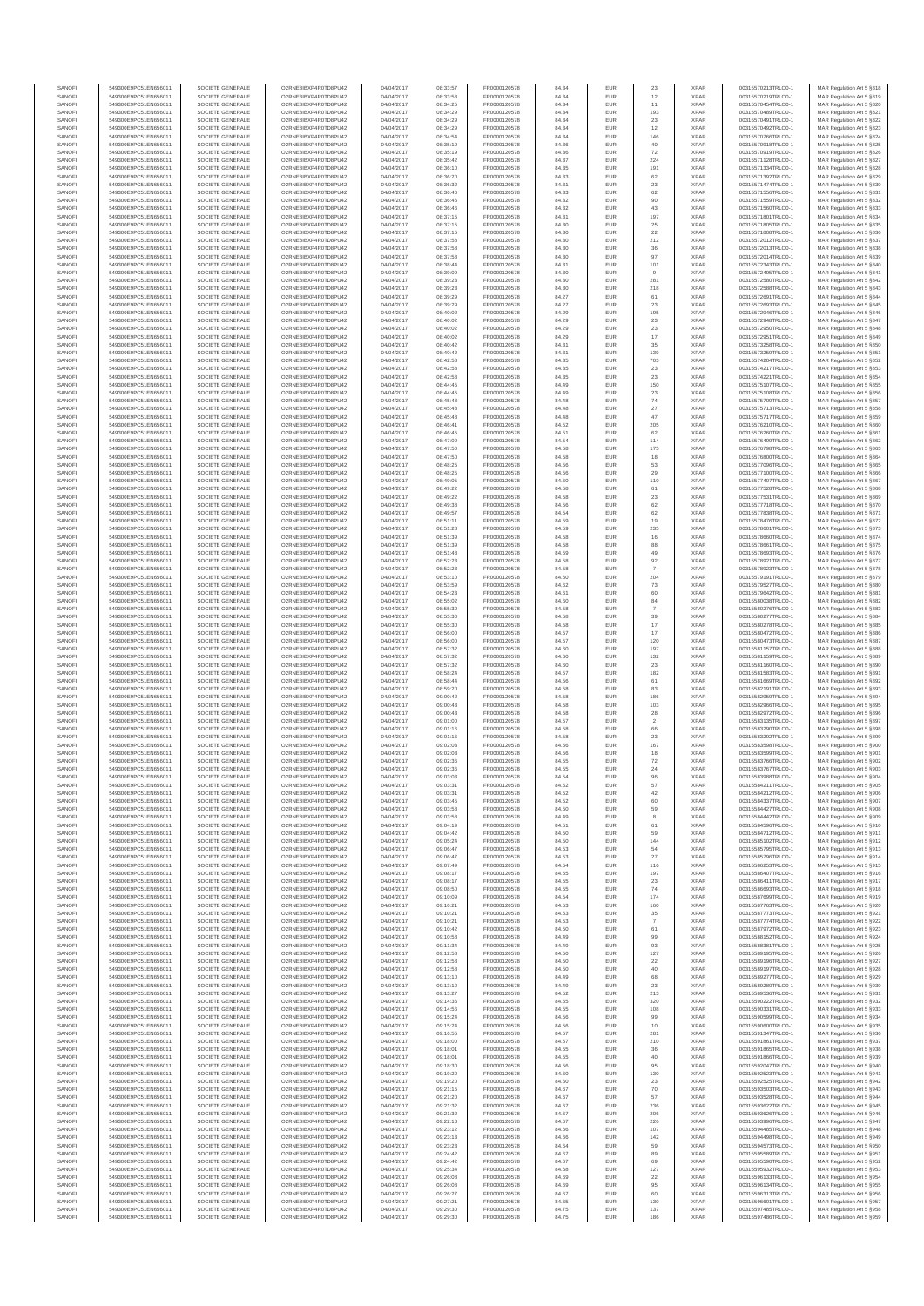| SANOFI<br>SANOFI | 549300E9PC51EN656011<br>549300E9PC51EN656011 | SOCIETE GENERALE<br>SOCIETE GENERALE | O2RNE8IBXP4R0TD8PU42<br>O2RNE8IBXP4R0TD8PU42  | 04/04/2017<br>04/04/2017 | 08:33:57<br>08:33:58 | FR0000120578<br>FR0000120578 | 84.34<br>84.34 | <b>EUR</b><br>EUR | 23<br>12                 | <b>XPAR</b><br><b>XPAR</b> | 00315570213TRLO0-1<br>00315570219TRLO0-1 | MAR Regulation Art 5 §818                               |
|------------------|----------------------------------------------|--------------------------------------|-----------------------------------------------|--------------------------|----------------------|------------------------------|----------------|-------------------|--------------------------|----------------------------|------------------------------------------|---------------------------------------------------------|
| SANOFI           | 549300E9PC51EN656011                         | SOCIETE GENERALE                     | O2RNE8IBXP4R0TD8PU42                          | 04/04/2017               | 08:34:25             | FR0000120578                 | 84.34          | <b>EUR</b>        | 11                       | <b>XPAR</b>                | 00315570454TRLO0-1                       | MAR Regulation Art 5 §819<br>MAR Regulation Art 5 §820  |
| SANOFI           | 549300E9PC51EN656011                         | SOCIETE GENERALE                     | O2RNE8IBXP4R0TD8PU42                          | 04/04/2017               | 08:34:29             | FR0000120578                 | 84.34          | EUR               | 193                      | <b>XPAR</b>                | 00315570489TRLO0-1                       | MAR Regulation Art 5 §821                               |
| SANOFI           | 549300E9PC51EN656011                         | SOCIETE GENERALE                     | O2RNE8IBXP4R0TD8PU42                          | 04/04/2017               | 08:34:29             | FR0000120578                 | 84.34          | <b>EUR</b>        | 23                       | <b>XPAR</b>                | 00315570491TRLO0-1                       | MAR Regulation Art 5 §822                               |
| SANOFI<br>SANOFI | 549300E9PC51EN656011                         | SOCIETE GENERALE                     | O2RNE8IBXP4R0TD8PU42<br>O2RNE8IBXP4R0TD8PU42  | 04/04/2017               | 08:34:29             | FR0000120578<br>FR0000120578 | 84.34<br>84.34 | EUR<br>EUR        | $12\,$<br>146            | <b>XPAR</b><br><b>XPAR</b> | 00315570492TRLO0-1                       | MAR Regulation Art 5 §823<br>MAR Regulation Art 5 §824  |
| SANOFI           | 549300E9PC51EN656011<br>549300E9PC51EN656011 | SOCIETE GENERALE<br>SOCIETE GENERALE | O2RNE8IBXP4R0TD8PU42                          | 04/04/2017<br>04/04/2017 | 08:34:54<br>08:35:19 | FR0000120578                 | 84.36          | EUR               | 40                       | <b>XPAR</b>                | 00315570766TRLO0-1<br>00315570918TRLO0-1 | MAR Regulation Art 5 §825                               |
| SANOFI           | 549300E9PC51EN656011                         | SOCIETE GENERALE                     | O2RNE8IBXP4R0TD8PU42                          | 04/04/2017               | 08:35:19             | FR0000120578                 | 84.36          | <b>EUR</b>        | 72                       | <b>XPAR</b>                | 00315570919TRLO0-1                       | MAR Regulation Art 5 §826                               |
| SANOFI           | 549300E9PC51EN656011                         | SOCIETE GENERALE                     | O2RNE8IBXP4R0TD8PU42                          | 04/04/2017               | 08:35:42             | FR0000120578                 | 84.37          | <b>EUR</b>        | 224                      | <b>XPAR</b>                | 00315571128TRLO0-1                       | MAR Regulation Art 5 §827                               |
| SANOFI<br>SANOFI | 549300E9PC51EN656011<br>549300E9PC51EN656011 | SOCIETE GENERALE<br>SOCIETE GENERALE | O2RNE8IBXP4R0TD8PU42<br>O2RNE8IBXP4R0TD8PU42  | 04/04/2017<br>04/04/2017 | 08:36:10<br>08:36:20 | FR0000120578<br>FR0000120578 | 84.35          | EUR               | 191<br>62                | <b>XPAR</b><br><b>XPAR</b> | 00315571334TRLO0-1<br>00315571392TRLO0-1 | MAR Regulation Art 5 §828                               |
| SANOFI           | 549300E9PC51EN656011                         | SOCIETE GENERALE                     | O2RNE8IBXP4R0TD8PU42                          | 04/04/2017               | 08:36:32             | FR0000120578                 | 84.33<br>84.31 | <b>EUR</b><br>EUR | $23\,$                   | <b>XPAR</b>                | 00315571474TRLO0-1                       | MAR Regulation Art 5 §829<br>MAR Regulation Art 5 §830  |
| SANOFI           | 549300E9PC51EN656011                         | SOCIETE GENERALE                     | O2RNE8IBXP4R0TD8PU42                          | 04/04/2017               | 08:36:46             | FR0000120578                 | 84.33          | <b>EUR</b>        | 62                       | <b>XPAR</b>                | 00315571556TRLO0-1                       | MAR Regulation Art 5 6831                               |
| SANOFI           | 549300E9PC51EN656011                         | SOCIETE GENERALE                     | O2RNE8IBXP4R0TD8PU42                          | 04/04/2017               | 08:36:46             | FR0000120578                 | 84.32          | EUR               | $90\,$                   | <b>XPAR</b>                | 00315571559TRLO0-1                       | MAR Regulation Art 5 §832                               |
| SANOFI           | 549300E9PC51EN656011                         | SOCIETE GENERALE                     | O2RNE8IBXP4R0TD8PU42                          | 04/04/2017               | 08:36:46             | FR0000120578                 | 84.32          | EUR               | $43\,$                   | <b>XPAR</b>                | 00315571560TRLO0-1                       | MAR Regulation Art 5 §833                               |
| SANOFI           | 549300E9PC51EN656011                         | SOCIETE GENERALE                     | O2RNE8IBXP4R0TD8PU42                          | 04/04/2017               | 08:37:15             | FR0000120578                 | 84.31          | EUR               | 197                      | <b>XPAR</b>                | 00315571801TRLO0-1                       | MAR Regulation Art 5 §834                               |
| SANOFI<br>SANOFI | 549300E9PC51EN656011<br>549300E9PC51EN656011 | SOCIETE GENERALE<br>SOCIETE GENERALE | O2RNE8IBXP4R0TD8PU42<br>O2RNE8IBXP4R0TD8PU42  | 04/04/2017<br>04/04/2017 | 08:37:15<br>08:37:15 | FR0000120578<br>FR0000120578 | 84.30<br>84.30 | EUR<br><b>EUR</b> | $25\,$<br>22             | <b>XPAR</b><br><b>XPAR</b> | 00315571805TRLO0-1<br>00315571808TRLO0-1 | MAR Regulation Art 5 §835<br>MAR Regulation Art 5 §836  |
| SANOFI           | 549300E9PC51EN656011                         | SOCIETE GENERALE                     | O2RNE8IBXP4R0TD8PU42                          | 04/04/2017               | 08:37:58             | FR0000120578                 | 84.30          | EUR               | 212                      | <b>XPAR</b>                | 00315572012TRLO0-1                       | MAR Regulation Art 5 §837                               |
| SANOFI           | 549300E9PC51EN656011                         | SOCIETE GENERALE                     | O2RNE8IBXP4R0TD8PU42                          | 04/04/2017               | 08:37:58             | FR0000120578                 | 84.30          | <b>EUR</b>        | 36                       | <b>XPAR</b>                | 00315572013TRLO0-1                       | MAR Regulation Art 5 \$838                              |
| SANOFI           | 549300E9PC51EN656011                         | SOCIETE GENERALE                     | O2RNE8IBXP4R0TD8PU42                          | 04/04/2017               | 08:37:58             | FR0000120578                 | 84.30          | EUR               | 97                       | <b>XPAR</b>                | 00315572014TRLO0-1                       | MAR Regulation Art 5 §839                               |
| SANOFI           | 549300E9PC51EN656011                         | SOCIETE GENERALE                     | O2RNE8IBXP4R0TD8PU42                          | 04/04/2017               | 08:38:44             | FR0000120578                 | 84.31          | <b>EUR</b>        | 101                      | <b>XPAR</b>                | 00315572343TRLO0-1                       | MAR Regulation Art 5 §840                               |
| SANOFI           | 549300E9PC51EN656011                         | SOCIETE GENERALE                     | O2RNE8IBXP4R0TD8PU42                          | 04/04/2017               | 08:39:09             | FR0000120578                 | 84.30          | EUR               | $\overline{9}$           | <b>XPAR</b>                | 00315572495TRLO0-1                       | MAR Regulation Art 5 §841                               |
| SANOFI<br>SANOFI | 549300E9PC51EN656011<br>549300E9PC51EN656011 | SOCIETE GENERALE<br>SOCIETE GENERALE | O2RNE8IBXP4R0TD8PU42<br>O2RNE8IBXP4R0TD8PU42  | 04/04/2017<br>04/04/2017 | 08:39:23<br>08:39:23 | FR0000120578<br>FR0000120578 | 84.30<br>84.30 | EUR<br>EUR        | 281<br>218               | <b>XPAR</b><br><b>XPAR</b> | 00315572580TRLO0-1<br>00315572588TRLO0-1 | MAR Regulation Art 5 §842<br>MAR Regulation Art 5 §843  |
| SANOFI           | 549300E9PC51EN656011                         | SOCIETE GENERALE                     | O2RNE8IBXP4R0TD8PU42                          | 04/04/2017               | 08:39:29             | FR0000120578                 | 84.27          | EUR               | 61                       | <b>XPAR</b>                | 00315572691TRLO0-1                       | MAR Regulation Art 5 §844                               |
| SANOFI           | 549300E9PC51EN656011                         | SOCIETE GENERALE                     | O2RNE8IBXP4R0TD8PU42                          | 04/04/2017               | 08:39:29             | FR0000120578                 | 84.27          | <b>EUR</b>        | 23                       | <b>XPAR</b>                | 00315572693TRLO0-1                       | MAR Regulation Art 5 §845                               |
| SANOFI           | 549300E9PC51EN656011                         | SOCIETE GENERALE                     | O2RNE8IBXP4R0TD8PU42                          | 04/04/2017               | 08:40:02             | FR0000120578                 | 84.29          | EUR               | 195                      | <b>XPAR</b>                | 00315572946TRLO0-1                       | MAR Regulation Art 5 §846                               |
| SANOFI           | 549300E9PC51EN656011                         | SOCIETE GENERALE                     | O2RNE8IBXP4R0TD8PU42                          | 04/04/2017               | 08:40:02             | FR0000120578                 | 84.29          | <b>EUR</b>        | 23                       | <b>XPAR</b>                | 00315572948TRLO0-1                       | MAR Regulation Art 5 §847                               |
| SANOFI<br>SANOFI | 549300E9PC51EN656011<br>549300E9PC51EN656011 | SOCIETE GENERALE<br>SOCIETE GENERALE | O2RNE8IBXP4R0TD8PU42<br>O2RNE8IBXP4R0TD8PU42  | 04/04/2017<br>04/04/2017 | 08:40:02<br>08:40:02 | FR0000120578<br>FR0000120578 | 84.29<br>84.29 | EUR<br>EUR        | $23\,$<br>$17\,$         | <b>XPAR</b><br><b>XPAR</b> | 00315572950TRLO0-1<br>00315572951TRLO0-1 | MAR Regulation Art 5 §848<br>MAR Regulation Art 5 §849  |
| SANOFI           | 549300E9PC51EN656011                         | SOCIETE GENERALE                     | O2RNE8IBXP4R0TD8PU42                          | 04/04/2017               | 08:40:42             | FR0000120578                 | 84.31          | EUR               | $35\,$                   | <b>XPAR</b>                | 00315573258TRLO0-1                       | MAR Regulation Art 5 §850                               |
| SANOFI           | 549300E9PC51EN656011                         | SOCIETE GENERALE                     | O2RNE8IBXP4R0TD8PU42                          | 04/04/2017               | 08:40:42             | FR0000120578                 | 84.31          | EUR               | 139                      | <b>XPAR</b>                | 00315573259TRLO0-1                       | MAR Regulation Art 5 §851                               |
| SANOFI           | 549300E9PC51EN656011                         | SOCIETE GENERALE                     | O2RNE8IBXP4R0TD8PU42                          | 04/04/2017               | 08:42:58             | FR0000120578                 | 84.35          | EUR               | 703                      | <b>XPAR</b>                | 00315574204TRLO0-1                       | MAR Regulation Art 5 §852                               |
| SANOFI<br>SANOFI | 549300E9PC51EN656011<br>549300E9PC51EN656011 | SOCIETE GENERALE<br>SOCIETE GENERALE | O2RNE8IBXP4R0TD8PU42<br>O2RNE8IBXP4R0TD8PU42  | 04/04/2017<br>04/04/2017 | 08:42:58<br>08:42:58 | FR0000120578<br>FR0000120578 | 84.35<br>84.35 | EUR<br><b>EUR</b> | 23<br>23                 | <b>XPAR</b><br><b>XPAR</b> | 00315574217TRLO0-1<br>00315574221TRLO0-1 | MAR Regulation Art 5 §853<br>MAR Regulation Art 5 §854  |
| SANOFI           | 549300E9PC51EN656011                         | SOCIETE GENERALE                     | O2RNE8IBXP4R0TD8PU42                          | 04/04/2017               | 08:44:45             | FR0000120578                 | 84.49          | EUR               | 150                      | <b>XPAR</b>                | 00315575107TRLO0-1                       | MAR Regulation Art 5 §855                               |
| SANOFI           | 549300E9PC51EN656011                         | SOCIETE GENERALE                     | O2RNE8IBXP4R0TD8PU42                          | 04/04/2017               | 08:44:45             | FR0000120578                 | 84.49          | <b>EUR</b>        | 23                       | <b>XPAR</b>                | 00315575108TRLO0-1                       | MAR Regulation Art 5 §856                               |
| SANOFI           | 549300E9PC51EN656011                         | SOCIETE GENERALE                     | O2RNE8IBXP4R0TD8PU42                          | 04/04/2017               | 08:45:48             | FR0000120578                 | 84.48          | EUR               | ${\bf 74}$               | <b>XPAR</b>                | 00315575709TRLO0-1                       | MAR Regulation Art 5 §857                               |
| SANOFI           | 549300E9PC51EN656011                         | SOCIETE GENERALE                     | O2RNE8IBXP4R0TD8PU42                          | 04/04/2017               | 08:45:48             | FR0000120578                 | 84.48          | EUR               | $27\,$                   | <b>XPAR</b>                | 00315575713TRLO0-1                       | MAR Regulation Art 5 §858                               |
| SANOFI<br>SANOFI | 549300E9PC51EN656011<br>549300E9PC51EN656011 | SOCIETE GENERALE<br>SOCIETE GENERALE | O2RNE8IBXP4R0TD8PU42<br>O2RNE8IBXP4R0TD8PU42  | 04/04/2017<br>04/04/2017 | 08:45:48<br>08:46:41 | FR0000120578<br>FR0000120578 | 84.48<br>84.52 | EUR<br>EUR        | 47<br>205                | <b>XPAR</b><br><b>XPAR</b> | 00315575717TRLO0-1<br>00315576210TRLO0-1 | MAR Regulation Art 5 §859<br>MAR Regulation Art 5 §860  |
| SANOFI           | 549300E9PC51EN656011                         | SOCIETE GENERALE                     | O2RNE8IBXP4R0TD8PU42                          | 04/04/2017               | 08:46:45             | FR0000120578                 | 84.51          | EUR               | 62                       | <b>XPAR</b>                | 00315576260TRLO0-1                       | MAR Regulation Art 5 §861                               |
| SANOFI           | 549300E9PC51EN656011                         | SOCIETE GENERALE                     | O2RNE8IBXP4R0TD8PU42                          | 04/04/2017               | 08:47:09             | FR0000120578                 | 84.54          | EUR               | 114                      | <b>XPAR</b>                | 00315576499TRLO0-1                       | MAR Regulation Art 5 §862                               |
| SANOFI           | 549300E9PC51EN656011                         | SOCIETE GENERALE                     | O2RNE8IBXP4R0TD8PU42                          | 04/04/2017               | 08:47:50             | FR0000120578                 | 84.58          | <b>EUR</b>        | 175                      | <b>XPAR</b>                | 00315576798TRLO0-1                       | MAR Regulation Art 5 §863                               |
| SANOFI           | 549300E9PC51EN656011<br>549300E9PC51EN656011 | SOCIETE GENERALE                     | O2RNE8IBXP4R0TD8PU42                          | 04/04/2017               | 08:47:50             | FR0000120578                 | 84.58          | EUR               | 18                       | <b>XPAR</b>                | 00315576800TRLO0-1                       | MAR Regulation Art 5 \$864                              |
| SANOFI<br>SANOFI | 549300E9PC51EN656011                         | SOCIETE GENERALE                     | O2RNE8IBXP4R0TD8PU42<br>O2RNE8IBXP4R0TD8PU42  | 04/04/2017               | 08:48:25             | FR0000120578                 | 84.56<br>84.56 | <b>EUR</b>        | 53                       | <b>XPAR</b><br><b>XPAR</b> | 00315577096TRLO0-1                       | MAR Regulation Art 5 §865                               |
| SANOFI           | 549300E9PC51EN656011                         | SOCIETE GENERALE<br>SOCIETE GENERALE | O2RNE8IBXP4R0TD8PU42                          | 04/04/2017<br>04/04/2017 | 08:48:25<br>08:49:05 | FR0000120578<br>FR0000120578 | 84.60          | EUR<br>EUR        | $\boldsymbol{29}$<br>110 | <b>XPAR</b>                | 00315577100TRLO0-1<br>00315577407TRLO0-1 | MAR Regulation Art 5 §866<br>MAR Regulation Art 5 §867  |
| SANOFI           | 549300E9PC51EN656011                         | SOCIETE GENERALE                     | O2RNE8IBXP4R0TD8PU42                          | 04/04/2017               | 08:49:22             | FR0000120578                 | 84.58          | EUR               | 61                       | <b>XPAR</b>                | 00315577528TRLO0-1                       | MAR Regulation Art 5 §868                               |
| SANOFI           | 549300E9PC51EN656011                         | SOCIETE GENERALE                     | O2RNE8IBXP4R0TD8PU42                          | 04/04/2017               | 08:49:22             | FR0000120578                 | 84.58          | EUR               | 23                       | <b>XPAR</b>                | 00315577531TRLO0-1                       | MAR Regulation Art 5 §869                               |
| SANOFI           | 549300E9PC51EN656011                         | SOCIETE GENERALE                     | O2RNE8IBXP4R0TD8PU42                          | 04/04/2017               | 08:49:38             | FR0000120578                 | 84.56          | <b>EUR</b>        | 62                       | <b>XPAR</b>                | 00315577718TRLO0-1                       | MAR Regulation Art 5 §870                               |
| SANOFI<br>SANOFI | 549300E9PC51EN656011<br>549300E9PC51EN656011 | SOCIETE GENERALE<br>SOCIETE GENERALE | O2RNE8IBXP4R0TD8PU42<br>O2RNE8IBXP4R0TD8PU42  | 04/04/2017<br>04/04/2017 | 08:49:57<br>08:51:11 | FR0000120578<br>FR0000120578 | 84.54<br>84.59 | EUR               | $62\,$<br>19             | <b>XPAR</b><br><b>XPAR</b> | 00315577838TRLO0-1<br>00315578476TRLO0-1 | MAR Regulation Art 5 6871<br>MAR Regulation Art 5 \$872 |
| SANOFI           | 549300E9PC51EN656011                         | SOCIETE GENERALE                     | O2RNE8IBXP4R0TD8PU42                          | 04/04/2017               | 08:51:28             | FR0000120578                 | 84.59          | <b>EUR</b><br>EUR | 235                      | <b>XPAR</b>                | 00315578601TRLO0-1                       | MAR Regulation Art 5 \$873                              |
| SANOFI           | 549300E9PC51EN656011                         | SOCIETE GENERALE                     | O2RNE8IBXP4R0TD8PU42                          | 04/04/2017               | 08:51:39             | FR0000120578                 | 84.58          | EUR               | $16\,$                   | <b>XPAR</b>                | 00315578660TRLO0-1                       | MAR Regulation Art 5 §874                               |
| SANOFI           | 549300E9PC51EN656011                         | SOCIETE GENERALE                     | O2RNE8IBXP4R0TD8PU42                          | 04/04/2017               | 08:51:39             | FR0000120578                 | 84.58          | EUR               | 88                       | <b>XPAR</b>                | 00315578661TRLO0-1                       | MAR Regulation Art 5 §875                               |
| SANOFI           | 549300E9PC51EN656011                         | SOCIETE GENERALE                     | O2RNE8IBXP4R0TD8PU42                          | 04/04/2017               | 08:51:48             | FR0000120578                 | 84.59          | EUR               | 49                       | <b>XPAR</b>                | 00315578693TRLO0-1                       | MAR Regulation Art 5 §876                               |
| SANOFI           | 549300E9PC51EN656011                         | SOCIETE GENERALE                     | O2RNE8IBXP4R0TD8PU42                          | 04/04/2017               | 08:52:23             | FR0000120578                 | 84.58          | EUR               | 92                       | <b>XPAR</b>                | 00315578921TRLO0-1                       | MAR Regulation Art 5 §877                               |
| SANOFI<br>SANOFI | 549300E9PC51EN656011<br>549300E9PC51EN656011 | SOCIETE GENERALE<br>SOCIETE GENERALE | O2RNE8IBXP4R0TD8PU42<br>O2RNE8IBXP4R0TD8PU42  | 04/04/2017<br>04/04/2017 | 08:52:23<br>08:53:10 | FR0000120578<br>FR0000120578 | 84.58<br>84.60 | EUR<br><b>EUR</b> | $\overline{7}$<br>204    | <b>XPAR</b><br><b>XPAR</b> | 00315578923TRLO0-1<br>00315579191TRLO0-1 | MAR Regulation Art 5 §878<br>MAR Regulation Art 5 §879  |
| SANOFI           | 549300E9PC51EN656011                         | SOCIETE GENERALE                     | O2RNE8IBXP4R0TD8PU42                          | 04/04/2017               | 08:53:59             | FR0000120578                 | 84.62          | EUR               | $\sqrt{73}$              | <b>XPAR</b>                | 00315579527TRLO0-1                       | MAR Regulation Art 5 §880                               |
| SANOFI           | 549300E9PC51EN656011                         | SOCIETE GENERALE                     | O2RNE8IBXP4R0TD8PU42                          | 04/04/2017               | 08:54:23             | FR0000120578                 | 84.61          | <b>EUR</b>        | 60                       | <b>XPAR</b>                | 00315579642TRLO0-1                       | MAR Regulation Art 5 §881                               |
| SANOFI           | 549300E9PC51EN656011                         | SOCIETE GENERALE                     | O2RNE8IBXP4R0TD8PU42                          | 04/04/2017               | 08:55:02             | FR0000120578                 | 84.60          | EUR               | $^{\rm 84}$              | <b>XPAR</b>                | 00315580038TRLO0-1                       | MAR Regulation Art 5 §882                               |
| SANOFI           | 549300E9PC51EN656011                         | SOCIETE GENERALE                     | O2RNE8IBXP4R0TD8PU42                          | 04/04/2017               | 08:55:30             | FR0000120578                 | 84.58          | <b>EUR</b>        | -7                       | <b>XPAR</b>                | 00315580276TRLO0-1                       | MAR Regulation Art 5 §883                               |
| SANOFI<br>SANOFI | 549300E9PC51EN656011<br>549300E9PC51EN656011 | SOCIETE GENERALE<br>SOCIETE GENERALE | O2RNE8IBXP4R0TD8PU42<br>O2RNE8IBXP4R0TD8PU42  | 04/04/2017<br>04/04/2017 | 08:55:30<br>08:55:30 | FR0000120578<br>FR0000120578 | 84.58<br>84.58 | EUR<br>EUR        | 39<br>$17\,$             | <b>XPAR</b><br><b>XPAR</b> | 00315580277TRLO0-1<br>00315580278TRLO0-1 | MAR Regulation Art 5 §884<br>MAR Regulation Art 5 §885  |
| SANOFI           | 549300E9PC51EN656011                         | SOCIETE GENERALE                     | O2RNE8IBXP4R0TD8PU42                          | 04/04/2017               | 08:56:00             | FR0000120578                 | 84.57          | EUR               | 17                       | <b>XPAR</b>                | 00315580472TRLO0-1                       | MAR Regulation Art 5 §886                               |
| SANOFI           | 549300E9PC51EN656011                         | SOCIETE GENERALE                     | O2RNE8IBXP4R0TD8PU42                          | 04/04/2017               | 08:56:00             | FR0000120578                 | 84.57          | EUR               | 120                      | <b>XPAR</b>                | 00315580473TRLO0-1                       | MAR Regulation Art 5 §887                               |
| SANOFI           | 549300E9PC51EN656011                         | SOCIETE GENERALE                     | O2RNE8IBXP4R0TD8PU42                          | 04/04/2017               | 08:57:32             | FR0000120578                 | 84.60          | <b>EUR</b>        | 197                      | <b>XPAR</b>                | 00315581157TRLO0-1                       | MAR Regulation Art 5 §888                               |
| SANOFI<br>SANOFI | 549300E9PC51EN656011<br>549300E9PC51EN656011 | SOCIETE GENERALE<br>SOCIETE GENERALE | O2RNE8IBXP4R0TD8PU42<br>O2RNE8IBXP4R0TD8PU42  | 04/04/2017<br>04/04/2017 | 08:57:32<br>08:57:32 | FR0000120578<br>FR0000120578 | 84.60<br>84.60 | EUR<br><b>EUR</b> | 132<br>23                | <b>XPAR</b><br><b>XPAR</b> | 00315581159TRLO0-1<br>00315581160TRLO0-1 | MAR Regulation Art 5 §889<br>MAR Regulation Art 5 6890  |
| SANOFI           | 549300E9PC51EN656011                         | SOCIETE GENERALE                     | O2RNE8IBXP4R0TD8PU42                          | 04/04/2017               | 08:58:24             | FR0000120578                 | 84.57          | EUR               | 182                      | <b>XPAR</b>                | 00315581583TRLO0-1                       | MAR Regulation Art 5 §891                               |
| SANOFI           | 549300E9PC51EN656011                         | SOCIETE GENERALE                     | O2RNE8IBXP4R0TD8PU42                          | 04/04/2017               | 08:58:44             | FR0000120578                 | 84.56          | EUR               | 61                       | <b>XPAR</b>                | 00315581669TRLO0-1                       | MAR Regulation Art 5 §892                               |
| SANOFI           | 549300E9PC51EN656011                         | SOCIETE GENERALE                     | O2RNE8IBXP4R0TD8PU42                          | 04/04/2017               | 08:59:20             | FR0000120578                 | 84.58          | EUR               | 83                       | <b>XPAR</b>                | 00315582191TRLO0-1                       | MAR Regulation Art 5 §893                               |
| SANOFI           | 549300E9PC51EN656011                         | SOCIETE GENERALE                     | O2RNE8IBXP4R0TD8PU42                          | 04/04/2017               | 09:00:42             | FR0000120578                 | 84.58          | EUR               | 186                      | <b>XPAR</b>                | 00315582959TRLO0-1                       | MAR Regulation Art 5 §894                               |
| SANOFI<br>SANOFI | 549300E9PC51EN656011<br>549300E9PC51EN656011 | SOCIETE GENERALE<br>SOCIETE GENERALE | O2RNESIBXP4R0TD8PLI42<br>O2RNE8IBXP4R0TD8PU42 | 04/04/2017<br>04/04/2017 | 09:00:43<br>09:00:43 | FR0000120578<br>FR0000120578 | 84.58<br>84.58 | <b>EUR</b><br>EUR | 103<br>28                | <b>XPAR</b><br><b>XPAR</b> | 00315582966TRLO0-1<br>00315582972TRLO0-1 | MAR Regulation Art 5 §895<br>MAR Regulation Art 5 §896  |
| SANOFI           | 549300E9PC51EN656011                         | SOCIETE GENERALE                     | O2RNE8IBXP4R0TD8PLI42                         | 04/04/2017               | 09:01:00             | FR0000120578                 | 84.57          | <b>EUR</b>        | $\overline{2}$           | <b>XPAR</b>                | 00315583135TRLO0-1                       | MAR Regulation Art 5 \$897                              |
| SANOFI           | 549300E9PC51EN656011                         | SOCIETE GENERALE                     | O2RNE8IBXP4R0TD8PU42                          | 04/04/2017               | 09:01:16             | FR0000120578                 | 84.58          | EUR               | 66                       | <b>XPAR</b>                | 00315583290TRLO0-1                       | MAR Regulation Art 5 §898                               |
| SANOFI           | 549300E9PC51EN656011                         | SOCIETE GENERALE                     | O2RNE8IBXP4R0TD8PU42                          | 04/04/2017               | 09:01:16             | FR0000120578                 | 84.58          | <b>EUR</b>        | 23                       | <b>XPAR</b>                | 00315583292TRLO0-1                       | MAR Regulation Art 5 §899                               |
| SANOFI           | 549300E9PC51EN656011<br>549300E9PC51EN656011 | SOCIETE GENERALE                     | O2RNE8IBXP4R0TD8PU42                          | 04/04/2017               | 09:02:03             | FR0000120578                 | 84.56          | EUR               | 167                      | <b>XPAR</b>                | 00315583598TRLO0-1                       | MAR Regulation Art 5 §900                               |
| SANOFI<br>SANOFI | 549300E9PC51EN656011                         | SOCIETE GENERALE<br>SOCIETE GENERALE | O2RNE8IBXP4R0TD8PU42<br>O2RNE8IBXP4R0TD8PU42  | 04/04/2017<br>04/04/2017 | 09:02:03<br>09:02:36 | FR0000120578<br>FR0000120578 | 84.56<br>84.55 | EUR<br>EUR        | 18<br>$\scriptstyle{72}$ | <b>XPAR</b><br><b>XPAR</b> | 00315583599TRLO0-1<br>00315583766TRLO0-1 | MAR Regulation Art 5 §901<br>MAR Regulation Art 5 §902  |
| SANOFI           | 549300E9PC51EN656011                         | SOCIETE GENERALE                     | O2RNE8IBXP4R0TD8PU42                          | 04/04/2017               | 09:02:36             | FR0000120578                 | 84.55          | EUR               | 24                       | <b>XPAR</b>                | 00315583767TRLO0-1                       | MAR Regulation Art 5 §903                               |
| SANOFI           | 549300E9PC51EN656011                         | SOCIETE GENERALE                     | O2RNE8IBXP4R0TD8PU42                          | 04/04/2017               | 09:03:03             | FR0000120578                 | 84.54          | <b>EUR</b>        | 96                       | <b>XPAR</b>                | 00315583988TRLO0-1                       | MAR Regulation Art 5 §904                               |
| SANOF            | 549300E9PC51EN656011                         | SOCIETE GENERALE                     | O2RNE8IBXP4R0TD8PU42                          | 04/04/2017               | 09:03:31             | FR0000120578                 | 84.52          | EUF               | 57                       | <b>XPAF</b>                | 00315584211TRLO0-                        | MAR Regulation Art 5 §905                               |
| SANOFI           | 549300E9PC51EN656011<br>549300E9PC51EN656011 | SOCIETE GENERALE                     | O2RNE8IBXP4R0TD8PLI42                         | 04/04/2017               | 09:03:31             | FR0000120578<br>FR0000120578 | 84.52          | <b>EUR</b>        | 42                       | <b>XPAR</b>                | 00315584212TRLO0-1                       | MAR Regulation Art 5 §906                               |
| SANOFI<br>SANOFI | 549300E9PC51EN656011                         | SOCIETE GENERALE<br>SOCIETE GENERALE | O2RNE8IBXP4R0TD8PU42<br>O2RNE8IBXP4R0TD8PU42  | 04/04/2017<br>04/04/2017 | 09:03:45<br>09:03:58 | FR0000120578                 | 84.52<br>84.50 | EUR<br><b>EUR</b> | 60<br>59                 | <b>XPAR</b><br><b>XPAR</b> | 00315584337TRLO0-1<br>00315584427TRLO0-1 | MAR Regulation Art 5 §907<br>MAR Regulation Art 5 §908  |
| SANOFI           | 549300E9PC51EN656011                         | SOCIETE GENERALE                     | O2RNE8IBXP4R0TD8PU42                          | 04/04/2017               | 09:03:58             | FR0000120578                 | 84.49          | <b>EUR</b>        | 8                        | <b>XPAR</b>                | 00315584442TRLO0-1                       | MAR Regulation Art 5 §909                               |
| SANOFI           | 549300E9PC51EN656011                         | SOCIETE GENERALE                     | O2RNE8IBXP4R0TD8PU42                          | 04/04/2017               | 09:04:19             | FR0000120578                 | 84.51          | EUR               | 61                       | <b>XPAR</b>                | 00315584596TRLO0-1                       | MAR Regulation Art 5 §910                               |
| SANOFI           | 549300E9PC51EN656011                         | SOCIETE GENERALE                     | O2RNE8IBXP4R0TD8PU42                          | 04/04/2017               | 09:04:42             | FR0000120578                 | 84.50          | EUR               | 59                       | <b>XPAR</b>                | 00315584712TRLO0-1                       | MAR Regulation Art 5 §911                               |
| SANOFI<br>SANOFI | 549300E9PC51EN656011<br>549300E9PC51EN656011 | SOCIETE GENERALE<br>SOCIETE GENERALE | O2RNE8IBXP4R0TD8PU42<br>O2RNE8IBXP4R0TD8PU42  | 04/04/2017<br>04/04/2017 | 09:05:24<br>09:06:47 | FR0000120578<br>FR0000120578 | 84.50<br>84.53 | EUR<br><b>EUR</b> | 144<br>54                | <b>XPAR</b><br><b>XPAR</b> | 00315585102TRLO0-1<br>00315585795TRLO0-1 | MAR Regulation Art 5 §912<br>MAR Regulation Art 5 §913  |
| SANOFI           | 549300E9PC51EN656011                         | SOCIETE GENERALE                     | O2RNE8IBXP4R0TD8PU42                          | 04/04/2017               | 09:06:47             | FR0000120578                 | 84.53          | EUR               | 27                       | <b>XPAR</b>                | 00315585796TRLO0-1                       | MAR Regulation Art 5 §914                               |
| SANOFI           | 549300E9PC51EN656011                         | SOCIETE GENERALE                     | O2RNE8IBXP4R0TD8PU42                          | 04/04/2017               | 09:07:49             | FR0000120578                 | 84.54          | <b>EUR</b>        | 116                      | <b>XPAR</b>                | 00315586253TRLO0-1                       | MAR Regulation Art 5 §915                               |
| SANOFI           | 549300E9PC51EN656011                         | SOCIETE GENERALE                     | O2RNE8IBXP4R0TD8PU42                          | 04/04/2017               | 09:08:17             | FR0000120578                 | 84.55          | EUR               | 197                      | <b>XPAR</b>                | 00315586407TRLO0-1                       | MAR Regulation Art 5 §916                               |
| SANOFI<br>SANOFI | 549300E9PC51EN656011<br>549300E9PC51EN656011 | SOCIETE GENERALE<br>SOCIETE GENERALE | O2RNE8IBXP4R0TD8PU42<br>O2RNE8IBXP4R0TD8PU42  | 04/04/2017<br>04/04/2017 | 09:08:17<br>09:08:50 | FR0000120578<br>FR0000120578 | 84.55<br>84.55 | EUR<br>EUR        | $23\,$<br>74             | XPAR<br><b>XPAR</b>        | 00315586411TRLO0-1<br>00315586693TRLO0-1 | MAR Regulation Art 5 §917<br>MAR Regulation Art 5 §918  |
| SANOFI           | 549300E9PC51EN656011                         | SOCIETE GENERALE                     | O2RNE8IBXP4R0TD8PU42                          | 04/04/2017               | 09:10:09             | FR0000120578                 | 84.54          | EUR               | 174                      | <b>XPAR</b>                | 00315587699TRLO0-1                       | MAR Regulation Art 5 §919                               |
| SANOFI           | 549300E9PC51EN656011                         | SOCIETE GENERALE                     | O2RNE8IBXP4R0TD8PU42                          | 04/04/2017               | 09:10:21             | FR0000120578                 | 84.53          | <b>EUR</b>        | 160                      | <b>XPAR</b>                | 00315587763TRLO0-1                       | MAR Regulation Art 5 §920                               |
| SANOFI           | 549300E9PC51EN656011                         | SOCIETE GENERALE                     | O2RNE8IBXP4R0TD8PU42                          | 04/04/2017               | 09:10:21             | FR0000120578                 | 84.53          | EUR               | 35                       | <b>XPAR</b>                | 00315587773TRLO0-1                       | MAR Regulation Art 5 §921                               |
| SANOFI<br>SANOFI | 549300E9PC51EN656011<br>549300E9PC51EN656011 | SOCIETE GENERALE<br>SOCIETE GENERALE | O2RNE8IBXP4R0TD8PU42<br>O2RNE8IBXP4R0TD8PU42  | 04/04/2017<br>04/04/2017 | 09:10:21<br>09:10:42 | FR0000120578<br>FR0000120578 | 84.53<br>84.50 | <b>EUR</b><br>EUR | $\overline{7}$<br>61     | <b>XPAR</b><br><b>XPAR</b> | 00315587774TRLO0-1<br>00315587972TRLO0-1 | MAR Regulation Art 5 §922                               |
| SANOFI           | 549300E9PC51EN656011                         | SOCIETE GENERALE                     | O2RNE8IBXP4R0TD8PU42                          | 04/04/2017               | 09:10:58             | FR0000120578                 | 84.49          | <b>EUR</b>        | 99                       | <b>XPAR</b>                | 00315588152TRLO0-1                       | MAR Regulation Art 5 §923<br>MAR Regulation Art 5 §924  |
| SANOFI           | 549300E9PC51EN656011                         | SOCIETE GENERALE                     | O2RNE8IBXP4R0TD8PU42                          | 04/04/2017               | 09:11:34             | FR0000120578                 | 84.49          | EUR               | 93                       | <b>XPAR</b>                | 00315588381TRLO0-1                       | MAR Regulation Art 5 §925                               |
| SANOFI           | 549300E9PC51EN656011                         | SOCIETE GENERALE                     | O2RNE8IBXP4R0TD8PU42                          | 04/04/2017               | 09:12:58             | FR0000120578                 | 84.50          | EUR               | 127                      | <b>XPAR</b>                | 00315589195TRLO0-1                       | MAR Regulation Art 5 §926                               |
| SANOFI           | 549300E9PC51EN656011                         | SOCIETE GENERALE                     | O2RNE8IBXP4R0TD8PU42                          | 04/04/2017               | 09:12:58             | FR0000120578                 | 84.50          | EUR               | $22\,$                   | <b>XPAR</b>                | 00315589196TRLO0-1                       | MAR Regulation Art 5 §927                               |
| SANOFI<br>SANOFI | 549300E9PC51EN656011<br>549300E9PC51EN656011 | SOCIETE GENERALE<br>SOCIETE GENERALE | O2RNE8IBXP4R0TD8PU42<br>O2RNE8IBXP4R0TD8PU42  | 04/04/2017<br>04/04/2017 | 09:12:58<br>09:13:10 | FR0000120578<br>FR0000120578 | 84.50<br>84.49 | EUR<br>EUR        | $40\,$<br>68             | <b>XPAR</b><br><b>XPAR</b> | 00315589197TRLO0-1<br>00315589277TRLO0-1 | MAR Regulation Art 5 §928<br>MAR Regulation Art 5 §929  |
| SANOFI           | 549300E9PC51EN656011                         | SOCIETE GENERALE                     | O2RNE8IBXP4R0TD8PU42                          | 04/04/2017               | 09:13:10             | FR0000120578                 | 84.49          | EUR               | 23                       | <b>XPAR</b>                | 00315589280TRLO0-1                       | MAR Regulation Art 5 §930                               |
| SANOFI           | 549300E9PC51EN656011                         | SOCIETE GENERALE                     | O2RNE8IBXP4R0TD8PU42                          | 04/04/2017               | 09:13:27             | FR0000120578                 | 84.52          | <b>EUR</b>        | 213                      | <b>XPAR</b>                | 00315589536TRLO0-1                       | MAR Regulation Art 5 §931                               |
| SANOFI           | 549300E9PC51EN656011                         | SOCIETE GENERALE                     | O2RNE8IBXP4R0TD8PU42                          | 04/04/2017               | 09:14:36             | FR0000120578                 | 84.55          | EUR               | 320                      | <b>XPAR</b>                | 00315590222TRLO0-1                       | MAR Regulation Art 5 §932                               |
| SANOFI<br>SANOFI | 549300E9PC51EN656011                         | SOCIETE GENERALE                     | O2RNE8IBXP4R0TD8PU42                          | 04/04/2017               | 09:14:56             | FR0000120578                 | 84.55          | <b>EUR</b>        | 108                      | <b>XPAR</b><br><b>XPAR</b> | 00315590331TRLO0-1                       | MAR Regulation Art 5 §933                               |
| SANOFI           | 549300E9PC51EN656011<br>549300E9PC51EN656011 | SOCIETE GENERALE<br>SOCIETE GENERALE | O2RNE8IBXP4R0TD8PU42<br>O2RNE8IBXP4R0TD8PU42  | 04/04/2017<br>04/04/2017 | 09:15:24<br>09:15:24 | FR0000120578<br>FR0000120578 | 84.56<br>84.56 | EUR<br>EUR        | 99<br>$10$               | <b>XPAR</b>                | 00315590599TRLO0-1<br>00315590600TRLO0-1 | MAR Regulation Art 5 §934<br>MAR Regulation Art 5 §935  |
| SANOFI           | 549300E9PC51EN656011                         | SOCIETE GENERALE                     | O2RNE8IBXP4R0TD8PU42                          | 04/04/2017               | 09:16:55             | FR0000120578                 | 84.57          | EUR               | 281                      | <b>XPAR</b>                | 00315591347TRLO0-1                       | MAR Regulation Art 5 §936                               |
| SANOFI           | 549300E9PC51EN656011                         | SOCIETE GENERALE                     | O2RNE8IBXP4R0TD8PU42                          | 04/04/2017               | 09:18:00             | FR0000120578                 | 84.57          | EUR               | 210                      | <b>XPAR</b>                | 00315591861TRLO0-1                       | MAR Regulation Art 5 §937                               |
| SANOFI           | 549300E9PC51EN656011                         | SOCIETE GENERALE                     | O2RNE8IBXP4R0TD8PU42                          | 04/04/2017               | 09:18:01             | FR0000120578                 | 84.55          | <b>EUR</b>        | 36                       | <b>XPAR</b>                | 00315591865TRLO0-1                       | MAR Regulation Art 5 §938                               |
| SANOFI<br>SANOFI | 549300E9PC51EN656011<br>549300E9PC51EN656011 | SOCIETE GENERALE<br>SOCIETE GENERALE | O2RNE8IBXP4R0TD8PU42<br>O2RNE8IBXP4R0TD8PU42  | 04/04/2017<br>04/04/2017 | 09:18:01<br>09:18:30 | FR0000120578<br>FR0000120578 | 84.55<br>84.56 | EUR               | 40<br>95                 | <b>XPAR</b><br><b>XPAR</b> | 00315591866TRLO0-1<br>00315592047TRLO0-1 | MAR Regulation Art 5 §939                               |
| SANOFI           | 549300E9PC51EN656011                         | SOCIETE GENERALE                     | O2RNE8IBXP4R0TD8PU42                          | 04/04/2017               | 09:19:20             | FR0000120578                 | 84.60          | <b>EUR</b><br>EUR | 130                      | <b>XPAR</b>                | 00315592523TRLO0-1                       | MAR Regulation Art 5 §940<br>MAR Regulation Art 5 §941  |
| SANOFI           | 549300E9PC51EN656011                         | SOCIETE GENERALE                     | O2RNE8IBXP4R0TD8PU42                          | 04/04/2017               | 09:19:20             | FR0000120578                 | 84.60          | <b>EUR</b>        | 23                       | <b>XPAR</b>                | 00315592525TRLO0-1                       | MAR Regulation Art 5 §942                               |
| SANOFI           | 549300E9PC51EN656011                         | SOCIETE GENERALE                     | O2RNE8IBXP4R0TD8PU42                          | 04/04/2017               | 09:21:15             | FR0000120578                 | 84.67          | EUR               | 70                       | <b>XPAR</b>                | 00315593503TRLO0-1                       | MAR Regulation Art 5 §943                               |
| SANOFI           | 549300E9PC51EN656011                         | SOCIETE GENERALE                     | O2RNE8IBXP4R0TD8PU42                          | 04/04/2017               | 09:21:20             | FR0000120578                 | 84.67          | EUR               | 57                       | <b>XPAR</b>                | 00315593528TRLO0-1                       | MAR Regulation Art 5 §944                               |
| SANOFI           | 549300E9PC51EN656011                         | SOCIETE GENERALE                     | O2RNE8IBXP4R0TD8PU42                          | 04/04/2017               | 09:21:32             | FR0000120578                 | 84.67          | EUR               | 236                      | <b>XPAR</b>                | 00315593622TRLO0-1                       | MAR Regulation Art 5 §945                               |
| SANOFI<br>SANOFI | 549300E9PC51EN656011<br>549300E9PC51EN656011 | SOCIETE GENERALE<br>SOCIETE GENERALE | O2RNE8IBXP4R0TD8PU42<br>O2RNE8IBXP4R0TD8PU42  | 04/04/2017<br>04/04/2017 | 09:21:32<br>09:22:18 | FR0000120578<br>FR0000120578 | 84.67<br>84.67 | EUR<br><b>EUR</b> | 206<br>226               | <b>XPAR</b><br><b>XPAR</b> | 00315593626TRLO0-1<br>00315593996TRLO0-1 | MAR Regulation Art 5 §946<br>MAR Regulation Art 5 §947  |
| SANOFI           | 549300E9PC51EN656011                         | SOCIETE GENERALE                     | O2RNE8IBXP4R0TD8PU42                          | 04/04/2017               | 09:23:12             | FR0000120578                 | 84.66          | EUR               | 107                      | <b>XPAR</b>                | 00315594485TRLO0-1                       | MAR Regulation Art 5 §948                               |
| SANOFI           | 549300E9PC51EN656011                         | SOCIETE GENERALE                     | O2RNE8IBXP4R0TD8PU42                          | 04/04/2017               | 09:23:13             | FR0000120578                 | 84.66          | <b>EUR</b>        | 142                      | <b>XPAR</b>                | 00315594498TRLO0-1                       | MAR Regulation Art 5 §949                               |
| SANOFI           | 549300E9PC51EN656011                         | SOCIETE GENERALE                     | O2RNE8IBXP4R0TD8PU42                          | 04/04/2017               | 09:23:23             | FR0000120578                 | 84.64          | EUR               | 59                       | <b>XPAR</b>                | 00315594573TRLO0-1                       | MAR Regulation Art 5 §950                               |
| SANOFI<br>SANOFI | 549300E9PC51EN656011                         | SOCIETE GENERALE<br>SOCIETE GENERALE | O2RNE8IBXP4R0TD8PU42<br>O2RNE8IBXP4R0TD8PU42  | 04/04/2017<br>04/04/2017 | 09:24:42<br>09:24:42 | FR0000120578                 | 84.67<br>84.67 | <b>EUR</b>        | 89<br>69                 | <b>XPAR</b><br><b>XPAR</b> | 00315595589TRLO0-1<br>00315595590TRLO0-1 | MAR Regulation Art 5 §951                               |
| SANOFI           | 549300E9PC51EN656011<br>549300E9PC51EN656011 | SOCIETE GENERALE                     | O2RNE8IBXP4R0TD8PU42                          | 04/04/2017               | 09:25:34             | FR0000120578<br>FR0000120578 | 84.68          | EUR<br>EUR        | 127                      | <b>XPAR</b>                | 00315595932TRLO0-1                       | MAR Regulation Art 5 §952<br>MAR Regulation Art 5 §953  |
| SANOFI           | 549300E9PC51EN656011                         | SOCIETE GENERALE                     | O2RNE8IBXP4R0TD8PU42                          | 04/04/2017               | 09:26:08             | FR0000120578                 | 84.69          | EUR               | $22\,$                   | <b>XPAR</b>                | 00315596133TRLO0-1                       | MAR Regulation Art 5 §954                               |
| SANOFI           | 549300E9PC51EN656011                         | SOCIETE GENERALE                     | O2RNE8IBXP4R0TD8PU42                          | 04/04/2017               | 09:26:08             | FR0000120578                 | 84.69          | EUR               | 95                       | <b>XPAR</b>                | 00315596134TRLO0-1                       | MAR Regulation Art 5 §955                               |
| SANOFI           | 549300E9PC51EN656011                         | SOCIETE GENERALE                     | O2RNE8IBXP4R0TD8PU42                          | 04/04/2017               | 09:26:27             | FR0000120578                 | 84.67          | <b>EUR</b>        | 60                       | <b>XPAR</b>                | 00315596313TRLO0-1                       | MAR Regulation Art 5 §956                               |
| SANOFI<br>SANOFI | 549300E9PC51EN656011<br>549300E9PC51EN656011 | SOCIETE GENERALE<br>SOCIETE GENERALE | O2RNE8IBXP4R0TD8PU42<br>O2RNE8IBXP4R0TD8PU42  | 04/04/2017<br>04/04/2017 | 09:27:21<br>09:29:30 | FR0000120578<br>FR0000120578 | 84.65<br>84.75 | EUR<br><b>EUR</b> | 130<br>137               | <b>XPAR</b><br><b>XPAR</b> | 00315596601TRLO0-1<br>00315597485TRLO0-1 | MAR Regulation Art 5 §957<br>MAR Regulation Art 5 §958  |
| SANOFI           | 549300E9PC51EN656011                         | SOCIETE GENERALE                     | O2RNE8IBXP4R0TD8PU42                          | 04/04/2017               | 09:29:30             | FR0000120578                 | 84.75          | EUR               | 186                      | XPAR                       | 00315597486TRLO0-1                       | MAR Regulation Art 5 §959                               |
|                  |                                              |                                      |                                               |                          |                      |                              |                |                   |                          |                            |                                          |                                                         |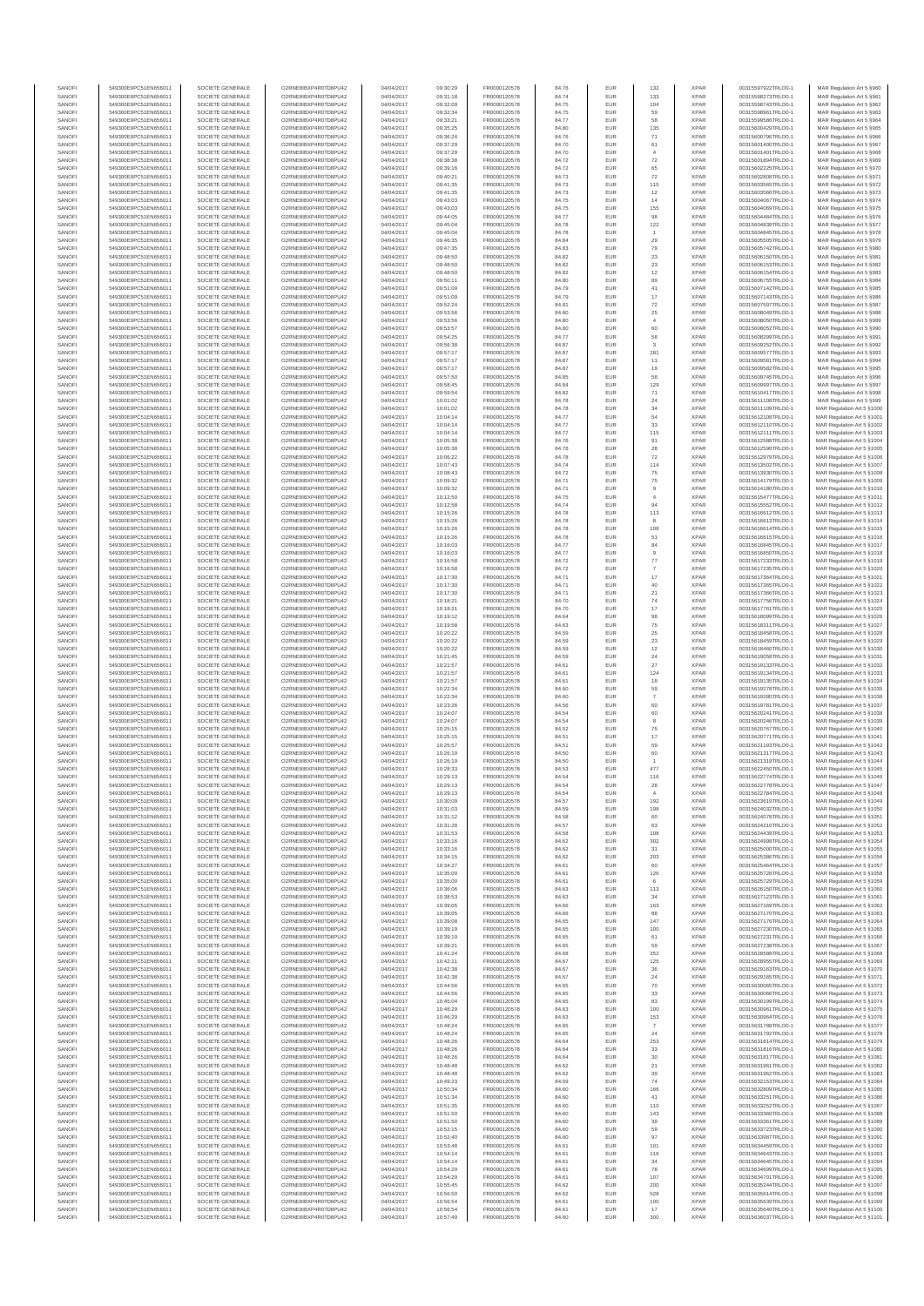| SANOFI<br>SANOFI       | 549300E9PC51EN656011<br>549300E9PC51EN656011 | SOCIETE GENERALE<br>SOCIETE GENERALE | O2RNE8IBXP4R0TD8PU42<br>O2RNE8IBXP4R0TD8PU42  | 04/04/2017<br>04/04/2017 | 09:30:29<br>09:31:18 | FR0000120578<br>FR0000120578 | 84.76<br>84.74 | <b>EUR</b><br>EUR           | 132<br>133                       | <b>XPAR</b><br><b>XPAR</b> | 00315597922TRLO0-1<br>00315598273TRLO0-1 | MAR Regulation Art 5 §960<br>MAR Regulation Art 5 §961    |
|------------------------|----------------------------------------------|--------------------------------------|-----------------------------------------------|--------------------------|----------------------|------------------------------|----------------|-----------------------------|----------------------------------|----------------------------|------------------------------------------|-----------------------------------------------------------|
| SANOFI                 | 549300E9PC51EN656011                         | SOCIETE GENERALE                     | O2RNE8IBXP4R0TD8PU42                          | 04/04/2017               | 09:32:09             | FR0000120578                 | 84.75          | <b>EUR</b>                  | 104                              | <b>XPAR</b>                | 00315598743TRLO0-1                       | MAR Regulation Art 5 §962                                 |
| SANOFI                 | 549300E9PC51EN656011                         | SOCIETE GENERALE                     | O2RNE8IBXP4R0TD8PU42                          | 04/04/2017               | 09:32:34             | FR0000120578                 | 84.75          | EUR                         | 59                               | <b>XPAR</b>                | 00315598961TRLO0-1                       | MAR Regulation Art 5 §963                                 |
| SANOFI<br>SANOFI       | 549300E9PC51EN656011<br>549300E9PC51EN656011 | SOCIETE GENERALE<br>SOCIETE GENERALE | O2RNE8IBXP4R0TD8PU42<br>O2RNE8IBXP4R0TD8PU42  | 04/04/2017<br>04/04/2017 | 09:33:21<br>09:35:25 | FR0000120578<br>FR0000120578 | 84.77<br>84.80 | <b>EUR</b><br>EUR           | 58<br>135                        | <b>XPAR</b><br><b>XPAR</b> | 00315599586TRLO0-1<br>00315600429TRLO0-  | MAR Regulation Art 5 §964<br>MAR Regulation Art 5 §965    |
| SANOFI                 | 549300E9PC51EN656011                         | SOCIETE GENERALE                     | O2RNE8IBXP4R0TD8PU42                          | 04/04/2017               | 09:36:24             | FR0000120578                 | 84.76          | EUR                         | $71\,$                           | <b>XPAR</b>                | 00315600796TRLO0-1                       | MAR Regulation Art 5 §966                                 |
| SANOFI<br>SANOFI       | 549300E9PC51EN656011<br>549300E9PC51EN656011 | SOCIETE GENERALE<br>SOCIETE GENERALE | O2RNE8IBXP4R0TD8PU42<br>O2RNE8IBXP4R0TD8PU42  | 04/04/2017<br>04/04/2017 | 09:37:29<br>09:37:29 | FR0000120578<br>FR0000120578 | 84.70<br>84.70 | EUR<br>EUR                  | 61                               | <b>XPAR</b><br><b>XPAR</b> | 00315601400TRLO0-1<br>00315601401TRLO0-1 | MAR Regulation Art 5 §967<br>MAR Regulation Art 5 §968    |
| SANOFI                 | 549300E9PC51EN656011                         | SOCIETE GENERALE                     | O2RNE8IBXP4R0TD8PU42                          | 04/04/2017               | 09:38:38             | FR0000120578                 | 84.72          | <b>EUR</b>                  | $\scriptstyle{72}$               | <b>XPAR</b>                | 00315601894TRLO0-1                       | MAR Regulation Art 5 §969                                 |
| SANOFI                 | 549300E9PC51EN656011                         | SOCIETE GENERALE                     | O2RNE8IBXP4R0TD8PU42                          | 04/04/2017               | 09:39:16             | FR0000120578                 | 84.72          | EUR                         | 65                               | <b>XPAR</b>                | 00315602225TRLO0-1                       | MAR Regulation Art 5 §970                                 |
| SANOFI<br>SANOFI       | 549300E9PC51EN656011<br>549300E9PC51EN656011 | SOCIETE GENERALE<br>SOCIETE GENERALE | O2RNE8IBXP4R0TD8PU42<br>O2RNE8IBXP4R0TD8PU42  | 04/04/2017<br>04/04/2017 | 09:40:21<br>09:41:35 | FR0000120578<br>FR0000120578 | 84.73<br>84.73 | <b>EUR</b><br>EUR           | 72<br>115                        | <b>XPAR</b><br><b>XPAR</b> | 00315602808TRLO0-1<br>00315603565TRLO0-1 | MAR Regulation Art 5 §971<br>MAR Regulation Art 5 §972    |
| SANOFI                 | 549300E9PC51EN656011                         | SOCIETE GENERALE                     | O2RNE8IBXP4R0TD8PU42                          | 04/04/2017               | 09:41:35             | FR0000120578                 | 84.73          | <b>EUR</b>                  | $12\,$                           | <b>XPAR</b>                | 00315603566TRLO0-1                       | MAR Regulation Art 5 §973                                 |
| SANOFI<br>SANOFI       | 549300E9PC51EN656011<br>549300E9PC51EN656011 | SOCIETE GENERALE<br>SOCIETE GENERALE | O2RNE8IBXP4R0TD8PU42<br>O2RNE8IBXP4R0TD8PU42  | 04/04/2017<br>04/04/2017 | 09:43:03<br>09:43:03 | FR0000120578<br>FR0000120578 | 84.75<br>84.75 | EUR<br>EUR                  | 14<br>155                        | <b>XPAR</b><br><b>XPAR</b> | 00315604067TRLO0-<br>00315604069TRLO0-1  | MAR Regulation Art 5 §974<br>MAR Regulation Art 5 §975    |
| SANOFI                 | 549300E9PC51EN656011                         | SOCIETE GENERALE                     | O2RNE8IBXP4R0TD8PU42                          | 04/04/2017               | 09:44:05             | FR0000120578                 | 84.77          | EUR                         | 98                               | <b>XPAR</b>                | 00315604484TRLO0-1                       | MAR Regulation Art 5 §976                                 |
| SANOFI                 | 549300E9PC51EN656011                         | SOCIETE GENERALE                     | O2RNE8IBXP4R0TD8PU42                          | 04/04/2017               | 09:45:04             | FR0000120578                 | 84.78          | EUR                         | $122\,$                          | <b>XPAR</b>                | 00315604839TRLO0-1                       | MAR Regulation Art 5 §977                                 |
| SANOFI<br>SANOFI       | 549300E9PC51EN656011<br>549300E9PC51EN656011 | SOCIETE GENERALE<br>SOCIETE GENERALE | O2RNE8IBXP4R0TD8PU42<br>O2RNE8IBXP4R0TD8PU42  | 04/04/2017<br>04/04/2017 | 09:45:04<br>09:46:35 | FR0000120578<br>FR0000120578 | 84.78<br>84.84 | <b>EUR</b><br>EUR           | $\boldsymbol{29}$                | <b>XPAR</b><br><b>XPAR</b> | 00315604845TRLO0-1<br>00315605505TRLO0-1 | MAR Regulation Art 5 §978<br>MAR Regulation Art 5 §979    |
| SANOFI                 | 549300E9PC51EN656011                         | SOCIETE GENERALE                     | O2RNE8IBXP4R0TD8PU42                          | 04/04/2017               | 09:47:35             | FR0000120578                 | 84.83          | <b>EUR</b>                  | 79                               | <b>XPAR</b>                | 00315605742TRLO0-1                       | MAR Regulation Art 5 \$980                                |
| SANOFI<br>SANOFI       | 549300E9PC51EN656011<br>549300E9PC51EN656011 | SOCIETE GENERALE<br>SOCIETE GENERALE | O2RNE8IBXP4R0TD8PU42<br>O2RNE8IBXP4R0TD8PU42  | 04/04/2017<br>04/04/2017 | 09:48:50<br>09:48:50 | FR0000120578<br>FR0000120578 | 84.82<br>84.82 | EUR<br><b>EUR</b>           | $23\,$<br>$23\,$                 | <b>XPAR</b><br><b>XPAR</b> | 00315606150TRLO0-1<br>00315606153TRLO0-1 | MAR Regulation Art 5 §981<br>MAR Regulation Art 5 §982    |
| SANOFI                 | 549300E9PC51EN656011                         | SOCIETE GENERALE                     | O2RNE8IBXP4R0TD8PU42                          | 04/04/2017               | 09:48:50             | FR0000120578                 | 84.82          | EUR                         | $12\,$                           | <b>XPAR</b>                | 00315606154TRLO0-1                       | MAR Regulation Art 5 §983                                 |
| SANOFI                 | 549300E9PC51EN656011                         | SOCIETE GENERALE<br>SOCIETE GENERALE | O2RNE8IBXP4R0TD8PU42                          | 04/04/2017               | 09:50:11             | FR0000120578                 | 84.80          | EUR                         | 89                               | <b>XPAR</b>                | 00315606755TRLO0-1                       | MAR Regulation Art 5 §984                                 |
| SANOFI<br>SANOFI       | 549300E9PC51EN656011<br>549300E9PC51EN656011 | SOCIETE GENERALE                     | O2RNE8IBXP4R0TD8PU42<br>O2RNE8IBXP4R0TD8PU42  | 04/04/2017<br>04/04/2017 | 09:51:09<br>09:51:09 | FR0000120578<br>FR0000120578 | 84.79<br>84.79 | EUR<br>EUR                  | $41\,$<br>17                     | <b>XPAR</b><br><b>XPAR</b> | 00315607142TRLO0-1<br>00315607143TRLO0-1 | MAR Regulation Art 5 §985<br>MAR Regulation Art 5 §986    |
| SANOFI                 | 549300E9PC51EN656011                         | SOCIETE GENERALE                     | O2RNE8IBXP4R0TD8PLI42                         | 04/04/2017               | 09:52:24             | FR0000120578                 | 84.81          | <b>EUR</b>                  | $\scriptstyle{72}$               | <b>XPAR</b>                | 00315607597TRLO0-                        | MAR Regulation Art 5 §987                                 |
| SANOFI<br>SANOFI       | 549300E9PC51EN656011<br>549300E9PC51EN656011 | SOCIETE GENERALE<br>SOCIETE GENERALE | O2RNE8IBXP4R0TD8PU42<br>O2RNE8IBXP4R0TD8PU42  | 04/04/2017<br>04/04/2017 | 09:53:56<br>09:53:56 | FR0000120578<br>FR0000120578 | 84.80<br>84.80 | EUR<br><b>EUR</b>           | $\rm 25$<br>$\overline{4}$       | <b>XPAR</b><br><b>XPAR</b> | 00315608049TRLO0-1<br>00315608050TRLO0-1 | MAR Regulation Art 5 §988<br>MAR Regulation Art 5 §989    |
| SANOFI                 | 549300E9PC51EN656011                         | SOCIETE GENERALE                     | O2RNE8IBXP4R0TD8PU42                          | 04/04/2017               | 09:53:57             | FR0000120578                 | 84.80          | EUR                         | 60                               | <b>XPAR</b>                | 00315608052TRLO0-1                       | MAR Regulation Art 5 §990                                 |
| SANOFI                 | 549300E9PC51EN656011                         | SOCIETE GENERALE                     | O2RNE8IBXP4R0TD8PU42                          | 04/04/2017               | 09:54:25             | FR0000120578                 | 84.77          | <b>EUR</b>                  | 58                               | <b>XPAR</b>                | 00315608299TRLO0-1                       | MAR Regulation Art 5 §991                                 |
| SANOFI<br>SANOFI       | 549300E9PC51EN656011<br>549300E9PC51EN656011 | SOCIETE GENERALE<br>SOCIETE GENERALE | O2RNE8IBXP4R0TD8PU42<br>O2RNE8IBXP4R0TD8PU42  | 04/04/2017<br>04/04/2017 | 09:56:38<br>09:57:17 | FR0000120578<br>FR0000120578 | 84.87<br>84.87 | EUR<br>EUR                  | 3<br>281                         | <b>XPAR</b><br><b>XPAR</b> | 00315609252TRLO0-1<br>00315609577TRLO0-1 | MAR Regulation Art 5 §992<br>MAR Regulation Art 5 §993    |
| SANOFI                 | 549300E9PC51EN656011                         | SOCIETE GENERALE                     | O2RNE8IBXP4R0TD8PU42                          | 04/04/2017               | 09:57:17             | FR0000120578                 | 84.87          | EUR                         | 11                               | <b>XPAR</b>                | 00315609581TRLO0-1                       | MAR Regulation Art 5 §994                                 |
| SANOFI<br>SANOFI       | 549300E9PC51EN656011<br>549300E9PC51EN656011 | SOCIETE GENERALE<br>SOCIETE GENERALE | O2RNE8IBXP4R0TD8PU42<br>O2RNE8IBXP4R0TD8PU42  | 04/04/2017<br>04/04/2017 | 09:57:17<br>09:57:50 | FR0000120578<br>FR0000120578 | 84.87<br>84.85 | EUR<br><b>EUR</b>           | 19<br>58                         | <b>XPAR</b><br><b>XPAR</b> | 00315609582TRLO0-1<br>00315609745TRLO0-1 | MAR Regulation Art 5 §995<br>MAR Regulation Art 5 §996    |
| SANOFI                 | 549300E9PC51EN656011                         | SOCIETE GENERALE                     | O2RNE8IBXP4R0TD8PU42                          | 04/04/2017               | 09:58:45             | FR0000120578                 | 84.84          | EUR                         | 129                              | <b>XPAR</b>                | 00315609997TRLO0-1                       | MAR Regulation Art 5 §997                                 |
| SANOFI                 | 549300E9PC51EN656011                         | SOCIETE GENERALE                     | O2RNE8IBXP4R0TD8PLI42                         | 04/04/2017               | 09:59:54             | FR0000120578                 | 84.82          | <b>EUR</b>                  | 71                               | <b>XPAR</b>                | 00315610417TRLO0-1                       | MAR Regulation Art 5 \$998                                |
| SANOFI<br>SANOFI       | 549300E9PC51EN656011<br>549300E9PC51EN656011 | SOCIETE GENERALE<br>SOCIETE GENERALE | O2RNE8IBXP4R0TD8PU42<br>O2RNE8IBXP4R0TD8PU42  | 04/04/2017<br>04/04/2017 | 10:01:02<br>10:01:02 | FR0000120578<br>FR0000120578 | 84.78<br>84.78 | EUR<br>EUR                  | $\mathbf{^{24}}$<br>34           | <b>XPAR</b><br><b>XPAR</b> | 00315611108TRLO0-1<br>00315611109TRLO0-1 | MAR Regulation Art 5 §999<br>MAR Regulation Art 5 §1000   |
| SANOFI                 | 549300E9PC51EN656011                         | SOCIETE GENERALE                     | O2RNE8IBXP4R0TD8PU42                          | 04/04/2017               | 10:04:14             | FR0000120578                 | 84.77          | EUR                         | 54                               | <b>XPAR</b>                | 00315612108TRLO0-1                       | MAR Regulation Art 5 §1001                                |
| SANOFI<br>SANOFI       | 549300E9PC51EN656011<br>549300E9PC51EN656011 | SOCIETE GENERALE<br>SOCIETE GENERALE | O2RNE8IBXP4R0TD8PU42<br>O2RNE8IBXP4R0TD8PU42  | 04/04/2017<br>04/04/2017 | 10:04:14<br>10:04:14 | FR0000120578<br>FR0000120578 | 84.77<br>84.77 | EUR<br>EUR                  | 33<br>115                        | <b>XPAR</b><br><b>XPAR</b> | 00315612110TRLO0-1<br>00315612111TRLO0-1 | MAR Regulation Art 5 §1002<br>MAR Regulation Art 5 §1003  |
| SANOFI                 | 549300E9PC51EN656011                         | SOCIETE GENERALE                     | O2RNE8IBXP4R0TD8PU42                          | 04/04/2017               | 10:05:38             | FR0000120578                 | 84.76          | EUR                         | 91                               | <b>XPAR</b>                | 00315612588TRLO0-1                       | MAR Regulation Art 5 §1004                                |
| SANOFI                 | 549300E9PC51EN656011                         | SOCIETE GENERALE                     | O2RNE8IBXP4R0TD8PU42                          | 04/04/2017               | 10:05:38             | FR0000120578                 | 84.76          | <b>EUR</b>                  | 28                               | <b>XPAR</b>                | 00315612590TRLO0-1                       | MAR Regulation Art 5 §1005                                |
| SANOFI<br>SANOFI       | 549300E9PC51EN656011<br>549300E9PC51EN656011 | SOCIETE GENERALE<br>SOCIETE GENERALE | O2RNE8IBXP4R0TD8PU42<br>O2RNE8IBXP4R0TD8PU42  | 04/04/2017<br>04/04/2017 | 10:06:22<br>10:07:43 | FR0000120578<br>FR0000120578 | 84.78<br>84.74 | EUR<br><b>EUR</b>           | $\scriptstyle{72}$<br>114        | <b>XPAR</b><br><b>XPAR</b> | 00315612979TRLO0-1<br>00315613502TRLO0-1 | MAR Regulation Art 5 §1006<br>MAR Regulation Art 5 \$1007 |
| SANOFI                 | 549300E9PC51EN656011                         | SOCIETE GENERALE                     | O2RNE8IBXP4R0TD8PU42                          | 04/04/2017               | 10:08:43             | FR0000120578                 | 84.72          | EUR                         | ${\bf 75}$                       | <b>XPAR</b>                | 00315613930TRLO0-                        | MAR Regulation Art 5 §1008                                |
| SANOFI<br>SANOFI       | 549300E9PC51EN656011<br>549300E9PC51EN656011 | SOCIETE GENERALE<br>SOCIETE GENERALE | O2RNE8IBXP4R0TD8PU42<br>O2RNE8IBXP4R0TD8PU42  | 04/04/2017<br>04/04/2017 | 10:09:32             | FR0000120578<br>FR0000120578 | 84.71          | EUR<br>EUR                  | $75\,$                           | <b>XPAR</b><br><b>XPAR</b> | 00315614179TRLO0-1<br>00315614180TRLO0-1 | MAR Regulation Art 5 §1009<br>MAR Regulation Art 5 §1010  |
| SANOFI                 | 549300E9PC51EN656011                         | SOCIETE GENERALE                     | O2RNE8IBXP4R0TD8PU42                          | 04/04/2017               | 10:09:32<br>10:12:50 | FR0000120578                 | 84.71<br>84.75 | EUR                         | $\overline{9}$<br>$\overline{4}$ | <b>XPAR</b>                | 00315615477TRLO0-1                       | MAR Regulation Art 5 §1011                                |
| SANOFI                 | 549300E9PC51EN656011                         | SOCIETE GENERALE                     | O2RNE8IBXP4R0TD8PU42                          | 04/04/2017               | 10:12:58             | FR0000120578                 | 84.74          | <b>EUR</b>                  | 94                               | <b>XPAR</b>                | 00315615552TRLO0-1                       | MAR Regulation Art 5 §1012                                |
| SANOFI<br>SANOFI       | 549300E9PC51EN656011<br>549300E9PC51EN656011 | SOCIETE GENERALE<br>SOCIETE GENERALE | O2RNE8IBXP4R0TD8PU42<br>O2RNE8IBXP4R0TD8PU42  | 04/04/2017<br>04/04/2017 | 10:15:26<br>10:15:26 | FR0000120578<br>FR0000120578 | 84.78<br>84.78 | EUR<br><b>EUR</b>           | 113<br>8                         | <b>XPAR</b><br><b>XPAR</b> | 00315616612TRLO0-1<br>00315616613TRLO0-1 | MAR Regulation Art 5 §1013<br>MAR Regulation Art 5 \$1014 |
| SANOFI                 | 549300E9PC51EN656011                         | SOCIETE GENERALE                     | O2RNE8IBXP4R0TD8PU42                          | 04/04/2017               | 10:15:26             | FR0000120578                 | 84.78          | EUR                         | 108                              | <b>XPAR</b>                | 00315616614TRLO0-1                       | MAR Regulation Art 5 §1015                                |
| SANOFI<br>SANOFI       | 549300E9PC51EN656011<br>549300E9PC51EN656011 | SOCIETE GENERALE<br>SOCIETE GENERALE | O2RNE8IBXP4R0TD8PU42<br>O2RNE8IBXP4R0TD8PU42  | 04/04/2017<br>04/04/2017 | 10:15:26<br>10:16:03 | FR0000120578<br>FR0000120578 | 84.78<br>84.77 | EUR<br>EUR                  | 51<br>$^{\rm 84}$                | <b>XPAR</b><br><b>XPAR</b> | 00315616615TRLO0-1<br>00315616845TRLO0-  | MAR Regulation Art 5 §1016<br>MAR Regulation Art 5 §1017  |
| SANOFI                 | 549300E9PC51EN656011                         | SOCIETE GENERALE                     | O2RNE8IBXP4R0TD8PU42                          | 04/04/2017               | 10:16:03             | FR0000120578                 | 84.77          | EUR                         |                                  | <b>XPAR</b>                | 00315616850TRLO0-1                       | MAR Regulation Art 5 §1018                                |
| SANOFI                 | 549300E9PC51EN656011                         | SOCIETE GENERALE                     | O2RNE8IBXP4R0TD8PU42                          | 04/04/2017               | 10:16:58             | FR0000120578                 | 84.72          | EUR                         | $77\,$                           | <b>XPAR</b>                | 00315617233TRLO0-1                       | MAR Regulation Art 5 §1019                                |
| SANOFI<br>SANOFI       | 549300E9PC51EN656011<br>549300E9PC51EN656011 | SOCIETE GENERALE<br>SOCIETE GENERALE | O2RNE8IBXP4R0TD8PU42<br>O2RNE8IBXP4R0TD8PU42  | 04/04/2017<br>04/04/2017 | 10:16:58<br>10:17:30 | FR0000120578<br>FR0000120578 | 84.72<br>84.71 | EUR<br><b>EUR</b>           | $\overline{7}$<br>$17\,$         | <b>XPAR</b><br><b>XPAR</b> | 00315617235TRLO0-1<br>00315617364TRLO0-1 | MAR Regulation Art 5 §1020<br>MAR Regulation Art 5 §1021  |
| SANOFI                 | 549300E9PC51EN656011                         | SOCIETE GENERALE                     | O2RNE8IBXP4R0TD8PU42                          | 04/04/2017               | 10:17:30             | FR0000120578                 | 84.71          | EUR                         | 40                               | <b>XPAR</b>                | 00315617365TRLO0-                        | MAR Regulation Art 5 §1022                                |
| SANOFI<br>SANOFI       | 549300E9PC51EN656011<br>549300E9PC51EN656011 | SOCIETE GENERALE<br>SOCIETE GENERALE | O2RNE8IBXP4R0TD8PU42<br>O2RNE8IBXP4R0TD8PU42  | 04/04/2017<br>04/04/2017 | 10:17:30<br>10:18:21 | FR0000120578<br>FR0000120578 | 84.71<br>84.70 | <b>EUR</b><br>EUR           | $21\,$<br>74                     | <b>XPAR</b><br><b>XPAR</b> | 00315617366TRLO0-1<br>00315617756TRLO0-  | MAR Regulation Art 5 §1023<br>MAR Regulation Art 5 §1024  |
| SANOFI                 | 549300E9PC51EN656011                         | SOCIETE GENERALE                     | O2RNE8IBXP4R0TD8PU42                          | 04/04/2017               | 10:18:21             | FR0000120578                 | 84.70          | EUR                         | 17                               | <b>XPAR</b>                | 00315617761TRLO0-1                       | MAR Regulation Art 5 §1025                                |
| SANOFI                 | 549300E9PC51EN656011                         | SOCIETE GENERALE                     | O2RNE8IBXP4R0TD8PU42                          | 04/04/2017               | 10:19:12             | FR0000120578                 | 84.64          | EUR                         | 98                               | <b>XPAR</b>                | 00315618099TRLO0-1                       | MAR Regulation Art 5 §1026                                |
| SANOFI<br>SANOFI       | 549300E9PC51EN656011<br>549300E9PC51EN656011 | SOCIETE GENERALE<br>SOCIETE GENERALE | O2RNE8IBXP4R0TD8PU42<br>O2RNE8IBXP4R0TD8PU42  | 04/04/2017<br>04/04/2017 | 10:19:58<br>10:20:22 | FR0000120578<br>FR0000120578 | 84.63<br>84.59 | EUR<br>EUR                  | 75<br>$25\,$                     | <b>XPAR</b><br><b>XPAR</b> | 00315618311TRLO0-1<br>00315618458TRLO0-1 | MAR Regulation Art 5 §1027<br>MAR Regulation Art 5 §1028  |
| SANOFI                 | 549300E9PC51EN656011                         | SOCIETE GENERALE                     | O2RNE8IBXP4R0TD8PU42                          | 04/04/2017               | 10:20:22             | FR0000120578                 | 84.59          | EUR                         | $23\,$                           | <b>XPAR</b>                | 00315618459TRLO0-1                       | MAR Regulation Art 5 §1029                                |
| SANOFI<br>SANOFI       | 549300E9PC51EN656011<br>549300E9PC51EN656011 | SOCIETE GENERALE<br>SOCIETE GENERALE | O2RNE8IBXP4R0TD8PU42<br>O2RNE8IBXP4R0TD8PU42  | 04/04/2017<br>04/04/2017 | 10:20:22<br>10:21:45 | FR0000120578<br>FR0000120578 | 84.59<br>84.59 | <b>EUR</b><br>EUR           | $12\,$<br>24                     | <b>XPAR</b><br><b>XPAR</b> | 00315618460TRLO0-<br>00315619058TRLO0-1  | MAR Regulation Art 5 §1030<br>MAR Regulation Art 5 §1031  |
| SANOFI                 | 549300E9PC51EN656011                         | SOCIETE GENERALE                     | O2RNE8IBXP4R0TD8PU42                          | 04/04/2017               | 10:21:57             | FR0000120578                 | 84.61          | <b>EUR</b>                  | 27                               | <b>XPAR</b>                | 00315619133TRLO0-1                       | MAR Regulation Art 5 §1032                                |
| SANOFI                 | 549300E9PC51EN656011                         | SOCIETE GENERALE                     | O2RNE8IBXP4R0TD8PU42                          | 04/04/2017               | 10:21:57             | FR0000120578                 | 84.61          | EUR                         | 124                              | <b>XPAR</b>                | 00315619134TRLO0-1                       | MAR Regulation Art 5 §1033                                |
| SANOFI<br>SANOFI       | 549300E9PC51EN656011<br>549300E9PC51EN656011 | SOCIETE GENERALE<br>SOCIETE GENERALE | O2RNE8IBXP4R0TD8PU42<br>O2RNE8IBXP4R0TD8PU42  | 04/04/2017<br>04/04/2017 | 10:21:57<br>10:22:34 | FR0000120578<br>FR0000120578 | 84.61<br>84.60 | EUR<br>EUR                  | 18<br>59                         | <b>XPAR</b><br><b>XPAR</b> | 00315619135TRLO0-1<br>00315619278TRLO0-1 | MAR Regulation Art 5 §1034<br>MAR Regulation Art 5 §1035  |
| SANOFI                 | 549300E9PC51EN656011                         | SOCIETE GENERALE                     | O2RNE8IBXP4R0TD8PU42                          | 04/04/2017               | 10:22:34             | FR0000120578                 | 84.60          | EUR                         | $\overline{7}$                   | <b>XPAR</b>                | 00315619280TRLO0-1                       | MAR Regulation Art 5 §1036                                |
| SANOFI<br>SANOFI       | 549300E9PC51EN656011<br>549300E9PC51EN656011 | SOCIETE GENERALE<br>SOCIETE GENERALE | O2RNE8IBXP4R0TD8PU42<br>O2RNE8IBXP4R0TD8PU42  | 04/04/2017<br>04/04/2017 | 10:23:26<br>10:24:07 | FR0000120578<br>FR0000120578 | 84.56<br>84.54 | EUR<br>EUR                  | 60<br>60                         | <b>XPAR</b><br><b>XPAR</b> | 00315619781TRLO0-<br>00315620241TRLO0-1  | MAR Regulation Art 5 §1037<br>MAR Regulation Art 5 §1038  |
| SANOFI                 | 549300E9PC51EN656011                         | SOCIETE GENERALE                     | O2RNE8IBXP4R0TD8PU42                          | 04/04/2017               | 10:24:07             | FR0000120578                 | 84.54          | <b>EUR</b>                  | 8                                | <b>XPAR</b>                | 00315620246TRLO0-1                       | MAR Regulation Art 5 §1039                                |
| SANOFI                 | 549300E9PC51EN656011                         | SOCIETE GENERALE                     | O2RNE8IBXP4R0TD8PU42                          | 04/04/2017               | 10:25:15             | FR0000120578                 | 84.52          | EUR                         | ${\bf 75}$                       | <b>XPAR</b>                | 00315620767TRLO0-1                       | MAR Regulation Art 5 §1040                                |
| SANOFI<br>SANOFI       | 549300E9PC51EN656011<br>549300E9PC51EN656011 | SOCIETE GENERALE<br>SOCIETE GENERALE | O2RNE8IBXP4R0TD8PU42<br>O2RNE8IBXP4R0TD8PU42  | 04/04/2017<br>04/04/2017 | 10:25:15<br>10:25:57 | FR0000120578<br>FR0000120578 | 84.51<br>84.51 | <b>EUR</b><br>EUR           | 17<br>59                         | <b>XPAR</b><br><b>XPAR</b> | 00315620771TRLO0-1<br>00315621193TRLO0-1 | MAR Regulation Art 5 \$1041<br>MAR Regulation Art 5 §1042 |
| SANOFI                 | 549300E9PC51EN656011                         | SOCIETE GENERALE                     | O2RNE8IBXP4R0TD8PU42                          | 04/04/2017               | 10:26:19             | FR0000120578                 | 84.50          | EUR                         | 60                               | <b>XPAR</b>                | 00315621317TRLO0-1                       | MAR Regulation Art 5 \$1043                               |
| SANOFI<br>SANOFI       | 549300E9PC51EN656011<br>549300E9PC51EN656011 | SOCIETE GENERALE<br>SOCIETE GENERALE | O2RNE8IBXP4R0TD8PU42<br>O2RNE8IBXP4R0TD8PU42  | 04/04/2017<br>04/04/2017 | 10:26:19<br>10:28:33 | FR0000120578<br>FR0000120578 | 84.50<br>84.53 | EUR<br>EUR                  | 477                              | <b>XPAR</b><br><b>XPAR</b> | 00315621319TRLO0-<br>00315622450TRLO0-1  | MAR Regulation Art 5 §1044<br>MAR Regulation Art 5 §1045  |
| SANOFI                 | 549300E9PC51EN656011                         | SOCIETE GENERALE                     | O2RNE8IBXP4R0TD8PU42                          | 04/04/2017               | 10:29:13             | FR0000120578                 | 84.54          | <b>EUR</b>                  | 116                              | <b>XPAR</b>                | 00315622774TRLO0-1                       | MAR Regulation Art 5 §1046                                |
| <b>SANOF</b><br>SANOFI | 549300E9PC51EN656011<br>549300E9PC51EN656011 | SOCIETE GENERALE<br>SOCIETE GENERALE | O2RNE8IBXP4R0TD8PU42<br>O2RNE8IBXP4R0TD8PU42  | 04/04/2017<br>04/04/2017 | 10:29:13<br>10:29:13 | FR0000120578                 | 84.54<br>84.54 | EUR<br><b>EUR</b>           | 28<br>$\mathbf{A}$               | <b>XPAR</b><br><b>XPAR</b> | 00315622778TRLO0-                        | MAR Regulation Art 5 §1047                                |
| SANOFI                 | 549300E9PC51EN656011                         | SOCIETE GENERALE                     | O2RNE8IBXP4R0TD8PU42                          | 04/04/2017               | 10:30:09             | FR0000120578<br>FR0000120578 | 84.57          | EUR                         | 192                              | <b>XPAR</b>                | 00315622784TRLO0-1<br>00315623619TRLO0-1 | MAR Regulation Art 5 §1048<br>MAR Regulation Art 5 §1049  |
| SANOFI                 | 549300E9PC51EN656011                         | SOCIETE GENERALE                     | O2RNE8IBXP4R0TD8PU42                          | 04/04/2017               | 10:31:03             | FR0000120578                 | 84.59          | <b>EUR</b>                  | 198                              | <b>XPAR</b>                | 00315624032TRLO0-1                       | MAR Regulation Art 5 §1050                                |
| SANOFI<br>SANOFI       | 549300E9PC51EN656011<br>549300E9PC51EN656011 | SOCIETE GENERALE<br>SOCIETE GENERALE | O2RNE8IBXP4R0TD8PU42<br>O2RNE8IBXP4R0TD8PU42  | 04/04/2017<br>04/04/2017 | 10:31:12<br>10:31:28 | FR0000120578<br>FR0000120578 | 84.58<br>84.57 | EUR<br>EUR                  | 60<br>63                         | <b>XPAR</b><br><b>XPAR</b> | 00315624078TRLO0-1<br>00315624210TRLO0-1 | MAR Regulation Art 5 §1051<br>MAR Regulation Art 5 §1052  |
| SANOFI                 | 549300E9PC51EN656011                         | SOCIETE GENERALE                     | O2RNE8IBXP4R0TD8PU42                          | 04/04/2017               | 10:31:53             | FR0000120578                 | 84.58          | $\ensuremath{\mathsf{EUR}}$ | 108                              | <b>XPAR</b>                | 00315624439TRLO0-1                       | MAR Regulation Art 5 §1053                                |
| SANOFI<br>SANOFI       | 549300E9PC51EN656011<br>549300E9PC51EN656011 | SOCIETE GENERALE<br>SOCIETE GENERALE | O2RNE8IBXP4R0TD8PU42<br>O2RNE8IBXP4R0TD8PU42  | 04/04/2017<br>04/04/2017 | 10:33:16<br>10:33:16 | FR0000120578<br>FR0000120578 | 84.62<br>84.62 | EUR<br><b>EUR</b>           | 302<br>31                        | <b>XPAR</b><br><b>XPAR</b> | 00315624998TRLO0-1<br>00315625000TRLO0-1 | MAR Regulation Art 5 §1054                                |
| SANOFI                 | 549300E9PC51EN656011                         | SOCIETE GENERALE                     | O2RNE8IBXP4R0TD8PU42                          | 04/04/2017               | 10:34:15             | FR0000120578                 | 84.62          | EUR                         | 203                              | <b>XPAR</b>                | 00315625386TRLO0-1                       | MAR Regulation Art 5 §1055<br>MAR Regulation Art 5 §1056  |
| SANOFI                 | 549300E9PC51EN656011                         | SOCIETE GENERALE                     | O2RNE8IBXP4R0TD8PU42                          | 04/04/2017               | 10:34:27             | FR0000120578                 | 84.61          | <b>EUR</b>                  | 60                               | <b>XPAR</b>                | 00315625464TRLO0-1                       | MAR Regulation Art 5 §1057                                |
| SANOFI<br>SANOFI       | 549300E9PC51EN656011<br>549300E9PC51EN656011 | SOCIETE GENERALE<br>SOCIETE GENERALE | O2RNE8IBXP4R0TD8PU42<br>O2RNE8IBXP4R0TD8PU42  | 04/04/2017<br>04/04/2017 | 10:35:00<br>10:35:00 | FR0000120578<br>FR0000120578 | 84.61<br>84.61 | EUR<br>EUR                  | 126<br>$_{\rm 6}$                | <b>XPAR</b><br><b>XPAR</b> | 00315625728TRLO0-<br>00315625729TRLO0-1  | MAR Regulation Art 5 §1058<br>MAR Regulation Art 5 \$1059 |
| SANOFI                 | 549300E9PC51EN656011                         | SOCIETE GENERALE                     | O2RNE8IBXP4R0TD8PU42                          | 04/04/2017               | 10:36:06             | FR0000120578                 | 84.63          | EUR                         | 113                              | <b>XPAR</b>                | 00315626150TRLO0-1                       | MAR Regulation Art 5 §1060                                |
| SANOFI<br>SANOFI       | 549300E9PC51EN656011<br>549300E9PC51EN656011 | SOCIETE GENERALE<br>SOCIETE GENERALE | O2RNE8IBXP4R0TD8PU42<br>O2RNE8IBXP4R0TD8PU42  | 04/04/2017<br>04/04/2017 | 10:38:53<br>10:39:05 | FR0000120578<br>FR0000120578 | 84.63<br>84.66 | EUR<br>EUR                  | 34<br>163                        | <b>XPAR</b><br><b>XPAR</b> | 00315627123TRLO0-1<br>00315627169TRLO0-1 | MAR Regulation Art 5 \$1061<br>MAR Regulation Art 5 §1062 |
| SANOFI                 | 549300E9PC51EN656011                         | SOCIETE GENERALE                     | O2RNE8IBXP4R0TD8PU42                          | 04/04/2017               | 10:39:05             | FR0000120578                 | 84.66          | EUR                         | 88                               | <b>XPAR</b>                | 00315627170TRLO0-1                       | MAR Regulation Art 5 §1063                                |
| SANOFI<br>SANOFI       | 549300E9PC51EN656011<br>549300E9PC51EN656011 | SOCIETE GENERALE<br>SOCIETE GENERALE | O2RNE8IBXP4R0TD8PLI42<br>O2RNE8IBXP4R0TD8PU42 | 04/04/2017<br>04/04/2017 | 10:39:08<br>10:39:19 | FR0000120578<br>FR0000120578 | 84.65<br>84.65 | <b>EUR</b><br>EUR           | 147                              | <b>XPAR</b><br><b>XPAR</b> | 00315627176TRLO0-1<br>00315627230TRLO0-1 | MAR Regulation Art 5 §1064                                |
| SANOFI                 | 549300E9PC51EN656011                         | SOCIETE GENERALE                     | O2RNE8IBXP4R0TD8PU42                          | 04/04/2017               | 10:39:19             | FR0000120578                 | 84.65          | <b>EUR</b>                  | 100<br>61                        | <b>XPAR</b>                | 00315627231TRLO0-1                       | MAR Regulation Art 5 §1065<br>MAR Regulation Art 5 §1066  |
| SANOFI                 | 549300E9PC51EN656011                         | SOCIETE GENERALE                     | O2RNE8IBXP4R0TD8PU42                          | 04/04/2017               | 10:39:21             | FR0000120578                 | 84.65          | ${\sf EUR}$                 | 59                               | <b>XPAR</b>                | 00315627238TRLO0-1                       | MAR Regulation Art 5 §1067                                |
| SANOFI<br>SANOFI       | 549300E9PC51EN656011<br>549300E9PC51EN656011 | SOCIETE GENERALE<br>SOCIETE GENERALE | O2RNE8IBXP4R0TD8PU42<br>O2RNE8IBXP4R0TD8PU42  | 04/04/2017<br>04/04/2017 | 10:41:24<br>10:42:11 | FR0000120578<br>FR0000120578 | 84.68<br>84.67 | EUR<br>EUR                  | 352<br>125                       | <b>XPAR</b><br><b>XPAR</b> | 00315628588TRLO0-1<br>00315628955TRLO0-1 | MAR Regulation Art 5 §1068<br>MAR Regulation Art 5 §1069  |
| SANOFI                 | 549300E9PC51EN656011                         | SOCIETE GENERALE                     | O2RNE8IBXP4R0TD8PU42                          | 04/04/2017               | 10:42:38             | FR0000120578                 | 84.67          | EUR                         | 36                               | <b>XPAR</b>                | 00315629163TRLO0-1                       | MAR Regulation Art 5 §1070                                |
| SANOFI<br>SANOFI       | 549300E9PC51EN656011<br>549300E9PC51EN656011 | SOCIETE GENERALE<br>SOCIETE GENERALE | O2RNE8IBXP4R0TD8PU42<br>O2RNE8IBXP4R0TD8PU42  | 04/04/2017<br>04/04/2017 | 10:42:38<br>10:44:56 | FR0000120578<br>FR0000120578 | 84.67<br>84.65 | EUR<br>EUR                  | $\mathbf{^{24}}$<br>$70$         | <b>XPAR</b><br><b>XPAR</b> | 00315629165TRLO0-1<br>00315630065TRLO0-1 | MAR Regulation Art 5 §1071<br>MAR Regulation Art 5 §1072  |
| SANOFI                 | 549300E9PC51EN656011                         | SOCIETE GENERALE                     | O2RNE8IBXP4R0TD8PU42                          | 04/04/2017               | 10:44:56             | FR0000120578                 | 84.65          | <b>EUR</b>                  | 33                               | <b>XPAR</b>                | 00315630066TRLO0-1                       | MAR Regulation Art 5 §1073                                |
| SANOFI                 | 549300E9PC51EN656011                         | SOCIETE GENERALE                     | O2RNE8IBXP4R0TD8PU42                          | 04/04/2017               | 10:45:04             | FR0000120578                 | 84.65          | EUR                         | 83                               | <b>XPAR</b>                | 00315630199TRLO0-1                       | MAR Regulation Art 5 §1074                                |
| SANOFI<br>SANOFI       | 549300E9PC51EN656011<br>549300E9PC51EN656011 | SOCIETE GENERALE<br>SOCIETE GENERALE | O2RNE8IBXP4R0TD8PU42<br>O2RNE8IBXP4R0TD8PU42  | 04/04/2017<br>04/04/2017 | 10:46:29<br>10:46:29 | FR0000120578<br>FR0000120578 | 84.63<br>84.63 | <b>EUR</b><br>EUR           | 100<br>153                       | <b>XPAR</b><br><b>XPAR</b> | 00315630961TRLO0-1<br>00315630964TRLO0-1 | MAR Regulation Art 5 §1075<br>MAR Regulation Art 5 §1076  |
| SANOFI                 | 549300E9PC51EN656011                         | SOCIETE GENERALE                     | O2RNE8IBXP4R0TD8PU42                          | 04/04/2017               | 10:48:24             | FR0000120578                 | 84.65          | EUR                         | $\overline{7}$                   | <b>XPAR</b>                | 00315631788TRLO0-1                       | MAR Regulation Art 5 §1077                                |
| SANOFI<br>SANOFI       | 549300E9PC51EN656011<br>549300E9PC51EN656011 | SOCIETE GENERALE<br>SOCIETE GENERALE | O2RNE8IBXP4R0TD8PU42<br>O2RNE8IBXP4R0TD8PU42  | 04/04/2017<br>04/04/2017 | 10:48:24<br>10:48:26 | FR0000120578<br>FR0000120578 | 84.65<br>84.64 | EUR<br>EUR                  | $\mathbf{^{24}}$<br>253          | <b>XPAR</b><br><b>XPAR</b> | 00315631792TRLO0-1<br>00315631814TRLO0-1 | MAR Regulation Art 5 §1078<br>MAR Regulation Art 5 §1079  |
| SANOFI                 | 549300E9PC51EN656011                         | SOCIETE GENERALE                     | O2RNE8IBXP4R0TD8PU42                          | 04/04/2017               | 10:48:26             | FR0000120578                 | 84.64          | <b>EUR</b>                  | 33                               | <b>XPAR</b>                | 00315631816TRLO0-1                       | MAR Regulation Art 5 §1080                                |
| SANOFI                 | 549300E9PC51EN656011                         | SOCIETE GENERALE                     | O2RNE8IBXP4R0TD8PU42                          | 04/04/2017               | 10:48:26             | FR0000120578                 | 84.64          | EUR                         | 30                               | <b>XPAR</b>                | 00315631817TRLO0-1                       | MAR Regulation Art 5 §1081                                |
| SANOFI<br>SANOFI       | 549300E9PC51EN656011<br>549300E9PC51EN656011 | SOCIETE GENERALE<br>SOCIETE GENERALE | O2RNE8IBXP4R0TD8PU42<br>O2RNE8IBXP4R0TD8PU42  | 04/04/2017<br>04/04/2017 | 10:48:48<br>10:48:48 | FR0000120578<br>FR0000120578 | 84.62<br>84.62 | <b>EUR</b><br>EUR           | 21<br>39                         | <b>XPAR</b><br><b>XPAR</b> | 00315631961TRLO0-1<br>00315631962TRLO0-1 | MAR Regulation Art 5 §1082<br>MAR Regulation Art 5 §1083  |
| SANOFI                 | 549300E9PC51EN656011                         | SOCIETE GENERALE                     | O2RNE8IBXP4R0TD8PU42                          | 04/04/2017               | 10:49:23             | FR0000120578                 | 84.59          | <b>EUR</b>                  | 74                               | <b>XPAR</b>                | 00315632153TRLO0-1                       | MAR Regulation Art 5 §1084                                |
| SANOFI<br>SANOFI       | 549300E9PC51EN656011<br>549300E9PC51EN656011 | SOCIETE GENERALE<br>SOCIETE GENERALE | O2RNE8IBXP4R0TD8PU42<br>O2RNE8IBXP4R0TD8PU42  | 04/04/2017<br>04/04/2017 | 10:50:34<br>10:51:34 | FR0000120578<br>FR0000120578 | 84.60<br>84.60 | EUR<br>EUR                  | 166<br>41                        | <b>XPAR</b><br><b>XPAR</b> | 00315632809TRLO0-1<br>00315633251TRLO0-1 | MAR Regulation Art 5 §1085<br>MAR Regulation Art 5 §1086  |
| SANOFI                 | 549300E9PC51EN656011                         | SOCIETE GENERALE                     | O2RNE8IBXP4R0TD8PU42                          | 04/04/2017               | 10:51:35             | FR0000120578                 | 84.60          | EUR                         | 110                              | <b>XPAR</b>                | 00315633252TRLO0-1                       | MAR Regulation Art 5 §1087                                |
| SANOFI                 | 549300E9PC51EN656011                         | SOCIETE GENERALE                     | O2RNE8IBXP4R0TD8PU42                          | 04/04/2017               | 10:51:50             | FR0000120578                 | 84.60          | EUR                         | 143                              | <b>XPAR</b>                | 00315633360TRLO0-1                       | MAR Regulation Art 5 §1088                                |
| SANOFI<br>SANOFI       | 549300E9PC51EN656011<br>549300E9PC51EN656011 | SOCIETE GENERALE<br>SOCIETE GENERALE | O2RNE8IBXP4R0TD8PU42<br>O2RNE8IBXP4R0TD8PU42  | 04/04/2017<br>04/04/2017 | 10:51:50<br>10:52:15 | FR0000120578<br>FR0000120578 | 84.60<br>84.60 | <b>EUR</b><br>EUR           | 39<br>59                         | <b>XPAR</b><br><b>XPAR</b> | 00315633361TRLO0-1<br>00315633723TRLO0-1 | MAR Regulation Art 5 §1089<br>MAR Regulation Art 5 §1090  |
| SANOFI                 | 549300E9PC51EN656011                         | SOCIETE GENERALE                     | O2RNE8IBXP4R0TD8PU42                          | 04/04/2017               | 10:52:40             | FR0000120578                 | 84.60          | <b>EUR</b>                  | 97                               | <b>XPAR</b>                | 00315633987TRLO0-1                       | MAR Regulation Art 5 §1091                                |
| SANOFI<br>SANOFI       | 549300E9PC51EN656011<br>549300E9PC51EN656011 | SOCIETE GENERALE<br>SOCIETE GENERALE | O2RNE8IBXP4R0TD8PU42<br>O2RNE8IBXP4R0TD8PU42  | 04/04/2017<br>04/04/2017 | 10:53:48<br>10:54:14 | FR0000120578<br>FR0000120578 | 84.61<br>84.61 | EUR<br><b>EUR</b>           | 101<br>116                       | <b>XPAR</b><br><b>XPAR</b> | 00315634459TRLO0-1<br>00315634643TRLO0-1 | MAR Regulation Art 5 §1092<br>MAR Regulation Art 5 §1093  |
| SANOFI                 | 549300E9PC51EN656011                         | SOCIETE GENERALE                     | O2RNE8IBXP4R0TD8PU42                          | 04/04/2017               | 10:54:14             | FR0000120578                 | 84.61          | EUR                         | $34\,$                           | <b>XPAR</b>                | 00315634645TRLO0-1                       | MAR Regulation Art 5 §1094                                |
| SANOFI                 | 549300E9PC51EN656011                         | SOCIETE GENERALE                     | O2RNE8IBXP4R0TD8PU42                          | 04/04/2017               | 10:54:29             | FR0000120578                 | 84.61          | EUR                         | ${\bf 78}$                       | <b>XPAR</b>                | 00315634699TRLO0-1                       | MAR Regulation Art 5 §1095                                |
| SANOFI<br>SANOFI       | 549300E9PC51EN656011<br>549300E9PC51EN656011 | SOCIETE GENERALE<br>SOCIETE GENERALE | O2RNE8IBXP4R0TD8PU42<br>O2RNE8IBXP4R0TD8PU42  | 04/04/2017<br>04/04/2017 | 10:54:29<br>10:55:45 | FR0000120578<br>FR0000120578 | 84.61<br>84.62 | ${\sf EUR}$<br>EUR          | 107<br>200                       | <b>XPAR</b><br><b>XPAR</b> | 00315634701TRLO0-1<br>00315635244TRLO0-1 | MAR Regulation Art 5 §1096<br>MAR Regulation Art 5 §1097  |
| SANOFI                 | 549300E9PC51EN656011                         | SOCIETE GENERALE                     | O2RNE8IBXP4R0TD8PU42                          | 04/04/2017               | 10:56:50             | FR0000120578                 | 84.62          | <b>EUR</b>                  | 528                              | <b>XPAR</b>                | 00315635614TRLO0-1                       | MAR Regulation Art 5 §1098                                |
| SANOFI<br>SANOFI       | 549300E9PC51EN656011<br>549300E9PC51EN656011 | SOCIETE GENERALE<br>SOCIETE GENERALE | O2RNE8IBXP4R0TD8PU42<br>O2RNE8IBXP4R0TD8PU42  | 04/04/2017<br>04/04/2017 | 10:56:54<br>10:56:54 | FR0000120578                 | 84.61<br>84.61 | EUR<br><b>EUR</b>           | 100<br>17                        | <b>XPAR</b><br><b>XPAR</b> | 00315635639TRLO0-1<br>00315635640TRLO0-1 | MAR Regulation Art 5 §1099                                |
| SANOFI                 | 549300E9PC51EN656011                         | SOCIETE GENERALE                     | O2RNE8IBXP4R0TD8PU42                          | 04/04/2017               | 10:57:49             | FR0000120578<br>FR0000120578 | 84.60          | EUR                         | 300                              | XPAR                       | 00315636037TRLO0-1                       | MAR Regulation Art 5 §1100<br>MAR Regulation Art 5 §1101  |
|                        |                                              |                                      |                                               |                          |                      |                              |                |                             |                                  |                            |                                          |                                                           |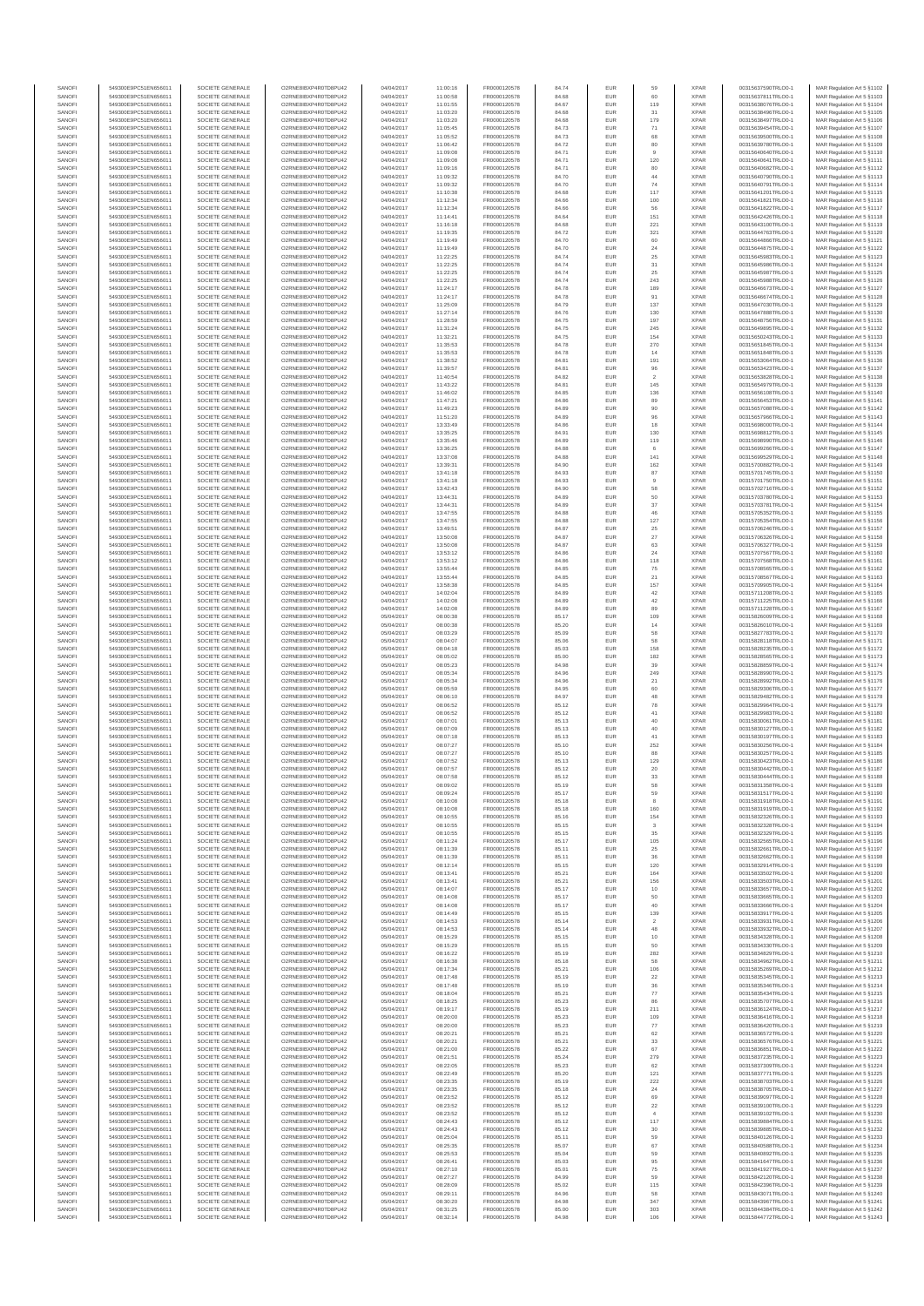| SANOF            | 549300E9PC51EN656011                         | SOCIETE GENERALE                     | O2RNE8IBXP4R0TD8PU42                          | 04/04/2017               | 11:00:16             | FR0000120578                 | 84.74          | EUR                      | 59                   | <b>XPAR</b>                | 00315637590TRLO0-1                       | MAR Regulation Art 5 §1102                                |
|------------------|----------------------------------------------|--------------------------------------|-----------------------------------------------|--------------------------|----------------------|------------------------------|----------------|--------------------------|----------------------|----------------------------|------------------------------------------|-----------------------------------------------------------|
| SANOFI<br>SANOFI | 549300E9PC51EN656011                         | SOCIETE GENERALE                     | O2RNE8IBXP4R0TD8PLI42                         | 04/04/2017               | 11:00:58             | FR0000120578                 | 84.68          | EUR                      | 60                   | <b>XPAR</b><br><b>XPAR</b> | 00315637811TRLO0-1                       | MAR Regulation Art 5 §1103                                |
| SANOFI           | 549300E9PC51EN656011<br>549300E9PC51EN656011 | SOCIETE GENERALE<br>SOCIETE GENERALE | O2RNE8IBXP4R0TD8PU42<br>O2RNE8IBXP4R0TD8PU42  | 04/04/2017<br>04/04/2017 | 11:01:55<br>11:03:20 | FR0000120578<br>FR0000120578 | 84.67<br>84.68 | <b>EUR</b><br>EUR        | 119<br>31            | <b>XPAR</b>                | 00315638076TRLO0-1<br>00315638496TRLO0-1 | MAR Regulation Art 5 §1104<br>MAR Regulation Art 5 §1105  |
| SANOFI           | 549300E9PC51EN656011                         | SOCIETE GENERALE                     | O2RNE8IBXP4R0TD8PU42                          | 04/04/2017               | 11:03:20             | FR0000120578                 | 84.68          | EUR                      | 179                  | <b>XPAR</b>                | 00315638497TRLO0-1                       | MAR Regulation Art 5 §1106                                |
| SANOFI           | 549300E9PC51EN656011                         | SOCIETE GENERALE                     | O2RNE8IBXP4R0TD8PU42                          | 04/04/2017               | 11:05:45             | FR0000120578                 | 84.73          | EUR                      | $71\,$               | <b>XPAR</b>                | 00315639454TRLO0-1                       | MAR Regulation Art 5 §1107                                |
| SANOFI<br>SANOFI | 549300E9PC51EN656011<br>549300E9PC51EN656011 | SOCIETE GENERALE<br>SOCIETE GENERALE | O2RNE8IBXP4R0TD8PU42<br>O2RNE8IBXP4R0TD8PU42  | 04/04/2017<br>04/04/2017 | 11:05:52<br>11:06:42 | FR0000120578<br>FR0000120578 | 84.73<br>84.72 | <b>EUR</b><br>EUR        | 68<br>80             | <b>XPAR</b><br><b>XPAR</b> | 00315639500TRLO0-1<br>00315639780TRLO0-1 | MAR Regulation Art 5 §1108<br>MAR Regulation Art 5 §1109  |
| SANOFI           | 549300E9PC51EN656011                         | SOCIETE GENERALE                     | O2RNE8IBXP4R0TD8PU42                          | 04/04/2017               | 11:09:08             | FR0000120578                 | 84.71          | <b>EUR</b>               | $\overline{9}$       | <b>XPAR</b>                | 00315640640TRLO0-1                       | MAR Regulation Art 5 §1110                                |
| SANOFI           | 549300E9PC51EN656011                         | SOCIETE GENERALE                     | O2RNE8IBXP4R0TD8PU42                          | 04/04/2017               | 11:09:08             | FR0000120578                 | 84.71          | EUR                      | 120                  | <b>XPAR</b>                | 00315640641TRLO0-1                       | MAR Regulation Art 5 §1111                                |
| SANOFI<br>SANOFI | 549300E9PC51EN656011<br>549300E9PC51EN656011 | SOCIETE GENERALE<br>SOCIETE GENERALE | O2RNE8IBXP4R0TD8PU42<br>O2RNE8IBXP4R0TD8PU42  | 04/04/2017<br>04/04/2017 | 11:09:16<br>11:09:32 | FR0000120578<br>FR0000120578 | 84.71<br>84.70 | EUR<br>EUR               | 80<br>$44\,$         | <b>XPAR</b><br><b>XPAR</b> | 00315640682TRLO0-1<br>00315640790TRLO0-1 | MAR Regulation Art 5 §1112<br>MAR Regulation Art 5 §1113  |
| SANOFI           | 549300E9PC51EN656011                         | SOCIETE GENERALE                     | O2RNE8IBXP4R0TD8PLI42                         | 04/04/2017               | 11:09:32             | FR0000120578                 | 84.70          | <b>EUR</b>               | 74                   | <b>XPAR</b>                | 00315640791TRLO0-1                       | MAR Regulation Art 5 §1114                                |
| SANOFI           | 549300E9PC51EN656011                         | SOCIETE GENERALE                     | O2RNE8IBXP4R0TD8PU42                          | 04/04/2017               | 11:10:38             | FR0000120578                 | 84.68          | EUR                      | $117\,$              | <b>XPAR</b>                | 00315641201TRLO0-1                       | MAR Regulation Art 5 §1115                                |
| SANOFI           | 549300E9PC51EN656011                         | SOCIETE GENERALE                     | O2RNE8IBXP4R0TD8PU42                          | 04/04/2017               | 11:12:34             | FR0000120578                 | 84.66          | EUR                      | 100                  | <b>XPAR</b>                | 00315641821TRLO0-1                       | MAR Regulation Art 5 §1116                                |
| SANOFI<br>SANOFI | 549300E9PC51EN656011<br>549300E9PC51EN656011 | SOCIETE GENERALE<br>SOCIETE GENERALE | O2RNE8IBXP4R0TD8PU42<br>O2RNE8IBXP4R0TD8PU42  | 04/04/2017<br>04/04/2017 | 11:12:34<br>11:14:41 | FR0000120578<br>FR0000120578 | 84.66<br>84.64 | <b>EUR</b><br>EUR        | 56<br>151            | <b>XPAR</b><br><b>XPAR</b> | 00315641822TRLO0-1<br>00315642426TRLO0-1 | MAR Regulation Art 5 §1117<br>MAR Regulation Art 5 §1118  |
| SANOFI           | 549300E9PC51EN656011                         | SOCIETE GENERALE                     | O2RNE8IBXP4R0TD8PU42                          | 04/04/2017               | 11:16:18             | FR0000120578                 | 84.68          | <b>EUR</b>               | 221                  | <b>XPAR</b>                | 00315643100TRLO0-1                       | MAR Regulation Art 5 §1119                                |
| SANOFI           | 549300E9PC51EN656011                         | SOCIETE GENERALE                     | O2RNE8IBXP4R0TD8PU42                          | 04/04/2017               | 11:19:35             | FR0000120578                 | 84.72          | EUR                      | 321                  | <b>XPAR</b>                | 00315644763TRLO0-1                       | MAR Regulation Art 5 §1120                                |
| SANOFI           | 549300E9PC51EN656011                         | SOCIETE GENERALE                     | O2RNE8IBXP4R0TD8PU42                          | 04/04/2017               | 11:19:49             | FR0000120578                 | 84.70          | <b>EUR</b>               | 60                   | <b>XPAR</b>                | 00315644866TRLO0-1                       | MAR Regulation Art 5 §1121                                |
| SANOFI<br>SANOFI | 549300E9PC51EN656011<br>549300E9PC51EN656011 | SOCIETE GENERALE<br>SOCIETE GENERALE | O2RNE8IBXP4R0TD8PU42<br>O2RNE8IBXP4R0TD8PU42  | 04/04/2017<br>04/04/2017 | 11:19:49<br>11:22:25 | FR0000120578<br>FR0000120578 | 84.70<br>84.74 | EUR<br>EUR               | $\sqrt{24}$<br>25    | <b>XPAR</b><br><b>XPAR</b> | 00315644875TRLO0-1<br>00315645983TRLO0-1 | MAR Regulation Art 5 §1122<br>MAR Regulation Art 5 §1123  |
| SANOFI           | 549300E9PC51EN656011                         | SOCIETE GENERALE                     | O2RNE8IBXP4R0TD8PU42                          | 04/04/2017               | 11:22:25             | FR0000120578                 | 84.74          | <b>EUR</b>               | 31                   | <b>XPAR</b>                | 00315645986TRLO0-1                       | MAR Regulation Art 5 §1124                                |
| SANOFI           | 549300E9PC51EN656011                         | SOCIETE GENERALE                     | O2RNE8IBXP4R0TD8PU42                          | 04/04/2017               | 11:22:25             | FR0000120578                 | 84.74          | EUR                      | 25                   | <b>XPAR</b>                | 00315645987TRLO0-1                       | MAR Regulation Art 5 §1125                                |
| SANOFI<br>SANOFI | 549300E9PC51EN656011<br>549300E9PC51EN656011 | SOCIETE GENERALE<br>SOCIETE GENERALE | O2RNE8IBXP4R0TD8PU42<br>O2RNE8IBXP4R0TD8PU42  | 04/04/2017<br>04/04/2017 | 11:22:25<br>11:24:17 | FR0000120578<br>FR0000120578 | 84.74<br>84.78 | <b>EUR</b><br>EUR        | 243<br>189           | <b>XPAR</b><br><b>XPAR</b> | 00315645988TRLO0-1<br>00315646673TRLO0-1 | MAR Regulation Art 5 §1126<br>MAR Regulation Art 5 §1127  |
| SANOFI           | 549300E9PC51EN656011                         | SOCIETE GENERALE                     | O2RNE8IBXP4R0TD8PU42                          | 04/04/2017               | 11:24:17             | FR0000120578                 | 84.78          | <b>EUR</b>               | 91                   | <b>XPAR</b>                | 00315646674TRLO0-1                       | MAR Regulation Art 5 §1128                                |
| SANOFI           | 549300E9PC51EN656011                         | SOCIETE GENERALE                     | O2RNE8IBXP4R0TD8PU42                          | 04/04/2017               | 11:25:09             | FR0000120578                 | 84.79          | EUR                      | $137\,$              | <b>XPAR</b>                | 00315647030TRLO0-1                       | MAR Regulation Art 5 §1129                                |
| SANOFI           | 549300E9PC51EN656011                         | SOCIETE GENERALE                     | O2RNE8IBXP4R0TD8PU42                          | 04/04/2017               | 11:27:14             | FR0000120578                 | 84.76          | EUR                      | 130                  | <b>XPAR</b>                | 00315647888TRLO0-1                       | MAR Regulation Art 5 §1130                                |
| SANOFI<br>SANOFI | 549300E9PC51EN656011<br>549300E9PC51EN656011 | SOCIETE GENERALE<br>SOCIETE GENERALE | O2RNE8IBXP4R0TD8PU42<br>O2RNE8IBXP4R0TD8PU42  | 04/04/2017<br>04/04/2017 | 11:28:59<br>11:31:24 | FR0000120578<br>FR0000120578 | 84.75<br>84.75 | EUR<br><b>EUR</b>        | 197<br>245           | <b>XPAR</b><br><b>XPAR</b> | 00315648756TRLO0-1<br>00315649895TRLO0-1 | MAR Regulation Art 5 §1131<br>MAR Regulation Art 5 §1132  |
| SANOFI           | 549300E9PC51EN656011                         | SOCIETE GENERALE                     | O2RNE8IBXP4R0TD8PU42                          | 04/04/2017               | 11:32:21             | FR0000120578                 | 84.75          | <b>EUR</b>               | 154                  | <b>XPAR</b>                | 00315650243TRLO0-1                       | MAR Regulation Art 5 §1133                                |
| SANOFI           | 549300E9PC51EN656011                         | SOCIETE GENERALE                     | O2RNE8IBXP4R0TD8PU42                          | 04/04/2017               | 11:35:53             | FR0000120578                 | 84.78          | EUR                      | 270                  | <b>XPAR</b>                | 00315651845TRLO0-1                       | MAR Regulation Art 5 §1134                                |
| SANOFI<br>SANOFI | 549300E9PC51EN656011<br>549300E9PC51EN656011 | SOCIETE GENERALE<br>SOCIETE GENERALE | O2RNE8IBXP4R0TD8PU42<br>O2RNE8IBXP4R0TD8PU42  | 04/04/2017<br>04/04/2017 | 11:35:53<br>11:38:52 | FR0000120578<br>FR0000120578 | 84.78<br>84.81 | <b>EUR</b><br>EUR        | 14<br>191            | <b>XPAR</b><br><b>XPAR</b> | 00315651848TRLO0-1<br>00315653064TRLO0-1 | MAR Regulation Art 5 §1135<br>MAR Regulation Art 5 §1136  |
| SANOFI           | 549300E9PC51EN656011                         | SOCIETE GENERALE                     | O2RNE8IBXP4R0TD8PU42                          | 04/04/2017               | 11:39:57             | FR0000120578                 | 84.81          | <b>EUR</b>               | 96                   | <b>XPAR</b>                | 00315653423TRLO0-1                       | MAR Regulation Art 5 §1137                                |
| SANOFI           | 549300E9PC51EN656011                         | SOCIETE GENERALE                     | O2RNE8IBXP4R0TD8PU42                          | 04/04/2017               | 11:40:54             | FR0000120578                 | 84.82          | EUR                      | $\overline{2}$       | <b>XPAR</b>                | 00315653828TRLO0-1                       | MAR Regulation Art 5 §1138                                |
| SANOFI           | 549300E9PC51EN656011                         | SOCIETE GENERALE                     | O2RNE8IBXP4R0TD8PU42                          | 04/04/2017               | 11:43:22             | FR0000120578                 | 84.81          | <b>EUR</b>               | 145                  | <b>XPAR</b>                | 00315654979TRLO0-1                       | MAR Regulation Art 5 §1139                                |
| SANOFI<br>SANOFI | 549300E9PC51EN656011<br>549300E9PC51EN656011 | SOCIETE GENERALE<br>SOCIETE GENERALE | O2RNE8IBXP4R0TD8PU42<br>O2RNE8IBXP4R0TD8PU42  | 04/04/2017<br>04/04/2017 | 11:46:02<br>11:47:21 | FR0000120578<br>FR0000120578 | 84.85<br>84.86 | EUR<br>EUR               | 136<br>89            | <b>XPAR</b><br><b>XPAR</b> | 00315656108TRLO0-1<br>00315656453TRLO0-1 | MAR Regulation Art 5 §1140<br>MAR Regulation Art 5 §1141  |
| SANOFI           | 549300E9PC51EN656011                         | SOCIETE GENERALE                     | O2RNE8IBXP4R0TD8PU42                          | 04/04/2017               | 11:49:23             | FR0000120578                 | 84.89          | <b>EUR</b>               | 90                   | <b>XPAR</b>                | 00315657088TRLO0-1                       | MAR Regulation Art 5 §1142                                |
| SANOFI           | 549300E9PC51EN656011                         | SOCIETE GENERALE                     | O2RNE8IBXP4R0TD8PU42                          | 04/04/2017               | 11:51:20             | FR0000120578                 | 84.89          | EUR                      | 96                   | <b>XPAR</b>                | 00315657966TRLO0-1                       | MAR Regulation Art 5 §1143                                |
| SANOFI<br>SANOFI | 549300E9PC51EN656011<br>549300E9PC51EN656011 | SOCIETE GENERALE<br>SOCIETE GENERALE | O2RNE8IBXP4R0TD8PU42<br>O2RNE8IBXP4R0TD8PU42  | 04/04/2017<br>04/04/2017 | 13:33:49<br>13:35:25 | FR0000120578<br>FR0000120578 | 84.86<br>84.91 | <b>EUR</b><br>EUR        | 18<br>130            | <b>XPAR</b><br><b>XPAR</b> | 00315698000TRLO0-1<br>00315698812TRLO0-1 | MAR Regulation Art 5 §1144<br>MAR Regulation Art 5 §1145  |
| SANOFI           | 549300E9PC51EN656011                         | SOCIETE GENERALE                     | O2RNE8IBXP4R0TD8PU42                          | 04/04/2017               | 13:35:46             | FR0000120578                 | 84.89          | <b>EUR</b>               | 119                  | <b>XPAR</b>                | 00315698990TRLO0-1                       | MAR Regulation Art 5 §1146                                |
| SANOFI           | 549300E9PC51EN656011                         | SOCIETE GENERALE                     | O2RNE8IBXP4R0TD8PU42                          | 04/04/2017               | 13:36:25             | FR0000120578                 | 84.88          | EUR                      |                      | <b>XPAR</b>                | 00315699266TRLO0-1                       | MAR Regulation Art 5 §1147                                |
| SANOFI           | 549300E9PC51EN656011                         | SOCIETE GENERALE                     | O2RNE8IBXP4R0TD8PU42<br>O2RNE8IBXP4R0TD8PU42  | 04/04/2017               | 13:37:08             | FR0000120578                 | 84.88          | EUR                      | 141                  | <b>XPAR</b>                | 00315699529TRLO0-1                       | MAR Regulation Art 5 §1148                                |
| SANOFI<br>SANOFI | 549300E9PC51EN656011<br>549300E9PC51EN656011 | SOCIETE GENERALE<br>SOCIETE GENERALE | O2RNE8IBXP4R0TD8PU42                          | 04/04/2017<br>04/04/2017 | 13:39:31<br>13:41:18 | FR0000120578<br>FR0000120578 | 84.90<br>84.93 | EUR<br>EUR               | $162\,$<br>87        | <b>XPAR</b><br><b>XPAR</b> | 00315700882TRLO0-1<br>00315701745TRLO0-1 | MAR Regulation Art 5 §1149<br>MAR Regulation Art 5 §1150  |
| SANOFI           | 549300E9PC51EN656011                         | SOCIETE GENERALE                     | O2RNE8IBXP4R0TD8PU42                          | 04/04/2017               | 13:41:18             | FR0000120578                 | 84.93          | <b>EUR</b>               | 9                    | <b>XPAR</b>                | 00315701750TRLO0-1                       | MAR Regulation Art 5 §1151                                |
| SANOFI           | 549300E9PC51EN656011                         | SOCIETE GENERALE                     | O2RNE8IBXP4R0TD8PU42                          | 04/04/2017               | 13:42:43             | FR0000120578                 | 84.90          | EUR                      | 58                   | <b>XPAR</b>                | 00315702716TRLO0-1                       | MAR Regulation Art 5 §1152                                |
| SANOFI<br>SANOFI | 549300E9PC51EN656011<br>549300E9PC51EN656011 | SOCIETE GENERALE<br>SOCIETE GENERALE | O2RNE8IBXP4R0TD8PU42<br>O2RNE8IBXP4R0TD8PU42  | 04/04/2017<br>04/04/2017 | 13:44:31<br>13:44:31 | FR0000120578<br>FR0000120578 | 84.89<br>84.89 | <b>EUR</b><br>EUR        | 50<br>37             | <b>XPAR</b><br><b>XPAR</b> | 00315703780TRLO0-1<br>00315703781TRLO0-1 | MAR Regulation Art 5 §1153<br>MAR Regulation Art 5 §1154  |
| SANOFI           | 549300E9PC51EN656011                         | SOCIETE GENERALE                     | O2RNE8IBXP4R0TD8PU42                          | 04/04/2017               | 13:47:55             | FR0000120578                 | 84.88          | EUR                      | 46                   | <b>XPAR</b>                | 00315705352TRLO0-1                       | MAR Regulation Art 5 \$1155                               |
| SANOFI           | 549300E9PC51EN656011                         | SOCIETE GENERALE                     | O2RNE8IBXP4R0TD8PU42                          | 04/04/2017               | 13:47:55             | FR0000120578                 | 84.88          | EUR                      | $127\,$              | <b>XPAR</b>                | 00315705354TRLO0-1                       | MAR Regulation Art 5 §1156                                |
| SANOFI           | 549300E9PC51EN656011                         | SOCIETE GENERALE                     | O2RNE8IBXP4R0TD8PU42                          | 04/04/2017               | 13:49:51             | FR0000120578                 | 84.87          | <b>EUR</b>               | 25                   | <b>XPAR</b>                | 00315706246TRLO0-1                       | MAR Regulation Art 5 §1157                                |
| SANOFI<br>SANOFI | 549300E9PC51EN656011<br>549300E9PC51EN656011 | SOCIETE GENERALE<br>SOCIETE GENERALE | O2RNE8IBXP4R0TD8PU42<br>O2RNE8IBXP4R0TD8PU42  | 04/04/2017<br>04/04/2017 | 13:50:08<br>13:50:08 | FR0000120578<br>FR0000120578 | 84.87<br>84.87 | <b>EUR</b><br>EUR        | 27<br>63             | <b>XPAR</b><br><b>XPAR</b> | 00315706326TRLO0-1<br>00315706327TRLO0-1 | MAR Regulation Art 5 §1158<br>MAR Regulation Art 5 §1159  |
| SANOFI           | 549300E9PC51EN656011                         | SOCIETE GENERALE                     | O2RNE8IBXP4R0TD8PU42                          | 04/04/2017               | 13:53:12             | FR0000120578                 | 84.86          | <b>EUR</b>               | 24                   | <b>XPAR</b>                | 00315707567TRLO0-1                       | MAR Regulation Art 5 §1160                                |
| SANOFI           | 549300E9PC51EN656011                         | SOCIETE GENERALE                     | O2RNE8IBXP4R0TD8PU42                          | 04/04/2017               | 13:53:12             | FR0000120578                 | 84.86          | EUR                      | 118                  | <b>XPAR</b>                | 00315707568TRLO0-1                       | MAR Regulation Art 5 §1161                                |
| SANOFI<br>SANOFI | 549300E9PC51EN656011<br>549300E9PC51EN656011 | SOCIETE GENERALE<br>SOCIETE GENERALE | O2RNE8IBXP4R0TD8PU42<br>O2RNE8IBXP4R0TD8PU42  | 04/04/2017<br>04/04/2017 | 13:55:44<br>13:55:44 | FR0000120578<br>FR0000120578 | 84.85<br>84.85 | <b>EUR</b><br>EUR        | 75<br>21             | <b>XPAR</b><br><b>XPAR</b> | 00315708565TRLO0-1<br>00315708567TRLO0-1 | MAR Regulation Art 5 §1162<br>MAR Regulation Art 5 §1163  |
| SANOFI           | 549300E9PC51EN656011                         | SOCIETE GENERALE                     | O2RNE8IBXP4R0TD8PU42                          | 04/04/2017               | 13:58:38             | FR0000120578                 | 84.85          | <b>EUR</b>               | 157                  | <b>XPAR</b>                | 00315709905TRLO0-1                       | MAR Regulation Art 5 §1164                                |
| SANOFI           | 549300E9PC51EN656011                         | SOCIETE GENERALE                     | O2RNE8IBXP4R0TD8PU42                          | 04/04/2017               | 14:02:04             | FR0000120578                 | 84.89          | EUR                      | $42\,$               | <b>XPAR</b>                | 00315711208TRLO0-1                       | MAR Regulation Art 5 §1165                                |
| SANOFI           | 549300E9PC51EN656011                         | SOCIETE GENERALE                     | O2RNE8IBXP4R0TD8PU42                          | 04/04/2017               | 14:02:08             | FR0000120578                 | 84.89          | EUR                      | 42                   | <b>XPAR</b>                | 00315711225TRLO0-1                       | MAR Regulation Art 5 §1166                                |
| SANOFI<br>SANOFI | 549300E9PC51EN656011<br>549300E9PC51EN656011 | SOCIETE GENERALE<br>SOCIETE GENERALE | O2RNE8IBXP4R0TD8PU42<br>O2RNE8IBXP4R0TD8PU42  | 04/04/2017<br>05/04/2017 | 14:02:08<br>08:00:38 | FR0000120578<br>FR0000120578 | 84.89<br>85.17 | <b>EUR</b><br>EUR        | 89<br>109            | <b>XPAR</b><br><b>XPAR</b> | 00315711228TRLO0-1<br>00315826009TRLO0-1 | MAR Regulation Art 5 §1167<br>MAR Regulation Art 5 §1168  |
| SANOFI           | 549300E9PC51EN656011                         | SOCIETE GENERALE                     | O2RNE8IBXP4R0TD8PU42                          | 05/04/2017               | 08:00:38             | FR0000120578                 | 85.20          | <b>EUR</b>               | 14                   | <b>XPAR</b>                | 00315826010TRLO0-1                       | MAR Regulation Art 5 §1169                                |
| SANOFI           | 549300E9PC51EN656011                         | SOCIETE GENERALE                     | O2RNE8IBXP4R0TD8PU42                          | 05/04/2017               | 08:03:29             | FR0000120578                 | 85.09          | EUR                      | 58                   | <b>XPAR</b>                | 00315827783TRLO0-1                       | MAR Regulation Art 5 §1170                                |
| SANOFI<br>SANOFI | 549300E9PC51EN656011<br>549300E9PC51EN656011 | SOCIETE GENERALE<br>SOCIETE GENERALE | O2RNE8IBXP4R0TD8PU42<br>O2RNE8IBXP4R0TD8PU42  | 05/04/2017<br>05/04/2017 | 08:04:07<br>08:04:18 | FR0000120578<br>FR0000120578 | 85.06<br>85.03 | <b>EUR</b><br>EUR        | 58<br>158            | <b>XPAR</b><br><b>XPAR</b> | 00315828118TRLO0-1<br>00315828235TRLO0-1 | MAR Regulation Art 5 §1171<br>MAR Regulation Art 5 §1172  |
| SANOFI           | 549300E9PC51EN656011                         | SOCIETE GENERALE                     | O2RNE8IBXP4R0TD8PU42                          | 05/04/2017               | 08:05:02             | FR0000120578                 | 85.00          | EUR                      | 182                  | <b>XPAR</b>                | 00315828565TRLO0-1                       | MAR Regulation Art 5 §1173                                |
| SANOFI           | 549300E9PC51EN656011                         | SOCIETE GENERALE                     | O2RNE8IBXP4R0TD8PU42                          | 05/04/2017               | 08:05:23             | FR0000120578                 | 84.98          | EUR                      | 39                   | <b>XPAR</b>                | 00315828859TRLO0-1                       | MAR Regulation Art 5 §1174                                |
| SANOFI           | 549300E9PC51EN656011                         | SOCIETE GENERALE                     | O2RNE8IBXP4R0TD8PU42                          | 05/04/2017               | 08:05:34             | FR0000120578                 | 84.96          | EUR                      | $249\,$              | <b>XPAR</b>                | 00315828990TRLO0-1                       | MAR Regulation Art 5 §1175                                |
| SANOFI<br>SANOFI | 549300E9PC51EN656011<br>549300E9PC51EN656011 | SOCIETE GENERALE<br>SOCIETE GENERALE | O2RNE8IBXP4R0TD8PU42<br>O2RNE8IBXP4R0TD8PU42  | 05/04/2017<br>05/04/2017 | 08:05:34<br>08:05:59 | FR0000120578<br>FR0000120578 | 84.96<br>84.95 | <b>EUR</b><br>EUR        | 21<br>60             | <b>XPAR</b><br><b>XPAR</b> | 00315828992TRLO0-1<br>00315829306TRLO0-1 | MAR Regulation Art 5 §1176<br>MAR Regulation Art 5 §1177  |
| SANOFI           | 549300E9PC51EN656011                         | SOCIETE GENERALE                     | O2RNE8IBXP4R0TD8PU42                          | 05/04/2017               | 08:06:10             | FR0000120578                 | 84.97          | <b>EUR</b>               | 48                   | <b>XPAR</b>                | 00315829482TRLO0-1                       | MAR Regulation Art 5 §1178                                |
| SANOFI           | 549300E9PC51EN656011                         | SOCIETE GENERALE                     | O2RNE8IBXP4R0TD8PU42                          | 05/04/2017               | 08:06:52             | FR0000120578                 | 85.12          | EUR                      | 78                   | <b>XPAR</b>                | 00315829964TRLO0-1                       | MAR Regulation Art 5 §1179                                |
| SANOFI<br>SANOFI | 549300E9PC51EN656011<br>549300E9PC51EN656011 | SOCIETE GENERALE<br>SOCIETE GENERALE | O2RNE8IBXP4R0TD8PU42<br>O2RNE8IBXP4R0TD8PU42  | 05/04/2017<br>05/04/2017 | 08:06:52             | FR0000120578<br>FR0000120578 | 85.12          | EUR                      | 41<br>40             | <b>XPAR</b><br><b>XPAR</b> | 00315829983TRLO0-1                       | MAR Regulation Art 5 \$1180                               |
| SANOFI           | 549300E9PC51EN656011                         | SOCIETE GENERALE                     | O2RNE8IBXP4R0TD8PU42                          | 05/04/2017               | 08:07:01<br>08:07:09 | FR0000120578                 | 85.13<br>85.13 | EUR<br><b>EUR</b>        | 40                   | <b>XPAR</b>                | 00315830061TRLO0-1<br>00315830127TRLO0-1 | MAR Regulation Art 5 §1181<br>MAR Regulation Art 5 §1182  |
| SANOFI           | 549300E9PC51EN656011                         | SOCIETE GENERALE                     | O2RNE8IBXP4R0TD8PU42                          | 05/04/2017               | 08:07:18             | FR0000120578                 | 85.13          | EUR                      | $41\,$               | <b>XPAR</b>                | 00315830197TRLO0-1                       | MAR Regulation Art 5 §1183                                |
| SANOFI           | 549300E9PC51EN656011                         | SOCIETE GENERALE                     | O2RNE8IBXP4R0TD8PU42                          | 05/04/2017               | 08:07:27             | FR0000120578                 | 85.10          | EUR                      | 252                  | <b>XPAR</b>                | 00315830256TRLO0-1                       | MAR Regulation Art 5 §1184                                |
| SANOFI<br>SANOFI | 549300E9PC51EN656011<br>549300E9PC51EN656011 | SOCIETE GENERALE<br>SOCIETE GENERALE | O2RNE8IBXP4R0TD8PU42<br>O2RNE8IBXP4R0TD8PU42  | 05/04/2017<br>05/04/2017 | 08:07:27<br>08:07:52 | FR0000120578<br>FR0000120578 | 85.10<br>85.13 | <b>EUR</b><br>EUR        | 88<br>129            | <b>XPAR</b><br><b>XPAR</b> | 00315830257TRLO0-1<br>00315830423TRLO0-1 | MAR Regulation Art 5 §1185<br>MAR Regulation Art 5 §1186  |
| SANOFI           | 549300E9PC51EN656011                         | SOCIETE GENERALE                     | O2RNE8IBXP4R0TD8PU42                          | 05/04/2017               | 08:07:57             | FR0000120578                 | 85.12          | <b>EUR</b>               | 20                   | <b>XPAR</b>                | 00315830442TRLO0-1                       | MAR Regulation Art 5 §1187                                |
| SANOFI           | 549300E9PC51EN656011                         | SOCIETE GENERALE                     | O2RNE8IBXP4R0TD8PU42                          | 05/04/2017               | 08:07:58             | FR0000120578                 | 85.12          | EUR                      | 33                   | <b>XPAR</b>                | 00315830444TRLO0-1                       | MAR Regulation Art 5 §1188                                |
| SANOFI<br>SANOFI | 549300E9PC51EN656011                         | SOCIETE GENERALE<br>SOCIETE GENERALE | O2RNE8IBXP4R0TD8PLI42<br>O2RNE8IBXP4R0TD8PU42 | 05/04/2017<br>05/04/2017 | 08:09:02<br>08:09:24 | FR0000120578                 | 85.19<br>85.17 | <b>EUR</b><br><b>EUR</b> | 58<br>59             | <b>XPAR</b><br><b>XPAR</b> | 00315831358TRLO0-1<br>00315831517TRLO0-1 | MAR Regulation Art 5 §1189                                |
| SANOFI           | 549300E9PC51EN656011<br>549300E9PC51EN656011 | SOCIETE GENERALE                     | O2RNE8IBXP4R0TD8PU42                          | 05/04/2017               | 08:10:08             | FR0000120578<br>FR0000120578 | 85.18          | EUR                      | 8                    | <b>XPAR</b>                | 00315831918TRLO0-1                       | MAR Regulation Art 5 §1190<br>MAR Regulation Art 5 §1191  |
| SANOFI           | 549300E9PC51EN656011                         | SOCIETE GENERALE                     | O2RNE8IBXP4R0TD8PU42                          | 05/04/2017               | 08:10:08             | FR0000120578                 | 85.18          | EUR                      | 160                  | <b>XPAR</b>                | 00315831919TRLO0-1                       | MAR Regulation Art 5 §1192                                |
| SANOFI           | 549300E9PC51EN656011<br>549300E9PC51EN656011 | SOCIETE GENERALE                     | O2RNE8IBXP4R0TD8PU42                          | 05/04/2017               | 08:10:55             | FR0000120578                 | 85.16          | EUR                      | 154                  | <b>XPAR</b>                | 00315832326TRLO0-1                       | MAR Regulation Art 5 §1193                                |
| SANOFI<br>SANOFI | 549300E9PC51EN656011                         | SOCIETE GENERALE<br>SOCIETE GENERALE | O2RNE8IBXP4R0TD8PU42<br>O2RNE8IBXP4R0TD8PU42  | 05/04/2017<br>05/04/2017 | 08:10:55<br>08:10:55 | FR0000120578<br>FR0000120578 | 85.15<br>85.15 | <b>EUR</b><br>EUR        | 3<br>35              | <b>XPAR</b><br><b>XPAR</b> | 00315832328TRLO0-1<br>00315832329TRLO0-1 | MAR Regulation Art 5 §1194<br>MAR Regulation Art 5 §1195  |
| SANOFI           | 549300E9PC51EN656011                         | SOCIETE GENERALE                     | O2RNE8IBXP4R0TD8PU42                          | 05/04/2017               | 08:11:24             | FR0000120578                 | 85.17          | <b>EUR</b>               | 105                  | <b>XPAR</b>                | 00315832565TRLO0-1                       | MAR Regulation Art 5 §1196                                |
| SANOFI           | 549300E9PC51EN656011                         | SOCIETE GENERALE                     | O2RNE8IBXP4R0TD8PU42                          | 05/04/2017               | 08:11:39             | FR0000120578                 | 85.11          | EUR                      | 25                   | <b>XPAR</b>                | 00315832661TRLO0-1                       | MAR Regulation Art 5 §1197                                |
| SANOFI<br>SANOFI | 549300E9PC51EN656011<br>549300E9PC51EN656011 | SOCIETE GENERALE<br>SOCIETE GENERALE | O2RNE8IBXP4R0TD8PU42<br>O2RNE8IBXP4R0TD8PU42  | 05/04/2017<br>05/04/2017 | 08:11:39<br>08:12:14 | FR0000120578<br>FR0000120578 | 85.11<br>85.15 | EUR<br>EUR               | $_{36}$<br>120       | <b>XPAR</b><br><b>XPAR</b> | 00315832662TRLO0-1<br>00315832914TRLO0-1 | MAR Regulation Art 5 \$1198<br>MAR Regulation Art 5 §1199 |
| SANOFI           | 549300E9PC51EN656011                         | SOCIETE GENERALE                     | O2RNE8IBXP4R0TD8PU42                          | 05/04/2017               | 08:13:41             | FR0000120578                 | 85.21          | EUR                      | 164                  | <b>XPAR</b>                | 00315833502TRLO0-1                       | MAR Regulation Art 5 §1200                                |
| SANOFI<br>SANOFI | 549300E9PC51EN656011<br>549300E9PC51EN656011 | SOCIETE GENERALE<br>SOCIETE GENERALE | O2RNE8IBXP4R0TD8PU42<br>O2RNE8IBXP4R0TD8PU42  | 05/04/2017<br>05/04/2017 | 08:13:41<br>08:14:07 | FR0000120578<br>FR0000120578 | 85.21<br>85.17 | <b>EUR</b><br>EUR        | 156<br>10            | <b>XPAR</b><br><b>XPAR</b> | 00315833503TRLO0-1<br>00315833657TRLO0-1 | MAR Regulation Art 5 §1201                                |
| SANOFI           | 549300E9PC51EN656011                         | SOCIETE GENERALE                     | O2RNE8IBXP4R0TD8PU42                          | 05/04/2017               | 08:14:08             | FR0000120578                 | 85.17          | <b>EUR</b>               | 50                   | <b>XPAR</b>                | 00315833665TRLO0-1                       | MAR Regulation Art 5 §1202<br>MAR Regulation Art 5 §1203  |
| SANOFI           | 549300E9PC51EN656011                         | SOCIETE GENERALE                     | O2RNE8IBXP4R0TD8PU42                          | 05/04/2017               | 08:14:08             | FR0000120578                 | 85.17          | EUR                      | 40                   | <b>XPAR</b>                | 00315833666TRLO0-1                       | MAR Regulation Art 5 §1204                                |
| SANOFI           | 549300E9PC51EN656011                         | SOCIETE GENERALE<br>SOCIETE GENERALE | O2RNE8IBXP4R0TD8PU42                          | 05/04/2017               | 08:14:49             | FR0000120578                 | 85.15          | EUR                      | 139                  | <b>XPAR</b><br><b>XPAR</b> | 00315833917TRLO0-1                       | MAR Regulation Art 5 §1205                                |
| SANOFI<br>SANOFI | 549300E9PC51EN656011<br>549300E9PC51EN656011 | SOCIETE GENERALE                     | O2RNE8IBXP4R0TD8PU42<br>O2RNE8IBXP4R0TD8PU42  | 05/04/2017<br>05/04/2017 | 08:14:53<br>08:14:53 | FR0000120578<br>FR0000120578 | 85.14<br>85.14 | EUR<br>EUR               | $\overline{2}$<br>48 | <b>XPAR</b>                | 00315833931TRLO0-1<br>00315833932TRLO0-1 | MAR Regulation Art 5 §1206<br>MAR Regulation Art 5 §1207  |
| SANOFI           | 549300E9PC51EN656011                         | SOCIETE GENERALE                     | O2RNE8IBXP4R0TD8PU42                          | 05/04/2017               | 08:15:29             | FR0000120578                 | 85.15          | EUR                      | 10                   | <b>XPAR</b>                | 00315834328TRLO0-1                       | MAR Regulation Art 5 §1208                                |
| SANOFI           | 549300E9PC51EN656011                         | SOCIETE GENERALE                     | O2RNE8IBXP4R0TD8PU42                          | 05/04/2017               | 08:15:29             | FR0000120578                 | 85.15          | EUR                      | 50                   | <b>XPAR</b>                | 00315834330TRLO0-1                       | MAR Regulation Art 5 §1209                                |
| SANOFI<br>SANOFI | 549300E9PC51EN656011<br>549300E9PC51EN656011 | SOCIETE GENERALE<br>SOCIETE GENERALE | O2RNE8IBXP4R0TD8PU42<br>O2RNE8IBXP4R0TD8PU42  | 05/04/2017<br>05/04/2017 | 08:16:22<br>08:16:38 | FR0000120578<br>FR0000120578 | 85.19<br>85.18 | <b>EUR</b><br>EUR        | 282<br>58            | <b>XPAR</b><br><b>XPAR</b> | 00315834829TRLO0-1<br>00315834962TRLO0-1 | MAR Regulation Art 5 §1210<br>MAR Regulation Art 5 §1211  |
| SANOFI           | 549300E9PC51EN656011                         | SOCIETE GENERALE                     | O2RNE8IBXP4R0TD8PLI42                         | 05/04/2017               | 08:17:34             | FR0000120578                 | 85.21          | <b>EUR</b>               | 106                  | <b>XPAR</b>                | 00315835269TRLO0-1                       | MAR Regulation Art 5 §1212                                |
| SANOFI           | 549300E9PC51EN656011                         | SOCIETE GENERALE                     | O2RNE8IBXP4R0TD8PU42                          | 05/04/2017               | 08:17:48             | FR0000120578                 | 85.19          | EUR                      | 22                   | <b>XPAR</b>                | 00315835345TRLO0-1                       | MAR Regulation Art 5 §1213                                |
| SANOFI<br>SANOFI | 549300E9PC51EN656011<br>549300E9PC51EN656011 | SOCIETE GENERALE<br>SOCIETE GENERALE | O2RNE8IBXP4R0TD8PU42<br>O2RNE8IBXP4R0TD8PU42  | 05/04/2017<br>05/04/2017 | 08:17:48<br>08:18:04 | FR0000120578<br>FR0000120578 | 85.19<br>85.21 | <b>EUR</b><br>EUR        | 36<br>$77\,$         | <b>XPAR</b><br><b>XPAR</b> | 00315835346TRLO0-1<br>00315835434TRLO0-1 | MAR Regulation Art 5 §1214<br>MAR Regulation Art 5 §1215  |
| SANOFI           | 549300E9PC51EN656011                         | SOCIETE GENERALE                     | O2RNE8IBXP4R0TD8PU42                          | 05/04/2017               | 08:18:25             | FR0000120578                 | 85.23          | EUR                      | 86                   | XPAR                       | 00315835707TRLO0-1                       | MAR Regulation Art 5 §1216                                |
| SANOFI           | 549300E9PC51EN656011                         | SOCIETE GENERALE                     | O2RNE8IBXP4R0TD8PU42                          | 05/04/2017               | 08:19:17             | FR0000120578                 | 85.19          | EUR                      | 211                  | <b>XPAR</b>                | 00315836124TRLO0-1                       | MAR Regulation Art 5 §1217                                |
| SANOFI<br>SANOFI | 549300E9PC51EN656011<br>549300E9PC51EN656011 | SOCIETE GENERALE<br>SOCIETE GENERALE | O2RNE8IBXP4R0TD8PU42<br>O2RNE8IBXP4R0TD8PU42  | 05/04/2017<br>05/04/2017 | 08:20:00<br>08:20:00 | FR0000120578<br>FR0000120578 | 85.23<br>85.23 | EUR<br><b>EUR</b>        | 109<br>77            | <b>XPAR</b><br><b>XPAR</b> | 00315836416TRLO0-1<br>00315836420TRLO0-1 | MAR Regulation Art 5 §1218                                |
| SANOFI           | 549300E9PC51EN656011                         | SOCIETE GENERALE                     | O2RNE8IBXP4R0TD8PU42                          | 05/04/2017               | 08:20:21             | FR0000120578                 | 85.21          | EUR                      | 62                   | <b>XPAR</b>                | 00315836572TRLO0-1                       | MAR Regulation Art 5 §1219<br>MAR Regulation Art 5 §1220  |
| SANOFI           | 549300E9PC51EN656011                         | SOCIETE GENERALE                     | O2RNE8IBXP4R0TD8PU42                          | 05/04/2017               | 08:20:21             | FR0000120578                 | 85.21          | <b>EUR</b>               | 33                   | <b>XPAR</b>                | 00315836576TRLO0-1                       | MAR Regulation Art 5 §1221                                |
| SANOFI           | 549300E9PC51EN656011                         | SOCIETE GENERALE                     | O2RNE8IBXP4R0TD8PU42                          | 05/04/2017               | 08:21:00             | FR0000120578                 | 85.22          | EUR                      | 67                   | <b>XPAR</b>                | 00315836851TRLO0-1                       | MAR Regulation Art 5 §1222                                |
| SANOFI<br>SANOFI | 549300E9PC51EN656011<br>549300E9PC51EN656011 | SOCIETE GENERALE<br>SOCIETE GENERALE | O2RNE8IBXP4R0TD8PU42<br>O2RNE8IBXP4R0TD8PU42  | 05/04/2017<br>05/04/2017 | 08:21:51<br>08:22:05 | FR0000120578<br>FR0000120578 | 85.24<br>85.23 | EUR<br>EUR               | 279<br>62            | XPAR<br><b>XPAR</b>        | 00315837235TRLO0-1<br>00315837309TRLO0-1 | MAR Regulation Art 5 §1223<br>MAR Regulation Art 5 §1224  |
| SANOFI           | 549300E9PC51EN656011                         | SOCIETE GENERALE                     | O2RNE8IBXP4R0TD8PU42                          | 05/04/2017               | 08:22:49             | FR0000120578                 | 85.20          | EUR                      | 121                  | <b>XPAR</b>                | 00315837771TRLO0-1                       | MAR Regulation Art 5 §1225                                |
| SANOFI           | 549300E9PC51EN656011                         | SOCIETE GENERALE                     | O2RNE8IBXP4R0TD8PU42                          | 05/04/2017               | 08:23:35             | FR0000120578                 | 85.19          | <b>EUR</b>               | 222                  | <b>XPAR</b>                | 00315838703TRLO0-1                       | MAR Regulation Art 5 §1226                                |
| SANOFI           | 549300E9PC51EN656011                         | SOCIETE GENERALE                     | O2RNE8IBXP4R0TD8PU42                          | 05/04/2017               | 08:23:35             | FR0000120578                 | 85.18          | EUR                      | 24                   | <b>XPAR</b>                | 00315838705TRLO0-1                       | MAR Regulation Art 5 §1227                                |
| SANOFI<br>SANOFI | 549300E9PC51EN656011<br>549300E9PC51EN656011 | SOCIETE GENERALE<br>SOCIETE GENERALE | O2RNE8IBXP4R0TD8PU42<br>O2RNE8IBXP4R0TD8PU42  | 05/04/2017<br>05/04/2017 | 08:23:52<br>08:23:52 | FR0000120578<br>FR0000120578 | 85.12<br>85.12 | <b>EUR</b><br>EUR        | 69<br>$22\,$         | <b>XPAR</b><br><b>XPAR</b> | 00315839097TRLO0-1<br>00315839100TRLO0-1 | MAR Regulation Art 5 §1228<br>MAR Regulation Art 5 §1229  |
| SANOFI           | 549300E9PC51EN656011                         | SOCIETE GENERALE                     | O2RNE8IBXP4R0TD8PU42                          | 05/04/2017               | 08:23:52             | FR0000120578                 | 85.12          | <b>EUR</b>               | $\overline{4}$       | <b>XPAR</b>                | 00315839102TRLO0-1                       | MAR Regulation Art 5 §1230                                |
| SANOFI           | 549300E9PC51EN656011                         | SOCIETE GENERALE                     | O2RNE8IBXP4R0TD8PU42                          | 05/04/2017               | 08:24:43             | FR0000120578                 | 85.12          | EUR                      | $117\,$              | <b>XPAR</b>                | 00315839884TRLO0-1                       | MAR Regulation Art 5 §1231                                |
| SANOFI<br>SANOFI | 549300E9PC51EN656011<br>549300E9PC51EN656011 | SOCIETE GENERALE<br>SOCIETE GENERALE | O2RNE8IBXP4R0TD8PU42<br>O2RNE8IBXP4R0TD8PU42  | 05/04/2017<br>05/04/2017 | 08:24:43             | FR0000120578<br>FR0000120578 | 85.12          | EUR                      | 30                   | <b>XPAR</b><br><b>XPAR</b> | 00315839885TRLO0-1                       | MAR Regulation Art 5 §1232                                |
| SANOFI           | 549300E9PC51EN656011                         | SOCIETE GENERALE                     | O2RNE8IBXP4R0TD8PU42                          | 05/04/2017               | 08:25:04<br>08:25:35 | FR0000120578                 | 85.11<br>85.07 | <b>EUR</b><br>EUR        | 59<br>67             | <b>XPAR</b>                | 00315840126TRLO0-1<br>00315840588TRLO0-1 | MAR Regulation Art 5 §1233<br>MAR Regulation Art 5 §1234  |
| SANOFI           | 549300E9PC51EN656011                         | SOCIETE GENERALE                     | O2RNE8IBXP4R0TD8PU42                          | 05/04/2017               | 08:25:53             | FR0000120578                 | 85.04          | <b>EUR</b>               | 59                   | <b>XPAR</b>                | 00315840892TRLO0-1                       | MAR Regulation Art 5 §1235                                |
| SANOFI           | 549300E9PC51EN656011                         | SOCIETE GENERALE                     | O2RNE8IBXP4R0TD8PU42                          | 05/04/2017               | 08:26:41             | FR0000120578                 | 85.03          | EUR                      | 95                   | <b>XPAR</b>                | 00315841647TRLO0-1                       | MAR Regulation Art 5 §1236                                |
| SANOFI<br>SANOFI | 549300E9PC51EN656011<br>549300E9PC51EN656011 | SOCIETE GENERALE<br>SOCIETE GENERALE | O2RNE8IBXP4R0TD8PU42<br>O2RNE8IBXP4R0TD8PU42  | 05/04/2017<br>05/04/2017 | 08:27:10<br>08:27:27 | FR0000120578<br>FR0000120578 | 85.01<br>84.99 | <b>EUR</b><br>EUR        | 75<br>59             | <b>XPAR</b><br><b>XPAR</b> | 00315841927TRLO0-1<br>00315842120TRLO0-1 | MAR Regulation Art 5 §1237<br>MAR Regulation Art 5 §1238  |
| SANOFI           | 549300E9PC51EN656011                         | SOCIETE GENERALE                     | O2RNE8IBXP4R0TD8PU42                          | 05/04/2017               | 08:28:09             | FR0000120578                 | 85.02          | <b>EUR</b>               | 115                  | <b>XPAR</b>                | 00315842396TRLO0-1                       | MAR Regulation Art 5 §1239                                |
| SANOFI           | 549300E9PC51EN656011                         | SOCIETE GENERALE                     | O2RNE8IBXP4R0TD8PU42                          | 05/04/2017               | 08:29:11             | FR0000120578                 | 84.96          | EUR                      | 58                   | <b>XPAR</b>                | 00315843071TRLO0-1                       | MAR Regulation Art 5 §1240                                |
| SANOFI<br>SANOFI | 549300E9PC51EN656011<br>549300E9PC51EN656011 | SOCIETE GENERALE<br>SOCIETE GENERALE | O2RNE8IBXP4R0TD8PU42<br>O2RNE8IBXP4R0TD8PU42  | 05/04/2017<br>05/04/2017 | 08:30:20<br>08:31:25 | FR0000120578<br>FR0000120578 | 84.98<br>85.00 | EUR<br>EUR               | 347<br>303           | <b>XPAR</b><br><b>XPAR</b> | 00315843967TRLO0-1<br>00315844384TRLO0-1 | MAR Regulation Art 5 §1241<br>MAR Regulation Art 5 §1242  |
| SANOFI           | 549300E9PC51EN656011                         | SOCIETE GENERALE                     | O2RNE8IBXP4R0TD8PU42                          | 05/04/2017               | 08:32:14             | FR0000120578                 | 84.98          | EUR                      | 106                  | XPAR                       | 00315844772TRLO0-1                       | MAR Regulation Art 5 §1243                                |
|                  |                                              |                                      |                                               |                          |                      |                              |                |                          |                      |                            |                                          |                                                           |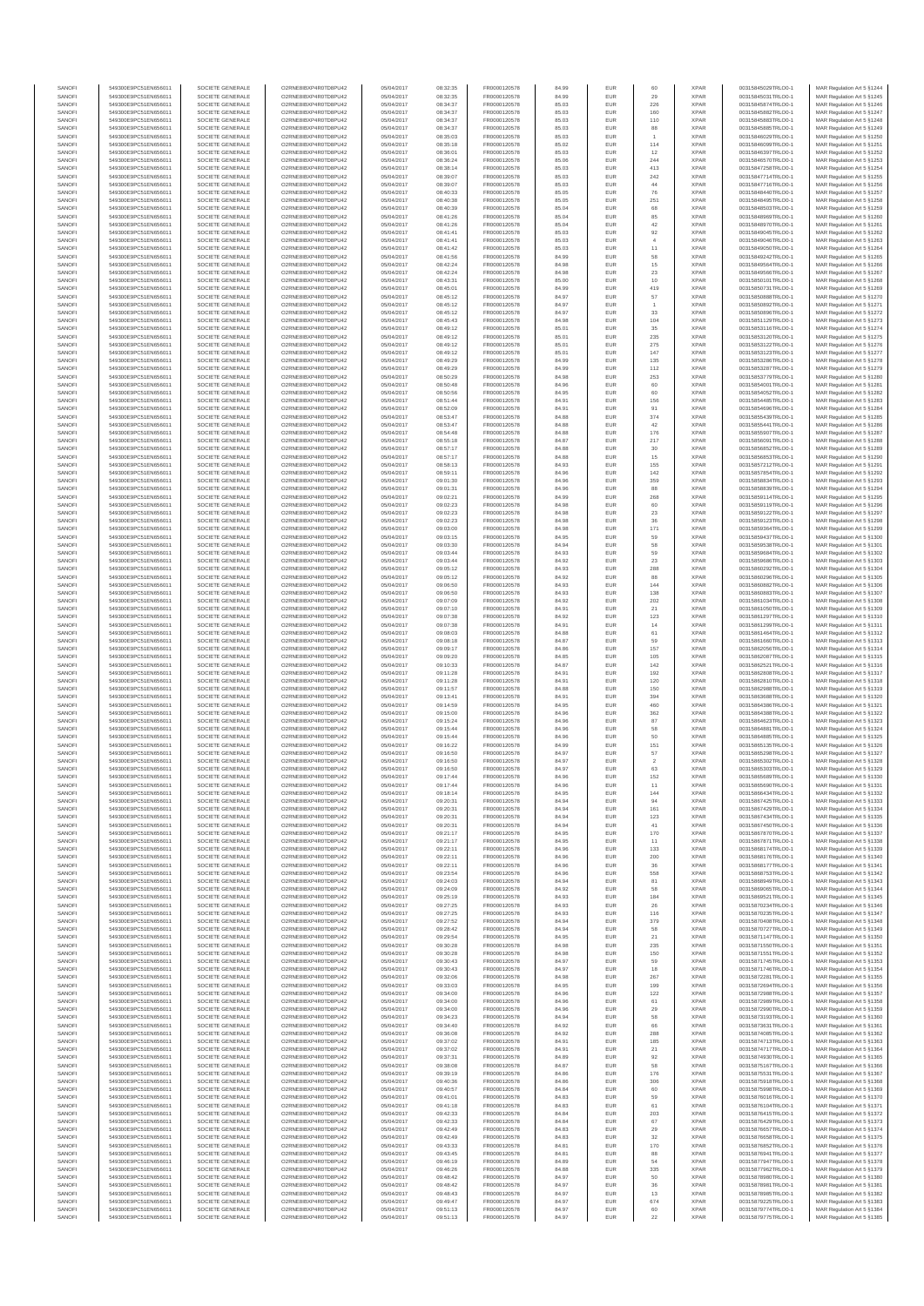| 549300E9PC51EN656011<br>SOCIETE GENERALE<br>O2RNE8IBXP4R0TD8PU42<br>05/04/2017<br>08:34:37<br>FR0000120578<br>85.03<br><b>EUR</b><br>226<br><b>XPAR</b><br>00315845874TRLO0-1<br>MAR Regulation Art 5 §1246<br>549300E9PC51EN656011<br>SOCIETE GENERALE<br>O2RNE8IBXP4R0TD8PU42<br>05/04/2017<br>08:34:37<br>FR0000120578<br>85.03<br>EUR<br>160<br><b>XPAR</b><br>00315845882TRLO0-1<br>MAR Regulation Art 5 §1247<br>SANOFI<br>549300E9PC51EN656011<br>SOCIETE GENERALE<br>O2RNE8IBXP4R0TD8PU42<br>05/04/2017<br>08:34:37<br>FR0000120578<br>85.03<br><b>EUR</b><br>110<br><b>XPAR</b><br>00315845883TRLO0-1<br>MAR Regulation Art 5 §1248<br><b>XPAR</b><br>MAR Regulation Art 5 §1249<br>549300E9PC51EN656011<br>SOCIETE GENERALE<br>O2RNE8IBXP4R0TD8PU42<br>05/04/2017<br>08:34:37<br>FR0000120578<br>85.03<br>EUR<br>88<br>00315845885TRLO0-1<br>EUR<br>$\overline{1}$<br><b>XPAR</b><br>MAR Regulation Art 5 §1250<br>549300E9PC51EN656011<br>SOCIETE GENERALE<br>O2RNE8IBXP4R0TD8PU42<br>05/04/2017<br>08:35:03<br>FR0000120578<br>85.03<br>00315846029TRLO0-1<br>SANOFI<br>114<br><b>XPAR</b><br>MAR Regulation Art 5 §1251<br>549300E9PC51EN656011<br>SOCIETE GENERALE<br>O2RNE8IBXP4R0TD8PU42<br>05/04/2017<br>08:35:18<br>FR0000120578<br>85.02<br>EUR<br>00315846099TRLO0-1<br>549300E9PC51EN656011<br>SOCIETE GENERALE<br>O2RNE8IBXP4R0TD8PU42<br>FR0000120578<br><b>XPAR</b><br>00315846397TRLO0-1<br>MAR Regulation Art 5 §1252<br>SANOFI<br>05/04/2017<br>08:36:01<br>85.03<br><b>EUR</b><br>12<br>549300E9PC51EN656011<br>SOCIETE GENERALE<br>O2RNE8IBXP4R0TD8PU42<br>05/04/2017<br>08:36:24<br>FR0000120578<br>85.06<br><b>EUR</b><br>244<br><b>XPAR</b><br>00315846570TRLO0-1<br>MAR Regulation Art 5 §1253<br>549300E9PC51EN656011<br>SOCIETE GENERALE<br>O2RNE8IBXP4R0TD8PU42<br>05/04/2017<br>08:38:14<br>FR0000120578<br>85.03<br>EUR<br>413<br><b>XPAR</b><br>00315847258TRLO0-1<br>MAR Regulation Art 5 §1254<br>SANOFI<br>549300E9PC51EN656011<br>SOCIETE GENERALE<br>O2RNE8IBXP4R0TD8PU42<br>05/04/2017<br>08:39:07<br>FR0000120578<br>85.03<br><b>EUR</b><br>242<br>XPAR<br>00315847714TRLO0-1<br>MAR Regulation Art 5 §1255<br>549300E9PC51EN656011<br>SOCIETE GENERALE<br>O2RNE8IBXP4R0TD8PU42<br>05/04/2017<br>08:39:07<br>FR0000120578<br>85.03<br>EUR<br>44<br><b>XPAR</b><br>00315847716TRLO0-1<br>MAR Regulation Art 5 §1256<br>549300E9PC51EN656011<br>SOCIETE GENERALE<br>O2RNE8IBXP4R0TD8PU42<br>05/04/2017<br>08:40:33<br>FR0000120578<br>85.05<br><b>EUR</b><br>76<br><b>XPAR</b><br>00315848440TRLO0-1<br>MAR Regulation Art 5 §1257<br>SANOFI<br>251<br><b>XPAR</b><br>MAR Regulation Art 5 §1258<br>549300E9PC51EN656011<br>SOCIETE GENERALE<br>O2RNE8IBXP4R0TD8PU42<br>05/04/2017<br>08:40:38<br>FR0000120578<br>85.05<br>EUR<br>00315848495TRLO0-1<br>SOCIETE GENERALE<br>O2RNE8IBXP4R0TD8PU42<br>FR0000120578<br><b>XPAR</b><br>MAR Regulation Art 5 §1259<br>549300E9PC51EN656011<br>05/04/2017<br>08:40:39<br>85.04<br><b>EUR</b><br>68<br>00315848503TRLO0-1<br>FR0000120578<br>85<br><b>XPAR</b><br>MAR Regulation Art 5 §1260<br>549300E9PC51EN656011<br>SOCIETE GENERALE<br>O2RNE8IBXP4R0TD8PU42<br>05/04/2017<br>08:41:26<br>85.04<br>EUR<br>00315848969TRLO0-1<br>$42\,$<br>SANOFI<br>SOCIETE GENERALE<br>O2RNE8IBXP4R0TD8PU42<br>FR0000120578<br>EUR<br><b>XPAR</b><br>MAR Regulation Art 5 §1261<br>549300E9PC51EN656011<br>05/04/2017<br>08:41:26<br>85.04<br>00315848970TRLO0-1<br>SANOFI<br>549300E9PC51EN656011<br>SOCIETE GENERALE<br>O2RNE8IBXP4R0TD8PU42<br>05/04/2017<br>08:41:41<br>FR0000120578<br>85.03<br><b>EUR</b><br>92<br><b>XPAR</b><br>00315849045TRLO0-1<br>MAR Regulation Art 5 §1262<br>549300E9PC51EN656011<br>SOCIETE GENERALE<br>O2RNE8IBXP4R0TD8PU42<br>05/04/2017<br>08:41:41<br>FR0000120578<br>85.03<br>EUR<br><b>XPAR</b><br>00315849046TRLO0-1<br>MAR Regulation Art 5 §1263<br>11<br>549300E9PC51EN656011<br>SOCIETE GENERALE<br>O2RNE8IBXP4R0TD8PU42<br>05/04/2017<br>08:41:42<br>FR0000120578<br>85.03<br><b>EUR</b><br><b>XPAR</b><br>00315849050TRLO0-1<br>MAR Regulation Art 5 §1264<br>SANOFI<br>549300E9PC51EN656011<br>SOCIETE GENERALE<br>O2RNE8IBXP4R0TD8PU42<br>05/04/2017<br>08:41:56<br>FR0000120578<br>84.99<br>EUR<br>58<br><b>XPAR</b><br>00315849242TRLO0-1<br>MAR Regulation Art 5 §1265<br>15<br><b>XPAR</b><br>MAR Regulation Art 5 §1266<br>549300E9PC51EN656011<br>SOCIETE GENERALE<br>O2RNE8IBXP4R0TD8PU42<br>05/04/2017<br>08:42:24<br>FR0000120578<br><b>EUR</b><br>00315849564TRLO0-1<br>84.98<br>FR0000120578<br>$\bf 23$<br><b>XPAR</b><br>MAR Regulation Art 5 §1267<br>549300E9PC51EN656011<br>SOCIETE GENERALE<br>O2RNE8IBXP4R0TD8PU42<br>05/04/2017<br>08:42:24<br>84.98<br>EUR<br>00315849566TRLO0-1<br>10<br>EUR<br><b>XPAR</b><br>SANOFI<br>549300E9PC51EN656011<br>SOCIETE GENERALE<br>O2RNE8IBXP4R0TD8PU42<br>05/04/2017<br>FR0000120578<br>85.00<br>00315850101TRLO0-1<br>MAR Regulation Art 5 \$1268<br>08:43:31<br>SANOFI<br>08:45:01<br>84.99<br>419<br><b>XPAR</b><br>MAR Regulation Art 5 §1269<br>549300E9PC51EN656011<br>SOCIETE GENERALE<br>O2RNE8IBXP4R0TD8PU42<br>05/04/2017<br>FR0000120578<br>EUR<br>00315850731TRLO0-1<br>O2RNE8IBXP4R0TD8PU42<br>FR0000120578<br>57<br><b>XPAR</b><br>MAR Regulation Art 5 §1270<br>549300E9PC51EN656011<br>SOCIETE GENERALE<br>05/04/2017<br>08:45:12<br>84.97<br><b>EUR</b><br>00315850888TRLO0-1<br>549300E9PC51EN656011<br>SOCIETE GENERALE<br>O2RNE8IBXP4R0TD8PU42<br>05/04/2017<br>08:45:12<br>FR0000120578<br>84.97<br><b>EUR</b><br>XPAR<br>00315850892TRLO0-1<br>MAR Regulation Art 5 §1271<br>$\overline{1}$<br>SANOFI<br>SOCIETE GENERALE<br>O2RNE8IBXP4R0TD8PU42<br>05/04/2017<br>08:45:12<br>FR0000120578<br>84.97<br>EUR<br>33<br><b>XPAR</b><br>MAR Regulation Art 5 §1272<br>549300E9PC51EN656011<br>00315850896TRLO0-1<br>104<br>549300E9PC51EN656011<br>SOCIETE GENERALE<br>O2RNE8IBXP4R0TD8PU42<br>05/04/2017<br>08:45:43<br>FR0000120578<br>84.98<br><b>EUR</b><br><b>XPAR</b><br>00315851129TRLO0-1<br>MAR Regulation Art 5 §1273<br>549300E9PC51EN656011<br>SOCIETE GENERALE<br>O2RNE8IBXP4R0TD8PU42<br>05/04/2017<br>08:49:12<br>FR0000120578<br>EUR<br>35<br><b>XPAR</b><br>00315853116TRLO0-1<br>MAR Regulation Art 5 §1274<br>85.01<br>235<br><b>XPAR</b><br>SANOFI<br>SOCIETE GENERALE<br>O2RNE8IBXP4R0TD8PU42<br>FR0000120578<br><b>EUR</b><br>00315853120TRLO0-1<br>MAR Regulation Art 5 §1275<br>549300E9PC51EN656011<br>05/04/2017<br>08:49:12<br>85.01<br>08:49:12<br>$275\,$<br><b>XPAR</b><br>MAR Regulation Art 5 §1276<br>549300E9PC51EN656011<br>SOCIETE GENERALE<br>O2RNE8IBXP4R0TD8PU42<br>05/04/2017<br>FR0000120578<br>85.01<br>EUR<br>00315853122TRLO0-1<br>O2RNE8IBXP4R0TD8PU42<br>FR0000120578<br>147<br><b>XPAR</b><br>MAR Regulation Art 5 §1277<br>549300E9PC51EN656011<br>SOCIETE GENERALE<br>05/04/2017<br>08:49:12<br>85.01<br><b>EUR</b><br>00315853123TRLO0-1<br>SANOFI<br>O2RNE8IBXP4R0TD8PU42<br>FR0000120578<br>135<br><b>XPAR</b><br>MAR Regulation Art 5 §1278<br>549300E9PC51EN656011<br>SOCIETE GENERALE<br>05/04/2017<br>08:49:29<br>84.99<br><b>EUR</b><br>00315853286TRLO0-1<br>SANOFI<br>SOCIETE GENERALE<br>O2RNE8IBXP4R0TD8PU42<br>05/04/2017<br>08:49:29<br>FR0000120578<br>84.99<br>EUR<br>112<br><b>XPAR</b><br>MAR Regulation Art 5 §1279<br>549300E9PC51EN656011<br>00315853287TRLO0-1<br>549300E9PC51EN656011<br>SOCIETE GENERALE<br>O2RNE8IBXP4R0TD8PU42<br>05/04/2017<br>08:50:29<br>FR0000120578<br>84.98<br><b>EUR</b><br>253<br><b>XPAR</b><br>00315853779TRLO0-1<br>MAR Regulation Art 5 §1280<br>549300E9PC51EN656011<br>SOCIETE GENERALE<br>O2RNE8IBXP4R0TD8PU42<br>05/04/2017<br>08:50:48<br>FR0000120578<br>84.96<br>EUR<br>60<br><b>XPAR</b><br>00315854001TRLO0-1<br>MAR Regulation Art 5 §1281<br>SANOFI<br>549300E9PC51EN656011<br>SOCIETE GENERALE<br>O2RNE8IBXP4R0TD8PU42<br>05/04/2017<br>08:50:56<br>FR0000120578<br>84.95<br><b>EUR</b><br>60<br><b>XPAR</b><br>00315854052TRLO0-1<br>MAR Regulation Art 5 §1282<br>08:51:44<br>156<br><b>XPAR</b><br>MAR Regulation Art 5 §1283<br>549300E9PC51EN656011<br>SOCIETE GENERALE<br>O2RNE8IBXP4R0TD8PU42<br>05/04/2017<br>FR0000120578<br>84.91<br>EUR<br>00315854485TRLO0-1<br>FR0000120578<br>91<br><b>XPAR</b><br>MAR Regulation Art 5 §1284<br>549300E9PC51EN656011<br>SOCIETE GENERALE<br>O2RNE8IBXP4R0TD8PU42<br>05/04/2017<br>08:52:09<br>84.91<br><b>EUR</b><br>00315854696TRLO0-1<br>SANOFI<br>374<br><b>XPAR</b><br>MAR Regulation Art 5 §1285<br>549300E9PC51EN656011<br>SOCIETE GENERALE<br>O2RNE8IBXP4R0TD8PU42<br>05/04/2017<br>08:53:47<br>FR0000120578<br>84.88<br>EUR<br>00315855439TRLO0-1<br>$42\,$<br>EUR<br><b>XPAR</b><br>MAR Regulation Art 5 §1286<br>549300E9PC51EN656011<br>SOCIETE GENERALE<br>O2RNE8IBXP4R0TD8PU42<br>05/04/2017<br>08:53:47<br>FR0000120578<br>84.88<br>00315855441TRLO0-1<br>FR0000120578<br>176<br><b>XPAR</b><br>MAR Regulation Art 5 §1287<br>549300E9PC51EN656011<br>SOCIETE GENERALE<br>O2RNE8IBXP4R0TD8PU42<br>05/04/2017<br>08:54:48<br>84.88<br>EUR<br>00315855907TRLO0-1<br>SANOFI<br>549300E9PC51EN656011<br>SOCIETE GENERALE<br>O2RNE8IBXP4R0TD8PU42<br>05/04/2017<br>08:55:18<br>FR0000120578<br>84.87<br>EUR<br>217<br><b>XPAR</b><br>00315856091TRLO0-1<br>MAR Regulation Art 5 §1288<br>549300E9PC51EN656011<br>SOCIETE GENERALE<br>O2RNE8IBXP4R0TD8PU42<br>05/04/2017<br>08:57:17<br>FR0000120578<br>84.88<br><b>EUR</b><br>30<br><b>XPAR</b><br>00315856852TRLO0-1<br>MAR Regulation Art 5 §1289<br>$15\,$<br>549300E9PC51EN656011<br>SOCIETE GENERALE<br>O2RNE8IBXP4R0TD8PU42<br>05/04/2017<br>08:57:17<br>FR0000120578<br>84.88<br>EUR<br><b>XPAR</b><br>00315856853TRLO0-1<br>MAR Regulation Art 5 §1290<br>549300E9PC51EN656011<br>SOCIETE GENERALE<br>O2RNE8IBXP4R0TD8PU42<br>05/04/2017<br>08:58:13<br>FR0000120578<br>84.93<br>EUR<br>155<br><b>XPAR</b><br>00315857212TRLO0-1<br>MAR Regulation Art 5 §1291<br>$142\,$<br><b>XPAR</b><br>MAR Regulation Art 5 §1292<br>549300E9PC51EN656011<br>SOCIETE GENERALE<br>O2RNE8IBXP4R0TD8PU42<br>05/04/2017<br>08:59:11<br>FR0000120578<br>84.96<br>EUR<br>00315857854TRLO0-1<br>EUR<br>359<br><b>XPAR</b><br>O2RNE8IBXP4R0TD8PU42<br>09:01:30<br>FR0000120578<br>84.96<br>MAR Regulation Art 5 \$1293<br>549300E9PC51EN656011<br>SOCIETE GENERALE<br>05/04/2017<br>00315858834TRLO0-1<br>88<br><b>XPAR</b><br>MAR Regulation Art 5 §1294<br>549300E9PC51EN656011<br>SOCIETE GENERALE<br>O2RNE8IBXP4R0TD8PU42<br>05/04/2017<br>09:01:31<br>FR0000120578<br>84.96<br>EUR<br>00315858839TRLO0-1<br>549300E9PC51EN656011<br>SOCIETE GENERALE<br>O2RNE8IBXP4R0TD8PU42<br>FR0000120578<br>268<br><b>XPAR</b><br>00315859114TRLO0-1<br>MAR Regulation Art 5 §1295<br>SANOFI<br>05/04/2017<br>09:02:21<br>84.99<br>EUR<br>549300E9PC51EN656011<br>SOCIETE GENERALE<br>O2RNE8IBXP4R0TD8PU42<br>05/04/2017<br>09:02:23<br>FR0000120578<br>84.98<br>EUR<br>60<br><b>XPAR</b><br>00315859119TRLO0-1<br>MAR Regulation Art 5 §1296<br>$23\,$<br>549300E9PC51EN656011<br>SOCIETE GENERALE<br>O2RNE8IBXP4R0TD8PU42<br>05/04/2017<br>09:02:23<br>FR0000120578<br>84.98<br>EUR<br><b>XPAR</b><br>00315859122TRLO0-1<br>MAR Regulation Art 5 §1297<br>SANOFI<br>549300E9PC51EN656011<br>SOCIETE GENERALE<br>O2RNE8IBXP4R0TD8PU42<br>05/04/2017<br>09:02:23<br>FR0000120578<br>84.98<br>EUR<br>36<br><b>XPAR</b><br>00315859123TRLO0-1<br>MAR Regulation Art 5 §1298<br>549300E9PC51EN656011<br>SOCIETE GENERALE<br>O2RNE8IBXP4R0TD8PU42<br>05/04/2017<br>09:03:00<br>FR0000120578<br>84.98<br>EUR<br>171<br><b>XPAR</b><br>00315859364TRLO0-1<br>MAR Regulation Art 5 §1299<br>59<br><b>XPAR</b><br>O2RNE8IBXP4R0TD8PU42<br>84.95<br>EUR<br>MAR Regulation Art 5 §1300<br>549300E9PC51EN656011<br>SOCIETE GENERALE<br>05/04/2017<br>09:03:15<br>FR0000120578<br>00315859437TRLO0-1<br>SANOFI<br>58<br><b>XPAR</b><br>MAR Regulation Art 5 §1301<br>549300E9PC51EN656011<br>SOCIETE GENERALE<br>O2RNE8IBXP4R0TD8PU42<br>05/04/2017<br>09:03:30<br>FR0000120578<br>84.94<br>EUR<br>00315859538TRLO0-1<br>SANOFI<br>SOCIETE GENERALE<br>O2RNE8IBXP4R0TD8PU42<br>FR0000120578<br>EUR<br>59<br><b>XPAR</b><br>MAR Regulation Art 5 §1302<br>549300E9PC51EN656011<br>05/04/2017<br>09:03:44<br>84.93<br>00315859684TRLO0-1<br>FR0000120578<br>$23\,$<br><b>XPAR</b><br>MAR Regulation Art 5 §1303<br>549300E9PC51EN656011<br>SOCIETE GENERALE<br>O2RNE8IBXP4R0TD8PU42<br>05/04/2017<br>09:03:44<br>84.92<br>EUR<br>00315859686TRLO0-1<br>288<br>O2RNE8IBXP4R0TD8PU42<br><b>XPAR</b><br>MAR Regulation Art 5 §1304<br>549300E9PC51EN656011<br>SOCIETE GENERALE<br>05/04/2017<br>09:05:12<br>FR0000120578<br>84.93<br><b>EUR</b><br>00315860292TRLO0-1<br>SANOFI<br>549300E9PC51EN656011<br>SOCIETE GENERALE<br>O2RNE8IBXP4R0TD8PU42<br>05/04/2017<br>09:05:12<br>FR0000120578<br>84.92<br>EUR<br>88<br><b>XPAR</b><br>00315860296TRLO0-1<br>MAR Regulation Art 5 §1305<br>549300E9PC51EN656011<br>SOCIETE GENERALE<br>O2RNE8IBXP4R0TD8PU42<br>05/04/2017<br>09:06:50<br>FR0000120578<br>84.93<br>EUR<br>144<br><b>XPAR</b><br>00315860882TRLO0-1<br>MAR Regulation Art 5 §1306<br>138<br>549300E9PC51EN656011<br>SOCIETE GENERALE<br>O2RNE8IBXP4R0TD8PU42<br>05/04/2017<br>09:06:50<br>FR0000120578<br>84.93<br>EUR<br><b>XPAR</b><br>00315860883TRLO0-1<br>MAR Regulation Art 5 §1307<br>SANOFI<br>549300E9PC51EN656011<br>SOCIETE GENERALE<br>O2RNE8IBXP4R0TD8PU42<br>05/04/2017<br>09:07:09<br>FR0000120578<br>84.92<br>EUR<br>202<br><b>XPAR</b><br>00315861034TRLO0-1<br>MAR Regulation Art 5 §1308<br><b>XPAR</b><br>MAR Regulation Art 5 §1309<br>SOCIETE GENERALE<br>O2RNE8IBXP4R0TD8PU42<br>05/04/2017<br>09:07:10<br>FR0000120578<br><b>EUR</b><br>21<br>00315861050TRLO0-1<br>549300E9PC51EN656011<br>84.91<br>123<br><b>XPAR</b><br>MAR Regulation Art 5 §1310<br>549300E9PC51EN656011<br>SOCIETE GENERALE<br>O2RNE8IBXP4R0TD8PU42<br>05/04/2017<br>09:07:38<br>FR0000120578<br>84.92<br>EUR<br>00315861297TRLO0-1<br>EUR<br>14<br><b>XPAR</b><br>SANOFI<br>549300E9PC51EN656011<br>SOCIETE GENERALE<br>O2RNE8IBXP4R0TD8PU42<br>05/04/2017<br>09:07:38<br>FR0000120578<br>00315861299TRLO0-1<br>MAR Regulation Art 5 §1311<br>84.91<br>SANOFI<br>O2RNE8IBXP4R0TD8PU42<br>05/04/2017<br>09:08:03<br>FR0000120578<br>84.88<br>61<br><b>XPAR</b><br>MAR Regulation Art 5 §1312<br>549300E9PC51EN656011<br>SOCIETE GENERALE<br>EUR<br>00315861464TRLO0-1<br>549300E9PC51EN656011<br>SOCIETE GENERALE<br>O2RNE8IBXP4R0TD8PU42<br>05/04/2017<br>09:08:18<br>FR0000120578<br>84.87<br>EUR<br>59<br><b>XPAR</b><br>00315861660TRLO0-1<br>MAR Regulation Art 5 §1313<br>157<br>549300E9PC51EN656011<br>SOCIETE GENERALE<br>O2RNE8IBXP4R0TD8PU42<br>05/04/2017<br>09:09:17<br>FR0000120578<br>84.86<br><b>EUR</b><br><b>XPAR</b><br>00315862056TRLO0-1<br>MAR Regulation Art 5 §1314<br>SANOFI<br>549300E9PC51EN656011<br>SOCIETE GENERALE<br>O2RNE8IBXP4R0TD8PU42<br>05/04/2017<br>09:09:20<br>FR0000120578<br>84.85<br>EUR<br>105<br><b>XPAR</b><br>00315862087TRLO0-1<br>MAR Regulation Art 5 §1315<br>549300E9PC51EN656011<br>SOCIETE GENERALE<br>O2RNE8IBXP4R0TD8PU42<br>05/04/2017<br>09:10:33<br>FR0000120578<br>84.87<br>EUR<br>142<br><b>XPAR</b><br>00315862521TRLO0-1<br>MAR Regulation Art 5 §1316<br>192<br><b>XPAR</b><br>MAR Regulation Art 5 §1317<br>549300E9PC51EN656011<br>SOCIETE GENERALE<br>O2RNE8IBXP4R0TD8PU42<br>05/04/2017<br>09:11:28<br>FR0000120578<br>84.91<br>EUR<br>00315862808TRLO0-1<br>SANOFI<br>EUR<br>120<br><b>XPAR</b><br>549300E9PC51EN656011<br>SOCIETE GENERALE<br>O2RNE8IBXP4R0TD8PU42<br>05/04/2017<br>09:11:28<br>FR0000120578<br>84.91<br>00315862810TRLO0-1<br>MAR Regulation Art 5 §1318<br>84.88<br>150<br><b>XPAR</b><br>MAR Regulation Art 5 §1319<br>549300E9PC51EN656011<br>SOCIETE GENERALE<br>O2RNE8IBXP4R0TD8PU42<br>05/04/2017<br>09:11:57<br>FR0000120578<br>EUR<br>00315862988TRLO0-1<br>FR0000120578<br>394<br><b>XPAR</b><br>MAR Regulation Art 5 §1320<br>549300E9PC51EN656011<br>SOCIETE GENERALE<br>O2RNE8IBXP4R0TD8PU42<br>05/04/2017<br>09:13:41<br>84.91<br><b>EUR</b><br>00315863688TRLO0-1<br>SANOFI<br>O2RNE8IBXP4R0TD8PU42<br>FR0000120578<br>460<br><b>XPAR</b><br>MAR Regulation Art 5 §1321<br>549300E9PC51EN656011<br>SOCIETE GENERALE<br>05/04/2017<br>09:14:59<br>84.95<br><b>EUR</b><br>00315864386TRLO0-1<br>SANOFI<br>SOCIETE GENERALE<br>O2RNE8IBXP4R0TD8PU42<br>05/04/2017<br>09:15:00<br>FR0000120578<br>84.96<br>EUR<br>362<br><b>XPAR</b><br>00315864388TRLO0-1<br>MAR Regulation Art 5 §1322<br>549300E9PC51EN656011<br>549300E9PC51EN656011<br>SOCIETE GENERALE<br>O2RNE8IBXP4R0TD8PU42<br>05/04/2017<br>09:15:24<br>FR0000120578<br>84.96<br>EUR<br>87<br><b>XPAR</b><br>00315864623TRLO0-1<br>MAR Regulation Art 5 §1323<br>549300E9PC51EN656011<br>SOCIETE GENERALE<br>O2RNE8IBXP4R0TD8PU42<br>05/04/2017<br>09:15:44<br>FR0000120578<br>84.96<br>EUR<br>58<br><b>XPAR</b><br>00315864881TRLO0-1<br>MAR Regulation Art 5 §1324<br>50<br>SANOFI<br>549300E9PC51EN656011<br>SOCIETE GENERALE<br>O2RNE8IBXP4R0TD8PU42<br>05/04/2017<br>09:15:44<br>FR0000120578<br>84.96<br><b>EUR</b><br><b>XPAR</b><br>00315864885TRLO0-1<br>MAR Regulation Art 5 \$1325<br>151<br><b>XPAR</b><br>MAR Regulation Art 5 §1326<br>549300E9PC51EN656011<br>SOCIETE GENERALE<br>O2RNE8IBXP4R0TD8PU42<br>05/04/2017<br>09:16:22<br>FR0000120578<br>84.99<br>EUR<br>00315865135TRLO0-1<br>O2RNE8IBXP4R0TD8PU42<br>57<br><b>XPAR</b><br>MAR Regulation Art 5 §1327<br>549300E9PC51EN656011<br>SOCIETE GENERALE<br>05/04/2017<br>09:16:50<br>FR0000120578<br>84.97<br><b>EUR</b><br>00315865298TRLO0-1<br>O2RNE8IBXP4R0TD8PU42<br>84.97<br>$\overline{\mathbf{c}}$<br><b>XPAR</b><br>MAR Regulation Art 5 §1328<br>SANOFI<br>549300E9PC51EN656011<br>SOCIETE GENERALE<br>05/04/2017<br>09:16:50<br>FR0000120578<br>EUR<br>00315865302TRLO0-1<br>549300E9PC51EN656011<br>SOCIETE GENERALE<br>O2RNE8IBXP4R0TD8PU42<br>84.97<br>EUR<br>63<br><b>XPAR</b><br>MAR Regulation Art 5 §1329<br>05/04/2017<br>09:16:50<br>FR0000120578<br>00315865303TRLO0-1<br>549300E9PC51EN656011<br>SOCIETE GENERALE<br>O2RNE8IBXP4R0TD8PU42<br>05/04/2017<br>09:17:44<br>FR0000120578<br>84.96<br><b>EUR</b><br>152<br><b>XPAR</b><br>00315865689TRLO0-1<br>MAR Regulation Art 5 §1330<br>SANOF<br>549300E9PC51EN656011<br>SOCIETE GENERALE<br>O2RNE8IBXP4R0TD8PU42<br>05/04/2017<br>09:17:44<br>FR0000120578<br>EUF<br><b>XPAR</b><br>00315865690TRLO0-<br>MAR Regulation Art 5 §1331<br>549300E9PC51EN656011<br>SOCIETE GENERALE<br>O2RNE8IBXP4R0TD8PU42<br>05/04/2017<br>09:18:14<br>FR0000120578<br>84.95<br><b>EUR</b><br>144<br><b>XPAR</b><br>00315866434TRLO0-1<br>MAR Regulation Art 5 §1332<br>549300E9PC51EN656011<br>SOCIETE GENERALE<br>O2RNE8IBXP4R0TD8PU42<br>05/04/2017<br>09:20:31<br>FR0000120578<br>84.94<br>EUR<br>94<br><b>XPAR</b><br>00315867425TRLO0-1<br>MAR Regulation Art 5 §1333<br>SANOFI<br>549300E9PC51EN656011<br>SOCIETE GENERALE<br>O2RNE8IBXP4R0TD8PU42<br>05/04/2017<br>09:20:31<br>FR0000120578<br>84.94<br><b>EUR</b><br>161<br><b>XPAR</b><br>00315867429TRLO0-1<br>MAR Regulation Art 5 §1334<br>SANOFI<br>549300E9PC51EN656011<br>SOCIETE GENERALE<br>O2RNE8IBXP4R0TD8PU42<br>05/04/2017<br>123<br><b>XPAR</b><br>00315867434TRLO0-1<br>MAR Regulation Art 5 §1335<br>09:20:31<br>FR0000120578<br>84.94<br>EUR<br>$41\,$<br>XPAR<br>549300E9PC51EN656011<br>SOCIETE GENERALE<br>O2RNE8IBXP4R0TD8PU42<br>05/04/2017<br>84.94<br>EUR<br>MAR Regulation Art 5 §1336<br>09:20:31<br>FR0000120578<br>00315867450TRLO0-1<br>SANOFI<br>549300E9PC51EN656011<br>SOCIETE GENERALE<br>O2RNE8IBXP4R0TD8PU42<br>05/04/2017<br>09:21:17<br>FR0000120578<br>84.95<br>EUR<br>170<br><b>XPAR</b><br>00315867870TRLO0-1<br>MAR Regulation Art 5 §1337<br>SANOFI<br>549300E9PC51EN656011<br>SOCIETE GENERALE<br>O2RNE8IBXP4R0TD8PU42<br>05/04/2017<br>09:21:17<br>FR0000120578<br>EUR<br><b>XPAR</b><br>00315867871TRLO0-1<br>MAR Regulation Art 5 §1338<br>84.95<br>11<br>549300E9PC51EN656011<br>SOCIETE GENERALE<br>O2RNE8IBXP4R0TD8PU42<br>05/04/2017<br>09:22:11<br>FR0000120578<br>84.96<br><b>EUR</b><br>133<br><b>XPAR</b><br>00315868174TRLO0-1<br>MAR Regulation Art 5 §1339<br>SANOFI<br>549300E9PC51EN656011<br>SOCIETE GENERALE<br>O2RNE8IBXP4R0TD8PU42<br>05/04/2017<br>09:22:11<br>FR0000120578<br>84.96<br>EUR<br>200<br><b>XPAR</b><br>00315868176TRLO0-1<br>MAR Regulation Art 5 §1340<br>SANOFI<br>549300E9PC51EN656011<br>SOCIETE GENERALE<br>O2RNE8IBXP4R0TD8PLI42<br>05/04/2017<br>09:22:11<br>FR0000120578<br>84.96<br><b>EUR</b><br>36<br><b>XPAR</b><br>00315868177TRLO0-1<br>MAR Regulation Art 5 §1341<br>549300E9PC51EN656011<br>SOCIETE GENERALE<br>O2RNE8IBXP4R0TD8PU42<br>05/04/2017<br>09:23:54<br>FR0000120578<br>84.96<br>EUR<br>558<br><b>XPAR</b><br>00315868753TRLO0-1<br>MAR Regulation Art 5 §1342<br>81<br>XPAR<br>SOCIETE GENERALE<br>O2RNE8IBXP4R0TD8PU42<br>EUR<br>MAR Regulation Art 5 §1343<br>549300E9PC51EN656011<br>05/04/2017<br>09:24:03<br>FR0000120578<br>84.94<br>00315868949TRLO0-1<br>SANOFI<br>SOCIETE GENERALE<br>O2RNE8IBXP4R0TD8PU42<br>09:24:09<br>FR0000120578<br>84.92<br>58<br><b>XPAR</b><br>00315869065TRLO0-1<br>MAR Regulation Art 5 §1344<br>549300E9PC51EN656011<br>05/04/2017<br>EUR<br>549300E9PC51EN656011<br>SOCIETE GENERALE<br>O2RNE8IBXP4R0TD8PU42<br>05/04/2017<br>09:25:19<br>FR0000120578<br>EUR<br>184<br><b>XPAR</b><br>00315869521TRLO0-1<br>MAR Regulation Art 5 §1345<br>84.93<br>549300E9PC51EN656011<br>SOCIETE GENERALE<br>O2RNE8IBXP4R0TD8PU42<br>05/04/2017<br>09:27:25<br>FR0000120578<br>26<br><b>XPAR</b><br>00315870234TRLO0-1<br>MAR Regulation Art 5 §1346<br>84.93<br><b>EUR</b><br>SANOFI<br>549300E9PC51EN656011<br>SOCIETE GENERALE<br>O2RNE8IBXP4R0TD8PU42<br>05/04/2017<br>09:27:25<br>FR0000120578<br>84.93<br>EUR<br>116<br><b>XPAR</b><br>00315870235TRLO0-1<br>MAR Regulation Art 5 §1347<br>549300E9PC51EN656011<br>SOCIETE GENERALE<br>O2RNE8IBXP4R0TD8PU42<br>05/04/2017<br>09:27:52<br>FR0000120578<br>84.94<br><b>EUR</b><br>379<br><b>XPAR</b><br>00315870408TRLO0-1<br>MAR Regulation Art 5 §1348<br>549300E9PC51EN656011<br>SOCIETE GENERALE<br>O2RNE8IBXP4R0TD8PU42<br>05/04/2017<br>09:28:42<br>FR0000120578<br>84.94<br>EUR<br>58<br><b>XPAR</b><br>00315870727TRLO0-1<br>MAR Regulation Art 5 §1349<br>21<br><b>XPAR</b><br>SANOFI<br>549300E9PC51EN656011<br>SOCIETE GENERALE<br>O2RNE8IBXP4R0TD8PU42<br>05/04/2017<br>09:29:54<br>FR0000120578<br>84.95<br><b>EUR</b><br>00315871147TRLO0-1<br>MAR Regulation Art 5 §1350<br>SOCIETE GENERALE<br>O2RNE8IBXP4R0TD8PU42<br>05/04/2017<br>09:30:28<br>FR0000120578<br>EUR<br>235<br><b>XPAR</b><br>00315871550TRLO0-1<br>MAR Regulation Art 5 §1351<br>549300E9PC51EN656011<br>84.98<br>549300E9PC51EN656011<br>SOCIETE GENERALE<br>O2RNE8IBXP4R0TD8PU42<br>05/04/2017<br>FR0000120578<br>EUR<br>150<br><b>XPAR</b><br>00315871551TRLO0-1<br>MAR Regulation Art 5 \$1352<br>09:30:28<br>84.98<br>549300E9PC51EN656011<br>SOCIETE GENERALE<br>O2RNE8IBXP4R0TD8PU42<br>05/04/2017<br>09:30:43<br>FR0000120578<br>59<br><b>XPAR</b><br>00315871745TRLO0-1<br>MAR Regulation Art 5 §1353<br>84.97<br><b>EUR</b><br>SANOFI<br>18<br><b>XPAR</b><br>549300E9PC51EN656011<br>SOCIETE GENERALE<br>O2RNE8IBXP4R0TD8PU42<br>05/04/2017<br>09:30:43<br>FR0000120578<br>EUR<br>00315871746TRLO0-1<br>MAR Regulation Art 5 §1354<br>84.97<br>549300E9PC51EN656011<br>SOCIETE GENERALE<br>O2RNE8IBXP4R0TD8PU42<br>05/04/2017<br>09:32:06<br>FR0000120578<br>84.98<br>EUR<br>267<br><b>XPAR</b><br>00315872281TRLO0-1<br>MAR Regulation Art 5 §1355<br>549300E9PC51EN656011<br>SOCIETE GENERALE<br>O2RNE8IBXP4R0TD8PU42<br>05/04/2017<br>09:33:03<br>FR0000120578<br>84.95<br>EUR<br>199<br><b>XPAR</b><br>00315872694TRLO0-1<br>MAR Regulation Art 5 §1356<br>122<br>549300E9PC51EN656011<br>SOCIETE GENERALE<br>O2RNE8IBXP4R0TD8PU42<br>05/04/2017<br>09:34:00<br>FR0000120578<br>84.96<br><b>EUR</b><br><b>XPAR</b><br>00315872988TRLO0-1<br>MAR Regulation Art 5 §1357<br>549300E9PC51EN656011<br>SOCIETE GENERALE<br>O2RNE8IBXP4R0TD8PU42<br>05/04/2017<br>09:34:00<br>FR0000120578<br>84.96<br>EUR<br>61<br><b>XPAR</b><br>00315872989TRLO0-1<br>MAR Regulation Art 5 §1358<br>549300E9PC51EN656011<br>SOCIETE GENERALE<br>O2RNE8IBXP4R0TD8PU42<br>05/04/2017<br>09:34:00<br>FR0000120578<br>84.96<br><b>EUR</b><br>29<br><b>XPAR</b><br>00315872990TRLO0-1<br>MAR Regulation Art 5 §1359<br>SANOFI<br>SOCIETE GENERALE<br>O2RNE8IBXP4R0TD8PU42<br>05/04/2017<br>FR0000120578<br>58<br><b>XPAR</b><br>00315873193TRLO0-1<br>MAR Regulation Art 5 §1360<br>549300E9PC51EN656011<br>09:34:23<br>84.94<br>EUR<br>66<br><b>XPAR</b><br>549300E9PC51EN656011<br>SOCIETE GENERALE<br>O2RNE8IBXP4R0TD8PU42<br>05/04/2017<br>FR0000120578<br>EUR<br>00315873631TRLO0-1<br>MAR Regulation Art 5 §1361<br>09:34:40<br>84.92<br>549300E9PC51EN656011<br>SOCIETE GENERALE<br>O2RNE8IBXP4R0TD8PU42<br>05/04/2017<br>09:36:08<br>FR0000120578<br>84.92<br>EUR<br>288<br><b>XPAR</b><br>00315874085TRLO0-1<br>MAR Regulation Art 5 §1362<br>SANOFI<br>549300E9PC51EN656011<br>SOCIETE GENERALE<br>O2RNE8IBXP4R0TD8PU42<br>05/04/2017<br>09:37:02<br>FR0000120578<br>185<br><b>XPAR</b><br>00315874713TRLO0-1<br>MAR Regulation Art 5 §1363<br>84.91<br><b>EUR</b><br>549300E9PC51EN656011<br>SOCIETE GENERALE<br>O2RNE8IBXP4R0TD8PU42<br>05/04/2017<br>09:37:02<br>FR0000120578<br>84.91<br><b>EUR</b><br>21<br><b>XPAR</b><br>00315874717TRLO0-1<br>MAR Regulation Art 5 §1364<br>549300E9PC51EN656011<br>SOCIETE GENERALE<br>O2RNE8IBXP4R0TD8PU42<br>05/04/2017<br>09:37:31<br>FR0000120578<br>84.89<br>EUR<br>92<br><b>XPAR</b><br>00315874930TRLO0-1<br>MAR Regulation Art 5 §1365<br>549300E9PC51EN656011<br>SOCIETE GENERALE<br>O2RNE8IBXP4R0TD8PU42<br>05/04/2017<br>09:38:08<br>FR0000120578<br>84.87<br><b>EUR</b><br>58<br><b>XPAR</b><br>00315875167TRLO0-1<br>MAR Regulation Art 5 §1366<br>SANOFI<br>549300E9PC51EN656011<br>SOCIETE GENERALE<br>O2RNE8IBXP4R0TD8PU42<br>05/04/2017<br>09:39:19<br>FR0000120578<br>84.86<br>EUR<br>176<br><b>XPAR</b><br>00315875531TRLO0-1<br>MAR Regulation Art 5 §1367<br>549300E9PC51EN656011<br>SOCIETE GENERALE<br>O2RNE8IBXP4R0TD8PU42<br>05/04/2017<br>09:40:36<br>FR0000120578<br>84.86<br><b>EUR</b><br>306<br><b>XPAR</b><br>00315875918TRLO0-1<br>MAR Regulation Art 5 §1368<br>SOCIETE GENERALE<br>O2RNE8IBXP4R0TD8PU42<br>05/04/2017<br>09:40:57<br>FR0000120578<br>84.84<br>60<br><b>XPAR</b><br>MAR Regulation Art 5 §1369<br>549300E9PC51EN656011<br>EUR<br>00315875998TRLO0-1<br>SANOFI<br>549300E9PC51EN656011<br>SOCIETE GENERALE<br>O2RNE8IBXP4R0TD8PU42<br>05/04/2017<br>09:41:01<br>FR0000120578<br>EUR<br>59<br><b>XPAR</b><br>MAR Regulation Art 5 §1370<br>84.83<br>00315876016TRLO0-1<br>549300E9PC51EN656011<br>SOCIETE GENERALE<br>O2RNE8IBXP4R0TD8PU42<br>05/04/2017<br>09:41:18<br>FR0000120578<br>61<br><b>XPAR</b><br>00315876104TRLO0-1<br>MAR Regulation Art 5 §1371<br>84.83<br><b>EUR</b><br>203<br>XPAR<br>549300E9PC51EN656011<br>SOCIETE GENERALE<br>O2RNE8IBXP4R0TD8PU42<br>05/04/2017<br>09:42:33<br>FR0000120578<br>EUR<br>00315876415TRLO0-1<br>MAR Regulation Art 5 §1372<br>84.84<br>SANOFI<br>549300E9PC51EN656011<br>SOCIETE GENERALE<br>O2RNE8IBXP4R0TD8PU42<br>05/04/2017<br>09:42:33<br>FR0000120578<br>84.84<br><b>EUR</b><br>67<br><b>XPAR</b><br>00315876429TRLO0-1<br>MAR Regulation Art 5 §1373<br>549300E9PC51EN656011<br>SOCIETE GENERALE<br>O2RNE8IBXP4R0TD8PU42<br>05/04/2017<br>09:42:49<br>FR0000120578<br>84.83<br>EUR<br>29<br><b>XPAR</b><br>00315876657TRLO0-1<br>MAR Regulation Art 5 §1374<br>32<br>549300E9PC51EN656011<br>SOCIETE GENERALE<br>O2RNE8IBXP4R0TD8PU42<br>05/04/2017<br>09:42:49<br>FR0000120578<br>84.83<br><b>EUR</b><br><b>XPAR</b><br>00315876658TRLO0-1<br>MAR Regulation Art 5 §1375<br>549300E9PC51EN656011<br>SOCIETE GENERALE<br>O2RNE8IBXP4R0TD8PU42<br>05/04/2017<br>09:43:33<br>FR0000120578<br>84.81<br>EUR<br>170<br><b>XPAR</b><br>00315876852TRLO0-1<br>MAR Regulation Art 5 §1376<br>O2RNE8IBXP4R0TD8PU42<br>09:43:45<br><b>XPAR</b><br>MAR Regulation Art 5 §1377<br>549300E9PC51EN656011<br>SOCIETE GENERALE<br>05/04/2017<br>FR0000120578<br>84.81<br><b>EUR</b><br>88<br>00315876941TRLO0-1<br>549300E9PC51EN656011<br>SOCIETE GENERALE<br>O2RNE8IBXP4R0TD8PU42<br>05/04/2017<br>09:46:19<br>FR0000120578<br>54<br><b>XPAR</b><br>00315877947TRLO0-1<br>MAR Regulation Art 5 §1378<br>84.89<br><b>EUR</b><br>335<br>549300E9PC51EN656011<br>SOCIETE GENERALE<br>O2RNE8IBXP4R0TD8PU42<br>05/04/2017<br>FR0000120578<br>EUR<br><b>XPAR</b><br>00315877962TRLO0-1<br>MAR Regulation Art 5 §1379<br>09:46:26<br>84.88<br>SANOFI<br>549300E9PC51EN656011<br>SOCIETE GENERALE<br>O2RNE8IBXP4R0TD8PU42<br>05/04/2017<br>09:48:42<br>FR0000120578<br>84.97<br>EUR<br>50<br><b>XPAR</b><br>00315878980TRLO0-1<br>MAR Regulation Art 5 §1380<br>549300E9PC51EN656011<br>SOCIETE GENERALE<br>O2RNE8IBXP4R0TD8PU42<br>05/04/2017<br>09:48:42<br>FR0000120578<br>84.97<br>EUR<br>36<br><b>XPAR</b><br>00315878981TRLO0-1<br>MAR Regulation Art 5 §1381<br>13<br>549300E9PC51EN656011<br>SOCIETE GENERALE<br>O2RNE8IBXP4R0TD8PU42<br>05/04/2017<br>09:48:43<br>FR0000120578<br>84.97<br><b>EUR</b><br><b>XPAR</b><br>00315878985TRLO0-1<br>MAR Regulation Art 5 §1382<br>SANOFI<br>549300E9PC51EN656011<br>SOCIETE GENERALE<br>O2RNE8IBXP4R0TD8PU42<br>05/04/2017<br>09:49:47<br>FR0000120578<br>84.97<br>EUR<br>674<br><b>XPAR</b><br>00315879225TRLO0-1<br>MAR Regulation Art 5 §1383<br>60<br><b>XPAR</b><br>549300E9PC51EN656011<br>SOCIETE GENERALE<br>O2RNE8IBXP4R0TD8PU42<br>05/04/2017<br>09:51:13<br>FR0000120578<br>84.97<br><b>EUR</b><br>00315879774TRLO0-1<br>MAR Regulation Art 5 §1384<br>549300E9PC51EN656011<br>SOCIETE GENERALE<br>O2RNE8IBXP4R0TD8PU42<br>05/04/2017<br>FR0000120578<br>84.97<br>EUR<br>$22\,$<br>XPAR<br>00315879775TRLO0-1<br>MAR Regulation Art 5 §1385<br>09:51:13 | SANOFI<br>SANOFI | 549300E9PC51EN656011<br>549300E9PC51EN656011 | SOCIETE GENERALE<br>SOCIETE GENERALE | O2RNE8IBXP4R0TD8PU42<br>O2RNE8IBXP4R0TD8PU42 | 05/04/2017<br>05/04/2017 | 08:32:35<br>08:32:35 | FR0000120578<br>FR0000120578 | 84.99<br>84.99 | <b>EUR</b><br>EUR | 60<br>29 | <b>XPAR</b><br><b>XPAR</b> | 00315845029TRLO0-1<br>00315845031TRLO0-1 | MAR Regulation Art 5 §1244<br>MAR Regulation Art 5 §1245 |
|------------------------------------------------------------------------------------------------------------------------------------------------------------------------------------------------------------------------------------------------------------------------------------------------------------------------------------------------------------------------------------------------------------------------------------------------------------------------------------------------------------------------------------------------------------------------------------------------------------------------------------------------------------------------------------------------------------------------------------------------------------------------------------------------------------------------------------------------------------------------------------------------------------------------------------------------------------------------------------------------------------------------------------------------------------------------------------------------------------------------------------------------------------------------------------------------------------------------------------------------------------------------------------------------------------------------------------------------------------------------------------------------------------------------------------------------------------------------------------------------------------------------------------------------------------------------------------------------------------------------------------------------------------------------------------------------------------------------------------------------------------------------------------------------------------------------------------------------------------------------------------------------------------------------------------------------------------------------------------------------------------------------------------------------------------------------------------------------------------------------------------------------------------------------------------------------------------------------------------------------------------------------------------------------------------------------------------------------------------------------------------------------------------------------------------------------------------------------------------------------------------------------------------------------------------------------------------------------------------------------------------------------------------------------------------------------------------------------------------------------------------------------------------------------------------------------------------------------------------------------------------------------------------------------------------------------------------------------------------------------------------------------------------------------------------------------------------------------------------------------------------------------------------------------------------------------------------------------------------------------------------------------------------------------------------------------------------------------------------------------------------------------------------------------------------------------------------------------------------------------------------------------------------------------------------------------------------------------------------------------------------------------------------------------------------------------------------------------------------------------------------------------------------------------------------------------------------------------------------------------------------------------------------------------------------------------------------------------------------------------------------------------------------------------------------------------------------------------------------------------------------------------------------------------------------------------------------------------------------------------------------------------------------------------------------------------------------------------------------------------------------------------------------------------------------------------------------------------------------------------------------------------------------------------------------------------------------------------------------------------------------------------------------------------------------------------------------------------------------------------------------------------------------------------------------------------------------------------------------------------------------------------------------------------------------------------------------------------------------------------------------------------------------------------------------------------------------------------------------------------------------------------------------------------------------------------------------------------------------------------------------------------------------------------------------------------------------------------------------------------------------------------------------------------------------------------------------------------------------------------------------------------------------------------------------------------------------------------------------------------------------------------------------------------------------------------------------------------------------------------------------------------------------------------------------------------------------------------------------------------------------------------------------------------------------------------------------------------------------------------------------------------------------------------------------------------------------------------------------------------------------------------------------------------------------------------------------------------------------------------------------------------------------------------------------------------------------------------------------------------------------------------------------------------------------------------------------------------------------------------------------------------------------------------------------------------------------------------------------------------------------------------------------------------------------------------------------------------------------------------------------------------------------------------------------------------------------------------------------------------------------------------------------------------------------------------------------------------------------------------------------------------------------------------------------------------------------------------------------------------------------------------------------------------------------------------------------------------------------------------------------------------------------------------------------------------------------------------------------------------------------------------------------------------------------------------------------------------------------------------------------------------------------------------------------------------------------------------------------------------------------------------------------------------------------------------------------------------------------------------------------------------------------------------------------------------------------------------------------------------------------------------------------------------------------------------------------------------------------------------------------------------------------------------------------------------------------------------------------------------------------------------------------------------------------------------------------------------------------------------------------------------------------------------------------------------------------------------------------------------------------------------------------------------------------------------------------------------------------------------------------------------------------------------------------------------------------------------------------------------------------------------------------------------------------------------------------------------------------------------------------------------------------------------------------------------------------------------------------------------------------------------------------------------------------------------------------------------------------------------------------------------------------------------------------------------------------------------------------------------------------------------------------------------------------------------------------------------------------------------------------------------------------------------------------------------------------------------------------------------------------------------------------------------------------------------------------------------------------------------------------------------------------------------------------------------------------------------------------------------------------------------------------------------------------------------------------------------------------------------------------------------------------------------------------------------------------------------------------------------------------------------------------------------------------------------------------------------------------------------------------------------------------------------------------------------------------------------------------------------------------------------------------------------------------------------------------------------------------------------------------------------------------------------------------------------------------------------------------------------------------------------------------------------------------------------------------------------------------------------------------------------------------------------------------------------------------------------------------------------------------------------------------------------------------------------------------------------------------------------------------------------------------------------------------------------------------------------------------------------------------------------------------------------------------------------------------------------------------------------------------------------------------------------------------------------------------------------------------------------------------------------------------------------------------------------------------------------------------------------------------------------------------------------------------------------------------------------------------------------------------------------------------------------------------------------------------------------------------------------------------------------------------------------------------------------------------------------------------------------------------------------------------------------------------------------------------------------------------------------------------------------------------------------------------------------------------------------------------------------------------------------------------------------------------------------------------------------------------------------------------------------------------------------------------------------------------------------------------------------------------------------------------------------------------------------------------------------------------------------------------------------------------------------------------------------------------------------------------------------------------------------------------------------------------------------------------------------------------------------------------------------------------------------------------------------------------------------------------------------------------------------------------------------------------------------------------------------------------------------------------------------------------------------------------------------------------------------------------------------------------------------------------------------------------------------------------------------------------------------------------------------------------------------------------------------------------------------------------------------------------------------------------------------------------------------------------------------------------------------------------------------------------------------------------------------------------------------------------------------------------------------------------------------------------------------------------------------------------------------------------------------------------------------------------------------------------------------------------------------------------------------------------------------------------------------------------------------------------------------------------------------------------------------------------------------------------------------------------------------------------------------------------------------------------------------------------------------------------------------------------------------------------------------------------------------------------------------------------------------------------------------------------------------------------------------------------------------------------------------------------------------------------------------------------------------------------------------------------------------------------------------------------------------------------------------------------------------------------------------------------------------------------------------------------------------------------------------------------------------------------------------------------------------------------------------------------------------------------------------------------------------------------------------------------------------------------------------------------------------------------------------------------------------------------------------------------------------------------------------------------------------------------------------------------------------------------------------------------------------------------------------------------------------------------------------------------------------------------------------------------------------------------------------------------------------------------------------------------------------------------------------------------------------------------------------------------------------------------------------------------------------------------------------------------------------------------------------------------------------------------------------------------------------------------------------------------------------------------------------------------------------------------------------------------------------------------------------------------------------------------------------------------------------------------------------------------------------------------------------------------------------------------------------------------------------------------------------------------------------------------------------------------------------------------------------------------------------------------------------------------------------------------------------------------------------------------------------------------------------------------------------------------------------------------------------------------------------------------------------------------------------------------------------------------------------------------------------------------------------------------------------------------------------------------------------------------------------------------------------------------------------------------------------------------------------------------------------------------------------------------------------------------------------------------------------------------------------------------------------------------------------------------------------------------------------------------------------------------------------------------------------------------------------------------------------------------------------------------------------------------------------------------------------------------------------------------------------------------------------------------------------------------------------------------------------------------------------------------------------------------------------------------------------------------------------------------------------------------------------------------------------------------------------------------------------------------------------------------------------------------------------------------------------------------------------------------------------------------------------------------------------------------------------------------------------------------------------------------------------------------------------------------------------------------------------------------------------------------------------------------------------------------------------------------------------------------------------------------------------------------------------------------------------------------------------------------------------------------------------------------------------------------------------------------------------------------------------------------------------------------------------------------------------------------------------------------------------------------------------------------------------------------------------------------------------------------------------------------------------------------------------------------------------------------------------------------------------------------------------------------------------------------------------------------------------------------------------------------------------------------------------------------------------------------------------------------------------------------------------------------------------------------------------------------------------------------------------------------------------------------------------------------------------------------------------------------------------------------------------------------------------------------------------------------------------------------------------------------------------------------------------------------------------------------------------------------------------------------------------------------------------------------------------------------------------------------------------------------------------------------------------------------------------------------------------------------------------------------------------------------------------------------------------------------------------------------------------------------------------------------------------------------------------------------------------------------------------------------------------------------------------------------------------------------------------------------------------------------------------------------------------------------------------------------------------------------------------------------------------------------------------------------------------------------------------------------------------------------------------------------------------------------------------------------------------------------------------------------------------------------------------------------------------------------------------------------------------------------------------------------------------------------------------------------------------------------------------------------------------------------------------------------------------------------------------------------------------------------------------------------------------------------------------------------------------------------------------------------------------------------------------------------------------------------------------------------------------------------------------------------------------------------------------------------------------------------------------------------------------------------------------------------------------------------------------------------------------------------------------------------------------------------------------------------------------------------------------------------------------------------------------------------------------------------------------------------------------------------------------------------------------------------------------------------------------------------------------------------------------------------------------------------------------------------------------------------------------------------------------------------------------------------------------------------------------------------------------------------------------------------------------------------------------------------------------------------------------------------------------------------------------------------------------------------------------------------------------------------------------------------------------------------------------------------------------------------------------------------------------------------------------------------------------------------------------------------------------------------------------------------------------------------------------------------------------------------------------------------------------------------------------------------------------------------------------------------------------------------------------------------------------------------------------------------------------------------------------------------------------------------------------------------------------------------------------------------------------------------------------------------------------------------------------------------------------------------------------------------------------------------------------------------------------------------------------------------------------------------------------------------------------------------------------------------------------------------------------------------------------------------------------------------------------------------------------------------------------------------------------------------------------------------------------------------------------------------------------------------------------------------------------------------------------------------------------------------------------------------------------------------------------------------------------------------------------------------------------------------------------------------------------------------------------------------------------------------------------------------------------------------------------------------------------------------------------------------------------------------------------------------------------------------------------------------------------------------------------------------------------------------------------------------------------------------------------------------------------------------------------------------------------------------------------------------------------------------------------------------------------------------------------------------------------------------------------------------------------------------------------------------------------------------------------------------------------------------------------------------------------------------------------------------------------------------------------------------------------------------------------------------------------------------------------------------------------------------------------------------------------------------------------------------------------------------------------------------------------------------------------------------------------------------------------------------------------------------------------------------------------------------------------------------------------------------------------------------------------------------------------------------------------------------------------------------------------------------------------------------------------------------------------------------------------------------------------------------------------------------------------------------------------------------------------------------------------------------------------------------------------------------------------------------------------------------------------------------------------------------------------------------------------------------------------------------------------------------------------------------------------------------------------------------------------------------------------------------------------------------------------------------------------------------------------------------------------------------------------------------------------------------------------------------------------------------------------------------------------------------------------------------------------------------------------------------------------------------------------------------------------------------------------------------------------------------------------------------------------------------------------------------------------------------------------------------------------------------------------------------------------------------------------------------------------------------------------------------------------------------------------------------------------------------------------------------------------------------------------------------------------------------------------------------------------------------------------------------------------------------------------------------------------------------------------------------------------------------------------------------------------------------------------------------------------------------------------------------------------------------------------------------------------------------------------------------------------------------------------------------------------------------------------------------------------------------------------------------------------------------------------------------------------------------------------------------------------------------------------------------------------------------------------------------------------------------------------------------------------------------------------------------------------------------------------------------------------------------------------------------------------------------------------------------------------------------------------------------------------------------------------------------------------------------------------------------------------------------------------------------------------------------------------------------------------------------------------------------------------------------------------------------------------------------------------------------------------------------------------------------------------------------------------------------------------------------------------------------------------------------------------------------------------------------------------------------------------------------------------------------------------------------------------------------------------------------------------------------------------------------------------------------------------------------------------------------------------------------------------------------------------------------------------------------------------------------------------------------------------------------------------------------------------------------------------------------------------------------------------------------------------------------------------------------------------------------------------------------------------------------------------------------------------------------------------------------------------------------------------------------------------------------------------------------------------------------------------------------------------------------------------------------------------------------------------------------------------------------------------------------------------------------------------------------------------------------------------------------------------------|------------------|----------------------------------------------|--------------------------------------|----------------------------------------------|--------------------------|----------------------|------------------------------|----------------|-------------------|----------|----------------------------|------------------------------------------|----------------------------------------------------------|
|                                                                                                                                                                                                                                                                                                                                                                                                                                                                                                                                                                                                                                                                                                                                                                                                                                                                                                                                                                                                                                                                                                                                                                                                                                                                                                                                                                                                                                                                                                                                                                                                                                                                                                                                                                                                                                                                                                                                                                                                                                                                                                                                                                                                                                                                                                                                                                                                                                                                                                                                                                                                                                                                                                                                                                                                                                                                                                                                                                                                                                                                                                                                                                                                                                                                                                                                                                                                                                                                                                                                                                                                                                                                                                                                                                                                                                                                                                                                                                                                                                                                                                                                                                                                                                                                                                                                                                                                                                                                                                                                                                                                                                                                                                                                                                                                                                                                                                                                                                                                                                                                                                                                                                                                                                                                                                                                                                                                                                                                                                                                                                                                                                                                                                                                                                                                                                                                                                                                                                                                                                                                                                                                                                                                                                                                                                                                                                                                                                                                                                                                                                                                                                                                                                                                                                                                                                                                                                                                                                                                                                                                                                                                                                                                                                                                                                                                                                                                                                                                                                                                                                                                                                                                                                                                                                                                                                                                                                                                                                                                                                                                                                                                                                                                                                                                                                                                                                                                                                                                                                                                                                                                                                                                                                                                                                                                                                                                                                                                                                                                                                                                                                                                                                                                                                                                                                                                                                                                                                                                                                                                                                                                                                                                                                                                                                                                                                                                                                                                                                                                                                                                                                                                                                                                                                                                                                                                                                                                                                                                                                                                                                                                                                                                                                                                                                                                                                                                                                                                                                                                                                                                                                                                                                                                                                                                                                                                                                                                                                                                                                                                                                                                                                                                                                                                                                                                                                                                                                                                                                                                                                                                                                                                                                                                                                                                                                                                                                                                                                                                                                                                                                                                                                                                                                                                                                                                                                                                                                                                                                                                                                                                                                                                                                                                                                                                                                                                                                                                                                                                                                                                                                                                                                                                                                                                                                                                                                                                                                                                                                                                                                                                                                                                                                                                                                                                                                                                                                                                                                                                                                                                                                                                                                                                                                                                                                                                                                                                                                                                                                                                                                                                                                                                                                                                                                                                                                                                                                                                                                                                                                                                                                                                                                                                                                                                                                                                                                                                                                                                                                                                                                                                                                                                                                                                                                                                                                                                                                                                                                                                                                                                                                                                                                                                                                                                                                                                                                                                                                                                                                                                                                                                                                                                                                                                                                                                                                                                                                                                                                                                                                                                                                                                                                                                                                                                                                                                                                                                                                                                                                                                                                                                                                                                                                                                                                                                                                                                                                                                                                                                                                                                                                                                                                                                                                                                                                                                                                                                                                                                                                                                                                                                                                                                                                                                                                                                                                                                                                                                                                                                                                                                                                                                                                                                                                                                                                                                                                                                                                                                                                                                                                                                                                                                                                                                                                                                                                                                                                                                                                                                                                                                                                                                                                                                                                                                                                                                                                                                                                                                                                                                                                                                                                                                                                                                                                                                                                                                                                                                                                                                                                                                                                                                                                                                                                                                                                                                                                                                                                                                                                                                                                                                                                                                                                                                                                                                                                                                                                                                                                                                                                                                                                                                                                                                                                                                                                                                                                                                                                                                                                                                                                                                                                                                                                                                                                                                                                                                                                                                                                                                                                                                                                                                                                                                                                                                                                                                                                                                                                                                                                                                                                                                                                                                                                                                                                                                                                                                                                                                                                                                                                                                                                                                                                                                                                                                                                                                                                                                                                                                                                                                                                                                                                                                                                                                                                                                                                                                                                                                                                                                                                                                                                                                                                                                                                                                                                                                                                                                                                                                                                                                                                                                                                                                                                                                                                                                                                                                                                                                                                                                                                                                                                                                                                                                                                                                                                                                                                                                                                                                                                                                                                                                                                                                                                                                                                                                                                                                                                                                                                                                                                                                                                                                                                                                                                                                                                                                                                                                                                                                                                                                                                                                                                                                                                                                                                                                                                                                                                                                                                                                                                                                                                                                                                                                                                                                                                                                                                                                                                                                                                                                                                                                                                                                                                                                                                                                                                                                                                                                                                                                                                                                                                                                                                                                                                                                                                                                                                                                                                                                                                              | SANOFI           |                                              |                                      |                                              |                          |                      |                              |                |                   |          |                            |                                          |                                                          |
|                                                                                                                                                                                                                                                                                                                                                                                                                                                                                                                                                                                                                                                                                                                                                                                                                                                                                                                                                                                                                                                                                                                                                                                                                                                                                                                                                                                                                                                                                                                                                                                                                                                                                                                                                                                                                                                                                                                                                                                                                                                                                                                                                                                                                                                                                                                                                                                                                                                                                                                                                                                                                                                                                                                                                                                                                                                                                                                                                                                                                                                                                                                                                                                                                                                                                                                                                                                                                                                                                                                                                                                                                                                                                                                                                                                                                                                                                                                                                                                                                                                                                                                                                                                                                                                                                                                                                                                                                                                                                                                                                                                                                                                                                                                                                                                                                                                                                                                                                                                                                                                                                                                                                                                                                                                                                                                                                                                                                                                                                                                                                                                                                                                                                                                                                                                                                                                                                                                                                                                                                                                                                                                                                                                                                                                                                                                                                                                                                                                                                                                                                                                                                                                                                                                                                                                                                                                                                                                                                                                                                                                                                                                                                                                                                                                                                                                                                                                                                                                                                                                                                                                                                                                                                                                                                                                                                                                                                                                                                                                                                                                                                                                                                                                                                                                                                                                                                                                                                                                                                                                                                                                                                                                                                                                                                                                                                                                                                                                                                                                                                                                                                                                                                                                                                                                                                                                                                                                                                                                                                                                                                                                                                                                                                                                                                                                                                                                                                                                                                                                                                                                                                                                                                                                                                                                                                                                                                                                                                                                                                                                                                                                                                                                                                                                                                                                                                                                                                                                                                                                                                                                                                                                                                                                                                                                                                                                                                                                                                                                                                                                                                                                                                                                                                                                                                                                                                                                                                                                                                                                                                                                                                                                                                                                                                                                                                                                                                                                                                                                                                                                                                                                                                                                                                                                                                                                                                                                                                                                                                                                                                                                                                                                                                                                                                                                                                                                                                                                                                                                                                                                                                                                                                                                                                                                                                                                                                                                                                                                                                                                                                                                                                                                                                                                                                                                                                                                                                                                                                                                                                                                                                                                                                                                                                                                                                                                                                                                                                                                                                                                                                                                                                                                                                                                                                                                                                                                                                                                                                                                                                                                                                                                                                                                                                                                                                                                                                                                                                                                                                                                                                                                                                                                                                                                                                                                                                                                                                                                                                                                                                                                                                                                                                                                                                                                                                                                                                                                                                                                                                                                                                                                                                                                                                                                                                                                                                                                                                                                                                                                                                                                                                                                                                                                                                                                                                                                                                                                                                                                                                                                                                                                                                                                                                                                                                                                                                                                                                                                                                                                                                                                                                                                                                                                                                                                                                                                                                                                                                                                                                                                                                                                                                                                                                                                                                                                                                                                                                                                                                                                                                                                                                                                                                                                                                                                                                                                                                                                                                                                                                                                                                                                                                                                                                                                                                                                                                                                                                                                                                                                                                                                                                                                                                                                                                                                                                                                                                                                                                                                                                                                                                                                                                                                                                                                                                                                                                                                                                                                                                                                                                                                                                                                                                                                                                                                                                                                                                                                                                                                                                                                                                                                                                                                                                                                                                                                                                                                                                                                                                                                                                                                                                                                                                                                                                                                                                                                                                                                                                                                                                                                                                                                                                                                                                                                                                                                                                                                                                                                                                                                                                                                                                                                                                                                                                                                                                                                                                                                                                                                                                                                                                                                                                                                                                                                                                                                                                                                                                                                                                                                                                                                                                                                                                                                                                                                                                                                                                                                                                                                                                                                                                                                                                                                                                                                                                                                                                                                                                                                                                                                                                                                                                                                                                                                                                                                                                                                                                                                                                                                                                                                                                                                                                                                                                                                                                                                                                                                                                                                                                                                                                                                                                                                                                                                                                                                                                                                                                                                                                                                                                                                                                                                                                                                                                                                                                                                                                                                                                                                                                                                                                                                                                                                                                                                                                                                                                                                                                                                                                                                                                                                                                                                                                                                                                                                                                                                                                                                                                                                                                                                                                                                                                                                                                                                                                                                                                                                                                                                                                                                                                                                                                                                                                                                                                                                                                                                                                                                                                                                                                                                                                                                                                                                                                                                                                                                                                                                                                                                                                                                                                                              | SANOFI           |                                              |                                      |                                              |                          |                      |                              |                |                   |          |                            |                                          |                                                          |
|                                                                                                                                                                                                                                                                                                                                                                                                                                                                                                                                                                                                                                                                                                                                                                                                                                                                                                                                                                                                                                                                                                                                                                                                                                                                                                                                                                                                                                                                                                                                                                                                                                                                                                                                                                                                                                                                                                                                                                                                                                                                                                                                                                                                                                                                                                                                                                                                                                                                                                                                                                                                                                                                                                                                                                                                                                                                                                                                                                                                                                                                                                                                                                                                                                                                                                                                                                                                                                                                                                                                                                                                                                                                                                                                                                                                                                                                                                                                                                                                                                                                                                                                                                                                                                                                                                                                                                                                                                                                                                                                                                                                                                                                                                                                                                                                                                                                                                                                                                                                                                                                                                                                                                                                                                                                                                                                                                                                                                                                                                                                                                                                                                                                                                                                                                                                                                                                                                                                                                                                                                                                                                                                                                                                                                                                                                                                                                                                                                                                                                                                                                                                                                                                                                                                                                                                                                                                                                                                                                                                                                                                                                                                                                                                                                                                                                                                                                                                                                                                                                                                                                                                                                                                                                                                                                                                                                                                                                                                                                                                                                                                                                                                                                                                                                                                                                                                                                                                                                                                                                                                                                                                                                                                                                                                                                                                                                                                                                                                                                                                                                                                                                                                                                                                                                                                                                                                                                                                                                                                                                                                                                                                                                                                                                                                                                                                                                                                                                                                                                                                                                                                                                                                                                                                                                                                                                                                                                                                                                                                                                                                                                                                                                                                                                                                                                                                                                                                                                                                                                                                                                                                                                                                                                                                                                                                                                                                                                                                                                                                                                                                                                                                                                                                                                                                                                                                                                                                                                                                                                                                                                                                                                                                                                                                                                                                                                                                                                                                                                                                                                                                                                                                                                                                                                                                                                                                                                                                                                                                                                                                                                                                                                                                                                                                                                                                                                                                                                                                                                                                                                                                                                                                                                                                                                                                                                                                                                                                                                                                                                                                                                                                                                                                                                                                                                                                                                                                                                                                                                                                                                                                                                                                                                                                                                                                                                                                                                                                                                                                                                                                                                                                                                                                                                                                                                                                                                                                                                                                                                                                                                                                                                                                                                                                                                                                                                                                                                                                                                                                                                                                                                                                                                                                                                                                                                                                                                                                                                                                                                                                                                                                                                                                                                                                                                                                                                                                                                                                                                                                                                                                                                                                                                                                                                                                                                                                                                                                                                                                                                                                                                                                                                                                                                                                                                                                                                                                                                                                                                                                                                                                                                                                                                                                                                                                                                                                                                                                                                                                                                                                                                                                                                                                                                                                                                                                                                                                                                                                                                                                                                                                                                                                                                                                                                                                                                                                                                                                                                                                                                                                                                                                                                                                                                                                                                                                                                                                                                                                                                                                                                                                                                                                                                                                                                                                                                                                                                                                                                                                                                                                                                                                                                                                                                                                                                                                                                                                                                                                                                                                                                                                                                                                                                                                                                                                                                                                                                                                                                                                                                                                                                                                                                                                                                                                                                                                                                                                                                                                                                                                                                                                                                                                                                                                                                                                                                                                                                                                                                                                                                                                                                                                                                                                                                                                                                                                                                                                                                                                                                                                                                                                                                                                                                                                                                                                                                                                                                                                                                                                                                                                                                                                                                                                                                                                                                                                                                                                                                                                                                                                                                                                                                                                                                                                                                                                                                                                                                                                                                                                                                                                                                                                                                                                                                                                                                                                                                                                                                                                                                                                                                                                                                                                                                                                                                                                                                                                                                                                                                                                                                                                                                                                                                                                                                                                                                                                                                                                                                                                                                                                                                                                                                                                                                                                                                                                                                                                                                                                                                                                                                                                                                                                                                                                                                                                                                                                                                                                                                                                                                                                                                                                                                                                                                                                                                                                                                                                                                                                                                                                                                                                                                                                                                                                                                                                                                                                                                                                                                                                                                                                                                                                                                                                                                                                                                                                                                                                                                                                                                                                                                                                                                                                                                                                                                                                                                                                                                                                                                                                                                                                                                                                                                                                                                                                                                                                                                                                                                                                                                                                                                                                                                                                                                                                                                                                                                                                                                                                                                                                                                                                                                              | SANOFI           |                                              |                                      |                                              |                          |                      |                              |                |                   |          |                            |                                          |                                                          |
|                                                                                                                                                                                                                                                                                                                                                                                                                                                                                                                                                                                                                                                                                                                                                                                                                                                                                                                                                                                                                                                                                                                                                                                                                                                                                                                                                                                                                                                                                                                                                                                                                                                                                                                                                                                                                                                                                                                                                                                                                                                                                                                                                                                                                                                                                                                                                                                                                                                                                                                                                                                                                                                                                                                                                                                                                                                                                                                                                                                                                                                                                                                                                                                                                                                                                                                                                                                                                                                                                                                                                                                                                                                                                                                                                                                                                                                                                                                                                                                                                                                                                                                                                                                                                                                                                                                                                                                                                                                                                                                                                                                                                                                                                                                                                                                                                                                                                                                                                                                                                                                                                                                                                                                                                                                                                                                                                                                                                                                                                                                                                                                                                                                                                                                                                                                                                                                                                                                                                                                                                                                                                                                                                                                                                                                                                                                                                                                                                                                                                                                                                                                                                                                                                                                                                                                                                                                                                                                                                                                                                                                                                                                                                                                                                                                                                                                                                                                                                                                                                                                                                                                                                                                                                                                                                                                                                                                                                                                                                                                                                                                                                                                                                                                                                                                                                                                                                                                                                                                                                                                                                                                                                                                                                                                                                                                                                                                                                                                                                                                                                                                                                                                                                                                                                                                                                                                                                                                                                                                                                                                                                                                                                                                                                                                                                                                                                                                                                                                                                                                                                                                                                                                                                                                                                                                                                                                                                                                                                                                                                                                                                                                                                                                                                                                                                                                                                                                                                                                                                                                                                                                                                                                                                                                                                                                                                                                                                                                                                                                                                                                                                                                                                                                                                                                                                                                                                                                                                                                                                                                                                                                                                                                                                                                                                                                                                                                                                                                                                                                                                                                                                                                                                                                                                                                                                                                                                                                                                                                                                                                                                                                                                                                                                                                                                                                                                                                                                                                                                                                                                                                                                                                                                                                                                                                                                                                                                                                                                                                                                                                                                                                                                                                                                                                                                                                                                                                                                                                                                                                                                                                                                                                                                                                                                                                                                                                                                                                                                                                                                                                                                                                                                                                                                                                                                                                                                                                                                                                                                                                                                                                                                                                                                                                                                                                                                                                                                                                                                                                                                                                                                                                                                                                                                                                                                                                                                                                                                                                                                                                                                                                                                                                                                                                                                                                                                                                                                                                                                                                                                                                                                                                                                                                                                                                                                                                                                                                                                                                                                                                                                                                                                                                                                                                                                                                                                                                                                                                                                                                                                                                                                                                                                                                                                                                                                                                                                                                                                                                                                                                                                                                                                                                                                                                                                                                                                                                                                                                                                                                                                                                                                                                                                                                                                                                                                                                                                                                                                                                                                                                                                                                                                                                                                                                                                                                                                                                                                                                                                                                                                                                                                                                                                                                                                                                                                                                                                                                                                                                                                                                                                                                                                                                                                                                                                                                                                                                                                                                                                                                                                                                                                                                                                                                                                                                                                                                                                                                                                                                                                                                                                                                                                                                                                                                                                                                                                                                                                                                                                                                                                                                                                                                                                                                                                                                                                                                                                                                                                                                                                                                                                                                                                                                                                                                                                                                                                                                                                                                                                                                                                                                                                                                                                                                                                                                                                                                                                                                                                                                                                                                                                                                                                                                                                                                                                                                                                                                                                                                                                                                                                                                                                                                                                                                                                                                                                                                                                                                                                                                                                                                                                                                                                                                                                                                                                                                                                                                                                                                                                                                                                                                                                                                                                                                                                                                                                                                                                                                                                                                                                                                                                                                                                                                                                                                                                                                                                                                                                                                                                                                                                                                                                                                                                                                                                                                                                                                                                                                                                                                                                                                                                                                                                                                                                                                                                                                                                                                                                                                                                                                                                                                                                                                                                                                                                                                                                                                                                                                                                                                                                                                                                                                                                                                                                                                                                                                                                                                                                                                                                                                                                                                                                                                                                                                                                                                                                                                                                                                                                                                                                                                                                                                                                                                                                                                                                                                                                                                                                                                                                                                                                                                                                                                                                                                                                                                                                                                                                                                                                                                                                                                                                                                                                                                                                                                                                                                                                                                                                                                                                                                                                                              | SANOFI           |                                              |                                      |                                              |                          |                      |                              |                |                   |          |                            |                                          |                                                          |
|                                                                                                                                                                                                                                                                                                                                                                                                                                                                                                                                                                                                                                                                                                                                                                                                                                                                                                                                                                                                                                                                                                                                                                                                                                                                                                                                                                                                                                                                                                                                                                                                                                                                                                                                                                                                                                                                                                                                                                                                                                                                                                                                                                                                                                                                                                                                                                                                                                                                                                                                                                                                                                                                                                                                                                                                                                                                                                                                                                                                                                                                                                                                                                                                                                                                                                                                                                                                                                                                                                                                                                                                                                                                                                                                                                                                                                                                                                                                                                                                                                                                                                                                                                                                                                                                                                                                                                                                                                                                                                                                                                                                                                                                                                                                                                                                                                                                                                                                                                                                                                                                                                                                                                                                                                                                                                                                                                                                                                                                                                                                                                                                                                                                                                                                                                                                                                                                                                                                                                                                                                                                                                                                                                                                                                                                                                                                                                                                                                                                                                                                                                                                                                                                                                                                                                                                                                                                                                                                                                                                                                                                                                                                                                                                                                                                                                                                                                                                                                                                                                                                                                                                                                                                                                                                                                                                                                                                                                                                                                                                                                                                                                                                                                                                                                                                                                                                                                                                                                                                                                                                                                                                                                                                                                                                                                                                                                                                                                                                                                                                                                                                                                                                                                                                                                                                                                                                                                                                                                                                                                                                                                                                                                                                                                                                                                                                                                                                                                                                                                                                                                                                                                                                                                                                                                                                                                                                                                                                                                                                                                                                                                                                                                                                                                                                                                                                                                                                                                                                                                                                                                                                                                                                                                                                                                                                                                                                                                                                                                                                                                                                                                                                                                                                                                                                                                                                                                                                                                                                                                                                                                                                                                                                                                                                                                                                                                                                                                                                                                                                                                                                                                                                                                                                                                                                                                                                                                                                                                                                                                                                                                                                                                                                                                                                                                                                                                                                                                                                                                                                                                                                                                                                                                                                                                                                                                                                                                                                                                                                                                                                                                                                                                                                                                                                                                                                                                                                                                                                                                                                                                                                                                                                                                                                                                                                                                                                                                                                                                                                                                                                                                                                                                                                                                                                                                                                                                                                                                                                                                                                                                                                                                                                                                                                                                                                                                                                                                                                                                                                                                                                                                                                                                                                                                                                                                                                                                                                                                                                                                                                                                                                                                                                                                                                                                                                                                                                                                                                                                                                                                                                                                                                                                                                                                                                                                                                                                                                                                                                                                                                                                                                                                                                                                                                                                                                                                                                                                                                                                                                                                                                                                                                                                                                                                                                                                                                                                                                                                                                                                                                                                                                                                                                                                                                                                                                                                                                                                                                                                                                                                                                                                                                                                                                                                                                                                                                                                                                                                                                                                                                                                                                                                                                                                                                                                                                                                                                                                                                                                                                                                                                                                                                                                                                                                                                                                                                                                                                                                                                                                                                                                                                                                                                                                                                                                                                                                                                                                                                                                                                                                                                                                                                                                                                                                                                                                                                                                                                                                                                                                                                                                                                                                                                                                                                                                                                                                                                                                                                                                                                                                                                                                                                                                                                                                                                                                                                                                                                                                                                                                                                                                                                                                                                                                                                                                                                                                                                                                                                                                                                                                                                                                                                                                                                                                                                                                                                                                                                                                                                                                                                                                                                                                                                                                                                                                                                                                                                                                                                                                                                                                                                                                                                                                                                                                                                                                                                                                                                                                                                                                                                                                                                                                                                                                                                                                                                                                                                                                                                                                                                                                                                                                                                                                                                                                                                                                                                                                                                                                                                                                                                                                                                                                                                                                                                                                                                                                                                                                                                                                                                                                                                                                                                                                                                                                                                                                                                                                                                                                                                                                                                                                                                                                                                                                                                                                                                                                                                                                                                                                                                                                                                                                                                                                                                                                                                                                                                                                                                                                                                                                                                                                                                                                                                                                                                                                                                                                                                                                                                                                                                                                                                                                                                                                                                                                                                                                                                                                                                                                                                                                                                                                                                                                                                                                                                                                                                                                                                                                                                                                                                                                                                                                                                                                                                                                                                                                                                                                                                                                                                                                                                                                                                                                                                                                                                                                                                                                                                                                                                                                                                                                              |                  |                                              |                                      |                                              |                          |                      |                              |                |                   |          |                            |                                          |                                                          |
|                                                                                                                                                                                                                                                                                                                                                                                                                                                                                                                                                                                                                                                                                                                                                                                                                                                                                                                                                                                                                                                                                                                                                                                                                                                                                                                                                                                                                                                                                                                                                                                                                                                                                                                                                                                                                                                                                                                                                                                                                                                                                                                                                                                                                                                                                                                                                                                                                                                                                                                                                                                                                                                                                                                                                                                                                                                                                                                                                                                                                                                                                                                                                                                                                                                                                                                                                                                                                                                                                                                                                                                                                                                                                                                                                                                                                                                                                                                                                                                                                                                                                                                                                                                                                                                                                                                                                                                                                                                                                                                                                                                                                                                                                                                                                                                                                                                                                                                                                                                                                                                                                                                                                                                                                                                                                                                                                                                                                                                                                                                                                                                                                                                                                                                                                                                                                                                                                                                                                                                                                                                                                                                                                                                                                                                                                                                                                                                                                                                                                                                                                                                                                                                                                                                                                                                                                                                                                                                                                                                                                                                                                                                                                                                                                                                                                                                                                                                                                                                                                                                                                                                                                                                                                                                                                                                                                                                                                                                                                                                                                                                                                                                                                                                                                                                                                                                                                                                                                                                                                                                                                                                                                                                                                                                                                                                                                                                                                                                                                                                                                                                                                                                                                                                                                                                                                                                                                                                                                                                                                                                                                                                                                                                                                                                                                                                                                                                                                                                                                                                                                                                                                                                                                                                                                                                                                                                                                                                                                                                                                                                                                                                                                                                                                                                                                                                                                                                                                                                                                                                                                                                                                                                                                                                                                                                                                                                                                                                                                                                                                                                                                                                                                                                                                                                                                                                                                                                                                                                                                                                                                                                                                                                                                                                                                                                                                                                                                                                                                                                                                                                                                                                                                                                                                                                                                                                                                                                                                                                                                                                                                                                                                                                                                                                                                                                                                                                                                                                                                                                                                                                                                                                                                                                                                                                                                                                                                                                                                                                                                                                                                                                                                                                                                                                                                                                                                                                                                                                                                                                                                                                                                                                                                                                                                                                                                                                                                                                                                                                                                                                                                                                                                                                                                                                                                                                                                                                                                                                                                                                                                                                                                                                                                                                                                                                                                                                                                                                                                                                                                                                                                                                                                                                                                                                                                                                                                                                                                                                                                                                                                                                                                                                                                                                                                                                                                                                                                                                                                                                                                                                                                                                                                                                                                                                                                                                                                                                                                                                                                                                                                                                                                                                                                                                                                                                                                                                                                                                                                                                                                                                                                                                                                                                                                                                                                                                                                                                                                                                                                                                                                                                                                                                                                                                                                                                                                                                                                                                                                                                                                                                                                                                                                                                                                                                                                                                                                                                                                                                                                                                                                                                                                                                                                                                                                                                                                                                                                                                                                                                                                                                                                                                                                                                                                                                                                                                                                                                                                                                                                                                                                                                                                                                                                                                                                                                                                                                                                                                                                                                                                                                                                                                                                                                                                                                                                                                                                                                                                                                                                                                                                                                                                                                                                                                                                                                                                                                                                                                                                                                                                                                                                                                                                                                                                                                                                                                                                                                                                                                                                                                                                                                                                                                                                                                                                                                                                                                                                                                                                                                                                                                                                                                                                                                                                                                                                                                                                                                                                                                                                                                                                                                                                                                                                                                                                                                                                                                                                                                                                                                                                                                                                                                                                                                                                                                                                                                                                                                                                                                                                                                                                                                                                                                                                                                                                                                                                                                                                                                                                                                                                                                                                                                                                                                                                                                                                                                                                                                                                                                                                                                                                                                                                                                                                                                                                                                                                                                                                                                                                                                                                                                                                                                                                                                                                                                                                                                                                                                                                                                                                                                                                                                                                                                                                                                                                                                                                                                                                                                                                                                                                                                                                                                                                                                                                                                                                                                                                                                                                                                                                                                                                                                                                                                                                                                                                                                                                                                                                                                                                                                                                                                                                                                                                                                                                                                                                                                                                                                                                                                                                                                                                                                                                                                                                                                                                                                                                                                                                                                                                                                                                                                                                                                                                                                                                                                                                                                                                                                                                                                                                                                                                                                                                                                                                                                                                                                                                                                                                                                                                                                                                                              | SANOFI           |                                              |                                      |                                              |                          |                      |                              |                |                   |          |                            |                                          |                                                          |
|                                                                                                                                                                                                                                                                                                                                                                                                                                                                                                                                                                                                                                                                                                                                                                                                                                                                                                                                                                                                                                                                                                                                                                                                                                                                                                                                                                                                                                                                                                                                                                                                                                                                                                                                                                                                                                                                                                                                                                                                                                                                                                                                                                                                                                                                                                                                                                                                                                                                                                                                                                                                                                                                                                                                                                                                                                                                                                                                                                                                                                                                                                                                                                                                                                                                                                                                                                                                                                                                                                                                                                                                                                                                                                                                                                                                                                                                                                                                                                                                                                                                                                                                                                                                                                                                                                                                                                                                                                                                                                                                                                                                                                                                                                                                                                                                                                                                                                                                                                                                                                                                                                                                                                                                                                                                                                                                                                                                                                                                                                                                                                                                                                                                                                                                                                                                                                                                                                                                                                                                                                                                                                                                                                                                                                                                                                                                                                                                                                                                                                                                                                                                                                                                                                                                                                                                                                                                                                                                                                                                                                                                                                                                                                                                                                                                                                                                                                                                                                                                                                                                                                                                                                                                                                                                                                                                                                                                                                                                                                                                                                                                                                                                                                                                                                                                                                                                                                                                                                                                                                                                                                                                                                                                                                                                                                                                                                                                                                                                                                                                                                                                                                                                                                                                                                                                                                                                                                                                                                                                                                                                                                                                                                                                                                                                                                                                                                                                                                                                                                                                                                                                                                                                                                                                                                                                                                                                                                                                                                                                                                                                                                                                                                                                                                                                                                                                                                                                                                                                                                                                                                                                                                                                                                                                                                                                                                                                                                                                                                                                                                                                                                                                                                                                                                                                                                                                                                                                                                                                                                                                                                                                                                                                                                                                                                                                                                                                                                                                                                                                                                                                                                                                                                                                                                                                                                                                                                                                                                                                                                                                                                                                                                                                                                                                                                                                                                                                                                                                                                                                                                                                                                                                                                                                                                                                                                                                                                                                                                                                                                                                                                                                                                                                                                                                                                                                                                                                                                                                                                                                                                                                                                                                                                                                                                                                                                                                                                                                                                                                                                                                                                                                                                                                                                                                                                                                                                                                                                                                                                                                                                                                                                                                                                                                                                                                                                                                                                                                                                                                                                                                                                                                                                                                                                                                                                                                                                                                                                                                                                                                                                                                                                                                                                                                                                                                                                                                                                                                                                                                                                                                                                                                                                                                                                                                                                                                                                                                                                                                                                                                                                                                                                                                                                                                                                                                                                                                                                                                                                                                                                                                                                                                                                                                                                                                                                                                                                                                                                                                                                                                                                                                                                                                                                                                                                                                                                                                                                                                                                                                                                                                                                                                                                                                                                                                                                                                                                                                                                                                                                                                                                                                                                                                                                                                                                                                                                                                                                                                                                                                                                                                                                                                                                                                                                                                                                                                                                                                                                                                                                                                                                                                                                                                                                                                                                                                                                                                                                                                                                                                                                                                                                                                                                                                                                                                                                                                                                                                                                                                                                                                                                                                                                                                                                                                                                                                                                                                                                                                                                                                                                                                                                                                                                                                                                                                                                                                                                                                                                                                                                                                                                                                                                                                                                                                                                                                                                                                                                                                                                                                                                                                                                                                                                                                                                                                                                                                                                                                                                                                                                                                                                                                                                                                                                                                                                                                                                                                                                                                                                                                                                                                                                                                                                                                                                                                                                                                                                                                                                                                                                                                                                                                                                                                                                                                                                                                                                                                                                                                                                                                                                                                                                                                                                                                                                                                                                                                                                                                                                                                                                                                                                                                                                                                                                                                                                                                                                                                                                                                                                                                                                                                                                                                                                                                                                                                                                                                                                                                                                                                                                                                                                                                                                                                                                                                                                                                                                                                                                                                                                                                                                                                                                                                                                                                                                                                                                                                                                                                                                                                                                                                                                                                                                                                                                                                                                                                                                                                                                                                                                                                                                                                                                                                                                                                                                                                                                                                                                                                                                                                                                                                                                                                                                                                                                                                                                                                                                                                                                                                                                                                                                                                                                                                                                                                                                                                                                                                                                                                                                                                                                                                                                                                                                                                                                                                                                                                                                                                                                                                                                                                                                              | SANOFI           |                                              |                                      |                                              |                          |                      |                              |                |                   |          |                            |                                          |                                                          |
|                                                                                                                                                                                                                                                                                                                                                                                                                                                                                                                                                                                                                                                                                                                                                                                                                                                                                                                                                                                                                                                                                                                                                                                                                                                                                                                                                                                                                                                                                                                                                                                                                                                                                                                                                                                                                                                                                                                                                                                                                                                                                                                                                                                                                                                                                                                                                                                                                                                                                                                                                                                                                                                                                                                                                                                                                                                                                                                                                                                                                                                                                                                                                                                                                                                                                                                                                                                                                                                                                                                                                                                                                                                                                                                                                                                                                                                                                                                                                                                                                                                                                                                                                                                                                                                                                                                                                                                                                                                                                                                                                                                                                                                                                                                                                                                                                                                                                                                                                                                                                                                                                                                                                                                                                                                                                                                                                                                                                                                                                                                                                                                                                                                                                                                                                                                                                                                                                                                                                                                                                                                                                                                                                                                                                                                                                                                                                                                                                                                                                                                                                                                                                                                                                                                                                                                                                                                                                                                                                                                                                                                                                                                                                                                                                                                                                                                                                                                                                                                                                                                                                                                                                                                                                                                                                                                                                                                                                                                                                                                                                                                                                                                                                                                                                                                                                                                                                                                                                                                                                                                                                                                                                                                                                                                                                                                                                                                                                                                                                                                                                                                                                                                                                                                                                                                                                                                                                                                                                                                                                                                                                                                                                                                                                                                                                                                                                                                                                                                                                                                                                                                                                                                                                                                                                                                                                                                                                                                                                                                                                                                                                                                                                                                                                                                                                                                                                                                                                                                                                                                                                                                                                                                                                                                                                                                                                                                                                                                                                                                                                                                                                                                                                                                                                                                                                                                                                                                                                                                                                                                                                                                                                                                                                                                                                                                                                                                                                                                                                                                                                                                                                                                                                                                                                                                                                                                                                                                                                                                                                                                                                                                                                                                                                                                                                                                                                                                                                                                                                                                                                                                                                                                                                                                                                                                                                                                                                                                                                                                                                                                                                                                                                                                                                                                                                                                                                                                                                                                                                                                                                                                                                                                                                                                                                                                                                                                                                                                                                                                                                                                                                                                                                                                                                                                                                                                                                                                                                                                                                                                                                                                                                                                                                                                                                                                                                                                                                                                                                                                                                                                                                                                                                                                                                                                                                                                                                                                                                                                                                                                                                                                                                                                                                                                                                                                                                                                                                                                                                                                                                                                                                                                                                                                                                                                                                                                                                                                                                                                                                                                                                                                                                                                                                                                                                                                                                                                                                                                                                                                                                                                                                                                                                                                                                                                                                                                                                                                                                                                                                                                                                                                                                                                                                                                                                                                                                                                                                                                                                                                                                                                                                                                                                                                                                                                                                                                                                                                                                                                                                                                                                                                                                                                                                                                                                                                                                                                                                                                                                                                                                                                                                                                                                                                                                                                                                                                                                                                                                                                                                                                                                                                                                                                                                                                                                                                                                                                                                                                                                                                                                                                                                                                                                                                                                                                                                                                                                                                                                                                                                                                                                                                                                                                                                                                                                                                                                                                                                                                                                                                                                                                                                                                                                                                                                                                                                                                                                                                                                                                                                                                                                                                                                                                                                                                                                                                                                                                                                                                                                                                                                                                                                                                                                                                                                                                                                                                                                                                                                                                                                                                                                                                                                                                                                                                                                                                                                                                                                                                                                                                                                                                                                                                                                                                                                                                                                                                                                                                                                                                                                                                                                                                                                                                                                                                                                                                                                                                                                                                                                                                                                                                                                                                                                                                                                                                                                                                                                                                                                                                                                                                                                                                                                                                                                                                                                                                                                                                                                                                                                                                                                                                                                                                                                                                                                                                                                                                                                                                                                                                                                                                                                                                                                                                                                                                                                                                                                                                                                                                                                                                                                                                                                                                                                                                                                                                                                                                                                                                                                                                                                                                                                                                                                                                                                                                                                                                                                                                                                                                                                                                                                                                                                                                                                                                                                                                                                                                                                                                                                                                                                                                                                                                                                                                                                                                                                                                                                                                                                                                                                                                                                                                                                                                                                                                                                                                                                                                                                                                                                                                                                                                                                                                                                                                                                                                                                                                                                                                                                                                                                                                                                                              | SANOFI           |                                              |                                      |                                              |                          |                      |                              |                |                   |          |                            |                                          |                                                          |
|                                                                                                                                                                                                                                                                                                                                                                                                                                                                                                                                                                                                                                                                                                                                                                                                                                                                                                                                                                                                                                                                                                                                                                                                                                                                                                                                                                                                                                                                                                                                                                                                                                                                                                                                                                                                                                                                                                                                                                                                                                                                                                                                                                                                                                                                                                                                                                                                                                                                                                                                                                                                                                                                                                                                                                                                                                                                                                                                                                                                                                                                                                                                                                                                                                                                                                                                                                                                                                                                                                                                                                                                                                                                                                                                                                                                                                                                                                                                                                                                                                                                                                                                                                                                                                                                                                                                                                                                                                                                                                                                                                                                                                                                                                                                                                                                                                                                                                                                                                                                                                                                                                                                                                                                                                                                                                                                                                                                                                                                                                                                                                                                                                                                                                                                                                                                                                                                                                                                                                                                                                                                                                                                                                                                                                                                                                                                                                                                                                                                                                                                                                                                                                                                                                                                                                                                                                                                                                                                                                                                                                                                                                                                                                                                                                                                                                                                                                                                                                                                                                                                                                                                                                                                                                                                                                                                                                                                                                                                                                                                                                                                                                                                                                                                                                                                                                                                                                                                                                                                                                                                                                                                                                                                                                                                                                                                                                                                                                                                                                                                                                                                                                                                                                                                                                                                                                                                                                                                                                                                                                                                                                                                                                                                                                                                                                                                                                                                                                                                                                                                                                                                                                                                                                                                                                                                                                                                                                                                                                                                                                                                                                                                                                                                                                                                                                                                                                                                                                                                                                                                                                                                                                                                                                                                                                                                                                                                                                                                                                                                                                                                                                                                                                                                                                                                                                                                                                                                                                                                                                                                                                                                                                                                                                                                                                                                                                                                                                                                                                                                                                                                                                                                                                                                                                                                                                                                                                                                                                                                                                                                                                                                                                                                                                                                                                                                                                                                                                                                                                                                                                                                                                                                                                                                                                                                                                                                                                                                                                                                                                                                                                                                                                                                                                                                                                                                                                                                                                                                                                                                                                                                                                                                                                                                                                                                                                                                                                                                                                                                                                                                                                                                                                                                                                                                                                                                                                                                                                                                                                                                                                                                                                                                                                                                                                                                                                                                                                                                                                                                                                                                                                                                                                                                                                                                                                                                                                                                                                                                                                                                                                                                                                                                                                                                                                                                                                                                                                                                                                                                                                                                                                                                                                                                                                                                                                                                                                                                                                                                                                                                                                                                                                                                                                                                                                                                                                                                                                                                                                                                                                                                                                                                                                                                                                                                                                                                                                                                                                                                                                                                                                                                                                                                                                                                                                                                                                                                                                                                                                                                                                                                                                                                                                                                                                                                                                                                                                                                                                                                                                                                                                                                                                                                                                                                                                                                                                                                                                                                                                                                                                                                                                                                                                                                                                                                                                                                                                                                                                                                                                                                                                                                                                                                                                                                                                                                                                                                                                                                                                                                                                                                                                                                                                                                                                                                                                                                                                                                                                                                                                                                                                                                                                                                                                                                                                                                                                                                                                                                                                                                                                                                                                                                                                                                                                                                                                                                                                                                                                                                                                                                                                                                                                                                                                                                                                                                                                                                                                                                                                                                                                                                                                                                                                                                                                                                                                                                                                                                                                                                                                                                                                                                                                                                                                                                                                                                                                                                                                                                                                                                                                                                                                                                                                                                                                                                                                                                                                                                                                                                                                                                                                                                                                                                                                                                                                                                                                                                                                                                                                                                                                                                                                                                                                                                                                                                                                                                                                                                                                                                                                                                                                                                                                                                                                                                                                                                                                                                                                                                                                                                                                                                                                                                                                                                                                                                                                                                                                                                                                                                                                                                                                                                                                                                                                                                                                                                                                                                                                                                                                                                                                                                                                                                                                                                                                                                                                                                                                                                                                                                                                                                                                                                                                                                                                                                                                                                                                                                                                                                                                                                                                                                                                                                                                                                                                                                                                                                                                                                                                                                                                                                                                                                                                                                                                                                                                                                                                                                                                                                                                                                                                                                                                                                                                                                                                                                                                                                                                                                                                                                                                                                                                                                                                                                                                                                                                                                                                                                                                                                                                                                                                              | SANOFI           |                                              |                                      |                                              |                          |                      |                              |                |                   |          |                            |                                          |                                                          |
|                                                                                                                                                                                                                                                                                                                                                                                                                                                                                                                                                                                                                                                                                                                                                                                                                                                                                                                                                                                                                                                                                                                                                                                                                                                                                                                                                                                                                                                                                                                                                                                                                                                                                                                                                                                                                                                                                                                                                                                                                                                                                                                                                                                                                                                                                                                                                                                                                                                                                                                                                                                                                                                                                                                                                                                                                                                                                                                                                                                                                                                                                                                                                                                                                                                                                                                                                                                                                                                                                                                                                                                                                                                                                                                                                                                                                                                                                                                                                                                                                                                                                                                                                                                                                                                                                                                                                                                                                                                                                                                                                                                                                                                                                                                                                                                                                                                                                                                                                                                                                                                                                                                                                                                                                                                                                                                                                                                                                                                                                                                                                                                                                                                                                                                                                                                                                                                                                                                                                                                                                                                                                                                                                                                                                                                                                                                                                                                                                                                                                                                                                                                                                                                                                                                                                                                                                                                                                                                                                                                                                                                                                                                                                                                                                                                                                                                                                                                                                                                                                                                                                                                                                                                                                                                                                                                                                                                                                                                                                                                                                                                                                                                                                                                                                                                                                                                                                                                                                                                                                                                                                                                                                                                                                                                                                                                                                                                                                                                                                                                                                                                                                                                                                                                                                                                                                                                                                                                                                                                                                                                                                                                                                                                                                                                                                                                                                                                                                                                                                                                                                                                                                                                                                                                                                                                                                                                                                                                                                                                                                                                                                                                                                                                                                                                                                                                                                                                                                                                                                                                                                                                                                                                                                                                                                                                                                                                                                                                                                                                                                                                                                                                                                                                                                                                                                                                                                                                                                                                                                                                                                                                                                                                                                                                                                                                                                                                                                                                                                                                                                                                                                                                                                                                                                                                                                                                                                                                                                                                                                                                                                                                                                                                                                                                                                                                                                                                                                                                                                                                                                                                                                                                                                                                                                                                                                                                                                                                                                                                                                                                                                                                                                                                                                                                                                                                                                                                                                                                                                                                                                                                                                                                                                                                                                                                                                                                                                                                                                                                                                                                                                                                                                                                                                                                                                                                                                                                                                                                                                                                                                                                                                                                                                                                                                                                                                                                                                                                                                                                                                                                                                                                                                                                                                                                                                                                                                                                                                                                                                                                                                                                                                                                                                                                                                                                                                                                                                                                                                                                                                                                                                                                                                                                                                                                                                                                                                                                                                                                                                                                                                                                                                                                                                                                                                                                                                                                                                                                                                                                                                                                                                                                                                                                                                                                                                                                                                                                                                                                                                                                                                                                                                                                                                                                                                                                                                                                                                                                                                                                                                                                                                                                                                                                                                                                                                                                                                                                                                                                                                                                                                                                                                                                                                                                                                                                                                                                                                                                                                                                                                                                                                                                                                                                                                                                                                                                                                                                                                                                                                                                                                                                                                                                                                                                                                                                                                                                                                                                                                                                                                                                                                                                                                                                                                                                                                                                                                                                                                                                                                                                                                                                                                                                                                                                                                                                                                                                                                                                                                                                                                                                                                                                                                                                                                                                                                                                                                                                                                                                                                                                                                                                                                                                                                                                                                                                                                                                                                                                                                                                                                                                                                                                                                                                                                                                                                                                                                                                                                                                                                                                                                                                                                                                                                                                                                                                                                                                                                                                                                                                                                                                                                                                                                                                                                                                                                                                                                                                                                                                                                                                                                                                                                                                                                                                                                                                                                                                                                                                                                                                                                                                                                                                                                                                                                                                                                                                                                                                                                                                                                                                                                                                                                                                                                                                                                                                                                                                                                                                                                                                                                                                                                                                                                                                                                                                                                                                                                                                                                                                                                                                                                                                                                                                                                                                                                                                                                                                                                                                                                                                                                                                                                                                                                                                                                                                                                                                                                                                                                                                                                                                                                                                                                                                                                                                                                                                                                                                                                                                                                                                                                                                                                                                                                                                                                                                                                                                                                                                                                                                                                                                                                                                                                                                                                                                                                                                                                                                                                                                                                                                                                                                                                                                                                                                                                                                                                                                                                                                                                                                                                                                                                                                                                                                                                                                                                                                                                                                                                                                                                                                                                                              | SANOFI           |                                              |                                      |                                              |                          |                      |                              |                |                   |          |                            |                                          |                                                          |
|                                                                                                                                                                                                                                                                                                                                                                                                                                                                                                                                                                                                                                                                                                                                                                                                                                                                                                                                                                                                                                                                                                                                                                                                                                                                                                                                                                                                                                                                                                                                                                                                                                                                                                                                                                                                                                                                                                                                                                                                                                                                                                                                                                                                                                                                                                                                                                                                                                                                                                                                                                                                                                                                                                                                                                                                                                                                                                                                                                                                                                                                                                                                                                                                                                                                                                                                                                                                                                                                                                                                                                                                                                                                                                                                                                                                                                                                                                                                                                                                                                                                                                                                                                                                                                                                                                                                                                                                                                                                                                                                                                                                                                                                                                                                                                                                                                                                                                                                                                                                                                                                                                                                                                                                                                                                                                                                                                                                                                                                                                                                                                                                                                                                                                                                                                                                                                                                                                                                                                                                                                                                                                                                                                                                                                                                                                                                                                                                                                                                                                                                                                                                                                                                                                                                                                                                                                                                                                                                                                                                                                                                                                                                                                                                                                                                                                                                                                                                                                                                                                                                                                                                                                                                                                                                                                                                                                                                                                                                                                                                                                                                                                                                                                                                                                                                                                                                                                                                                                                                                                                                                                                                                                                                                                                                                                                                                                                                                                                                                                                                                                                                                                                                                                                                                                                                                                                                                                                                                                                                                                                                                                                                                                                                                                                                                                                                                                                                                                                                                                                                                                                                                                                                                                                                                                                                                                                                                                                                                                                                                                                                                                                                                                                                                                                                                                                                                                                                                                                                                                                                                                                                                                                                                                                                                                                                                                                                                                                                                                                                                                                                                                                                                                                                                                                                                                                                                                                                                                                                                                                                                                                                                                                                                                                                                                                                                                                                                                                                                                                                                                                                                                                                                                                                                                                                                                                                                                                                                                                                                                                                                                                                                                                                                                                                                                                                                                                                                                                                                                                                                                                                                                                                                                                                                                                                                                                                                                                                                                                                                                                                                                                                                                                                                                                                                                                                                                                                                                                                                                                                                                                                                                                                                                                                                                                                                                                                                                                                                                                                                                                                                                                                                                                                                                                                                                                                                                                                                                                                                                                                                                                                                                                                                                                                                                                                                                                                                                                                                                                                                                                                                                                                                                                                                                                                                                                                                                                                                                                                                                                                                                                                                                                                                                                                                                                                                                                                                                                                                                                                                                                                                                                                                                                                                                                                                                                                                                                                                                                                                                                                                                                                                                                                                                                                                                                                                                                                                                                                                                                                                                                                                                                                                                                                                                                                                                                                                                                                                                                                                                                                                                                                                                                                                                                                                                                                                                                                                                                                                                                                                                                                                                                                                                                                                                                                                                                                                                                                                                                                                                                                                                                                                                                                                                                                                                                                                                                                                                                                                                                                                                                                                                                                                                                                                                                                                                                                                                                                                                                                                                                                                                                                                                                                                                                                                                                                                                                                                                                                                                                                                                                                                                                                                                                                                                                                                                                                                                                                                                                                                                                                                                                                                                                                                                                                                                                                                                                                                                                                                                                                                                                                                                                                                                                                                                                                                                                                                                                                                                                                                                                                                                                                                                                                                                                                                                                                                                                                                                                                                                                                                                                                                                                                                                                                                                                                                                                                                                                                                                                                                                                                                                                                                                                                                                                                                                                                                                                                                                                                                                                                                                                                                                                                                                                                                                                                                                                                                                                                                                                                                                                                                                                                                                                                                                                                                                                                                                                                                                                                                                                                                                                                                                                                                                                                                                                                                                                                                                                                                                                                                                                                                                                                                                                                                                                                                                                                                                                                                                                                                                                                                                                                                                                                                                                                                                                                                                                                                                                                                                                                                                                                                                                                                                                                                                                                                                                                                                                                                                                                                                                                                                                                                                                                                                                                                                                                                                                                                                                                                                                                                                                                                                                                                                                                                                                                                                                                                                                                                                                                                                                                                                                                                                                                                                                                                                                                                                                                                                                                                                                                                                                                                                                                                                                                                                                                                                                                                                                                                                                                                                                                                                                                                                                                                                                                                                                                                                                                                                                                                                                                                                                                                                                                                                                                                                                                                                                                                                                                                                                                                                                                                                              | SANOFI           |                                              |                                      |                                              |                          |                      |                              |                |                   |          |                            |                                          |                                                          |
|                                                                                                                                                                                                                                                                                                                                                                                                                                                                                                                                                                                                                                                                                                                                                                                                                                                                                                                                                                                                                                                                                                                                                                                                                                                                                                                                                                                                                                                                                                                                                                                                                                                                                                                                                                                                                                                                                                                                                                                                                                                                                                                                                                                                                                                                                                                                                                                                                                                                                                                                                                                                                                                                                                                                                                                                                                                                                                                                                                                                                                                                                                                                                                                                                                                                                                                                                                                                                                                                                                                                                                                                                                                                                                                                                                                                                                                                                                                                                                                                                                                                                                                                                                                                                                                                                                                                                                                                                                                                                                                                                                                                                                                                                                                                                                                                                                                                                                                                                                                                                                                                                                                                                                                                                                                                                                                                                                                                                                                                                                                                                                                                                                                                                                                                                                                                                                                                                                                                                                                                                                                                                                                                                                                                                                                                                                                                                                                                                                                                                                                                                                                                                                                                                                                                                                                                                                                                                                                                                                                                                                                                                                                                                                                                                                                                                                                                                                                                                                                                                                                                                                                                                                                                                                                                                                                                                                                                                                                                                                                                                                                                                                                                                                                                                                                                                                                                                                                                                                                                                                                                                                                                                                                                                                                                                                                                                                                                                                                                                                                                                                                                                                                                                                                                                                                                                                                                                                                                                                                                                                                                                                                                                                                                                                                                                                                                                                                                                                                                                                                                                                                                                                                                                                                                                                                                                                                                                                                                                                                                                                                                                                                                                                                                                                                                                                                                                                                                                                                                                                                                                                                                                                                                                                                                                                                                                                                                                                                                                                                                                                                                                                                                                                                                                                                                                                                                                                                                                                                                                                                                                                                                                                                                                                                                                                                                                                                                                                                                                                                                                                                                                                                                                                                                                                                                                                                                                                                                                                                                                                                                                                                                                                                                                                                                                                                                                                                                                                                                                                                                                                                                                                                                                                                                                                                                                                                                                                                                                                                                                                                                                                                                                                                                                                                                                                                                                                                                                                                                                                                                                                                                                                                                                                                                                                                                                                                                                                                                                                                                                                                                                                                                                                                                                                                                                                                                                                                                                                                                                                                                                                                                                                                                                                                                                                                                                                                                                                                                                                                                                                                                                                                                                                                                                                                                                                                                                                                                                                                                                                                                                                                                                                                                                                                                                                                                                                                                                                                                                                                                                                                                                                                                                                                                                                                                                                                                                                                                                                                                                                                                                                                                                                                                                                                                                                                                                                                                                                                                                                                                                                                                                                                                                                                                                                                                                                                                                                                                                                                                                                                                                                                                                                                                                                                                                                                                                                                                                                                                                                                                                                                                                                                                                                                                                                                                                                                                                                                                                                                                                                                                                                                                                                                                                                                                                                                                                                                                                                                                                                                                                                                                                                                                                                                                                                                                                                                                                                                                                                                                                                                                                                                                                                                                                                                                                                                                                                                                                                                                                                                                                                                                                                                                                                                                                                                                                                                                                                                                                                                                                                                                                                                                                                                                                                                                                                                                                                                                                                                                                                                                                                                                                                                                                                                                                                                                                                                                                                                                                                                                                                                                                                                                                                                                                                                                                                                                                                                                                                                                                                                                                                                                                                                                                                                                                                                                                                                                                                                                                                                                                                                                                                                                                                                                                                                                                                                                                                                                                                                                                                                                                                                                                                                                                                                                                                                                                                                                                                                                                                                                                                                                                                                                                                                                                                                                                                                                                                                                                                                                                                                                                                                                                                                                                                                                                                                                                                                                                                                                                                                                                                                                                                                                                                                                                                                                                                                                                                                                                                                                                                                                                                                                                                                                                                                                                                                                                                                                                                                                                                                                                                                                                                                                                                                                                                                                                                                                                                                                                                                                                                                                                                                                                                                                                                                                                                                                                                                                                                                                                                                                                                                                                                                                                                                                                                                                                                                                                                                                                                                                                                                                                                                                                                                                                                                                                                                                                                                                                                                                                                                                                                                                                                                                                                                                                                                                                                                                                                                                                                                                                                                                                                                                                                                                                                                                                                                                                                                                                                                                                                                                                                                                                                                                                                                                                                                                                                                                                                                                                                                                                                                                                                              |                  |                                              |                                      |                                              |                          |                      |                              |                |                   |          |                            |                                          |                                                          |
|                                                                                                                                                                                                                                                                                                                                                                                                                                                                                                                                                                                                                                                                                                                                                                                                                                                                                                                                                                                                                                                                                                                                                                                                                                                                                                                                                                                                                                                                                                                                                                                                                                                                                                                                                                                                                                                                                                                                                                                                                                                                                                                                                                                                                                                                                                                                                                                                                                                                                                                                                                                                                                                                                                                                                                                                                                                                                                                                                                                                                                                                                                                                                                                                                                                                                                                                                                                                                                                                                                                                                                                                                                                                                                                                                                                                                                                                                                                                                                                                                                                                                                                                                                                                                                                                                                                                                                                                                                                                                                                                                                                                                                                                                                                                                                                                                                                                                                                                                                                                                                                                                                                                                                                                                                                                                                                                                                                                                                                                                                                                                                                                                                                                                                                                                                                                                                                                                                                                                                                                                                                                                                                                                                                                                                                                                                                                                                                                                                                                                                                                                                                                                                                                                                                                                                                                                                                                                                                                                                                                                                                                                                                                                                                                                                                                                                                                                                                                                                                                                                                                                                                                                                                                                                                                                                                                                                                                                                                                                                                                                                                                                                                                                                                                                                                                                                                                                                                                                                                                                                                                                                                                                                                                                                                                                                                                                                                                                                                                                                                                                                                                                                                                                                                                                                                                                                                                                                                                                                                                                                                                                                                                                                                                                                                                                                                                                                                                                                                                                                                                                                                                                                                                                                                                                                                                                                                                                                                                                                                                                                                                                                                                                                                                                                                                                                                                                                                                                                                                                                                                                                                                                                                                                                                                                                                                                                                                                                                                                                                                                                                                                                                                                                                                                                                                                                                                                                                                                                                                                                                                                                                                                                                                                                                                                                                                                                                                                                                                                                                                                                                                                                                                                                                                                                                                                                                                                                                                                                                                                                                                                                                                                                                                                                                                                                                                                                                                                                                                                                                                                                                                                                                                                                                                                                                                                                                                                                                                                                                                                                                                                                                                                                                                                                                                                                                                                                                                                                                                                                                                                                                                                                                                                                                                                                                                                                                                                                                                                                                                                                                                                                                                                                                                                                                                                                                                                                                                                                                                                                                                                                                                                                                                                                                                                                                                                                                                                                                                                                                                                                                                                                                                                                                                                                                                                                                                                                                                                                                                                                                                                                                                                                                                                                                                                                                                                                                                                                                                                                                                                                                                                                                                                                                                                                                                                                                                                                                                                                                                                                                                                                                                                                                                                                                                                                                                                                                                                                                                                                                                                                                                                                                                                                                                                                                                                                                                                                                                                                                                                                                                                                                                                                                                                                                                                                                                                                                                                                                                                                                                                                                                                                                                                                                                                                                                                                                                                                                                                                                                                                                                                                                                                                                                                                                                                                                                                                                                                                                                                                                                                                                                                                                                                                                                                                                                                                                                                                                                                                                                                                                                                                                                                                                                                                                                                                                                                                                                                                                                                                                                                                                                                                                                                                                                                                                                                                                                                                                                                                                                                                                                                                                                                                                                                                                                                                                                                                                                                                                                                                                                                                                                                                                                                                                                                                                                                                                                                                                                                                                                                                                                                                                                                                                                                                                                                                                                                                                                                                                                                                                                                                                                                                                                                                                                                                                                                                                                                                                                                                                                                                                                                                                                                                                                                                                                                                                                                                                                                                                                                                                                                                                                                                                                                                                                                                                                                                                                                                                                                                                                                                                                                                                                                                                                                                                                                                                                                                                                                                                                                                                                                                                                                                                                                                                                                                                                                                                                                                                                                                                                                                                                                                                                                                                                                                                                                                                                                                                                                                                                                                                                                                                                                                                                                                                                                                                                                                                                                                                                                                                                                                                                                                                                                                                                                                                                                                                                                                                                                                                                                                                                                                                                                                                                                                                                                                                                                                                                                                                                                                                                                                                                                                                                                                                                                                                                                                                                                                                                                                                                                                                                                                                                                                                                                                                                                                                                                                                                                                                                                                                                                                                                                                                                                                                                                                                                                                                                                                                                                                                                                                                                                                                                                                                                                                                                                                                                                                                                                                                                                                                                                                                                                                                                                                                                                                                                                                                                                                                                                                                                                                                                                                              | SANOFI           |                                              |                                      |                                              |                          |                      |                              |                |                   |          |                            |                                          |                                                          |
|                                                                                                                                                                                                                                                                                                                                                                                                                                                                                                                                                                                                                                                                                                                                                                                                                                                                                                                                                                                                                                                                                                                                                                                                                                                                                                                                                                                                                                                                                                                                                                                                                                                                                                                                                                                                                                                                                                                                                                                                                                                                                                                                                                                                                                                                                                                                                                                                                                                                                                                                                                                                                                                                                                                                                                                                                                                                                                                                                                                                                                                                                                                                                                                                                                                                                                                                                                                                                                                                                                                                                                                                                                                                                                                                                                                                                                                                                                                                                                                                                                                                                                                                                                                                                                                                                                                                                                                                                                                                                                                                                                                                                                                                                                                                                                                                                                                                                                                                                                                                                                                                                                                                                                                                                                                                                                                                                                                                                                                                                                                                                                                                                                                                                                                                                                                                                                                                                                                                                                                                                                                                                                                                                                                                                                                                                                                                                                                                                                                                                                                                                                                                                                                                                                                                                                                                                                                                                                                                                                                                                                                                                                                                                                                                                                                                                                                                                                                                                                                                                                                                                                                                                                                                                                                                                                                                                                                                                                                                                                                                                                                                                                                                                                                                                                                                                                                                                                                                                                                                                                                                                                                                                                                                                                                                                                                                                                                                                                                                                                                                                                                                                                                                                                                                                                                                                                                                                                                                                                                                                                                                                                                                                                                                                                                                                                                                                                                                                                                                                                                                                                                                                                                                                                                                                                                                                                                                                                                                                                                                                                                                                                                                                                                                                                                                                                                                                                                                                                                                                                                                                                                                                                                                                                                                                                                                                                                                                                                                                                                                                                                                                                                                                                                                                                                                                                                                                                                                                                                                                                                                                                                                                                                                                                                                                                                                                                                                                                                                                                                                                                                                                                                                                                                                                                                                                                                                                                                                                                                                                                                                                                                                                                                                                                                                                                                                                                                                                                                                                                                                                                                                                                                                                                                                                                                                                                                                                                                                                                                                                                                                                                                                                                                                                                                                                                                                                                                                                                                                                                                                                                                                                                                                                                                                                                                                                                                                                                                                                                                                                                                                                                                                                                                                                                                                                                                                                                                                                                                                                                                                                                                                                                                                                                                                                                                                                                                                                                                                                                                                                                                                                                                                                                                                                                                                                                                                                                                                                                                                                                                                                                                                                                                                                                                                                                                                                                                                                                                                                                                                                                                                                                                                                                                                                                                                                                                                                                                                                                                                                                                                                                                                                                                                                                                                                                                                                                                                                                                                                                                                                                                                                                                                                                                                                                                                                                                                                                                                                                                                                                                                                                                                                                                                                                                                                                                                                                                                                                                                                                                                                                                                                                                                                                                                                                                                                                                                                                                                                                                                                                                                                                                                                                                                                                                                                                                                                                                                                                                                                                                                                                                                                                                                                                                                                                                                                                                                                                                                                                                                                                                                                                                                                                                                                                                                                                                                                                                                                                                                                                                                                                                                                                                                                                                                                                                                                                                                                                                                                                                                                                                                                                                                                                                                                                                                                                                                                                                                                                                                                                                                                                                                                                                                                                                                                                                                                                                                                                                                                                                                                                                                                                                                                                                                                                                                                                                                                                                                                                                                                                                                                                                                                                                                                                                                                                                                                                                                                                                                                                                                                                                                                                                                                                                                                                                                                                                                                                                                                                                                                                                                                                                                                                                                                                                                                                                                                                                                                                                                                                                                                                                                                                                                                                                                                                                                                                                                                                                                                                                                                                                                                                                                                                                                                                                                                                                                                                                                                                                                                                                                                                                                                                                                                                                                                                                                                                                                                                                                                                                                                                                                                                                                                                                                                                                                                                                                                                                                                                                                                                                                                                                                                                                                                                                                                                                                                                                                                                                                                                                                                                                                                                                                                                                                                                                                                                                                                                                                                                                                                                                                                                                                                                                                                                                                                                                                                                                                                                                                                                                                                                                                                                                                                                                                                                                                                                                                                                                                                                                                                                                                                                                                                                                                                                                                                                                                                                                                                                                                                                                                                                                                                                                                                                                                                                                                                                                                                                                                                                                                                                                                                                                                                                                                                                                                                                                                                                                                                                                                                                                                                                                                                                              | SANOFI           |                                              |                                      |                                              |                          |                      |                              |                |                   |          |                            |                                          |                                                          |
|                                                                                                                                                                                                                                                                                                                                                                                                                                                                                                                                                                                                                                                                                                                                                                                                                                                                                                                                                                                                                                                                                                                                                                                                                                                                                                                                                                                                                                                                                                                                                                                                                                                                                                                                                                                                                                                                                                                                                                                                                                                                                                                                                                                                                                                                                                                                                                                                                                                                                                                                                                                                                                                                                                                                                                                                                                                                                                                                                                                                                                                                                                                                                                                                                                                                                                                                                                                                                                                                                                                                                                                                                                                                                                                                                                                                                                                                                                                                                                                                                                                                                                                                                                                                                                                                                                                                                                                                                                                                                                                                                                                                                                                                                                                                                                                                                                                                                                                                                                                                                                                                                                                                                                                                                                                                                                                                                                                                                                                                                                                                                                                                                                                                                                                                                                                                                                                                                                                                                                                                                                                                                                                                                                                                                                                                                                                                                                                                                                                                                                                                                                                                                                                                                                                                                                                                                                                                                                                                                                                                                                                                                                                                                                                                                                                                                                                                                                                                                                                                                                                                                                                                                                                                                                                                                                                                                                                                                                                                                                                                                                                                                                                                                                                                                                                                                                                                                                                                                                                                                                                                                                                                                                                                                                                                                                                                                                                                                                                                                                                                                                                                                                                                                                                                                                                                                                                                                                                                                                                                                                                                                                                                                                                                                                                                                                                                                                                                                                                                                                                                                                                                                                                                                                                                                                                                                                                                                                                                                                                                                                                                                                                                                                                                                                                                                                                                                                                                                                                                                                                                                                                                                                                                                                                                                                                                                                                                                                                                                                                                                                                                                                                                                                                                                                                                                                                                                                                                                                                                                                                                                                                                                                                                                                                                                                                                                                                                                                                                                                                                                                                                                                                                                                                                                                                                                                                                                                                                                                                                                                                                                                                                                                                                                                                                                                                                                                                                                                                                                                                                                                                                                                                                                                                                                                                                                                                                                                                                                                                                                                                                                                                                                                                                                                                                                                                                                                                                                                                                                                                                                                                                                                                                                                                                                                                                                                                                                                                                                                                                                                                                                                                                                                                                                                                                                                                                                                                                                                                                                                                                                                                                                                                                                                                                                                                                                                                                                                                                                                                                                                                                                                                                                                                                                                                                                                                                                                                                                                                                                                                                                                                                                                                                                                                                                                                                                                                                                                                                                                                                                                                                                                                                                                                                                                                                                                                                                                                                                                                                                                                                                                                                                                                                                                                                                                                                                                                                                                                                                                                                                                                                                                                                                                                                                                                                                                                                                                                                                                                                                                                                                                                                                                                                                                                                                                                                                                                                                                                                                                                                                                                                                                                                                                                                                                                                                                                                                                                                                                                                                                                                                                                                                                                                                                                                                                                                                                                                                                                                                                                                                                                                                                                                                                                                                                                                                                                                                                                                                                                                                                                                                                                                                                                                                                                                                                                                                                                                                                                                                                                                                                                                                                                                                                                                                                                                                                                                                                                                                                                                                                                                                                                                                                                                                                                                                                                                                                                                                                                                                                                                                                                                                                                                                                                                                                                                                                                                                                                                                                                                                                                                                                                                                                                                                                                                                                                                                                                                                                                                                                                                                                                                                                                                                                                                                                                                                                                                                                                                                                                                                                                                                                                                                                                                                                                                                                                                                                                                                                                                                                                                                                                                                                                                                                                                                                                                                                                                                                                                                                                                                                                                                                                                                                                                                                                                                                                                                                                                                                                                                                                                                                                                                                                                                                                                                                                                                                                                                                                                                                                                                                                                                                                                                                                                                                                                                                                                                                                                                                                                                                                                                                                                                                                                                                                                                                                                                                                                                                                                                                                                                                                                                                                                                                                                                                                                                                                                                                                                                                                                                                                                                                                                                                                                                                                                                                                                                                                                                                                                                                                                                                                                                                                                                                                                                                                                                                                                                                                                                                                                                                                                                                                                                                                                                                                                                                                                                                                                                                                                                                                                                                                                                                                                                                                                                                                                                                                                                                                                                                                                                                                                                                                                                                                                                                                                                                                                                                                                                                                                                                                                                                                                                                                                                                                                                                                                                                                                                                                                                                                                                                                                                                              | SANOFI           |                                              |                                      |                                              |                          |                      |                              |                |                   |          |                            |                                          |                                                          |
|                                                                                                                                                                                                                                                                                                                                                                                                                                                                                                                                                                                                                                                                                                                                                                                                                                                                                                                                                                                                                                                                                                                                                                                                                                                                                                                                                                                                                                                                                                                                                                                                                                                                                                                                                                                                                                                                                                                                                                                                                                                                                                                                                                                                                                                                                                                                                                                                                                                                                                                                                                                                                                                                                                                                                                                                                                                                                                                                                                                                                                                                                                                                                                                                                                                                                                                                                                                                                                                                                                                                                                                                                                                                                                                                                                                                                                                                                                                                                                                                                                                                                                                                                                                                                                                                                                                                                                                                                                                                                                                                                                                                                                                                                                                                                                                                                                                                                                                                                                                                                                                                                                                                                                                                                                                                                                                                                                                                                                                                                                                                                                                                                                                                                                                                                                                                                                                                                                                                                                                                                                                                                                                                                                                                                                                                                                                                                                                                                                                                                                                                                                                                                                                                                                                                                                                                                                                                                                                                                                                                                                                                                                                                                                                                                                                                                                                                                                                                                                                                                                                                                                                                                                                                                                                                                                                                                                                                                                                                                                                                                                                                                                                                                                                                                                                                                                                                                                                                                                                                                                                                                                                                                                                                                                                                                                                                                                                                                                                                                                                                                                                                                                                                                                                                                                                                                                                                                                                                                                                                                                                                                                                                                                                                                                                                                                                                                                                                                                                                                                                                                                                                                                                                                                                                                                                                                                                                                                                                                                                                                                                                                                                                                                                                                                                                                                                                                                                                                                                                                                                                                                                                                                                                                                                                                                                                                                                                                                                                                                                                                                                                                                                                                                                                                                                                                                                                                                                                                                                                                                                                                                                                                                                                                                                                                                                                                                                                                                                                                                                                                                                                                                                                                                                                                                                                                                                                                                                                                                                                                                                                                                                                                                                                                                                                                                                                                                                                                                                                                                                                                                                                                                                                                                                                                                                                                                                                                                                                                                                                                                                                                                                                                                                                                                                                                                                                                                                                                                                                                                                                                                                                                                                                                                                                                                                                                                                                                                                                                                                                                                                                                                                                                                                                                                                                                                                                                                                                                                                                                                                                                                                                                                                                                                                                                                                                                                                                                                                                                                                                                                                                                                                                                                                                                                                                                                                                                                                                                                                                                                                                                                                                                                                                                                                                                                                                                                                                                                                                                                                                                                                                                                                                                                                                                                                                                                                                                                                                                                                                                                                                                                                                                                                                                                                                                                                                                                                                                                                                                                                                                                                                                                                                                                                                                                                                                                                                                                                                                                                                                                                                                                                                                                                                                                                                                                                                                                                                                                                                                                                                                                                                                                                                                                                                                                                                                                                                                                                                                                                                                                                                                                                                                                                                                                                                                                                                                                                                                                                                                                                                                                                                                                                                                                                                                                                                                                                                                                                                                                                                                                                                                                                                                                                                                                                                                                                                                                                                                                                                                                                                                                                                                                                                                                                                                                                                                                                                                                                                                                                                                                                                                                                                                                                                                                                                                                                                                                                                                                                                                                                                                                                                                                                                                                                                                                                                                                                                                                                                                                                                                                                                                                                                                                                                                                                                                                                                                                                                                                                                                                                                                                                                                                                                                                                                                                                                                                                                                                                                                                                                                                                                                                                                                                                                                                                                                                                                                                                                                                                                                                                                                                                                                                                                                                                                                                                                                                                                                                                                                                                                                                                                                                                                                                                                                                                                                                                                                                                                                                                                                                                                                                                                                                                                                                                                                                                                                                                                                                                                                                                                                                                                                                                                                                                                                                                                                                                                                                                                                                                                                                                                                                                                                                                                                                                                                                                                                                                                                                                                                                                                                                                                                                                                                                                                                                                                                                                                                                                                                                                                                                                                                                                                                                                                                                                                                                                                                                                                                                                                                                                                                                                                                                                                                                                                                                                                                                                                                                                                                                                                                                                                                                                                                                                                                                                                                                                                                                                                                                                                                                                                                                                                                                                                                                                                                                                                                                                                                                                                                                                                                                                                                                                                                                                                                                                                                                                                                                                                                                                                                                                                                                                                                                                                                                                                                                                                                                                                                                                                                                                                                                                                                                              | SANOFI           |                                              |                                      |                                              |                          |                      |                              |                |                   |          |                            |                                          |                                                          |
|                                                                                                                                                                                                                                                                                                                                                                                                                                                                                                                                                                                                                                                                                                                                                                                                                                                                                                                                                                                                                                                                                                                                                                                                                                                                                                                                                                                                                                                                                                                                                                                                                                                                                                                                                                                                                                                                                                                                                                                                                                                                                                                                                                                                                                                                                                                                                                                                                                                                                                                                                                                                                                                                                                                                                                                                                                                                                                                                                                                                                                                                                                                                                                                                                                                                                                                                                                                                                                                                                                                                                                                                                                                                                                                                                                                                                                                                                                                                                                                                                                                                                                                                                                                                                                                                                                                                                                                                                                                                                                                                                                                                                                                                                                                                                                                                                                                                                                                                                                                                                                                                                                                                                                                                                                                                                                                                                                                                                                                                                                                                                                                                                                                                                                                                                                                                                                                                                                                                                                                                                                                                                                                                                                                                                                                                                                                                                                                                                                                                                                                                                                                                                                                                                                                                                                                                                                                                                                                                                                                                                                                                                                                                                                                                                                                                                                                                                                                                                                                                                                                                                                                                                                                                                                                                                                                                                                                                                                                                                                                                                                                                                                                                                                                                                                                                                                                                                                                                                                                                                                                                                                                                                                                                                                                                                                                                                                                                                                                                                                                                                                                                                                                                                                                                                                                                                                                                                                                                                                                                                                                                                                                                                                                                                                                                                                                                                                                                                                                                                                                                                                                                                                                                                                                                                                                                                                                                                                                                                                                                                                                                                                                                                                                                                                                                                                                                                                                                                                                                                                                                                                                                                                                                                                                                                                                                                                                                                                                                                                                                                                                                                                                                                                                                                                                                                                                                                                                                                                                                                                                                                                                                                                                                                                                                                                                                                                                                                                                                                                                                                                                                                                                                                                                                                                                                                                                                                                                                                                                                                                                                                                                                                                                                                                                                                                                                                                                                                                                                                                                                                                                                                                                                                                                                                                                                                                                                                                                                                                                                                                                                                                                                                                                                                                                                                                                                                                                                                                                                                                                                                                                                                                                                                                                                                                                                                                                                                                                                                                                                                                                                                                                                                                                                                                                                                                                                                                                                                                                                                                                                                                                                                                                                                                                                                                                                                                                                                                                                                                                                                                                                                                                                                                                                                                                                                                                                                                                                                                                                                                                                                                                                                                                                                                                                                                                                                                                                                                                                                                                                                                                                                                                                                                                                                                                                                                                                                                                                                                                                                                                                                                                                                                                                                                                                                                                                                                                                                                                                                                                                                                                                                                                                                                                                                                                                                                                                                                                                                                                                                                                                                                                                                                                                                                                                                                                                                                                                                                                                                                                                                                                                                                                                                                                                                                                                                                                                                                                                                                                                                                                                                                                                                                                                                                                                                                                                                                                                                                                                                                                                                                                                                                                                                                                                                                                                                                                                                                                                                                                                                                                                                                                                                                                                                                                                                                                                                                                                                                                                                                                                                                                                                                                                                                                                                                                                                                                                                                                                                                                                                                                                                                                                                                                                                                                                                                                                                                                                                                                                                                                                                                                                                                                                                                                                                                                                                                                                                                                                                                                                                                                                                                                                                                                                                                                                                                                                                                                                                                                                                                                                                                                                                                                                                                                                                                                                                                                                                                                                                                                                                                                                                                                                                                                                                                                                                                                                                                                                                                                                                                                                                                                                                                                                                                                                                                                                                                                                                                                                                                                                                                                                                                                                                                                                                                                                                                                                                                                                                                                                                                                                                                                                                                                                                                                                                                                                                                                                                                                                                                                                                                                                                                                                                                                                                                                                                                                                                                                                                                                                                                                                                                                                                                                                                                                                                                                                                                                                                                                                                                                                                                                                                                                                                                                                                                                                                                                                                                                                                                                                                                                                                                                                                                                                                                                                                                                                                                                                                                                                                                                                                                                                                                                                                                                                                                                                                                                                                                                                                                                                                                                                                                                                                                                                                                                                                                                                                                                                                                                                                                                                                                                                                                                                                                                                                                                                                                                                                                                                                                                                                                                                                                                                                                                                                                                                                                                                                                                                                                                                                                                                                                                                                                                                                                                                                                                                                                                                                                                                                                                                                                                                                                              |                  |                                              |                                      |                                              |                          |                      |                              |                |                   |          |                            |                                          |                                                          |
|                                                                                                                                                                                                                                                                                                                                                                                                                                                                                                                                                                                                                                                                                                                                                                                                                                                                                                                                                                                                                                                                                                                                                                                                                                                                                                                                                                                                                                                                                                                                                                                                                                                                                                                                                                                                                                                                                                                                                                                                                                                                                                                                                                                                                                                                                                                                                                                                                                                                                                                                                                                                                                                                                                                                                                                                                                                                                                                                                                                                                                                                                                                                                                                                                                                                                                                                                                                                                                                                                                                                                                                                                                                                                                                                                                                                                                                                                                                                                                                                                                                                                                                                                                                                                                                                                                                                                                                                                                                                                                                                                                                                                                                                                                                                                                                                                                                                                                                                                                                                                                                                                                                                                                                                                                                                                                                                                                                                                                                                                                                                                                                                                                                                                                                                                                                                                                                                                                                                                                                                                                                                                                                                                                                                                                                                                                                                                                                                                                                                                                                                                                                                                                                                                                                                                                                                                                                                                                                                                                                                                                                                                                                                                                                                                                                                                                                                                                                                                                                                                                                                                                                                                                                                                                                                                                                                                                                                                                                                                                                                                                                                                                                                                                                                                                                                                                                                                                                                                                                                                                                                                                                                                                                                                                                                                                                                                                                                                                                                                                                                                                                                                                                                                                                                                                                                                                                                                                                                                                                                                                                                                                                                                                                                                                                                                                                                                                                                                                                                                                                                                                                                                                                                                                                                                                                                                                                                                                                                                                                                                                                                                                                                                                                                                                                                                                                                                                                                                                                                                                                                                                                                                                                                                                                                                                                                                                                                                                                                                                                                                                                                                                                                                                                                                                                                                                                                                                                                                                                                                                                                                                                                                                                                                                                                                                                                                                                                                                                                                                                                                                                                                                                                                                                                                                                                                                                                                                                                                                                                                                                                                                                                                                                                                                                                                                                                                                                                                                                                                                                                                                                                                                                                                                                                                                                                                                                                                                                                                                                                                                                                                                                                                                                                                                                                                                                                                                                                                                                                                                                                                                                                                                                                                                                                                                                                                                                                                                                                                                                                                                                                                                                                                                                                                                                                                                                                                                                                                                                                                                                                                                                                                                                                                                                                                                                                                                                                                                                                                                                                                                                                                                                                                                                                                                                                                                                                                                                                                                                                                                                                                                                                                                                                                                                                                                                                                                                                                                                                                                                                                                                                                                                                                                                                                                                                                                                                                                                                                                                                                                                                                                                                                                                                                                                                                                                                                                                                                                                                                                                                                                                                                                                                                                                                                                                                                                                                                                                                                                                                                                                                                                                                                                                                                                                                                                                                                                                                                                                                                                                                                                                                                                                                                                                                                                                                                                                                                                                                                                                                                                                                                                                                                                                                                                                                                                                                                                                                                                                                                                                                                                                                                                                                                                                                                                                                                                                                                                                                                                                                                                                                                                                                                                                                                                                                                                                                                                                                                                                                                                                                                                                                                                                                                                                                                                                                                                                                                                                                                                                                                                                                                                                                                                                                                                                                                                                                                                                                                                                                                                                                                                                                                                                                                                                                                                                                                                                                                                                                                                                                                                                                                                                                                                                                                                                                                                                                                                                                                                                                                                                                                                                                                                                                                                                                                                                                                                                                                                                                                                                                                                                                                                                                                                                                                                                                                                                                                                                                                                                                                                                                                                                                                                                                                                                                                                                                                                                                                                                                                                                                                                                                                                                                                                                                                                                                                                                                                                                                                                                                                                                                                                                                                                                                                                                                                                                                                                                                                                                                                                                                                                                                                                                                                                                                                                                                                                                                                                                                                                                                                                                                                                                                                                                                                                                                                                                                                                                                                                                                                                                                                                                                                                                                                                                                                                                                                                                                                                                                                                                                                                                                                                                                                                                                                                                                                                                                                                                                                                                                                                                                                                                                                                                                                                                                                                                                                                                                                                                                                                                                                                                                                                                                                                                                                                                                                                                                                                                                                                                                                                                                                                                                                                                                                                                                                                                                                                                                                                                                                                                                                                                                                                                                                                                                                                                                                                                                                                                                                                                                                                                                                                                                                                                                                                                                                                                                                                                                                                                                                                                                                                                                                                              | SANOFI           |                                              |                                      |                                              |                          |                      |                              |                |                   |          |                            |                                          |                                                          |
|                                                                                                                                                                                                                                                                                                                                                                                                                                                                                                                                                                                                                                                                                                                                                                                                                                                                                                                                                                                                                                                                                                                                                                                                                                                                                                                                                                                                                                                                                                                                                                                                                                                                                                                                                                                                                                                                                                                                                                                                                                                                                                                                                                                                                                                                                                                                                                                                                                                                                                                                                                                                                                                                                                                                                                                                                                                                                                                                                                                                                                                                                                                                                                                                                                                                                                                                                                                                                                                                                                                                                                                                                                                                                                                                                                                                                                                                                                                                                                                                                                                                                                                                                                                                                                                                                                                                                                                                                                                                                                                                                                                                                                                                                                                                                                                                                                                                                                                                                                                                                                                                                                                                                                                                                                                                                                                                                                                                                                                                                                                                                                                                                                                                                                                                                                                                                                                                                                                                                                                                                                                                                                                                                                                                                                                                                                                                                                                                                                                                                                                                                                                                                                                                                                                                                                                                                                                                                                                                                                                                                                                                                                                                                                                                                                                                                                                                                                                                                                                                                                                                                                                                                                                                                                                                                                                                                                                                                                                                                                                                                                                                                                                                                                                                                                                                                                                                                                                                                                                                                                                                                                                                                                                                                                                                                                                                                                                                                                                                                                                                                                                                                                                                                                                                                                                                                                                                                                                                                                                                                                                                                                                                                                                                                                                                                                                                                                                                                                                                                                                                                                                                                                                                                                                                                                                                                                                                                                                                                                                                                                                                                                                                                                                                                                                                                                                                                                                                                                                                                                                                                                                                                                                                                                                                                                                                                                                                                                                                                                                                                                                                                                                                                                                                                                                                                                                                                                                                                                                                                                                                                                                                                                                                                                                                                                                                                                                                                                                                                                                                                                                                                                                                                                                                                                                                                                                                                                                                                                                                                                                                                                                                                                                                                                                                                                                                                                                                                                                                                                                                                                                                                                                                                                                                                                                                                                                                                                                                                                                                                                                                                                                                                                                                                                                                                                                                                                                                                                                                                                                                                                                                                                                                                                                                                                                                                                                                                                                                                                                                                                                                                                                                                                                                                                                                                                                                                                                                                                                                                                                                                                                                                                                                                                                                                                                                                                                                                                                                                                                                                                                                                                                                                                                                                                                                                                                                                                                                                                                                                                                                                                                                                                                                                                                                                                                                                                                                                                                                                                                                                                                                                                                                                                                                                                                                                                                                                                                                                                                                                                                                                                                                                                                                                                                                                                                                                                                                                                                                                                                                                                                                                                                                                                                                                                                                                                                                                                                                                                                                                                                                                                                                                                                                                                                                                                                                                                                                                                                                                                                                                                                                                                                                                                                                                                                                                                                                                                                                                                                                                                                                                                                                                                                                                                                                                                                                                                                                                                                                                                                                                                                                                                                                                                                                                                                                                                                                                                                                                                                                                                                                                                                                                                                                                                                                                                                                                                                                                                                                                                                                                                                                                                                                                                                                                                                                                                                                                                                                                                                                                                                                                                                                                                                                                                                                                                                                                                                                                                                                                                                                                                                                                                                                                                                                                                                                                                                                                                                                                                                                                                                                                                                                                                                                                                                                                                                                                                                                                                                                                                                                                                                                                                                                                                                                                                                                                                                                                                                                                                                                                                                                                                                                                                                                                                                                                                                                                                                                                                                                                                                                                                                                                                                                                                                                                                                                                                                                                                                                                                                                                                                                                                                                                                                                                                                                                                                                                                                                                                                                                                                                                                                                                                                                                                                                                                                                                                                                                                                                                                                                                                                                                                                                                                                                                                                                                                                                                                                                                                                                                                                                                                                                                                                                                                                                                                                                                                                                                                                                                                                                                                                                                                                                                                                                                                                                                                                                                                                                                                                                                                                                                                                                                                                                                                                                                                                                                                                                                                                                                                                                                                                                                                                                                                                                                                                                                                                                                                                                                                                                                                                                                                                                                                                                                                                                                                                                                                                                                                                                                                                                                                                                                                                                                                                                                                                                                                                                                                                                                                                                                                                                                                                                                                                                                                                                                                                                                                                                                                                                                                                                                                                                                                                                                                                                                                                                                                                                                                                                                                                                                                                                                                              | SANOFI           |                                              |                                      |                                              |                          |                      |                              |                |                   |          |                            |                                          |                                                          |
|                                                                                                                                                                                                                                                                                                                                                                                                                                                                                                                                                                                                                                                                                                                                                                                                                                                                                                                                                                                                                                                                                                                                                                                                                                                                                                                                                                                                                                                                                                                                                                                                                                                                                                                                                                                                                                                                                                                                                                                                                                                                                                                                                                                                                                                                                                                                                                                                                                                                                                                                                                                                                                                                                                                                                                                                                                                                                                                                                                                                                                                                                                                                                                                                                                                                                                                                                                                                                                                                                                                                                                                                                                                                                                                                                                                                                                                                                                                                                                                                                                                                                                                                                                                                                                                                                                                                                                                                                                                                                                                                                                                                                                                                                                                                                                                                                                                                                                                                                                                                                                                                                                                                                                                                                                                                                                                                                                                                                                                                                                                                                                                                                                                                                                                                                                                                                                                                                                                                                                                                                                                                                                                                                                                                                                                                                                                                                                                                                                                                                                                                                                                                                                                                                                                                                                                                                                                                                                                                                                                                                                                                                                                                                                                                                                                                                                                                                                                                                                                                                                                                                                                                                                                                                                                                                                                                                                                                                                                                                                                                                                                                                                                                                                                                                                                                                                                                                                                                                                                                                                                                                                                                                                                                                                                                                                                                                                                                                                                                                                                                                                                                                                                                                                                                                                                                                                                                                                                                                                                                                                                                                                                                                                                                                                                                                                                                                                                                                                                                                                                                                                                                                                                                                                                                                                                                                                                                                                                                                                                                                                                                                                                                                                                                                                                                                                                                                                                                                                                                                                                                                                                                                                                                                                                                                                                                                                                                                                                                                                                                                                                                                                                                                                                                                                                                                                                                                                                                                                                                                                                                                                                                                                                                                                                                                                                                                                                                                                                                                                                                                                                                                                                                                                                                                                                                                                                                                                                                                                                                                                                                                                                                                                                                                                                                                                                                                                                                                                                                                                                                                                                                                                                                                                                                                                                                                                                                                                                                                                                                                                                                                                                                                                                                                                                                                                                                                                                                                                                                                                                                                                                                                                                                                                                                                                                                                                                                                                                                                                                                                                                                                                                                                                                                                                                                                                                                                                                                                                                                                                                                                                                                                                                                                                                                                                                                                                                                                                                                                                                                                                                                                                                                                                                                                                                                                                                                                                                                                                                                                                                                                                                                                                                                                                                                                                                                                                                                                                                                                                                                                                                                                                                                                                                                                                                                                                                                                                                                                                                                                                                                                                                                                                                                                                                                                                                                                                                                                                                                                                                                                                                                                                                                                                                                                                                                                                                                                                                                                                                                                                                                                                                                                                                                                                                                                                                                                                                                                                                                                                                                                                                                                                                                                                                                                                                                                                                                                                                                                                                                                                                                                                                                                                                                                                                                                                                                                                                                                                                                                                                                                                                                                                                                                                                                                                                                                                                                                                                                                                                                                                                                                                                                                                                                                                                                                                                                                                                                                                                                                                                                                                                                                                                                                                                                                                                                                                                                                                                                                                                                                                                                                                                                                                                                                                                                                                                                                                                                                                                                                                                                                                                                                                                                                                                                                                                                                                                                                                                                                                                                                                                                                                                                                                                                                                                                                                                                                                                                                                                                                                                                                                                                                                                                                                                                                                                                                                                                                                                                                                                                                                                                                                                                                                                                                                                                                                                                                                                                                                                                                                                                                                                                                                                                                                                                                                                                                                                                                                                                                                                                                                                                                                                                                                                                                                                                                                                                                                                                                                                                                                                                                                                                                                                                                                                                                                                                                                                                                                                                                                                                                                                                                                                                                                                                                                                                                                                                                                                                                                                                                                                                                                                                                                                                                                                                                                                                                                                                                                                                                                                                                                                                                                                                                                                                                                                                                                                                                                                                                                                                                                                                                                                                                                                                                                                                                                                                                                                                                                                                                                                                                                                                                                                                                                                                                                                                                                                                                                                                                                                                                                                                                                                                                                                                                                                                                                                                                                                                                                                                                                                                                                                                                                                                                                                                                                                                                                                                                                                                                                                                                                                                                                                                                                                                                                                                                                                                                                                                                                                                                                                                                                                                                                                                                                                                                                                                                                                                                                                                                                                                                                                                                                              | SANOFI           |                                              |                                      |                                              |                          |                      |                              |                |                   |          |                            |                                          |                                                          |
|                                                                                                                                                                                                                                                                                                                                                                                                                                                                                                                                                                                                                                                                                                                                                                                                                                                                                                                                                                                                                                                                                                                                                                                                                                                                                                                                                                                                                                                                                                                                                                                                                                                                                                                                                                                                                                                                                                                                                                                                                                                                                                                                                                                                                                                                                                                                                                                                                                                                                                                                                                                                                                                                                                                                                                                                                                                                                                                                                                                                                                                                                                                                                                                                                                                                                                                                                                                                                                                                                                                                                                                                                                                                                                                                                                                                                                                                                                                                                                                                                                                                                                                                                                                                                                                                                                                                                                                                                                                                                                                                                                                                                                                                                                                                                                                                                                                                                                                                                                                                                                                                                                                                                                                                                                                                                                                                                                                                                                                                                                                                                                                                                                                                                                                                                                                                                                                                                                                                                                                                                                                                                                                                                                                                                                                                                                                                                                                                                                                                                                                                                                                                                                                                                                                                                                                                                                                                                                                                                                                                                                                                                                                                                                                                                                                                                                                                                                                                                                                                                                                                                                                                                                                                                                                                                                                                                                                                                                                                                                                                                                                                                                                                                                                                                                                                                                                                                                                                                                                                                                                                                                                                                                                                                                                                                                                                                                                                                                                                                                                                                                                                                                                                                                                                                                                                                                                                                                                                                                                                                                                                                                                                                                                                                                                                                                                                                                                                                                                                                                                                                                                                                                                                                                                                                                                                                                                                                                                                                                                                                                                                                                                                                                                                                                                                                                                                                                                                                                                                                                                                                                                                                                                                                                                                                                                                                                                                                                                                                                                                                                                                                                                                                                                                                                                                                                                                                                                                                                                                                                                                                                                                                                                                                                                                                                                                                                                                                                                                                                                                                                                                                                                                                                                                                                                                                                                                                                                                                                                                                                                                                                                                                                                                                                                                                                                                                                                                                                                                                                                                                                                                                                                                                                                                                                                                                                                                                                                                                                                                                                                                                                                                                                                                                                                                                                                                                                                                                                                                                                                                                                                                                                                                                                                                                                                                                                                                                                                                                                                                                                                                                                                                                                                                                                                                                                                                                                                                                                                                                                                                                                                                                                                                                                                                                                                                                                                                                                                                                                                                                                                                                                                                                                                                                                                                                                                                                                                                                                                                                                                                                                                                                                                                                                                                                                                                                                                                                                                                                                                                                                                                                                                                                                                                                                                                                                                                                                                                                                                                                                                                                                                                                                                                                                                                                                                                                                                                                                                                                                                                                                                                                                                                                                                                                                                                                                                                                                                                                                                                                                                                                                                                                                                                                                                                                                                                                                                                                                                                                                                                                                                                                                                                                                                                                                                                                                                                                                                                                                                                                                                                                                                                                                                                                                                                                                                                                                                                                                                                                                                                                                                                                                                                                                                                                                                                                                                                                                                                                                                                                                                                                                                                                                                                                                                                                                                                                                                                                                                                                                                                                                                                                                                                                                                                                                                                                                                                                                                                                                                                                                                                                                                                                                                                                                                                                                                                                                                                                                                                                                                                                                                                                                                                                                                                                                                                                                                                                                                                                                                                                                                                                                                                                                                                                                                                                                                                                                                                                                                                                                                                                                                                                                                                                                                                                                                                                                                                                                                                                                                                                                                                                                                                                                                                                                                                                                                                                                                                                                                                                                                                                                                                                                                                                                                                                                                                                                                                                                                                                                                                                                                                                                                                                                                                                                                                                                                                                                                                                                                                                                                                                                                                                                                                                                                                                                                                                                                                                                                                                                                                                                                                                                                                                                                                                                                                                                                                                                                                                                                                                                                                                                                                                                                                                                                                                                                                                                                                                                                                                                                                                                                                                                                                                                                                                                                                                                                                                                                                                                                                                                                                                                                                                                                                                                                                                                                                                                                                                                                                                                                                                                                                                                                                                                                                                                                                                                                                                                                                                                                                                                                                                                                                                                                                                                                                                                                                                                                                                                                                                                                                                                                                                                                                                                                                                                                                                                                                                                                                                                                                                                                                                                                                                                                                                                                                                                                                                                                                                                                                                                                                                                                                                                                                                                                                                                                                                                                                                                                                                                                                                                                                                                              | SANOFI           |                                              |                                      |                                              |                          |                      |                              |                |                   |          |                            |                                          |                                                          |
|                                                                                                                                                                                                                                                                                                                                                                                                                                                                                                                                                                                                                                                                                                                                                                                                                                                                                                                                                                                                                                                                                                                                                                                                                                                                                                                                                                                                                                                                                                                                                                                                                                                                                                                                                                                                                                                                                                                                                                                                                                                                                                                                                                                                                                                                                                                                                                                                                                                                                                                                                                                                                                                                                                                                                                                                                                                                                                                                                                                                                                                                                                                                                                                                                                                                                                                                                                                                                                                                                                                                                                                                                                                                                                                                                                                                                                                                                                                                                                                                                                                                                                                                                                                                                                                                                                                                                                                                                                                                                                                                                                                                                                                                                                                                                                                                                                                                                                                                                                                                                                                                                                                                                                                                                                                                                                                                                                                                                                                                                                                                                                                                                                                                                                                                                                                                                                                                                                                                                                                                                                                                                                                                                                                                                                                                                                                                                                                                                                                                                                                                                                                                                                                                                                                                                                                                                                                                                                                                                                                                                                                                                                                                                                                                                                                                                                                                                                                                                                                                                                                                                                                                                                                                                                                                                                                                                                                                                                                                                                                                                                                                                                                                                                                                                                                                                                                                                                                                                                                                                                                                                                                                                                                                                                                                                                                                                                                                                                                                                                                                                                                                                                                                                                                                                                                                                                                                                                                                                                                                                                                                                                                                                                                                                                                                                                                                                                                                                                                                                                                                                                                                                                                                                                                                                                                                                                                                                                                                                                                                                                                                                                                                                                                                                                                                                                                                                                                                                                                                                                                                                                                                                                                                                                                                                                                                                                                                                                                                                                                                                                                                                                                                                                                                                                                                                                                                                                                                                                                                                                                                                                                                                                                                                                                                                                                                                                                                                                                                                                                                                                                                                                                                                                                                                                                                                                                                                                                                                                                                                                                                                                                                                                                                                                                                                                                                                                                                                                                                                                                                                                                                                                                                                                                                                                                                                                                                                                                                                                                                                                                                                                                                                                                                                                                                                                                                                                                                                                                                                                                                                                                                                                                                                                                                                                                                                                                                                                                                                                                                                                                                                                                                                                                                                                                                                                                                                                                                                                                                                                                                                                                                                                                                                                                                                                                                                                                                                                                                                                                                                                                                                                                                                                                                                                                                                                                                                                                                                                                                                                                                                                                                                                                                                                                                                                                                                                                                                                                                                                                                                                                                                                                                                                                                                                                                                                                                                                                                                                                                                                                                                                                                                                                                                                                                                                                                                                                                                                                                                                                                                                                                                                                                                                                                                                                                                                                                                                                                                                                                                                                                                                                                                                                                                                                                                                                                                                                                                                                                                                                                                                                                                                                                                                                                                                                                                                                                                                                                                                                                                                                                                                                                                                                                                                                                                                                                                                                                                                                                                                                                                                                                                                                                                                                                                                                                                                                                                                                                                                                                                                                                                                                                                                                                                                                                                                                                                                                                                                                                                                                                                                                                                                                                                                                                                                                                                                                                                                                                                                                                                                                                                                                                                                                                                                                                                                                                                                                                                                                                                                                                                                                                                                                                                                                                                                                                                                                                                                                                                                                                                                                                                                                                                                                                                                                                                                                                                                                                                                                                                                                                                                                                                                                                                                                                                                                                                                                                                                                                                                                                                                                                                                                                                                                                                                                                                                                                                                                                                                                                                                                                                                                                                                                                                                                                                                                                                                                                                                                                                                                                                                                                                                                                                                                                                                                                                                                                                                                                                                                                                                                                                                                                                                                                                                                                                                                                                                                                                                                                                                                                                                                                                                                                                                                                                                                                                                                                                                                                                                                                                                                                                                                                                                                                                                                                                                                                                                                                                                                                                                                                                                                                                                                                                                                                                                                                                                                                                                                                                                                                                                                                                                                                                                                                                                                                                                                                                                                                                                                                                                                                                                                                                                                                                                                                                                                                                                                                                                                                                                                                                                                                                                                                                                                                                                                                                                                                                                                                                                                                                                                                                                                                                                                                                                                                                                                                                                                                                                                                                                                                                                                                                                                                                                                                                                                                                                                                                                                                                                                                                                                                                                                                                                                                                                                                                                                                                                                                                                                                                                                                                                                                                                              | SANOFI           |                                              |                                      |                                              |                          |                      |                              |                |                   |          |                            |                                          |                                                          |
|                                                                                                                                                                                                                                                                                                                                                                                                                                                                                                                                                                                                                                                                                                                                                                                                                                                                                                                                                                                                                                                                                                                                                                                                                                                                                                                                                                                                                                                                                                                                                                                                                                                                                                                                                                                                                                                                                                                                                                                                                                                                                                                                                                                                                                                                                                                                                                                                                                                                                                                                                                                                                                                                                                                                                                                                                                                                                                                                                                                                                                                                                                                                                                                                                                                                                                                                                                                                                                                                                                                                                                                                                                                                                                                                                                                                                                                                                                                                                                                                                                                                                                                                                                                                                                                                                                                                                                                                                                                                                                                                                                                                                                                                                                                                                                                                                                                                                                                                                                                                                                                                                                                                                                                                                                                                                                                                                                                                                                                                                                                                                                                                                                                                                                                                                                                                                                                                                                                                                                                                                                                                                                                                                                                                                                                                                                                                                                                                                                                                                                                                                                                                                                                                                                                                                                                                                                                                                                                                                                                                                                                                                                                                                                                                                                                                                                                                                                                                                                                                                                                                                                                                                                                                                                                                                                                                                                                                                                                                                                                                                                                                                                                                                                                                                                                                                                                                                                                                                                                                                                                                                                                                                                                                                                                                                                                                                                                                                                                                                                                                                                                                                                                                                                                                                                                                                                                                                                                                                                                                                                                                                                                                                                                                                                                                                                                                                                                                                                                                                                                                                                                                                                                                                                                                                                                                                                                                                                                                                                                                                                                                                                                                                                                                                                                                                                                                                                                                                                                                                                                                                                                                                                                                                                                                                                                                                                                                                                                                                                                                                                                                                                                                                                                                                                                                                                                                                                                                                                                                                                                                                                                                                                                                                                                                                                                                                                                                                                                                                                                                                                                                                                                                                                                                                                                                                                                                                                                                                                                                                                                                                                                                                                                                                                                                                                                                                                                                                                                                                                                                                                                                                                                                                                                                                                                                                                                                                                                                                                                                                                                                                                                                                                                                                                                                                                                                                                                                                                                                                                                                                                                                                                                                                                                                                                                                                                                                                                                                                                                                                                                                                                                                                                                                                                                                                                                                                                                                                                                                                                                                                                                                                                                                                                                                                                                                                                                                                                                                                                                                                                                                                                                                                                                                                                                                                                                                                                                                                                                                                                                                                                                                                                                                                                                                                                                                                                                                                                                                                                                                                                                                                                                                                                                                                                                                                                                                                                                                                                                                                                                                                                                                                                                                                                                                                                                                                                                                                                                                                                                                                                                                                                                                                                                                                                                                                                                                                                                                                                                                                                                                                                                                                                                                                                                                                                                                                                                                                                                                                                                                                                                                                                                                                                                                                                                                                                                                                                                                                                                                                                                                                                                                                                                                                                                                                                                                                                                                                                                                                                                                                                                                                                                                                                                                                                                                                                                                                                                                                                                                                                                                                                                                                                                                                                                                                                                                                                                                                                                                                                                                                                                                                                                                                                                                                                                                                                                                                                                                                                                                                                                                                                                                                                                                                                                                                                                                                                                                                                                                                                                                                                                                                                                                                                                                                                                                                                                                                                                                                                                                                                                                                                                                                                                                                                                                                                                                                                                                                                                                                                                                                                                                                                                                                                                                                                                                                                                                                                                                                                                                                                                                                                                                                                                                                                                                                                                                                                                                                                                                                                                                                                                                                                                                                                                                                                                                                                                                                                                                                                                                                                                                                                                                                                                                                                                                                                                                                                                                                                                                                                                                                                                                                                                                                                                                                                                                                                                                                                                                                                                                                                                                                                                                                                                                                                                                                                                                                                                                                                                                                                                                                                                                                                                                                                                                                                                                                                                                                                                                                                                                                                                                                                                                                                                                                                                                                                                                                                                                                                                                                                                                                                                                                                                                                                                                                                                                                                                                                                                                                                                                                                                                                                                                                                                                                                                                                                                                                                                                                                                                                                                                                                                                                                                                                                                                                                                                                                                                                                                                                                                                                                                                                                                                                                                                                                                                                                                                                                                                                                                                                                                                                                                                                                                                                                                                                                                                                                                                                                                                                                                                                                                                                                                                                                                                                                                                                                                                                                                                                                                                                                                                                                              | SANOFI           |                                              |                                      |                                              |                          |                      |                              |                |                   |          |                            |                                          |                                                          |
|                                                                                                                                                                                                                                                                                                                                                                                                                                                                                                                                                                                                                                                                                                                                                                                                                                                                                                                                                                                                                                                                                                                                                                                                                                                                                                                                                                                                                                                                                                                                                                                                                                                                                                                                                                                                                                                                                                                                                                                                                                                                                                                                                                                                                                                                                                                                                                                                                                                                                                                                                                                                                                                                                                                                                                                                                                                                                                                                                                                                                                                                                                                                                                                                                                                                                                                                                                                                                                                                                                                                                                                                                                                                                                                                                                                                                                                                                                                                                                                                                                                                                                                                                                                                                                                                                                                                                                                                                                                                                                                                                                                                                                                                                                                                                                                                                                                                                                                                                                                                                                                                                                                                                                                                                                                                                                                                                                                                                                                                                                                                                                                                                                                                                                                                                                                                                                                                                                                                                                                                                                                                                                                                                                                                                                                                                                                                                                                                                                                                                                                                                                                                                                                                                                                                                                                                                                                                                                                                                                                                                                                                                                                                                                                                                                                                                                                                                                                                                                                                                                                                                                                                                                                                                                                                                                                                                                                                                                                                                                                                                                                                                                                                                                                                                                                                                                                                                                                                                                                                                                                                                                                                                                                                                                                                                                                                                                                                                                                                                                                                                                                                                                                                                                                                                                                                                                                                                                                                                                                                                                                                                                                                                                                                                                                                                                                                                                                                                                                                                                                                                                                                                                                                                                                                                                                                                                                                                                                                                                                                                                                                                                                                                                                                                                                                                                                                                                                                                                                                                                                                                                                                                                                                                                                                                                                                                                                                                                                                                                                                                                                                                                                                                                                                                                                                                                                                                                                                                                                                                                                                                                                                                                                                                                                                                                                                                                                                                                                                                                                                                                                                                                                                                                                                                                                                                                                                                                                                                                                                                                                                                                                                                                                                                                                                                                                                                                                                                                                                                                                                                                                                                                                                                                                                                                                                                                                                                                                                                                                                                                                                                                                                                                                                                                                                                                                                                                                                                                                                                                                                                                                                                                                                                                                                                                                                                                                                                                                                                                                                                                                                                                                                                                                                                                                                                                                                                                                                                                                                                                                                                                                                                                                                                                                                                                                                                                                                                                                                                                                                                                                                                                                                                                                                                                                                                                                                                                                                                                                                                                                                                                                                                                                                                                                                                                                                                                                                                                                                                                                                                                                                                                                                                                                                                                                                                                                                                                                                                                                                                                                                                                                                                                                                                                                                                                                                                                                                                                                                                                                                                                                                                                                                                                                                                                                                                                                                                                                                                                                                                                                                                                                                                                                                                                                                                                                                                                                                                                                                                                                                                                                                                                                                                                                                                                                                                                                                                                                                                                                                                                                                                                                                                                                                                                                                                                                                                                                                                                                                                                                                                                                                                                                                                                                                                                                                                                                                                                                                                                                                                                                                                                                                                                                                                                                                                                                                                                                                                                                                                                                                                                                                                                                                                                                                                                                                                                                                                                                                                                                                                                                                                                                                                                                                                                                                                                                                                                                                                                                                                                                                                                                                                                                                                                                                                                                                                                                                                                                                                                                                                                                                                                                                                                                                                                                                                                                                                                                                                                                                                                                                                                                                                                                                                                                                                                                                                                                                                                                                                                                                                                                                                                                                                                                                                                                                                                                                                                                                                                                                                                                                                                                                                                                                                                                                                                                                                                                                                                                                                                                                                                                                                                                                                                                                                                                                                                                                                                                                                                                                                                                                                                                                                                                                                                                                                                                                                                                                                                                                                                                                                                                                                                                                                                                                                                                                                                                                                                                                                                                                                                                                                                                                                                                                                                                                                                                                                                                                                                                                                                                                                                                                                                                                                                                                                                                                                                                                                                                                                                                                                                                                                                                                                                                                                                                                                                                                                                                                                                                                                                                                                                                                                                                                                                                                                                                                                                                                                                                                                                                                                                                                                                                                                                                                                                                                                                                                                                                                                                                                                                                                                                                                                                                                                                                                                                                                                                                                                                                                                                                                                                                                                                                                                                                                                                                                                                                                                                                                                                                                                                                                                                                                                                                                                                                                                                                                                                                                                                                                                                                                                                                                                                              |                  |                                              |                                      |                                              |                          |                      |                              |                |                   |          |                            |                                          |                                                          |
|                                                                                                                                                                                                                                                                                                                                                                                                                                                                                                                                                                                                                                                                                                                                                                                                                                                                                                                                                                                                                                                                                                                                                                                                                                                                                                                                                                                                                                                                                                                                                                                                                                                                                                                                                                                                                                                                                                                                                                                                                                                                                                                                                                                                                                                                                                                                                                                                                                                                                                                                                                                                                                                                                                                                                                                                                                                                                                                                                                                                                                                                                                                                                                                                                                                                                                                                                                                                                                                                                                                                                                                                                                                                                                                                                                                                                                                                                                                                                                                                                                                                                                                                                                                                                                                                                                                                                                                                                                                                                                                                                                                                                                                                                                                                                                                                                                                                                                                                                                                                                                                                                                                                                                                                                                                                                                                                                                                                                                                                                                                                                                                                                                                                                                                                                                                                                                                                                                                                                                                                                                                                                                                                                                                                                                                                                                                                                                                                                                                                                                                                                                                                                                                                                                                                                                                                                                                                                                                                                                                                                                                                                                                                                                                                                                                                                                                                                                                                                                                                                                                                                                                                                                                                                                                                                                                                                                                                                                                                                                                                                                                                                                                                                                                                                                                                                                                                                                                                                                                                                                                                                                                                                                                                                                                                                                                                                                                                                                                                                                                                                                                                                                                                                                                                                                                                                                                                                                                                                                                                                                                                                                                                                                                                                                                                                                                                                                                                                                                                                                                                                                                                                                                                                                                                                                                                                                                                                                                                                                                                                                                                                                                                                                                                                                                                                                                                                                                                                                                                                                                                                                                                                                                                                                                                                                                                                                                                                                                                                                                                                                                                                                                                                                                                                                                                                                                                                                                                                                                                                                                                                                                                                                                                                                                                                                                                                                                                                                                                                                                                                                                                                                                                                                                                                                                                                                                                                                                                                                                                                                                                                                                                                                                                                                                                                                                                                                                                                                                                                                                                                                                                                                                                                                                                                                                                                                                                                                                                                                                                                                                                                                                                                                                                                                                                                                                                                                                                                                                                                                                                                                                                                                                                                                                                                                                                                                                                                                                                                                                                                                                                                                                                                                                                                                                                                                                                                                                                                                                                                                                                                                                                                                                                                                                                                                                                                                                                                                                                                                                                                                                                                                                                                                                                                                                                                                                                                                                                                                                                                                                                                                                                                                                                                                                                                                                                                                                                                                                                                                                                                                                                                                                                                                                                                                                                                                                                                                                                                                                                                                                                                                                                                                                                                                                                                                                                                                                                                                                                                                                                                                                                                                                                                                                                                                                                                                                                                                                                                                                                                                                                                                                                                                                                                                                                                                                                                                                                                                                                                                                                                                                                                                                                                                                                                                                                                                                                                                                                                                                                                                                                                                                                                                                                                                                                                                                                                                                                                                                                                                                                                                                                                                                                                                                                                                                                                                                                                                                                                                                                                                                                                                                                                                                                                                                                                                                                                                                                                                                                                                                                                                                                                                                                                                                                                                                                                                                                                                                                                                                                                                                                                                                                                                                                                                                                                                                                                                                                                                                                                                                                                                                                                                                                                                                                                                                                                                                                                                                                                                                                                                                                                                                                                                                                                                                                                                                                                                                                                                                                                                                                                                                                                                                                                                                                                                                                                                                                                                                                                                                                                                                                                                                                                                                                                                                                                                                                                                                                                                                                                                                                                                                                                                                                                                                                                                                                                                                                                                                                                                                                                                                                                                                                                                                                                                                                                                                                                                                                                                                                                                                                                                                                                                                                                                                                                                                                                                                                                                                                                                                                                                                                                                                                                                                                                                                                                                                                                                                                                                                                                                                                                                                                                                                                                                                                                                                                                                                                                                                                                                                                                                                                                                                                                                                                                                                                                                                                                                                                                                                                                                                                                                                                                                                                                                                                                                                                                                                                                                                                                                                                                                                                                                                                                                                                                                                                                                                                                                                                                                                                                                                                                                                                                                                                                                                                                                                                                                                                                                                                                                                                                                                                                                                                                                                                                                                                                                                                                                                                                                                                                                                                                                                                                                                                                                                                                                                                                                                                                                                                                                                                                                                                                                                                                                                                                                                                                                                                                                                                                                                                                                                                                                              | SANOFI           |                                              |                                      |                                              |                          |                      |                              |                |                   |          |                            |                                          |                                                          |
|                                                                                                                                                                                                                                                                                                                                                                                                                                                                                                                                                                                                                                                                                                                                                                                                                                                                                                                                                                                                                                                                                                                                                                                                                                                                                                                                                                                                                                                                                                                                                                                                                                                                                                                                                                                                                                                                                                                                                                                                                                                                                                                                                                                                                                                                                                                                                                                                                                                                                                                                                                                                                                                                                                                                                                                                                                                                                                                                                                                                                                                                                                                                                                                                                                                                                                                                                                                                                                                                                                                                                                                                                                                                                                                                                                                                                                                                                                                                                                                                                                                                                                                                                                                                                                                                                                                                                                                                                                                                                                                                                                                                                                                                                                                                                                                                                                                                                                                                                                                                                                                                                                                                                                                                                                                                                                                                                                                                                                                                                                                                                                                                                                                                                                                                                                                                                                                                                                                                                                                                                                                                                                                                                                                                                                                                                                                                                                                                                                                                                                                                                                                                                                                                                                                                                                                                                                                                                                                                                                                                                                                                                                                                                                                                                                                                                                                                                                                                                                                                                                                                                                                                                                                                                                                                                                                                                                                                                                                                                                                                                                                                                                                                                                                                                                                                                                                                                                                                                                                                                                                                                                                                                                                                                                                                                                                                                                                                                                                                                                                                                                                                                                                                                                                                                                                                                                                                                                                                                                                                                                                                                                                                                                                                                                                                                                                                                                                                                                                                                                                                                                                                                                                                                                                                                                                                                                                                                                                                                                                                                                                                                                                                                                                                                                                                                                                                                                                                                                                                                                                                                                                                                                                                                                                                                                                                                                                                                                                                                                                                                                                                                                                                                                                                                                                                                                                                                                                                                                                                                                                                                                                                                                                                                                                                                                                                                                                                                                                                                                                                                                                                                                                                                                                                                                                                                                                                                                                                                                                                                                                                                                                                                                                                                                                                                                                                                                                                                                                                                                                                                                                                                                                                                                                                                                                                                                                                                                                                                                                                                                                                                                                                                                                                                                                                                                                                                                                                                                                                                                                                                                                                                                                                                                                                                                                                                                                                                                                                                                                                                                                                                                                                                                                                                                                                                                                                                                                                                                                                                                                                                                                                                                                                                                                                                                                                                                                                                                                                                                                                                                                                                                                                                                                                                                                                                                                                                                                                                                                                                                                                                                                                                                                                                                                                                                                                                                                                                                                                                                                                                                                                                                                                                                                                                                                                                                                                                                                                                                                                                                                                                                                                                                                                                                                                                                                                                                                                                                                                                                                                                                                                                                                                                                                                                                                                                                                                                                                                                                                                                                                                                                                                                                                                                                                                                                                                                                                                                                                                                                                                                                                                                                                                                                                                                                                                                                                                                                                                                                                                                                                                                                                                                                                                                                                                                                                                                                                                                                                                                                                                                                                                                                                                                                                                                                                                                                                                                                                                                                                                                                                                                                                                                                                                                                                                                                                                                                                                                                                                                                                                                                                                                                                                                                                                                                                                                                                                                                                                                                                                                                                                                                                                                                                                                                                                                                                                                                                                                                                                                                                                                                                                                                                                                                                                                                                                                                                                                                                                                                                                                                                                                                                                                                                                                                                                                                                                                                                                                                                                                                                                                                                                                                                                                                                                                                                                                                                                                                                                                                                                                                                                                                                                                                                                                                                                                                                                                                                                                                                                                                                                                                                                                                                                                                                                                                                                                                                                                                                                                                                                                                                                                                                                                                                                                                                                                                                                                                                                                                                                                                                                                                                                                                                                                                                                                                                                                                                                                                                                                                                                                                                                                                                                                                                                                                                                                                                                                                                                                                                                                                                                                                                                                                                                                                                                                                                                                                                                                                                                                                                                                                                                                                                                                                                                                                                                                                                                                                                                                                                                                                                                                                                                                                                                                                                                                                                                                                                                                                                                                                                                                                                                                                                                                                                                                                                                                                                                                                                                                                                                                                                                                                                                                                                                                                                                                                                                                                                                                                                                                                                                                                                                                                                                                                                                                                                                                                                                                                                                                                                                                                                                                                                                                                                                                                                                                                                                                                                                                                                                                                                                                                                                                                                                                                                                                                                                                                                                                                                                                                                                                                                                                                              | SANOFI           |                                              |                                      |                                              |                          |                      |                              |                |                   |          |                            |                                          |                                                          |
|                                                                                                                                                                                                                                                                                                                                                                                                                                                                                                                                                                                                                                                                                                                                                                                                                                                                                                                                                                                                                                                                                                                                                                                                                                                                                                                                                                                                                                                                                                                                                                                                                                                                                                                                                                                                                                                                                                                                                                                                                                                                                                                                                                                                                                                                                                                                                                                                                                                                                                                                                                                                                                                                                                                                                                                                                                                                                                                                                                                                                                                                                                                                                                                                                                                                                                                                                                                                                                                                                                                                                                                                                                                                                                                                                                                                                                                                                                                                                                                                                                                                                                                                                                                                                                                                                                                                                                                                                                                                                                                                                                                                                                                                                                                                                                                                                                                                                                                                                                                                                                                                                                                                                                                                                                                                                                                                                                                                                                                                                                                                                                                                                                                                                                                                                                                                                                                                                                                                                                                                                                                                                                                                                                                                                                                                                                                                                                                                                                                                                                                                                                                                                                                                                                                                                                                                                                                                                                                                                                                                                                                                                                                                                                                                                                                                                                                                                                                                                                                                                                                                                                                                                                                                                                                                                                                                                                                                                                                                                                                                                                                                                                                                                                                                                                                                                                                                                                                                                                                                                                                                                                                                                                                                                                                                                                                                                                                                                                                                                                                                                                                                                                                                                                                                                                                                                                                                                                                                                                                                                                                                                                                                                                                                                                                                                                                                                                                                                                                                                                                                                                                                                                                                                                                                                                                                                                                                                                                                                                                                                                                                                                                                                                                                                                                                                                                                                                                                                                                                                                                                                                                                                                                                                                                                                                                                                                                                                                                                                                                                                                                                                                                                                                                                                                                                                                                                                                                                                                                                                                                                                                                                                                                                                                                                                                                                                                                                                                                                                                                                                                                                                                                                                                                                                                                                                                                                                                                                                                                                                                                                                                                                                                                                                                                                                                                                                                                                                                                                                                                                                                                                                                                                                                                                                                                                                                                                                                                                                                                                                                                                                                                                                                                                                                                                                                                                                                                                                                                                                                                                                                                                                                                                                                                                                                                                                                                                                                                                                                                                                                                                                                                                                                                                                                                                                                                                                                                                                                                                                                                                                                                                                                                                                                                                                                                                                                                                                                                                                                                                                                                                                                                                                                                                                                                                                                                                                                                                                                                                                                                                                                                                                                                                                                                                                                                                                                                                                                                                                                                                                                                                                                                                                                                                                                                                                                                                                                                                                                                                                                                                                                                                                                                                                                                                                                                                                                                                                                                                                                                                                                                                                                                                                                                                                                                                                                                                                                                                                                                                                                                                                                                                                                                                                                                                                                                                                                                                                                                                                                                                                                                                                                                                                                                                                                                                                                                                                                                                                                                                                                                                                                                                                                                                                                                                                                                                                                                                                                                                                                                                                                                                                                                                                                                                                                                                                                                                                                                                                                                                                                                                                                                                                                                                                                                                                                                                                                                                                                                                                                                                                                                                                                                                                                                                                                                                                                                                                                                                                                                                                                                                                                                                                                                                                                                                                                                                                                                                                                                                                                                                                                                                                                                                                                                                                                                                                                                                                                                                                                                                                                                                                                                                                                                                                                                                                                                                                                                                                                                                                                                                                                                                                                                                                                                                                                                                                                                                                                                                                                                                                                                                                                                                                                                                                                                                                                                                                                                                                                                                                                                                                                                                                                                                                                                                                                                                                                                                                                                                                                                                                                                                                                                                                                                                                                                                                                                                                                                                                                                                                                                                                                                                                                                                                                                                                                                                                                                                                                                                                                                                                                                                                                                                                                                                                                                                                                                                                                                                                                                                                                                                                                                                                                                                                                                                                                                                                                                                                                                                                                                                                                                                                                                                                                                                                                                                                                                                                                                                                                                                                                                                                                                                                                                                                                                                                                                                                                                                                                                                                                                                                                                                                                                                                                                                                                                                                                                                                                                                                                                                                                                                                                                                                                                                                                                                                                                                                                                                                                                                                                                                                                                                                                                                                                                                                                                                                                                                                                                                                                                                                                                                                                                                                                                                                                                                                                                                                                                                                                                                                                                                                                                                                                                                                                                                                                                                                                                                                                                                                                                                                                                                                                              | SANOFI           |                                              |                                      |                                              |                          |                      |                              |                |                   |          |                            |                                          |                                                          |
|                                                                                                                                                                                                                                                                                                                                                                                                                                                                                                                                                                                                                                                                                                                                                                                                                                                                                                                                                                                                                                                                                                                                                                                                                                                                                                                                                                                                                                                                                                                                                                                                                                                                                                                                                                                                                                                                                                                                                                                                                                                                                                                                                                                                                                                                                                                                                                                                                                                                                                                                                                                                                                                                                                                                                                                                                                                                                                                                                                                                                                                                                                                                                                                                                                                                                                                                                                                                                                                                                                                                                                                                                                                                                                                                                                                                                                                                                                                                                                                                                                                                                                                                                                                                                                                                                                                                                                                                                                                                                                                                                                                                                                                                                                                                                                                                                                                                                                                                                                                                                                                                                                                                                                                                                                                                                                                                                                                                                                                                                                                                                                                                                                                                                                                                                                                                                                                                                                                                                                                                                                                                                                                                                                                                                                                                                                                                                                                                                                                                                                                                                                                                                                                                                                                                                                                                                                                                                                                                                                                                                                                                                                                                                                                                                                                                                                                                                                                                                                                                                                                                                                                                                                                                                                                                                                                                                                                                                                                                                                                                                                                                                                                                                                                                                                                                                                                                                                                                                                                                                                                                                                                                                                                                                                                                                                                                                                                                                                                                                                                                                                                                                                                                                                                                                                                                                                                                                                                                                                                                                                                                                                                                                                                                                                                                                                                                                                                                                                                                                                                                                                                                                                                                                                                                                                                                                                                                                                                                                                                                                                                                                                                                                                                                                                                                                                                                                                                                                                                                                                                                                                                                                                                                                                                                                                                                                                                                                                                                                                                                                                                                                                                                                                                                                                                                                                                                                                                                                                                                                                                                                                                                                                                                                                                                                                                                                                                                                                                                                                                                                                                                                                                                                                                                                                                                                                                                                                                                                                                                                                                                                                                                                                                                                                                                                                                                                                                                                                                                                                                                                                                                                                                                                                                                                                                                                                                                                                                                                                                                                                                                                                                                                                                                                                                                                                                                                                                                                                                                                                                                                                                                                                                                                                                                                                                                                                                                                                                                                                                                                                                                                                                                                                                                                                                                                                                                                                                                                                                                                                                                                                                                                                                                                                                                                                                                                                                                                                                                                                                                                                                                                                                                                                                                                                                                                                                                                                                                                                                                                                                                                                                                                                                                                                                                                                                                                                                                                                                                                                                                                                                                                                                                                                                                                                                                                                                                                                                                                                                                                                                                                                                                                                                                                                                                                                                                                                                                                                                                                                                                                                                                                                                                                                                                                                                                                                                                                                                                                                                                                                                                                                                                                                                                                                                                                                                                                                                                                                                                                                                                                                                                                                                                                                                                                                                                                                                                                                                                                                                                                                                                                                                                                                                                                                                                                                                                                                                                                                                                                                                                                                                                                                                                                                                                                                                                                                                                                                                                                                                                                                                                                                                                                                                                                                                                                                                                                                                                                                                                                                                                                                                                                                                                                                                                                                                                                                                                                                                                                                                                                                                                                                                                                                                                                                                                                                                                                                                                                                                                                                                                                                                                                                                                                                                                                                                                                                                                                                                                                                                                                                                                                                                                                                                                                                                                                                                                                                                                                                                                                                                                                                                                                                                                                                                                                                                                                                                                                                                                                                                                                                                                                                                                                                                                                                                                                                                                                                                                                                                                                                                                                                                                                                                                                                                                                                                                                                                                                                                                                                                                                                                                                                                                                                                                                                                                                                                                                                                                                                                                                                                                                                                                                                                                                                                                                                                                                                                                                                                                                                                                                                                                                                                                                                                                                                                                                                                                                                                                                                                                                                                                                                                                                                                                                                                                                                                                                                                                                                                                                                                                                                                                                                                                                                                                                                                                                                                                                                                                                                                                                                                                                                                                                                                                                                                                                                                                                                                                                                                                                                                                                                                                                                                                                                                                                                                                                                                                                                                                                                                                                                                                                                                                                                                                                                                                                                                                                                                                                                                                                                                                                                                                                                                                                                                                                                                                                                                                                                                                                                                                                                                                                                                                                                                                                                                                                                                                                                                                                                                                                                                                                                                                                                                                                                                                                                                                                                                                                                                                                                                                                                                                                                              | SANOFI           |                                              |                                      |                                              |                          |                      |                              |                |                   |          |                            |                                          |                                                          |
|                                                                                                                                                                                                                                                                                                                                                                                                                                                                                                                                                                                                                                                                                                                                                                                                                                                                                                                                                                                                                                                                                                                                                                                                                                                                                                                                                                                                                                                                                                                                                                                                                                                                                                                                                                                                                                                                                                                                                                                                                                                                                                                                                                                                                                                                                                                                                                                                                                                                                                                                                                                                                                                                                                                                                                                                                                                                                                                                                                                                                                                                                                                                                                                                                                                                                                                                                                                                                                                                                                                                                                                                                                                                                                                                                                                                                                                                                                                                                                                                                                                                                                                                                                                                                                                                                                                                                                                                                                                                                                                                                                                                                                                                                                                                                                                                                                                                                                                                                                                                                                                                                                                                                                                                                                                                                                                                                                                                                                                                                                                                                                                                                                                                                                                                                                                                                                                                                                                                                                                                                                                                                                                                                                                                                                                                                                                                                                                                                                                                                                                                                                                                                                                                                                                                                                                                                                                                                                                                                                                                                                                                                                                                                                                                                                                                                                                                                                                                                                                                                                                                                                                                                                                                                                                                                                                                                                                                                                                                                                                                                                                                                                                                                                                                                                                                                                                                                                                                                                                                                                                                                                                                                                                                                                                                                                                                                                                                                                                                                                                                                                                                                                                                                                                                                                                                                                                                                                                                                                                                                                                                                                                                                                                                                                                                                                                                                                                                                                                                                                                                                                                                                                                                                                                                                                                                                                                                                                                                                                                                                                                                                                                                                                                                                                                                                                                                                                                                                                                                                                                                                                                                                                                                                                                                                                                                                                                                                                                                                                                                                                                                                                                                                                                                                                                                                                                                                                                                                                                                                                                                                                                                                                                                                                                                                                                                                                                                                                                                                                                                                                                                                                                                                                                                                                                                                                                                                                                                                                                                                                                                                                                                                                                                                                                                                                                                                                                                                                                                                                                                                                                                                                                                                                                                                                                                                                                                                                                                                                                                                                                                                                                                                                                                                                                                                                                                                                                                                                                                                                                                                                                                                                                                                                                                                                                                                                                                                                                                                                                                                                                                                                                                                                                                                                                                                                                                                                                                                                                                                                                                                                                                                                                                                                                                                                                                                                                                                                                                                                                                                                                                                                                                                                                                                                                                                                                                                                                                                                                                                                                                                                                                                                                                                                                                                                                                                                                                                                                                                                                                                                                                                                                                                                                                                                                                                                                                                                                                                                                                                                                                                                                                                                                                                                                                                                                                                                                                                                                                                                                                                                                                                                                                                                                                                                                                                                                                                                                                                                                                                                                                                                                                                                                                                                                                                                                                                                                                                                                                                                                                                                                                                                                                                                                                                                                                                                                                                                                                                                                                                                                                                                                                                                                                                                                                                                                                                                                                                                                                                                                                                                                                                                                                                                                                                                                                                                                                                                                                                                                                                                                                                                                                                                                                                                                                                                                                                                                                                                                                                                                                                                                                                                                                                                                                                                                                                                                                                                                                                                                                                                                                                                                                                                                                                                                                                                                                                                                                                                                                                                                                                                                                                                                                                                                                                                                                                                                                                                                                                                                                                                                                                                                                                                                                                                                                                                                                                                                                                                                                                                                                                                                                                                                                                                                                                                                                                                                                                                                                                                                                                                                                                                                                                                                                                                                                                                                                                                                                                                                                                                                                                                                                                                                                                                                                                                                                                                                                                                                                                                                                                                                                                                                                                                                                                                                                                                                                                                                                                                                                                                                                                                                                                                                                                                                                                                                                                                                                                                                                                                                                                                                                                                                                                                                                                                                                                                                                                                                                                                                                                                                                                                                                                                                                                                                                                                                                                                                                                                                                                                                                                                                                                                                                                                                                                                                                                                                                                                                                                                                                                                                                                                                                                                                                                                                                                                                                                                                                                                                                                                                                                                                                                                                                                                                                                                                                                                                                                                                                                                                                                                                                                                                                                                                                                                                                                                                                                                                                                                                                                                                                                                                                                                                                                                                                                                                                                                                                                                                                                                                                                                                                                                                                                                                                                                                                                                                                                                                                                                                                                                                                                                                                                                                                                                                                                                                                                                                                                                                                                                                                                                                                                                              | SANOFI           |                                              |                                      |                                              |                          |                      |                              |                |                   |          |                            |                                          |                                                          |
|                                                                                                                                                                                                                                                                                                                                                                                                                                                                                                                                                                                                                                                                                                                                                                                                                                                                                                                                                                                                                                                                                                                                                                                                                                                                                                                                                                                                                                                                                                                                                                                                                                                                                                                                                                                                                                                                                                                                                                                                                                                                                                                                                                                                                                                                                                                                                                                                                                                                                                                                                                                                                                                                                                                                                                                                                                                                                                                                                                                                                                                                                                                                                                                                                                                                                                                                                                                                                                                                                                                                                                                                                                                                                                                                                                                                                                                                                                                                                                                                                                                                                                                                                                                                                                                                                                                                                                                                                                                                                                                                                                                                                                                                                                                                                                                                                                                                                                                                                                                                                                                                                                                                                                                                                                                                                                                                                                                                                                                                                                                                                                                                                                                                                                                                                                                                                                                                                                                                                                                                                                                                                                                                                                                                                                                                                                                                                                                                                                                                                                                                                                                                                                                                                                                                                                                                                                                                                                                                                                                                                                                                                                                                                                                                                                                                                                                                                                                                                                                                                                                                                                                                                                                                                                                                                                                                                                                                                                                                                                                                                                                                                                                                                                                                                                                                                                                                                                                                                                                                                                                                                                                                                                                                                                                                                                                                                                                                                                                                                                                                                                                                                                                                                                                                                                                                                                                                                                                                                                                                                                                                                                                                                                                                                                                                                                                                                                                                                                                                                                                                                                                                                                                                                                                                                                                                                                                                                                                                                                                                                                                                                                                                                                                                                                                                                                                                                                                                                                                                                                                                                                                                                                                                                                                                                                                                                                                                                                                                                                                                                                                                                                                                                                                                                                                                                                                                                                                                                                                                                                                                                                                                                                                                                                                                                                                                                                                                                                                                                                                                                                                                                                                                                                                                                                                                                                                                                                                                                                                                                                                                                                                                                                                                                                                                                                                                                                                                                                                                                                                                                                                                                                                                                                                                                                                                                                                                                                                                                                                                                                                                                                                                                                                                                                                                                                                                                                                                                                                                                                                                                                                                                                                                                                                                                                                                                                                                                                                                                                                                                                                                                                                                                                                                                                                                                                                                                                                                                                                                                                                                                                                                                                                                                                                                                                                                                                                                                                                                                                                                                                                                                                                                                                                                                                                                                                                                                                                                                                                                                                                                                                                                                                                                                                                                                                                                                                                                                                                                                                                                                                                                                                                                                                                                                                                                                                                                                                                                                                                                                                                                                                                                                                                                                                                                                                                                                                                                                                                                                                                                                                                                                                                                                                                                                                                                                                                                                                                                                                                                                                                                                                                                                                                                                                                                                                                                                                                                                                                                                                                                                                                                                                                                                                                                                                                                                                                                                                                                                                                                                                                                                                                                                                                                                                                                                                                                                                                                                                                                                                                                                                                                                                                                                                                                                                                                                                                                                                                                                                                                                                                                                                                                                                                                                                                                                                                                                                                                                                                                                                                                                                                                                                                                                                                                                                                                                                                                                                                                                                                                                                                                                                                                                                                                                                                                                                                                                                                                                                                                                                                                                                                                                                                                                                                                                                                                                                                                                                                                                                                                                                                                                                                                                                                                                                                                                                                                                                                                                                                                                                                                                                                                                                                                                                                                                                                                                                                                                                                                                                                                                                                                                                                                                                                                                                                                                                                                                                                                                                                                                                                                                                                                                                                                                                                                                                                                                                                                                                                                                                                                                                                                                                                                                                                                                                                                                                                                                                                                                                                                                                                                                                                                                                                                                                                                                                                                                                                                                                                                                                                                                                                                                                                                                                                                                                                                                                                                                                                                                                                                                                                                                                                                                                                                                                                                                                                                                                                                                                                                                                                                                                                                                                                                                                                                                                                                                                                                                                                                                                                                                                                                                                                                                                                                                                                                                                                                                                                                                                                                                                                                                                                                                                                                                                                                                                                                                                                                                                                                                                                                                                                                                                                                                                                                                                                                                                                                                                                                                                                                                                                                                                                                                                                                                                                                                                                                                                                                                                                                                                                                                                                                                                                                                                                                                                                                                                                                                                                                                                                                                                                                                                                                                                                                                                                                                                                                                                                                                                                                                                                                                                                                                                              | SANOFI           |                                              |                                      |                                              |                          |                      |                              |                |                   |          |                            |                                          |                                                          |
|                                                                                                                                                                                                                                                                                                                                                                                                                                                                                                                                                                                                                                                                                                                                                                                                                                                                                                                                                                                                                                                                                                                                                                                                                                                                                                                                                                                                                                                                                                                                                                                                                                                                                                                                                                                                                                                                                                                                                                                                                                                                                                                                                                                                                                                                                                                                                                                                                                                                                                                                                                                                                                                                                                                                                                                                                                                                                                                                                                                                                                                                                                                                                                                                                                                                                                                                                                                                                                                                                                                                                                                                                                                                                                                                                                                                                                                                                                                                                                                                                                                                                                                                                                                                                                                                                                                                                                                                                                                                                                                                                                                                                                                                                                                                                                                                                                                                                                                                                                                                                                                                                                                                                                                                                                                                                                                                                                                                                                                                                                                                                                                                                                                                                                                                                                                                                                                                                                                                                                                                                                                                                                                                                                                                                                                                                                                                                                                                                                                                                                                                                                                                                                                                                                                                                                                                                                                                                                                                                                                                                                                                                                                                                                                                                                                                                                                                                                                                                                                                                                                                                                                                                                                                                                                                                                                                                                                                                                                                                                                                                                                                                                                                                                                                                                                                                                                                                                                                                                                                                                                                                                                                                                                                                                                                                                                                                                                                                                                                                                                                                                                                                                                                                                                                                                                                                                                                                                                                                                                                                                                                                                                                                                                                                                                                                                                                                                                                                                                                                                                                                                                                                                                                                                                                                                                                                                                                                                                                                                                                                                                                                                                                                                                                                                                                                                                                                                                                                                                                                                                                                                                                                                                                                                                                                                                                                                                                                                                                                                                                                                                                                                                                                                                                                                                                                                                                                                                                                                                                                                                                                                                                                                                                                                                                                                                                                                                                                                                                                                                                                                                                                                                                                                                                                                                                                                                                                                                                                                                                                                                                                                                                                                                                                                                                                                                                                                                                                                                                                                                                                                                                                                                                                                                                                                                                                                                                                                                                                                                                                                                                                                                                                                                                                                                                                                                                                                                                                                                                                                                                                                                                                                                                                                                                                                                                                                                                                                                                                                                                                                                                                                                                                                                                                                                                                                                                                                                                                                                                                                                                                                                                                                                                                                                                                                                                                                                                                                                                                                                                                                                                                                                                                                                                                                                                                                                                                                                                                                                                                                                                                                                                                                                                                                                                                                                                                                                                                                                                                                                                                                                                                                                                                                                                                                                                                                                                                                                                                                                                                                                                                                                                                                                                                                                                                                                                                                                                                                                                                                                                                                                                                                                                                                                                                                                                                                                                                                                                                                                                                                                                                                                                                                                                                                                                                                                                                                                                                                                                                                                                                                                                                                                                                                                                                                                                                                                                                                                                                                                                                                                                                                                                                                                                                                                                                                                                                                                                                                                                                                                                                                                                                                                                                                                                                                                                                                                                                                                                                                                                                                                                                                                                                                                                                                                                                                                                                                                                                                                                                                                                                                                                                                                                                                                                                                                                                                                                                                                                                                                                                                                                                                                                                                                                                                                                                                                                                                                                                                                                                                                                                                                                                                                                                                                                                                                                                                                                                                                                                                                                                                                                                                                                                                                                                                                                                                                                                                                                                                                                                                                                                                                                                                                                                                                                                                                                                                                                                                                                                                                                                                                                                                                                                                                                                                                                                                                                                                                                                                                                                                                                                                                                                                                                                                                                                                                                                                                                                                                                                                                                                                                                                                                                                                                                                                                                                                                                                                                                                                                                                                                                                                                                                                                                                                                                                                                                                                                                                                                                                                                                                                                                                                                                                                                                                                                                                                                                                                                                                                                                                                                                                                                                                                                                                                                                                                                                                                                                                                                                                                                                                                                                                                                                                                                                                                                                                                                                                                                                                                                                                                                                                                                                                                                                                                                                                                                                                                                                                                                                                                                                                                                                                                                                                                                                                                                                                                                                                                                                                                                                                                                                                                                                                                                                                                                                                                                                                                                                                                                                                                                                                                                                                                                                                                                                                                                                                                                                                                                                                                                                                                                                                                                                                                                                                                                                                                                                                                                                                                                                                                                                                                                                                                                                                                                                                                                                                                                                                                                                                                                                                                                                                                              | SANOFI           |                                              |                                      |                                              |                          |                      |                              |                |                   |          |                            |                                          |                                                          |
|                                                                                                                                                                                                                                                                                                                                                                                                                                                                                                                                                                                                                                                                                                                                                                                                                                                                                                                                                                                                                                                                                                                                                                                                                                                                                                                                                                                                                                                                                                                                                                                                                                                                                                                                                                                                                                                                                                                                                                                                                                                                                                                                                                                                                                                                                                                                                                                                                                                                                                                                                                                                                                                                                                                                                                                                                                                                                                                                                                                                                                                                                                                                                                                                                                                                                                                                                                                                                                                                                                                                                                                                                                                                                                                                                                                                                                                                                                                                                                                                                                                                                                                                                                                                                                                                                                                                                                                                                                                                                                                                                                                                                                                                                                                                                                                                                                                                                                                                                                                                                                                                                                                                                                                                                                                                                                                                                                                                                                                                                                                                                                                                                                                                                                                                                                                                                                                                                                                                                                                                                                                                                                                                                                                                                                                                                                                                                                                                                                                                                                                                                                                                                                                                                                                                                                                                                                                                                                                                                                                                                                                                                                                                                                                                                                                                                                                                                                                                                                                                                                                                                                                                                                                                                                                                                                                                                                                                                                                                                                                                                                                                                                                                                                                                                                                                                                                                                                                                                                                                                                                                                                                                                                                                                                                                                                                                                                                                                                                                                                                                                                                                                                                                                                                                                                                                                                                                                                                                                                                                                                                                                                                                                                                                                                                                                                                                                                                                                                                                                                                                                                                                                                                                                                                                                                                                                                                                                                                                                                                                                                                                                                                                                                                                                                                                                                                                                                                                                                                                                                                                                                                                                                                                                                                                                                                                                                                                                                                                                                                                                                                                                                                                                                                                                                                                                                                                                                                                                                                                                                                                                                                                                                                                                                                                                                                                                                                                                                                                                                                                                                                                                                                                                                                                                                                                                                                                                                                                                                                                                                                                                                                                                                                                                                                                                                                                                                                                                                                                                                                                                                                                                                                                                                                                                                                                                                                                                                                                                                                                                                                                                                                                                                                                                                                                                                                                                                                                                                                                                                                                                                                                                                                                                                                                                                                                                                                                                                                                                                                                                                                                                                                                                                                                                                                                                                                                                                                                                                                                                                                                                                                                                                                                                                                                                                                                                                                                                                                                                                                                                                                                                                                                                                                                                                                                                                                                                                                                                                                                                                                                                                                                                                                                                                                                                                                                                                                                                                                                                                                                                                                                                                                                                                                                                                                                                                                                                                                                                                                                                                                                                                                                                                                                                                                                                                                                                                                                                                                                                                                                                                                                                                                                                                                                                                                                                                                                                                                                                                                                                                                                                                                                                                                                                                                                                                                                                                                                                                                                                                                                                                                                                                                                                                                                                                                                                                                                                                                                                                                                                                                                                                                                                                                                                                                                                                                                                                                                                                                                                                                                                                                                                                                                                                                                                                                                                                                                                                                                                                                                                                                                                                                                                                                                                                                                                                                                                                                                                                                                                                                                                                                                                                                                                                                                                                                                                                                                                                                                                                                                                                                                                                                                                                                                                                                                                                                                                                                                                                                                                                                                                                                                                                                                                                                                                                                                                                                                                                                                                                                                                                                                                                                                                                                                                                                                                                                                                                                                                                                                                                                                                                                                                                                                                                                                                                                                                                                                                                                                                                                                                                                                                                                                                                                                                                                                                                                                                                                                                                                                                                                                                                                                                                                                                                                                                                                                                                                                                                                                                                                                                                                                                                                                                                                                                                                                                                                                                                                                                                                                                                                                                                                                                                                                                                                                                                                                                                                                                                                                                                                                                                                                                                                                                                                                                                                                                                                                                                                                                                                                                                                                                                                                                                                                                                                                                                                                                                                                                                                                                                                                                                                                                                                                                                                                                                                                                                                                                                                                                                                                                                                                                                                                                                                                                                                                                                                                                                                                                                                                                                                                                                                                                                                                                                                                                                                                                                                                                                                                                                                                                                                                                                                                                                                                                                                                                                                                                                                                                                                                                                                                                                                                                                                                                                                                                                                                                                                                                                                                                                                                                                                                                                                                                                                                                                                                                                                                                                                                                                                                                                                                                                                                                                                                                                                                                                                                                                                                                                                                                                                                                                                                                                              | SANOFI           |                                              |                                      |                                              |                          |                      |                              |                |                   |          |                            |                                          |                                                          |
|                                                                                                                                                                                                                                                                                                                                                                                                                                                                                                                                                                                                                                                                                                                                                                                                                                                                                                                                                                                                                                                                                                                                                                                                                                                                                                                                                                                                                                                                                                                                                                                                                                                                                                                                                                                                                                                                                                                                                                                                                                                                                                                                                                                                                                                                                                                                                                                                                                                                                                                                                                                                                                                                                                                                                                                                                                                                                                                                                                                                                                                                                                                                                                                                                                                                                                                                                                                                                                                                                                                                                                                                                                                                                                                                                                                                                                                                                                                                                                                                                                                                                                                                                                                                                                                                                                                                                                                                                                                                                                                                                                                                                                                                                                                                                                                                                                                                                                                                                                                                                                                                                                                                                                                                                                                                                                                                                                                                                                                                                                                                                                                                                                                                                                                                                                                                                                                                                                                                                                                                                                                                                                                                                                                                                                                                                                                                                                                                                                                                                                                                                                                                                                                                                                                                                                                                                                                                                                                                                                                                                                                                                                                                                                                                                                                                                                                                                                                                                                                                                                                                                                                                                                                                                                                                                                                                                                                                                                                                                                                                                                                                                                                                                                                                                                                                                                                                                                                                                                                                                                                                                                                                                                                                                                                                                                                                                                                                                                                                                                                                                                                                                                                                                                                                                                                                                                                                                                                                                                                                                                                                                                                                                                                                                                                                                                                                                                                                                                                                                                                                                                                                                                                                                                                                                                                                                                                                                                                                                                                                                                                                                                                                                                                                                                                                                                                                                                                                                                                                                                                                                                                                                                                                                                                                                                                                                                                                                                                                                                                                                                                                                                                                                                                                                                                                                                                                                                                                                                                                                                                                                                                                                                                                                                                                                                                                                                                                                                                                                                                                                                                                                                                                                                                                                                                                                                                                                                                                                                                                                                                                                                                                                                                                                                                                                                                                                                                                                                                                                                                                                                                                                                                                                                                                                                                                                                                                                                                                                                                                                                                                                                                                                                                                                                                                                                                                                                                                                                                                                                                                                                                                                                                                                                                                                                                                                                                                                                                                                                                                                                                                                                                                                                                                                                                                                                                                                                                                                                                                                                                                                                                                                                                                                                                                                                                                                                                                                                                                                                                                                                                                                                                                                                                                                                                                                                                                                                                                                                                                                                                                                                                                                                                                                                                                                                                                                                                                                                                                                                                                                                                                                                                                                                                                                                                                                                                                                                                                                                                                                                                                                                                                                                                                                                                                                                                                                                                                                                                                                                                                                                                                                                                                                                                                                                                                                                                                                                                                                                                                                                                                                                                                                                                                                                                                                                                                                                                                                                                                                                                                                                                                                                                                                                                                                                                                                                                                                                                                                                                                                                                                                                                                                                                                                                                                                                                                                                                                                                                                                                                                                                                                                                                                                                                                                                                                                                                                                                                                                                                                                                                                                                                                                                                                                                                                                                                                                                                                                                                                                                                                                                                                                                                                                                                                                                                                                                                                                                                                                                                                                                                                                                                                                                                                                                                                                                                                                                                                                                                                                                                                                                                                                                                                                                                                                                                                                                                                                                                                                                                                                                                                                                                                                                                                                                                                                                                                                                                                                                                                                                                                                                                                                                                                                                                                                                                                                                                                                                                                                                                                                                                                                                                                                                                                                                                                                                                                                                                                                                                                                                                                                                                                                                                                                                                                                                                                                                                                                                                                                                                                                                                                                                                                                                                                                                                                                                                                                                                                                                                                                                                                                                                                                                                                                                                                                                                                                                                                                                                                                                                                                                                                                                                                                                                                                                                                                                                                                                                                                                                                                                                                                                                                                                                                                                                                                                                                                                                                                                                                                                                                                                                                                                                                                                                                                                                                                                                                                                                                                                                                                                                                                                                                                                                                                                                                                                                                                                                                                                                                                                                                                                                                                                                                                                                                                                                                                                                                                                                                                                                                                                                                                                                                                                                                                                                                                                                                                                                                                                                                                                                                                                                                                                                                                                                                                                                                                                                                                                                                                                                                                                                                                                                                                                                                                                                                                                                                                                                                                                                                                                                                                                                                                                                                                                                                                                                                                                                                                                                                                                                                                                                                                                              | SANOFI<br>SANOFI |                                              |                                      |                                              |                          |                      |                              |                |                   |          |                            |                                          |                                                          |
|                                                                                                                                                                                                                                                                                                                                                                                                                                                                                                                                                                                                                                                                                                                                                                                                                                                                                                                                                                                                                                                                                                                                                                                                                                                                                                                                                                                                                                                                                                                                                                                                                                                                                                                                                                                                                                                                                                                                                                                                                                                                                                                                                                                                                                                                                                                                                                                                                                                                                                                                                                                                                                                                                                                                                                                                                                                                                                                                                                                                                                                                                                                                                                                                                                                                                                                                                                                                                                                                                                                                                                                                                                                                                                                                                                                                                                                                                                                                                                                                                                                                                                                                                                                                                                                                                                                                                                                                                                                                                                                                                                                                                                                                                                                                                                                                                                                                                                                                                                                                                                                                                                                                                                                                                                                                                                                                                                                                                                                                                                                                                                                                                                                                                                                                                                                                                                                                                                                                                                                                                                                                                                                                                                                                                                                                                                                                                                                                                                                                                                                                                                                                                                                                                                                                                                                                                                                                                                                                                                                                                                                                                                                                                                                                                                                                                                                                                                                                                                                                                                                                                                                                                                                                                                                                                                                                                                                                                                                                                                                                                                                                                                                                                                                                                                                                                                                                                                                                                                                                                                                                                                                                                                                                                                                                                                                                                                                                                                                                                                                                                                                                                                                                                                                                                                                                                                                                                                                                                                                                                                                                                                                                                                                                                                                                                                                                                                                                                                                                                                                                                                                                                                                                                                                                                                                                                                                                                                                                                                                                                                                                                                                                                                                                                                                                                                                                                                                                                                                                                                                                                                                                                                                                                                                                                                                                                                                                                                                                                                                                                                                                                                                                                                                                                                                                                                                                                                                                                                                                                                                                                                                                                                                                                                                                                                                                                                                                                                                                                                                                                                                                                                                                                                                                                                                                                                                                                                                                                                                                                                                                                                                                                                                                                                                                                                                                                                                                                                                                                                                                                                                                                                                                                                                                                                                                                                                                                                                                                                                                                                                                                                                                                                                                                                                                                                                                                                                                                                                                                                                                                                                                                                                                                                                                                                                                                                                                                                                                                                                                                                                                                                                                                                                                                                                                                                                                                                                                                                                                                                                                                                                                                                                                                                                                                                                                                                                                                                                                                                                                                                                                                                                                                                                                                                                                                                                                                                                                                                                                                                                                                                                                                                                                                                                                                                                                                                                                                                                                                                                                                                                                                                                                                                                                                                                                                                                                                                                                                                                                                                                                                                                                                                                                                                                                                                                                                                                                                                                                                                                                                                                                                                                                                                                                                                                                                                                                                                                                                                                                                                                                                                                                                                                                                                                                                                                                                                                                                                                                                                                                                                                                                                                                                                                                                                                                                                                                                                                                                                                                                                                                                                                                                                                                                                                                                                                                                                                                                                                                                                                                                                                                                                                                                                                                                                                                                                                                                                                                                                                                                                                                                                                                                                                                                                                                                                                                                                                                                                                                                                                                                                                                                                                                                                                                                                                                                                                                                                                                                                                                                                                                                                                                                                                                                                                                                                                                                                                                                                                                                                                                                                                                                                                                                                                                                                                                                                                                                                                                                                                                                                                                                                                                                                                                                                                                                                                                                                                                                                                                                                                                                                                                                                                                                                                                                                                                                                                                                                                                                                                                                                                                                                                                                                                                                                                                                                                                                                                                                                                                                                                                                                                                                                                                                                                                                                                                                                                                                                                                                                                                                                                                                                                                                                                                                                                                                                                                                                                                                                                                                                                                                                                                                                                                                                                                                                                                                                                                                                                                                                                                                                                                                                                                                                                                                                                                                                                                                                                                                                                                                                                                                                                                                                                                                                                                                                                                                                                                                                                                                                                                                                                                                                                                                                                                                                                                                                                                                                                                                                                                                                                                                                                                                                                                                                                                                                                                                                                                                                                                                                                                                                                                                                                                                                                                                                                                                                                                                                                                                                                                                                                                                                                                                                                                                                                                                                                                                                                                                                                                                                                                                                                                                                                                                                                                                                                                                                                                                                                                                                                                                                                                                                                                                                                                                                                                                                                                                                                                                                                                                                                                                                                                                                                                                                                                                                                                                                                                                                                                                                                                                                                                                                              | SANOFI           |                                              |                                      |                                              |                          |                      |                              |                |                   |          |                            |                                          |                                                          |
|                                                                                                                                                                                                                                                                                                                                                                                                                                                                                                                                                                                                                                                                                                                                                                                                                                                                                                                                                                                                                                                                                                                                                                                                                                                                                                                                                                                                                                                                                                                                                                                                                                                                                                                                                                                                                                                                                                                                                                                                                                                                                                                                                                                                                                                                                                                                                                                                                                                                                                                                                                                                                                                                                                                                                                                                                                                                                                                                                                                                                                                                                                                                                                                                                                                                                                                                                                                                                                                                                                                                                                                                                                                                                                                                                                                                                                                                                                                                                                                                                                                                                                                                                                                                                                                                                                                                                                                                                                                                                                                                                                                                                                                                                                                                                                                                                                                                                                                                                                                                                                                                                                                                                                                                                                                                                                                                                                                                                                                                                                                                                                                                                                                                                                                                                                                                                                                                                                                                                                                                                                                                                                                                                                                                                                                                                                                                                                                                                                                                                                                                                                                                                                                                                                                                                                                                                                                                                                                                                                                                                                                                                                                                                                                                                                                                                                                                                                                                                                                                                                                                                                                                                                                                                                                                                                                                                                                                                                                                                                                                                                                                                                                                                                                                                                                                                                                                                                                                                                                                                                                                                                                                                                                                                                                                                                                                                                                                                                                                                                                                                                                                                                                                                                                                                                                                                                                                                                                                                                                                                                                                                                                                                                                                                                                                                                                                                                                                                                                                                                                                                                                                                                                                                                                                                                                                                                                                                                                                                                                                                                                                                                                                                                                                                                                                                                                                                                                                                                                                                                                                                                                                                                                                                                                                                                                                                                                                                                                                                                                                                                                                                                                                                                                                                                                                                                                                                                                                                                                                                                                                                                                                                                                                                                                                                                                                                                                                                                                                                                                                                                                                                                                                                                                                                                                                                                                                                                                                                                                                                                                                                                                                                                                                                                                                                                                                                                                                                                                                                                                                                                                                                                                                                                                                                                                                                                                                                                                                                                                                                                                                                                                                                                                                                                                                                                                                                                                                                                                                                                                                                                                                                                                                                                                                                                                                                                                                                                                                                                                                                                                                                                                                                                                                                                                                                                                                                                                                                                                                                                                                                                                                                                                                                                                                                                                                                                                                                                                                                                                                                                                                                                                                                                                                                                                                                                                                                                                                                                                                                                                                                                                                                                                                                                                                                                                                                                                                                                                                                                                                                                                                                                                                                                                                                                                                                                                                                                                                                                                                                                                                                                                                                                                                                                                                                                                                                                                                                                                                                                                                                                                                                                                                                                                                                                                                                                                                                                                                                                                                                                                                                                                                                                                                                                                                                                                                                                                                                                                                                                                                                                                                                                                                                                                                                                                                                                                                                                                                                                                                                                                                                                                                                                                                                                                                                                                                                                                                                                                                                                                                                                                                                                                                                                                                                                                                                                                                                                                                                                                                                                                                                                                                                                                                                                                                                                                                                                                                                                                                                                                                                                                                                                                                                                                                                                                                                                                                                                                                                                                                                                                                                                                                                                                                                                                                                                                                                                                                                                                                                                                                                                                                                                                                                                                                                                                                                                                                                                                                                                                                                                                                                                                                                                                                                                                                                                                                                                                                                                                                                                                                                                                                                                                                                                                                                                                                                                                                                                                                                                                                                                                                                                                                                                                                                                                                                                                                                                                                                                                                                                                                                                                                                                                                                                                                                                                                                                                                                                                                                                                                                                                                                                                                                                                                                                                                                                                                                                                                                                                                                                                                                                                                                                                                                                                                                                                                                                                                                                                                                                                                                                                                                                                                                                                                                                                                                                                                                                                                                                                                                                                                                                                                                                                                                                                                                                                                                                                                                                                                                                                                                                                                                                                                                                                                                                                                                                                                                                                                                                                                                                                                                                                                                                                                                                                                                                                                                                                                                                                                                                                                                                                                                                                                                                                                                                                                                                                                                                                                                                                                                                                                                                                                                                                                                                                                                                                                                                                                                                                                                                                                                                                                                                                                                                                                                                                                                                                                                                                                                                                                                                                                                                                                                                                                                                                                                                                                                                                                                                                                                                                                                                                                                                                                                                                                                                                                                                                                                                                                                                                                                                                                                                              | SANOFI           |                                              |                                      |                                              |                          |                      |                              |                |                   |          |                            |                                          |                                                          |
|                                                                                                                                                                                                                                                                                                                                                                                                                                                                                                                                                                                                                                                                                                                                                                                                                                                                                                                                                                                                                                                                                                                                                                                                                                                                                                                                                                                                                                                                                                                                                                                                                                                                                                                                                                                                                                                                                                                                                                                                                                                                                                                                                                                                                                                                                                                                                                                                                                                                                                                                                                                                                                                                                                                                                                                                                                                                                                                                                                                                                                                                                                                                                                                                                                                                                                                                                                                                                                                                                                                                                                                                                                                                                                                                                                                                                                                                                                                                                                                                                                                                                                                                                                                                                                                                                                                                                                                                                                                                                                                                                                                                                                                                                                                                                                                                                                                                                                                                                                                                                                                                                                                                                                                                                                                                                                                                                                                                                                                                                                                                                                                                                                                                                                                                                                                                                                                                                                                                                                                                                                                                                                                                                                                                                                                                                                                                                                                                                                                                                                                                                                                                                                                                                                                                                                                                                                                                                                                                                                                                                                                                                                                                                                                                                                                                                                                                                                                                                                                                                                                                                                                                                                                                                                                                                                                                                                                                                                                                                                                                                                                                                                                                                                                                                                                                                                                                                                                                                                                                                                                                                                                                                                                                                                                                                                                                                                                                                                                                                                                                                                                                                                                                                                                                                                                                                                                                                                                                                                                                                                                                                                                                                                                                                                                                                                                                                                                                                                                                                                                                                                                                                                                                                                                                                                                                                                                                                                                                                                                                                                                                                                                                                                                                                                                                                                                                                                                                                                                                                                                                                                                                                                                                                                                                                                                                                                                                                                                                                                                                                                                                                                                                                                                                                                                                                                                                                                                                                                                                                                                                                                                                                                                                                                                                                                                                                                                                                                                                                                                                                                                                                                                                                                                                                                                                                                                                                                                                                                                                                                                                                                                                                                                                                                                                                                                                                                                                                                                                                                                                                                                                                                                                                                                                                                                                                                                                                                                                                                                                                                                                                                                                                                                                                                                                                                                                                                                                                                                                                                                                                                                                                                                                                                                                                                                                                                                                                                                                                                                                                                                                                                                                                                                                                                                                                                                                                                                                                                                                                                                                                                                                                                                                                                                                                                                                                                                                                                                                                                                                                                                                                                                                                                                                                                                                                                                                                                                                                                                                                                                                                                                                                                                                                                                                                                                                                                                                                                                                                                                                                                                                                                                                                                                                                                                                                                                                                                                                                                                                                                                                                                                                                                                                                                                                                                                                                                                                                                                                                                                                                                                                                                                                                                                                                                                                                                                                                                                                                                                                                                                                                                                                                                                                                                                                                                                                                                                                                                                                                                                                                                                                                                                                                                                                                                                                                                                                                                                                                                                                                                                                                                                                                                                                                                                                                                                                                                                                                                                                                                                                                                                                                                                                                                                                                                                                                                                                                                                                                                                                                                                                                                                                                                                                                                                                                                                                                                                                                                                                                                                                                                                                                                                                                                                                                                                                                                                                                                                                                                                                                                                                                                                                                                                                                                                                                                                                                                                                                                                                                                                                                                                                                                                                                                                                                                                                                                                                                                                                                                                                                                                                                                                                                                                                                                                                                                                                                                                                                                                                                                                                                                                                                                                                                                                                                                                                                                                                                                                                                                                                                                                                                                                                                                                                                                                                                                                                                                                                                                                                                                                                                                                                                                                                                                                                                                                                                                                                                                                                                                                                                                                                                                                                                                                                                                                                                                                                                                                                                                                                                                                                                                                                                                                                                                                                                                                                                                                                                                                                                                                                                                                                                                                                                                                                                                                                                                                                                                                                                                                                                                                                                                                                                                                                                                                                                                                                                                                                                                                                                                                                                                                                                                                                                                                                                                                                                                                                                                                                                                                                                                                                                                                                                                                                                                                                                                                                                                                                                                                                                                                                                                                                                                                                                                                                                                                                                                                                                                                                                                                                                                                                                                                                                                                                                                                                                                                                                                                                                                                                                                                                                                                                                                                                                                                                                                                                                                                                                                                                                                                                                                                                                                                                                                                                                                                                                                                                                                                                                                                                                                                                                                                                                                                                                                                                                                                                                                                                                                                                                                                                                                                                                                              | SANOFI           |                                              |                                      |                                              |                          |                      |                              |                |                   |          |                            |                                          |                                                          |
|                                                                                                                                                                                                                                                                                                                                                                                                                                                                                                                                                                                                                                                                                                                                                                                                                                                                                                                                                                                                                                                                                                                                                                                                                                                                                                                                                                                                                                                                                                                                                                                                                                                                                                                                                                                                                                                                                                                                                                                                                                                                                                                                                                                                                                                                                                                                                                                                                                                                                                                                                                                                                                                                                                                                                                                                                                                                                                                                                                                                                                                                                                                                                                                                                                                                                                                                                                                                                                                                                                                                                                                                                                                                                                                                                                                                                                                                                                                                                                                                                                                                                                                                                                                                                                                                                                                                                                                                                                                                                                                                                                                                                                                                                                                                                                                                                                                                                                                                                                                                                                                                                                                                                                                                                                                                                                                                                                                                                                                                                                                                                                                                                                                                                                                                                                                                                                                                                                                                                                                                                                                                                                                                                                                                                                                                                                                                                                                                                                                                                                                                                                                                                                                                                                                                                                                                                                                                                                                                                                                                                                                                                                                                                                                                                                                                                                                                                                                                                                                                                                                                                                                                                                                                                                                                                                                                                                                                                                                                                                                                                                                                                                                                                                                                                                                                                                                                                                                                                                                                                                                                                                                                                                                                                                                                                                                                                                                                                                                                                                                                                                                                                                                                                                                                                                                                                                                                                                                                                                                                                                                                                                                                                                                                                                                                                                                                                                                                                                                                                                                                                                                                                                                                                                                                                                                                                                                                                                                                                                                                                                                                                                                                                                                                                                                                                                                                                                                                                                                                                                                                                                                                                                                                                                                                                                                                                                                                                                                                                                                                                                                                                                                                                                                                                                                                                                                                                                                                                                                                                                                                                                                                                                                                                                                                                                                                                                                                                                                                                                                                                                                                                                                                                                                                                                                                                                                                                                                                                                                                                                                                                                                                                                                                                                                                                                                                                                                                                                                                                                                                                                                                                                                                                                                                                                                                                                                                                                                                                                                                                                                                                                                                                                                                                                                                                                                                                                                                                                                                                                                                                                                                                                                                                                                                                                                                                                                                                                                                                                                                                                                                                                                                                                                                                                                                                                                                                                                                                                                                                                                                                                                                                                                                                                                                                                                                                                                                                                                                                                                                                                                                                                                                                                                                                                                                                                                                                                                                                                                                                                                                                                                                                                                                                                                                                                                                                                                                                                                                                                                                                                                                                                                                                                                                                                                                                                                                                                                                                                                                                                                                                                                                                                                                                                                                                                                                                                                                                                                                                                                                                                                                                                                                                                                                                                                                                                                                                                                                                                                                                                                                                                                                                                                                                                                                                                                                                                                                                                                                                                                                                                                                                                                                                                                                                                                                                                                                                                                                                                                                                                                                                                                                                                                                                                                                                                                                                                                                                                                                                                                                                                                                                                                                                                                                                                                                                                                                                                                                                                                                                                                                                                                                                                                                                                                                                                                                                                                                                                                                                                                                                                                                                                                                                                                                                                                                                                                                                                                                                                                                                                                                                                                                                                                                                                                                                                                                                                                                                                                                                                                                                                                                                                                                                                                                                                                                                                                                                                                                                                                                                                                                                                                                                                                                                                                                                                                                                                                                                                                                                                                                                                                                                                                                                                                                                                                                                                                                                                                                                                                                                                                                                                                                                                                                                                                                                                                                                                                                                                                                                                                                                                                                                                                                                                                                                                                                                                                                                                                                                                                                                                                                                                                                                                                                                                                                                                                                                                                                                                                                                                                                                                                                                                                                                                                                                                                                                                                                                                                                                                                                                                                                                                                                                                                                                                                                                                                                                                                                                                                                                                                                                                                                                                                                                                                                                                                                                                                                                                                                                                                                                                                                                                                                                                                                                                                                                                                                                                                                                                                                                                                                                                                                                                                                                                                                                                                                                                                                                                                                                                                                                                                                                                                                                                                                                                                                                                                                                                                                                                                                                                                                                                                                                                                                                                                                                                                                                                                                                                                                                                                                                                                                                                                                                                                                                                                                                                                                                                                                                                                                                                                                                                                                                                                                                                                                                                                                                                                                                                                                                                                                                                                                                                                                                                                                                                                                                                                                                                                                                                                                                                                                                                              | SANOFI           |                                              |                                      |                                              |                          |                      |                              |                |                   |          |                            |                                          |                                                          |
|                                                                                                                                                                                                                                                                                                                                                                                                                                                                                                                                                                                                                                                                                                                                                                                                                                                                                                                                                                                                                                                                                                                                                                                                                                                                                                                                                                                                                                                                                                                                                                                                                                                                                                                                                                                                                                                                                                                                                                                                                                                                                                                                                                                                                                                                                                                                                                                                                                                                                                                                                                                                                                                                                                                                                                                                                                                                                                                                                                                                                                                                                                                                                                                                                                                                                                                                                                                                                                                                                                                                                                                                                                                                                                                                                                                                                                                                                                                                                                                                                                                                                                                                                                                                                                                                                                                                                                                                                                                                                                                                                                                                                                                                                                                                                                                                                                                                                                                                                                                                                                                                                                                                                                                                                                                                                                                                                                                                                                                                                                                                                                                                                                                                                                                                                                                                                                                                                                                                                                                                                                                                                                                                                                                                                                                                                                                                                                                                                                                                                                                                                                                                                                                                                                                                                                                                                                                                                                                                                                                                                                                                                                                                                                                                                                                                                                                                                                                                                                                                                                                                                                                                                                                                                                                                                                                                                                                                                                                                                                                                                                                                                                                                                                                                                                                                                                                                                                                                                                                                                                                                                                                                                                                                                                                                                                                                                                                                                                                                                                                                                                                                                                                                                                                                                                                                                                                                                                                                                                                                                                                                                                                                                                                                                                                                                                                                                                                                                                                                                                                                                                                                                                                                                                                                                                                                                                                                                                                                                                                                                                                                                                                                                                                                                                                                                                                                                                                                                                                                                                                                                                                                                                                                                                                                                                                                                                                                                                                                                                                                                                                                                                                                                                                                                                                                                                                                                                                                                                                                                                                                                                                                                                                                                                                                                                                                                                                                                                                                                                                                                                                                                                                                                                                                                                                                                                                                                                                                                                                                                                                                                                                                                                                                                                                                                                                                                                                                                                                                                                                                                                                                                                                                                                                                                                                                                                                                                                                                                                                                                                                                                                                                                                                                                                                                                                                                                                                                                                                                                                                                                                                                                                                                                                                                                                                                                                                                                                                                                                                                                                                                                                                                                                                                                                                                                                                                                                                                                                                                                                                                                                                                                                                                                                                                                                                                                                                                                                                                                                                                                                                                                                                                                                                                                                                                                                                                                                                                                                                                                                                                                                                                                                                                                                                                                                                                                                                                                                                                                                                                                                                                                                                                                                                                                                                                                                                                                                                                                                                                                                                                                                                                                                                                                                                                                                                                                                                                                                                                                                                                                                                                                                                                                                                                                                                                                                                                                                                                                                                                                                                                                                                                                                                                                                                                                                                                                                                                                                                                                                                                                                                                                                                                                                                                                                                                                                                                                                                                                                                                                                                                                                                                                                                                                                                                                                                                                                                                                                                                                                                                                                                                                                                                                                                                                                                                                                                                                                                                                                                                                                                                                                                                                                                                                                                                                                                                                                                                                                                                                                                                                                                                                                                                                                                                                                                                                                                                                                                                                                                                                                                                                                                                                                                                                                                                                                                                                                                                                                                                                                                                                                                                                                                                                                                                                                                                                                                                                                                                                                                                                                                                                                                                                                                                                                                                                                                                                                                                                                                                                                                                                                                                                                                                                                                                                                                                                                                                                                                                                                                                                                                                                                                                                                                                                                                                                                                                                                                                                                                                                                                                                                                                                                                                                                                                                                                                                                                                                                                                                                                                                                                                                                                                                                                                                                                                                                                                                                                                                                                                                                                                                                                                                                                                                                                                                                                                                                                                                                                                                                                                                                                                                                                                                                                                                                                                                                                                                                                                                                                                                                                                                                                                                                                                                                                                                                                                                                                                                                                                                                                                                                                                                                                                                                                                                                                                                                                                                                                                                                                                                                                                                                                                                                                                                                                                                                                                                                                                                                                                                                                                                                                                                                                                                                                                                                                                                                                                                                                                                                                                                                                                                                                                                                                                                                                                                                                                                                                                                                                                                                                                                                                                                                                                                                                                                                                                                                                                                                                                                                                                                                                                                                                                                                                                                                                                                                                                                                                                                                                                                                                                                                                                                                                                                                                                                                                                                                                                                                                                                                                                                                                                                                              | SANOFI           |                                              |                                      |                                              |                          |                      |                              |                |                   |          |                            |                                          |                                                          |
|                                                                                                                                                                                                                                                                                                                                                                                                                                                                                                                                                                                                                                                                                                                                                                                                                                                                                                                                                                                                                                                                                                                                                                                                                                                                                                                                                                                                                                                                                                                                                                                                                                                                                                                                                                                                                                                                                                                                                                                                                                                                                                                                                                                                                                                                                                                                                                                                                                                                                                                                                                                                                                                                                                                                                                                                                                                                                                                                                                                                                                                                                                                                                                                                                                                                                                                                                                                                                                                                                                                                                                                                                                                                                                                                                                                                                                                                                                                                                                                                                                                                                                                                                                                                                                                                                                                                                                                                                                                                                                                                                                                                                                                                                                                                                                                                                                                                                                                                                                                                                                                                                                                                                                                                                                                                                                                                                                                                                                                                                                                                                                                                                                                                                                                                                                                                                                                                                                                                                                                                                                                                                                                                                                                                                                                                                                                                                                                                                                                                                                                                                                                                                                                                                                                                                                                                                                                                                                                                                                                                                                                                                                                                                                                                                                                                                                                                                                                                                                                                                                                                                                                                                                                                                                                                                                                                                                                                                                                                                                                                                                                                                                                                                                                                                                                                                                                                                                                                                                                                                                                                                                                                                                                                                                                                                                                                                                                                                                                                                                                                                                                                                                                                                                                                                                                                                                                                                                                                                                                                                                                                                                                                                                                                                                                                                                                                                                                                                                                                                                                                                                                                                                                                                                                                                                                                                                                                                                                                                                                                                                                                                                                                                                                                                                                                                                                                                                                                                                                                                                                                                                                                                                                                                                                                                                                                                                                                                                                                                                                                                                                                                                                                                                                                                                                                                                                                                                                                                                                                                                                                                                                                                                                                                                                                                                                                                                                                                                                                                                                                                                                                                                                                                                                                                                                                                                                                                                                                                                                                                                                                                                                                                                                                                                                                                                                                                                                                                                                                                                                                                                                                                                                                                                                                                                                                                                                                                                                                                                                                                                                                                                                                                                                                                                                                                                                                                                                                                                                                                                                                                                                                                                                                                                                                                                                                                                                                                                                                                                                                                                                                                                                                                                                                                                                                                                                                                                                                                                                                                                                                                                                                                                                                                                                                                                                                                                                                                                                                                                                                                                                                                                                                                                                                                                                                                                                                                                                                                                                                                                                                                                                                                                                                                                                                                                                                                                                                                                                                                                                                                                                                                                                                                                                                                                                                                                                                                                                                                                                                                                                                                                                                                                                                                                                                                                                                                                                                                                                                                                                                                                                                                                                                                                                                                                                                                                                                                                                                                                                                                                                                                                                                                                                                                                                                                                                                                                                                                                                                                                                                                                                                                                                                                                                                                                                                                                                                                                                                                                                                                                                                                                                                                                                                                                                                                                                                                                                                                                                                                                                                                                                                                                                                                                                                                                                                                                                                                                                                                                                                                                                                                                                                                                                                                                                                                                                                                                                                                                                                                                                                                                                                                                                                                                                                                                                                                                                                                                                                                                                                                                                                                                                                                                                                                                                                                                                                                                                                                                                                                                                                                                                                                                                                                                                                                                                                                                                                                                                                                                                                                                                                                                                                                                                                                                                                                                                                                                                                                                                                                                                                                                                                                                                                                                                                                                                                                                                                                                                                                                                                                                                                                                                                                                                                                                                                                                                                                                                                                                                                                                                                                                                                                                                                                                                                                                                                                                                                                                                                                                                                                                                                                                                                                                                                                                                                                                                                                                                                                                                                                                                                                                                                                                                                                                                                                                                                                                                                                                                                                                                                                                                                                                                                                                                                                                                                                                                                                                                                                                                                                                                                                                                                                                                                                                                                                                                                                                                                                                                                                                                                                                                                                                                                                                                                                                                                                                                                                                                                                                                                                                                                                                                                                                                                                                                                                                                                                                                                                                                                                                                                                                                                                                                                                                                                                                                                                                                                                                                                                                                                                                                                                                                                                                                                                                                                                                                                                                                                                                                                                                                                                                                                                                                                                                                                                                                                                                                                                                                                                                                                                                                                                                                                                                                                                                                                                                                                                                                                                                                                                                                                                                                                                                                                                                                                                                                                                                                                                                                                                                                                                                                                                                              | SANOFI           |                                              |                                      |                                              |                          |                      |                              |                |                   |          |                            |                                          |                                                          |
|                                                                                                                                                                                                                                                                                                                                                                                                                                                                                                                                                                                                                                                                                                                                                                                                                                                                                                                                                                                                                                                                                                                                                                                                                                                                                                                                                                                                                                                                                                                                                                                                                                                                                                                                                                                                                                                                                                                                                                                                                                                                                                                                                                                                                                                                                                                                                                                                                                                                                                                                                                                                                                                                                                                                                                                                                                                                                                                                                                                                                                                                                                                                                                                                                                                                                                                                                                                                                                                                                                                                                                                                                                                                                                                                                                                                                                                                                                                                                                                                                                                                                                                                                                                                                                                                                                                                                                                                                                                                                                                                                                                                                                                                                                                                                                                                                                                                                                                                                                                                                                                                                                                                                                                                                                                                                                                                                                                                                                                                                                                                                                                                                                                                                                                                                                                                                                                                                                                                                                                                                                                                                                                                                                                                                                                                                                                                                                                                                                                                                                                                                                                                                                                                                                                                                                                                                                                                                                                                                                                                                                                                                                                                                                                                                                                                                                                                                                                                                                                                                                                                                                                                                                                                                                                                                                                                                                                                                                                                                                                                                                                                                                                                                                                                                                                                                                                                                                                                                                                                                                                                                                                                                                                                                                                                                                                                                                                                                                                                                                                                                                                                                                                                                                                                                                                                                                                                                                                                                                                                                                                                                                                                                                                                                                                                                                                                                                                                                                                                                                                                                                                                                                                                                                                                                                                                                                                                                                                                                                                                                                                                                                                                                                                                                                                                                                                                                                                                                                                                                                                                                                                                                                                                                                                                                                                                                                                                                                                                                                                                                                                                                                                                                                                                                                                                                                                                                                                                                                                                                                                                                                                                                                                                                                                                                                                                                                                                                                                                                                                                                                                                                                                                                                                                                                                                                                                                                                                                                                                                                                                                                                                                                                                                                                                                                                                                                                                                                                                                                                                                                                                                                                                                                                                                                                                                                                                                                                                                                                                                                                                                                                                                                                                                                                                                                                                                                                                                                                                                                                                                                                                                                                                                                                                                                                                                                                                                                                                                                                                                                                                                                                                                                                                                                                                                                                                                                                                                                                                                                                                                                                                                                                                                                                                                                                                                                                                                                                                                                                                                                                                                                                                                                                                                                                                                                                                                                                                                                                                                                                                                                                                                                                                                                                                                                                                                                                                                                                                                                                                                                                                                                                                                                                                                                                                                                                                                                                                                                                                                                                                                                                                                                                                                                                                                                                                                                                                                                                                                                                                                                                                                                                                                                                                                                                                                                                                                                                                                                                                                                                                                                                                                                                                                                                                                                                                                                                                                                                                                                                                                                                                                                                                                                                                                                                                                                                                                                                                                                                                                                                                                                                                                                                                                                                                                                                                                                                                                                                                                                                                                                                                                                                                                                                                                                                                                                                                                                                                                                                                                                                                                                                                                                                                                                                                                                                                                                                                                                                                                                                                                                                                                                                                                                                                                                                                                                                                                                                                                                                                                                                                                                                                                                                                                                                                                                                                                                                                                                                                                                                                                                                                                                                                                                                                                                                                                                                                                                                                                                                                                                                                                                                                                                                                                                                                                                                                                                                                                                                                                                                                                                                                                                                                                                                                                                                                                                                                                                                                                                                                                                                                                                                                                                                                                                                                                                                                                                                                                                                                                                                                                                                                                                                                                                                                                                                                                                                                                                                                                                                                                                                                                                                                                                                                                                                                                                                                                                                                                                                                                                                                                                                                                                                                                                                                                                                                                                                                                                                                                                                                                                                                                                                                                                                                                                                                                                                                                                                                                                                                                                                                                                                                                                                                                                                                                                                                                                                                                                                                                                                                                                                                                                                                                                                                                                                                                                                                                                                                                                                                                                                                                                                                                                                                                                                                                                                                                                                                                                                                                                                                                                                                                                                                                                                                                                                                                                                                                                                                                                                                                                                                                                                                                                                                                                                                                                                                                                                                                                                                                                                                                                                                                                                                                                                                                                                                                                                                                                                                                                                                                                                                                                                                                                                                                                                                                                                                                                                                                                                                                                                                                                                                                                                                                                                                                                                                                                                                                                                                                                                                                                                                                                                              |                  |                                              |                                      |                                              |                          |                      |                              |                |                   |          |                            |                                          |                                                          |
|                                                                                                                                                                                                                                                                                                                                                                                                                                                                                                                                                                                                                                                                                                                                                                                                                                                                                                                                                                                                                                                                                                                                                                                                                                                                                                                                                                                                                                                                                                                                                                                                                                                                                                                                                                                                                                                                                                                                                                                                                                                                                                                                                                                                                                                                                                                                                                                                                                                                                                                                                                                                                                                                                                                                                                                                                                                                                                                                                                                                                                                                                                                                                                                                                                                                                                                                                                                                                                                                                                                                                                                                                                                                                                                                                                                                                                                                                                                                                                                                                                                                                                                                                                                                                                                                                                                                                                                                                                                                                                                                                                                                                                                                                                                                                                                                                                                                                                                                                                                                                                                                                                                                                                                                                                                                                                                                                                                                                                                                                                                                                                                                                                                                                                                                                                                                                                                                                                                                                                                                                                                                                                                                                                                                                                                                                                                                                                                                                                                                                                                                                                                                                                                                                                                                                                                                                                                                                                                                                                                                                                                                                                                                                                                                                                                                                                                                                                                                                                                                                                                                                                                                                                                                                                                                                                                                                                                                                                                                                                                                                                                                                                                                                                                                                                                                                                                                                                                                                                                                                                                                                                                                                                                                                                                                                                                                                                                                                                                                                                                                                                                                                                                                                                                                                                                                                                                                                                                                                                                                                                                                                                                                                                                                                                                                                                                                                                                                                                                                                                                                                                                                                                                                                                                                                                                                                                                                                                                                                                                                                                                                                                                                                                                                                                                                                                                                                                                                                                                                                                                                                                                                                                                                                                                                                                                                                                                                                                                                                                                                                                                                                                                                                                                                                                                                                                                                                                                                                                                                                                                                                                                                                                                                                                                                                                                                                                                                                                                                                                                                                                                                                                                                                                                                                                                                                                                                                                                                                                                                                                                                                                                                                                                                                                                                                                                                                                                                                                                                                                                                                                                                                                                                                                                                                                                                                                                                                                                                                                                                                                                                                                                                                                                                                                                                                                                                                                                                                                                                                                                                                                                                                                                                                                                                                                                                                                                                                                                                                                                                                                                                                                                                                                                                                                                                                                                                                                                                                                                                                                                                                                                                                                                                                                                                                                                                                                                                                                                                                                                                                                                                                                                                                                                                                                                                                                                                                                                                                                                                                                                                                                                                                                                                                                                                                                                                                                                                                                                                                                                                                                                                                                                                                                                                                                                                                                                                                                                                                                                                                                                                                                                                                                                                                                                                                                                                                                                                                                                                                                                                                                                                                                                                                                                                                                                                                                                                                                                                                                                                                                                                                                                                                                                                                                                                                                                                                                                                                                                                                                                                                                                                                                                                                                                                                                                                                                                                                                                                                                                                                                                                                                                                                                                                                                                                                                                                                                                                                                                                                                                                                                                                                                                                                                                                                                                                                                                                                                                                                                                                                                                                                                                                                                                                                                                                                                                                                                                                                                                                                                                                                                                                                                                                                                                                                                                                                                                                                                                                                                                                                                                                                                                                                                                                                                                                                                                                                                                                                                                                                                                                                                                                                                                                                                                                                                                                                                                                                                                                                                                                                                                                                                                                                                                                                                                                                                                                                                                                                                                                                                                                                                                                                                                                                                                                                                                                                                                                                                                                                                                                                                                                                                                                                                                                                                                                                                                                                                                                                                                                                                                                                                                                                                                                                                                                                                                                                                                                                                                                                                                                                                                                                                                                                                                                                                                                                                                                                                                                                                                                                                                                                                                                                                                                                                                                                                                                                                                                                                                                                                                                                                                                                                                                                                                                                                                                                                                                                                                                                                                                                                                                                                                                                                                                                                                                                                                                                                                                                                                                                                                                                                                                                                                                                                                                                                                                                                                                                                                                                                                                                                                                                                                                                                                                                                                                                                                                                                                                                                                                                                                                                                                                                                                                                                                                                                                                                                                                                                                                                                                                                                                                                                                                                                                                                                                                                                                                                                                                                                                                                                                                                                                                                                                                                                                                                                                                                                                                                                                                                                                                                                                                                                                                                                                                                                                                                                                                                                                                                                                                                                                                                                                                                                                                                                                                                                                                                                                                                                                                                                                                                                                                                                              | SANOFI           |                                              |                                      |                                              |                          |                      |                              |                |                   |          |                            |                                          |                                                          |
|                                                                                                                                                                                                                                                                                                                                                                                                                                                                                                                                                                                                                                                                                                                                                                                                                                                                                                                                                                                                                                                                                                                                                                                                                                                                                                                                                                                                                                                                                                                                                                                                                                                                                                                                                                                                                                                                                                                                                                                                                                                                                                                                                                                                                                                                                                                                                                                                                                                                                                                                                                                                                                                                                                                                                                                                                                                                                                                                                                                                                                                                                                                                                                                                                                                                                                                                                                                                                                                                                                                                                                                                                                                                                                                                                                                                                                                                                                                                                                                                                                                                                                                                                                                                                                                                                                                                                                                                                                                                                                                                                                                                                                                                                                                                                                                                                                                                                                                                                                                                                                                                                                                                                                                                                                                                                                                                                                                                                                                                                                                                                                                                                                                                                                                                                                                                                                                                                                                                                                                                                                                                                                                                                                                                                                                                                                                                                                                                                                                                                                                                                                                                                                                                                                                                                                                                                                                                                                                                                                                                                                                                                                                                                                                                                                                                                                                                                                                                                                                                                                                                                                                                                                                                                                                                                                                                                                                                                                                                                                                                                                                                                                                                                                                                                                                                                                                                                                                                                                                                                                                                                                                                                                                                                                                                                                                                                                                                                                                                                                                                                                                                                                                                                                                                                                                                                                                                                                                                                                                                                                                                                                                                                                                                                                                                                                                                                                                                                                                                                                                                                                                                                                                                                                                                                                                                                                                                                                                                                                                                                                                                                                                                                                                                                                                                                                                                                                                                                                                                                                                                                                                                                                                                                                                                                                                                                                                                                                                                                                                                                                                                                                                                                                                                                                                                                                                                                                                                                                                                                                                                                                                                                                                                                                                                                                                                                                                                                                                                                                                                                                                                                                                                                                                                                                                                                                                                                                                                                                                                                                                                                                                                                                                                                                                                                                                                                                                                                                                                                                                                                                                                                                                                                                                                                                                                                                                                                                                                                                                                                                                                                                                                                                                                                                                                                                                                                                                                                                                                                                                                                                                                                                                                                                                                                                                                                                                                                                                                                                                                                                                                                                                                                                                                                                                                                                                                                                                                                                                                                                                                                                                                                                                                                                                                                                                                                                                                                                                                                                                                                                                                                                                                                                                                                                                                                                                                                                                                                                                                                                                                                                                                                                                                                                                                                                                                                                                                                                                                                                                                                                                                                                                                                                                                                                                                                                                                                                                                                                                                                                                                                                                                                                                                                                                                                                                                                                                                                                                                                                                                                                                                                                                                                                                                                                                                                                                                                                                                                                                                                                                                                                                                                                                                                                                                                                                                                                                                                                                                                                                                                                                                                                                                                                                                                                                                                                                                                                                                                                                                                                                                                                                                                                                                                                                                                                                                                                                                                                                                                                                                                                                                                                                                                                                                                                                                                                                                                                                                                                                                                                                                                                                                                                                                                                                                                                                                                                                                                                                                                                                                                                                                                                                                                                                                                                                                                                                                                                                                                                                                                                                                                                                                                                                                                                                                                                                                                                                                                                                                                                                                                                                                                                                                                                                                                                                                                                                                                                                                                                                                                                                                                                                                                                                                                                                                                                                                                                                                                                                                                                                                                                                                                                                                                                                                                                                                                                                                                                                                                                                                                                                                                                                                                                                                                                                                                                                                                                                                                                                                                                                                                                                                                                                                                                                                                                                                                                                                                                                                                                                                                                                                                                                                                                                                                                                                                                                                                                                                                                                                                                                                                                                                                                                                                                                                                                                                                                                                                                                                                                                                                                                                                                                                                                                                                                                                                                                                                                                                                                                                                                                                                                                                                                                                                                                                                                                                                                                                                                                                                                                                                                                                                                                                                                                                                                                                                                                                                                                                                                                                                                                                                                                                                                                                                                                                                                                                                                                                                                                                                                                                                                                                                                                                                                                                                                                                                                                                                                                                                                                                                                                                                                                                                                                                                                                                                                                                                                                                                                                                                                                                                                                                                                                                                                                                                                                                                                                                                                                                                                                                                                                                                                                                                                                                                                                                                                                                                                                                                                                                                                                                                                                                                                                                                                                                                                                                                                                                                                                                                                                                                                                                                                              | SANOFI           |                                              |                                      |                                              |                          |                      |                              |                |                   |          |                            |                                          |                                                          |
|                                                                                                                                                                                                                                                                                                                                                                                                                                                                                                                                                                                                                                                                                                                                                                                                                                                                                                                                                                                                                                                                                                                                                                                                                                                                                                                                                                                                                                                                                                                                                                                                                                                                                                                                                                                                                                                                                                                                                                                                                                                                                                                                                                                                                                                                                                                                                                                                                                                                                                                                                                                                                                                                                                                                                                                                                                                                                                                                                                                                                                                                                                                                                                                                                                                                                                                                                                                                                                                                                                                                                                                                                                                                                                                                                                                                                                                                                                                                                                                                                                                                                                                                                                                                                                                                                                                                                                                                                                                                                                                                                                                                                                                                                                                                                                                                                                                                                                                                                                                                                                                                                                                                                                                                                                                                                                                                                                                                                                                                                                                                                                                                                                                                                                                                                                                                                                                                                                                                                                                                                                                                                                                                                                                                                                                                                                                                                                                                                                                                                                                                                                                                                                                                                                                                                                                                                                                                                                                                                                                                                                                                                                                                                                                                                                                                                                                                                                                                                                                                                                                                                                                                                                                                                                                                                                                                                                                                                                                                                                                                                                                                                                                                                                                                                                                                                                                                                                                                                                                                                                                                                                                                                                                                                                                                                                                                                                                                                                                                                                                                                                                                                                                                                                                                                                                                                                                                                                                                                                                                                                                                                                                                                                                                                                                                                                                                                                                                                                                                                                                                                                                                                                                                                                                                                                                                                                                                                                                                                                                                                                                                                                                                                                                                                                                                                                                                                                                                                                                                                                                                                                                                                                                                                                                                                                                                                                                                                                                                                                                                                                                                                                                                                                                                                                                                                                                                                                                                                                                                                                                                                                                                                                                                                                                                                                                                                                                                                                                                                                                                                                                                                                                                                                                                                                                                                                                                                                                                                                                                                                                                                                                                                                                                                                                                                                                                                                                                                                                                                                                                                                                                                                                                                                                                                                                                                                                                                                                                                                                                                                                                                                                                                                                                                                                                                                                                                                                                                                                                                                                                                                                                                                                                                                                                                                                                                                                                                                                                                                                                                                                                                                                                                                                                                                                                                                                                                                                                                                                                                                                                                                                                                                                                                                                                                                                                                                                                                                                                                                                                                                                                                                                                                                                                                                                                                                                                                                                                                                                                                                                                                                                                                                                                                                                                                                                                                                                                                                                                                                                                                                                                                                                                                                                                                                                                                                                                                                                                                                                                                                                                                                                                                                                                                                                                                                                                                                                                                                                                                                                                                                                                                                                                                                                                                                                                                                                                                                                                                                                                                                                                                                                                                                                                                                                                                                                                                                                                                                                                                                                                                                                                                                                                                                                                                                                                                                                                                                                                                                                                                                                                                                                                                                                                                                                                                                                                                                                                                                                                                                                                                                                                                                                                                                                                                                                                                                                                                                                                                                                                                                                                                                                                                                                                                                                                                                                                                                                                                                                                                                                                                                                                                                                                                                                                                                                                                                                                                                                                                                                                                                                                                                                                                                                                                                                                                                                                                                                                                                                                                                                                                                                                                                                                                                                                                                                                                                                                                                                                                                                                                                                                                                                                                                                                                                                                                                                                                                                                                                                                                                                                                                                                                                                                                                                                                                                                                                                                                                                                                                                                                                                                                                                                                                                                                                                                                                                                                                                                                                                                                                                                                                                                                                                                                                                                                                                                                                                                                                                                                                                                                                                                                                                                                                                                                                                                                                                                                                                                                                                                                                                                                                                                                                                                                                                                                                                                                                                                                                                                                                                                                                                                                                                                                                                                                                                                                                                                                                                                                                                                                                                                                                                                                                                                                                                                                                                                                                                                                                                                                                                                                                                                                                                                                                                                                                                                                                                                                                                                                                                                                                                                                                                                                                                                                                                                                                                                                                                                                                                                                                                                                                                                                                                                                                                                                                                                                                                                                                                                                                                                                                                                                                                                                                                                                                                                                                                                                                                                                                                                                                                                                                                                                                                                                                                                                                                                                                                                                                                                                                                                                                                                                                                                                                                                                                                                                                                                                                                                                                                                                                                                                                                                                                                                                                                                                                                                                                                                                                                                                                                                                                                                                                              | SANOFI           |                                              |                                      |                                              |                          |                      |                              |                |                   |          |                            |                                          |                                                          |
|                                                                                                                                                                                                                                                                                                                                                                                                                                                                                                                                                                                                                                                                                                                                                                                                                                                                                                                                                                                                                                                                                                                                                                                                                                                                                                                                                                                                                                                                                                                                                                                                                                                                                                                                                                                                                                                                                                                                                                                                                                                                                                                                                                                                                                                                                                                                                                                                                                                                                                                                                                                                                                                                                                                                                                                                                                                                                                                                                                                                                                                                                                                                                                                                                                                                                                                                                                                                                                                                                                                                                                                                                                                                                                                                                                                                                                                                                                                                                                                                                                                                                                                                                                                                                                                                                                                                                                                                                                                                                                                                                                                                                                                                                                                                                                                                                                                                                                                                                                                                                                                                                                                                                                                                                                                                                                                                                                                                                                                                                                                                                                                                                                                                                                                                                                                                                                                                                                                                                                                                                                                                                                                                                                                                                                                                                                                                                                                                                                                                                                                                                                                                                                                                                                                                                                                                                                                                                                                                                                                                                                                                                                                                                                                                                                                                                                                                                                                                                                                                                                                                                                                                                                                                                                                                                                                                                                                                                                                                                                                                                                                                                                                                                                                                                                                                                                                                                                                                                                                                                                                                                                                                                                                                                                                                                                                                                                                                                                                                                                                                                                                                                                                                                                                                                                                                                                                                                                                                                                                                                                                                                                                                                                                                                                                                                                                                                                                                                                                                                                                                                                                                                                                                                                                                                                                                                                                                                                                                                                                                                                                                                                                                                                                                                                                                                                                                                                                                                                                                                                                                                                                                                                                                                                                                                                                                                                                                                                                                                                                                                                                                                                                                                                                                                                                                                                                                                                                                                                                                                                                                                                                                                                                                                                                                                                                                                                                                                                                                                                                                                                                                                                                                                                                                                                                                                                                                                                                                                                                                                                                                                                                                                                                                                                                                                                                                                                                                                                                                                                                                                                                                                                                                                                                                                                                                                                                                                                                                                                                                                                                                                                                                                                                                                                                                                                                                                                                                                                                                                                                                                                                                                                                                                                                                                                                                                                                                                                                                                                                                                                                                                                                                                                                                                                                                                                                                                                                                                                                                                                                                                                                                                                                                                                                                                                                                                                                                                                                                                                                                                                                                                                                                                                                                                                                                                                                                                                                                                                                                                                                                                                                                                                                                                                                                                                                                                                                                                                                                                                                                                                                                                                                                                                                                                                                                                                                                                                                                                                                                                                                                                                                                                                                                                                                                                                                                                                                                                                                                                                                                                                                                                                                                                                                                                                                                                                                                                                                                                                                                                                                                                                                                                                                                                                                                                                                                                                                                                                                                                                                                                                                                                                                                                                                                                                                                                                                                                                                                                                                                                                                                                                                                                                                                                                                                                                                                                                                                                                                                                                                                                                                                                                                                                                                                                                                                                                                                                                                                                                                                                                                                                                                                                                                                                                                                                                                                                                                                                                                                                                                                                                                                                                                                                                                                                                                                                                                                                                                                                                                                                                                                                                                                                                                                                                                                                                                                                                                                                                                                                                                                                                                                                                                                                                                                                                                                                                                                                                                                                                                                                                                                                                                                                                                                                                                                                                                                                                                                                                                                                                                                                                                                                                                                                                                                                                                                                                                                                                                                                                                                                                                                                                                                                                                                                                                                                                                                                                                                                                                                                                                                                                                                                                                                                                                                                                                                                                                                                                                                                                                                                                                                                                                                                                                                                                                                                                                                                                                                                                                                                                                                                                                                                                                                                                                                                                                                                                                                                                                                                                                                                                                                                                                                                                                                                                                                                                                                                                                                                                                                                                                                                                                                                                                                                                                                                                                                                                                                                                                                                                                                                                                                                                                                                                                                                                                                                                                                                                                                                                                                                                                                                                                                                                                                                                                                                                                                                                                                                                                                                                                                                                                                                                                                                                                                                                                                                                                                                                                                                                                                                                                                                                                                                                                                                                                                                                                                                                                                                                                                                                                                                                                                                                                                                                                                                                                                                                                                                                                                                                                                                                                                                                                                                                                                                                                                                                                                                                                                                                                                                                                                                                                                                                                                                                                                                                                                                                                                                                                                                                                                                                                                                                              | SANOFI           |                                              |                                      |                                              |                          |                      |                              |                |                   |          |                            |                                          |                                                          |
|                                                                                                                                                                                                                                                                                                                                                                                                                                                                                                                                                                                                                                                                                                                                                                                                                                                                                                                                                                                                                                                                                                                                                                                                                                                                                                                                                                                                                                                                                                                                                                                                                                                                                                                                                                                                                                                                                                                                                                                                                                                                                                                                                                                                                                                                                                                                                                                                                                                                                                                                                                                                                                                                                                                                                                                                                                                                                                                                                                                                                                                                                                                                                                                                                                                                                                                                                                                                                                                                                                                                                                                                                                                                                                                                                                                                                                                                                                                                                                                                                                                                                                                                                                                                                                                                                                                                                                                                                                                                                                                                                                                                                                                                                                                                                                                                                                                                                                                                                                                                                                                                                                                                                                                                                                                                                                                                                                                                                                                                                                                                                                                                                                                                                                                                                                                                                                                                                                                                                                                                                                                                                                                                                                                                                                                                                                                                                                                                                                                                                                                                                                                                                                                                                                                                                                                                                                                                                                                                                                                                                                                                                                                                                                                                                                                                                                                                                                                                                                                                                                                                                                                                                                                                                                                                                                                                                                                                                                                                                                                                                                                                                                                                                                                                                                                                                                                                                                                                                                                                                                                                                                                                                                                                                                                                                                                                                                                                                                                                                                                                                                                                                                                                                                                                                                                                                                                                                                                                                                                                                                                                                                                                                                                                                                                                                                                                                                                                                                                                                                                                                                                                                                                                                                                                                                                                                                                                                                                                                                                                                                                                                                                                                                                                                                                                                                                                                                                                                                                                                                                                                                                                                                                                                                                                                                                                                                                                                                                                                                                                                                                                                                                                                                                                                                                                                                                                                                                                                                                                                                                                                                                                                                                                                                                                                                                                                                                                                                                                                                                                                                                                                                                                                                                                                                                                                                                                                                                                                                                                                                                                                                                                                                                                                                                                                                                                                                                                                                                                                                                                                                                                                                                                                                                                                                                                                                                                                                                                                                                                                                                                                                                                                                                                                                                                                                                                                                                                                                                                                                                                                                                                                                                                                                                                                                                                                                                                                                                                                                                                                                                                                                                                                                                                                                                                                                                                                                                                                                                                                                                                                                                                                                                                                                                                                                                                                                                                                                                                                                                                                                                                                                                                                                                                                                                                                                                                                                                                                                                                                                                                                                                                                                                                                                                                                                                                                                                                                                                                                                                                                                                                                                                                                                                                                                                                                                                                                                                                                                                                                                                                                                                                                                                                                                                                                                                                                                                                                                                                                                                                                                                                                                                                                                                                                                                                                                                                                                                                                                                                                                                                                                                                                                                                                                                                                                                                                                                                                                                                                                                                                                                                                                                                                                                                                                                                                                                                                                                                                                                                                                                                                                                                                                                                                                                                                                                                                                                                                                                                                                                                                                                                                                                                                                                                                                                                                                                                                                                                                                                                                                                                                                                                                                                                                                                                                                                                                                                                                                                                                                                                                                                                                                                                                                                                                                                                                                                                                                                                                                                                                                                                                                                                                                                                                                                                                                                                                                                                                                                                                                                                                                                                                                                                                                                                                                                                                                                                                                                                                                                                                                                                                                                                                                                                                                                                                                                                                                                                                                                                                                                                                                                                                                                                                                                                                                                                                                                                                                                                                                                                                                                                                                                                                                                                                                                                                                                                                                                                                                                                                                                                                                                                                                                                                                                                                                                                                                                                                                                                                                                                                                                                                                                                                                                                                                                                                                                                                                                                                                                                                                                                                                                                                                                                                                                                                                                                                                                                                                                                                                                                                                                                                                                                                                                                                                                                                                                                                                                                                                                                                                                                                                                                                                                                                                                                                                                                                                                                                                                                                                                                                                                                                                                                                                                                                                                                                                                                                                                                                                                                                                                                                                                                                                                                                                                                                                                                                                                                                                                                                                                                                                                                                                                                                                                                                                                                                                                                                                                                                                                                                                                                                                                                                                                                                                                                                                                                                                                                                                                                                                                                                                                                                                                                                                                                                                                                                                                                                                                                                                                                                                                                                                                                                                                                                                                                                                                                                                                                                                                                                                                                                                                                                                                                                                                                                                                                                                                                                                                                                                                                                                                                                                              | SANOFI           |                                              |                                      |                                              |                          |                      |                              |                |                   |          |                            |                                          |                                                          |
|                                                                                                                                                                                                                                                                                                                                                                                                                                                                                                                                                                                                                                                                                                                                                                                                                                                                                                                                                                                                                                                                                                                                                                                                                                                                                                                                                                                                                                                                                                                                                                                                                                                                                                                                                                                                                                                                                                                                                                                                                                                                                                                                                                                                                                                                                                                                                                                                                                                                                                                                                                                                                                                                                                                                                                                                                                                                                                                                                                                                                                                                                                                                                                                                                                                                                                                                                                                                                                                                                                                                                                                                                                                                                                                                                                                                                                                                                                                                                                                                                                                                                                                                                                                                                                                                                                                                                                                                                                                                                                                                                                                                                                                                                                                                                                                                                                                                                                                                                                                                                                                                                                                                                                                                                                                                                                                                                                                                                                                                                                                                                                                                                                                                                                                                                                                                                                                                                                                                                                                                                                                                                                                                                                                                                                                                                                                                                                                                                                                                                                                                                                                                                                                                                                                                                                                                                                                                                                                                                                                                                                                                                                                                                                                                                                                                                                                                                                                                                                                                                                                                                                                                                                                                                                                                                                                                                                                                                                                                                                                                                                                                                                                                                                                                                                                                                                                                                                                                                                                                                                                                                                                                                                                                                                                                                                                                                                                                                                                                                                                                                                                                                                                                                                                                                                                                                                                                                                                                                                                                                                                                                                                                                                                                                                                                                                                                                                                                                                                                                                                                                                                                                                                                                                                                                                                                                                                                                                                                                                                                                                                                                                                                                                                                                                                                                                                                                                                                                                                                                                                                                                                                                                                                                                                                                                                                                                                                                                                                                                                                                                                                                                                                                                                                                                                                                                                                                                                                                                                                                                                                                                                                                                                                                                                                                                                                                                                                                                                                                                                                                                                                                                                                                                                                                                                                                                                                                                                                                                                                                                                                                                                                                                                                                                                                                                                                                                                                                                                                                                                                                                                                                                                                                                                                                                                                                                                                                                                                                                                                                                                                                                                                                                                                                                                                                                                                                                                                                                                                                                                                                                                                                                                                                                                                                                                                                                                                                                                                                                                                                                                                                                                                                                                                                                                                                                                                                                                                                                                                                                                                                                                                                                                                                                                                                                                                                                                                                                                                                                                                                                                                                                                                                                                                                                                                                                                                                                                                                                                                                                                                                                                                                                                                                                                                                                                                                                                                                                                                                                                                                                                                                                                                                                                                                                                                                                                                                                                                                                                                                                                                                                                                                                                                                                                                                                                                                                                                                                                                                                                                                                                                                                                                                                                                                                                                                                                                                                                                                                                                                                                                                                                                                                                                                                                                                                                                                                                                                                                                                                                                                                                                                                                                                                                                                                                                                                                                                                                                                                                                                                                                                                                                                                                                                                                                                                                                                                                                                                                                                                                                                                                                                                                                                                                                                                                                                                                                                                                                                                                                                                                                                                                                                                                                                                                                                                                                                                                                                                                                                                                                                                                                                                                                                                                                                                                                                                                                                                                                                                                                                                                                                                                                                                                                                                                                                                                                                                                                                                                                                                                                                                                                                                                                                                                                                                                                                                                                                                                                                                                                                                                                                                                                                                                                                                                                                                                                                                                                                                                                                                                                                                                                                                                                                                                                                                                                                                                                                                                                                                                                                                                                                                                                                                                                                                                                                                                                                                                                                                                                                                                                                                                                                                                                                                                                                                                                                                                                                                                                                                                                                                                                                                                                                                                                                                                                                                                                                                                                                                                                                                                                                                                                                                                                                                                                                                                                                                                                                                                                                                                                                                                                                                                                                                                                                                                                                                                                                                                                                                                                                                                                                                                                                                                                                                                                                                                                                                                                                                                                                                                                                                                                                                                                                                                                                                                                                                                                                                                                                                                                                                                                                                                                                                                                                                                                                                                                                                                                                                                                                                                                                                                                                                                                                                                                                                                                                                                                                                                                                                                                                                                                                                                                                                                                                                                                                                                                                                                                                                                                                                                                                                                                                                                                                                                                                                                                                                                                                                                                                                                                                                                                                                                                                                                                                                                                                                                                                                                                                                                                                                                                                                                                                                                                                                                                                                                                                                                                                                                                                                                                                                                                                                              | SANOFI           |                                              |                                      |                                              |                          |                      |                              |                |                   |          |                            |                                          |                                                          |
|                                                                                                                                                                                                                                                                                                                                                                                                                                                                                                                                                                                                                                                                                                                                                                                                                                                                                                                                                                                                                                                                                                                                                                                                                                                                                                                                                                                                                                                                                                                                                                                                                                                                                                                                                                                                                                                                                                                                                                                                                                                                                                                                                                                                                                                                                                                                                                                                                                                                                                                                                                                                                                                                                                                                                                                                                                                                                                                                                                                                                                                                                                                                                                                                                                                                                                                                                                                                                                                                                                                                                                                                                                                                                                                                                                                                                                                                                                                                                                                                                                                                                                                                                                                                                                                                                                                                                                                                                                                                                                                                                                                                                                                                                                                                                                                                                                                                                                                                                                                                                                                                                                                                                                                                                                                                                                                                                                                                                                                                                                                                                                                                                                                                                                                                                                                                                                                                                                                                                                                                                                                                                                                                                                                                                                                                                                                                                                                                                                                                                                                                                                                                                                                                                                                                                                                                                                                                                                                                                                                                                                                                                                                                                                                                                                                                                                                                                                                                                                                                                                                                                                                                                                                                                                                                                                                                                                                                                                                                                                                                                                                                                                                                                                                                                                                                                                                                                                                                                                                                                                                                                                                                                                                                                                                                                                                                                                                                                                                                                                                                                                                                                                                                                                                                                                                                                                                                                                                                                                                                                                                                                                                                                                                                                                                                                                                                                                                                                                                                                                                                                                                                                                                                                                                                                                                                                                                                                                                                                                                                                                                                                                                                                                                                                                                                                                                                                                                                                                                                                                                                                                                                                                                                                                                                                                                                                                                                                                                                                                                                                                                                                                                                                                                                                                                                                                                                                                                                                                                                                                                                                                                                                                                                                                                                                                                                                                                                                                                                                                                                                                                                                                                                                                                                                                                                                                                                                                                                                                                                                                                                                                                                                                                                                                                                                                                                                                                                                                                                                                                                                                                                                                                                                                                                                                                                                                                                                                                                                                                                                                                                                                                                                                                                                                                                                                                                                                                                                                                                                                                                                                                                                                                                                                                                                                                                                                                                                                                                                                                                                                                                                                                                                                                                                                                                                                                                                                                                                                                                                                                                                                                                                                                                                                                                                                                                                                                                                                                                                                                                                                                                                                                                                                                                                                                                                                                                                                                                                                                                                                                                                                                                                                                                                                                                                                                                                                                                                                                                                                                                                                                                                                                                                                                                                                                                                                                                                                                                                                                                                                                                                                                                                                                                                                                                                                                                                                                                                                                                                                                                                                                                                                                                                                                                                                                                                                                                                                                                                                                                                                                                                                                                                                                                                                                                                                                                                                                                                                                                                                                                                                                                                                                                                                                                                                                                                                                                                                                                                                                                                                                                                                                                                                                                                                                                                                                                                                                                                                                                                                                                                                                                                                                                                                                                                                                                                                                                                                                                                                                                                                                                                                                                                                                                                                                                                                                                                                                                                                                                                                                                                                                                                                                                                                                                                                                                                                                                                                                                                                                                                                                                                                                                                                                                                                                                                                                                                                                                                                                                                                                                                                                                                                                                                                                                                                                                                                                                                                                                                                                                                                                                                                                                                                                                                                                                                                                                                                                                                                                                                                                                                                                                                                                                                                                                                                                                                                                                                                                                                                                                                                                                                                                                                                                                                                                                                                                                                                                                                                                                                                                                                                                                                                                                                                                                                                                                                                                                                                                                                                                                                                                                                                                                                                                                                                                                                                                                                                                                                                                                                                                                                                                                                                                                                                                                                                                                                                                                                                                                                                                                                                                                                                                                                                                                                                                                                                                                                                                                                                                                                                                                                                                                                                                                                                                                                                                                                                                                                                                                                                                                                                                                                                                                                                                                                                                                                                                                                                                                                                                                                                                                                                                                                                                                                                                                                                                                                                                                                                                                                                                                                                                                                                                                                                                                                                                                                                                                                                                                                                                                                                                                                                                                                                                                                                                                                                                                                                                                                                                                                                                                                                                                                                                                                                                                                                                                                                                                                                                                                                                                                                                                                                                                                                                                                                                                                                                                                                                                                                                                                                                                                                                                                                                                                                                                                                                                                                                                                                                                                                                                                                                                                                              |                  |                                              |                                      |                                              |                          |                      |                              |                |                   |          |                            |                                          |                                                          |
|                                                                                                                                                                                                                                                                                                                                                                                                                                                                                                                                                                                                                                                                                                                                                                                                                                                                                                                                                                                                                                                                                                                                                                                                                                                                                                                                                                                                                                                                                                                                                                                                                                                                                                                                                                                                                                                                                                                                                                                                                                                                                                                                                                                                                                                                                                                                                                                                                                                                                                                                                                                                                                                                                                                                                                                                                                                                                                                                                                                                                                                                                                                                                                                                                                                                                                                                                                                                                                                                                                                                                                                                                                                                                                                                                                                                                                                                                                                                                                                                                                                                                                                                                                                                                                                                                                                                                                                                                                                                                                                                                                                                                                                                                                                                                                                                                                                                                                                                                                                                                                                                                                                                                                                                                                                                                                                                                                                                                                                                                                                                                                                                                                                                                                                                                                                                                                                                                                                                                                                                                                                                                                                                                                                                                                                                                                                                                                                                                                                                                                                                                                                                                                                                                                                                                                                                                                                                                                                                                                                                                                                                                                                                                                                                                                                                                                                                                                                                                                                                                                                                                                                                                                                                                                                                                                                                                                                                                                                                                                                                                                                                                                                                                                                                                                                                                                                                                                                                                                                                                                                                                                                                                                                                                                                                                                                                                                                                                                                                                                                                                                                                                                                                                                                                                                                                                                                                                                                                                                                                                                                                                                                                                                                                                                                                                                                                                                                                                                                                                                                                                                                                                                                                                                                                                                                                                                                                                                                                                                                                                                                                                                                                                                                                                                                                                                                                                                                                                                                                                                                                                                                                                                                                                                                                                                                                                                                                                                                                                                                                                                                                                                                                                                                                                                                                                                                                                                                                                                                                                                                                                                                                                                                                                                                                                                                                                                                                                                                                                                                                                                                                                                                                                                                                                                                                                                                                                                                                                                                                                                                                                                                                                                                                                                                                                                                                                                                                                                                                                                                                                                                                                                                                                                                                                                                                                                                                                                                                                                                                                                                                                                                                                                                                                                                                                                                                                                                                                                                                                                                                                                                                                                                                                                                                                                                                                                                                                                                                                                                                                                                                                                                                                                                                                                                                                                                                                                                                                                                                                                                                                                                                                                                                                                                                                                                                                                                                                                                                                                                                                                                                                                                                                                                                                                                                                                                                                                                                                                                                                                                                                                                                                                                                                                                                                                                                                                                                                                                                                                                                                                                                                                                                                                                                                                                                                                                                                                                                                                                                                                                                                                                                                                                                                                                                                                                                                                                                                                                                                                                                                                                                                                                                                                                                                                                                                                                                                                                                                                                                                                                                                                                                                                                                                                                                                                                                                                                                                                                                                                                                                                                                                                                                                                                                                                                                                                                                                                                                                                                                                                                                                                                                                                                                                                                                                                                                                                                                                                                                                                                                                                                                                                                                                                                                                                                                                                                                                                                                                                                                                                                                                                                                                                                                                                                                                                                                                                                                                                                                                                                                                                                                                                                                                                                                                                                                                                                                                                                                                                                                                                                                                                                                                                                                                                                                                                                                                                                                                                                                                                                                                                                                                                                                                                                                                                                                                                                                                                                                                                                                                                                                                                                                                                                                                                                                                                                                                                                                                                                                                                                                                                                                                                                                                                                                                                                                                                                                                                                                                                                                                                                                                                                                                                                                                                                                                                                                                                                                                                                                                                                                                                                                                                                                                                                                                                                                                                                                                                                                                                                                                                                                                                                                                                                                                                                                                                                                                                                                                                                                                                                                                                                                                                                                                                                                                                                                                                                                                                                                                                                                                                                                                                                                                                                                                                                                                                                                                                                                                                                                                                                                                                                                                                                                                                                                                                                                                                                                                                                                                                                                                                                                                                                                                                                                                                                                                                                                                                                                                                                                                                                                                                                                                                                                                                                                                                                                                                                                                                                                                                                                                                                                                                                                                                                                                                                                                                                                                                                                                                                                                                                                                                                                                                                                                                                                                                                                                                                                                                                                                                                                                                                                                                                                                                                                                                                                                                                                                                                                                                                                                                                                                                                                                                                                                                                                                                                                                                                                                                                                                                                                                                                                                                                                                                                                                                                                                                                                                                                                                                                                                                                                                                              | SANOFI           |                                              |                                      |                                              |                          |                      |                              |                |                   |          |                            |                                          |                                                          |
|                                                                                                                                                                                                                                                                                                                                                                                                                                                                                                                                                                                                                                                                                                                                                                                                                                                                                                                                                                                                                                                                                                                                                                                                                                                                                                                                                                                                                                                                                                                                                                                                                                                                                                                                                                                                                                                                                                                                                                                                                                                                                                                                                                                                                                                                                                                                                                                                                                                                                                                                                                                                                                                                                                                                                                                                                                                                                                                                                                                                                                                                                                                                                                                                                                                                                                                                                                                                                                                                                                                                                                                                                                                                                                                                                                                                                                                                                                                                                                                                                                                                                                                                                                                                                                                                                                                                                                                                                                                                                                                                                                                                                                                                                                                                                                                                                                                                                                                                                                                                                                                                                                                                                                                                                                                                                                                                                                                                                                                                                                                                                                                                                                                                                                                                                                                                                                                                                                                                                                                                                                                                                                                                                                                                                                                                                                                                                                                                                                                                                                                                                                                                                                                                                                                                                                                                                                                                                                                                                                                                                                                                                                                                                                                                                                                                                                                                                                                                                                                                                                                                                                                                                                                                                                                                                                                                                                                                                                                                                                                                                                                                                                                                                                                                                                                                                                                                                                                                                                                                                                                                                                                                                                                                                                                                                                                                                                                                                                                                                                                                                                                                                                                                                                                                                                                                                                                                                                                                                                                                                                                                                                                                                                                                                                                                                                                                                                                                                                                                                                                                                                                                                                                                                                                                                                                                                                                                                                                                                                                                                                                                                                                                                                                                                                                                                                                                                                                                                                                                                                                                                                                                                                                                                                                                                                                                                                                                                                                                                                                                                                                                                                                                                                                                                                                                                                                                                                                                                                                                                                                                                                                                                                                                                                                                                                                                                                                                                                                                                                                                                                                                                                                                                                                                                                                                                                                                                                                                                                                                                                                                                                                                                                                                                                                                                                                                                                                                                                                                                                                                                                                                                                                                                                                                                                                                                                                                                                                                                                                                                                                                                                                                                                                                                                                                                                                                                                                                                                                                                                                                                                                                                                                                                                                                                                                                                                                                                                                                                                                                                                                                                                                                                                                                                                                                                                                                                                                                                                                                                                                                                                                                                                                                                                                                                                                                                                                                                                                                                                                                                                                                                                                                                                                                                                                                                                                                                                                                                                                                                                                                                                                                                                                                                                                                                                                                                                                                                                                                                                                                                                                                                                                                                                                                                                                                                                                                                                                                                                                                                                                                                                                                                                                                                                                                                                                                                                                                                                                                                                                                                                                                                                                                                                                                                                                                                                                                                                                                                                                                                                                                                                                                                                                                                                                                                                                                                                                                                                                                                                                                                                                                                                                                                                                                                                                                                                                                                                                                                                                                                                                                                                                                                                                                                                                                                                                                                                                                                                                                                                                                                                                                                                                                                                                                                                                                                                                                                                                                                                                                                                                                                                                                                                                                                                                                                                                                                                                                                                                                                                                                                                                                                                                                                                                                                                                                                                                                                                                                                                                                                                                                                                                                                                                                                                                                                                                                                                                                                                                                                                                                                                                                                                                                                                                                                                                                                                                                                                                                                                                                                                                                                                                                                                                                                                                                                                                                                                                                                                                                                                                                                                                                                                                                                                                                                                                                                                                                                                                                                                                                                                                                                                                                                                                                                                                                                                                                                                                                                                                                                                                                                                                                                                                                                                                                                                                                                                                                                                                                                                                                                                                                                                                                                                                                                                                                                                                                                                                                                                                                                                                                                                                                                                                                                                                                                                                                                                                                                                                                                                                                                                                                                                                                                                                                                                                                                                                                                                                                                                                                                                                                                                                                                                                                                                                                                                                                                                                                                                                                                                                                                                                                                                                                                                                                                                                                                                                                                                                                                                                                                                                                                                                                                                                                                                                                                                                                                                                                                                                                                                                                                                                                                                                                                                                                                                                                                                                                                                                                                                                                                                                                                                                                                                                                                                                                                                                                                                                                                                                                                                                                                                                                                                                                                                                                                                                                                                                                                                                                                                                                                                                                                                                                                                                                                                                                                                                                                                                                                                                                                                                                                                                                                                                                                                                                                                                                                                                                                                                                                                                                                                                                                                              | SANOFI           |                                              |                                      |                                              |                          |                      |                              |                |                   |          |                            |                                          |                                                          |
|                                                                                                                                                                                                                                                                                                                                                                                                                                                                                                                                                                                                                                                                                                                                                                                                                                                                                                                                                                                                                                                                                                                                                                                                                                                                                                                                                                                                                                                                                                                                                                                                                                                                                                                                                                                                                                                                                                                                                                                                                                                                                                                                                                                                                                                                                                                                                                                                                                                                                                                                                                                                                                                                                                                                                                                                                                                                                                                                                                                                                                                                                                                                                                                                                                                                                                                                                                                                                                                                                                                                                                                                                                                                                                                                                                                                                                                                                                                                                                                                                                                                                                                                                                                                                                                                                                                                                                                                                                                                                                                                                                                                                                                                                                                                                                                                                                                                                                                                                                                                                                                                                                                                                                                                                                                                                                                                                                                                                                                                                                                                                                                                                                                                                                                                                                                                                                                                                                                                                                                                                                                                                                                                                                                                                                                                                                                                                                                                                                                                                                                                                                                                                                                                                                                                                                                                                                                                                                                                                                                                                                                                                                                                                                                                                                                                                                                                                                                                                                                                                                                                                                                                                                                                                                                                                                                                                                                                                                                                                                                                                                                                                                                                                                                                                                                                                                                                                                                                                                                                                                                                                                                                                                                                                                                                                                                                                                                                                                                                                                                                                                                                                                                                                                                                                                                                                                                                                                                                                                                                                                                                                                                                                                                                                                                                                                                                                                                                                                                                                                                                                                                                                                                                                                                                                                                                                                                                                                                                                                                                                                                                                                                                                                                                                                                                                                                                                                                                                                                                                                                                                                                                                                                                                                                                                                                                                                                                                                                                                                                                                                                                                                                                                                                                                                                                                                                                                                                                                                                                                                                                                                                                                                                                                                                                                                                                                                                                                                                                                                                                                                                                                                                                                                                                                                                                                                                                                                                                                                                                                                                                                                                                                                                                                                                                                                                                                                                                                                                                                                                                                                                                                                                                                                                                                                                                                                                                                                                                                                                                                                                                                                                                                                                                                                                                                                                                                                                                                                                                                                                                                                                                                                                                                                                                                                                                                                                                                                                                                                                                                                                                                                                                                                                                                                                                                                                                                                                                                                                                                                                                                                                                                                                                                                                                                                                                                                                                                                                                                                                                                                                                                                                                                                                                                                                                                                                                                                                                                                                                                                                                                                                                                                                                                                                                                                                                                                                                                                                                                                                                                                                                                                                                                                                                                                                                                                                                                                                                                                                                                                                                                                                                                                                                                                                                                                                                                                                                                                                                                                                                                                                                                                                                                                                                                                                                                                                                                                                                                                                                                                                                                                                                                                                                                                                                                                                                                                                                                                                                                                                                                                                                                                                                                                                                                                                                                                                                                                                                                                                                                                                                                                                                                                                                                                                                                                                                                                                                                                                                                                                                                                                                                                                                                                                                                                                                                                                                                                                                                                                                                                                                                                                                                                                                                                                                                                                                                                                                                                                                                                                                                                                                                                                                                                                                                                                                                                                                                                                                                                                                                                                                                                                                                                                                                                                                                                                                                                                                                                                                                                                                                                                                                                                                                                                                                                                                                                                                                                                                                                                                                                                                                                                                                                                                                                                                                                                                                                                                                                                                                                                                                                                                                                                                                                                                                                                                                                                                                                                                                                                                                                                                                                                                                                                                                                                                                                                                                                                                                                                                                                                                                                                                                                                                                                                                                                                                                                                                                                                                                                                                                                                                                                                                                                                                                                                                                                                                                                                                                                                                                                                                                                                                                                                                                                                                                                                                                                                                                                                                                                                                                                                                                                                                                                                                                                                                                                                                                                                                                                                                                                                                                                                                                                                                                                                                                                                                                                                                                                                                                                                                                                                                                                                                                                                                                                                                                                                                                                                                                                                                                                                                                                                                                                                                                                                                                                                                                                                                                                                                                                                                                                                                                                                                                                                                                                                                                                                                                                                                                                                                                                                                                                                                                                                                                                                                                                                                                                                                                                                                                                                                                                                                                                                                                                                                                                                                                                                                                                                                                                                                                                                                                                                                                                                                                                                                                                                                                                                                                                                                                                                                                                                                                                                                                                                                                                                                                                                                                                                                                                                                                                                                                                              | SANOFI           |                                              |                                      |                                              |                          |                      |                              |                |                   |          |                            |                                          |                                                          |
|                                                                                                                                                                                                                                                                                                                                                                                                                                                                                                                                                                                                                                                                                                                                                                                                                                                                                                                                                                                                                                                                                                                                                                                                                                                                                                                                                                                                                                                                                                                                                                                                                                                                                                                                                                                                                                                                                                                                                                                                                                                                                                                                                                                                                                                                                                                                                                                                                                                                                                                                                                                                                                                                                                                                                                                                                                                                                                                                                                                                                                                                                                                                                                                                                                                                                                                                                                                                                                                                                                                                                                                                                                                                                                                                                                                                                                                                                                                                                                                                                                                                                                                                                                                                                                                                                                                                                                                                                                                                                                                                                                                                                                                                                                                                                                                                                                                                                                                                                                                                                                                                                                                                                                                                                                                                                                                                                                                                                                                                                                                                                                                                                                                                                                                                                                                                                                                                                                                                                                                                                                                                                                                                                                                                                                                                                                                                                                                                                                                                                                                                                                                                                                                                                                                                                                                                                                                                                                                                                                                                                                                                                                                                                                                                                                                                                                                                                                                                                                                                                                                                                                                                                                                                                                                                                                                                                                                                                                                                                                                                                                                                                                                                                                                                                                                                                                                                                                                                                                                                                                                                                                                                                                                                                                                                                                                                                                                                                                                                                                                                                                                                                                                                                                                                                                                                                                                                                                                                                                                                                                                                                                                                                                                                                                                                                                                                                                                                                                                                                                                                                                                                                                                                                                                                                                                                                                                                                                                                                                                                                                                                                                                                                                                                                                                                                                                                                                                                                                                                                                                                                                                                                                                                                                                                                                                                                                                                                                                                                                                                                                                                                                                                                                                                                                                                                                                                                                                                                                                                                                                                                                                                                                                                                                                                                                                                                                                                                                                                                                                                                                                                                                                                                                                                                                                                                                                                                                                                                                                                                                                                                                                                                                                                                                                                                                                                                                                                                                                                                                                                                                                                                                                                                                                                                                                                                                                                                                                                                                                                                                                                                                                                                                                                                                                                                                                                                                                                                                                                                                                                                                                                                                                                                                                                                                                                                                                                                                                                                                                                                                                                                                                                                                                                                                                                                                                                                                                                                                                                                                                                                                                                                                                                                                                                                                                                                                                                                                                                                                                                                                                                                                                                                                                                                                                                                                                                                                                                                                                                                                                                                                                                                                                                                                                                                                                                                                                                                                                                                                                                                                                                                                                                                                                                                                                                                                                                                                                                                                                                                                                                                                                                                                                                                                                                                                                                                                                                                                                                                                                                                                                                                                                                                                                                                                                                                                                                                                                                                                                                                                                                                                                                                                                                                                                                                                                                                                                                                                                                                                                                                                                                                                                                                                                                                                                                                                                                                                                                                                                                                                                                                                                                                                                                                                                                                                                                                                                                                                                                                                                                                                                                                                                                                                                                                                                                                                                                                                                                                                                                                                                                                                                                                                                                                                                                                                                                                                                                                                                                                                                                                                                                                                                                                                                                                                                                                                                                                                                                                                                                                                                                                                                                                                                                                                                                                                                                                                                                                                                                                                                                                                                                                                                                                                                                                                                                                                                                                                                                                                                                                                                                                                                                                                                                                                                                                                                                                                                                                                                                                                                                                                                                                                                                                                                                                                                                                                                                                                                                                                                                                                                                                                                                                                                                                                                                                                                                                                                                                                                                                                                                                                                                                                                                                                                                                                                                                                                                                                                                                                                                                                                                                                                                                                                                                                                                                                                                                                                                                                                                                                                                                                                                                                                                                                                                                                                                                                                                                                                                                                                                                                                                                                                                                                                                                                                                                                                                                                                                                                                                                                                                                                                                                                                                                                                                                                                                                                                                                                                                                                                                                                                                                                                                                                                                                                                                                                                                                                                                                                                                                                                                                                                                                                                                                                                                                                                                                                                                                                                                                                                                                                                                                                                                                                                                                                                                                                                                                                                                                                                                                                                                                                                                                                                                                                                                                                                                                                                                                                                                                                                                                                                                                                                                                                                                                                                                                                                                                                                                                                                                                                                                                                                                                                                                                                                                                                                                                                                                                                                                                                                                                                                                                                                                                                                                                                                                                                                                                                                                                                                                                                                                                                              | SANOFI           |                                              |                                      |                                              |                          |                      |                              |                |                   |          |                            |                                          |                                                          |
|                                                                                                                                                                                                                                                                                                                                                                                                                                                                                                                                                                                                                                                                                                                                                                                                                                                                                                                                                                                                                                                                                                                                                                                                                                                                                                                                                                                                                                                                                                                                                                                                                                                                                                                                                                                                                                                                                                                                                                                                                                                                                                                                                                                                                                                                                                                                                                                                                                                                                                                                                                                                                                                                                                                                                                                                                                                                                                                                                                                                                                                                                                                                                                                                                                                                                                                                                                                                                                                                                                                                                                                                                                                                                                                                                                                                                                                                                                                                                                                                                                                                                                                                                                                                                                                                                                                                                                                                                                                                                                                                                                                                                                                                                                                                                                                                                                                                                                                                                                                                                                                                                                                                                                                                                                                                                                                                                                                                                                                                                                                                                                                                                                                                                                                                                                                                                                                                                                                                                                                                                                                                                                                                                                                                                                                                                                                                                                                                                                                                                                                                                                                                                                                                                                                                                                                                                                                                                                                                                                                                                                                                                                                                                                                                                                                                                                                                                                                                                                                                                                                                                                                                                                                                                                                                                                                                                                                                                                                                                                                                                                                                                                                                                                                                                                                                                                                                                                                                                                                                                                                                                                                                                                                                                                                                                                                                                                                                                                                                                                                                                                                                                                                                                                                                                                                                                                                                                                                                                                                                                                                                                                                                                                                                                                                                                                                                                                                                                                                                                                                                                                                                                                                                                                                                                                                                                                                                                                                                                                                                                                                                                                                                                                                                                                                                                                                                                                                                                                                                                                                                                                                                                                                                                                                                                                                                                                                                                                                                                                                                                                                                                                                                                                                                                                                                                                                                                                                                                                                                                                                                                                                                                                                                                                                                                                                                                                                                                                                                                                                                                                                                                                                                                                                                                                                                                                                                                                                                                                                                                                                                                                                                                                                                                                                                                                                                                                                                                                                                                                                                                                                                                                                                                                                                                                                                                                                                                                                                                                                                                                                                                                                                                                                                                                                                                                                                                                                                                                                                                                                                                                                                                                                                                                                                                                                                                                                                                                                                                                                                                                                                                                                                                                                                                                                                                                                                                                                                                                                                                                                                                                                                                                                                                                                                                                                                                                                                                                                                                                                                                                                                                                                                                                                                                                                                                                                                                                                                                                                                                                                                                                                                                                                                                                                                                                                                                                                                                                                                                                                                                                                                                                                                                                                                                                                                                                                                                                                                                                                                                                                                                                                                                                                                                                                                                                                                                                                                                                                                                                                                                                                                                                                                                                                                                                                                                                                                                                                                                                                                                                                                                                                                                                                                                                                                                                                                                                                                                                                                                                                                                                                                                                                                                                                                                                                                                                                                                                                                                                                                                                                                                                                                                                                                                                                                                                                                                                                                                                                                                                                                                                                                                                                                                                                                                                                                                                                                                                                                                                                                                                                                                                                                                                                                                                                                                                                                                                                                                                                                                                                                                                                                                                                                                                                                                                                                                                                                                                                                                                                                                                                                                                                                                                                                                                                                                                                                                                                                                                                                                                                                                                                                                                                                                                                                                                                                                                                                                                                                                                                                                                                                                                                                                                                                                                                                                                                                                                                                                                                                                                                                                                                                                                                                                                                                                                                                                                                                                                                                                                                                                                                                                                                                                                                                                                                                                                                                                                                                                                                                                                                                                                                                                                                                                                                                                                                                                                                                                                                                                                                                                                                                                                                                                                                                                                                                                                                                                                                                                                                                                                                                                                                                                                                                                                                                                                                                                                                                                                                                                                                                                                                                                                                                                                                                                                                                                                                                                                                                                                                                                                                                                                                                                                                                                                                                                                                                                                                                                                                                                                                                                                                                                                                                                                                                                                                                                                                                                                                                                                                                                                                                                                                                                                                                                                                                                                                                                                                                                                                                                                                                                                                                                                                                                                                                                                                                                                                                                                                                                                                                                                                                                                                                                                                                                                                                                                                                                                                                                                                                                                                                                                                                                                                                                                                                                                                                                                                                                                                                                                                                                                                                                                                                                                                                                                                                                                                                                                                                                                                                                                                                                                                                                                                                                                                                                                                                                                                                                                                                                                                                                                                                                                              | SANOFI           |                                              |                                      |                                              |                          |                      |                              |                |                   |          |                            |                                          |                                                          |
|                                                                                                                                                                                                                                                                                                                                                                                                                                                                                                                                                                                                                                                                                                                                                                                                                                                                                                                                                                                                                                                                                                                                                                                                                                                                                                                                                                                                                                                                                                                                                                                                                                                                                                                                                                                                                                                                                                                                                                                                                                                                                                                                                                                                                                                                                                                                                                                                                                                                                                                                                                                                                                                                                                                                                                                                                                                                                                                                                                                                                                                                                                                                                                                                                                                                                                                                                                                                                                                                                                                                                                                                                                                                                                                                                                                                                                                                                                                                                                                                                                                                                                                                                                                                                                                                                                                                                                                                                                                                                                                                                                                                                                                                                                                                                                                                                                                                                                                                                                                                                                                                                                                                                                                                                                                                                                                                                                                                                                                                                                                                                                                                                                                                                                                                                                                                                                                                                                                                                                                                                                                                                                                                                                                                                                                                                                                                                                                                                                                                                                                                                                                                                                                                                                                                                                                                                                                                                                                                                                                                                                                                                                                                                                                                                                                                                                                                                                                                                                                                                                                                                                                                                                                                                                                                                                                                                                                                                                                                                                                                                                                                                                                                                                                                                                                                                                                                                                                                                                                                                                                                                                                                                                                                                                                                                                                                                                                                                                                                                                                                                                                                                                                                                                                                                                                                                                                                                                                                                                                                                                                                                                                                                                                                                                                                                                                                                                                                                                                                                                                                                                                                                                                                                                                                                                                                                                                                                                                                                                                                                                                                                                                                                                                                                                                                                                                                                                                                                                                                                                                                                                                                                                                                                                                                                                                                                                                                                                                                                                                                                                                                                                                                                                                                                                                                                                                                                                                                                                                                                                                                                                                                                                                                                                                                                                                                                                                                                                                                                                                                                                                                                                                                                                                                                                                                                                                                                                                                                                                                                                                                                                                                                                                                                                                                                                                                                                                                                                                                                                                                                                                                                                                                                                                                                                                                                                                                                                                                                                                                                                                                                                                                                                                                                                                                                                                                                                                                                                                                                                                                                                                                                                                                                                                                                                                                                                                                                                                                                                                                                                                                                                                                                                                                                                                                                                                                                                                                                                                                                                                                                                                                                                                                                                                                                                                                                                                                                                                                                                                                                                                                                                                                                                                                                                                                                                                                                                                                                                                                                                                                                                                                                                                                                                                                                                                                                                                                                                                                                                                                                                                                                                                                                                                                                                                                                                                                                                                                                                                                                                                                                                                                                                                                                                                                                                                                                                                                                                                                                                                                                                                                                                                                                                                                                                                                                                                                                                                                                                                                                                                                                                                                                                                                                                                                                                                                                                                                                                                                                                                                                                                                                                                                                                                                                                                                                                                                                                                                                                                                                                                                                                                                                                                                                                                                                                                                                                                                                                                                                                                                                                                                                                                                                                                                                                                                                                                                                                                                                                                                                                                                                                                                                                                                                                                                                                                                                                                                                                                                                                                                                                                                                                                                                                                                                                                                                                                                                                                                                                                                                                                                                                                                                                                                                                                                                                                                                                                                                                                                                                                                                                                                                                                                                                                                                                                                                                                                                                                                                                                                                                                                                                                                                                                                                                                                                                                                                                                                                                                                                                                                                                                                                                                                                                                                                                                                                                                                                                                                                                                                                                                                                                                                                                                                                                                                                                                                                                                                                                                                                                                                                                                                                                                                                                                                                                                                                                                                                                                                                                                                                                                                                                                                                                                                                                                                                                                                                                                                                                                                                                                                                                                                                                                                                                                                                                                                                                                                                                                                                                                                                                                                                                                                                                                                                                                                                                                                                                                                                                                                                                                                                                                                                                                                                                                                                                                                                                                                                                                                                                                                                                                                                                                                                                                                                                                                                                                                                                                                                                                                                                                                                                                                                                                                                                                                                                                                                                                                                                                                                                                                                                                                                                                                                                                                                                                                                                                                                                                                                                                                                                                                                                                                                                                                                                                                                                                                                                                                                                                                                                                                                                                                                                                                                                                                                                                                                                                                                                                                                                                                                                                                                                                                                                                                                                                                                                                                                                                                                                                                                                                                                                                                                                                                                                                                                                                                                                                                                                                                                                                                                                                                                                              | SANOFI           |                                              |                                      |                                              |                          |                      |                              |                |                   |          |                            |                                          |                                                          |
|                                                                                                                                                                                                                                                                                                                                                                                                                                                                                                                                                                                                                                                                                                                                                                                                                                                                                                                                                                                                                                                                                                                                                                                                                                                                                                                                                                                                                                                                                                                                                                                                                                                                                                                                                                                                                                                                                                                                                                                                                                                                                                                                                                                                                                                                                                                                                                                                                                                                                                                                                                                                                                                                                                                                                                                                                                                                                                                                                                                                                                                                                                                                                                                                                                                                                                                                                                                                                                                                                                                                                                                                                                                                                                                                                                                                                                                                                                                                                                                                                                                                                                                                                                                                                                                                                                                                                                                                                                                                                                                                                                                                                                                                                                                                                                                                                                                                                                                                                                                                                                                                                                                                                                                                                                                                                                                                                                                                                                                                                                                                                                                                                                                                                                                                                                                                                                                                                                                                                                                                                                                                                                                                                                                                                                                                                                                                                                                                                                                                                                                                                                                                                                                                                                                                                                                                                                                                                                                                                                                                                                                                                                                                                                                                                                                                                                                                                                                                                                                                                                                                                                                                                                                                                                                                                                                                                                                                                                                                                                                                                                                                                                                                                                                                                                                                                                                                                                                                                                                                                                                                                                                                                                                                                                                                                                                                                                                                                                                                                                                                                                                                                                                                                                                                                                                                                                                                                                                                                                                                                                                                                                                                                                                                                                                                                                                                                                                                                                                                                                                                                                                                                                                                                                                                                                                                                                                                                                                                                                                                                                                                                                                                                                                                                                                                                                                                                                                                                                                                                                                                                                                                                                                                                                                                                                                                                                                                                                                                                                                                                                                                                                                                                                                                                                                                                                                                                                                                                                                                                                                                                                                                                                                                                                                                                                                                                                                                                                                                                                                                                                                                                                                                                                                                                                                                                                                                                                                                                                                                                                                                                                                                                                                                                                                                                                                                                                                                                                                                                                                                                                                                                                                                                                                                                                                                                                                                                                                                                                                                                                                                                                                                                                                                                                                                                                                                                                                                                                                                                                                                                                                                                                                                                                                                                                                                                                                                                                                                                                                                                                                                                                                                                                                                                                                                                                                                                                                                                                                                                                                                                                                                                                                                                                                                                                                                                                                                                                                                                                                                                                                                                                                                                                                                                                                                                                                                                                                                                                                                                                                                                                                                                                                                                                                                                                                                                                                                                                                                                                                                                                                                                                                                                                                                                                                                                                                                                                                                                                                                                                                                                                                                                                                                                                                                                                                                                                                                                                                                                                                                                                                                                                                                                                                                                                                                                                                                                                                                                                                                                                                                                                                                                                                                                                                                                                                                                                                                                                                                                                                                                                                                                                                                                                                                                                                                                                                                                                                                                                                                                                                                                                                                                                                                                                                                                                                                                                                                                                                                                                                                                                                                                                                                                                                                                                                                                                                                                                                                                                                                                                                                                                                                                                                                                                                                                                                                                                                                                                                                                                                                                                                                                                                                                                                                                                                                                                                                                                                                                                                                                                                                                                                                                                                                                                                                                                                                                                                                                                                                                                                                                                                                                                                                                                                                                                                                                                                                                                                                                                                                                                                                                                                                                                                                                                                                                                                                                                                                                                                                                                                                                                                                                                                                                                                                                                                                                                                                                                                                                                                                                                                                                                                                                                                                                                                                                                                                                                                                                                                                                                                                                                                                                                                                                                                                                                                                                                                                                                                                                                                                                                                                                                                                                                                                                                                                                                                                                                                                                                                                                                                                                                                                                                                                                                                                                                                                                                                                                                                                                                                                                                                                                                                                                                                                                                                                                                                                                                                                                                                                                                                                                                                                                                                                                                                                                                                                                                                                                                                                                                                                                                                                                                                                                                                                                                                                                                                                                                                                                                                                                                                                                                                                                                                                                                                                                                                                                                                                                                                                                                                                                                                                                                                                                                                                                                                                                                                                                                                                                                                                                                                                                                                                                                                                                                                                                                                                                                                                                                                                                                                                                                                                                                                                                                                                                                                                                                                                                                                                                                                                                                                                                                                                                                                                                                                                                                                                                                                                                                                                                                                                                                                                                                                                                                                                                                                                                                                                                                                                                                                                                                                                                                              |                  |                                              |                                      |                                              |                          |                      |                              |                |                   |          |                            |                                          |                                                          |
|                                                                                                                                                                                                                                                                                                                                                                                                                                                                                                                                                                                                                                                                                                                                                                                                                                                                                                                                                                                                                                                                                                                                                                                                                                                                                                                                                                                                                                                                                                                                                                                                                                                                                                                                                                                                                                                                                                                                                                                                                                                                                                                                                                                                                                                                                                                                                                                                                                                                                                                                                                                                                                                                                                                                                                                                                                                                                                                                                                                                                                                                                                                                                                                                                                                                                                                                                                                                                                                                                                                                                                                                                                                                                                                                                                                                                                                                                                                                                                                                                                                                                                                                                                                                                                                                                                                                                                                                                                                                                                                                                                                                                                                                                                                                                                                                                                                                                                                                                                                                                                                                                                                                                                                                                                                                                                                                                                                                                                                                                                                                                                                                                                                                                                                                                                                                                                                                                                                                                                                                                                                                                                                                                                                                                                                                                                                                                                                                                                                                                                                                                                                                                                                                                                                                                                                                                                                                                                                                                                                                                                                                                                                                                                                                                                                                                                                                                                                                                                                                                                                                                                                                                                                                                                                                                                                                                                                                                                                                                                                                                                                                                                                                                                                                                                                                                                                                                                                                                                                                                                                                                                                                                                                                                                                                                                                                                                                                                                                                                                                                                                                                                                                                                                                                                                                                                                                                                                                                                                                                                                                                                                                                                                                                                                                                                                                                                                                                                                                                                                                                                                                                                                                                                                                                                                                                                                                                                                                                                                                                                                                                                                                                                                                                                                                                                                                                                                                                                                                                                                                                                                                                                                                                                                                                                                                                                                                                                                                                                                                                                                                                                                                                                                                                                                                                                                                                                                                                                                                                                                                                                                                                                                                                                                                                                                                                                                                                                                                                                                                                                                                                                                                                                                                                                                                                                                                                                                                                                                                                                                                                                                                                                                                                                                                                                                                                                                                                                                                                                                                                                                                                                                                                                                                                                                                                                                                                                                                                                                                                                                                                                                                                                                                                                                                                                                                                                                                                                                                                                                                                                                                                                                                                                                                                                                                                                                                                                                                                                                                                                                                                                                                                                                                                                                                                                                                                                                                                                                                                                                                                                                                                                                                                                                                                                                                                                                                                                                                                                                                                                                                                                                                                                                                                                                                                                                                                                                                                                                                                                                                                                                                                                                                                                                                                                                                                                                                                                                                                                                                                                                                                                                                                                                                                                                                                                                                                                                                                                                                                                                                                                                                                                                                                                                                                                                                                                                                                                                                                                                                                                                                                                                                                                                                                                                                                                                                                                                                                                                                                                                                                                                                                                                                                                                                                                                                                                                                                                                                                                                                                                                                                                                                                                                                                                                                                                                                                                                                                                                                                                                                                                                                                                                                                                                                                                                                                                                                                                                                                                                                                                                                                                                                                                                                                                                                                                                                                                                                                                                                                                                                                                                                                                                                                                                                                                                                                                                                                                                                                                                                                                                                                                                                                                                                                                                                                                                                                                                                                                                                                                                                                                                                                                                                                                                                                                                                                                                                                                                                                                                                                                                                                                                                                                                                                                                                                                                                                                                                                                                                                                                                                                                                                                                                                                                                                                                                                                                                                                                                                                                                                                                                                                                                                                                                                                                                                                                                                                                                                                                                                                                                                                                                                                                                                                                                                                                                                                                                                                                                                                                                                                                                                                                                                                                                                                                                                                                                                                                                                                                                                                                                                                                                                                                                                                                                                                                                                                                                                                                                                                                                                                                                                                                                                                                                                                                                                                                                                                                                                                                                                                                                                                                                                                                                                                                                                                                                                                                                                                                                                                                                                                                                                                                                                                                                                                                                                                                                                                                                                                                                                                                                                                                                                                                                                                                                                                                                                                                                                                                                                                                                                                                                                                                                                                                                                                                                                                                                                                                                                                                                                                                                                                                                                                                                                                                                                                                                                                                                                                                                                                                                                                                                                                                                                                                                                                                                                                                                                                                                                                                                                                                                                                                                                                                                                                                                                                                                                                                                                                                                                                                                                                                                                                                                                                                                                                                                                                                                                                                                                                                                                                                                                                                                                                                                                                                                                                                                                                                                                                                                                                                                                                                              | SANOFI           |                                              |                                      |                                              |                          |                      |                              |                |                   |          |                            |                                          |                                                          |
|                                                                                                                                                                                                                                                                                                                                                                                                                                                                                                                                                                                                                                                                                                                                                                                                                                                                                                                                                                                                                                                                                                                                                                                                                                                                                                                                                                                                                                                                                                                                                                                                                                                                                                                                                                                                                                                                                                                                                                                                                                                                                                                                                                                                                                                                                                                                                                                                                                                                                                                                                                                                                                                                                                                                                                                                                                                                                                                                                                                                                                                                                                                                                                                                                                                                                                                                                                                                                                                                                                                                                                                                                                                                                                                                                                                                                                                                                                                                                                                                                                                                                                                                                                                                                                                                                                                                                                                                                                                                                                                                                                                                                                                                                                                                                                                                                                                                                                                                                                                                                                                                                                                                                                                                                                                                                                                                                                                                                                                                                                                                                                                                                                                                                                                                                                                                                                                                                                                                                                                                                                                                                                                                                                                                                                                                                                                                                                                                                                                                                                                                                                                                                                                                                                                                                                                                                                                                                                                                                                                                                                                                                                                                                                                                                                                                                                                                                                                                                                                                                                                                                                                                                                                                                                                                                                                                                                                                                                                                                                                                                                                                                                                                                                                                                                                                                                                                                                                                                                                                                                                                                                                                                                                                                                                                                                                                                                                                                                                                                                                                                                                                                                                                                                                                                                                                                                                                                                                                                                                                                                                                                                                                                                                                                                                                                                                                                                                                                                                                                                                                                                                                                                                                                                                                                                                                                                                                                                                                                                                                                                                                                                                                                                                                                                                                                                                                                                                                                                                                                                                                                                                                                                                                                                                                                                                                                                                                                                                                                                                                                                                                                                                                                                                                                                                                                                                                                                                                                                                                                                                                                                                                                                                                                                                                                                                                                                                                                                                                                                                                                                                                                                                                                                                                                                                                                                                                                                                                                                                                                                                                                                                                                                                                                                                                                                                                                                                                                                                                                                                                                                                                                                                                                                                                                                                                                                                                                                                                                                                                                                                                                                                                                                                                                                                                                                                                                                                                                                                                                                                                                                                                                                                                                                                                                                                                                                                                                                                                                                                                                                                                                                                                                                                                                                                                                                                                                                                                                                                                                                                                                                                                                                                                                                                                                                                                                                                                                                                                                                                                                                                                                                                                                                                                                                                                                                                                                                                                                                                                                                                                                                                                                                                                                                                                                                                                                                                                                                                                                                                                                                                                                                                                                                                                                                                                                                                                                                                                                                                                                                                                                                                                                                                                                                                                                                                                                                                                                                                                                                                                                                                                                                                                                                                                                                                                                                                                                                                                                                                                                                                                                                                                                                                                                                                                                                                                                                                                                                                                                                                                                                                                                                                                                                                                                                                                                                                                                                                                                                                                                                                                                                                                                                                                                                                                                                                                                                                                                                                                                                                                                                                                                                                                                                                                                                                                                                                                                                                                                                                                                                                                                                                                                                                                                                                                                                                                                                                                                                                                                                                                                                                                                                                                                                                                                                                                                                                                                                                                                                                                                                                                                                                                                                                                                                                                                                                                                                                                                                                                                                                                                                                                                                                                                                                                                                                                                                                                                                                                                                                                                                                                                                                                                                                                                                                                                                                                                                                                                                                                                                                                                                                                                                                                                                                                                                                                                                                                                                                                                                                                                                                                                                                                                                                                                                                                                                                                                                                                                                                                                                                                                                                                                                                                                                                                                                                                                                                                                                                                                                                                                                                                                                                                                                                                                                                                                                                                                                                                                                                                                                                                                                                                                                                                                                                                                                                                                                                                                                                                                                                                                                                                                                                                                                                                                                                                                                                                                                                                                                                                                                                                                                                                                                                                                                                                                                                                                                                                                                                                                                                                                                                                                                                                                                                                                                                                                                                                                                                                                                                                                                                                                                                                                                                                                                                                                                                                                                                                                                                                                                                                                                                                                                                                                                                                                                                                                                                                                                                                                                                                                                                                                                                                                                                                                                                                                                                                                                                                                                                                                                                                                                                                                                                                                                                                                                                                                                                                                                                                                                                                                                                                                                                                                                                                                                                                                                                                                                                                                                                                                                                                                                                                                                                                                                                                                                                                                                                                                                                                                                                                                                                                                                              | SANOFI           |                                              |                                      |                                              |                          |                      |                              |                |                   |          |                            |                                          |                                                          |
|                                                                                                                                                                                                                                                                                                                                                                                                                                                                                                                                                                                                                                                                                                                                                                                                                                                                                                                                                                                                                                                                                                                                                                                                                                                                                                                                                                                                                                                                                                                                                                                                                                                                                                                                                                                                                                                                                                                                                                                                                                                                                                                                                                                                                                                                                                                                                                                                                                                                                                                                                                                                                                                                                                                                                                                                                                                                                                                                                                                                                                                                                                                                                                                                                                                                                                                                                                                                                                                                                                                                                                                                                                                                                                                                                                                                                                                                                                                                                                                                                                                                                                                                                                                                                                                                                                                                                                                                                                                                                                                                                                                                                                                                                                                                                                                                                                                                                                                                                                                                                                                                                                                                                                                                                                                                                                                                                                                                                                                                                                                                                                                                                                                                                                                                                                                                                                                                                                                                                                                                                                                                                                                                                                                                                                                                                                                                                                                                                                                                                                                                                                                                                                                                                                                                                                                                                                                                                                                                                                                                                                                                                                                                                                                                                                                                                                                                                                                                                                                                                                                                                                                                                                                                                                                                                                                                                                                                                                                                                                                                                                                                                                                                                                                                                                                                                                                                                                                                                                                                                                                                                                                                                                                                                                                                                                                                                                                                                                                                                                                                                                                                                                                                                                                                                                                                                                                                                                                                                                                                                                                                                                                                                                                                                                                                                                                                                                                                                                                                                                                                                                                                                                                                                                                                                                                                                                                                                                                                                                                                                                                                                                                                                                                                                                                                                                                                                                                                                                                                                                                                                                                                                                                                                                                                                                                                                                                                                                                                                                                                                                                                                                                                                                                                                                                                                                                                                                                                                                                                                                                                                                                                                                                                                                                                                                                                                                                                                                                                                                                                                                                                                                                                                                                                                                                                                                                                                                                                                                                                                                                                                                                                                                                                                                                                                                                                                                                                                                                                                                                                                                                                                                                                                                                                                                                                                                                                                                                                                                                                                                                                                                                                                                                                                                                                                                                                                                                                                                                                                                                                                                                                                                                                                                                                                                                                                                                                                                                                                                                                                                                                                                                                                                                                                                                                                                                                                                                                                                                                                                                                                                                                                                                                                                                                                                                                                                                                                                                                                                                                                                                                                                                                                                                                                                                                                                                                                                                                                                                                                                                                                                                                                                                                                                                                                                                                                                                                                                                                                                                                                                                                                                                                                                                                                                                                                                                                                                                                                                                                                                                                                                                                                                                                                                                                                                                                                                                                                                                                                                                                                                                                                                                                                                                                                                                                                                                                                                                                                                                                                                                                                                                                                                                                                                                                                                                                                                                                                                                                                                                                                                                                                                                                                                                                                                                                                                                                                                                                                                                                                                                                                                                                                                                                                                                                                                                                                                                                                                                                                                                                                                                                                                                                                                                                                                                                                                                                                                                                                                                                                                                                                                                                                                                                                                                                                                                                                                                                                                                                                                                                                                                                                                                                                                                                                                                                                                                                                                                                                                                                                                                                                                                                                                                                                                                                                                                                                                                                                                                                                                                                                                                                                                                                                                                                                                                                                                                                                                                                                                                                                                                                                                                                                                                                                                                                                                                                                                                                                                                                                                                                                                                                                                                                                                                                                                                                                                                                                                                                                                                                                                                                                                                                                                                                                                                                                                                                                                                                                                                                                                                                                                                                                                                                                                                                                                                                                                                                                                                                                                                                                                                                                                                                                                                                                                                                                                                                                                                                                                                                                                                                                                                                                                                                                                                                                                                                                                                                                                                                                                                                                                                                                                                                                                                                                                                                                                                                                                                                                                                                                                                                                                                                                                                                                                                                                                                                                                                                                                                                                                                                                                                                                                                                                                                                                                                                                                                                                                                                                                                                                                                                                                                                                                                                                                                                                                                                                                                                                                                                                                                                                                                                                                                                                                                                                                                                                                                                                                                                                                                                                                                                                                                                                                                                                                                                                                                                                                                                                                                                                                                                                                                                                                                                                                                                                                                                                                                                                                                                                                                                                                                                                                                                                                                                                                                                                                                                                                                                                                                                                                                                                                                                                                                                                                                                                                                                                                                                                                                                                                                                                                                                                                              | SANOFI           |                                              |                                      |                                              |                          |                      |                              |                |                   |          |                            |                                          |                                                          |
|                                                                                                                                                                                                                                                                                                                                                                                                                                                                                                                                                                                                                                                                                                                                                                                                                                                                                                                                                                                                                                                                                                                                                                                                                                                                                                                                                                                                                                                                                                                                                                                                                                                                                                                                                                                                                                                                                                                                                                                                                                                                                                                                                                                                                                                                                                                                                                                                                                                                                                                                                                                                                                                                                                                                                                                                                                                                                                                                                                                                                                                                                                                                                                                                                                                                                                                                                                                                                                                                                                                                                                                                                                                                                                                                                                                                                                                                                                                                                                                                                                                                                                                                                                                                                                                                                                                                                                                                                                                                                                                                                                                                                                                                                                                                                                                                                                                                                                                                                                                                                                                                                                                                                                                                                                                                                                                                                                                                                                                                                                                                                                                                                                                                                                                                                                                                                                                                                                                                                                                                                                                                                                                                                                                                                                                                                                                                                                                                                                                                                                                                                                                                                                                                                                                                                                                                                                                                                                                                                                                                                                                                                                                                                                                                                                                                                                                                                                                                                                                                                                                                                                                                                                                                                                                                                                                                                                                                                                                                                                                                                                                                                                                                                                                                                                                                                                                                                                                                                                                                                                                                                                                                                                                                                                                                                                                                                                                                                                                                                                                                                                                                                                                                                                                                                                                                                                                                                                                                                                                                                                                                                                                                                                                                                                                                                                                                                                                                                                                                                                                                                                                                                                                                                                                                                                                                                                                                                                                                                                                                                                                                                                                                                                                                                                                                                                                                                                                                                                                                                                                                                                                                                                                                                                                                                                                                                                                                                                                                                                                                                                                                                                                                                                                                                                                                                                                                                                                                                                                                                                                                                                                                                                                                                                                                                                                                                                                                                                                                                                                                                                                                                                                                                                                                                                                                                                                                                                                                                                                                                                                                                                                                                                                                                                                                                                                                                                                                                                                                                                                                                                                                                                                                                                                                                                                                                                                                                                                                                                                                                                                                                                                                                                                                                                                                                                                                                                                                                                                                                                                                                                                                                                                                                                                                                                                                                                                                                                                                                                                                                                                                                                                                                                                                                                                                                                                                                                                                                                                                                                                                                                                                                                                                                                                                                                                                                                                                                                                                                                                                                                                                                                                                                                                                                                                                                                                                                                                                                                                                                                                                                                                                                                                                                                                                                                                                                                                                                                                                                                                                                                                                                                                                                                                                                                                                                                                                                                                                                                                                                                                                                                                                                                                                                                                                                                                                                                                                                                                                                                                                                                                                                                                                                                                                                                                                                                                                                                                                                                                                                                                                                                                                                                                                                                                                                                                                                                                                                                                                                                                                                                                                                                                                                                                                                                                                                                                                                                                                                                                                                                                                                                                                                                                                                                                                                                                                                                                                                                                                                                                                                                                                                                                                                                                                                                                                                                                                                                                                                                                                                                                                                                                                                                                                                                                                                                                                                                                                                                                                                                                                                                                                                                                                                                                                                                                                                                                                                                                                                                                                                                                                                                                                                                                                                                                                                                                                                                                                                                                                                                                                                                                                                                                                                                                                                                                                                                                                                                                                                                                                                                                                                                                                                                                                                                                                                                                                                                                                                                                                                                                                                                                                                                                                                                                                                                                                                                                                                                                                                                                                                                                                                                                                                                                                                                                                                                                                                                                                                                                                                                                                                                                                                                                                                                                                                                                                                                                                                                                                                                                                                                                                                                                                                                                                                                                                                                                                                                                                                                                                                                                                                                                                                                                                                                                                                                                                                                                                                                                                                                                                                                                                                                                                                                                                                                                                                                                                                                                                                                                                                                                                                                                                                                                                                                                                                                                                                                                                                                                                                                                                                                                                                                                                                                                                                                                                                                                                                                                                                                                                                                                                                                                                                                                                                                                                                                                                                                                                                                                                                                                                                                                                                                                                                                                                                                                                                                                                                                                                                                                                                                                                                                                                                                                                                                                                                                                                                                                                                                                                                                                                                                                                                                                                                                                                                                                                                                                                                                                                                                                                                                                                                                                                                                                                                                                                                                                                                                                                                                                                                                                                                                                                                                                                                                                                                                                                                                                                                                                                                                                                                                                                                                              | SANOFI           |                                              |                                      |                                              |                          |                      |                              |                |                   |          |                            |                                          |                                                          |
|                                                                                                                                                                                                                                                                                                                                                                                                                                                                                                                                                                                                                                                                                                                                                                                                                                                                                                                                                                                                                                                                                                                                                                                                                                                                                                                                                                                                                                                                                                                                                                                                                                                                                                                                                                                                                                                                                                                                                                                                                                                                                                                                                                                                                                                                                                                                                                                                                                                                                                                                                                                                                                                                                                                                                                                                                                                                                                                                                                                                                                                                                                                                                                                                                                                                                                                                                                                                                                                                                                                                                                                                                                                                                                                                                                                                                                                                                                                                                                                                                                                                                                                                                                                                                                                                                                                                                                                                                                                                                                                                                                                                                                                                                                                                                                                                                                                                                                                                                                                                                                                                                                                                                                                                                                                                                                                                                                                                                                                                                                                                                                                                                                                                                                                                                                                                                                                                                                                                                                                                                                                                                                                                                                                                                                                                                                                                                                                                                                                                                                                                                                                                                                                                                                                                                                                                                                                                                                                                                                                                                                                                                                                                                                                                                                                                                                                                                                                                                                                                                                                                                                                                                                                                                                                                                                                                                                                                                                                                                                                                                                                                                                                                                                                                                                                                                                                                                                                                                                                                                                                                                                                                                                                                                                                                                                                                                                                                                                                                                                                                                                                                                                                                                                                                                                                                                                                                                                                                                                                                                                                                                                                                                                                                                                                                                                                                                                                                                                                                                                                                                                                                                                                                                                                                                                                                                                                                                                                                                                                                                                                                                                                                                                                                                                                                                                                                                                                                                                                                                                                                                                                                                                                                                                                                                                                                                                                                                                                                                                                                                                                                                                                                                                                                                                                                                                                                                                                                                                                                                                                                                                                                                                                                                                                                                                                                                                                                                                                                                                                                                                                                                                                                                                                                                                                                                                                                                                                                                                                                                                                                                                                                                                                                                                                                                                                                                                                                                                                                                                                                                                                                                                                                                                                                                                                                                                                                                                                                                                                                                                                                                                                                                                                                                                                                                                                                                                                                                                                                                                                                                                                                                                                                                                                                                                                                                                                                                                                                                                                                                                                                                                                                                                                                                                                                                                                                                                                                                                                                                                                                                                                                                                                                                                                                                                                                                                                                                                                                                                                                                                                                                                                                                                                                                                                                                                                                                                                                                                                                                                                                                                                                                                                                                                                                                                                                                                                                                                                                                                                                                                                                                                                                                                                                                                                                                                                                                                                                                                                                                                                                                                                                                                                                                                                                                                                                                                                                                                                                                                                                                                                                                                                                                                                                                                                                                                                                                                                                                                                                                                                                                                                                                                                                                                                                                                                                                                                                                                                                                                                                                                                                                                                                                                                                                                                                                                                                                                                                                                                                                                                                                                                                                                                                                                                                                                                                                                                                                                                                                                                                                                                                                                                                                                                                                                                                                                                                                                                                                                                                                                                                                                                                                                                                                                                                                                                                                                                                                                                                                                                                                                                                                                                                                                                                                                                                                                                                                                                                                                                                                                                                                                                                                                                                                                                                                                                                                                                                                                                                                                                                                                                                                                                                                                                                                                                                                                                                                                                                                                                                                                                                                                                                                                                                                                                                                                                                                                                                                                                                                                                                                                                                                                                                                                                                                                                                                                                                                                                                                                                                                                                                                                                                                                                                                                                                                                                                                                                                                                                                                                                                                                                                                                                                                                                                                                                                                                                                                                                                                                                                                                                                                                                                                                                                                                                                                                                                                                                                                                                                                                                                                                                                                                                                                                                                                                                                                                                                                                                                                                                                                                                                                                                                                                                                                                                                                                                                                                                                                                                                                                                                                                                                                                                                                                                                                                                                                                                                                                                                                                                                                                                                                                                                                                                                                                                                                                                                                                                                                                                                                                                                                                                                                                                                                                                                                                                                                                                                                                                                                                                                                                                                                                                                                                                                                                                                                                                                                                                                                                                                                                                                                                                                                                                                                                                                                                                                                                                                                                                                                                                                                                                                                                                                                                                                                                                                                                                                                                                                                                                                                                                                                                                                                                                                                                                                                                                                                                                                                                                                                                                                                                                                                                                                                                                                                                                                                                                                                                                                                                                                                                                                                                              | SANOFI           |                                              |                                      |                                              |                          |                      |                              |                |                   |          |                            |                                          |                                                          |
|                                                                                                                                                                                                                                                                                                                                                                                                                                                                                                                                                                                                                                                                                                                                                                                                                                                                                                                                                                                                                                                                                                                                                                                                                                                                                                                                                                                                                                                                                                                                                                                                                                                                                                                                                                                                                                                                                                                                                                                                                                                                                                                                                                                                                                                                                                                                                                                                                                                                                                                                                                                                                                                                                                                                                                                                                                                                                                                                                                                                                                                                                                                                                                                                                                                                                                                                                                                                                                                                                                                                                                                                                                                                                                                                                                                                                                                                                                                                                                                                                                                                                                                                                                                                                                                                                                                                                                                                                                                                                                                                                                                                                                                                                                                                                                                                                                                                                                                                                                                                                                                                                                                                                                                                                                                                                                                                                                                                                                                                                                                                                                                                                                                                                                                                                                                                                                                                                                                                                                                                                                                                                                                                                                                                                                                                                                                                                                                                                                                                                                                                                                                                                                                                                                                                                                                                                                                                                                                                                                                                                                                                                                                                                                                                                                                                                                                                                                                                                                                                                                                                                                                                                                                                                                                                                                                                                                                                                                                                                                                                                                                                                                                                                                                                                                                                                                                                                                                                                                                                                                                                                                                                                                                                                                                                                                                                                                                                                                                                                                                                                                                                                                                                                                                                                                                                                                                                                                                                                                                                                                                                                                                                                                                                                                                                                                                                                                                                                                                                                                                                                                                                                                                                                                                                                                                                                                                                                                                                                                                                                                                                                                                                                                                                                                                                                                                                                                                                                                                                                                                                                                                                                                                                                                                                                                                                                                                                                                                                                                                                                                                                                                                                                                                                                                                                                                                                                                                                                                                                                                                                                                                                                                                                                                                                                                                                                                                                                                                                                                                                                                                                                                                                                                                                                                                                                                                                                                                                                                                                                                                                                                                                                                                                                                                                                                                                                                                                                                                                                                                                                                                                                                                                                                                                                                                                                                                                                                                                                                                                                                                                                                                                                                                                                                                                                                                                                                                                                                                                                                                                                                                                                                                                                                                                                                                                                                                                                                                                                                                                                                                                                                                                                                                                                                                                                                                                                                                                                                                                                                                                                                                                                                                                                                                                                                                                                                                                                                                                                                                                                                                                                                                                                                                                                                                                                                                                                                                                                                                                                                                                                                                                                                                                                                                                                                                                                                                                                                                                                                                                                                                                                                                                                                                                                                                                                                                                                                                                                                                                                                                                                                                                                                                                                                                                                                                                                                                                                                                                                                                                                                                                                                                                                                                                                                                                                                                                                                                                                                                                                                                                                                                                                                                                                                                                                                                                                                                                                                                                                                                                                                                                                                                                                                                                                                                                                                                                                                                                                                                                                                                                                                                                                                                                                                                                                                                                                                                                                                                                                                                                                                                                                                                                                                                                                                                                                                                                                                                                                                                                                                                                                                                                                                                                                                                                                                                                                                                                                                                                                                                                                                                                                                                                                                                                                                                                                                                                                                                                                                                                                                                                                                                                                                                                                                                                                                                                                                                                                                                                                                                                                                                                                                                                                                                                                                                                                                                                                                                                                                                                                                                                                                                                                                                                                                                                                                                                                                                                                                                                                                                                                                                                                                                                                                                                                                                                                                                                                                                                                                                                                                                                                                                                                                                                                                                                                                                                                                                                                                                                                                                                                                                                                                                                                                                                                                                                                                                                                                                                                                                                                                                                                                                                                                                                                                                                                                                                                                                                                                                                                                                                                                                                                                                                                                                                                                                                                                                                                                                                                                                                                                                                                                                                                                                                                                                                                                                                                                                                                                                                                                                                                                                                                                                                                                                                                                                                                                                                                                                                                                                                                                                                                                                                                                                                                                                                                                                                                                                                                                                                                                                                                                                                                                                                                                                                                                                                                                                                                                                                                                                                                                                                                                                                                                                                                                                                                                                                                                                                                                                                                                                                                                                                                                                                                                                                                                                                                                                                                                                                                                                                                                                                                                                                                                                                                                                                                                                                                                                                                                                                                                                                                                                                                                                                                                                                                                                                                                                                                                                                                                                                                                                                                                                                                                                                                                                                                                                                                                                                                                                                                                                                                                              | SANOFI           |                                              |                                      |                                              |                          |                      |                              |                |                   |          |                            |                                          |                                                          |
|                                                                                                                                                                                                                                                                                                                                                                                                                                                                                                                                                                                                                                                                                                                                                                                                                                                                                                                                                                                                                                                                                                                                                                                                                                                                                                                                                                                                                                                                                                                                                                                                                                                                                                                                                                                                                                                                                                                                                                                                                                                                                                                                                                                                                                                                                                                                                                                                                                                                                                                                                                                                                                                                                                                                                                                                                                                                                                                                                                                                                                                                                                                                                                                                                                                                                                                                                                                                                                                                                                                                                                                                                                                                                                                                                                                                                                                                                                                                                                                                                                                                                                                                                                                                                                                                                                                                                                                                                                                                                                                                                                                                                                                                                                                                                                                                                                                                                                                                                                                                                                                                                                                                                                                                                                                                                                                                                                                                                                                                                                                                                                                                                                                                                                                                                                                                                                                                                                                                                                                                                                                                                                                                                                                                                                                                                                                                                                                                                                                                                                                                                                                                                                                                                                                                                                                                                                                                                                                                                                                                                                                                                                                                                                                                                                                                                                                                                                                                                                                                                                                                                                                                                                                                                                                                                                                                                                                                                                                                                                                                                                                                                                                                                                                                                                                                                                                                                                                                                                                                                                                                                                                                                                                                                                                                                                                                                                                                                                                                                                                                                                                                                                                                                                                                                                                                                                                                                                                                                                                                                                                                                                                                                                                                                                                                                                                                                                                                                                                                                                                                                                                                                                                                                                                                                                                                                                                                                                                                                                                                                                                                                                                                                                                                                                                                                                                                                                                                                                                                                                                                                                                                                                                                                                                                                                                                                                                                                                                                                                                                                                                                                                                                                                                                                                                                                                                                                                                                                                                                                                                                                                                                                                                                                                                                                                                                                                                                                                                                                                                                                                                                                                                                                                                                                                                                                                                                                                                                                                                                                                                                                                                                                                                                                                                                                                                                                                                                                                                                                                                                                                                                                                                                                                                                                                                                                                                                                                                                                                                                                                                                                                                                                                                                                                                                                                                                                                                                                                                                                                                                                                                                                                                                                                                                                                                                                                                                                                                                                                                                                                                                                                                                                                                                                                                                                                                                                                                                                                                                                                                                                                                                                                                                                                                                                                                                                                                                                                                                                                                                                                                                                                                                                                                                                                                                                                                                                                                                                                                                                                                                                                                                                                                                                                                                                                                                                                                                                                                                                                                                                                                                                                                                                                                                                                                                                                                                                                                                                                                                                                                                                                                                                                                                                                                                                                                                                                                                                                                                                                                                                                                                                                                                                                                                                                                                                                                                                                                                                                                                                                                                                                                                                                                                                                                                                                                                                                                                                                                                                                                                                                                                                                                                                                                                                                                                                                                                                                                                                                                                                                                                                                                                                                                                                                                                                                                                                                                                                                                                                                                                                                                                                                                                                                                                                                                                                                                                                                                                                                                                                                                                                                                                                                                                                                                                                                                                                                                                                                                                                                                                                                                                                                                                                                                                                                                                                                                                                                                                                                                                                                                                                                                                                                                                                                                                                                                                                                                                                                                                                                                                                                                                                                                                                                                                                                                                                                                                                                                                                                                                                                                                                                                                                                                                                                                                                                                                                                                                                                                                                                                                                                                                                                                                                                                                                                                                                                                                                                                                                                                                                                                                                                                                                                                                                                                                                                                                                                                                                                                                                                                                                                                                                                                                                                                                                                                                                                                                                                                                                                                                                                                                                                                                                                                                                                                                                                                                                                                                                                                                                                                                                                                                                                                                                                                                                                                                                                                                                                                                                                                                                                                                                                                                                                                                                                                                                                                                                                                                                                                                                                                                                                                                                                                                                                                                                                                                                                                                                                                                                                                                                                                                                                                                                                                                                                                                                                                                                                                                                                                                                                                                                                                                                                                                                                                                                                                                                                                                                                                                                                                                                                                                                                                                                                                                                                                                                                                                                                                                                                                                                                                                                                                                                                                                                                                                                                                                                                                                                                                                                                                                                                                                                                                                                                                                                                                                                                                                                                                                                                                                                                                                                                                                                                                                                                                                                                                                                                                                                                                                                                                                                                                                                                                                                                                                                                                                                                                                                                                                                                                                                                                                                                              | SANOFI           |                                              |                                      |                                              |                          |                      |                              |                |                   |          |                            |                                          |                                                          |
|                                                                                                                                                                                                                                                                                                                                                                                                                                                                                                                                                                                                                                                                                                                                                                                                                                                                                                                                                                                                                                                                                                                                                                                                                                                                                                                                                                                                                                                                                                                                                                                                                                                                                                                                                                                                                                                                                                                                                                                                                                                                                                                                                                                                                                                                                                                                                                                                                                                                                                                                                                                                                                                                                                                                                                                                                                                                                                                                                                                                                                                                                                                                                                                                                                                                                                                                                                                                                                                                                                                                                                                                                                                                                                                                                                                                                                                                                                                                                                                                                                                                                                                                                                                                                                                                                                                                                                                                                                                                                                                                                                                                                                                                                                                                                                                                                                                                                                                                                                                                                                                                                                                                                                                                                                                                                                                                                                                                                                                                                                                                                                                                                                                                                                                                                                                                                                                                                                                                                                                                                                                                                                                                                                                                                                                                                                                                                                                                                                                                                                                                                                                                                                                                                                                                                                                                                                                                                                                                                                                                                                                                                                                                                                                                                                                                                                                                                                                                                                                                                                                                                                                                                                                                                                                                                                                                                                                                                                                                                                                                                                                                                                                                                                                                                                                                                                                                                                                                                                                                                                                                                                                                                                                                                                                                                                                                                                                                                                                                                                                                                                                                                                                                                                                                                                                                                                                                                                                                                                                                                                                                                                                                                                                                                                                                                                                                                                                                                                                                                                                                                                                                                                                                                                                                                                                                                                                                                                                                                                                                                                                                                                                                                                                                                                                                                                                                                                                                                                                                                                                                                                                                                                                                                                                                                                                                                                                                                                                                                                                                                                                                                                                                                                                                                                                                                                                                                                                                                                                                                                                                                                                                                                                                                                                                                                                                                                                                                                                                                                                                                                                                                                                                                                                                                                                                                                                                                                                                                                                                                                                                                                                                                                                                                                                                                                                                                                                                                                                                                                                                                                                                                                                                                                                                                                                                                                                                                                                                                                                                                                                                                                                                                                                                                                                                                                                                                                                                                                                                                                                                                                                                                                                                                                                                                                                                                                                                                                                                                                                                                                                                                                                                                                                                                                                                                                                                                                                                                                                                                                                                                                                                                                                                                                                                                                                                                                                                                                                                                                                                                                                                                                                                                                                                                                                                                                                                                                                                                                                                                                                                                                                                                                                                                                                                                                                                                                                                                                                                                                                                                                                                                                                                                                                                                                                                                                                                                                                                                                                                                                                                                                                                                                                                                                                                                                                                                                                                                                                                                                                                                                                                                                                                                                                                                                                                                                                                                                                                                                                                                                                                                                                                                                                                                                                                                                                                                                                                                                                                                                                                                                                                                                                                                                                                                                                                                                                                                                                                                                                                                                                                                                                                                                                                                                                                                                                                                                                                                                                                                                                                                                                                                                                                                                                                                                                                                                                                                                                                                                                                                                                                                                                                                                                                                                                                                                                                                                                                                                                                                                                                                                                                                                                                                                                                                                                                                                                                                                                                                                                                                                                                                                                                                                                                                                                                                                                                                                                                                                                                                                                                                                                                                                                                                                                                                                                                                                                                                                                                                                                                                                                                                                                                                                                                                                                                                                                                                                                                                                                                                                                                                                                                                                                                                                                                                                                                                                                                                                                                                                                                                                                                                                                                                                                                                                                                                                                                                                                                                                                                                                                                                                                                                                                                                                                                                                                                                                                                                                                                                                                                                                                                                                                                                                                                                                                                                                                                                                                                                                                                                                                                                                                                                                                                                                                                                                                                                                                                                                                                                                                                                                                                                                                                                                                                                                                                                                                                                                                                                                                                                                                                                                                                                                                                                                                                                                                                                                                                                                                                                                                                                                                                                                                                                                                                                                                                                                                                                                                                                                                                                                                                                                                                                                                                                                                                                                                                                                                                                                                                                                                                                                                                                                                                                                                                                                                                                                                                                                                                                                                                                                                                                                                                                                                                                                                                                                                                                                                                                                                                                                                                                                                                                                                                                                                                                                                                                                                                                                                                                                                                                                                                                                                                                                                                                                                                                                                                                                                                                                                                                                                                                                                                                                                                                                                                                                                                                                                                                                                                                                                                                                                                                                              | SANOFI           |                                              |                                      |                                              |                          |                      |                              |                |                   |          |                            |                                          |                                                          |
|                                                                                                                                                                                                                                                                                                                                                                                                                                                                                                                                                                                                                                                                                                                                                                                                                                                                                                                                                                                                                                                                                                                                                                                                                                                                                                                                                                                                                                                                                                                                                                                                                                                                                                                                                                                                                                                                                                                                                                                                                                                                                                                                                                                                                                                                                                                                                                                                                                                                                                                                                                                                                                                                                                                                                                                                                                                                                                                                                                                                                                                                                                                                                                                                                                                                                                                                                                                                                                                                                                                                                                                                                                                                                                                                                                                                                                                                                                                                                                                                                                                                                                                                                                                                                                                                                                                                                                                                                                                                                                                                                                                                                                                                                                                                                                                                                                                                                                                                                                                                                                                                                                                                                                                                                                                                                                                                                                                                                                                                                                                                                                                                                                                                                                                                                                                                                                                                                                                                                                                                                                                                                                                                                                                                                                                                                                                                                                                                                                                                                                                                                                                                                                                                                                                                                                                                                                                                                                                                                                                                                                                                                                                                                                                                                                                                                                                                                                                                                                                                                                                                                                                                                                                                                                                                                                                                                                                                                                                                                                                                                                                                                                                                                                                                                                                                                                                                                                                                                                                                                                                                                                                                                                                                                                                                                                                                                                                                                                                                                                                                                                                                                                                                                                                                                                                                                                                                                                                                                                                                                                                                                                                                                                                                                                                                                                                                                                                                                                                                                                                                                                                                                                                                                                                                                                                                                                                                                                                                                                                                                                                                                                                                                                                                                                                                                                                                                                                                                                                                                                                                                                                                                                                                                                                                                                                                                                                                                                                                                                                                                                                                                                                                                                                                                                                                                                                                                                                                                                                                                                                                                                                                                                                                                                                                                                                                                                                                                                                                                                                                                                                                                                                                                                                                                                                                                                                                                                                                                                                                                                                                                                                                                                                                                                                                                                                                                                                                                                                                                                                                                                                                                                                                                                                                                                                                                                                                                                                                                                                                                                                                                                                                                                                                                                                                                                                                                                                                                                                                                                                                                                                                                                                                                                                                                                                                                                                                                                                                                                                                                                                                                                                                                                                                                                                                                                                                                                                                                                                                                                                                                                                                                                                                                                                                                                                                                                                                                                                                                                                                                                                                                                                                                                                                                                                                                                                                                                                                                                                                                                                                                                                                                                                                                                                                                                                                                                                                                                                                                                                                                                                                                                                                                                                                                                                                                                                                                                                                                                                                                                                                                                                                                                                                                                                                                                                                                                                                                                                                                                                                                                                                                                                                                                                                                                                                                                                                                                                                                                                                                                                                                                                                                                                                                                                                                                                                                                                                                                                                                                                                                                                                                                                                                                                                                                                                                                                                                                                                                                                                                                                                                                                                                                                                                                                                                                                                                                                                                                                                                                                                                                                                                                                                                                                                                                                                                                                                                                                                                                                                                                                                                                                                                                                                                                                                                                                                                                                                                                                                                                                                                                                                                                                                                                                                                                                                                                                                                                                                                                                                                                                                                                                                                                                                                                                                                                                                                                                                                                                                                                                                                                                                                                                                                                                                                                                                                                                                                                                                                                                                                                                                                                                                                                                                                                                                                                                                                                                                                                                                                                                                                                                                                                                                                                                                                                                                                                                                                                                                                                                                                                                                                                                                                                                                                                                                                                                                                                                                                                                                                                                                                                                                                                                                                                                                                                                                                                                                                                                                                                                                                                                                                                                                                                                                                                                                                                                                                                                                                                                                                                                                                                                                                                                                                                                                                                                                                                                                                                                                                                                                                                                                                                                                                                                                                                                                                                                                                                                                                                                                                                                                                                                                                                                                                                                                                                                                                                                                                                                                                                                                                                                                                                                                                                                                                                                                                                                                                                                                                                                                                                                                                                                                                                                                                                                                                                                                                                                                                                                                                                                                                                                                                                                                                                                                                                                                                                                                                                                                                                                                                                                                                                                                                                                                                                                                                                                                                                                                                                                                                                                                                                                                                                                                                                                                                                                                                                                                                                                                                                                                                                                                                                                                                                                                                                                                                                                                                                                                                                                                                                                                                                                                                                                                                                                                                                                                                                                                                                                                                                                                                                                                                                              |                  |                                              |                                      |                                              |                          |                      |                              |                |                   |          |                            |                                          |                                                          |
|                                                                                                                                                                                                                                                                                                                                                                                                                                                                                                                                                                                                                                                                                                                                                                                                                                                                                                                                                                                                                                                                                                                                                                                                                                                                                                                                                                                                                                                                                                                                                                                                                                                                                                                                                                                                                                                                                                                                                                                                                                                                                                                                                                                                                                                                                                                                                                                                                                                                                                                                                                                                                                                                                                                                                                                                                                                                                                                                                                                                                                                                                                                                                                                                                                                                                                                                                                                                                                                                                                                                                                                                                                                                                                                                                                                                                                                                                                                                                                                                                                                                                                                                                                                                                                                                                                                                                                                                                                                                                                                                                                                                                                                                                                                                                                                                                                                                                                                                                                                                                                                                                                                                                                                                                                                                                                                                                                                                                                                                                                                                                                                                                                                                                                                                                                                                                                                                                                                                                                                                                                                                                                                                                                                                                                                                                                                                                                                                                                                                                                                                                                                                                                                                                                                                                                                                                                                                                                                                                                                                                                                                                                                                                                                                                                                                                                                                                                                                                                                                                                                                                                                                                                                                                                                                                                                                                                                                                                                                                                                                                                                                                                                                                                                                                                                                                                                                                                                                                                                                                                                                                                                                                                                                                                                                                                                                                                                                                                                                                                                                                                                                                                                                                                                                                                                                                                                                                                                                                                                                                                                                                                                                                                                                                                                                                                                                                                                                                                                                                                                                                                                                                                                                                                                                                                                                                                                                                                                                                                                                                                                                                                                                                                                                                                                                                                                                                                                                                                                                                                                                                                                                                                                                                                                                                                                                                                                                                                                                                                                                                                                                                                                                                                                                                                                                                                                                                                                                                                                                                                                                                                                                                                                                                                                                                                                                                                                                                                                                                                                                                                                                                                                                                                                                                                                                                                                                                                                                                                                                                                                                                                                                                                                                                                                                                                                                                                                                                                                                                                                                                                                                                                                                                                                                                                                                                                                                                                                                                                                                                                                                                                                                                                                                                                                                                                                                                                                                                                                                                                                                                                                                                                                                                                                                                                                                                                                                                                                                                                                                                                                                                                                                                                                                                                                                                                                                                                                                                                                                                                                                                                                                                                                                                                                                                                                                                                                                                                                                                                                                                                                                                                                                                                                                                                                                                                                                                                                                                                                                                                                                                                                                                                                                                                                                                                                                                                                                                                                                                                                                                                                                                                                                                                                                                                                                                                                                                                                                                                                                                                                                                                                                                                                                                                                                                                                                                                                                                                                                                                                                                                                                                                                                                                                                                                                                                                                                                                                                                                                                                                                                                                                                                                                                                                                                                                                                                                                                                                                                                                                                                                                                                                                                                                                                                                                                                                                                                                                                                                                                                                                                                                                                                                                                                                                                                                                                                                                                                                                                                                                                                                                                                                                                                                                                                                                                                                                                                                                                                                                                                                                                                                                                                                                                                                                                                                                                                                                                                                                                                                                                                                                                                                                                                                                                                                                                                                                                                                                                                                                                                                                                                                                                                                                                                                                                                                                                                                                                                                                                                                                                                                                                                                                                                                                                                                                                                                                                                                                                                                                                                                                                                                                                                                                                                                                                                                                                                                                                                                                                                                                                                                                                                                                                                                                                                                                                                                                                                                                                                                                                                                                                                                                                                                                                                                                                                                                                                                                                                                                                                                                                                                                                                                                                                                                                                                                                                                                                                                                                                                                                                                                                                                                                                                                                                                                                                                                                                                                                                                                                                                                                                                                                                                                                                                                                                                                                                                                                                                                                                                                                                                                                                                                                                                                                                                                                                                                                                                                                                                                                                                                                                                                                                                                                                                                                                                                                                                                                                                                                                                                                                                                                                                                                                                                                                                                                                                                                                                                                                                                                                                                                                                                                                                                                                                                                                                                                                                                                                                                                                                                                                                                                                                                                                                                                                                                                                                                                                                                                                                                                                                                                                                                                                                                                                                                                                                                                                                                                                                                                                                                                                                                                                                                                                                                                                                                                                                                                                                                                                                                                                                                                                                                                                                                                                                                                                                                                                                                                                                                                                                                                                                                                                                                                                                                                                                                                                                                                                                                                                                                                                                                                                                              | SANOFI           |                                              |                                      |                                              |                          |                      |                              |                |                   |          |                            |                                          |                                                          |
|                                                                                                                                                                                                                                                                                                                                                                                                                                                                                                                                                                                                                                                                                                                                                                                                                                                                                                                                                                                                                                                                                                                                                                                                                                                                                                                                                                                                                                                                                                                                                                                                                                                                                                                                                                                                                                                                                                                                                                                                                                                                                                                                                                                                                                                                                                                                                                                                                                                                                                                                                                                                                                                                                                                                                                                                                                                                                                                                                                                                                                                                                                                                                                                                                                                                                                                                                                                                                                                                                                                                                                                                                                                                                                                                                                                                                                                                                                                                                                                                                                                                                                                                                                                                                                                                                                                                                                                                                                                                                                                                                                                                                                                                                                                                                                                                                                                                                                                                                                                                                                                                                                                                                                                                                                                                                                                                                                                                                                                                                                                                                                                                                                                                                                                                                                                                                                                                                                                                                                                                                                                                                                                                                                                                                                                                                                                                                                                                                                                                                                                                                                                                                                                                                                                                                                                                                                                                                                                                                                                                                                                                                                                                                                                                                                                                                                                                                                                                                                                                                                                                                                                                                                                                                                                                                                                                                                                                                                                                                                                                                                                                                                                                                                                                                                                                                                                                                                                                                                                                                                                                                                                                                                                                                                                                                                                                                                                                                                                                                                                                                                                                                                                                                                                                                                                                                                                                                                                                                                                                                                                                                                                                                                                                                                                                                                                                                                                                                                                                                                                                                                                                                                                                                                                                                                                                                                                                                                                                                                                                                                                                                                                                                                                                                                                                                                                                                                                                                                                                                                                                                                                                                                                                                                                                                                                                                                                                                                                                                                                                                                                                                                                                                                                                                                                                                                                                                                                                                                                                                                                                                                                                                                                                                                                                                                                                                                                                                                                                                                                                                                                                                                                                                                                                                                                                                                                                                                                                                                                                                                                                                                                                                                                                                                                                                                                                                                                                                                                                                                                                                                                                                                                                                                                                                                                                                                                                                                                                                                                                                                                                                                                                                                                                                                                                                                                                                                                                                                                                                                                                                                                                                                                                                                                                                                                                                                                                                                                                                                                                                                                                                                                                                                                                                                                                                                                                                                                                                                                                                                                                                                                                                                                                                                                                                                                                                                                                                                                                                                                                                                                                                                                                                                                                                                                                                                                                                                                                                                                                                                                                                                                                                                                                                                                                                                                                                                                                                                                                                                                                                                                                                                                                                                                                                                                                                                                                                                                                                                                                                                                                                                                                                                                                                                                                                                                                                                                                                                                                                                                                                                                                                                                                                                                                                                                                                                                                                                                                                                                                                                                                                                                                                                                                                                                                                                                                                                                                                                                                                                                                                                                                                                                                                                                                                                                                                                                                                                                                                                                                                                                                                                                                                                                                                                                                                                                                                                                                                                                                                                                                                                                                                                                                                                                                                                                                                                                                                                                                                                                                                                                                                                                                                                                                                                                                                                                                                                                                                                                                                                                                                                                                                                                                                                                                                                                                                                                                                                                                                                                                                                                                                                                                                                                                                                                                                                                                                                                                                                                                                                                                                                                                                                                                                                                                                                                                                                                                                                                                                                                                                                                                                                                                                                                                                                                                                                                                                                                                                                                                                                                                                                                                                                                                                                                                                                                                                                                                                                                                                                                                                                                                                                                                                                                                                                                                                                                                                                                                                                                                                                                                                                                                                                                                                                                                                                                                                                                                                                                                                                                                                                                                                                                                                                                                                                                                                                                                                                                                                                                                                                                                                                                                                                                                                                                                                                                                                                                                                                                                                                                                                                                                                                                                                                                                                                                                                                                                                                                                                                                                                                                                                                                                                                                                                                                                                                                                                                                                                                                                                                                                                                                                                                                                                                                                                                                                                                                                                                                                                                                                                                                                                                                                                                                                                                                                                                                                                                                                                                                                                                                                                                                                                                                                                                                                                                                                                                                                                                                                                                                                                                                                                                                                                                                                                                                                                                                                                                                                                                                                                                                                                                                                                                                                                                                                                                                                                                                                                                                                                                                                                                                                                                                                                                                                                                                                                                                                                                                                                                                                                                                                                                                                                                                                                                                                                                                                                                                                                                                                                                                                                                                                                                              |                  |                                              |                                      |                                              |                          |                      |                              |                |                   |          |                            |                                          |                                                          |
|                                                                                                                                                                                                                                                                                                                                                                                                                                                                                                                                                                                                                                                                                                                                                                                                                                                                                                                                                                                                                                                                                                                                                                                                                                                                                                                                                                                                                                                                                                                                                                                                                                                                                                                                                                                                                                                                                                                                                                                                                                                                                                                                                                                                                                                                                                                                                                                                                                                                                                                                                                                                                                                                                                                                                                                                                                                                                                                                                                                                                                                                                                                                                                                                                                                                                                                                                                                                                                                                                                                                                                                                                                                                                                                                                                                                                                                                                                                                                                                                                                                                                                                                                                                                                                                                                                                                                                                                                                                                                                                                                                                                                                                                                                                                                                                                                                                                                                                                                                                                                                                                                                                                                                                                                                                                                                                                                                                                                                                                                                                                                                                                                                                                                                                                                                                                                                                                                                                                                                                                                                                                                                                                                                                                                                                                                                                                                                                                                                                                                                                                                                                                                                                                                                                                                                                                                                                                                                                                                                                                                                                                                                                                                                                                                                                                                                                                                                                                                                                                                                                                                                                                                                                                                                                                                                                                                                                                                                                                                                                                                                                                                                                                                                                                                                                                                                                                                                                                                                                                                                                                                                                                                                                                                                                                                                                                                                                                                                                                                                                                                                                                                                                                                                                                                                                                                                                                                                                                                                                                                                                                                                                                                                                                                                                                                                                                                                                                                                                                                                                                                                                                                                                                                                                                                                                                                                                                                                                                                                                                                                                                                                                                                                                                                                                                                                                                                                                                                                                                                                                                                                                                                                                                                                                                                                                                                                                                                                                                                                                                                                                                                                                                                                                                                                                                                                                                                                                                                                                                                                                                                                                                                                                                                                                                                                                                                                                                                                                                                                                                                                                                                                                                                                                                                                                                                                                                                                                                                                                                                                                                                                                                                                                                                                                                                                                                                                                                                                                                                                                                                                                                                                                                                                                                                                                                                                                                                                                                                                                                                                                                                                                                                                                                                                                                                                                                                                                                                                                                                                                                                                                                                                                                                                                                                                                                                                                                                                                                                                                                                                                                                                                                                                                                                                                                                                                                                                                                                                                                                                                                                                                                                                                                                                                                                                                                                                                                                                                                                                                                                                                                                                                                                                                                                                                                                                                                                                                                                                                                                                                                                                                                                                                                                                                                                                                                                                                                                                                                                                                                                                                                                                                                                                                                                                                                                                                                                                                                                                                                                                                                                                                                                                                                                                                                                                                                                                                                                                                                                                                                                                                                                                                                                                                                                                                                                                                                                                                                                                                                                                                                                                                                                                                                                                                                                                                                                                                                                                                                                                                                                                                                                                                                                                                                                                                                                                                                                                                                                                                                                                                                                                                                                                                                                                                                                                                                                                                                                                                                                                                                                                                                                                                                                                                                                                                                                                                                                                                                                                                                                                                                                                                                                                                                                                                                                                                                                                                                                                                                                                                                                                                                                                                                                                                                                                                                                                                                                                                                                                                                                                                                                                                                                                                                                                                                                                                                                                                                                                                                                                                                                                                                                                                                                                                                                                                                                                                                                                                                                                                                                                                                                                                                                                                                                                                                                                                                                                                                                                                                                                                                                                                                                                                                                                                                                                                                                                                                                                                                                                                                                                                                                                                                                                                                                                                                                                                                                                                                                                                                                                                                                                                                                                                                                                                                                                                                                                                                                                                                                                                                                                                                                                                                                                                                                                                                                                                                                                                                                                                                                                                                                                                                                                                                                                                                                                                                                                                                                                                                                                                                                                                                                                                                                                                                                                                                                                                                                                                                                                                                                                                                                                                                                                                                                                                                                                                                                                                                                                                                                                                                                                                                                                                                                                                                                                                                                                                                                                                                                                                                                                                                                                                                                                                                                                                                                                                                                                                                                                                                                                                                                                                                                                                                                                                                                                                                                                                                                                                                                                                                                                                                                                                                                                                                                                                                                                                                                                                                                                                                                                                                                                                                                                                                                                                                                                                                                                                                                                                                                                                                                                                                                                                                                                                                                                                                                                                                                                                                                                                                                                                                                                                                                                                                                                                                                                                                                                                                                                                                                                                                                                                                                                              | SANOFI           |                                              |                                      |                                              |                          |                      |                              |                |                   |          |                            |                                          |                                                          |
|                                                                                                                                                                                                                                                                                                                                                                                                                                                                                                                                                                                                                                                                                                                                                                                                                                                                                                                                                                                                                                                                                                                                                                                                                                                                                                                                                                                                                                                                                                                                                                                                                                                                                                                                                                                                                                                                                                                                                                                                                                                                                                                                                                                                                                                                                                                                                                                                                                                                                                                                                                                                                                                                                                                                                                                                                                                                                                                                                                                                                                                                                                                                                                                                                                                                                                                                                                                                                                                                                                                                                                                                                                                                                                                                                                                                                                                                                                                                                                                                                                                                                                                                                                                                                                                                                                                                                                                                                                                                                                                                                                                                                                                                                                                                                                                                                                                                                                                                                                                                                                                                                                                                                                                                                                                                                                                                                                                                                                                                                                                                                                                                                                                                                                                                                                                                                                                                                                                                                                                                                                                                                                                                                                                                                                                                                                                                                                                                                                                                                                                                                                                                                                                                                                                                                                                                                                                                                                                                                                                                                                                                                                                                                                                                                                                                                                                                                                                                                                                                                                                                                                                                                                                                                                                                                                                                                                                                                                                                                                                                                                                                                                                                                                                                                                                                                                                                                                                                                                                                                                                                                                                                                                                                                                                                                                                                                                                                                                                                                                                                                                                                                                                                                                                                                                                                                                                                                                                                                                                                                                                                                                                                                                                                                                                                                                                                                                                                                                                                                                                                                                                                                                                                                                                                                                                                                                                                                                                                                                                                                                                                                                                                                                                                                                                                                                                                                                                                                                                                                                                                                                                                                                                                                                                                                                                                                                                                                                                                                                                                                                                                                                                                                                                                                                                                                                                                                                                                                                                                                                                                                                                                                                                                                                                                                                                                                                                                                                                                                                                                                                                                                                                                                                                                                                                                                                                                                                                                                                                                                                                                                                                                                                                                                                                                                                                                                                                                                                                                                                                                                                                                                                                                                                                                                                                                                                                                                                                                                                                                                                                                                                                                                                                                                                                                                                                                                                                                                                                                                                                                                                                                                                                                                                                                                                                                                                                                                                                                                                                                                                                                                                                                                                                                                                                                                                                                                                                                                                                                                                                                                                                                                                                                                                                                                                                                                                                                                                                                                                                                                                                                                                                                                                                                                                                                                                                                                                                                                                                                                                                                                                                                                                                                                                                                                                                                                                                                                                                                                                                                                                                                                                                                                                                                                                                                                                                                                                                                                                                                                                                                                                                                                                                                                                                                                                                                                                                                                                                                                                                                                                                                                                                                                                                                                                                                                                                                                                                                                                                                                                                                                                                                                                                                                                                                                                                                                                                                                                                                                                                                                                                                                                                                                                                                                                                                                                                                                                                                                                                                                                                                                                                                                                                                                                                                                                                                                                                                                                                                                                                                                                                                                                                                                                                                                                                                                                                                                                                                                                                                                                                                                                                                                                                                                                                                                                                                                                                                                                                                                                                                                                                                                                                                                                                                                                                                                                                                                                                                                                                                                                                                                                                                                                                                                                                                                                                                                                                                                                                                                                                                                                                                                                                                                                                                                                                                                                                                                                                                                                                                                                                                                                                                                                                                                                                                                                                                                                                                                                                                                                                                                                                                                                                                                                                                                                                                                                                                                                                                                                                                                                                                                                                                                                                                                                                                                                                                                                                                                                                                                                                                                                                                                                                                                                                                                                                                                                                                                                                                                                                                                                                                                                                                                                                                                                                                                                                                                                                                                                                                                                                                                                                                                                                                                                                                                                                                                                                                                                                                                                                                                                                                                                                                                                                                                                                                                                                                                                                                                                                                                                                                                                                                                                                                                                                                                                                                                                                                                                                                                                                                                                                                                                                                                                                                                                                                                                                                                                                                                                                                                                                                                                                                                                                                                                                                                                                                                                                                                                                                                                                                                                                                                                                                                                                                                                                                                                                                                                                                                                                                                                                                                                                                                                                                                                                                                                                                                                                                                                                                                                                                                                                                                                                                                                                                                                                                                                                                                                                                                                                                                                                                                                                                                                                                                                                                                                                                                                                                                                                                                                                                                                                                                                                                                                                                                                                                                                                                                                                                                                                                                                                                                                              |                  |                                              |                                      |                                              |                          |                      |                              |                |                   |          |                            |                                          |                                                          |
|                                                                                                                                                                                                                                                                                                                                                                                                                                                                                                                                                                                                                                                                                                                                                                                                                                                                                                                                                                                                                                                                                                                                                                                                                                                                                                                                                                                                                                                                                                                                                                                                                                                                                                                                                                                                                                                                                                                                                                                                                                                                                                                                                                                                                                                                                                                                                                                                                                                                                                                                                                                                                                                                                                                                                                                                                                                                                                                                                                                                                                                                                                                                                                                                                                                                                                                                                                                                                                                                                                                                                                                                                                                                                                                                                                                                                                                                                                                                                                                                                                                                                                                                                                                                                                                                                                                                                                                                                                                                                                                                                                                                                                                                                                                                                                                                                                                                                                                                                                                                                                                                                                                                                                                                                                                                                                                                                                                                                                                                                                                                                                                                                                                                                                                                                                                                                                                                                                                                                                                                                                                                                                                                                                                                                                                                                                                                                                                                                                                                                                                                                                                                                                                                                                                                                                                                                                                                                                                                                                                                                                                                                                                                                                                                                                                                                                                                                                                                                                                                                                                                                                                                                                                                                                                                                                                                                                                                                                                                                                                                                                                                                                                                                                                                                                                                                                                                                                                                                                                                                                                                                                                                                                                                                                                                                                                                                                                                                                                                                                                                                                                                                                                                                                                                                                                                                                                                                                                                                                                                                                                                                                                                                                                                                                                                                                                                                                                                                                                                                                                                                                                                                                                                                                                                                                                                                                                                                                                                                                                                                                                                                                                                                                                                                                                                                                                                                                                                                                                                                                                                                                                                                                                                                                                                                                                                                                                                                                                                                                                                                                                                                                                                                                                                                                                                                                                                                                                                                                                                                                                                                                                                                                                                                                                                                                                                                                                                                                                                                                                                                                                                                                                                                                                                                                                                                                                                                                                                                                                                                                                                                                                                                                                                                                                                                                                                                                                                                                                                                                                                                                                                                                                                                                                                                                                                                                                                                                                                                                                                                                                                                                                                                                                                                                                                                                                                                                                                                                                                                                                                                                                                                                                                                                                                                                                                                                                                                                                                                                                                                                                                                                                                                                                                                                                                                                                                                                                                                                                                                                                                                                                                                                                                                                                                                                                                                                                                                                                                                                                                                                                                                                                                                                                                                                                                                                                                                                                                                                                                                                                                                                                                                                                                                                                                                                                                                                                                                                                                                                                                                                                                                                                                                                                                                                                                                                                                                                                                                                                                                                                                                                                                                                                                                                                                                                                                                                                                                                                                                                                                                                                                                                                                                                                                                                                                                                                                                                                                                                                                                                                                                                                                                                                                                                                                                                                                                                                                                                                                                                                                                                                                                                                                                                                                                                                                                                                                                                                                                                                                                                                                                                                                                                                                                                                                                                                                                                                                                                                                                                                                                                                                                                                                                                                                                                                                                                                                                                                                                                                                                                                                                                                                                                                                                                                                                                                                                                                                                                                                                                                                                                                                                                                                                                                                                                                                                                                                                                                                                                                                                                                                                                                                                                                                                                                                                                                                                                                                                                                                                                                                                                                                                                                                                                                                                                                                                                                                                                                                                                                                                                                                                                                                                                                                                                                                                                                                                                                                                                                                                                                                                                                                                                                                                                                                                                                                                                                                                                                                                                                                                                                                                                                                                                                                                                                                                                                                                                                                                                                                                                                                                                                                                                                                                                                                                                                                                                                                                                                                                                                                                                                                                                                                                                                                                                                                                                                                                                                                                                                                                                                                                                                                                                                                                                                                                                                                                                                                                                                                                                                                                                                                                                                                                                                                                                                                                                                                                                                                                                                                                                                                                                                                                                                                                                                                                                                                                                                                                                                                                                                                                                                                                                                                                                                                                                                                                                                                                                                                                                                                                                                                                                                                                                                                                                                                                                                                                                                                                                                                                                                                                                                                                                                                                                                                                                                                                                                                                                                                                                                                                                                                                                                                                                                                                                                                                                                                                                                                                                                                                                                                                                                                                                                                                                                                                                                                                                                                                                                                                                                                                                                                                                                                                                                                                                                                                                                                                                                                                                                                                                                                                                                                                                                                                                                                                                                                                                                                                                                                                                                                                                                                                                              | SANOFI           |                                              |                                      |                                              |                          |                      |                              |                |                   |          |                            |                                          |                                                          |
|                                                                                                                                                                                                                                                                                                                                                                                                                                                                                                                                                                                                                                                                                                                                                                                                                                                                                                                                                                                                                                                                                                                                                                                                                                                                                                                                                                                                                                                                                                                                                                                                                                                                                                                                                                                                                                                                                                                                                                                                                                                                                                                                                                                                                                                                                                                                                                                                                                                                                                                                                                                                                                                                                                                                                                                                                                                                                                                                                                                                                                                                                                                                                                                                                                                                                                                                                                                                                                                                                                                                                                                                                                                                                                                                                                                                                                                                                                                                                                                                                                                                                                                                                                                                                                                                                                                                                                                                                                                                                                                                                                                                                                                                                                                                                                                                                                                                                                                                                                                                                                                                                                                                                                                                                                                                                                                                                                                                                                                                                                                                                                                                                                                                                                                                                                                                                                                                                                                                                                                                                                                                                                                                                                                                                                                                                                                                                                                                                                                                                                                                                                                                                                                                                                                                                                                                                                                                                                                                                                                                                                                                                                                                                                                                                                                                                                                                                                                                                                                                                                                                                                                                                                                                                                                                                                                                                                                                                                                                                                                                                                                                                                                                                                                                                                                                                                                                                                                                                                                                                                                                                                                                                                                                                                                                                                                                                                                                                                                                                                                                                                                                                                                                                                                                                                                                                                                                                                                                                                                                                                                                                                                                                                                                                                                                                                                                                                                                                                                                                                                                                                                                                                                                                                                                                                                                                                                                                                                                                                                                                                                                                                                                                                                                                                                                                                                                                                                                                                                                                                                                                                                                                                                                                                                                                                                                                                                                                                                                                                                                                                                                                                                                                                                                                                                                                                                                                                                                                                                                                                                                                                                                                                                                                                                                                                                                                                                                                                                                                                                                                                                                                                                                                                                                                                                                                                                                                                                                                                                                                                                                                                                                                                                                                                                                                                                                                                                                                                                                                                                                                                                                                                                                                                                                                                                                                                                                                                                                                                                                                                                                                                                                                                                                                                                                                                                                                                                                                                                                                                                                                                                                                                                                                                                                                                                                                                                                                                                                                                                                                                                                                                                                                                                                                                                                                                                                                                                                                                                                                                                                                                                                                                                                                                                                                                                                                                                                                                                                                                                                                                                                                                                                                                                                                                                                                                                                                                                                                                                                                                                                                                                                                                                                                                                                                                                                                                                                                                                                                                                                                                                                                                                                                                                                                                                                                                                                                                                                                                                                                                                                                                                                                                                                                                                                                                                                                                                                                                                                                                                                                                                                                                                                                                                                                                                                                                                                                                                                                                                                                                                                                                                                                                                                                                                                                                                                                                                                                                                                                                                                                                                                                                                                                                                                                                                                                                                                                                                                                                                                                                                                                                                                                                                                                                                                                                                                                                                                                                                                                                                                                                                                                                                                                                                                                                                                                                                                                                                                                                                                                                                                                                                                                                                                                                                                                                                                                                                                                                                                                                                                                                                                                                                                                                                                                                                                                                                                                                                                                                                                                                                                                                                                                                                                                                                                                                                                                                                                                                                                                                                                                                                                                                                                                                                                                                                                                                                                                                                                                                                                                                                                                                                                                                                                                                                                                                                                                                                                                                                                                                                                                                                                                                                                                                                                                                                                                                                                                                                                                                                                                                                                                                                                                                                                                                                                                                                                                                                                                                                                                                                                                                                                                                                                                                                                                                                                                                                                                                                                                                                                                                                                                                                                                                                                                                                                                                                                                                                                                                                                                                                                                                                                                                                                                                                                                                                                                                                                                                                                                                                                                                                                                                                                                                                                                                                                                                                                                                                                                                                                                                                                                                                                                                                                                                                                                                                                                                                                                                                                                                                                                                                                                                                                                                                                                                                                                                                                                                                                                                                                                                                                                                                                                                                                                                                                                                                                                                                                                                                                                                                                                                                                                                                                                                                                                                                                                                                                                                                                                                                                                                                                                                                                                                                                                                                                                                                                                                                                                                                                                                                                                                                                                                                                                                                                                                                                                                                                                                                                                                                                                                                                                                                                                                                                                                                                                                                                                                                                                                                                                                                                                                                                                                                                                                                                                                                                                                                                                                                                                                                                                                                                                                              | SANOFI           |                                              |                                      |                                              |                          |                      |                              |                |                   |          |                            |                                          |                                                          |
|                                                                                                                                                                                                                                                                                                                                                                                                                                                                                                                                                                                                                                                                                                                                                                                                                                                                                                                                                                                                                                                                                                                                                                                                                                                                                                                                                                                                                                                                                                                                                                                                                                                                                                                                                                                                                                                                                                                                                                                                                                                                                                                                                                                                                                                                                                                                                                                                                                                                                                                                                                                                                                                                                                                                                                                                                                                                                                                                                                                                                                                                                                                                                                                                                                                                                                                                                                                                                                                                                                                                                                                                                                                                                                                                                                                                                                                                                                                                                                                                                                                                                                                                                                                                                                                                                                                                                                                                                                                                                                                                                                                                                                                                                                                                                                                                                                                                                                                                                                                                                                                                                                                                                                                                                                                                                                                                                                                                                                                                                                                                                                                                                                                                                                                                                                                                                                                                                                                                                                                                                                                                                                                                                                                                                                                                                                                                                                                                                                                                                                                                                                                                                                                                                                                                                                                                                                                                                                                                                                                                                                                                                                                                                                                                                                                                                                                                                                                                                                                                                                                                                                                                                                                                                                                                                                                                                                                                                                                                                                                                                                                                                                                                                                                                                                                                                                                                                                                                                                                                                                                                                                                                                                                                                                                                                                                                                                                                                                                                                                                                                                                                                                                                                                                                                                                                                                                                                                                                                                                                                                                                                                                                                                                                                                                                                                                                                                                                                                                                                                                                                                                                                                                                                                                                                                                                                                                                                                                                                                                                                                                                                                                                                                                                                                                                                                                                                                                                                                                                                                                                                                                                                                                                                                                                                                                                                                                                                                                                                                                                                                                                                                                                                                                                                                                                                                                                                                                                                                                                                                                                                                                                                                                                                                                                                                                                                                                                                                                                                                                                                                                                                                                                                                                                                                                                                                                                                                                                                                                                                                                                                                                                                                                                                                                                                                                                                                                                                                                                                                                                                                                                                                                                                                                                                                                                                                                                                                                                                                                                                                                                                                                                                                                                                                                                                                                                                                                                                                                                                                                                                                                                                                                                                                                                                                                                                                                                                                                                                                                                                                                                                                                                                                                                                                                                                                                                                                                                                                                                                                                                                                                                                                                                                                                                                                                                                                                                                                                                                                                                                                                                                                                                                                                                                                                                                                                                                                                                                                                                                                                                                                                                                                                                                                                                                                                                                                                                                                                                                                                                                                                                                                                                                                                                                                                                                                                                                                                                                                                                                                                                                                                                                                                                                                                                                                                                                                                                                                                                                                                                                                                                                                                                                                                                                                                                                                                                                                                                                                                                                                                                                                                                                                                                                                                                                                                                                                                                                                                                                                                                                                                                                                                                                                                                                                                                                                                                                                                                                                                                                                                                                                                                                                                                                                                                                                                                                                                                                                                                                                                                                                                                                                                                                                                                                                                                                                                                                                                                                                                                                                                                                                                                                                                                                                                                                                                                                                                                                                                                                                                                                                                                                                                                                                                                                                                                                                                                                                                                                                                                                                                                                                                                                                                                                                                                                                                                                                                                                                                                                                                                                                                                                                                                                                                                                                                                                                                                                                                                                                                                                                                                                                                                                                                                                                                                                                                                                                                                                                                                                                                                                                                                                                                                                                                                                                                                                                                                                                                                                                                                                                                                                                                                                                                                                                                                                                                                                                                                                                                                                                                                                                                                                                                                                                                                                                                                                                                                                                                                                                                                                                                                                                                                                                                                                                                                                                                                                                                                                                                                                                                                                                                                                                                                                                                                                                                                                                                                                                                                                                                                                                                                                                                                                                                                                                                                                                                                                                                                                                                                                                                                                                                                                                                                                                                                                                                                                                                                                                                                                                                                                                                                                                                                                                                                                                                                                                                                                                                                                                                                                                                                                                                                                                                                                                                                                                                                                                                                                                                                                                                                                                                                                                                                                                                                                                                                                                                                                                                                                                                                                                                                                                                                                                                                                                                                                                                                                                                                                                                                                                                                                                                                                                                                                                                                                                                                                                                                                                                                                                                                                                                                                                                                                                                                                                                                                                                                                                                                                                                                                                                                                                                                                                                                                                                                                                                                                                                                                                                                                                                                                                                                                                              | SANOFI           |                                              |                                      |                                              |                          |                      |                              |                |                   |          |                            |                                          |                                                          |
|                                                                                                                                                                                                                                                                                                                                                                                                                                                                                                                                                                                                                                                                                                                                                                                                                                                                                                                                                                                                                                                                                                                                                                                                                                                                                                                                                                                                                                                                                                                                                                                                                                                                                                                                                                                                                                                                                                                                                                                                                                                                                                                                                                                                                                                                                                                                                                                                                                                                                                                                                                                                                                                                                                                                                                                                                                                                                                                                                                                                                                                                                                                                                                                                                                                                                                                                                                                                                                                                                                                                                                                                                                                                                                                                                                                                                                                                                                                                                                                                                                                                                                                                                                                                                                                                                                                                                                                                                                                                                                                                                                                                                                                                                                                                                                                                                                                                                                                                                                                                                                                                                                                                                                                                                                                                                                                                                                                                                                                                                                                                                                                                                                                                                                                                                                                                                                                                                                                                                                                                                                                                                                                                                                                                                                                                                                                                                                                                                                                                                                                                                                                                                                                                                                                                                                                                                                                                                                                                                                                                                                                                                                                                                                                                                                                                                                                                                                                                                                                                                                                                                                                                                                                                                                                                                                                                                                                                                                                                                                                                                                                                                                                                                                                                                                                                                                                                                                                                                                                                                                                                                                                                                                                                                                                                                                                                                                                                                                                                                                                                                                                                                                                                                                                                                                                                                                                                                                                                                                                                                                                                                                                                                                                                                                                                                                                                                                                                                                                                                                                                                                                                                                                                                                                                                                                                                                                                                                                                                                                                                                                                                                                                                                                                                                                                                                                                                                                                                                                                                                                                                                                                                                                                                                                                                                                                                                                                                                                                                                                                                                                                                                                                                                                                                                                                                                                                                                                                                                                                                                                                                                                                                                                                                                                                                                                                                                                                                                                                                                                                                                                                                                                                                                                                                                                                                                                                                                                                                                                                                                                                                                                                                                                                                                                                                                                                                                                                                                                                                                                                                                                                                                                                                                                                                                                                                                                                                                                                                                                                                                                                                                                                                                                                                                                                                                                                                                                                                                                                                                                                                                                                                                                                                                                                                                                                                                                                                                                                                                                                                                                                                                                                                                                                                                                                                                                                                                                                                                                                                                                                                                                                                                                                                                                                                                                                                                                                                                                                                                                                                                                                                                                                                                                                                                                                                                                                                                                                                                                                                                                                                                                                                                                                                                                                                                                                                                                                                                                                                                                                                                                                                                                                                                                                                                                                                                                                                                                                                                                                                                                                                                                                                                                                                                                                                                                                                                                                                                                                                                                                                                                                                                                                                                                                                                                                                                                                                                                                                                                                                                                                                                                                                                                                                                                                                                                                                                                                                                                                                                                                                                                                                                                                                                                                                                                                                                                                                                                                                                                                                                                                                                                                                                                                                                                                                                                                                                                                                                                                                                                                                                                                                                                                                                                                                                                                                                                                                                                                                                                                                                                                                                                                                                                                                                                                                                                                                                                                                                                                                                                                                                                                                                                                                                                                                                                                                                                                                                                                                                                                                                                                                                                                                                                                                                                                                                                                                                                                                                                                                                                                                                                                                                                                                                                                                                                                                                                                                                                                                                                                                                                                                                                                                                                                                                                                                                                                                                                                                                                                                                                                                                                                                                                                                                                                                                                                                                                                                                                                                                                                                                                                                                                                                                                                                                                                                                                                                                                                                                                                                                                                                                                                                                                                                                                                                                                                                                                                                                                                                                                                                                                                                                                                                                                                                                                                                                                                                                                                                                                                                                                                                                                                                                                                                                                                                                                                                                                                                                                                                                                                                                                                                                                                                                                                                                                                                                                                                                                                                                                                                                                                                                                                                                                                                                                                                                                                                                                                                                                                                                                                                                                                                                                                                                                                                                                                                                                                                                                                                                                                                                                                                                                                                                                                                                                                                                                                                                                                                                                                                                                                                                                                                                                                                                                                                                                                                                                                                                                                                                                                                                                                                                                                                                                                                                                                                                                                                                                                                                                                                                                                                                                                                                                                                                                                                                                                                                                                                                                                                                                                                                                                                                                                                                                                                                                                                                                                                                                                                                                                                                                                                                                                                                                                                                                                                                                                                                                                                                                                                                                                                                                                                                              | SANOFI           |                                              |                                      |                                              |                          |                      |                              |                |                   |          |                            |                                          |                                                          |
|                                                                                                                                                                                                                                                                                                                                                                                                                                                                                                                                                                                                                                                                                                                                                                                                                                                                                                                                                                                                                                                                                                                                                                                                                                                                                                                                                                                                                                                                                                                                                                                                                                                                                                                                                                                                                                                                                                                                                                                                                                                                                                                                                                                                                                                                                                                                                                                                                                                                                                                                                                                                                                                                                                                                                                                                                                                                                                                                                                                                                                                                                                                                                                                                                                                                                                                                                                                                                                                                                                                                                                                                                                                                                                                                                                                                                                                                                                                                                                                                                                                                                                                                                                                                                                                                                                                                                                                                                                                                                                                                                                                                                                                                                                                                                                                                                                                                                                                                                                                                                                                                                                                                                                                                                                                                                                                                                                                                                                                                                                                                                                                                                                                                                                                                                                                                                                                                                                                                                                                                                                                                                                                                                                                                                                                                                                                                                                                                                                                                                                                                                                                                                                                                                                                                                                                                                                                                                                                                                                                                                                                                                                                                                                                                                                                                                                                                                                                                                                                                                                                                                                                                                                                                                                                                                                                                                                                                                                                                                                                                                                                                                                                                                                                                                                                                                                                                                                                                                                                                                                                                                                                                                                                                                                                                                                                                                                                                                                                                                                                                                                                                                                                                                                                                                                                                                                                                                                                                                                                                                                                                                                                                                                                                                                                                                                                                                                                                                                                                                                                                                                                                                                                                                                                                                                                                                                                                                                                                                                                                                                                                                                                                                                                                                                                                                                                                                                                                                                                                                                                                                                                                                                                                                                                                                                                                                                                                                                                                                                                                                                                                                                                                                                                                                                                                                                                                                                                                                                                                                                                                                                                                                                                                                                                                                                                                                                                                                                                                                                                                                                                                                                                                                                                                                                                                                                                                                                                                                                                                                                                                                                                                                                                                                                                                                                                                                                                                                                                                                                                                                                                                                                                                                                                                                                                                                                                                                                                                                                                                                                                                                                                                                                                                                                                                                                                                                                                                                                                                                                                                                                                                                                                                                                                                                                                                                                                                                                                                                                                                                                                                                                                                                                                                                                                                                                                                                                                                                                                                                                                                                                                                                                                                                                                                                                                                                                                                                                                                                                                                                                                                                                                                                                                                                                                                                                                                                                                                                                                                                                                                                                                                                                                                                                                                                                                                                                                                                                                                                                                                                                                                                                                                                                                                                                                                                                                                                                                                                                                                                                                                                                                                                                                                                                                                                                                                                                                                                                                                                                                                                                                                                                                                                                                                                                                                                                                                                                                                                                                                                                                                                                                                                                                                                                                                                                                                                                                                                                                                                                                                                                                                                                                                                                                                                                                                                                                                                                                                                                                                                                                                                                                                                                                                                                                                                                                                                                                                                                                                                                                                                                                                                                                                                                                                                                                                                                                                                                                                                                                                                                                                                                                                                                                                                                                                                                                                                                                                                                                                                                                                                                                                                                                                                                                                                                                                                                                                                                                                                                                                                                                                                                                                                                                                                                                                                                                                                                                                                                                                                                                                                                                                                                                                                                                                                                                                                                                                                                                                                                                                                                                                                                                                                                                                                                                                                                                                                                                                                                                                                                                                                                                                                                                                                                                                                                                                                                                                                                                                                                                                                                                                                                                                                                                                                                                                                                                                                                                                                                                                                                                                                                                                                                                                                                                                                                                                                                                                                                                                                                                                                                                                                                                                                                                                                                                                                                                                                                                                                                                                                                                                                                                                                                                                                                                                                                                                                                                                                                                                                                                                                                                                                                                                                                                                                                                                                                                                                                                                                                                                                                                                                                                                                                                                                                                                                                                                                                                                                                                                                                                                                                                                                                                                                                                                                                                                                                                                                                                                                                                                                                                                                                                                                                                                                                                                                                                                                                                                                                                                                                                                                                                                                                                                                                                                                                                                                                                                                                                                                                                                                                                                                                                                                                                                                                                                                                                                                                                                                                                                                                                                                                                                                                                                                                                                                                                                                                                                                                                                                                                                                                                                                                                                                                                                                                                                                                                                                                                                                                                                                                                                                                                                                                                                                                                                                                                                                                                                                                                                                                                                                                                                                                              | SANOFI           |                                              |                                      |                                              |                          |                      |                              |                |                   |          |                            |                                          |                                                          |
|                                                                                                                                                                                                                                                                                                                                                                                                                                                                                                                                                                                                                                                                                                                                                                                                                                                                                                                                                                                                                                                                                                                                                                                                                                                                                                                                                                                                                                                                                                                                                                                                                                                                                                                                                                                                                                                                                                                                                                                                                                                                                                                                                                                                                                                                                                                                                                                                                                                                                                                                                                                                                                                                                                                                                                                                                                                                                                                                                                                                                                                                                                                                                                                                                                                                                                                                                                                                                                                                                                                                                                                                                                                                                                                                                                                                                                                                                                                                                                                                                                                                                                                                                                                                                                                                                                                                                                                                                                                                                                                                                                                                                                                                                                                                                                                                                                                                                                                                                                                                                                                                                                                                                                                                                                                                                                                                                                                                                                                                                                                                                                                                                                                                                                                                                                                                                                                                                                                                                                                                                                                                                                                                                                                                                                                                                                                                                                                                                                                                                                                                                                                                                                                                                                                                                                                                                                                                                                                                                                                                                                                                                                                                                                                                                                                                                                                                                                                                                                                                                                                                                                                                                                                                                                                                                                                                                                                                                                                                                                                                                                                                                                                                                                                                                                                                                                                                                                                                                                                                                                                                                                                                                                                                                                                                                                                                                                                                                                                                                                                                                                                                                                                                                                                                                                                                                                                                                                                                                                                                                                                                                                                                                                                                                                                                                                                                                                                                                                                                                                                                                                                                                                                                                                                                                                                                                                                                                                                                                                                                                                                                                                                                                                                                                                                                                                                                                                                                                                                                                                                                                                                                                                                                                                                                                                                                                                                                                                                                                                                                                                                                                                                                                                                                                                                                                                                                                                                                                                                                                                                                                                                                                                                                                                                                                                                                                                                                                                                                                                                                                                                                                                                                                                                                                                                                                                                                                                                                                                                                                                                                                                                                                                                                                                                                                                                                                                                                                                                                                                                                                                                                                                                                                                                                                                                                                                                                                                                                                                                                                                                                                                                                                                                                                                                                                                                                                                                                                                                                                                                                                                                                                                                                                                                                                                                                                                                                                                                                                                                                                                                                                                                                                                                                                                                                                                                                                                                                                                                                                                                                                                                                                                                                                                                                                                                                                                                                                                                                                                                                                                                                                                                                                                                                                                                                                                                                                                                                                                                                                                                                                                                                                                                                                                                                                                                                                                                                                                                                                                                                                                                                                                                                                                                                                                                                                                                                                                                                                                                                                                                                                                                                                                                                                                                                                                                                                                                                                                                                                                                                                                                                                                                                                                                                                                                                                                                                                                                                                                                                                                                                                                                                                                                                                                                                                                                                                                                                                                                                                                                                                                                                                                                                                                                                                                                                                                                                                                                                                                                                                                                                                                                                                                                                                                                                                                                                                                                                                                                                                                                                                                                                                                                                                                                                                                                                                                                                                                                                                                                                                                                                                                                                                                                                                                                                                                                                                                                                                                                                                                                                                                                                                                                                                                                                                                                                                                                                                                                                                                                                                                                                                                                                                                                                                                                                                                                                                                                                                                                                                                                                                                                                                                                                                                                                                                                                                                                                                                                                                                                                                                                                                                                                                                                                                                                                                                                                                                                                                                                                                                                                                                                                                                                                                                                                                                                                                                                                                                                                                                                                                                                                                                                                                                                                                                                                                                                                                                                                                                                                                                                                                                                                                                                                                                                                                                                                                                                                                                                                                                                                                                                                                                                                                                                                                                                                                                                                                                                                                                                                                                                                                                                                                                                                                                                                                                                                                                                                                                                                                                                                                                                                                                                                                                                                                                                                                                                                                                                                                                                                                                                                                                                                                                                                                                                                                                                                                                                                                                                                                                                                                                                                                                                                                                                                                                                                                                                                                                                                                                                                                                                                                                                                                                                                                                                                                                                                                                                                                                                                                                                                                                                                                                                                                                                                                                                                                                                                                                                                                                                                                                                                                                                                                                                                                                                                                                                                                                                                                                                                                                                                                                                                                                                                                                                                                                                                                                                                                                                                                                                                                                                                                                                                                                                                                                                                                                                                                                                                                                                                                                                                                                                                                                                                                                                                                                                                                                                                                                                                                                                                                                                                                                              | SANOFI           |                                              |                                      |                                              |                          |                      |                              |                |                   |          |                            |                                          |                                                          |
|                                                                                                                                                                                                                                                                                                                                                                                                                                                                                                                                                                                                                                                                                                                                                                                                                                                                                                                                                                                                                                                                                                                                                                                                                                                                                                                                                                                                                                                                                                                                                                                                                                                                                                                                                                                                                                                                                                                                                                                                                                                                                                                                                                                                                                                                                                                                                                                                                                                                                                                                                                                                                                                                                                                                                                                                                                                                                                                                                                                                                                                                                                                                                                                                                                                                                                                                                                                                                                                                                                                                                                                                                                                                                                                                                                                                                                                                                                                                                                                                                                                                                                                                                                                                                                                                                                                                                                                                                                                                                                                                                                                                                                                                                                                                                                                                                                                                                                                                                                                                                                                                                                                                                                                                                                                                                                                                                                                                                                                                                                                                                                                                                                                                                                                                                                                                                                                                                                                                                                                                                                                                                                                                                                                                                                                                                                                                                                                                                                                                                                                                                                                                                                                                                                                                                                                                                                                                                                                                                                                                                                                                                                                                                                                                                                                                                                                                                                                                                                                                                                                                                                                                                                                                                                                                                                                                                                                                                                                                                                                                                                                                                                                                                                                                                                                                                                                                                                                                                                                                                                                                                                                                                                                                                                                                                                                                                                                                                                                                                                                                                                                                                                                                                                                                                                                                                                                                                                                                                                                                                                                                                                                                                                                                                                                                                                                                                                                                                                                                                                                                                                                                                                                                                                                                                                                                                                                                                                                                                                                                                                                                                                                                                                                                                                                                                                                                                                                                                                                                                                                                                                                                                                                                                                                                                                                                                                                                                                                                                                                                                                                                                                                                                                                                                                                                                                                                                                                                                                                                                                                                                                                                                                                                                                                                                                                                                                                                                                                                                                                                                                                                                                                                                                                                                                                                                                                                                                                                                                                                                                                                                                                                                                                                                                                                                                                                                                                                                                                                                                                                                                                                                                                                                                                                                                                                                                                                                                                                                                                                                                                                                                                                                                                                                                                                                                                                                                                                                                                                                                                                                                                                                                                                                                                                                                                                                                                                                                                                                                                                                                                                                                                                                                                                                                                                                                                                                                                                                                                                                                                                                                                                                                                                                                                                                                                                                                                                                                                                                                                                                                                                                                                                                                                                                                                                                                                                                                                                                                                                                                                                                                                                                                                                                                                                                                                                                                                                                                                                                                                                                                                                                                                                                                                                                                                                                                                                                                                                                                                                                                                                                                                                                                                                                                                                                                                                                                                                                                                                                                                                                                                                                                                                                                                                                                                                                                                                                                                                                                                                                                                                                                                                                                                                                                                                                                                                                                                                                                                                                                                                                                                                                                                                                                                                                                                                                                                                                                                                                                                                                                                                                                                                                                                                                                                                                                                                                                                                                                                                                                                                                                                                                                                                                                                                                                                                                                                                                                                                                                                                                                                                                                                                                                                                                                                                                                                                                                                                                                                                                                                                                                                                                                                                                                                                                                                                                                                                                                                                                                                                                                                                                                                                                                                                                                                                                                                                                                                                                                                                                                                                                                                                                                                                                                                                                                                                                                                                                                                                                                                                                                                                                                                                                                                                                                                                                                                                                                                                                                                                                                                                                                                                                                                                                                                                                                                                                                                                                                                                                                                                                                                                                                                                                                                                                                                                                                                                                                                                                                                                                                                                                                                                                                                                                                                                                                                                                                                                                                                                                                                                                                                                                                                                                                                                                                                                                                                                                                                                                                                                                                                                                                                                                                                                                                                                                                                                                                                                                                                                                                                                                                                                                                                                                                                                                                                                                                                                                                                                                                                                                                                                                                                                                                                                                                                                                                                                                                                                                                                                                                                                                                                                                                                                                                                                                                                                                                                                                                                                                                                                                                                                                                                                                                                                                                                                                                                                                                                                                                                                                                                                                                                                                                                                                                                                                                                                                                                                                                                                                                                                                                                                                                                                                                                                                                                                                                                                                                                                                                                                                                                                                                                                                                                                                                                                                                                                                                                                                                                                                                                                                                                                                                                                                                                                                                                                                                                                                                                                                                                                                                                                                                                                                                                                                                                                                                                                                                                                                                                                                                                                                                                                                                              | SANOFI           |                                              |                                      |                                              |                          |                      |                              |                |                   |          |                            |                                          |                                                          |
|                                                                                                                                                                                                                                                                                                                                                                                                                                                                                                                                                                                                                                                                                                                                                                                                                                                                                                                                                                                                                                                                                                                                                                                                                                                                                                                                                                                                                                                                                                                                                                                                                                                                                                                                                                                                                                                                                                                                                                                                                                                                                                                                                                                                                                                                                                                                                                                                                                                                                                                                                                                                                                                                                                                                                                                                                                                                                                                                                                                                                                                                                                                                                                                                                                                                                                                                                                                                                                                                                                                                                                                                                                                                                                                                                                                                                                                                                                                                                                                                                                                                                                                                                                                                                                                                                                                                                                                                                                                                                                                                                                                                                                                                                                                                                                                                                                                                                                                                                                                                                                                                                                                                                                                                                                                                                                                                                                                                                                                                                                                                                                                                                                                                                                                                                                                                                                                                                                                                                                                                                                                                                                                                                                                                                                                                                                                                                                                                                                                                                                                                                                                                                                                                                                                                                                                                                                                                                                                                                                                                                                                                                                                                                                                                                                                                                                                                                                                                                                                                                                                                                                                                                                                                                                                                                                                                                                                                                                                                                                                                                                                                                                                                                                                                                                                                                                                                                                                                                                                                                                                                                                                                                                                                                                                                                                                                                                                                                                                                                                                                                                                                                                                                                                                                                                                                                                                                                                                                                                                                                                                                                                                                                                                                                                                                                                                                                                                                                                                                                                                                                                                                                                                                                                                                                                                                                                                                                                                                                                                                                                                                                                                                                                                                                                                                                                                                                                                                                                                                                                                                                                                                                                                                                                                                                                                                                                                                                                                                                                                                                                                                                                                                                                                                                                                                                                                                                                                                                                                                                                                                                                                                                                                                                                                                                                                                                                                                                                                                                                                                                                                                                                                                                                                                                                                                                                                                                                                                                                                                                                                                                                                                                                                                                                                                                                                                                                                                                                                                                                                                                                                                                                                                                                                                                                                                                                                                                                                                                                                                                                                                                                                                                                                                                                                                                                                                                                                                                                                                                                                                                                                                                                                                                                                                                                                                                                                                                                                                                                                                                                                                                                                                                                                                                                                                                                                                                                                                                                                                                                                                                                                                                                                                                                                                                                                                                                                                                                                                                                                                                                                                                                                                                                                                                                                                                                                                                                                                                                                                                                                                                                                                                                                                                                                                                                                                                                                                                                                                                                                                                                                                                                                                                                                                                                                                                                                                                                                                                                                                                                                                                                                                                                                                                                                                                                                                                                                                                                                                                                                                                                                                                                                                                                                                                                                                                                                                                                                                                                                                                                                                                                                                                                                                                                                                                                                                                                                                                                                                                                                                                                                                                                                                                                                                                                                                                                                                                                                                                                                                                                                                                                                                                                                                                                                                                                                                                                                                                                                                                                                                                                                                                                                                                                                                                                                                                                                                                                                                                                                                                                                                                                                                                                                                                                                                                                                                                                                                                                                                                                                                                                                                                                                                                                                                                                                                                                                                                                                                                                                                                                                                                                                                                                                                                                                                                                                                                                                                                                                                                                                                                                                                                                                                                                                                                                                                                                                                                                                                                                                                                                                                                                                                                                                                                                                                                                                                                                                                                                                                                                                                                                                                                                                                                                                                                                                                                                                                                                                                                                                                                                                                                                                                                                                                                                                                                                                                                                                                                                                                                                                                                                                                                                                                                                                                                                                                                                                                                                                                                                                                                                                                                                                                                                                                                                                                                                                                                                                                                                                                                                                                                                                                                                                                                                                                                                                                                                                                                                                                                                                                                                                                                                                                                                                                                                                                                                                                                                                                                                                                                                                                                                                                                                                                                                                                                                                                                                                                                                                                                                                                                                                                                                                                                                                                                                                                                                                                                                                                                                                                                                                                                                                                                                                                                                                                                                                                                                                                                                                                                                                                                                                                                                                                                                                                                                                                                                                                                                                                                                                                                                                                                                                                                                                                                                                                                                                                                                                                                                                                                                                                                                                                                                                                                                                                                                                                                                                                                                                                                                                                                                                                                                                                                                                                                                                                                                                                                                                                                                                                                                                                                                                                                                                                                                                                                                                                                                                                                                                                                                                                                                                                                                              | SANOFI           |                                              |                                      |                                              |                          |                      |                              |                |                   |          |                            |                                          |                                                          |
|                                                                                                                                                                                                                                                                                                                                                                                                                                                                                                                                                                                                                                                                                                                                                                                                                                                                                                                                                                                                                                                                                                                                                                                                                                                                                                                                                                                                                                                                                                                                                                                                                                                                                                                                                                                                                                                                                                                                                                                                                                                                                                                                                                                                                                                                                                                                                                                                                                                                                                                                                                                                                                                                                                                                                                                                                                                                                                                                                                                                                                                                                                                                                                                                                                                                                                                                                                                                                                                                                                                                                                                                                                                                                                                                                                                                                                                                                                                                                                                                                                                                                                                                                                                                                                                                                                                                                                                                                                                                                                                                                                                                                                                                                                                                                                                                                                                                                                                                                                                                                                                                                                                                                                                                                                                                                                                                                                                                                                                                                                                                                                                                                                                                                                                                                                                                                                                                                                                                                                                                                                                                                                                                                                                                                                                                                                                                                                                                                                                                                                                                                                                                                                                                                                                                                                                                                                                                                                                                                                                                                                                                                                                                                                                                                                                                                                                                                                                                                                                                                                                                                                                                                                                                                                                                                                                                                                                                                                                                                                                                                                                                                                                                                                                                                                                                                                                                                                                                                                                                                                                                                                                                                                                                                                                                                                                                                                                                                                                                                                                                                                                                                                                                                                                                                                                                                                                                                                                                                                                                                                                                                                                                                                                                                                                                                                                                                                                                                                                                                                                                                                                                                                                                                                                                                                                                                                                                                                                                                                                                                                                                                                                                                                                                                                                                                                                                                                                                                                                                                                                                                                                                                                                                                                                                                                                                                                                                                                                                                                                                                                                                                                                                                                                                                                                                                                                                                                                                                                                                                                                                                                                                                                                                                                                                                                                                                                                                                                                                                                                                                                                                                                                                                                                                                                                                                                                                                                                                                                                                                                                                                                                                                                                                                                                                                                                                                                                                                                                                                                                                                                                                                                                                                                                                                                                                                                                                                                                                                                                                                                                                                                                                                                                                                                                                                                                                                                                                                                                                                                                                                                                                                                                                                                                                                                                                                                                                                                                                                                                                                                                                                                                                                                                                                                                                                                                                                                                                                                                                                                                                                                                                                                                                                                                                                                                                                                                                                                                                                                                                                                                                                                                                                                                                                                                                                                                                                                                                                                                                                                                                                                                                                                                                                                                                                                                                                                                                                                                                                                                                                                                                                                                                                                                                                                                                                                                                                                                                                                                                                                                                                                                                                                                                                                                                                                                                                                                                                                                                                                                                                                                                                                                                                                                                                                                                                                                                                                                                                                                                                                                                                                                                                                                                                                                                                                                                                                                                                                                                                                                                                                                                                                                                                                                                                                                                                                                                                                                                                                                                                                                                                                                                                                                                                                                                                                                                                                                                                                                                                                                                                                                                                                                                                                                                                                                                                                                                                                                                                                                                                                                                                                                                                                                                                                                                                                                                                                                                                                                                                                                                                                                                                                                                                                                                                                                                                                                                                                                                                                                                                                                                                                                                                                                                                                                                                                                                                                                                                                                                                                                                                                                                                                                                                                                                                                                                                                                                                                                                                                                                                                                                                                                                                                                                                                                                                                                                                                                                                                                                                                                                                                                                                                                                                                                                                                                                                                                                                                                                                                                                                                                                                                                                                                                                                                                                                                                                                                                                                                                                                                                                                                                                                                                                                                                                                                                                                                                                                                                                                                                                                                                                                                                                                                                                                                                                                                                                                                                                                                                                                                                                                                                                                                                                                                                                                                                                                                                                                                                                                                                                                                                                                                                                                                                                                                                                                                                                                                                                                                                                                                                                                                                                                                                                                                                                                                                                                                                                                                                                                                                                                                                                                                                                                                                                                                                                                                                                                                                                                                                                                                                                                                                                                                                                                                                                                                                                                                                                                                                                                                                                                                                                                                                                                                                                                                                                                                                                                                                                                                                                                                                                                                                                                                                                                                                                                                                                                                                                                                                                                                                                                                                                                                                                                                                                                                                                                                                                                                                                                                                                                                                                                                                                                                                                                                                                                                                                                                                                                                                                                                                                                                                                                                                                                                                                                                                                                                                                                                                                                                                                                                                                                                              | SANOFI           |                                              |                                      |                                              |                          |                      |                              |                |                   |          |                            |                                          |                                                          |
|                                                                                                                                                                                                                                                                                                                                                                                                                                                                                                                                                                                                                                                                                                                                                                                                                                                                                                                                                                                                                                                                                                                                                                                                                                                                                                                                                                                                                                                                                                                                                                                                                                                                                                                                                                                                                                                                                                                                                                                                                                                                                                                                                                                                                                                                                                                                                                                                                                                                                                                                                                                                                                                                                                                                                                                                                                                                                                                                                                                                                                                                                                                                                                                                                                                                                                                                                                                                                                                                                                                                                                                                                                                                                                                                                                                                                                                                                                                                                                                                                                                                                                                                                                                                                                                                                                                                                                                                                                                                                                                                                                                                                                                                                                                                                                                                                                                                                                                                                                                                                                                                                                                                                                                                                                                                                                                                                                                                                                                                                                                                                                                                                                                                                                                                                                                                                                                                                                                                                                                                                                                                                                                                                                                                                                                                                                                                                                                                                                                                                                                                                                                                                                                                                                                                                                                                                                                                                                                                                                                                                                                                                                                                                                                                                                                                                                                                                                                                                                                                                                                                                                                                                                                                                                                                                                                                                                                                                                                                                                                                                                                                                                                                                                                                                                                                                                                                                                                                                                                                                                                                                                                                                                                                                                                                                                                                                                                                                                                                                                                                                                                                                                                                                                                                                                                                                                                                                                                                                                                                                                                                                                                                                                                                                                                                                                                                                                                                                                                                                                                                                                                                                                                                                                                                                                                                                                                                                                                                                                                                                                                                                                                                                                                                                                                                                                                                                                                                                                                                                                                                                                                                                                                                                                                                                                                                                                                                                                                                                                                                                                                                                                                                                                                                                                                                                                                                                                                                                                                                                                                                                                                                                                                                                                                                                                                                                                                                                                                                                                                                                                                                                                                                                                                                                                                                                                                                                                                                                                                                                                                                                                                                                                                                                                                                                                                                                                                                                                                                                                                                                                                                                                                                                                                                                                                                                                                                                                                                                                                                                                                                                                                                                                                                                                                                                                                                                                                                                                                                                                                                                                                                                                                                                                                                                                                                                                                                                                                                                                                                                                                                                                                                                                                                                                                                                                                                                                                                                                                                                                                                                                                                                                                                                                                                                                                                                                                                                                                                                                                                                                                                                                                                                                                                                                                                                                                                                                                                                                                                                                                                                                                                                                                                                                                                                                                                                                                                                                                                                                                                                                                                                                                                                                                                                                                                                                                                                                                                                                                                                                                                                                                                                                                                                                                                                                                                                                                                                                                                                                                                                                                                                                                                                                                                                                                                                                                                                                                                                                                                                                                                                                                                                                                                                                                                                                                                                                                                                                                                                                                                                                                                                                                                                                                                                                                                                                                                                                                                                                                                                                                                                                                                                                                                                                                                                                                                                                                                                                                                                                                                                                                                                                                                                                                                                                                                                                                                                                                                                                                                                                                                                                                                                                                                                                                                                                                                                                                                                                                                                                                                                                                                                                                                                                                                                                                                                                                                                                                                                                                                                                                                                                                                                                                                                                                                                                                                                                                                                                                                                                                                                                                                                                                                                                                                                                                                                                                                                                                                                                                                                                                                                                                                                                                                                                                                                                                                                                                                                                                                                                                                                                                                                                                                                                                                                                                                                                                                                                                                                                                                                                                                                                                                                                                                                                                                                                                                                                                                                                                                                                                                                                                                                                                                                                                                                                                                                                                                                                                                                                                                                                                                                                                                                                                                                                                                                                                                                                                                                                                                                                                                                                                                                                                                                                                                                                                                                                                                                                                                                                                                                                                                                                                                                                                                                                                                                                                                                                                                                                                                                                                                                                                                                                                                                                                                                                                                                                                                                                                                                                                                                                                                                                                                                                                                                                                                                                                                                                                                                                                                                                                                                                                                                                                                                                                                                                                                                                                                                                                                                                                                                                                                                                                                                                                                                                                                                                                                                                                                                                                                                                                                                                                                                                                                                                                                                                                                                                                                                                                                                                                                                                                                                                                                                                                                                                                                                                                                                                                                                                                                                                                                                                                                                                                                                                                                                                                                                                                                                                                                                                                                                                                                                                                                                                                                                                                                                                                                                                                                                                                                                                                                                                              | SANOFI           |                                              |                                      |                                              |                          |                      |                              |                |                   |          |                            |                                          |                                                          |
|                                                                                                                                                                                                                                                                                                                                                                                                                                                                                                                                                                                                                                                                                                                                                                                                                                                                                                                                                                                                                                                                                                                                                                                                                                                                                                                                                                                                                                                                                                                                                                                                                                                                                                                                                                                                                                                                                                                                                                                                                                                                                                                                                                                                                                                                                                                                                                                                                                                                                                                                                                                                                                                                                                                                                                                                                                                                                                                                                                                                                                                                                                                                                                                                                                                                                                                                                                                                                                                                                                                                                                                                                                                                                                                                                                                                                                                                                                                                                                                                                                                                                                                                                                                                                                                                                                                                                                                                                                                                                                                                                                                                                                                                                                                                                                                                                                                                                                                                                                                                                                                                                                                                                                                                                                                                                                                                                                                                                                                                                                                                                                                                                                                                                                                                                                                                                                                                                                                                                                                                                                                                                                                                                                                                                                                                                                                                                                                                                                                                                                                                                                                                                                                                                                                                                                                                                                                                                                                                                                                                                                                                                                                                                                                                                                                                                                                                                                                                                                                                                                                                                                                                                                                                                                                                                                                                                                                                                                                                                                                                                                                                                                                                                                                                                                                                                                                                                                                                                                                                                                                                                                                                                                                                                                                                                                                                                                                                                                                                                                                                                                                                                                                                                                                                                                                                                                                                                                                                                                                                                                                                                                                                                                                                                                                                                                                                                                                                                                                                                                                                                                                                                                                                                                                                                                                                                                                                                                                                                                                                                                                                                                                                                                                                                                                                                                                                                                                                                                                                                                                                                                                                                                                                                                                                                                                                                                                                                                                                                                                                                                                                                                                                                                                                                                                                                                                                                                                                                                                                                                                                                                                                                                                                                                                                                                                                                                                                                                                                                                                                                                                                                                                                                                                                                                                                                                                                                                                                                                                                                                                                                                                                                                                                                                                                                                                                                                                                                                                                                                                                                                                                                                                                                                                                                                                                                                                                                                                                                                                                                                                                                                                                                                                                                                                                                                                                                                                                                                                                                                                                                                                                                                                                                                                                                                                                                                                                                                                                                                                                                                                                                                                                                                                                                                                                                                                                                                                                                                                                                                                                                                                                                                                                                                                                                                                                                                                                                                                                                                                                                                                                                                                                                                                                                                                                                                                                                                                                                                                                                                                                                                                                                                                                                                                                                                                                                                                                                                                                                                                                                                                                                                                                                                                                                                                                                                                                                                                                                                                                                                                                                                                                                                                                                                                                                                                                                                                                                                                                                                                                                                                                                                                                                                                                                                                                                                                                                                                                                                                                                                                                                                                                                                                                                                                                                                                                                                                                                                                                                                                                                                                                                                                                                                                                                                                                                                                                                                                                                                                                                                                                                                                                                                                                                                                                                                                                                                                                                                                                                                                                                                                                                                                                                                                                                                                                                                                                                                                                                                                                                                                                                                                                                                                                                                                                                                                                                                                                                                                                                                                                                                                                                                                                                                                                                                                                                                                                                                                                                                                                                                                                                                                                                                                                                                                                                                                                                                                                                                                                                                                                                                                                                                                                                                                                                                                                                                                                                                                                                                                                                                                                                                                                                                                                                                                                                                                                                                                                                                                                                                                                                                                                                                                                                                                                                                                                                                                                                                                                                                                                                                                                                                                                                                                                                                                                                                                                                                                                                                                                                                                                                                                                                                                                                                                                                                                                                                                                                                                                                                                                                                                                                                                                                                                                                                                                                                                                                                                                                                                                                                                                                                                                                                                                                                                                                                                                                                                                                                                                                                                                                                                                                                                                                                                                                                                                                                                                                                                                                                                                                                                                                                                                                                                                                                                                                                                                                                                                                                                                                                                                                                                                                                                                                                                                                                                                                                                                                                                                                                                                                                                                                                                                                                                                                                                                                                                                                                                                                                                                                                                                                                                                                                                                                                                                                                                                                                                                                                                                                                                                                                                                                                                                                                                                                                                                                                                                                                                                                                                                                                                                                                                                                                                                                                                                                                                                                                                                                                                                                                                                                                                                                                                                                                                                                                                                                                                                                                                                                                                                                                                                                                                                                                                                                                                                                                                                                                                                                                                                                                                                                                                                                                              | SANOFI<br>SANOFI |                                              |                                      |                                              |                          |                      |                              |                |                   |          |                            |                                          |                                                          |
|                                                                                                                                                                                                                                                                                                                                                                                                                                                                                                                                                                                                                                                                                                                                                                                                                                                                                                                                                                                                                                                                                                                                                                                                                                                                                                                                                                                                                                                                                                                                                                                                                                                                                                                                                                                                                                                                                                                                                                                                                                                                                                                                                                                                                                                                                                                                                                                                                                                                                                                                                                                                                                                                                                                                                                                                                                                                                                                                                                                                                                                                                                                                                                                                                                                                                                                                                                                                                                                                                                                                                                                                                                                                                                                                                                                                                                                                                                                                                                                                                                                                                                                                                                                                                                                                                                                                                                                                                                                                                                                                                                                                                                                                                                                                                                                                                                                                                                                                                                                                                                                                                                                                                                                                                                                                                                                                                                                                                                                                                                                                                                                                                                                                                                                                                                                                                                                                                                                                                                                                                                                                                                                                                                                                                                                                                                                                                                                                                                                                                                                                                                                                                                                                                                                                                                                                                                                                                                                                                                                                                                                                                                                                                                                                                                                                                                                                                                                                                                                                                                                                                                                                                                                                                                                                                                                                                                                                                                                                                                                                                                                                                                                                                                                                                                                                                                                                                                                                                                                                                                                                                                                                                                                                                                                                                                                                                                                                                                                                                                                                                                                                                                                                                                                                                                                                                                                                                                                                                                                                                                                                                                                                                                                                                                                                                                                                                                                                                                                                                                                                                                                                                                                                                                                                                                                                                                                                                                                                                                                                                                                                                                                                                                                                                                                                                                                                                                                                                                                                                                                                                                                                                                                                                                                                                                                                                                                                                                                                                                                                                                                                                                                                                                                                                                                                                                                                                                                                                                                                                                                                                                                                                                                                                                                                                                                                                                                                                                                                                                                                                                                                                                                                                                                                                                                                                                                                                                                                                                                                                                                                                                                                                                                                                                                                                                                                                                                                                                                                                                                                                                                                                                                                                                                                                                                                                                                                                                                                                                                                                                                                                                                                                                                                                                                                                                                                                                                                                                                                                                                                                                                                                                                                                                                                                                                                                                                                                                                                                                                                                                                                                                                                                                                                                                                                                                                                                                                                                                                                                                                                                                                                                                                                                                                                                                                                                                                                                                                                                                                                                                                                                                                                                                                                                                                                                                                                                                                                                                                                                                                                                                                                                                                                                                                                                                                                                                                                                                                                                                                                                                                                                                                                                                                                                                                                                                                                                                                                                                                                                                                                                                                                                                                                                                                                                                                                                                                                                                                                                                                                                                                                                                                                                                                                                                                                                                                                                                                                                                                                                                                                                                                                                                                                                                                                                                                                                                                                                                                                                                                                                                                                                                                                                                                                                                                                                                                                                                                                                                                                                                                                                                                                                                                                                                                                                                                                                                                                                                                                                                                                                                                                                                                                                                                                                                                                                                                                                                                                                                                                                                                                                                                                                                                                                                                                                                                                                                                                                                                                                                                                                                                                                                                                                                                                                                                                                                                                                                                                                                                                                                                                                                                                                                                                                                                                                                                                                                                                                                                                                                                                                                                                                                                                                                                                                                                                                                                                                                                                                                                                                                                                                                                                                                                                                                                                                                                                                                                                                                                                                                                                                                                                                                                                                                                                                                                                                                                                                                                                                                                                                                                                                                                                                                                                                                                                                                                                                                                                                                                                                                                                                                                                                                                                                                                                                                                                                                                                                                                                                                                                                                                                                                                                                                                                                                                                                                                                                                                                                                                                                                                                                                                                                                                                                                                                                                                                                                                                                                                                                                                                                                                                                                                                                                                                                                                                                                                                                                                                                                                                                                                                                                                                                                                                                                                                                                                                                                                                                                                                                                                                                                                                                                                                                                                                                                                                                                                                                                                                                                                                                                                                                                                                                                                                                                                                                                                                                                                                                                                                                                                                                                                                                                                                                                                                                                                                                                                                                                                                                                                                                                                                                                                                                                                                                                                                                                                                                                                                                                                                                                                                                                                                                                                                                                                                                                                                                                                                                                                                                                                                                                                                                                                                                                                                                                                                                                                                                                                                                                                                                                                                                                                                                                                                                                                                                                                                                                                                                                                                                                                                                                                                                                              | SANOFI           |                                              |                                      |                                              |                          |                      |                              |                |                   |          |                            |                                          |                                                          |
|                                                                                                                                                                                                                                                                                                                                                                                                                                                                                                                                                                                                                                                                                                                                                                                                                                                                                                                                                                                                                                                                                                                                                                                                                                                                                                                                                                                                                                                                                                                                                                                                                                                                                                                                                                                                                                                                                                                                                                                                                                                                                                                                                                                                                                                                                                                                                                                                                                                                                                                                                                                                                                                                                                                                                                                                                                                                                                                                                                                                                                                                                                                                                                                                                                                                                                                                                                                                                                                                                                                                                                                                                                                                                                                                                                                                                                                                                                                                                                                                                                                                                                                                                                                                                                                                                                                                                                                                                                                                                                                                                                                                                                                                                                                                                                                                                                                                                                                                                                                                                                                                                                                                                                                                                                                                                                                                                                                                                                                                                                                                                                                                                                                                                                                                                                                                                                                                                                                                                                                                                                                                                                                                                                                                                                                                                                                                                                                                                                                                                                                                                                                                                                                                                                                                                                                                                                                                                                                                                                                                                                                                                                                                                                                                                                                                                                                                                                                                                                                                                                                                                                                                                                                                                                                                                                                                                                                                                                                                                                                                                                                                                                                                                                                                                                                                                                                                                                                                                                                                                                                                                                                                                                                                                                                                                                                                                                                                                                                                                                                                                                                                                                                                                                                                                                                                                                                                                                                                                                                                                                                                                                                                                                                                                                                                                                                                                                                                                                                                                                                                                                                                                                                                                                                                                                                                                                                                                                                                                                                                                                                                                                                                                                                                                                                                                                                                                                                                                                                                                                                                                                                                                                                                                                                                                                                                                                                                                                                                                                                                                                                                                                                                                                                                                                                                                                                                                                                                                                                                                                                                                                                                                                                                                                                                                                                                                                                                                                                                                                                                                                                                                                                                                                                                                                                                                                                                                                                                                                                                                                                                                                                                                                                                                                                                                                                                                                                                                                                                                                                                                                                                                                                                                                                                                                                                                                                                                                                                                                                                                                                                                                                                                                                                                                                                                                                                                                                                                                                                                                                                                                                                                                                                                                                                                                                                                                                                                                                                                                                                                                                                                                                                                                                                                                                                                                                                                                                                                                                                                                                                                                                                                                                                                                                                                                                                                                                                                                                                                                                                                                                                                                                                                                                                                                                                                                                                                                                                                                                                                                                                                                                                                                                                                                                                                                                                                                                                                                                                                                                                                                                                                                                                                                                                                                                                                                                                                                                                                                                                                                                                                                                                                                                                                                                                                                                                                                                                                                                                                                                                                                                                                                                                                                                                                                                                                                                                                                                                                                                                                                                                                                                                                                                                                                                                                                                                                                                                                                                                                                                                                                                                                                                                                                                                                                                                                                                                                                                                                                                                                                                                                                                                                                                                                                                                                                                                                                                                                                                                                                                                                                                                                                                                                                                                                                                                                                                                                                                                                                                                                                                                                                                                                                                                                                                                                                                                                                                                                                                                                                                                                                                                                                                                                                                                                                                                                                                                                                                                                                                                                                                                                                                                                                                                                                                                                                                                                                                                                                                                                                                                                                                                                                                                                                                                                                                                                                                                                                                                                                                                                                                                                                                                                                                                                                                                                                                                                                                                                                                                                                                                                                                                                                                                                                                                                                                                                                                                                                                                                                                                                                                                                                                                                                                                                                                                                                                                                                                                                                                                                                                                                                                                                                                                                                                                                                                                                                                                                                                                                                                                                                                                                                                                                                                                                                                                                                                                                                                                                                                                                                                                                                                                                                                                                                                                                                                                                                                                                                                                                                                                                                                                                                                                                                                                                                                                                                                                                                                                                                                                                                                                                                                                                                                                                                                                                                                                                                                                                                                                                                                                                                                                                                                                                                                                                                                                                                                                                                                                                                                                                                                                                                                                                                                                                                                                                                                                                                                                                                                                                                                                                                                                                                                                                                                                                                                                                                                                                                                                                                                                                                                                                                                                                                                                                                                                                                                                                                                                                                                                                                                                                                                                                                                                                                                                                                                                                                                                                                                                                                                                                                                                                                                                                                                                                                                                                                                                                                                                                                                                                                                                                                                                                                                                                                                                                                                                                                                                                                                                                                                                                                                                                                              | SANOFI           |                                              |                                      |                                              |                          |                      |                              |                |                   |          |                            |                                          |                                                          |
|                                                                                                                                                                                                                                                                                                                                                                                                                                                                                                                                                                                                                                                                                                                                                                                                                                                                                                                                                                                                                                                                                                                                                                                                                                                                                                                                                                                                                                                                                                                                                                                                                                                                                                                                                                                                                                                                                                                                                                                                                                                                                                                                                                                                                                                                                                                                                                                                                                                                                                                                                                                                                                                                                                                                                                                                                                                                                                                                                                                                                                                                                                                                                                                                                                                                                                                                                                                                                                                                                                                                                                                                                                                                                                                                                                                                                                                                                                                                                                                                                                                                                                                                                                                                                                                                                                                                                                                                                                                                                                                                                                                                                                                                                                                                                                                                                                                                                                                                                                                                                                                                                                                                                                                                                                                                                                                                                                                                                                                                                                                                                                                                                                                                                                                                                                                                                                                                                                                                                                                                                                                                                                                                                                                                                                                                                                                                                                                                                                                                                                                                                                                                                                                                                                                                                                                                                                                                                                                                                                                                                                                                                                                                                                                                                                                                                                                                                                                                                                                                                                                                                                                                                                                                                                                                                                                                                                                                                                                                                                                                                                                                                                                                                                                                                                                                                                                                                                                                                                                                                                                                                                                                                                                                                                                                                                                                                                                                                                                                                                                                                                                                                                                                                                                                                                                                                                                                                                                                                                                                                                                                                                                                                                                                                                                                                                                                                                                                                                                                                                                                                                                                                                                                                                                                                                                                                                                                                                                                                                                                                                                                                                                                                                                                                                                                                                                                                                                                                                                                                                                                                                                                                                                                                                                                                                                                                                                                                                                                                                                                                                                                                                                                                                                                                                                                                                                                                                                                                                                                                                                                                                                                                                                                                                                                                                                                                                                                                                                                                                                                                                                                                                                                                                                                                                                                                                                                                                                                                                                                                                                                                                                                                                                                                                                                                                                                                                                                                                                                                                                                                                                                                                                                                                                                                                                                                                                                                                                                                                                                                                                                                                                                                                                                                                                                                                                                                                                                                                                                                                                                                                                                                                                                                                                                                                                                                                                                                                                                                                                                                                                                                                                                                                                                                                                                                                                                                                                                                                                                                                                                                                                                                                                                                                                                                                                                                                                                                                                                                                                                                                                                                                                                                                                                                                                                                                                                                                                                                                                                                                                                                                                                                                                                                                                                                                                                                                                                                                                                                                                                                                                                                                                                                                                                                                                                                                                                                                                                                                                                                                                                                                                                                                                                                                                                                                                                                                                                                                                                                                                                                                                                                                                                                                                                                                                                                                                                                                                                                                                                                                                                                                                                                                                                                                                                                                                                                                                                                                                                                                                                                                                                                                                                                                                                                                                                                                                                                                                                                                                                                                                                                                                                                                                                                                                                                                                                                                                                                                                                                                                                                                                                                                                                                                                                                                                                                                                                                                                                                                                                                                                                                                                                                                                                                                                                                                                                                                                                                                                                                                                                                                                                                                                                                                                                                                                                                                                                                                                                                                                                                                                                                                                                                                                                                                                                                                                                                                                                                                                                                                                                                                                                                                                                                                                                                                                                                                                                                                                                                                                                                                                                                                                                                                                                                                                                                                                                                                                                                                                                                                                                                                                                                                                                                                                                                                                                                                                                                                                                                                                                                                                                                                                                                                                                                                                                                                                                                                                                                                                                                                                                                                                                                                                                                                                                                                                                                                                                                                                                                                                                                                                                                                                                                                                                                                                                                                                                                                                                                                                                                                                                                                                                                                                                                                                                                                                                                                                                                                                                                                                                                                                                                                                                                                                                                                                                                                                                                                                                                                                                                                                                                                                                                                                                                                                                                                                                                                                                                                                                                                                                                                                                                                                                                                                                                                                                                                                                                                                                                                                                                                                                                                                                                                                                                                                                                                                                                                                                                                                                                                                                                                                                                                                                                                                                                                                                                                                                                                                                                                                                                                                                                                                                                                                                                                                                                                                                                                                                                                                                                                                                                                                                                                                                                                                                                                                                                                                                                                                                                                                                                                                                                                                                                                                                                                                                                                                                                                                                                                                                                                                                                                                                                                                                                                                                                                                                                                                                                                                                                                                                                                                                                                              | SANOFI           |                                              |                                      |                                              |                          |                      |                              |                |                   |          |                            |                                          |                                                          |
|                                                                                                                                                                                                                                                                                                                                                                                                                                                                                                                                                                                                                                                                                                                                                                                                                                                                                                                                                                                                                                                                                                                                                                                                                                                                                                                                                                                                                                                                                                                                                                                                                                                                                                                                                                                                                                                                                                                                                                                                                                                                                                                                                                                                                                                                                                                                                                                                                                                                                                                                                                                                                                                                                                                                                                                                                                                                                                                                                                                                                                                                                                                                                                                                                                                                                                                                                                                                                                                                                                                                                                                                                                                                                                                                                                                                                                                                                                                                                                                                                                                                                                                                                                                                                                                                                                                                                                                                                                                                                                                                                                                                                                                                                                                                                                                                                                                                                                                                                                                                                                                                                                                                                                                                                                                                                                                                                                                                                                                                                                                                                                                                                                                                                                                                                                                                                                                                                                                                                                                                                                                                                                                                                                                                                                                                                                                                                                                                                                                                                                                                                                                                                                                                                                                                                                                                                                                                                                                                                                                                                                                                                                                                                                                                                                                                                                                                                                                                                                                                                                                                                                                                                                                                                                                                                                                                                                                                                                                                                                                                                                                                                                                                                                                                                                                                                                                                                                                                                                                                                                                                                                                                                                                                                                                                                                                                                                                                                                                                                                                                                                                                                                                                                                                                                                                                                                                                                                                                                                                                                                                                                                                                                                                                                                                                                                                                                                                                                                                                                                                                                                                                                                                                                                                                                                                                                                                                                                                                                                                                                                                                                                                                                                                                                                                                                                                                                                                                                                                                                                                                                                                                                                                                                                                                                                                                                                                                                                                                                                                                                                                                                                                                                                                                                                                                                                                                                                                                                                                                                                                                                                                                                                                                                                                                                                                                                                                                                                                                                                                                                                                                                                                                                                                                                                                                                                                                                                                                                                                                                                                                                                                                                                                                                                                                                                                                                                                                                                                                                                                                                                                                                                                                                                                                                                                                                                                                                                                                                                                                                                                                                                                                                                                                                                                                                                                                                                                                                                                                                                                                                                                                                                                                                                                                                                                                                                                                                                                                                                                                                                                                                                                                                                                                                                                                                                                                                                                                                                                                                                                                                                                                                                                                                                                                                                                                                                                                                                                                                                                                                                                                                                                                                                                                                                                                                                                                                                                                                                                                                                                                                                                                                                                                                                                                                                                                                                                                                                                                                                                                                                                                                                                                                                                                                                                                                                                                                                                                                                                                                                                                                                                                                                                                                                                                                                                                                                                                                                                                                                                                                                                                                                                                                                                                                                                                                                                                                                                                                                                                                                                                                                                                                                                                                                                                                                                                                                                                                                                                                                                                                                                                                                                                                                                                                                                                                                                                                                                                                                                                                                                                                                                                                                                                                                                                                                                                                                                                                                                                                                                                                                                                                                                                                                                                                                                                                                                                                                                                                                                                                                                                                                                                                                                                                                                                                                                                                                                                                                                                                                                                                                                                                                                                                                                                                                                                                                                                                                                                                                                                                                                                                                                                                                                                                                                                                                                                                                                                                                                                                                                                                                                                                                                                                                                                                                                                                                                                                                                                                                                                                                                                                                                                                                                                                                                                                                                                                                                                                                                                                                                                                                                                                                                                                                                                                                                                                                                                                                                                                                                                                                                                                                                                                                                                                                                                                                                                                                                                                                                                                                                                                                                                                                                                                                                                                                                                                                                                                                                                                                                                                                                                                                                                                                                                                                                                                                                                                                                                                                                                                                                                                                                                                                                                                                                                                                                                                                                                                                                                                                                                                                                                                                                                                                                                                                                                                                                                                                                                                                                                                                                                                                                                                                                                                                                                                                                                                                                                                                                                                                                                                                                                                                                                                                                                                                                                                                                                                                                                                                                                                                                                                                                                                                                                                                                                                                                                                                                                                                                                                                                                                                                                                                                                                                                                                                                                                                                                                                                                                                                                                                                                                                                                                                                                                                                                                                                                                                                                                                                                                                                                                                                                                                                                                                                                                                                                                                                                                                                                                                                                                                                                                                                                                                                                                                                                                                                                                                                                                                                                                                                                                                                                                                                                                                                                                                                                                                                                                                                                                                                                                                                                                                              | SANOFI           |                                              |                                      |                                              |                          |                      |                              |                |                   |          |                            |                                          |                                                          |
|                                                                                                                                                                                                                                                                                                                                                                                                                                                                                                                                                                                                                                                                                                                                                                                                                                                                                                                                                                                                                                                                                                                                                                                                                                                                                                                                                                                                                                                                                                                                                                                                                                                                                                                                                                                                                                                                                                                                                                                                                                                                                                                                                                                                                                                                                                                                                                                                                                                                                                                                                                                                                                                                                                                                                                                                                                                                                                                                                                                                                                                                                                                                                                                                                                                                                                                                                                                                                                                                                                                                                                                                                                                                                                                                                                                                                                                                                                                                                                                                                                                                                                                                                                                                                                                                                                                                                                                                                                                                                                                                                                                                                                                                                                                                                                                                                                                                                                                                                                                                                                                                                                                                                                                                                                                                                                                                                                                                                                                                                                                                                                                                                                                                                                                                                                                                                                                                                                                                                                                                                                                                                                                                                                                                                                                                                                                                                                                                                                                                                                                                                                                                                                                                                                                                                                                                                                                                                                                                                                                                                                                                                                                                                                                                                                                                                                                                                                                                                                                                                                                                                                                                                                                                                                                                                                                                                                                                                                                                                                                                                                                                                                                                                                                                                                                                                                                                                                                                                                                                                                                                                                                                                                                                                                                                                                                                                                                                                                                                                                                                                                                                                                                                                                                                                                                                                                                                                                                                                                                                                                                                                                                                                                                                                                                                                                                                                                                                                                                                                                                                                                                                                                                                                                                                                                                                                                                                                                                                                                                                                                                                                                                                                                                                                                                                                                                                                                                                                                                                                                                                                                                                                                                                                                                                                                                                                                                                                                                                                                                                                                                                                                                                                                                                                                                                                                                                                                                                                                                                                                                                                                                                                                                                                                                                                                                                                                                                                                                                                                                                                                                                                                                                                                                                                                                                                                                                                                                                                                                                                                                                                                                                                                                                                                                                                                                                                                                                                                                                                                                                                                                                                                                                                                                                                                                                                                                                                                                                                                                                                                                                                                                                                                                                                                                                                                                                                                                                                                                                                                                                                                                                                                                                                                                                                                                                                                                                                                                                                                                                                                                                                                                                                                                                                                                                                                                                                                                                                                                                                                                                                                                                                                                                                                                                                                                                                                                                                                                                                                                                                                                                                                                                                                                                                                                                                                                                                                                                                                                                                                                                                                                                                                                                                                                                                                                                                                                                                                                                                                                                                                                                                                                                                                                                                                                                                                                                                                                                                                                                                                                                                                                                                                                                                                                                                                                                                                                                                                                                                                                                                                                                                                                                                                                                                                                                                                                                                                                                                                                                                                                                                                                                                                                                                                                                                                                                                                                                                                                                                                                                                                                                                                                                                                                                                                                                                                                                                                                                                                                                                                                                                                                                                                                                                                                                                                                                                                                                                                                                                                                                                                                                                                                                                                                                                                                                                                                                                                                                                                                                                                                                                                                                                                                                                                                                                                                                                                                                                                                                                                                                                                                                                                                                                                                                                                                                                                                                                                                                                                                                                                                                                                                                                                                                                                                                                                                                                                                                                                                                                                                                                                                                                                                                                                                                                                                                                                                                                                                                                                                                                                                                                                                                                                                                                                                                                                                                                                                                                                                                                                                                                                                                                                                                                                                                                                                                                                                                                                                                                                                                                                                                                                                                                                                                                                                                                                                                                                                                                                                                                                                                                                                                                                                                                                                                                                                                                                                                                                                                                                                                                                                                                                                                                                                                                                                                                                                                                                                                                                                                                                                                                                                                                                                                                                                                                                                                                                                                                                                                                                                                                                                                                                                                                                                                                                                                                                                                                                                                                                                                                                                                                                                                                                                                                                                                                                                                                                                                                                                                                                                                                                                                                                                                                                                                                                                                                                                                                                                                                                                                                                                                                                                                                                                                                                                                                                                                                                                                                                                                                                                                                                                                                                                                                                                                                                                                                                                                                                                                                                                                                                                                                                                                                                                                                                                                                                                                                                                                                                                                                                                                                                                                                                                                                                                                                                                                                                                                                                                                                                                                                                                                                                                                                                                                                                                                                                                                                                                                                                                                                                                                                                                                                                                                                                                                                                                                                                                                                                                                                                                                                                                                                                              | SANOFI           |                                              |                                      |                                              |                          |                      |                              |                |                   |          |                            |                                          |                                                          |
|                                                                                                                                                                                                                                                                                                                                                                                                                                                                                                                                                                                                                                                                                                                                                                                                                                                                                                                                                                                                                                                                                                                                                                                                                                                                                                                                                                                                                                                                                                                                                                                                                                                                                                                                                                                                                                                                                                                                                                                                                                                                                                                                                                                                                                                                                                                                                                                                                                                                                                                                                                                                                                                                                                                                                                                                                                                                                                                                                                                                                                                                                                                                                                                                                                                                                                                                                                                                                                                                                                                                                                                                                                                                                                                                                                                                                                                                                                                                                                                                                                                                                                                                                                                                                                                                                                                                                                                                                                                                                                                                                                                                                                                                                                                                                                                                                                                                                                                                                                                                                                                                                                                                                                                                                                                                                                                                                                                                                                                                                                                                                                                                                                                                                                                                                                                                                                                                                                                                                                                                                                                                                                                                                                                                                                                                                                                                                                                                                                                                                                                                                                                                                                                                                                                                                                                                                                                                                                                                                                                                                                                                                                                                                                                                                                                                                                                                                                                                                                                                                                                                                                                                                                                                                                                                                                                                                                                                                                                                                                                                                                                                                                                                                                                                                                                                                                                                                                                                                                                                                                                                                                                                                                                                                                                                                                                                                                                                                                                                                                                                                                                                                                                                                                                                                                                                                                                                                                                                                                                                                                                                                                                                                                                                                                                                                                                                                                                                                                                                                                                                                                                                                                                                                                                                                                                                                                                                                                                                                                                                                                                                                                                                                                                                                                                                                                                                                                                                                                                                                                                                                                                                                                                                                                                                                                                                                                                                                                                                                                                                                                                                                                                                                                                                                                                                                                                                                                                                                                                                                                                                                                                                                                                                                                                                                                                                                                                                                                                                                                                                                                                                                                                                                                                                                                                                                                                                                                                                                                                                                                                                                                                                                                                                                                                                                                                                                                                                                                                                                                                                                                                                                                                                                                                                                                                                                                                                                                                                                                                                                                                                                                                                                                                                                                                                                                                                                                                                                                                                                                                                                                                                                                                                                                                                                                                                                                                                                                                                                                                                                                                                                                                                                                                                                                                                                                                                                                                                                                                                                                                                                                                                                                                                                                                                                                                                                                                                                                                                                                                                                                                                                                                                                                                                                                                                                                                                                                                                                                                                                                                                                                                                                                                                                                                                                                                                                                                                                                                                                                                                                                                                                                                                                                                                                                                                                                                                                                                                                                                                                                                                                                                                                                                                                                                                                                                                                                                                                                                                                                                                                                                                                                                                                                                                                                                                                                                                                                                                                                                                                                                                                                                                                                                                                                                                                                                                                                                                                                                                                                                                                                                                                                                                                                                                                                                                                                                                                                                                                                                                                                                                                                                                                                                                                                                                                                                                                                                                                                                                                                                                                                                                                                                                                                                                                                                                                                                                                                                                                                                                                                                                                                                                                                                                                                                                                                                                                                                                                                                                                                                                                                                                                                                                                                                                                                                                                                                                                                                                                                                                                                                                                                                                                                                                                                                                                                                                                                                                                                                                                                                                                                                                                                                                                                                                                                                                                                                                                                                                                                                                                                                                                                                                                                                                                                                                                                                                                                                                                                                                                                                                                                                                                                                                                                                                                                                                                                                                                                                                                                                                                                                                                                                                                                                                                                                                                                                                                                                                                                                                                                                                                                                                                                                                                                                                                                                                                                                                                                                                                                                                                                                                                                                                                                                                                                                                                                                                                                                                                                                                                                                                                                                                                                                                                                                                                                                                                                                                                                                                                                                                                                                                                                                                                                                                                                                                                                                                                                                                                                                                                                                                                                                                                                                                                                                                                                                                                                                                                                                                                                                                                                                                                                                                                                                                                                                                                                                                                                                                                                                                                                                                                                                                                                                                                                                                                                                                                                                                                                                                                                                                                                                                                                                                                                                                                                                                                                                                                                                                                                                                                                                                                                                                                                                                                                                                                                                                                                                                                                                                                                                                                                                                                                                                                                                                                                                                                                                                                                                                                                                                                                                                                                                                                                                                                                                                                                                                                                                                                                                                                                                                                                                                                                                                                                                                                                                                                                                                                                                                                                                                                                                                                                              | SANOFI           |                                              |                                      |                                              |                          |                      |                              |                |                   |          |                            |                                          |                                                          |
|                                                                                                                                                                                                                                                                                                                                                                                                                                                                                                                                                                                                                                                                                                                                                                                                                                                                                                                                                                                                                                                                                                                                                                                                                                                                                                                                                                                                                                                                                                                                                                                                                                                                                                                                                                                                                                                                                                                                                                                                                                                                                                                                                                                                                                                                                                                                                                                                                                                                                                                                                                                                                                                                                                                                                                                                                                                                                                                                                                                                                                                                                                                                                                                                                                                                                                                                                                                                                                                                                                                                                                                                                                                                                                                                                                                                                                                                                                                                                                                                                                                                                                                                                                                                                                                                                                                                                                                                                                                                                                                                                                                                                                                                                                                                                                                                                                                                                                                                                                                                                                                                                                                                                                                                                                                                                                                                                                                                                                                                                                                                                                                                                                                                                                                                                                                                                                                                                                                                                                                                                                                                                                                                                                                                                                                                                                                                                                                                                                                                                                                                                                                                                                                                                                                                                                                                                                                                                                                                                                                                                                                                                                                                                                                                                                                                                                                                                                                                                                                                                                                                                                                                                                                                                                                                                                                                                                                                                                                                                                                                                                                                                                                                                                                                                                                                                                                                                                                                                                                                                                                                                                                                                                                                                                                                                                                                                                                                                                                                                                                                                                                                                                                                                                                                                                                                                                                                                                                                                                                                                                                                                                                                                                                                                                                                                                                                                                                                                                                                                                                                                                                                                                                                                                                                                                                                                                                                                                                                                                                                                                                                                                                                                                                                                                                                                                                                                                                                                                                                                                                                                                                                                                                                                                                                                                                                                                                                                                                                                                                                                                                                                                                                                                                                                                                                                                                                                                                                                                                                                                                                                                                                                                                                                                                                                                                                                                                                                                                                                                                                                                                                                                                                                                                                                                                                                                                                                                                                                                                                                                                                                                                                                                                                                                                                                                                                                                                                                                                                                                                                                                                                                                                                                                                                                                                                                                                                                                                                                                                                                                                                                                                                                                                                                                                                                                                                                                                                                                                                                                                                                                                                                                                                                                                                                                                                                                                                                                                                                                                                                                                                                                                                                                                                                                                                                                                                                                                                                                                                                                                                                                                                                                                                                                                                                                                                                                                                                                                                                                                                                                                                                                                                                                                                                                                                                                                                                                                                                                                                                                                                                                                                                                                                                                                                                                                                                                                                                                                                                                                                                                                                                                                                                                                                                                                                                                                                                                                                                                                                                                                                                                                                                                                                                                                                                                                                                                                                                                                                                                                                                                                                                                                                                                                                                                                                                                                                                                                                                                                                                                                                                                                                                                                                                                                                                                                                                                                                                                                                                                                                                                                                                                                                                                                                                                                                                                                                                                                                                                                                                                                                                                                                                                                                                                                                                                                                                                                                                                                                                                                                                                                                                                                                                                                                                                                                                                                                                                                                                                                                                                                                                                                                                                                                                                                                                                                                                                                                                                                                                                                                                                                                                                                                                                                                                                                                                                                                                                                                                                                                                                                                                                                                                                                                                                                                                                                                                                                                                                                                                                                                                                                                                                                                                                                                                                                                                                                                                                                                                                                                                                                                                                                                                                                                                                                                                                                                                                                                                                                                                                                                                                                                                                                                                                                                                                                                                                                                                                                                                                                                                                                                                                                                                                                                                                                                                                                                                                                                                                                                                                                                                                                                                                                                                                                                                                                                                                                                                                                                                                                                                                                                                                                                                                                                                                                                                                                                                                                                                                                                                                                                                                                                                                                                                                                                                                                                                                                                                                                                                                                                                                                                                                                                                                                                                                                                                                                                                                                                                                                                                                                                                                                                                                                                                                                                                                                                                                                                                                                                                                                                                                                                                                                                                                                                                                                                                                                                                                                                                                                                                                                                                                                                                                                                                                                                                                                                                                                                                                                                                                                                                                                                                                                                                                                                                                                                                                                                                                                                                                                                                                                                                                                                                                                                                                                                                                                                                                                                                                                                                                                                                                                                                                                                                                                                                                                                                                                                                                                                                                                                                                                                                                                                                                                                                                                                                                                                                                                                                                                                                                                                                                                                                                                                                                                                                                                                                                                                                                                                                                                                                                                                                                              | SANOFI           |                                              |                                      |                                              |                          |                      |                              |                |                   |          |                            |                                          |                                                          |
|                                                                                                                                                                                                                                                                                                                                                                                                                                                                                                                                                                                                                                                                                                                                                                                                                                                                                                                                                                                                                                                                                                                                                                                                                                                                                                                                                                                                                                                                                                                                                                                                                                                                                                                                                                                                                                                                                                                                                                                                                                                                                                                                                                                                                                                                                                                                                                                                                                                                                                                                                                                                                                                                                                                                                                                                                                                                                                                                                                                                                                                                                                                                                                                                                                                                                                                                                                                                                                                                                                                                                                                                                                                                                                                                                                                                                                                                                                                                                                                                                                                                                                                                                                                                                                                                                                                                                                                                                                                                                                                                                                                                                                                                                                                                                                                                                                                                                                                                                                                                                                                                                                                                                                                                                                                                                                                                                                                                                                                                                                                                                                                                                                                                                                                                                                                                                                                                                                                                                                                                                                                                                                                                                                                                                                                                                                                                                                                                                                                                                                                                                                                                                                                                                                                                                                                                                                                                                                                                                                                                                                                                                                                                                                                                                                                                                                                                                                                                                                                                                                                                                                                                                                                                                                                                                                                                                                                                                                                                                                                                                                                                                                                                                                                                                                                                                                                                                                                                                                                                                                                                                                                                                                                                                                                                                                                                                                                                                                                                                                                                                                                                                                                                                                                                                                                                                                                                                                                                                                                                                                                                                                                                                                                                                                                                                                                                                                                                                                                                                                                                                                                                                                                                                                                                                                                                                                                                                                                                                                                                                                                                                                                                                                                                                                                                                                                                                                                                                                                                                                                                                                                                                                                                                                                                                                                                                                                                                                                                                                                                                                                                                                                                                                                                                                                                                                                                                                                                                                                                                                                                                                                                                                                                                                                                                                                                                                                                                                                                                                                                                                                                                                                                                                                                                                                                                                                                                                                                                                                                                                                                                                                                                                                                                                                                                                                                                                                                                                                                                                                                                                                                                                                                                                                                                                                                                                                                                                                                                                                                                                                                                                                                                                                                                                                                                                                                                                                                                                                                                                                                                                                                                                                                                                                                                                                                                                                                                                                                                                                                                                                                                                                                                                                                                                                                                                                                                                                                                                                                                                                                                                                                                                                                                                                                                                                                                                                                                                                                                                                                                                                                                                                                                                                                                                                                                                                                                                                                                                                                                                                                                                                                                                                                                                                                                                                                                                                                                                                                                                                                                                                                                                                                                                                                                                                                                                                                                                                                                                                                                                                                                                                                                                                                                                                                                                                                                                                                                                                                                                                                                                                                                                                                                                                                                                                                                                                                                                                                                                                                                                                                                                                                                                                                                                                                                                                                                                                                                                                                                                                                                                                                                                                                                                                                                                                                                                                                                                                                                                                                                                                                                                                                                                                                                                                                                                                                                                                                                                                                                                                                                                                                                                                                                                                                                                                                                                                                                                                                                                                                                                                                                                                                                                                                                                                                                                                                                                                                                                                                                                                                                                                                                                                                                                                                                                                                                                                                                                                                                                                                                                                                                                                                                                                                                                                                                                                                                                                                                                                                                                                                                                                                                                                                                                                                                                                                                                                                                                                                                                                                                                                                                                                                                                                                                                                                                                                                                                                                                                                                                                                                                                                                                                                                                                                                                                                                                                                                                                                                                                                                                                                                                                                                                                                                                                                                                                                                                                                                                                                                                                                                                                                                                                                                                                                                                                                                                                                                                                                                                                                                                                                                                                                                                                                                                                                                                                                                                                                                                                                                                                                                                                                                                                                                                                                                                                                                                                                                                                                                                                                                                                                                                                                                                                                                                                                                                                                                                                                                                                                                                                                                                                                                                                                                                                                                                                                                                                                                                                                                                                                                                                                                                                                                                                                                                                                                                                                                                                                                                                                                                                                                                                                                                                                                                                                                                                                                                                                                                                                                                                                                                                                                                                                                                                                                                                                                                                                                                                                                                                                                                                                                                                                                                                                                                                                                                                                                                                                                                                                                                                                                                                                                                                                                                                                                                                                                                                                                                                                                                                                                                                                                                                                                                                                                                                                                                                                                                                                                                                                                                                                                                                                                                                                                                                                                                                                                                                                                                                                                                                                                                                                                                                              | SANOFI           |                                              |                                      |                                              |                          |                      |                              |                |                   |          |                            |                                          |                                                          |
|                                                                                                                                                                                                                                                                                                                                                                                                                                                                                                                                                                                                                                                                                                                                                                                                                                                                                                                                                                                                                                                                                                                                                                                                                                                                                                                                                                                                                                                                                                                                                                                                                                                                                                                                                                                                                                                                                                                                                                                                                                                                                                                                                                                                                                                                                                                                                                                                                                                                                                                                                                                                                                                                                                                                                                                                                                                                                                                                                                                                                                                                                                                                                                                                                                                                                                                                                                                                                                                                                                                                                                                                                                                                                                                                                                                                                                                                                                                                                                                                                                                                                                                                                                                                                                                                                                                                                                                                                                                                                                                                                                                                                                                                                                                                                                                                                                                                                                                                                                                                                                                                                                                                                                                                                                                                                                                                                                                                                                                                                                                                                                                                                                                                                                                                                                                                                                                                                                                                                                                                                                                                                                                                                                                                                                                                                                                                                                                                                                                                                                                                                                                                                                                                                                                                                                                                                                                                                                                                                                                                                                                                                                                                                                                                                                                                                                                                                                                                                                                                                                                                                                                                                                                                                                                                                                                                                                                                                                                                                                                                                                                                                                                                                                                                                                                                                                                                                                                                                                                                                                                                                                                                                                                                                                                                                                                                                                                                                                                                                                                                                                                                                                                                                                                                                                                                                                                                                                                                                                                                                                                                                                                                                                                                                                                                                                                                                                                                                                                                                                                                                                                                                                                                                                                                                                                                                                                                                                                                                                                                                                                                                                                                                                                                                                                                                                                                                                                                                                                                                                                                                                                                                                                                                                                                                                                                                                                                                                                                                                                                                                                                                                                                                                                                                                                                                                                                                                                                                                                                                                                                                                                                                                                                                                                                                                                                                                                                                                                                                                                                                                                                                                                                                                                                                                                                                                                                                                                                                                                                                                                                                                                                                                                                                                                                                                                                                                                                                                                                                                                                                                                                                                                                                                                                                                                                                                                                                                                                                                                                                                                                                                                                                                                                                                                                                                                                                                                                                                                                                                                                                                                                                                                                                                                                                                                                                                                                                                                                                                                                                                                                                                                                                                                                                                                                                                                                                                                                                                                                                                                                                                                                                                                                                                                                                                                                                                                                                                                                                                                                                                                                                                                                                                                                                                                                                                                                                                                                                                                                                                                                                                                                                                                                                                                                                                                                                                                                                                                                                                                                                                                                                                                                                                                                                                                                                                                                                                                                                                                                                                                                                                                                                                                                                                                                                                                                                                                                                                                                                                                                                                                                                                                                                                                                                                                                                                                                                                                                                                                                                                                                                                                                                                                                                                                                                                                                                                                                                                                                                                                                                                                                                                                                                                                                                                                                                                                                                                                                                                                                                                                                                                                                                                                                                                                                                                                                                                                                                                                                                                                                                                                                                                                                                                                                                                                                                                                                                                                                                                                                                                                                                                                                                                                                                                                                                                                                                                                                                                                                                                                                                                                                                                                                                                                                                                                                                                                                                                                                                                                                                                                                                                                                                                                                                                                                                                                                                                                                                                                                                                                                                                                                                                                                                                                                                                                                                                                                                                                                                                                                                                                                                                                                                                                                                                                                                                                                                                                                                                                                                                                                                                                                                                                                                                                                                                                                                                                                                                                                                                                                                                                                                                                                                                                                                                                                                                                                                                                                                                                                                                                                                                                                                                                                                                                                                                                                                                                                                                                                                                                                                                                                                                                                                                                                                                                                                                                                                                                                                                                                                                                                                                                                                                                                                                                                                                                                                                                                                                                                                                                                                                                                                                                                                                                                                                                                                                                                                                                                                                                                                                                                                                                                                                                                                                                                                                                                                                                                                                                                                                                                                                                                                                                                                                                                                                                                                                                                                                                                                                                                                                                                                                                                                                                                                                                                                                                                                                                                                                                                                                                                                                                                                                                                                                                                                                                                                                                                                                                                                                                                                                                                                                                                                                                                                                                                                                                                                                                                                                                                                                                                                                                                                                                                                                                                                                                                                                                                                                                                                                                                                                                                                                                                                                                                                                                                                                                                                                                                                                                                                                                                                                                                                                                                                                                                                                                                                                                                                                                                                                                                                                                                                                              | SANOFI           |                                              |                                      |                                              |                          |                      |                              |                |                   |          |                            |                                          |                                                          |
|                                                                                                                                                                                                                                                                                                                                                                                                                                                                                                                                                                                                                                                                                                                                                                                                                                                                                                                                                                                                                                                                                                                                                                                                                                                                                                                                                                                                                                                                                                                                                                                                                                                                                                                                                                                                                                                                                                                                                                                                                                                                                                                                                                                                                                                                                                                                                                                                                                                                                                                                                                                                                                                                                                                                                                                                                                                                                                                                                                                                                                                                                                                                                                                                                                                                                                                                                                                                                                                                                                                                                                                                                                                                                                                                                                                                                                                                                                                                                                                                                                                                                                                                                                                                                                                                                                                                                                                                                                                                                                                                                                                                                                                                                                                                                                                                                                                                                                                                                                                                                                                                                                                                                                                                                                                                                                                                                                                                                                                                                                                                                                                                                                                                                                                                                                                                                                                                                                                                                                                                                                                                                                                                                                                                                                                                                                                                                                                                                                                                                                                                                                                                                                                                                                                                                                                                                                                                                                                                                                                                                                                                                                                                                                                                                                                                                                                                                                                                                                                                                                                                                                                                                                                                                                                                                                                                                                                                                                                                                                                                                                                                                                                                                                                                                                                                                                                                                                                                                                                                                                                                                                                                                                                                                                                                                                                                                                                                                                                                                                                                                                                                                                                                                                                                                                                                                                                                                                                                                                                                                                                                                                                                                                                                                                                                                                                                                                                                                                                                                                                                                                                                                                                                                                                                                                                                                                                                                                                                                                                                                                                                                                                                                                                                                                                                                                                                                                                                                                                                                                                                                                                                                                                                                                                                                                                                                                                                                                                                                                                                                                                                                                                                                                                                                                                                                                                                                                                                                                                                                                                                                                                                                                                                                                                                                                                                                                                                                                                                                                                                                                                                                                                                                                                                                                                                                                                                                                                                                                                                                                                                                                                                                                                                                                                                                                                                                                                                                                                                                                                                                                                                                                                                                                                                                                                                                                                                                                                                                                                                                                                                                                                                                                                                                                                                                                                                                                                                                                                                                                                                                                                                                                                                                                                                                                                                                                                                                                                                                                                                                                                                                                                                                                                                                                                                                                                                                                                                                                                                                                                                                                                                                                                                                                                                                                                                                                                                                                                                                                                                                                                                                                                                                                                                                                                                                                                                                                                                                                                                                                                                                                                                                                                                                                                                                                                                                                                                                                                                                                                                                                                                                                                                                                                                                                                                                                                                                                                                                                                                                                                                                                                                                                                                                                                                                                                                                                                                                                                                                                                                                                                                                                                                                                                                                                                                                                                                                                                                                                                                                                                                                                                                                                                                                                                                                                                                                                                                                                                                                                                                                                                                                                                                                                                                                                                                                                                                                                                                                                                                                                                                                                                                                                                                                                                                                                                                                                                                                                                                                                                                                                                                                                                                                                                                                                                                                                                                                                                                                                                                                                                                                                                                                                                                                                                                                                                                                                                                                                                                                                                                                                                                                                                                                                                                                                                                                                                                                                                                                                                                                                                                                                                                                                                                                                                                                                                                                                                                                                                                                                                                                                                                                                                                                                                                                                                                                                                                                                                                                                                                                                                                                                                                                                                                                                                                                                                                                                                                                                                                                                                                                                                                                                                                                                                                                                                                                                                                                                                                                                                                                                                                                                                                                                                                                                                                                                                                                                                                                                                                                                                                                                                                                                                                                                                                                                                                                                                                                                                                                                                                                                                                                                                                                                                                                                                                                                                                                                                                                                                                                                                                                                                                                                                                                                                                                                                                                                                                                                                                                                                                                                                                                                                                                                                                                                                                                                                                                                                                                                                                                                                                                                                                                                                                                                                                                                                                                                                                                                                                                                                                                                                                                                                                                                                                                                                                                                                                                                                                                                                                                                                                                                                                                                                                                                                                                                                                                                                                                                                                                                                                                                                                                                                                                                                                                                                                                                                                                                                                                                                                                                                                                                                                                                                                                                                                                                                                                                                                                                                                                                                                                                                                                                                                                                                                                                                                                                                                                                                                                                                                                                                                                                                                                                                                                                                                                                                                                                                                                                                                                                                                                                                                                                                                                                                                                                                                                                                                                                                                                                                                                                                                                                              | SANOFI           |                                              |                                      |                                              |                          |                      |                              |                |                   |          |                            |                                          |                                                          |
|                                                                                                                                                                                                                                                                                                                                                                                                                                                                                                                                                                                                                                                                                                                                                                                                                                                                                                                                                                                                                                                                                                                                                                                                                                                                                                                                                                                                                                                                                                                                                                                                                                                                                                                                                                                                                                                                                                                                                                                                                                                                                                                                                                                                                                                                                                                                                                                                                                                                                                                                                                                                                                                                                                                                                                                                                                                                                                                                                                                                                                                                                                                                                                                                                                                                                                                                                                                                                                                                                                                                                                                                                                                                                                                                                                                                                                                                                                                                                                                                                                                                                                                                                                                                                                                                                                                                                                                                                                                                                                                                                                                                                                                                                                                                                                                                                                                                                                                                                                                                                                                                                                                                                                                                                                                                                                                                                                                                                                                                                                                                                                                                                                                                                                                                                                                                                                                                                                                                                                                                                                                                                                                                                                                                                                                                                                                                                                                                                                                                                                                                                                                                                                                                                                                                                                                                                                                                                                                                                                                                                                                                                                                                                                                                                                                                                                                                                                                                                                                                                                                                                                                                                                                                                                                                                                                                                                                                                                                                                                                                                                                                                                                                                                                                                                                                                                                                                                                                                                                                                                                                                                                                                                                                                                                                                                                                                                                                                                                                                                                                                                                                                                                                                                                                                                                                                                                                                                                                                                                                                                                                                                                                                                                                                                                                                                                                                                                                                                                                                                                                                                                                                                                                                                                                                                                                                                                                                                                                                                                                                                                                                                                                                                                                                                                                                                                                                                                                                                                                                                                                                                                                                                                                                                                                                                                                                                                                                                                                                                                                                                                                                                                                                                                                                                                                                                                                                                                                                                                                                                                                                                                                                                                                                                                                                                                                                                                                                                                                                                                                                                                                                                                                                                                                                                                                                                                                                                                                                                                                                                                                                                                                                                                                                                                                                                                                                                                                                                                                                                                                                                                                                                                                                                                                                                                                                                                                                                                                                                                                                                                                                                                                                                                                                                                                                                                                                                                                                                                                                                                                                                                                                                                                                                                                                                                                                                                                                                                                                                                                                                                                                                                                                                                                                                                                                                                                                                                                                                                                                                                                                                                                                                                                                                                                                                                                                                                                                                                                                                                                                                                                                                                                                                                                                                                                                                                                                                                                                                                                                                                                                                                                                                                                                                                                                                                                                                                                                                                                                                                                                                                                                                                                                                                                                                                                                                                                                                                                                                                                                                                                                                                                                                                                                                                                                                                                                                                                                                                                                                                                                                                                                                                                                                                                                                                                                                                                                                                                                                                                                                                                                                                                                                                                                                                                                                                                                                                                                                                                                                                                                                                                                                                                                                                                                                                                                                                                                                                                                                                                                                                                                                                                                                                                                                                                                                                                                                                                                                                                                                                                                                                                                                                                                                                                                                                                                                                                                                                                                                                                                                                                                                                                                                                                                                                                                                                                                                                                                                                                                                                                                                                                                                                                                                                                                                                                                                                                                                                                                                                                                                                                                                                                                                                                                                                                                                                                                                                                                                                                                                                                                                                                                                                                                                                                                                                                                                                                                                                                                                                                                                                                                                                                                                                                                                                                                                                                                                                                                                                                                                                                                                                                                                                                                                                                                                                                                                                                                                                                                                                                                                                                                                                                                                                                                                                                                                                                                                                                                                                                                                                                                                                                                                                                                                                                                                                                                                                                                                                                                                                                                                                                                                                                                                                                                                                                                                                                                                                                                                                                                                                                                                                                                                                                                                                                                                                                                                                                                                                                                                                                                                                                                                                                                                                                                                                                                                                                                                                                                                                                                                                                                                                                                                                                                                                                                                                                                                                                                                                                                                                                                                                                                                                                                                                                                                                                                                                                                                                                                                                                                                                                                                                                                                                                                                                                                                                                                                                                                                                                                                                                                                                                                                                                                                                                                                                                                                                                                                                                                                                                                                                                                                                                                                                                                                                                                                                                                                                                                                                                                                                                                                                                                                                                                                                                                                                                                                                                                                                                                                                                                                                                                                                                                                                                                                                                                                                                                                                                                                                                                                                                                                                                                                                                                                                                                                                                                                                                                                                                                                                                                                                                                                              | SANOFI           |                                              |                                      |                                              |                          |                      |                              |                |                   |          |                            |                                          |                                                          |
|                                                                                                                                                                                                                                                                                                                                                                                                                                                                                                                                                                                                                                                                                                                                                                                                                                                                                                                                                                                                                                                                                                                                                                                                                                                                                                                                                                                                                                                                                                                                                                                                                                                                                                                                                                                                                                                                                                                                                                                                                                                                                                                                                                                                                                                                                                                                                                                                                                                                                                                                                                                                                                                                                                                                                                                                                                                                                                                                                                                                                                                                                                                                                                                                                                                                                                                                                                                                                                                                                                                                                                                                                                                                                                                                                                                                                                                                                                                                                                                                                                                                                                                                                                                                                                                                                                                                                                                                                                                                                                                                                                                                                                                                                                                                                                                                                                                                                                                                                                                                                                                                                                                                                                                                                                                                                                                                                                                                                                                                                                                                                                                                                                                                                                                                                                                                                                                                                                                                                                                                                                                                                                                                                                                                                                                                                                                                                                                                                                                                                                                                                                                                                                                                                                                                                                                                                                                                                                                                                                                                                                                                                                                                                                                                                                                                                                                                                                                                                                                                                                                                                                                                                                                                                                                                                                                                                                                                                                                                                                                                                                                                                                                                                                                                                                                                                                                                                                                                                                                                                                                                                                                                                                                                                                                                                                                                                                                                                                                                                                                                                                                                                                                                                                                                                                                                                                                                                                                                                                                                                                                                                                                                                                                                                                                                                                                                                                                                                                                                                                                                                                                                                                                                                                                                                                                                                                                                                                                                                                                                                                                                                                                                                                                                                                                                                                                                                                                                                                                                                                                                                                                                                                                                                                                                                                                                                                                                                                                                                                                                                                                                                                                                                                                                                                                                                                                                                                                                                                                                                                                                                                                                                                                                                                                                                                                                                                                                                                                                                                                                                                                                                                                                                                                                                                                                                                                                                                                                                                                                                                                                                                                                                                                                                                                                                                                                                                                                                                                                                                                                                                                                                                                                                                                                                                                                                                                                                                                                                                                                                                                                                                                                                                                                                                                                                                                                                                                                                                                                                                                                                                                                                                                                                                                                                                                                                                                                                                                                                                                                                                                                                                                                                                                                                                                                                                                                                                                                                                                                                                                                                                                                                                                                                                                                                                                                                                                                                                                                                                                                                                                                                                                                                                                                                                                                                                                                                                                                                                                                                                                                                                                                                                                                                                                                                                                                                                                                                                                                                                                                                                                                                                                                                                                                                                                                                                                                                                                                                                                                                                                                                                                                                                                                                                                                                                                                                                                                                                                                                                                                                                                                                                                                                                                                                                                                                                                                                                                                                                                                                                                                                                                                                                                                                                                                                                                                                                                                                                                                                                                                                                                                                                                                                                                                                                                                                                                                                                                                                                                                                                                                                                                                                                                                                                                                                                                                                                                                                                                                                                                                                                                                                                                                                                                                                                                                                                                                                                                                                                                                                                                                                                                                                                                                                                                                                                                                                                                                                                                                                                                                                                                                                                                                                                                                                                                                                                                                                                                                                                                                                                                                                                                                                                                                                                                                                                                                                                                                                                                                                                                                                                                                                                                                                                                                                                                                                                                                                                                                                                                                                                                                                                                                                                                                                                                                                                                                                                                                                                                                                                                                                                                                                                                                                                                                                                                                                                                                                                                                                                                                                                                                                                                                                                                                                                                                                                                                                                                                                                                                                                                                                                                                                                                                                                                                                                                                                                                                                                                                                                                                                                                                                                                                                                                                                                                                                                                                                                                                                                                                                                                                                                                                                                                                                                                                                                                                                                                                                                                                                                                                                                                                                                                                                                                                                                                                                                                                                                                                                                                                                                                                                                                                                                                                                                                                                                                                                                                                                                                                                                                                                                                                                                                                                                                                                                                                                                                                                                                                                                                                                                                                                                                                                                                                                                                                                                                                                                                                                                                                                                                                                                                                                                                                                                                                                                                                                                                                                                                                                                                                                                                                                                                                                                                                                                                                                                                                                                                                                                                                                                                                                                                                                                                                                                                                                                                                                                                                                                                                                                                                                                                                                                                                                                                                                                                                                                                                                                                                                                                                                                                                                                                                                                                                                                                                                                                                                                                                                                                                                                                                                                                                                                              | SANOFI           |                                              |                                      |                                              |                          |                      |                              |                |                   |          |                            |                                          |                                                          |
|                                                                                                                                                                                                                                                                                                                                                                                                                                                                                                                                                                                                                                                                                                                                                                                                                                                                                                                                                                                                                                                                                                                                                                                                                                                                                                                                                                                                                                                                                                                                                                                                                                                                                                                                                                                                                                                                                                                                                                                                                                                                                                                                                                                                                                                                                                                                                                                                                                                                                                                                                                                                                                                                                                                                                                                                                                                                                                                                                                                                                                                                                                                                                                                                                                                                                                                                                                                                                                                                                                                                                                                                                                                                                                                                                                                                                                                                                                                                                                                                                                                                                                                                                                                                                                                                                                                                                                                                                                                                                                                                                                                                                                                                                                                                                                                                                                                                                                                                                                                                                                                                                                                                                                                                                                                                                                                                                                                                                                                                                                                                                                                                                                                                                                                                                                                                                                                                                                                                                                                                                                                                                                                                                                                                                                                                                                                                                                                                                                                                                                                                                                                                                                                                                                                                                                                                                                                                                                                                                                                                                                                                                                                                                                                                                                                                                                                                                                                                                                                                                                                                                                                                                                                                                                                                                                                                                                                                                                                                                                                                                                                                                                                                                                                                                                                                                                                                                                                                                                                                                                                                                                                                                                                                                                                                                                                                                                                                                                                                                                                                                                                                                                                                                                                                                                                                                                                                                                                                                                                                                                                                                                                                                                                                                                                                                                                                                                                                                                                                                                                                                                                                                                                                                                                                                                                                                                                                                                                                                                                                                                                                                                                                                                                                                                                                                                                                                                                                                                                                                                                                                                                                                                                                                                                                                                                                                                                                                                                                                                                                                                                                                                                                                                                                                                                                                                                                                                                                                                                                                                                                                                                                                                                                                                                                                                                                                                                                                                                                                                                                                                                                                                                                                                                                                                                                                                                                                                                                                                                                                                                                                                                                                                                                                                                                                                                                                                                                                                                                                                                                                                                                                                                                                                                                                                                                                                                                                                                                                                                                                                                                                                                                                                                                                                                                                                                                                                                                                                                                                                                                                                                                                                                                                                                                                                                                                                                                                                                                                                                                                                                                                                                                                                                                                                                                                                                                                                                                                                                                                                                                                                                                                                                                                                                                                                                                                                                                                                                                                                                                                                                                                                                                                                                                                                                                                                                                                                                                                                                                                                                                                                                                                                                                                                                                                                                                                                                                                                                                                                                                                                                                                                                                                                                                                                                                                                                                                                                                                                                                                                                                                                                                                                                                                                                                                                                                                                                                                                                                                                                                                                                                                                                                                                                                                                                                                                                                                                                                                                                                                                                                                                                                                                                                                                                                                                                                                                                                                                                                                                                                                                                                                                                                                                                                                                                                                                                                                                                                                                                                                                                                                                                                                                                                                                                                                                                                                                                                                                                                                                                                                                                                                                                                                                                                                                                                                                                                                                                                                                                                                                                                                                                                                                                                                                                                                                                                                                                                                                                                                                                                                                                                                                                                                                                                                                                                                                                                                                                                                                                                                                                                                                                                                                                                                                                                                                                                                                                                                                                                                                                                                                                                                                                                                                                                                                                                                                                                                                                                                                                                                                                                                                                                                                                                                                                                                                                                                                                                                                                                                                                                                                                                                                                                                                                                                                                                                                                                                                                                                                                                                                                                                                                                                                                                                                                                                                                                                                                                                                                                                                                                                                                                                                                                                                                                                                                                                                                                                                                                                                                                                                                                                                                                                                                                                                                                                                                                                                                                                                                                                                                                                                                                                                                                                                                                                                                                                                                                                                                                                                                                                                                                                                                                                                                                                                                                                                                                                                                                                                                                                                                                                                                                                                                                                                                                                                                                                                                                                                                                                                                                                                                                                                                                                                                                                                                                                                                                                                                                                                                                                                                                                                                                                                                                                                                                                                                                                                                                                                                                                                                                                                                                                                                                                                                                                                                                                                                                                                                                                                                                                                                                                                                                                                                                                                                                                                                                                                                                                                                                                                                                                                                                                                                                                                                                                                                                                                                                                                                                                                                                                                                                                                                                                                                                                                                                                                                                                                                                                                                                                                                                                                                                                                                                                                                                                                                                                                                                                                                                                                                                                                                                                                              | SANOFI           |                                              |                                      |                                              |                          |                      |                              |                |                   |          |                            |                                          |                                                          |
|                                                                                                                                                                                                                                                                                                                                                                                                                                                                                                                                                                                                                                                                                                                                                                                                                                                                                                                                                                                                                                                                                                                                                                                                                                                                                                                                                                                                                                                                                                                                                                                                                                                                                                                                                                                                                                                                                                                                                                                                                                                                                                                                                                                                                                                                                                                                                                                                                                                                                                                                                                                                                                                                                                                                                                                                                                                                                                                                                                                                                                                                                                                                                                                                                                                                                                                                                                                                                                                                                                                                                                                                                                                                                                                                                                                                                                                                                                                                                                                                                                                                                                                                                                                                                                                                                                                                                                                                                                                                                                                                                                                                                                                                                                                                                                                                                                                                                                                                                                                                                                                                                                                                                                                                                                                                                                                                                                                                                                                                                                                                                                                                                                                                                                                                                                                                                                                                                                                                                                                                                                                                                                                                                                                                                                                                                                                                                                                                                                                                                                                                                                                                                                                                                                                                                                                                                                                                                                                                                                                                                                                                                                                                                                                                                                                                                                                                                                                                                                                                                                                                                                                                                                                                                                                                                                                                                                                                                                                                                                                                                                                                                                                                                                                                                                                                                                                                                                                                                                                                                                                                                                                                                                                                                                                                                                                                                                                                                                                                                                                                                                                                                                                                                                                                                                                                                                                                                                                                                                                                                                                                                                                                                                                                                                                                                                                                                                                                                                                                                                                                                                                                                                                                                                                                                                                                                                                                                                                                                                                                                                                                                                                                                                                                                                                                                                                                                                                                                                                                                                                                                                                                                                                                                                                                                                                                                                                                                                                                                                                                                                                                                                                                                                                                                                                                                                                                                                                                                                                                                                                                                                                                                                                                                                                                                                                                                                                                                                                                                                                                                                                                                                                                                                                                                                                                                                                                                                                                                                                                                                                                                                                                                                                                                                                                                                                                                                                                                                                                                                                                                                                                                                                                                                                                                                                                                                                                                                                                                                                                                                                                                                                                                                                                                                                                                                                                                                                                                                                                                                                                                                                                                                                                                                                                                                                                                                                                                                                                                                                                                                                                                                                                                                                                                                                                                                                                                                                                                                                                                                                                                                                                                                                                                                                                                                                                                                                                                                                                                                                                                                                                                                                                                                                                                                                                                                                                                                                                                                                                                                                                                                                                                                                                                                                                                                                                                                                                                                                                                                                                                                                                                                                                                                                                                                                                                                                                                                                                                                                                                                                                                                                                                                                                                                                                                                                                                                                                                                                                                                                                                                                                                                                                                                                                                                                                                                                                                                                                                                                                                                                                                                                                                                                                                                                                                                                                                                                                                                                                                                                                                                                                                                                                                                                                                                                                                                                                                                                                                                                                                                                                                                                                                                                                                                                                                                                                                                                                                                                                                                                                                                                                                                                                                                                                                                                                                                                                                                                                                                                                                                                                                                                                                                                                                                                                                                                                                                                                                                                                                                                                                                                                                                                                                                                                                                                                                                                                                                                                                                                                                                                                                                                                                                                                                                                                                                                                                                                                                                                                                                                                                                                                                                                                                                                                                                                                                                                                                                                                                                                                                                                                                                                                                                                                                                                                                                                                                                                                                                                                                                                                                                                                                                                                                                                                                                                                                                                                                                                                                                                                                                                                                                                                                                                                                                                                                                                                                                                                                                                                                                                                                                                                                                                                                                                                                                                                                                                                                                                                                                                                                                                                                                                                                                                                                                                                                                                                                                                                                                                                                                                                                                                                                                                                                                                                                                                                                                                                                                                                                                                                                                                                                                                                                                                                                                                                                                                                                                                                                                                                                                                                                                                                                                                                                                                                                                                                                                                                                                                                                                                                                                                                                                                                                                                                                                                                                                                                                                                                                                                                                                                                                                                                                                                                                                                                                                                                                                                                                                                                                                                                                                                                                                                                                                                                                                                                                                                                                                                                                                                                                                                                                                                                                                                                                                                                                                                                                                                                                                                                                                                                                                                                                                                                                                                                                                                                                                                                                                                                                                                                                                                                                                                                                                                                                                                                                                                                                                                                                                                                                                                                                                                                                                                                                                                                                                                                                                                                                                                                                                                                                                                                                                              | SANOFI<br>SANOFI |                                              |                                      |                                              |                          |                      |                              |                |                   |          |                            |                                          |                                                          |
|                                                                                                                                                                                                                                                                                                                                                                                                                                                                                                                                                                                                                                                                                                                                                                                                                                                                                                                                                                                                                                                                                                                                                                                                                                                                                                                                                                                                                                                                                                                                                                                                                                                                                                                                                                                                                                                                                                                                                                                                                                                                                                                                                                                                                                                                                                                                                                                                                                                                                                                                                                                                                                                                                                                                                                                                                                                                                                                                                                                                                                                                                                                                                                                                                                                                                                                                                                                                                                                                                                                                                                                                                                                                                                                                                                                                                                                                                                                                                                                                                                                                                                                                                                                                                                                                                                                                                                                                                                                                                                                                                                                                                                                                                                                                                                                                                                                                                                                                                                                                                                                                                                                                                                                                                                                                                                                                                                                                                                                                                                                                                                                                                                                                                                                                                                                                                                                                                                                                                                                                                                                                                                                                                                                                                                                                                                                                                                                                                                                                                                                                                                                                                                                                                                                                                                                                                                                                                                                                                                                                                                                                                                                                                                                                                                                                                                                                                                                                                                                                                                                                                                                                                                                                                                                                                                                                                                                                                                                                                                                                                                                                                                                                                                                                                                                                                                                                                                                                                                                                                                                                                                                                                                                                                                                                                                                                                                                                                                                                                                                                                                                                                                                                                                                                                                                                                                                                                                                                                                                                                                                                                                                                                                                                                                                                                                                                                                                                                                                                                                                                                                                                                                                                                                                                                                                                                                                                                                                                                                                                                                                                                                                                                                                                                                                                                                                                                                                                                                                                                                                                                                                                                                                                                                                                                                                                                                                                                                                                                                                                                                                                                                                                                                                                                                                                                                                                                                                                                                                                                                                                                                                                                                                                                                                                                                                                                                                                                                                                                                                                                                                                                                                                                                                                                                                                                                                                                                                                                                                                                                                                                                                                                                                                                                                                                                                                                                                                                                                                                                                                                                                                                                                                                                                                                                                                                                                                                                                                                                                                                                                                                                                                                                                                                                                                                                                                                                                                                                                                                                                                                                                                                                                                                                                                                                                                                                                                                                                                                                                                                                                                                                                                                                                                                                                                                                                                                                                                                                                                                                                                                                                                                                                                                                                                                                                                                                                                                                                                                                                                                                                                                                                                                                                                                                                                                                                                                                                                                                                                                                                                                                                                                                                                                                                                                                                                                                                                                                                                                                                                                                                                                                                                                                                                                                                                                                                                                                                                                                                                                                                                                                                                                                                                                                                                                                                                                                                                                                                                                                                                                                                                                                                                                                                                                                                                                                                                                                                                                                                                                                                                                                                                                                                                                                                                                                                                                                                                                                                                                                                                                                                                                                                                                                                                                                                                                                                                                                                                                                                                                                                                                                                                                                                                                                                                                                                                                                                                                                                                                                                                                                                                                                                                                                                                                                                                                                                                                                                                                                                                                                                                                                                                                                                                                                                                                                                                                                                                                                                                                                                                                                                                                                                                                                                                                                                                                                                                                                                                                                                                                                                                                                                                                                                                                                                                                                                                                                                                                                                                                                                                                                                                                                                                                                                                                                                                                                                                                                                                                                                                                                                                                                                                                                                                                                                                                                                                                                                                                                                                                                                                                                                                                                                                                                                                                                                                                                                                                                                                                                                                                                                                                                                                                                                                                                                                                                                                                                                                                                                                                                                                                                                                                                                                                                                                                                                                                                                                                                                                                                                                                                                                                                                                                                                                                                                                                                                                                                                                                                                                                                                                                                                                                                                                                                                                                                                                                                                                                                                                                                                                                                                                                                                                                                                                                                                                                                                                                                                                                                                                                                                                                                                                                                                                                                                                                                                                                                                                                                                                                                                                                                                                                                                                                                                                                                                                                                                                                                                                                                                                                                                                                                                                                                                                                                                                                                                                                                                                                                                                                                                                                                                                                                                                                                                                                                                                                                                                                                                                                                                                                                                                                                                                                                                                                                                                                                                                                                                                                                                                                                                                                                                                                                                                                                                                                                                                                                                                                                                                                                                                                                                                                                                                                                                                                                                                                                                                                                                                                                                                                                                                                                                                                                                                                                                                                                                                                                                                                                                                                                                                                                                                                                              | SANOFI           |                                              |                                      |                                              |                          |                      |                              |                |                   |          |                            |                                          |                                                          |
|                                                                                                                                                                                                                                                                                                                                                                                                                                                                                                                                                                                                                                                                                                                                                                                                                                                                                                                                                                                                                                                                                                                                                                                                                                                                                                                                                                                                                                                                                                                                                                                                                                                                                                                                                                                                                                                                                                                                                                                                                                                                                                                                                                                                                                                                                                                                                                                                                                                                                                                                                                                                                                                                                                                                                                                                                                                                                                                                                                                                                                                                                                                                                                                                                                                                                                                                                                                                                                                                                                                                                                                                                                                                                                                                                                                                                                                                                                                                                                                                                                                                                                                                                                                                                                                                                                                                                                                                                                                                                                                                                                                                                                                                                                                                                                                                                                                                                                                                                                                                                                                                                                                                                                                                                                                                                                                                                                                                                                                                                                                                                                                                                                                                                                                                                                                                                                                                                                                                                                                                                                                                                                                                                                                                                                                                                                                                                                                                                                                                                                                                                                                                                                                                                                                                                                                                                                                                                                                                                                                                                                                                                                                                                                                                                                                                                                                                                                                                                                                                                                                                                                                                                                                                                                                                                                                                                                                                                                                                                                                                                                                                                                                                                                                                                                                                                                                                                                                                                                                                                                                                                                                                                                                                                                                                                                                                                                                                                                                                                                                                                                                                                                                                                                                                                                                                                                                                                                                                                                                                                                                                                                                                                                                                                                                                                                                                                                                                                                                                                                                                                                                                                                                                                                                                                                                                                                                                                                                                                                                                                                                                                                                                                                                                                                                                                                                                                                                                                                                                                                                                                                                                                                                                                                                                                                                                                                                                                                                                                                                                                                                                                                                                                                                                                                                                                                                                                                                                                                                                                                                                                                                                                                                                                                                                                                                                                                                                                                                                                                                                                                                                                                                                                                                                                                                                                                                                                                                                                                                                                                                                                                                                                                                                                                                                                                                                                                                                                                                                                                                                                                                                                                                                                                                                                                                                                                                                                                                                                                                                                                                                                                                                                                                                                                                                                                                                                                                                                                                                                                                                                                                                                                                                                                                                                                                                                                                                                                                                                                                                                                                                                                                                                                                                                                                                                                                                                                                                                                                                                                                                                                                                                                                                                                                                                                                                                                                                                                                                                                                                                                                                                                                                                                                                                                                                                                                                                                                                                                                                                                                                                                                                                                                                                                                                                                                                                                                                                                                                                                                                                                                                                                                                                                                                                                                                                                                                                                                                                                                                                                                                                                                                                                                                                                                                                                                                                                                                                                                                                                                                                                                                                                                                                                                                                                                                                                                                                                                                                                                                                                                                                                                                                                                                                                                                                                                                                                                                                                                                                                                                                                                                                                                                                                                                                                                                                                                                                                                                                                                                                                                                                                                                                                                                                                                                                                                                                                                                                                                                                                                                                                                                                                                                                                                                                                                                                                                                                                                                                                                                                                                                                                                                                                                                                                                                                                                                                                                                                                                                                                                                                                                                                                                                                                                                                                                                                                                                                                                                                                                                                                                                                                                                                                                                                                                                                                                                                                                                                                                                                                                                                                                                                                                                                                                                                                                                                                                                                                                                                                                                                                                                                                                                                                                                                                                                                                                                                                                                                                                                                                                                                                                                                                                                                                                                                                                                                                                                                                                                                                                                                                                                                                                                                                                                                                                                                                                                                                                                                                                                                                                                                                                                                                                                                                                                                                                                                                                                                                                                                                                                                                                                                                                                                                                                                                                                                                                                                                                                                                                                                                                                                                                                                                                                                                                                                                                                                                                                                                                                                                                                                                                                                                                                                                                                                                                                                                                                                                                                                                                                                                                                                                                                                                                                                                                                                                                                                                                                                                                                                                                                                                                                                                                                                                                                                                                                                                                                                                                                                                                                                                                                                                                                                                                                                                                                                                                                                                                                                                                                                                                                                                                                                                                                                                                                                                                                                                                                                                                                                                                                                                                                                                                                                                                                                                                                                                                                                                                                                                                                                                                                                                                                                                                                                                                                                                                                                                                                                                                                                                                                                                                                                                                                                                                                                                                                                                                                                                                                                                                                                                                                                                                                                                                                                                                                                                                                                                                                                                                                                                                                                                                                                                              | SANOFI           |                                              |                                      |                                              |                          |                      |                              |                |                   |          |                            |                                          |                                                          |
|                                                                                                                                                                                                                                                                                                                                                                                                                                                                                                                                                                                                                                                                                                                                                                                                                                                                                                                                                                                                                                                                                                                                                                                                                                                                                                                                                                                                                                                                                                                                                                                                                                                                                                                                                                                                                                                                                                                                                                                                                                                                                                                                                                                                                                                                                                                                                                                                                                                                                                                                                                                                                                                                                                                                                                                                                                                                                                                                                                                                                                                                                                                                                                                                                                                                                                                                                                                                                                                                                                                                                                                                                                                                                                                                                                                                                                                                                                                                                                                                                                                                                                                                                                                                                                                                                                                                                                                                                                                                                                                                                                                                                                                                                                                                                                                                                                                                                                                                                                                                                                                                                                                                                                                                                                                                                                                                                                                                                                                                                                                                                                                                                                                                                                                                                                                                                                                                                                                                                                                                                                                                                                                                                                                                                                                                                                                                                                                                                                                                                                                                                                                                                                                                                                                                                                                                                                                                                                                                                                                                                                                                                                                                                                                                                                                                                                                                                                                                                                                                                                                                                                                                                                                                                                                                                                                                                                                                                                                                                                                                                                                                                                                                                                                                                                                                                                                                                                                                                                                                                                                                                                                                                                                                                                                                                                                                                                                                                                                                                                                                                                                                                                                                                                                                                                                                                                                                                                                                                                                                                                                                                                                                                                                                                                                                                                                                                                                                                                                                                                                                                                                                                                                                                                                                                                                                                                                                                                                                                                                                                                                                                                                                                                                                                                                                                                                                                                                                                                                                                                                                                                                                                                                                                                                                                                                                                                                                                                                                                                                                                                                                                                                                                                                                                                                                                                                                                                                                                                                                                                                                                                                                                                                                                                                                                                                                                                                                                                                                                                                                                                                                                                                                                                                                                                                                                                                                                                                                                                                                                                                                                                                                                                                                                                                                                                                                                                                                                                                                                                                                                                                                                                                                                                                                                                                                                                                                                                                                                                                                                                                                                                                                                                                                                                                                                                                                                                                                                                                                                                                                                                                                                                                                                                                                                                                                                                                                                                                                                                                                                                                                                                                                                                                                                                                                                                                                                                                                                                                                                                                                                                                                                                                                                                                                                                                                                                                                                                                                                                                                                                                                                                                                                                                                                                                                                                                                                                                                                                                                                                                                                                                                                                                                                                                                                                                                                                                                                                                                                                                                                                                                                                                                                                                                                                                                                                                                                                                                                                                                                                                                                                                                                                                                                                                                                                                                                                                                                                                                                                                                                                                                                                                                                                                                                                                                                                                                                                                                                                                                                                                                                                                                                                                                                                                                                                                                                                                                                                                                                                                                                                                                                                                                                                                                                                                                                                                                                                                                                                                                                                                                                                                                                                                                                                                                                                                                                                                                                                                                                                                                                                                                                                                                                                                                                                                                                                                                                                                                                                                                                                                                                                                                                                                                                                                                                                                                                                                                                                                                                                                                                                                                                                                                                                                                                                                                                                                                                                                                                                                                                                                                                                                                                                                                                                                                                                                                                                                                                                                                                                                                                                                                                                                                                                                                                                                                                                                                                                                                                                                                                                                                                                                                                                                                                                                                                                                                                                                                                                                                                                                                                                                                                                                                                                                                                                                                                                                                                                                                                                                                                                                                                                                                                                                                                                                                                                                                                                                                                                                                                                                                                                                                                                                                                                                                                                                                                                                                                                                                                                                                                                                                                                                                                                                                                                                                                                                                                                                                                                                                                                                                                                                                                                                                                                                                                                                                                                                                                                                                                                                                                                                                                                                                                                                                                                                                                                                                                                                                                                                                                                                                                                                                                                                                                                                                                                                                                                                                                                                                                                                                                                                                                                                                                                                                                                                                                                                                                                                                                                                                                                                                                                                                                                                                                                                                                                                                                                                                                                                                                                                                                                                                                                                                                                                                                                                                                                                                                                                                                                                                                                                                                                                                                                                                                                                                                                                                                                                                                                                                                                                                                                                                                                                                                                                                                                                                                                                                                                                                                                                                                                                                                                                                                                                                                                                                                                                                                                                                                                                                                                                                                                                                                                                                                                                                                                                                                                                                                                                                                                                                                                                                                                              | SANOFI           |                                              |                                      |                                              |                          |                      |                              |                |                   |          |                            |                                          |                                                          |
|                                                                                                                                                                                                                                                                                                                                                                                                                                                                                                                                                                                                                                                                                                                                                                                                                                                                                                                                                                                                                                                                                                                                                                                                                                                                                                                                                                                                                                                                                                                                                                                                                                                                                                                                                                                                                                                                                                                                                                                                                                                                                                                                                                                                                                                                                                                                                                                                                                                                                                                                                                                                                                                                                                                                                                                                                                                                                                                                                                                                                                                                                                                                                                                                                                                                                                                                                                                                                                                                                                                                                                                                                                                                                                                                                                                                                                                                                                                                                                                                                                                                                                                                                                                                                                                                                                                                                                                                                                                                                                                                                                                                                                                                                                                                                                                                                                                                                                                                                                                                                                                                                                                                                                                                                                                                                                                                                                                                                                                                                                                                                                                                                                                                                                                                                                                                                                                                                                                                                                                                                                                                                                                                                                                                                                                                                                                                                                                                                                                                                                                                                                                                                                                                                                                                                                                                                                                                                                                                                                                                                                                                                                                                                                                                                                                                                                                                                                                                                                                                                                                                                                                                                                                                                                                                                                                                                                                                                                                                                                                                                                                                                                                                                                                                                                                                                                                                                                                                                                                                                                                                                                                                                                                                                                                                                                                                                                                                                                                                                                                                                                                                                                                                                                                                                                                                                                                                                                                                                                                                                                                                                                                                                                                                                                                                                                                                                                                                                                                                                                                                                                                                                                                                                                                                                                                                                                                                                                                                                                                                                                                                                                                                                                                                                                                                                                                                                                                                                                                                                                                                                                                                                                                                                                                                                                                                                                                                                                                                                                                                                                                                                                                                                                                                                                                                                                                                                                                                                                                                                                                                                                                                                                                                                                                                                                                                                                                                                                                                                                                                                                                                                                                                                                                                                                                                                                                                                                                                                                                                                                                                                                                                                                                                                                                                                                                                                                                                                                                                                                                                                                                                                                                                                                                                                                                                                                                                                                                                                                                                                                                                                                                                                                                                                                                                                                                                                                                                                                                                                                                                                                                                                                                                                                                                                                                                                                                                                                                                                                                                                                                                                                                                                                                                                                                                                                                                                                                                                                                                                                                                                                                                                                                                                                                                                                                                                                                                                                                                                                                                                                                                                                                                                                                                                                                                                                                                                                                                                                                                                                                                                                                                                                                                                                                                                                                                                                                                                                                                                                                                                                                                                                                                                                                                                                                                                                                                                                                                                                                                                                                                                                                                                                                                                                                                                                                                                                                                                                                                                                                                                                                                                                                                                                                                                                                                                                                                                                                                                                                                                                                                                                                                                                                                                                                                                                                                                                                                                                                                                                                                                                                                                                                                                                                                                                                                                                                                                                                                                                                                                                                                                                                                                                                                                                                                                                                                                                                                                                                                                                                                                                                                                                                                                                                                                                                                                                                                                                                                                                                                                                                                                                                                                                                                                                                                                                                                                                                                                                                                                                                                                                                                                                                                                                                                                                                                                                                                                                                                                                                                                                                                                                                                                                                                                                                                                                                                                                                                                                                                                                                                                                                                                                                                                                                                                                                                                                                                                                                                                                                                                                                                                                                                                                                                                                                                                                                                                                                                                                                                                                                                                                                                                                                                                                                                                                                                                                                                                                                                                                                                                                                                                                                                                                                                                                                                                                                                                                                                                                                                                                                                                                                                                                                                                                                                                                                                                                                                                                                                                                                                                                                                                                                                                                                                                                                                                                                                                                                                                                                                                                                                                                                                                                                                                                                                                                                                                                                                                                                                                                                                                                                                                                                                                                                                                                                                                                                                                                                                                                                                                                                                                                                                                                                                                                                                                                                                                                                                                                                                                                                                                                                                                                                                                                                                                                                                                                                                                                                                                                                                                                                                                                                                                                                                                                                                                                                                                                                                                                                                                                                                                                                                                                                                                                                                                                                                                                                                                                                                                                                                                                                                                                                                                                                                                                                                                                                                                                                                                                                                                                                                                                                                                                                                                                                                                                                                                                                                                                                                                                                                                                                                                                                                                                                                                                                                                                                                                                                                                                                                                                                                                                                                                                                                                                                                                                                                                                                                                                                                                                                                                                                                                                              | SANOFI           |                                              |                                      |                                              |                          |                      |                              |                |                   |          |                            |                                          |                                                          |
|                                                                                                                                                                                                                                                                                                                                                                                                                                                                                                                                                                                                                                                                                                                                                                                                                                                                                                                                                                                                                                                                                                                                                                                                                                                                                                                                                                                                                                                                                                                                                                                                                                                                                                                                                                                                                                                                                                                                                                                                                                                                                                                                                                                                                                                                                                                                                                                                                                                                                                                                                                                                                                                                                                                                                                                                                                                                                                                                                                                                                                                                                                                                                                                                                                                                                                                                                                                                                                                                                                                                                                                                                                                                                                                                                                                                                                                                                                                                                                                                                                                                                                                                                                                                                                                                                                                                                                                                                                                                                                                                                                                                                                                                                                                                                                                                                                                                                                                                                                                                                                                                                                                                                                                                                                                                                                                                                                                                                                                                                                                                                                                                                                                                                                                                                                                                                                                                                                                                                                                                                                                                                                                                                                                                                                                                                                                                                                                                                                                                                                                                                                                                                                                                                                                                                                                                                                                                                                                                                                                                                                                                                                                                                                                                                                                                                                                                                                                                                                                                                                                                                                                                                                                                                                                                                                                                                                                                                                                                                                                                                                                                                                                                                                                                                                                                                                                                                                                                                                                                                                                                                                                                                                                                                                                                                                                                                                                                                                                                                                                                                                                                                                                                                                                                                                                                                                                                                                                                                                                                                                                                                                                                                                                                                                                                                                                                                                                                                                                                                                                                                                                                                                                                                                                                                                                                                                                                                                                                                                                                                                                                                                                                                                                                                                                                                                                                                                                                                                                                                                                                                                                                                                                                                                                                                                                                                                                                                                                                                                                                                                                                                                                                                                                                                                                                                                                                                                                                                                                                                                                                                                                                                                                                                                                                                                                                                                                                                                                                                                                                                                                                                                                                                                                                                                                                                                                                                                                                                                                                                                                                                                                                                                                                                                                                                                                                                                                                                                                                                                                                                                                                                                                                                                                                                                                                                                                                                                                                                                                                                                                                                                                                                                                                                                                                                                                                                                                                                                                                                                                                                                                                                                                                                                                                                                                                                                                                                                                                                                                                                                                                                                                                                                                                                                                                                                                                                                                                                                                                                                                                                                                                                                                                                                                                                                                                                                                                                                                                                                                                                                                                                                                                                                                                                                                                                                                                                                                                                                                                                                                                                                                                                                                                                                                                                                                                                                                                                                                                                                                                                                                                                                                                                                                                                                                                                                                                                                                                                                                                                                                                                                                                                                                                                                                                                                                                                                                                                                                                                                                                                                                                                                                                                                                                                                                                                                                                                                                                                                                                                                                                                                                                                                                                                                                                                                                                                                                                                                                                                                                                                                                                                                                                                                                                                                                                                                                                                                                                                                                                                                                                                                                                                                                                                                                                                                                                                                                                                                                                                                                                                                                                                                                                                                                                                                                                                                                                                                                                                                                                                                                                                                                                                                                                                                                                                                                                                                                                                                                                                                                                                                                                                                                                                                                                                                                                                                                                                                                                                                                                                                                                                                                                                                                                                                                                                                                                                                                                                                                                                                                                                                                                                                                                                                                                                                                                                                                                                                                                                                                                                                                                                                                                                                                                                                                                                                                                                                                                                                                                                                                                                                                                                                                                                                                                                                                                                                                                                                                                                                                                                                                                                                                                                                                                                                                                                                                                                                                                                                                                                                                                                                                                                                                                                                                                                                                                                                                                                                                                                                                                                                                                                                                                                                                                                                                                                                                                                                                                                                                                                                                                                                                                                                                                                                                                                                                                                                                                                                                                                                                                                                                                                                                                                                                                                                                                                                                                                                                                                                                                                                                                                                                                                                                                                                                                                                                                                                                                                                                                                                                                                                                                                                                                                                                                                                                                                                                                                                                                                                                                                                                                                                                                                                                                                                                                                                                                                                                                                                                                                                                                                                                                                                                                                                                                                                                                                                                                                                                                                                                                                                                                                                                                                                                                                                                                                                                                                                                                                                                                                                                                                                                                                                                                                                                                                                                                                                                                                                                                                                                                                                                                                                                                                                                                                                                                                                                                                                                                                                                                                                                                                                                                                                                                                                                                                                                                                                                                                                                                                                                                                                                                                                              | SANOFI           |                                              |                                      |                                              |                          |                      |                              |                |                   |          |                            |                                          |                                                          |
|                                                                                                                                                                                                                                                                                                                                                                                                                                                                                                                                                                                                                                                                                                                                                                                                                                                                                                                                                                                                                                                                                                                                                                                                                                                                                                                                                                                                                                                                                                                                                                                                                                                                                                                                                                                                                                                                                                                                                                                                                                                                                                                                                                                                                                                                                                                                                                                                                                                                                                                                                                                                                                                                                                                                                                                                                                                                                                                                                                                                                                                                                                                                                                                                                                                                                                                                                                                                                                                                                                                                                                                                                                                                                                                                                                                                                                                                                                                                                                                                                                                                                                                                                                                                                                                                                                                                                                                                                                                                                                                                                                                                                                                                                                                                                                                                                                                                                                                                                                                                                                                                                                                                                                                                                                                                                                                                                                                                                                                                                                                                                                                                                                                                                                                                                                                                                                                                                                                                                                                                                                                                                                                                                                                                                                                                                                                                                                                                                                                                                                                                                                                                                                                                                                                                                                                                                                                                                                                                                                                                                                                                                                                                                                                                                                                                                                                                                                                                                                                                                                                                                                                                                                                                                                                                                                                                                                                                                                                                                                                                                                                                                                                                                                                                                                                                                                                                                                                                                                                                                                                                                                                                                                                                                                                                                                                                                                                                                                                                                                                                                                                                                                                                                                                                                                                                                                                                                                                                                                                                                                                                                                                                                                                                                                                                                                                                                                                                                                                                                                                                                                                                                                                                                                                                                                                                                                                                                                                                                                                                                                                                                                                                                                                                                                                                                                                                                                                                                                                                                                                                                                                                                                                                                                                                                                                                                                                                                                                                                                                                                                                                                                                                                                                                                                                                                                                                                                                                                                                                                                                                                                                                                                                                                                                                                                                                                                                                                                                                                                                                                                                                                                                                                                                                                                                                                                                                                                                                                                                                                                                                                                                                                                                                                                                                                                                                                                                                                                                                                                                                                                                                                                                                                                                                                                                                                                                                                                                                                                                                                                                                                                                                                                                                                                                                                                                                                                                                                                                                                                                                                                                                                                                                                                                                                                                                                                                                                                                                                                                                                                                                                                                                                                                                                                                                                                                                                                                                                                                                                                                                                                                                                                                                                                                                                                                                                                                                                                                                                                                                                                                                                                                                                                                                                                                                                                                                                                                                                                                                                                                                                                                                                                                                                                                                                                                                                                                                                                                                                                                                                                                                                                                                                                                                                                                                                                                                                                                                                                                                                                                                                                                                                                                                                                                                                                                                                                                                                                                                                                                                                                                                                                                                                                                                                                                                                                                                                                                                                                                                                                                                                                                                                                                                                                                                                                                                                                                                                                                                                                                                                                                                                                                                                                                                                                                                                                                                                                                                                                                                                                                                                                                                                                                                                                                                                                                                                                                                                                                                                                                                                                                                                                                                                                                                                                                                                                                                                                                                                                                                                                                                                                                                                                                                                                                                                                                                                                                                                                                                                                                                                                                                                                                                                                                                                                                                                                                                                                                                                                                                                                                                                                                                                                                                                                                                                                                                                                                                                                                                                                                                                                                                                                                                                                                                                                                                                                                                                                                                                                                                                                                                                                                                                                                                                                                                                                                                                                                                                                                                                                                                                                                                                                                                                                                                                                                                                                                                                                                                                                                                                                                                                                                                                                                                                                                                                                                                                                                                                                                                                                                                                                                                                                                                                                                                                                                                                                                                                                                                                                                                                                                                                                                                                                                                                                                                                                                                                                                                                                                                                                                                                                                                                                                                                                                                                                                                                                                                                                                                                                                                                                                                                                                                                                                                                                                                                                                                                                                                                                                                                                                                                                                                                                                                                                                                                                                                                                                                                                                                                                                                                                                                                                                                                                                                                                                                                                                                                                                                                                                                                                                                                                                                                                                                                                                                                                                                                                                                                                                                                                                                                                                                                                                                                                                                                                                                                                                                                                                                                                                                                                                                                                                                                                                                                                                                                                                                                                                                                                                                                                                                                                                                                                                                                                                                                                                                                                                                                                                                                                                                                                                                                                                                                                                                                                                                                                                                                                                                                                                                                                                                                                                                                                                                                                                                                                                                                                                                                                                                                                                                                                                                                                              | SANOFI           |                                              |                                      |                                              |                          |                      |                              |                |                   |          |                            |                                          |                                                          |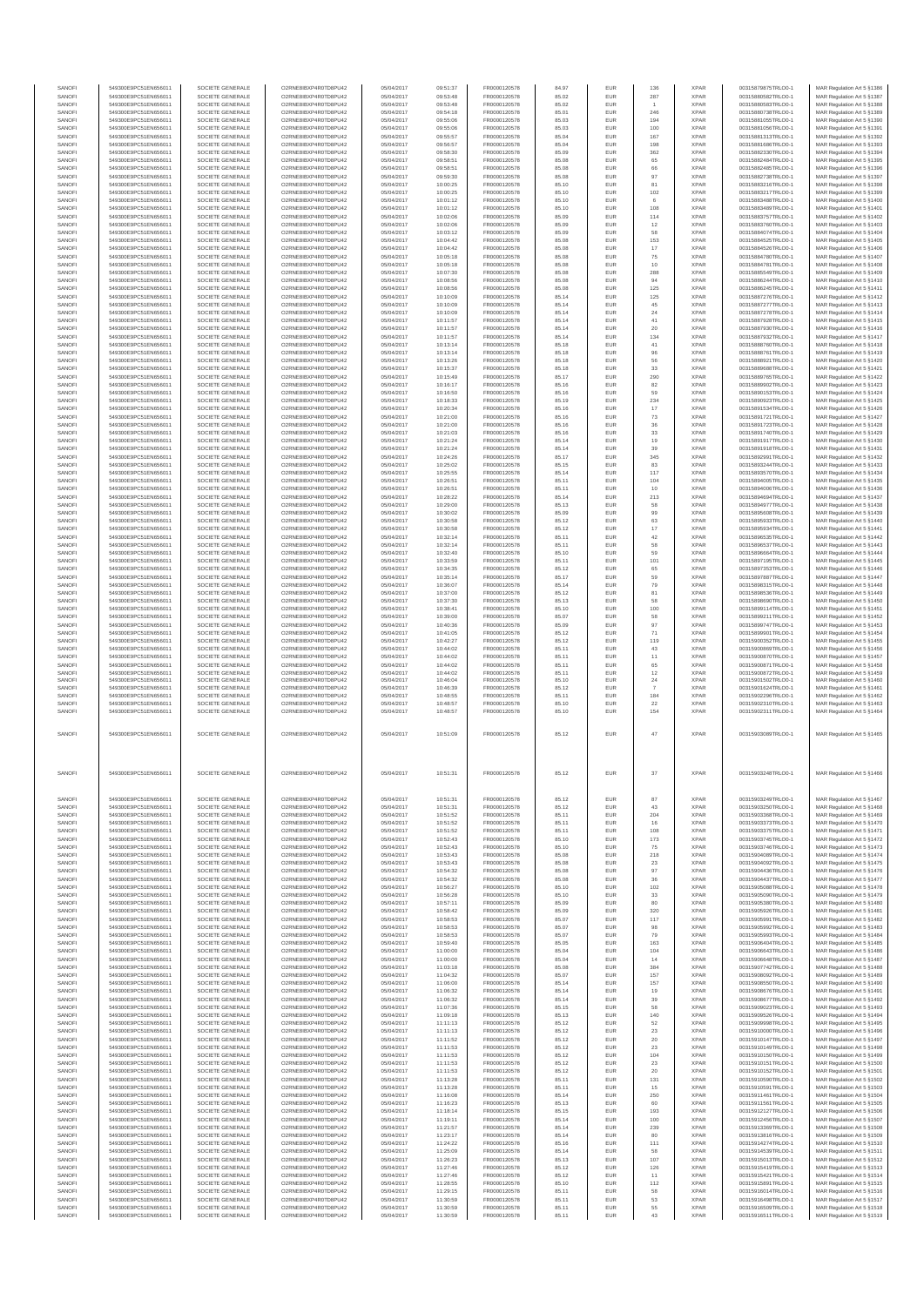| SANOFI           | 549300E9PC51EN656011                         | SOCIETE GENERALE                     | O2RNE8IBXP4R0TD8PU42                          | 05/04/2017               | 09:51:37             | FR0000120578                 | 84.97          | EUR               | 136            | <b>XPAR</b>                | 00315879875TRLO0-1                       | MAR Regulation Art 5 §1386                                                             |
|------------------|----------------------------------------------|--------------------------------------|-----------------------------------------------|--------------------------|----------------------|------------------------------|----------------|-------------------|----------------|----------------------------|------------------------------------------|----------------------------------------------------------------------------------------|
| SANOFI           | 549300E9PC51EN656011                         | SOCIETE GENERALE                     | O2RNE8IBXP4R0TD8PU42                          | 05/04/2017               | 09:53:48             | FR0000120578                 | 85.02          | <b>EUR</b>        | 287            | <b>XPAR</b>                | 00315880582TRLO0-1                       | MAR Regulation Art 5 §1387                                                             |
| SANOFI<br>SANOFI | 549300E9PC51EN656011<br>549300E9PC51EN656011 | SOCIETE GENERALE<br>SOCIETE GENERALE | O2RNE8IBXP4R0TD8PU42<br>O2RNE8IBXP4R0TD8PU42  | 05/04/2017<br>05/04/2017 | 09:53:48<br>09:54:18 | FR0000120578<br>FR0000120578 | 85.02<br>85.01 | EUR<br>EUR        | 246            | <b>XPAR</b><br><b>XPAR</b> | 00315880583TRLO0-1<br>00315880738TRLO0-1 | MAR Regulation Art 5 §1388<br>MAR Regulation Art 5 §1389                               |
| SANOFI           | 549300E9PC51EN656011                         | SOCIETE GENERALE                     | O2RNE8IBXP4R0TD8PU42                          | 05/04/2017               | 09:55:06             | FR0000120578                 | 85.03          | EUR               | 194            | <b>XPAR</b>                | 00315881055TRLO0-1                       | MAR Regulation Art 5 §1390                                                             |
| SANOFI           | 549300E9PC51EN656011                         | SOCIETE GENERALE                     | O2RNE8IBXP4R0TD8PU42                          | 05/04/2017               | 09:55:06             | FR0000120578                 | 85.03          | EUR               | 100            | <b>XPAR</b>                | 00315881056TRLO0-1                       | MAR Regulation Art 5 §1391                                                             |
| SANOFI           | 549300E9PC51EN656011                         | SOCIETE GENERALE                     | O2RNE8IBXP4R0TD8PU42                          | 05/04/2017               | 09:55:57             | FR0000120578                 | 85.04          | <b>EUR</b>        | 167            | <b>XPAR</b>                | 00315881313TRLO0-1                       | MAR Regulation Art 5 \$1392                                                            |
| SANOFI<br>SANOFI | 549300E9PC51EN656011<br>549300E9PC51EN656011 | SOCIETE GENERALE<br>SOCIETE GENERALE | O2RNE8IBXP4R0TD8PU42<br>O2RNE8IBXP4R0TD8PU42  | 05/04/2017<br>05/04/2017 | 09:56:57<br>09:58:30 | FR0000120578<br>FR0000120578 | 85.04<br>85.09 | EUR<br><b>EUR</b> | 198<br>362     | <b>XPAR</b><br><b>XPAR</b> | 00315881686TRLO0-1<br>00315882330TRLO0-1 | MAR Regulation Art 5 §1393<br>MAR Regulation Art 5 §1394                               |
| SANOFI           | 549300E9PC51EN656011                         | SOCIETE GENERALE                     | O2RNE8IBXP4R0TD8PU42                          | 05/04/2017               | 09:58:51             | FR0000120578                 | 85.08          | EUR               | 65             | <b>XPAR</b>                | 00315882484TRLO0-1                       | MAR Regulation Art 5 §1395                                                             |
| SANOFI           | 549300E9PC51EN656011                         | SOCIETE GENERALE                     | O2RNE8IBXP4R0TD8PU42                          | 05/04/2017               | 09:58:51             | FR0000120578                 | 85.08          | EUR               | 66             | <b>XPAR</b>                | 00315882485TRLO0-1                       | MAR Regulation Art 5 §1396                                                             |
| SANOFI           | 549300E9PC51EN656011                         | SOCIETE GENERALE<br>SOCIETE GENERALE | O2RNE8IBXP4R0TD8PU42<br>O2RNE8IBXP4R0TD8PU42  | 05/04/2017               | 09:59:30             | FR0000120578                 | 85.08          | EUR               | 97             | <b>XPAR</b><br><b>XPAR</b> | 00315882738TRLO0-1                       | MAR Regulation Art 5 §1397                                                             |
| SANOFI<br>SANOFI | 549300E9PC51EN656011<br>549300E9PC51EN656011 | SOCIETE GENERALE                     | O2RNE8IBXP4R0TD8PU42                          | 05/04/2017<br>05/04/2017 | 10:00:25<br>10:00:25 | FR0000120578<br>FR0000120578 | 85.10<br>85.10 | EUR<br>EUR        | 81<br>$102\,$  | <b>XPAR</b>                | 00315883216TRLO0-1<br>00315883217TRLO0-1 | MAR Regulation Art 5 §1398<br>MAR Regulation Art 5 §1399                               |
| SANOFI           | 549300E9PC51EN656011                         | SOCIETE GENERALE                     | O2RNE8IBXP4R0TD8PU42                          | 05/04/2017               | 10:01:12             | FR0000120578                 | 85.10          | EUR               | 6              | <b>XPAR</b>                | 00315883488TRLO0-1                       | MAR Regulation Art 5 §1400                                                             |
| SANOFI           | 549300E9PC51EN656011                         | SOCIETE GENERALE                     | O2RNE8IBXP4R0TD8PU42                          | 05/04/2017               | 10:01:12             | FR0000120578                 | 85.10          | <b>EUR</b>        | 108            | <b>XPAR</b>                | 00315883489TRLO0-1                       | MAR Regulation Art 5 §1401                                                             |
| SANOFI<br>SANOFI | 549300E9PC51EN656011<br>549300E9PC51EN656011 | SOCIETE GENERALE<br>SOCIETE GENERALE | O2RNE8IBXP4R0TD8PU42<br>O2RNE8IBXP4R0TD8PU42  | 05/04/2017<br>05/04/2017 | 10:02:06<br>10:02:06 | FR0000120578<br>FR0000120578 | 85.09<br>85.09 | EUR<br><b>EUR</b> | 114<br>12      | <b>XPAR</b><br><b>XPAR</b> | 00315883757TRLO0-1<br>00315883760TRLO0-1 | MAR Regulation Art 5 §1402<br>MAR Regulation Art 5 §1403                               |
| SANOFI           | 549300E9PC51EN656011                         | SOCIETE GENERALE                     | O2RNE8IBXP4R0TD8PU42                          | 05/04/2017               | 10:03:12             | FR0000120578                 | 85.09          | EUR               | 58             | <b>XPAR</b>                | 00315884074TRLO0-1                       | MAR Regulation Art 5 §1404                                                             |
| SANOFI           | 549300E9PC51EN656011                         | SOCIETE GENERALE                     | O2RNE8IBXP4R0TD8PU42                          | 05/04/2017               | 10:04:42             | FR0000120578                 | 85.08          | EUR               | 153            | <b>XPAR</b>                | 00315884525TRLO0-1                       | MAR Regulation Art 5 \$1405                                                            |
| SANOFI           | 549300E9PC51EN656011                         | SOCIETE GENERALE                     | O2RNE8IBXP4R0TD8PU42                          | 05/04/2017               | 10:04:42             | FR0000120578                 | 85.08          | EUR               | $17\,$         | <b>XPAR</b>                | 00315884526TRLO0-1                       | MAR Regulation Art 5 §1406                                                             |
| SANOFI<br>SANOFI | 549300E9PC51EN656011<br>549300E9PC51EN656011 | SOCIETE GENERALE<br>SOCIETE GENERALE | O2RNE8IBXP4R0TD8PU42<br>O2RNE8IBXP4R0TD8PU42  | 05/04/2017<br>05/04/2017 | 10:05:18<br>10:05:18 | FR0000120578<br>FR0000120578 | 85.08<br>85.08 | EUR<br><b>EUR</b> | 75<br>10       | <b>XPAR</b><br><b>XPAR</b> | 00315884780TRLO0-1<br>00315884781TRLO0-1 | MAR Regulation Art 5 §1407<br>MAR Regulation Art 5 §1408                               |
| SANOFI           | 549300E9PC51EN656011                         | SOCIETE GENERALE                     | O2RNE8IBXP4R0TD8PU42                          | 05/04/2017               | 10:07:30             | FR0000120578                 | 85.08          | EUR               | 288            | <b>XPAR</b>                | 00315885549TRLO0-1                       | MAR Regulation Art 5 §1409                                                             |
| SANOFI           | 549300E9PC51EN656011                         | SOCIETE GENERALE                     | O2RNE8IBXP4R0TD8PU42                          | 05/04/2017               | 10:08:56             | FR0000120578                 | 85.08          | <b>EUR</b>        | 94             | <b>XPAR</b>                | 00315886244TRLO0-1                       | MAR Regulation Art 5 §1410                                                             |
| SANOFI           | 549300E9PC51EN656011                         | SOCIETE GENERALE                     | O2RNE8IBXP4R0TD8PU42                          | 05/04/2017               | 10:08:56             | FR0000120578                 | 85.08          | EUR               | 125            | <b>XPAR</b>                | 00315886245TRLO0-1                       | MAR Regulation Art 5 §1411                                                             |
| SANOFI<br>SANOFI | 549300E9PC51EN656011<br>549300E9PC51EN656011 | SOCIETE GENERALE<br>SOCIETE GENERALE | O2RNE8IBXP4R0TD8PU42<br>O2RNE8IBXP4R0TD8PU42  | 05/04/2017<br>05/04/2017 | 10:10:09<br>10:10:09 | FR0000120578<br>FR0000120578 | 85.14<br>85.14 | <b>EUR</b><br>EUR | 125<br>45      | <b>XPAR</b><br><b>XPAR</b> | 00315887276TRLO0-1<br>00315887277TRLO0-1 | MAR Regulation Art 5 §1412<br>MAR Regulation Art 5 §1413                               |
| SANOFI           | 549300E9PC51EN656011                         | SOCIETE GENERALE                     | O2RNE8IBXP4R0TD8PU42                          | 05/04/2017               | 10:10:09             | FR0000120578                 | 85.14          | EUR               | 24             | <b>XPAR</b>                | 00315887278TRLO0-1                       | MAR Regulation Art 5 §1414                                                             |
| SANOFI           | 549300E9PC51EN656011                         | SOCIETE GENERALE                     | O2RNE8IBXP4R0TD8PU42                          | 05/04/2017               | 10:11:57             | FR0000120578                 | 85.14          | EUR               | 41             | <b>XPAR</b>                | 00315887928TRLO0-1                       | MAR Regulation Art 5 §1415                                                             |
| SANOFI           | 549300E9PC51EN656011                         | SOCIETE GENERALE                     | O2RNE8IBXP4R0TD8PU42                          | 05/04/2017               | 10:11:57             | FR0000120578                 | 85.14          | EUR               | 20             | <b>XPAR</b>                | 00315887930TRLO0-1                       | MAR Regulation Art 5 §1416                                                             |
| SANOFI<br>SANOFI | 549300E9PC51EN656011<br>549300E9PC51EN656011 | SOCIETE GENERALE<br>SOCIETE GENERALE | O2RNE8IBXP4R0TD8PU42<br>O2RNE8IBXP4R0TD8PU42  | 05/04/2017<br>05/04/2017 | 10:11:57<br>10:13:14 | FR0000120578<br>FR0000120578 | 85.14<br>85.18 | <b>EUR</b><br>EUR | 134<br>41      | <b>XPAR</b><br><b>XPAR</b> | 00315887932TRLO0-1<br>00315888760TRLO0-1 | MAR Regulation Art 5 §1417<br>MAR Regulation Art 5 §1418                               |
| SANOFI           | 549300E9PC51EN656011                         | SOCIETE GENERALE                     | O2RNE8IBXP4R0TD8PU42                          | 05/04/2017               | 10:13:14             | FR0000120578                 | 85.18          | <b>EUR</b>        | 96             | <b>XPAR</b>                | 00315888761TRLO0-1                       | MAR Regulation Art 5 §1419                                                             |
| SANOFI           | 549300E9PC51EN656011                         | SOCIETE GENERALE                     | O2RNE8IBXP4R0TD8PU42                          | 05/04/2017               | 10:13:26             | FR0000120578                 | 85.18          | EUR               | 56             | <b>XPAR</b>                | 00315888921TRLO0-1                       | MAR Regulation Art 5 §1420                                                             |
| SANOFI           | 549300E9PC51EN656011                         | SOCIETE GENERALE                     | O2RNE8IBXP4R0TD8PU42                          | 05/04/2017               | 10:15:37             | FR0000120578                 | 85.18          | <b>EUR</b>        | 33             | <b>XPAR</b>                | 00315889688TRLO0-1                       | MAR Regulation Art 5 §1421                                                             |
| SANOFI<br>SANOFI | 549300E9PC51EN656011<br>549300E9PC51EN656011 | SOCIETE GENERALE<br>SOCIETE GENERALE | O2RNE8IBXP4R0TD8PU42<br>O2RNE8IBXP4R0TD8PLI42 | 05/04/2017<br>05/04/2017 | 10:15:49<br>10:16:17 | FR0000120578<br>FR0000120578 | 85.17<br>85.16 | EUR<br>EUR        | 290<br>82      | <b>XPAR</b><br><b>XPAR</b> | 00315889765TRLO0-1<br>00315889902TRLO0-1 | MAR Regulation Art 5 §1422<br>MAR Regulation Art 5 §1423                               |
| SANOFI           | 549300E9PC51EN656011                         | SOCIETE GENERALE                     | O2RNE8IBXP4R0TD8PU42                          | 05/04/2017               | 10:16:50             | FR0000120578                 | 85.16          | EUR               | 59             | <b>XPAR</b>                | 00315890153TRLO0-1                       | MAR Regulation Art 5 §1424                                                             |
| SANOFI           | 549300E9PC51EN656011                         | SOCIETE GENERALE                     | O2RNE8IBXP4R0TD8PU42                          | 05/04/2017               | 10:18:33             | FR0000120578                 | 85.19          | EUR               | 234            | <b>XPAR</b>                | 00315890923TRLO0-1                       | MAR Regulation Art 5 §1425                                                             |
| SANOFI           | 549300E9PC51EN656011                         | SOCIETE GENERALE                     | O2RNE8IBXP4R0TD8PU42                          | 05/04/2017               | 10:20:34             | FR0000120578                 | 85.16          | <b>EUR</b>        | 17             | <b>XPAR</b>                | 00315891534TRLO0-1                       | MAR Regulation Art 5 §1426                                                             |
| SANOFI<br>SANOFI | 549300E9PC51EN656011<br>549300E9PC51EN656011 | SOCIETE GENERALE<br>SOCIETE GENERALE | O2RNE8IBXP4R0TD8PU42<br>O2RNE8IBXP4R0TD8PU42  | 05/04/2017<br>05/04/2017 | 10:21:00<br>10:21:00 | FR0000120578<br>FR0000120578 | 85.16<br>85.16 | EUR<br><b>EUR</b> | 73<br>36       | <b>XPAR</b><br><b>XPAR</b> | 00315891721TRLO0-1<br>00315891723TRLO0-1 | MAR Regulation Art 5 §1427<br>MAR Regulation Art 5 §1428                               |
| SANOFI           | 549300E9PC51EN656011                         | SOCIETE GENERALE                     | O2RNE8IBXP4R0TD8PU42                          | 05/04/2017               | 10:21:03             | FR0000120578                 | 85.16          | EUR               | 33             | <b>XPAR</b>                | 00315891740TRLO0-1                       | MAR Regulation Art 5 §1429                                                             |
| SANOFI           | 549300E9PC51EN656011                         | SOCIETE GENERALE                     | O2RNE8IBXP4R0TD8PU42                          | 05/04/2017               | 10:21:24             | FR0000120578                 | 85.14          | EUR               | 19             | <b>XPAR</b>                | 00315891917TRLO0-1                       | MAR Regulation Art 5 §1430                                                             |
| SANOFI           | 549300E9PC51EN656011                         | SOCIETE GENERALE                     | O2RNE8IBXP4R0TD8PU42                          | 05/04/2017               | 10:21:24             | FR0000120578                 | 85.14          | EUR               | 39             | <b>XPAR</b>                | 00315891918TRLO0-1                       | MAR Regulation Art 5 §1431                                                             |
| SANOFI<br>SANOFI | 549300E9PC51EN656011<br>549300E9PC51EN656011 | SOCIETE GENERALE<br>SOCIETE GENERALE | O2RNE8IBXP4R0TD8PU42<br>O2RNE8IBXP4R0TD8PU42  | 05/04/2017<br>05/04/2017 | 10:24:26             | FR0000120578<br>FR0000120578 | 85.17          | EUR<br>EUR        | 345<br>83      | <b>XPAR</b><br><b>XPAR</b> | 00315892991TRLO0-1<br>00315893244TRLO0-1 | MAR Regulation Art 5 §1432                                                             |
| SANOFI           | 549300E9PC51EN656011                         | SOCIETE GENERALE                     | O2RNE8IBXP4R0TD8PU42                          | 05/04/2017               | 10:25:02<br>10:25:55 | FR0000120578                 | 85.15<br>85.14 | EUR               | 117            | <b>XPAR</b>                | 00315893570TRLO0-1                       | MAR Regulation Art 5 §1433<br>MAR Regulation Art 5 \$1434                              |
| SANOFI           | 549300E9PC51EN656011                         | SOCIETE GENERALE                     | O2RNE8IBXP4R0TD8PU42                          | 05/04/2017               | 10:26:51             | FR0000120578                 | 85.11          | <b>EUR</b>        | 104            | <b>XPAR</b>                | 00315894005TRLO0-1                       | MAR Regulation Art 5 \$1435                                                            |
| SANOFI           | 549300E9PC51EN656011                         | SOCIETE GENERALE                     | O2RNE8IBXP4R0TD8PU42                          | 05/04/2017               | 10:26:51             | FR0000120578                 | 85.11          | EUR               | 10             | <b>XPAR</b>                | 00315894006TRLO0-1                       | MAR Regulation Art 5 §1436                                                             |
| SANOFI<br>SANOFI | 549300E9PC51EN656011<br>549300E9PC51EN656011 | SOCIETE GENERALE<br>SOCIETE GENERALE | O2RNE8IBXP4R0TD8PU42<br>O2RNE8IBXP4R0TD8PU42  | 05/04/2017<br>05/04/2017 | 10:28:22<br>10:29:00 | FR0000120578<br>FR0000120578 | 85.14<br>85.13 | <b>EUR</b><br>EUR | 213<br>58      | <b>XPAR</b><br><b>XPAR</b> | 00315894694TRLO0-1<br>00315894977TRLO0-1 | MAR Regulation Art 5 §1437<br>MAR Regulation Art 5 §1438                               |
| SANOFI           | 549300E9PC51EN656011                         | SOCIETE GENERALE                     | O2RNE8IBXP4R0TD8PU42                          | 05/04/2017               | 10:30:02             | FR0000120578                 | 85.09          | EUR               | 99             | <b>XPAR</b>                | 00315895608TRLO0-1                       | MAR Regulation Art 5 §1439                                                             |
| SANOFI           | 549300E9PC51EN656011                         | SOCIETE GENERALE                     | O2RNE8IBXP4R0TD8PU42                          | 05/04/2017               | 10:30:58             | FR0000120578                 | 85.12          | EUR               | 63             | <b>XPAR</b>                | 00315895933TRLO0-1                       | MAR Regulation Art 5 §1440                                                             |
| SANOFI           | 549300E9PC51EN656011                         | SOCIETE GENERALE                     | O2RNE8IBXP4R0TD8PU42                          | 05/04/2017               | 10:30:58             | FR0000120578                 | 85.12          | EUR               | $17\,$         | <b>XPAR</b>                | 00315895934TRLO0-1                       | MAR Regulation Art 5 §1441                                                             |
| SANOFI<br>SANOFI | 549300E9PC51EN656011<br>549300E9PC51EN656011 | SOCIETE GENERALE<br>SOCIETE GENERALE | O2RNE8IBXP4R0TD8PU42<br>O2RNE8IBXP4R0TD8PU42  | 05/04/2017<br>05/04/2017 | 10:32:14<br>10:32:14 | FR0000120578<br>FR0000120578 | 85.11<br>85.11 | <b>EUR</b><br>EUR | 42<br>58       | <b>XPAR</b><br><b>XPAR</b> | 00315896535TRLO0-1<br>00315896537TRLO0-1 | MAR Regulation Art 5 §1442<br>MAR Regulation Art 5 §1443                               |
| SANOFI           | 549300E9PC51EN656011                         | SOCIETE GENERALE                     | O2RNE8IBXP4R0TD8PU42                          | 05/04/2017               | 10:32:40             | FR0000120578                 | 85.10          | <b>EUR</b>        | 59             | <b>XPAR</b>                | 00315896664TRLO0-1                       | MAR Regulation Art 5 §1444                                                             |
| SANOFI           | 549300E9PC51EN656011                         | SOCIETE GENERALE                     | O2RNE8IBXP4R0TD8PU42                          | 05/04/2017               | 10:33:59             | FR0000120578                 | 85.11          | EUR               | 101            | <b>XPAR</b>                | 00315897195TRLO0-1                       | MAR Regulation Art 5 §1445                                                             |
| SANOFI<br>SANOFI | 549300E9PC51EN656011                         | SOCIETE GENERALE                     | O2RNE8IBXP4R0TD8PU42                          | 05/04/2017               | 10:34:35             | FR0000120578                 | 85.12          | <b>EUR</b>        | 65<br>59       | <b>XPAR</b><br><b>XPAR</b> | 00315897353TRLO0-1                       | MAR Regulation Art 5 §1446                                                             |
| SANOFI           | 549300E9PC51EN656011<br>549300E9PC51EN656011 | SOCIETE GENERALE<br>SOCIETE GENERALE | O2RNE8IBXP4R0TD8PU42<br>O2RNE8IBXP4R0TD8PU42  | 05/04/2017<br>05/04/2017 | 10:35:14<br>10:36:07 | FR0000120578<br>FR0000120578 | 85.17<br>85.14 | EUR<br>EUR        | 79             | <b>XPAR</b>                | 00315897887TRLO0-1<br>00315898315TRLO0-1 | MAR Regulation Art 5 §1447<br>MAR Regulation Art 5 §1448                               |
| SANOFI           | 549300E9PC51EN656011                         | SOCIETE GENERALE                     | O2RNE8IBXP4R0TD8PU42                          | 05/04/2017               | 10:37:00             | FR0000120578                 | 85.12          | EUR               | 81             | <b>XPAR</b>                | 00315898536TRLO0-1                       | MAR Regulation Art 5 §1449                                                             |
| SANOFI           | 549300E9PC51EN656011                         | SOCIETE GENERALE                     | O2RNE8IBXP4R0TD8PU42                          | 05/04/2017               | 10:37:30             | FR0000120578                 | 85.13          | EUR               | 58             | <b>XPAR</b>                | 00315898690TRLO0-1                       | MAR Regulation Art 5 §1450                                                             |
| SANOFI           | 549300E9PC51EN656011                         | SOCIETE GENERALE                     | O2RNE8IBXP4R0TD8PU42                          | 05/04/2017               | 10:38:41             | FR0000120578                 | 85.10          | <b>EUR</b>        | 100            | <b>XPAR</b>                | 00315899114TRLO0-1                       | MAR Regulation Art 5 §1451                                                             |
| SANOFI<br>SANOFI | 549300E9PC51EN656011<br>549300E9PC51EN656011 | SOCIETE GENERALE<br>SOCIETE GENERALE | O2RNE8IBXP4R0TD8PU42<br>O2RNE8IBXP4R0TD8PU42  | 05/04/2017<br>05/04/2017 | 10:39:00<br>10:40:36 | FR0000120578<br>FR0000120578 | 85.07<br>85.09 | EUR<br><b>EUR</b> | 58<br>97       | <b>XPAR</b><br><b>XPAR</b> | 00315899211TRLO0-1<br>00315899747TRLO0-1 | MAR Regulation Art 5 §1452<br>MAR Regulation Art 5 §1453                               |
| SANOFI           | 549300E9PC51EN656011                         | SOCIETE GENERALE                     | O2RNE8IBXP4R0TD8PU42                          | 05/04/2017               | 10:41:05             | FR0000120578                 | 85.12          | EUR               | 71             | <b>XPAR</b>                | 00315899901TRLO0-1                       | MAR Regulation Art 5 §1454                                                             |
| SANOFI           | 549300E9PC51EN656011                         | SOCIETE GENERALE                     | O2RNE8IBXP4R0TD8PU42                          | 05/04/2017               | 10:42:27             | FR0000120578                 | 85.12          | EUR               | 119            | <b>XPAR</b>                | 00315900352TRLO0-1                       | MAR Regulation Art 5 §1455                                                             |
| SANOFI           | 549300E9PC51EN656011                         | SOCIETE GENERALE                     | O2RNE8IBXP4R0TD8PU42                          | 05/04/2017               | 10:44:02             | FR0000120578                 | 85.11          | EUR               | 43             | <b>XPAR</b><br><b>XPAR</b> | 00315900869TRLO0-1                       | MAR Regulation Art 5 §1456                                                             |
| SANOFI<br>SANOFI | 549300E9PC51EN656011<br>549300E9PC51EN656011 | SOCIETE GENERALE<br>SOCIETE GENERALE | O2RNE8IBXP4R0TD8PU42<br>O2RNE8IBXP4R0TD8PU42  | 05/04/2017<br>05/04/2017 | 10:44:02<br>10:44:02 | FR0000120578<br>FR0000120578 | 85.11<br>85.11 | EUR<br>EUR        | 11<br>65       | <b>XPAR</b>                | 00315900870TRLO0-1<br>00315900871TRLO0-1 | MAR Regulation Art 5 §1457<br>MAR Regulation Art 5 §1458                               |
| SANOFI           | 549300E9PC51EN656011                         | SOCIETE GENERALE                     | O2RNE8IBXP4R0TD8PU42                          | 05/04/2017               | 10:44:02             | FR0000120578                 | 85.11          | EUR               | 12             | <b>XPAR</b>                | 00315900872TRLO0-1                       | MAR Regulation Art 5 §1459                                                             |
| SANOFI           | 549300E9PC51EN656011                         | SOCIETE GENERALE                     | O2RNE8IBXP4R0TD8PU42                          | 05/04/2017               | 10:46:04             | FR0000120578                 | 85.10          | EUR               | 24             | <b>XPAR</b>                | 00315901502TRLO0-1                       | MAR Regulation Art 5 §1460                                                             |
| SANOFI<br>SANOFI | 549300E9PC51EN656011<br>549300E9PC51EN656011 | SOCIETE GENERALE<br>SOCIETE GENERALE | O2RNE8IBXP4R0TD8PU42<br>O2RNE8IBXP4R0TD8PU42  | 05/04/2017<br>05/04/2017 | 10:46:39<br>10:48:55 | FR0000120578<br>FR0000120578 | 85.12<br>85.11 | <b>EUR</b><br>EUR | 184            | <b>XPAR</b><br><b>XPAR</b> | 00315901624TRLO0-1<br>00315902296TRLO0-1 | MAR Regulation Art 5 \$1461<br>MAR Regulation Art 5 §1462                              |
| SANOFI           | 549300E9PC51EN656011                         | SOCIETE GENERALE                     | O2RNE8IBXP4R0TD8PU42                          | 05/04/2017               | 10:48:57             | FR0000120578                 | 85.10          | EUR               | 22             | <b>XPAR</b>                | 00315902310TRLO0-1                       | MAR Regulation Art 5 §1463                                                             |
| SANOFI           | 549300E9PC51EN656011                         | SOCIETE GENERALE                     | O2RNE8IBXP4R0TD8PU42                          | 05/04/2017               | 10:48:57             | FR0000120578                 | 85.10          | EUR               | $154\,$        | <b>XPAR</b>                | 00315902311TRLO0-1                       | MAR Regulation Art 5 §1464                                                             |
|                  |                                              |                                      |                                               |                          |                      |                              |                |                   |                |                            |                                          |                                                                                        |
| SANOFI           | 549300E9PC51EN656011                         | SOCIETE GENERALE                     | O2RNE8IBXP4R0TD8PU42                          | 05/04/2017               | 10:51:09             | FR0000120578                 | 85.12          | EUR               | 47             | XPAR                       | 00315903089TRLO0-1                       | MAR Regulation Art 5 §1465                                                             |
|                  |                                              |                                      |                                               |                          |                      |                              |                |                   |                |                            |                                          |                                                                                        |
|                  |                                              |                                      |                                               |                          |                      |                              |                |                   |                |                            |                                          |                                                                                        |
|                  |                                              |                                      |                                               |                          |                      |                              |                |                   |                |                            |                                          |                                                                                        |
| SANOFI           | 549300E9PC51EN656011                         | SOCIETE GENERALE                     | O2RNE8IBXP4R0TD8PU42                          | 05/04/2017               | 10:51:31             | FR0000120578                 | 85.12          | <b>EUR</b>        | 37             | <b>XPAR</b>                | 00315903248TRLO0-1                       | MAR Regulation Art 5 §1466                                                             |
|                  |                                              |                                      |                                               |                          |                      |                              |                |                   |                |                            |                                          |                                                                                        |
|                  |                                              |                                      |                                               |                          |                      |                              |                |                   |                |                            |                                          |                                                                                        |
| SANOFI<br>SANOFI | 549300E9PC51EN656011<br>549300E9PC51EN656011 | SOCIETE GENERALE                     | O2RNE8IBXP4R0TD8PU42<br>O2RNE8IBXP4R0TD8PU42  | 05/04/2017               | 10:51:31             | FR0000120578                 | 85.12          | EUR               | 87             | <b>XPAR</b><br><b>XPAR</b> | 00315903249TRLO0-1<br>00315903250TRLO0-1 | MAR Regulation Art 5 \$1467                                                            |
| SANOFI           | 549300E9PC51EN656011                         | SOCIETE GENERALE<br>SOCIETE GENERALE | O2RNE8IBXP4R0TD8PU42                          | 05/04/2017<br>05/04/2017 | 10:51:31<br>10:51:52 | FR0000120578<br>FR0000120578 | 85.12<br>85.11 | EUR<br>EUR        | 43<br>204      | <b>XPAR</b>                | 00315903368TRLO0-1                       | MAR Regulation Art 5 §1468<br>MAR Regulation Art 5 \$1469                              |
| SANOFI           | 549300E9PC51EN656011                         | SOCIETE GENERALE                     | O2RNE8IBXP4R0TD8PU42                          | 05/04/2017               | 10:51:52             | FR0000120578                 | 85.11          | EUR               | 16             | <b>XPAR</b>                | 00315903373TRLO0-1                       | MAR Regulation Art 5 §1470                                                             |
| SANOFI           | 549300E9PC51EN656011                         | SOCIETE GENERALE                     | O2RNE8IBXP4R0TD8PU42                          | 05/04/2017               | 10:51:52             | FR0000120578                 | 85.11          | EUR               | 108            | <b>XPAR</b>                | 00315903375TRLO0-1                       | MAR Regulation Art 5 §1471                                                             |
| SANOFI<br>SANOFI | 549300E9PC51EN656011<br>549300E9PC51EN656011 | SOCIETE GENERALE<br>SOCIETE GENERALE | O2RNE8IBXP4R0TD8PU42<br>O2RNE8IBXP4R0TD8PU42  | 05/04/2017<br>05/04/2017 | 10:52:43<br>10:52:43 | FR0000120578<br>FR0000120578 | 85.10<br>85.10 | <b>EUR</b><br>EUR | 173<br>75      | <b>XPAR</b><br><b>XPAR</b> | 00315903745TRLO0-1<br>00315903746TRLO0-1 | MAR Regulation Art 5 §1472<br>MAR Regulation Art 5 §1473                               |
| SANOFI           | 549300E9PC51EN656011                         | SOCIETE GENERALE                     | O2RNE8IBXP4R0TD8PU42                          | 05/04/2017               | 10:53:43             | FR0000120578                 | 85.08          | <b>EUR</b>        | 218            | <b>XPAR</b>                | 00315904089TRLO0-1                       | MAR Regulation Art 5 §1474                                                             |
| SANOFI           | 549300E9PC51EN656011                         | SOCIETE GENERALE                     | O2RNE8IBXP4R0TD8PU42                          | 05/04/2017               | 10:53:43             | FR0000120578                 | 85.08          | EUR               | 23             | <b>XPAR</b>                | 00315904092TRLO0-1                       | MAR Regulation Art 5 §1475                                                             |
| SANOFI           | 549300E9PC51EN656011                         | SOCIETE GENERALE                     | O2RNE8IBXP4R0TD8PU42                          | 05/04/2017               | 10:54:32             | FR0000120578                 | 85.08          | EUR               | 97             | <b>XPAR</b>                | 00315904436TRLO0-1                       | MAR Regulation Art 5 §1476                                                             |
| SANOFI<br>SANOFI | 549300E9PC51EN656011<br>549300E9PC51EN656011 | SOCIETE GENERALE<br>SOCIETE GENERALE | O2RNE8IBXP4R0TD8PU42<br>O2RNE8IBXP4R0TD8PU42  | 05/04/2017<br>05/04/2017 | 10:54:32<br>10:56:27 | FR0000120578<br>FR0000120578 | 85.08<br>85.10 | EUR<br>EUR        | 36<br>102      | <b>XPAR</b><br><b>XPAR</b> | 00315904437TRLO0-1<br>00315905088TRLO0-1 | MAR Regulation Art 5 §1477<br>MAR Regulation Art 5 §1478                               |
| SANOFI           | 549300E9PC51EN656011                         | SOCIETE GENERALE                     | O2RNE8IBXP4R0TD8PU42                          | 05/04/2017               | 10:56:28             | FR0000120578                 | 85.10          | <b>EUR</b>        | 33             | <b>XPAR</b>                | 00315905090TRLO0-1                       | MAR Regulation Art 5 §1479                                                             |
| SANOFI           | 549300E9PC51EN656011                         | SOCIETE GENERALE                     | O2RNE8IBXP4R0TD8PU42                          | 05/04/2017               | 10:57:11             | FR0000120578                 | 85.09          | EUR               | 80             | <b>XPAR</b>                | 00315905380TRLO0-1                       | MAR Regulation Art 5 §1480                                                             |
| SANOFI           | 549300E9PC51EN656011                         | SOCIETE GENERALE                     | O2RNE8IBXP4R0TD8PU42                          | 05/04/2017               | 10:58:42             | FR0000120578                 | 85.09          | <b>EUR</b>        | 320            | <b>XPAR</b>                | 00315905926TRLO0-1                       | MAR Regulation Art 5 §1481                                                             |
| SANOFI<br>SANOFI | 549300E9PC51EN656011<br>549300E9PC51EN656011 | SOCIETE GENERALE<br>SOCIETE GENERALE | O2RNE8IBXP4R0TD8PU42<br>O2RNE8IBXP4R0TD8PU42  | 05/04/2017<br>05/04/2017 | 10:58:53<br>10:58:53 | FR0000120578<br>FR0000120578 | 85.07<br>85.07 | EUR<br><b>EUR</b> | 117<br>98      | <b>XPAR</b><br><b>XPAR</b> | 00315905991TRLO0-1<br>00315905992TRLO0-1 | MAR Regulation Art 5 §1482<br>MAR Regulation Art 5 §1483                               |
| SANOFI           | 549300E9PC51EN656011                         | SOCIETE GENERALE                     | O2RNE8IBXP4R0TD8PU42                          | 05/04/2017               | 10:58:53             | FR0000120578                 | 85.07          | EUR               | 79             | <b>XPAR</b>                | 00315905993TRLO0-1                       | MAR Regulation Art 5 §1484                                                             |
| SANOFI           | 549300E9PC51EN656011                         | SOCIETE GENERALE                     | O2RNE8IBXP4R0TD8PU42                          | 05/04/2017               | 10:59:40             | FR0000120578                 | 85.05          | EUR               | 163            | <b>XPAR</b>                | 00315906404TRLO0-1                       | MAR Regulation Art 5 §1485                                                             |
| SANOFI           | 549300E9PC51EN656011                         | SOCIETE GENERALE                     | O2RNE8IBXP4R0TD8PU42                          | 05/04/2017               | 11:00:00             | FR0000120578                 | 85.04          | EUR               | $104\,$        | <b>XPAR</b>                | 00315906643TRLO0-1                       | MAR Regulation Art 5 §1486                                                             |
| SANOFI<br>SANOFI | 549300E9PC51EN656011<br>549300E9PC51EN656011 | SOCIETE GENERALE<br>SOCIETE GENERALE | O2RNE8IBXP4R0TD8PU42<br>O2RNE8IBXP4R0TD8PU42  | 05/04/2017<br>05/04/2017 | 11:00:00<br>11:03:18 | FR0000120578<br>FR0000120578 | 85.04<br>85.08 | EUR<br><b>EUR</b> | 14<br>384      | <b>XPAR</b><br><b>XPAR</b> | 00315906648TRLO0-1<br>00315907742TRLO0-1 | MAR Regulation Art 5 §1487                                                             |
| SANOFI           | 549300E9PC51EN656011                         | SOCIETE GENERALE                     | O2RNE8IBXP4R0TD8PU42                          | 05/04/2017               | 11:04:32             | FR0000120578                 | 85.07          | EUR               | 157            | <b>XPAR</b>                | 00315908092TRLO0-1                       | MAR Regulation Art 5 §1488<br>MAR Regulation Art 5 §1489                               |
| SANOFI           | 549300E9PC51EN656011                         | SOCIETE GENERALE                     | O2RNE8IBXP4R0TD8PU42                          | 05/04/2017               | 11:06:00             | FR0000120578                 | 85.14          | <b>EUR</b>        | 157            | <b>XPAR</b>                | 00315908550TRLO0-1                       | MAR Regulation Art 5 §1490                                                             |
| SANOFI           | 549300E9PC51EN656011                         | SOCIETE GENERALE                     | O2RNE8IBXP4R0TD8PU42                          | 05/04/2017               | 11:06:32             | FR0000120578                 | 85.14          | EUR               | 19             | <b>XPAR</b>                | 00315908676TRLO0-1                       | MAR Regulation Art 5 §1491                                                             |
| SANOFI<br>SANOFI | 549300E9PC51EN656011<br>549300E9PC51EN656011 | SOCIETE GENERALE<br>SOCIETE GENERALE | O2RNE8IBXP4R0TD8PU42<br>O2RNE8IBXP4R0TD8PU42  | 05/04/2017<br>05/04/2017 | 11:06:32<br>11:07:36 | FR0000120578<br>FR0000120578 | 85.14<br>85.15 | EUR<br>EUR        | 39<br>58       | XPAR<br><b>XPAR</b>        | 00315908677TRLO0-1<br>00315909023TRLO0-1 | MAR Regulation Art 5 §1492<br>MAR Regulation Art 5 §1493                               |
| SANOFI           | 549300E9PC51EN656011                         | SOCIETE GENERALE                     | O2RNE8IBXP4R0TD8PU42                          | 05/04/2017               | 11:09:18             | FR0000120578                 | 85.13          | EUR               | 140            | <b>XPAR</b>                | 00315909526TRLO0-1                       | MAR Regulation Art 5 §1494                                                             |
| SANOFI           | 549300E9PC51EN656011                         | SOCIETE GENERALE                     | O2RNE8IBXP4R0TD8PU42                          | 05/04/2017               | 11:11:13             | FR0000120578                 | 85.12          | EUR               | 52             | <b>XPAR</b>                | 00315909998TRLO0-1                       | MAR Regulation Art 5 §1495                                                             |
| SANOFI           | 549300E9PC51EN656011                         | SOCIETE GENERALE                     | O2RNE8IBXP4R0TD8PU42                          | 05/04/2017               | 11:11:13             | FR0000120578                 | 85.12          | EUR               | $23\,$         | <b>XPAR</b>                | 00315910000TRLO0-1                       | MAR Regulation Art 5 §1496                                                             |
| SANOFI<br>SANOFI | 549300E9PC51EN656011<br>549300E9PC51EN656011 | SOCIETE GENERALE<br>SOCIETE GENERALE | O2RNE8IBXP4R0TD8PU42<br>O2RNE8IBXP4R0TD8PU42  | 05/04/2017<br>05/04/2017 | 11:11:52<br>11:11:53 | FR0000120578<br>FR0000120578 | 85.12<br>85.12 | <b>EUR</b><br>EUR | 20<br>23       | <b>XPAR</b><br><b>XPAR</b> | 00315910147TRLO0-1<br>00315910149TRLO0-1 | MAR Regulation Art 5 §1497<br>MAR Regulation Art 5 §1498                               |
| SANOFI           | 549300E9PC51EN656011                         | SOCIETE GENERALE                     | O2RNE8IBXP4R0TD8PU42                          | 05/04/2017               | 11:11:53             | FR0000120578                 | 85.12          | <b>EUR</b>        | 104            | <b>XPAR</b>                | 00315910150TRLO0-1                       | MAR Regulation Art 5 §1499                                                             |
| SANOFI           | 549300E9PC51EN656011                         | SOCIETE GENERALE                     | O2RNE8IBXP4R0TD8PU42                          | 05/04/2017               | 11:11:53             | FR0000120578                 | 85.12          | EUR               | 23             | <b>XPAR</b>                | 00315910151TRLO0-1                       | MAR Regulation Art 5 §1500                                                             |
| SANOFI           | 549300E9PC51EN656011                         | SOCIETE GENERALE                     | O2RNE8IBXP4R0TD8PU42                          | 05/04/2017               | 11:11:53             | FR0000120578                 | 85.12          | EUR               | 20             | <b>XPAR</b>                | 00315910152TRLO0-1                       | MAR Regulation Art 5 §1501                                                             |
| SANOFI<br>SANOFI | 549300E9PC51EN656011<br>549300E9PC51EN656011 | SOCIETE GENERALE<br>SOCIETE GENERALE | O2RNE8IBXP4R0TD8PU42<br>O2RNE8IBXP4R0TD8PU42  | 05/04/2017<br>05/04/2017 | 11:13:28<br>11:13:28 | FR0000120578<br>FR0000120578 | 85.11<br>85.11 | <b>EUR</b><br>EUR | 131<br>15      | <b>XPAR</b><br><b>XPAR</b> | 00315910590TRLO0-1<br>00315910591TRLO0-1 | MAR Regulation Art 5 §1502<br>MAR Regulation Art 5 §1503                               |
| SANOFI           | 549300E9PC51EN656011                         | SOCIETE GENERALE                     | O2RNE8IBXP4R0TD8PU42                          | 05/04/2017               | 11:16:08             | FR0000120578                 | 85.14          | EUR               | 250            | <b>XPAR</b>                | 00315911461TRLO0-1                       | MAR Regulation Art 5 §1504                                                             |
| SANOFI           | 549300E9PC51EN656011                         | SOCIETE GENERALE                     | O2RNE8IBXP4R0TD8PU42                          | 05/04/2017               | 11:16:23             | FR0000120578                 | 85.13          | EUR               | 60             | <b>XPAR</b>                | 00315911561TRLO0-1                       | MAR Regulation Art 5 §1505                                                             |
| SANOFI           | 549300E9PC51EN656011                         | SOCIETE GENERALE                     | O2RNE8IBXP4R0TD8PU42                          | 05/04/2017               | 11:18:14             | FR0000120578                 | 85.15          | <b>EUR</b>        | 193            | <b>XPAR</b>                | 00315912127TRLO0-1                       | MAR Regulation Art 5 §1506                                                             |
| SANOFI<br>SANOFI | 549300E9PC51EN656011<br>549300E9PC51EN656011 | SOCIETE GENERALE<br>SOCIETE GENERALE | O2RNE8IBXP4R0TD8PU42<br>O2RNE8IBXP4R0TD8PU42  | 05/04/2017<br>05/04/2017 | 11:19:11<br>11:21:57 | FR0000120578<br>FR0000120578 | 85.14<br>85.14 | EUR<br><b>EUR</b> | 100<br>239     | <b>XPAR</b><br><b>XPAR</b> | 00315912456TRLO0-1<br>00315913369TRLO0-1 | MAR Regulation Art 5 §1507<br>MAR Regulation Art 5 §1508                               |
| SANOFI           | 549300E9PC51EN656011                         | SOCIETE GENERALE                     | O2RNE8IBXP4R0TD8PU42                          | 05/04/2017               | 11:23:17             | FR0000120578                 | 85.14          | <b>EUR</b>        | 80             | <b>XPAR</b>                | 00315913816TRLO0-1                       | MAR Regulation Art 5 §1509                                                             |
| SANOFI           | 549300E9PC51EN656011                         | SOCIETE GENERALE                     | O2RNE8IBXP4R0TD8PU42                          | 05/04/2017               | 11:24:22             | FR0000120578                 | 85.16          | EUR               | 111            | <b>XPAR</b>                | 00315914274TRLO0-1                       | MAR Regulation Art 5 §1510                                                             |
| SANOFI<br>SANOFI | 549300E9PC51EN656011<br>549300E9PC51EN656011 | SOCIETE GENERALE<br>SOCIETE GENERALE | O2RNE8IBXP4R0TD8PU42<br>O2RNE8IBXP4R0TD8PU42  | 05/04/2017<br>05/04/2017 | 11:25:09<br>11:26:23 | FR0000120578<br>FR0000120578 | 85.14<br>85.13 | EUR<br>EUR        | 58<br>107      | <b>XPAR</b><br><b>XPAR</b> | 00315914539TRLO0-1<br>00315915013TRLO0-1 | MAR Regulation Art 5 §1511<br>MAR Regulation Art 5 §1512                               |
| SANOFI           | 549300E9PC51EN656011                         | SOCIETE GENERALE                     | O2RNE8IBXP4R0TD8PU42                          | 05/04/2017               | 11:27:46             | FR0000120578                 | 85.12          | <b>EUR</b>        | 126            | <b>XPAR</b>                | 00315915419TRLO0-1                       | MAR Regulation Art 5 §1513                                                             |
| SANOFI           | 549300E9PC51EN656011                         | SOCIETE GENERALE                     | O2RNE8IBXP4R0TD8PU42                          | 05/04/2017               | 11:27:46             | FR0000120578                 | 85.12          | EUR               | 11             | <b>XPAR</b>                | 00315915421TRLO0-1                       | MAR Regulation Art 5 §1514                                                             |
| SANOFI<br>SANOFI | 549300E9PC51EN656011                         | SOCIETE GENERALE                     | O2RNE8IBXP4R0TD8PU42                          | 05/04/2017               | 11:28:55             | FR0000120578                 | 85.10<br>85.11 | <b>EUR</b><br>EUR | 112<br>58      | <b>XPAR</b><br><b>XPAR</b> | 00315915891TRLO0-1<br>00315916014TRLO0-1 | MAR Regulation Art 5 §1515                                                             |
|                  |                                              |                                      |                                               |                          |                      |                              |                |                   |                |                            |                                          |                                                                                        |
| SANOFI           | 549300E9PC51EN656011<br>549300E9PC51EN656011 | SOCIETE GENERALE<br>SOCIETE GENERALE | O2RNE8IBXP4R0TD8PU42<br>O2RNE8IBXP4R0TD8PU42  | 05/04/2017<br>05/04/2017 | 11:29:15<br>11:30:59 | FR0000120578<br>FR0000120578 | 85.11          | EUR               |                | <b>XPAR</b>                | 00315916498TRLO0-1                       | MAR Regulation Art 5 §1516                                                             |
| SANOFI<br>SANOFI | 549300E9PC51EN656011<br>549300E9PC51EN656011 | SOCIETE GENERALE<br>SOCIETE GENERALE | O2RNE8IBXP4R0TD8PU42<br>O2RNE8IBXP4R0TD8PU42  | 05/04/2017<br>05/04/2017 | 11:30:59<br>11:30:59 | FR0000120578<br>FR0000120578 | 85.11<br>85.11 | EUR<br>EUR        | 53<br>55<br>43 | <b>XPAR</b><br>XPAR        | 00315916509TRLO0-1<br>00315916511TRLO0-1 | MAR Regulation Art 5 §1517<br>MAR Regulation Art 5 §1518<br>MAR Regulation Art 5 §1519 |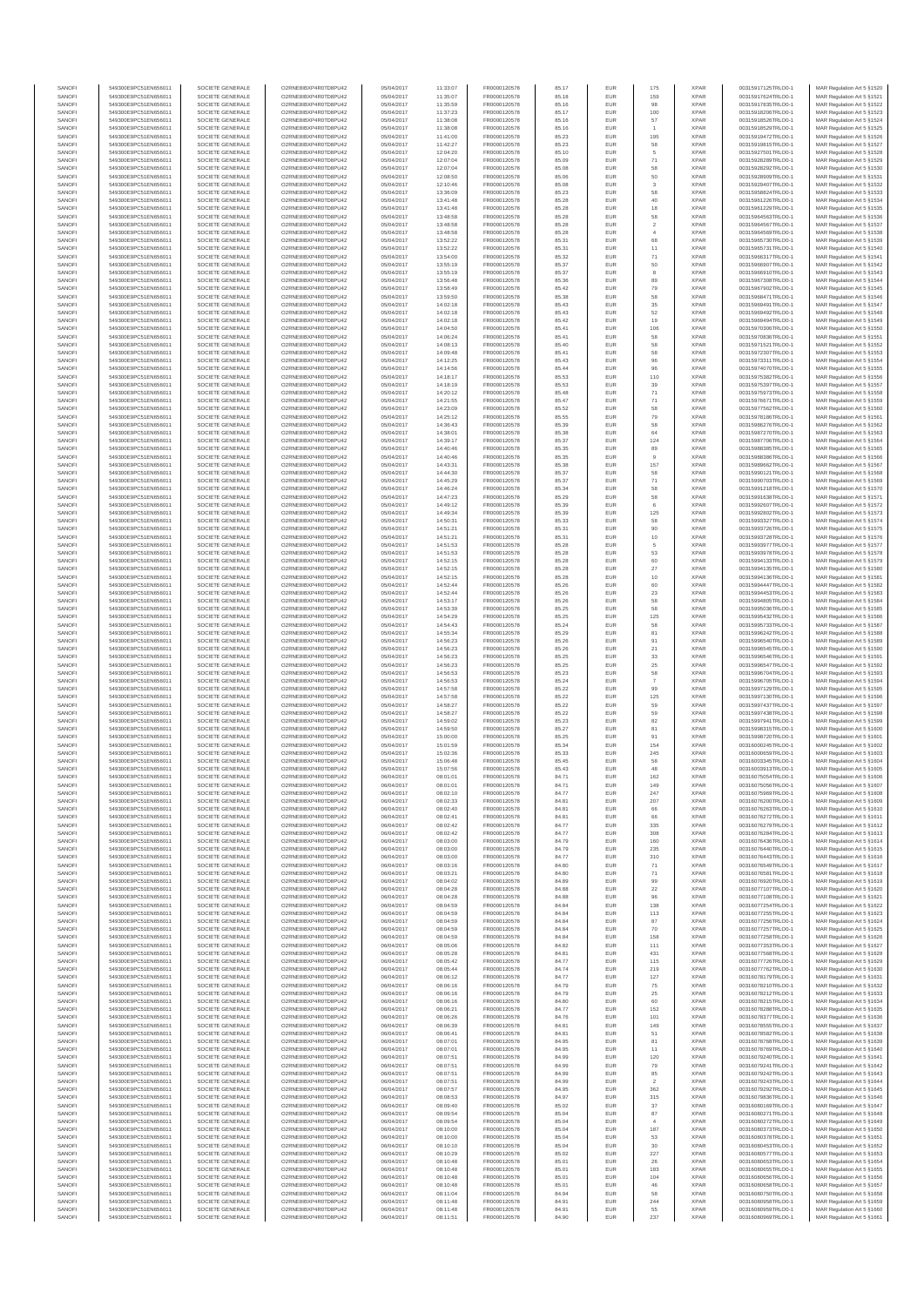| SANOF            | 549300E9PC51EN656011                         | SOCIETE GENERALE                     | O2RNE8IBXP4R0TD8PU42                         | 05/04/2017               | 11:33:07             | FR0000120578                 | 85.17          | EUR               | 175                 | <b>XPAR</b>                | 00315917125TRLO0-1                       | MAR Regulation Art 5 §1520                                |
|------------------|----------------------------------------------|--------------------------------------|----------------------------------------------|--------------------------|----------------------|------------------------------|----------------|-------------------|---------------------|----------------------------|------------------------------------------|-----------------------------------------------------------|
| SANOFI           | 549300E9PC51EN656011                         | SOCIETE GENERALE<br>SOCIETE GENERALE | O2RNE8IBXP4R0TD8PU42                         | 05/04/2017               | 11:35:07             | FR0000120578                 | 85.18          | EUR               | 159                 | <b>XPAR</b><br><b>XPAR</b> | 00315917624TRLO0-1                       | MAR Regulation Art 5 §1521                                |
| SANOFI<br>SANOFI | 549300E9PC51EN656011<br>549300E9PC51EN656011 | SOCIETE GENERALE                     | O2RNE8IBXP4R0TD8PU42<br>O2RNE8IBXP4R0TD8PU42 | 05/04/2017<br>05/04/2017 | 11:35:59<br>11:37:23 | FR0000120578<br>FR0000120578 | 85.16<br>85.17 | EUR<br>EUR        | 98<br>100           | <b>XPAR</b>                | 00315917835TRLO0-1<br>00315918206TRLO0-1 | MAR Regulation Art 5 §1522<br>MAR Regulation Art 5 §1523  |
| SANOFI           | 549300E9PC51EN656011                         | SOCIETE GENERALE                     | O2RNE8IBXP4R0TD8PU42                         | 05/04/2017               | 11:38:08             | FR0000120578                 | 85.16          | EUR               | 57                  | <b>XPAR</b>                | 00315918526TRLO0-1                       | MAR Regulation Art 5 §1524                                |
| SANOFI           | 549300E9PC51EN656011                         | SOCIETE GENERALE                     | O2RNE8IBXP4R0TD8PU42                         | 05/04/2017               | 11:38:08             | FR0000120578                 | 85.16          | EUR               |                     | <b>XPAR</b>                | 00315918529TRLO0-1                       | MAR Regulation Art 5 §1525                                |
| SANOFI<br>SANOFI | 549300E9PC51EN656011<br>549300E9PC51EN656011 | SOCIETE GENERALE<br>SOCIETE GENERALE | O2RNE8IBXP4R0TD8PU42<br>O2RNE8IBXP4R0TD8PU42 | 05/04/2017<br>05/04/2017 | 11:41:00<br>11:42:27 | FR0000120578<br>FR0000120578 | 85.23<br>85.23 | EUR<br>EUR        | 195<br>58           | <b>XPAR</b><br><b>XPAR</b> | 00315919472TRLO0-1<br>00315919815TRLO0-1 | MAR Regulation Art 5 §1526<br>MAR Regulation Art 5 §1527  |
| SANOFI           | 549300E9PC51EN656011                         | SOCIETE GENERALE                     | O2RNE8IBXP4R0TD8PU42                         | 05/04/2017               | 12:04:20             | FR0000120578                 | 85.10          | EUR               | 5                   | <b>XPAR</b>                | 00315927501TRLO0-1                       | MAR Regulation Art 5 §1528                                |
| SANOFI           | 549300E9PC51EN656011                         | SOCIETE GENERALE                     | O2RNE8IBXP4R0TD8PU42                         | 05/04/2017               | 12:07:04             | FR0000120578                 | 85.09          | EUR               | $71\,$              | <b>XPAR</b>                | 00315928289TRLO0-1                       | MAR Regulation Art 5 §1529                                |
| SANOFI<br>SANOFI | 549300E9PC51EN656011<br>549300E9PC51EN656011 | SOCIETE GENERALE<br>SOCIETE GENERALE | O2RNE8IBXP4R0TD8PU42<br>O2RNE8IBXP4R0TD8PU42 | 05/04/2017<br>05/04/2017 | 12:07:04<br>12:08:50 | FR0000120578<br>FR0000120578 | 85.08<br>85.06 | EUR<br>EUR        | 58<br>50            | <b>XPAR</b><br><b>XPAR</b> | 00315928292TRLO0-1<br>00315928909TRLO0-1 | MAR Regulation Art 5 §1530<br>MAR Regulation Art 5 §1531  |
| SANOFI           | 549300E9PC51EN656011                         | SOCIETE GENERALE                     | O2RNE8IBXP4R0TD8PLI42                        | 05/04/2017               | 12:10:46             | FR0000120578                 | 85.08          | EUR               | 3                   | <b>XPAR</b>                | 00315929407TRLO0-1                       | MAR Regulation Art 5 §1532                                |
| SANOFI           | 549300E9PC51EN656011                         | SOCIETE GENERALE                     | O2RNE8IBXP4R0TD8PU42                         | 05/04/2017               | 13:36:09             | FR0000120578                 | 85.23          | EUR               | 58                  | <b>XPAR</b>                | 00315958824TRLO0-1                       | MAR Regulation Art 5 §1533                                |
| SANOFI           | 549300E9PC51EN656011                         | SOCIETE GENERALE                     | O2RNE8IBXP4R0TD8PU42                         | 05/04/2017               | 13:41:48             | FR0000120578                 | 85.28          | EUR               | 40                  | <b>XPAR</b>                | 00315961226TRLO0-1                       | MAR Regulation Art 5 §1534                                |
| SANOFI<br>SANOFI | 549300E9PC51EN656011<br>549300E9PC51EN656011 | SOCIETE GENERALE<br>SOCIETE GENERALE | O2RNE8IBXP4R0TD8PU42<br>O2RNE8IBXP4R0TD8PU42 | 05/04/2017<br>05/04/2017 | 13:41:48<br>13:48:58 | FR0000120578<br>FR0000120578 | 85.28<br>85.28 | EUR<br>EUR        | 18<br>58            | <b>XPAR</b><br><b>XPAR</b> | 00315961229TRLO0-1<br>00315964563TRLO0-1 | MAR Regulation Art 5 §1535<br>MAR Regulation Art 5 §1536  |
| SANOFI           | 549300E9PC51EN656011                         | SOCIETE GENERALE                     | O2RNE8IBXP4R0TD8PU42                         | 05/04/2017               | 13:48:58             | FR0000120578                 | 85.28          | EUR               | $\sqrt{2}$          | <b>XPAR</b>                | 00315964567TRLO0-1                       | MAR Regulation Art 5 §1537                                |
| SANOFI           | 549300E9PC51EN656011                         | SOCIETE GENERALE                     | O2RNE8IBXP4R0TD8PU42                         | 05/04/2017               | 13:48:58             | FR0000120578                 | 85.28          | EUR               |                     | <b>XPAR</b>                | 00315964569TRLO0-1                       | MAR Regulation Art 5 §1538                                |
| SANOFI           | 549300E9PC51EN656011                         | SOCIETE GENERALE                     | O2RNE8IBXP4R0TD8PU42                         | 05/04/2017               | 13:52:22             | FR0000120578                 | 85.31          | EUR               | 68                  | <b>XPAR</b>                | 00315965730TRLO0-1                       | MAR Regulation Art 5 §1539                                |
| SANOFI<br>SANOFI | 549300E9PC51EN656011<br>549300E9PC51EN656011 | SOCIETE GENERALE<br>SOCIETE GENERALE | O2RNE8IBXP4R0TD8PU42<br>O2RNE8IBXP4R0TD8PU42 | 05/04/2017<br>05/04/2017 | 13:52:22<br>13:54:00 | FR0000120578<br>FR0000120578 | 85.31<br>85.32 | EUR<br>EUR        | 11<br>71            | <b>XPAR</b><br><b>XPAR</b> | 00315965731TRLO0-1<br>00315966317TRLO0-1 | MAR Regulation Art 5 §1540<br>MAR Regulation Art 5 \$1541 |
| SANOFI           | 549300E9PC51EN656011                         | SOCIETE GENERALE                     | O2RNE8IBXP4R0TD8PU42                         | 05/04/2017               | 13:55:19             | FR0000120578                 | 85.37          | EUR               | 50                  | <b>XPAR</b>                | 00315966907TRLO0-1                       | MAR Regulation Art 5 §1542                                |
| SANOFI           | 549300E9PC51EN656011                         | SOCIETE GENERALE                     | O2RNE8IBXP4R0TD8PU42                         | 05/04/2017               | 13:55:19             | FR0000120578                 | 85.37          | EUR               | 8                   | <b>XPAR</b>                | 00315966910TRLO0-1                       | MAR Regulation Art 5 §1543                                |
| SANOFI<br>SANOFI | 549300E9PC51EN656011<br>549300E9PC51EN656011 | SOCIETE GENERALE<br>SOCIETE GENERALE | O2RNE8IBXP4R0TD8PU42<br>O2RNE8IBXP4R0TD8PU42 | 05/04/2017<br>05/04/2017 | 13:56:48<br>13:58:49 | FR0000120578<br>FR0000120578 | 85.36<br>85.42 | EUR<br>EUR        | 89<br>79            | <b>XPAR</b><br><b>XPAR</b> | 00315967308TRLO0-1<br>00315967902TRLO0-1 | MAR Regulation Art 5 §1544<br>MAR Regulation Art 5 §1545  |
| SANOFI           | 549300E9PC51EN656011                         | SOCIETE GENERALE                     | O2RNE8IBXP4R0TD8PU42                         | 05/04/2017               | 13:59:50             | FR0000120578                 | 85.38          | EUR               | 58                  | <b>XPAR</b>                | 00315968471TRLO0-1                       | MAR Regulation Art 5 §1546                                |
| SANOFI           | 549300E9PC51EN656011                         | SOCIETE GENERALE                     | O2RNE8IBXP4R0TD8PU42                         | 05/04/2017               | 14:02:18             | FR0000120578                 | 85.43          | EUR               | 35                  | <b>XPAR</b>                | 00315969491TRLO0-1                       | MAR Regulation Art 5 §1547                                |
| SANOFI           | 549300E9PC51EN656011                         | SOCIETE GENERALE                     | O2RNE8IBXP4R0TD8PU42                         | 05/04/2017               | 14:02:18             | FR0000120578                 | 85.43          | EUR               | 52                  | <b>XPAR</b>                | 00315969492TRLO0-1                       | MAR Regulation Art 5 §1548                                |
| SANOFI<br>SANOFI | 549300E9PC51EN656011<br>549300E9PC51EN656011 | SOCIETE GENERALE<br>SOCIETE GENERALE | O2RNE8IBXP4R0TD8PU42<br>O2RNE8IBXP4R0TD8PU42 | 05/04/2017<br>05/04/2017 | 14:02:18<br>14:04:50 | FR0000120578<br>FR0000120578 | 85.42<br>85.41 | EUR<br>EUR        | 19<br>106           | <b>XPAR</b><br><b>XPAR</b> | 00315969494TRLO0-1<br>00315970306TRLO0-1 | MAR Regulation Art 5 §1549<br>MAR Regulation Art 5 §1550  |
| SANOFI           | 549300E9PC51EN656011                         | SOCIETE GENERALE                     | O2RNE8IBXP4R0TD8PU42                         | 05/04/2017               | 14:06:24             | FR0000120578                 | 85.41          | EUR               | 58                  | <b>XPAR</b>                | 00315970836TRLO0-1                       | MAR Regulation Art 5 §1551                                |
| SANOFI           | 549300E9PC51EN656011                         | SOCIETE GENERALE                     | O2RNE8IBXP4R0TD8PU42                         | 05/04/2017               | 14:08:13             | FR0000120578                 | 85.40          | EUR               | 58                  | <b>XPAR</b>                | 00315971521TRLO0-1                       | MAR Regulation Art 5 §1552                                |
| SANOFI<br>SANOFI | 549300E9PC51EN656011<br>549300E9PC51EN656011 | SOCIETE GENERALE<br>SOCIETE GENERALE | O2RNE8IBXP4R0TD8PU42<br>O2RNE8IBXP4R0TD8PU42 | 05/04/2017<br>05/04/2017 | 14:09:48<br>14:12:25 | FR0000120578<br>FR0000120578 | 85.41<br>85.43 | EUR<br>EUR        | 58                  | <b>XPAR</b><br><b>XPAR</b> | 00315972307TRLO0-1<br>00315973311TRLO0-1 | MAR Regulation Art 5 §1553                                |
| SANOFI           | 549300E9PC51EN656011                         | SOCIETE GENERALE                     | O2RNE8IBXP4R0TD8PU42                         | 05/04/2017               | 14:14:56             | FR0000120578                 | 85.44          | EUR               | 96<br>96            | <b>XPAR</b>                | 00315974070TRLO0-1                       | MAR Regulation Art 5 §1554<br>MAR Regulation Art 5 §1555  |
| SANOFI           | 549300E9PC51EN656011                         | SOCIETE GENERALE                     | O2RNE8IBXP4R0TD8PU42                         | 05/04/2017               | 14:18:17             | FR0000120578                 | 85.53          | EUR               | 110                 | <b>XPAR</b>                | 00315975382TRLO0-1                       | MAR Regulation Art 5 §1556                                |
| SANOFI           | 549300E9PC51EN656011                         | SOCIETE GENERALE                     | O2RNE8IBXP4R0TD8PU42                         | 05/04/2017               | 14:18:19             | FR0000120578                 | 85.53          | EUR               | 39                  | <b>XPAR</b>                | 00315975397TRLO0-1                       | MAR Regulation Art 5 §1557                                |
| SANOFI<br>SANOFI | 549300E9PC51EN656011<br>549300E9PC51EN656011 | SOCIETE GENERALE<br>SOCIETE GENERALE | O2RNE8IBXP4R0TD8PU42<br>O2RNE8IBXP4R0TD8PU42 | 05/04/2017<br>05/04/2017 | 14:20:12<br>14:21:55 | FR0000120578<br>FR0000120578 | 85.48<br>85.47 | EUR<br>EUR        | $71\,$<br>$71\,$    | <b>XPAR</b><br><b>XPAR</b> | 00315975973TRLO0-1<br>00315976671TRLO0-1 | MAR Regulation Art 5 §1558<br>MAR Regulation Art 5 §1559  |
| SANOFI           | 549300E9PC51EN656011                         | SOCIETE GENERALE                     | O2RNE8IBXP4R0TD8PU42                         | 05/04/2017               | 14:23:09             | FR0000120578                 | 85.52          | EUR               | 58                  | <b>XPAR</b>                | 00315977562TRLO0-1                       | MAR Regulation Art 5 §1560                                |
| SANOFI           | 549300E9PC51EN656011                         | SOCIETE GENERALE                     | O2RNE8IBXP4R0TD8PU42                         | 05/04/2017               | 14:25:12             | FR0000120578                 | 85.55          | EUR               | 79                  | <b>XPAR</b>                | 00315978186TRLO0-1                       | MAR Regulation Art 5 §1561                                |
| SANOFI           | 549300E9PC51EN656011                         | SOCIETE GENERALE                     | O2RNE8IBXP4R0TD8PU42                         | 05/04/2017               | 14:36:43             | FR0000120578                 | 85.39          | EUR               | 58                  | <b>XPAR</b>                | 00315986276TRLO0-1                       | MAR Regulation Art 5 §1562                                |
| SANOFI<br>SANOFI | 549300E9PC51EN656011<br>549300E9PC51EN656011 | SOCIETE GENERALE<br>SOCIETE GENERALE | O2RNE8IBXP4R0TD8PU42<br>O2RNE8IBXP4R0TD8PU42 | 05/04/2017<br>05/04/2017 | 14:38:01<br>14:39:17 | FR0000120578<br>FR0000120578 | 85.38<br>85.37 | EUR<br>EUR        | 64<br>124           | <b>XPAR</b><br><b>XPAR</b> | 00315987270TRLO0-1<br>00315987706TRLO0-1 | MAR Regulation Art 5 §1563<br>MAR Regulation Art 5 §1564  |
| SANOFI           | 549300E9PC51EN656011                         | SOCIETE GENERALE                     | O2RNE8IBXP4R0TD8PU42                         | 05/04/2017               | 14:40:46             | FR0000120578                 | 85.35          | EUR               | 89                  | <b>XPAR</b>                | 00315988385TRLO0-1                       | MAR Regulation Art 5 §1565                                |
| SANOFI           | 549300E9PC51EN656011                         | SOCIETE GENERALE                     | O2RNE8IBXP4R0TD8PU42                         | 05/04/2017               | 14:40:46             | FR0000120578                 | 85.35          | EUR               | $\overline{9}$      | <b>XPAR</b>                | 00315988386TRLO0-1                       | MAR Regulation Art 5 §1566                                |
| SANOFI<br>SANOFI | 549300E9PC51EN656011<br>549300E9PC51EN656011 | SOCIETE GENERALE<br>SOCIETE GENERALE | O2RNE8IBXP4R0TD8PU42<br>O2RNE8IBXP4R0TD8PU42 | 05/04/2017<br>05/04/2017 | 14:43:31<br>14:44:30 | FR0000120578<br>FR0000120578 | 85.38          | EUR<br>EUR        | 157<br>58           | <b>XPAR</b><br><b>XPAR</b> | 00315989662TRLO0-1<br>00315990121TRLO0-1 | MAR Regulation Art 5 §1567                                |
| SANOFI           | 549300E9PC51EN656011                         | SOCIETE GENERALE                     | O2RNE8IBXP4R0TD8PU42                         | 05/04/2017               | 14:45:29             | FR0000120578                 | 85.37<br>85.37 | EUR               | $71\,$              | <b>XPAR</b>                | 00315990703TRLO0-1                       | MAR Regulation Art 5 §1568<br>MAR Regulation Art 5 §1569  |
| SANOFI           | 549300E9PC51EN656011                         | SOCIETE GENERALE                     | O2RNE8IBXP4R0TD8PU42                         | 05/04/2017               | 14:46:24             | FR0000120578                 | 85.34          | EUR               | 58                  | <b>XPAR</b>                | 00315991218TRLO0-1                       | MAR Regulation Art 5 §1570                                |
| SANOFI           | 549300E9PC51EN656011                         | SOCIETE GENERALE                     | O2RNE8IBXP4R0TD8PU42                         | 05/04/2017               | 14:47:23             | FR0000120578                 | 85.29          | EUR               | 58                  | <b>XPAR</b>                | 00315991638TRLO0-1                       | MAR Regulation Art 5 §1571                                |
| SANOFI           | 549300E9PC51EN656011                         | SOCIETE GENERALE                     | O2RNE8IBXP4R0TD8PU42                         | 05/04/2017               | 14:49:12             | FR0000120578                 | 85.39          | EUR               | 125                 | <b>XPAR</b><br><b>XPAR</b> | 00315992607TRLO0-1                       | MAR Regulation Art 5 §1572<br>MAR Regulation Art 5 §1573  |
| SANOFI<br>SANOFI | 549300E9PC51EN656011<br>549300E9PC51EN656011 | SOCIETE GENERALE<br>SOCIETE GENERALE | O2RNE8IBXP4R0TD8PU42<br>O2RNE8IBXP4R0TD8PU42 | 05/04/2017<br>05/04/2017 | 14:49:34<br>14:50:31 | FR0000120578<br>FR0000120578 | 85.39<br>85.33 | EUR<br>EUR        | 58                  | <b>XPAR</b>                | 00315992802TRLO0-1<br>00315993327TRLO0-1 | MAR Regulation Art 5 §1574                                |
| SANOFI           | 549300E9PC51EN656011                         | SOCIETE GENERALE                     | O2RNE8IBXP4R0TD8PU42                         | 05/04/2017               | 14:51:21             | FR0000120578                 | 85.31          | EUR               | 90                  | <b>XPAR</b>                | 00315993726TRLO0-1                       | MAR Regulation Art 5 §1575                                |
| SANOFI           | 549300E9PC51EN656011                         | SOCIETE GENERALE                     | O2RNE8IBXP4R0TD8PU42                         | 05/04/2017               | 14:51:21             | FR0000120578                 | 85.31          | EUR               | 10                  | <b>XPAR</b>                | 00315993728TRLO0-1                       | MAR Regulation Art 5 §1576                                |
| SANOFI<br>SANOFI | 549300E9PC51EN656011<br>549300E9PC51EN656011 | SOCIETE GENERALE<br>SOCIETE GENERALE | O2RNE8IBXP4R0TD8PU42<br>O2RNE8IBXP4R0TD8PU42 | 05/04/2017<br>05/04/2017 | 14:51:53<br>14:51:53 | FR0000120578<br>FR0000120578 | 85.28<br>85.28 | EUR<br>EUR        | 5<br>53             | <b>XPAR</b><br><b>XPAR</b> | 00315993977TRLO0-1<br>00315993978TRLO0-1 | MAR Regulation Art 5 §1577<br>MAR Regulation Art 5 §1578  |
| SANOFI           | 549300E9PC51EN656011                         | SOCIETE GENERALE                     | O2RNE8IBXP4R0TD8PU42                         | 05/04/2017               | 14:52:15             | FR0000120578                 | 85.28          | EUR               | 60                  | <b>XPAR</b>                | 00315994133TRLO0-1                       | MAR Regulation Art 5 §1579                                |
| SANOFI           | 549300E9PC51EN656011                         | SOCIETE GENERALE                     | O2RNE8IBXP4R0TD8PU42                         | 05/04/2017               | 14:52:15             | FR0000120578                 | 85.28          | EUR               | $27\,$              | <b>XPAR</b>                | 00315994135TRLO0-1                       | MAR Regulation Art 5 §1580                                |
| SANOFI           | 549300E9PC51EN656011                         | SOCIETE GENERALE                     | O2RNE8IBXP4R0TD8PU42                         | 05/04/2017               | 14:52:15             | FR0000120578                 | 85.28          | EUR               | $10$                | <b>XPAR</b>                | 00315994136TRLO0-1                       | MAR Regulation Art 5 §1581                                |
| SANOFI<br>SANOFI | 549300E9PC51EN656011<br>549300E9PC51EN656011 | SOCIETE GENERALE<br>SOCIETE GENERALE | O2RNE8IBXP4R0TD8PU42<br>O2RNE8IBXP4R0TD8PU42 | 05/04/2017<br>05/04/2017 | 14:52:44<br>14:52:44 | FR0000120578<br>FR0000120578 | 85.26<br>85.26 | EUR<br>EUR        | 60<br>$23\,$        | <b>XPAR</b><br><b>XPAR</b> | 00315994447TRLO0-1<br>00315994453TRLO0-1 | MAR Regulation Art 5 §1582<br>MAR Regulation Art 5 §1583  |
| SANOFI           | 549300E9PC51EN656011                         | SOCIETE GENERALE                     | O2RNE8IBXP4R0TD8PU42                         | 05/04/2017               | 14:53:17             | FR0000120578                 | 85.26          | EUR               | 58                  | <b>XPAR</b>                | 00315994805TRLO0-1                       | MAR Regulation Art 5 §1584                                |
| SANOFI           | 549300E9PC51EN656011                         | SOCIETE GENERALE                     | O2RNE8IBXP4R0TD8PU42                         | 05/04/2017               | 14:53:39             | FR0000120578                 | 85.25          | EUR               | 58                  | <b>XPAR</b>                | 00315995036TRLO0-1                       | MAR Regulation Art 5 §1585                                |
| SANOFI<br>SANOFI | 549300E9PC51EN656011<br>549300E9PC51EN656011 | SOCIETE GENERALE<br>SOCIETE GENERALE | O2RNE8IBXP4R0TD8PU42<br>O2RNE8IBXP4R0TD8PU42 | 05/04/2017<br>05/04/2017 | 14:54:29<br>14:54:43 | FR0000120578                 | 85.25          | EUR<br>EUR        | 125<br>58           | <b>XPAR</b><br><b>XPAR</b> | 00315995432TRLO0-1                       | MAR Regulation Art 5 §1586                                |
| SANOFI           | 549300E9PC51EN656011                         | SOCIETE GENERALE                     | O2RNE8IBXP4R0TD8PU42                         | 05/04/2017               | 14:55:34             | FR0000120578<br>FR0000120578 | 85.24<br>85.29 | EUR               | 81                  | <b>XPAR</b>                | 00315995733TRLO0-1<br>00315996242TRLO0-1 | MAR Regulation Art 5 §1587<br>MAR Regulation Art 5 §1588  |
| SANOFI           | 549300E9PC51EN656011                         | SOCIETE GENERALE                     | O2RNE8IBXP4R0TD8PU42                         | 05/04/2017               | 14:56:23             | FR0000120578                 | 85.26          | EUR               | 91                  | <b>XPAR</b>                | 00315996540TRLO0-1                       | MAR Regulation Art 5 §1589                                |
| SANOFI           | 549300E9PC51EN656011                         | SOCIETE GENERALE                     | O2RNE8IBXP4R0TD8PU42                         | 05/04/2017               | 14:56:23             | FR0000120578                 | 85.26          | EUR               | 21                  | <b>XPAR</b>                | 00315996545TRLO0-1                       | MAR Regulation Art 5 §1590                                |
| SANOFI<br>SANOFI | 549300E9PC51EN656011<br>549300E9PC51EN656011 | SOCIETE GENERALE<br>SOCIETE GENERALE | O2RNE8IBXP4R0TD8PU42<br>O2RNE8IBXP4R0TD8PU42 | 05/04/2017<br>05/04/2017 | 14:56:23<br>14:56:23 | FR0000120578<br>FR0000120578 | 85.25<br>85.25 | EUR<br>EUR        | 33<br>25            | <b>XPAR</b><br><b>XPAR</b> | 00315996546TRLO0-1<br>00315996547TRLO0-1 | MAR Regulation Art 5 §1591<br>MAR Regulation Art 5 §1592  |
| SANOFI           | 549300E9PC51EN656011                         | SOCIETE GENERALE                     | O2RNE8IBXP4R0TD8PU42                         | 05/04/2017               | 14:56:53             | FR0000120578                 | 85.23          | EUR               | 58                  | <b>XPAR</b>                | 00315996704TRLO0-1                       | MAR Regulation Art 5 §1593                                |
| SANOFI           | 549300E9PC51EN656011                         | SOCIETE GENERALE                     | O2RNE8IBXP4R0TD8PU42                         | 05/04/2017               | 14:56:53             | FR0000120578                 | 85.24          | EUR               | $\boldsymbol{7}$    | <b>XPAR</b>                | 00315996705TRLO0-1                       | MAR Regulation Art 5 §1594                                |
| SANOFI<br>SANOFI | 549300E9PC51EN656011<br>549300E9PC51EN656011 | SOCIETE GENERALE<br>SOCIETE GENERALE | O2RNE8IBXP4R0TD8PU42<br>O2RNE8IBXP4R0TD8PU42 | 05/04/2017               | 14:57:58<br>14:57:58 | FR0000120578                 | 85.22          | EUR               | 99                  | <b>XPAR</b><br><b>XPAR</b> | 00315997129TRLO0-1<br>00315997130TRLO0-1 | MAR Regulation Art 5 §1595                                |
| SANOFI           | 549300E9PC51EN656011                         | SOCIETE GENERALE                     | O2RNE8IBXP4R0TD8PU42                         | 05/04/2017<br>05/04/2017 | 14:58:27             | FR0000120578<br>FR0000120578 | 85.22<br>85.22 | EUR<br>EUR        | 125<br>59           | <b>XPAR</b>                | 00315997437TRLO0-1                       | MAR Regulation Art 5 §1596<br>MAR Regulation Art 5 §1597  |
| SANOFI           | 549300E9PC51EN656011                         | SOCIETE GENERALE                     | O2RNE8IBXP4R0TD8PU42                         | 05/04/2017               | 14:58:27             | FR0000120578                 | 85.22          | EUR               | 59                  | <b>XPAR</b>                | 00315997438TRLO0-1                       | MAR Regulation Art 5 §1598                                |
| SANOFI           | 549300E9PC51EN656011                         | SOCIETE GENERALE                     | O2RNE8IBXP4R0TD8PU42                         | 05/04/2017               | 14:59:02             | FR0000120578                 | 85.23          | EUR               | 82                  | <b>XPAR</b>                | 00315997941TRLO0-1                       | MAR Regulation Art 5 §1599                                |
| SANOFI<br>SANOFI | 549300E9PC51EN656011<br>549300E9PC51EN656011 | SOCIETE GENERALE<br>SOCIETE GENERALE | O2RNE8IBXP4R0TD8PU42<br>O2RNE8IBXP4R0TD8PU42 | 05/04/2017<br>05/04/2017 | 14:59:50             | FR0000120578                 | 85.27          | EUR<br>EUR        | 81                  | <b>XPAR</b><br><b>XPAR</b> | 00315998315TRLO0-1<br>00315998720TRLO0-1 | MAR Regulation Art 5 §1600<br>MAR Regulation Art 5 §1601  |
| SANOFI           | 549300E9PC51EN656011                         | SOCIETE GENERALE                     | O2RNE8IBXP4R0TD8PU42                         | 05/04/2017               | 15:00:00<br>15:01:59 | FR0000120578<br>FR0000120578 | 85.25<br>85.34 | EUR               | 91<br>154           | <b>XPAR</b>                | 00316000245TRLO0-1                       | MAR Regulation Art 5 §1602                                |
| SANOFI           | 549300E9PC51EN656011                         | SOCIETE GENERALE                     | O2RNE8IBXP4R0TD8PU42                         | 05/04/2017               | 15:02:36             | FR0000120578                 | 85.33          | EUR               | 245                 | <b>XPAR</b>                | 00316000659TRLO0-1                       | MAR Regulation Art 5 §1603                                |
| SANOFI           | 549300E9PC51EN656011                         | SOCIETE GENERALE                     | O2RNE8IBXP4R0TD8PU42                         | 05/04/2017               | 15:06:48             | FR0000120578                 | 85.45          | EUR               | 58<br>48            | <b>XPAR</b>                | 00316003345TRLO0-1                       | MAR Regulation Art 5 §1604                                |
| SANOFI<br>SANOFI | 549300E9PC51EN656011<br>549300E9PC51EN656011 | SOCIETE GENERALE<br>SOCIETE GENERALE | O2RNE8IBXP4R0TD8PU42<br>O2RNE8IBXP4R0TD8PU42 | 05/04/2017<br>06/04/2017 | 15:07:56<br>08:01:01 | FR0000120578<br>FR0000120578 | 85.43<br>84.71 | <b>EUR</b><br>EUR | 162                 | <b>XPAR</b><br><b>XPAR</b> | 00316003913TRLO0-1<br>00316075054TRLO0-1 | MAR Regulation Art 5 §1605<br>MAR Regulation Art 5 §1606  |
| SANOFI           | 549300E9PC51EN656011                         | SOCIETE GENERALE                     | O2RNE8IBXP4R0TD8PLI42                        | 06/04/2017               | 08:01:01             | FR0000120578                 | 84.71          | EUR               | 149                 | <b>XPAR</b>                | 00316075056TRLO0-1                       | MAR Regulation Art 5 §1607                                |
| SANOFI           | 549300E9PC51EN656011                         | SOCIETE GENERALE                     | O2RNE8IBXP4R0TD8PU42                         | 06/04/2017               | 08:02:10             | FR0000120578                 | 84.77          | EUR               | 247                 | <b>XPAR</b>                | 00316075969TRLO0-1                       | MAR Regulation Art 5 §1608                                |
| SANOFI           | 549300E9PC51EN656011                         | SOCIETE GENERALE                     | O2RNE8IBXP4R0TD8PU42                         | 06/04/2017               | 08:02:33             | FR0000120578                 | 84.81          | EUR               | 207                 | <b>XPAR</b>                | 00316076200TRLO0-1                       | MAR Regulation Art 5 §1609                                |
| SANOFI<br>SANOFI | 549300E9PC51EN656011<br>549300E9PC51EN656011 | SOCIETE GENERALE<br>SOCIETE GENERALE | O2RNE8IBXP4R0TD8PU42<br>O2RNE8IBXP4R0TD8PU42 | 06/04/2017<br>06/04/2017 | 08:02:40<br>08:02:41 | FR0000120578<br>FR0000120578 | 84.81<br>84.81 | EUR<br>EUR        | 66<br>66            | <b>XPAR</b><br><b>XPAR</b> | 00316076263TRLO0-1<br>00316076272TRLO0-1 | MAR Regulation Art 5 §1610<br>MAR Regulation Art 5 §1611  |
| SANOFI           | 549300E9PC51EN656011                         | SOCIETE GENERALE                     | O2RNE8IBXP4R0TD8PU42                         | 06/04/2017               | 08:02:42             | FR0000120578                 | 84.77          | EUR               | 335                 | <b>XPAR</b>                | 00316076279TRLO0-1                       | MAR Regulation Art 5 §1612                                |
| SANOFI           | 549300E9PC51EN656011                         | SOCIETE GENERALE                     | O2RNE8IBXP4R0TD8PU42                         | 06/04/2017               | 08:02:42             | FR0000120578                 | 84.77          | EUR               | 308                 | <b>XPAR</b>                | 00316076284TRLO0-1                       | MAR Regulation Art 5 §1613                                |
| SANOFI<br>SANOFI | 549300E9PC51EN656011<br>549300E9PC51EN656011 | SOCIETE GENERALE<br>SOCIETE GENERALE | O2RNE8IBXP4R0TD8PU42<br>O2RNE8IBXP4R0TD8PU42 | 06/04/2017<br>06/04/2017 | 08:03:00<br>08:03:00 | FR0000120578<br>FR0000120578 | 84.79<br>84.79 | EUR<br>EUR        | 160<br>235          | <b>XPAR</b><br><b>XPAR</b> | 00316076436TRLO0-1<br>00316076440TRLO0-1 | MAR Regulation Art 5 §1614<br>MAR Regulation Art 5 §1615  |
| SANOFI           | 549300E9PC51EN656011                         | SOCIETE GENERALE                     | O2RNE8IBXP4R0TD8PU42                         | 06/04/2017               | 08:03:00             | FR0000120578                 | 84.77          | EUR               | 310                 | <b>XPAR</b>                | 00316076443TRLO0-1                       | MAR Regulation Art 5 §1616                                |
| SANOFI           | 549300E9PC51EN656011                         | SOCIETE GENERALE                     | O2RNE8IBXP4R0TD8PU42                         | 06/04/2017               | 08:03:16             | FR0000120578                 | 84.80          | EUR               | $71\,$              | <b>XPAR</b>                | 00316076549TRLO0-1                       | MAR Regulation Art 5 §1617                                |
| SANOFI<br>SANOFI | 549300E9PC51EN656011<br>549300E9PC51EN656011 | SOCIETE GENERALE<br>SOCIETE GENERALE | O2RNE8IBXP4R0TD8PU42<br>O2RNE8IBXP4R0TD8PU42 | 06/04/2017<br>06/04/2017 | 08:03:21<br>08:04:02 | FR0000120578<br>FR0000120578 | 84.80<br>84.89 | EUR<br><b>EUR</b> | 71<br>99            | <b>XPAR</b><br><b>XPAR</b> | 00316076581TRLO0-1<br>00316076920TRLO0-1 | MAR Regulation Art 5 §1618<br>MAR Regulation Art 5 §1619  |
| SANOFI           | 549300E9PC51EN656011                         | SOCIETE GENERALE                     | O2RNE8IBXP4R0TD8PU42                         | 06/04/2017               | 08:04:28             | FR0000120578                 | 84.88          | EUR               | 22                  | <b>XPAR</b>                | 00316077107TRLO0-1                       | MAR Regulation Art 5 §1620                                |
| SANOFI           | 549300E9PC51EN656011                         | SOCIETE GENERALE                     | O2RNE8IBXP4R0TD8PU42                         | 06/04/2017               | 08:04:28             | FR0000120578                 | 84.88          | EUR               | 96                  | <b>XPAR</b>                | 00316077108TRLO0-1                       | MAR Regulation Art 5 §1621                                |
| SANOFI<br>SANOFI | 549300E9PC51EN656011<br>549300E9PC51EN656011 | SOCIETE GENERALE<br>SOCIETE GENERALE | O2RNE8IBXP4R0TD8PU42<br>O2RNE8IBXP4R0TD8PU42 | 06/04/2017<br>06/04/2017 | 08:04:59<br>08:04:59 | FR0000120578<br>FR0000120578 | 84.84<br>84.84 | EUR<br>EUR        | 138<br>113          | <b>XPAR</b><br><b>XPAR</b> | 00316077254TRLO0-1<br>00316077255TRLO0-1 | MAR Regulation Art 5 §1622<br>MAR Regulation Art 5 §1623  |
| SANOFI           | 549300E9PC51EN656011                         | SOCIETE GENERALE                     | O2RNE8IBXP4R0TD8PU42                         | 06/04/2017               | 08:04:59             | FR0000120578                 | 84.84          | EUR               | 87                  | <b>XPAR</b>                | 00316077256TRLO0-1                       | MAR Regulation Art 5 §1624                                |
| SANOFI           | 549300E9PC51EN656011                         | SOCIETE GENERALE                     | O2RNE8IBXP4R0TD8PU42                         | 06/04/2017               | 08:04:59             | FR0000120578                 | 84.84          | EUR               | 70                  | <b>XPAR</b>                | 00316077257TRLO0-1                       | MAR Regulation Art 5 §1625                                |
| SANOFI<br>SANOFI | 549300E9PC51EN656011<br>549300E9PC51EN656011 | SOCIETE GENERALE<br>SOCIETE GENERALE | O2RNE8IBXP4R0TD8PU42<br>O2RNE8IBXP4R0TD8PU42 | 06/04/2017<br>06/04/2017 | 08:04:59<br>08:05:06 | FR0000120578<br>FR0000120578 | 84.84<br>84.82 | EUR<br>EUR        | 158<br>111          | <b>XPAR</b><br><b>XPAR</b> | 00316077258TRLO0-1<br>00316077353TRLO0-1 | MAR Regulation Art 5 §1626                                |
| SANOFI           | 549300E9PC51EN656011                         | SOCIETE GENERALE                     | O2RNE8IBXP4R0TD8PU42                         | 06/04/2017               | 08:05:28             | FR0000120578                 | 84.81          | EUR               | 431                 | <b>XPAR</b>                | 00316077568TRLO0-1                       | MAR Regulation Art 5 §1627<br>MAR Regulation Art 5 §1628  |
| SANOFI           | 549300E9PC51EN656011                         | SOCIETE GENERALE                     | O2RNE8IBXP4R0TD8PU42                         | 06/04/2017               | 08:05:42             | FR0000120578                 | 84.77          | EUR               | 115                 | <b>XPAR</b>                | 00316077726TRLO0-1                       | MAR Regulation Art 5 §1629                                |
| SANOFI           | 549300E9PC51EN656011                         | SOCIETE GENERALE                     | O2RNE8IBXP4R0TD8PU42                         | 06/04/2017               | 08:05:44             | FR0000120578                 | 84.74          | EUR               | 219                 | <b>XPAR</b>                | 00316077762TRLO0-1                       | MAR Regulation Art 5 §1630                                |
| SANOFI<br>SANOFI | 549300E9PC51EN656011<br>549300E9PC51EN656011 | SOCIETE GENERALE<br>SOCIETE GENERALE | O2RNE8IBXP4R0TD8PU42<br>O2RNE8IBXP4R0TD8PU42 | 06/04/2017<br>06/04/2017 | 08:06:12<br>08:06:16 | FR0000120578<br>FR0000120578 | 84.77<br>84.79 | EUR<br>EUR        | 127<br>75           | <b>XPAR</b><br><b>XPAR</b> | 00316078179TRLO0-1<br>00316078210TRLO0-1 | MAR Regulation Art 5 §1631<br>MAR Regulation Art 5 §1632  |
| SANOFI           | 549300E9PC51EN656011                         | SOCIETE GENERALE                     | O2RNE8IBXP4R0TD8PU42                         | 06/04/2017               | 08:06:16             | FR0000120578                 | 84.79          | EUR               | $\boldsymbol{25}$   | <b>XPAR</b>                | 00316078212TRLO0-1                       | MAR Regulation Art 5 §1633                                |
| SANOFI           | 549300E9PC51EN656011                         | SOCIETE GENERALE                     | O2RNE8IBXP4R0TD8PU42                         | 06/04/2017               | 08:06:16             | FR0000120578                 | 84.80          | EUR               | 60                  | <b>XPAR</b>                | 00316078215TRLO0-1                       | MAR Regulation Art 5 §1634                                |
| SANOFI           | 549300E9PC51EN656011                         | SOCIETE GENERALE                     | O2RNE8IBXP4R0TD8PU42                         | 06/04/2017               | 08:06:21             | FR0000120578                 | 84.77          | EUR               | 152                 | <b>XPAR</b>                | 00316078288TRLO0-1                       | MAR Regulation Art 5 §1635                                |
| SANOFI<br>SANOFI | 549300E9PC51EN656011<br>549300E9PC51EN656011 | SOCIETE GENERALE<br>SOCIETE GENERALE | O2RNE8IBXP4R0TD8PU42<br>O2RNE8IBXP4R0TD8PU42 | 06/04/2017<br>06/04/2017 | 08:06:26<br>08:06:39 | FR0000120578<br>FR0000120578 | 84.76<br>84.81 | EUR<br>EUR        | 101<br>149          | <b>XPAR</b><br><b>XPAR</b> | 00316078377TRLO0-1<br>00316078555TRLO0-1 | MAR Regulation Art 5 §1636<br>MAR Regulation Art 5 §1637  |
| SANOFI           | 549300E9PC51EN656011                         | SOCIETE GENERALE                     | O2RNE8IBXP4R0TD8PU42                         | 06/04/2017               | 08:06:41             | FR0000120578                 | 84.81          | EUR               | 51                  | <b>XPAR</b>                | 00316078582TRLO0-1                       | MAR Regulation Art 5 §1638                                |
| SANOFI           | 549300E9PC51EN656011                         | SOCIETE GENERALE                     | O2RNE8IBXP4R0TD8PU42                         | 06/04/2017               | 08:07:01             | FR0000120578                 | 84.95          | EUR               | 81                  | <b>XPAR</b>                | 00316078768TRLO0-1                       | MAR Regulation Art 5 §1639                                |
| SANOFI<br>SANOFI | 549300E9PC51EN656011<br>549300E9PC51EN656011 | SOCIETE GENERALE<br>SOCIETE GENERALE | O2RNE8IBXP4R0TD8PU42<br>O2RNE8IBXP4R0TD8PU42 | 06/04/2017<br>06/04/2017 | 08:07:01<br>08:07:51 | FR0000120578<br>FR0000120578 | 84.95<br>84.99 | EUR<br>EUR        | 11<br>120           | <b>XPAR</b><br><b>XPAR</b> | 00316078769TRLO0-1<br>00316079240TRLO0-1 | MAR Regulation Art 5 §1640                                |
| SANOFI           | 549300E9PC51EN656011                         | SOCIETE GENERALE                     | O2RNE8IBXP4R0TD8PU42                         | 06/04/2017               | 08:07:51             | FR0000120578                 | 84.99          | EUR               | 79                  | <b>XPAR</b>                | 00316079241TRLO0-1                       | MAR Regulation Art 5 §1641<br>MAR Regulation Art 5 §1642  |
| SANOFI           | 549300E9PC51EN656011                         | SOCIETE GENERALE                     | O2RNE8IBXP4R0TD8PU42                         | 06/04/2017               | 08:07:51             | FR0000120578                 | 84.99          | EUR               | 85                  | <b>XPAR</b>                | 00316079242TRLO0-1                       | MAR Regulation Art 5 §1643                                |
| SANOFI           | 549300E9PC51EN656011                         | SOCIETE GENERALE                     | O2RNE8IBXP4R0TD8PU42                         | 06/04/2017               | 08:07:51             | FR0000120578                 | 84.99          | EUR               | $\overline{2}$      | <b>XPAR</b>                | 00316079243TRLO0-1                       | MAR Regulation Art 5 §1644                                |
| SANOFI<br>SANOFI | 549300E9PC51EN656011<br>549300E9PC51EN656011 | SOCIETE GENERALE<br>SOCIETE GENERALE | O2RNE8IBXP4R0TD8PU42<br>O2RNE8IBXP4R0TD8PU42 | 06/04/2017<br>06/04/2017 | 08:07:57<br>08:08:53 | FR0000120578<br>FR0000120578 | 84.95<br>84.97 | EUR<br>EUR        | 362<br>315          | <b>XPAR</b><br><b>XPAR</b> | 00316079292TRLO0-1<br>00316079836TRLO0-1 | MAR Regulation Art 5 §1645<br>MAR Regulation Art 5 §1646  |
| SANOFI           | 549300E9PC51EN656011                         | SOCIETE GENERALE                     | O2RNE8IBXP4R0TD8PU42                         | 06/04/2017               | 08:09:40             | FR0000120578                 | 85.02          | EUR               | 37                  | <b>XPAR</b>                | 00316080169TRLO0-1                       | MAR Regulation Art 5 §1647                                |
| SANOFI           | 549300E9PC51EN656011                         | SOCIETE GENERALE                     | O2RNE8IBXP4R0TD8PU42                         | 06/04/2017               | 08:09:54             | FR0000120578                 | 85.04          | EUR               | 87                  | <b>XPAR</b>                | 00316080271TRLO0-1                       | MAR Regulation Art 5 §1648                                |
| SANOFI<br>SANOFI | 549300E9PC51EN656011<br>549300E9PC51EN656011 | SOCIETE GENERALE<br>SOCIETE GENERALE | O2RNE8IBXP4R0TD8PU42<br>O2RNE8IBXP4R0TD8PU42 | 06/04/2017<br>06/04/2017 | 08:09:54<br>08:10:00 | FR0000120578<br>FR0000120578 | 85.04<br>85.04 | EUR<br>EUR        | $\mathbf{A}$<br>187 | <b>XPAR</b><br><b>XPAR</b> | 00316080272TRLO0-1<br>00316080373TRLO0-1 | MAR Regulation Art 5 §1649<br>MAR Regulation Art 5 §1650  |
| SANOFI           | 549300E9PC51EN656011                         | SOCIETE GENERALE                     | O2RNE8IBXP4R0TD8PU42                         | 06/04/2017               | 08:10:00             | FR0000120578                 | 85.04          | EUR               | 53                  | <b>XPAR</b>                | 00316080378TRLO0-1                       | MAR Regulation Art 5 §1651                                |
| SANOFI           | 549300E9PC51EN656011                         | SOCIETE GENERALE                     | O2RNE8IBXP4R0TD8PU42                         | 06/04/2017               | 08:10:10             | FR0000120578                 | 85.04          | EUR               | 30                  | <b>XPAR</b>                | 00316080453TRLO0-1                       | MAR Regulation Art 5 §1652                                |
| SANOFI           | 549300E9PC51EN656011                         | SOCIETE GENERALE                     | O2RNE8IBXP4R0TD8PU42                         | 06/04/2017               | 08:10:29             | FR0000120578                 | 85.02          | EUR               | 227                 | <b>XPAR</b>                | 00316080577TRLO0-1                       | MAR Regulation Art 5 §1653                                |
| SANOFI<br>SANOFI | 549300E9PC51EN656011<br>549300E9PC51EN656011 | SOCIETE GENERALE<br>SOCIETE GENERALE | O2RNE8IBXP4R0TD8PU42<br>O2RNE8IBXP4R0TD8PU42 | 06/04/2017<br>06/04/2017 | 08:10:48<br>08:10:48 | FR0000120578<br>FR0000120578 | 85.01<br>85.01 | EUR<br>EUR        | 26<br>183           | <b>XPAR</b><br><b>XPAR</b> | 00316080653TRLO0-1<br>00316080655TRLO0-1 | MAR Regulation Art 5 §1654<br>MAR Regulation Art 5 §1655  |
| SANOFI           | 549300E9PC51EN656011                         | SOCIETE GENERALE                     | O2RNE8IBXP4R0TD8PU42                         | 06/04/2017               | 08:10:48             | FR0000120578                 | 85.01          | EUR               | 104                 | <b>XPAR</b>                | 00316080656TRLO0-1                       | MAR Regulation Art 5 §1656                                |
| SANOFI           | 549300E9PC51EN656011                         | SOCIETE GENERALE                     | O2RNE8IBXP4R0TD8PU42                         | 06/04/2017               | 08:10:48             | FR0000120578                 | 85.01          | EUR               | 46                  | <b>XPAR</b>                | 00316080658TRLO0-1                       | MAR Regulation Art 5 §1657                                |
| SANOFI<br>SANOFI | 549300E9PC51EN656011<br>549300E9PC51EN656011 | SOCIETE GENERALE<br>SOCIETE GENERALE | O2RNE8IBXP4R0TD8PU42<br>O2RNE8IBXP4R0TD8PU42 | 06/04/2017<br>06/04/2017 | 08:11:04<br>08:11:48 | FR0000120578<br>FR0000120578 | 84.94<br>84.91 | EUR<br>EUR        | 58<br>244           | <b>XPAR</b><br><b>XPAR</b> | 00316080750TRLO0-1<br>00316080958TRLO0-1 | MAR Regulation Art 5 §1658<br>MAR Regulation Art 5 §1659  |
| SANOFI           | 549300E9PC51EN656011                         | SOCIETE GENERALE                     | O2RNE8IBXP4R0TD8PU42                         | 06/04/2017               | 08:11:48             | FR0000120578                 | 84.91          | EUR               | 55                  | <b>XPAR</b>                | 00316080959TRLO0-1                       | MAR Regulation Art 5 §1660                                |
| SANOFI           | 549300E9PC51EN656011                         | SOCIETE GENERALE                     | O2RNE8IBXP4R0TD8PU42                         | 06/04/2017               | 08:11:51             | FR0000120578                 | 84.90          | EUR               | 237                 | XPAR                       | 00316080969TRLO0-1                       | MAR Regulation Art 5 §1661                                |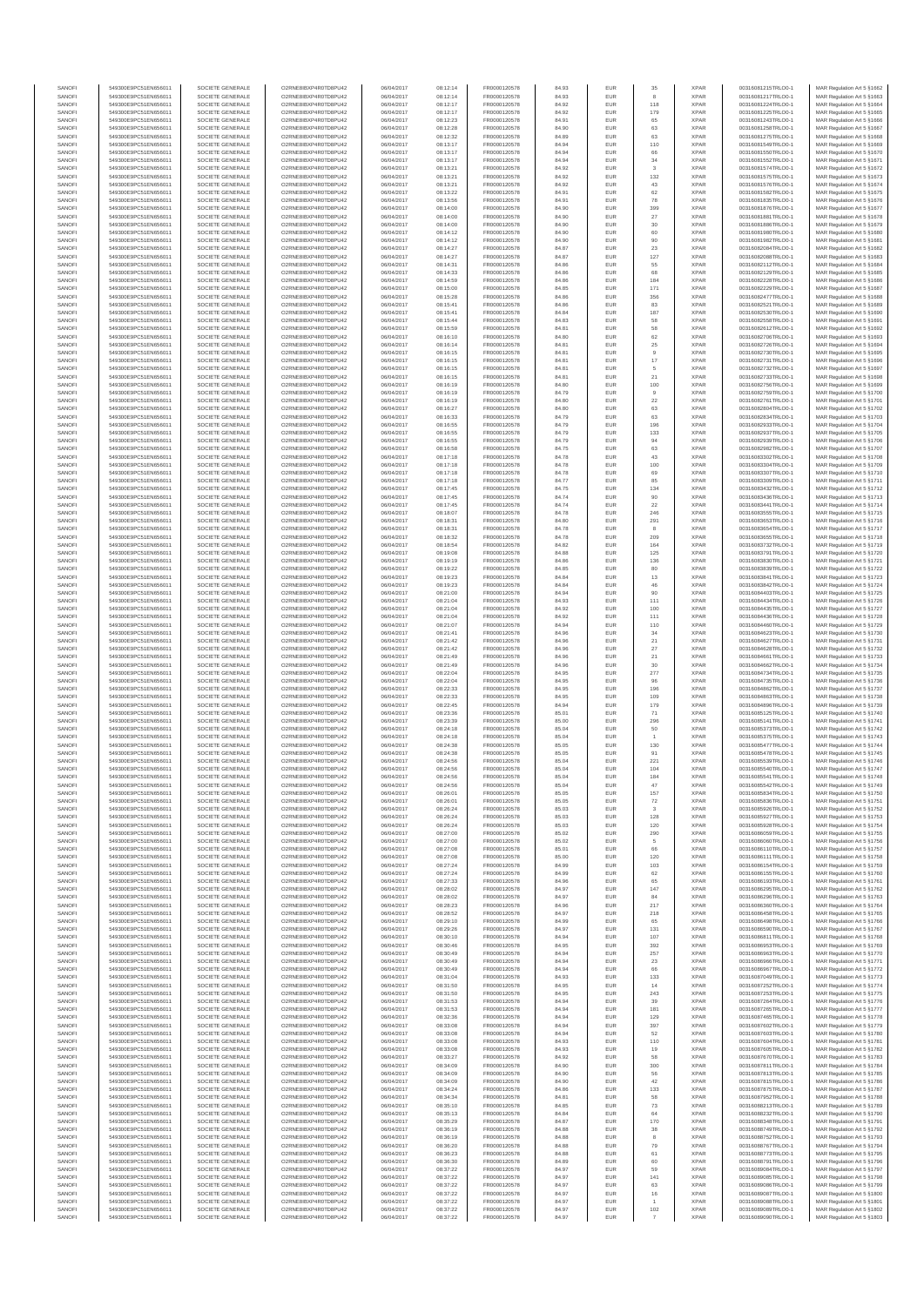| SANOF            | 549300E9PC51EN656011                         | SOCIETE GENERALE                     | O2RNE8IBXP4R0TD8PU42                         | 06/04/2017               | 08:12:14             | FR0000120578                 |                | EUR               | 35                      | <b>XPAR</b>                | 00316081215TRLO0-1                       | MAR Regulation Art 5 §1662                                |
|------------------|----------------------------------------------|--------------------------------------|----------------------------------------------|--------------------------|----------------------|------------------------------|----------------|-------------------|-------------------------|----------------------------|------------------------------------------|-----------------------------------------------------------|
| SANOFI           | 549300E9PC51EN656011                         | SOCIETE GENERALE<br>SOCIETE GENERALE | O2RNE8IBXP4R0TD8PU42                         | 06/04/2017               | 08:12:14             | FR0000120578                 | 84.93          | EUR<br>EUR        |                         | <b>XPAR</b><br><b>XPAR</b> | 00316081217TRLO0-1                       | MAR Regulation Art 5 §1663                                |
| SANOFI<br>SANOFI | 549300E9PC51EN656011<br>549300E9PC51EN656011 | SOCIETE GENERALE                     | O2RNE8IBXP4R0TD8PU42<br>O2RNE8IBXP4R0TD8PU42 | 06/04/2017<br>06/04/2017 | 08:12:17<br>08:12:17 | FR0000120578<br>FR0000120578 | 84.92<br>84.92 | EUR               | 118<br>179              | <b>XPAR</b>                | 00316081224TRLO0-1<br>00316081225TRLO0-1 | MAR Regulation Art 5 §1664<br>MAR Regulation Art 5 §1665  |
| SANOFI           | 549300E9PC51EN656011                         | SOCIETE GENERALE                     | O2RNE8IBXP4R0TD8PU42                         | 06/04/2017               | 08:12:23             | FR0000120578                 | 84.91          | EUR               | 65                      | <b>XPAR</b>                | 00316081243TRLO0-1                       | MAR Regulation Art 5 §1666                                |
| SANOFI           | 549300E9PC51EN656011                         | SOCIETE GENERALE<br>SOCIETE GENERALE | O2RNE8IBXP4R0TD8PU42                         | 06/04/2017               | 08:12:28             | FR0000120578                 | 84.90          | EUR               | 63                      | <b>XPAR</b>                | 00316081258TRLO0-1                       | MAR Regulation Art 5 §1667                                |
| SANOFI<br>SANOFI | 549300E9PC51EN656011<br>549300E9PC51EN656011 | SOCIETE GENERALE                     | O2RNE8IBXP4R0TD8PU42<br>O2RNE8IBXP4R0TD8PU42 | 06/04/2017<br>06/04/2017 | 08:12:32<br>08:13:17 | FR0000120578<br>FR0000120578 | 84.89<br>84.94 | EUR<br>EUR        | 63<br>110               | <b>XPAR</b><br><b>XPAR</b> | 00316081275TRLO0-1<br>00316081549TRLO0-1 | MAR Regulation Art 5 §1668<br>MAR Regulation Art 5 §1669  |
| SANOFI           | 549300E9PC51EN656011                         | SOCIETE GENERALE                     | O2RNE8IBXP4R0TD8PU42                         | 06/04/2017               | 08:13:17             | FR0000120578                 | 84.94          | EUR               | 66                      | <b>XPAR</b>                | 00316081550TRLO0-1                       | MAR Regulation Art 5 §1670                                |
| SANOFI           | 549300E9PC51EN656011                         | SOCIETE GENERALE                     | O2RNE8IBXP4R0TD8PU42                         | 06/04/2017               | 08:13:17             | FR0000120578                 | 84.94          | EUR               | 34                      | <b>XPAR</b>                | 00316081552TRLO0-1                       | MAR Regulation Art 5 §1671                                |
| SANOFI<br>SANOFI | 549300E9PC51EN656011<br>549300E9PC51EN656011 | SOCIETE GENERALE<br>SOCIETE GENERALE | O2RNE8IBXP4R0TD8PU42<br>O2RNE8IBXP4R0TD8PU42 | 06/04/2017<br>06/04/2017 | 08:13:21<br>08:13:21 | FR0000120578<br>FR0000120578 | 84.92<br>84.92 | EUR<br>EUR        | 3<br>132                | <b>XPAR</b><br><b>XPAR</b> | 00316081574TRLO0-1<br>00316081575TRLO0-1 | MAR Regulation Art 5 §1672<br>MAR Regulation Art 5 §1673  |
| SANOFI           | 549300E9PC51EN656011                         | SOCIETE GENERALE                     | O2RNE8IBXP4R0TD8PLI42                        | 06/04/2017               | 08:13:21             | FR0000120578                 | 84.92          | EUR               | 43                      | <b>XPAR</b>                | 00316081576TRLO0-1                       | MAR Regulation Art 5 §1674                                |
| SANOFI           | 549300E9PC51EN656011                         | SOCIETE GENERALE                     | O2RNE8IBXP4R0TD8PU42                         | 06/04/2017               | 08:13:22             | FR0000120578                 | 84.91          | EUR               | 62                      | <b>XPAR</b>                | 00316081582TRLO0-1                       | MAR Regulation Art 5 §1675                                |
| SANOFI           | 549300E9PC51EN656011                         | SOCIETE GENERALE                     | O2RNE8IBXP4R0TD8PU42                         | 06/04/2017               | 08:13:56             | FR0000120578                 | 84.91          | EUR               | ${\bf 78}$              | <b>XPAR</b>                | 00316081835TRLO0-1                       | MAR Regulation Art 5 §1676                                |
| SANOFI<br>SANOFI | 549300E9PC51EN656011<br>549300E9PC51EN656011 | SOCIETE GENERALE<br>SOCIETE GENERALE | O2RNE8IBXP4R0TD8PU42<br>O2RNE8IBXP4R0TD8PU42 | 06/04/2017<br>06/04/2017 | 08:14:00<br>08:14:00 | FR0000120578<br>FR0000120578 | 84.90<br>84.90 | EUR<br>EUR        | 399<br>27               | <b>XPAR</b><br><b>XPAR</b> | 00316081876TRLO0-1<br>00316081881TRLO0-1 | MAR Regulation Art 5 §1677<br>MAR Regulation Art 5 §1678  |
| SANOFI           | 549300E9PC51EN656011                         | SOCIETE GENERALE                     | O2RNE8IBXP4R0TD8PU42                         | 06/04/2017               | 08:14:00             | FR0000120578                 | 84.90          | EUR               | 30                      | <b>XPAR</b>                | 00316081886TRLO0-1                       | MAR Regulation Art 5 §1679                                |
| SANOFI           | 549300E9PC51EN656011                         | SOCIETE GENERALE                     | O2RNE8IBXP4R0TD8PU42                         | 06/04/2017               | 08:14:12             | FR0000120578                 | 84.90          | EUR               | 60                      | <b>XPAR</b>                | 00316081980TRLO0-1                       | MAR Regulation Art 5 §1680                                |
| SANOFI           | 549300E9PC51EN656011                         | SOCIETE GENERALE                     | O2RNE8IBXP4R0TD8PU42                         | 06/04/2017               | 08:14:12             | FR0000120578                 | 84.90          | EUR               | 90                      | <b>XPAR</b>                | 00316081982TRLO0-1                       | MAR Regulation Art 5 §1681                                |
| SANOFI<br>SANOFI | 549300E9PC51EN656011<br>549300E9PC51EN656011 | SOCIETE GENERALE<br>SOCIETE GENERALE | O2RNE8IBXP4R0TD8PU42<br>O2RNE8IBXP4R0TD8PU42 | 06/04/2017<br>06/04/2017 | 08:14:27<br>08:14:27 | FR0000120578<br>FR0000120578 | 84.87<br>84.87 | EUR<br>EUR        | $23\,$<br>127           | <b>XPAR</b><br><b>XPAR</b> | 00316082084TRLO0-1<br>00316082088TRLO0-1 | MAR Regulation Art 5 §1682<br>MAR Regulation Art 5 §1683  |
| SANOFI           | 549300E9PC51EN656011                         | SOCIETE GENERALE                     | O2RNE8IBXP4R0TD8PU42                         | 06/04/2017               | 08:14:31             | FR0000120578                 | 84.86          | EUR               | 55                      | <b>XPAR</b>                | 00316082112TRLO0-1                       | MAR Regulation Art 5 §1684                                |
| SANOFI           | 549300E9PC51EN656011                         | SOCIETE GENERALE                     | O2RNE8IBXP4R0TD8PU42                         | 06/04/2017               | 08:14:33             | FR0000120578                 | 84.86          | EUR               | 68                      | <b>XPAR</b>                | 00316082129TRLO0-1                       | MAR Regulation Art 5 §1685                                |
| SANOFI<br>SANOFI | 549300E9PC51EN656011<br>549300E9PC51EN656011 | SOCIETE GENERALE<br>SOCIETE GENERALE | O2RNE8IBXP4R0TD8PU42<br>O2RNE8IBXP4R0TD8PU42 | 06/04/2017<br>06/04/2017 | 08:14:59<br>08:15:00 | FR0000120578<br>FR0000120578 | 84.86<br>84.85 | EUR<br>EUR        | 184<br>171              | <b>XPAR</b><br><b>XPAR</b> | 00316082228TRLO0-1<br>00316082229TRLO0-1 | MAR Regulation Art 5 §1686<br>MAR Regulation Art 5 \$1687 |
| SANOFI           | 549300E9PC51EN656011                         | SOCIETE GENERALE                     | O2RNE8IBXP4R0TD8PU42                         | 06/04/2017               | 08:15:28             | FR0000120578                 | 84.86          | EUR               | 356                     | <b>XPAR</b>                | 00316082477TRLO0-1                       | MAR Regulation Art 5 §1688                                |
| SANOFI           | 549300E9PC51EN656011                         | SOCIETE GENERALE                     | O2RNE8IBXP4R0TD8PU42                         | 06/04/2017               | 08:15:41             | FR0000120578                 | 84.86          | EUR               | 83                      | <b>XPAR</b>                | 00316082521TRLO0-1                       | MAR Regulation Art 5 §1689                                |
| SANOFI           | 549300E9PC51EN656011                         | SOCIETE GENERALE                     | O2RNE8IBXP4R0TD8PU42                         | 06/04/2017               | 08:15:41             | FR0000120578                 | 84.84          | EUR               | 187                     | <b>XPAR</b>                | 00316082530TRLO0-1                       | MAR Regulation Art 5 §1690                                |
| SANOFI<br>SANOFI | 549300E9PC51EN656011<br>549300E9PC51EN656011 | SOCIETE GENERALE<br>SOCIETE GENERALE | O2RNE8IBXP4R0TD8PU42<br>O2RNE8IBXP4R0TD8PU42 | 06/04/2017<br>06/04/2017 | 08:15:44<br>08:15:59 | FR0000120578<br>FR0000120578 | 84.83<br>84.81 | EUR<br>EUR        | 58<br>58                | <b>XPAR</b><br><b>XPAR</b> | 00316082558TRLO0-1<br>00316082612TRLO0-1 | MAR Regulation Art 5 §1691<br>MAR Regulation Art 5 §1692  |
| SANOFI           | 549300E9PC51EN656011                         | SOCIETE GENERALE                     | O2RNE8IBXP4R0TD8PU42                         | 06/04/2017               | 08:16:10             | FR0000120578                 | 84.80          | EUR               | 62                      | <b>XPAR</b>                | 00316082706TRLO0-1                       | MAR Regulation Art 5 §1693                                |
| SANOFI           | 549300E9PC51EN656011                         | SOCIETE GENERALE                     | O2RNE8IBXP4R0TD8PU42                         | 06/04/2017               | 08:16:14             | FR0000120578                 | 84.81          | EUR               | 25                      | <b>XPAR</b>                | 00316082726TRLO0-1                       | MAR Regulation Art 5 §1694                                |
| SANOFI<br>SANOFI | 549300E9PC51EN656011<br>549300E9PC51EN656011 | SOCIETE GENERALE<br>SOCIETE GENERALE | O2RNE8IBXP4R0TD8PU42<br>O2RNE8IBXP4R0TD8PU42 | 06/04/2017<br>06/04/2017 | 08:16:15<br>08:16:15 | FR0000120578<br>FR0000120578 | 84.81<br>84.81 | EUR<br>EUR        | 9                       | <b>XPAR</b><br><b>XPAR</b> | 00316082730TRLO0-1<br>00316082731TRLO0-1 | MAR Regulation Art 5 §1695                                |
| SANOFI           | 549300E9PC51EN656011                         | SOCIETE GENERALE                     | O2RNE8IBXP4R0TD8PU42                         | 06/04/2017               | 08:16:15             | FR0000120578                 | 84.81          | EUR               | 17<br>5                 | <b>XPAR</b>                | 00316082732TRLO0-1                       | MAR Regulation Art 5 §1696<br>MAR Regulation Art 5 §1697  |
| SANOFI           | 549300E9PC51EN656011                         | SOCIETE GENERALE                     | O2RNE8IBXP4R0TD8PU42                         | 06/04/2017               | 08:16:15             | FR0000120578                 | 84.81          | EUR               | 21                      | <b>XPAR</b>                | 00316082733TRLO0-1                       | MAR Regulation Art 5 §1698                                |
| SANOFI           | 549300E9PC51EN656011                         | SOCIETE GENERALE                     | O2RNE8IBXP4R0TD8PU42                         | 06/04/2017               | 08:16:19             | FR0000120578                 | 84.80          | EUR               | 100                     | <b>XPAR</b>                | 00316082756TRLO0-1                       | MAR Regulation Art 5 §1699                                |
| SANOFI<br>SANOFI | 549300E9PC51EN656011<br>549300E9PC51EN656011 | SOCIETE GENERALE<br>SOCIETE GENERALE | O2RNE8IBXP4R0TD8PU42<br>O2RNE8IBXP4R0TD8PU42 | 06/04/2017<br>06/04/2017 | 08:16:19<br>08:16:19 | FR0000120578<br>FR0000120578 | 84.79<br>84.80 | EUR<br>EUR        | $22\,$                  | <b>XPAR</b><br><b>XPAR</b> | 00316082759TRLO0-1<br>00316082761TRLO0-1 | MAR Regulation Art 5 §1700<br>MAR Regulation Art 5 §1701  |
| SANOFI           | 549300E9PC51EN656011                         | SOCIETE GENERALE                     | O2RNE8IBXP4R0TD8PU42                         | 06/04/2017               | 08:16:27             | FR0000120578                 | 84.80          | EUR               | 63                      | <b>XPAR</b>                | 00316082804TRLO0-1                       | MAR Regulation Art 5 §1702                                |
| SANOFI           | 549300E9PC51EN656011                         | SOCIETE GENERALE                     | O2RNE8IBXP4R0TD8PU42                         | 06/04/2017               | 08:16:33             | FR0000120578                 | 84.79          | EUR               | 63                      | <b>XPAR</b>                | 00316082834TRLO0-1                       | MAR Regulation Art 5 §1703                                |
| SANOFI           | 549300E9PC51EN656011                         | SOCIETE GENERALE                     | O2RNE8IBXP4R0TD8PU42                         | 06/04/2017               | 08:16:55             | FR0000120578                 | 84.79          | EUR               | 196                     | <b>XPAR</b>                | 00316082933TRLO0-1<br>00316082937TRLO0-1 | MAR Regulation Art 5 §1704                                |
| SANOFI<br>SANOFI | 549300E9PC51EN656011<br>549300E9PC51EN656011 | SOCIETE GENERALE<br>SOCIETE GENERALE | O2RNE8IBXP4R0TD8PU42<br>O2RNE8IBXP4R0TD8PU42 | 06/04/2017<br>06/04/2017 | 08:16:55<br>08:16:55 | FR0000120578<br>FR0000120578 | 84.79<br>84.79 | EUR<br>EUR        | 133<br>94               | <b>XPAR</b><br><b>XPAR</b> | 00316082939TRLO0-1                       | MAR Regulation Art 5 §1705<br>MAR Regulation Art 5 §1706  |
| SANOFI           | 549300E9PC51EN656011                         | SOCIETE GENERALE                     | O2RNE8IBXP4R0TD8PU42                         | 06/04/2017               | 08:16:58             | FR0000120578                 | 84.75          | EUR               | 63                      | <b>XPAR</b>                | 00316082982TRLO0-1                       | MAR Regulation Art 5 §1707                                |
| SANOFI           | 549300E9PC51EN656011                         | SOCIETE GENERALE                     | O2RNE8IBXP4R0TD8PU42                         | 06/04/2017               | 08:17:18             | FR0000120578                 | 84.78          | EUR               | 43                      | <b>XPAR</b>                | 00316083302TRLO0-1                       | MAR Regulation Art 5 §1708                                |
| SANOFI<br>SANOFI | 549300E9PC51EN656011<br>549300E9PC51EN656011 | SOCIETE GENERALE<br>SOCIETE GENERALE | O2RNE8IBXP4R0TD8PU42<br>O2RNE8IBXP4R0TD8PU42 | 06/04/2017<br>06/04/2017 | 08:17:18<br>08:17:18 | FR0000120578<br>FR0000120578 | 84.78<br>84.78 | EUR<br>EUR        | 100<br>69               | <b>XPAR</b><br><b>XPAR</b> | 00316083304TRLO0-1<br>00316083307TRLO0-1 | MAR Regulation Art 5 §1709                                |
| SANOFI           | 549300E9PC51EN656011                         | SOCIETE GENERALE                     | O2RNE8IBXP4R0TD8PU42                         | 06/04/2017               | 08:17:18             | FR0000120578                 | 84.77          | EUR               | 85                      | <b>XPAR</b>                | 00316083309TRLO0-1                       | MAR Regulation Art 5 §1710<br>MAR Regulation Art 5 §1711  |
| SANOFI           | 549300E9PC51EN656011                         | SOCIETE GENERALE                     | O2RNE8IBXP4R0TD8PU42                         | 06/04/2017               | 08:17:45             | FR0000120578                 | 84.75          | EUR               | 134                     | <b>XPAR</b>                | 00316083432TRLO0-1                       | MAR Regulation Art 5 §1712                                |
| SANOFI           | 549300E9PC51EN656011                         | SOCIETE GENERALE                     | O2RNE8IBXP4R0TD8PU42                         | 06/04/2017               | 08:17:45             | FR0000120578                 | 84.74          | EUR               | 90                      | <b>XPAR</b>                | 00316083436TRLO0-1                       | MAR Regulation Art 5 §1713                                |
| SANOFI           | 549300E9PC51EN656011<br>549300E9PC51EN656011 | SOCIETE GENERALE                     | O2RNE8IBXP4R0TD8PU42                         | 06/04/2017               | 08:17:45             | FR0000120578                 | 84.74          | EUR<br>EUR        | $22\,$<br>246           | <b>XPAR</b><br><b>XPAR</b> | 00316083441TRLO0-1                       | MAR Regulation Art 5 §1714<br>MAR Regulation Art 5 §1715  |
| SANOFI<br>SANOFI | 549300E9PC51EN656011                         | SOCIETE GENERALE<br>SOCIETE GENERALE | O2RNE8IBXP4R0TD8PU42<br>O2RNE8IBXP4R0TD8PU42 | 06/04/2017<br>06/04/2017 | 08:18:07<br>08:18:31 | FR0000120578<br>FR0000120578 | 84.78<br>84.80 | EUR               | 291                     | <b>XPAR</b>                | 00316083555TRLO0-1<br>00316083653TRLO0-1 | MAR Regulation Art 5 §1716                                |
| SANOFI           | 549300E9PC51EN656011                         | SOCIETE GENERALE                     | O2RNE8IBXP4R0TD8PU42                         | 06/04/2017               | 08:18:31             | FR0000120578                 | 84.78          | EUR               | 8                       | <b>XPAR</b>                | 00316083654TRLO0-1                       | MAR Regulation Art 5 §1717                                |
| SANOFI           | 549300E9PC51EN656011                         | SOCIETE GENERALE                     | O2RNE8IBXP4R0TD8PU42                         | 06/04/2017               | 08:18:32             | FR0000120578                 | 84.78          | EUR               | 209                     | <b>XPAR</b>                | 00316083655TRLO0-1                       | MAR Regulation Art 5 §1718                                |
| SANOFI<br>SANOFI | 549300E9PC51EN656011<br>549300E9PC51EN656011 | SOCIETE GENERALE<br>SOCIETE GENERALE | O2RNE8IBXP4R0TD8PU42<br>O2RNE8IBXP4R0TD8PU42 | 06/04/2017<br>06/04/2017 | 08:18:54<br>08:19:08 | FR0000120578<br>FR0000120578 | 84.82<br>84.88 | EUR<br>EUR        | 164<br>125              | <b>XPAR</b><br><b>XPAR</b> | 00316083732TRLO0-1<br>00316083791TRLO0-1 | MAR Regulation Art 5 §1719<br>MAR Regulation Art 5 §1720  |
| SANOFI           | 549300E9PC51EN656011                         | SOCIETE GENERALE                     | O2RNE8IBXP4R0TD8PU42                         | 06/04/2017               | 08:19:19             | FR0000120578                 | 84.86          | EUR               | 136                     | <b>XPAR</b>                | 00316083830TRLO0-1                       | MAR Regulation Art 5 §1721                                |
| SANOFI           | 549300E9PC51EN656011                         | SOCIETE GENERALE                     | O2RNE8IBXP4R0TD8PU42                         | 06/04/2017               | 08:19:22             | FR0000120578                 | 84.85          | EUR               | 80                      | <b>XPAR</b>                | 00316083839TRLO0-1                       | MAR Regulation Art 5 §1722                                |
| SANOFI           | 549300E9PC51EN656011                         | SOCIETE GENERALE                     | O2RNE8IBXP4R0TD8PU42                         | 06/04/2017               | 08:19:23             | FR0000120578                 | 84.84          | EUR               | $13\,$                  | <b>XPAR</b>                | 00316083841TRLO0-1                       | MAR Regulation Art 5 §1723                                |
| SANOFI<br>SANOFI | 549300E9PC51EN656011<br>549300E9PC51EN656011 | SOCIETE GENERALE<br>SOCIETE GENERALE | O2RNE8IBXP4R0TD8PU42<br>O2RNE8IBXP4R0TD8PU42 | 06/04/2017<br>06/04/2017 | 08:19:23<br>08:21:00 | FR0000120578<br>FR0000120578 | 84.84<br>84.94 | EUR<br>EUR        | 46<br>90                | <b>XPAR</b><br><b>XPAR</b> | 00316083842TRLO0-1<br>00316084403TRLO0-1 | MAR Regulation Art 5 §1724<br>MAR Regulation Art 5 §1725  |
| SANOFI           | 549300E9PC51EN656011                         | SOCIETE GENERALE                     | O2RNE8IBXP4R0TD8PU42                         | 06/04/2017               | 08:21:04             | FR0000120578                 | 84.93          | EUR               | 111                     | <b>XPAR</b>                | 00316084434TRLO0-1                       | MAR Regulation Art 5 §1726                                |
| SANOFI           | 549300E9PC51EN656011                         | SOCIETE GENERALE                     | O2RNE8IBXP4R0TD8PU42                         | 06/04/2017               | 08:21:04             | FR0000120578                 | 84.92          | EUR               | 100                     | <b>XPAR</b>                | 00316084435TRLO0-1                       | MAR Regulation Art 5 §1727                                |
| SANOFI           | 549300E9PC51EN656011                         | SOCIETE GENERALE                     | O2RNE8IBXP4R0TD8PU42                         | 06/04/2017               | 08:21:04             | FR0000120578                 | 84.92          | EUR               | 111                     | <b>XPAR</b>                | 00316084436TRLO0-1                       | MAR Regulation Art 5 §1728                                |
| SANOFI<br>SANOFI | 549300E9PC51EN656011<br>549300E9PC51EN656011 | SOCIETE GENERALE<br>SOCIETE GENERALE | O2RNE8IBXP4R0TD8PU42<br>O2RNE8IBXP4R0TD8PU42 | 06/04/2017<br>06/04/2017 | 08:21:07<br>08:21:41 | FR0000120578<br>FR0000120578 | 84.94<br>84.96 | EUR<br>EUR        | 110<br>34               | <b>XPAR</b><br><b>XPAR</b> | 00316084460TRLO0-1<br>00316084623TRLO0-1 | MAR Regulation Art 5 §1729<br>MAR Regulation Art 5 §1730  |
| SANOFI           | 549300E9PC51EN656011                         | SOCIETE GENERALE                     | O2RNE8IBXP4R0TD8PU42                         | 06/04/2017               | 08:21:42             | FR0000120578                 | 84.96          | EUR               | 21                      | <b>XPAR</b>                | 00316084627TRLO0-1                       | MAR Regulation Art 5 §1731                                |
| SANOFI           | 549300E9PC51EN656011                         | SOCIETE GENERALE                     | O2RNE8IBXP4R0TD8PU42                         | 06/04/2017               | 08:21:42             | FR0000120578                 | 84.96          | EUR               | $27\,$                  | <b>XPAR</b>                | 00316084628TRLO0-1                       | MAR Regulation Art 5 §1732                                |
| SANOFI<br>SANOFI | 549300E9PC51EN656011<br>549300E9PC51EN656011 | SOCIETE GENERALE<br>SOCIETE GENERALE | O2RNE8IBXP4R0TD8PU42<br>O2RNE8IBXP4R0TD8PU42 | 06/04/2017<br>06/04/2017 | 08:21:49<br>08:21:49 | FR0000120578<br>FR0000120578 | 84.96<br>84.96 | EUR<br>EUR        | $21\,$<br>30            | <b>XPAR</b><br><b>XPAR</b> | 00316084661TRLO0-1<br>00316084662TRLO0-1 | MAR Regulation Art 5 §1733<br>MAR Regulation Art 5 §1734  |
| SANOFI           | 549300E9PC51EN656011                         | SOCIETE GENERALE                     | O2RNE8IBXP4R0TD8PU42                         | 06/04/2017               | 08:22:04             | FR0000120578                 | 84.95          | EUR               | 277                     | <b>XPAR</b>                | 00316084734TRLO0-1                       | MAR Regulation Art 5 §1735                                |
| SANOFI           | 549300E9PC51EN656011                         | SOCIETE GENERALE                     | O2RNE8IBXP4R0TD8PU42                         | 06/04/2017               | 08:22:04             | FR0000120578                 | 84.95          | EUR               | 96                      | <b>XPAR</b>                | 00316084735TRLO0-1                       | MAR Regulation Art 5 §1736                                |
| SANOFI<br>SANOFI | 549300E9PC51EN656011<br>549300E9PC51EN656011 | SOCIETE GENERALE<br>SOCIETE GENERALE | O2RNE8IBXP4R0TD8PU42<br>O2RNE8IBXP4R0TD8PU42 | 06/04/2017<br>06/04/2017 | 08:22:33             | FR0000120578                 | 84.95          | EUR               | 196                     | <b>XPAR</b><br><b>XPAR</b> | 00316084862TRLO0-1<br>00316084863TRLO0-1 | MAR Regulation Art 5 §1737                                |
| SANOFI           | 549300E9PC51EN656011                         | SOCIETE GENERALE                     | O2RNE8IBXP4R0TD8PU42                         | 06/04/2017               | 08:22:33<br>08:22:45 | FR0000120578<br>FR0000120578 | 84.95<br>84.94 | EUR<br>EUR        | 109<br>179              | <b>XPAR</b>                | 00316084896TRLO0-1                       | MAR Regulation Art 5 §1738<br>MAR Regulation Art 5 §1739  |
| SANOFI           | 549300E9PC51EN656011                         | SOCIETE GENERALE                     | O2RNE8IBXP4R0TD8PU42                         | 06/04/2017               | 08:23:36             | FR0000120578                 | 85.01          | EUR               | 71                      | <b>XPAR</b>                | 00316085125TRLO0-1                       | MAR Regulation Art 5 §1740                                |
| SANOFI           | 549300E9PC51EN656011                         | SOCIETE GENERALE                     | O2RNE8IBXP4R0TD8PU42                         | 06/04/2017               | 08:23:39             | FR0000120578                 | 85.00          | EUR               | 296                     | <b>XPAR</b>                | 00316085141TRLO0-1                       | MAR Regulation Art 5 §1741                                |
| SANOFI<br>SANOFI | 549300E9PC51EN656011<br>549300E9PC51EN656011 | SOCIETE GENERALE<br>SOCIETE GENERALE | O2RNE8IBXP4R0TD8PU42<br>O2RNE8IBXP4R0TD8PU42 | 06/04/2017<br>06/04/2017 | 08:24:18<br>08:24:18 | FR0000120578<br>FR0000120578 | 85.04<br>85.04 | EUR<br>EUR        | 50                      | <b>XPAR</b><br><b>XPAR</b> | 00316085373TRLO0-1<br>00316085375TRLO0-1 | MAR Regulation Art 5 §1742                                |
| SANOFI           | 549300E9PC51EN656011                         | SOCIETE GENERALE                     | O2RNE8IBXP4R0TD8PU42                         | 06/04/2017               | 08:24:38             | FR0000120578                 | 85.05          | EUR               | 130                     | <b>XPAR</b>                | 00316085477TRLO0-1                       | MAR Regulation Art 5 §1743<br>MAR Regulation Art 5 §1744  |
| SANOFI           | 549300E9PC51EN656011                         | SOCIETE GENERALE                     | O2RNE8IBXP4R0TD8PU42                         | 06/04/2017               | 08:24:38             | FR0000120578                 | 85.05          | EUR               | 91                      | <b>XPAR</b>                | 00316085478TRLO0-1                       | MAR Regulation Art 5 §1745                                |
| SANOFI           | 549300E9PC51EN656011                         | SOCIETE GENERALE                     | O2RNE8IBXP4R0TD8PU42                         | 06/04/2017               | 08:24:56             | FR0000120578                 | 85.04          | EUR               | 221                     | <b>XPAR</b>                | 00316085539TRLO0-1                       | MAR Regulation Art 5 §1746                                |
| SANOFI<br>SANOFI | 549300E9PC51EN656011<br>549300E9PC51EN656011 | SOCIETE GENERALE<br>SOCIETE GENERALE | O2RNE8IBXP4R0TD8PU42<br>O2RNE8IBXP4R0TD8PU42 | 06/04/2017<br>06/04/2017 | 08:24:56<br>08:24:56 | FR0000120578<br>FR0000120578 | 85.04<br>85.04 | EUR<br>EUR        | 104<br>184              | <b>XPAR</b><br><b>XPAR</b> | 00316085540TRLO0-1<br>00316085541TRLO0-1 | MAR Regulation Art 5 §1747<br>MAR Regulation Art 5 §1748  |
| SANOFI           | 549300E9PC51EN656011                         | SOCIETE GENERALE                     | O2RNE8IBXP4R0TD8PLI42                        | 06/04/2017               | 08:24:56             | FR0000120578                 | 85.04          | EUR               | 47                      | <b>XPAR</b>                | 00316085542TRLO0-1                       | MAR Regulation Art 5 §1749                                |
| SANOFI           | 549300E9PC51EN656011                         | SOCIETE GENERALE                     | O2RNE8IBXP4R0TD8PU42                         | 06/04/2017               | 08:26:01             | FR0000120578                 | 85.05          | EUR               | 157                     | <b>XPAR</b>                | 00316085834TRLO0-1                       | MAR Regulation Art 5 §1750                                |
| SANOFI           | 549300E9PC51EN656011<br>549300E9PC51EN656011 | SOCIETE GENERALE                     | O2RNE8IBXP4R0TD8PU42                         | 06/04/2017               | 08:26:01             | FR0000120578                 | 85.05          | EUR               | 72                      | <b>XPAR</b>                | 00316085836TRLO0-1                       | MAR Regulation Art 5 §1751                                |
| SANOFI<br>SANOFI | 549300E9PC51EN656011                         | SOCIETE GENERALE<br>SOCIETE GENERALE | O2RNE8IBXP4R0TD8PU42<br>O2RNE8IBXP4R0TD8PU42 | 06/04/2017<br>06/04/2017 | 08:26:24<br>08:26:24 | FR0000120578<br>FR0000120578 | 85.03<br>85.03 | EUR<br>EUR        | 128                     | <b>XPAR</b><br><b>XPAR</b> | 00316085926TRLO0-1<br>00316085927TRLO0-1 | MAR Regulation Art 5 §1752<br>MAR Regulation Art 5 §1753  |
| SANOFI           | 549300E9PC51EN656011                         | SOCIETE GENERALE                     | O2RNE8IBXP4R0TD8PU42                         | 06/04/2017               | 08:26:24             | FR0000120578                 | 85.03          | <b>EUR</b>        | 120                     | <b>XPAR</b>                | 00316085928TRLO0-1                       | MAR Regulation Art 5 §1754                                |
| SANOFI           | 549300E9PC51EN656011                         | SOCIETE GENERALE                     | O2RNE8IBXP4R0TD8PU42                         | 06/04/2017               | 08:27:00             | FR0000120578                 | 85.02          | EUR               | 290                     | <b>XPAR</b>                | 00316086059TRLO0-1                       | MAR Regulation Art 5 §1755                                |
| SANOFI<br>SANOFI | 549300E9PC51EN656011<br>549300E9PC51EN656011 | SOCIETE GENERALE<br>SOCIETE GENERALE | O2RNE8IBXP4R0TD8PU42<br>O2RNE8IBXP4R0TD8PU42 | 06/04/2017<br>06/04/2017 | 08:27:00<br>08:27:08 | FR0000120578<br>FR0000120578 | 85.02<br>85.01 | EUR<br>EUR        | 5<br>66                 | <b>XPAR</b><br><b>XPAR</b> | 00316086060TRLO0-1<br>00316086110TRLO0-1 | MAR Regulation Art 5 §1756<br>MAR Regulation Art 5 §1757  |
| SANOFI           | 549300E9PC51EN656011                         | SOCIETE GENERALE                     | O2RNE8IBXP4R0TD8PU42                         | 06/04/2017               | 08:27:08             | FR0000120578                 | 85.00          | EUR               | 120                     | <b>XPAR</b>                | 00316086111TRLO0-1                       | MAR Regulation Art 5 §1758                                |
| SANOFI           | 549300E9PC51EN656011                         | SOCIETE GENERALE                     | O2RNE8IBXP4R0TD8PU42                         | 06/04/2017               | 08:27:24             | FR0000120578                 | 84.99          | EUR               | 103                     | <b>XPAR</b>                | 00316086154TRLO0-1                       | MAR Regulation Art 5 §1759                                |
| SANOFI<br>SANOFI | 549300E9PC51EN656011<br>549300E9PC51EN656011 | SOCIETE GENERALE<br>SOCIETE GENERALE | O2RNE8IBXP4R0TD8PU42<br>O2RNE8IBXP4R0TD8PU42 | 06/04/2017<br>06/04/2017 | 08:27:24<br>08:27:33 | FR0000120578<br>FR0000120578 | 84.99<br>84.96 | EUR<br><b>EUR</b> | 62<br>65                | <b>XPAR</b><br><b>XPAR</b> | 00316086155TRLO0-1<br>00316086193TRLO0-1 | MAR Regulation Art 5 §1760<br>MAR Regulation Art 5 §1761  |
| SANOFI           | 549300E9PC51EN656011                         | SOCIETE GENERALE                     | O2RNE8IBXP4R0TD8PU42                         | 06/04/2017               | 08:28:02             | FR0000120578                 | 84.97          | EUR               | 147                     | <b>XPAR</b>                | 00316086295TRLO0-1                       | MAR Regulation Art 5 §1762                                |
| SANOFI           | 549300E9PC51EN656011                         | SOCIETE GENERALE                     | O2RNE8IBXP4R0TD8PU42                         | 06/04/2017               | 08:28:02             | FR0000120578                 | 84.97          | EUR               | 84                      | <b>XPAR</b>                | 00316086296TRLO0-1                       | MAR Regulation Art 5 §1763                                |
| SANOFI<br>SANOFI | 549300E9PC51EN656011<br>549300E9PC51EN656011 | SOCIETE GENERALE<br>SOCIETE GENERALE | O2RNE8IBXP4R0TD8PU42<br>O2RNE8IBXP4R0TD8PU42 | 06/04/2017<br>06/04/2017 | 08:28:23<br>08:28:52 | FR0000120578<br>FR0000120578 | 84.96<br>84.97 | EUR<br>EUR        | 217<br>218              | <b>XPAR</b><br><b>XPAR</b> | 00316086360TRLO0-1<br>00316086458TRLO0-1 | MAR Regulation Art 5 §1764<br>MAR Regulation Art 5 §1765  |
| SANOFI           | 549300E9PC51EN656011                         | SOCIETE GENERALE                     | O2RNE8IBXP4R0TD8PU42                         | 06/04/2017               | 08:29:10             | FR0000120578                 | 84.99          | EUR               | 65                      | <b>XPAR</b>                | 00316086498TRLO0-1                       | MAR Regulation Art 5 §1766                                |
| SANOFI           | 549300E9PC51EN656011                         | SOCIETE GENERALE                     | O2RNE8IBXP4R0TD8PU42                         | 06/04/2017               | 08:29:26             | FR0000120578                 | 84.97          | EUR               | 131                     | <b>XPAR</b>                | 00316086590TRLO0-1                       | MAR Regulation Art 5 §1767                                |
| SANOFI<br>SANOFI | 549300E9PC51EN656011<br>549300E9PC51EN656011 | SOCIETE GENERALE<br>SOCIETE GENERALE | O2RNE8IBXP4R0TD8PU42<br>O2RNE8IBXP4R0TD8PU42 | 06/04/2017<br>06/04/2017 | 08:30:10<br>08:30:46 | FR0000120578<br>FR0000120578 | 84.94<br>84.95 | EUR<br>EUR        | 107<br>392              | <b>XPAR</b><br><b>XPAR</b> | 00316086811TRLO0-1<br>00316086953TRLO0-1 | MAR Regulation Art 5 §1768                                |
| SANOFI           | 549300E9PC51EN656011                         | SOCIETE GENERALE                     | O2RNE8IBXP4R0TD8PU42                         | 06/04/2017               | 08:30:49             | FR0000120578                 | 84.94          | EUR               | 257                     | <b>XPAR</b>                | 00316086963TRLO0-1                       | MAR Regulation Art 5 §1769<br>MAR Regulation Art 5 §1770  |
| SANOFI           | 549300E9PC51EN656011                         | SOCIETE GENERALE                     | O2RNE8IBXP4R0TD8PU42                         | 06/04/2017               | 08:30:49             | FR0000120578                 | 84.94          | EUR               | 23                      | <b>XPAR</b>                | 00316086966TRLO0-1                       | MAR Regulation Art 5 §1771                                |
| SANOFI           | 549300E9PC51EN656011                         | SOCIETE GENERALE                     | O2RNE8IBXP4R0TD8PU42                         | 06/04/2017               | 08:30:49             | FR0000120578                 | 84.94          | EUR               | 66                      | <b>XPAR</b>                | 00316086967TRLO0-1                       | MAR Regulation Art 5 §1772                                |
| SANOFI<br>SANOFI | 549300E9PC51EN656011<br>549300E9PC51EN656011 | SOCIETE GENERALE<br>SOCIETE GENERALE | O2RNE8IBXP4R0TD8PU42<br>O2RNE8IBXP4R0TD8PU42 | 06/04/2017<br>06/04/2017 | 08:31:04<br>08:31:50 | FR0000120578<br>FR0000120578 | 84.93<br>84.95 | EUR<br>EUR        | 133<br>14               | <b>XPAR</b><br><b>XPAR</b> | 00316087049TRLO0-1<br>00316087252TRLO0-1 | MAR Regulation Art 5 §1773<br>MAR Regulation Art 5 §1774  |
| SANOFI           | 549300E9PC51EN656011                         | SOCIETE GENERALE                     | O2RNE8IBXP4R0TD8PU42                         | 06/04/2017               | 08:31:50             | FR0000120578                 | 84.95          | EUR               | 243                     | <b>XPAR</b>                | 00316087253TRLO0-1                       | MAR Regulation Art 5 §1775                                |
| SANOFI           | 549300E9PC51EN656011                         | SOCIETE GENERALE                     | O2RNE8IBXP4R0TD8PU42                         | 06/04/2017               | 08:31:53             | FR0000120578                 | 84.94          | EUR               | 39                      | <b>XPAR</b>                | 00316087264TRLO0-1                       | MAR Regulation Art 5 §1776                                |
| SANOFI           | 549300E9PC51EN656011                         | SOCIETE GENERALE                     | O2RNE8IBXP4R0TD8PU42                         | 06/04/2017               | 08:31:53             | FR0000120578                 | 84.94          | EUR               | 181                     | <b>XPAR</b>                | 00316087265TRLO0-1                       | MAR Regulation Art 5 §1777                                |
| SANOFI<br>SANOFI | 549300E9PC51EN656011<br>549300E9PC51EN656011 | SOCIETE GENERALE<br>SOCIETE GENERALE | O2RNE8IBXP4R0TD8PU42<br>O2RNE8IBXP4R0TD8PU42 | 06/04/2017<br>06/04/2017 | 08:32:36<br>08:33:08 | FR0000120578<br>FR0000120578 | 84.94<br>84.94 | EUR<br>EUR        | 129<br>397              | <b>XPAR</b><br><b>XPAR</b> | 00316087465TRLO0-1<br>00316087602TRLO0-1 | MAR Regulation Art 5 §1778<br>MAR Regulation Art 5 §1779  |
| SANOFI           | 549300E9PC51EN656011                         | SOCIETE GENERALE                     | O2RNE8IBXP4R0TD8PU42                         | 06/04/2017               | 08:33:08             | FR0000120578                 | 84.94          | EUR               | 52                      | <b>XPAR</b>                | 00316087603TRLO0-1                       | MAR Regulation Art 5 §1780                                |
| SANOFI           | 549300E9PC51EN656011                         | SOCIETE GENERALE                     | O2RNE8IBXP4R0TD8PU42                         | 06/04/2017               | 08:33:08             | FR0000120578                 | 84.93          | EUR               | 110                     | <b>XPAR</b>                | 00316087604TRLO0-1                       | MAR Regulation Art 5 §1781                                |
| SANOFI<br>SANOFI | 549300E9PC51EN656011<br>549300E9PC51EN656011 | SOCIETE GENERALE<br>SOCIETE GENERALE | O2RNE8IBXP4R0TD8PU42<br>O2RNE8IBXP4R0TD8PU42 | 06/04/2017<br>06/04/2017 | 08:33:08<br>08:33:27 | FR0000120578<br>FR0000120578 | 84.93<br>84.92 | EUR<br>EUR        | 19<br>58                | <b>XPAR</b><br><b>XPAR</b> | 00316087605TRLO0-1<br>00316087670TRLO0-1 | MAR Regulation Art 5 §1782                                |
| SANOFI           | 549300E9PC51EN656011                         | SOCIETE GENERALE                     | O2RNE8IBXP4R0TD8PU42                         | 06/04/2017               | 08:34:09             | FR0000120578                 | 84.90          | EUR               | 300                     | <b>XPAR</b>                | 00316087811TRLO0-1                       | MAR Regulation Art 5 §1783<br>MAR Regulation Art 5 §1784  |
| SANOFI           | 549300E9PC51EN656011                         | SOCIETE GENERALE                     | O2RNE8IBXP4R0TD8PU42                         | 06/04/2017               | 08:34:09             | FR0000120578                 | 84.90          | EUR               | 56                      | <b>XPAR</b>                | 00316087813TRLO0-1                       | MAR Regulation Art 5 §1785                                |
| SANOFI           | 549300E9PC51EN656011                         | SOCIETE GENERALE                     | O2RNE8IBXP4R0TD8PU42                         | 06/04/2017               | 08:34:09             | FR0000120578                 | 84.90          | EUR               | 42                      | <b>XPAR</b>                | 00316087815TRLO0-1                       | MAR Regulation Art 5 §1786                                |
| SANOFI<br>SANOFI | 549300E9PC51EN656011<br>549300E9PC51EN656011 | SOCIETE GENERALE<br>SOCIETE GENERALE | O2RNE8IBXP4R0TD8PU42<br>O2RNE8IBXP4R0TD8PU42 | 06/04/2017<br>06/04/2017 | 08:34:24<br>08:34:34 | FR0000120578<br>FR0000120578 | 84.86<br>84.81 | EUR<br>EUR        | 133<br>58               | <b>XPAR</b><br><b>XPAR</b> | 00316087875TRLO0-1<br>00316087952TRLO0-1 | MAR Regulation Art 5 §1787<br>MAR Regulation Art 5 §1788  |
| SANOFI           | 549300E9PC51EN656011                         | SOCIETE GENERALE                     | O2RNE8IBXP4R0TD8PU42                         | 06/04/2017               | 08:35:10             | FR0000120578                 | 84.85          | EUR               | 73                      | <b>XPAR</b>                | 00316088213TRLO0-1                       | MAR Regulation Art 5 §1789                                |
| SANOFI           | 549300E9PC51EN656011                         | SOCIETE GENERALE                     | O2RNE8IBXP4R0TD8PU42                         | 06/04/2017               | 08:35:13             | FR0000120578                 | 84.84          | <b>EUR</b>        | 64                      | <b>XPAR</b>                | 00316088232TRLO0-1                       | MAR Regulation Art 5 §1790                                |
| SANOFI           | 549300E9PC51EN656011                         | SOCIETE GENERALE                     | O2RNE8IBXP4R0TD8PU42                         | 06/04/2017               | 08:35:29             | FR0000120578                 | 84.87          | EUR               | 170                     | <b>XPAR</b>                | 00316088348TRLO0-1                       | MAR Regulation Art 5 §1791                                |
| SANOFI<br>SANOFI | 549300E9PC51EN656011<br>549300E9PC51EN656011 | SOCIETE GENERALE<br>SOCIETE GENERALE | O2RNE8IBXP4R0TD8PU42<br>O2RNE8IBXP4R0TD8PU42 | 06/04/2017<br>06/04/2017 | 08:36:19<br>08:36:19 | FR0000120578<br>FR0000120578 | 84.88<br>84.88 | EUR<br>EUR        | 38<br>8                 | <b>XPAR</b><br><b>XPAR</b> | 00316088749TRLO0-1<br>00316088752TRLO0-1 | MAR Regulation Art 5 §1792<br>MAR Regulation Art 5 §1793  |
| SANOFI           | 549300E9PC51EN656011                         | SOCIETE GENERALE                     | O2RNE8IBXP4R0TD8PU42                         | 06/04/2017               | 08:36:20             | FR0000120578                 | 84.88          | EUR               | 79                      | <b>XPAR</b>                | 00316088767TRLO0-1                       | MAR Regulation Art 5 §1794                                |
| SANOFI           | 549300E9PC51EN656011                         | SOCIETE GENERALE                     | O2RNE8IBXP4R0TD8PU42                         | 06/04/2017               | 08:36:23             | FR0000120578                 | 84.88          | EUR               | 61                      | <b>XPAR</b>                | 00316088773TRLO0-1                       | MAR Regulation Art 5 §1795                                |
| SANOFI<br>SANOFI | 549300E9PC51EN656011<br>549300E9PC51EN656011 | SOCIETE GENERALE<br>SOCIETE GENERALE | O2RNE8IBXP4R0TD8PU42<br>O2RNE8IBXP4R0TD8PU42 | 06/04/2017<br>06/04/2017 | 08:36:30<br>08:37:22 | FR0000120578<br>FR0000120578 | 84.89<br>84.97 | EUR<br><b>EUR</b> | 60<br>59                | <b>XPAR</b><br><b>XPAR</b> | 00316088791TRLO0-1<br>00316089084TRLO0-1 | MAR Regulation Art 5 §1796                                |
| SANOFI           | 549300E9PC51EN656011                         | SOCIETE GENERALE                     | O2RNE8IBXP4R0TD8PU42                         | 06/04/2017               | 08:37:22             | FR0000120578                 | 84.97          | EUR               | 141                     | <b>XPAR</b>                | 00316089085TRLO0-1                       | MAR Regulation Art 5 §1797<br>MAR Regulation Art 5 §1798  |
| SANOFI           | 549300E9PC51EN656011                         | SOCIETE GENERALE                     | O2RNE8IBXP4R0TD8PU42                         | 06/04/2017               | 08:37:22             | FR0000120578                 | 84.97          | EUR               | 63                      | <b>XPAR</b>                | 00316089086TRLO0-1                       | MAR Regulation Art 5 §1799                                |
| SANOFI           | 549300E9PC51EN656011                         | SOCIETE GENERALE                     | O2RNE8IBXP4R0TD8PU42<br>O2RNE8IBXP4R0TD8PU42 | 06/04/2017               | 08:37:22             | FR0000120578                 | 84.97          | EUR               | 16                      | <b>XPAR</b>                | 00316089087TRLO0-1                       | MAR Regulation Art 5 §1800                                |
| SANOFI<br>SANOFI | 549300E9PC51EN656011<br>549300E9PC51EN656011 | SOCIETE GENERALE<br>SOCIETE GENERALE | O2RNE8IBXP4R0TD8PU42                         | 06/04/2017<br>06/04/2017 | 08:37:22<br>08:37:22 | FR0000120578<br>FR0000120578 | 84.97<br>84.97 | EUR<br>EUR        | $\mathbf{1}$<br>$102\,$ | <b>XPAR</b><br><b>XPAR</b> | 00316089088TRLO0-1<br>00316089089TRLO0-1 | MAR Regulation Art 5 §1801<br>MAR Regulation Art 5 §1802  |
| SANOFI           | 549300E9PC51EN656011                         | SOCIETE GENERALE                     | O2RNE8IBXP4R0TD8PU42                         | 06/04/2017               | 08:37:22             | FR0000120578                 | 84.97          | EUR               |                         | XPAR                       | 00316089090TRLO0-1                       | MAR Regulation Art 5 §1803                                |
|                  |                                              |                                      |                                              |                          |                      |                              |                |                   |                         |                            |                                          |                                                           |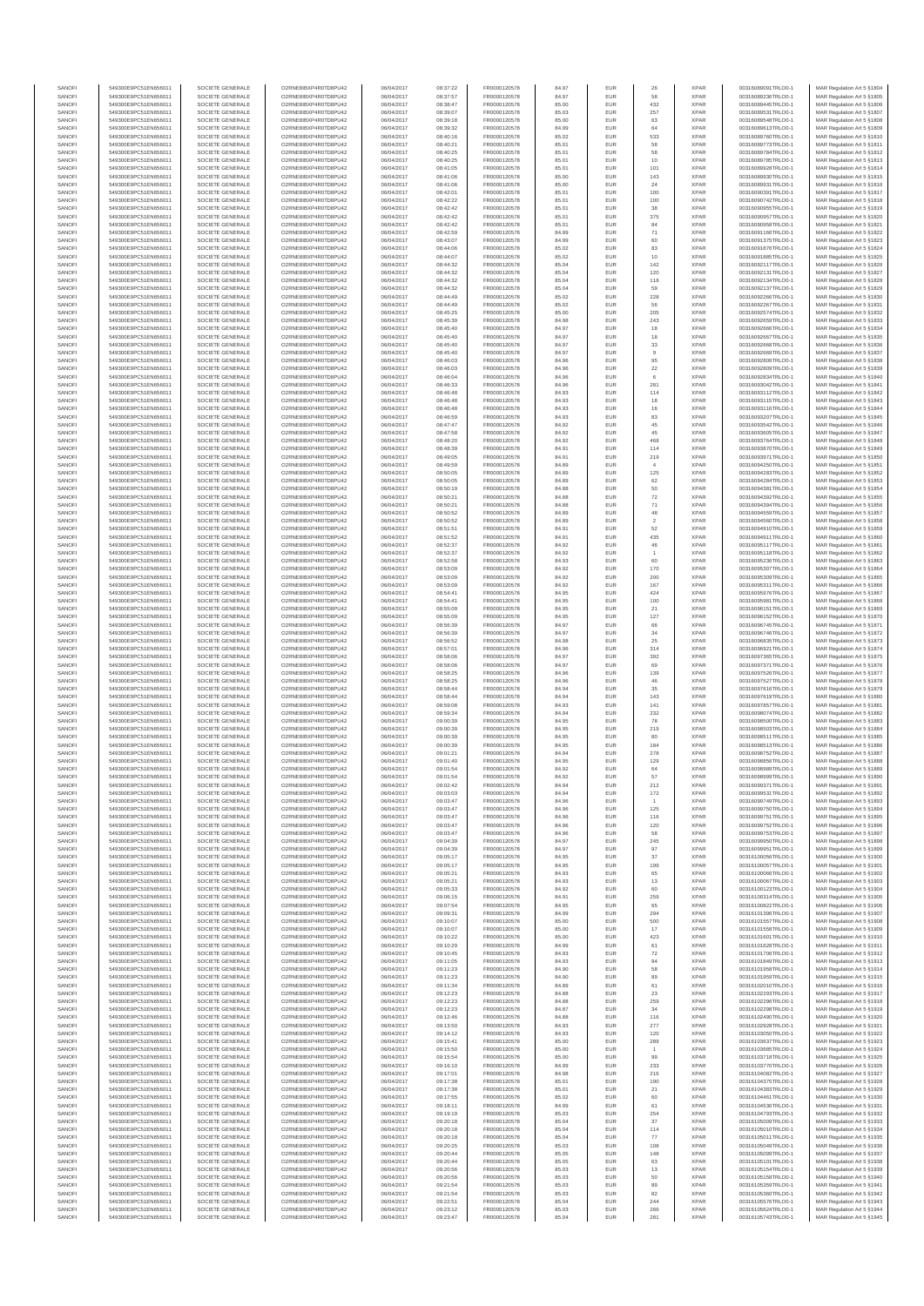| SANOFI<br>SANOFI | 549300E9PC51EN656011<br>549300E9PC51EN656011 | SOCIETE GENERALE<br>SOCIETE GENERALE | O2RNE8IBXP4R0TD8PU42<br>O2RNE8IBXP4R0TD8PU42  | 06/04/2017<br>06/04/2017 | 08:37:22<br>08:37:57 | FR0000120578<br>FR0000120578 | 84.97<br>84.97 | EUR<br>EUR        | 26                       | <b>XPAR</b><br><b>XPAR</b> | 00316089091TRLO0-1<br>00316089236TRLO0-1 | MAR Regulation Art 5 §1804<br>MAR Regulation Art 5 §1805  |
|------------------|----------------------------------------------|--------------------------------------|-----------------------------------------------|--------------------------|----------------------|------------------------------|----------------|-------------------|--------------------------|----------------------------|------------------------------------------|-----------------------------------------------------------|
| SANOFI           | 549300E9PC51EN656011                         | SOCIETE GENERALE                     | O2RNE8IBXP4R0TD8PU42                          | 06/04/2017               | 08:38:47             | FR0000120578                 | 85.00          | <b>EUR</b>        | 432                      | <b>XPAR</b>                | 00316089445TRLO0-1                       | MAR Regulation Art 5 §1806                                |
| SANOFI           | 549300E9PC51EN656011                         | SOCIETE GENERALE                     | O2RNE8IBXP4R0TD8PU42                          | 06/04/2017               | 08:39:07             | FR0000120578                 | 85.03          | EUR               | 257                      | <b>XPAR</b>                | 00316089531TRLO0-1                       | MAR Regulation Art 5 \$1807                               |
| SANOFI<br>SANOFI | 549300E9PC51EN656011<br>549300E9PC51EN656011 | SOCIETE GENERALE<br>SOCIETE GENERALE | O2RNE8IBXP4R0TD8PU42<br>O2RNE8IBXP4R0TD8PU42  | 06/04/2017<br>06/04/2017 | 08:39:18<br>08:39:32 | FR0000120578<br>FR0000120578 | 85.00<br>84.99 | EUR<br>EUR        | 63<br>64                 | <b>XPAR</b><br><b>XPAR</b> | 00316089548TRLO0-1<br>00316089613TRLO0-1 | MAR Regulation Art 5 §1808<br>MAR Regulation Art 5 §1809  |
| SANOFI           | 549300E9PC51EN656011                         | SOCIETE GENERALE                     | O2RNE8IBXP4R0TD8PLI42                         | 06/04/2017               | 08:40:16             | FR0000120578                 | 85.02          | EUR               | 533                      | <b>XPAR</b>                | 00316089760TRLO0-1                       | MAR Regulation Art 5 §1810                                |
| SANOFI<br>SANOFI | 549300E9PC51EN656011<br>549300E9PC51EN656011 | SOCIETE GENERALE<br>SOCIETE GENERALE | O2RNE8IBXP4R0TD8PU42<br>O2RNE8IBXP4R0TD8PU42  | 06/04/2017               | 08:40:21             | FR0000120578<br>FR0000120578 | 85.01          | EUR<br>EUR        | 58<br>58                 | <b>XPAR</b><br><b>XPAR</b> | 00316089773TRLO0-1<br>00316089784TRLO0-1 | MAR Regulation Art 5 §1811<br>MAR Regulation Art 5 §1812  |
| SANOFI           | 549300E9PC51EN656011                         | SOCIETE GENERALE                     | O2RNE8IBXP4R0TD8PU42                          | 06/04/2017<br>06/04/2017 | 08:40:25<br>08:40:25 | FR0000120578                 | 85.01<br>85.01 | EUR               | 10                       | <b>XPAR</b>                | 00316089785TRLO0-1                       | MAR Regulation Art 5 §1813                                |
| SANOFI           | 549300E9PC51EN656011                         | SOCIETE GENERALE                     | O2RNE8IBXP4R0TD8PU42                          | 06/04/2017               | 08:41:05             | FR0000120578                 | 85.01          | EUR               | 101                      | <b>XPAR</b>                | 00316089928TRLO0-1                       | MAR Regulation Art 5 §1814                                |
| SANOFI<br>SANOFI | 549300E9PC51EN656011<br>549300E9PC51EN656011 | SOCIETE GENERALE<br>SOCIETE GENERALE | O2RNE8IBXP4R0TD8PU42<br>O2RNE8IBXP4R0TD8PU42  | 06/04/2017<br>06/04/2017 | 08:41:06<br>08:41:06 | FR0000120578<br>FR0000120578 | 85.00<br>85.00 | EUR<br>EUR        | 143<br>24                | <b>XPAR</b><br><b>XPAR</b> | 00316089930TRLO0-1<br>00316089931TRLO0-1 | MAR Regulation Art 5 §1815<br>MAR Regulation Art 5 §1816  |
| SANOFI           | 549300E9PC51EN656011                         | SOCIETE GENERALE                     | O2RNE8IBXP4R0TD8PU42                          | 06/04/2017               | 08:42:01             | FR0000120578                 | 85.01          | EUR               | 100                      | <b>XPAR</b>                | 00316090391TRLO0-1                       | MAR Regulation Art 5 §1817                                |
| SANOFI           | 549300E9PC51EN656011                         | SOCIETE GENERALE                     | O2RNE8IBXP4R0TD8PU42                          | 06/04/2017               | 08:42:22             | FR0000120578                 | 85.01          | EUR               | 100                      | <b>XPAR</b>                | 00316090742TRLO0-1                       | MAR Regulation Art 5 §1818                                |
| SANOFI<br>SANOFI | 549300E9PC51EN656011<br>549300E9PC51EN656011 | SOCIETE GENERALE<br>SOCIETE GENERALE | O2RNE8IBXP4R0TD8PU42<br>O2RNE8IBXP4R0TD8PU42  | 06/04/2017<br>06/04/2017 | 08:42:42<br>08:42:42 | FR0000120578<br>FR0000120578 | 85.01<br>85.01 | EUR<br>EUR        | 38<br>375                | <b>XPAR</b><br><b>XPAR</b> | 00316090955TRLO0-1<br>00316090957TRLO0-1 | MAR Regulation Art 5 §1819<br>MAR Regulation Art 5 §1820  |
| SANOFI           | 549300E9PC51EN656011                         | SOCIETE GENERALE                     | O2RNE8IBXP4R0TD8PU42                          | 06/04/2017               | 08:42:42             | FR0000120578                 | 85.01          | EUR               | 84                       | <b>XPAR</b>                | 00316090958TRLO0-1                       | MAR Regulation Art 5 §1821                                |
| SANOFI           | 549300E9PC51EN656011                         | SOCIETE GENERALE                     | O2RNE8IBXP4R0TD8PU42                          | 06/04/2017               | 08:42:59             | FR0000120578                 | 84.99          | EUR               | $71\,$                   | <b>XPAR</b>                | 00316091166TRLO0-1                       | MAR Regulation Art 5 §1822                                |
| SANOFI<br>SANOFI | 549300E9PC51EN656011<br>549300E9PC51EN656011 | SOCIETE GENERALE<br>SOCIETE GENERALE | O2RNE8IBXP4R0TD8PU42<br>O2RNE8IBXP4R0TD8PU42  | 06/04/2017<br>06/04/2017 | 08:43:07<br>08:44:06 | FR0000120578<br>FR0000120578 | 84.99<br>85.02 | EUR<br>EUR        | 60<br>83                 | <b>XPAR</b><br><b>XPAR</b> | 00316091375TRLO0-1<br>00316091876TRLO0-1 | MAR Regulation Art 5 §1823<br>MAR Regulation Art 5 §1824  |
| SANOFI           | 549300E9PC51EN656011                         | SOCIETE GENERALE                     | O2RNE8IBXP4R0TD8PU42                          | 06/04/2017               | 08:44:07             | FR0000120578                 | 85.02          | EUR               | 10                       | <b>XPAR</b>                | 00316091885TRLO0-1                       | MAR Regulation Art 5 §1825                                |
| SANOFI<br>SANOFI | 549300E9PC51EN656011<br>549300E9PC51EN656011 | SOCIETE GENERALE<br>SOCIETE GENERALE | O2RNE8IBXP4R0TD8PU42<br>O2RNE8IBXP4R0TD8PU42  | 06/04/2017<br>06/04/2017 | 08:44:32<br>08:44:32 | FR0000120578<br>FR0000120578 | 85.04<br>85.04 | EUR<br>EUR        | 142<br>120               | <b>XPAR</b><br><b>XPAR</b> | 00316092117TRLO0-1<br>00316092131TRLO0-1 | MAR Regulation Art 5 §1826<br>MAR Regulation Art 5 §1827  |
| SANOFI           | 549300E9PC51EN656011                         | SOCIETE GENERALE                     | O2RNE8IBXP4R0TD8PU42                          | 06/04/2017               | 08:44:32             | FR0000120578                 | 85.04          | EUR               | 118                      | <b>XPAR</b>                | 00316092134TRLO0-1                       | MAR Regulation Art 5 §1828                                |
| SANOFI           | 549300E9PC51EN656011                         | SOCIETE GENERALE                     | O2RNE8IBXP4R0TD8PU42                          | 06/04/2017               | 08:44:32             | FR0000120578                 | 85.04          | EUR               | 59                       | <b>XPAR</b>                | 00316092137TRLO0-1                       | MAR Regulation Art 5 §1829                                |
| SANOFI<br>SANOFI | 549300E9PC51EN656011<br>549300E9PC51EN656011 | SOCIETE GENERALE<br>SOCIETE GENERALE | O2RNE8IBXP4R0TD8PU42<br>O2RNE8IBXP4R0TD8PU42  | 06/04/2017<br>06/04/2017 | 08:44:49<br>08:44:49 | FR0000120578<br>FR0000120578 | 85.02<br>85.02 | EUR<br>EUR        | 228<br>56                | <b>XPAR</b><br><b>XPAR</b> | 00316092266TRLO0-1<br>00316092267TRLO0-1 | MAR Regulation Art 5 §1830<br>MAR Regulation Art 5 §1831  |
| SANOFI           | 549300E9PC51EN656011                         | SOCIETE GENERALE                     | O2RNE8IBXP4R0TD8PU42                          | 06/04/2017               | 08:45:25             | FR0000120578                 | 85.00          | EUR               | 205                      | <b>XPAR</b>                | 00316092574TRLO0-1                       | MAR Regulation Art 5 §1832                                |
| SANOFI<br>SANOFI | 549300E9PC51EN656011<br>549300E9PC51EN656011 | SOCIETE GENERALE<br>SOCIETE GENERALE | O2RNE8IBXP4R0TD8PU42<br>O2RNE8IBXP4R0TD8PU42  | 06/04/2017<br>06/04/2017 | 08:45:39<br>08:45:40 | FR0000120578<br>FR0000120578 | 84.98<br>84.97 | EUR<br>EUR        | 243                      | <b>XPAR</b><br><b>XPAR</b> | 00316092659TRLO0-1<br>00316092666TRLO0-1 | MAR Regulation Art 5 §1833                                |
| SANOFI           | 549300E9PC51EN656011                         | SOCIETE GENERALE                     | O2RNE8IBXP4R0TD8PU42                          | 06/04/2017               | 08:45:40             | FR0000120578                 | 84.97          | EUR               | 18<br>18                 | <b>XPAR</b>                | 00316092667TRLO0-1                       | MAR Regulation Art 5 §1834<br>MAR Regulation Art 5 §1835  |
| SANOFI           | 549300E9PC51EN656011                         | SOCIETE GENERALE                     | O2RNE8IBXP4R0TD8PU42                          | 06/04/2017               | 08:45:40             | FR0000120578                 | 84.97          | EUR               | 33                       | <b>XPAR</b>                | 00316092668TRLO0-1                       | MAR Regulation Art 5 §1836                                |
| SANOFI<br>SANOFI | 549300E9PC51EN656011<br>549300E9PC51EN656011 | SOCIETE GENERALE<br>SOCIETE GENERALE | O2RNE8IBXP4R0TD8PU42<br>O2RNE8IBXP4R0TD8PU42  | 06/04/2017<br>06/04/2017 | 08:45:40<br>08:46:03 | FR0000120578<br>FR0000120578 | 84.97<br>84.96 | EUR<br>EUR        | $\overline{9}$<br>95     | <b>XPAR</b><br><b>XPAR</b> | 00316092669TRLO0-1<br>00316092806TRLO0-1 | MAR Regulation Art 5 §1837<br>MAR Regulation Art 5 §1838  |
| SANOFI           | 549300E9PC51EN656011                         | SOCIETE GENERALE                     | O2RNE8IBXP4R0TD8PU42                          | 06/04/2017               | 08:46:03             | FR0000120578                 | 84.96          | EUR               | $22\,$                   | <b>XPAR</b>                | 00316092809TRLO0-1                       | MAR Regulation Art 5 §1839                                |
| SANOFI<br>SANOFI | 549300E9PC51EN656011<br>549300E9PC51EN656011 | SOCIETE GENERALE<br>SOCIETE GENERALE | O2RNE8IBXP4R0TD8PU42<br>O2RNE8IBXP4R0TD8PU42  | 06/04/2017<br>06/04/2017 | 08:46:04<br>08:46:33 | FR0000120578<br>FR0000120578 | 84.96<br>84.96 | EUR<br>EUR        | 6<br>281                 | <b>XPAR</b><br><b>XPAR</b> | 00316092834TRLO0-1<br>00316093042TRLO0-1 | MAR Regulation Art 5 §1840                                |
| SANOFI           | 549300E9PC51EN656011                         | SOCIETE GENERALE                     | O2RNE8IBXP4R0TD8PU42                          | 06/04/2017               | 08:46:48             | FR0000120578                 | 84.93          | EUR               | 114                      | <b>XPAR</b>                | 00316093112TRLO0-1                       | MAR Regulation Art 5 §1841<br>MAR Regulation Art 5 \$1842 |
| SANOFI           | 549300E9PC51EN656011                         | SOCIETE GENERALE                     | O2RNE8IBXP4R0TD8PU42                          | 06/04/2017               | 08:46:48             | FR0000120578                 | 84.93          | EUR               | $18\,$                   | <b>XPAR</b>                | 00316093115TRLO0-1                       | MAR Regulation Art 5 §1843                                |
| SANOFI<br>SANOFI | 549300E9PC51EN656011<br>549300E9PC51EN656011 | SOCIETE GENERALE<br>SOCIETE GENERALE | O2RNE8IBXP4R0TD8PU42<br>O2RNE8IBXP4R0TD8PU42  | 06/04/2017<br>06/04/2017 | 08:46:48<br>08:46:59 | FR0000120578<br>FR0000120578 | 84.93<br>84.93 | EUR<br>EUR        | 16<br>83                 | <b>XPAR</b><br><b>XPAR</b> | 00316093116TRLO0-1<br>00316093207TRLO0-1 | MAR Regulation Art 5 §1844<br>MAR Regulation Art 5 §1845  |
| SANOFI           | 549300E9PC51EN656011                         | SOCIETE GENERALE                     | O2RNE8IBXP4R0TD8PU42                          | 06/04/2017               | 08:47:47             | FR0000120578                 | 84.92          | EUR               | 45                       | <b>XPAR</b>                | 00316093542TRLO0-1                       | MAR Regulation Art 5 §1846                                |
| SANOFI<br>SANOFI | 549300E9PC51EN656011<br>549300E9PC51EN656011 | SOCIETE GENERALE<br>SOCIETE GENERALE | O2RNE8IBXP4R0TD8PU42<br>O2RNE8IBXP4R0TD8PU42  | 06/04/2017<br>06/04/2017 | 08:47:58<br>08:48:20 | FR0000120578<br>FR0000120578 | 84.92<br>84.92 | EUR<br>EUR        | 45<br>468                | <b>XPAR</b><br><b>XPAR</b> | 00316093605TRLO0-1<br>00316093764TRLO0-1 | MAR Regulation Art 5 §1847                                |
| SANOFI           | 549300E9PC51EN656011                         | SOCIETE GENERALE                     | O2RNE8IBXP4R0TD8PU42                          | 06/04/2017               | 08:48:39             | FR0000120578                 | 84.91          | EUR               | 114                      | <b>XPAR</b>                | 00316093870TRLO0-1                       | MAR Regulation Art 5 §1848<br>MAR Regulation Art 5 §1849  |
| SANOFI           | 549300E9PC51EN656011                         | SOCIETE GENERALE                     | O2RNE8IBXP4R0TD8PU42                          | 06/04/2017               | 08:49:05             | FR0000120578                 | 84.91          | EUR               | 219                      | <b>XPAR</b>                | 00316093971TRLO0-1                       | MAR Regulation Art 5 §1850                                |
| SANOFI<br>SANOFI | 549300E9PC51EN656011<br>549300E9PC51EN656011 | SOCIETE GENERALE<br>SOCIETE GENERALE | O2RNE8IBXP4R0TD8PU42<br>O2RNE8IBXP4R0TD8PU42  | 06/04/2017<br>06/04/2017 | 08:49:59<br>08:50:05 | FR0000120578<br>FR0000120578 | 84.89<br>84.89 | EUR<br>EUR        | 125                      | <b>XPAR</b><br><b>XPAR</b> | 00316094250TRLO0-1<br>00316094283TRLO0-1 | MAR Regulation Art 5 §1851<br>MAR Regulation Art 5 §1852  |
| SANOFI           | 549300E9PC51EN656011                         | SOCIETE GENERALE                     | O2RNE8IBXP4R0TD8PU42                          | 06/04/2017               | 08:50:05             | FR0000120578                 | 84.89          | EUR               | 62                       | <b>XPAR</b>                | 00316094284TRLO0-1                       | MAR Regulation Art 5 §1853                                |
| SANOFI           | 549300E9PC51EN656011                         | SOCIETE GENERALE                     | O2RNE8IBXP4R0TD8PU42                          | 06/04/2017               | 08:50:19             | FR0000120578                 | 84.88          | EUR               | 50                       | <b>XPAR</b>                | 00316094381TRLO0-1                       | MAR Regulation Art 5 §1854                                |
| SANOFI<br>SANOFI | 549300E9PC51EN656011<br>549300E9PC51EN656011 | SOCIETE GENERALE<br>SOCIETE GENERALE | O2RNE8IBXP4R0TD8PLI42<br>O2RNE8IBXP4R0TD8PU42 | 06/04/2017<br>06/04/2017 | 08:50:21<br>08:50:21 | FR0000120578<br>FR0000120578 | 84.88<br>84.88 | EUR<br>EUR        | 72<br>$71\,$             | <b>XPAR</b><br><b>XPAR</b> | 00316094392TRLO0-1<br>00316094394TRLO0-1 | MAR Regulation Art 5 §1855<br>MAR Regulation Art 5 §1856  |
| SANOFI           | 549300E9PC51EN656011                         | SOCIETE GENERALE                     | O2RNE8IBXP4R0TD8PU42                          | 06/04/2017               | 08:50:52             | FR0000120578                 | 84.89          | EUR               | 48                       | <b>XPAR</b>                | 00316094559TRLO0-1                       | MAR Regulation Art 5 §1857                                |
| SANOFI           | 549300E9PC51EN656011<br>549300E9PC51EN656011 | SOCIETE GENERALE                     | O2RNE8IBXP4R0TD8PU42                          | 06/04/2017               | 08:50:52             | FR0000120578                 | 84.89          | EUR               | $\overline{2}$           | <b>XPAR</b>                | 00316094560TRLO0-1                       | MAR Regulation Art 5 §1858                                |
| SANOFI<br>SANOFI | 549300E9PC51EN656011                         | SOCIETE GENERALE<br>SOCIETE GENERALE | O2RNE8IBXP4R0TD8PU42<br>O2RNE8IBXP4R0TD8PU42  | 06/04/2017<br>06/04/2017 | 08:51:51<br>08:51:52 | FR0000120578<br>FR0000120578 | 84.91<br>84.91 | EUR<br>EUR        | 52<br>435                | <b>XPAR</b><br><b>XPAR</b> | 00316094910TRLO0-1<br>00316094911TRLO0-1 | MAR Regulation Art 5 §1859<br>MAR Regulation Art 5 §1860  |
| SANOFI           | 549300E9PC51EN656011                         | SOCIETE GENERALE                     | O2RNE8IBXP4R0TD8PU42                          | 06/04/2017               | 08:52:37             | FR0000120578                 | 84.92          | EUR               | 46                       | <b>XPAR</b>                | 00316095117TRLO0-1                       | MAR Regulation Art 5 §1861                                |
| SANOFI<br>SANOFI | 549300E9PC51EN656011<br>549300E9PC51EN656011 | SOCIETE GENERALE<br>SOCIETE GENERALE | O2RNE8IBXP4R0TD8PU42<br>O2RNE8IBXP4R0TD8PU42  | 06/04/2017<br>06/04/2017 | 08:52:37<br>08:52:58 | FR0000120578<br>FR0000120578 | 84.92<br>84.93 | EUR<br>EUR        | 60                       | <b>XPAR</b><br><b>XPAR</b> | 00316095118TRLO0-1<br>00316095236TRLO0-1 | MAR Regulation Art 5 §1862<br>MAR Regulation Art 5 §1863  |
| SANOFI           | 549300E9PC51EN656011                         | SOCIETE GENERALE                     | O2RNE8IBXP4R0TD8PU42                          | 06/04/2017               | 08:53:09             | FR0000120578                 | 84.92          | EUR               | 170                      | <b>XPAR</b>                | 00316095307TRLO0-1                       | MAR Regulation Art 5 §1864                                |
| SANOFI<br>SANOFI | 549300E9PC51EN656011<br>549300E9PC51EN656011 | SOCIETE GENERALE<br>SOCIETE GENERALE | O2RNE8IBXP4R0TD8PU42<br>O2RNE8IBXP4R0TD8PU42  | 06/04/2017<br>06/04/2017 | 08:53:09<br>08:53:09 | FR0000120578<br>FR0000120578 | 84.92<br>84.92 | EUR<br>EUR        | 200<br>167               | <b>XPAR</b><br><b>XPAR</b> | 00316095309TRLO0-1<br>00316095311TRLO0-1 | MAR Regulation Art 5 §1865<br>MAR Regulation Art 5 §1866  |
| SANOFI           | 549300E9PC51EN656011                         | SOCIETE GENERALE                     | O2RNE8IBXP4R0TD8PU42                          | 06/04/2017               | 08:54:41             | FR0000120578                 | 84.95          | EUR               | 424                      | <b>XPAR</b>                | 00316095976TRLO0-1                       | MAR Regulation Art 5 §1867                                |
| SANOFI           | 549300E9PC51EN656011                         | SOCIETE GENERALE                     | O2RNE8IBXP4R0TD8PU42                          | 06/04/2017               | 08:54:41             | FR0000120578                 | 84.95          | EUR               | 100                      | <b>XPAR</b>                | 00316095981TRLO0-1                       | MAR Regulation Art 5 §1868                                |
| SANOFI<br>SANOFI | 549300E9PC51EN656011<br>549300E9PC51EN656011 | SOCIETE GENERALE<br>SOCIETE GENERALE | O2RNE8IBXP4R0TD8PU42<br>O2RNE8IBXP4R0TD8PU42  | 06/04/2017<br>06/04/2017 | 08:55:09<br>08:55:09 | FR0000120578<br>FR0000120578 | 84.95<br>84.95 | EUR<br>EUR        | 21<br>127                | <b>XPAR</b><br><b>XPAR</b> | 00316096151TRLO0-1<br>00316096152TRLO0-1 | MAR Regulation Art 5 §1869<br>MAR Regulation Art 5 §1870  |
| SANOFI           | 549300E9PC51EN656011                         | SOCIETE GENERALE                     | O2RNE8IBXP4R0TD8PU42                          | 06/04/2017               | 08:56:39             | FR0000120578                 | 84.97          | EUR               | 66                       | <b>XPAR</b>                | 00316096745TRLO0-1                       | MAR Regulation Art 5 §1871                                |
| SANOFI<br>SANOFI | 549300E9PC51EN656011<br>549300E9PC51EN656011 | SOCIETE GENERALE<br>SOCIETE GENERALE | O2RNE8IBXP4R0TD8PU42<br>O2RNE8IBXP4R0TD8PU42  | 06/04/2017<br>06/04/2017 | 08:56:39<br>08:56:52 | FR0000120578<br>FR0000120578 | 84.97<br>84.98 | EUR<br>EUR        | $_{\rm 34}$<br>25        | <b>XPAR</b><br><b>XPAR</b> | 00316096746TRLO0-1<br>00316096835TRLO0-1 | MAR Regulation Art 5 §1872<br>MAR Regulation Art 5 §1873  |
| SANOFI           | 549300E9PC51EN656011                         | SOCIETE GENERALE                     | O2RNE8IBXP4R0TD8PU42                          | 06/04/2017               | 08:57:01             | FR0000120578                 | 84.96          | EUR               | 314                      | <b>XPAR</b>                | 00316096921TRLO0-1                       | MAR Regulation Art 5 §1874                                |
| SANOFI<br>SANOFI | 549300E9PC51EN656011<br>549300E9PC51EN656011 | SOCIETE GENERALE<br>SOCIETE GENERALE | O2RNE8IBXP4R0TD8PU42<br>O2RNE8IBXP4R0TD8PU42  | 06/04/2017<br>06/04/2017 | 08:58:06<br>08:58:06 | FR0000120578                 | 84.97<br>84.97 | EUR               | 392<br>69                | <b>XPAR</b><br><b>XPAR</b> | 00316097365TRLO0-1                       | MAR Regulation Art 5 §1875                                |
| SANOFI           | 549300E9PC51EN656011                         | SOCIETE GENERALE                     | O2RNE8IBXP4R0TD8PU42                          | 06/04/2017               | 08:58:25             | FR0000120578<br>FR0000120578 | 84.96          | EUR<br>EUR        | 139                      | <b>XPAR</b>                | 00316097371TRLO0-1<br>00316097526TRLO0-1 | MAR Regulation Art 5 §1876<br>MAR Regulation Art 5 §1877  |
| SANOFI           | 549300E9PC51EN656011                         | SOCIETE GENERALE                     | O2RNE8IBXP4R0TD8PU42                          | 06/04/2017               | 08:58:25             | FR0000120578                 | 84.96          | EUR               | 46                       | <b>XPAR</b>                | 00316097527TRLO0-1                       | MAR Regulation Art 5 §1878                                |
| SANOFI<br>SANOFI | 549300E9PC51EN656011<br>549300E9PC51EN656011 | SOCIETE GENERALE<br>SOCIETE GENERALE | O2RNE8IBXP4R0TD8PU42<br>O2RNE8IBXP4R0TD8PU42  | 06/04/2017<br>06/04/2017 | 08:58:44<br>08:58:44 | FR0000120578<br>FR0000120578 | 84.94<br>84.94 | EUR<br>EUR        | 35<br>143                | <b>XPAR</b><br><b>XPAR</b> | 00316097616TRLO0-1<br>00316097619TRLO0-1 | MAR Regulation Art 5 §1879<br>MAR Regulation Art 5 §1880  |
| SANOFI           | 549300E9PC51EN656011                         | SOCIETE GENERALE                     | O2RNE8IBXP4R0TD8PU42                          | 06/04/2017               | 08:59:08             | FR0000120578                 | 84.93          | EUR               | 141                      | <b>XPAR</b>                | 00316097857TRLO0-1                       | MAR Regulation Art 5 §1881                                |
| SANOFI<br>SANOFI | 549300E9PC51EN656011<br>549300E9PC51EN656011 | SOCIETE GENERALE<br>SOCIETE GENERALE | O2RNE8IBXP4R0TD8PU42<br>O2RNE8IBXP4R0TD8PU42  | 06/04/2017<br>06/04/2017 | 08:59:34<br>09:00:39 | FR0000120578<br>FR0000120578 | 84.94<br>84.95 | EUR<br>EUR        | 232<br>78                | <b>XPAR</b><br><b>XPAR</b> | 00316098074TRLO0-1<br>00316098500TRLO0-1 | MAR Regulation Art 5 §1882<br>MAR Regulation Art 5 §1883  |
| SANOFI           | 549300E9PC51EN656011                         | SOCIETE GENERALE                     | O2RNE8IBXP4R0TD8PU42                          | 06/04/2017               | 09:00:39             | FR0000120578                 | 84.95          | EUR               | 219                      | <b>XPAR</b>                | 00316098503TRLO0-1                       | MAR Regulation Art 5 §1884                                |
| SANOFI<br>SANOFI | 549300E9PC51EN656011<br>549300E9PC51EN656011 | SOCIETE GENERALE<br>SOCIETE GENERALE | O2RNE8IBXP4R0TD8PU42<br>O2RNE8IBXP4R0TD8PU42  | 06/04/2017<br>06/04/2017 | 09:00:39<br>09:00:39 | FR0000120578                 | 84.95          | EUR               | 80                       | <b>XPAR</b><br><b>XPAR</b> | 00316098511TRLO0-1<br>00316098513TRLO0-1 | MAR Regulation Art 5 §1885                                |
| SANOFI           | 549300E9PC51EN656011                         | SOCIETE GENERALE                     | O2RNE8IBXP4R0TD8PU42                          | 06/04/2017               | 09:01:21             | FR0000120578<br>FR0000120578 | 84.95<br>84.94 | EUR<br>EUR        | 184<br>278               | <b>XPAR</b>                | 00316098752TRLO0-1                       | MAR Regulation Art 5 §1886<br>MAR Regulation Art 5 §1887  |
| SANOFI           | 549300E9PC51EN656011                         | SOCIETE GENERALE                     | O2RNE8IBXP4R0TD8PU42                          | 06/04/2017               | 09:01:40             | FR0000120578                 | 84.95          | EUR               | 129                      | <b>XPAR</b>                | 00316098856TRLO0-1                       | MAR Regulation Art 5 §1888                                |
| SANOFI<br>SANOFI | 549300E9PC51EN656011<br>549300E9PC51EN656011 | SOCIETE GENERALE<br>SOCIETE GENERALE | O2RNE8IBXP4R0TD8PU42<br>O2RNE8IBXP4R0TD8PU42  | 06/04/2017<br>06/04/2017 | 09:01:54<br>09:01:54 | FR0000120578<br>FR0000120578 | 84.92<br>84.92 | EUR<br><b>EUR</b> | 64<br>57                 | <b>XPAR</b><br><b>XPAR</b> | 00316098989TRLO0-1<br>00316098999TRLO0-1 | MAR Regulation Art 5 §1889<br>MAR Regulation Art 5 §1890  |
| <b>SANOF</b>     | 549300E9PC51EN656011                         | SOCIETE GENERALE                     | O2RNE8IBXP4R0TD8PU42                          | 06/04/2017               | 09:02:42             | FR0000120578                 | 84.94          | EUR               | 212                      | <b>XPAR</b>                | 00316099371TRLO0-1                       | MAR Regulation Art 5 §1891                                |
| SANOFI<br>SANOFI | 549300E9PC51EN656011<br>549300E9PC51EN656011 | SOCIETE GENERALE<br>SOCIETE GENERALE | O2RNE8IBXP4R0TD8PU42<br>O2RNE8IBXP4R0TD8PU42  | 06/04/2017<br>06/04/2017 | 09:03:03<br>09:03:47 | FR0000120578<br>FR0000120578 | 84.94<br>84.96 | <b>EUR</b><br>EUR | 172                      | <b>XPAR</b><br><b>XPAR</b> | 00316099531TRLO0-1<br>00316099749TRLO0-1 | MAR Regulation Art 5 §1892<br>MAR Regulation Art 5 §1893  |
| SANOFI           | 549300E9PC51EN656011                         | SOCIETE GENERALE                     | O2RNE8IBXP4R0TD8PU42                          | 06/04/2017               | 09:03:47             | FR0000120578                 | 84.96          | EUR               | 125                      | <b>XPAR</b>                | 00316099750TRLO0-1                       | MAR Regulation Art 5 §1894                                |
| SANOFI<br>SANOFI | 549300E9PC51EN656011<br>549300E9PC51EN656011 | SOCIETE GENERALE<br>SOCIETE GENERALE | O2RNE8IBXP4R0TD8PU42<br>O2RNE8IBXP4R0TD8PU42  | 06/04/2017<br>06/04/2017 | 09:03:47<br>09:03:47 | FR0000120578<br>FR0000120578 | 84.96<br>84.96 | EUR<br>EUR        | 116<br>120               | <b>XPAR</b><br><b>XPAR</b> | 00316099751TRLO0-1<br>00316099752TRLO0-1 | MAR Regulation Art 5 §1895<br>MAR Regulation Art 5 §1896  |
| SANOFI           | 549300E9PC51EN656011                         | SOCIETE GENERALE                     | O2RNE8IBXP4R0TD8PU42                          | 06/04/2017               | 09:03:47             | FR0000120578                 | 84.96          | EUR               | 58                       | <b>XPAR</b>                | 00316099753TRLO0-1                       | MAR Regulation Art 5 §1897                                |
| SANOFI           | 549300E9PC51EN656011                         | SOCIETE GENERALE                     | O2RNE8IBXP4R0TD8PU42                          | 06/04/2017               | 09:04:39             | FR0000120578                 | 84.97          | EUR               | 245                      | <b>XPAR</b>                | 00316099950TRLO0-1<br>00316099951TRLO0-1 | MAR Regulation Art 5 §1898                                |
| SANOFI<br>SANOFI | 549300E9PC51EN656011<br>549300E9PC51EN656011 | SOCIETE GENERALE<br>SOCIETE GENERALE | O2RNE8IBXP4R0TD8PU42<br>O2RNE8IBXP4R0TD8PU42  | 06/04/2017<br>06/04/2017 | 09:04:39<br>09:05:17 | FR0000120578<br>FR0000120578 | 84.97<br>84.95 | EUR<br>EUR        | 97<br>37                 | <b>XPAR</b><br><b>XPAR</b> | 00316100056TRLO0-1                       | MAR Regulation Art 5 §1899<br>MAR Regulation Art 5 §1900  |
| SANOFI           | 549300E9PC51EN656011                         | SOCIETE GENERALE                     | O2RNE8IBXP4R0TD8PLI42                         | 06/04/2017               | 09:05:17             | FR0000120578                 | 84.95          | EUR               | 199                      | <b>XPAR</b>                | 00316100057TRLO0-1                       | MAR Regulation Art 5 §1901                                |
| SANOFI<br>SANOFI | 549300E9PC51EN656011<br>549300E9PC51EN656011 | SOCIETE GENERALE<br>SOCIETE GENERALE | O2RNE8IBXP4R0TD8PU42<br>O2RNE8IBXP4R0TD8PU42  | 06/04/2017<br>06/04/2017 | 09:05:21<br>09:05:21 | FR0000120578<br>FR0000120578 | 84.93<br>84.93 | EUR<br>EUR        | 65<br>13                 | <b>XPAR</b><br><b>XPAR</b> | 00316100066TRLO0-1<br>00316100067TRLO0-1 | MAR Regulation Art 5 §1902<br>MAR Regulation Art 5 §1903  |
| SANOFI           | 549300E9PC51EN656011                         | SOCIETE GENERALE                     | O2RNE8IBXP4R0TD8PU42                          | 06/04/2017               | 09:05:33             | FR0000120578                 | 84.92          | EUR               | 60                       | <b>XPAR</b>                | 00316100123TRLO0-1                       | MAR Regulation Art 5 §1904                                |
| SANOFI<br>SANOFI | 549300E9PC51EN656011<br>549300E9PC51EN656011 | SOCIETE GENERALE<br>SOCIETE GENERALE | O2RNE8IBXP4R0TD8PU42<br>O2RNE8IBXP4R0TD8PU42  | 06/04/2017<br>06/04/2017 | 09:06:15<br>09:07:54 | FR0000120578<br>FR0000120578 | 84.91<br>84.95 | EUR<br>EUR        | 259<br>65                | <b>XPAR</b><br><b>XPAR</b> | 00316100314TRLO0-1<br>00316100822TRLO0-1 | MAR Regulation Art 5 \$1905<br>MAR Regulation Art 5 §1906 |
| SANOFI           | 549300E9PC51EN656011                         | SOCIETE GENERALE                     | O2RNE8IBXP4R0TD8PU42                          | 06/04/2017               | 09:09:31             | FR0000120578                 | 84.99          | EUR               | 294                      | <b>XPAR</b>                | 00316101396TRLO0-1                       | MAR Regulation Art 5 §1907                                |
| SANOFI<br>SANOFI | 549300E9PC51EN656011<br>549300E9PC51EN656011 | SOCIETE GENERALE<br>SOCIETE GENERALE | O2RNE8IBXP4R0TD8PU42<br>O2RNE8IBXP4R0TD8PU42  | 06/04/2017<br>06/04/2017 | 09:10:07<br>09:10:07 | FR0000120578<br>FR0000120578 | 85.00<br>85.00 | EUR<br>EUR        | 500<br>17                | <b>XPAR</b><br><b>XPAR</b> | 00316101557TRLO0-1<br>00316101558TRLO0-1 | MAR Regulation Art 5 §1908<br>MAR Regulation Art 5 §1909  |
| SANOFI           | 549300E9PC51EN656011                         | SOCIETE GENERALE                     | O2RNE8IBXP4R0TD8PU42                          | 06/04/2017               | 09:10:22             | FR0000120578                 | 85.00          | <b>EUR</b>        | 423                      | <b>XPAR</b>                | 00316101601TRLO0-1                       | MAR Regulation Art 5 §1910                                |
| SANOFI<br>SANOFI | 549300E9PC51EN656011<br>549300E9PC51EN656011 | SOCIETE GENERALE<br>SOCIETE GENERALE | O2RNE8IBXP4R0TD8PU42<br>O2RNE8IBXP4R0TD8PU42  | 06/04/2017<br>06/04/2017 | 09:10:29<br>09:10:45 | FR0000120578<br>FR0000120578 | 84.99<br>84.93 | EUR<br>EUR        | 61<br>$\scriptstyle{72}$ | <b>XPAR</b><br><b>XPAR</b> | 00316101628TRLO0-1<br>00316101706TRLO0-1 | MAR Regulation Art 5 §1911<br>MAR Regulation Art 5 §1912  |
| SANOFI           | 549300E9PC51EN656011                         | SOCIETE GENERALE                     | O2RNE8IBXP4R0TD8PU42                          | 06/04/2017               | 09:11:05             | FR0000120578                 | 84.93          | EUR               | 94                       | <b>XPAR</b>                | 00316101849TRLO0-1                       | MAR Regulation Art 5 §1913                                |
| SANOFI<br>SANOFI | 549300E9PC51EN656011<br>549300E9PC51EN656011 | SOCIETE GENERALE<br>SOCIETE GENERALE | O2RNE8IBXP4R0TD8PU42<br>O2RNE8IBXP4R0TD8PU42  | 06/04/2017<br>06/04/2017 | 09:11:23<br>09:11:23 | FR0000120578                 | 84.90<br>84.90 | EUR               | 58                       | <b>XPAR</b><br><b>XPAR</b> | 00316101958TRLO0-1<br>00316101959TRLO0-1 | MAR Regulation Art 5 §1914                                |
| SANOFI           | 549300E9PC51EN656011                         | SOCIETE GENERALE                     | O2RNE8IBXP4R0TD8PU42                          | 06/04/2017               | 09:11:34             | FR0000120578<br>FR0000120578 | 84.89          | EUR<br>EUR        | 89<br>61                 | <b>XPAR</b>                | 00316102010TRLO0-1                       | MAR Regulation Art 5 §1915<br>MAR Regulation Art 5 §1916  |
| SANOFI           | 549300E9PC51EN656011                         | SOCIETE GENERALE                     | O2RNE8IBXP4R0TD8PU42                          | 06/04/2017               | 09:12:23             | FR0000120578                 | 84.88          | <b>EUR</b>        | 23                       | <b>XPAR</b>                | 00316102293TRLO0-1                       | MAR Regulation Art 5 §1917                                |
| SANOFI<br>SANOFI | 549300E9PC51EN656011<br>549300E9PC51EN656011 | SOCIETE GENERALE<br>SOCIETE GENERALE | O2RNE8IBXP4R0TD8PU42<br>O2RNE8IBXP4R0TD8PU42  | 06/04/2017<br>06/04/2017 | 09:12:23<br>09:12:23 | FR0000120578<br>FR0000120578 | 84.88<br>84.87 | EUR<br>EUR        | 259<br>34                | <b>XPAR</b><br><b>XPAR</b> | 00316102296TRLO0-1<br>00316102298TRLO0-1 | MAR Regulation Art 5 §1918<br>MAR Regulation Art 5 §1919  |
| SANOFI           | 549300E9PC51EN656011                         | SOCIETE GENERALE                     | O2RNE8IBXP4R0TD8PU42                          | 06/04/2017               | 09:12:46             | FR0000120578                 | 84.88          | EUR               | 116                      | <b>XPAR</b>                | 00316102490TRLO0-1                       | MAR Regulation Art 5 §1920                                |
| SANOFI<br>SANOFI | 549300E9PC51EN656011                         | SOCIETE GENERALE<br>SOCIETE GENERALE | O2RNE8IBXP4R0TD8PU42<br>O2RNE8IBXP4R0TD8PU42  | 06/04/2017<br>06/04/2017 | 09:13:50<br>09:14:12 | FR0000120578                 | 84.93<br>84.93 | EUR               | 277                      | <b>XPAR</b><br><b>XPAR</b> | 00316102928TRLO0-1                       | MAR Regulation Art 5 §1921                                |
| SANOFI           | 549300E9PC51EN656011<br>549300E9PC51EN656011 | SOCIETE GENERALE                     | O2RNE8IBXP4R0TD8PU42                          | 06/04/2017               | 09:15:41             | FR0000120578<br>FR0000120578 | 85.00          | EUR<br>EUR        | 120<br>289               | <b>XPAR</b>                | 00316103050TRLO0-1<br>00316103637TRLO0-1 | MAR Regulation Art 5 §1922<br>MAR Regulation Art 5 §1923  |
| SANOFI           | 549300E9PC51EN656011                         | SOCIETE GENERALE                     | O2RNE8IBXP4R0TD8PU42                          | 06/04/2017               | 09:15:50             | FR0000120578                 | 85.00          | <b>EUR</b>        | $\overline{1}$           | <b>XPAR</b>                | 00316103685TRLO0-1                       | MAR Regulation Art 5 §1924                                |
| SANOFI<br>SANOFI | 549300E9PC51EN656011<br>549300E9PC51EN656011 | SOCIETE GENERALE<br>SOCIETE GENERALE | O2RNE8IBXP4R0TD8PU42<br>O2RNE8IBXP4R0TD8PU42  | 06/04/2017<br>06/04/2017 | 09:15:54<br>09:16:10 | FR0000120578<br>FR0000120578 | 85.00<br>84.99 | EUR<br>EUR        | 99<br>233                | <b>XPAR</b><br><b>XPAR</b> | 00316103718TRLO0-1<br>00316103770TRLO0-1 | MAR Regulation Art 5 §1925<br>MAR Regulation Art 5 §1926  |
| SANOFI           | 549300E9PC51EN656011                         | SOCIETE GENERALE                     | O2RNE8IBXP4R0TD8PU42                          | 06/04/2017               | 09:17:01             | FR0000120578                 | 84.98          | EUR               | 216                      | <b>XPAR</b>                | 00316104082TRLO0-1                       | MAR Regulation Art 5 §1927                                |
| SANOFI<br>SANOFI | 549300E9PC51EN656011<br>549300E9PC51EN656011 | SOCIETE GENERALE<br>SOCIETE GENERALE | O2RNE8IBXP4R0TD8PU42<br>O2RNE8IBXP4R0TD8PU42  | 06/04/2017<br>06/04/2017 | 09:17:38<br>09:17:38 | FR0000120578<br>FR0000120578 | 85.01<br>85.01 | EUR<br>EUR        | 190<br>21                | <b>XPAR</b><br><b>XPAR</b> | 00316104375TRLO0-1<br>00316104383TRLO0-1 | MAR Regulation Art 5 §1928<br>MAR Regulation Art 5 §1929  |
| SANOFI           | 549300E9PC51EN656011                         | SOCIETE GENERALE                     | O2RNE8IBXP4R0TD8PU42                          | 06/04/2017               | 09:17:55             | FR0000120578                 | 85.02          | EUR               | 60                       | <b>XPAR</b>                | 00316104461TRLO0-1                       | MAR Regulation Art 5 §1930                                |
| SANOFI           | 549300E9PC51EN656011                         | SOCIETE GENERALE                     | O2RNE8IBXP4R0TD8PU42                          | 06/04/2017               | 09:18:11             | FR0000120578                 | 84.99          | EUR               | 61                       | <b>XPAR</b>                | 00316104536TRLO0-1                       | MAR Regulation Art 5 §1931                                |
| SANOFI<br>SANOFI | 549300E9PC51EN656011<br>549300E9PC51EN656011 | SOCIETE GENERALE<br>SOCIETE GENERALE | O2RNE8IBXP4R0TD8PU42<br>O2RNE8IBXP4R0TD8PU42  | 06/04/2017<br>06/04/2017 | 09:19:19<br>09:20:18 | FR0000120578<br>FR0000120578 | 85.03<br>85.04 | EUR<br>EUR        | 254<br>37                | XPAR<br><b>XPAR</b>        | 00316104793TRLO0-1<br>00316105009TRLO0-1 | MAR Regulation Art 5 §1932<br>MAR Regulation Art 5 §1933  |
| SANOFI           | 549300E9PC51EN656011                         | SOCIETE GENERALE                     | O2RNE8IBXP4R0TD8PU42                          | 06/04/2017               | 09:20:18             | FR0000120578                 | 85.04          | EUR               | 114                      | <b>XPAR</b>                | 00316105010TRLO0-1                       | MAR Regulation Art 5 §1934                                |
| SANOFI<br>SANOFI | 549300E9PC51EN656011<br>549300E9PC51EN656011 | SOCIETE GENERALE<br>SOCIETE GENERALE | O2RNE8IBXP4R0TD8PU42<br>O2RNE8IBXP4R0TD8PU42  | 06/04/2017<br>06/04/2017 | 09:20:18<br>09:20:25 | FR0000120578<br>FR0000120578 | 85.04<br>85.03 | EUR<br>EUR        | $77\,$<br>108            | <b>XPAR</b><br><b>XPAR</b> | 00316105011TRLO0-1<br>00316105049TRLO0-1 | MAR Regulation Art 5 §1935<br>MAR Regulation Art 5 §1936  |
| SANOFI           | 549300E9PC51EN656011                         | SOCIETE GENERALE                     | O2RNE8IBXP4R0TD8PU42                          | 06/04/2017               | 09:20:44             | FR0000120578                 | 85.05          | EUR               | 148                      | <b>XPAR</b>                | 00316105099TRLO0-1                       | MAR Regulation Art 5 §1937                                |
| SANOFI<br>SANOFI | 549300E9PC51EN656011<br>549300E9PC51EN656011 | SOCIETE GENERALE<br>SOCIETE GENERALE | O2RNE8IBXP4R0TD8PU42<br>O2RNE8IBXP4R0TD8PU42  | 06/04/2017<br>06/04/2017 | 09:20:44<br>09:20:56 | FR0000120578<br>FR0000120578 | 85.05<br>85.03 | EUR<br>EUR        | 63<br>13                 | <b>XPAR</b><br><b>XPAR</b> | 00316105101TRLO0-1<br>00316105154TRLO0-1 | MAR Regulation Art 5 §1938<br>MAR Regulation Art 5 §1939  |
| SANOFI           | 549300E9PC51EN656011                         | SOCIETE GENERALE                     | O2RNE8IBXP4R0TD8PU42                          | 06/04/2017               | 09:20:56             | FR0000120578                 | 85.03          | EUR               | 50                       | <b>XPAR</b>                | 00316105158TRLO0-1                       | MAR Regulation Art 5 §1940                                |
| SANOFI<br>SANOFI | 549300E9PC51EN656011<br>549300E9PC51EN656011 | SOCIETE GENERALE<br>SOCIETE GENERALE | O2RNE8IBXP4R0TD8PU42<br>O2RNE8IBXP4R0TD8PU42  | 06/04/2017<br>06/04/2017 | 09:21:54<br>09:21:54 | FR0000120578                 | 85.03          | EUR               | 89<br>82                 | <b>XPAR</b><br><b>XPAR</b> | 00316105359TRLO0-1                       | MAR Regulation Art 5 §1941                                |
| SANOFI           | 549300E9PC51EN656011                         | SOCIETE GENERALE                     | O2RNE8IBXP4R0TD8PU42                          | 06/04/2017               | 09:22:51             | FR0000120578<br>FR0000120578 | 85.03<br>85.04 | EUR<br>EUR        | 244                      | <b>XPAR</b>                | 00316105360TRLO0-1<br>00316105576TRLO0-1 | MAR Regulation Art 5 §1942<br>MAR Regulation Art 5 §1943  |
| SANOFI           | 549300E9PC51EN656011                         | SOCIETE GENERALE                     | O2RNE8IBXP4R0TD8PU42                          | 06/04/2017               | 09:23:12             | FR0000120578                 | 85.03          | EUR               | 266                      | <b>XPAR</b>                | 00316105624TRLO0-1                       | MAR Regulation Art 5 §1944                                |
| SANOFI           | 549300E9PC51EN656011                         | SOCIETE GENERALE                     | O2RNE8IBXP4R0TD8PU42                          | 06/04/2017               | 09:23:47             | FR0000120578                 | 85.04          | EUR               | 281                      | XPAR                       | 00316105743TRLO0-1                       | MAR Regulation Art 5 §1945                                |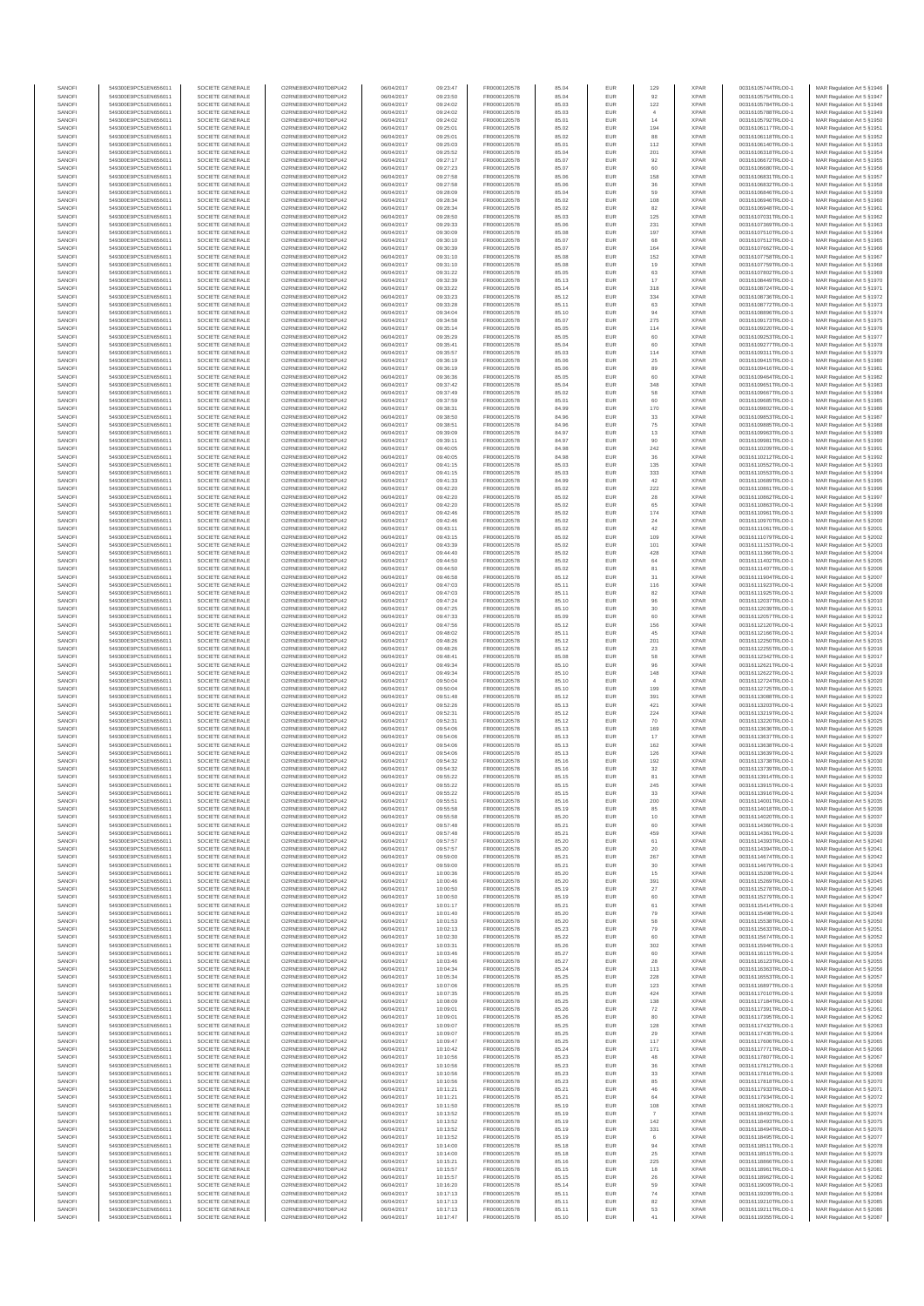| SANOF            | 549300E9PC51EN656011                         | SOCIETE GENERALE                     | O2RNE8IBXP4R0TD8PU42                          | 06/04/2017               | 09:23:47             | FR0000120578                 |                | EUR               | 129                      | <b>XPAR</b>                | 00316105744TRLO0-1                       | MAR Regulation Art 5 §1946                                |
|------------------|----------------------------------------------|--------------------------------------|-----------------------------------------------|--------------------------|----------------------|------------------------------|----------------|-------------------|--------------------------|----------------------------|------------------------------------------|-----------------------------------------------------------|
| SANOFI<br>SANOFI | 549300E9PC51EN656011<br>549300E9PC51EN656011 | SOCIETE GENERALE<br>SOCIETE GENERALE | O2RNE8IBXP4R0TD8PU42<br>O2RNE8IBXP4R0TD8PU42  | 06/04/2017<br>06/04/2017 | 09:23:50<br>09:24:02 | FR0000120578<br>FR0000120578 | 85.04<br>85.03 | EUR<br>EUR        | 92<br>$122\,$            | <b>XPAR</b><br><b>XPAR</b> | 00316105754TRLO0-1<br>00316105784TRLO0-1 | MAR Regulation Art 5 §1947<br>MAR Regulation Art 5 §1948  |
| SANOFI           | 549300E9PC51EN656011                         | SOCIETE GENERALE                     | O2RNE8IBXP4R0TD8PU42                          | 06/04/2017               | 09:24:02             | FR0000120578                 | 85.03          | EUR               |                          | <b>XPAR</b>                | 00316105788TRLO0-1                       | MAR Regulation Art 5 §1949                                |
| SANOFI<br>SANOFI | 549300E9PC51EN656011<br>549300E9PC51EN656011 | SOCIETE GENERALE<br>SOCIETE GENERALE | O2RNE8IBXP4R0TD8PU42<br>O2RNE8IBXP4R0TD8PU42  | 06/04/2017<br>06/04/2017 | 09:24:02<br>09:25:01 | FR0000120578<br>FR0000120578 | 85.01<br>85.02 | EUR<br>EUR        | 14<br>194                | <b>XPAR</b><br><b>XPAR</b> | 00316105792TRLO0-1<br>00316106117TRLO0-1 | MAR Regulation Art 5 §1950<br>MAR Regulation Art 5 §1951  |
| SANOFI           | 549300E9PC51EN656011                         | SOCIETE GENERALE                     | O2RNE8IBXP4R0TD8PU42                          | 06/04/2017               | 09:25:01             | FR0000120578                 | 85.02          | EUR               | 88                       | <b>XPAR</b>                | 00316106118TRLO0-1                       | MAR Regulation Art 5 §1952                                |
| SANOFI           | 549300E9PC51EN656011                         | SOCIETE GENERALE                     | O2RNE8IBXP4R0TD8PU42                          | 06/04/2017               | 09:25:03             | FR0000120578                 | 85.01          | EUR               | 112                      | <b>XPAR</b>                | 00316106140TRLO0-1                       | MAR Regulation Art 5 §1953                                |
| SANOFI<br>SANOFI | 549300E9PC51EN656011<br>549300E9PC51EN656011 | SOCIETE GENERALE<br>SOCIETE GENERALE | O2RNE8IBXP4R0TD8PU42<br>O2RNE8IBXP4R0TD8PU42  | 06/04/2017<br>06/04/2017 | 09:25:52<br>09:27:17 | FR0000120578<br>FR0000120578 | 85.04<br>85.07 | <b>EUR</b><br>EUR | 201<br>92                | <b>XPAR</b><br><b>XPAR</b> | 00316106318TRLO0-1<br>00316106672TRLO0-1 | MAR Regulation Art 5 §1954<br>MAR Regulation Art 5 §1955  |
| SANOFI           | 549300E9PC51EN656011                         | SOCIETE GENERALE                     | O2RNE8IBXP4R0TD8PU42                          | 06/04/2017               | 09:27:23             | FR0000120578                 | 85.07          | EUR               | 60                       | <b>XPAR</b>                | 00316106680TRLO0-1                       | MAR Regulation Art 5 \$1956                               |
| SANOFI<br>SANOFI | 549300E9PC51EN656011<br>549300E9PC51EN656011 | SOCIETE GENERALE<br>SOCIETE GENERALE | O2RNE8IBXP4R0TD8PU42<br>O2RNE8IBXP4R0TD8PU42  | 06/04/2017<br>06/04/2017 | 09:27:58<br>09:27:58 | FR0000120578<br>FR0000120578 | 85.06<br>85.06 | EUR<br>EUR        | 158<br>36                | <b>XPAR</b><br><b>XPAR</b> | 00316106831TRLO0-1<br>00316106832TRLO0-1 | MAR Regulation Art 5 §1957<br>MAR Regulation Art 5 §1958  |
| SANOFI           | 549300E9PC51EN656011                         | SOCIETE GENERALE                     | O2RNE8IBXP4R0TD8PU42                          | 06/04/2017               | 09:28:09             | FR0000120578                 | 85.04          | EUR               | 59                       | <b>XPAR</b>                | 00316106846TRLO0-1                       | MAR Regulation Art 5 §1959                                |
| SANOFI           | 549300E9PC51EN656011                         | SOCIETE GENERALE                     | O2RNE8IBXP4R0TD8PU42                          | 06/04/2017               | 09:28:34             | FR0000120578                 | 85.02          | EUR               | 108                      | <b>XPAR</b>                | 00316106946TRLO0-1                       | MAR Regulation Art 5 §1960                                |
| SANOFI<br>SANOFI | 549300E9PC51EN656011<br>549300E9PC51EN656011 | SOCIETE GENERALE<br>SOCIETE GENERALE | O2RNE8IBXP4R0TD8PU42<br>O2RNE8IBXP4R0TD8PU42  | 06/04/2017<br>06/04/2017 | 09:28:34<br>09:28:50 | FR0000120578<br>FR0000120578 | 85.02<br>85.03 | EUR<br>EUR        | 82<br>125                | <b>XPAR</b><br><b>XPAR</b> | 00316106948TRLO0-1<br>00316107031TRLO0-1 | MAR Regulation Art 5 §1961<br>MAR Regulation Art 5 §1962  |
| SANOFI           | 549300E9PC51EN656011                         | SOCIETE GENERALE                     | O2RNE8IBXP4R0TD8PU42                          | 06/04/2017               | 09:29:33             | FR0000120578                 | 85.06          | <b>EUR</b>        | 231                      | <b>XPAR</b>                | 00316107369TRLO0-1                       | MAR Regulation Art 5 §1963                                |
| SANOFI<br>SANOFI | 549300E9PC51EN656011<br>549300E9PC51EN656011 | SOCIETE GENERALE<br>SOCIETE GENERALE | O2RNE8IBXP4R0TD8PU42<br>O2RNE8IBXP4R0TD8PU42  | 06/04/2017<br>06/04/2017 | 09:30:09<br>09:30:10 | FR0000120578<br>FR0000120578 | 85.08<br>85.07 | EUR<br><b>EUR</b> | 197<br>68                | <b>XPAR</b><br><b>XPAR</b> | 00316107510TRLO0-1<br>00316107512TRLO0-1 | MAR Regulation Art 5 §1964<br>MAR Regulation Art 5 §1965  |
| SANOFI           | 549300E9PC51EN656011                         | SOCIETE GENERALE                     | O2RNE8IBXP4R0TD8PU42                          | 06/04/2017               | 09:30:39             | FR0000120578                 | 85.07          | EUR               | $164\,$                  | <b>XPAR</b>                | 00316107662TRLO0-1                       | MAR Regulation Art 5 §1966                                |
| SANOFI<br>SANOFI | 549300E9PC51EN656011<br>549300E9PC51EN656011 | SOCIETE GENERALE<br>SOCIETE GENERALE | O2RNESIBXP4R0TD8PLI42<br>O2RNE8IBXP4R0TD8PU42 | 06/04/2017               | 09:31:10             | FR0000120578<br>FR0000120578 | 85.08<br>85.08 | EUR               | 152                      | <b>XPAR</b><br><b>XPAR</b> | 00316107758TRLO0-1                       | MAR Regulation Art 5 §1967<br>MAR Regulation Art 5 §1968  |
| SANOFI           | 549300E9PC51EN656011                         | SOCIETE GENERALE                     | O2RNE8IBXP4R0TD8PU42                          | 06/04/2017<br>06/04/2017 | 09:31:10<br>09:31:22 | FR0000120578                 | 85.05          | EUR<br>EUR        | 19<br>63                 | <b>XPAR</b>                | 00316107759TRLO0-1<br>00316107802TRLO0-1 | MAR Regulation Art 5 §1969                                |
| SANOFI           | 549300E9PC51EN656011                         | SOCIETE GENERALE                     | O2RNE8IBXP4R0TD8PU42                          | 06/04/2017               | 09:32:39             | FR0000120578                 | 85.13          | EUR               | 17                       | <b>XPAR</b>                | 00316108449TRLO0-1                       | MAR Regulation Art 5 §1970                                |
| SANOFI<br>SANOFI | 549300E9PC51EN656011<br>549300E9PC51EN656011 | SOCIETE GENERALE<br>SOCIETE GENERALE | O2RNE8IBXP4R0TD8PU42<br>O2RNE8IBXP4R0TD8PU42  | 06/04/2017<br>06/04/2017 | 09:33:22<br>09:33:23 | FR0000120578<br>FR0000120578 | 85.14<br>85.12 | EUR<br>EUR        | 318<br>334               | <b>XPAR</b><br><b>XPAR</b> | 00316108724TRLO0-1<br>00316108736TRLO0-1 | MAR Regulation Art 5 §1971<br>MAR Regulation Art 5 §1972  |
| SANOFI           | 549300E9PC51EN656011                         | SOCIETE GENERALE                     | O2RNE8IBXP4R0TD8PU42                          | 06/04/2017               | 09:33:28             | FR0000120578                 | 85.11          | EUR               | 63                       | <b>XPAR</b>                | 00316108772TRLO0-1                       | MAR Regulation Art 5 §1973                                |
| SANOFI<br>SANOFI | 549300E9PC51EN656011<br>549300E9PC51EN656011 | SOCIETE GENERALE<br>SOCIETE GENERALE | O2RNE8IBXP4R0TD8PU42<br>O2RNE8IBXP4R0TD8PU42  | 06/04/2017<br>06/04/2017 | 09:34:04<br>09:34:58 | FR0000120578<br>FR0000120578 | 85.10<br>85.07 | EUR<br>EUR        | 94<br>275                | <b>XPAR</b><br><b>XPAR</b> | 00316108896TRLO0-1<br>00316109173TRLO0-1 | MAR Regulation Art 5 §1974<br>MAR Regulation Art 5 §1975  |
| SANOFI           | 549300E9PC51EN656011                         | SOCIETE GENERALE                     | O2RNE8IBXP4R0TD8PU42                          | 06/04/2017               | 09:35:14             | FR0000120578                 | 85.05          | EUR               | 114                      | <b>XPAR</b>                | 00316109220TRLO0-1                       | MAR Regulation Art 5 §1976                                |
| SANOFI           | 549300E9PC51EN656011                         | SOCIETE GENERALE                     | O2RNE8IBXP4R0TD8PU42                          | 06/04/2017               | 09:35:29             | FR0000120578                 | 85.05          | EUR               | 60                       | <b>XPAR</b>                | 00316109253TRLO0-1                       | MAR Regulation Art 5 §1977                                |
| SANOFI<br>SANOFI | 549300E9PC51EN656011<br>549300E9PC51EN656011 | SOCIETE GENERALE<br>SOCIETE GENERALE | O2RNE8IBXP4R0TD8PU42<br>O2RNE8IBXP4R0TD8PU42  | 06/04/2017<br>06/04/2017 | 09:35:41<br>09:35:57 | FR0000120578<br>FR0000120578 | 85.04<br>85.03 | EUR<br>EUR        | 60<br>114                | <b>XPAR</b><br><b>XPAR</b> | 00316109277TRLO0-1<br>00316109311TRLO0-1 | MAR Regulation Art 5 §1978<br>MAR Regulation Art 5 §1979  |
| SANOFI           | 549300E9PC51EN656011                         | SOCIETE GENERALE                     | O2RNE8IBXP4R0TD8PU42                          | 06/04/2017               | 09:36:19             | FR0000120578                 | 85.06          | EUR               | $\boldsymbol{25}$        | <b>XPAR</b>                | 00316109415TRLO0-1                       | MAR Regulation Art 5 §1980                                |
| SANOFI<br>SANOFI | 549300E9PC51EN656011<br>549300E9PC51EN656011 | SOCIETE GENERALE<br>SOCIETE GENERALE | O2RNE8IBXP4R0TD8PU42<br>O2RNE8IBXP4R0TD8PU42  | 06/04/2017<br>06/04/2017 | 09:36:19<br>09:36:36 | FR0000120578<br>FR0000120578 | 85.06<br>85.05 | EUR<br>EUR        | 89<br>60                 | <b>XPAR</b><br><b>XPAR</b> | 00316109416TRLO0-1<br>00316109464TRLO0-1 | MAR Regulation Art 5 §1981<br>MAR Regulation Art 5 §1982  |
| SANOFI           | 549300E9PC51EN656011                         | SOCIETE GENERALE                     | O2RNE8IBXP4R0TD8PU42                          | 06/04/2017               | 09:37:42             | FR0000120578                 | 85.04          | EUR               | 348                      | <b>XPAR</b>                | 00316109651TRLO0-1                       | MAR Regulation Art 5 §1983                                |
| SANOFI<br>SANOFI | 549300E9PC51EN656011<br>549300E9PC51EN656011 | SOCIETE GENERALE<br>SOCIETE GENERALE | O2RNE8IBXP4R0TD8PU42<br>O2RNE8IBXP4R0TD8PU42  | 06/04/2017<br>06/04/2017 | 09:37:49<br>09:37:59 | FR0000120578<br>FR0000120578 | 85.02<br>85.01 | EUR<br>EUR        | 58<br>60                 | <b>XPAR</b><br><b>XPAR</b> | 00316109667TRLO0-1<br>00316109685TRLO0-1 | MAR Regulation Art 5 §1984<br>MAR Regulation Art 5 §1985  |
| SANOFI           | 549300E9PC51EN656011                         | SOCIETE GENERALE                     | O2RNE8IBXP4R0TD8PU42                          | 06/04/2017               | 09:38:31             | FR0000120578                 | 84.99          | EUR               | 170                      | <b>XPAR</b>                | 00316109802TRLO0-1                       | MAR Regulation Art 5 §1986                                |
| SANOFI           | 549300E9PC51EN656011                         | SOCIETE GENERALE                     | O2RNE8IBXP4R0TD8PU42                          | 06/04/2017               | 09:38:50             | FR0000120578                 | 84.96          | EUR               | 33                       | <b>XPAR</b>                | 00316109853TRLO0-1                       | MAR Regulation Art 5 §1987                                |
| SANOFI<br>SANOFI | 549300E9PC51EN656011<br>549300E9PC51EN656011 | SOCIETE GENERALE<br>SOCIETE GENERALE | O2RNE8IBXP4R0TD8PU42<br>O2RNE8IBXP4R0TD8PU42  | 06/04/2017<br>06/04/2017 | 09:38:51<br>09:39:09 | FR0000120578<br>FR0000120578 | 84.96<br>84.97 | EUR<br>EUR        | $\rm 75$<br>13           | <b>XPAR</b><br><b>XPAR</b> | 00316109885TRLO0-1<br>00316109963TRLO0-1 | MAR Regulation Art 5 §1988<br>MAR Regulation Art 5 §1989  |
| SANOFI           | 549300E9PC51EN656011                         | SOCIETE GENERALE                     | O2RNE8IBXP4R0TD8PU42                          | 06/04/2017               | 09:39:11             | FR0000120578                 | 84.97          | <b>EUR</b>        | 90                       | <b>XPAR</b>                | 00316109981TRLO0-1                       | MAR Regulation Art 5 §1990                                |
| SANOFI<br>SANOFI | 549300E9PC51EN656011<br>549300E9PC51EN656011 | SOCIETE GENERALE<br>SOCIETE GENERALE | O2RNE8IBXP4R0TD8PU42<br>O2RNE8IBXP4R0TD8PU42  | 06/04/2017<br>06/04/2017 | 09:40:05<br>09:40:05 | FR0000120578<br>FR0000120578 | 84.98<br>84.98 | EUR<br>EUR        | 242<br>36                | <b>XPAR</b><br><b>XPAR</b> | 00316110209TRLO0-1<br>00316110212TRLO0-1 | MAR Regulation Art 5 §1991<br>MAR Regulation Art 5 \$1992 |
| SANOFI           | 549300E9PC51EN656011                         | SOCIETE GENERALE                     | O2RNE8IBXP4R0TD8PU42                          | 06/04/2017               | 09:41:15             | FR0000120578                 | 85.03          | EUR               | 135                      | <b>XPAR</b>                | 00316110552TRLO0-1                       | MAR Regulation Art 5 §1993                                |
| SANOFI<br>SANOFI | 549300E9PC51EN656011<br>549300E9PC51EN656011 | SOCIETE GENERALE<br>SOCIETE GENERALE | O2RNE8IBXP4R0TD8PU42<br>O2RNE8IBXP4R0TD8PU42  | 06/04/2017<br>06/04/2017 | 09:41:15<br>09:41:33 | FR0000120578                 | 85.03<br>84.99 | EUR<br><b>EUR</b> | 333                      | <b>XPAR</b><br><b>XPAR</b> | 00316110553TRLO0-1                       | MAR Regulation Art 5 §1994<br>MAR Regulation Art 5 §1995  |
| SANOFI           | 549300E9PC51EN656011                         | SOCIETE GENERALE                     | O2RNE8IBXP4R0TD8PU42                          | 06/04/2017               | 09:42:20             | FR0000120578<br>FR0000120578 | 85.02          | EUR               | 42<br>222                | <b>XPAR</b>                | 00316110689TRLO0-1<br>00316110861TRLO0-1 | MAR Regulation Art 5 §1996                                |
| SANOFI           | 549300E9PC51EN656011                         | SOCIETE GENERALE                     | O2RNE8IBXP4R0TD8PU42                          | 06/04/2017               | 09:42:20             | FR0000120578                 | 85.02          | EUR               | 28                       | <b>XPAR</b>                | 00316110862TRLO0-1                       | MAR Regulation Art 5 §1997                                |
| SANOFI<br>SANOFI | 549300E9PC51EN656011<br>549300E9PC51EN656011 | SOCIETE GENERALE<br>SOCIETE GENERALE | O2RNE8IBXP4R0TD8PU42<br>O2RNE8IBXP4R0TD8PU42  | 06/04/2017<br>06/04/2017 | 09:42:20<br>09:42:46 | FR0000120578<br>FR0000120578 | 85.02<br>85.02 | EUR<br>EUR        | 65<br>174                | <b>XPAR</b><br><b>XPAR</b> | 00316110863TRLO0-1<br>00316110961TRLO0-1 | MAR Regulation Art 5 §1998<br>MAR Regulation Art 5 \$1999 |
| SANOFI           | 549300E9PC51EN656011                         | SOCIETE GENERALE                     | O2RNE8IBXP4R0TD8PU42                          | 06/04/2017               | 09:42:46             | FR0000120578                 | 85.02          | EUR               | $\sqrt{24}$              | <b>XPAR</b>                | 00316110970TRLO0-1                       | MAR Regulation Art 5 §2000                                |
| SANOFI<br>SANOFI | 549300E9PC51EN656011<br>549300E9PC51EN656011 | SOCIETE GENERALE<br>SOCIETE GENERALE | O2RNE8IBXP4R0TD8PU42<br>O2RNE8IBXP4R0TD8PU42  | 06/04/2017<br>06/04/2017 | 09:43:11<br>09:43:15 | FR0000120578<br>FR0000120578 | 85.02<br>85.02 | EUR<br>EUR        | 42<br>109                | <b>XPAR</b><br><b>XPAR</b> | 00316111061TRLO0-1<br>00316111079TRLO0-1 | MAR Regulation Art 5 §2001<br>MAR Regulation Art 5 §2002  |
| SANOFI           | 549300E9PC51EN656011                         | SOCIETE GENERALE                     | O2RNE8IBXP4R0TD8PU42                          | 06/04/2017               | 09:43:39             | FR0000120578                 | 85.02          | EUR               | 101                      | <b>XPAR</b>                | 00316111153TRLO0-1                       | MAR Regulation Art 5 §2003                                |
| SANOFI           | 549300E9PC51EN656011                         | SOCIETE GENERALE                     | O2RNE8IBXP4R0TD8PU42                          | 06/04/2017               | 09:44:40             | FR0000120578                 | 85.02          | EUR               | 428                      | <b>XPAR</b>                | 00316111366TRLO0-1                       | MAR Regulation Art 5 §2004                                |
| SANOFI<br>SANOFI | 549300E9PC51EN656011<br>549300E9PC51EN656011 | SOCIETE GENERALE<br>SOCIETE GENERALE | O2RNE8IBXP4R0TD8PU42<br>O2RNE8IBXP4R0TD8PU42  | 06/04/2017<br>06/04/2017 | 09:44:50<br>09:44:50 | FR0000120578<br>FR0000120578 | 85.02<br>85.02 | EUR<br><b>EUR</b> | 64<br>81                 | <b>XPAR</b><br><b>XPAR</b> | 00316111402TRLO0-1<br>00316111407TRLO0-1 | MAR Regulation Art 5 §2005<br>MAR Regulation Art 5 §2006  |
| SANOFI           | 549300E9PC51EN656011                         | SOCIETE GENERALE                     | O2RNE8IBXP4R0TD8PU42                          | 06/04/2017               | 09:46:58             | FR0000120578                 | 85.12          | EUR               | 31                       | <b>XPAR</b>                | 00316111904TRLO0-1                       | MAR Regulation Art 5 §2007                                |
| SANOFI<br>SANOFI | 549300E9PC51EN656011<br>549300E9PC51EN656011 | SOCIETE GENERALE<br>SOCIETE GENERALE | O2RNE8IBXP4R0TD8PU42<br>O2RNE8IBXP4R0TD8PU42  | 06/04/2017<br>06/04/2017 | 09:47:03<br>09:47:03 | FR0000120578<br>FR0000120578 | 85.11<br>85.11 | <b>EUR</b><br>EUR | 116<br>82                | <b>XPAR</b><br><b>XPAR</b> | 00316111923TRLO0-1<br>00316111925TRLO0-1 | MAR Regulation Art 5 §2008<br>MAR Regulation Art 5 §2009  |
| SANOFI           | 549300E9PC51EN656011                         | SOCIETE GENERALE                     | O2RNE8IBXP4R0TD8PU42                          | 06/04/2017               | 09:47:24             | FR0000120578                 | 85.10          | EUR               | 96                       | <b>XPAR</b>                | 00316112037TRLO0-1                       | MAR Regulation Art 5 §2010                                |
| SANOFI<br>SANOFI | 549300E9PC51EN656011<br>549300E9PC51EN656011 | SOCIETE GENERALE<br>SOCIETE GENERALE | O2RNE8IBXP4R0TD8PU42<br>O2RNE8IBXP4R0TD8PU42  | 06/04/2017<br>06/04/2017 | 09:47:25<br>09:47:33 | FR0000120578<br>FR0000120578 | 85.10<br>85.09 | EUR<br>EUR        | 30<br>60                 | <b>XPAR</b><br><b>XPAR</b> | 00316112039TRLO0-1<br>00316112057TRLO0-1 | MAR Regulation Art 5 §2011<br>MAR Regulation Art 5 §2012  |
| SANOFI           | 549300E9PC51EN656011                         | SOCIETE GENERALE                     | O2RNE8IBXP4R0TD8PU42                          | 06/04/2017               | 09:47:56             | FR0000120578                 | 85.12          | EUR               | 156                      | <b>XPAR</b>                | 00316112120TRLO0-1                       | MAR Regulation Art 5 §2013                                |
| SANOFI<br>SANOFI | 549300E9PC51EN656011                         | SOCIETE GENERALE<br>SOCIETE GENERALE | O2RNE8IBXP4R0TD8PU42<br>O2RNE8IBXP4R0TD8PU42  | 06/04/2017<br>06/04/2017 | 09:48:02<br>09:48:26 | FR0000120578<br>FR0000120578 | 85.11<br>85.12 | EUR<br>EUR        | 45<br>201                | <b>XPAR</b><br><b>XPAR</b> | 00316112166TRLO0-1                       | MAR Regulation Art 5 §2014<br>MAR Regulation Art 5 §2015  |
| SANOFI           | 549300E9PC51EN656011<br>549300E9PC51EN656011 | SOCIETE GENERALE                     | O2RNE8IBXP4R0TD8PU42                          | 06/04/2017               | 09:48:26             | FR0000120578                 | 85.12          | EUR               | $23\,$                   | <b>XPAR</b>                | 00316112250TRLO0-1<br>00316112255TRLO0-1 | MAR Regulation Art 5 §2016                                |
| SANOFI           | 549300E9PC51EN656011                         | SOCIETE GENERALE                     | O2RNE8IBXP4R0TD8PU42                          | 06/04/2017               | 09:48:41             | FR0000120578                 | 85.08          | EUR               | 58                       | <b>XPAR</b>                | 00316112342TRLO0-1                       | MAR Regulation Art 5 §2017                                |
| SANOFI<br>SANOFI | 549300E9PC51EN656011<br>549300E9PC51EN656011 | SOCIETE GENERALE<br>SOCIETE GENERALE | O2RNE8IBXP4R0TD8PU42<br>O2RNE8IBXP4R0TD8PU42  | 06/04/2017<br>06/04/2017 | 09:49:34<br>09:49:34 | FR0000120578<br>FR0000120578 | 85.10<br>85.10 | EUR<br>EUR        | 96<br>148                | <b>XPAR</b><br><b>XPAR</b> | 00316112621TRLO0-1<br>00316112622TRLO0-1 | MAR Regulation Art 5 §2018<br>MAR Regulation Art 5 §2019  |
| SANOFI           | 549300E9PC51EN656011                         | SOCIETE GENERALE                     | O2RNE8IBXP4R0TD8PU42                          | 06/04/2017               | 09:50:04             | FR0000120578                 | 85.10          | <b>EUR</b>        | $\overline{4}$           | <b>XPAR</b>                | 00316112724TRLO0-1                       | MAR Regulation Art 5 §2020                                |
| SANOFI<br>SANOFI | 549300E9PC51EN656011<br>549300E9PC51EN656011 | SOCIETE GENERALE<br>SOCIETE GENERALE | O2RNE8IBXP4R0TD8PU42<br>O2RNE8IBXP4R0TD8PU42  | 06/04/2017<br>06/04/2017 | 09:50:04<br>09:51:48 | FR0000120578<br>FR0000120578 | 85.10<br>85.12 | EUR<br>EUR        | 199<br>391               | <b>XPAR</b><br><b>XPAR</b> | 00316112725TRLO0-1<br>00316113088TRLO0-1 | MAR Regulation Art 5 §2021<br>MAR Regulation Art 5 §2022  |
| SANOFI           | 549300E9PC51EN656011                         | SOCIETE GENERALE                     | O2RNE8IBXP4R0TD8PU42                          | 06/04/2017               | 09:52:26             | FR0000120578                 | 85.13          | EUR               | 421                      | <b>XPAR</b>                | 00316113203TRLO0-1                       | MAR Regulation Art 5 §2023                                |
| SANOFI           | 549300E9PC51EN656011                         | SOCIETE GENERALE                     | O2RNE8IBXP4R0TD8PU42                          | 06/04/2017               | 09:52:31             | FR0000120578                 | 85.12          | <b>EUR</b>        | 224                      | <b>XPAR</b>                | 00316113219TRLO0-1                       | MAR Regulation Art 5 §2024                                |
| SANOFI<br>SANOFI | 549300E9PC51EN656011<br>549300E9PC51EN656011 | SOCIETE GENERALE<br>SOCIETE GENERALE | O2RNE8IBXP4R0TD8PU42<br>O2RNE8IBXP4R0TD8PU42  | 06/04/2017<br>06/04/2017 | 09:52:31<br>09:54:06 | FR0000120578<br>FR0000120578 | 85.12<br>85.13 | EUR<br>EUR        | 70<br>169                | <b>XPAR</b><br><b>XPAR</b> | 00316113220TRLO0-1<br>00316113636TRLO0-1 | MAR Regulation Art 5 §2025<br>MAR Regulation Art 5 §2026  |
| SANOFI           | 549300E9PC51EN656011                         | SOCIETE GENERALE                     | O2RNE8IBXP4R0TD8PU42                          | 06/04/2017               | 09:54:06             | FR0000120578                 | 85.13          | EUR               | 17                       | <b>XPAR</b>                | 00316113637TRLO0-1                       | MAR Regulation Art 5 §2027                                |
| SANOFI<br>SANOFI | 549300E9PC51EN656011<br>549300E9PC51EN656011 | SOCIETE GENERALE<br>SOCIETE GENERALE | O2RNE8IBXP4R0TD8PU42<br>O2RNE8IBXP4R0TD8PU42  | 06/04/2017<br>06/04/2017 | 09:54:06<br>09:54:06 | FR0000120578<br>FR0000120578 | 85.13<br>85.13 | EUR<br><b>EUR</b> | 162<br>126               | <b>XPAR</b><br>XPAR        | 00316113638TRLO0-1<br>00316113639TRLO0-1 | MAR Regulation Art 5 \$2028<br>MAR Regulation Art 5 §2029 |
| SANOFI           | 549300E9PC51EN656011                         | SOCIETE GENERALE                     | O2RNE8IBXP4R0TD8PU42                          | 06/04/2017               | 09:54:32             | FR0000120578                 | 85.16          | EUR               | 192                      | <b>XPAR</b>                | 00316113738TRLO0-1                       | MAR Regulation Art 5 §2030                                |
| SANOFI<br>SANOFI | 549300E9PC51EN656011                         | SOCIETE GENERALE                     | O2RNE8IBXP4R0TD8PU42                          | 06/04/2017               | 09:54:32             | FR0000120578                 | 85.16          | <b>EUR</b><br>EUR | 32<br>81                 | <b>XPAR</b><br><b>XPAR</b> | 00316113739TRLO0-1                       | MAR Regulation Art 5 §2031                                |
| SANOFI           | 549300E9PC51EN656011<br>549300E9PC51EN656011 | SOCIETE GENERALE<br>SOCIETE GENERALE | O2RNE8IBXP4R0TD8PU42<br>O2RNE8IBXP4R0TD8PU42  | 06/04/2017<br>06/04/2017 | 09:55:22<br>09:55:22 | FR0000120578<br>FR0000120578 | 85.15<br>85.15 | EUR               | 245                      | <b>XPAR</b>                | 00316113914TRLO0-1<br>00316113915TRLO0-1 | MAR Regulation Art 5 §2032<br>MAR Regulation Art 5 §2033  |
| SANOFI           | 549300E9PC51EN656011                         | SOCIETE GENERALE                     | O2RNE8IBXP4R0TD8PU42                          | 06/04/2017               | 09:55:22             | FR0000120578                 | 85.15          | <b>EUR</b>        | 33                       | <b>XPAR</b>                | 00316113916TRLO0-1                       | MAR Regulation Art 5 §2034                                |
| SANOFI<br>SANOFI | 549300E9PC51EN656011<br>549300E9PC51EN656011 | SOCIETE GENERALE<br>SOCIETE GENERALE | O2RNESIBXP4R0TD8PLI42<br>O2RNE8IBXP4R0TD8PU42 | 06/04/2017<br>06/04/2017 | 09:55:51<br>09:55:58 | FR0000120578<br>FR0000120578 | 85.16<br>85.19 | EUR<br>EUR        | 200<br>85                | <b>XPAR</b><br><b>XPAR</b> | 00316114001TRLO0-1<br>00316114018TRLO0-1 | MAR Regulation Art 5 §2035<br>MAR Regulation Art 5 §2036  |
| SANOFI           | 549300E9PC51EN656011                         | SOCIETE GENERALE                     | O2RNE8IBXP4R0TD8PU42                          | 06/04/2017               | 09:55:58             | FR0000120578                 | 85.20          | EUR               | 10                       | <b>XPAR</b>                | 00316114020TRLO0-1                       | MAR Regulation Art 5 §2037                                |
| SANOFI<br>SANOFI | 549300E9PC51EN656011<br>549300E9PC51EN656011 | SOCIETE GENERALE<br>SOCIETE GENERALE | O2RNE8IBXP4R0TD8PU42<br>O2RNE8IBXP4R0TD8PU42  | 06/04/2017<br>06/04/2017 | 09:57:48<br>09:57:48 | FR0000120578<br>FR0000120578 | 85.21<br>85.21 | <b>EUR</b><br>EUR | 60<br>459                | <b>XPAR</b><br><b>XPAR</b> | 00316114360TRLO0-1<br>00316114361TRLO0-1 | MAR Regulation Art 5 §2038<br>MAR Regulation Art 5 §2039  |
| SANOFI           | 549300E9PC51EN656011                         | SOCIETE GENERALE                     | O2RNE8IBXP4R0TD8PU42                          | 06/04/2017               | 09:57:57             | FR0000120578                 | 85.20          | <b>EUR</b>        | 61                       | <b>XPAR</b>                | 00316114393TRLO0-1                       | MAR Regulation Art 5 \$2040                               |
| SANOFI<br>SANOFI | 549300E9PC51EN656011<br>549300E9PC51EN656011 | SOCIETE GENERALE<br>SOCIETE GENERALE | O2RNE8IBXP4R0TD8PU42<br>O2RNE8IBXP4R0TD8PU42  | 06/04/2017               | 09:57:57             | FR0000120578<br>FR0000120578 | 85.20          | <b>EUR</b><br>EUR | 20<br>267                | <b>XPAR</b><br><b>XPAR</b> | 00316114394TRLO0-1<br>00316114674TRLO0-1 | MAR Regulation Art 5 §2041<br>MAR Regulation Art 5 §2042  |
| SANOFI           | 549300E9PC51EN656011                         | SOCIETE GENERALE                     | O2RNE8IBXP4R0TD8PU42                          | 06/04/2017<br>06/04/2017 | 09:59:00<br>09:59:00 | FR0000120578                 | 85.21<br>85.21 | EUR               | $30\,$                   | <b>XPAR</b>                | 00316114679TRLO0-1                       | MAR Regulation Art 5 §2043                                |
| SANOFI<br>SANOFI | 549300E9PC51EN656011<br>549300E9PC51EN656011 | SOCIETE GENERALE<br>SOCIETE GENERALE | O2RNE8IBXP4R0TD8PU42<br>O2RNE8IBXP4R0TD8PU42  | 06/04/2017<br>06/04/2017 | 10:00:36<br>10:00:46 | FR0000120578<br>FR0000120578 | 85.20<br>85.20 | EUR<br><b>EUR</b> | 15<br>391                | <b>XPAR</b><br><b>XPAR</b> | 00316115208TRLO0-1<br>00316115269TRLO0-1 | MAR Regulation Art 5 §2044                                |
| SANOFI           | 549300E9PC51EN656011                         | SOCIETE GENERALE                     | O2RNE8IBXP4R0TD8PU42                          | 06/04/2017               | 10:00:50             | FR0000120578                 | 85.19          | EUR               | 27                       | <b>XPAR</b>                | 00316115278TRLO0-1                       | MAR Regulation Art 5 §2045<br>MAR Regulation Art 5 §2046  |
| SANOFI<br>SANOFI | 549300E9PC51EN656011<br>549300E9PC51EN656011 | SOCIETE GENERALE<br>SOCIETE GENERALE | O2RNE8IBXP4R0TD8PU42<br>O2RNE8IBXP4R0TD8PU42  | 06/04/2017<br>06/04/2017 | 10:00:50<br>10:01:17 | FR0000120578<br>FR0000120578 | 85.19<br>85.21 | <b>EUR</b><br>EUR | 60<br>61                 | <b>XPAR</b><br><b>XPAR</b> | 00316115279TRLO0-1<br>00316115414TRLO0-1 | MAR Regulation Art 5 §2047                                |
| SANOFI           | 549300E9PC51EN656011                         | SOCIETE GENERALE                     | O2RNE8IBXP4R0TD8PU42                          | 06/04/2017               | 10:01:40             | FR0000120578                 | 85.20          | EUR               | 79                       | <b>XPAR</b>                | 00316115498TRLO0-1                       | MAR Regulation Art 5 §2048<br>MAR Regulation Art 5 §2049  |
| SANOFI           | 549300E9PC51EN656011<br>549300E9PC51EN656011 | SOCIETE GENERALE<br>SOCIETE GENERALE | O2RNE8IBXP4R0TD8PU42                          | 06/04/2017               | 10:01:53             | FR0000120578                 | 85.20          | EUR               | 58                       | <b>XPAR</b>                | 00316115538TRLO0-1                       | MAR Regulation Art 5 §2050                                |
| SANOFI<br>SANOFI | 549300E9PC51EN656011                         | SOCIETE GENERALE                     | O2RNE8IBXP4R0TD8PU42<br>O2RNE8IBXP4R0TD8PU42  | 06/04/2017<br>06/04/2017 | 10:02:13<br>10:02:30 | FR0000120578<br>FR0000120578 | 85.23<br>85.22 | EUR<br>EUR        | 79<br>60                 | <b>XPAR</b><br><b>XPAR</b> | 00316115633TRLO0-1<br>00316115674TRLO0-1 | MAR Regulation Art 5 §2051<br>MAR Regulation Art 5 §2052  |
| SANOFI           | 549300E9PC51EN656011                         | SOCIETE GENERALE                     | O2RNE8IBXP4R0TD8PU42                          | 06/04/2017               | 10:03:31             | FR0000120578                 | 85.26          | EUR               | 302                      | <b>XPAR</b>                | 00316115946TRLO0-1                       | MAR Regulation Art 5 §2053                                |
| SANOFI<br>SANOFI | 549300E9PC51EN656011<br>549300E9PC51EN656011 | SOCIETE GENERALE<br>SOCIETE GENERALE | O2RNE8IBXP4R0TD8PU42<br>O2RNE8IBXP4R0TD8PU42  | 06/04/2017<br>06/04/2017 | 10:03:46<br>10:03:46 | FR0000120578<br>FR0000120578 | 85.27<br>85.27 | <b>EUR</b><br>EUR | 60<br>28                 | <b>XPAR</b><br><b>XPAR</b> | 00316116115TRLO0-1<br>00316116123TRLO0-1 | MAR Regulation Art 5 §2054<br>MAR Regulation Art 5 §2055  |
| SANOFI           | 549300E9PC51EN656011                         | SOCIETE GENERALE                     | O2RNE8IBXP4R0TD8PU42                          | 06/04/2017               | 10:04:34             | FR0000120578                 | 85.24          | <b>EUR</b>        | 113                      | <b>XPAR</b>                | 00316116363TRLO0-1                       | MAR Regulation Art 5 §2056                                |
| SANOFI<br>SANOFI | 549300E9PC51EN656011<br>549300E9PC51EN656011 | SOCIETE GENERALE<br>SOCIETE GENERALE | O2RNE8IBXP4R0TD8PU42<br>O2RNE8IBXP4R0TD8PU42  | 06/04/2017<br>06/04/2017 | 10:05:34<br>10:07:06 | FR0000120578<br>FR0000120578 | 85.25<br>85.25 | EUR<br>EUR        | 228<br>123               | <b>XPAR</b><br><b>XPAR</b> | 00316116553TRLO0-1<br>00316116897TRLO0-1 | MAR Regulation Art 5 §2057<br>MAR Regulation Art 5 §2058  |
| SANOFI           | 549300E9PC51EN656011                         | SOCIETE GENERALE                     | O2RNE8IBXP4R0TD8PU42                          | 06/04/2017               | 10:07:35             | FR0000120578                 | 85.25          | EUR               | 424                      | <b>XPAR</b>                | 00316117010TRLO0-1                       | MAR Regulation Art 5 §2059                                |
| SANOFI           | 549300E9PC51EN656011                         | SOCIETE GENERALE                     | O2RNE8IBXP4R0TD8PU42                          | 06/04/2017               | 10:08:09             | FR0000120578                 | 85.25          | EUR               | 138                      | <b>XPAR</b>                | 00316117184TRLO0-1                       | MAR Regulation Art 5 §2060                                |
| SANOFI<br>SANOFI | 549300E9PC51EN656011<br>549300E9PC51EN656011 | SOCIETE GENERALE<br>SOCIETE GENERALE | O2RNE8IBXP4R0TD8PU42<br>O2RNE8IBXP4R0TD8PU42  | 06/04/2017<br>06/04/2017 | 10:09:01<br>10:09:01 | FR0000120578<br>FR0000120578 | 85.26<br>85.26 | EUR<br>EUR        | $\scriptstyle{72}$<br>80 | <b>XPAR</b><br><b>XPAR</b> | 00316117391TRLO0-1<br>00316117395TRLO0-1 | MAR Regulation Art 5 §2061<br>MAR Regulation Art 5 §2062  |
| SANOFI           | 549300E9PC51EN656011                         | SOCIETE GENERALE                     | O2RNE8IBXP4R0TD8PU42                          | 06/04/2017               | 10:09:07             | FR0000120578                 | 85.25          | <b>EUR</b>        | 128                      | <b>XPAR</b>                | 00316117432TRLO0-1                       | MAR Regulation Art 5 §2063                                |
| SANOFI<br>SANOFI | 549300E9PC51EN656011<br>549300E9PC51EN656011 | SOCIETE GENERALE<br>SOCIETE GENERALE | O2RNE8IBXP4R0TD8PU42<br>O2RNE8IBXP4R0TD8PU42  | 06/04/2017<br>06/04/2017 | 10:09:07<br>10:09:47 | FR0000120578<br>FR0000120578 | 85.25<br>85.25 | EUR<br><b>EUR</b> | 29<br>117                | <b>XPAR</b><br><b>XPAR</b> | 00316117435TRLO0-1<br>00316117606TRLO0-1 | MAR Regulation Art 5 §2064<br>MAR Regulation Art 5 §2065  |
| SANOFI           | 549300E9PC51EN656011                         | SOCIETE GENERALE                     | O2RNE8IBXP4R0TD8PU42                          | 06/04/2017               | 10:10:42             | FR0000120578                 | 85.24          | <b>EUR</b>        | 171                      | <b>XPAR</b>                | 00316117771TRLO0-1                       | MAR Regulation Art 5 §2066                                |
| SANOFI<br>SANOFI | 549300E9PC51EN656011<br>549300E9PC51EN656011 | SOCIETE GENERALE<br>SOCIETE GENERALE | O2RNE8IBXP4R0TD8PU42<br>O2RNE8IBXP4R0TD8PU42  | 06/04/2017               | 10:10:56<br>10:10:56 | FR0000120578<br>FR0000120578 | 85.23<br>85.23 | EUR<br>EUR        | 48                       | <b>XPAR</b><br><b>XPAR</b> | 00316117807TRLO0-1                       | MAR Regulation Art 5 §2067                                |
| SANOFI           | 549300E9PC51EN656011                         | SOCIETE GENERALE                     | O2RNE8IBXP4R0TD8PU42                          | 06/04/2017<br>06/04/2017 | 10:10:56             | FR0000120578                 | 85.23          | EUR               | 36<br>33                 | <b>XPAR</b>                | 00316117812TRLO0-1<br>00316117816TRLO0-1 | MAR Regulation Art 5 §2068<br>MAR Regulation Art 5 §2069  |
| SANOFI           | 549300E9PC51EN656011                         | SOCIETE GENERALE                     | O2RNE8IBXP4R0TD8PU42                          | 06/04/2017               | 10:10:56             | FR0000120578                 | 85.23          | <b>EUR</b>        | 85                       | <b>XPAR</b>                | 00316117818TRLO0-1                       | MAR Regulation Art 5 §2070                                |
| SANOFI<br>SANOFI | 549300E9PC51EN656011<br>549300E9PC51EN656011 | SOCIETE GENERALE<br>SOCIETE GENERALE | O2RNE8IBXP4R0TD8PU42<br>O2RNE8IBXP4R0TD8PU42  | 06/04/2017<br>06/04/2017 | 10:11:21<br>10:11:21 | FR0000120578<br>FR0000120578 | 85.21<br>85.21 | EUR<br><b>EUR</b> | 46<br>64                 | <b>XPAR</b><br><b>XPAR</b> | 00316117933TRLO0-1<br>00316117934TRLO0-1 | MAR Regulation Art 5 §2071<br>MAR Regulation Art 5 §2072  |
| SANOFI           | 549300E9PC51EN656011                         | SOCIETE GENERALE                     | O2RNE8IBXP4R0TD8PU42                          | 06/04/2017               | 10:11:50             | FR0000120578                 | 85.19          | EUR               | 108                      | <b>XPAR</b>                | 00316118062TRLO0-1                       | MAR Regulation Art 5 §2073                                |
| SANOFI<br>SANOFI | 549300E9PC51EN656011                         | SOCIETE GENERALE<br>SOCIETE GENERALE | O2RNE8IBXP4R0TD8PU42<br>O2RNE8IBXP4R0TD8PU42  | 06/04/2017               | 10:13:52             | FR0000120578<br>FR0000120578 | 85.19<br>85.19 | <b>EUR</b><br>EUR | $\overline{7}$<br>142    | <b>XPAR</b><br><b>XPAR</b> | 00316118492TRLO0-1                       | MAR Regulation Art 5 §2074                                |
| SANOFI           | 549300E9PC51EN656011<br>549300E9PC51EN656011 | SOCIETE GENERALE                     | O2RNE8IBXP4R0TD8PU42                          | 06/04/2017<br>06/04/2017 | 10:13:52<br>10:13:52 | FR0000120578                 | 85.19          | EUR               | 331                      | <b>XPAR</b>                | 00316118493TRLO0-1<br>00316118494TRLO0-1 | MAR Regulation Art 5 §2075<br>MAR Regulation Art 5 §2076  |
| SANOFI           | 549300E9PC51EN656011                         | SOCIETE GENERALE                     | O2RNE8IBXP4R0TD8PU42                          | 06/04/2017               | 10:13:52             | FR0000120578                 | 85.19          | EUR               | 6                        | <b>XPAR</b>                | 00316118495TRLO0-1                       | MAR Regulation Art 5 §2077                                |
| SANOFI<br>SANOFI | 549300E9PC51EN656011<br>549300E9PC51EN656011 | SOCIETE GENERALE<br>SOCIETE GENERALE | O2RNE8IBXP4R0TD8PU42<br>O2RNE8IBXP4R0TD8PU42  | 06/04/2017<br>06/04/2017 | 10:14:00<br>10:14:00 | FR0000120578<br>FR0000120578 | 85.18<br>85.18 | EUR<br><b>EUR</b> | 94<br>25                 | <b>XPAR</b><br><b>XPAR</b> | 00316118511TRLO0-1<br>00316118515TRLO0-1 | MAR Regulation Art 5 §2078<br>MAR Regulation Art 5 §2079  |
| SANOFI           | 549300E9PC51EN656011                         | SOCIETE GENERALE                     | O2RNE8IBXP4R0TD8PU42                          | 06/04/2017               | 10:15:21             | FR0000120578                 | 85.16          | EUR               | 225                      | <b>XPAR</b>                | 00316118866TRLO0-1                       | MAR Regulation Art 5 §2080                                |
| SANOFI<br>SANOFI | 549300E9PC51EN656011<br>549300E9PC51EN656011 | SOCIETE GENERALE<br>SOCIETE GENERALE | O2RNE8IBXP4R0TD8PU42<br>O2RNE8IBXP4R0TD8PU42  | 06/04/2017<br>06/04/2017 | 10:15:57<br>10:15:57 | FR0000120578<br>FR0000120578 | 85.15<br>85.15 | <b>EUR</b><br>EUR | 18<br>26                 | <b>XPAR</b><br><b>XPAR</b> | 00316118961TRLO0-1<br>00316118962TRLO0-1 | MAR Regulation Art 5 §2081<br>MAR Regulation Art 5 §2082  |
| SANOFI           | 549300E9PC51EN656011                         | SOCIETE GENERALE                     | O2RNE8IBXP4R0TD8PU42                          | 06/04/2017               | 10:16:20             | FR0000120578                 | 85.14          | EUR               | 59                       | <b>XPAR</b>                | 00316119009TRLO0-1                       | MAR Regulation Art 5 §2083                                |
| SANOFI<br>SANOFI | 549300E9PC51EN656011<br>549300E9PC51EN656011 | SOCIETE GENERALE<br>SOCIETE GENERALE | O2RNE8IBXP4R0TD8PU42<br>O2RNE8IBXP4R0TD8PU42  | 06/04/2017<br>06/04/2017 | 10:17:13<br>10:17:13 | FR0000120578<br>FR0000120578 | 85.11<br>85.11 | EUR<br>EUR        | $\mathbf{74}$<br>82      | <b>XPAR</b><br><b>XPAR</b> | 00316119209TRLO0-1<br>00316119210TRLO0-1 | MAR Regulation Art 5 §2084<br>MAR Regulation Art 5 §2085  |
| SANOFI           | 549300E9PC51EN656011                         | SOCIETE GENERALE                     | O2RNE8IBXP4R0TD8PU42                          | 06/04/2017               | 10:17:13             | FR0000120578                 | 85.11          | EUR               | 53                       | <b>XPAR</b>                | 00316119211TRLO0-1                       | MAR Regulation Art 5 §2086                                |
| SANOFI           | 549300E9PC51EN656011                         | SOCIETE GENERALE                     | O2RNE8IBXP4R0TD8PU42                          | 06/04/2017               | 10:17:47             | FR0000120578                 | 85.10          | EUR               | 41                       | <b>XPAR</b>                | 00316119355TRLO0-1                       | MAR Regulation Art 5 §2087                                |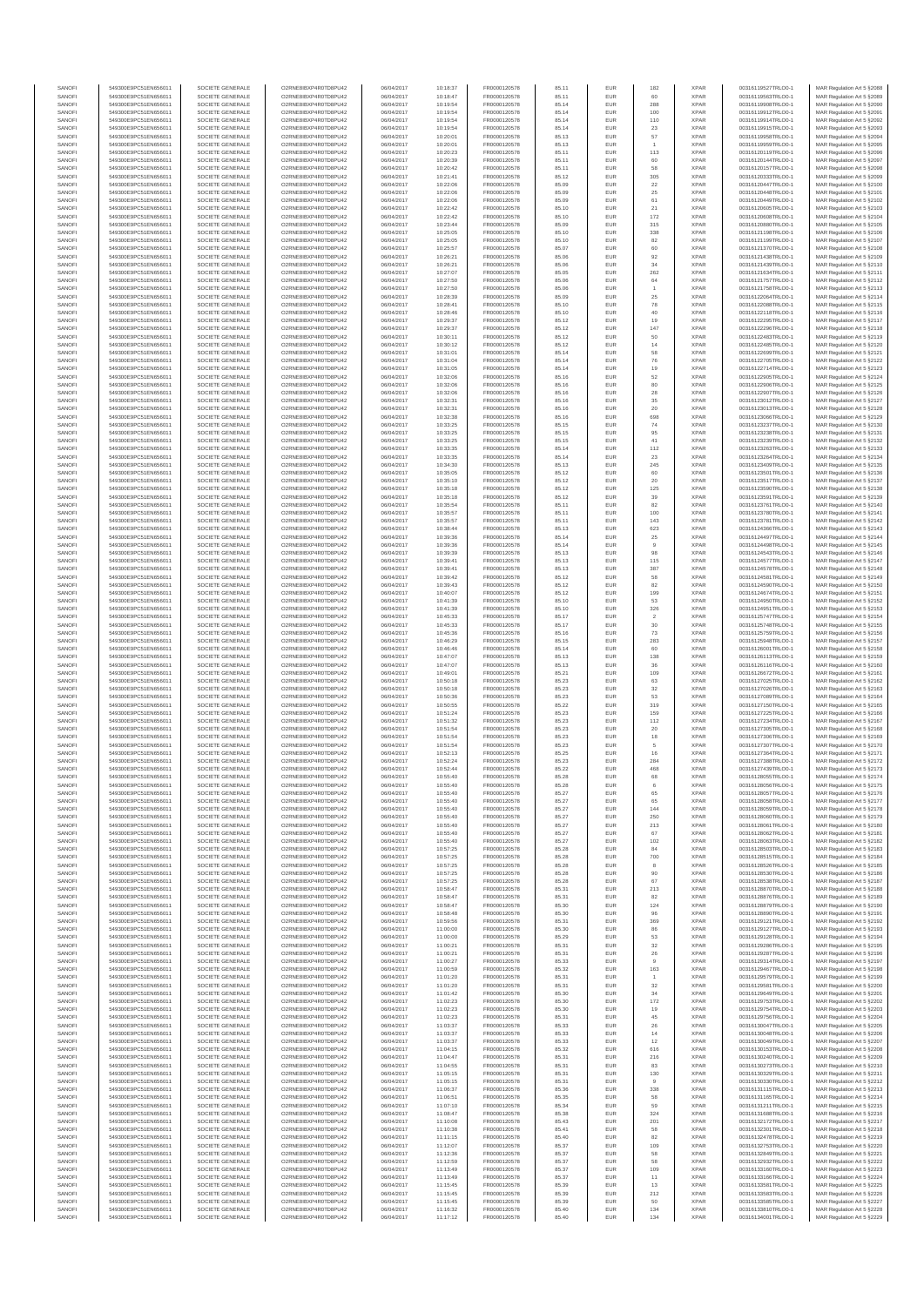| SANOF            | 549300E9PC51EN656011                         | SOCIETE GENERALE                     | O2RNE8IBXP4R0TD8PU42                          | 06/04/2017               | 10:18:37             | FR0000120578                 | 85.11          | EUR               | 182                     | <b>XPAR</b>                | 00316119527TRLO0-1                       | MAR Regulation Art 5 \$2088                               |
|------------------|----------------------------------------------|--------------------------------------|-----------------------------------------------|--------------------------|----------------------|------------------------------|----------------|-------------------|-------------------------|----------------------------|------------------------------------------|-----------------------------------------------------------|
| SANOFI<br>SANOFI | 549300E9PC51EN656011<br>549300E9PC51EN656011 | SOCIETE GENERALE<br>SOCIETE GENERALE | O2RNE8IBXP4R0TD8PU42<br>O2RNE8IBXP4R0TD8PU42  | 06/04/2017<br>06/04/2017 | 10:18:47<br>10:19:54 | FR0000120578<br>FR0000120578 | 85.11<br>85.14 | EUR<br>EUR        | 60<br>288               | <b>XPAR</b><br><b>XPAR</b> | 00316119563TRLO0-1<br>00316119908TRLO0-1 | MAR Regulation Art 5 §2089<br>MAR Regulation Art 5 §2090  |
| SANOFI           | 549300E9PC51EN656011                         | SOCIETE GENERALE                     | O2RNE8IBXP4R0TD8PU42                          | 06/04/2017               | 10:19:54             | FR0000120578                 | 85.14          | EUR               | 100                     | <b>XPAR</b>                | 00316119912TRLO0-1                       | MAR Regulation Art 5 §2091                                |
| SANOFI<br>SANOFI | 549300E9PC51EN656011<br>549300E9PC51EN656011 | SOCIETE GENERALE<br>SOCIETE GENERALE | O2RNE8IBXP4R0TD8PU42<br>O2RNE8IBXP4R0TD8PU42  | 06/04/2017<br>06/04/2017 | 10:19:54<br>10:19:54 | FR0000120578<br>FR0000120578 | 85.14<br>85.14 | EUR<br>EUR        | 110<br>23               | <b>XPAR</b><br><b>XPAR</b> | 00316119914TRLO0-1<br>00316119915TRLO0-1 | MAR Regulation Art 5 §2092<br>MAR Regulation Art 5 §2093  |
| SANOFI           | 549300E9PC51EN656011                         | SOCIETE GENERALE                     | O2RNE8IBXP4R0TD8PU42                          | 06/04/2017               | 10:20:01             | FR0000120578                 | 85.13          | EUR               | 57                      | <b>XPAR</b>                | 00316119958TRLO0-1                       | MAR Regulation Art 5 §2094                                |
| SANOFI           | 549300E9PC51EN656011                         | SOCIETE GENERALE                     | O2RNE8IBXP4R0TD8PU42                          | 06/04/2017               | 10:20:01             | FR0000120578                 | 85.13          | EUR               |                         | <b>XPAR</b>                | 00316119959TRLO0-1                       | MAR Regulation Art 5 §2095                                |
| SANOFI<br>SANOFI | 549300E9PC51EN656011<br>549300E9PC51EN656011 | SOCIETE GENERALE<br>SOCIETE GENERALE | O2RNE8IBXP4R0TD8PU42<br>O2RNE8IBXP4R0TD8PU42  | 06/04/2017<br>06/04/2017 | 10:20:23<br>10:20:39 | FR0000120578<br>FR0000120578 | 85.11<br>85.11 | EUR<br>EUR        | 113<br>60               | <b>XPAR</b><br><b>XPAR</b> | 00316120119TRLO0-1<br>00316120144TRLO0-1 | MAR Regulation Art 5 \$2096<br>MAR Regulation Art 5 §2097 |
| SANOFI           | 549300E9PC51EN656011                         | SOCIETE GENERALE                     | O2RNE8IBXP4R0TD8PU42                          | 06/04/2017               | 10:20:42             | FR0000120578                 | 85.11          | EUR               | 58                      | <b>XPAR</b>                | 00316120157TRLO0-1                       | MAR Regulation Art 5 §2098                                |
| SANOFI           | 549300E9PC51EN656011                         | SOCIETE GENERALE                     | O2RNE8IBXP4R0TD8PU42                          | 06/04/2017               | 10:21:41             | FR0000120578                 | 85.12          | EUR               | 305                     | <b>XPAR</b>                | 00316120333TRLO0-1                       | MAR Regulation Art 5 §2099                                |
| SANOFI<br>SANOFI | 549300E9PC51EN656011<br>549300E9PC51EN656011 | SOCIETE GENERALE<br>SOCIETE GENERALE | O2RNE8IBXP4R0TD8PU42<br>O2RNE8IBXP4R0TD8PU42  | 06/04/2017<br>06/04/2017 | 10:22:06<br>10:22:06 | FR0000120578<br>FR0000120578 | 85.09<br>85.09 | EUR<br>EUR        | 22<br>$\boldsymbol{25}$ | <b>XPAR</b><br><b>XPAR</b> | 00316120447TRLO0-1<br>00316120448TRLO0-1 | MAR Regulation Art 5 §2100<br>MAR Regulation Art 5 §2101  |
| SANOFI           | 549300E9PC51EN656011                         | SOCIETE GENERALE                     | O2RNE8IBXP4R0TD8PU42                          | 06/04/2017               | 10:22:06             | FR0000120578                 | 85.09          | EUR               | 61                      | <b>XPAR</b>                | 00316120449TRLO0-1                       | MAR Regulation Art 5 §2102                                |
| SANOFI<br>SANOFI | 549300E9PC51EN656011<br>549300E9PC51EN656011 | SOCIETE GENERALE<br>SOCIETE GENERALE | O2RNE8IBXP4R0TD8PU42<br>O2RNE8IBXP4R0TD8PU42  | 06/04/2017<br>06/04/2017 | 10:22:42<br>10:22:42 | FR0000120578<br>FR0000120578 | 85.10<br>85.10 | EUR<br>EUR        | 21<br>172               | <b>XPAR</b><br><b>XPAR</b> | 00316120605TRLO0-1<br>00316120608TRLO0-1 | MAR Regulation Art 5 §2103                                |
| SANOFI           | 549300E9PC51EN656011                         | SOCIETE GENERALE                     | O2RNE8IBXP4R0TD8PU42                          | 06/04/2017               | 10:23:44             | FR0000120578                 | 85.09          | EUR               | 315                     | <b>XPAR</b>                | 00316120880TRLO0-1                       | MAR Regulation Art 5 §2104<br>MAR Regulation Art 5 §2105  |
| SANOFI           | 549300E9PC51EN656011                         | SOCIETE GENERALE                     | O2RNE8IBXP4R0TD8PU42                          | 06/04/2017               | 10:25:05             | FR0000120578                 | 85.10          | EUR               | 338                     | <b>XPAR</b>                | 00316121198TRLO0-1                       | MAR Regulation Art 5 §2106                                |
| SANOFI<br>SANOFI | 549300E9PC51EN656011<br>549300E9PC51EN656011 | SOCIETE GENERALE<br>SOCIETE GENERALE | O2RNE8IBXP4R0TD8PU42<br>O2RNE8IBXP4R0TD8PU42  | 06/04/2017<br>06/04/2017 | 10:25:05             | FR0000120578                 | 85.10          | EUR<br>EUR        | 82                      | <b>XPAR</b><br><b>XPAR</b> | 00316121199TRLO0-1<br>00316121370TRLO0-1 | MAR Regulation Art 5 §2107                                |
| SANOFI           | 549300E9PC51EN656011                         | SOCIETE GENERALE                     | O2RNE8IBXP4R0TD8PLI42                         | 06/04/2017               | 10:25:57<br>10:26:21 | FR0000120578<br>FR0000120578 | 85.07<br>85.06 | EUR               | 60<br>92                | <b>XPAR</b>                | 00316121438TRLO0-1                       | MAR Regulation Art 5 §2108<br>MAR Regulation Art 5 §2109  |
| SANOFI           | 549300E9PC51EN656011                         | SOCIETE GENERALE                     | O2RNE8IBXP4R0TD8PU42                          | 06/04/2017               | 10:26:21             | FR0000120578                 | 85.06          | EUR               | 34                      | <b>XPAR</b>                | 00316121439TRLO0-1                       | MAR Regulation Art 5 §2110                                |
| SANOFI<br>SANOFI | 549300E9PC51EN656011<br>549300E9PC51EN656011 | SOCIETE GENERALE<br>SOCIETE GENERALE | O2RNE8IBXP4R0TD8PU42<br>O2RNE8IBXP4R0TD8PU42  | 06/04/2017<br>06/04/2017 | 10:27:07<br>10:27:50 | FR0000120578<br>FR0000120578 | 85.05<br>85.06 | EUR<br>EUR        | 262<br>64               | <b>XPAR</b><br><b>XPAR</b> | 00316121634TRLO0-1<br>00316121757TRLO0-1 | MAR Regulation Art 5 §2111<br>MAR Regulation Art 5 §2112  |
| SANOFI           | 549300E9PC51EN656011                         | SOCIETE GENERALE                     | O2RNE8IBXP4R0TD8PU42                          | 06/04/2017               | 10:27:50             | FR0000120578                 | 85.06          | EUR               |                         | <b>XPAR</b>                | 00316121758TRLO0-1                       | MAR Regulation Art 5 §2113                                |
| SANOFI           | 549300E9PC51EN656011                         | SOCIETE GENERALE                     | O2RNE8IBXP4R0TD8PU42                          | 06/04/2017               | 10:28:39             | FR0000120578                 | 85.09          | EUR               | 25                      | <b>XPAR</b>                | 00316122064TRLO0-1                       | MAR Regulation Art 5 §2114                                |
| SANOFI<br>SANOFI | 549300E9PC51EN656011<br>549300E9PC51EN656011 | SOCIETE GENERALE<br>SOCIETE GENERALE | O2RNE8IBXP4R0TD8PU42<br>O2RNE8IBXP4R0TD8PU42  | 06/04/2017<br>06/04/2017 | 10:28:41<br>10:28:46 | FR0000120578<br>FR0000120578 | 85.10<br>85.10 | EUR<br>EUR        | 78<br>40                | <b>XPAR</b><br><b>XPAR</b> | 00316122088TRLO0-1<br>00316122118TRLO0-1 | MAR Regulation Art 5 §2115<br>MAR Regulation Art 5 §2116  |
| SANOFI           | 549300E9PC51EN656011                         | SOCIETE GENERALE                     | O2RNE8IBXP4R0TD8PU42                          | 06/04/2017               | 10:29:37             | FR0000120578                 | 85.12          | EUR               | 19                      | <b>XPAR</b>                | 00316122295TRLO0-1                       | MAR Regulation Art 5 §2117                                |
| SANOFI<br>SANOFI | 549300E9PC51EN656011<br>549300E9PC51EN656011 | SOCIETE GENERALE<br>SOCIETE GENERALE | O2RNE8IBXP4R0TD8PU42<br>O2RNE8IBXP4R0TD8PU42  | 06/04/2017<br>06/04/2017 | 10:29:37<br>10:30:11 | FR0000120578<br>FR0000120578 | 85.12<br>85.12 | EUR<br>EUR        | 147<br>50               | <b>XPAR</b><br><b>XPAR</b> | 00316122296TRLO0-1<br>00316122483TRLO0-1 | MAR Regulation Art 5 §2118<br>MAR Regulation Art 5 §2119  |
| SANOFI           | 549300E9PC51EN656011                         | SOCIETE GENERALE                     | O2RNE8IBXP4R0TD8PU42                          | 06/04/2017               | 10:30:12             | FR0000120578                 | 85.12          | EUR               | $14$                    | <b>XPAR</b>                | 00316122485TRLO0-1                       | MAR Regulation Art 5 §2120                                |
| SANOFI           | 549300E9PC51EN656011                         | SOCIETE GENERALE                     | O2RNE8IBXP4R0TD8PU42                          | 06/04/2017               | 10:31:01             | FR0000120578                 | 85.14          | EUR               | 58                      | <b>XPAR</b>                | 00316122699TRLO0-1                       | MAR Regulation Art 5 §2121                                |
| SANOFI<br>SANOFI | 549300E9PC51EN656011<br>549300E9PC51EN656011 | SOCIETE GENERALE<br>SOCIETE GENERALE | O2RNE8IBXP4R0TD8PU42<br>O2RNE8IBXP4R0TD8PU42  | 06/04/2017<br>06/04/2017 | 10:31:04<br>10:31:05 | FR0000120578<br>FR0000120578 | 85.14<br>85.14 | EUR<br>EUR        | 76<br>19                | <b>XPAR</b><br><b>XPAR</b> | 00316122705TRLO0-1<br>00316122714TRLO0-1 | MAR Regulation Art 5 §2122<br>MAR Regulation Art 5 §2123  |
| SANOFI           | 549300E9PC51EN656011                         | SOCIETE GENERALE                     | O2RNE8IBXP4R0TD8PU42                          | 06/04/2017               | 10:32:06             | FR0000120578                 | 85.16          | EUR               | 52                      | <b>XPAR</b>                | 00316122905TRLO0-1                       | MAR Regulation Art 5 §2124                                |
| SANOFI<br>SANOFI | 549300E9PC51EN656011                         | SOCIETE GENERALE<br>SOCIETE GENERALE | O2RNE8IBXP4R0TD8PU42<br>O2RNE8IBXP4R0TD8PU42  | 06/04/2017               | 10:32:06             | FR0000120578<br>FR0000120578 | 85.16          | EUR               | 80                      | <b>XPAR</b><br><b>XPAR</b> | 00316122906TRLO0-1                       | MAR Regulation Art 5 §2125                                |
| SANOFI           | 549300E9PC51EN656011<br>549300E9PC51EN656011 | SOCIETE GENERALE                     | O2RNE8IBXP4R0TD8PU42                          | 06/04/2017<br>06/04/2017 | 10:32:06<br>10:32:31 | FR0000120578                 | 85.16<br>85.16 | EUR<br>EUR        | 28<br>35                | <b>XPAR</b>                | 00316122907TRLO0-1<br>00316123012TRLO0-1 | MAR Regulation Art 5 §2126<br>MAR Regulation Art 5 §2127  |
| SANOFI           | 549300E9PC51EN656011                         | SOCIETE GENERALE                     | O2RNE8IBXP4R0TD8PU42                          | 06/04/2017               | 10:32:31             | FR0000120578                 | 85.16          | EUR               | 20                      | <b>XPAR</b>                | 00316123013TRLO0-1                       | MAR Regulation Art 5 \$2128                               |
| SANOFI<br>SANOFI | 549300E9PC51EN656011<br>549300E9PC51EN656011 | SOCIETE GENERALE<br>SOCIETE GENERALE | O2RNE8IBXP4R0TD8PU42<br>O2RNE8IBXP4R0TD8PU42  | 06/04/2017<br>06/04/2017 | 10:32:38<br>10:33:25 | FR0000120578<br>FR0000120578 | 85.16<br>85.15 | EUR<br>EUR        | 698<br>74               | <b>XPAR</b><br><b>XPAR</b> | 00316123066TRLO0-1<br>00316123237TRLO0-1 | MAR Regulation Art 5 §2129<br>MAR Regulation Art 5 §2130  |
| SANOFI           | 549300E9PC51EN656011                         | SOCIETE GENERALE                     | O2RNE8IBXP4R0TD8PU42                          | 06/04/2017               | 10:33:25             | FR0000120578                 | 85.15          | EUR               | 95                      | <b>XPAR</b>                | 00316123238TRLO0-1                       | MAR Regulation Art 5 §2131                                |
| SANOFI<br>SANOFI | 549300E9PC51EN656011                         | SOCIETE GENERALE                     | O2RNE8IBXP4R0TD8PU42                          | 06/04/2017               | 10:33:25             | FR0000120578                 | 85.15          | EUR               | $41\,$                  | <b>XPAR</b><br><b>XPAR</b> | 00316123239TRLO0-1                       | MAR Regulation Art 5 §2132                                |
| SANOFI           | 549300E9PC51EN656011<br>549300E9PC51EN656011 | SOCIETE GENERALE<br>SOCIETE GENERALE | O2RNE8IBXP4R0TD8PU42<br>O2RNE8IBXP4R0TD8PU42  | 06/04/2017<br>06/04/2017 | 10:33:35<br>10:33:35 | FR0000120578<br>FR0000120578 | 85.14<br>85.14 | EUR<br>EUR        | 112<br>23               | <b>XPAR</b>                | 00316123263TRLO0-1<br>00316123264TRLO0-1 | MAR Regulation Art 5 §2133<br>MAR Regulation Art 5 §2134  |
| SANOFI           | 549300E9PC51EN656011                         | SOCIETE GENERALE                     | O2RNE8IBXP4R0TD8PU42                          | 06/04/2017               | 10:34:30             | FR0000120578                 | 85.13          | EUR               | 245                     | <b>XPAR</b>                | 00316123409TRLO0-1                       | MAR Regulation Art 5 §2135                                |
| SANOFI<br>SANOFI | 549300E9PC51EN656011<br>549300E9PC51EN656011 | SOCIETE GENERALE<br>SOCIETE GENERALE | O2RNE8IBXP4R0TD8PU42<br>O2RNE8IBXP4R0TD8PU42  | 06/04/2017<br>06/04/2017 | 10:35:05<br>10:35:10 | FR0000120578<br>FR0000120578 | 85.12<br>85.12 | EUR<br>EUR        | 60<br>20                | <b>XPAR</b><br><b>XPAR</b> | 00316123501TRLO0-1<br>00316123517TRLO0-1 | MAR Regulation Art 5 §2136<br>MAR Regulation Art 5 §2137  |
| SANOFI           | 549300E9PC51EN656011                         | SOCIETE GENERALE                     | O2RNE8IBXP4R0TD8PU42                          | 06/04/2017               | 10:35:18             | FR0000120578                 | 85.12          | EUR               | 125                     | <b>XPAR</b>                | 00316123590TRLO0-1                       | MAR Regulation Art 5 §2138                                |
| SANOFI           | 549300E9PC51EN656011                         | SOCIETE GENERALE                     | O2RNE8IBXP4R0TD8PU42                          | 06/04/2017               | 10:35:18             | FR0000120578                 | 85.12          | EUR               | 39                      | <b>XPAR</b>                | 00316123591TRLO0-1                       | MAR Regulation Art 5 §2139                                |
| SANOFI<br>SANOFI | 549300E9PC51EN656011<br>549300E9PC51EN656011 | SOCIETE GENERALE<br>SOCIETE GENERALE | O2RNE8IBXP4R0TD8PU42<br>O2RNE8IBXP4R0TD8PU42  | 06/04/2017<br>06/04/2017 | 10:35:54<br>10:35:57 | FR0000120578<br>FR0000120578 | 85.11<br>85.11 | EUR<br>EUR        | 82<br>100               | <b>XPAR</b><br><b>XPAR</b> | 00316123761TRLO0-1<br>00316123780TRLO0-1 | MAR Regulation Art 5 §2140<br>MAR Regulation Art 5 §2141  |
| SANOFI           | 549300E9PC51EN656011                         | SOCIETE GENERALE                     | O2RNE8IBXP4R0TD8PU42                          | 06/04/2017               | 10:35:57             | FR0000120578                 | 85.11          | EUR               | 143                     | <b>XPAR</b>                | 00316123781TRLO0-1                       | MAR Regulation Art 5 §2142                                |
| SANOFI           | 549300E9PC51EN656011                         | SOCIETE GENERALE                     | O2RNE8IBXP4R0TD8PU42                          | 06/04/2017               | 10:38:44             | FR0000120578                 | 85.13          | EUR               | 623                     | <b>XPAR</b>                | 00316124366TRLO0-1                       | MAR Regulation Art 5 §2143                                |
| SANOFI<br>SANOFI | 549300E9PC51EN656011<br>549300E9PC51EN656011 | SOCIETE GENERALE<br>SOCIETE GENERALE | O2RNE8IBXP4R0TD8PU42<br>O2RNE8IBXP4R0TD8PU42  | 06/04/2017<br>06/04/2017 | 10:39:36<br>10:39:36 | FR0000120578<br>FR0000120578 | 85.14<br>85.14 | EUR<br>EUR        | 25<br>$^{\rm 9}$        | <b>XPAR</b><br><b>XPAR</b> | 00316124497TRLO0-1<br>00316124498TRLO0-1 | MAR Regulation Art 5 §2144<br>MAR Regulation Art 5 §2145  |
| SANOFI           | 549300E9PC51EN656011                         | SOCIETE GENERALE                     | O2RNE8IBXP4R0TD8PU42                          | 06/04/2017               | 10:39:39             | FR0000120578                 | 85.13          | EUR               | 98                      | <b>XPAR</b>                | 00316124543TRLO0-1                       | MAR Regulation Art 5 §2146                                |
| SANOFI<br>SANOFI | 549300E9PC51EN656011<br>549300E9PC51EN656011 | SOCIETE GENERALE<br>SOCIETE GENERALE | O2RNE8IBXP4R0TD8PU42<br>O2RNE8IBXP4R0TD8PU42  | 06/04/2017<br>06/04/2017 | 10:39:41<br>10:39:41 | FR0000120578<br>FR0000120578 | 85.13<br>85.13 | EUR<br>EUR        | 115<br>387              | <b>XPAR</b><br><b>XPAR</b> | 00316124577TRLO0-1<br>00316124578TRLO0-1 | MAR Regulation Art 5 §2147<br>MAR Regulation Art 5 §2148  |
| SANOFI           | 549300E9PC51EN656011                         | SOCIETE GENERALE                     | O2RNE8IBXP4R0TD8PU42                          | 06/04/2017               | 10:39:42             | FR0000120578                 | 85.12          | EUR               | 58                      | <b>XPAR</b>                | 00316124581TRLO0-1                       | MAR Regulation Art 5 §2149                                |
| SANOFI<br>SANOFI | 549300E9PC51EN656011<br>549300E9PC51EN656011 | SOCIETE GENERALE<br>SOCIETE GENERALE | O2RNE8IBXP4R0TD8PU42<br>O2RNE8IBXP4R0TD8PU42  | 06/04/2017<br>06/04/2017 | 10:39:43<br>10:40:07 | FR0000120578<br>FR0000120578 | 85.12<br>85.12 | EUR<br>EUR        | 82<br>199               | <b>XPAR</b><br><b>XPAR</b> | 00316124590TRLO0-1<br>00316124674TRLO0-1 | MAR Regulation Art 5 §2150<br>MAR Regulation Art 5 §2151  |
| SANOFI           | 549300E9PC51EN656011                         | SOCIETE GENERALE                     | O2RNE8IBXP4R0TD8PU42                          | 06/04/2017               | 10:41:39             | FR0000120578                 | 85.10          | EUR               | 53                      | <b>XPAR</b>                | 00316124950TRLO0-1                       | MAR Regulation Art 5 §2152                                |
| SANOFI           | 549300E9PC51EN656011                         | SOCIETE GENERALE                     | O2RNE8IBXP4R0TD8PU42                          | 06/04/2017               | 10:41:39             | FR0000120578                 | 85.10          | EUR               | 326                     | <b>XPAR</b>                | 00316124951TRLO0-1                       | MAR Regulation Art 5 §2153                                |
| SANOFI<br>SANOFI | 549300E9PC51EN656011<br>549300E9PC51EN656011 | SOCIETE GENERALE<br>SOCIETE GENERALE | O2RNE8IBXP4R0TD8PU42<br>O2RNE8IBXP4R0TD8PU42  | 06/04/2017<br>06/04/2017 | 10:45:33<br>10:45:33 | FR0000120578<br>FR0000120578 | 85.17<br>85.17 | EUR<br>EUR        | $\sqrt{2}$<br>30        | <b>XPAR</b><br><b>XPAR</b> | 00316125747TRLO0-1<br>00316125748TRLO0-1 | MAR Regulation Art 5 §2154<br>MAR Regulation Art 5 §2155  |
| SANOFI           | 549300E9PC51EN656011                         | SOCIETE GENERALE                     | O2RNE8IBXP4R0TD8PU42                          | 06/04/2017               | 10:45:36             | FR0000120578                 | 85.16          | EUR               | 73                      | <b>XPAR</b>                | 00316125759TRLO0-1                       | MAR Regulation Art 5 §2156                                |
| SANOFI<br>SANOFI | 549300E9PC51EN656011<br>549300E9PC51EN656011 | SOCIETE GENERALE<br>SOCIETE GENERALE | O2RNE8IBXP4R0TD8PU42<br>O2RNE8IBXP4R0TD8PU42  | 06/04/2017<br>06/04/2017 | 10:46:29<br>10:46:46 | FR0000120578<br>FR0000120578 | 85.15<br>85.14 | EUR<br>EUR        | 283<br>60               | <b>XPAR</b><br><b>XPAR</b> | 00316125948TRLO0-1<br>00316126001TRLO0-1 | MAR Regulation Art 5 §2157<br>MAR Regulation Art 5 §2158  |
| SANOFI           | 549300E9PC51EN656011                         | SOCIETE GENERALE                     | O2RNE8IBXP4R0TD8PU42                          | 06/04/2017               | 10:47:07             | FR0000120578                 | 85.13          | EUR               | 138                     | <b>XPAR</b>                | 00316126113TRLO0-1                       | MAR Regulation Art 5 §2159                                |
| SANOFI<br>SANOFI | 549300E9PC51EN656011<br>549300E9PC51EN656011 | SOCIETE GENERALE<br>SOCIETE GENERALE | O2RNE8IBXP4R0TD8PU42<br>O2RNE8IBXP4R0TD8PU42  | 06/04/2017<br>06/04/2017 | 10:47:07<br>10:49:01 | FR0000120578<br>FR0000120578 | 85.13<br>85.21 | EUR<br>EUR        | 36<br>109               | <b>XPAR</b><br><b>XPAR</b> | 00316126116TRLO0-1<br>00316126672TRLO0-1 | MAR Regulation Art 5 §2160<br>MAR Regulation Art 5 §2161  |
| SANOFI           | 549300E9PC51EN656011                         | SOCIETE GENERALE                     | O2RNE8IBXP4R0TD8PU42                          | 06/04/2017               | 10:50:18             | FR0000120578                 | 85.23          | EUR               | 63                      | <b>XPAR</b>                | 00316127025TRLO0-1                       | MAR Regulation Art 5 §2162                                |
| SANOFI           | 549300E9PC51EN656011                         | SOCIETE GENERALE                     | O2RNE8IBXP4R0TD8PU42                          | 06/04/2017               | 10:50:18             | FR0000120578                 | 85.23          | EUR               | 32                      | <b>XPAR</b>                | 00316127026TRLO0-1                       | MAR Regulation Art 5 §2163                                |
| SANOFI<br>SANOFI | 549300E9PC51EN656011<br>549300E9PC51EN656011 | SOCIETE GENERALE<br>SOCIETE GENERALE | O2RNE8IBXP4R0TD8PU42<br>O2RNE8IBXP4R0TD8PU42  | 06/04/2017<br>06/04/2017 | 10:50:36<br>10:50:55 | FR0000120578<br>FR0000120578 | 85.23<br>85.22 | EUR<br>EUR        | 53<br>319               | <b>XPAR</b><br><b>XPAR</b> | 00316127089TRLO0-1<br>00316127150TRLO0-1 | MAR Regulation Art 5 §2164<br>MAR Regulation Art 5 §2165  |
| SANOFI           | 549300E9PC51EN656011                         | SOCIETE GENERALE                     | O2RNE8IBXP4R0TD8PU42                          | 06/04/2017               | 10:51:24             | FR0000120578                 | 85.23          | EUR               | 159                     | <b>XPAR</b>                | 00316127225TRLO0-1                       | MAR Regulation Art 5 §2166                                |
| SANOFI<br>SANOFI | 549300E9PC51EN656011<br>549300E9PC51EN656011 | SOCIETE GENERALE<br>SOCIETE GENERALE | O2RNE8IBXP4R0TD8PU42<br>O2RNE8IBXP4R0TD8PU42  | 06/04/2017<br>06/04/2017 | 10:51:32<br>10:51:54 | FR0000120578<br>FR0000120578 | 85.23<br>85.23 | EUR<br>EUR        | 112<br>20               | <b>XPAR</b><br><b>XPAR</b> | 00316127234TRLO0-1<br>00316127305TRLO0-1 | MAR Regulation Art 5 §2167<br>MAR Regulation Art 5 §2168  |
| SANOFI           | 549300E9PC51EN656011                         | SOCIETE GENERALE                     | O2RNE8IBXP4R0TD8PU42                          | 06/04/2017               | 10:51:54             | FR0000120578                 | 85.23          | EUR               | 18                      | <b>XPAR</b>                | 00316127306TRLO0-1                       | MAR Regulation Art 5 §2169                                |
| SANOFI           | 549300E9PC51EN656011                         | SOCIETE GENERALE                     | O2RNE8IBXP4R0TD8PU42                          | 06/04/2017               | 10:51:54             | FR0000120578                 | 85.23          | EUR               | 5                       | <b>XPAR</b>                | 00316127307TRLO0-1                       | MAR Regulation Art 5 §2170                                |
| SANOFI<br>SANOFI | 549300E9PC51EN656011<br>549300E9PC51EN656011 | SOCIETE GENERALE<br>SOCIETE GENERALE | O2RNE8IBXP4R0TD8PU42<br>O2RNE8IBXP4R0TD8PU42  | 06/04/2017<br>06/04/2017 | 10:52:13<br>10:52:24 | FR0000120578<br>FR0000120578 | 85.25<br>85.23 | EUR<br>EUR        | 16<br>284               | <b>XPAR</b><br><b>XPAR</b> | 00316127364TRLO0-1<br>00316127388TRLO0-1 | MAR Regulation Art 5 §2171<br>MAR Regulation Art 5 §2172  |
| SANOFI           | 549300E9PC51EN656011                         | SOCIETE GENERALE                     | O2RNE8IBXP4R0TD8PU42                          | 06/04/2017               | 10:52:44             | FR0000120578                 | 85.22          | EUR               | 468                     | <b>XPAR</b>                | 00316127439TRLO0-1                       | MAR Regulation Art 5 §2173                                |
| SANOFI<br>SANOFI | 549300E9PC51EN656011<br>549300E9PC51EN656011 | SOCIETE GENERALE<br>SOCIETE GENERALE | O2RNE8IBXP4R0TD8PU42<br>O2RNE8IBXP4R0TD8PLI42 | 06/04/2017<br>06/04/2017 | 10:55:40<br>10:55:40 | FR0000120578<br>FR0000120578 | 85.28<br>85.28 | EUR<br>EUR        | 68                      | <b>XPAR</b><br><b>XPAR</b> | 00316128055TRLO0-1<br>00316128056TRLO0-1 | MAR Regulation Art 5 §2174<br>MAR Regulation Art 5 §2175  |
| SANOFI           | 549300E9PC51EN656011                         | SOCIETE GENERALE                     | O2RNE8IBXP4R0TD8PU42                          | 06/04/2017               | 10:55:40             | FR0000120578                 | 85.27          | EUR               | 65                      | <b>XPAR</b>                | 00316128057TRLO0-1                       | MAR Regulation Art 5 §2176                                |
| SANOFI           | 549300E9PC51EN656011                         | SOCIETE GENERALE                     | O2RNE8IBXP4R0TD8PLI42<br>O2RNE8IBXP4R0TD8PU42 | 06/04/2017               | 10:55:40             | FR0000120578                 | 85.27          | EUR               | 65                      | <b>XPAR</b>                | 00316128058TRLO0-1                       | MAR Regulation Art 5 §2177                                |
| SANOFI<br>SANOFI | 549300E9PC51EN656011<br>549300E9PC51EN656011 | SOCIETE GENERALE<br>SOCIETE GENERALE | O2RNE8IBXP4R0TD8PU42                          | 06/04/2017<br>06/04/2017 | 10:55:40<br>10:55:40 | FR0000120578<br>FR0000120578 | 85.27<br>85.27 | EUR<br>EUR        | 144<br>250              | <b>XPAR</b><br><b>XPAR</b> | 00316128059TRLO0-1<br>00316128060TRLO0-1 | MAR Regulation Art 5 §2178<br>MAR Regulation Art 5 §2179  |
| SANOFI           | 549300E9PC51EN656011                         | SOCIETE GENERALE                     | O2RNE8IBXP4R0TD8PU42                          | 06/04/2017               | 10:55:40             | FR0000120578                 | 85.27          | EUR               | 213                     | <b>XPAR</b>                | 00316128061TRLO0-1                       | MAR Regulation Art 5 §2180                                |
| SANOFI<br>SANOFI | 549300E9PC51EN656011<br>549300E9PC51EN656011 | SOCIETE GENERALE<br>SOCIETE GENERALE | O2RNE8IBXP4R0TD8PU42<br>O2RNE8IBXP4R0TD8PU42  | 06/04/2017<br>06/04/2017 | 10:55:40<br>10:55:40 | FR0000120578<br>FR0000120578 | 85.27<br>85.27 | EUR<br>EUR        | 67<br>102               | <b>XPAR</b><br><b>XPAR</b> | 00316128062TRLO0-1<br>00316128063TRLO0-1 | MAR Regulation Art 5 §2181<br>MAR Regulation Art 5 §2182  |
| SANOFI           | 549300E9PC51EN656011                         | SOCIETE GENERALE                     | O2RNE8IBXP4R0TD8PU42                          | 06/04/2017               | 10:57:25             | FR0000120578                 | 85.28          | EUR               | 84                      | <b>XPAR</b>                | 00316128503TRLO0-1                       | MAR Regulation Art 5 §2183                                |
| SANOFI<br>SANOFI | 549300E9PC51EN656011<br>549300E9PC51EN656011 | SOCIETE GENERALE<br>SOCIETE GENERALE | O2RNE8IBXP4R0TD8PU42<br>O2RNE8IBXP4R0TD8PU42  | 06/04/2017<br>06/04/2017 | 10:57:25<br>10:57:25 | FR0000120578<br>FR0000120578 | 85.28<br>85.28 | EUR<br>EUR        | 700<br>8                | XPAR<br><b>XPAR</b>        | 00316128515TRLO0-1<br>00316128526TRLO0-1 | MAR Regulation Art 5 §2184                                |
| SANOFI           | 549300E9PC51EN656011                         | SOCIETE GENERALE                     | O2RNE8IBXP4R0TD8PU42                          | 06/04/2017               | 10:57:25             | FR0000120578                 | 85.28          | EUR               | 90                      | <b>XPAR</b>                | 00316128530TRLO0-1                       | MAR Regulation Art 5 §2185<br>MAR Regulation Art 5 §2186  |
| SANOFI<br>SANOFI | 549300E9PC51EN656011<br>549300E9PC51EN656011 | SOCIETE GENERALE<br>SOCIETE GENERALE | O2RNE8IBXP4R0TD8PU42<br>O2RNE8IBXP4R0TD8PU42  | 06/04/2017<br>06/04/2017 | 10:57:25<br>10:58:47 | FR0000120578<br>FR0000120578 | 85.28<br>85.31 | <b>EUR</b><br>EUR | 67<br>213               | <b>XPAR</b><br><b>XPAR</b> | 00316128538TRLO0-1<br>00316128870TRLO0-1 | MAR Regulation Art 5 §2187<br>MAR Regulation Art 5 §2188  |
| SANOFI           | 549300E9PC51EN656011                         | SOCIETE GENERALE                     | O2RNE8IBXP4R0TD8PU42                          | 06/04/2017               | 10:58:47             | FR0000120578                 | 85.31          | EUR               | 82                      | <b>XPAR</b>                | 00316128876TRLO0-1                       | MAR Regulation Art 5 §2189                                |
| SANOFI           | 549300E9PC51EN656011                         | SOCIETE GENERALE                     | O2RNE8IBXP4R0TD8PU42                          | 06/04/2017               | 10:58:47             | FR0000120578                 | 85.30          | EUR               | 124                     | <b>XPAR</b>                | 00316128879TRLO0-1                       | MAR Regulation Art 5 §2190                                |
| SANOFI<br>SANOFI | 549300E9PC51EN656011<br>549300E9PC51EN656011 | SOCIETE GENERALE<br>SOCIETE GENERALE | O2RNE8IBXP4R0TD8PU42<br>O2RNE8IBXP4R0TD8PU42  | 06/04/2017<br>06/04/2017 | 10:58:48<br>10:59:56 | FR0000120578<br>FR0000120578 | 85.30<br>85.31 | EUR<br>EUR        | 96<br>369               | <b>XPAR</b><br><b>XPAR</b> | 00316128890TRLO0-1<br>00316129121TRLO0-1 | MAR Regulation Art 5 §2191<br>MAR Regulation Art 5 §2192  |
| SANOFI           | 549300E9PC51EN656011                         | SOCIETE GENERALE                     | O2RNE8IBXP4R0TD8PU42                          | 06/04/2017               | 11:00:00             | FR0000120578                 | 85.30          | EUR               | 86                      | <b>XPAR</b>                | 00316129127TRLO0-1                       | MAR Regulation Art 5 §2193                                |
| SANOFI<br>SANOFI | 549300E9PC51EN656011<br>549300E9PC51EN656011 | SOCIETE GENERALE<br>SOCIETE GENERALE | O2RNE8IBXP4R0TD8PLI42<br>O2RNE8IBXP4R0TD8PU42 | 06/04/2017<br>06/04/2017 | 11:00:00<br>11:00:21 | FR0000120578<br>FR0000120578 | 85.29<br>85.31 | EUR<br>EUR        | 53<br>32                | <b>XPAR</b><br><b>XPAR</b> | 00316129128TRLO0-1<br>00316129286TRLO0-1 | MAR Regulation Art 5 §2194<br>MAR Regulation Art 5 §2195  |
| SANOFI           | 549300E9PC51EN656011                         | SOCIETE GENERALE                     | O2RNE8IBXP4R0TD8PU42                          | 06/04/2017               | 11:00:21             | FR0000120578                 | 85.31          | EUR               | $\sqrt{26}$             | <b>XPAR</b>                | 00316129287TRLO0-1                       | MAR Regulation Art 5 §2196                                |
| SANOFI           | 549300E9PC51EN656011                         | SOCIETE GENERALE                     | O2RNE8IBXP4R0TD8PU42                          | 06/04/2017               | 11:00:27             | FR0000120578                 | 85.33          | EUR               |                         | <b>XPAR</b>                | 00316129314TRLO0-1                       | MAR Regulation Art 5 §2197                                |
| SANOFI<br>SANOFI | 549300E9PC51EN656011<br>549300E9PC51EN656011 | SOCIETE GENERALE<br>SOCIETE GENERALE | O2RNE8IBXP4R0TD8PU42<br>O2RNE8IBXP4R0TD8PU42  | 06/04/2017<br>06/04/2017 | 11:00:59<br>11:01:20 | FR0000120578<br>FR0000120578 | 85.32<br>85.31 | EUR<br>EUR        | 163                     | <b>XPAR</b><br><b>XPAR</b> | 00316129467TRLO0-1<br>00316129579TRLO0-1 | MAR Regulation Art 5 §2198<br>MAR Regulation Art 5 §2199  |
| SANOFI           | 549300E9PC51EN656011                         | SOCIETE GENERALE                     | O2RNE8IBXP4R0TD8PU42                          | 06/04/2017               | 11:01:20             | FR0000120578                 | 85.31          | EUR               | $32\,$                  | <b>XPAR</b>                | 00316129581TRLO0-1                       | MAR Regulation Art 5 §2200                                |
| SANOFI<br>SANOFI | 549300E9PC51EN656011<br>549300E9PC51EN656011 | SOCIETE GENERALE<br>SOCIETE GENERALE | O2RNE8IBXP4R0TD8PU42<br>O2RNE8IBXP4R0TD8PU42  | 06/04/2017<br>06/04/2017 | 11:01:42<br>11:02:23 | FR0000120578<br>FR0000120578 | 85.30<br>85.30 | EUR<br>EUR        | 34<br>172               | <b>XPAR</b><br><b>XPAR</b> | 00316129649TRLO0-1<br>00316129753TRLO0-1 | MAR Regulation Art 5 §2201<br>MAR Regulation Art 5 §2202  |
| SANOFI           | 549300E9PC51EN656011                         | SOCIETE GENERALE                     | O2RNE8IBXP4R0TD8PU42                          | 06/04/2017               | 11:02:23             | FR0000120578                 | 85.30          | EUR               | 19                      | <b>XPAR</b>                | 00316129754TRLO0-1                       | MAR Regulation Art 5 §2203                                |
| SANOFI<br>SANOFI | 549300E9PC51EN656011<br>549300E9PC51EN656011 | SOCIETE GENERALE<br>SOCIETE GENERALE | O2RNE8IBXP4R0TD8PU42<br>O2RNE8IBXP4R0TD8PU42  | 06/04/2017<br>06/04/2017 | 11:02:23<br>11:03:37 | FR0000120578<br>FR0000120578 | 85.31<br>85.33 | EUR<br>EUR        | 45<br>26                | <b>XPAR</b><br><b>XPAR</b> | 00316129756TRLO0-1<br>00316130047TRLO0-1 | MAR Regulation Art 5 §2204                                |
| SANOFI           | 549300E9PC51EN656011                         | SOCIETE GENERALE                     | O2RNE8IBXP4R0TD8PU42                          | 06/04/2017               | 11:03:37             | FR0000120578                 | 85.33          | EUR               | 14                      | <b>XPAR</b>                | 00316130048TRLO0-1                       | MAR Regulation Art 5 §2205<br>MAR Regulation Art 5 §2206  |
| SANOFI           | 549300E9PC51EN656011                         | SOCIETE GENERALE                     | O2RNE8IBXP4R0TD8PU42                          | 06/04/2017               | 11:03:37             | FR0000120578                 | 85.33          | EUR               | 12                      | <b>XPAR</b>                | 00316130049TRLO0-1                       | MAR Regulation Art 5 §2207                                |
| SANOFI<br>SANOFI | 549300E9PC51EN656011<br>549300E9PC51EN656011 | SOCIETE GENERALE<br>SOCIETE GENERALE | O2RNE8IBXP4R0TD8PU42<br>O2RNE8IBXP4R0TD8PU42  | 06/04/2017<br>06/04/2017 | 11:04:15<br>11:04:47 | FR0000120578<br>FR0000120578 | 85.32<br>85.31 | EUR<br>EUR        | 616<br>216              | <b>XPAR</b><br><b>XPAR</b> | 00316130153TRLO0-1<br>00316130240TRLO0-1 | MAR Regulation Art 5 §2208<br>MAR Regulation Art 5 §2209  |
| SANOFI           | 549300E9PC51EN656011                         | SOCIETE GENERALE                     | O2RNE8IBXP4R0TD8PU42                          | 06/04/2017               | 11:04:55             | FR0000120578                 | 85.31          | EUR               | 83                      | <b>XPAR</b>                | 00316130273TRLO0-1                       | MAR Regulation Art 5 §2210                                |
| SANOFI           | 549300E9PC51EN656011                         | SOCIETE GENERALE                     | O2RNE8IBXP4R0TD8PU42<br>O2RNE8IBXP4R0TD8PU42  | 06/04/2017               | 11:05:15             | FR0000120578                 | 85.31          | EUR               | 130                     | <b>XPAR</b>                | 00316130329TRLO0-1                       | MAR Regulation Art 5 §2211                                |
| SANOFI<br>SANOFI | 549300E9PC51EN656011<br>549300E9PC51EN656011 | SOCIETE GENERALE<br>SOCIETE GENERALE | O2RNE8IBXP4R0TD8PU42                          | 06/04/2017<br>06/04/2017 | 11:05:15<br>11:06:37 | FR0000120578<br>FR0000120578 | 85.31<br>85.36 | EUR<br>EUR        | 338                     | <b>XPAR</b><br><b>XPAR</b> | 00316130330TRLO0-1<br>00316131115TRLO0-1 | MAR Regulation Art 5 §2212<br>MAR Regulation Art 5 §2213  |
| SANOFI           | 549300E9PC51EN656011                         | SOCIETE GENERALE                     | O2RNE8IBXP4R0TD8PU42                          | 06/04/2017               | 11:06:51             | FR0000120578                 | 85.35          | EUR               | 58                      | <b>XPAR</b>                | 00316131165TRLO0-1                       | MAR Regulation Art 5 §2214                                |
| SANOFI<br>SANOFI | 549300E9PC51EN656011<br>549300E9PC51EN656011 | SOCIETE GENERALE<br>SOCIETE GENERALE | O2RNE8IBXP4R0TD8PU42<br>O2RNE8IBXP4R0TD8PU42  | 06/04/2017<br>06/04/2017 | 11:07:10<br>11:08:47 | FR0000120578<br>FR0000120578 | 85.34<br>85.38 | EUR<br>EUR        | 59<br>324               | <b>XPAR</b><br><b>XPAR</b> | 00316131211TRLO0-1<br>00316131688TRLO0-1 | MAR Regulation Art 5 §2215<br>MAR Regulation Art 5 §2216  |
| SANOFI           | 549300E9PC51EN656011                         | SOCIETE GENERALE                     | O2RNE8IBXP4R0TD8PU42                          | 06/04/2017               | 11:10:08             | FR0000120578                 | 85.43          | EUR               | 201                     | <b>XPAR</b>                | 00316132172TRLO0-1                       | MAR Regulation Art 5 §2217                                |
| SANOFI           | 549300E9PC51EN656011                         | SOCIETE GENERALE                     | O2RNE8IBXP4R0TD8PU42                          | 06/04/2017               | 11:10:38             | FR0000120578                 | 85.41          | EUR               | 58                      | <b>XPAR</b>                | 00316132301TRLO0-1                       | MAR Regulation Art 5 §2218                                |
| SANOFI<br>SANOFI | 549300E9PC51EN656011<br>549300E9PC51EN656011 | SOCIETE GENERALE<br>SOCIETE GENERALE | O2RNE8IBXP4R0TD8PU42<br>O2RNE8IBXP4R0TD8PU42  | 06/04/2017<br>06/04/2017 | 11:11:15<br>11:12:07 | FR0000120578<br>FR0000120578 | 85.40<br>85.37 | EUR<br>EUR        | 82<br>109               | <b>XPAR</b><br>XPAR        | 00316132478TRLO0-1<br>00316132753TRLO0-1 | MAR Regulation Art 5 §2219<br>MAR Regulation Art 5 §2220  |
| SANOFI           | 549300E9PC51EN656011                         | SOCIETE GENERALE                     | O2RNE8IBXP4R0TD8PU42                          | 06/04/2017               | 11:12:36             | FR0000120578                 | 85.37          | EUR               | 58                      | <b>XPAR</b>                | 00316132849TRLO0-1                       | MAR Regulation Art 5 §2221                                |
| SANOFI<br>SANOFI | 549300E9PC51EN656011<br>549300E9PC51EN656011 | SOCIETE GENERALE<br>SOCIETE GENERALE | O2RNE8IBXP4R0TD8PU42<br>O2RNE8IBXP4R0TD8PU42  | 06/04/2017<br>06/04/2017 | 11:12:59<br>11:13:49 | FR0000120578<br>FR0000120578 | 85.37<br>85.37 | EUR<br>EUR        | 58<br>109               | <b>XPAR</b><br><b>XPAR</b> | 00316132932TRLO0-1<br>00316133160TRLO0-1 | MAR Regulation Art 5 §2222<br>MAR Regulation Art 5 §2223  |
| SANOFI           | 549300E9PC51EN656011                         | SOCIETE GENERALE                     | O2RNE8IBXP4R0TD8PU42                          | 06/04/2017               | 11:13:49             | FR0000120578                 | 85.37          | EUR               | 11                      | <b>XPAR</b>                | 00316133166TRLO0-1                       | MAR Regulation Art 5 §2224                                |
| SANOFI<br>SANOFI | 549300E9PC51EN656011<br>549300E9PC51EN656011 | SOCIETE GENERALE<br>SOCIETE GENERALE | O2RNE8IBXP4R0TD8PU42<br>O2RNE8IBXP4R0TD8PU42  | 06/04/2017<br>06/04/2017 | 11:15:45<br>11:15:45 | FR0000120578<br>FR0000120578 | 85.39<br>85.39 | EUR<br>EUR        | 13<br>212               | <b>XPAR</b><br><b>XPAR</b> | 00316133581TRLO0-1<br>00316133583TRLO0-1 | MAR Regulation Art 5 §2225<br>MAR Regulation Art 5 §2226  |
| SANOFI           | 549300E9PC51EN656011                         | SOCIETE GENERALE                     | O2RNE8IBXP4R0TD8PU42                          | 06/04/2017               | 11:15:45             | FR0000120578                 | 85.39          | EUR               | 50                      | <b>XPAR</b>                | 00316133585TRLO0-1                       | MAR Regulation Art 5 §2227                                |
| SANOFI<br>SANOFI | 549300E9PC51EN656011<br>549300E9PC51EN656011 | SOCIETE GENERALE<br>SOCIETE GENERALE | O2RNE8IBXP4R0TD8PU42<br>O2RNE8IBXP4R0TD8PU42  | 06/04/2017<br>06/04/2017 | 11:16:32<br>11:17:12 | FR0000120578<br>FR0000120578 | 85.40<br>85.40 | EUR<br>EUR        | 134<br>134              | <b>XPAR</b><br>XPAR        | 00316133810TRLO0-1<br>00316134001TRLO0-1 | MAR Regulation Art 5 §2228<br>MAR Regulation Art 5 §2229  |
|                  |                                              |                                      |                                               |                          |                      |                              |                |                   |                         |                            |                                          |                                                           |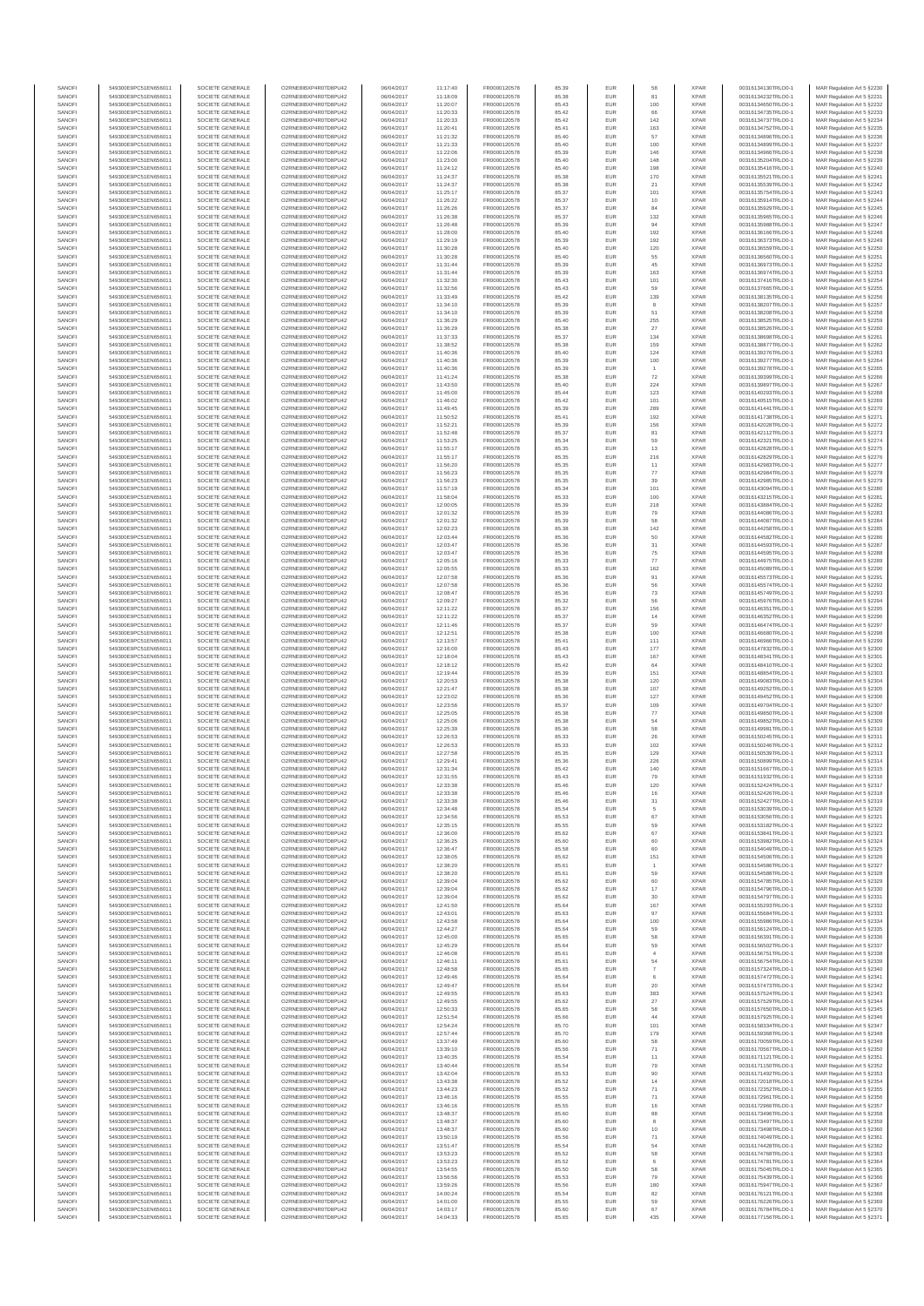| SANOF            | 549300E9PC51EN656011                         | SOCIETE GENERALE                     | O2RNE8IBXP4R0TD8PU42                          | 06/04/2017               | 11:17:40             | FR0000120578                 | 85.39          | EUR               |                           | <b>XPAR</b>                | 00316134130TRLO0-1                       | MAR Regulation Art 5 §2230                                |
|------------------|----------------------------------------------|--------------------------------------|-----------------------------------------------|--------------------------|----------------------|------------------------------|----------------|-------------------|---------------------------|----------------------------|------------------------------------------|-----------------------------------------------------------|
| SANOFI<br>SANOFI | 549300E9PC51EN656011<br>549300E9PC51EN656011 | SOCIETE GENERALE<br>SOCIETE GENERALE | O2RNE8IBXP4R0TD8PU42<br>O2RNE8IBXP4R0TD8PU42  | 06/04/2017<br>06/04/2017 | 11:18:09<br>11:20:07 | FR0000120578<br>FR0000120578 | 85.38<br>85.43 | EUR<br>EUR        | 81<br>100                 | <b>XPAR</b><br><b>XPAR</b> | 00316134232TRLO0-1<br>00316134650TRLO0-1 | MAR Regulation Art 5 §2231<br>MAR Regulation Art 5 §2232  |
| SANOFI           | 549300E9PC51EN656011                         | SOCIETE GENERALE                     | O2RNE8IBXP4R0TD8PU42                          | 06/04/2017               | 11:20:33             | FR0000120578                 | 85.42          | EUR               | 66                        | <b>XPAR</b>                | 00316134735TRLO0-1                       | MAR Regulation Art 5 §2233                                |
| SANOFI<br>SANOFI | 549300E9PC51EN656011<br>549300E9PC51EN656011 | SOCIETE GENERALE<br>SOCIETE GENERALE | O2RNE8IBXP4R0TD8PU42<br>O2RNE8IBXP4R0TD8PU42  | 06/04/2017<br>06/04/2017 | 11:20:33<br>11:20:41 | FR0000120578<br>FR0000120578 | 85.42<br>85.41 | EUR<br>EUR        | $142\,$<br>163            | <b>XPAR</b><br><b>XPAR</b> | 00316134737TRLO0-1<br>00316134752TRLO0-1 | MAR Regulation Art 5 §2234<br>MAR Regulation Art 5 §2235  |
| SANOFI           | 549300E9PC51EN656011                         | SOCIETE GENERALE                     | O2RNE8IBXP4R0TD8PLI42                         | 06/04/2017               | 11:21:32             | FR0000120578                 | 85.40          | EUR               | 57                        | <b>XPAR</b>                | 00316134896TRLO0-1                       | MAR Regulation Art 5 §2236                                |
| SANOFI           | 549300E9PC51EN656011                         | SOCIETE GENERALE                     | O2RNE8IBXP4R0TD8PU42                          | 06/04/2017               | 11:21:33             | FR0000120578                 | 85.40          | EUR               | 100                       | <b>XPAR</b>                | 00316134899TRLO0-1                       | MAR Regulation Art 5 §2237                                |
| SANOFI<br>SANOFI | 549300E9PC51EN656011<br>549300E9PC51EN656011 | SOCIETE GENERALE<br>SOCIETE GENERALE | O2RNE8IBXP4R0TD8PU42<br>O2RNE8IBXP4R0TD8PU42  | 06/04/2017<br>06/04/2017 | 11:22:06<br>11:23:00 | FR0000120578<br>FR0000120578 | 85.39<br>85.40 | <b>EUR</b><br>EUR | 146<br>148                | <b>XPAR</b><br><b>XPAR</b> | 00316134966TRLO0-1<br>00316135204TRLO0-1 | MAR Regulation Art 5 §2238<br>MAR Regulation Art 5 §2239  |
| SANOFI           | 549300E9PC51EN656011                         | SOCIETE GENERALE                     | O2RNE8IBXP4R0TD8PU42                          | 06/04/2017               | 11:24:12             | FR0000120578                 | 85.40          | EUR               | 198                       | <b>XPAR</b>                | 00316135416TRLO0-1                       | MAR Regulation Art 5 \$2240                               |
| SANOFI<br>SANOFI | 549300E9PC51EN656011<br>549300E9PC51EN656011 | SOCIETE GENERALE<br>SOCIETE GENERALE | O2RNE8IBXP4R0TD8PU42<br>O2RNE8IBXP4R0TD8PU42  | 06/04/2017<br>06/04/2017 | 11:24:37<br>11:24:37 | FR0000120578<br>FR0000120578 | 85.38<br>85.38 | EUR<br>EUR        | 170<br>21                 | <b>XPAR</b><br><b>XPAR</b> | 00316135521TRLO0-1<br>00316135539TRLO0-1 | MAR Regulation Art 5 §2241<br>MAR Regulation Art 5 §2242  |
| SANOFI           | 549300E9PC51EN656011                         | SOCIETE GENERALE                     | O2RNE8IBXP4R0TD8PU42                          | 06/04/2017               | 11:25:17             | FR0000120578                 | 85.37          | EUR               | 101                       | <b>XPAR</b>                | 00316135754TRLO0-1                       | MAR Regulation Art 5 §2243                                |
| SANOFI           | 549300E9PC51EN656011                         | SOCIETE GENERALE                     | O2RNE8IBXP4R0TD8PU42                          | 06/04/2017               | 11:26:22             | FR0000120578                 | 85.37          | EUR               | 10                        | <b>XPAR</b>                | 00316135914TRLO0-1                       | MAR Regulation Art 5 §2244                                |
| SANOFI<br>SANOFI | 549300E9PC51EN656011<br>549300E9PC51EN656011 | SOCIETE GENERALE<br>SOCIETE GENERALE | O2RNE8IBXP4R0TD8PU42<br>O2RNE8IBXP4R0TD8PU42  | 06/04/2017<br>06/04/2017 | 11:26:26<br>11:26:38 | FR0000120578<br>FR0000120578 | 85.37<br>85.37 | EUR<br>EUR        | 84<br>132                 | <b>XPAR</b><br><b>XPAR</b> | 00316135929TRLO0-1<br>00316135965TRLO0-1 | MAR Regulation Art 5 §2245<br>MAR Regulation Art 5 §2246  |
| SANOFI           | 549300E9PC51EN656011                         | SOCIETE GENERALE                     | O2RNE8IBXP4R0TD8PU42                          | 06/04/2017               | 11:26:48             | FR0000120578                 | 85.39          | <b>EUR</b>        | 94                        | <b>XPAR</b>                | 00316135988TRLO0-1                       | MAR Regulation Art 5 §2247                                |
| SANOFI<br>SANOFI | 549300E9PC51EN656011<br>549300E9PC51EN656011 | SOCIETE GENERALE<br>SOCIETE GENERALE | O2RNE8IBXP4R0TD8PU42<br>O2RNE8IBXP4R0TD8PU42  | 06/04/2017<br>06/04/2017 | 11:28:00<br>11:29:19 | FR0000120578<br>FR0000120578 | 85.40<br>85.39 | EUR<br><b>EUR</b> | 192<br>192                | <b>XPAR</b><br><b>XPAR</b> | 00316136166TRLO0-1<br>00316136373TRLO0-1 | MAR Regulation Art 5 §2248<br>MAR Regulation Art 5 §2249  |
| SANOFI           | 549300E9PC51EN656011                         | SOCIETE GENERALE                     | O2RNE8IBXP4R0TD8PU42                          | 06/04/2017               | 11:30:28             | FR0000120578                 | 85.40          | EUR               | 120                       | <b>XPAR</b>                | 00316136559TRLO0-1                       | MAR Regulation Art 5 §2250                                |
| SANOFI<br>SANOFI | 549300E9PC51EN656011<br>549300E9PC51EN656011 | SOCIETE GENERALE<br>SOCIETE GENERALE | O2RNESIBXP4R0TD8PLI42<br>O2RNE8IBXP4R0TD8PU42 | 06/04/2017               | 11:30:28             | FR0000120578                 | 85.40<br>85.39 | EUR               | 55<br>45                  | <b>XPAR</b><br><b>XPAR</b> | 00316136560TRLO0-1                       | MAR Regulation Art 5 §2251                                |
| SANOFI           | 549300E9PC51EN656011                         | SOCIETE GENERALE                     | O2RNE8IBXP4R0TD8PU42                          | 06/04/2017<br>06/04/2017 | 11:31:44<br>11:31:44 | FR0000120578<br>FR0000120578 | 85.39          | EUR<br>EUR        | 163                       | <b>XPAR</b>                | 00316136973TRLO0-1<br>00316136974TRLO0-1 | MAR Regulation Art 5 §2252<br>MAR Regulation Art 5 §2253  |
| SANOFI           | 549300E9PC51EN656011                         | SOCIETE GENERALE                     | O2RNE8IBXP4R0TD8PU42                          | 06/04/2017               | 11:32:30             | FR0000120578                 | 85.43          | <b>EUR</b>        | 101                       | <b>XPAR</b>                | 00316137416TRLO0-1                       | MAR Regulation Art 5 §2254                                |
| SANOFI<br>SANOFI | 549300E9PC51EN656011<br>549300E9PC51EN656011 | SOCIETE GENERALE<br>SOCIETE GENERALE | O2RNE8IBXP4R0TD8PU42<br>O2RNE8IBXP4R0TD8PU42  | 06/04/2017<br>06/04/2017 | 11:32:56<br>11:33:49 | FR0000120578<br>FR0000120578 | 85.43<br>85.42 | EUR<br>EUR        | 59<br>139                 | <b>XPAR</b><br><b>XPAR</b> | 00316137665TRLO0-1<br>00316138135TRLO0-1 | MAR Regulation Art 5 §2255<br>MAR Regulation Art 5 \$2256 |
| SANOFI           | 549300E9PC51EN656011                         | SOCIETE GENERALE                     | O2RNE8IBXP4R0TD8PU42                          | 06/04/2017               | 11:34:10             | FR0000120578                 | 85.39          | EUR               |                           | <b>XPAR</b>                | 00316138207TRLO0-1                       | MAR Regulation Art 5 §2257                                |
| SANOFI           | 549300E9PC51EN656011                         | SOCIETE GENERALE                     | O2RNE8IBXP4R0TD8PU42                          | 06/04/2017               | 11:34:10             | FR0000120578                 | 85.39          | EUR               | 51                        | <b>XPAR</b>                | 00316138208TRLO0-1                       | MAR Regulation Art 5 §2258                                |
| SANOFI<br>SANOFI | 549300E9PC51EN656011<br>549300E9PC51EN656011 | SOCIETE GENERALE<br>SOCIETE GENERALE | O2RNE8IBXP4R0TD8PU42<br>O2RNE8IBXP4R0TD8PU42  | 06/04/2017<br>06/04/2017 | 11:36:29<br>11:36:29 | FR0000120578<br>FR0000120578 | 85.40<br>85.38 | EUR<br>EUR        | 255<br>27                 | <b>XPAR</b><br><b>XPAR</b> | 00316138525TRLO0-1<br>00316138526TRLO0-1 | MAR Regulation Art 5 §2259<br>MAR Regulation Art 5 §2260  |
| SANOFI           | 549300E9PC51EN656011                         | SOCIETE GENERALE                     | O2RNE8IBXP4R0TD8PU42                          | 06/04/2017               | 11:37:33             | FR0000120578                 | 85.37          | EUR               | 134                       | <b>XPAR</b>                | 00316138698TRLO0-1                       | MAR Regulation Art 5 §2261                                |
| SANOFI<br>SANOFI | 549300E9PC51EN656011<br>549300E9PC51EN656011 | SOCIETE GENERALE<br>SOCIETE GENERALE | O2RNE8IBXP4R0TD8PU42<br>O2RNE8IBXP4R0TD8PU42  | 06/04/2017<br>06/04/2017 | 11:38:52<br>11:40:36 | FR0000120578<br>FR0000120578 | 85.38<br>85.40 | EUR<br>EUR        | 159<br>124                | <b>XPAR</b><br><b>XPAR</b> | 00316138877TRLO0-1<br>00316139276TRLO0-1 | MAR Regulation Art 5 §2262<br>MAR Regulation Art 5 §2263  |
| SANOFI           | 549300E9PC51EN656011                         | SOCIETE GENERALE                     | O2RNE8IBXP4R0TD8PU42                          | 06/04/2017               | 11:40:36             | FR0000120578                 | 85.39          | EUR               | 100                       | <b>XPAR</b>                | 00316139277TRLO0-1                       | MAR Regulation Art 5 §2264                                |
| SANOFI<br>SANOFI | 549300E9PC51EN656011<br>549300E9PC51EN656011 | SOCIETE GENERALE<br>SOCIETE GENERALE | O2RNE8IBXP4R0TD8PU42<br>O2RNE8IBXP4R0TD8PU42  | 06/04/2017               | 11:40:36<br>11:41:24 | FR0000120578<br>FR0000120578 | 85.39          | EUR               | $\overline{1}$            | <b>XPAR</b><br><b>XPAR</b> | 00316139278TRLO0-1                       | MAR Regulation Art 5 §2265                                |
| SANOFI           | 549300E9PC51EN656011                         | SOCIETE GENERALE                     | O2RNE8IBXP4R0TD8PU42                          | 06/04/2017<br>06/04/2017 | 11:43:50             | FR0000120578                 | 85.38<br>85.40 | EUR<br>EUR        | $\scriptstyle{72}$<br>224 | <b>XPAR</b>                | 00316139399TRLO0-1<br>00316139897TRLO0-1 | MAR Regulation Art 5 §2266<br>MAR Regulation Art 5 §2267  |
| SANOFI           | 549300E9PC51EN656011                         | SOCIETE GENERALE                     | O2RNE8IBXP4R0TD8PU42                          | 06/04/2017               | 11:45:00             | FR0000120578                 | 85.44          | EUR               | 123                       | <b>XPAR</b>                | 00316140293TRLO0-1                       | MAR Regulation Art 5 §2268                                |
| SANOFI<br>SANOFI | 549300E9PC51EN656011<br>549300E9PC51EN656011 | SOCIETE GENERALE<br>SOCIETE GENERALE | O2RNE8IBXP4R0TD8PU42<br>O2RNE8IBXP4R0TD8PU42  | 06/04/2017<br>06/04/2017 | 11:46:02<br>11:49:45 | FR0000120578<br>FR0000120578 | 85.42<br>85.39 | EUR<br>EUR        | 101<br>289                | <b>XPAR</b><br><b>XPAR</b> | 00316140515TRLO0-1<br>00316141441TRLO0-1 | MAR Regulation Art 5 §2269<br>MAR Regulation Art 5 §2270  |
| SANOFI           | 549300E9PC51EN656011                         | SOCIETE GENERALE                     | O2RNE8IBXP4R0TD8PU42                          | 06/04/2017               | 11:50:52             | FR0000120578                 | 85.41          | EUR               | 192                       | <b>XPAR</b>                | 00316141738TRLO0-1                       | MAR Regulation Art 5 §2271                                |
| SANOFI<br>SANOFI | 549300E9PC51EN656011<br>549300E9PC51EN656011 | SOCIETE GENERALE<br>SOCIETE GENERALE | O2RNE8IBXP4R0TD8PU42<br>O2RNE8IBXP4R0TD8PU42  | 06/04/2017<br>06/04/2017 | 11:52:21<br>11:52:48 | FR0000120578<br>FR0000120578 | 85.39<br>85.37 | EUR<br>EUR        | 156<br>81                 | <b>XPAR</b><br><b>XPAR</b> | 00316142028TRLO0-1<br>00316142112TRLO0-1 | MAR Regulation Art 5 §2272<br>MAR Regulation Art 5 §2273  |
| SANOFI           | 549300E9PC51EN656011                         | SOCIETE GENERALE                     | O2RNE8IBXP4R0TD8PU42                          | 06/04/2017               | 11:53:25             | FR0000120578                 | 85.34          | <b>EUR</b>        | 59                        | <b>XPAR</b>                | 00316142321TRLO0-1                       | MAR Regulation Art 5 §2274                                |
| SANOFI           | 549300E9PC51EN656011                         | SOCIETE GENERALE                     | O2RNE8IBXP4R0TD8PU42                          | 06/04/2017               | 11:55:17             | FR0000120578                 | 85.35          | EUR               | 13                        | <b>XPAR</b>                | 00316142828TRLO0-1                       | MAR Regulation Art 5 §2275                                |
| SANOFI<br>SANOFI | 549300E9PC51EN656011<br>549300E9PC51EN656011 | SOCIETE GENERALE<br>SOCIETE GENERALE | O2RNE8IBXP4R0TD8PU42<br>O2RNE8IBXP4R0TD8PU42  | 06/04/2017<br>06/04/2017 | 11:55:17<br>11:56:20 | FR0000120578<br>FR0000120578 | 85.35<br>85.35 | EUR<br>EUR        | 216<br>11                 | <b>XPAR</b><br><b>XPAR</b> | 00316142829TRLO0-1<br>00316142983TRLO0-1 | MAR Regulation Art 5 §2276<br>MAR Regulation Art 5 §2277  |
| SANOFI           | 549300E9PC51EN656011                         | SOCIETE GENERALE                     | O2RNE8IBXP4R0TD8PU42                          | 06/04/2017               | 11:56:23             | FR0000120578                 | 85.35          | EUR               | $77\,$                    | <b>XPAR</b>                | 00316142984TRLO0-1                       | MAR Regulation Art 5 §2278                                |
| SANOFI           | 549300E9PC51EN656011                         | SOCIETE GENERALE                     | O2RNE8IBXP4R0TD8PU42<br>O2RNE8IBXP4R0TD8PU42  | 06/04/2017               | 11:56:23             | FR0000120578                 | 85.35          | <b>EUR</b>        | 39                        | <b>XPAR</b>                | 00316142985TRLO0-1                       | MAR Regulation Art 5 §2279                                |
| SANOFI<br>SANOFI | 549300E9PC51EN656011<br>549300E9PC51EN656011 | SOCIETE GENERALE<br>SOCIETE GENERALE | O2RNE8IBXP4R0TD8PU42                          | 06/04/2017<br>06/04/2017 | 11:57:19<br>11:58:04 | FR0000120578<br>FR0000120578 | 85.34<br>85.33 | EUR<br>EUR        | 101<br>100                | <b>XPAR</b><br><b>XPAR</b> | 00316143094TRLO0-1<br>00316143215TRLO0-1 | MAR Regulation Art 5 §2280<br>MAR Regulation Art 5 §2281  |
| SANOFI           | 549300E9PC51EN656011                         | SOCIETE GENERALE                     | O2RNE8IBXP4R0TD8PU42                          | 06/04/2017               | 12:00:05             | FR0000120578                 | 85.39          | EUR               | 218                       | <b>XPAR</b>                | 00316143884TRLO0-1                       | MAR Regulation Art 5 §2282                                |
| SANOFI<br>SANOFI | 549300E9PC51EN656011<br>549300E9PC51EN656011 | SOCIETE GENERALE<br>SOCIETE GENERALE | O2RNE8IBXP4R0TD8PU42<br>O2RNE8IBXP4R0TD8PU42  | 06/04/2017<br>06/04/2017 | 12:01:32<br>12:01:32 | FR0000120578<br>FR0000120578 | 85.39<br>85.39 | EUR<br>EUR        | 79<br>58                  | <b>XPAR</b><br><b>XPAR</b> | 00316144086TRLO0-1<br>00316144087TRLO0-1 | MAR Regulation Art 5 §2283<br>MAR Regulation Art 5 §2284  |
| SANOFI           | 549300E9PC51EN656011                         | SOCIETE GENERALE                     | O2RNE8IBXP4R0TD8PU42                          | 06/04/2017               | 12:02:23             | FR0000120578                 | 85.38          | EUR               | 142                       | <b>XPAR</b>                | 00316144258TRLO0-1                       | MAR Regulation Art 5 §2285                                |
| SANOFI<br>SANOFI | 549300E9PC51EN656011<br>549300E9PC51EN656011 | SOCIETE GENERALE<br>SOCIETE GENERALE | O2RNE8IBXP4R0TD8PU42<br>O2RNE8IBXP4R0TD8PU42  | 06/04/2017<br>06/04/2017 | 12:03:44<br>12:03:47 | FR0000120578<br>FR0000120578 | 85.36<br>85.36 | EUR<br>EUR        | 50                        | <b>XPAR</b><br><b>XPAR</b> | 00316144582TRLO0-1<br>00316144593TRLO0-1 | MAR Regulation Art 5 §2286<br>MAR Regulation Art 5 §2287  |
| SANOFI           | 549300E9PC51EN656011                         | SOCIETE GENERALE                     | O2RNE8IBXP4R0TD8PU42                          | 06/04/2017               | 12:03:47             | FR0000120578                 | 85.36          | EUR               | 31<br>75                  | <b>XPAR</b>                | 00316144595TRLO0-1                       | MAR Regulation Art 5 §2288                                |
| SANOFI           | 549300E9PC51EN656011                         | SOCIETE GENERALE                     | O2RNE8IBXP4R0TD8PU42                          | 06/04/2017               | 12:05:16             | FR0000120578                 | 85.33          | EUR               | $77\,$                    | <b>XPAR</b>                | 00316144975TRLO0-1                       | MAR Regulation Art 5 §2289                                |
| SANOFI<br>SANOFI | 549300E9PC51EN656011<br>549300E9PC51EN656011 | SOCIETE GENERALE<br>SOCIETE GENERALE | O2RNE8IBXP4R0TD8PU42<br>O2RNE8IBXP4R0TD8PU42  | 06/04/2017<br>06/04/2017 | 12:05:55<br>12:07:58 | FR0000120578<br>FR0000120578 | 85.33<br>85.36 | <b>EUR</b><br>EUR | 162<br>91                 | <b>XPAR</b><br><b>XPAR</b> | 00316145089TRLO0-1<br>00316145573TRLO0-1 | MAR Regulation Art 5 §2290<br>MAR Regulation Art 5 §2291  |
| SANOFI           | 549300E9PC51EN656011                         | SOCIETE GENERALE                     | O2RNE8IBXP4R0TD8PU42                          | 06/04/2017               | 12:07:58             | FR0000120578                 | 85.36          | <b>EUR</b>        | 56                        | <b>XPAR</b>                | 00316145574TRLO0-1                       | MAR Regulation Art 5 §2292                                |
| SANOFI           | 549300E9PC51EN656011                         | SOCIETE GENERALE                     | O2RNE8IBXP4R0TD8PU42                          | 06/04/2017               | 12:08:47             | FR0000120578                 | 85.36          | EUR               | $\mathbf{73}$             | <b>XPAR</b>                | 00316145749TRLO0-1                       | MAR Regulation Art 5 §2293                                |
| SANOFI<br>SANOFI | 549300E9PC51EN656011<br>549300E9PC51EN656011 | SOCIETE GENERALE<br>SOCIETE GENERALE | O2RNE8IBXP4R0TD8PU42<br>O2RNE8IBXP4R0TD8PU42  | 06/04/2017<br>06/04/2017 | 12:09:27<br>12:11:22 | FR0000120578<br>FR0000120578 | 85.32<br>85.37 | EUR<br>EUR        | 56<br>156                 | <b>XPAR</b><br><b>XPAR</b> | 00316145976TRLO0-1<br>00316146351TRLO0-1 | MAR Regulation Art 5 §2294<br>MAR Regulation Art 5 §2295  |
| SANOFI           | 549300E9PC51EN656011                         | SOCIETE GENERALE                     | O2RNE8IBXP4R0TD8PU42                          | 06/04/2017               | 12:11:22             | FR0000120578                 | 85.37          | EUR               | 14                        | <b>XPAR</b>                | 00316146352TRLO0-1                       | MAR Regulation Art 5 §2296                                |
| SANOFI<br>SANOFI | 549300E9PC51EN656011<br>549300E9PC51EN656011 | SOCIETE GENERALE<br>SOCIETE GENERALE | O2RNE8IBXP4R0TD8PU42<br>O2RNE8IBXP4R0TD8PU42  | 06/04/2017<br>06/04/2017 | 12:11:46<br>12:12:51 | FR0000120578<br>FR0000120578 | 85.37<br>85.38 | EUR<br>EUR        | 59<br>100                 | <b>XPAR</b><br><b>XPAR</b> | 00316146474TRLO0-1<br>00316146680TRLO0-1 | MAR Regulation Art 5 §2297<br>MAR Regulation Art 5 §2298  |
| SANOFI           | 549300E9PC51EN656011                         | SOCIETE GENERALE                     | O2RNE8IBXP4R0TD8PU42                          | 06/04/2017               | 12:13:57             | FR0000120578                 | 85.41          | EUR               | 111                       | <b>XPAR</b>                | 00316146966TRLO0-1                       | MAR Regulation Art 5 §2299                                |
| SANOFI<br>SANOFI | 549300E9PC51EN656011<br>549300E9PC51EN656011 | SOCIETE GENERALE<br>SOCIETE GENERALE | O2RNE8IBXP4R0TD8PU42<br>O2RNE8IBXP4R0TD8PU42  | 06/04/2017<br>06/04/2017 | 12:16:00<br>12:18:04 | FR0000120578<br>FR0000120578 | 85.43<br>85.43 | EUR<br>EUR        | 177<br>167                | <b>XPAR</b><br><b>XPAR</b> | 00316147832TRLO0-1<br>00316148341TRLO0-1 | MAR Regulation Art 5 §2300<br>MAR Regulation Art 5 §2301  |
| SANOFI           | 549300E9PC51EN656011                         | SOCIETE GENERALE                     | O2RNE8IBXP4R0TD8PU42                          | 06/04/2017               | 12:18:12             | FR0000120578                 | 85.42          | EUR               | 64                        | <b>XPAR</b>                | 00316148410TRLO0-1                       | MAR Regulation Art 5 §2302                                |
| SANOFI           | 549300E9PC51EN656011                         | SOCIETE GENERALE                     | O2RNE8IBXP4R0TD8PU42                          | 06/04/2017               | 12:19:44             | FR0000120578                 | 85.39          | EUR               | 151                       | <b>XPAR</b>                | 00316148854TRLO0-1                       | MAR Regulation Art 5 §2303                                |
| SANOFI<br>SANOFI | 549300E9PC51EN656011<br>549300E9PC51EN656011 | SOCIETE GENERALE<br>SOCIETE GENERALE | O2RNE8IBXP4R0TD8PU42<br>O2RNE8IBXP4R0TD8PU42  | 06/04/2017<br>06/04/2017 | 12:20:53<br>12:21:47 | FR0000120578<br>FR0000120578 | 85.38<br>85.38 | <b>EUR</b><br>EUR | 120<br>107                | <b>XPAR</b><br><b>XPAR</b> | 00316149083TRLO0-1<br>00316149252TRLO0-1 | MAR Regulation Art 5 §2304<br>MAR Regulation Art 5 §2305  |
| SANOFI           | 549300E9PC51EN656011                         | SOCIETE GENERALE                     | O2RNE8IBXP4R0TD8PU42                          | 06/04/2017               | 12:23:02             | FR0000120578                 | 85.36          | EUR               | 127                       | <b>XPAR</b>                | 00316149452TRLO0-1                       | MAR Regulation Art 5 \$2306                               |
| SANOFI<br>SANOFI | 549300E9PC51EN656011<br>549300E9PC51EN656011 | SOCIETE GENERALE<br>SOCIETE GENERALE | O2RNE8IBXP4R0TD8PU42<br>O2RNE8IBXP4R0TD8PU42  | 06/04/2017<br>06/04/2017 | 12:23:56<br>12:25:05 | FR0000120578<br>FR0000120578 | 85.37<br>85.38 | EUR<br><b>EUR</b> | 109<br>77                 | <b>XPAR</b><br><b>XPAR</b> | 00316149704TRLO0-1<br>00316149850TRLO0-1 | MAR Regulation Art 5 §2307<br>MAR Regulation Art 5 §2308  |
| SANOFI           | 549300E9PC51EN656011                         | SOCIETE GENERALE                     | O2RNE8IBXP4R0TD8PU42                          | 06/04/2017               | 12:25:06             | FR0000120578                 | 85.38          | EUR               | 54                        | <b>XPAR</b>                | 00316149852TRLO0-1                       | MAR Regulation Art 5 §2309                                |
| SANOFI           | 549300E9PC51EN656011                         | SOCIETE GENERALE                     | O2RNE8IBXP4R0TD8PU42                          | 06/04/2017               | 12:25:39             | FR0000120578                 | 85.36          | EUR               | 58                        | <b>XPAR</b>                | 00316149981TRLO0-1                       | MAR Regulation Art 5 §2310                                |
| SANOFI<br>SANOFI | 549300E9PC51EN656011<br>549300E9PC51EN656011 | SOCIETE GENERALE<br>SOCIETE GENERALE | O2RNE8IBXP4R0TD8PU42<br>O2RNE8IBXP4R0TD8PU42  | 06/04/2017<br>06/04/2017 | 12:26:53<br>12:26:53 | FR0000120578<br>FR0000120578 | 85.33<br>85.33 | EUR<br>EUR        | 26<br>102                 | <b>XPAR</b><br><b>XPAR</b> | 00316150245TRLO0-1<br>00316150246TRLO0-1 | MAR Regulation Art 5 §2311<br>MAR Regulation Art 5 §2312  |
| SANOFI           | 549300E9PC51EN656011                         | SOCIETE GENERALE                     | O2RNE8IBXP4R0TD8PU42                          | 06/04/2017               | 12:27:58             | FR0000120578                 | 85.35          | <b>EUR</b>        | 129                       | XPAR                       | 00316150539TRLO0-1                       | MAR Regulation Art 5 §2313                                |
| SANOFI<br>SANOFI | 549300E9PC51EN656011<br>549300E9PC51EN656011 | SOCIETE GENERALE<br>SOCIETE GENERALE | O2RNE8IBXP4R0TD8PU42<br>O2RNE8IBXP4R0TD8PU42  | 06/04/2017<br>06/04/2017 | 12:29:41             | FR0000120578<br>FR0000120578 | 85.36<br>85.42 | EUR<br><b>EUR</b> | 226<br>140                | <b>XPAR</b><br><b>XPAR</b> | 00316150899TRLO0-1<br>00316151667TRLO0-1 | MAR Regulation Art 5 §2314<br>MAR Regulation Art 5 §2315  |
| SANOFI           | 549300E9PC51EN656011                         | SOCIETE GENERALE                     | O2RNE8IBXP4R0TD8PU42                          | 06/04/2017               | 12:31:34<br>12:31:55 | FR0000120578                 | 85.43          | EUR               | 79                        | <b>XPAR</b>                | 00316151932TRLO0-1                       | MAR Regulation Art 5 §2316                                |
| SANOFI           | 549300E9PC51EN656011                         | SOCIETE GENERALE                     | O2RNE8IBXP4R0TD8PU42                          | 06/04/2017               | 12:33:38             | FR0000120578                 | 85.46          | EUR               | 120                       | <b>XPAR</b>                | 00316152424TRLO0-1                       | MAR Regulation Art 5 §2317                                |
| SANOFI<br>SANOFI | 549300E9PC51EN656011<br>549300E9PC51EN656011 | SOCIETE GENERALE<br>SOCIETE GENERALE | O2RNE8IBXP4R0TD8PU42<br>O2RNESIBXP4R0TD8PLI42 | 06/04/2017<br>06/04/2017 | 12:33:38<br>12:33:38 | FR0000120578<br>FR0000120578 | 85.46<br>85.46 | <b>EUR</b><br>EUR | 16<br>31                  | <b>XPAR</b><br><b>XPAR</b> | 00316152426TRLO0-1<br>00316152427TRLO0-1 | MAR Regulation Art 5 §2318<br>MAR Regulation Art 5 §2319  |
| SANOFI           | 549300E9PC51EN656011                         | SOCIETE GENERALE                     | O2RNE8IBXP4R0TD8PU42                          | 06/04/2017               | 12:34:48             | FR0000120578                 | 85.54          | EUR               |                           | <b>XPAR</b>                | 00316153039TRLO0-1                       | MAR Regulation Art 5 §2320                                |
| SANOFI<br>SANOFI | 549300E9PC51EN656011<br>549300E9PC51EN656011 | SOCIETE GENERALE<br>SOCIETE GENERALE | O2RNE8IBXP4R0TD8PU42<br>O2RNE8IBXP4R0TD8PU42  | 06/04/2017<br>06/04/2017 | 12:34:56<br>12:35:15 | FR0000120578<br>FR0000120578 | 85.53<br>85.55 | EUR<br><b>EUR</b> | 67<br>59                  | <b>XPAR</b><br><b>XPAR</b> | 00316153056TRLO0-1<br>00316153182TRLO0-1 | MAR Regulation Art 5 §2321<br>MAR Regulation Art 5 §2322  |
| SANOFI           | 549300E9PC51EN656011                         | SOCIETE GENERALE                     | O2RNE8IBXP4R0TD8PU42                          | 06/04/2017               | 12:36:00             | FR0000120578                 | 85.62          | EUR               | 67                        | <b>XPAR</b>                | 00316153841TRLO0-1                       | MAR Regulation Art 5 §2323                                |
| SANOFI           | 549300E9PC51EN656011                         | SOCIETE GENERALE                     | O2RNE8IBXP4R0TD8PU42                          | 06/04/2017               | 12:36:25             | FR0000120578                 | 85.60          | <b>EUR</b>        | 60                        | <b>XPAR</b>                | 00316153982TRLO0-1                       | MAR Regulation Art 5 \$2324                               |
| SANOFI<br>SANOFI | 549300E9PC51EN656011<br>549300E9PC51EN656011 | SOCIETE GENERALE<br>SOCIETE GENERALE | O2RNE8IBXP4R0TD8PU42<br>O2RNE8IBXP4R0TD8PU42  | 06/04/2017<br>06/04/2017 | 12:36:47<br>12:38:05 | FR0000120578<br>FR0000120578 | 85.58<br>85.62 | <b>EUR</b><br>EUR | 60<br>151                 | <b>XPAR</b><br><b>XPAR</b> | 00316154049TRLO0-1<br>00316154506TRLO0-1 | MAR Regulation Art 5 §2325<br>MAR Regulation Art 5 §2326  |
| SANOFI           | 549300E9PC51EN656011                         | SOCIETE GENERALE                     | O2RNE8IBXP4R0TD8PU42                          | 06/04/2017               | 12:38:20             | FR0000120578                 | 85.61          | EUR               |                           | <b>XPAR</b>                | 00316154586TRLO0-1                       | MAR Regulation Art 5 §2327                                |
| SANOFI<br>SANOFI | 549300E9PC51EN656011<br>549300E9PC51EN656011 | SOCIETE GENERALE<br>SOCIETE GENERALE | O2RNE8IBXP4R0TD8PU42<br>O2RNE8IBXP4R0TD8PU42  | 06/04/2017<br>06/04/2017 | 12:38:20<br>12:39:04 | FR0000120578<br>FR0000120578 | 85.61<br>85.62 | EUR<br><b>EUR</b> | 59<br>60                  | <b>XPAR</b><br><b>XPAR</b> | 00316154588TRLO0-1<br>00316154785TRLO0-1 | MAR Regulation Art 5 §2328<br>MAR Regulation Art 5 §2329  |
| SANOFI           | 549300E9PC51EN656011                         | SOCIETE GENERALE                     | O2RNE8IBXP4R0TD8PU42                          | 06/04/2017               | 12:39:04             | FR0000120578                 | 85.62          | EUR               | 17                        | <b>XPAR</b>                | 00316154796TRLO0-1                       | MAR Regulation Art 5 §2330                                |
| SANOFI<br>SANOFI | 549300E9PC51EN656011<br>549300E9PC51EN656011 | SOCIETE GENERALE<br>SOCIETE GENERALE | O2RNE8IBXP4R0TD8PU42<br>O2RNE8IBXP4R0TD8PU42  | 06/04/2017<br>06/04/2017 | 12:39:04<br>12:41:50 | FR0000120578<br>FR0000120578 | 85.62<br>85.64 | <b>EUR</b><br>EUR | 30<br>167                 | <b>XPAR</b><br><b>XPAR</b> | 00316154797TRLO0-1<br>00316155293TRLO0-1 | MAR Regulation Art 5 §2331<br>MAR Regulation Art 5 §2332  |
| SANOFI           | 549300E9PC51EN656011                         | SOCIETE GENERALE                     | O2RNE8IBXP4R0TD8PU42                          | 06/04/2017               | 12:43:01             | FR0000120578                 | 85.63          | EUR               | 97                        | <b>XPAR</b>                | 00316155684TRLO0-1                       | MAR Regulation Art 5 \$2333                               |
| SANOFI           | 549300E9PC51EN656011<br>549300E9PC51EN656011 | SOCIETE GENERALE                     | O2RNE8IBXP4R0TD8PU42                          | 06/04/2017               | 12:43:58             | FR0000120578                 | 85.64          | EUR               | 100                       | <b>XPAR</b><br><b>XPAR</b> | 00316155986TRLO0-1                       | MAR Regulation Art 5 §2334                                |
| SANOFI<br>SANOFI | 549300E9PC51EN656011                         | SOCIETE GENERALE<br>SOCIETE GENERALE | O2RNE8IBXP4R0TD8PU42<br>O2RNE8IBXP4R0TD8PU42  | 06/04/2017<br>06/04/2017 | 12:44:27<br>12:45:00 | FR0000120578<br>FR0000120578 | 85.64<br>85.65 | EUR<br>EUR        | 59<br>58                  | <b>XPAR</b>                | 00316156124TRLO0-1<br>00316156391TRLO0-1 | MAR Regulation Art 5 §2335<br>MAR Regulation Art 5 §2336  |
| SANOFI           | 549300E9PC51EN656011                         | SOCIETE GENERALE                     | O2RNE8IBXP4R0TD8PU42                          | 06/04/2017               | 12:45:29             | FR0000120578                 | 85.64          | EUR               | 59                        | <b>XPAR</b>                | 00316156502TRLO0-1                       | MAR Regulation Art 5 §2337                                |
| SANOFI<br>SANOFI | 549300E9PC51EN656011<br>549300E9PC51EN656011 | SOCIETE GENERALE<br>SOCIETE GENERALE | O2RNE8IBXP4R0TD8PU42<br>O2RNE8IBXP4R0TD8PU42  | 06/04/2017<br>06/04/2017 | 12:46:08<br>12:46:11 | FR0000120578<br>FR0000120578 | 85.61<br>85.61 | <b>EUR</b><br>EUR | $\overline{4}$<br>54      | <b>XPAR</b><br><b>XPAR</b> | 00316156751TRLO0-1<br>00316156754TRLO0-1 | MAR Regulation Art 5 §2338<br>MAR Regulation Art 5 §2339  |
| SANOFI           | 549300E9PC51EN656011                         | SOCIETE GENERALE                     | O2RNE8IBXP4R0TD8PU42                          | 06/04/2017               | 12:48:58             | FR0000120578                 | 85.65          | <b>EUR</b>        | $\overline{7}$            | <b>XPAR</b>                | 00316157324TRLO0-1                       | MAR Regulation Art 5 §2340                                |
| SANOFI<br>SANOFI | 549300E9PC51EN656011<br>549300E9PC51EN656011 | SOCIETE GENERALE<br>SOCIETE GENERALE | O2RNE8IBXP4R0TD8PU42<br>O2RNE8IBXP4R0TD8PU42  | 06/04/2017<br>06/04/2017 | 12:49:46<br>12:49:47 | FR0000120578<br>FR0000120578 | 85.64<br>85.64 | EUR<br>EUR        | 6<br>20                   | <b>XPAR</b><br><b>XPAR</b> | 00316157472TRLO0-1<br>00316157473TRLO0-1 | MAR Regulation Art 5 §2341<br>MAR Regulation Art 5 §2342  |
| SANOFI           | 549300E9PC51EN656011                         | SOCIETE GENERALE                     | O2RNE8IBXP4R0TD8PU42                          | 06/04/2017               | 12:49:55             | FR0000120578                 | 85.63          | EUR               | 383                       | <b>XPAR</b>                | 00316157524TRLO0-1                       | MAR Regulation Art 5 §2343                                |
| SANOFI           | 549300E9PC51EN656011                         | SOCIETE GENERALE                     | O2RNE8IBXP4R0TD8PU42                          | 06/04/2017               | 12:49:55             | FR0000120578                 | 85.62          | EUR               | 27                        | <b>XPAR</b>                | 00316157529TRLO0-1                       | MAR Regulation Art 5 §2344                                |
| SANOFI<br>SANOFI | 549300E9PC51EN656011<br>549300E9PC51EN656011 | SOCIETE GENERALE<br>SOCIETE GENERALE | O2RNE8IBXP4R0TD8PU42<br>O2RNE8IBXP4R0TD8PU42  | 06/04/2017<br>06/04/2017 | 12:50:33<br>12:51:54 | FR0000120578<br>FR0000120578 | 85.65<br>85.66 | EUR<br>EUR        | 58<br>44                  | <b>XPAR</b><br><b>XPAR</b> | 00316157650TRLO0-1<br>00316157925TRLO0-1 | MAR Regulation Art 5 §2345<br>MAR Regulation Art 5 §2346  |
| SANOFI           | 549300E9PC51EN656011                         | SOCIETE GENERALE                     | O2RNE8IBXP4R0TD8PU42                          | 06/04/2017               | 12:54:24             | FR0000120578                 | 85.70          | <b>EUR</b>        | 101                       | <b>XPAR</b>                | 00316158334TRLO0-1                       | MAR Regulation Art 5 §2347                                |
| SANOFI<br>SANOFI | 549300E9PC51EN656011<br>549300E9PC51EN656011 | SOCIETE GENERALE<br>SOCIETE GENERALE | O2RNE8IBXP4R0TD8PU42<br>O2RNE8IBXP4R0TD8PU42  | 06/04/2017<br>06/04/2017 | 12:57:44<br>13:37:49 | FR0000120578<br>FR0000120578 | 85.70<br>85.60 | EUR<br><b>EUR</b> | 179<br>58                 | <b>XPAR</b><br><b>XPAR</b> | 00316159368TRLO0-1<br>00316170059TRLO0-1 | MAR Regulation Art 5 §2348<br>MAR Regulation Art 5 §2349  |
| SANOFI           | 549300E9PC51EN656011                         | SOCIETE GENERALE                     | O2RNE8IBXP4R0TD8PU42                          | 06/04/2017               | 13:39:10             | FR0000120578                 | 85.56          | <b>EUR</b>        | $71\,$                    | <b>XPAR</b>                | 00316170567TRLO0-1                       | MAR Regulation Art 5 §2350                                |
| SANOFI           | 549300E9PC51EN656011                         | SOCIETE GENERALE                     | O2RNE8IBXP4R0TD8PU42                          | 06/04/2017               | 13:40:35             | FR0000120578                 | 85.54          | EUR               | 11                        | <b>XPAR</b>                | 00316171121TRLO0-1                       | MAR Regulation Art 5 §2351                                |
| SANOFI<br>SANOFI | 549300E9PC51EN656011<br>549300E9PC51EN656011 | SOCIETE GENERALE<br>SOCIETE GENERALE | O2RNE8IBXP4R0TD8PU42<br>O2RNE8IBXP4R0TD8PU42  | 06/04/2017<br>06/04/2017 | 13:40:44<br>13:42:04 | FR0000120578<br>FR0000120578 | 85.54<br>85.53 | EUR<br>EUR        | 79<br>90                  | <b>XPAR</b><br><b>XPAR</b> | 00316171150TRLO0-1<br>00316171492TRLO0-1 | MAR Regulation Art 5 §2352<br>MAR Regulation Art 5 §2353  |
| SANOFI           | 549300E9PC51EN656011                         | SOCIETE GENERALE                     | O2RNE8IBXP4R0TD8PU42                          | 06/04/2017               | 13:43:38             | FR0000120578                 | 85.52          | <b>EUR</b>        | 14                        | <b>XPAR</b>                | 00316172018TRLO0-1                       | MAR Regulation Art 5 §2354                                |
| SANOFI<br>SANOFI | 549300E9PC51EN656011<br>549300E9PC51EN656011 | SOCIETE GENERALE<br>SOCIETE GENERALE | O2RNE8IBXP4R0TD8PU42<br>O2RNE8IBXP4R0TD8PU42  | 06/04/2017<br>06/04/2017 | 13:44:23<br>13:46:16 | FR0000120578<br>FR0000120578 | 85.52<br>85.55 | EUR<br><b>EUR</b> | $71\,$<br>71              | <b>XPAR</b><br><b>XPAR</b> | 00316172352TRLO0-1<br>00316172961TRLO0-1 | MAR Regulation Art 5 §2355<br>MAR Regulation Art 5 §2356  |
| SANOFI           | 549300E9PC51EN656011                         | SOCIETE GENERALE                     | O2RNE8IBXP4R0TD8PU42                          | 06/04/2017               | 13:46:16             | FR0000120578                 | 85.55          | EUR               | 16                        | <b>XPAR</b>                | 00316172966TRLO0-1                       | MAR Regulation Art 5 §2357                                |
| SANOFI           | 549300E9PC51EN656011                         | SOCIETE GENERALE                     | O2RNE8IBXP4R0TD8PU42                          | 06/04/2017               | 13:48:37             | FR0000120578                 | 85.60          | <b>EUR</b>        | 88                        | <b>XPAR</b>                | 00316173496TRLO0-1                       | MAR Regulation Art 5 §2358                                |
| SANOFI<br>SANOFI | 549300E9PC51EN656011<br>549300E9PC51EN656011 | SOCIETE GENERALE<br>SOCIETE GENERALE | O2RNE8IBXP4R0TD8PU42<br>O2RNE8IBXP4R0TD8PU42  | 06/04/2017<br>06/04/2017 | 13:48:37<br>13:48:37 | FR0000120578<br>FR0000120578 | 85.60<br>85.60 | <b>EUR</b><br>EUR | 8<br>10                   | <b>XPAR</b><br><b>XPAR</b> | 00316173497TRLO0-1<br>00316173498TRLO0-1 | MAR Regulation Art 5 §2359<br>MAR Regulation Art 5 §2360  |
| SANOFI           | 549300E9PC51EN656011                         | SOCIETE GENERALE                     | O2RNE8IBXP4R0TD8PU42                          | 06/04/2017               | 13:50:19             | FR0000120578                 | 85.56          | EUR               | $71\,$                    | <b>XPAR</b>                | 00316174049TRLO0-1                       | MAR Regulation Art 5 §2361                                |
| SANOFI<br>SANOFI | 549300E9PC51EN656011<br>549300E9PC51EN656011 | SOCIETE GENERALE<br>SOCIETE GENERALE | O2RNE8IBXP4R0TD8PU42<br>O2RNE8IBXP4R0TD8PU42  | 06/04/2017<br>06/04/2017 | 13:51:47<br>13:53:23 | FR0000120578<br>FR0000120578 | 85.54<br>85.52 | EUR<br><b>EUR</b> | 54<br>58                  | <b>XPAR</b><br><b>XPAR</b> | 00316174428TRLO0-1<br>00316174768TRLO0-1 | MAR Regulation Art 5 §2362<br>MAR Regulation Art 5 §2363  |
| SANOFI           | 549300E9PC51EN656011                         | SOCIETE GENERALE                     | O2RNE8IBXP4R0TD8PU42                          | 06/04/2017               | 13:53:23             | FR0000120578                 | 85.52          | EUR               | 6                         | <b>XPAR</b>                | 00316174781TRLO0-1                       | MAR Regulation Art 5 §2364                                |
| SANOFI           | 549300E9PC51EN656011                         | SOCIETE GENERALE                     | O2RNE8IBXP4R0TD8PU42                          | 06/04/2017               | 13:54:55             | FR0000120578                 | 85.50          | <b>EUR</b>        | 58                        | <b>XPAR</b>                | 00316175045TRLO0-1                       | MAR Regulation Art 5 §2365                                |
| SANOFI<br>SANOFI | 549300E9PC51EN656011<br>549300E9PC51EN656011 | SOCIETE GENERALE<br>SOCIETE GENERALE | O2RNE8IBXP4R0TD8PU42<br>O2RNE8IBXP4R0TD8PU42  | 06/04/2017<br>06/04/2017 | 13:56:56<br>13:59:26 | FR0000120578<br>FR0000120578 | 85.53<br>85.56 | EUR<br>EUR        | 79<br>180                 | <b>XPAR</b><br><b>XPAR</b> | 00316175439TRLO0-1<br>00316175947TRLO0-1 | MAR Regulation Art 5 §2366<br>MAR Regulation Art 5 §2367  |
| SANOFI           | 549300E9PC51EN656011                         | SOCIETE GENERALE                     | O2RNE8IBXP4R0TD8PU42                          | 06/04/2017               | 14:00:24             | FR0000120578                 | 85.54          | EUR               | 82                        | <b>XPAR</b>                | 00316176121TRLO0-1                       | MAR Regulation Art 5 §2368                                |
| SANOFI<br>SANOFI | 549300E9PC51EN656011<br>549300E9PC51EN656011 | SOCIETE GENERALE<br>SOCIETE GENERALE | O2RNE8IBXP4R0TD8PU42<br>O2RNE8IBXP4R0TD8PU42  | 06/04/2017<br>06/04/2017 | 14:01:00<br>14:03:17 | FR0000120578<br>FR0000120578 | 85.55<br>85.60 | EUR<br>EUR        | 59<br>67                  | <b>XPAR</b><br><b>XPAR</b> | 00316176226TRLO0-1<br>00316176784TRLO0-1 | MAR Regulation Art 5 §2369<br>MAR Regulation Art 5 §2370  |
| SANOFI           | 549300E9PC51EN656011                         | SOCIETE GENERALE                     | O2RNE8IBXP4R0TD8PU42                          | 06/04/2017               | 14:04:33             | FR0000120578                 | 85.65          | EUR               | 435                       | <b>XPAR</b>                | 00316177156TRLO0-1                       | MAR Regulation Art 5 §2371                                |
|                  |                                              |                                      |                                               |                          |                      |                              |                |                   |                           |                            |                                          |                                                           |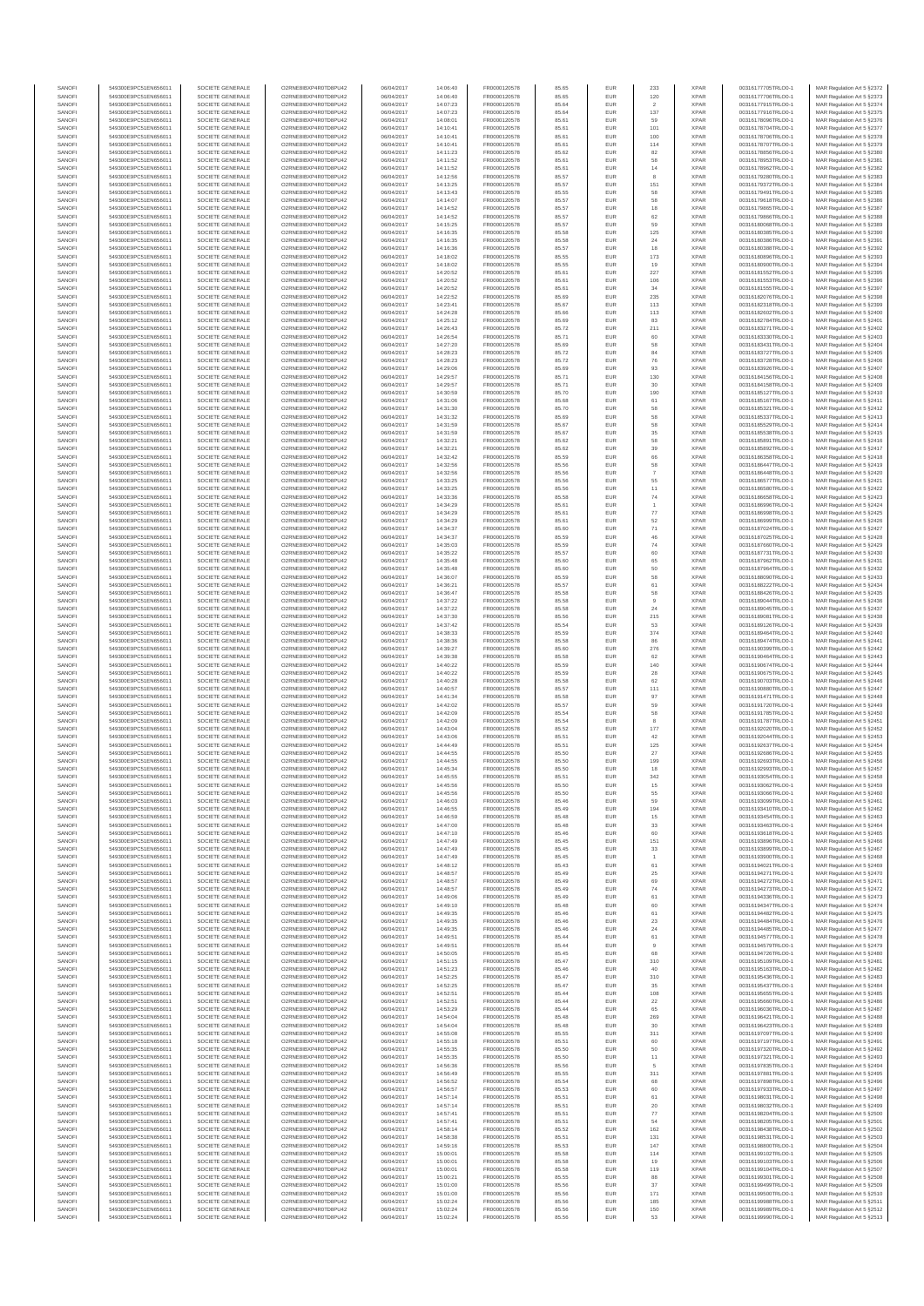| SANOFI           | 549300E9PC51EN656011                         | SOCIETE GENERALE                     | O2RNE8IBXP4R0TD8PLI42                         | 06/04/2017               | 14:06:40             | FR0000120578                 | 85.65          | EUR        | 233                   | <b>XPAR</b>                | 00316177705TRLO0-1                       | MAR Regulation Art 5 §2372                                |
|------------------|----------------------------------------------|--------------------------------------|-----------------------------------------------|--------------------------|----------------------|------------------------------|----------------|------------|-----------------------|----------------------------|------------------------------------------|-----------------------------------------------------------|
| SANOFI<br>SANOFI | 549300E9PC51EN656011<br>549300E9PC51EN656011 | SOCIETE GENERALE<br>SOCIETE GENERALE | O2RNE8IBXP4R0TD8PU42<br>O2RNE8IBXP4R0TD8PU42  | 06/04/2017<br>06/04/2017 | 14:06:40<br>14:07:23 | FR0000120578<br>FR0000120578 | 85.65<br>85.64 | EUR<br>EUR | 120<br>$\overline{2}$ | <b>XPAR</b><br><b>XPAR</b> | 00316177706TRLO0-1<br>00316177915TRLO0-1 | MAR Regulation Art 5 §2373<br>MAR Regulation Art 5 §2374  |
| SANOFI           | 549300E9PC51EN656011                         | SOCIETE GENERALE                     | O2RNE8IBXP4R0TD8PU42                          | 06/04/2017               | 14:07:23             | FR0000120578                 | 85.64          | EUR        | 137                   | <b>XPAR</b>                | 00316177916TRLO0-1                       | MAR Regulation Art 5 §2375                                |
| SANOFI           | 549300E9PC51EN656011                         | SOCIETE GENERALE                     | O2RNE8IBXP4R0TD8PU42                          | 06/04/2017               | 14:08:01             | FR0000120578                 | 85.61          | EUR        | 59                    | <b>XPAR</b>                | 00316178096TRLO0-1                       | MAR Regulation Art 5 §2376                                |
| SANOFI           | 549300E9PC51EN656011                         | SOCIETE GENERALE                     | O2RNE8IBXP4R0TD8PU42                          | 06/04/2017               | 14:10:41             | FR0000120578                 | 85.61          | EUR        | 101                   | <b>XPAR</b>                | 00316178704TRLO0-1                       | MAR Regulation Art 5 §2377                                |
| SANOFI<br>SANOFI | 549300E9PC51EN656011<br>549300E9PC51EN656011 | SOCIETE GENERALE<br>SOCIETE GENERALE | O2RNE8IBXP4R0TD8PU42<br>O2RNE8IBXP4R0TD8PU42  | 06/04/2017<br>06/04/2017 | 14:10:41<br>14:10:41 | FR0000120578<br>FR0000120578 | 85.61<br>85.61 | EUR<br>EUR | 100<br>114            | <b>XPAR</b><br><b>XPAR</b> | 00316178706TRLO0-1<br>00316178707TRLO0-1 | MAR Regulation Art 5 §2378<br>MAR Regulation Art 5 §2379  |
| SANOFI           | 549300E9PC51EN656011                         | SOCIETE GENERALE                     | O2RNE8IBXP4R0TD8PU42                          | 06/04/2017               | 14:11:23             | FR0000120578                 | 85.62          | EUR        | 82                    | <b>XPAR</b>                | 00316178856TRLO0-1                       | MAR Regulation Art 5 §2380                                |
| SANOFI           | 549300E9PC51EN656011                         | SOCIETE GENERALE                     | O2RNE8IBXP4R0TD8PU42                          | 06/04/2017               | 14:11:52             | FR0000120578                 | 85.61          | EUR        | 58                    | <b>XPAR</b>                | 00316178953TRLO0-1                       | MAR Regulation Art 5 §2381                                |
| SANOFI           | 549300E9PC51EN656011                         | SOCIETE GENERALE                     | O2RNE8IBXP4R0TD8PU42                          | 06/04/2017               | 14:11:52             | FR0000120578                 | 85.61          | EUR        | $14\,$                | <b>XPAR</b>                | 00316178962TRLO0-1                       | MAR Regulation Art 5 §2382                                |
| SANOFI<br>SANOFI | 549300E9PC51EN656011<br>549300E9PC51EN656011 | SOCIETE GENERALE<br>SOCIETE GENERALE | O2RNE8IBXP4R0TD8PU42<br>O2RNE8IBXP4R0TD8PU42  | 06/04/2017<br>06/04/2017 | 14:12:56<br>14:13:25 | FR0000120578<br>FR0000120578 | 85.57<br>85.57 | EUR<br>EUR | 151                   | <b>XPAR</b><br><b>XPAR</b> | 00316179280TRLO0-1<br>00316179372TRLO0-1 | MAR Regulation Art 5 §2383<br>MAR Regulation Art 5 §2384  |
| SANOFI           | 549300E9PC51EN656011                         | SOCIETE GENERALE                     | O2RNE8IBXP4R0TD8PU42                          | 06/04/2017               | 14:13:43             | FR0000120578                 | 85.55          | EUR        | 58                    | <b>XPAR</b>                | 00316179491TRLO0-1                       | MAR Regulation Art 5 §2385                                |
| SANOFI           | 549300E9PC51EN656011                         | SOCIETE GENERALE                     | O2RNE8IBXP4R0TD8PU42                          | 06/04/2017               | 14:14:07             | FR0000120578                 | 85.57          | EUR        | 58                    | <b>XPAR</b>                | 00316179618TRLO0-1                       | MAR Regulation Art 5 §2386                                |
| SANOFI           | 549300E9PC51EN656011                         | SOCIETE GENERALE                     | O2RNE8IBXP4R0TD8PU42                          | 06/04/2017               | 14:14:52             | FR0000120578                 | 85.57          | EUR        | 18                    | <b>XPAR</b>                | 00316179865TRLO0-1                       | MAR Regulation Art 5 §2387                                |
| SANOFI           | 549300E9PC51EN656011                         | SOCIETE GENERALE                     | O2RNE8IBXP4R0TD8PU42                          | 06/04/2017               | 14:14:52             | FR0000120578                 | 85.57          | EUR        | 62                    | <b>XPAR</b>                | 00316179866TRLO0-1                       | MAR Regulation Art 5 §2388                                |
| SANOFI<br>SANOFI | 549300E9PC51EN656011<br>549300E9PC51EN656011 | SOCIETE GENERALE<br>SOCIETE GENERALE | O2RNE8IBXP4R0TD8PU42<br>O2RNE8IBXP4R0TD8PU42  | 06/04/2017<br>06/04/2017 | 14:15:25<br>14:16:35 | FR0000120578<br>FR0000120578 | 85.57<br>85.58 | EUR<br>EUR | 59<br>125             | <b>XPAR</b><br><b>XPAR</b> | 00316180068TRLO0-1<br>00316180385TRLO0-1 | MAR Regulation Art 5 §2389<br>MAR Regulation Art 5 §2390  |
| SANOFI           | 549300E9PC51EN656011                         | SOCIETE GENERALE                     | O2RNE8IBXP4R0TD8PU42                          | 06/04/2017               | 14:16:35             | FR0000120578                 | 85.58          | EUR        | 24                    | <b>XPAR</b>                | 00316180386TRLO0-1                       | MAR Regulation Art 5 §2391                                |
| SANOFI           | 549300E9PC51EN656011                         | SOCIETE GENERALE                     | O2RNE8IBXP4R0TD8PU42                          | 06/04/2017               | 14:16:36             | FR0000120578                 | 85.57          | EUR        | 18                    | <b>XPAR</b>                | 00316180388TRLO0-1                       | MAR Regulation Art 5 §2392                                |
| SANOFI           | 549300E9PC51EN656011                         | SOCIETE GENERALE                     | O2RNE8IBXP4R0TD8PU42                          | 06/04/2017               | 14:18:02             | FR0000120578                 | 85.55          | EUR        | 173                   | <b>XPAR</b>                | 00316180896TRLO0-1                       | MAR Regulation Art 5 §2393                                |
| SANOFI<br>SANOFI | 549300E9PC51EN656011                         | SOCIETE GENERALE<br>SOCIETE GENERALE | O2RNE8IBXP4R0TD8PU42<br>O2RNE8IBXP4R0TD8PU42  | 06/04/2017               | 14:18:02<br>14:20:52 | FR0000120578<br>FR0000120578 | 85.55          | EUR<br>EUR | 19<br>227             | <b>XPAR</b><br><b>XPAR</b> | 00316180900TRLO0-1                       | MAR Regulation Art 5 §2394<br>MAR Regulation Art 5 §2395  |
| SANOFI           | 549300E9PC51EN656011<br>549300E9PC51EN656011 | SOCIETE GENERALE                     | O2RNE8IBXP4R0TD8PU42                          | 06/04/2017<br>06/04/2017 | 14:20:52             | FR0000120578                 | 85.61<br>85.61 | EUR        | 106                   | <b>XPAR</b>                | 00316181552TRLO0-1<br>00316181553TRLO0-1 | MAR Regulation Art 5 §2396                                |
| SANOFI           | 549300E9PC51EN656011                         | SOCIETE GENERALE                     | O2RNE8IBXP4R0TD8PU42                          | 06/04/2017               | 14:20:52             | FR0000120578                 | 85.61          | EUR        | 34                    | <b>XPAR</b>                | 00316181555TRLO0-1                       | MAR Regulation Art 5 §2397                                |
| SANOFI           | 549300E9PC51EN656011                         | SOCIETE GENERALE                     | O2RNE8IBXP4R0TD8PU42                          | 06/04/2017               | 14:22:52             | FR0000120578                 | 85.69          | EUR        | 235                   | <b>XPAR</b>                | 00316182076TRLO0-1                       | MAR Regulation Art 5 §2398                                |
| SANOFI           | 549300E9PC51EN656011                         | SOCIETE GENERALE                     | O2RNE8IBXP4R0TD8PU42                          | 06/04/2017               | 14:23:41             | FR0000120578                 | 85.67          | EUR        | 113                   | <b>XPAR</b>                | 00316182318TRLO0-1                       | MAR Regulation Art 5 §2399                                |
| SANOFI<br>SANOFI | 549300E9PC51EN656011<br>549300E9PC51EN656011 | SOCIETE GENERALE<br>SOCIETE GENERALE | O2RNE8IBXP4R0TD8PU42<br>O2RNE8IBXP4R0TD8PU42  | 06/04/2017<br>06/04/2017 | 14:24:28<br>14:25:12 | FR0000120578<br>FR0000120578 | 85.66<br>85.69 | EUR<br>EUR | 113<br>83             | <b>XPAR</b><br><b>XPAR</b> | 00316182602TRLO0-1<br>00316182784TRLO0-1 | MAR Regulation Art 5 §2400<br>MAR Regulation Art 5 §2401  |
| SANOFI           | 549300E9PC51EN656011                         | SOCIETE GENERALE                     | O2RNE8IBXP4R0TD8PU42                          | 06/04/2017               | 14:26:43             | FR0000120578                 | 85.72          | EUR        | 211                   | <b>XPAR</b>                | 00316183271TRLO0-1                       | MAR Regulation Art 5 §2402                                |
| SANOFI           | 549300E9PC51EN656011                         | SOCIETE GENERALE                     | O2RNE8IBXP4R0TD8PU42                          | 06/04/2017               | 14:26:54             | FR0000120578                 | 85.71          | EUR        | 60                    | <b>XPAR</b>                | 00316183330TRLO0-1                       | MAR Regulation Art 5 §2403                                |
| SANOFI           | 549300E9PC51EN656011                         | SOCIETE GENERALE                     | O2RNE8IBXP4R0TD8PU42                          | 06/04/2017               | 14:27:20             | FR0000120578                 | 85.69          | EUR        | 58                    | <b>XPAR</b>                | 00316183431TRLO0-1                       | MAR Regulation Art 5 §2404                                |
| SANOFI<br>SANOFI | 549300E9PC51EN656011<br>549300E9PC51EN656011 | SOCIETE GENERALE<br>SOCIETE GENERALE | O2RNE8IBXP4R0TD8PU42<br>O2RNE8IBXP4R0TD8PU42  | 06/04/2017<br>06/04/2017 | 14:28:23<br>14:28:23 | FR0000120578<br>FR0000120578 | 85.72<br>85.72 | EUR<br>EUR | 84<br>76              | <b>XPAR</b><br><b>XPAR</b> | 00316183727TRLO0-1<br>00316183728TRLO0-1 | MAR Regulation Art 5 §2405<br>MAR Regulation Art 5 §2406  |
| SANOFI           | 549300E9PC51EN656011                         | SOCIETE GENERALE                     | O2RNE8IBXP4R0TD8PU42                          | 06/04/2017               | 14:29:06             | FR0000120578                 | 85.69          | EUR        | 93                    | <b>XPAR</b>                | 00316183926TRLO0-1                       | MAR Regulation Art 5 §2407                                |
| SANOFI           | 549300E9PC51EN656011                         | SOCIETE GENERALE                     | O2RNE8IBXP4R0TD8PU42                          | 06/04/2017               | 14:29:57             | FR0000120578                 | 85.71          | EUR        | 130                   | <b>XPAR</b>                | 00316184156TRLO0-1                       | MAR Regulation Art 5 §2408                                |
| SANOFI           | 549300E9PC51EN656011                         | SOCIETE GENERALE                     | O2RNE8IBXP4R0TD8PU42                          | 06/04/2017               | 14:29:57             | FR0000120578                 | 85.71          | EUR        | 30                    | <b>XPAR</b>                | 00316184158TRLO0-1                       | MAR Regulation Art 5 \$2409                               |
| SANOFI<br>SANOFI | 549300E9PC51EN656011<br>549300E9PC51EN656011 | SOCIETE GENERALE<br>SOCIETE GENERALE | O2RNE8IBXP4R0TD8PU42<br>O2RNE8IBXP4R0TD8PU42  | 06/04/2017<br>06/04/2017 | 14:30:59<br>14:31:06 | FR0000120578<br>FR0000120578 | 85.70<br>85.68 | EUR<br>EUR | 190<br>61             | <b>XPAR</b><br><b>XPAR</b> | 00316185127TRLO0-1<br>00316185167TRLO0-1 | MAR Regulation Art 5 §2410<br>MAR Regulation Art 5 \$2411 |
| SANOFI           | 549300E9PC51EN656011                         | SOCIETE GENERALE                     | O2RNE8IBXP4R0TD8PU42                          | 06/04/2017               | 14:31:30             | FR0000120578                 | 85.70          | EUR        | 58                    | <b>XPAR</b>                | 00316185321TRLO0-1                       | MAR Regulation Art 5 §2412                                |
| SANOFI           | 549300E9PC51EN656011                         | SOCIETE GENERALE                     | O2RNE8IBXP4R0TD8PU42                          | 06/04/2017               | 14:31:32             | FR0000120578                 | 85.69          | EUR        | 58                    | <b>XPAR</b>                | 00316185337TRLO0-1                       | MAR Regulation Art 5 \$2413                               |
| SANOFI           | 549300E9PC51EN656011                         | SOCIETE GENERALE                     | O2RNE8IBXP4R0TD8PU42                          | 06/04/2017               | 14:31:59             | FR0000120578                 | 85.67          | EUR        | 58                    | <b>XPAR</b>                | 00316185529TRLO0-1                       | MAR Regulation Art 5 §2414                                |
| SANOFI<br>SANOFI | 549300E9PC51EN656011<br>549300E9PC51EN656011 | SOCIETE GENERALE<br>SOCIETE GENERALE | O2RNE8IBXP4R0TD8PU42<br>O2RNE8IBXP4R0TD8PU42  | 06/04/2017<br>06/04/2017 | 14:31:59<br>14:32:21 | FR0000120578<br>FR0000120578 | 85.67<br>85.62 | EUR<br>EUR | 35<br>58              | <b>XPAR</b><br><b>XPAR</b> | 00316185538TRLO0-1<br>00316185891TRLO0-1 | MAR Regulation Art 5 §2415<br>MAR Regulation Art 5 §2416  |
| SANOFI           | 549300E9PC51EN656011                         | SOCIETE GENERALE                     | O2RNE8IBXP4R0TD8PU42                          | 06/04/2017               | 14:32:21             | FR0000120578                 | 85.62          | EUR        | 39                    | <b>XPAR</b>                | 00316185892TRLO0-1                       | MAR Regulation Art 5 §2417                                |
| SANOFI           | 549300E9PC51EN656011                         | SOCIETE GENERALE                     | O2RNE8IBXP4R0TD8PU42                          | 06/04/2017               | 14:32:42             | FR0000120578                 | 85.59          | EUR        | 66                    | <b>XPAR</b>                | 00316186358TRLO0-1                       | MAR Regulation Art 5 §2418                                |
| SANOFI           | 549300E9PC51EN656011                         | SOCIETE GENERALE                     | O2RNE8IBXP4R0TD8PU42                          | 06/04/2017               | 14:32:56             | FR0000120578                 | 85.56          | EUR        | 58                    | <b>XPAR</b>                | 00316186447TRLO0-1                       | MAR Regulation Art 5 §2419                                |
| SANOFI<br>SANOFI | 549300E9PC51EN656011<br>549300E9PC51EN656011 | SOCIETE GENERALE<br>SOCIETE GENERALE | O2RNE8IBXP4R0TD8PU42<br>O2RNE8IBXP4R0TD8PU42  | 06/04/2017<br>06/04/2017 | 14:32:56<br>14:33:25 | FR0000120578<br>FR0000120578 | 85.56<br>85.56 | EUR<br>EUR | $\overline{7}$<br>55  | <b>XPAR</b><br><b>XPAR</b> | 00316186448TRLO0-1<br>00316186577TRLO0-1 | MAR Regulation Art 5 §2420<br>MAR Regulation Art 5 §2421  |
| SANOFI           | 549300E9PC51EN656011                         | SOCIETE GENERALE                     | O2RNE8IBXP4R0TD8PU42                          | 06/04/2017               | 14:33:25             | FR0000120578                 | 85.56          | EUR        | 11                    | <b>XPAR</b>                | 00316186580TRLO0-1                       | MAR Regulation Art 5 §2422                                |
| SANOFI           | 549300E9PC51EN656011                         | SOCIETE GENERALE                     | O2RNE8IBXP4R0TD8PU42                          | 06/04/2017               | 14:33:36             | FR0000120578                 | 85.58          | EUR        | $\mathbf{74}$         | <b>XPAR</b>                | 00316186658TRLO0-1                       | MAR Regulation Art 5 §2423                                |
| SANOFI           | 549300E9PC51EN656011                         | SOCIETE GENERALE                     | O2RNE8IBXP4R0TD8PU42                          | 06/04/2017               | 14:34:29             | FR0000120578                 | 85.61          | EUR        |                       | <b>XPAR</b>                | 00316186996TRLO0-1                       | MAR Regulation Art 5 §2424                                |
| SANOFI           | 549300E9PC51EN656011                         | SOCIETE GENERALE                     | O2RNE8IBXP4R0TD8PU42                          | 06/04/2017               | 14:34:29             | FR0000120578                 | 85.61          | EUR        | $77\,$                | <b>XPAR</b>                | 00316186998TRLO0-1                       | MAR Regulation Art 5 §2425                                |
| SANOFI<br>SANOFI | 549300E9PC51EN656011<br>549300E9PC51EN656011 | SOCIETE GENERALE<br>SOCIETE GENERALE | O2RNE8IBXP4R0TD8PU42<br>O2RNE8IBXP4R0TD8PU42  | 06/04/2017<br>06/04/2017 | 14:34:29<br>14:34:37 | FR0000120578<br>FR0000120578 | 85.61<br>85.60 | EUR<br>EUR | 52<br>$71\,$          | <b>XPAR</b><br><b>XPAR</b> | 00316186999TRLO0-1<br>00316187024TRLO0-1 | MAR Regulation Art 5 §2426<br>MAR Regulation Art 5 \$2427 |
| SANOFI           | 549300E9PC51EN656011                         | SOCIETE GENERALE                     | O2RNE8IBXP4R0TD8PU42                          | 06/04/2017               | 14:34:37             | FR0000120578                 | 85.59          | EUR        | 46                    | <b>XPAR</b>                | 00316187025TRLO0-1                       | MAR Regulation Art 5 §2428                                |
| SANOFI           | 549300E9PC51EN656011                         | SOCIETE GENERALE                     | O2RNE8IBXP4R0TD8PU42                          | 06/04/2017               | 14:35:03             | FR0000120578                 | 85.59          | EUR        | $74\,$                | <b>XPAR</b>                | 00316187660TRLO0-1                       | MAR Regulation Art 5 §2429                                |
| SANOFI<br>SANOFI | 549300E9PC51EN656011<br>549300E9PC51EN656011 | SOCIETE GENERALE<br>SOCIETE GENERALE | O2RNE8IBXP4R0TD8PU42<br>O2RNE8IBXP4R0TD8PU42  | 06/04/2017<br>06/04/2017 | 14:35:22<br>14:35:48 | FR0000120578<br>FR0000120578 | 85.57<br>85.60 | EUR<br>EUR | 60<br>65              | <b>XPAR</b><br><b>XPAR</b> | 00316187731TRLO0-1<br>00316187962TRLO0-1 | MAR Regulation Art 5 §2430<br>MAR Regulation Art 5 §2431  |
| SANOFI           | 549300E9PC51EN656011                         | SOCIETE GENERALE                     | O2RNE8IBXP4R0TD8PU42                          | 06/04/2017               | 14:35:48             | FR0000120578                 | 85.60          | EUR        | 50                    | <b>XPAR</b>                | 00316187964TRLO0-1                       | MAR Regulation Art 5 §2432                                |
| SANOFI           | 549300E9PC51EN656011                         | SOCIETE GENERALE                     | O2RNE8IBXP4R0TD8PU42                          | 06/04/2017               | 14:36:07             | FR0000120578                 | 85.59          | EUR        | 58                    | <b>XPAR</b>                | 00316188090TRLO0-1                       | MAR Regulation Art 5 §2433                                |
| SANOFI           | 549300E9PC51EN656011                         | SOCIETE GENERALE                     | O2RNE8IBXP4R0TD8PU42                          | 06/04/2017               | 14:36:21             | FR0000120578                 | 85.57          | EUR        | 61                    | <b>XPAR</b>                | 00316188222TRLO0-1                       | MAR Regulation Art 5 §2434                                |
| SANOFI<br>SANOFI | 549300E9PC51EN656011<br>549300E9PC51EN656011 | SOCIETE GENERALE<br>SOCIETE GENERALE | O2RNE8IBXP4R0TD8PU42<br>O2RNE8IBXP4R0TD8PU42  | 06/04/2017<br>06/04/2017 | 14:36:47<br>14:37:22 | FR0000120578<br>FR0000120578 | 85.58<br>85.58 | EUR<br>EUR | 58<br>$\overline{9}$  | <b>XPAR</b><br><b>XPAR</b> | 00316188426TRLO0-1<br>00316189044TRLO0-1 | MAR Regulation Art 5 §2435<br>MAR Regulation Art 5 §2436  |
| SANOFI           | 549300E9PC51EN656011                         | SOCIETE GENERALE                     | O2RNE8IBXP4R0TD8PU42                          | 06/04/2017               | 14:37:22             | FR0000120578                 | 85.58          | EUR        | 24                    | <b>XPAR</b>                | 00316189045TRLO0-1                       | MAR Regulation Art 5 §2437                                |
| SANOFI           | 549300E9PC51EN656011                         | SOCIETE GENERALE                     | O2RNE8IBXP4R0TD8PU42                          | 06/04/2017               | 14:37:30             | FR0000120578                 | 85.56          | EUR        | 215                   | <b>XPAR</b>                | 00316189081TRLO0-1                       | MAR Regulation Art 5 §2438                                |
| SANOFI<br>SANOFI | 549300E9PC51EN656011<br>549300E9PC51EN656011 | SOCIETE GENERALE<br>SOCIETE GENERALE | O2RNE8IBXP4R0TD8PU42<br>O2RNE8IBXP4R0TD8PU42  | 06/04/2017<br>06/04/2017 | 14:37:42<br>14:38:33 | FR0000120578<br>FR0000120578 | 85.54<br>85.59 | EUR<br>EUR | 53<br>374             | <b>XPAR</b><br><b>XPAR</b> | 00316189126TRLO0-1<br>00316189464TRLO0-1 | MAR Regulation Art 5 §2439<br>MAR Regulation Art 5 §2440  |
| SANOFI           | 549300E9PC51EN656011                         | SOCIETE GENERALE                     | O2RNE8IBXP4R0TD8PU42                          | 06/04/2017               | 14:38:36             | FR0000120578                 | 85.58          | EUR        | 86                    | <b>XPAR</b>                | 00316189474TRLO0-1                       | MAR Regulation Art 5 §2441                                |
| SANOFI           | 549300E9PC51EN656011                         | SOCIETE GENERALE                     | O2RNE8IBXP4R0TD8PU42                          | 06/04/2017               | 14:39:27             | FR0000120578                 | 85.60          | EUR        | 276                   | <b>XPAR</b>                | 00316190399TRLO0-1                       | MAR Regulation Art 5 §2442                                |
| SANOFI           | 549300E9PC51EN656011                         | SOCIETE GENERALE                     | O2RNE8IBXP4R0TD8PU42                          | 06/04/2017               | 14:39:38             | FR0000120578                 | 85.58          | EUR        | 62                    | <b>XPAR</b>                | 00316190464TRLO0-1                       | MAR Regulation Art 5 §2443                                |
| SANOFI<br>SANOFI | 549300E9PC51EN656011<br>549300E9PC51EN656011 | SOCIETE GENERALE<br>SOCIETE GENERALE | O2RNE8IBXP4R0TD8PU42<br>O2RNE8IBXP4R0TD8PU42  | 06/04/2017<br>06/04/2017 | 14:40:22<br>14:40:22 | FR0000120578<br>FR0000120578 | 85.59<br>85.59 | EUR<br>EUR | 140<br>28             | <b>XPAR</b><br><b>XPAR</b> | 00316190674TRLO0-1<br>00316190675TRLO0-1 | MAR Regulation Art 5 §2444<br>MAR Regulation Art 5 §2445  |
| SANOFI           | 549300E9PC51EN656011                         | SOCIETE GENERALE                     | O2RNE8IBXP4R0TD8PU42                          | 06/04/2017               | 14:40:28             | FR0000120578                 | 85.58          | EUR        | 62                    | <b>XPAR</b>                | 00316190703TRLO0-1                       | MAR Regulation Art 5 §2446                                |
| SANOFI           | 549300E9PC51EN656011                         | SOCIETE GENERALE                     | O2RNE8IBXP4R0TD8PU42                          | 06/04/2017               | 14:40:57             | FR0000120578                 | 85.57          | EUR        | 111                   | <b>XPAR</b>                | 00316190880TRLO0-1                       | MAR Regulation Art 5 §2447                                |
| SANOFI<br>SANOFI | 549300E9PC51EN656011<br>549300E9PC51EN656011 | SOCIETE GENERALE<br>SOCIETE GENERALE | O2RNE8IBXP4R0TD8PU42<br>O2RNE8IBXP4R0TD8PU42  | 06/04/2017<br>06/04/2017 | 14:41:34<br>14:42:02 | FR0000120578<br>FR0000120578 | 85.58<br>85.57 | EUR<br>EUR | 97<br>59              | <b>XPAR</b><br><b>XPAR</b> | 00316191471TRLO0-1<br>00316191720TRLO0-1 | MAR Regulation Art 5 §2448<br>MAR Regulation Art 5 §2449  |
| SANOFI           | 549300E9PC51EN656011                         | SOCIETE GENERALE                     | O2RNE8IBXP4R0TD8PU42                          | 06/04/2017               | 14:42:09             | FR0000120578                 | 85.54          | EUR        | 58                    | <b>XPAR</b>                | 00316191785TRLO0-1                       | MAR Regulation Art 5 §2450                                |
| SANOFI           | 549300E9PC51EN656011                         | SOCIETE GENERALE                     | O2RNE8IBXP4R0TD8PU42                          | 06/04/2017               | 14:42:09             | FR0000120578                 | 85.54          | EUR        |                       | <b>XPAR</b>                | 00316191787TRLO0-1                       | MAR Regulation Art 5 §2451                                |
| SANOFI           | 549300E9PC51EN656011                         | SOCIETE GENERALE                     | O2RNE8IBXP4R0TD8PU42                          | 06/04/2017               | 14:43:04             | FR0000120578                 | 85.52          | EUR        | 177                   | <b>XPAR</b>                | 00316192020TRLO0-1                       | MAR Regulation Art 5 §2452                                |
| SANOFI<br>SANOFI | 549300E9PC51EN656011<br>549300E9PC51EN656011 | SOCIETE GENERALE<br>SOCIETE GENERALE | O2RNE8IBXP4R0TD8PU42<br>O2RNE8IBXP4R0TD8PU42  | 06/04/2017<br>06/04/2017 | 14:43:06<br>14:44:49 | FR0000120578<br>FR0000120578 | 85.51<br>85.51 | EUR<br>EUR | 42<br>125             | <b>XPAR</b><br><b>XPAR</b> | 00316192044TRLO0-1<br>00316192637TRLO0-1 | MAR Regulation Art 5 §2453<br>MAR Regulation Art 5 §2454  |
| SANOFI           | 549300E9PC51EN656011                         | SOCIETE GENERALE                     | O2RNE8IBXP4R0TD8PU42                          | 06/04/2017               | 14:44:55             | FR0000120578                 | 85.50          | EUR        | 27                    | <b>XPAR</b>                | 00316192686TRLO0-1                       | MAR Regulation Art 5 §2455                                |
| SANOFI           | 549300E9PC51EN656011                         | SOCIETE GENERALE                     | O2RNE8IBXP4R0TD8PU42                          | 06/04/2017               | 14:44:55             | FR0000120578                 | 85.50          | EUR        | 199                   | <b>XPAR</b>                | 00316192693TRLO0-1                       | MAR Regulation Art 5 §2456                                |
| SANOFI           | 549300E9PC51EN656011                         | SOCIETE GENERALE                     | O2RNE8IBXP4R0TD8PU42                          | 06/04/2017               | 14:45:34             | FR0000120578                 | 85.50          | EUR        | 18                    | <b>XPAR</b>                | 00316192993TRLO0-1                       | MAR Regulation Art 5 §2457                                |
| SANOFI<br>SANOFI | 549300E9PC51EN656011<br>549300E9PC51EN656011 | SOCIETE GENERALE<br>SOCIETE GENERALE | O2RNE8IBXP4R0TD8PU42<br>O2RNE8IBXP4R0TD8PLI42 | 06/04/2017<br>06/04/2017 | 14:45:55<br>14:45:56 | FR0000120578<br>FR0000120578 | 85.51<br>85.50 | EUR<br>EUR | 342<br>15             | <b>XPAR</b><br><b>XPAR</b> | 00316193054TRLO0-1<br>00316193062TRLO0-1 | MAR Regulation Art 5 §2458<br>MAR Regulation Art 5 §2459  |
| SANOFI           | 549300E9PC51EN656011                         | SOCIETE GENERALE                     | O2RNE8IBXP4R0TD8PU42                          | 06/04/2017               | 14:45:56             | FR0000120578                 | 85.50          | EUR        | 55                    | <b>XPAR</b>                | 00316193066TRLO0-1                       | MAR Regulation Art 5 §2460                                |
| SANOFI           | 549300E9PC51EN656011                         | SOCIETE GENERALE                     | O2RNE8IBXP4R0TD8PU42                          | 06/04/2017               | 14:46:03             | FR0000120578                 | 85.46          | <b>EUR</b> | 59                    | <b>XPAR</b>                | 00316193099TRLO0-1                       | MAR Regulation Art 5 §2461                                |
| SANOFI<br>SANOFI | 549300E9PC51EN656011<br>549300E9PC51EN656011 | SOCIETE GENERALE<br>SOCIETE GENERALE | O2RNE8IBXP4R0TD8PU42<br>O2RNE8IBXP4R0TD8PU42  | 06/04/2017<br>06/04/2017 | 14:46:55<br>14:46:59 | FR0000120578<br>FR0000120578 | 85.49<br>85.48 | EUR<br>EUR | 194<br>15             | <b>XPAR</b><br><b>XPAR</b> | 00316193410TRLO0-1<br>00316193454TRLO0-1 | MAR Regulation Art 5 §2462<br>MAR Regulation Art 5 §2463  |
| SANOFI           | 549300E9PC51EN656011                         | SOCIETE GENERALE                     | O2RNE8IBXP4R0TD8PU42                          | 06/04/2017               | 14:47:00             | FR0000120578                 | 85.48          | EUR        | 33                    | <b>XPAR</b>                | 00316193463TRLO0-1                       | MAR Regulation Art 5 §2464                                |
| SANOFI           | 549300E9PC51EN656011                         | SOCIETE GENERALE                     | O2RNE8IBXP4R0TD8PU42                          | 06/04/2017               | 14:47:10             | FR0000120578                 | 85.46          | EUR        | 60                    | <b>XPAR</b>                | 00316193618TRLO0-1                       | MAR Regulation Art 5 §2465                                |
| SANOFI           | 549300E9PC51EN656011<br>549300E9PC51EN656011 | SOCIETE GENERALE                     | O2RNE8IBXP4R0TD8PU42                          | 06/04/2017               | 14:47:49             | FR0000120578<br>FR0000120578 | 85.45          | EUR        | 151                   | <b>XPAR</b>                | 00316193896TRLO0-1                       | MAR Regulation Art 5 §2466                                |
| SANOFI<br>SANOFI | 549300E9PC51EN656011                         | SOCIETE GENERALE<br>SOCIETE GENERALE | O2RNE8IBXP4R0TD8PU42<br>O2RNE8IBXP4R0TD8PU42  | 06/04/2017<br>06/04/2017 | 14:47:49<br>14:47:49 | FR0000120578                 | 85.45<br>85.45 | EUR<br>EUR | 33<br>$\overline{1}$  | <b>XPAR</b><br><b>XPAR</b> | 00316193899TRLO0-1<br>00316193900TRLO0-1 | MAR Regulation Art 5 §2467<br>MAR Regulation Art 5 §2468  |
| SANOFI           | 549300E9PC51EN656011                         | SOCIETE GENERALE                     | O2RNE8IBXP4R0TD8PU42                          | 06/04/2017               | 14:48:12             | FR0000120578                 | 85.43          | EUR        | 61                    | <b>XPAR</b>                | 00316194021TRLO0-1                       | MAR Regulation Art 5 §2469                                |
| SANOFI           | 549300E9PC51EN656011                         | SOCIETE GENERALE                     | O2RNE8IBXP4R0TD8PU42                          | 06/04/2017               | 14:48:57             | FR0000120578                 | 85.49          | EUR        | 25                    | <b>XPAR</b>                | 00316194271TRLO0-1                       | MAR Regulation Art 5 §2470                                |
| SANOFI<br>SANOFI | 549300E9PC51EN656011<br>549300E9PC51EN656011 | SOCIETE GENERALE<br>SOCIETE GENERALE | O2RNE8IBXP4R0TD8PU42<br>O2RNE8IBXP4R0TD8PU42  | 06/04/2017<br>06/04/2017 | 14:48:57<br>14:48:57 | FR0000120578<br>FR0000120578 | 85.49<br>85.49 | EUR<br>EUR | 69<br>$74\,$          | <b>XPAR</b><br><b>XPAR</b> | 00316194272TRLO0-1                       | MAR Regulation Art 5 §2471<br>MAR Regulation Art 5 §2472  |
| SANOFI           | 549300E9PC51EN656011                         | SOCIETE GENERALE                     | O2RNE8IBXP4R0TD8PU42                          | 06/04/2017               | 14:49:06             | FR0000120578                 | 85.49          | EUR        | 61                    | <b>XPAR</b>                | 00316194273TRLO0-1<br>00316194336TRLO0-1 | MAR Regulation Art 5 §2473                                |
| SANOFI           | 549300E9PC51EN656011                         | SOCIETE GENERALE                     | O2RNE8IBXP4R0TD8PU42                          | 06/04/2017               | 14:49:10             | FR0000120578                 | 85.48          | EUR        | 60                    | <b>XPAR</b>                | 00316194347TRLO0-1                       | MAR Regulation Art 5 §2474                                |
| SANOFI           | 549300E9PC51EN656011                         | SOCIETE GENERALE                     | O2RNE8IBXP4R0TD8PU42                          | 06/04/2017               | 14:49:35             | FR0000120578                 | 85.46          | EUR        | 61                    | <b>XPAR</b>                | 00316194482TRLO0-1                       | MAR Regulation Art 5 §2475                                |
| SANOFI<br>SANOFI | 549300E9PC51EN656011<br>549300E9PC51EN656011 | SOCIETE GENERALE<br>SOCIETE GENERALE | O2RNE8IBXP4R0TD8PU42<br>O2RNE8IBXP4R0TD8PU42  | 06/04/2017<br>06/04/2017 | 14:49:35<br>14:49:35 | FR0000120578<br>FR0000120578 | 85.46<br>85.46 | EUR        | 23<br>24              | <b>XPAR</b><br><b>XPAR</b> | 00316194484TRLO0-1<br>00316194485TRLO0-1 | MAR Regulation Art 5 §2476                                |
| SANOFI           | 549300E9PC51EN656011                         | SOCIETE GENERALE                     | O2RNE8IBXP4R0TD8PU42                          | 06/04/2017               | 14:49:51             | FR0000120578                 | 85.44          | EUR<br>EUR | 61                    | <b>XPAR</b>                | 00316194577TRLO0-1                       | MAR Regulation Art 5 §2477<br>MAR Regulation Art 5 §2478  |
| SANOFI           | 549300E9PC51EN656011                         | SOCIETE GENERALE                     | O2RNE8IBXP4R0TD8PU42                          | 06/04/2017               | 14:49:51             | FR0000120578                 | 85.44          | EUR        | $\overline{9}$        | <b>XPAR</b>                | 00316194579TRLO0-1                       | MAR Regulation Art 5 §2479                                |
| SANOFI           | 549300E9PC51EN656011                         | SOCIETE GENERALE                     | O2RNE8IBXP4R0TD8PU42                          | 06/04/2017               | 14:50:05             | FR0000120578                 | 85.45          | EUR        | 68                    | <b>XPAR</b>                | 00316194726TRLO0-1                       | MAR Regulation Art 5 §2480                                |
| SANOFI<br>SANOFI | 549300E9PC51EN656011<br>549300E9PC51EN656011 | SOCIETE GENERALE<br>SOCIETE GENERALE | O2RNE8IBXP4R0TD8PU42<br>O2RNE8IBXP4R0TD8PU42  | 06/04/2017<br>06/04/2017 | 14:51:15<br>14:51:23 | FR0000120578<br>FR0000120578 | 85.47<br>85.46 | EUR<br>EUR | 310<br>40             | <b>XPAR</b><br><b>XPAR</b> | 00316195109TRLO0-1<br>00316195163TRLO0-1 | MAR Regulation Art 5 §2481<br>MAR Regulation Art 5 §2482  |
| SANOFI           | 549300E9PC51EN656011                         | SOCIETE GENERALE                     | O2RNE8IBXP4R0TD8PU42                          | 06/04/2017               | 14:52:25             | FR0000120578                 | 85.47          | EUR        | 310                   | <b>XPAR</b>                | 00316195436TRLO0-1                       | MAR Regulation Art 5 §2483                                |
| SANOFI           | 549300E9PC51EN656011                         | SOCIETE GENERALE                     | O2RNE8IBXP4R0TD8PU42                          | 06/04/2017               | 14:52:25             | FR0000120578                 | 85.47          | EUR        | 35                    | <b>XPAR</b>                | 00316195437TRLO0-1                       | MAR Regulation Art 5 §2484                                |
| SANOFI           | 549300E9PC51EN656011                         | SOCIETE GENERALE                     | O2RNE8IBXP4R0TD8PU42                          | 06/04/2017               | 14:52:51             | FR0000120578                 | 85.44          | EUR        | 108                   | <b>XPAR</b>                | 00316195655TRLO0-1                       | MAR Regulation Art 5 §2485                                |
| SANOFI           | 549300E9PC51EN656011                         | SOCIETE GENERALE                     | O2RNE8IBXP4R0TD8PU42                          | 06/04/2017               | 14:52:51             | FR0000120578                 | 85.44          | EUR        | 22                    | <b>XPAR</b>                | 00316195660TRLO0-1                       | MAR Regulation Art 5 §2486                                |
| SANOFI<br>SANOFI | 549300E9PC51EN656011<br>549300E9PC51EN656011 | SOCIETE GENERALE<br>SOCIETE GENERALE | O2RNE8IBXP4R0TD8PU42<br>O2RNE8IBXP4R0TD8PU42  | 06/04/2017<br>06/04/2017 | 14:53:29<br>14:54:04 | FR0000120578<br>FR0000120578 | 85.44<br>85.48 | EUR<br>EUR | 65<br>269             | <b>XPAR</b><br><b>XPAR</b> | 00316196036TRLO0-1<br>00316196421TRLO0-1 | MAR Regulation Art 5 §2487<br>MAR Regulation Art 5 §2488  |
| SANOFI           | 549300E9PC51EN656011                         | SOCIETE GENERALE                     | O2RNE8IBXP4R0TD8PU42                          | 06/04/2017               | 14:54:04             | FR0000120578                 | 85.48          | EUR        | 30                    | <b>XPAR</b>                | 00316196423TRLO0-1                       | MAR Regulation Art 5 §2489                                |
| SANOFI           | 549300E9PC51EN656011                         | SOCIETE GENERALE                     | O2RNE8IBXP4R0TD8PU42                          | 06/04/2017               | 14:55:08             | FR0000120578                 | 85.55          | EUR        | 311                   | <b>XPAR</b>                | 00316197097TRLO0-1                       | MAR Regulation Art 5 §2490                                |
| SANOFI<br>SANOFI | 549300E9PC51EN656011<br>549300E9PC51EN656011 | SOCIETE GENERALE<br>SOCIETE GENERALE | O2RNE8IBXP4R0TD8PU42<br>O2RNE8IBXP4R0TD8PU42  | 06/04/2017<br>06/04/2017 | 14:55:18<br>14:55:35 | FR0000120578<br>FR0000120578 | 85.51<br>85.50 | EUR<br>EUR | 60<br>50              | <b>XPAR</b><br><b>XPAR</b> | 00316197197TRLO0-1<br>00316197320TRLO0-1 | MAR Regulation Art 5 §2491                                |
| SANOFI           | 549300E9PC51EN656011                         | SOCIETE GENERALE                     | O2RNE8IBXP4R0TD8PU42                          | 06/04/2017               | 14:55:35             | FR0000120578                 | 85.50          | EUR        | 11                    | <b>XPAR</b>                | 00316197321TRLO0-1                       | MAR Regulation Art 5 §2492<br>MAR Regulation Art 5 §2493  |
| SANOFI           | 549300E9PC51EN656011                         | SOCIETE GENERALE                     | O2RNE8IBXP4R0TD8PU42                          | 06/04/2017               | 14:56:36             | FR0000120578                 | 85.56          | EUR        | 5                     | <b>XPAR</b>                | 00316197835TRLO0-1                       | MAR Regulation Art 5 §2494                                |
| SANOFI           | 549300E9PC51EN656011                         | SOCIETE GENERALE                     | O2RNE8IBXP4R0TD8PU42                          | 06/04/2017               | 14:56:49             | FR0000120578                 | 85.55          | EUR        | 311                   | <b>XPAR</b>                | 00316197881TRLO0-1                       | MAR Regulation Art 5 §2495                                |
| SANOFI<br>SANOFI | 549300E9PC51EN656011<br>549300E9PC51EN656011 | SOCIETE GENERALE<br>SOCIETE GENERALE | O2RNE8IBXP4R0TD8PU42<br>O2RNE8IBXP4R0TD8PU42  | 06/04/2017<br>06/04/2017 | 14:56:52<br>14:56:57 | FR0000120578<br>FR0000120578 | 85.54<br>85.53 | EUR<br>EUR | 68<br>60              | <b>XPAR</b><br><b>XPAR</b> | 00316197898TRLO0-1<br>00316197933TRLO0-1 | MAR Regulation Art 5 §2496                                |
| SANOFI           | 549300E9PC51EN656011                         | SOCIETE GENERALE                     | O2RNE8IBXP4R0TD8PU42                          | 06/04/2017               | 14:57:14             | FR0000120578                 | 85.51          | EUR        | 61                    | <b>XPAR</b>                | 00316198031TRLO0-1                       | MAR Regulation Art 5 §2497<br>MAR Regulation Art 5 §2498  |
| SANOFI           | 549300E9PC51EN656011                         | SOCIETE GENERALE                     | O2RNE8IBXP4R0TD8PU42                          | 06/04/2017               | 14:57:14             | FR0000120578                 | 85.51          | EUR        | 20                    | <b>XPAR</b>                | 00316198032TRLO0-1                       | MAR Regulation Art 5 §2499                                |
| SANOFI           | 549300E9PC51EN656011                         | SOCIETE GENERALE                     | O2RNE8IBXP4R0TD8PU42                          | 06/04/2017               | 14:57:41             | FR0000120578                 | 85.51          | EUR        | $77 \,$               | <b>XPAR</b>                | 00316198204TRLO0-1                       | MAR Regulation Art 5 §2500                                |
| SANOFI<br>SANOFI | 549300E9PC51EN656011<br>549300E9PC51EN656011 | SOCIETE GENERALE<br>SOCIETE GENERALE | O2RNE8IBXP4R0TD8PU42<br>O2RNE8IBXP4R0TD8PU42  | 06/04/2017<br>06/04/2017 | 14:57:41<br>14:58:14 | FR0000120578<br>FR0000120578 | 85.51<br>85.52 | EUR<br>EUR | 54<br>162             | <b>XPAR</b><br><b>XPAR</b> | 00316198205TRLO0-1<br>00316198438TRLO0-1 | MAR Regulation Art 5 §2501<br>MAR Regulation Art 5 §2502  |
| SANOFI           | 549300E9PC51EN656011                         | SOCIETE GENERALE                     | O2RNE8IBXP4R0TD8PU42                          | 06/04/2017               | 14:58:38             | FR0000120578                 | 85.51          | EUR        | 131                   | <b>XPAR</b>                | 00316198531TRLO0-1                       | MAR Regulation Art 5 §2503                                |
| SANOFI           | 549300E9PC51EN656011                         | SOCIETE GENERALE                     | O2RNE8IBXP4R0TD8PU42                          | 06/04/2017               | 14:59:16             | FR0000120578                 | 85.53          | EUR        | 147                   | <b>XPAR</b>                | 00316198800TRLO0-1                       | MAR Regulation Art 5 §2504                                |
| SANOFI           | 549300E9PC51EN656011                         | SOCIETE GENERALE                     | O2RNE8IBXP4R0TD8PU42                          | 06/04/2017               | 15:00:01             | FR0000120578                 | 85.58          | EUR        | 114                   | <b>XPAR</b>                | 00316199102TRLO0-1                       | MAR Regulation Art 5 §2505                                |
| SANOFI<br>SANOFI | 549300E9PC51EN656011<br>549300E9PC51EN656011 | SOCIETE GENERALE<br>SOCIETE GENERALE | O2RNE8IBXP4R0TD8PU42<br>O2RNE8IBXP4R0TD8PU42  | 06/04/2017<br>06/04/2017 | 15:00:01<br>15:00:01 | FR0000120578<br>FR0000120578 | 85.58<br>85.58 | EUR<br>EUR | 19<br>119             | <b>XPAR</b><br><b>XPAR</b> | 00316199103TRLO0-1<br>00316199104TRLO0-1 | MAR Regulation Art 5 §2506<br>MAR Regulation Art 5 §2507  |
| SANOFI           | 549300E9PC51EN656011                         | SOCIETE GENERALE                     | O2RNE8IBXP4R0TD8PU42                          | 06/04/2017               | 15:00:21             | FR0000120578                 | 85.55          | EUR        | 88                    | <b>XPAR</b>                | 00316199301TRLO0-1                       | MAR Regulation Art 5 §2508                                |
| SANOFI           | 549300E9PC51EN656011                         | SOCIETE GENERALE                     | O2RNE8IBXP4R0TD8PU42                          | 06/04/2017               | 15:01:00             | FR0000120578                 | 85.56          | EUR        | 37                    | <b>XPAR</b>                | 00316199499TRLO0-1                       | MAR Regulation Art 5 §2509                                |
| SANOFI<br>SANOFI | 549300E9PC51EN656011<br>549300E9PC51EN656011 | SOCIETE GENERALE<br>SOCIETE GENERALE | O2RNE8IBXP4R0TD8PU42<br>O2RNE8IBXP4R0TD8PU42  | 06/04/2017<br>06/04/2017 | 15:01:00<br>15:02:24 | FR0000120578<br>FR0000120578 | 85.56<br>85.56 | EUR<br>EUR | 171<br>185            | <b>XPAR</b><br><b>XPAR</b> | 00316199500TRLO0-1<br>00316199988TRLO0-1 | MAR Regulation Art 5 §2510<br>MAR Regulation Art 5 §2511  |
| SANOFI           | 549300E9PC51EN656011                         | SOCIETE GENERALE                     | O2RNE8IBXP4R0TD8PU42                          | 06/04/2017               | 15:02:24             | FR0000120578                 | 85.56          | EUR        | 150                   | <b>XPAR</b>                | 00316199989TRLO0-1                       | MAR Regulation Art 5 §2512                                |
| SANOFI           | 549300E9PC51EN656011                         | SOCIETE GENERALE                     | O2RNE8IBXP4R0TD8PU42                          | 06/04/2017               | 15:02:24             | FR0000120578                 | 85.56          | EUR        | 53                    | XPAR                       | 00316199990TRLO0-1                       | MAR Regulation Art 5 §2513                                |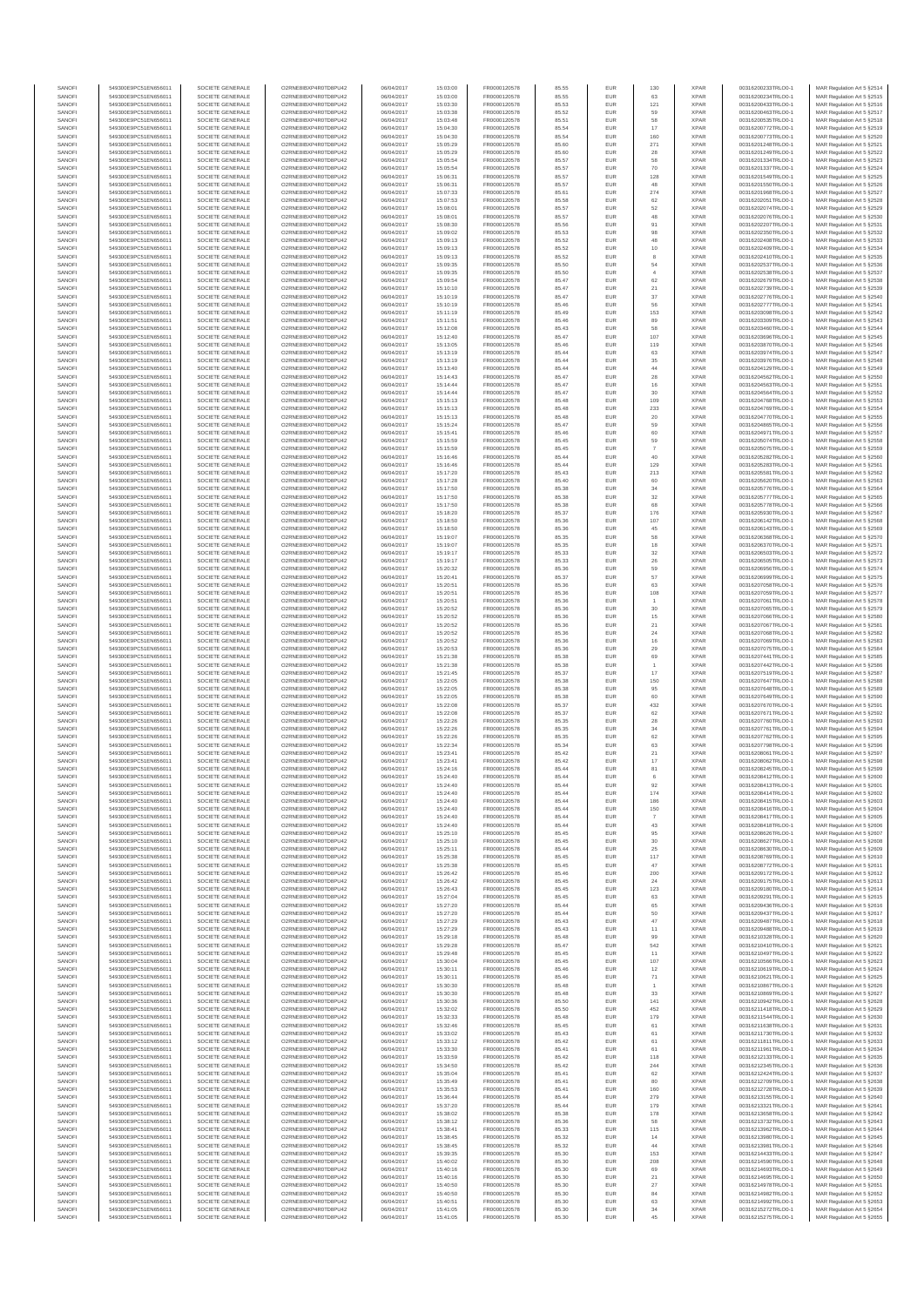| SANOF            | 549300E9PC51EN656011                         | SOCIETE GENERALE                     | O2RNE8IBXP4R0TD8PU42                          | 06/04/2017               | 15:03:00             | FR0000120578                 |                | EUR        | 130                     | <b>XPAR</b>                | 00316200233TRLO0-1                       | MAR Regulation Art 5 §2514                               |
|------------------|----------------------------------------------|--------------------------------------|-----------------------------------------------|--------------------------|----------------------|------------------------------|----------------|------------|-------------------------|----------------------------|------------------------------------------|----------------------------------------------------------|
| SANOFI<br>SANOFI | 549300E9PC51EN656011<br>549300E9PC51EN656011 | SOCIETE GENERALE<br>SOCIETE GENERALE | O2RNE8IBXP4R0TD8PU42<br>O2RNE8IBXP4R0TD8PU42  | 06/04/2017<br>06/04/2017 | 15:03:00<br>15:03:30 | FR0000120578<br>FR0000120578 | 85.55<br>85.53 | EUR<br>EUR | 63<br>121               | <b>XPAR</b><br><b>XPAR</b> | 00316200234TRLO0-1<br>00316200433TRLO0-1 | MAR Regulation Art 5 §2515<br>MAR Regulation Art 5 §2516 |
| SANOFI           | 549300E9PC51EN656011                         | SOCIETE GENERALE                     | O2RNE8IBXP4R0TD8PU42                          | 06/04/2017               | 15:03:38             | FR0000120578                 | 85.52          | EUR        | 59                      | <b>XPAR</b>                | 00316200463TRLO0-1                       | MAR Regulation Art 5 §2517                               |
| SANOFI<br>SANOFI | 549300E9PC51EN656011<br>549300E9PC51EN656011 | SOCIETE GENERALE<br>SOCIETE GENERALE | O2RNE8IBXP4R0TD8PU42<br>O2RNE8IBXP4R0TD8PU42  | 06/04/2017<br>06/04/2017 | 15:03:48<br>15:04:30 | FR0000120578<br>FR0000120578 | 85.51<br>85.54 | EUR<br>EUR | 58<br>17                | <b>XPAR</b><br><b>XPAR</b> | 00316200535TRLO0-1<br>00316200772TRLO0-1 | MAR Regulation Art 5 §2518<br>MAR Regulation Art 5 §2519 |
| SANOFI           | 549300E9PC51EN656011                         | SOCIETE GENERALE                     | O2RNE8IBXP4R0TD8PU42                          | 06/04/2017               | 15:04:30             | FR0000120578                 | 85.54          | EUR        | 160                     | <b>XPAR</b>                | 00316200773TRLO0-1                       | MAR Regulation Art 5 §2520                               |
| SANOFI           | 549300E9PC51EN656011                         | SOCIETE GENERALE                     | O2RNE8IBXP4R0TD8PU42                          | 06/04/2017               | 15:05:29             | FR0000120578                 | 85.60          | EUR        | 271                     | <b>XPAR</b>                | 00316201248TRLO0-1                       | MAR Regulation Art 5 §2521                               |
| SANOFI<br>SANOFI | 549300E9PC51EN656011<br>549300E9PC51EN656011 | SOCIETE GENERALE<br>SOCIETE GENERALE | O2RNE8IBXP4R0TD8PU42<br>O2RNE8IBXP4R0TD8PU42  | 06/04/2017<br>06/04/2017 | 15:05:29<br>15:05:54 | FR0000120578<br>FR0000120578 | 85.60<br>85.57 | EUR<br>EUR | 28<br>58                | <b>XPAR</b><br><b>XPAR</b> | 00316201249TRLO0-1<br>00316201334TRLO0-1 | MAR Regulation Art 5 §2522<br>MAR Regulation Art 5 §2523 |
| SANOFI           | 549300E9PC51EN656011                         | SOCIETE GENERALE                     | O2RNE8IBXP4R0TD8PU42                          | 06/04/2017               | 15:05:54             | FR0000120578                 | 85.57          | EUR        | 70                      | <b>XPAR</b>                | 00316201337TRLO0-1                       | MAR Regulation Art 5 §2524                               |
| SANOFI           | 549300E9PC51EN656011                         | SOCIETE GENERALE                     | O2RNE8IBXP4R0TD8PU42                          | 06/04/2017               | 15:06:31             | FR0000120578                 | 85.57          | EUR        | 128                     | <b>XPAR</b>                | 00316201549TRLO0-1                       | MAR Regulation Art 5 §2525                               |
| SANOFI<br>SANOFI | 549300E9PC51EN656011<br>549300E9PC51EN656011 | SOCIETE GENERALE<br>SOCIETE GENERALE | O2RNE8IBXP4R0TD8PU42<br>O2RNE8IBXP4R0TD8PU42  | 06/04/2017<br>06/04/2017 | 15:06:31<br>15:07:33 | FR0000120578<br>FR0000120578 | 85.57<br>85.61 | EUR<br>EUR | 48<br>274               | <b>XPAR</b><br><b>XPAR</b> | 00316201550TRLO0-1<br>00316201968TRLO0-1 | MAR Regulation Art 5 §2526<br>MAR Regulation Art 5 §2527 |
| SANOFI           | 549300E9PC51EN656011                         | SOCIETE GENERALE                     | O2RNE8IBXP4R0TD8PU42                          | 06/04/2017               | 15:07:53             | FR0000120578                 | 85.58          | EUR        | 62                      | <b>XPAR</b>                | 00316202051TRLO0-1                       | MAR Regulation Art 5 §2528                               |
| SANOFI           | 549300E9PC51EN656011                         | SOCIETE GENERALE                     | O2RNE8IBXP4R0TD8PU42                          | 06/04/2017               | 15:08:01             | FR0000120578                 | 85.57          | EUR        | 52                      | <b>XPAR</b>                | 00316202074TRLO0-1                       | MAR Regulation Art 5 §2529                               |
| SANOFI<br>SANOFI | 549300E9PC51EN656011<br>549300E9PC51EN656011 | SOCIETE GENERALE<br>SOCIETE GENERALE | O2RNE8IBXP4R0TD8PU42<br>O2RNE8IBXP4R0TD8PU42  | 06/04/2017<br>06/04/2017 | 15:08:01<br>15:08:30 | FR0000120578<br>FR0000120578 | 85.57<br>85.56 | EUR<br>EUR | 48<br>91                | <b>XPAR</b><br><b>XPAR</b> | 00316202076TRLO0-1<br>00316202207TRLO0-1 | MAR Regulation Art 5 §2530<br>MAR Regulation Art 5 §2531 |
| SANOFI           | 549300E9PC51EN656011                         | SOCIETE GENERALE                     | O2RNE8IBXP4R0TD8PU42                          | 06/04/2017               | 15:09:02             | FR0000120578                 | 85.53          | EUR        | 98                      | <b>XPAR</b>                | 00316202350TRLO0-1                       | MAR Regulation Art 5 §2532                               |
| SANOFI<br>SANOFI | 549300E9PC51EN656011<br>549300E9PC51EN656011 | SOCIETE GENERALE<br>SOCIETE GENERALE | O2RNE8IBXP4R0TD8PU42<br>O2RNE8IBXP4R0TD8PU42  | 06/04/2017<br>06/04/2017 | 15:09:13             | FR0000120578                 | 85.52<br>85.52 | EUR<br>EUR | 48                      | <b>XPAR</b><br><b>XPAR</b> | 00316202408TRLO0-1<br>00316202409TRLO0-1 | MAR Regulation Art 5 §2533<br>MAR Regulation Art 5 §2534 |
| SANOFI           | 549300E9PC51EN656011                         | SOCIETE GENERALE                     | O2RNE8IBXP4R0TD8PU42                          | 06/04/2017               | 15:09:13<br>15:09:13 | FR0000120578<br>FR0000120578 | 85.52          | EUR        | $10$<br>8               | <b>XPAR</b>                | 00316202410TRLO0-1                       | MAR Regulation Art 5 §2535                               |
| SANOFI           | 549300E9PC51EN656011                         | SOCIETE GENERALE                     | O2RNE8IBXP4R0TD8PU42                          | 06/04/2017               | 15:09:35             | FR0000120578                 | 85.50          | EUR        | 54                      | <b>XPAR</b>                | 00316202537TRLO0-1                       | MAR Regulation Art 5 §2536                               |
| SANOFI<br>SANOFI | 549300E9PC51EN656011<br>549300E9PC51EN656011 | SOCIETE GENERALE<br>SOCIETE GENERALE | O2RNE8IBXP4R0TD8PU42<br>O2RNE8IBXP4R0TD8PU42  | 06/04/2017<br>06/04/2017 | 15:09:35<br>15:09:54 | FR0000120578<br>FR0000120578 | 85.50<br>85.47 | EUR<br>EUR | $\ddot{4}$<br>62        | <b>XPAR</b><br><b>XPAR</b> | 00316202538TRLO0-1<br>00316202679TRLO0-1 | MAR Regulation Art 5 §2537<br>MAR Regulation Art 5 §2538 |
| SANOFI           | 549300E9PC51EN656011                         | SOCIETE GENERALE                     | O2RNE8IBXP4R0TD8PU42                          | 06/04/2017               | 15:10:10             | FR0000120578                 | 85.47          | EUR        | 21                      | <b>XPAR</b>                | 00316202739TRLO0-1                       | MAR Regulation Art 5 §2539                               |
| SANOFI           | 549300E9PC51EN656011                         | SOCIETE GENERALE                     | O2RNE8IBXP4R0TD8PU42                          | 06/04/2017               | 15:10:19             | FR0000120578                 | 85.47          | EUR        | 37                      | <b>XPAR</b>                | 00316202776TRLO0-1                       | MAR Regulation Art 5 §2540                               |
| SANOFI<br>SANOFI | 549300E9PC51EN656011<br>549300E9PC51EN656011 | SOCIETE GENERALE<br>SOCIETE GENERALE | O2RNE8IBXP4R0TD8PU42<br>O2RNE8IBXP4R0TD8PU42  | 06/04/2017<br>06/04/2017 | 15:10:19<br>15:11:19 | FR0000120578<br>FR0000120578 | 85.46<br>85.49 | EUR<br>EUR | 56<br>153               | <b>XPAR</b><br><b>XPAR</b> | 00316202777TRLO0-1<br>00316203098TRLO0-1 | MAR Regulation Art 5 §2541<br>MAR Regulation Art 5 §2542 |
| SANOFI           | 549300E9PC51EN656011                         | SOCIETE GENERALE                     | O2RNE8IBXP4R0TD8PU42                          | 06/04/2017               | 15:11:51             | FR0000120578                 | 85.46          | EUR        | 89                      | <b>XPAR</b>                | 00316203309TRLO0-1                       | MAR Regulation Art 5 §2543                               |
| SANOFI<br>SANOFI | 549300E9PC51EN656011<br>549300E9PC51EN656011 | SOCIETE GENERALE<br>SOCIETE GENERALE | O2RNE8IBXP4R0TD8PU42<br>O2RNE8IBXP4R0TD8PU42  | 06/04/2017<br>06/04/2017 | 15:12:08<br>15:12:40 | FR0000120578<br>FR0000120578 | 85.43<br>85.47 | EUR<br>EUR | 58<br>107               | <b>XPAR</b><br><b>XPAR</b> | 00316203460TRLO0-1<br>00316203696TRLO0-1 | MAR Regulation Art 5 §2544<br>MAR Regulation Art 5 §2545 |
| SANOFI           | 549300E9PC51EN656011                         | SOCIETE GENERALE                     | O2RNE8IBXP4R0TD8PU42                          | 06/04/2017               | 15:13:05             | FR0000120578                 | 85.46          | EUR        | 119                     | <b>XPAR</b>                | 00316203870TRLO0-1                       | MAR Regulation Art 5 §2546                               |
| SANOFI           | 549300E9PC51EN656011                         | SOCIETE GENERALE                     | O2RNE8IBXP4R0TD8PU42                          | 06/04/2017               | 15:13:19             | FR0000120578                 | 85.44          | EUR        | 63                      | <b>XPAR</b>                | 00316203974TRLO0-1                       | MAR Regulation Art 5 §2547                               |
| SANOFI<br>SANOFI | 549300E9PC51EN656011<br>549300E9PC51EN656011 | SOCIETE GENERALE<br>SOCIETE GENERALE | O2RNE8IBXP4R0TD8PU42<br>O2RNE8IBXP4R0TD8PU42  | 06/04/2017<br>06/04/2017 | 15:13:19<br>15:13:40 | FR0000120578<br>FR0000120578 | 85.44<br>85.44 | EUR<br>EUR | 35<br>$44\,$            | <b>XPAR</b><br><b>XPAR</b> | 00316203976TRLO0-1<br>00316204129TRLO0-1 | MAR Regulation Art 5 §2548<br>MAR Regulation Art 5 §2549 |
| SANOFI           | 549300E9PC51EN656011                         | SOCIETE GENERALE                     | O2RNE8IBXP4R0TD8PU42                          | 06/04/2017               | 15:14:43             | FR0000120578                 | 85.47          | EUR        | $\boldsymbol{28}$       | <b>XPAR</b>                | 00316204562TRLO0-1                       | MAR Regulation Art 5 §2550                               |
| SANOFI<br>SANOFI | 549300E9PC51EN656011                         | SOCIETE GENERALE<br>SOCIETE GENERALE | O2RNE8IBXP4R0TD8PU42<br>O2RNE8IBXP4R0TD8PU42  | 06/04/2017               | 15:14:44             | FR0000120578<br>FR0000120578 | 85.47          | EUR        | 16                      | <b>XPAR</b><br><b>XPAR</b> | 00316204563TRLO0-1<br>00316204564TRLO0-1 | MAR Regulation Art 5 §2551                               |
| SANOFI           | 549300E9PC51EN656011<br>549300E9PC51EN656011 | SOCIETE GENERALE                     | O2RNE8IBXP4R0TD8PU42                          | 06/04/2017<br>06/04/2017 | 15:14:44<br>15:15:13 | FR0000120578                 | 85.47<br>85.48 | EUR<br>EUR | 30<br>109               | <b>XPAR</b>                | 00316204768TRLO0-1                       | MAR Regulation Art 5 §2552<br>MAR Regulation Art 5 §2553 |
| SANOFI           | 549300E9PC51EN656011                         | SOCIETE GENERALE                     | O2RNE8IBXP4R0TD8PU42                          | 06/04/2017               | 15:15:13             | FR0000120578                 | 85.48          | EUR        | 233                     | <b>XPAR</b>                | 00316204769TRLO0-1                       | MAR Regulation Art 5 §2554                               |
| SANOFI<br>SANOFI | 549300E9PC51EN656011<br>549300E9PC51EN656011 | SOCIETE GENERALE<br>SOCIETE GENERALE | O2RNE8IBXP4R0TD8PU42<br>O2RNE8IBXP4R0TD8PU42  | 06/04/2017<br>06/04/2017 | 15:15:13<br>15:15:24 | FR0000120578<br>FR0000120578 | 85.48<br>85.47 | EUR<br>EUR | 20<br>59                | <b>XPAR</b><br><b>XPAR</b> | 00316204770TRLO0-1<br>00316204865TRLO0-1 | MAR Regulation Art 5 §2555<br>MAR Regulation Art 5 §2556 |
| SANOFI           | 549300E9PC51EN656011                         | SOCIETE GENERALE                     | O2RNE8IBXP4R0TD8PU42                          | 06/04/2017               | 15:15:41             | FR0000120578                 | 85.46          | EUR        | 60                      | <b>XPAR</b>                | 00316204971TRLO0-1                       | MAR Regulation Art 5 §2557                               |
| SANOFI<br>SANOFI | 549300E9PC51EN656011                         | SOCIETE GENERALE                     | O2RNE8IBXP4R0TD8PU42<br>O2RNE8IBXP4R0TD8PU42  | 06/04/2017               | 15:15:59             | FR0000120578                 | 85.45          | EUR        | 59<br>$\overline{7}$    | <b>XPAR</b><br><b>XPAR</b> | 00316205074TRLO0-1                       | MAR Regulation Art 5 §2558                               |
| SANOFI           | 549300E9PC51EN656011<br>549300E9PC51EN656011 | SOCIETE GENERALE<br>SOCIETE GENERALE | O2RNE8IBXP4R0TD8PU42                          | 06/04/2017<br>06/04/2017 | 15:15:59<br>15:16:46 | FR0000120578<br>FR0000120578 | 85.45<br>85.44 | EUR<br>EUR | 40                      | <b>XPAR</b>                | 00316205075TRLO0-1<br>00316205282TRLO0-1 | MAR Regulation Art 5 §2559<br>MAR Regulation Art 5 §2560 |
| SANOFI           | 549300E9PC51EN656011                         | SOCIETE GENERALE                     | O2RNE8IBXP4R0TD8PU42                          | 06/04/2017               | 15:16:46             | FR0000120578                 | 85.44          | EUR        | 129                     | <b>XPAR</b>                | 00316205283TRLO0-1                       | MAR Regulation Art 5 §2561                               |
| SANOFI<br>SANOFI | 549300E9PC51EN656011<br>549300E9PC51EN656011 | SOCIETE GENERALE<br>SOCIETE GENERALE | O2RNE8IBXP4R0TD8PU42<br>O2RNE8IBXP4R0TD8PU42  | 06/04/2017<br>06/04/2017 | 15:17:20<br>15:17:28 | FR0000120578<br>FR0000120578 | 85.43<br>85.40 | EUR<br>EUR | 213<br>60               | <b>XPAR</b><br><b>XPAR</b> | 00316205581TRLO0-1<br>00316205620TRLO0-1 | MAR Regulation Art 5 §2562<br>MAR Regulation Art 5 §2563 |
| SANOFI           | 549300E9PC51EN656011                         | SOCIETE GENERALE                     | O2RNE8IBXP4R0TD8PU42                          | 06/04/2017               | 15:17:50             | FR0000120578                 | 85.38          | EUR        | 34                      | <b>XPAR</b>                | 00316205776TRLO0-1                       | MAR Regulation Art 5 §2564                               |
| SANOFI           | 549300E9PC51EN656011                         | SOCIETE GENERALE                     | O2RNE8IBXP4R0TD8PU42                          | 06/04/2017               | 15:17:50             | FR0000120578                 | 85.38          | EUR        | 32                      | <b>XPAR</b>                | 00316205777TRLO0-1                       | MAR Regulation Art 5 §2565                               |
| SANOFI<br>SANOFI | 549300E9PC51EN656011<br>549300E9PC51EN656011 | SOCIETE GENERALE<br>SOCIETE GENERALE | O2RNE8IBXP4R0TD8PU42<br>O2RNE8IBXP4R0TD8PU42  | 06/04/2017<br>06/04/2017 | 15:17:50<br>15:18:20 | FR0000120578<br>FR0000120578 | 85.38<br>85.37 | EUR<br>EUR | 68<br>176               | <b>XPAR</b><br><b>XPAR</b> | 00316205778TRLO0-1<br>00316205930TRLO0-1 | MAR Regulation Art 5 §2566<br>MAR Regulation Art 5 §2567 |
| SANOFI           | 549300E9PC51EN656011                         | SOCIETE GENERALE                     | O2RNE8IBXP4R0TD8PU42                          | 06/04/2017               | 15:18:50             | FR0000120578                 | 85.36          | EUR        | 107                     | <b>XPAR</b>                | 00316206142TRLO0-1                       | MAR Regulation Art 5 §2568                               |
| SANOFI<br>SANOFI | 549300E9PC51EN656011<br>549300E9PC51EN656011 | SOCIETE GENERALE<br>SOCIETE GENERALE | O2RNE8IBXP4R0TD8PU42<br>O2RNE8IBXP4R0TD8PU42  | 06/04/2017<br>06/04/2017 | 15:18:50             | FR0000120578                 | 85.36          | EUR        | 45<br>58                | <b>XPAR</b><br><b>XPAR</b> | 00316206143TRLO0-1<br>00316206368TRLO0-1 | MAR Regulation Art 5 §2569                               |
| SANOFI           | 549300E9PC51EN656011                         | SOCIETE GENERALE                     | O2RNE8IBXP4R0TD8PU42                          | 06/04/2017               | 15:19:07<br>15:19:07 | FR0000120578<br>FR0000120578 | 85.35<br>85.35 | EUR<br>EUR | 18                      | <b>XPAR</b>                | 00316206370TRLO0-1                       | MAR Regulation Art 5 §2570<br>MAR Regulation Art 5 §2571 |
| SANOFI           | 549300E9PC51EN656011                         | SOCIETE GENERALE                     | O2RNE8IBXP4R0TD8PU42                          | 06/04/2017               | 15:19:17             | FR0000120578                 | 85.33          | EUR        | 32                      | <b>XPAR</b>                | 00316206503TRLO0-1                       | MAR Regulation Art 5 §2572                               |
| SANOFI<br>SANOFI | 549300E9PC51EN656011<br>549300E9PC51EN656011 | SOCIETE GENERALE<br>SOCIETE GENERALE | O2RNE8IBXP4R0TD8PU42<br>O2RNE8IBXP4R0TD8PU42  | 06/04/2017<br>06/04/2017 | 15:19:17<br>15:20:32 | FR0000120578<br>FR0000120578 | 85.33<br>85.36 | EUR<br>EUR | 26<br>59                | <b>XPAR</b><br><b>XPAR</b> | 00316206505TRLO0-1<br>00316206956TRLO0-1 | MAR Regulation Art 5 §2573<br>MAR Regulation Art 5 §2574 |
| SANOFI           | 549300E9PC51EN656011                         | SOCIETE GENERALE                     | O2RNE8IBXP4R0TD8PU42                          | 06/04/2017               | 15:20:41             | FR0000120578                 | 85.37          | EUR        | 57                      | <b>XPAR</b>                | 00316206999TRLO0-1                       | MAR Regulation Art 5 §2575                               |
| SANOFI<br>SANOFI | 549300E9PC51EN656011<br>549300E9PC51EN656011 | SOCIETE GENERALE<br>SOCIETE GENERALE | O2RNE8IBXP4R0TD8PU42<br>O2RNE8IBXP4R0TD8PU42  | 06/04/2017<br>06/04/2017 | 15:20:51<br>15:20:51 | FR0000120578<br>FR0000120578 | 85.36<br>85.36 | EUR<br>EUR | 63<br>108               | <b>XPAR</b><br><b>XPAR</b> | 00316207058TRLO0-1<br>00316207059TRLO0-1 | MAR Regulation Art 5 §2576<br>MAR Regulation Art 5 §2577 |
| SANOFI           | 549300E9PC51EN656011                         | SOCIETE GENERALE                     | O2RNE8IBXP4R0TD8PU42                          | 06/04/2017               | 15:20:51             | FR0000120578                 | 85.36          | EUR        |                         | <b>XPAR</b>                | 00316207061TRLO0-1                       | MAR Regulation Art 5 §2578                               |
| SANOFI           | 549300E9PC51EN656011                         | SOCIETE GENERALE                     | O2RNE8IBXP4R0TD8PU42                          | 06/04/2017               | 15:20:52             | FR0000120578                 | 85.36          | EUR        | 30                      | <b>XPAR</b>                | 00316207065TRLO0-1                       | MAR Regulation Art 5 §2579                               |
| SANOFI<br>SANOFI | 549300E9PC51EN656011<br>549300E9PC51EN656011 | SOCIETE GENERALE<br>SOCIETE GENERALE | O2RNE8IBXP4R0TD8PU42<br>O2RNE8IBXP4R0TD8PU42  | 06/04/2017<br>06/04/2017 | 15:20:52<br>15:20:52 | FR0000120578<br>FR0000120578 | 85.36<br>85.36 | EUR<br>EUR | 15<br>21                | <b>XPAR</b><br><b>XPAR</b> | 00316207066TRLO0-1<br>00316207067TRLO0-1 | MAR Regulation Art 5 §2580<br>MAR Regulation Art 5 §2581 |
| SANOFI           | 549300E9PC51EN656011                         | SOCIETE GENERALE                     | O2RNE8IBXP4R0TD8PU42                          | 06/04/2017               | 15:20:52             | FR0000120578                 | 85.36          | EUR        | 24                      | <b>XPAR</b>                | 00316207068TRLO0-1                       | MAR Regulation Art 5 §2582                               |
| SANOFI<br>SANOFI | 549300E9PC51EN656011<br>549300E9PC51EN656011 | SOCIETE GENERALE<br>SOCIETE GENERALE | O2RNE8IBXP4R0TD8PU42<br>O2RNE8IBXP4R0TD8PU42  | 06/04/2017<br>06/04/2017 | 15:20:52<br>15:20:53 | FR0000120578<br>FR0000120578 | 85.36<br>85.36 | EUR<br>EUR | 16<br>29                | <b>XPAR</b><br><b>XPAR</b> | 00316207069TRLO0-1<br>00316207075TRLO0-1 | MAR Regulation Art 5 §2583<br>MAR Regulation Art 5 §2584 |
| SANOFI           | 549300E9PC51EN656011                         | SOCIETE GENERALE                     | O2RNE8IBXP4R0TD8PU42                          | 06/04/2017               | 15:21:38             | FR0000120578                 | 85.38          | EUR        | 69                      | <b>XPAR</b>                | 00316207441TRLO0-1                       | MAR Regulation Art 5 §2585                               |
| SANOFI<br>SANOFI | 549300E9PC51EN656011<br>549300E9PC51EN656011 | SOCIETE GENERALE<br>SOCIETE GENERALE | O2RNE8IBXP4R0TD8PU42<br>O2RNE8IBXP4R0TD8PU42  | 06/04/2017<br>06/04/2017 | 15:21:38<br>15:21:45 | FR0000120578<br>FR0000120578 | 85.38<br>85.37 | EUR<br>EUR | 17                      | <b>XPAR</b><br><b>XPAR</b> | 00316207442TRLO0-1<br>00316207519TRLO0-1 | MAR Regulation Art 5 §2586<br>MAR Regulation Art 5 §2587 |
| SANOFI           | 549300E9PC51EN656011                         | SOCIETE GENERALE                     | O2RNE8IBXP4R0TD8PU42                          | 06/04/2017               | 15:22:05             | FR0000120578                 | 85.38          | EUR        | 150                     | <b>XPAR</b>                | 00316207647TRLO0-1                       | MAR Regulation Art 5 §2588                               |
| SANOFI           | 549300E9PC51EN656011                         | SOCIETE GENERALE                     | O2RNE8IBXP4R0TD8PU42                          | 06/04/2017               | 15:22:05             | FR0000120578                 | 85.38          | EUR        | 95                      | <b>XPAR</b>                | 00316207648TRLO0-1                       | MAR Regulation Art 5 §2589                               |
| SANOFI<br>SANOFI | 549300E9PC51EN656011<br>549300E9PC51EN656011 | SOCIETE GENERALE<br>SOCIETE GENERALE | O2RNE8IBXP4R0TD8PU42<br>O2RNE8IBXP4R0TD8PU42  | 06/04/2017<br>06/04/2017 | 15:22:05<br>15:22:08 | FR0000120578<br>FR0000120578 | 85.38<br>85.37 | EUR<br>EUR | 60<br>432               | <b>XPAR</b><br><b>XPAR</b> | 00316207649TRLO0-1<br>00316207670TRLO0-1 | MAR Regulation Art 5 §2590<br>MAR Regulation Art 5 §2591 |
| SANOFI           | 549300E9PC51EN656011                         | SOCIETE GENERALE                     | O2RNE8IBXP4R0TD8PU42                          | 06/04/2017               | 15:22:08             | FR0000120578                 | 85.37          | EUR        | 62                      | <b>XPAR</b>                | 00316207671TRLO0-1                       | MAR Regulation Art 5 §2592                               |
| SANOFI<br>SANOFI | 549300E9PC51EN656011<br>549300E9PC51EN656011 | SOCIETE GENERALE<br>SOCIETE GENERALE | O2RNE8IBXP4R0TD8PU42<br>O2RNE8IBXP4R0TD8PLI42 | 06/04/2017<br>06/04/2017 | 15:22:26<br>15:22:26 | FR0000120578<br>FR0000120578 | 85.35<br>85.35 | EUR<br>EUR | $\boldsymbol{28}$<br>34 | <b>XPAR</b><br><b>XPAR</b> | 00316207760TRLO0-1<br>00316207761TRLO0-1 | MAR Regulation Art 5 §2593<br>MAR Regulation Art 5 §2594 |
| SANOFI           | 549300E9PC51EN656011                         | SOCIETE GENERALE                     | O2RNE8IBXP4R0TD8PU42                          | 06/04/2017               | 15:22:26             | FR0000120578                 | 85.35          | EUR        | 62                      | <b>XPAR</b>                | 00316207762TRLO0-1                       | MAR Regulation Art 5 §2595                               |
| SANOFI           | 549300E9PC51EN656011                         | SOCIETE GENERALE                     | O2RNE8IBXP4R0TD8PU42                          | 06/04/2017               | 15:22:34             | FR0000120578                 | 85.34          | EUR        | 63                      | <b>XPAR</b>                | 00316207798TRLO0-1                       | MAR Regulation Art 5 §2596                               |
| SANOFI<br>SANOFI | 549300E9PC51EN656011<br>549300E9PC51EN656011 | SOCIETE GENERALE<br>SOCIETE GENERALE | O2RNE8IBXP4R0TD8PU42<br>O2RNE8IBXP4R0TD8PU42  | 06/04/2017<br>06/04/2017 | 15:23:41<br>15:23:41 | FR0000120578<br>FR0000120578 | 85.42<br>85.42 | EUR<br>EUR | $21\,$<br>17            | <b>XPAR</b><br><b>XPAR</b> | 00316208061TRLO0-1<br>00316208062TRLO0-1 | MAR Regulation Art 5 §2597<br>MAR Regulation Art 5 §2598 |
| SANOFI           | 549300E9PC51EN656011                         | SOCIETE GENERALE                     | O2RNE8IBXP4R0TD8PU42                          | 06/04/2017               | 15:24:16             | FR0000120578                 | 85.44          | <b>EUR</b> | 81                      | <b>XPAR</b>                | 00316208245TRLO0-1                       | MAR Regulation Art 5 §2599                               |
| SANOFI<br>SANOFI | 549300E9PC51EN656011<br>549300E9PC51EN656011 | SOCIETE GENERALE<br>SOCIETE GENERALE | O2RNE8IBXP4R0TD8PU42<br>O2RNE8IBXP4R0TD8PLI42 | 06/04/2017<br>06/04/2017 | 15:24:40<br>15:24:40 | FR0000120578<br>FR0000120578 | 85.44<br>85.44 | EUR<br>EUR | 92                      | <b>XPAR</b><br><b>XPAR</b> | 00316208412TRLO0-1<br>00316208413TRLO0-1 | MAR Regulation Art 5 §2600<br>MAR Regulation Art 5 §2601 |
| SANOFI           | 549300E9PC51EN656011                         | SOCIETE GENERALE                     | O2RNE8IBXP4R0TD8PU42                          | 06/04/2017               | 15:24:40             | FR0000120578                 | 85.44          | EUR        | 174                     | <b>XPAR</b>                | 00316208414TRLO0-1                       | MAR Regulation Art 5 §2602                               |
| SANOFI           | 549300E9PC51EN656011                         | SOCIETE GENERALE                     | O2RNE8IBXP4R0TD8PLI42<br>O2RNE8IBXP4R0TD8PU42 | 06/04/2017               | 15:24:40             | FR0000120578                 | 85.44          | EUR        | 186                     | <b>XPAR</b>                | 00316208415TRLO0-1                       | MAR Regulation Art 5 §2603                               |
| SANOFI<br>SANOFI | 549300E9PC51EN656011<br>549300E9PC51EN656011 | SOCIETE GENERALE<br>SOCIETE GENERALE | O2RNE8IBXP4R0TD8PU42                          | 06/04/2017<br>06/04/2017 | 15:24:40<br>15:24:40 | FR0000120578<br>FR0000120578 | 85.44<br>85.44 | EUR<br>EUR | 150                     | <b>XPAR</b><br><b>XPAR</b> | 00316208416TRLO0-1<br>00316208417TRLO0-1 | MAR Regulation Art 5 §2604<br>MAR Regulation Art 5 §2605 |
| SANOFI           | 549300E9PC51EN656011                         | SOCIETE GENERALE                     | O2RNE8IBXP4R0TD8PU42                          | 06/04/2017               | 15:24:40             | FR0000120578                 | 85.44          | EUR        | 43                      | <b>XPAR</b>                | 00316208418TRLO0-1                       | MAR Regulation Art 5 §2606                               |
| SANOFI<br>SANOFI | 549300E9PC51EN656011<br>549300E9PC51EN656011 | SOCIETE GENERALE<br>SOCIETE GENERALE | O2RNE8IBXP4R0TD8PU42<br>O2RNE8IBXP4R0TD8PU42  | 06/04/2017<br>06/04/2017 | 15:25:10<br>15:25:10 | FR0000120578<br>FR0000120578 | 85.45<br>85.45 | EUR<br>EUR | 95<br>30                | <b>XPAR</b><br><b>XPAR</b> | 00316208626TRLO0-1<br>00316208627TRLO0-1 | MAR Regulation Art 5 §2607<br>MAR Regulation Art 5 §2608 |
| SANOFI           | 549300E9PC51EN656011                         | SOCIETE GENERALE                     | O2RNE8IBXP4R0TD8PU42                          | 06/04/2017               | 15:25:11             | FR0000120578                 | 85.44          | EUR        | 25                      | <b>XPAR</b>                | 00316208630TRLO0-1                       | MAR Regulation Art 5 §2609                               |
| SANOFI<br>SANOFI | 549300E9PC51EN656011<br>549300E9PC51EN656011 | SOCIETE GENERALE<br>SOCIETE GENERALE | O2RNE8IBXP4R0TD8PU42<br>O2RNE8IBXP4R0TD8PU42  | 06/04/2017<br>06/04/2017 | 15:25:38<br>15:25:38 | FR0000120578<br>FR0000120578 | 85.45<br>85.45 | EUR<br>EUR | 117<br>47               | <b>XPAR</b><br><b>XPAR</b> | 00316208769TRLO0-1<br>00316208772TRLO0-1 | MAR Regulation Art 5 §2610<br>MAR Regulation Art 5 §2611 |
| SANOFI           | 549300E9PC51EN656011                         | SOCIETE GENERALE                     | O2RNE8IBXP4R0TD8PU42                          | 06/04/2017               | 15:26:42             | FR0000120578                 | 85.46          | EUR        | 200                     | <b>XPAR</b>                | 00316209172TRLO0-1                       | MAR Regulation Art 5 §2612                               |
| SANOFI<br>SANOFI | 549300E9PC51EN656011<br>549300E9PC51EN656011 | SOCIETE GENERALE<br>SOCIETE GENERALE | O2RNE8IBXP4R0TD8PU42<br>O2RNE8IBXP4R0TD8PU42  | 06/04/2017<br>06/04/2017 | 15:26:42<br>15:26:43 | FR0000120578<br>FR0000120578 | 85.45<br>85.45 | EUR<br>EUR | 24<br>123               | <b>XPAR</b><br><b>XPAR</b> | 00316209175TRLO0-1<br>00316209180TRLO0-1 | MAR Regulation Art 5 §2613<br>MAR Regulation Art 5 §2614 |
| SANOFI           | 549300E9PC51EN656011                         | SOCIETE GENERALE                     | O2RNE8IBXP4R0TD8PU42                          | 06/04/2017               | 15:27:04             | FR0000120578                 | 85.45          | EUR        | 63                      | <b>XPAR</b>                | 00316209291TRLO0-1                       | MAR Regulation Art 5 §2615                               |
| SANOFI<br>SANOFI | 549300E9PC51EN656011                         | SOCIETE GENERALE<br>SOCIETE GENERALE | O2RNE8IBXP4R0TD8PU42<br>O2RNE8IBXP4R0TD8PU42  | 06/04/2017               | 15:27:20             | FR0000120578                 | 85.44          | EUR        | 65<br>50                | <b>XPAR</b><br><b>XPAR</b> | 00316209436TRLO0-1<br>00316209437TRLO0-1 | MAR Regulation Art 5 §2616<br>MAR Regulation Art 5 §2617 |
| SANOFI           | 549300E9PC51EN656011<br>549300E9PC51EN656011 | SOCIETE GENERALE                     | O2RNE8IBXP4R0TD8PU42                          | 06/04/2017<br>06/04/2017 | 15:27:20<br>15:27:29 | FR0000120578<br>FR0000120578 | 85.44<br>85.43 | EUR<br>EUR | 47                      | <b>XPAR</b>                | 00316209487TRLO0-1                       | MAR Regulation Art 5 §2618                               |
| SANOFI           | 549300E9PC51EN656011                         | SOCIETE GENERALE                     | O2RNE8IBXP4R0TD8PU42                          | 06/04/2017               | 15:27:29             | FR0000120578                 | 85.43          | EUR        | 11                      | <b>XPAR</b>                | 00316209488TRLO0-1                       | MAR Regulation Art 5 §2619                               |
| SANOFI<br>SANOFI | 549300E9PC51EN656011<br>549300E9PC51EN656011 | SOCIETE GENERALE<br>SOCIETE GENERALE | O2RNE8IBXP4R0TD8PU42<br>O2RNE8IBXP4R0TD8PU42  | 06/04/2017<br>06/04/2017 | 15:29:18<br>15:29:28 | FR0000120578<br>FR0000120578 | 85.48<br>85.47 | EUR<br>EUR | 99<br>542               | <b>XPAR</b><br><b>XPAR</b> | 00316210328TRLO0-1<br>00316210410TRLO0-1 | MAR Regulation Art 5 §2620<br>MAR Regulation Art 5 §2621 |
| SANOFI           | 549300E9PC51EN656011                         | SOCIETE GENERALE                     | O2RNE8IBXP4R0TD8PU42                          | 06/04/2017               | 15:29:48             | FR0000120578                 | 85.45          | EUR        | 11                      | <b>XPAR</b>                | 00316210497TRLO0-1                       | MAR Regulation Art 5 §2622                               |
| SANOFI<br>SANOFI | 549300E9PC51EN656011<br>549300E9PC51EN656011 | SOCIETE GENERALE<br>SOCIETE GENERALE | O2RNE8IBXP4R0TD8PU42<br>O2RNE8IBXP4R0TD8PU42  | 06/04/2017<br>06/04/2017 | 15:30:04<br>15:30:11 | FR0000120578<br>FR0000120578 | 85.45<br>85.46 | EUR<br>EUR | 107<br>12               | <b>XPAR</b><br><b>XPAR</b> | 00316210566TRLO0-1<br>00316210619TRLO0-1 | MAR Regulation Art 5 §2623                               |
| SANOFI           | 549300E9PC51EN656011                         | SOCIETE GENERALE                     | O2RNE8IBXP4R0TD8PU42                          | 06/04/2017               | 15:30:11             | FR0000120578                 | 85.46          | EUR        | $71\,$                  | <b>XPAR</b>                | 00316210621TRLO0-1                       | MAR Regulation Art 5 §2624<br>MAR Regulation Art 5 §2625 |
| SANOFI           | 549300E9PC51EN656011                         | SOCIETE GENERALE                     | O2RNE8IBXP4R0TD8PU42                          | 06/04/2017               | 15:30:30             | FR0000120578                 | 85.48          | EUR        | $\overline{1}$          | <b>XPAR</b>                | 00316210867TRLO0-1                       | MAR Regulation Art 5 §2626                               |
| SANOFI<br>SANOFI | 549300E9PC51EN656011<br>549300E9PC51EN656011 | SOCIETE GENERALE<br>SOCIETE GENERALE | O2RNE8IBXP4R0TD8PU42<br>O2RNE8IBXP4R0TD8PU42  | 06/04/2017<br>06/04/2017 | 15:30:30<br>15:30:36 | FR0000120578<br>FR0000120578 | 85.48<br>85.50 | EUR<br>EUR | $_{33}$<br>141          | <b>XPAR</b><br><b>XPAR</b> | 00316210869TRLO0-1<br>00316210942TRLO0-1 | MAR Regulation Art 5 §2627<br>MAR Regulation Art 5 §2628 |
| SANOFI           | 549300E9PC51EN656011                         | SOCIETE GENERALE                     | O2RNE8IBXP4R0TD8PU42                          | 06/04/2017               | 15:32:02             | FR0000120578                 | 85.50          | EUR        | 452                     | <b>XPAR</b>                | 00316211418TRLO0-1                       | MAR Regulation Art 5 §2629                               |
| SANOFI<br>SANOFI | 549300E9PC51EN656011<br>549300E9PC51EN656011 | SOCIETE GENERALE<br>SOCIETE GENERALE | O2RNE8IBXP4R0TD8PU42<br>O2RNE8IBXP4R0TD8PU42  | 06/04/2017<br>06/04/2017 | 15:32:33<br>15:32:46 | FR0000120578<br>FR0000120578 | 85.48<br>85.45 | EUR<br>EUR | 179<br>61               | <b>XPAR</b><br><b>XPAR</b> | 00316211544TRLO0-1<br>00316211638TRLO0-1 | MAR Regulation Art 5 §2630<br>MAR Regulation Art 5 §2631 |
| SANOFI           | 549300E9PC51EN656011                         | SOCIETE GENERALE                     | O2RNE8IBXP4R0TD8PU42                          | 06/04/2017               | 15:33:02             | FR0000120578                 | 85.43          | EUR        | 61                      | <b>XPAR</b>                | 00316211730TRLO0-1                       | MAR Regulation Art 5 §2632                               |
| SANOFI           | 549300E9PC51EN656011                         | SOCIETE GENERALE                     | O2RNE8IBXP4R0TD8PU42                          | 06/04/2017               | 15:33:12             | FR0000120578                 | 85.42          | EUR        | 61                      | <b>XPAR</b>                | 00316211811TRLO0-1                       | MAR Regulation Art 5 §2633                               |
| SANOFI<br>SANOFI | 549300E9PC51EN656011<br>549300E9PC51EN656011 | SOCIETE GENERALE<br>SOCIETE GENERALE | O2RNE8IBXP4R0TD8PU42<br>O2RNE8IBXP4R0TD8PU42  | 06/04/2017<br>06/04/2017 | 15:33:30<br>15:33:59 | FR0000120578<br>FR0000120578 | 85.41<br>85.42 | EUR<br>EUR | 61<br>118               | <b>XPAR</b><br><b>XPAR</b> | 00316211961TRLO0-1<br>00316212133TRLO0-1 | MAR Regulation Art 5 §2634<br>MAR Regulation Art 5 §2635 |
| SANOFI           | 549300E9PC51EN656011                         | SOCIETE GENERALE                     | O2RNE8IBXP4R0TD8PU42                          | 06/04/2017               | 15:34:50             | FR0000120578                 | 85.42          | EUR        | 244                     | <b>XPAR</b>                | 00316212345TRLO0-1                       | MAR Regulation Art 5 §2636                               |
| SANOFI<br>SANOFI | 549300E9PC51EN656011<br>549300E9PC51EN656011 | SOCIETE GENERALE<br>SOCIETE GENERALE | O2RNE8IBXP4R0TD8PU42<br>O2RNE8IBXP4R0TD8PU42  | 06/04/2017<br>06/04/2017 | 15:35:04<br>15:35:49 | FR0000120578<br>FR0000120578 | 85.41<br>85.41 | EUR<br>EUR | 62<br>80                | <b>XPAR</b><br><b>XPAR</b> | 00316212424TRLO0-1<br>00316212709TRLO0-1 | MAR Regulation Art 5 §2637<br>MAR Regulation Art 5 §2638 |
| SANOFI           | 549300E9PC51EN656011                         | SOCIETE GENERALE                     | O2RNE8IBXP4R0TD8PU42                          | 06/04/2017               | 15:35:53             | FR0000120578                 | 85.41          | EUR        | 160                     | <b>XPAR</b>                | 00316212728TRLO0-1                       | MAR Regulation Art 5 §2639                               |
| SANOFI           | 549300E9PC51EN656011                         | SOCIETE GENERALE                     | O2RNE8IBXP4R0TD8PU42                          | 06/04/2017               | 15:36:44             | FR0000120578                 | 85.44          | EUR        | 279                     | <b>XPAR</b>                | 00316213155TRLO0-1                       | MAR Regulation Art 5 §2640                               |
| SANOFI<br>SANOFI | 549300E9PC51EN656011<br>549300E9PC51EN656011 | SOCIETE GENERALE<br>SOCIETE GENERALE | O2RNE8IBXP4R0TD8PU42<br>O2RNE8IBXP4R0TD8PU42  | 06/04/2017<br>06/04/2017 | 15:37:20<br>15:38:02 | FR0000120578<br>FR0000120578 | 85.44<br>85.38 | EUR<br>EUR | 179<br>178              | <b>XPAR</b><br><b>XPAR</b> | 00316213321TRLO0-1<br>00316213658TRLO0-1 | MAR Regulation Art 5 §2641<br>MAR Regulation Art 5 §2642 |
| SANOFI           | 549300E9PC51EN656011                         | SOCIETE GENERALE                     | O2RNE8IBXP4R0TD8PU42                          | 06/04/2017               | 15:38:12             | FR0000120578                 | 85.36          | EUR        | 58                      | <b>XPAR</b>                | 00316213732TRLO0-1                       | MAR Regulation Art 5 §2643                               |
| SANOFI<br>SANOFI | 549300E9PC51EN656011<br>549300E9PC51EN656011 | SOCIETE GENERALE<br>SOCIETE GENERALE | O2RNE8IBXP4R0TD8PU42<br>O2RNE8IBXP4R0TD8PU42  | 06/04/2017<br>06/04/2017 | 15:38:41<br>15:38:45 | FR0000120578<br>FR0000120578 | 85.33<br>85.32 | EUR<br>EUR | 115<br>14               | <b>XPAR</b><br><b>XPAR</b> | 00316213962TRLO0-1<br>00316213980TRLO0-1 | MAR Regulation Art 5 §2644<br>MAR Regulation Art 5 §2645 |
| SANOFI           | 549300E9PC51EN656011                         | SOCIETE GENERALE                     | O2RNE8IBXP4R0TD8PU42                          | 06/04/2017               | 15:38:45             | FR0000120578                 | 85.32          | EUR        | $44\,$                  | XPAR                       | 00316213981TRLO0-1                       | MAR Regulation Art 5 §2646                               |
| SANOFI<br>SANOFI | 549300E9PC51EN656011<br>549300E9PC51EN656011 | SOCIETE GENERALE<br>SOCIETE GENERALE | O2RNE8IBXP4R0TD8PU42<br>O2RNE8IBXP4R0TD8PU42  | 06/04/2017<br>06/04/2017 | 15:39:35<br>15:40:02 | FR0000120578<br>FR0000120578 | 85.30<br>85.30 | EUR<br>EUR | 153                     | <b>XPAR</b><br><b>XPAR</b> | 00316214433TRLO0-1<br>00316214590TRLO0-1 | MAR Regulation Art 5 §2647                               |
| SANOFI           | 549300E9PC51EN656011                         | SOCIETE GENERALE                     | O2RNE8IBXP4R0TD8PU42                          | 06/04/2017               | 15:40:16             | FR0000120578                 | 85.30          | EUR        | 208<br>69               | <b>XPAR</b>                | 00316214693TRLO0-1                       | MAR Regulation Art 5 §2648<br>MAR Regulation Art 5 §2649 |
| SANOFI           | 549300E9PC51EN656011                         | SOCIETE GENERALE                     | O2RNE8IBXP4R0TD8PU42                          | 06/04/2017               | 15:40:16             | FR0000120578                 | 85.30          | EUR        | 21                      | <b>XPAR</b>                | 00316214695TRLO0-1                       | MAR Regulation Art 5 §2650                               |
| SANOFI<br>SANOFI | 549300E9PC51EN656011<br>549300E9PC51EN656011 | SOCIETE GENERALE<br>SOCIETE GENERALE | O2RNE8IBXP4R0TD8PU42<br>O2RNE8IBXP4R0TD8PU42  | 06/04/2017<br>06/04/2017 | 15:40:50<br>15:40:50 | FR0000120578<br>FR0000120578 | 85.30<br>85.30 | EUR<br>EUR | 27<br>84                | <b>XPAR</b><br><b>XPAR</b> | 00316214978TRLO0-1<br>00316214982TRLO0-1 | MAR Regulation Art 5 §2651<br>MAR Regulation Art 5 §2652 |
| SANOFI           | 549300E9PC51EN656011                         | SOCIETE GENERALE                     | O2RNE8IBXP4R0TD8PU42                          | 06/04/2017               | 15:40:51             | FR0000120578                 | 85.30          | EUR        | 63                      | <b>XPAR</b>                | 00316214992TRLO0-1                       | MAR Regulation Art 5 §2653                               |
| SANOFI<br>SANOFI | 549300E9PC51EN656011<br>549300E9PC51EN656011 | SOCIETE GENERALE<br>SOCIETE GENERALE | O2RNE8IBXP4R0TD8PU42<br>O2RNE8IBXP4R0TD8PU42  | 06/04/2017<br>06/04/2017 | 15:41:05<br>15:41:05 | FR0000120578<br>FR0000120578 | 85.30<br>85.30 | EUR<br>EUR | $_{\rm 34}$<br>45       | <b>XPAR</b><br>XPAR        | 00316215272TRLO0-1<br>00316215275TRLO0-1 | MAR Regulation Art 5 §2654<br>MAR Regulation Art 5 §2655 |
|                  |                                              |                                      |                                               |                          |                      |                              |                |            |                         |                            |                                          |                                                          |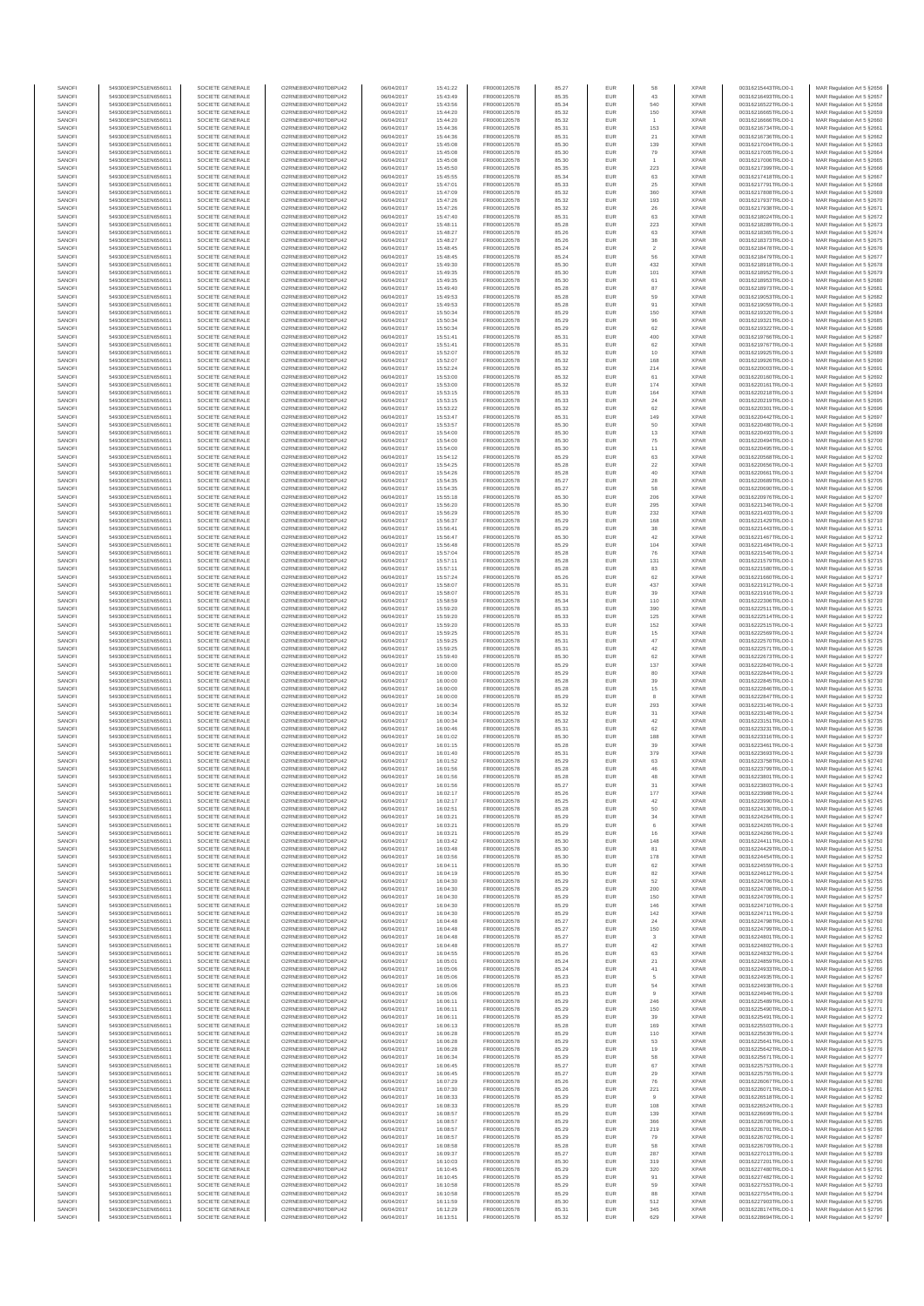| SANOF            | 549300E9PC51EN656011                         | SOCIETE GENERALE                     | O2RNE8IBXP4R0TD8PU42                         | 06/04/2017               | 15:41:22             | FR0000120578                 | 85.27          | EUR               | 58                   | <b>XPAR</b>                | 00316215443TRLO0-1                       | MAR Regulation Art 5 §2656                                |
|------------------|----------------------------------------------|--------------------------------------|----------------------------------------------|--------------------------|----------------------|------------------------------|----------------|-------------------|----------------------|----------------------------|------------------------------------------|-----------------------------------------------------------|
| SANOFI<br>SANOFI | 549300E9PC51EN656011<br>549300E9PC51EN656011 | SOCIETE GENERALE<br>SOCIETE GENERALE | O2RNE8IBXP4R0TD8PU42<br>O2RNE8IBXP4R0TD8PU42 | 06/04/2017<br>06/04/2017 | 15:43:49<br>15:43:56 | FR0000120578<br>FR0000120578 | 85.35<br>85.34 | EUR<br>EUR        | 43<br>540            | <b>XPAR</b><br><b>XPAR</b> | 00316216493TRLO0-1<br>00316216522TRLO0-1 | MAR Regulation Art 5 §2657<br>MAR Regulation Art 5 §2658  |
| SANOFI           | 549300E9PC51EN656011                         | SOCIETE GENERALE                     | O2RNE8IBXP4R0TD8PU42                         | 06/04/2017               | 15:44:20             | FR0000120578                 | 85.32          | EUR               | 150                  | XPAR                       | 00316216665TRLO0-1                       | MAR Regulation Art 5 §2659                                |
| SANOFI<br>SANOFI | 549300E9PC51EN656011<br>549300E9PC51EN656011 | SOCIETE GENERALE<br>SOCIETE GENERALE | O2RNE8IBXP4R0TD8PU42<br>O2RNE8IBXP4R0TD8PU42 | 06/04/2017<br>06/04/2017 | 15:44:20<br>15:44:36 | FR0000120578<br>FR0000120578 | 85.32<br>85.31 | EUR<br>EUR        | 153                  | <b>XPAR</b><br><b>XPAR</b> | 00316216666TRLO0-1<br>00316216734TRLO0-1 | MAR Regulation Art 5 §2660<br>MAR Regulation Art 5 §2661  |
| SANOFI           | 549300E9PC51EN656011                         | SOCIETE GENERALE                     | O2RNE8IBXP4R0TD8PU42                         | 06/04/2017               | 15:44:36             | FR0000120578                 | 85.31          | EUR               | 21                   | <b>XPAR</b>                | 00316216736TRLO0-1                       | MAR Regulation Art 5 §2662                                |
| SANOFI           | 549300E9PC51EN656011                         | SOCIETE GENERALE                     | O2RNE8IBXP4R0TD8PU42                         | 06/04/2017               | 15:45:08             | FR0000120578                 | 85.30          | EUR               | 139                  | <b>XPAR</b>                | 00316217004TRLO0-1                       | MAR Regulation Art 5 §2663                                |
| SANOFI<br>SANOFI | 549300E9PC51EN656011<br>549300E9PC51EN656011 | SOCIETE GENERALE<br>SOCIETE GENERALE | O2RNE8IBXP4R0TD8PU42<br>O2RNE8IBXP4R0TD8PU42 | 06/04/2017<br>06/04/2017 | 15:45:08<br>15:45:08 | FR0000120578<br>FR0000120578 | 85.30<br>85.30 | EUR<br>EUR        | 79                   | <b>XPAR</b><br><b>XPAR</b> | 00316217005TRLO0-1<br>00316217006TRLO0-1 | MAR Regulation Art 5 §2664<br>MAR Regulation Art 5 §2665  |
| SANOFI           | 549300E9PC51EN656011                         | SOCIETE GENERALE                     | O2RNE8IBXP4R0TD8PU42                         | 06/04/2017               | 15:45:50             | FR0000120578                 | 85.35          | EUR               | 223                  | <b>XPAR</b>                | 00316217399TRLO0-1                       | MAR Regulation Art 5 §2666                                |
| SANOFI           | 549300E9PC51EN656011                         | SOCIETE GENERALE                     | O2RNE8IBXP4R0TD8PU42                         | 06/04/2017               | 15:45:55             | FR0000120578                 | 85.34          | EUR               | 63                   | <b>XPAR</b>                | 00316217418TRLO0-1                       | MAR Regulation Art 5 §2667<br>MAR Regulation Art 5 §2668  |
| SANOFI<br>SANOFI | 549300E9PC51EN656011<br>549300E9PC51EN656011 | SOCIETE GENERALE<br>SOCIETE GENERALE | O2RNE8IBXP4R0TD8PU42<br>O2RNE8IBXP4R0TD8PU42 | 06/04/2017<br>06/04/2017 | 15:47:01<br>15:47:09 | FR0000120578<br>FR0000120578 | 85.33<br>85.32 | EUR<br>EUR        | 25<br>360            | <b>XPAR</b><br><b>XPAR</b> | 00316217791TRLO0-1<br>00316217808TRLO0-1 | MAR Regulation Art 5 §2669                                |
| SANOFI           | 549300E9PC51EN656011                         | SOCIETE GENERALE                     | O2RNE8IBXP4R0TD8PU42                         | 06/04/2017               | 15:47:26             | FR0000120578                 | 85.32          | EUR               | 193                  | <b>XPAR</b>                | 00316217937TRLO0-1                       | MAR Regulation Art 5 §2670                                |
| SANOFI           | 549300E9PC51EN656011                         | SOCIETE GENERALE                     | O2RNE8IBXP4R0TD8PU42                         | 06/04/2017               | 15:47:26             | FR0000120578                 | 85.32          | EUR               | 26                   | <b>XPAR</b>                | 00316217938TRLO0-1                       | MAR Regulation Art 5 §2671                                |
| SANOFI<br>SANOFI | 549300E9PC51EN656011<br>549300E9PC51EN656011 | SOCIETE GENERALE<br>SOCIETE GENERALE | O2RNE8IBXP4R0TD8PU42<br>O2RNE8IBXP4R0TD8PU42 | 06/04/2017<br>06/04/2017 | 15:47:40<br>15:48:11 | FR0000120578<br>FR0000120578 | 85.31<br>85.28 | EUR<br>EUR        | 63<br>223            | <b>XPAR</b><br><b>XPAR</b> | 00316218024TRLO0-1<br>00316218289TRLO0-1 | MAR Regulation Art 5 §2672<br>MAR Regulation Art 5 §2673  |
| SANOFI           | 549300E9PC51EN656011                         | SOCIETE GENERALE                     | O2RNE8IBXP4R0TD8PU42                         | 06/04/2017               | 15:48:27             | FR0000120578                 | 85.26          | EUR               | 63                   | <b>XPAR</b>                | 00316218365TRLO0-1                       | MAR Regulation Art 5 §2674                                |
| SANOFI           | 549300E9PC51EN656011                         | SOCIETE GENERALE                     | O2RNE8IBXP4R0TD8PU42                         | 06/04/2017               | 15:48:27             | FR0000120578                 | 85.26          | EUR               | 38                   | <b>XPAR</b>                | 00316218373TRLO0-1                       | MAR Regulation Art 5 §2675                                |
| SANOFI<br>SANOFI | 549300E9PC51EN656011<br>549300E9PC51EN656011 | SOCIETE GENERALE<br>SOCIETE GENERALE | O2RNE8IBXP4R0TD8PU42<br>O2RNE8IBXP4R0TD8PU42 | 06/04/2017<br>06/04/2017 | 15:48:45<br>15:48:45 | FR0000120578<br>FR0000120578 | 85.24<br>85.24 | EUR<br>EUR        | $\,$ 2 $\,$<br>56    | <b>XPAR</b><br><b>XPAR</b> | 00316218478TRLO0-1<br>00316218479TRLO0-1 | MAR Regulation Art 5 §2676<br>MAR Regulation Art 5 §2677  |
| SANOFI           | 549300E9PC51EN656011                         | SOCIETE GENERALE                     | O2RNE8IBXP4R0TD8PU42                         | 06/04/2017               | 15:49:30             | FR0000120578                 | 85.30          | EUR               | 432                  | <b>XPAR</b>                | 00316218918TRLO0-1                       | MAR Regulation Art 5 §2678                                |
| SANOFI<br>SANOFI | 549300E9PC51EN656011<br>549300E9PC51EN656011 | SOCIETE GENERALE<br>SOCIETE GENERALE | O2RNE8IBXP4R0TD8PU42<br>O2RNE8IBXP4R0TD8PU42 | 06/04/2017<br>06/04/2017 | 15:49:35<br>15:49:35 | FR0000120578<br>FR0000120578 | 85.30<br>85.30 | EUR<br>EUR        | 101<br>61            | <b>XPAR</b><br><b>XPAR</b> | 00316218952TRLO0-1<br>00316218953TRLO0-1 | MAR Regulation Art 5 §2679<br>MAR Regulation Art 5 §2680  |
| SANOFI           | 549300E9PC51EN656011                         | SOCIETE GENERALE                     | O2RNE8IBXP4R0TD8PU42                         | 06/04/2017               | 15:49:40             | FR0000120578                 | 85.28          | EUR               | 87                   | <b>XPAR</b>                | 00316218973TRLO0-1                       | MAR Regulation Art 5 §2681                                |
| SANOFI           | 549300E9PC51EN656011                         | SOCIETE GENERALE                     | O2RNE8IBXP4R0TD8PU42                         | 06/04/2017               | 15:49:53             | FR0000120578                 | 85.28          | EUR               | 59                   | <b>XPAR</b>                | 00316219053TRLO0-1                       | MAR Regulation Art 5 §2682                                |
| SANOFI<br>SANOFI | 549300E9PC51EN656011<br>549300E9PC51EN656011 | SOCIETE GENERALE<br>SOCIETE GENERALE | O2RNE8IBXP4R0TD8PU42<br>O2RNE8IBXP4R0TD8PU42 | 06/04/2017<br>06/04/2017 | 15:49:53<br>15:50:34 | FR0000120578<br>FR0000120578 | 85.28<br>85.29 | EUR<br>EUR        | 91<br>150            | <b>XPAR</b><br><b>XPAR</b> | 00316219059TRLO0-1<br>00316219320TRLO0-1 | MAR Regulation Art 5 §2683<br>MAR Regulation Art 5 §2684  |
| SANOFI           | 549300E9PC51EN656011                         | SOCIETE GENERALE                     | O2RNE8IBXP4R0TD8PU42                         | 06/04/2017               | 15:50:34             | FR0000120578                 | 85.29          | EUR               | 96                   | <b>XPAR</b>                | 00316219321TRLO0-1                       | MAR Regulation Art 5 §2685                                |
| SANOFI           | 549300E9PC51EN656011                         | SOCIETE GENERALE                     | O2RNE8IBXP4R0TD8PU42                         | 06/04/2017               | 15:50:34             | FR0000120578                 | 85.29          | EUR               | 62                   | <b>XPAR</b>                | 00316219322TRLO0-1                       | MAR Regulation Art 5 §2686                                |
| SANOFI<br>SANOFI | 549300E9PC51EN656011<br>549300E9PC51EN656011 | SOCIETE GENERALE<br>SOCIETE GENERALE | O2RNE8IBXP4R0TD8PU42<br>O2RNE8IBXP4R0TD8PU42 | 06/04/2017<br>06/04/2017 | 15:51:41<br>15:51:41 | FR0000120578<br>FR0000120578 | 85.31<br>85.31 | EUR<br>EUR        | 400<br>62            | <b>XPAR</b><br><b>XPAR</b> | 00316219766TRLO0-1<br>00316219767TRLO0-1 | MAR Regulation Art 5 §2687<br>MAR Regulation Art 5 §2688  |
| SANOFI           | 549300E9PC51EN656011                         | SOCIETE GENERALE                     | O2RNE8IBXP4R0TD8PU42                         | 06/04/2017               | 15:52:07             | FR0000120578                 | 85.32          | EUR               | 10                   | <b>XPAR</b>                | 00316219925TRLO0-1                       | MAR Regulation Art 5 §2689                                |
| SANOFI<br>SANOFI | 549300E9PC51EN656011<br>549300E9PC51EN656011 | SOCIETE GENERALE<br>SOCIETE GENERALE | O2RNE8IBXP4R0TD8PU42<br>O2RNE8IBXP4R0TD8PU42 | 06/04/2017<br>06/04/2017 | 15:52:07<br>15:52:24 | FR0000120578<br>FR0000120578 | 85.32<br>85.32 | EUR<br>EUR        | 168<br>214           | <b>XPAR</b><br><b>XPAR</b> | 00316219926TRLO0-1<br>00316220003TRLO0-1 | MAR Regulation Art 5 §2690<br>MAR Regulation Art 5 §2691  |
| SANOFI           | 549300E9PC51EN656011                         | SOCIETE GENERALE                     | O2RNE8IBXP4R0TD8PU42                         | 06/04/2017               | 15:53:00             | FR0000120578                 | 85.32          | EUR               | 61                   | <b>XPAR</b>                | 00316220160TRLO0-1                       | MAR Regulation Art 5 §2692                                |
| SANOFI           | 549300E9PC51EN656011                         | SOCIETE GENERALE                     | O2RNE8IBXP4R0TD8PU42                         | 06/04/2017               | 15:53:00             | FR0000120578                 | 85.32          | EUR               | 174                  | <b>XPAR</b>                | 00316220161TRLO0-1                       | MAR Regulation Art 5 §2693                                |
| SANOFI<br>SANOFI | 549300E9PC51EN656011<br>549300E9PC51EN656011 | SOCIETE GENERALE<br>SOCIETE GENERALE | O2RNE8IBXP4R0TD8PU42<br>O2RNE8IBXP4R0TD8PU42 | 06/04/2017<br>06/04/2017 | 15:53:15<br>15:53:15 | FR0000120578<br>FR0000120578 | 85.33<br>85.33 | EUR<br>EUR        | 164<br>24            | <b>XPAR</b><br><b>XPAR</b> | 00316220218TRLO0-1<br>00316220219TRLO0-1 | MAR Regulation Art 5 §2694<br>MAR Regulation Art 5 §2695  |
| SANOFI           | 549300E9PC51EN656011                         | SOCIETE GENERALE                     | O2RNE8IBXP4R0TD8PU42                         | 06/04/2017               | 15:53:22             | FR0000120578                 | 85.32          | EUR               | 62                   | <b>XPAR</b>                | 00316220301TRLO0-1                       | MAR Regulation Art 5 §2696                                |
| SANOFI           | 549300E9PC51EN656011                         | SOCIETE GENERALE                     | O2RNE8IBXP4R0TD8PU42                         | 06/04/2017               | 15:53:47             | FR0000120578                 | 85.31          | EUR               | 149                  | <b>XPAR</b>                | 00316220442TRLO0-1                       | MAR Regulation Art 5 §2697                                |
| SANOFI<br>SANOFI | 549300E9PC51EN656011<br>549300E9PC51EN656011 | SOCIETE GENERALE<br>SOCIETE GENERALE | O2RNE8IBXP4R0TD8PU42<br>O2RNE8IBXP4R0TD8PU42 | 06/04/2017<br>06/04/2017 | 15:53:57<br>15:54:00 | FR0000120578<br>FR0000120578 | 85.30<br>85.30 | EUR<br>EUR        | 50<br>13             | <b>XPAR</b><br><b>XPAR</b> | 00316220480TRLO0-1<br>00316220493TRLO0-1 | MAR Regulation Art 5 §2698<br>MAR Regulation Art 5 §2699  |
| SANOFI           | 549300E9PC51EN656011                         | SOCIETE GENERALE                     | O2RNE8IBXP4R0TD8PU42                         | 06/04/2017               | 15:54:00             | FR0000120578                 | 85.30          | EUR               | 75                   | <b>XPAR</b>                | 00316220494TRLO0-1                       | MAR Regulation Art 5 §2700                                |
| SANOFI<br>SANOFI | 549300E9PC51EN656011<br>549300E9PC51EN656011 | SOCIETE GENERALE<br>SOCIETE GENERALE | O2RNE8IBXP4R0TD8PU42<br>O2RNE8IBXP4R0TD8PU42 | 06/04/2017<br>06/04/2017 | 15:54:00<br>15:54:12 | FR0000120578<br>FR0000120578 | 85.30<br>85.29 | EUR<br>EUR        | 11<br>63             | <b>XPAR</b><br><b>XPAR</b> | 00316220495TRLO0-1<br>00316220568TRLO0-1 | MAR Regulation Art 5 §2701<br>MAR Regulation Art 5 §2702  |
| SANOFI           | 549300E9PC51EN656011                         | SOCIETE GENERALE                     | O2RNE8IBXP4R0TD8PU42                         | 06/04/2017               | 15:54:25             | FR0000120578                 | 85.28          | EUR               | $22\,$               | <b>XPAR</b>                | 00316220656TRLO0-1                       | MAR Regulation Art 5 §2703                                |
| SANOFI           | 549300E9PC51EN656011                         | SOCIETE GENERALE                     | O2RNE8IBXP4R0TD8PU42                         | 06/04/2017               | 15:54:26             | FR0000120578                 | 85.28          | EUR               | 40                   | <b>XPAR</b>                | 00316220661TRLO0-1                       | MAR Regulation Art 5 §2704                                |
| SANOFI<br>SANOFI | 549300E9PC51EN656011<br>549300E9PC51EN656011 | SOCIETE GENERALE<br>SOCIETE GENERALE | O2RNE8IBXP4R0TD8PU42<br>O2RNE8IBXP4R0TD8PU42 | 06/04/2017<br>06/04/2017 | 15:54:35<br>15:54:35 | FR0000120578<br>FR0000120578 | 85.27<br>85.27 | EUR<br>EUR        | 28<br>58             | <b>XPAR</b><br><b>XPAR</b> | 00316220689TRLO0-1<br>00316220690TRLO0-1 | MAR Regulation Art 5 §2705<br>MAR Regulation Art 5 \$2706 |
| SANOFI           | 549300E9PC51EN656011                         | SOCIETE GENERALE                     | O2RNE8IBXP4R0TD8PU42                         | 06/04/2017               | 15:55:18             | FR0000120578                 | 85.30          | EUR               | 206                  | <b>XPAR</b>                | 00316220976TRLO0-1                       | MAR Regulation Art 5 §2707                                |
| SANOFI           | 549300E9PC51EN656011                         | SOCIETE GENERALE                     | O2RNE8IBXP4R0TD8PU42                         | 06/04/2017               | 15:56:20             | FR0000120578                 | 85.30          | EUR               | 295                  | <b>XPAR</b>                | 00316221346TRLO0-1                       | MAR Regulation Art 5 §2708                                |
| SANOFI<br>SANOFI | 549300E9PC51EN656011<br>549300E9PC51EN656011 | SOCIETE GENERALE<br>SOCIETE GENERALE | O2RNE8IBXP4R0TD8PU42<br>O2RNE8IBXP4R0TD8PU42 | 06/04/2017<br>06/04/2017 | 15:56:29<br>15:56:37 | FR0000120578<br>FR0000120578 | 85.30<br>85.29 | EUR<br>EUR        | 232<br>168           | <b>XPAR</b><br><b>XPAR</b> | 00316221403TRLO0-1<br>00316221429TRLO0-1 | MAR Regulation Art 5 §2709<br>MAR Regulation Art 5 §2710  |
| SANOFI           | 549300E9PC51EN656011                         | SOCIETE GENERALE                     | O2RNE8IBXP4R0TD8PLI42                        | 06/04/2017               | 15:56:41             | FR0000120578                 | 85.29          | EUR               | 38                   | <b>XPAR</b>                | 00316221443TRLO0-1                       | MAR Regulation Art 5 §2711                                |
| SANOFI<br>SANOFI | 549300E9PC51EN656011<br>549300E9PC51EN656011 | SOCIETE GENERALE<br>SOCIETE GENERALE | O2RNE8IBXP4R0TD8PU42<br>O2RNE8IBXP4R0TD8PU42 | 06/04/2017<br>06/04/2017 | 15:56:47<br>15:56:48 | FR0000120578<br>FR0000120578 | 85.30<br>85.29 | EUR<br>EUR        | 42<br>104            | <b>XPAR</b><br><b>XPAR</b> | 00316221467TRLO0-1<br>00316221484TRLO0-1 | MAR Regulation Art 5 §2712<br>MAR Regulation Art 5 §2713  |
| SANOFI           | 549300E9PC51EN656011                         | SOCIETE GENERALE                     | O2RNE8IBXP4R0TD8PU42                         | 06/04/2017               | 15:57:04             | FR0000120578                 | 85.28          | EUR               | 76                   | <b>XPAR</b>                | 00316221546TRLO0-1                       | MAR Regulation Art 5 §2714                                |
| SANOFI           | 549300E9PC51EN656011                         | SOCIETE GENERALE                     | O2RNE8IBXP4R0TD8PU42                         | 06/04/2017               | 15:57:11             | FR0000120578                 | 85.28          | EUR               | 131                  | <b>XPAR</b>                | 00316221579TRLO0-1                       | MAR Regulation Art 5 §2715                                |
| SANOFI<br>SANOFI | 549300E9PC51EN656011<br>549300E9PC51EN656011 | SOCIETE GENERALE<br>SOCIETE GENERALE | O2RNE8IBXP4R0TD8PU42<br>O2RNE8IBXP4R0TD8PU42 | 06/04/2017<br>06/04/2017 | 15:57:11<br>15:57:24 | FR0000120578<br>FR0000120578 | 85.28<br>85.26 | EUR<br>EUR        | 83<br>62             | <b>XPAR</b><br><b>XPAR</b> | 00316221580TRLO0-1<br>00316221660TRLO0-1 | MAR Regulation Art 5 §2716<br>MAR Regulation Art 5 §2717  |
| SANOFI           | 549300E9PC51EN656011                         | SOCIETE GENERALE                     | O2RNE8IBXP4R0TD8PU42                         | 06/04/2017               | 15:58:07             | FR0000120578                 | 85.31          | EUR               | 437                  | <b>XPAR</b>                | 00316221912TRLO0-1                       | MAR Regulation Art 5 §2718                                |
| SANOFI<br>SANOFI | 549300E9PC51EN656011<br>549300E9PC51EN656011 | SOCIETE GENERALE<br>SOCIETE GENERALE | O2RNE8IBXP4R0TD8PU42<br>O2RNE8IBXP4R0TD8PU42 | 06/04/2017<br>06/04/2017 | 15:58:07<br>15:58:59 | FR0000120578<br>FR0000120578 | 85.31<br>85.34 | EUR<br>EUR        | 39<br>110            | <b>XPAR</b><br><b>XPAR</b> | 00316221916TRLO0-1<br>00316222306TRLO0-1 | MAR Regulation Art 5 §2719<br>MAR Regulation Art 5 §2720  |
| SANOFI           | 549300E9PC51EN656011                         | SOCIETE GENERALE                     | O2RNE8IBXP4R0TD8PU42                         | 06/04/2017               | 15:59:20             | FR0000120578                 | 85.33          | EUR               | 390                  | <b>XPAR</b>                | 00316222511TRLO0-1                       | MAR Regulation Art 5 §2721                                |
| SANOFI<br>SANOFI | 549300E9PC51EN656011<br>549300E9PC51EN656011 | SOCIETE GENERALE<br>SOCIETE GENERALE | O2RNE8IBXP4R0TD8PU42<br>O2RNE8IBXP4R0TD8PU42 | 06/04/2017<br>06/04/2017 | 15:59:20<br>15:59:20 | FR0000120578<br>FR0000120578 | 85.33<br>85.33 | EUR<br>EUR        | 125<br>152           | <b>XPAR</b><br><b>XPAR</b> | 00316222514TRLO0-1<br>00316222515TRLO0-1 | MAR Regulation Art 5 §2722                                |
| SANOFI           | 549300E9PC51EN656011                         | SOCIETE GENERALE                     | O2RNE8IBXP4R0TD8PU42                         | 06/04/2017               | 15:59:25             | FR0000120578                 | 85.31          | EUR               | 15                   | <b>XPAR</b>                | 00316222569TRLO0-1                       | MAR Regulation Art 5 §2723<br>MAR Regulation Art 5 §2724  |
| SANOFI           | 549300E9PC51EN656011                         | SOCIETE GENERALE                     | O2RNE8IBXP4R0TD8PU42                         | 06/04/2017               | 15:59:25             | FR0000120578                 | 85.31          | EUR               | 47                   | <b>XPAR</b>                | 00316222570TRLO0-1                       | MAR Regulation Art 5 §2725                                |
| SANOFI<br>SANOFI | 549300E9PC51EN656011<br>549300E9PC51EN656011 | SOCIETE GENERALE<br>SOCIETE GENERALE | O2RNE8IBXP4R0TD8PU42<br>O2RNE8IBXP4R0TD8PU42 | 06/04/2017<br>06/04/2017 | 15:59:25<br>15:59:40 | FR0000120578<br>FR0000120578 | 85.31<br>85.30 | EUR<br>EUR        | $42\,$<br>62         | <b>XPAR</b><br><b>XPAR</b> | 00316222571TRLO0-1<br>00316222673TRLO0-1 | MAR Regulation Art 5 §2726<br>MAR Regulation Art 5 §2727  |
| SANOFI           | 549300E9PC51EN656011                         | SOCIETE GENERALE                     | O2RNE8IBXP4R0TD8PU42                         | 06/04/2017               | 16:00:00             | FR0000120578                 | 85.29          | EUR               | 137                  | <b>XPAR</b>                | 00316222840TRLO0-1                       | MAR Regulation Art 5 §2728                                |
| SANOFI<br>SANOFI | 549300E9PC51EN656011<br>549300E9PC51EN656011 | SOCIETE GENERALE<br>SOCIETE GENERALE | O2RNE8IBXP4R0TD8PU42<br>O2RNE8IBXP4R0TD8PU42 | 06/04/2017<br>06/04/2017 | 16:00:00<br>16:00:00 | FR0000120578<br>FR0000120578 | 85.29<br>85.28 | EUR<br>EUR        | 80<br>39             | <b>XPAR</b><br><b>XPAR</b> | 00316222844TRLO0-1<br>00316222845TRLO0-1 | MAR Regulation Art 5 §2729                                |
| SANOFI           | 549300E9PC51EN656011                         | SOCIETE GENERALE                     | O2RNE8IBXP4R0TD8PU42                         | 06/04/2017               | 16:00:00             | FR0000120578                 | 85.28          | EUR               | $15\,$               | <b>XPAR</b>                | 00316222846TRLO0-1                       | MAR Regulation Art 5 §2730<br>MAR Regulation Art 5 §2731  |
| SANOFI           | 549300E9PC51EN656011                         | SOCIETE GENERALE                     | O2RNE8IBXP4R0TD8PU42                         | 06/04/2017               | 16:00:00             | FR0000120578                 | 85.29          | EUR               | 8                    | <b>XPAR</b>                | 00316222847TRLO0-1                       | MAR Regulation Art 5 §2732                                |
| SANOFI<br>SANOFI | 549300E9PC51EN656011<br>549300E9PC51EN656011 | SOCIETE GENERALE<br>SOCIETE GENERALE | O2RNE8IBXP4R0TD8PU42<br>O2RNE8IBXP4R0TD8PU42 | 06/04/2017<br>06/04/2017 | 16:00:34<br>16:00:34 | FR0000120578<br>FR0000120578 | 85.32<br>85.32 | EUR<br>EUR        | 293<br>31            | <b>XPAR</b><br><b>XPAR</b> | 00316223146TRLO0-1<br>00316223148TRLO0-1 | MAR Regulation Art 5 §2733<br>MAR Regulation Art 5 §2734  |
| SANOFI           | 549300E9PC51EN656011                         | SOCIETE GENERALE                     | O2RNE8IBXP4R0TD8PU42                         | 06/04/2017               | 16:00:34             | FR0000120578                 | 85.32          | EUR               | $42\,$               | <b>XPAR</b>                | 00316223151TRLO0-1                       | MAR Regulation Art 5 §2735                                |
| SANOFI           | 549300E9PC51EN656011                         | SOCIETE GENERALE                     | O2RNE8IBXP4R0TD8PU42                         | 06/04/2017               | 16:00:46             | FR0000120578                 | 85.31          | EUR               | 62                   | <b>XPAR</b>                | 00316223231TRLO0-1                       | MAR Regulation Art 5 §2736                                |
| SANOFI<br>SANOFI | 549300E9PC51EN656011<br>549300E9PC51EN656011 | SOCIETE GENERALE<br>SOCIETE GENERALE | O2RNE8IBXP4R0TD8PU42<br>O2RNE8IBXP4R0TD8PU42 | 06/04/2017<br>06/04/2017 | 16:01:02<br>16:01:15 | FR0000120578<br>FR0000120578 | 85.30<br>85.28 | EUR<br>EUR        | 188<br>39            | <b>XPAR</b><br><b>XPAR</b> | 00316223316TRLO0-1<br>00316223461TRLO0-1 | MAR Regulation Art 5 §2737<br>MAR Regulation Art 5 \$2738 |
| SANOFI           | 549300E9PC51EN656011                         | SOCIETE GENERALE                     | O2RNE8IBXP4R0TD8PU42                         | 06/04/2017               | 16:01:40             | FR0000120578                 | 85.31          | EUR               | 379                  | <b>XPAR</b>                | 00316223693TRLO0-1                       | MAR Regulation Art 5 §2739                                |
| SANOFI<br>SANOFI | 549300E9PC51EN656011<br>549300E9PC51EN656011 | SOCIETE GENERALE<br>SOCIETE GENERALE | O2RNE8IBXP4R0TD8PU42<br>O2RNE8IBXP4R0TD8PU42 | 06/04/2017<br>06/04/2017 | 16:01:52<br>16:01:56 | FR0000120578<br>FR0000120578 | 85.29<br>85.28 | EUR<br><b>EUR</b> | 63<br>46             | <b>XPAR</b><br><b>XPAR</b> | 00316223758TRLO0-1<br>00316223799TRLO0-1 | MAR Regulation Art 5 §2740<br>MAR Regulation Art 5 §2741  |
| SANOFI           | 549300E9PC51EN656011                         | SOCIETE GENERALE                     | O2RNE8IBXP4R0TD8PU42                         | 06/04/2017               | 16:01:56             | FR0000120578                 | 85.28          | EUR               | 48                   | <b>XPAR</b>                | 00316223801TRLO0-1                       | MAR Regulation Art 5 §2742                                |
| SANOFI           | 549300E9PC51EN656011                         | SOCIETE GENERALE                     | O2RNE8IBXP4R0TD8PLI42                        | 06/04/2017               | 16:01:56             | FR0000120578                 | 85.27          | EUR               | 31                   | <b>XPAR</b>                | 00316223803TRLO0-1                       | MAR Regulation Art 5 §2743                                |
| SANOFI<br>SANOFI | 549300E9PC51EN656011<br>549300E9PC51EN656011 | SOCIETE GENERALE<br>SOCIETE GENERALE | O2RNE8IBXP4R0TD8PU42<br>O2RNE8IBXP4R0TD8PU42 | 06/04/2017<br>06/04/2017 | 16:02:17<br>16:02:17 | FR0000120578<br>FR0000120578 | 85.26<br>85.25 | EUR<br>EUR        | 177<br>42            | <b>XPAR</b><br><b>XPAR</b> | 00316223988TRLO0-1<br>00316223990TRLO0-1 | MAR Regulation Art 5 §2744<br>MAR Regulation Art 5 §2745  |
| SANOFI           | 549300E9PC51EN656011                         | SOCIETE GENERALE                     | O2RNE8IBXP4R0TD8PU42                         | 06/04/2017               | 16:02:51             | FR0000120578                 | 85.28          | EUR               | 50                   | <b>XPAR</b>                | 00316224130TRLO0-1                       | MAR Regulation Art 5 §2746                                |
| SANOFI<br>SANOFI | 549300E9PC51EN656011<br>549300E9PC51EN656011 | SOCIETE GENERALE<br>SOCIETE GENERALE | O2RNE8IBXP4R0TD8PU42<br>O2RNE8IBXP4R0TD8PU42 | 06/04/2017<br>06/04/2017 | 16:03:21<br>16:03:21 | FR0000120578<br>FR0000120578 | 85.29<br>85.29 | EUR<br>EUR        | 34<br>6              | <b>XPAR</b><br><b>XPAR</b> | 00316224264TRLO0-1<br>00316224265TRLO0-1 | MAR Regulation Art 5 §2747<br>MAR Regulation Art 5 §2748  |
| SANOFI           | 549300E9PC51EN656011                         | SOCIETE GENERALE                     | O2RNE8IBXP4R0TD8PU42                         | 06/04/2017               | 16:03:21             | FR0000120578                 | 85.29          | EUR               | 16                   | <b>XPAR</b>                | 00316224266TRLO0-1                       | MAR Regulation Art 5 §2749                                |
| SANOFI<br>SANOFI | 549300E9PC51EN656011                         | SOCIETE GENERALE                     | O2RNE8IBXP4R0TD8PU42                         | 06/04/2017               | 16:03:42             | FR0000120578                 | 85.30<br>85.30 | EUR               | 148                  | <b>XPAR</b><br><b>XPAR</b> | 00316224411TRLO0-1                       | MAR Regulation Art 5 §2750                                |
| SANOFI           | 549300E9PC51EN656011<br>549300E9PC51EN656011 | SOCIETE GENERALE<br>SOCIETE GENERALE | O2RNE8IBXP4R0TD8PU42<br>O2RNE8IBXP4R0TD8PU42 | 06/04/2017<br>06/04/2017 | 16:03:48<br>16:03:56 | FR0000120578<br>FR0000120578 | 85.30          | EUR<br>EUR        | 81<br>178            | <b>XPAR</b>                | 00316224429TRLO0-1<br>00316224454TRLO0-1 | MAR Regulation Art 5 §2751<br>MAR Regulation Art 5 §2752  |
| SANOFI           | 549300E9PC51EN656011                         | SOCIETE GENERALE                     | O2RNE8IBXP4R0TD8PU42                         | 06/04/2017               | 16:04:11             | FR0000120578                 | 85.30          | EUR               | 62                   | <b>XPAR</b>                | 00316224559TRLO0-1                       | MAR Regulation Art 5 §2753                                |
| SANOFI<br>SANOFI | 549300E9PC51EN656011<br>549300E9PC51EN656011 | SOCIETE GENERALE<br>SOCIETE GENERALE | O2RNE8IBXP4R0TD8PU42<br>O2RNE8IBXP4R0TD8PU42 | 06/04/2017<br>06/04/2017 | 16:04:19<br>16:04:30 | FR0000120578<br>FR0000120578 | 85.30<br>85.29 | EUR<br><b>EUR</b> | 82<br>52             | <b>XPAR</b><br><b>XPAR</b> | 00316224612TRLO0-1<br>00316224706TRLO0-1 | MAR Regulation Art 5 §2754<br>MAR Regulation Art 5 §2755  |
| SANOFI           | 549300E9PC51EN656011                         | SOCIETE GENERALE                     | O2RNE8IBXP4R0TD8PU42                         | 06/04/2017               | 16:04:30             | FR0000120578                 | 85.29          | EUR               | 200                  | <b>XPAR</b>                | 00316224708TRLO0-1                       | MAR Regulation Art 5 §2756                                |
| SANOFI<br>SANOFI | 549300E9PC51EN656011<br>549300E9PC51EN656011 | SOCIETE GENERALE<br>SOCIETE GENERALE | O2RNE8IBXP4R0TD8PU42<br>O2RNE8IBXP4R0TD8PU42 | 06/04/2017<br>06/04/2017 | 16:04:30<br>16:04:30 | FR0000120578<br>FR0000120578 | 85.29<br>85.29 | EUR<br>EUR        | 150<br>146           | <b>XPAR</b><br><b>XPAR</b> | 00316224709TRLO0-1<br>00316224710TRLO0-1 | MAR Regulation Art 5 §2757<br>MAR Regulation Art 5 §2758  |
| SANOFI           | 549300E9PC51EN656011                         | SOCIETE GENERALE                     | O2RNE8IBXP4R0TD8PU42                         | 06/04/2017               | 16:04:30             | FR0000120578                 | 85.29          | EUR               | 142                  | <b>XPAR</b>                | 00316224711TRLO0-1                       | MAR Regulation Art 5 §2759                                |
| SANOFI           | 549300E9PC51EN656011                         | SOCIETE GENERALE                     | O2RNE8IBXP4R0TD8PU42                         | 06/04/2017               | 16:04:48             | FR0000120578                 | 85.27          | EUR               | 24                   | <b>XPAR</b>                | 00316224798TRLO0-1                       | MAR Regulation Art 5 §2760                                |
| SANOFI<br>SANOFI | 549300E9PC51EN656011<br>549300E9PC51EN656011 | SOCIETE GENERALE<br>SOCIETE GENERALE | O2RNE8IBXP4R0TD8PU42<br>O2RNE8IBXP4R0TD8PU42 | 06/04/2017<br>06/04/2017 | 16:04:48<br>16:04:48 | FR0000120578<br>FR0000120578 | 85.27<br>85.27 | EUR<br>EUR        | 150<br>3             | <b>XPAR</b><br><b>XPAR</b> | 00316224799TRLO0-1<br>00316224801TRLO0-1 | MAR Regulation Art 5 §2761<br>MAR Regulation Art 5 §2762  |
| SANOFI           | 549300E9PC51EN656011                         | SOCIETE GENERALE                     | O2RNE8IBXP4R0TD8PU42                         | 06/04/2017               | 16:04:48             | FR0000120578                 | 85.27          | EUR               | 42                   | <b>XPAR</b>                | 00316224802TRLO0-1                       | MAR Regulation Art 5 §2763                                |
| SANOFI<br>SANOFI | 549300E9PC51EN656011<br>549300E9PC51EN656011 | SOCIETE GENERALE<br>SOCIETE GENERALE | O2RNE8IBXP4R0TD8PU42<br>O2RNE8IBXP4R0TD8PU42 | 06/04/2017<br>06/04/2017 | 16:04:55<br>16:05:01 | FR0000120578<br>FR0000120578 | 85.26<br>85.24 | EUR<br>EUR        | 63                   | <b>XPAR</b><br><b>XPAR</b> | 00316224832TRLO0-1<br>00316224859TRLO0-1 | MAR Regulation Art 5 §2764                                |
| SANOFI           | 549300E9PC51EN656011                         | SOCIETE GENERALE                     | O2RNE8IBXP4R0TD8PU42                         | 06/04/2017               | 16:05:06             | FR0000120578                 | 85.24          | EUR               | 21<br>$41\,$         | <b>XPAR</b>                | 00316224933TRLO0-1                       | MAR Regulation Art 5 §2765<br>MAR Regulation Art 5 §2766  |
| SANOFI           | 549300E9PC51EN656011                         | SOCIETE GENERALE                     | O2RNE8IBXP4R0TD8PU42                         | 06/04/2017               | 16:05:06             | FR0000120578                 | 85.23          | EUR               |                      | <b>XPAR</b>                | 00316224935TRLO0-1                       | MAR Regulation Art 5 §2767                                |
| SANOFI<br>SANOFI | 549300E9PC51EN656011<br>549300E9PC51EN656011 | SOCIETE GENERALE<br>SOCIETE GENERALE | O2RNE8IBXP4R0TD8PU42<br>O2RNE8IBXP4R0TD8PU42 | 06/04/2017<br>06/04/2017 | 16:05:06<br>16:05:06 | FR0000120578<br>FR0000120578 | 85.23<br>85.23 | EUR<br>EUR        | 54<br>$\overline{9}$ | <b>XPAR</b><br><b>XPAR</b> | 00316224938TRLO0-1<br>00316224946TRLO0-1 | MAR Regulation Art 5 §2768<br>MAR Regulation Art 5 §2769  |
| SANOFI           | 549300E9PC51EN656011                         | SOCIETE GENERALE                     | O2RNE8IBXP4R0TD8PU42                         | 06/04/2017               | 16:06:11             | FR0000120578                 | 85.29          | EUR               | 246                  | <b>XPAR</b>                | 00316225489TRLO0-1                       | MAR Regulation Art 5 §2770                                |
| SANOFI           | 549300E9PC51EN656011                         | SOCIETE GENERALE                     | O2RNE8IBXP4R0TD8PU42                         | 06/04/2017               | 16:06:11             | FR0000120578                 | 85.29          | EUR               | 150                  | <b>XPAR</b>                | 00316225490TRLO0-1                       | MAR Regulation Art 5 §2771                                |
| SANOFI<br>SANOFI | 549300E9PC51EN656011<br>549300E9PC51EN656011 | SOCIETE GENERALE<br>SOCIETE GENERALE | O2RNE8IBXP4R0TD8PU42<br>O2RNE8IBXP4R0TD8PU42 | 06/04/2017<br>06/04/2017 | 16:06:11<br>16:06:13 | FR0000120578<br>FR0000120578 | 85.29<br>85.28 | EUR<br>EUR        | 39<br>169            | <b>XPAR</b><br><b>XPAR</b> | 00316225491TRLO0-1<br>00316225503TRLO0-1 | MAR Regulation Art 5 §2772<br>MAR Regulation Art 5 §2773  |
| SANOFI           | 549300E9PC51EN656011                         | SOCIETE GENERALE                     | O2RNE8IBXP4R0TD8PU42                         | 06/04/2017               | 16:06:28             | FR0000120578                 | 85.29          | EUR               | 110                  | <b>XPAR</b>                | 00316225639TRLO0-1                       | MAR Regulation Art 5 §2774                                |
| SANOFI<br>SANOFI | 549300E9PC51EN656011<br>549300E9PC51EN656011 | SOCIETE GENERALE<br>SOCIETE GENERALE | O2RNE8IBXP4R0TD8PU42<br>O2RNE8IBXP4R0TD8PU42 | 06/04/2017<br>06/04/2017 | 16:06:28<br>16:06:28 | FR0000120578<br>FR0000120578 | 85.29<br>85.29 | EUR<br>EUR        | 53<br>19             | <b>XPAR</b><br><b>XPAR</b> | 00316225641TRLO0-1<br>00316225642TRLO0-1 | MAR Regulation Art 5 §2775<br>MAR Regulation Art 5 §2776  |
| SANOFI           | 549300E9PC51EN656011                         | SOCIETE GENERALE                     | O2RNE8IBXP4R0TD8PU42                         | 06/04/2017               | 16:06:34             | FR0000120578                 | 85.29          | EUR               | 58                   | <b>XPAR</b>                | 00316225671TRLO0-1                       | MAR Regulation Art 5 §2777                                |
| SANOFI           | 549300E9PC51EN656011                         | SOCIETE GENERALE                     | O2RNE8IBXP4R0TD8PU42                         | 06/04/2017               | 16:06:45             | FR0000120578                 | 85.27          | EUR               | 67                   | <b>XPAR</b>                | 00316225753TRLO0-1                       | MAR Regulation Art 5 §2778                                |
| SANOFI<br>SANOFI | 549300E9PC51EN656011<br>549300E9PC51EN656011 | SOCIETE GENERALE<br>SOCIETE GENERALE | O2RNE8IBXP4R0TD8PU42<br>O2RNE8IBXP4R0TD8PU42 | 06/04/2017<br>06/04/2017 | 16:06:45<br>16:07:29 | FR0000120578<br>FR0000120578 | 85.27<br>85.26 | EUR<br>EUR        | 29<br>76             | <b>XPAR</b><br><b>XPAR</b> | 00316225755TRLO0-1<br>00316226067TRLO0-1 | MAR Regulation Art 5 §2779<br>MAR Regulation Art 5 §2780  |
| SANOFI           | 549300E9PC51EN656011                         | SOCIETE GENERALE                     | O2RNE8IBXP4R0TD8PU42                         | 06/04/2017               | 16:07:30             | FR0000120578                 | 85.26          | EUR               | 221                  | <b>XPAR</b>                | 00316226071TRLO0-1                       | MAR Regulation Art 5 §2781                                |
| SANOFI<br>SANOFI | 549300E9PC51EN656011<br>549300E9PC51EN656011 | SOCIETE GENERALE<br>SOCIETE GENERALE | O2RNE8IBXP4R0TD8PU42<br>O2RNE8IBXP4R0TD8PU42 | 06/04/2017<br>06/04/2017 | 16:08:33<br>16:08:33 | FR0000120578<br>FR0000120578 | 85.29<br>85.29 | EUR<br>EUR        | $\mathbf{a}$<br>108  | <b>XPAR</b><br><b>XPAR</b> | 00316226518TRLO0-1<br>00316226524TRLO0-1 | MAR Regulation Art 5 §2782<br>MAR Regulation Art 5 §2783  |
| SANOFI           | 549300E9PC51EN656011                         | SOCIETE GENERALE                     | O2RNE8IBXP4R0TD8PU42                         | 06/04/2017               | 16:08:57             | FR0000120578                 | 85.29          | EUR               | 139                  | <b>XPAR</b>                | 00316226699TRLO0-1                       | MAR Regulation Art 5 §2784                                |
| SANOFI           | 549300E9PC51EN656011                         | SOCIETE GENERALE                     | O2RNE8IBXP4R0TD8PU42                         | 06/04/2017               | 16:08:57             | FR0000120578                 | 85.29          | EUR               | 366                  | <b>XPAR</b>                | 00316226700TRLO0-1                       | MAR Regulation Art 5 §2785                                |
| SANOFI<br>SANOFI | 549300E9PC51EN656011<br>549300E9PC51EN656011 | SOCIETE GENERALE<br>SOCIETE GENERALE | O2RNE8IBXP4R0TD8PU42<br>O2RNE8IBXP4R0TD8PU42 | 06/04/2017<br>06/04/2017 | 16:08:57<br>16:08:57 | FR0000120578<br>FR0000120578 | 85.29<br>85.29 | EUR<br>EUR        | 219<br>79            | <b>XPAR</b><br><b>XPAR</b> | 00316226701TRLO0-1<br>00316226702TRLO0-1 | MAR Regulation Art 5 §2786<br>MAR Regulation Art 5 §2787  |
| SANOFI           | 549300E9PC51EN656011                         | SOCIETE GENERALE                     | O2RNE8IBXP4R0TD8PU42                         | 06/04/2017               | 16:08:58             | FR0000120578                 | 85.28          | EUR               | 58                   | XPAR                       | 00316226709TRLO0-1                       | MAR Regulation Art 5 §2788                                |
| SANOFI<br>SANOFI | 549300E9PC51EN656011<br>549300E9PC51EN656011 | SOCIETE GENERALE<br>SOCIETE GENERALE | O2RNE8IBXP4R0TD8PU42<br>O2RNE8IBXP4R0TD8PU42 | 06/04/2017<br>06/04/2017 | 16:09:37<br>16:10:03 | FR0000120578<br>FR0000120578 | 85.27<br>85.30 | EUR<br>EUR        | 287<br>319           | <b>XPAR</b><br><b>XPAR</b> | 00316227013TRLO0-1<br>00316227201TRLO0-1 | MAR Regulation Art 5 §2789<br>MAR Regulation Art 5 §2790  |
| SANOFI           | 549300E9PC51EN656011                         | SOCIETE GENERALE                     | O2RNE8IBXP4R0TD8PU42                         | 06/04/2017               | 16:10:45             | FR0000120578                 | 85.29          | EUR               | 320                  | <b>XPAR</b>                | 00316227480TRLO0-1                       | MAR Regulation Art 5 §2791                                |
| SANOFI<br>SANOFI | 549300E9PC51EN656011                         | SOCIETE GENERALE                     | O2RNE8IBXP4R0TD8PU42                         | 06/04/2017               | 16:10:45             | FR0000120578                 | 85.29          | EUR<br>EUR        | 91<br>59             | <b>XPAR</b><br><b>XPAR</b> | 00316227482TRLO0-1                       | MAR Regulation Art 5 §2792<br>MAR Regulation Art 5 §2793  |
| SANOFI           | 549300E9PC51EN656011<br>549300E9PC51EN656011 | SOCIETE GENERALE<br>SOCIETE GENERALE | O2RNE8IBXP4R0TD8PU42<br>O2RNE8IBXP4R0TD8PU42 | 06/04/2017<br>06/04/2017 | 16:10:58<br>16:10:58 | FR0000120578<br>FR0000120578 | 85.29<br>85.29 | EUR               | 88                   | <b>XPAR</b>                | 00316227553TRLO0-1<br>00316227554TRLO0-1 | MAR Regulation Art 5 §2794                                |
| SANOFI           | 549300E9PC51EN656011                         | SOCIETE GENERALE                     | O2RNE8IBXP4R0TD8PU42                         | 06/04/2017               | 16:11:59             | FR0000120578                 | 85.30          | EUR               | 512                  | <b>XPAR</b>                | 00316227903TRLO0-1                       | MAR Regulation Art 5 §2795                                |
| SANOFI<br>SANOFI | 549300E9PC51EN656011<br>549300E9PC51EN656011 | SOCIETE GENERALE<br>SOCIETE GENERALE | O2RNE8IBXP4R0TD8PU42<br>O2RNE8IBXP4R0TD8PU42 | 06/04/2017<br>06/04/2017 | 16:12:29<br>16:13:51 | FR0000120578<br>FR0000120578 | 85.31<br>85.32 | EUR<br>EUR        | 345<br>629           | <b>XPAR</b><br>XPAR        | 00316228174TRLO0-1<br>00316228694TRLO0-1 | MAR Regulation Art 5 §2796<br>MAR Regulation Art 5 §2797  |
|                  |                                              |                                      |                                              |                          |                      |                              |                |                   |                      |                            |                                          |                                                           |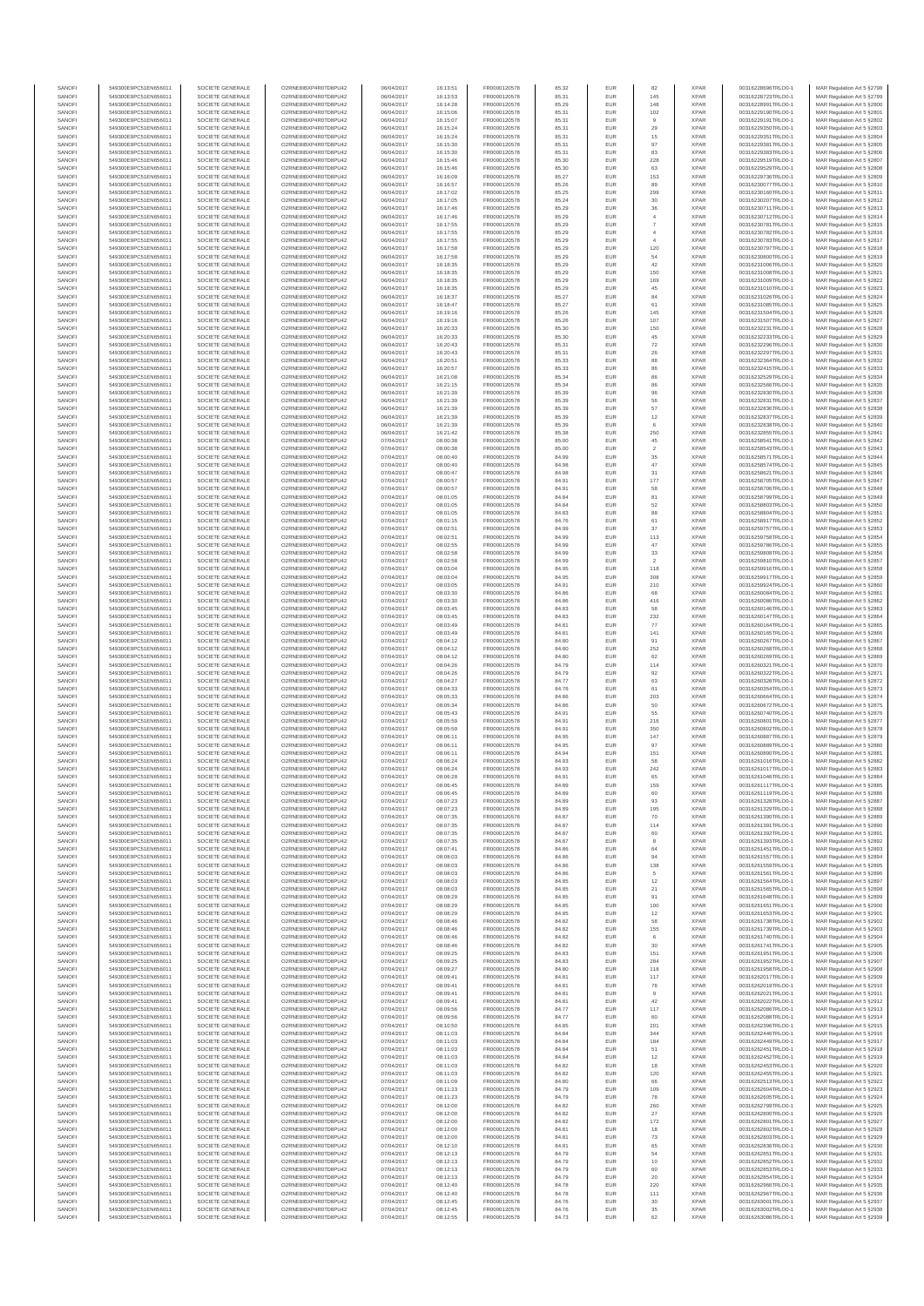| SANOFI<br>SANOFI | 549300E9PC51EN656011<br>549300E9PC51EN656011 | SOCIETE GENERALE<br>SOCIETE GENERALE | O2RNE8IBXP4R0TD8PU42<br>O2RNE8IBXP4R0TD8PU42  | 06/04/2017<br>06/04/2017 | 16:13:51<br>16:13:53 | FR0000120578<br>FR0000120578 | 85.32<br>85.31 | EUR<br>EUR        | 82<br>145                    | <b>XPAR</b><br><b>XPAR</b> | 00316228696TRLO0-1<br>00316228723TRLO0-1 | MAR Regulation Art 5 §2798<br>MAR Regulation Art 5 §2799   |
|------------------|----------------------------------------------|--------------------------------------|-----------------------------------------------|--------------------------|----------------------|------------------------------|----------------|-------------------|------------------------------|----------------------------|------------------------------------------|------------------------------------------------------------|
| SANOFI           | 549300E9PC51EN656011                         | SOCIETE GENERALE                     | O2RNE8IBXP4R0TD8PU42                          | 06/04/2017               | 16:14:28             | FR0000120578                 | 85.29          | <b>EUR</b>        | 148                          | <b>XPAR</b>                | 00316228991TRLO0-1                       | MAR Regulation Art 5 §2800                                 |
| SANOFI           | 549300E9PC51EN656011                         | SOCIETE GENERALE                     | O2RNE8IBXP4R0TD8PU42                          | 06/04/2017               | 16:15:06             | FR0000120578                 | 85.31          | EUR               | 102                          | <b>XPAR</b>                | 00316229190TRLO0-1                       | MAR Regulation Art 5 §2801                                 |
| SANOFI<br>SANOFI | 549300E9PC51EN656011<br>549300E9PC51EN656011 | SOCIETE GENERALE<br>SOCIETE GENERALE | O2RNE8IBXP4R0TD8PU42<br>O2RNE8IBXP4R0TD8PU42  | 06/04/2017<br>06/04/2017 | 16:15:07<br>16:15:24 | FR0000120578<br>FR0000120578 | 85.31<br>85.31 | EUR<br>EUR        | 29                           | <b>XPAR</b><br><b>XPAR</b> | 00316229191TRLO0-1<br>00316229350TRLO0-1 | MAR Regulation Art 5 §2802<br>MAR Regulation Art 5 §2803   |
| SANOFI           | 549300E9PC51EN656011                         | SOCIETE GENERALE                     | O2RNE8IBXP4R0TD8PLI42                         | 06/04/2017               | 16:15:24             | FR0000120578                 | 85.31          | EUR               | 15                           | <b>XPAR</b>                | 00316229351TRLO0-1                       | MAR Regulation Art 5 §2804                                 |
| SANOFI<br>SANOFI | 549300E9PC51EN656011<br>549300E9PC51EN656011 | SOCIETE GENERALE<br>SOCIETE GENERALE | O2RNE8IBXP4R0TD8PU42<br>O2RNE8IBXP4R0TD8PU42  | 06/04/2017<br>06/04/2017 | 16:15:30<br>16:15:30 | FR0000120578<br>FR0000120578 | 85.31<br>85.31 | EUR<br>EUR        | 97<br>83                     | <b>XPAR</b><br><b>XPAR</b> | 00316229381TRLO0-1<br>00316229383TRLO0-1 | MAR Regulation Art 5 §2805<br>MAR Regulation Art 5 §2806   |
| SANOFI           | 549300E9PC51EN656011                         | SOCIETE GENERALE                     | O2RNE8IBXP4R0TD8PU42                          | 06/04/2017               | 16:15:46             | FR0000120578                 | 85.30          | EUR               | 228                          | <b>XPAR</b>                | 00316229519TRLO0-1                       | MAR Regulation Art 5 §2807                                 |
| SANOFI           | 549300E9PC51EN656011                         | SOCIETE GENERALE                     | O2RNE8IBXP4R0TD8PU42                          | 06/04/2017               | 16:15:46             | FR0000120578                 | 85.30          | EUR               | 63                           | <b>XPAR</b>                | 00316229529TRLO0-1                       | MAR Regulation Art 5 §2808                                 |
| SANOFI<br>SANOFI | 549300E9PC51EN656011<br>549300E9PC51EN656011 | SOCIETE GENERALE<br>SOCIETE GENERALE | O2RNE8IBXP4R0TD8PU42<br>O2RNE8IBXP4R0TD8PU42  | 06/04/2017<br>06/04/2017 | 16:16:09<br>16:16:57 | FR0000120578<br>FR0000120578 | 85.27<br>85.26 | EUR<br>EUR        | 153<br>89                    | <b>XPAR</b><br><b>XPAR</b> | 00316229736TRLO0-1<br>00316230077TRLO0-1 | MAR Regulation Art 5 §2809<br>MAR Regulation Art 5 §2810   |
| SANOFI           | 549300E9PC51EN656011                         | SOCIETE GENERALE                     | O2RNE8IBXP4R0TD8PU42                          | 06/04/2017               | 16:17:02             | FR0000120578                 | 85.25          | EUR               | 299                          | <b>XPAR</b>                | 00316230160TRLO0-1                       | MAR Regulation Art 5 §2811                                 |
| SANOFI           | 549300E9PC51EN656011                         | SOCIETE GENERALE                     | O2RNE8IBXP4R0TD8PU42                          | 06/04/2017               | 16:17:05             | FR0000120578                 | 85.24          | EUR               | $30\,$                       | <b>XPAR</b>                | 00316230207TRLO0-1                       | MAR Regulation Art 5 §2812                                 |
| SANOFI<br>SANOFI | 549300E9PC51EN656011<br>549300E9PC51EN656011 | SOCIETE GENERALE<br>SOCIETE GENERALE | O2RNE8IBXP4R0TD8PU42<br>O2RNE8IBXP4R0TD8PU42  | 06/04/2017<br>06/04/2017 | 16:17:46<br>16:17:46 | FR0000120578<br>FR0000120578 | 85.29<br>85.29 | EUR<br>EUR        | 36<br>$\ddot{4}$             | <b>XPAR</b><br><b>XPAR</b> | 00316230711TRLO0-1<br>00316230712TRLO0-1 | MAR Regulation Art 5 §2813<br>MAR Regulation Art 5 §2814   |
| SANOFI           | 549300E9PC51EN656011                         | SOCIETE GENERALE                     | O2RNE8IBXP4R0TD8PU42                          | 06/04/2017               | 16:17:55             | FR0000120578                 | 85.29          | EUR               | $\overline{7}$               | <b>XPAR</b>                | 00316230781TRLO0-1                       | MAR Regulation Art 5 §2815                                 |
| SANOFI           | 549300E9PC51EN656011                         | SOCIETE GENERALE                     | O2RNE8IBXP4R0TD8PU42                          | 06/04/2017               | 16:17:55             | FR0000120578                 | 85.29          | EUR               | $\overline{4}$               | <b>XPAR</b>                | 00316230782TRLO0-1                       | MAR Regulation Art 5 §2816                                 |
| SANOFI<br>SANOFI | 549300E9PC51EN656011<br>549300E9PC51EN656011 | SOCIETE GENERALE<br>SOCIETE GENERALE | O2RNE8IBXP4R0TD8PU42<br>O2RNE8IBXP4R0TD8PU42  | 06/04/2017<br>06/04/2017 | 16:17:55<br>16:17:58 | FR0000120578<br>FR0000120578 | 85.29<br>85.29 | EUR<br>EUR        | 120                          | <b>XPAR</b><br><b>XPAR</b> | 00316230783TRLO0-1<br>00316230797TRLO0-1 | MAR Regulation Art 5 §2817<br>MAR Regulation Art 5 §2818   |
| SANOFI           | 549300E9PC51EN656011                         | SOCIETE GENERALE                     | O2RNE8IBXP4R0TD8PU42                          | 06/04/2017               | 16:17:58             | FR0000120578                 | 85.29          | EUR               | 54                           | <b>XPAR</b>                | 00316230800TRLO0-1                       | MAR Regulation Art 5 §2819                                 |
| SANOFI           | 549300E9PC51EN656011                         | SOCIETE GENERALE                     | O2RNE8IBXP4R0TD8PU42                          | 06/04/2017               | 16:18:35             | FR0000120578                 | 85.29          | EUR               | 42                           | <b>XPAR</b>                | 00316231006TRLO0-1                       | MAR Regulation Art 5 §2820                                 |
| SANOFI<br>SANOFI | 549300E9PC51EN656011<br>549300E9PC51EN656011 | SOCIETE GENERALE<br>SOCIETE GENERALE | O2RNE8IBXP4R0TD8PU42<br>O2RNE8IBXP4R0TD8PLI42 | 06/04/2017<br>06/04/2017 | 16:18:35<br>16:18:35 | FR0000120578<br>FR0000120578 | 85.29<br>85.29 | EUR<br>EUR        | 150<br>169                   | <b>XPAR</b><br><b>XPAR</b> | 00316231008TRLO0-1<br>00316231009TRLO0-1 | MAR Regulation Art 5 §2821<br>MAR Regulation Art 5 §2822   |
| SANOFI           | 549300E9PC51EN656011                         | SOCIETE GENERALE                     | O2RNE8IBXP4R0TD8PU42                          | 06/04/2017               | 16:18:35             | FR0000120578                 | 85.29          | EUR               | $45\,$                       | <b>XPAR</b>                | 00316231010TRLO0-1                       | MAR Regulation Art 5 §2823                                 |
| SANOFI           | 549300E9PC51EN656011                         | SOCIETE GENERALE                     | O2RNE8IBXP4R0TD8PU42                          | 06/04/2017               | 16:18:37             | FR0000120578                 | 85.27          | EUR               | 84                           | <b>XPAR</b>                | 00316231026TRLO0-1                       | MAR Regulation Art 5 §2824                                 |
| SANOFI<br>SANOFI | 549300E9PC51EN656011<br>549300E9PC51EN656011 | SOCIETE GENERALE<br>SOCIETE GENERALE | O2RNE8IBXP4R0TD8PU42<br>O2RNE8IBXP4R0TD8PU42  | 06/04/2017<br>06/04/2017 | 16:18:47<br>16:19:16 | FR0000120578<br>FR0000120578 | 85.27<br>85.26 | EUR<br>EUR        | 61<br>145                    | <b>XPAR</b><br><b>XPAR</b> | 00316231085TRLO0-1<br>00316231504TRLO0-1 | MAR Regulation Art 5 §2825<br>MAR Regulation Art 5 §2826   |
| SANOFI           | 549300E9PC51EN656011                         | SOCIETE GENERALE                     | O2RNE8IBXP4R0TD8PU42                          | 06/04/2017               | 16:19:16             | FR0000120578                 | 85.26          | EUR               | 107                          | <b>XPAR</b>                | 00316231507TRLO0-1                       | MAR Regulation Art 5 §2827                                 |
| SANOFI           | 549300E9PC51EN656011                         | SOCIETE GENERALE                     | O2RNE8IBXP4R0TD8PU42                          | 06/04/2017               | 16:20:33             | FR0000120578                 | 85.30          | EUR               | 150                          | <b>XPAR</b>                | 00316232231TRLO0-1                       | MAR Regulation Art 5 §2828                                 |
| SANOFI<br>SANOFI | 549300E9PC51EN656011<br>549300E9PC51EN656011 | SOCIETE GENERALE<br>SOCIETE GENERALE | O2RNE8IBXP4R0TD8PU42<br>O2RNE8IBXP4R0TD8PU42  | 06/04/2017<br>06/04/2017 | 16:20:33<br>16:20:43 | FR0000120578<br>FR0000120578 | 85.30<br>85.31 | EUR<br>EUR        | 45<br>$\scriptstyle{72}$     | <b>XPAR</b><br><b>XPAR</b> | 00316232233TRLO0-1<br>00316232296TRLO0-1 | MAR Regulation Art 5 §2829<br>MAR Regulation Art 5 §2830   |
| SANOFI           | 549300E9PC51EN656011                         | SOCIETE GENERALE                     | O2RNE8IBXP4R0TD8PU42                          | 06/04/2017               | 16:20:43             | FR0000120578                 | 85.31          | EUR               | 26                           | <b>XPAR</b>                | 00316232297TRLO0-1                       | MAR Regulation Art 5 §2831                                 |
| SANOFI<br>SANOFI | 549300E9PC51EN656011<br>549300E9PC51EN656011 | SOCIETE GENERALE<br>SOCIETE GENERALE | O2RNE8IBXP4R0TD8PU42<br>O2RNE8IBXP4R0TD8PU42  | 06/04/2017<br>06/04/2017 | 16:20:51<br>16:20:57 | FR0000120578<br>FR0000120578 | 85.33<br>85.33 | EUR<br>EUR        | 88<br>86                     | <b>XPAR</b><br><b>XPAR</b> | 00316232364TRLO0-1                       | MAR Regulation Art 5 §2832<br>MAR Regulation Art 5 §2833   |
| SANOFI           | 549300E9PC51EN656011                         | SOCIETE GENERALE                     | O2RNE8IBXP4R0TD8PU42                          | 06/04/2017               | 16:21:08             | FR0000120578                 | 85.34          | EUR               | 86                           | <b>XPAR</b>                | 00316232415TRLO0-1<br>00316232529TRLO0-1 | MAR Regulation Art 5 §2834                                 |
| SANOFI           | 549300E9PC51EN656011                         | SOCIETE GENERALE                     | O2RNE8IBXP4R0TD8PU42                          | 06/04/2017               | 16:21:15             | FR0000120578                 | 85.34          | EUR               | 86                           | <b>XPAR</b>                | 00316232566TRLO0-1                       | MAR Regulation Art 5 §2835                                 |
| SANOFI<br>SANOFI | 549300E9PC51EN656011<br>549300E9PC51EN656011 | SOCIETE GENERALE<br>SOCIETE GENERALE | O2RNE8IBXP4R0TD8PU42<br>O2RNE8IBXP4R0TD8PU42  | 06/04/2017<br>06/04/2017 | 16:21:39<br>16:21:39 | FR0000120578<br>FR0000120578 | 85.39<br>85.39 | EUR<br>EUR        | 96<br>56                     | <b>XPAR</b><br><b>XPAR</b> | 00316232830TRLO0-1<br>00316232831TRLO0-1 | MAR Regulation Art 5 §2836<br>MAR Regulation Art 5 §2837   |
| SANOFI           | 549300E9PC51EN656011                         | SOCIETE GENERALE                     | O2RNESIBXP4R0TD8PLI42                         | 06/04/2017               | 16:21:39             | FR0000120578                 | 85.39          | EUR               | 57                           | <b>XPAR</b>                | 00316232836TRLO0-1                       | MAR Regulation Art 5 §2838                                 |
| SANOFI           | 549300E9PC51EN656011                         | SOCIETE GENERALE                     | O2RNE8IBXP4R0TD8PU42                          | 06/04/2017               | 16:21:39             | FR0000120578                 | 85.39          | EUR               | $12\,$                       | <b>XPAR</b>                | 00316232837TRLO0-1                       | MAR Regulation Art 5 §2839                                 |
| SANOFI<br>SANOFI | 549300E9PC51EN656011<br>549300E9PC51EN656011 | SOCIETE GENERALE<br>SOCIETE GENERALE | O2RNE8IBXP4R0TD8PU42<br>O2RNE8IBXP4R0TD8PU42  | 06/04/2017<br>06/04/2017 | 16:21:39<br>16:21:42 | FR0000120578<br>FR0000120578 | 85.39<br>85.38 | EUR<br>EUR        | $_{\rm 6}$<br>250            | <b>XPAR</b><br><b>XPAR</b> | 00316232838TRLO0-1<br>00316232855TRLO0-1 | MAR Regulation Art 5 §2840<br>MAR Regulation Art 5 §2841   |
| SANOFI           | 549300E9PC51EN656011                         | SOCIETE GENERALE                     | O2RNE8IBXP4R0TD8PU42                          | 07/04/2017               | 08:00:38             | FR0000120578                 | 85.00          | EUR               | 45                           | <b>XPAR</b>                | 00316258541TRLO0-1                       | MAR Regulation Art 5 §2842                                 |
| SANOFI           | 549300E9PC51EN656011                         | SOCIETE GENERALE                     | O2RNE8IBXP4R0TD8PU42                          | 07/04/2017               | 08:00:38             | FR0000120578                 | 85.00          | EUR               | $\overline{\mathbf{2}}$      | <b>XPAR</b>                | 00316258543TRLO0-1                       | MAR Regulation Art 5 §2843                                 |
| SANOFI<br>SANOFI | 549300E9PC51EN656011<br>549300E9PC51EN656011 | SOCIETE GENERALE<br>SOCIETE GENERALE | O2RNE8IBXP4R0TD8PU42<br>O2RNE8IBXP4R0TD8PU42  | 07/04/2017<br>07/04/2017 | 08:00:40<br>08:00:40 | FR0000120578<br>FR0000120578 | 84.99<br>84.98 | EUR<br>EUR        | 35<br>47                     | <b>XPAR</b><br><b>XPAR</b> | 00316258571TRLO0-1<br>00316258574TRLO0-1 | MAR Regulation Art 5 \$2844<br>MAR Regulation Art 5 \$2845 |
| SANOFI           | 549300E9PC51EN656011                         | SOCIETE GENERALE                     | O2RNE8IBXP4R0TD8PU42                          | 07/04/2017               | 08:00:47             | FR0000120578                 | 84.98          | EUR               | 31                           | <b>XPAR</b>                | 00316258621TRLO0-1                       | MAR Regulation Art 5 §2846                                 |
| SANOFI           | 549300E9PC51EN656011                         | SOCIETE GENERALE                     | O2RNE8IBXP4R0TD8PU42                          | 07/04/2017               | 08:00:57             | FR0000120578                 | 84.91          | EUR               | 177                          | <b>XPAR</b>                | 00316258705TRLO0-1<br>00316258706TRLO0-1 | MAR Regulation Art 5 §2847                                 |
| SANOFI<br>SANOFI | 549300E9PC51EN656011<br>549300E9PC51EN656011 | SOCIETE GENERALE<br>SOCIETE GENERALE | O2RNE8IBXP4R0TD8PU42<br>O2RNE8IBXP4R0TD8PU42  | 07/04/2017<br>07/04/2017 | 08:00:57<br>08:01:05 | FR0000120578<br>FR0000120578 | 84.91<br>84.84 | EUR<br>EUR        | 58<br>81                     | <b>XPAR</b><br><b>XPAR</b> | 00316258799TRLO0-1                       | MAR Regulation Art 5 §2848<br>MAR Regulation Art 5 §2849   |
| SANOFI           | 549300E9PC51EN656011                         | SOCIETE GENERALE                     | O2RNE8IBXP4R0TD8PU42                          | 07/04/2017               | 08:01:05             | FR0000120578                 | 84.84          | EUR               | 52                           | <b>XPAR</b>                | 00316258803TRLO0-1                       | MAR Regulation Art 5 §2850                                 |
| SANOFI<br>SANOFI | 549300E9PC51EN656011<br>549300E9PC51EN656011 | SOCIETE GENERALE<br>SOCIETE GENERALE | O2RNE8IBXP4R0TD8PU42<br>O2RNE8IBXP4R0TD8PU42  | 07/04/2017<br>07/04/2017 | 08:01:05<br>08:01:15 | FR0000120578<br>FR0000120578 | 84.83<br>84.76 | EUR<br>EUR        | 88<br>61                     | <b>XPAR</b><br><b>XPAR</b> | 00316258804TRLO0-1<br>00316258917TRLO0-1 | MAR Regulation Art 5 §2851<br>MAR Regulation Art 5 §2852   |
| SANOFI           | 549300E9PC51EN656011                         | SOCIETE GENERALE                     | O2RNE8IBXP4R0TD8PU42                          | 07/04/2017               | 08:02:51             | FR0000120578                 | 84.99          | EUR               | 37                           | <b>XPAR</b>                | 00316259757TRLO0-1                       | MAR Regulation Art 5 §2853                                 |
| SANOFI           | 549300E9PC51EN656011                         | SOCIETE GENERALE                     | O2RNE8IBXP4R0TD8PU42                          | 07/04/2017               | 08:02:51             | FR0000120578                 | 84.99          | EUR               | 113                          | <b>XPAR</b>                | 00316259758TRLO0-1                       | MAR Regulation Art 5 §2854                                 |
| SANOFI<br>SANOFI | 549300E9PC51EN656011<br>549300E9PC51EN656011 | SOCIETE GENERALE<br>SOCIETE GENERALE | O2RNE8IBXP4R0TD8PU42<br>O2RNE8IBXP4R0TD8PU42  | 07/04/2017<br>07/04/2017 | 08:02:55<br>08:02:58 | FR0000120578<br>FR0000120578 | 84.99<br>84.99 | EUR<br>EUR        | 47<br>33                     | <b>XPAR</b><br><b>XPAR</b> | 00316259786TRLO0-1<br>00316259808TRLO0-1 | MAR Regulation Art 5 §2855<br>MAR Regulation Art 5 §2856   |
| SANOFI           | 549300E9PC51EN656011                         | SOCIETE GENERALE                     | O2RNE8IBXP4R0TD8PU42                          | 07/04/2017               | 08:02:58             | FR0000120578                 | 84.99          | EUR               | $\overline{\mathbf{2}}$      | <b>XPAR</b>                | 00316259810TRLO0-1                       | MAR Regulation Art 5 §2857                                 |
| SANOFI           | 549300E9PC51EN656011                         | SOCIETE GENERALE                     | O2RNE8IBXP4R0TD8PU42                          | 07/04/2017               | 08:03:04             | FR0000120578                 | 84.95          | EUR               | 118                          | <b>XPAR</b>                | 00316259916TRLO0-1                       | MAR Regulation Art 5 §2858                                 |
| SANOFI<br>SANOFI | 549300E9PC51EN656011<br>549300E9PC51EN656011 | SOCIETE GENERALE<br>SOCIETE GENERALE | O2RNE8IBXP4R0TD8PU42<br>O2RNE8IBXP4R0TD8PU42  | 07/04/2017<br>07/04/2017 | 08:03:04<br>08:03:05 | FR0000120578<br>FR0000120578 | 84.95<br>84.91 | EUR<br>EUR        | 308<br>210                   | <b>XPAR</b><br><b>XPAR</b> | 00316259917TRLO0-1<br>00316259924TRLO0-1 | MAR Regulation Art 5 §2859<br>MAR Regulation Art 5 §2860   |
| SANOFI           | 549300E9PC51EN656011                         | SOCIETE GENERALE                     | O2RNE8IBXP4R0TD8PU42                          | 07/04/2017               | 08:03:30             | FR0000120578                 | 84.86          | EUR               | 68                           | <b>XPAR</b>                | 00316260084TRLO0-1                       | MAR Regulation Art 5 §2861                                 |
| SANOFI           | 549300E9PC51EN656011                         | SOCIETE GENERALE                     | O2RNE8IBXP4R0TD8PU42                          | 07/04/2017               | 08:03:30             | FR0000120578                 | 84.86          | EUR               | 416                          | <b>XPAR</b>                | 00316260086TRLO0-1                       | MAR Regulation Art 5 §2862                                 |
| SANOFI<br>SANOFI | 549300E9PC51EN656011<br>549300E9PC51EN656011 | SOCIETE GENERALE<br>SOCIETE GENERALE | O2RNE8IBXP4R0TD8PU42<br>O2RNE8IBXP4R0TD8PU42  | 07/04/2017<br>07/04/2017 | 08:03:45<br>08:03:45 | FR0000120578<br>FR0000120578 | 84.83<br>84.83 | EUR<br>EUR        | 58<br>232                    | <b>XPAR</b><br><b>XPAR</b> | 00316260146TRLO0-1<br>00316260147TRLO0-1 | MAR Regulation Art 5 §2863<br>MAR Regulation Art 5 §2864   |
| SANOFI           | 549300E9PC51EN656011                         | SOCIETE GENERALE                     | O2RNE8IBXP4R0TD8PU42                          | 07/04/2017               | 08:03:49             | FR0000120578                 | 84.81          | EUR               | 77                           | <b>XPAR</b>                | 00316260164TRLO0-1                       | MAR Regulation Art 5 §2865                                 |
| SANOFI           | 549300E9PC51EN656011                         | SOCIETE GENERALE                     | O2RNE8IBXP4R0TD8PU42                          | 07/04/2017               | 08:03:49             | FR0000120578                 | 84.81          | EUR               | 141                          | <b>XPAR</b>                | 00316260165TRLO0-1                       | MAR Regulation Art 5 §2866                                 |
| SANOFI<br>SANOFI | 549300E9PC51EN656011<br>549300E9PC51EN656011 | SOCIETE GENERALE<br>SOCIETE GENERALE | O2RNE8IBXP4R0TD8PU42<br>O2RNE8IBXP4R0TD8PU42  | 07/04/2017<br>07/04/2017 | 08:04:12<br>08:04:12 | FR0000120578<br>FR0000120578 | 84.80<br>84.80 | EUR<br>EUR        | 91<br>252                    | <b>XPAR</b><br><b>XPAR</b> | 00316260267TRLO0-1<br>00316260268TRLO0-1 | MAR Regulation Art 5 §2867<br>MAR Regulation Art 5 §2868   |
| SANOFI           | 549300E9PC51EN656011                         | SOCIETE GENERALE                     | O2RNE8IBXP4R0TD8PU42                          | 07/04/2017               | 08:04:12             | FR0000120578                 | 84.80          | EUR               | 62                           | <b>XPAR</b>                | 00316260269TRLO0-1                       | MAR Regulation Art 5 §2869                                 |
| SANOFI           | 549300E9PC51EN656011                         | SOCIETE GENERALE                     | O2RNE8IBXP4R0TD8PU42                          | 07/04/2017               | 08:04:26             | FR0000120578                 | 84.79          | EUR               | 114                          | <b>XPAR</b>                | 00316260321TRLO0-1                       | MAR Regulation Art 5 §2870                                 |
| SANOFI<br>SANOFI | 549300E9PC51EN656011<br>549300E9PC51EN656011 | SOCIETE GENERALE<br>SOCIETE GENERALE | O2RNE8IBXP4R0TD8PU42<br>O2RNE8IBXP4R0TD8PU42  | 07/04/2017<br>07/04/2017 | 08:04:26<br>08:04:27 | FR0000120578<br>FR0000120578 | 84.79<br>84.77 | EUR<br>EUR        | 92<br>63                     | <b>XPAR</b><br><b>XPAR</b> | 00316260322TRLO0-1<br>00316260328TRLO0-1 | MAR Regulation Art 5 §2871<br>MAR Regulation Art 5 §2872   |
| SANOFI           | 549300E9PC51EN656011                         | SOCIETE GENERALE                     | O2RNE8IBXP4R0TD8PU42                          | 07/04/2017               | 08:04:33             | FR0000120578                 | 84.76          | EUR               | 61                           | <b>XPAR</b>                | 00316260354TRLO0-1                       | MAR Regulation Art 5 §2873                                 |
| SANOFI           | 549300E9PC51EN656011                         | SOCIETE GENERALE                     | O2RNE8IBXP4R0TD8PU42                          | 07/04/2017               | 08:05:33             | FR0000120578                 | 84.86          | EUR               | 203                          | <b>XPAR</b>                | 00316260664TRLO0-1                       | MAR Regulation Art 5 \$2874                                |
| SANOFI<br>SANOFI | 549300E9PC51EN656011<br>549300E9PC51EN656011 | SOCIETE GENERALE<br>SOCIETE GENERALE | O2RNE8IBXP4R0TD8PU42<br>O2RNE8IBXP4R0TD8PU42  | 07/04/2017<br>07/04/2017 | 08:05:34<br>08:05:43 | FR0000120578<br>FR0000120578 | 84.86<br>84.91 | EUR<br>EUR        | 50<br>55                     | <b>XPAR</b><br><b>XPAR</b> | 00316260672TRLO0-1<br>00316260740TRLO0-1 | MAR Regulation Art 5 §2875<br>MAR Regulation Art 5 §2876   |
| SANOFI           | 549300E9PC51EN656011                         | SOCIETE GENERALE                     | O2RNE8IBXP4R0TD8PU42                          | 07/04/2017               | 08:05:59             | FR0000120578                 | 84.91          | EUR               | 216                          | <b>XPAR</b>                | 00316260801TRLO0-1                       | MAR Regulation Art 5 §2877                                 |
| SANOFI<br>SANOFI | 549300E9PC51EN656011<br>549300E9PC51EN656011 | SOCIETE GENERALE<br>SOCIETE GENERALE | O2RNE8IBXP4R0TD8PU42<br>O2RNE8IBXP4R0TD8PLI42 | 07/04/2017<br>07/04/2017 | 08:05:59<br>08:06:11 | FR0000120578<br>FR0000120578 | 84.91<br>84.95 | EUR<br>EUR        | 350<br>147                   | <b>XPAR</b><br><b>XPAR</b> | 00316260802TRLO0-1<br>00316260887TRLO0-1 | MAR Regulation Art 5 §2878                                 |
| SANOFI           | 549300E9PC51EN656011                         | SOCIETE GENERALE                     | O2RNE8IBXP4R0TD8PU42                          | 07/04/2017               | 08:06:11             | FR0000120578                 | 84.95          | EUR               | 97                           | <b>XPAR</b>                | 00316260889TRLO0-1                       | MAR Regulation Art 5 §2879<br>MAR Regulation Art 5 §2880   |
| SANOFI           | 549300E9PC51EN656011                         | SOCIETE GENERALE                     | O2RNESIBXP4R0TD8PLI42                         | 07/04/2017               | 08:06:11             | FR0000120578                 | 84.94          | EUR               | 151                          | <b>XPAR</b>                | 00316260890TRLO0-1                       | MAR Regulation Art 5 §2881                                 |
| SANOFI<br>SANOFI | 549300E9PC51EN656011<br>549300E9PC51EN656011 | SOCIETE GENERALE<br>SOCIETE GENERALE | O2RNE8IBXP4R0TD8PU42<br>O2RNE8IBXP4R0TD8PLI42 | 07/04/2017<br>07/04/2017 | 08:06:24<br>08:06:24 | FR0000120578<br>FR0000120578 | 84.93<br>84.93 | EUR<br>EUR        | 58<br>242                    | <b>XPAR</b><br><b>XPAR</b> | 00316261016TRLO0-1<br>00316261017TRLO0-1 | MAR Regulation Art 5 §2882<br>MAR Regulation Art 5 §2883   |
| SANOFI           | 549300E9PC51EN656011                         | SOCIETE GENERALE                     | O2RNE8IBXP4R0TD8PU42                          | 07/04/2017               | 08:06:28             | FR0000120578                 | 84.91          | <b>EUR</b>        | 65                           | <b>XPAR</b>                | 00316261046TRLO0-1                       | MAR Regulation Art 5 §2884                                 |
| SANOF            | 549300E9PC51EN656011                         | SOCIETE GENERALE                     | O2RNE8IBXP4R0TD8PU42                          | 07/04/2017               | 08:06:45             | FR0000120578                 | 84.89          | EUR               | 159                          | <b>XPAR</b>                | 00316261117TRLO0-1                       | MAR Regulation Art 5 §2885                                 |
| SANOFI<br>SANOFI | 549300E9PC51EN656011<br>549300E9PC51EN656011 | SOCIETE GENERALE<br>SOCIETE GENERALE | O2RNE8IBXP4R0TD8PU42<br>O2RNE8IBXP4R0TD8PU42  | 07/04/2017<br>07/04/2017 | 08:06:45<br>08:07:23 | FR0000120578<br>FR0000120578 | 84.89<br>84.89 | <b>EUR</b><br>EUR | 60<br>93                     | <b>XPAR</b><br><b>XPAR</b> | 00316261119TRLO0-1<br>00316261328TRLO0-1 | MAR Regulation Art 5 §2886<br>MAR Regulation Art 5 §2887   |
| SANOFI           | 549300E9PC51EN656011                         | SOCIETE GENERALE                     | O2RNE8IBXP4R0TD8PU42                          | 07/04/2017               | 08:07:23             | FR0000120578                 | 84.89          | <b>EUR</b>        | 195                          | <b>XPAR</b>                | 00316261329TRLO0-1                       | MAR Regulation Art 5 §2888                                 |
| SANOFI<br>SANOFI | 549300E9PC51EN656011<br>549300E9PC51EN656011 | SOCIETE GENERALE<br>SOCIETE GENERALE | O2RNE8IBXP4R0TD8PU42<br>O2RNE8IBXP4R0TD8PU42  | 07/04/2017<br>07/04/2017 | 08:07:35<br>08:07:35 | FR0000120578<br>FR0000120578 | 84.87<br>84.87 | EUR<br>EUR        | 70<br>114                    | <b>XPAR</b><br><b>XPAR</b> | 00316261390TRLO0-1<br>00316261391TRLO0-1 | MAR Regulation Art 5 §2889<br>MAR Regulation Art 5 \$2890  |
| SANOFI           | 549300E9PC51EN656011                         | SOCIETE GENERALE                     | O2RNE8IBXP4R0TD8PU42                          | 07/04/2017               | 08:07:35             | FR0000120578                 | 84.87          | EUR               | 60                           | <b>XPAR</b>                | 00316261392TRLO0-1                       | MAR Regulation Art 5 §2891                                 |
| SANOFI           | 549300E9PC51EN656011                         | SOCIETE GENERALE                     | O2RNE8IBXP4R0TD8PU42<br>O2RNE8IBXP4R0TD8PLI42 | 07/04/2017               | 08:07:35             | FR0000120578                 | 84.87          | EUR               |                              | <b>XPAR</b>                | 00316261393TRLO0-1                       | MAR Regulation Art 5 §2892                                 |
| SANOFI<br>SANOFI | 549300E9PC51EN656011<br>549300E9PC51EN656011 | SOCIETE GENERALE<br>SOCIETE GENERALE | O2RNE8IBXP4R0TD8PU42                          | 07/04/2017<br>07/04/2017 | 08:07:41<br>08:08:03 | FR0000120578<br>FR0000120578 | 84.86<br>84.86 | <b>EUR</b><br>EUR | 64<br>94                     | <b>XPAR</b><br><b>XPAR</b> | 00316261451TRLO0-1<br>00316261557TRLO0-1 | MAR Regulation Art 5 §2893<br>MAR Regulation Art 5 §2894   |
| SANOFI           | 549300E9PC51EN656011                         | SOCIETE GENERALE                     | O2RNE8IBXP4R0TD8PU42                          | 07/04/2017               | 08:08:03             | FR0000120578                 | 84.86          | EUR               | 138                          | <b>XPAR</b>                | 00316261559TRLO0-1                       | MAR Regulation Art 5 §2895                                 |
| SANOFI<br>SANOFI | 549300E9PC51EN656011<br>549300E9PC51EN656011 | SOCIETE GENERALE<br>SOCIETE GENERALE | O2RNE8IBXP4R0TD8PU42<br>O2RNE8IBXP4R0TD8PU42  | 07/04/2017               | 08:08:03             | FR0000120578                 | 84.86          | EUR<br>EUR        | 12                           | <b>XPAR</b><br><b>XPAR</b> | 00316261561TRLO0-1                       | MAR Regulation Art 5 §2896                                 |
| SANOFI           | 549300E9PC51EN656011                         | SOCIETE GENERALE                     | O2RNE8IBXP4R0TD8PU42                          | 07/04/2017<br>07/04/2017 | 08:08:03<br>08:08:03 | FR0000120578<br>FR0000120578 | 84.85<br>84.85 | EUR               | 21                           | <b>XPAR</b>                | 00316261564TRLO0-1<br>00316261565TRLO0-1 | MAR Regulation Art 5 §2897<br>MAR Regulation Art 5 §2898   |
| SANOFI           | 549300E9PC51EN656011                         | SOCIETE GENERALE                     | O2RNE8IBXP4R0TD8PU42                          | 07/04/2017               | 08:08:29             | FR0000120578                 | 84.85          | EUR               | 91                           | <b>XPAR</b>                | 00316261648TRLO0-1                       | MAR Regulation Art 5 \$2899                                |
| SANOFI<br>SANOFI | 549300E9PC51EN656011<br>549300E9PC51EN656011 | SOCIETE GENERALE<br>SOCIETE GENERALE | O2RNE8IBXP4R0TD8PU42<br>O2RNE8IBXP4R0TD8PU42  | 07/04/2017<br>07/04/2017 | 08:08:29<br>08:08:29 | FR0000120578<br>FR0000120578 | 84.85<br>84.85 | EUR<br>EUR        | 100<br>12                    | <b>XPAR</b><br><b>XPAR</b> | 00316261651TRLO0-1<br>00316261653TRLO0-1 | MAR Regulation Art 5 §2900<br>MAR Regulation Art 5 §2901   |
| SANOFI           | 549300E9PC51EN656011                         | SOCIETE GENERALE                     | O2RNE8IBXP4R0TD8PLI42                         | 07/04/2017               | 08:08:46             | FR0000120578                 | 84.82          | EUR               | 58                           | <b>XPAR</b>                | 00316261738TRLO0-1                       | MAR Regulation Art 5 §2902                                 |
| SANOFI<br>SANOFI | 549300E9PC51EN656011<br>549300E9PC51EN656011 | SOCIETE GENERALE<br>SOCIETE GENERALE | O2RNE8IBXP4R0TD8PU42<br>O2RNE8IBXP4R0TD8PU42  | 07/04/2017<br>07/04/2017 | 08:08:46<br>08:08:46 | FR0000120578<br>FR0000120578 | 84.82<br>84.82 | EUR<br><b>EUR</b> | 155<br>6                     | <b>XPAR</b><br><b>XPAR</b> | 00316261739TRLO0-1<br>00316261740TRLO0-1 | MAR Regulation Art 5 §2903                                 |
| SANOFI           | 549300E9PC51EN656011                         | SOCIETE GENERALE                     | O2RNE8IBXP4R0TD8PU42                          | 07/04/2017               | 08:08:46             | FR0000120578                 | 84.82          | EUR               | $30\,$                       | <b>XPAR</b>                | 00316261741TRLO0-1                       | MAR Regulation Art 5 §2904<br>MAR Regulation Art 5 §2905   |
| SANOFI           | 549300E9PC51EN656011                         | SOCIETE GENERALE                     | O2RNE8IBXP4R0TD8PU42                          | 07/04/2017               | 08:09:25             | FR0000120578                 | 84.83          | EUR               | 151                          | <b>XPAR</b>                | 00316261951TRLO0-1                       | MAR Regulation Art 5 §2906                                 |
| SANOFI<br>SANOFI | 549300E9PC51EN656011<br>549300E9PC51EN656011 | SOCIETE GENERALE<br>SOCIETE GENERALE | O2RNE8IBXP4R0TD8PU42<br>O2RNE8IBXP4R0TD8PU42  | 07/04/2017<br>07/04/2017 | 08:09:25<br>08:09:27 | FR0000120578<br>FR0000120578 | 84.83<br>84.80 | EUR<br>EUR        | 284<br>118                   | <b>XPAR</b><br><b>XPAR</b> | 00316261952TRLO0-1<br>00316261958TRLO0-1 | MAR Regulation Art 5 §2907<br>MAR Regulation Art 5 §2908   |
| SANOFI           | 549300E9PC51EN656011                         | SOCIETE GENERALE                     | O2RNE8IBXP4R0TD8PU42                          | 07/04/2017               | 08:09:41             | FR0000120578                 | 84.81          | EUR               | 117                          | <b>XPAR</b>                | 00316262017TRLO0-1                       | MAR Regulation Art 5 §2909                                 |
| SANOFI<br>SANOFI | 549300E9PC51EN656011<br>549300E9PC51EN656011 | SOCIETE GENERALE<br>SOCIETE GENERALE | O2RNE8IBXP4R0TD8PU42<br>O2RNE8IBXP4R0TD8PU42  | 07/04/2017<br>07/04/2017 | 08:09:41<br>08:09:41 | FR0000120578<br>FR0000120578 | 84.81<br>84.81 | EUR<br><b>EUR</b> | ${\bf 76}$<br>$\overline{9}$ | <b>XPAR</b><br><b>XPAR</b> | 00316262019TRLO0-1<br>00316262021TRLO0-1 | MAR Regulation Art 5 §2910                                 |
| SANOFI           | 549300E9PC51EN656011                         | SOCIETE GENERALE                     | O2RNE8IBXP4R0TD8PU42                          | 07/04/2017               | 08:09:41             | FR0000120578                 | 84.81          | EUR               | 42                           | <b>XPAR</b>                | 00316262022TRLO0-1                       | MAR Regulation Art 5 §2911<br>MAR Regulation Art 5 §2912   |
| SANOFI           | 549300E9PC51EN656011                         | SOCIETE GENERALE                     | O2RNE8IBXP4R0TD8PU42                          | 07/04/2017               | 08:09:56             | FR0000120578                 | 84.77          | EUR               | 117                          | <b>XPAR</b>                | 00316262086TRLO0-1                       | MAR Regulation Art 5 §2913                                 |
| SANOFI<br>SANOFI | 549300E9PC51EN656011<br>549300E9PC51EN656011 | SOCIETE GENERALE<br>SOCIETE GENERALE | O2RNE8IBXP4R0TD8PU42<br>O2RNE8IBXP4R0TD8PU42  | 07/04/2017<br>07/04/2017 | 08:09:56<br>08:10:50 | FR0000120578<br>FR0000120578 | 84.77<br>84.85 | EUR<br>EUR        | 60<br>201                    | <b>XPAR</b><br><b>XPAR</b> | 00316262088TRLO0-1<br>00316262396TRLO0-1 | MAR Regulation Art 5 §2914<br>MAR Regulation Art 5 §2915   |
| SANOFI           | 549300E9PC51EN656011                         | SOCIETE GENERALE                     | O2RNE8IBXP4R0TD8PU42                          | 07/04/2017               | 08:11:03             | FR0000120578                 | 84.84          | EUR               | 344                          | <b>XPAR</b>                | 00316262446TRLO0-1                       | MAR Regulation Art 5 §2916                                 |
| SANOFI           | 549300E9PC51EN656011                         | SOCIETE GENERALE                     | O2RNE8IBXP4R0TD8PU42                          | 07/04/2017               | 08:11:03             | FR0000120578                 | 84.84          | EUR               | 184                          | <b>XPAR</b>                | 00316262449TRLO0-1                       | MAR Regulation Art 5 §2917                                 |
| SANOFI<br>SANOFI | 549300E9PC51EN656011<br>549300E9PC51EN656011 | SOCIETE GENERALE<br>SOCIETE GENERALE | O2RNE8IBXP4R0TD8PU42<br>O2RNE8IBXP4R0TD8PU42  | 07/04/2017<br>07/04/2017 | 08:11:03<br>08:11:03 | FR0000120578<br>FR0000120578 | 84.84<br>84.84 | <b>EUR</b><br>EUR | 51<br>12                     | <b>XPAR</b><br><b>XPAR</b> | 00316262451TRLO0-1<br>00316262452TRLO0-1 | MAR Regulation Art 5 §2918<br>MAR Regulation Art 5 §2919   |
| SANOFI           | 549300E9PC51EN656011                         | SOCIETE GENERALE                     | O2RNE8IBXP4R0TD8PU42                          | 07/04/2017               | 08:11:03             | FR0000120578                 | 84.82          | EUR               | 18                           | <b>XPAR</b>                | 00316262453TRLO0-1                       | MAR Regulation Art 5 §2920                                 |
| SANOFI           | 549300E9PC51EN656011                         | SOCIETE GENERALE                     | O2RNE8IBXP4R0TD8PU42                          | 07/04/2017               | 08:11:03             | FR0000120578                 | 84.82          | EUR               | 120                          | <b>XPAR</b><br><b>XPAR</b> | 00316262455TRLO0-1                       | MAR Regulation Art 5 §2921                                 |
| SANOFI<br>SANOFI | 549300E9PC51EN656011<br>549300E9PC51EN656011 | SOCIETE GENERALE<br>SOCIETE GENERALE | O2RNE8IBXP4R0TD8PU42<br>O2RNE8IBXP4R0TD8PU42  | 07/04/2017<br>07/04/2017 | 08:11:09<br>08:11:23 | FR0000120578<br>FR0000120578 | 84.80<br>84.79 | <b>EUR</b><br>EUR | 66<br>109                    | <b>XPAR</b>                | 00316262513TRLO0-1<br>00316262604TRLO0-1 | MAR Regulation Art 5 §2922<br>MAR Regulation Art 5 §2923   |
| SANOFI           | 549300E9PC51EN656011                         | SOCIETE GENERALE                     | O2RNE8IBXP4R0TD8PU42                          | 07/04/2017               | 08:11:23             | FR0000120578                 | 84.79          | EUR               | 78                           | <b>XPAR</b>                | 00316262605TRLO0-1                       | MAR Regulation Art 5 §2924                                 |
| SANOFI<br>SANOFI | 549300E9PC51EN656011<br>549300E9PC51EN656011 | SOCIETE GENERALE<br>SOCIETE GENERALE | O2RNE8IBXP4R0TD8PU42<br>O2RNE8IBXP4R0TD8PU42  | 07/04/2017<br>07/04/2017 | 08:12:00<br>08:12:00 | FR0000120578<br>FR0000120578 | 84.82<br>84.82 | EUR<br>EUR        | 260<br>$27\,$                | <b>XPAR</b><br><b>XPAR</b> | 00316262799TRLO0-1<br>00316262800TRLO0-1 | MAR Regulation Art 5 §2925<br>MAR Regulation Art 5 §2926   |
| SANOFI           | 549300E9PC51EN656011                         | SOCIETE GENERALE                     | O2RNE8IBXP4R0TD8PU42                          | 07/04/2017               | 08:12:00             | FR0000120578                 | 84.82          | <b>EUR</b>        | 172                          | <b>XPAR</b>                | 00316262801TRLO0-1                       | MAR Regulation Art 5 §2927                                 |
| SANOFI           | 549300E9PC51EN656011                         | SOCIETE GENERALE                     | O2RNE8IBXP4R0TD8PU42                          | 07/04/2017               | 08:12:00             | FR0000120578                 | 84.81          | EUR               | 18                           | <b>XPAR</b>                | 00316262802TRLO0-1                       | MAR Regulation Art 5 §2928                                 |
| SANOFI<br>SANOFI | 549300E9PC51EN656011<br>549300E9PC51EN656011 | SOCIETE GENERALE<br>SOCIETE GENERALE | O2RNE8IBXP4R0TD8PU42<br>O2RNE8IBXP4R0TD8PU42  | 07/04/2017<br>07/04/2017 | 08:12:00<br>08:12:10 | FR0000120578<br>FR0000120578 | 84.81<br>84.81 | <b>EUR</b><br>EUR | 73<br>65                     | <b>XPAR</b><br><b>XPAR</b> | 00316262803TRLO0-1<br>00316262836TRLO0-1 | MAR Regulation Art 5 §2929<br>MAR Regulation Art 5 §2930   |
| SANOFI           | 549300E9PC51EN656011                         | SOCIETE GENERALE                     | O2RNE8IBXP4R0TD8PU42                          | 07/04/2017               | 08:12:13             | FR0000120578                 | 84.79          | EUR               | 54                           | <b>XPAR</b>                | 00316262851TRLO0-1                       | MAR Regulation Art 5 §2931                                 |
| SANOFI           | 549300E9PC51EN656011                         | SOCIETE GENERALE                     | O2RNE8IBXP4R0TD8PU42                          | 07/04/2017               | 08:12:13             | FR0000120578                 | 84.79          | EUR               | $10$                         | <b>XPAR</b>                | 00316262852TRLO0-1                       | MAR Regulation Art 5 §2932                                 |
| SANOFI<br>SANOFI | 549300E9PC51EN656011<br>549300E9PC51EN656011 | SOCIETE GENERALE<br>SOCIETE GENERALE | O2RNE8IBXP4R0TD8PU42<br>O2RNE8IBXP4R0TD8PU42  | 07/04/2017<br>07/04/2017 | 08:12:13<br>08:12:13 | FR0000120578<br>FR0000120578 | 84.79<br>84.79 | EUR<br>EUR        | 60<br>20                     | <b>XPAR</b><br><b>XPAR</b> | 00316262853TRLO0-1<br>00316262854TRLO0-1 | MAR Regulation Art 5 §2933<br>MAR Regulation Art 5 §2934   |
| SANOFI           | 549300E9PC51EN656011                         | SOCIETE GENERALE                     | O2RNE8IBXP4R0TD8PU42                          | 07/04/2017               | 08:12:40             | FR0000120578                 | 84.78          | EUR               | 220                          | <b>XPAR</b>                | 00316262966TRLO0-1                       | MAR Regulation Art 5 §2935                                 |
| SANOFI<br>SANOFI | 549300E9PC51EN656011<br>549300E9PC51EN656011 | SOCIETE GENERALE<br>SOCIETE GENERALE | O2RNE8IBXP4R0TD8PU42<br>O2RNE8IBXP4R0TD8PU42  | 07/04/2017<br>07/04/2017 | 08:12:40<br>08:12:45 | FR0000120578<br>FR0000120578 | 84.78<br>84.76 | EUR<br>EUR        | 111<br>$30\,$                | <b>XPAR</b><br><b>XPAR</b> | 00316262967TRLO0-1<br>00316263001TRLO0-1 | MAR Regulation Art 5 §2936<br>MAR Regulation Art 5 §2937   |
| SANOFI           | 549300E9PC51EN656011                         | SOCIETE GENERALE                     | O2RNE8IBXP4R0TD8PU42                          | 07/04/2017               | 08:12:45             | FR0000120578                 | 84.76          | EUR               | $35\,$                       | <b>XPAR</b>                | 00316263002TRLO0-1                       | MAR Regulation Art 5 §2938                                 |
| SANOFI           | 549300E9PC51EN656011                         | SOCIETE GENERALE                     | O2RNE8IBXP4R0TD8PU42                          | 07/04/2017               | 08:12:55             | FR0000120578                 | 84.73          | EUR               | 62                           | XPAR                       | 00316263086TRLO0-1                       | MAR Regulation Art 5 §2939                                 |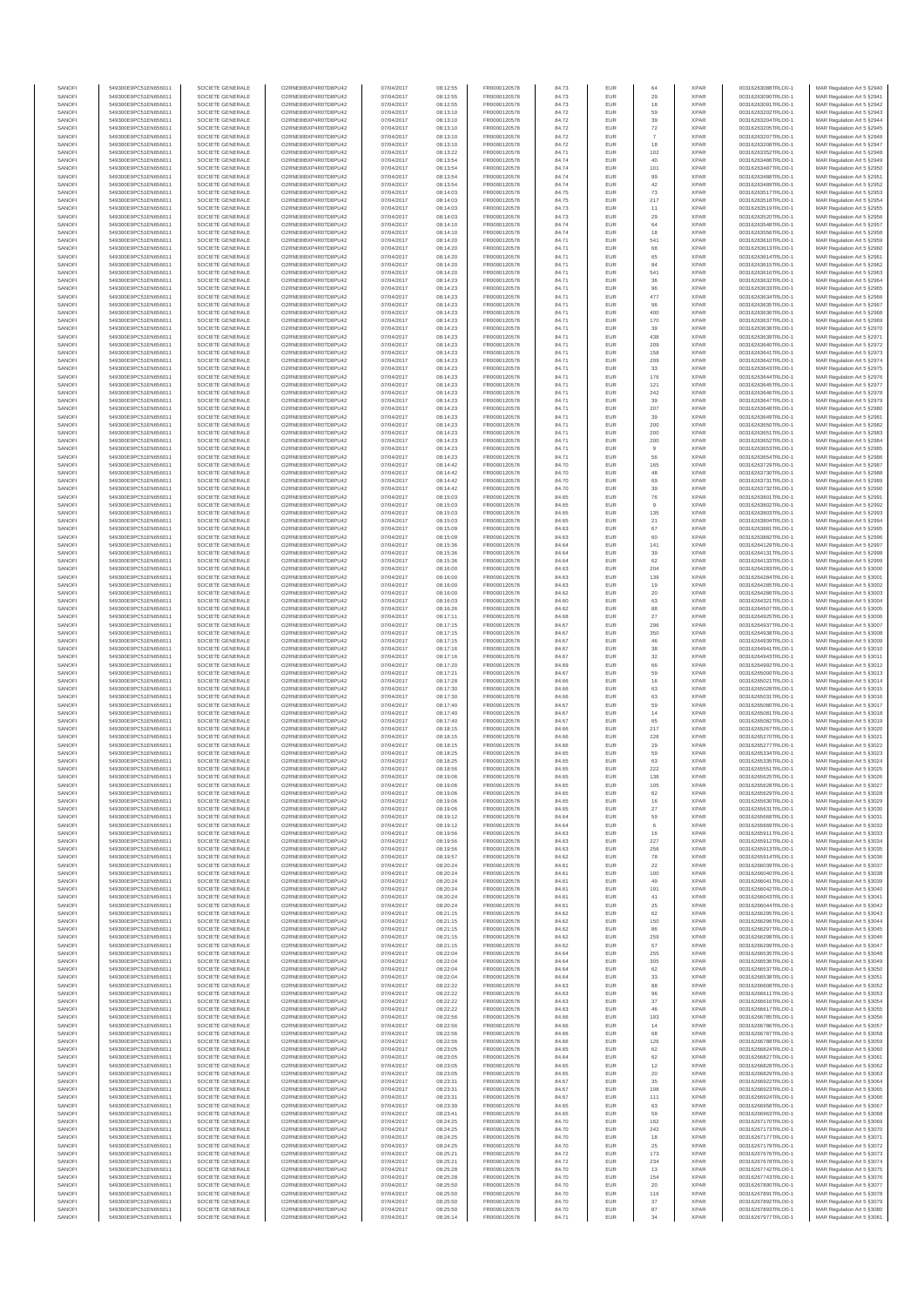| SANOF            | 549300E9PC51EN656011                         | SOCIETE GENERALE                     | O2RNE8IBXP4R0TD8PU42                          | 07/04/2017               | 08:12:55             | FR0000120578                 | 84.73          | EUR        |                          | <b>XPAR</b>                | 00316263088TRLO0-1                       | MAR Regulation Art 5 §2940                                |
|------------------|----------------------------------------------|--------------------------------------|-----------------------------------------------|--------------------------|----------------------|------------------------------|----------------|------------|--------------------------|----------------------------|------------------------------------------|-----------------------------------------------------------|
| SANOFI<br>SANOFI | 549300E9PC51EN656011<br>549300E9PC51EN656011 | SOCIETE GENERALE<br>SOCIETE GENERALE | O2RNE8IBXP4R0TD8PU42<br>O2RNE8IBXP4R0TD8PU42  | 07/04/2017<br>07/04/2017 | 08:12:55<br>08:12:55 | FR0000120578<br>FR0000120578 | 84.73<br>84.73 | EUR<br>EUR | 29<br>18                 | <b>XPAR</b><br><b>XPAR</b> | 00316263090TRLO0-1<br>00316263091TRLO0-1 | MAR Regulation Art 5 §2941<br>MAR Regulation Art 5 §2942  |
| SANOFI           | 549300E9PC51EN656011                         | SOCIETE GENERALE                     | O2RNE8IBXP4R0TD8PU42                          | 07/04/2017               | 08:13:10             | FR0000120578                 | 84.72          | EUR        | 59                       | <b>XPAR</b>                | 00316263202TRLO0-1                       | MAR Regulation Art 5 §2943                                |
| SANOFI<br>SANOFI | 549300E9PC51EN656011<br>549300E9PC51EN656011 | SOCIETE GENERALE<br>SOCIETE GENERALE | O2RNE8IBXP4R0TD8PU42<br>O2RNE8IBXP4R0TD8PU42  | 07/04/2017<br>07/04/2017 | 08:13:10<br>08:13:10 | FR0000120578<br>FR0000120578 | 84.72<br>84.72 | EUR<br>EUR | 39<br>$\scriptstyle{72}$ | <b>XPAR</b><br><b>XPAR</b> | 00316263204TRLO0-1<br>00316263205TRLO0-1 | MAR Regulation Art 5 §2944<br>MAR Regulation Art 5 §2945  |
| SANOFI           | 549300E9PC51EN656011                         | SOCIETE GENERALE                     | O2RNE8IBXP4R0TD8PU42                          | 07/04/2017               | 08:13:10             | FR0000120578                 | 84.72          | EUR        | $\scriptstyle{7}$        | <b>XPAR</b>                | 00316263207TRLO0-1                       | MAR Regulation Art 5 §2946                                |
| SANOFI           | 549300E9PC51EN656011                         | SOCIETE GENERALE                     | O2RNE8IBXP4R0TD8PU42                          | 07/04/2017               | 08:13:10             | FR0000120578                 | 84.72          | EUR        | 18                       | <b>XPAR</b>                | 00316263208TRLO0-1                       | MAR Regulation Art 5 §2947                                |
| SANOFI<br>SANOFI | 549300E9PC51EN656011<br>549300E9PC51EN656011 | SOCIETE GENERALE<br>SOCIETE GENERALE | O2RNE8IBXP4R0TD8PU42<br>O2RNE8IBXP4R0TD8PU42  | 07/04/2017<br>07/04/2017 | 08:13:22<br>08:13:54 | FR0000120578<br>FR0000120578 | 84.71<br>84.74 | EUR<br>EUR | 102<br>40                | <b>XPAR</b><br><b>XPAR</b> | 00316263352TRLO0-1<br>00316263486TRLO0-1 | MAR Regulation Art 5 §2948<br>MAR Regulation Art 5 §2949  |
| SANOFI           | 549300E9PC51EN656011                         | SOCIETE GENERALE                     | O2RNE8IBXP4R0TD8PU42                          | 07/04/2017               | 08:13:54             | FR0000120578                 | 84.74          | EUR        | 101                      | <b>XPAR</b>                | 00316263487TRLO0-1                       | MAR Regulation Art 5 §2950                                |
| SANOFI           | 549300E9PC51EN656011                         | SOCIETE GENERALE                     | O2RNE8IBXP4R0TD8PU42<br>O2RNE8IBXP4R0TD8PU42  | 07/04/2017               | 08:13:54             | FR0000120578                 | 84.74          | EUR        | 99                       | <b>XPAR</b>                | 00316263488TRLO0-1                       | MAR Regulation Art 5 §2951<br>MAR Regulation Art 5 §2952  |
| SANOFI<br>SANOFI | 549300E9PC51EN656011<br>549300E9PC51EN656011 | SOCIETE GENERALE<br>SOCIETE GENERALE | O2RNE8IBXP4R0TD8PU42                          | 07/04/2017<br>07/04/2017 | 08:13:54<br>08:14:03 | FR0000120578<br>FR0000120578 | 84.74<br>84.75 | EUR<br>EUR | 42<br>$\mathbf{73}$      | <b>XPAR</b><br><b>XPAR</b> | 00316263489TRLO0-1<br>00316263517TRLO0-1 | MAR Regulation Art 5 §2953                                |
| SANOFI           | 549300E9PC51EN656011                         | SOCIETE GENERALE                     | O2RNE8IBXP4R0TD8PU42                          | 07/04/2017               | 08:14:03             | FR0000120578                 | 84.75          | EUR        | 217                      | <b>XPAR</b>                | 00316263518TRLO0-1                       | MAR Regulation Art 5 §2954                                |
| SANOFI<br>SANOFI | 549300E9PC51EN656011<br>549300E9PC51EN656011 | SOCIETE GENERALE<br>SOCIETE GENERALE | O2RNE8IBXP4R0TD8PU42<br>O2RNE8IBXP4R0TD8PU42  | 07/04/2017<br>07/04/2017 | 08:14:03<br>08:14:03 | FR0000120578<br>FR0000120578 | 84.73<br>84.73 | EUR<br>EUR | 11<br>29                 | <b>XPAR</b><br><b>XPAR</b> | 00316263519TRLO0-1<br>00316263520TRLO0-1 | MAR Regulation Art 5 §2955<br>MAR Regulation Art 5 §2956  |
| SANOFI           | 549300E9PC51EN656011                         | SOCIETE GENERALE                     | O2RNE8IBXP4R0TD8PU42                          | 07/04/2017               | 08:14:10             | FR0000120578                 | 84.74          | EUR        | 64                       | <b>XPAR</b>                | 00316263548TRLO0-1                       | MAR Regulation Art 5 §2957                                |
| SANOFI           | 549300E9PC51EN656011                         | SOCIETE GENERALE                     | O2RNE8IBXP4R0TD8PU42                          | 07/04/2017               | 08:14:10             | FR0000120578                 | 84.74          | EUR        | 18                       | <b>XPAR</b>                | 00316263556TRLO0-1                       | MAR Regulation Art 5 §2958                                |
| SANOFI<br>SANOFI | 549300E9PC51EN656011<br>549300E9PC51EN656011 | SOCIETE GENERALE<br>SOCIETE GENERALE | O2RNE8IBXP4R0TD8PU42<br>O2RNE8IBXP4R0TD8PU42  | 07/04/2017<br>07/04/2017 | 08:14:20<br>08:14:20 | FR0000120578<br>FR0000120578 | 84.71<br>84.71 | EUR<br>EUR | 541<br>68                | <b>XPAR</b><br><b>XPAR</b> | 00316263610TRLO0-1<br>00316263613TRLO0-1 | MAR Regulation Art 5 §2959<br>MAR Regulation Art 5 §2960  |
| SANOFI           | 549300E9PC51EN656011                         | SOCIETE GENERALE                     | O2RNE8IBXP4R0TD8PU42                          | 07/04/2017               | 08:14:20             | FR0000120578                 | 84.71          | EUR        | 65                       | <b>XPAR</b>                | 00316263614TRLO0-1                       | MAR Regulation Art 5 §2961                                |
| SANOFI           | 549300E9PC51EN656011                         | SOCIETE GENERALE                     | O2RNE8IBXP4R0TD8PU42                          | 07/04/2017               | 08:14:20             | FR0000120578                 | 84.71          | EUR        | 84                       | <b>XPAR</b>                | 00316263615TRLO0-1                       | MAR Regulation Art 5 §2962                                |
| SANOFI<br>SANOFI | 549300E9PC51EN656011<br>549300E9PC51EN656011 | SOCIETE GENERALE<br>SOCIETE GENERALE | O2RNE8IBXP4R0TD8PU42<br>O2RNE8IBXP4R0TD8PU42  | 07/04/2017<br>07/04/2017 | 08:14:20<br>08:14:23 | FR0000120578<br>FR0000120578 | 84.71<br>84.71 | EUR<br>EUR | 541<br>36                | <b>XPAR</b><br><b>XPAR</b> | 00316263616TRLO0-1<br>00316263632TRLO0-1 | MAR Regulation Art 5 §2963<br>MAR Regulation Art 5 §2964  |
| SANOFI           | 549300E9PC51EN656011                         | SOCIETE GENERALE                     | O2RNE8IBXP4R0TD8PU42                          | 07/04/2017               | 08:14:23             | FR0000120578                 | 84.71          | EUR        | 96                       | <b>XPAR</b>                | 00316263633TRLO0-1                       | MAR Regulation Art 5 §2965                                |
| SANOFI<br>SANOFI | 549300E9PC51EN656011<br>549300E9PC51EN656011 | SOCIETE GENERALE                     | O2RNE8IBXP4R0TD8PU42<br>O2RNE8IBXP4R0TD8PU42  | 07/04/2017               | 08:14:23             | FR0000120578                 | 84.71          | EUR        | 477                      | <b>XPAR</b><br><b>XPAR</b> | 00316263634TRLO0-1                       | MAR Regulation Art 5 \$2966                               |
| SANOFI           | 549300E9PC51EN656011                         | SOCIETE GENERALE<br>SOCIETE GENERALE | O2RNE8IBXP4R0TD8PU42                          | 07/04/2017<br>07/04/2017 | 08:14:23<br>08:14:23 | FR0000120578<br>FR0000120578 | 84.71<br>84.71 | EUR<br>EUR | 96<br>400                | <b>XPAR</b>                | 00316263635TRLO0-1<br>00316263636TRLO0-1 | MAR Regulation Art 5 §2967<br>MAR Regulation Art 5 §2968  |
| SANOFI           | 549300E9PC51EN656011                         | SOCIETE GENERALE                     | O2RNE8IBXP4R0TD8PU42                          | 07/04/2017               | 08:14:23             | FR0000120578                 | 84.71          | EUR        | 170                      | <b>XPAR</b>                | 00316263637TRLO0-1                       | MAR Regulation Art 5 §2969                                |
| SANOFI<br>SANOFI | 549300E9PC51EN656011<br>549300E9PC51EN656011 | SOCIETE GENERALE<br>SOCIETE GENERALE | O2RNE8IBXP4R0TD8PU42<br>O2RNE8IBXP4R0TD8PU42  | 07/04/2017<br>07/04/2017 | 08:14:23<br>08:14:23 | FR0000120578<br>FR0000120578 | 84.71<br>84.71 | EUR<br>EUR | 39<br>438                | <b>XPAR</b><br><b>XPAR</b> | 00316263638TRLO0-1<br>00316263639TRLO0-1 | MAR Regulation Art 5 §2970<br>MAR Regulation Art 5 §2971  |
| SANOFI           | 549300E9PC51EN656011                         | SOCIETE GENERALE                     | O2RNE8IBXP4R0TD8PU42                          | 07/04/2017               | 08:14:23             | FR0000120578                 | 84.71          | EUR        | 209                      | <b>XPAR</b>                | 00316263640TRLO0-1                       | MAR Regulation Art 5 §2972                                |
| SANOFI           | 549300E9PC51EN656011                         | SOCIETE GENERALE                     | O2RNE8IBXP4R0TD8PU42                          | 07/04/2017               | 08:14:23             | FR0000120578                 | 84.71          | EUR        | 158                      | <b>XPAR</b>                | 00316263641TRLO0-1                       | MAR Regulation Art 5 §2973                                |
| SANOFI<br>SANOFI | 549300E9PC51EN656011<br>549300E9PC51EN656011 | SOCIETE GENERALE<br>SOCIETE GENERALE | O2RNE8IBXP4R0TD8PU42<br>O2RNE8IBXP4R0TD8PU42  | 07/04/2017<br>07/04/2017 | 08:14:23<br>08:14:23 | FR0000120578<br>FR0000120578 | 84.71<br>84.71 | EUR<br>EUR | 209<br>33                | <b>XPAR</b><br><b>XPAR</b> | 00316263642TRLO0-1<br>00316263643TRLO0-1 | MAR Regulation Art 5 §2974<br>MAR Regulation Art 5 §2975  |
| SANOFI           | 549300E9PC51EN656011                         | SOCIETE GENERALE                     | O2RNE8IBXP4R0TD8PU42                          | 07/04/2017               | 08:14:23             | FR0000120578                 | 84.71          | EUR        | 176                      | <b>XPAR</b>                | 00316263644TRLO0-1                       | MAR Regulation Art 5 §2976                                |
| SANOFI<br>SANOFI | 549300E9PC51EN656011<br>549300E9PC51EN656011 | SOCIETE GENERALE<br>SOCIETE GENERALE | O2RNE8IBXP4R0TD8PU42<br>O2RNE8IBXP4R0TD8PU42  | 07/04/2017<br>07/04/2017 | 08:14:23<br>08:14:23 | FR0000120578<br>FR0000120578 | 84.71<br>84.71 | EUR<br>EUR | 121<br>242               | <b>XPAR</b><br><b>XPAR</b> | 00316263645TRLO0-1<br>00316263646TRLO0-1 | MAR Regulation Art 5 §2977<br>MAR Regulation Art 5 §2978  |
| SANOFI           | 549300E9PC51EN656011                         | SOCIETE GENERALE                     | O2RNE8IBXP4R0TD8PU42                          | 07/04/2017               | 08:14:23             | FR0000120578                 | 84.71          | EUR        | 39                       | <b>XPAR</b>                | 00316263647TRLO0-1                       | MAR Regulation Art 5 §2979                                |
| SANOFI           | 549300E9PC51EN656011                         | SOCIETE GENERALE                     | O2RNE8IBXP4R0TD8PU42                          | 07/04/2017               | 08:14:23             | FR0000120578                 | 84.71          | EUR        | 207                      | <b>XPAR</b>                | 00316263648TRLO0-1                       | MAR Regulation Art 5 §2980                                |
| SANOFI<br>SANOFI | 549300E9PC51EN656011<br>549300E9PC51EN656011 | SOCIETE GENERALE<br>SOCIETE GENERALE | O2RNE8IBXP4R0TD8PU42<br>O2RNE8IBXP4R0TD8PU42  | 07/04/2017<br>07/04/2017 | 08:14:23<br>08:14:23 | FR0000120578<br>FR0000120578 | 84.71<br>84.71 | EUR<br>EUR | 39<br>200                | <b>XPAR</b><br><b>XPAR</b> | 00316263649TRLO0-1<br>00316263650TRLO0-1 | MAR Regulation Art 5 §2981<br>MAR Regulation Art 5 §2982  |
| SANOFI           | 549300E9PC51EN656011                         | SOCIETE GENERALE                     | O2RNE8IBXP4R0TD8PU42                          | 07/04/2017               | 08:14:23             | FR0000120578                 | 84.71          | EUR        | 200                      | <b>XPAR</b>                | 00316263651TRLO0-1                       | MAR Regulation Art 5 §2983                                |
| SANOFI<br>SANOFI | 549300E9PC51EN656011<br>549300E9PC51EN656011 | SOCIETE GENERALE<br>SOCIETE GENERALE | O2RNE8IBXP4R0TD8PU42<br>O2RNE8IBXP4R0TD8PU42  | 07/04/2017<br>07/04/2017 | 08:14:23<br>08:14:23 | FR0000120578<br>FR0000120578 | 84.71<br>84.71 | EUR<br>EUR | 200                      | <b>XPAR</b><br><b>XPAR</b> | 00316263652TRLO0-1<br>00316263653TRLO0-1 | MAR Regulation Art 5 §2984<br>MAR Regulation Art 5 §2985  |
| SANOFI           | 549300E9PC51EN656011                         | SOCIETE GENERALE                     | O2RNE8IBXP4R0TD8PU42                          | 07/04/2017               | 08:14:23             | FR0000120578                 | 84.71          | EUR        | 56                       | <b>XPAR</b>                | 00316263654TRLO0-1                       | MAR Regulation Art 5 §2986                                |
| SANOFI           | 549300E9PC51EN656011<br>549300E9PC51EN656011 | SOCIETE GENERALE                     | O2RNE8IBXP4R0TD8PU42                          | 07/04/2017               | 08:14:42             | FR0000120578                 | 84.70          | EUR        | 165                      | <b>XPAR</b>                | 00316263729TRLO0-1                       | MAR Regulation Art 5 §2987                                |
| SANOFI<br>SANOFI | 549300E9PC51EN656011                         | SOCIETE GENERALE<br>SOCIETE GENERALE | O2RNE8IBXP4R0TD8PU42<br>O2RNE8IBXP4R0TD8PU42  | 07/04/2017<br>07/04/2017 | 08:14:42<br>08:14:42 | FR0000120578<br>FR0000120578 | 84.70<br>84.70 | EUR<br>EUR | 48<br>69                 | <b>XPAR</b><br><b>XPAR</b> | 00316263730TRLO0-1<br>00316263731TRLO0-1 | MAR Regulation Art 5 §2988<br>MAR Regulation Art 5 §2989  |
| SANOFI           | 549300E9PC51EN656011                         | SOCIETE GENERALE                     | O2RNE8IBXP4R0TD8PU42                          | 07/04/2017               | 08:14:42             | FR0000120578                 | 84.70          | EUR        | 39                       | <b>XPAR</b>                | 00316263732TRLO0-1                       | MAR Regulation Art 5 §2990                                |
| SANOFI           | 549300E9PC51EN656011                         | SOCIETE GENERALE                     | O2RNE8IBXP4R0TD8PU42                          | 07/04/2017               | 08:15:03             | FR0000120578                 | 84.65          | EUR        | ${\bf 76}$               | <b>XPAR</b><br><b>XPAR</b> | 00316263801TRLO0-1<br>00316263802TRLO0-1 | MAR Regulation Art 5 §2991                                |
| SANOFI<br>SANOFI | 549300E9PC51EN656011<br>549300E9PC51EN656011 | SOCIETE GENERALE<br>SOCIETE GENERALE | O2RNE8IBXP4R0TD8PU42<br>O2RNE8IBXP4R0TD8PU42  | 07/04/2017<br>07/04/2017 | 08:15:03<br>08:15:03 | FR0000120578<br>FR0000120578 | 84.65<br>84.65 | EUR<br>EUR | 135                      | <b>XPAR</b>                | 00316263803TRLO0-1                       | MAR Regulation Art 5 §2992<br>MAR Regulation Art 5 §2993  |
| SANOFI           | 549300E9PC51EN656011                         | SOCIETE GENERALE                     | O2RNE8IBXP4R0TD8PU42                          | 07/04/2017               | 08:15:03             | FR0000120578                 | 84.65          | EUR        | 21                       | <b>XPAR</b>                | 00316263804TRLO0-1                       | MAR Regulation Art 5 §2994                                |
| SANOFI<br>SANOFI | 549300E9PC51EN656011<br>549300E9PC51EN656011 | SOCIETE GENERALE<br>SOCIETE GENERALE | O2RNE8IBXP4R0TD8PU42<br>O2RNE8IBXP4R0TD8PU42  | 07/04/2017<br>07/04/2017 | 08:15:09<br>08:15:09 | FR0000120578<br>FR0000120578 | 84.63<br>84.63 | EUR<br>EUR | 67<br>60                 | <b>XPAR</b><br><b>XPAR</b> | 00316263881TRLO0-1<br>00316263882TRLO0-1 | MAR Regulation Art 5 §2995<br>MAR Regulation Art 5 §2996  |
| SANOFI           | 549300E9PC51EN656011                         | SOCIETE GENERALE                     | O2RNE8IBXP4R0TD8PU42                          | 07/04/2017               | 08:15:36             | FR0000120578                 | 84.64          | EUR        | 141                      | <b>XPAR</b>                | 00316264129TRLO0-1                       | MAR Regulation Art 5 §2997                                |
| SANOFI<br>SANOFI | 549300E9PC51EN656011<br>549300E9PC51EN656011 | SOCIETE GENERALE<br>SOCIETE GENERALE | O2RNE8IBXP4R0TD8PU42<br>O2RNE8IBXP4R0TD8PU42  | 07/04/2017<br>07/04/2017 | 08:15:36<br>08:15:36 | FR0000120578<br>FR0000120578 | 84.64<br>84.64 | EUR<br>EUR | 39<br>62                 | <b>XPAR</b><br><b>XPAR</b> | 00316264131TRLO0-1<br>00316264133TRLO0-1 | MAR Regulation Art 5 §2998                                |
| SANOFI           | 549300E9PC51EN656011                         | SOCIETE GENERALE                     | O2RNE8IBXP4R0TD8PU42                          | 07/04/2017               | 08:16:00             | FR0000120578                 | 84.63          | EUR        | 204                      | <b>XPAR</b>                | 00316264283TRLO0-1                       | MAR Regulation Art 5 §2999<br>MAR Regulation Art 5 §3000  |
| SANOFI           | 549300E9PC51EN656011                         | SOCIETE GENERALE                     | O2RNE8IBXP4R0TD8PU42                          | 07/04/2017               | 08:16:00             | FR0000120578                 | 84.63          | EUR        | 139                      | <b>XPAR</b>                | 00316264284TRLO0-1                       | MAR Regulation Art 5 §3001                                |
| SANOFI<br>SANOFI | 549300E9PC51EN656011<br>549300E9PC51EN656011 | SOCIETE GENERALE<br>SOCIETE GENERALE | O2RNE8IBXP4R0TD8PU42<br>O2RNE8IBXP4R0TD8PU42  | 07/04/2017<br>07/04/2017 | 08:16:00<br>08:16:00 | FR0000120578<br>FR0000120578 | 84.63<br>84.62 | EUR<br>EUR | 19<br>20                 | <b>XPAR</b><br><b>XPAR</b> | 00316264285TRLO0-1<br>00316264286TRLO0-1 | MAR Regulation Art 5 §3002<br>MAR Regulation Art 5 §3003  |
| SANOFI           | 549300E9PC51EN656011                         | SOCIETE GENERALE                     | O2RNE8IBXP4R0TD8PU42                          | 07/04/2017               | 08:16:03             | FR0000120578                 | 84.60          | EUR        | 63                       | <b>XPAR</b>                | 00316264321TRLO0-1                       | MAR Regulation Art 5 §3004                                |
| SANOFI<br>SANOFI | 549300E9PC51EN656011<br>549300E9PC51EN656011 | SOCIETE GENERALE<br>SOCIETE GENERALE | O2RNE8IBXP4R0TD8PU42<br>O2RNE8IBXP4R0TD8PU42  | 07/04/2017<br>07/04/2017 | 08:16:26<br>08:17:11 | FR0000120578<br>FR0000120578 | 84.62<br>84.68 | EUR<br>EUR | 88                       | <b>XPAR</b><br><b>XPAR</b> | 00316264507TRLO0-1<br>00316264925TRLO0-1 | MAR Regulation Art 5 §3005                                |
| SANOFI           | 549300E9PC51EN656011                         | SOCIETE GENERALE                     | O2RNE8IBXP4R0TD8PU42                          | 07/04/2017               | 08:17:15             | FR0000120578                 | 84.67          | EUR        | 27<br>296                | <b>XPAR</b>                | 00316264937TRLO0-1                       | MAR Regulation Art 5 §3006<br>MAR Regulation Art 5 §3007  |
| SANOFI           | 549300E9PC51EN656011                         | SOCIETE GENERALE                     | O2RNE8IBXP4R0TD8PU42                          | 07/04/2017               | 08:17:15             | FR0000120578                 | 84.67          | EUR        | 350                      | <b>XPAR</b>                | 00316264938TRLO0-1                       | MAR Regulation Art 5 §3008                                |
| SANOFI<br>SANOFI | 549300E9PC51EN656011<br>549300E9PC51EN656011 | SOCIETE GENERALE<br>SOCIETE GENERALE | O2RNE8IBXP4R0TD8PU42<br>O2RNE8IBXP4R0TD8PU42  | 07/04/2017<br>07/04/2017 | 08:17:15<br>08:17:16 | FR0000120578<br>FR0000120578 | 84.67<br>84.67 | EUR<br>EUR | 46<br>38                 | <b>XPAR</b><br><b>XPAR</b> | 00316264939TRLO0-1<br>00316264941TRLO0-1 | MAR Regulation Art 5 §3009<br>MAR Regulation Art 5 §3010  |
| SANOFI           | 549300E9PC51EN656011                         | SOCIETE GENERALE                     | O2RNE8IBXP4R0TD8PU42                          | 07/04/2017               | 08:17:16             | FR0000120578                 | 84.67          | EUR        | 32                       | <b>XPAR</b>                | 00316264943TRLO0-1                       | MAR Regulation Art 5 §3011                                |
| SANOFI<br>SANOFI | 549300E9PC51EN656011<br>549300E9PC51EN656011 | SOCIETE GENERALE<br>SOCIETE GENERALE | O2RNE8IBXP4R0TD8PU42<br>O2RNE8IBXP4R0TD8PU42  | 07/04/2017<br>07/04/2017 | 08:17:20<br>08:17:21 | FR0000120578<br>FR0000120578 | 84.69<br>84.67 | EUR<br>EUR | 66<br>59                 | <b>XPAR</b><br><b>XPAR</b> | 00316264992TRLO0-1<br>00316265000TRLO0-1 | MAR Regulation Art 5 §3012<br>MAR Regulation Art 5 §3013  |
| SANOFI           | 549300E9PC51EN656011                         | SOCIETE GENERALE                     | O2RNE8IBXP4R0TD8PU42                          | 07/04/2017               | 08:17:28             | FR0000120578                 | 84.66          | EUR        | $16$                     | <b>XPAR</b>                | 00316265021TRLO0-1                       | MAR Regulation Art 5 §3014                                |
| SANOFI           | 549300E9PC51EN656011                         | SOCIETE GENERALE                     | O2RNE8IBXP4R0TD8PU42                          | 07/04/2017               | 08:17:30             | FR0000120578                 | 84.66          | EUR        | 63                       | <b>XPAR</b>                | 00316265028TRLO0-1                       | MAR Regulation Art 5 \$3015                               |
| SANOFI<br>SANOFI | 549300E9PC51EN656011<br>549300E9PC51EN656011 | SOCIETE GENERALE<br>SOCIETE GENERALE | O2RNE8IBXP4R0TD8PU42<br>O2RNE8IBXP4R0TD8PU42  | 07/04/2017<br>07/04/2017 | 08:17:30<br>08:17:40 | FR0000120578<br>FR0000120578 | 84.66<br>84.67 | EUR<br>EUR | 63<br>59                 | <b>XPAR</b><br><b>XPAR</b> | 00316265031TRLO0-1<br>00316265080TRLO0-1 | MAR Regulation Art 5 §3016<br>MAR Regulation Art 5 §3017  |
| SANOFI           | 549300E9PC51EN656011                         | SOCIETE GENERALE                     | O2RNE8IBXP4R0TD8PU42                          | 07/04/2017               | 08:17:40             | FR0000120578                 | 84.67          | EUR        | $14$                     | <b>XPAR</b>                | 00316265081TRLO0-1                       | MAR Regulation Art 5 §3018                                |
| SANOFI<br>SANOFI | 549300E9PC51EN656011<br>549300E9PC51EN656011 | SOCIETE GENERALE<br>SOCIETE GENERALE | O2RNE8IBXP4R0TD8PU42<br>O2RNE8IBXP4R0TD8PU42  | 07/04/2017<br>07/04/2017 | 08:17:40<br>08:18:15 | FR0000120578<br>FR0000120578 | 84.67<br>84.66 | EUR<br>EUR | 65<br>217                | <b>XPAR</b><br><b>XPAR</b> | 00316265082TRLO0-1<br>00316265267TRLO0-1 | MAR Regulation Art 5 §3019<br>MAR Regulation Art 5 §3020  |
| SANOFI           | 549300E9PC51EN656011                         | SOCIETE GENERALE                     | O2RNE8IBXP4R0TD8PU42                          | 07/04/2017               | 08:18:15             | FR0000120578                 | 84.66          | EUR        | 228                      | <b>XPAR</b>                | 00316265270TRLO0-1                       | MAR Regulation Art 5 §3021                                |
| SANOFI<br>SANOFI | 549300E9PC51EN656011<br>549300E9PC51EN656011 | SOCIETE GENERALE<br>SOCIETE GENERALE | O2RNE8IBXP4R0TD8PU42<br>O2RNE8IBXP4R0TD8PU42  | 07/04/2017<br>07/04/2017 | 08:18:15<br>08:18:25 | FR0000120578<br>FR0000120578 | 84.66<br>84.65 | EUR<br>EUR | 29<br>59                 | <b>XPAR</b><br><b>XPAR</b> | 00316265277TRLO0-1<br>00316265334TRLO0-1 | MAR Regulation Art 5 \$3022<br>MAR Regulation Art 5 §3023 |
| SANOFI           | 549300E9PC51EN656011                         | SOCIETE GENERALE                     | O2RNE8IBXP4R0TD8PU42                          | 07/04/2017               | 08:18:25             | FR0000120578                 | 84.65          | EUR        | 63                       | <b>XPAR</b>                | 00316265335TRLO0-1                       | MAR Regulation Art 5 §3024                                |
| SANOFI           | 549300E9PC51EN656011                         | SOCIETE GENERALE                     | O2RNE8IBXP4R0TD8PU42                          | 07/04/2017               | 08:18:56             | FR0000120578                 | 84.65          | EUR        | 222                      | <b>XPAR</b>                | 00316265551TRLO0-1                       | MAR Regulation Art 5 §3025                                |
| SANOFI<br>SANOFI | 549300E9PC51EN656011<br>549300E9PC51EN656011 | SOCIETE GENERALE<br>SOCIETE GENERALE | O2RNE8IBXP4R0TD8PU42<br>O2RNE8IBXP4R0TD8PLI42 | 07/04/2017<br>07/04/2017 | 08:19:06<br>08:19:06 | FR0000120578<br>FR0000120578 | 84.65<br>84.65 | EUR<br>EUR | 138<br>105               | <b>XPAR</b><br><b>XPAR</b> | 00316265625TRLO0-1<br>00316265628TRLO0-1 | MAR Regulation Art 5 §3026<br>MAR Regulation Art 5 §3027  |
| SANOFI           | 549300E9PC51EN656011                         | SOCIETE GENERALE                     | O2RNE8IBXP4R0TD8PU42                          | 07/04/2017               | 08:19:06             | FR0000120578                 | 84.65          | EUR        | 62                       | <b>XPAR</b>                | 00316265629TRLO0-1                       | MAR Regulation Art 5 §3028                                |
| SANOFI<br>SANOFI | 549300E9PC51EN656011<br>549300E9PC51EN656011 | SOCIETE GENERALE<br>SOCIETE GENERALE | O2RNE8IBXP4R0TD8PU42<br>O2RNE8IBXP4R0TD8PU42  | 07/04/2017<br>07/04/2017 | 08:19:06<br>08:19:06 | FR0000120578<br>FR0000120578 | 84.65<br>84.65 | EUR<br>EUR | 16<br>27                 | <b>XPAR</b><br><b>XPAR</b> | 00316265630TRLO0-1<br>00316265631TRLO0-1 | MAR Regulation Art 5 §3029<br>MAR Regulation Art 5 §3030  |
| SANOFI           | 549300E9PC51EN656011                         | SOCIETE GENERALE                     | O2RNE8IBXP4R0TD8PU42                          | 07/04/2017               | 08:19:12             | FR0000120578                 | 84.64          | EUR        | 59                       | <b>XPAR</b>                | 00316265668TRLO0-1                       | MAR Regulation Art 5 §3031                                |
| SANOFI           | 549300E9PC51EN656011                         | SOCIETE GENERALE                     | O2RNE8IBXP4R0TD8PU42                          | 07/04/2017               | 08:19:12             | FR0000120578<br>FR0000120578 | 84.64          | EUR        | 6                        | <b>XPAR</b>                | 00316265669TRLO0-1<br>00316265911TRLO0-1 | MAR Regulation Art 5 §3032                                |
| SANOFI<br>SANOFI | 549300E9PC51EN656011<br>549300E9PC51EN656011 | SOCIETE GENERALE<br>SOCIETE GENERALE | O2RNE8IBXP4R0TD8PU42<br>O2RNE8IBXP4R0TD8PU42  | 07/04/2017<br>07/04/2017 | 08:19:56<br>08:19:56 | FR0000120578                 | 84.63<br>84.63 | EUR<br>EUR | 16<br>227                | <b>XPAR</b><br><b>XPAR</b> | 00316265912TRLO0-1                       | MAR Regulation Art 5 §3033<br>MAR Regulation Art 5 §3034  |
| SANOFI           | 549300E9PC51EN656011                         | SOCIETE GENERALE                     | O2RNE8IBXP4R0TD8PU42                          | 07/04/2017               | 08:19:56             | FR0000120578                 | 84.63          | EUR        | 256                      | <b>XPAR</b>                | 00316265913TRLO0-1                       | MAR Regulation Art 5 §3035                                |
| SANOFI<br>SANOFI | 549300E9PC51EN656011<br>549300E9PC51EN656011 | SOCIETE GENERALE<br>SOCIETE GENERALE | O2RNE8IBXP4R0TD8PU42<br>O2RNE8IBXP4R0TD8PU42  | 07/04/2017<br>07/04/2017 | 08:19:57<br>08:20:24 | FR0000120578<br>FR0000120578 | 84.62<br>84.61 | EUR<br>EUR | 78<br>$22\,$             | <b>XPAR</b><br><b>XPAR</b> | 00316265914TRLO0-1<br>00316266039TRLO0-1 | MAR Regulation Art 5 §3036<br>MAR Regulation Art 5 §3037  |
| SANOFI           | 549300E9PC51EN656011                         | SOCIETE GENERALE                     | O2RNE8IBXP4R0TD8PU42                          | 07/04/2017               | 08:20:24             | FR0000120578                 | 84.61          | EUR        | 100                      | <b>XPAR</b>                | 00316266040TRLO0-1                       | MAR Regulation Art 5 §3038                                |
| SANOFI           | 549300E9PC51EN656011                         | SOCIETE GENERALE                     | O2RNE8IBXP4R0TD8PU42                          | 07/04/2017               | 08:20:24             | FR0000120578                 | 84.61          | <b>EUR</b> | 49                       | <b>XPAR</b>                | 00316266041TRLO0-1                       | MAR Regulation Art 5 §3039                                |
| SANOFI<br>SANOFI | 549300E9PC51EN656011<br>549300E9PC51EN656011 | SOCIETE GENERALE<br>SOCIETE GENERALE | O2RNE8IBXP4R0TD8PU42<br>O2RNE8IBXP4R0TD8PU42  | 07/04/2017<br>07/04/2017 | 08:20:24<br>08:20:24 | FR0000120578<br>FR0000120578 | 84.61<br>84.61 | EUR<br>EUR | 191<br>41                | <b>XPAR</b><br><b>XPAR</b> | 00316266042TRLO0-1<br>00316266043TRLO0-1 | MAR Regulation Art 5 §3040<br>MAR Regulation Art 5 §3041  |
| SANOFI           | 549300E9PC51EN656011                         | SOCIETE GENERALE                     | O2RNE8IBXP4R0TD8PU42                          | 07/04/2017               | 08:20:24             | FR0000120578                 | 84.61          | EUR        | 25                       | <b>XPAR</b>                | 00316266044TRLO0-1                       | MAR Regulation Art 5 §3042                                |
| SANOFI<br>SANOFI | 549300E9PC51EN656011<br>549300E9PC51EN656011 | SOCIETE GENERALE<br>SOCIETE GENERALE | O2RNE8IBXP4R0TD8PU42<br>O2RNE8IBXP4R0TD8PU42  | 07/04/2017<br>07/04/2017 | 08:21:15<br>08:21:15 | FR0000120578<br>FR0000120578 | 84.62<br>84.62 | EUR<br>EUR | 62<br>150                | <b>XPAR</b><br><b>XPAR</b> | 00316266295TRLO0-1<br>00316266296TRLO0-1 | MAR Regulation Art 5 §3043<br>MAR Regulation Art 5 §3044  |
| SANOFI           | 549300E9PC51EN656011                         | SOCIETE GENERALE                     | O2RNE8IBXP4R0TD8PU42                          | 07/04/2017               | 08:21:15             | FR0000120578                 | 84.62          | EUR        | 86                       | <b>XPAR</b>                | 00316266297TRLO0-1                       | MAR Regulation Art 5 §3045                                |
| SANOFI<br>SANOFI | 549300E9PC51EN656011<br>549300E9PC51EN656011 | SOCIETE GENERALE<br>SOCIETE GENERALE | O2RNE8IBXP4R0TD8PU42<br>O2RNE8IBXP4R0TD8PU42  | 07/04/2017<br>07/04/2017 | 08:21:15<br>08:21:15 | FR0000120578<br>FR0000120578 | 84.62<br>84.62 | EUR<br>EUR | 259<br>57                | <b>XPAR</b><br><b>XPAR</b> | 00316266298TRLO0-1<br>00316266299TRLO0-1 | MAR Regulation Art 5 §3046<br>MAR Regulation Art 5 §3047  |
| SANOFI           | 549300E9PC51EN656011                         | SOCIETE GENERALE                     | O2RNE8IBXP4R0TD8PU42                          | 07/04/2017               | 08:22:04             | FR0000120578                 | 84.64          | EUR        | 255                      | <b>XPAR</b>                | 00316266535TRLO0-1                       | MAR Regulation Art 5 §3048                                |
| SANOFI           | 549300E9PC51EN656011                         | SOCIETE GENERALE                     | O2RNE8IBXP4R0TD8PU42                          | 07/04/2017               | 08:22:04             | FR0000120578                 | 84.64          | EUR        | 305                      | <b>XPAR</b>                | 00316266536TRLO0-1                       | MAR Regulation Art 5 §3049                                |
| SANOFI<br>SANOFI | 549300E9PC51EN656011<br>549300E9PC51EN656011 | SOCIETE GENERALE<br>SOCIETE GENERALE | O2RNE8IBXP4R0TD8PU42<br>O2RNE8IBXP4R0TD8PU42  | 07/04/2017<br>07/04/2017 | 08:22:04<br>08:22:04 | FR0000120578<br>FR0000120578 | 84.64<br>84.64 | EUR<br>EUR | 62<br>33                 | <b>XPAR</b><br><b>XPAR</b> | 00316266537TRLO0-1<br>00316266538TRLO0-1 | MAR Regulation Art 5 §3050<br>MAR Regulation Art 5 §3051  |
| SANOFI           | 549300E9PC51EN656011                         | SOCIETE GENERALE                     | O2RNE8IBXP4R0TD8PU42                          | 07/04/2017               | 08:22:22             | FR0000120578                 | 84.63          | EUR        | 88                       | <b>XPAR</b>                | 00316266608TRLO0-1                       | MAR Regulation Art 5 §3052                                |
| SANOFI<br>SANOFI | 549300E9PC51EN656011<br>549300E9PC51EN656011 | SOCIETE GENERALE<br>SOCIETE GENERALE | O2RNE8IBXP4R0TD8PU42<br>O2RNE8IBXP4R0TD8PU42  | 07/04/2017<br>07/04/2017 | 08:22:22<br>08:22:22 | FR0000120578<br>FR0000120578 | 84.63<br>84.63 | EUR<br>EUR | 96<br>37                 | <b>XPAR</b><br><b>XPAR</b> | 00316266611TRLO0-1<br>00316266616TRLO0-1 | MAR Regulation Art 5 §3053<br>MAR Regulation Art 5 §3054  |
| SANOFI           | 549300E9PC51EN656011                         | SOCIETE GENERALE                     | O2RNE8IBXP4R0TD8PU42                          | 07/04/2017               | 08:22:22             | FR0000120578                 | 84.63          | EUR        | 46                       | <b>XPAR</b>                | 00316266617TRLO0-1                       | MAR Regulation Art 5 §3055                                |
| SANOFI           | 549300E9PC51EN656011                         | SOCIETE GENERALE                     | O2RNE8IBXP4R0TD8PU42                          | 07/04/2017               | 08:22:56             | FR0000120578                 | 84.66          | EUR        | 193                      | <b>XPAR</b>                | 00316266785TRLO0-1                       | MAR Regulation Art 5 §3056                                |
| SANOFI<br>SANOFI | 549300E9PC51EN656011<br>549300E9PC51EN656011 | SOCIETE GENERALE<br>SOCIETE GENERALE | O2RNE8IBXP4R0TD8PU42<br>O2RNE8IBXP4R0TD8PU42  | 07/04/2017<br>07/04/2017 | 08:22:56<br>08:22:56 | FR0000120578<br>FR0000120578 | 84.66<br>84.66 | EUR<br>EUR | 14<br>68                 | <b>XPAR</b><br><b>XPAR</b> | 00316266786TRLO0-1<br>00316266787TRLO0-1 | MAR Regulation Art 5 §3057<br>MAR Regulation Art 5 §3058  |
| SANOFI           | 549300E9PC51EN656011                         | SOCIETE GENERALE                     | O2RNE8IBXP4R0TD8PU42                          | 07/04/2017               | 08:22:56             | FR0000120578                 | 84.66          | EUR        | 126                      | <b>XPAR</b>                | 00316266788TRLO0-1                       | MAR Regulation Art 5 §3059                                |
| SANOFI<br>SANOFI | 549300E9PC51EN656011<br>549300E9PC51EN656011 | SOCIETE GENERALE<br>SOCIETE GENERALE | O2RNE8IBXP4R0TD8PU42<br>O2RNE8IBXP4R0TD8PU42  | 07/04/2017<br>07/04/2017 | 08:23:05<br>08:23:05 | FR0000120578<br>FR0000120578 | 84.65<br>84.64 | EUR<br>EUR | 62<br>62                 | <b>XPAR</b><br><b>XPAR</b> | 00316266824TRLO0-1<br>00316266827TRLO0-1 | MAR Regulation Art 5 §3060<br>MAR Regulation Art 5 §3061  |
| SANOFI           | 549300E9PC51EN656011                         | SOCIETE GENERALE                     | O2RNE8IBXP4R0TD8PU42                          | 07/04/2017               | 08:23:05             | FR0000120578                 | 84.65          | EUR        | 12                       | <b>XPAR</b>                | 00316266828TRLO0-1                       | MAR Regulation Art 5 §3062                                |
| SANOFI<br>SANOFI | 549300E9PC51EN656011<br>549300E9PC51EN656011 | SOCIETE GENERALE<br>SOCIETE GENERALE | O2RNE8IBXP4R0TD8PU42<br>O2RNE8IBXP4R0TD8PU42  | 07/04/2017<br>07/04/2017 | 08:23:05<br>08:23:31 | FR0000120578<br>FR0000120578 | 84.65<br>84.67 | EUR<br>EUR | 20                       | <b>XPAR</b><br><b>XPAR</b> | 00316266829TRLO0-1<br>00316266922TRLO0-1 | MAR Regulation Art 5 §3063                                |
| SANOFI           | 549300E9PC51EN656011                         | SOCIETE GENERALE                     | O2RNE8IBXP4R0TD8PU42                          | 07/04/2017               | 08:23:31             | FR0000120578                 | 84.67          | EUR        | 35<br>108                | <b>XPAR</b>                | 00316266923TRLO0-1                       | MAR Regulation Art 5 §3064<br>MAR Regulation Art 5 §3065  |
| SANOFI           | 549300E9PC51EN656011                         | SOCIETE GENERALE                     | O2RNE8IBXP4R0TD8PU42                          | 07/04/2017               | 08:23:31             | FR0000120578                 | 84.67          | EUR        | 111                      | <b>XPAR</b>                | 00316266924TRLO0-1                       | MAR Regulation Art 5 §3066                                |
| SANOFI<br>SANOFI | 549300E9PC51EN656011<br>549300E9PC51EN656011 | SOCIETE GENERALE<br>SOCIETE GENERALE | O2RNE8IBXP4R0TD8PU42<br>O2RNE8IBXP4R0TD8PU42  | 07/04/2017<br>07/04/2017 | 08:23:39<br>08:23:41 | FR0000120578<br>FR0000120578 | 84.65<br>84.65 | EUR<br>EUR | 63<br>59                 | <b>XPAR</b><br><b>XPAR</b> | 00316266958TRLO0-1<br>00316266963TRLO0-1 | MAR Regulation Art 5 §3067<br>MAR Regulation Art 5 §3068  |
| SANOFI           | 549300E9PC51EN656011                         | SOCIETE GENERALE                     | O2RNE8IBXP4R0TD8PU42                          | 07/04/2017               | 08:24:25             | FR0000120578                 | 84.70          | EUR        | 162                      | <b>XPAR</b>                | 00316267170TRLO0-1                       | MAR Regulation Art 5 §3069                                |
| SANOFI<br>SANOFI | 549300E9PC51EN656011<br>549300E9PC51EN656011 | SOCIETE GENERALE<br>SOCIETE GENERALE | O2RNE8IBXP4R0TD8PU42<br>O2RNE8IBXP4R0TD8PU42  | 07/04/2017<br>07/04/2017 | 08:24:25<br>08:24:25 | FR0000120578<br>FR0000120578 | 84.70<br>84.70 | EUR<br>EUR | 242<br>18                | <b>XPAR</b><br><b>XPAR</b> | 00316267173TRLO0-1<br>00316267177TRLO0-1 | MAR Regulation Art 5 §3070<br>MAR Regulation Art 5 §3071  |
| SANOFI           | 549300E9PC51EN656011                         | SOCIETE GENERALE                     | O2RNE8IBXP4R0TD8PU42                          | 07/04/2017               | 08:24:25             | FR0000120578                 | 84.70          | EUR        | $25\,$                   | <b>XPAR</b>                | 00316267179TRLO0-1                       | MAR Regulation Art 5 §3072                                |
| SANOFI<br>SANOFI | 549300E9PC51EN656011<br>549300E9PC51EN656011 | SOCIETE GENERALE<br>SOCIETE GENERALE | O2RNE8IBXP4R0TD8PU42<br>O2RNE8IBXP4R0TD8PU42  | 07/04/2017<br>07/04/2017 | 08:25:21<br>08:25:21 | FR0000120578<br>FR0000120578 | 84.72<br>84.72 | EUR<br>EUR | 173<br>234               | <b>XPAR</b><br><b>XPAR</b> | 00316267676TRLO0-1<br>00316267678TRLO0-1 | MAR Regulation Art 5 §3073<br>MAR Regulation Art 5 §3074  |
| SANOFI           | 549300E9PC51EN656011                         | SOCIETE GENERALE                     | O2RNE8IBXP4R0TD8PU42                          | 07/04/2017               | 08:25:28             | FR0000120578                 | 84.70          | EUR        | 13                       | <b>XPAR</b>                | 00316267742TRLO0-1                       | MAR Regulation Art 5 §3075                                |
| SANOFI<br>SANOFI | 549300E9PC51EN656011<br>549300E9PC51EN656011 | SOCIETE GENERALE<br>SOCIETE GENERALE | O2RNE8IBXP4R0TD8PU42<br>O2RNE8IBXP4R0TD8PU42  | 07/04/2017<br>07/04/2017 | 08:25:28<br>08:25:50 | FR0000120578<br>FR0000120578 | 84.70<br>84.70 | EUR<br>EUR | 154<br>20                | <b>XPAR</b><br><b>XPAR</b> | 00316267743TRLO0-1<br>00316267890TRLO0-1 | MAR Regulation Art 5 §3076<br>MAR Regulation Art 5 §3077  |
| SANOFI           | 549300E9PC51EN656011                         | SOCIETE GENERALE                     | O2RNE8IBXP4R0TD8PU42                          | 07/04/2017               | 08:25:50             | FR0000120578                 | 84.70          | EUR        | 116                      | <b>XPAR</b>                | 00316267891TRLO0-1                       | MAR Regulation Art 5 §3078                                |
| SANOFI           | 549300E9PC51EN656011                         | SOCIETE GENERALE                     | O2RNE8IBXP4R0TD8PU42                          | 07/04/2017               | 08:25:50             | FR0000120578                 | 84.70          | EUR        | 37                       | <b>XPAR</b>                | 00316267892TRLO0-1                       | MAR Regulation Art 5 §3079                                |
| SANOFI<br>SANOFI | 549300E9PC51EN656011<br>549300E9PC51EN656011 | SOCIETE GENERALE<br>SOCIETE GENERALE | O2RNE8IBXP4R0TD8PU42<br>O2RNE8IBXP4R0TD8PU42  | 07/04/2017<br>07/04/2017 | 08:25:50<br>08:26:14 | FR0000120578<br>FR0000120578 | 84.70<br>84.71 | EUR<br>EUR | 87<br>34                 | <b>XPAR</b><br>XPAR        | 00316267893TRLO0-1<br>00316267977TRLO0-1 | MAR Regulation Art 5 §3080<br>MAR Regulation Art 5 §3081  |
|                  |                                              |                                      |                                               |                          |                      |                              |                |            |                          |                            |                                          |                                                           |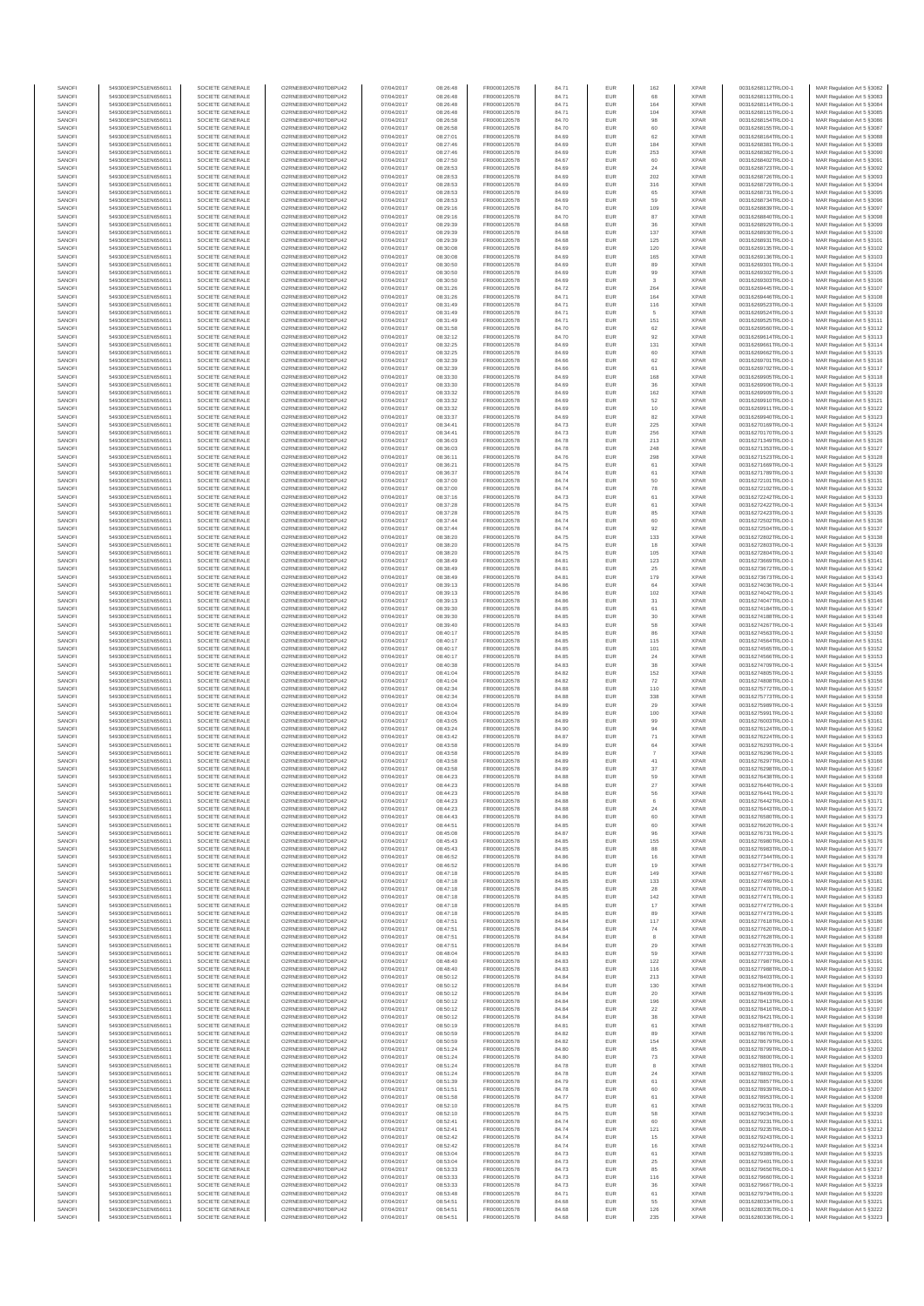| SANOFI<br>SANOFI | 549300E9PC51EN656011<br>549300E9PC51EN656011 | SOCIETE GENERALE<br>SOCIETE GENERALE | O2RNE8IBXP4R0TD8PU42<br>O2RNE8IBXP4R0TD8PU42  | 07/04/2017<br>07/04/2017 | 08:26:48<br>08:26:48 | FR0000120578<br>FR0000120578 | 84.71<br>84.71 | EUR<br>EUR        | 162                | <b>XPAR</b><br><b>XPAR</b> | 00316268112TRLO0-1<br>00316268113TRLO0-1 | MAR Regulation Art 5 §3082<br>MAR Regulation Art 5 §3083  |
|------------------|----------------------------------------------|--------------------------------------|-----------------------------------------------|--------------------------|----------------------|------------------------------|----------------|-------------------|--------------------|----------------------------|------------------------------------------|-----------------------------------------------------------|
| SANOFI           | 549300E9PC51EN656011                         | SOCIETE GENERALE                     | O2RNE8IBXP4R0TD8PU42                          | 07/04/2017               | 08:26:48             | FR0000120578                 | 84.71          | <b>EUR</b>        | 164                | <b>XPAR</b>                | 00316268114TRLO0-1                       | MAR Regulation Art 5 §3084                                |
| SANOFI           | 549300E9PC51EN656011                         | SOCIETE GENERALE                     | O2RNE8IBXP4R0TD8PU42                          | 07/04/2017               | 08:26:48             | FR0000120578                 | 84.71          | EUR               | 104                | <b>XPAR</b>                | 00316268115TRLO0-1                       | MAR Regulation Art 5 \$3085                               |
| SANOFI<br>SANOFI | 549300E9PC51EN656011<br>549300E9PC51EN656011 | SOCIETE GENERALE<br>SOCIETE GENERALE | O2RNE8IBXP4R0TD8PU42<br>O2RNE8IBXP4R0TD8PU42  | 07/04/2017<br>07/04/2017 | 08:26:58<br>08:26:58 | FR0000120578<br>FR0000120578 | 84.70<br>84.70 | EUR<br>EUR        | 98<br>60           | <b>XPAR</b><br><b>XPAR</b> | 00316268154TRLO0-1<br>00316268155TRLO0-1 | MAR Regulation Art 5 §3086<br>MAR Regulation Art 5 §3087  |
| SANOFI           | 549300E9PC51EN656011                         | SOCIETE GENERALE                     | O2RNE8IBXP4R0TD8PLI42                         | 07/04/2017               | 08:27:01             | FR0000120578                 | 84.69          | EUR               | 62                 | <b>XPAR</b>                | 00316268164TRLO0-1                       | MAR Regulation Art 5 §3088                                |
| SANOFI<br>SANOFI | 549300E9PC51EN656011<br>549300E9PC51EN656011 | SOCIETE GENERALE<br>SOCIETE GENERALE | O2RNE8IBXP4R0TD8PU42<br>O2RNE8IBXP4R0TD8PU42  | 07/04/2017<br>07/04/2017 | 08:27:46<br>08:27:46 | FR0000120578<br>FR0000120578 | 84.69<br>84.69 | EUR<br>EUR        | 184<br>253         | <b>XPAR</b><br><b>XPAR</b> | 00316268381TRLO0-1<br>00316268382TRLO0-1 | MAR Regulation Art 5 §3089<br>MAR Regulation Art 5 §3090  |
| SANOFI           | 549300E9PC51EN656011                         | SOCIETE GENERALE                     | O2RNE8IBXP4R0TD8PU42                          | 07/04/2017               | 08:27:50             | FR0000120578                 | 84.67          | EUR               | 60                 | <b>XPAR</b>                | 00316268402TRLO0-1                       | MAR Regulation Art 5 §3091                                |
| SANOFI           | 549300E9PC51EN656011                         | SOCIETE GENERALE                     | O2RNE8IBXP4R0TD8PU42                          | 07/04/2017               | 08:28:53             | FR0000120578                 | 84.69          | EUR               | $\mathbf{24}$      | <b>XPAR</b>                | 00316268723TRLO0-1                       | MAR Regulation Art 5 §3092                                |
| SANOFI<br>SANOFI | 549300E9PC51EN656011<br>549300E9PC51EN656011 | SOCIETE GENERALE<br>SOCIETE GENERALE | O2RNE8IBXP4R0TD8PU42<br>O2RNE8IBXP4R0TD8PU42  | 07/04/2017<br>07/04/2017 | 08:28:53<br>08:28:53 | FR0000120578<br>FR0000120578 | 84.69<br>84.69 | EUR<br>EUR        | 202<br>316         | <b>XPAR</b><br><b>XPAR</b> | 00316268726TRLO0-1<br>00316268729TRLO0-1 | MAR Regulation Art 5 §3093<br>MAR Regulation Art 5 §3094  |
| SANOFI           | 549300E9PC51EN656011                         | SOCIETE GENERALE                     | O2RNE8IBXP4R0TD8PU42                          | 07/04/2017               | 08:28:53             | FR0000120578                 | 84.69          | EUR               | 65                 | <b>XPAR</b>                | 00316268731TRLO0-1                       | MAR Regulation Art 5 §3095                                |
| SANOFI<br>SANOFI | 549300E9PC51EN656011<br>549300E9PC51EN656011 | SOCIETE GENERALE<br>SOCIETE GENERALE | O2RNE8IBXP4R0TD8PU42<br>O2RNE8IBXP4R0TD8PU42  | 07/04/2017<br>07/04/2017 | 08:28:53<br>08:29:16 | FR0000120578<br>FR0000120578 | 84.69<br>84.70 | EUR<br>EUR        | 59<br>109          | <b>XPAR</b><br><b>XPAR</b> | 00316268734TRLO0-1<br>00316268839TRLO0-1 | MAR Regulation Art 5 §3096<br>MAR Regulation Art 5 §3097  |
| SANOFI           | 549300E9PC51EN656011                         | SOCIETE GENERALE                     | O2RNE8IBXP4R0TD8PU42                          | 07/04/2017               | 08:29:16             | FR0000120578                 | 84.70          | EUR               | 87                 | <b>XPAR</b>                | 00316268840TRLO0-1                       | MAR Regulation Art 5 §3098                                |
| SANOFI           | 549300E9PC51EN656011                         | SOCIETE GENERALE                     | O2RNE8IBXP4R0TD8PU42                          | 07/04/2017               | 08:29:39             | FR0000120578                 | 84.68          | EUR               | 36                 | <b>XPAR</b>                | 00316268929TRLO0-1                       | MAR Regulation Art 5 §3099                                |
| SANOFI<br>SANOFI | 549300E9PC51EN656011<br>549300E9PC51EN656011 | SOCIETE GENERALE<br>SOCIETE GENERALE | O2RNE8IBXP4R0TD8PU42<br>O2RNE8IBXP4R0TD8PU42  | 07/04/2017<br>07/04/2017 | 08:29:39<br>08:29:39 | FR0000120578<br>FR0000120578 | 84.68<br>84.68 | EUR<br>EUR        | 137<br>125         | <b>XPAR</b><br><b>XPAR</b> | 00316268930TRLO0-1<br>00316268931TRLO0-1 | MAR Regulation Art 5 §3100<br>MAR Regulation Art 5 §3101  |
| SANOFI           | 549300E9PC51EN656011                         | SOCIETE GENERALE                     | O2RNE8IBXP4R0TD8PU42                          | 07/04/2017               | 08:30:08             | FR0000120578                 | 84.69          | EUR               | 120                | <b>XPAR</b>                | 00316269135TRLO0-1                       | MAR Regulation Art 5 §3102                                |
| SANOFI<br>SANOFI | 549300E9PC51EN656011<br>549300E9PC51EN656011 | SOCIETE GENERALE<br>SOCIETE GENERALE | O2RNE8IBXP4R0TD8PU42<br>O2RNE8IBXP4R0TD8PU42  | 07/04/2017<br>07/04/2017 | 08:30:08<br>08:30:50 | FR0000120578<br>FR0000120578 | 84.69<br>84.69 | EUR<br>EUR        | 165<br>89          | <b>XPAR</b><br><b>XPAR</b> | 00316269136TRLO0-1<br>00316269301TRLO0-1 | MAR Regulation Art 5 §3103<br>MAR Regulation Art 5 §3104  |
| SANOFI           | 549300E9PC51EN656011                         | SOCIETE GENERALE                     | O2RNE8IBXP4R0TD8PU42                          | 07/04/2017               | 08:30:50             | FR0000120578                 | 84.69          | EUR               | 99                 | <b>XPAR</b>                | 00316269302TRLO0-1                       | MAR Regulation Art 5 §3105                                |
| SANOFI           | 549300E9PC51EN656011                         | SOCIETE GENERALE                     | O2RNE8IBXP4R0TD8PLI42                         | 07/04/2017               | 08:30:50             | FR0000120578                 | 84.69          | EUR               | 3                  | <b>XPAR</b>                | 00316269303TRLO0-1                       | MAR Regulation Art 5 \$3106                               |
| SANOFI<br>SANOFI | 549300E9PC51EN656011<br>549300E9PC51EN656011 | SOCIETE GENERALE<br>SOCIETE GENERALE | O2RNE8IBXP4R0TD8PU42<br>O2RNE8IBXP4R0TD8PU42  | 07/04/2017<br>07/04/2017 | 08:31:26<br>08:31:26 | FR0000120578<br>FR0000120578 | 84.72<br>84.71 | EUR<br>EUR        | 264<br>164         | <b>XPAR</b><br><b>XPAR</b> | 00316269445TRLO0-1<br>00316269446TRLO0-1 | MAR Regulation Art 5 §3107<br>MAR Regulation Art 5 §3108  |
| SANOFI           | 549300E9PC51EN656011                         | SOCIETE GENERALE                     | O2RNE8IBXP4R0TD8PU42                          | 07/04/2017               | 08:31:49             | FR0000120578                 | 84.71          | EUR               | 116                | <b>XPAR</b>                | 00316269523TRLO0-1                       | MAR Regulation Art 5 §3109                                |
| SANOFI<br>SANOFI | 549300E9PC51EN656011<br>549300E9PC51EN656011 | SOCIETE GENERALE<br>SOCIETE GENERALE | O2RNE8IBXP4R0TD8PU42<br>O2RNE8IBXP4R0TD8PU42  | 07/04/2017<br>07/04/2017 | 08:31:49<br>08:31:49 | FR0000120578<br>FR0000120578 | 84.71<br>84.71 | EUR<br>EUR        | 151                | <b>XPAR</b><br><b>XPAR</b> | 00316269524TRLO0-1<br>00316269525TRLO0-1 | MAR Regulation Art 5 §3110<br>MAR Regulation Art 5 §3111  |
| SANOFI           | 549300E9PC51EN656011                         | SOCIETE GENERALE                     | O2RNE8IBXP4R0TD8PU42                          | 07/04/2017               | 08:31:58             | FR0000120578                 | 84.70          | EUR               | 62                 | <b>XPAR</b>                | 00316269560TRLO0-1                       | MAR Regulation Art 5 §3112                                |
| SANOFI           | 549300E9PC51EN656011                         | SOCIETE GENERALE                     | O2RNE8IBXP4R0TD8PU42                          | 07/04/2017               | 08:32:12             | FR0000120578                 | 84.70          | EUR               | 92                 | <b>XPAR</b>                | 00316269614TRLO0-1                       | MAR Regulation Art 5 §3113                                |
| SANOFI<br>SANOFI | 549300E9PC51EN656011<br>549300E9PC51EN656011 | SOCIETE GENERALE<br>SOCIETE GENERALE | O2RNE8IBXP4R0TD8PU42<br>O2RNE8IBXP4R0TD8PU42  | 07/04/2017<br>07/04/2017 | 08:32:25<br>08:32:25 | FR0000120578<br>FR0000120578 | 84.69<br>84.69 | EUR<br>EUR        | 131<br>60          | <b>XPAR</b><br><b>XPAR</b> | 00316269661TRLO0-1<br>00316269662TRLO0-1 | MAR Regulation Art 5 §3114<br>MAR Regulation Art 5 §3115  |
| SANOFI           | 549300E9PC51EN656011                         | SOCIETE GENERALE                     | O2RNE8IBXP4R0TD8PU42                          | 07/04/2017               | 08:32:39             | FR0000120578                 | 84.66          | EUR               | 62                 | <b>XPAR</b>                | 00316269701TRLO0-1                       | MAR Regulation Art 5 §3116                                |
| SANOFI<br>SANOFI | 549300E9PC51EN656011<br>549300E9PC51EN656011 | SOCIETE GENERALE<br>SOCIETE GENERALE | O2RNE8IBXP4R0TD8PU42<br>O2RNE8IBXP4R0TD8PU42  | 07/04/2017<br>07/04/2017 | 08:32:39<br>08:33:30 | FR0000120578<br>FR0000120578 | 84.66<br>84.69 | EUR<br>EUR        | 61<br>168          | <b>XPAR</b><br><b>XPAR</b> | 00316269702TRLO0-1<br>00316269905TRLO0-1 | MAR Regulation Art 5 §3117<br>MAR Regulation Art 5 §3118  |
| SANOFI           | 549300E9PC51EN656011                         | SOCIETE GENERALE                     | O2RNE8IBXP4R0TD8PU42                          | 07/04/2017               | 08:33:30             | FR0000120578                 | 84.69          | EUR               | 36                 | <b>XPAR</b>                | 00316269906TRLO0-1                       | MAR Regulation Art 5 §3119                                |
| SANOFI           | 549300E9PC51EN656011                         | SOCIETE GENERALE                     | O2RNE8IBXP4R0TD8PU42                          | 07/04/2017               | 08:33:32             | FR0000120578                 | 84.69          | EUR               | 162                | <b>XPAR</b>                | 00316269909TRLO0-1                       | MAR Regulation Art 5 §3120                                |
| SANOFI<br>SANOFI | 549300E9PC51EN656011<br>549300E9PC51EN656011 | SOCIETE GENERALE<br>SOCIETE GENERALE | O2RNE8IBXP4R0TD8PU42<br>O2RNE8IBXP4R0TD8PU42  | 07/04/2017<br>07/04/2017 | 08:33:32<br>08:33:32 | FR0000120578<br>FR0000120578 | 84.69<br>84.69 | EUR<br>EUR        | 52<br>10           | <b>XPAR</b><br><b>XPAR</b> | 00316269910TRLO0-1<br>00316269911TRLO0-1 | MAR Regulation Art 5 §3121<br>MAR Regulation Art 5 §3122  |
| SANOFI           | 549300E9PC51EN656011                         | SOCIETE GENERALE                     | O2RNE8IBXP4R0TD8PU42                          | 07/04/2017               | 08:33:37             | FR0000120578                 | 84.69          | EUR               | 82                 | <b>XPAR</b>                | 00316269940TRLO0-1                       | MAR Regulation Art 5 §3123                                |
| SANOFI<br>SANOFI | 549300E9PC51EN656011<br>549300E9PC51EN656011 | SOCIETE GENERALE<br>SOCIETE GENERALE | O2RNE8IBXP4R0TD8PU42<br>O2RNE8IBXP4R0TD8PU42  | 07/04/2017<br>07/04/2017 | 08:34:41<br>08:34:41 | FR0000120578<br>FR0000120578 | 84.73<br>84.73 | EUR<br>EUR        | 225<br>256         | <b>XPAR</b><br><b>XPAR</b> | 00316270169TRLO0-1<br>00316270170TRLO0-1 | MAR Regulation Art 5 \$3124<br>MAR Regulation Art 5 §3125 |
| SANOFI           | 549300E9PC51EN656011                         | SOCIETE GENERALE                     | O2RNE8IBXP4R0TD8PU42                          | 07/04/2017               | 08:36:03             | FR0000120578                 | 84.78          | EUR               | 213                | <b>XPAR</b>                | 00316271349TRLO0-1                       | MAR Regulation Art 5 §3126                                |
| SANOFI           | 549300E9PC51EN656011                         | SOCIETE GENERALE                     | O2RNE8IBXP4R0TD8PU42                          | 07/04/2017               | 08:36:03             | FR0000120578                 | 84.78          | EUR               | 248                | <b>XPAR</b>                | 00316271353TRLO0-1                       | MAR Regulation Art 5 §3127                                |
| SANOFI<br>SANOFI | 549300E9PC51EN656011<br>549300E9PC51EN656011 | SOCIETE GENERALE<br>SOCIETE GENERALE | O2RNE8IBXP4R0TD8PU42<br>O2RNE8IBXP4R0TD8PU42  | 07/04/2017<br>07/04/2017 | 08:36:11<br>08:36:21 | FR0000120578<br>FR0000120578 | 84.76<br>84.75 | EUR<br>EUR        | 298<br>61          | <b>XPAR</b><br><b>XPAR</b> | 00316271523TRLO0-1<br>00316271669TRLO0-1 | MAR Regulation Art 5 §3128<br>MAR Regulation Art 5 §3129  |
| SANOFI           | 549300E9PC51EN656011                         | SOCIETE GENERALE                     | O2RNE8IBXP4R0TD8PU42                          | 07/04/2017               | 08:36:37             | FR0000120578                 | 84.74          | EUR               | 61                 | <b>XPAR</b>                | 00316271789TRLO0-1                       | MAR Regulation Art 5 §3130                                |
| SANOFI<br>SANOFI | 549300E9PC51EN656011<br>549300E9PC51EN656011 | SOCIETE GENERALE<br>SOCIETE GENERALE | O2RNE8IBXP4R0TD8PLI42<br>O2RNE8IBXP4R0TD8PU42 | 07/04/2017<br>07/04/2017 | 08:37:00<br>08:37:00 | FR0000120578<br>FR0000120578 | 84.74<br>84.74 | EUR<br>EUR        | 50<br>${\bf 78}$   | <b>XPAR</b><br><b>XPAR</b> | 00316272101TRLO0-1<br>00316272102TRLO0-1 | MAR Regulation Art 5 §3131<br>MAR Regulation Art 5 §3132  |
| SANOFI           | 549300E9PC51EN656011                         | SOCIETE GENERALE                     | O2RNE8IBXP4R0TD8PU42                          | 07/04/2017               | 08:37:16             | FR0000120578                 | 84.73          | EUR               | 61                 | <b>XPAR</b>                | 00316272242TRLO0-1                       | MAR Regulation Art 5 §3133                                |
| SANOFI           | 549300E9PC51EN656011                         | SOCIETE GENERALE                     | O2RNE8IBXP4R0TD8PU42                          | 07/04/2017               | 08:37:28             | FR0000120578                 | 84.75          | EUR               | 61                 | <b>XPAR</b>                | 00316272422TRLO0-1                       | MAR Regulation Art 5 §3134                                |
| SANOFI<br>SANOFI | 549300E9PC51EN656011<br>549300E9PC51EN656011 | SOCIETE GENERALE<br>SOCIETE GENERALE | O2RNE8IBXP4R0TD8PU42<br>O2RNE8IBXP4R0TD8PU42  | 07/04/2017<br>07/04/2017 | 08:37:28<br>08:37:44 | FR0000120578<br>FR0000120578 | 84.75<br>84.74 | EUR<br>EUR        | 85<br>60           | <b>XPAR</b><br><b>XPAR</b> | 00316272423TRLO0-1<br>00316272502TRLO0-1 | MAR Regulation Art 5 \$3135<br>MAR Regulation Art 5 §3136 |
| SANOFI           | 549300E9PC51EN656011                         | SOCIETE GENERALE                     | O2RNE8IBXP4R0TD8PU42                          | 07/04/2017               | 08:37:44             | FR0000120578                 | 84.74          | EUR               | 92                 | <b>XPAR</b>                | 00316272504TRLO0-1                       | MAR Regulation Art 5 §3137                                |
| SANOFI<br>SANOFI | 549300E9PC51EN656011<br>549300E9PC51EN656011 | SOCIETE GENERALE<br>SOCIETE GENERALE | O2RNE8IBXP4R0TD8PU42<br>O2RNE8IBXP4R0TD8PU42  | 07/04/2017<br>07/04/2017 | 08:38:20<br>08:38:20 | FR0000120578<br>FR0000120578 | 84.75<br>84.75 | EUR<br>EUR        | 133<br>$18\,$      | <b>XPAR</b><br><b>XPAR</b> | 00316272802TRLO0-1<br>00316272803TRLO0-1 | MAR Regulation Art 5 §3138<br>MAR Regulation Art 5 §3139  |
| SANOFI           | 549300E9PC51EN656011                         | SOCIETE GENERALE                     | O2RNE8IBXP4R0TD8PU42                          | 07/04/2017               | 08:38:20             | FR0000120578                 | 84.75          | EUR               | 105                | <b>XPAR</b>                | 00316272804TRLO0-1                       | MAR Regulation Art 5 §3140                                |
| SANOFI           | 549300E9PC51EN656011                         | SOCIETE GENERALE                     | O2RNE8IBXP4R0TD8PU42                          | 07/04/2017               | 08:38:49             | FR0000120578                 | 84.81          | EUR               | 123                | <b>XPAR</b>                | 00316273669TRLO0-1                       | MAR Regulation Art 5 §3141                                |
| SANOFI<br>SANOFI | 549300E9PC51EN656011<br>549300E9PC51EN656011 | SOCIETE GENERALE<br>SOCIETE GENERALE | O2RNE8IBXP4R0TD8PU42<br>O2RNE8IBXP4R0TD8PU42  | 07/04/2017<br>07/04/2017 | 08:38:49<br>08:38:49 | FR0000120578<br>FR0000120578 | 84.81<br>84.81 | EUR<br>EUR        | 25<br>179          | <b>XPAR</b><br><b>XPAR</b> | 00316273672TRLO0-1<br>00316273673TRLO0-1 | MAR Regulation Art 5 §3142<br>MAR Regulation Art 5 §3143  |
| SANOFI           | 549300E9PC51EN656011                         | SOCIETE GENERALE                     | O2RNE8IBXP4R0TD8PU42                          | 07/04/2017               | 08:39:13             | FR0000120578                 | 84.86          | EUR               | 64                 | <b>XPAR</b>                | 00316274036TRLO0-1                       | MAR Regulation Art 5 §3144                                |
| SANOFI<br>SANOFI | 549300E9PC51EN656011<br>549300E9PC51EN656011 | SOCIETE GENERALE<br>SOCIETE GENERALE | O2RNE8IBXP4R0TD8PU42<br>O2RNE8IBXP4R0TD8PU42  | 07/04/2017<br>07/04/2017 | 08:39:13<br>08:39:13 | FR0000120578<br>FR0000120578 | 84.86<br>84.86 | EUR<br>EUR        | 102                | <b>XPAR</b><br><b>XPAR</b> | 00316274042TRLO0-1<br>00316274047TRLO0-1 | MAR Regulation Art 5 §3145<br>MAR Regulation Art 5 §3146  |
| SANOFI           | 549300E9PC51EN656011                         | SOCIETE GENERALE                     | O2RNE8IBXP4R0TD8PU42                          | 07/04/2017               | 08:39:30             | FR0000120578                 | 84.85          | EUR               | 31<br>61           | <b>XPAR</b>                | 00316274184TRLO0-1                       | MAR Regulation Art 5 §3147                                |
| SANOFI           | 549300E9PC51EN656011                         | SOCIETE GENERALE                     | O2RNE8IBXP4R0TD8PU42                          | 07/04/2017               | 08:39:30             | FR0000120578                 | 84.85          | EUR               | 30                 | <b>XPAR</b>                | 00316274188TRLO0-1                       | MAR Regulation Art 5 §3148                                |
| SANOFI<br>SANOFI | 549300E9PC51EN656011<br>549300E9PC51EN656011 | SOCIETE GENERALE<br>SOCIETE GENERALE | O2RNE8IBXP4R0TD8PU42<br>O2RNE8IBXP4R0TD8PU42  | 07/04/2017<br>07/04/2017 | 08:39:40<br>08:40:17 | FR0000120578<br>FR0000120578 | 84.83<br>84.85 | EUR<br>EUR        | 58<br>86           | <b>XPAR</b><br><b>XPAR</b> | 00316274267TRLO0-1<br>00316274563TRLO0-1 | MAR Regulation Art 5 §3149<br>MAR Regulation Art 5 §3150  |
| SANOFI           | 549300E9PC51EN656011                         | SOCIETE GENERALE                     | O2RNE8IBXP4R0TD8PU42                          | 07/04/2017               | 08:40:17             | FR0000120578                 | 84.85          | EUR               | 115                | <b>XPAR</b>                | 00316274564TRLO0-1                       | MAR Regulation Art 5 §3151                                |
| SANOFI<br>SANOFI | 549300E9PC51EN656011<br>549300E9PC51EN656011 | SOCIETE GENERALE<br>SOCIETE GENERALE | O2RNE8IBXP4R0TD8PU42<br>O2RNE8IBXP4R0TD8PU42  | 07/04/2017<br>07/04/2017 | 08:40:17<br>08:40:17 | FR0000120578<br>FR0000120578 | 84.85<br>84.85 | EUR<br>EUR        | 101<br>24          | <b>XPAR</b><br><b>XPAR</b> | 00316274565TRLO0-1<br>00316274566TRLO0-1 | MAR Regulation Art 5 §3152<br>MAR Regulation Art 5 §3153  |
| SANOFI           | 549300E9PC51EN656011                         | SOCIETE GENERALE                     | O2RNE8IBXP4R0TD8PU42                          | 07/04/2017               | 08:40:38             | FR0000120578                 | 84.83          | EUR               | 38                 | <b>XPAR</b>                | 00316274709TRLO0-1                       | MAR Regulation Art 5 §3154                                |
| SANOFI           | 549300E9PC51EN656011                         | SOCIETE GENERALE                     | O2RNE8IBXP4R0TD8PU42                          | 07/04/2017               | 08:41:04             | FR0000120578                 | 84.82          | EUR               | 152                | <b>XPAR</b>                | 00316274805TRLO0-1                       | MAR Regulation Art 5 §3155                                |
| SANOFI<br>SANOFI | 549300E9PC51EN656011<br>549300E9PC51EN656011 | SOCIETE GENERALE<br>SOCIETE GENERALE | O2RNE8IBXP4R0TD8PU42<br>O2RNE8IBXP4R0TD8PU42  | 07/04/2017<br>07/04/2017 | 08:41:04<br>08:42:34 | FR0000120578<br>FR0000120578 | 84.82<br>84.88 | EUR<br>EUR        | 72<br>110          | <b>XPAR</b><br><b>XPAR</b> | 00316274808TRLO0-1<br>00316275772TRLO0-1 | MAR Regulation Art 5 §3156<br>MAR Regulation Art 5 §3157  |
| SANOFI           | 549300E9PC51EN656011                         | SOCIETE GENERALE                     | O2RNE8IBXP4R0TD8PU42                          | 07/04/2017               | 08:42:34             | FR0000120578                 | 84.88          | EUR               | 338                | <b>XPAR</b>                | 00316275773TRLO0-1                       | MAR Regulation Art 5 §3158                                |
| SANOFI<br>SANOFI | 549300E9PC51EN656011<br>549300E9PC51EN656011 | SOCIETE GENERALE<br>SOCIETE GENERALE | O2RNE8IBXP4R0TD8PU42<br>O2RNE8IBXP4R0TD8PU42  | 07/04/2017<br>07/04/2017 | 08:43:04<br>08:43:04 | FR0000120578<br>FR0000120578 | 84.89<br>84.89 | EUR<br>EUR        | 29<br>100          | <b>XPAR</b><br><b>XPAR</b> | 00316275989TRLO0-1<br>00316275991TRLO0-1 | MAR Regulation Art 5 §3159<br>MAR Regulation Art 5 §3160  |
| SANOFI           | 549300E9PC51EN656011                         | SOCIETE GENERALE                     | O2RNE8IBXP4R0TD8PLI42                         | 07/04/2017               | 08:43:05             | FR0000120578                 | 84.89          | EUR               | 99                 | <b>XPAR</b>                | 00316276003TRLO0-1                       | MAR Regulation Art 5 §3161                                |
| SANOFI           | 549300E9PC51EN656011                         | SOCIETE GENERALE                     | O2RNE8IBXP4R0TD8PU42                          | 07/04/2017               | 08:43:24             | FR0000120578                 | 84.90          | EUR               | 94                 | <b>XPAR</b>                | 00316276124TRLO0-1                       | MAR Regulation Art 5 §3162                                |
| SANOFI<br>SANOFI | 549300E9PC51EN656011<br>549300E9PC51EN656011 | SOCIETE GENERALE<br>SOCIETE GENERALE | O2RNE8IBXP4R0TD8PU42<br>O2RNE8IBXP4R0TD8PU42  | 07/04/2017<br>07/04/2017 | 08:43:42<br>08:43:58 | FR0000120578<br>FR0000120578 | 84.87<br>84.89 | EUR<br>EUR        | 71<br>64           | <b>XPAR</b><br><b>XPAR</b> | 00316276224TRLO0-1<br>00316276293TRLO0-1 | MAR Regulation Art 5 §3163<br>MAR Regulation Art 5 §3164  |
| SANOFI           | 549300E9PC51EN656011                         | SOCIETE GENERALE                     | O2RNE8IBXP4R0TD8PU42                          | 07/04/2017               | 08:43:58             | FR0000120578                 | 84.89          | EUR               | $\scriptstyle{7}$  | <b>XPAR</b>                | 00316276296TRLO0-1                       | MAR Regulation Art 5 §3165                                |
| SANOFI<br>SANOFI | 549300E9PC51EN656011<br>549300E9PC51EN656011 | SOCIETE GENERALE<br>SOCIETE GENERALE | O2RNE8IBXP4R0TD8PU42<br>O2RNE8IBXP4R0TD8PU42  | 07/04/2017<br>07/04/2017 | 08:43:58<br>08:43:58 | FR0000120578<br>FR0000120578 | 84.89<br>84.89 | EUR<br>EUR        | $41\,$<br>37       | <b>XPAR</b><br><b>XPAR</b> | 00316276297TRLO0-1<br>00316276298TRLO0-1 | MAR Regulation Art 5 §3166<br>MAR Regulation Art 5 \$3167 |
| SANOFI           | 549300E9PC51EN656011                         | SOCIETE GENERALE                     | O2RNE8IBXP4R0TD8PU42                          | 07/04/2017               | 08:44:23             | FR0000120578                 | 84.88          | <b>EUR</b>        | 59                 | <b>XPAR</b>                | 00316276438TRLO0-1                       | MAR Regulation Art 5 §3168                                |
| SANOF            | 549300E9PC51EN656011                         | SOCIETE GENERALE                     | O2RNE8IBXP4R0TD8PU42                          | 07/04/2017               | 08:44:23             | FR0000120578                 | 84.88          | EUR               | 27                 | <b>XPAR</b>                | 00316276440TRLO0-1                       | MAR Regulation Art 5 §3169                                |
| SANOFI<br>SANOFI | 549300E9PC51EN656011<br>549300E9PC51EN656011 | SOCIETE GENERALE<br>SOCIETE GENERALE | O2RNE8IBXP4R0TD8PU42<br>O2RNE8IBXP4R0TD8PU42  | 07/04/2017<br>07/04/2017 | 08:44:23<br>08:44:23 | FR0000120578<br>FR0000120578 | 84.88<br>84.88 | <b>EUR</b><br>EUR | 56                 | <b>XPAR</b><br><b>XPAR</b> | 00316276441TRLO0-1<br>00316276442TRLO0-1 | MAR Regulation Art 5 §3170<br>MAR Regulation Art 5 §3171  |
| SANOFI           | 549300E9PC51EN656011                         | SOCIETE GENERALE                     | O2RNE8IBXP4R0TD8PU42                          | 07/04/2017               | 08:44:23             | FR0000120578                 | 84.88          | EUR               | 24                 | <b>XPAR</b>                | 00316276443TRLO0-1                       | MAR Regulation Art 5 §3172                                |
| SANOFI<br>SANOFI | 549300E9PC51EN656011<br>549300E9PC51EN656011 | SOCIETE GENERALE<br>SOCIETE GENERALE | O2RNE8IBXP4R0TD8PU42<br>O2RNE8IBXP4R0TD8PU42  | 07/04/2017<br>07/04/2017 | 08:44:43<br>08:44:51 | FR0000120578<br>FR0000120578 | 84.86<br>84.85 | EUR<br>EUR        | 60<br>60           | <b>XPAR</b><br><b>XPAR</b> | 00316276580TRLO0-1<br>00316276620TRLO0-1 | MAR Regulation Art 5 §3173<br>MAR Regulation Art 5 §3174  |
| SANOFI           | 549300E9PC51EN656011                         | SOCIETE GENERALE                     | O2RNE8IBXP4R0TD8PU42                          | 07/04/2017               | 08:45:08             | FR0000120578                 | 84.87          | EUR               | 96                 | <b>XPAR</b>                | 00316276731TRLO0-1                       | MAR Regulation Art 5 §3175                                |
| SANOFI<br>SANOFI | 549300E9PC51EN656011<br>549300E9PC51EN656011 | SOCIETE GENERALE<br>SOCIETE GENERALE | O2RNE8IBXP4R0TD8PU42<br>O2RNE8IBXP4R0TD8PU42  | 07/04/2017<br>07/04/2017 | 08:45:43<br>08:45:43 | FR0000120578<br>FR0000120578 | 84.85<br>84.85 | EUR<br>EUR        | 155<br>88          | <b>XPAR</b><br><b>XPAR</b> | 00316276980TRLO0-1<br>00316276983TRLO0-1 | MAR Regulation Art 5 §3176                                |
| SANOFI           | 549300E9PC51EN656011                         | SOCIETE GENERALE                     | O2RNE8IBXP4R0TD8PU42                          | 07/04/2017               | 08:46:52             | FR0000120578                 | 84.86          | EUR               | $16\,$             | <b>XPAR</b>                | 00316277344TRLO0-1                       | MAR Regulation Art 5 §3177<br>MAR Regulation Art 5 §3178  |
| SANOFI           | 549300E9PC51EN656011                         | SOCIETE GENERALE                     | O2RNE8IBXP4R0TD8PLI42                         | 07/04/2017               | 08:46:52             | FR0000120578                 | 84.86          | EUR               | 19                 | <b>XPAR</b>                | 00316277347TRLO0-1                       | MAR Regulation Art 5 §3179                                |
| SANOFI<br>SANOFI | 549300E9PC51EN656011<br>549300E9PC51EN656011 | SOCIETE GENERALE<br>SOCIETE GENERALE | O2RNE8IBXP4R0TD8PU42<br>O2RNE8IBXP4R0TD8PU42  | 07/04/2017<br>07/04/2017 | 08:47:18<br>08:47:18 | FR0000120578<br>FR0000120578 | 84.85<br>84.85 | EUR<br>EUR        | 149<br>133         | <b>XPAR</b><br><b>XPAR</b> | 00316277467TRLO0-1<br>00316277469TRLO0-1 | MAR Regulation Art 5 §3180<br>MAR Regulation Art 5 §3181  |
| SANOFI           | 549300E9PC51EN656011                         | SOCIETE GENERALE                     | O2RNE8IBXP4R0TD8PU42                          | 07/04/2017               | 08:47:18             | FR0000120578                 | 84.85          | EUR               | $\boldsymbol{28}$  | <b>XPAR</b>                | 00316277470TRLO0-1                       | MAR Regulation Art 5 §3182                                |
| SANOFI<br>SANOFI | 549300E9PC51EN656011<br>549300E9PC51EN656011 | SOCIETE GENERALE<br>SOCIETE GENERALE | O2RNE8IBXP4R0TD8PU42<br>O2RNE8IBXP4R0TD8PU42  | 07/04/2017<br>07/04/2017 | 08:47:18<br>08:47:18 | FR0000120578<br>FR0000120578 | 84.85<br>84.85 | EUR<br>EUR        | 142<br>17          | <b>XPAR</b><br><b>XPAR</b> | 00316277471TRLO0-1<br>00316277472TRLO0-1 | MAR Regulation Art 5 \$3183<br>MAR Regulation Art 5 §3184 |
| SANOFI           | 549300E9PC51EN656011                         | SOCIETE GENERALE                     | O2RNE8IBXP4R0TD8PU42                          | 07/04/2017               | 08:47:18             | FR0000120578                 | 84.85          | EUR               | 89                 | <b>XPAR</b>                | 00316277473TRLO0-1                       | MAR Regulation Art 5 §3185                                |
| SANOFI<br>SANOFI | 549300E9PC51EN656011<br>549300E9PC51EN656011 | SOCIETE GENERALE<br>SOCIETE GENERALE | O2RNE8IBXP4R0TD8PU42<br>O2RNE8IBXP4R0TD8PU42  | 07/04/2017<br>07/04/2017 | 08:47:51<br>08:47:51 | FR0000120578<br>FR0000120578 | 84.84<br>84.84 | EUR<br>EUR        | 117                | <b>XPAR</b><br><b>XPAR</b> | 00316277618TRLO0-1<br>00316277620TRLO0-1 | MAR Regulation Art 5 §3186<br>MAR Regulation Art 5 §3187  |
| SANOFI           | 549300E9PC51EN656011                         | SOCIETE GENERALE                     | O2RNE8IBXP4R0TD8PU42                          | 07/04/2017               | 08:47:51             | FR0000120578                 | 84.84          | EUR               | $\mathbf{74}$<br>8 | <b>XPAR</b>                | 00316277628TRLO0-1                       | MAR Regulation Art 5 §3188                                |
| SANOFI           | 549300E9PC51EN656011                         | SOCIETE GENERALE                     | O2RNE8IBXP4R0TD8PU42                          | 07/04/2017               | 08:47:51             | FR0000120578                 | 84.84          | EUR               | 29                 | <b>XPAR</b>                | 00316277635TRLO0-1                       | MAR Regulation Art 5 §3189                                |
| SANOFI<br>SANOFI | 549300E9PC51EN656011<br>549300E9PC51EN656011 | SOCIETE GENERALE<br>SOCIETE GENERALE | O2RNE8IBXP4R0TD8PU42<br>O2RNE8IBXP4R0TD8PU42  | 07/04/2017<br>07/04/2017 | 08:48:04<br>08:48:40 | FR0000120578<br>FR0000120578 | 84.83<br>84.83 | EUR<br>EUR        | 59<br>122          | <b>XPAR</b><br><b>XPAR</b> | 00316277733TRLO0-1<br>00316277987TRLO0-1 | MAR Regulation Art 5 §3190<br>MAR Regulation Art 5 §3191  |
| SANOFI           | 549300E9PC51EN656011                         | SOCIETE GENERALE                     | O2RNE8IBXP4R0TD8PU42                          | 07/04/2017               | 08:48:40             | FR0000120578                 | 84.83          | EUR               | 116                | <b>XPAR</b>                | 00316277988TRLO0-1                       | MAR Regulation Art 5 §3192                                |
| SANOFI<br>SANOFI | 549300E9PC51EN656011<br>549300E9PC51EN656011 | SOCIETE GENERALE<br>SOCIETE GENERALE | O2RNE8IBXP4R0TD8PU42<br>O2RNE8IBXP4R0TD8PU42  | 07/04/2017<br>07/04/2017 | 08:50:12<br>08:50:12 | FR0000120578<br>FR0000120578 | 84.84<br>84.84 | EUR<br>EUR        | 213<br>130         | <b>XPAR</b><br><b>XPAR</b> | 00316278403TRLO0-1<br>00316278406TRLO0-1 | MAR Regulation Art 5 §3193<br>MAR Regulation Art 5 §3194  |
| SANOFI           | 549300E9PC51EN656011                         | SOCIETE GENERALE                     | O2RNE8IBXP4R0TD8PU42                          | 07/04/2017               | 08:50:12             | FR0000120578                 | 84.84          | <b>EUR</b>        | 20                 | <b>XPAR</b>                | 00316278409TRLO0-1                       | MAR Regulation Art 5 §3195                                |
| SANOFI           | 549300E9PC51EN656011                         | SOCIETE GENERALE                     | O2RNE8IBXP4R0TD8PU42                          | 07/04/2017               | 08:50:12             | FR0000120578                 | 84.84          | EUR               | 196                | <b>XPAR</b>                | 00316278413TRLO0-1                       | MAR Regulation Art 5 §3196                                |
| SANOFI<br>SANOFI | 549300E9PC51EN656011<br>549300E9PC51EN656011 | SOCIETE GENERALE<br>SOCIETE GENERALE | O2RNE8IBXP4R0TD8PU42<br>O2RNE8IBXP4R0TD8PU42  | 07/04/2017<br>07/04/2017 | 08:50:12<br>08:50:12 | FR0000120578<br>FR0000120578 | 84.84<br>84.84 | EUR<br>EUR        | $^{\rm 22}$<br>38  | <b>XPAR</b><br><b>XPAR</b> | 00316278416TRLO0-1<br>00316278421TRLO0-1 | MAR Regulation Art 5 §3197<br>MAR Regulation Art 5 §3198  |
| SANOFI           | 549300E9PC51EN656011                         | SOCIETE GENERALE                     | O2RNE8IBXP4R0TD8PU42                          | 07/04/2017               | 08:50:19             | FR0000120578                 | 84.81          | EUR               | 61                 | <b>XPAR</b>                | 00316278487TRLO0-1                       | MAR Regulation Art 5 §3199                                |
| SANOFI<br>SANOFI | 549300E9PC51EN656011<br>549300E9PC51EN656011 | SOCIETE GENERALE<br>SOCIETE GENERALE | O2RNE8IBXP4R0TD8PU42<br>O2RNE8IBXP4R0TD8PU42  | 07/04/2017<br>07/04/2017 | 08:50:59<br>08:50:59 | FR0000120578<br>FR0000120578 | 84.82<br>84.82 | EUR<br>EUR        | 89<br>154          | <b>XPAR</b><br><b>XPAR</b> | 00316278676TRLO0-1<br>00316278679TRLO0-1 | MAR Regulation Art 5 §3200<br>MAR Regulation Art 5 §3201  |
| SANOFI           | 549300E9PC51EN656011                         | SOCIETE GENERALE                     | O2RNE8IBXP4R0TD8PU42                          | 07/04/2017               | 08:51:24             | FR0000120578                 | 84.80          | <b>EUR</b>        | 85                 | <b>XPAR</b>                | 00316278799TRLO0-1                       | MAR Regulation Art 5 §3202                                |
| SANOFI           | 549300E9PC51EN656011                         | SOCIETE GENERALE                     | O2RNE8IBXP4R0TD8PU42                          | 07/04/2017               | 08:51:24             | FR0000120578                 | 84.80          | EUR               | $\mathbf{73}$      | <b>XPAR</b>                | 00316278800TRLO0-1                       | MAR Regulation Art 5 §3203                                |
| SANOFI<br>SANOFI | 549300E9PC51EN656011<br>549300E9PC51EN656011 | SOCIETE GENERALE<br>SOCIETE GENERALE | O2RNE8IBXP4R0TD8PU42<br>O2RNE8IBXP4R0TD8PU42  | 07/04/2017<br>07/04/2017 | 08:51:24<br>08:51:24 | FR0000120578<br>FR0000120578 | 84.78<br>84.78 | EUR<br>EUR        | 8<br>24            | <b>XPAR</b><br><b>XPAR</b> | 00316278801TRLO0-1<br>00316278802TRLO0-1 | MAR Regulation Art 5 §3204<br>MAR Regulation Art 5 §3205  |
| SANOFI           | 549300E9PC51EN656011                         | SOCIETE GENERALE                     | O2RNE8IBXP4R0TD8PU42                          | 07/04/2017               | 08:51:39             | FR0000120578                 | 84.79          | EUR               | 61                 | <b>XPAR</b>                | 00316278857TRLO0-1                       | MAR Regulation Art 5 §3206                                |
| SANOFI<br>SANOFI | 549300E9PC51EN656011<br>549300E9PC51EN656011 | SOCIETE GENERALE<br>SOCIETE GENERALE | O2RNE8IBXP4R0TD8PU42<br>O2RNE8IBXP4R0TD8PU42  | 07/04/2017<br>07/04/2017 | 08:51:51<br>08:51:58 | FR0000120578<br>FR0000120578 | 84.78<br>84.77 | EUR<br>EUR        | 60<br>61           | <b>XPAR</b><br><b>XPAR</b> | 00316278939TRLO0-1<br>00316278953TRLO0-1 | MAR Regulation Art 5 §3207<br>MAR Regulation Art 5 §3208  |
| SANOFI           | 549300E9PC51EN656011                         | SOCIETE GENERALE                     | O2RNE8IBXP4R0TD8PU42                          | 07/04/2017               | 08:52:10             | FR0000120578                 | 84.75          | EUR               | 61                 | <b>XPAR</b>                | 00316279031TRLO0-1                       | MAR Regulation Art 5 §3209                                |
| SANOFI           | 549300E9PC51EN656011                         | SOCIETE GENERALE                     | O2RNE8IBXP4R0TD8PU42                          | 07/04/2017               | 08:52:10             | FR0000120578                 | 84.75          | EUR               | 58                 | XPAR                       | 00316279034TRLO0-1                       | MAR Regulation Art 5 §3210                                |
| SANOFI<br>SANOFI | 549300E9PC51EN656011<br>549300E9PC51EN656011 | SOCIETE GENERALE<br>SOCIETE GENERALE | O2RNE8IBXP4R0TD8PU42<br>O2RNE8IBXP4R0TD8PU42  | 07/04/2017<br>07/04/2017 | 08:52:41<br>08:52:41 | FR0000120578<br>FR0000120578 | 84.74<br>84.74 | EUR<br>EUR        | 60<br>121          | <b>XPAR</b><br><b>XPAR</b> | 00316279231TRLO0-1<br>00316279235TRLO0-1 | MAR Regulation Art 5 §3211<br>MAR Regulation Art 5 §3212  |
| SANOFI           | 549300E9PC51EN656011                         | SOCIETE GENERALE                     | O2RNE8IBXP4R0TD8PU42                          | 07/04/2017               | 08:52:42             | FR0000120578                 | 84.74          | EUR               | $15\,$             | <b>XPAR</b>                | 00316279243TRLO0-1                       | MAR Regulation Art 5 §3213                                |
| SANOFI<br>SANOFI | 549300E9PC51EN656011<br>549300E9PC51EN656011 | SOCIETE GENERALE<br>SOCIETE GENERALE | O2RNE8IBXP4R0TD8PU42<br>O2RNE8IBXP4R0TD8PU42  | 07/04/2017<br>07/04/2017 | 08:52:42<br>08:53:04 | FR0000120578<br>FR0000120578 | 84.74<br>84.73 | EUR<br>EUR        | 16<br>61           | <b>XPAR</b><br><b>XPAR</b> | 00316279244TRLO0-1<br>00316279389TRLO0-1 | MAR Regulation Art 5 §3214<br>MAR Regulation Art 5 §3215  |
| SANOFI           | 549300E9PC51EN656011                         | SOCIETE GENERALE                     | O2RNE8IBXP4R0TD8PU42                          | 07/04/2017               | 08:53:04             | FR0000120578                 | 84.73          | EUR               | 25                 | <b>XPAR</b>                | 00316279401TRLO0-1                       | MAR Regulation Art 5 §3216                                |
| SANOFI           | 549300E9PC51EN656011                         | SOCIETE GENERALE                     | O2RNE8IBXP4R0TD8PU42                          | 07/04/2017               | 08:53:33             | FR0000120578                 | 84.73          | EUR               | 85                 | <b>XPAR</b>                | 00316279656TRLO0-1                       | MAR Regulation Art 5 §3217                                |
| SANOFI<br>SANOFI | 549300E9PC51EN656011<br>549300E9PC51EN656011 | SOCIETE GENERALE<br>SOCIETE GENERALE | O2RNE8IBXP4R0TD8PU42<br>O2RNE8IBXP4R0TD8PU42  | 07/04/2017<br>07/04/2017 | 08:53:33<br>08:53:33 | FR0000120578<br>FR0000120578 | 84.73<br>84.73 | EUR<br>EUR        | 116<br>36          | <b>XPAR</b><br><b>XPAR</b> | 00316279660TRLO0-1<br>00316279667TRLO0-1 | MAR Regulation Art 5 §3218<br>MAR Regulation Art 5 §3219  |
| SANOFI           | 549300E9PC51EN656011                         | SOCIETE GENERALE                     | O2RNE8IBXP4R0TD8PU42                          | 07/04/2017               | 08:53:48             | FR0000120578                 | 84.71          | EUR               | 61                 | <b>XPAR</b>                | 00316279794TRLO0-1                       | MAR Regulation Art 5 §3220                                |
| SANOFI<br>SANOFI | 549300E9PC51EN656011<br>549300E9PC51EN656011 | SOCIETE GENERALE<br>SOCIETE GENERALE | O2RNE8IBXP4R0TD8PU42<br>O2RNE8IBXP4R0TD8PU42  | 07/04/2017<br>07/04/2017 | 08:54:51<br>08:54:51 | FR0000120578                 | 84.68<br>84.68 | EUR<br>EUR        | 55<br>126          | <b>XPAR</b><br><b>XPAR</b> | 00316280334TRLO0-1<br>00316280335TRLO0-1 | MAR Regulation Art 5 §3221                                |
| SANOFI           | 549300E9PC51EN656011                         | SOCIETE GENERALE                     | O2RNE8IBXP4R0TD8PU42                          | 07/04/2017               | 08:54:51             | FR0000120578<br>FR0000120578 | 84.68          | EUR               | 235                | XPAR                       | 00316280336TRLO0-1                       | MAR Regulation Art 5 §3222<br>MAR Regulation Art 5 §3223  |
|                  |                                              |                                      |                                               |                          |                      |                              |                |                   |                    |                            |                                          |                                                           |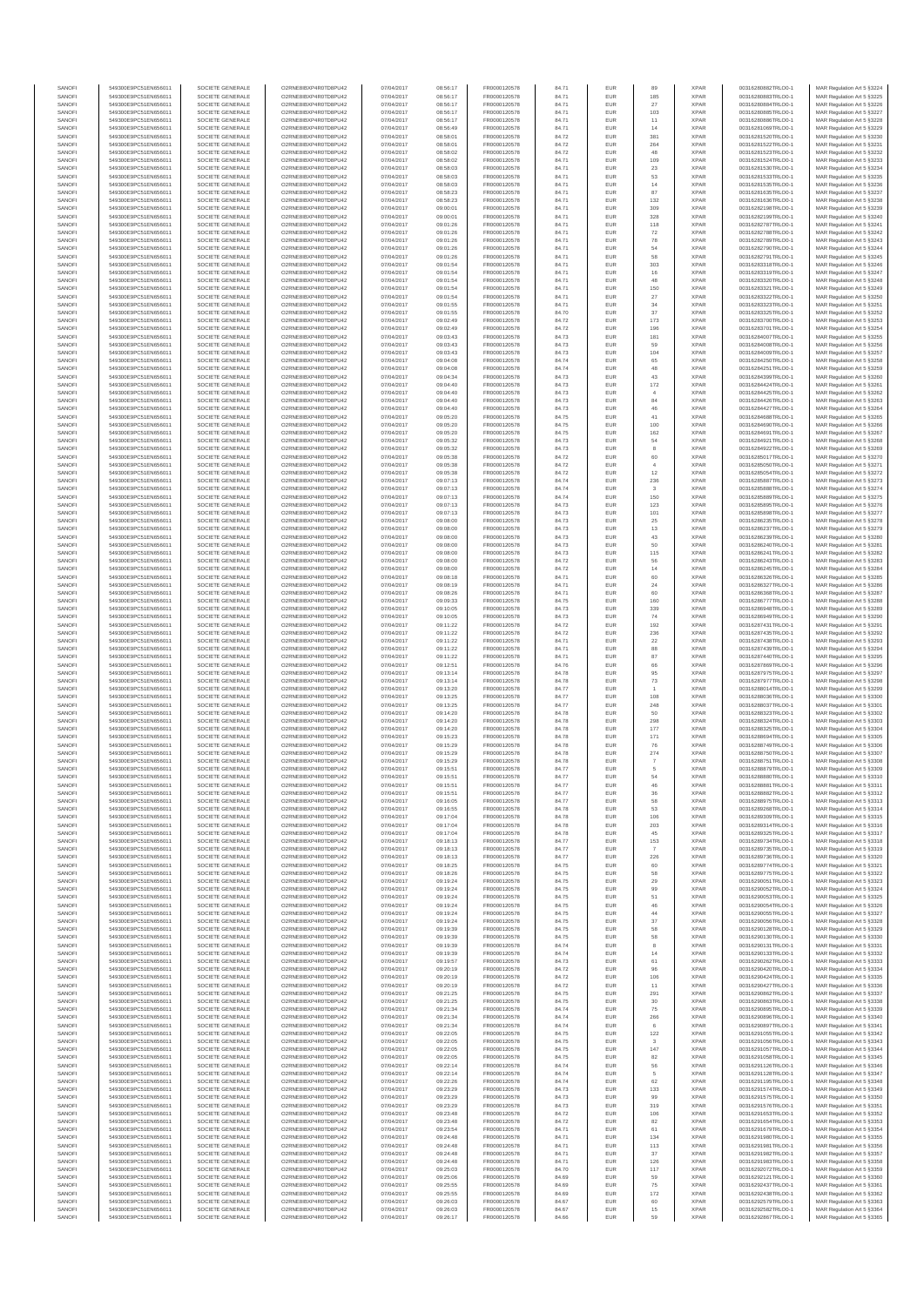| SANOF            | 549300E9PC51EN656011                         | SOCIETE GENERALE                     | O2RNE8IBXP4R0TD8PU42                          | 07/04/2017               | 08:56:17             | FR0000120578                 | 84.71          | EUR               |                       | <b>XPAR</b>                | 00316280882TRLO0-1                       | MAR Regulation Art 5 \$3224                              |
|------------------|----------------------------------------------|--------------------------------------|-----------------------------------------------|--------------------------|----------------------|------------------------------|----------------|-------------------|-----------------------|----------------------------|------------------------------------------|----------------------------------------------------------|
| SANOFI<br>SANOFI | 549300E9PC51EN656011                         | SOCIETE GENERALE<br>SOCIETE GENERALE | O2RNE8IBXP4R0TD8PLI42                         | 07/04/2017               | 08:56:17             | FR0000120578                 | 84.71          | EUR               | 185                   | <b>XPAR</b><br><b>XPAR</b> | 00316280883TRLO0-1                       | MAR Regulation Art 5 §3225                               |
| SANOFI           | 549300E9PC51EN656011<br>549300E9PC51EN656011 | SOCIETE GENERALE                     | O2RNE8IBXP4R0TD8PU42<br>O2RNE8IBXP4R0TD8PLI42 | 07/04/2017<br>07/04/2017 | 08:56:17<br>08:56:17 | FR0000120578<br>FR0000120578 | 84.71<br>84.71 | EUR<br>EUR        | 27<br>103             | <b>XPAR</b>                | 00316280884TRLO0-1<br>00316280885TRLO0-1 | MAR Regulation Art 5 §3226<br>MAR Regulation Art 5 §3227 |
| SANOFI           | 549300E9PC51EN656011                         | SOCIETE GENERALE                     | O2RNE8IBXP4R0TD8PU42                          | 07/04/2017               | 08:56:17             | FR0000120578                 | 84.71          | EUR               | 11                    | <b>XPAR</b>                | 00316280886TRLO0-1                       | MAR Regulation Art 5 §3228                               |
| SANOFI           | 549300E9PC51EN656011                         | SOCIETE GENERALE                     | O2RNE8IBXP4R0TD8PU42                          | 07/04/2017               | 08:56:49             | FR0000120578                 | 84.71          | EUR               | 14                    | <b>XPAR</b>                | 00316281069TRLO0-1                       | MAR Regulation Art 5 §3229                               |
| SANOFI<br>SANOFI | 549300E9PC51EN656011<br>549300E9PC51EN656011 | SOCIETE GENERALE<br>SOCIETE GENERALE | O2RNE8IBXP4R0TD8PU42<br>O2RNE8IBXP4R0TD8PU42  | 07/04/2017<br>07/04/2017 | 08:58:01<br>08:58:01 | FR0000120578<br>FR0000120578 | 84.72<br>84.72 | EUR<br>EUR        | 381<br>264            | <b>XPAR</b><br><b>XPAR</b> | 00316281520TRLO0-1<br>00316281522TRLO0-1 | MAR Regulation Art 5 §3230<br>MAR Regulation Art 5 §3231 |
| SANOFI           | 549300E9PC51EN656011                         | SOCIETE GENERALE                     | O2RNE8IBXP4R0TD8PU42                          | 07/04/2017               | 08:58:02             | FR0000120578                 | 84.72          | EUR               | 48                    | <b>XPAR</b>                | 00316281523TRLO0-1                       | MAR Regulation Art 5 \$3232                              |
| SANOFI           | 549300E9PC51EN656011                         | SOCIETE GENERALE                     | O2RNE8IBXP4R0TD8PU42                          | 07/04/2017               | 08:58:02             | FR0000120578                 | 84.71          | EUR               | 109                   | <b>XPAR</b>                | 00316281524TRLO0-1                       | MAR Regulation Art 5 §3233                               |
| SANOFI<br>SANOFI | 549300E9PC51EN656011                         | SOCIETE GENERALE                     | O2RNE8IBXP4R0TD8PU42                          | 07/04/2017               | 08:58:03<br>08:58:03 | FR0000120578<br>FR0000120578 | 84.71          | EUR               | 23                    | <b>XPAR</b><br><b>XPAR</b> | 00316281530TRLO0-1                       | MAR Regulation Art 5 §3234                               |
| SANOFI           | 549300E9PC51EN656011<br>549300E9PC51EN656011 | SOCIETE GENERALE<br>SOCIETE GENERALE | O2RNE8IBXP4R0TD8PU42<br>O2RNESIBXP4R0TD8PLI42 | 07/04/2017<br>07/04/2017 | 08:58:03             | FR0000120578                 | 84.71<br>84.71 | EUR<br>EUR        | 53<br>14              | <b>XPAR</b>                | 00316281533TRLO0-1<br>00316281535TRLO0-1 | MAR Regulation Art 5 §3235<br>MAR Regulation Art 5 §3236 |
| SANOFI           | 549300E9PC51EN656011                         | SOCIETE GENERALE                     | O2RNE8IBXP4R0TD8PU42                          | 07/04/2017               | 08:58:23             | FR0000120578                 | 84.71          | EUR               | 87                    | <b>XPAR</b>                | 00316281635TRLO0-1                       | MAR Regulation Art 5 §3237                               |
| SANOFI           | 549300E9PC51EN656011                         | SOCIETE GENERALE                     | O2RNE8IBXP4R0TD8PU42                          | 07/04/2017               | 08:58:23             | FR0000120578                 | 84.71          | EUR               | 132                   | <b>XPAR</b>                | 00316281636TRLO0-1                       | MAR Regulation Art 5 §3238                               |
| SANOFI           | 549300E9PC51EN656011                         | SOCIETE GENERALE                     | O2RNE8IBXP4R0TD8PU42                          | 07/04/2017               | 09:00:01             | FR0000120578                 | 84.71          | EUR               | 309                   | <b>XPAR</b>                | 00316282198TRLO0-1                       | MAR Regulation Art 5 §3239                               |
| SANOFI<br>SANOFI | 549300E9PC51EN656011<br>549300E9PC51EN656011 | SOCIETE GENERALE<br>SOCIETE GENERALE | O2RNE8IBXP4R0TD8PU42<br>O2RNE8IBXP4R0TD8PU42  | 07/04/2017<br>07/04/2017 | 09:00:01<br>09:01:26 | FR0000120578<br>FR0000120578 | 84.71<br>84.71 | EUR<br>EUR        | 328<br>118            | <b>XPAR</b><br><b>XPAR</b> | 00316282199TRLO0-1<br>00316282787TRLO0-1 | MAR Regulation Art 5 §3240<br>MAR Regulation Art 5 §3241 |
| SANOFI           | 549300E9PC51EN656011                         | SOCIETE GENERALE                     | O2RNE8IBXP4R0TD8PU42                          | 07/04/2017               | 09:01:26             | FR0000120578                 | 84.71          | EUR               | $\scriptstyle{72}$    | <b>XPAR</b>                | 00316282788TRLO0-1                       | MAR Regulation Art 5 §3242                               |
| SANOFI           | 549300E9PC51EN656011                         | SOCIETE GENERALE                     | O2RNE8IBXP4R0TD8PU42                          | 07/04/2017               | 09:01:26             | FR0000120578                 | 84.71          | EUR               | 78                    | <b>XPAR</b>                | 00316282789TRLO0-1                       | MAR Regulation Art 5 §3243                               |
| SANOFI           | 549300E9PC51EN656011                         | SOCIETE GENERALE                     | O2RNE8IBXP4R0TD8PU42<br>O2RNE8IBXP4R0TD8PLI42 | 07/04/2017               | 09:01:26             | FR0000120578<br>FR0000120578 | 84.71          | EUR               | 54                    | <b>XPAR</b>                | 00316282790TRLO0-1                       | MAR Regulation Art 5 §3244                               |
| SANOFI<br>SANOFI | 549300E9PC51EN656011<br>549300E9PC51EN656011 | SOCIETE GENERALE<br>SOCIETE GENERALE | O2RNE8IBXP4R0TD8PU42                          | 07/04/2017<br>07/04/2017 | 09:01:26<br>09:01:54 | FR0000120578                 | 84.71<br>84.71 | EUR<br>EUR        | 58<br>303             | <b>XPAR</b><br><b>XPAR</b> | 00316282791TRLO0-1<br>00316283318TRLO0-1 | MAR Regulation Art 5 §3245<br>MAR Regulation Art 5 §3246 |
| SANOFI           | 549300E9PC51EN656011                         | SOCIETE GENERALE                     | O2RNE8IBXP4R0TD8PU42                          | 07/04/2017               | 09:01:54             | FR0000120578                 | 84.71          | EUR               | 16                    | <b>XPAR</b>                | 00316283319TRLO0-1                       | MAR Regulation Art 5 §3247                               |
| SANOFI           | 549300E9PC51EN656011                         | SOCIETE GENERALE                     | O2RNE8IBXP4R0TD8PU42                          | 07/04/2017               | 09:01:54             | FR0000120578                 | 84.71          | EUR               | 48                    | <b>XPAR</b>                | 00316283320TRLO0-1                       | MAR Regulation Art 5 §3248                               |
| SANOFI<br>SANOFI | 549300E9PC51EN656011<br>549300E9PC51EN656011 | SOCIETE GENERALE<br>SOCIETE GENERALE | O2RNE8IBXP4R0TD8PU42<br>O2RNE8IBXP4R0TD8PU42  | 07/04/2017<br>07/04/2017 | 09:01:54<br>09:01:54 | FR0000120578<br>FR0000120578 | 84.71<br>84.71 | EUR<br>EUR        | 150<br>27             | <b>XPAR</b><br><b>XPAR</b> | 00316283321TRLO0-1<br>00316283322TRLO0-1 | MAR Regulation Art 5 §3249<br>MAR Regulation Art 5 §3250 |
| SANOFI           | 549300E9PC51EN656011                         | SOCIETE GENERALE                     | O2RNE8IBXP4R0TD8PU42                          | 07/04/2017               | 09:01:55             | FR0000120578                 | 84.71          | EUR               | $_{\rm 34}$           | <b>XPAR</b>                | 00316283323TRLO0-1                       | MAR Regulation Art 5 §3251                               |
| SANOFI           | 549300E9PC51EN656011                         | SOCIETE GENERALE                     | O2RNE8IBXP4R0TD8PU42                          | 07/04/2017               | 09:01:55             | FR0000120578                 | 84.70          | EUR               | $37\,$                | <b>XPAR</b>                | 00316283325TRLO0-1                       | MAR Regulation Art 5 §3252                               |
| SANOFI           | 549300E9PC51EN656011                         | SOCIETE GENERALE                     | O2RNE8IBXP4R0TD8PU42                          | 07/04/2017               | 09:02:49             | FR0000120578                 | 84.72          | EUR               | 173                   | <b>XPAR</b>                | 00316283700TRLO0-1                       | MAR Regulation Art 5 §3253                               |
| SANOFI<br>SANOFI | 549300E9PC51EN656011<br>549300E9PC51EN656011 | SOCIETE GENERALE<br>SOCIETE GENERALE | O2RNE8IBXP4R0TD8PU42<br>O2RNE8IBXP4R0TD8PU42  | 07/04/2017<br>07/04/2017 | 09:02:49<br>09:03:43 | FR0000120578<br>FR0000120578 | 84.72<br>84.73 | EUR<br>EUR        | 196<br>181            | <b>XPAR</b><br><b>XPAR</b> | 00316283701TRLO0-1<br>00316284007TRLO0-1 | MAR Regulation Art 5 §3254<br>MAR Regulation Art 5 §3255 |
| SANOFI           | 549300E9PC51EN656011                         | SOCIETE GENERALE                     | O2RNE8IBXP4R0TD8PU42                          | 07/04/2017               | 09:03:43             | FR0000120578                 | 84.73          | EUR               | 59                    | <b>XPAR</b>                | 00316284008TRLO0-1                       | MAR Regulation Art 5 §3256                               |
| SANOFI           | 549300E9PC51EN656011                         | SOCIETE GENERALE                     | O2RNE8IBXP4R0TD8PU42                          | 07/04/2017               | 09:03:43             | FR0000120578                 | 84.73          | EUR               | 104                   | <b>XPAR</b>                | 00316284009TRLO0-1                       | MAR Regulation Art 5 §3257                               |
| SANOFI<br>SANOFI | 549300E9PC51EN656011                         | SOCIETE GENERALE                     | O2RNE8IBXP4R0TD8PU42                          | 07/04/2017               | 09:04:08             | FR0000120578                 | 84.74          | EUR               | 65<br>48              | <b>XPAR</b><br><b>XPAR</b> | 00316284250TRLO0-1                       | MAR Regulation Art 5 §3258<br>MAR Regulation Art 5 §3259 |
| SANOFI           | 549300E9PC51EN656011<br>549300E9PC51EN656011 | SOCIETE GENERALE<br>SOCIETE GENERALE | O2RNE8IBXP4R0TD8PU42<br>O2RNE8IBXP4R0TD8PU42  | 07/04/2017<br>07/04/2017 | 09:04:08<br>09:04:34 | FR0000120578<br>FR0000120578 | 84.74<br>84.73 | EUR<br>EUR        | 43                    | <b>XPAR</b>                | 00316284251TRLO0-1<br>00316284399TRLO0-1 | MAR Regulation Art 5 §3260                               |
| SANOFI           | 549300E9PC51EN656011                         | SOCIETE GENERALE                     | O2RNE8IBXP4R0TD8PU42                          | 07/04/2017               | 09:04:40             | FR0000120578                 | 84.73          | EUR               | 172                   | <b>XPAR</b>                | 00316284424TRLO0-1                       | MAR Regulation Art 5 §3261                               |
| SANOFI           | 549300E9PC51EN656011                         | SOCIETE GENERALE                     | O2RNE8IBXP4R0TD8PU42                          | 07/04/2017               | 09:04:40             | FR0000120578                 | 84.73          | EUR               |                       | <b>XPAR</b>                | 00316284425TRLO0-1                       | MAR Regulation Art 5 §3262                               |
| SANOFI<br>SANOFI | 549300E9PC51EN656011<br>549300E9PC51EN656011 | SOCIETE GENERALE<br>SOCIETE GENERALE | O2RNE8IBXP4R0TD8PU42<br>O2RNE8IBXP4R0TD8PU42  | 07/04/2017<br>07/04/2017 | 09:04:40<br>09:04:40 | FR0000120578<br>FR0000120578 | 84.73          | EUR               | $^{\rm 84}$           | <b>XPAR</b><br><b>XPAR</b> | 00316284426TRLO0-1<br>00316284427TRLO0-1 | MAR Regulation Art 5 §3263                               |
| SANOFI           | 549300E9PC51EN656011                         | SOCIETE GENERALE                     | O2RNE8IBXP4R0TD8PU42                          | 07/04/2017               | 09:05:20             | FR0000120578                 | 84.73<br>84.75 | EUR<br>EUR        | 46<br>41              | <b>XPAR</b>                | 00316284688TRLO0-1                       | MAR Regulation Art 5 §3264<br>MAR Regulation Art 5 §3265 |
| SANOFI           | 549300E9PC51EN656011                         | SOCIETE GENERALE                     | O2RNE8IBXP4R0TD8PU42                          | 07/04/2017               | 09:05:20             | FR0000120578                 | 84.75          | EUR               | 100                   | <b>XPAR</b>                | 00316284690TRLO0-1                       | MAR Regulation Art 5 \$3266                              |
| SANOFI           | 549300E9PC51EN656011                         | SOCIETE GENERALE                     | O2RNE8IBXP4R0TD8PU42                          | 07/04/2017               | 09:05:20             | FR0000120578                 | 84.75          | EUR               | 162                   | <b>XPAR</b>                | 00316284691TRLO0-1                       | MAR Regulation Art 5 §3267                               |
| SANOFI<br>SANOFI | 549300E9PC51EN656011<br>549300E9PC51EN656011 | SOCIETE GENERALE                     | O2RNE8IBXP4R0TD8PU42                          | 07/04/2017               | 09:05:32             | FR0000120578                 | 84.73          | EUR               | 54                    | <b>XPAR</b><br><b>XPAR</b> | 00316284921TRLO0-1                       | MAR Regulation Art 5 §3268<br>MAR Regulation Art 5 §3269 |
| SANOFI           | 549300E9PC51EN656011                         | SOCIETE GENERALE<br>SOCIETE GENERALE | O2RNE8IBXP4R0TD8PU42<br>O2RNE8IBXP4R0TD8PLI42 | 07/04/2017<br>07/04/2017 | 09:05:32<br>09:05:38 | FR0000120578<br>FR0000120578 | 84.73<br>84.72 | EUR<br>EUR        | 60                    | <b>XPAR</b>                | 00316284922TRLO0-1<br>00316285017TRLO0-1 | MAR Regulation Art 5 §3270                               |
| SANOFI           | 549300E9PC51EN656011                         | SOCIETE GENERALE                     | O2RNE8IBXP4R0TD8PU42                          | 07/04/2017               | 09:05:38             | FR0000120578                 | 84.72          | EUR               | $\overline{4}$        | <b>XPAR</b>                | 00316285050TRLO0-1                       | MAR Regulation Art 5 §3271                               |
| SANOFI           | 549300E9PC51EN656011                         | SOCIETE GENERALE                     | O2RNE8IBXP4R0TD8PU42                          | 07/04/2017               | 09:05:38             | FR0000120578                 | 84.72          | EUR               | 12                    | <b>XPAR</b>                | 00316285054TRLO0-1                       | MAR Regulation Art 5 §3272                               |
| SANOFI<br>SANOFI | 549300E9PC51EN656011<br>549300E9PC51EN656011 | SOCIETE GENERALE<br>SOCIETE GENERALE | O2RNE8IBXP4R0TD8PU42<br>O2RNE8IBXP4R0TD8PU42  | 07/04/2017<br>07/04/2017 | 09:07:13<br>09:07:13 | FR0000120578<br>FR0000120578 | 84.74<br>84.74 | EUR<br>EUR        | 236                   | <b>XPAR</b><br><b>XPAR</b> | 00316285887TRLO0-1<br>00316285888TRLO0-1 | MAR Regulation Art 5 §3273<br>MAR Regulation Art 5 §3274 |
| SANOFI           | 549300E9PC51EN656011                         | SOCIETE GENERALE                     | O2RNE8IBXP4R0TD8PU42                          | 07/04/2017               | 09:07:13             | FR0000120578                 | 84.74          | EUR               | 150                   | <b>XPAR</b>                | 00316285889TRLO0-1                       | MAR Regulation Art 5 §3275                               |
| SANOFI           | 549300E9PC51EN656011                         | SOCIETE GENERALE                     | O2RNE8IBXP4R0TD8PU42                          | 07/04/2017               | 09:07:13             | FR0000120578                 | 84.73          | EUR               | 123                   | <b>XPAR</b>                | 00316285895TRLO0-1                       | MAR Regulation Art 5 §3276                               |
| SANOFI           | 549300E9PC51EN656011                         | SOCIETE GENERALE                     | O2RNE8IBXP4R0TD8PU42                          | 07/04/2017               | 09:07:13             | FR0000120578                 | 84.73          | EUR               | 101                   | <b>XPAR</b>                | 00316285898TRLO0-1                       | MAR Regulation Art 5 §3277                               |
| SANOFI<br>SANOFI | 549300E9PC51EN656011<br>549300E9PC51EN656011 | SOCIETE GENERALE<br>SOCIETE GENERALE | O2RNE8IBXP4R0TD8PU42<br>O2RNE8IBXP4R0TD8PU42  | 07/04/2017<br>07/04/2017 | 09:08:00<br>09:08:00 | FR0000120578<br>FR0000120578 | 84.73<br>84.73 | EUR<br>EUR        | $25\,$<br>13          | <b>XPAR</b><br><b>XPAR</b> | 00316286235TRLO0-1<br>00316286237TRLO0-1 | MAR Regulation Art 5 §3278<br>MAR Regulation Art 5 §3279 |
| SANOFI           | 549300E9PC51EN656011                         | SOCIETE GENERALE                     | O2RNE8IBXP4R0TD8PU42                          | 07/04/2017               | 09:08:00             | FR0000120578                 | 84.73          | EUR               | 43                    | <b>XPAR</b>                | 00316286239TRLO0-1                       | MAR Regulation Art 5 §3280                               |
| SANOFI           | 549300E9PC51EN656011                         | SOCIETE GENERALE                     | O2RNE8IBXP4R0TD8PU42                          | 07/04/2017               | 09:08:00             | FR0000120578                 | 84.73          | EUR               | 50                    | <b>XPAR</b>                | 00316286240TRLO0-1                       | MAR Regulation Art 5 §3281                               |
| SANOFI           | 549300E9PC51EN656011                         | SOCIETE GENERALE                     | O2RNE8IBXP4R0TD8PU42                          | 07/04/2017               | 09:08:00             | FR0000120578                 | 84.73          | EUR               | 115                   | <b>XPAR</b>                | 00316286241TRLO0-1                       | MAR Regulation Art 5 §3282                               |
| SANOFI<br>SANOFI | 549300E9PC51EN656011<br>549300E9PC51EN656011 | SOCIETE GENERALE<br>SOCIETE GENERALE | O2RNE8IBXP4R0TD8PU42<br>O2RNE8IBXP4R0TD8PU42  | 07/04/2017<br>07/04/2017 | 09:08:00<br>09:08:00 | FR0000120578<br>FR0000120578 | 84.72<br>84.72 | EUR<br>EUR        | 56<br>14              | <b>XPAR</b><br><b>XPAR</b> | 00316286243TRLO0-1<br>00316286245TRLO0-1 | MAR Regulation Art 5 §3283<br>MAR Regulation Art 5 §3284 |
| SANOFI           | 549300E9PC51EN656011                         | SOCIETE GENERALE                     | O2RNE8IBXP4R0TD8PU42                          | 07/04/2017               | 09:08:18             | FR0000120578                 | 84.71          | EUR               | 60                    | <b>XPAR</b>                | 00316286326TRLO0-1                       | MAR Regulation Art 5 §3285                               |
| SANOFI           | 549300E9PC51EN656011                         | SOCIETE GENERALE                     | O2RNE8IBXP4R0TD8PU42                          | 07/04/2017               | 09:08:19             | FR0000120578                 | 84.71          | EUR               | 24                    | <b>XPAR</b>                | 00316286327TRLO0-1                       | MAR Regulation Art 5 §3286                               |
| SANOFI           | 549300E9PC51EN656011                         | SOCIETE GENERALE                     | O2RNE8IBXP4R0TD8PU42                          | 07/04/2017               | 09:08:26             | FR0000120578                 | 84.71          | EUR               | 60                    | <b>XPAR</b>                | 00316286368TRLO0-1                       | MAR Regulation Art 5 §3287                               |
| SANOFI<br>SANOFI | 549300E9PC51EN656011<br>549300E9PC51EN656011 | SOCIETE GENERALE<br>SOCIETE GENERALE | O2RNE8IBXP4R0TD8PU42<br>O2RNE8IBXP4R0TD8PU42  | 07/04/2017<br>07/04/2017 | 09:09:33<br>09:10:05 | FR0000120578<br>FR0000120578 | 84.75<br>84.73 | EUR<br>EUR        | 160<br>339            | <b>XPAR</b><br><b>XPAR</b> | 00316286777TRLO0-1<br>00316286948TRLO0-1 | MAR Regulation Art 5 §3288<br>MAR Regulation Art 5 §3289 |
| SANOFI           | 549300E9PC51EN656011                         | SOCIETE GENERALE                     | O2RNE8IBXP4R0TD8PU42                          | 07/04/2017               | 09:10:05             | FR0000120578                 | 84.73          | EUR               | 74                    | <b>XPAR</b>                | 00316286949TRLO0-1                       | MAR Regulation Art 5 §3290                               |
| SANOFI           | 549300E9PC51EN656011                         | SOCIETE GENERALE                     | O2RNE8IBXP4R0TD8PU42                          | 07/04/2017               | 09:11:22             | FR0000120578                 | 84.72          | EUR               | 192                   | <b>XPAR</b>                | 00316287431TRLO0-1                       | MAR Regulation Art 5 §3291                               |
| SANOFI           | 549300E9PC51EN656011                         | SOCIETE GENERALE                     | O2RNE8IBXP4R0TD8PU42                          | 07/04/2017               | 09:11:22             | FR0000120578                 | 84.72          | EUR               | 236                   | <b>XPAR</b>                | 00316287435TRLO0-1                       | MAR Regulation Art 5 §3292                               |
| SANOFI<br>SANOFI | 549300E9PC51EN656011<br>549300E9PC51EN656011 | SOCIETE GENERALE<br>SOCIETE GENERALE | O2RNE8IBXP4R0TD8PU42<br>O2RNE8IBXP4R0TD8PU42  | 07/04/2017<br>07/04/2017 | 09:11:22<br>09:11:22 | FR0000120578<br>FR0000120578 | 84.71<br>84.71 | EUR<br>EUR        | 22<br>88              | <b>XPAR</b><br><b>XPAR</b> | 00316287438TRLO0-1<br>00316287439TRLO0-1 | MAR Regulation Art 5 §3293<br>MAR Regulation Art 5 §3294 |
| SANOFI           | 549300E9PC51EN656011                         | SOCIETE GENERALE                     | O2RNE8IBXP4R0TD8PU42                          | 07/04/2017               | 09:11:22             | FR0000120578                 | 84.71          | EUR               | 87                    | <b>XPAR</b>                | 00316287440TRLO0-1                       | MAR Regulation Art 5 §3295                               |
| SANOFI           | 549300E9PC51EN656011                         | SOCIETE GENERALE                     | O2RNE8IBXP4R0TD8PU42                          | 07/04/2017               | 09:12:51             | FR0000120578                 | 84.76          | EUR               | 66                    | <b>XPAR</b>                | 00316287869TRLO0-1                       | MAR Regulation Art 5 §3296                               |
| SANOFI           | 549300E9PC51EN656011                         | SOCIETE GENERALE                     | O2RNE8IBXP4R0TD8PU42                          | 07/04/2017               | 09:13:14             | FR0000120578                 | 84.78          | EUR               | 95                    | <b>XPAR</b>                | 00316287975TRLO0-1                       | MAR Regulation Art 5 §3297                               |
| SANOFI<br>SANOFI | 549300E9PC51EN656011<br>549300E9PC51EN656011 | SOCIETE GENERALE<br>SOCIETE GENERALE | O2RNE8IBXP4R0TD8PU42<br>O2RNE8IBXP4R0TD8PU42  | 07/04/2017<br>07/04/2017 | 09:13:14<br>09:13:20 | FR0000120578<br>FR0000120578 | 84.78<br>84.77 | EUR<br>EUR        | $\mathbf{73}$         | <b>XPAR</b><br><b>XPAR</b> | 00316287977TRLO0-1<br>00316288014TRLO0-1 | MAR Regulation Art 5 §3298<br>MAR Regulation Art 5 §3299 |
| SANOFI           | 549300E9PC51EN656011                         | SOCIETE GENERALE                     | O2RNE8IBXP4R0TD8PU42                          | 07/04/2017               | 09:13:25             | FR0000120578                 | 84.77          | EUR               | 108                   | <b>XPAR</b>                | 00316288036TRLO0-1                       | MAR Regulation Art 5 §3300                               |
| SANOFI           | 549300E9PC51EN656011                         | SOCIETE GENERALE                     | O2RNE8IBXP4R0TD8PU42                          | 07/04/2017               | 09:13:25             | FR0000120578                 | 84.77          | EUR               | 248                   | <b>XPAR</b>                | 00316288037TRLO0-1                       | MAR Regulation Art 5 §3301                               |
| SANOFI           | 549300E9PC51EN656011                         | SOCIETE GENERALE                     | O2RNE8IBXP4R0TD8PU42                          | 07/04/2017               | 09:14:20             | FR0000120578                 | 84.78          | EUR               | 50                    | <b>XPAR</b>                | 00316288323TRLO0-1                       | MAR Regulation Art 5 §3302                               |
| SANOFI<br>SANOFI | 549300E9PC51EN656011<br>549300E9PC51EN656011 | SOCIETE GENERALE<br>SOCIETE GENERALE | O2RNE8IBXP4R0TD8PU42<br>O2RNE8IBXP4R0TD8PU42  | 07/04/2017<br>07/04/2017 | 09:14:20<br>09:14:20 | FR0000120578<br>FR0000120578 | 84.78<br>84.78 | EUR<br>EUR        | 298<br>177            | <b>XPAR</b><br><b>XPAR</b> | 00316288324TRLO0-1<br>00316288325TRLO0-1 | MAR Regulation Art 5 §3303<br>MAR Regulation Art 5 §3304 |
| SANOFI           | 549300E9PC51EN656011                         | SOCIETE GENERALE                     | O2RNE8IBXP4R0TD8PU42                          | 07/04/2017               | 09:15:23             | FR0000120578                 | 84.78          | EUR               | 171                   | <b>XPAR</b>                | 00316288694TRLO0-1                       | MAR Regulation Art 5 §3305                               |
| SANOFI           | 549300E9PC51EN656011                         | SOCIETE GENERALE                     | O2RNE8IBXP4R0TD8PU42                          | 07/04/2017               | 09:15:29             | FR0000120578                 | 84.78          | EUR               | 76                    | <b>XPAR</b>                | 00316288749TRLO0-1                       | MAR Regulation Art 5 §3306                               |
| SANOFI           | 549300E9PC51EN656011                         | SOCIETE GENERALE                     | O2RNE8IBXP4R0TD8PU42                          | 07/04/2017               | 09:15:29             | FR0000120578<br>FR0000120578 | 84.78          | EUR               | $_{\rm 274}$          | <b>XPAR</b>                | 00316288750TRLO0-1                       | MAR Regulation Art 5 §3307                               |
| SANOFI<br>SANOFI | 549300E9PC51EN656011<br>549300E9PC51EN656011 | SOCIETE GENERALE<br>SOCIETE GENERALE | O2RNE8IBXP4R0TD8PU42<br>O2RNE8IBXP4R0TD8PU42  | 07/04/2017<br>07/04/2017 | 09:15:29<br>09:15:51 | FR0000120578                 | 84.78<br>84.77 | EUR<br><b>EUR</b> | $\boldsymbol{7}$<br>5 | <b>XPAR</b><br><b>XPAR</b> | 00316288751TRLO0-1<br>00316288879TRLO0-1 | MAR Regulation Art 5 §3308<br>MAR Regulation Art 5 §3309 |
| SANOFI           | 549300E9PC51EN656011                         | SOCIETE GENERALE                     | O2RNE8IBXP4R0TD8PU42                          | 07/04/2017               | 09:15:51             | FR0000120578                 | 84.77          | EUR               | 54                    | <b>XPAR</b>                | 00316288880TRLO0-1                       | MAR Regulation Art 5 §3310                               |
| SANOFI           | 549300E9PC51EN656011                         | SOCIETE GENERALE                     | O2RNE8IBXP4R0TD8PU42                          | 07/04/2017               | 09:15:51             | FR0000120578                 | 84.77          | EUR               |                       | <b>XPAR</b>                | 00316288881TRLO0-1                       | MAR Regulation Art 5 §3311                               |
| SANOFI<br>SANOFI | 549300E9PC51EN656011<br>549300E9PC51EN656011 | SOCIETE GENERALE                     | O2RNE8IBXP4R0TD8PU42<br>O2RNESIBXP4R0TD8PLI42 | 07/04/2017               | 09:15:51<br>09:16:05 | FR0000120578                 | 84.77          | <b>EUR</b>        | 36                    | <b>XPAR</b><br><b>XPAR</b> | 00316288882TRLO0-1                       | MAR Regulation Art 5 §3312                               |
| SANOFI           | 549300E9PC51EN656011                         | SOCIETE GENERALE<br>SOCIETE GENERALE | O2RNE8IBXP4R0TD8PU42                          | 07/04/2017<br>07/04/2017 | 09:16:55             | FR0000120578<br>FR0000120578 | 84.77<br>84.78 | EUR<br>EUR        | 58<br>53              | <b>XPAR</b>                | 00316288975TRLO0-1<br>00316289268TRLO0-1 | MAR Regulation Art 5 §3313<br>MAR Regulation Art 5 §3314 |
| SANOFI           | 549300E9PC51EN656011                         | SOCIETE GENERALE                     | O2RNE8IBXP4R0TD8PU42                          | 07/04/2017               | 09:17:04             | FR0000120578                 | 84.78          | EUR               | 106                   | <b>XPAR</b>                | 00316289309TRLO0-1                       | MAR Regulation Art 5 §3315                               |
| SANOFI           | 549300E9PC51EN656011                         | SOCIETE GENERALE                     | O2RNE8IBXP4R0TD8PU42                          | 07/04/2017               | 09:17:04             | FR0000120578                 | 84.78          | EUR               | 203                   | <b>XPAR</b>                | 00316289314TRLO0-1                       | MAR Regulation Art 5 §3316                               |
| SANOFI<br>SANOFI | 549300E9PC51EN656011<br>549300E9PC51EN656011 | SOCIETE GENERALE<br>SOCIETE GENERALE | O2RNE8IBXP4R0TD8PU42<br>O2RNE8IBXP4R0TD8PU42  | 07/04/2017<br>07/04/2017 | 09:17:04<br>09:18:13 | FR0000120578<br>FR0000120578 | 84.78<br>84.77 | EUR<br>EUR        | 45                    | <b>XPAR</b><br><b>XPAR</b> | 00316289325TRLO0-1<br>00316289734TRLO0-1 | MAR Regulation Art 5 §3317                               |
| SANOFI           | 549300E9PC51EN656011                         | SOCIETE GENERALE                     | O2RNE8IBXP4R0TD8PU42                          | 07/04/2017               | 09:18:13             | FR0000120578                 | 84.77          | EUR               | 153                   | <b>XPAR</b>                | 00316289735TRLO0-1                       | MAR Regulation Art 5 §3318<br>MAR Regulation Art 5 §3319 |
| SANOFI           | 549300E9PC51EN656011                         | SOCIETE GENERALE                     | O2RNE8IBXP4R0TD8PU42                          | 07/04/2017               | 09:18:13             | FR0000120578                 | 84.77          | EUR               | 226                   | <b>XPAR</b>                | 00316289736TRLO0-1                       | MAR Regulation Art 5 \$3320                              |
| SANOFI           | 549300E9PC51EN656011                         | SOCIETE GENERALE                     | O2RNE8IBXP4R0TD8PU42                          | 07/04/2017               | 09:18:25             | FR0000120578                 | 84.75          | EUR               | 60                    | <b>XPAR</b>                | 00316289774TRLO0-1                       | MAR Regulation Art 5 §3321                               |
| SANOFI<br>SANOFI | 549300E9PC51EN656011<br>549300E9PC51EN656011 | SOCIETE GENERALE<br>SOCIETE GENERALE | O2RNE8IBXP4R0TD8PU42<br>O2RNE8IBXP4R0TD8PU42  | 07/04/2017<br>07/04/2017 | 09:18:26<br>09:19:24 | FR0000120578<br>FR0000120578 | 84.75<br>84.75 | EUR<br><b>EUR</b> | 58<br>29              | <b>XPAR</b><br><b>XPAR</b> | 00316289775TRLO0-1<br>00316290051TRLO0-1 | MAR Regulation Art 5 §3322<br>MAR Regulation Art 5 §3323 |
| SANOFI           | 549300E9PC51EN656011                         | SOCIETE GENERALE                     | O2RNE8IBXP4R0TD8PU42                          | 07/04/2017               | 09:19:24             | FR0000120578                 | 84.75          | EUR               | 99                    | <b>XPAR</b>                | 00316290052TRLO0-1                       | MAR Regulation Art 5 §3324                               |
| SANOFI           | 549300E9PC51EN656011                         | SOCIETE GENERALE                     | O2RNE8IBXP4R0TD8PU42                          | 07/04/2017               | 09:19:24             | FR0000120578                 | 84.75          | EUR               | 51                    | <b>XPAR</b>                | 00316290053TRLO0-1                       | MAR Regulation Art 5 §3325                               |
| SANOFI<br>SANOFI | 549300E9PC51EN656011<br>549300E9PC51EN656011 | SOCIETE GENERALE<br>SOCIETE GENERALE | O2RNE8IBXP4R0TD8PU42<br>O2RNE8IBXP4R0TD8PU42  | 07/04/2017<br>07/04/2017 | 09:19:24<br>09:19:24 | FR0000120578<br>FR0000120578 | 84.75<br>84.75 | EUR<br>EUR        | 46<br>44              | <b>XPAR</b><br><b>XPAR</b> | 00316290054TRLO0-1<br>00316290055TRLO0-1 | MAR Regulation Art 5 §3326<br>MAR Regulation Art 5 §3327 |
| SANOFI           | 549300E9PC51EN656011                         | SOCIETE GENERALE                     | O2RNE8IBXP4R0TD8PU42                          | 07/04/2017               | 09:19:24             | FR0000120578                 | 84.75          | EUR               | $_{\rm 37}$           | <b>XPAR</b>                | 00316290056TRLO0-1                       | MAR Regulation Art 5 §3328                               |
| SANOFI           | 549300E9PC51EN656011                         | SOCIETE GENERALE                     | O2RNE8IBXP4R0TD8PU42                          | 07/04/2017               | 09:19:39             | FR0000120578                 | 84.75          | EUR               | 58                    | <b>XPAR</b>                | 00316290128TRLO0-1                       | MAR Regulation Art 5 §3329                               |
| SANOFI<br>SANOFI | 549300E9PC51EN656011<br>549300E9PC51EN656011 | SOCIETE GENERALE<br>SOCIETE GENERALE | O2RNE8IBXP4R0TD8PU42<br>O2RNE8IBXP4R0TD8PU42  | 07/04/2017<br>07/04/2017 | 09:19:39<br>09:19:39 | FR0000120578<br>FR0000120578 | 84.75<br>84.74 | EUR<br>EUR        | 58<br>$^{\rm 8}$      | <b>XPAR</b><br><b>XPAR</b> | 00316290130TRLO0-1<br>00316290131TRLO0-1 | MAR Regulation Art 5 §3330<br>MAR Regulation Art 5 §3331 |
| SANOFI           | 549300E9PC51EN656011                         | SOCIETE GENERALE                     | O2RNE8IBXP4R0TD8PU42                          | 07/04/2017               | 09:19:39             | FR0000120578                 | 84.74          | EUR               | 14                    | <b>XPAR</b>                | 00316290133TRLO0-1                       | MAR Regulation Art 5 §3332                               |
| SANOFI           | 549300E9PC51EN656011                         | SOCIETE GENERALE                     | O2RNE8IBXP4R0TD8PU42                          | 07/04/2017               | 09:19:57             | FR0000120578                 | 84.73          | EUR               | 61                    | <b>XPAR</b>                | 00316290262TRLO0-1                       | MAR Regulation Art 5 §3333                               |
| SANOFI           | 549300E9PC51EN656011                         | SOCIETE GENERALE                     | O2RNE8IBXP4R0TD8PLI42                         | 07/04/2017               | 09:20:19             | FR0000120578                 | 84.72          | EUR               | 96                    | <b>XPAR</b>                | 00316290420TRLO0-1                       | MAR Regulation Art 5 §3334                               |
| SANOFI<br>SANOFI | 549300E9PC51EN656011<br>549300E9PC51EN656011 | SOCIETE GENERALE<br>SOCIETE GENERALE | O2RNE8IBXP4R0TD8PU42<br>O2RNE8IBXP4R0TD8PU42  | 07/04/2017<br>07/04/2017 | 09:20:19<br>09:20:19 | FR0000120578<br>FR0000120578 | 84.72<br>84.72 | EUR<br>EUR        | 106<br>11             | <b>XPAR</b><br><b>XPAR</b> | 00316290424TRLO0-1<br>00316290427TRLO0-1 | MAR Regulation Art 5 §3335<br>MAR Regulation Art 5 §3336 |
| SANOFI           | 549300E9PC51EN656011                         | SOCIETE GENERALE                     | O2RNE8IBXP4R0TD8PU42                          | 07/04/2017               | 09:21:25             | FR0000120578                 | 84.75          | EUR               | 291                   | <b>XPAR</b>                | 00316290862TRLO0-1                       | MAR Regulation Art 5 §3337                               |
| SANOFI           | 549300E9PC51EN656011                         | SOCIETE GENERALE                     | O2RNE8IBXP4R0TD8PU42                          | 07/04/2017               | 09:21:25             | FR0000120578                 | 84.75          | EUR               | $30\,$                | <b>XPAR</b>                | 00316290863TRLO0-1                       | MAR Regulation Art 5 §3338                               |
| SANOFI           | 549300E9PC51EN656011                         | SOCIETE GENERALE                     | O2RNE8IBXP4R0TD8PU42                          | 07/04/2017               | 09:21:34             | FR0000120578                 | 84.74          | EUR               | ${\bf 75}$            | <b>XPAR</b>                | 00316290895TRLO0-1                       | MAR Regulation Art 5 §3339                               |
| SANOFI<br>SANOFI | 549300E9PC51EN656011<br>549300E9PC51EN656011 | SOCIETE GENERALE<br>SOCIETE GENERALE | O2RNE8IBXP4R0TD8PU42<br>O2RNE8IBXP4R0TD8PU42  | 07/04/2017<br>07/04/2017 | 09:21:34<br>09:21:34 | FR0000120578<br>FR0000120578 | 84.74<br>84.74 | EUR<br>EUR        | 266<br>6              | <b>XPAR</b><br><b>XPAR</b> | 00316290896TRLO0-1<br>00316290897TRLO0-1 | MAR Regulation Art 5 §3340                               |
| SANOFI           | 549300E9PC51EN656011                         | SOCIETE GENERALE                     | O2RNE8IBXP4R0TD8PU42                          | 07/04/2017               | 09:22:05             | FR0000120578                 | 84.75          | EUR               | 122                   | <b>XPAR</b>                | 00316291055TRLO0-1                       | MAR Regulation Art 5 §3341<br>MAR Regulation Art 5 §3342 |
| SANOFI           | 549300E9PC51EN656011                         | SOCIETE GENERALE                     | O2RNE8IBXP4R0TD8PU42                          | 07/04/2017               | 09:22:05             | FR0000120578                 | 84.75          | EUR               | 3                     | <b>XPAR</b>                | 00316291056TRLO0-1                       | MAR Regulation Art 5 §3343                               |
| SANOFI           | 549300E9PC51EN656011                         | SOCIETE GENERALE                     | O2RNE8IBXP4R0TD8PU42                          | 07/04/2017               | 09:22:05             | FR0000120578                 | 84.75          | EUR               | $147$                 | <b>XPAR</b>                | 00316291057TRLO0-1                       | MAR Regulation Art 5 §3344                               |
| SANOFI<br>SANOFI | 549300E9PC51EN656011<br>549300E9PC51EN656011 | SOCIETE GENERALE<br>SOCIETE GENERALE | O2RNE8IBXP4R0TD8PU42<br>O2RNE8IBXP4R0TD8PU42  | 07/04/2017               | 09:22:05<br>09:22:14 | FR0000120578<br>FR0000120578 | 84.75<br>84.74 | EUR               | 82                    | <b>XPAR</b><br><b>XPAR</b> | 00316291058TRLO0-1                       | MAR Regulation Art 5 §3345                               |
| SANOFI           | 549300E9PC51EN656011                         | SOCIETE GENERALE                     | O2RNE8IBXP4R0TD8PU42                          | 07/04/2017<br>07/04/2017 | 09:22:14             | FR0000120578                 | 84.74          | EUR<br>EUR        | 56<br>5               | <b>XPAR</b>                | 00316291126TRLO0-1<br>00316291128TRLO0-1 | MAR Regulation Art 5 §3346<br>MAR Regulation Art 5 §3347 |
| SANOFI           | 549300E9PC51EN656011                         | SOCIETE GENERALE                     | O2RNE8IBXP4R0TD8PU42                          | 07/04/2017               | 09:22:26             | FR0000120578                 | 84.74          | EUR               | 62                    | <b>XPAR</b>                | 00316291195TRLO0-1                       | MAR Regulation Art 5 §3348                               |
| SANOFI           | 549300E9PC51EN656011                         | SOCIETE GENERALE                     | O2RNE8IBXP4R0TD8PU42                          | 07/04/2017               | 09:23:29             | FR0000120578                 | 84.73          | EUR               | 133                   | <b>XPAR</b>                | 00316291574TRLO0-1                       | MAR Regulation Art 5 §3349                               |
| SANOFI<br>SANOFI | 549300E9PC51EN656011<br>549300E9PC51EN656011 | SOCIETE GENERALE<br>SOCIETE GENERALE | O2RNE8IBXP4R0TD8PU42<br>O2RNE8IBXP4R0TD8PU42  | 07/04/2017<br>07/04/2017 | 09:23:29<br>09:23:29 | FR0000120578<br>FR0000120578 | 84.73<br>84.73 | EUR<br>EUR        | 99<br>319             | <b>XPAR</b><br><b>XPAR</b> | 00316291575TRLO0-1<br>00316291576TRLO0-1 | MAR Regulation Art 5 §3350<br>MAR Regulation Art 5 §3351 |
| SANOFI           | 549300E9PC51EN656011                         | SOCIETE GENERALE                     | O2RNE8IBXP4R0TD8PU42                          | 07/04/2017               | 09:23:48             | FR0000120578                 | 84.72          | <b>EUR</b>        | 106                   | <b>XPAR</b>                | 00316291653TRLO0-1                       | MAR Regulation Art 5 §3352                               |
| SANOFI           | 549300E9PC51EN656011                         | SOCIETE GENERALE                     | O2RNE8IBXP4R0TD8PU42                          | 07/04/2017               | 09:23:48             | FR0000120578                 | 84.72          | EUR               | 82                    | <b>XPAR</b>                | 00316291654TRLO0-1                       | MAR Regulation Art 5 §3353                               |
| SANOFI           | 549300E9PC51EN656011                         | SOCIETE GENERALE                     | O2RNE8IBXP4R0TD8PU42                          | 07/04/2017               | 09:23:54             | FR0000120578                 | 84.71          | EUR               | 61                    | <b>XPAR</b>                | 00316291679TRLO0-1                       | MAR Regulation Art 5 §3354                               |
| SANOFI<br>SANOFI | 549300E9PC51EN656011<br>549300E9PC51EN656011 | SOCIETE GENERALE<br>SOCIETE GENERALE | O2RNE8IBXP4R0TD8PU42<br>O2RNE8IBXP4R0TD8PU42  | 07/04/2017<br>07/04/2017 | 09:24:48<br>09:24:48 | FR0000120578<br>FR0000120578 | 84.71<br>84.71 | EUR<br>EUR        | 134<br>113            | <b>XPAR</b><br><b>XPAR</b> | 00316291980TRLO0-1<br>00316291981TRLO0-1 | MAR Regulation Art 5 §3355<br>MAR Regulation Art 5 §3356 |
| SANOFI           | 549300E9PC51EN656011                         | SOCIETE GENERALE                     | O2RNE8IBXP4R0TD8PU42                          | 07/04/2017               | 09:24:48             | FR0000120578                 | 84.71          | EUR               | 37                    | <b>XPAR</b>                | 00316291982TRLO0-1                       | MAR Regulation Art 5 §3357                               |
| SANOFI           | 549300E9PC51EN656011                         | SOCIETE GENERALE                     | O2RNE8IBXP4R0TD8PU42                          | 07/04/2017               | 09:24:48             | FR0000120578                 | 84.71          | EUR               | 126                   | <b>XPAR</b>                | 00316291983TRLO0-1                       | MAR Regulation Art 5 §3358                               |
| SANOFI           | 549300E9PC51EN656011                         | SOCIETE GENERALE                     | O2RNE8IBXP4R0TD8PU42                          | 07/04/2017               | 09:25:03             | FR0000120578                 | 84.70          | <b>EUR</b>        | 117                   | <b>XPAR</b>                | 00316292072TRLO0-1                       | MAR Regulation Art 5 §3359                               |
| SANOFI<br>SANOFI | 549300E9PC51EN656011<br>549300E9PC51EN656011 | SOCIETE GENERALE<br>SOCIETE GENERALE | O2RNE8IBXP4R0TD8PU42<br>O2RNE8IBXP4R0TD8PU42  | 07/04/2017<br>07/04/2017 | 09:25:06<br>09:25:55 | FR0000120578<br>FR0000120578 | 84.69<br>84.69 | EUR<br>EUR        | 59<br>75              | <b>XPAR</b><br><b>XPAR</b> | 00316292121TRLO0-1<br>00316292437TRLO0-1 | MAR Regulation Art 5 §3360<br>MAR Regulation Art 5 §3361 |
| SANOFI           | 549300E9PC51EN656011                         | SOCIETE GENERALE                     | O2RNE8IBXP4R0TD8PU42                          | 07/04/2017               | 09:25:55             | FR0000120578                 | 84.69          | EUR               | 172                   | <b>XPAR</b>                | 00316292438TRLO0-1                       | MAR Regulation Art 5 §3362                               |
| SANOFI           | 549300E9PC51EN656011                         | SOCIETE GENERALE                     | O2RNE8IBXP4R0TD8PU42                          | 07/04/2017               | 09:26:03             | FR0000120578                 | 84.67          | EUR               | 60                    | <b>XPAR</b>                | 00316292579TRLO0-1                       | MAR Regulation Art 5 §3363                               |
| SANOFI<br>SANOFI | 549300E9PC51EN656011<br>549300E9PC51EN656011 | SOCIETE GENERALE<br>SOCIETE GENERALE | O2RNE8IBXP4R0TD8PU42<br>O2RNE8IBXP4R0TD8PU42  | 07/04/2017<br>07/04/2017 | 09:26:03             | FR0000120578                 | 84.67<br>84.66 | EUR               | $15$<br>59            | <b>XPAR</b>                | 00316292582TRLO0-1<br>00316292867TRLO0-1 | MAR Regulation Art 5 §3364                               |
|                  |                                              |                                      |                                               |                          | 09:26:17             | FR0000120578                 |                | EUR               |                       | XPAR                       |                                          | MAR Regulation Art 5 §3365                               |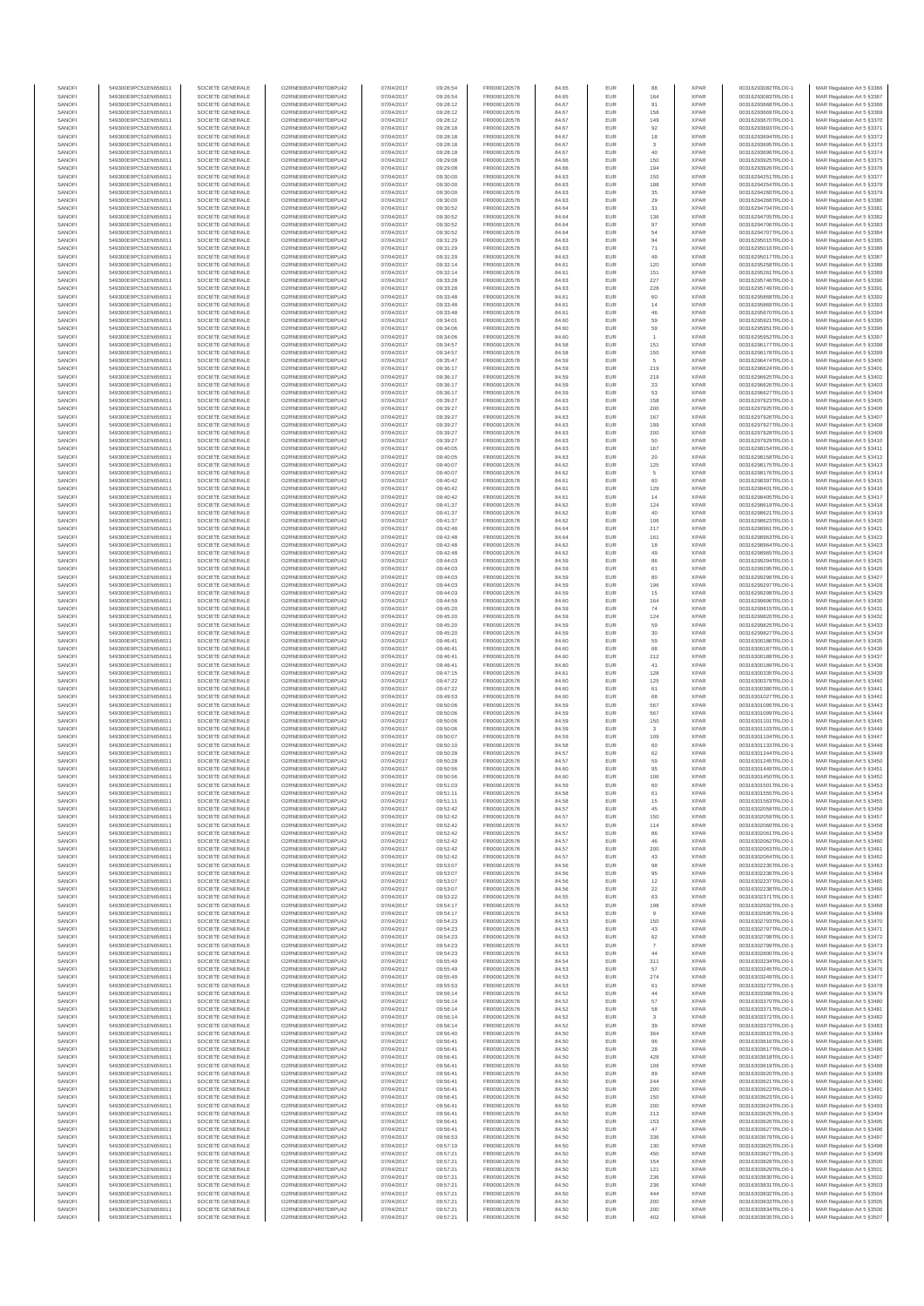| SANOFI<br>SANOFI | 549300E9PC51EN656011<br>549300E9PC51EN656011 | SOCIETE GENERALE<br>SOCIETE GENERALE | O2RNE8IBXP4R0TD8PU42<br>O2RNE8IBXP4R0TD8PU42  | 07/04/2017<br>07/04/2017 | 09:26:54<br>09:26:54 | FR0000120578<br>FR0000120578 | 84.65<br>84.65 | <b>EUR</b><br>EUR | 164           | <b>XPAR</b><br><b>XPAR</b> | 00316293082TRLO0-1<br>00316293083TRLO0-1 | MAR Regulation Art 5 §3366<br>MAR Regulation Art 5 §3367  |
|------------------|----------------------------------------------|--------------------------------------|-----------------------------------------------|--------------------------|----------------------|------------------------------|----------------|-------------------|---------------|----------------------------|------------------------------------------|-----------------------------------------------------------|
| SANOFI           | 549300E9PC51EN656011                         | SOCIETE GENERALE                     | O2RNE8IBXP4R0TD8PU42                          | 07/04/2017               | 09:28:12             | FR0000120578                 | 84.67          | <b>EUR</b>        | 91            | <b>XPAR</b>                | 00316293668TRLO0-1                       | MAR Regulation Art 5 §3368                                |
| SANOFI<br>SANOFI | 549300E9PC51EN656011<br>549300E9PC51EN656011 | SOCIETE GENERALE<br>SOCIETE GENERALE | O2RNE8IBXP4R0TD8PU42<br>O2RNE8IBXP4R0TD8PU42  | 07/04/2017<br>07/04/2017 | 09:28:12             | FR0000120578                 | 84.67          | EUR               | 158           | <b>XPAR</b><br><b>XPAR</b> | 00316293669TRLO0-1<br>00316293670TRLO0-1 | MAR Regulation Art 5 §3369                                |
| SANOFI           | 549300E9PC51EN656011                         | SOCIETE GENERALE                     | O2RNE8IBXP4R0TD8PU42                          | 07/04/2017               | 09:28:12<br>09:28:18 | FR0000120578<br>FR0000120578 | 84.67<br>84.67 | <b>EUR</b><br>EUR | 149<br>92     | <b>XPAR</b>                | 00316293693TRLO0-1                       | MAR Regulation Art 5 §3370<br>MAR Regulation Art 5 §3371  |
| SANOFI           | 549300E9PC51EN656011                         | SOCIETE GENERALE                     | O2RNE8IBXP4R0TD8PU42                          | 07/04/2017               | 09:28:18             | FR0000120578                 | 84.67          | EUR               | $18\,$        | <b>XPAR</b>                | 00316293694TRLO0-1                       | MAR Regulation Art 5 §3372                                |
| SANOFI<br>SANOFI | 549300E9PC51EN656011<br>549300E9PC51EN656011 | SOCIETE GENERALE<br>SOCIETE GENERALE | O2RNE8IBXP4R0TD8PU42<br>O2RNE8IBXP4R0TD8PU42  | 07/04/2017<br>07/04/2017 | 09:28:18<br>09:28:18 | FR0000120578<br>FR0000120578 | 84.67<br>84.67 | EUR<br>EUR        | 3<br>40       | <b>XPAR</b><br><b>XPAR</b> | 00316293695TRLO0-1<br>00316293696TRLO0-1 | MAR Regulation Art 5 §3373<br>MAR Regulation Art 5 §3374  |
| SANOFI           | 549300E9PC51EN656011                         | SOCIETE GENERALE                     | O2RNE8IBXP4R0TD8PU42                          | 07/04/2017               | 09:29:08             | FR0000120578                 | 84.66          | EUR               | 150           | <b>XPAR</b>                | 00316293925TRLO0-1                       | MAR Regulation Art 5 §3375                                |
| SANOFI<br>SANOFI | 549300E9PC51EN656011<br>549300E9PC51EN656011 | SOCIETE GENERALE<br>SOCIETE GENERALE | O2RNE8IBXP4R0TD8PU42<br>O2RNE8IBXP4R0TD8PU42  | 07/04/2017<br>07/04/2017 | 09:29:08<br>09:30:00 | FR0000120578<br>FR0000120578 | 84.66<br>84.63 | EUR<br>EUR        | 194<br>150    | <b>XPAR</b><br><b>XPAR</b> | 00316293926TRLO0-1<br>00316294251TRLO0-1 | MAR Regulation Art 5 \$3376<br>MAR Regulation Art 5 §3377 |
| SANOFI           | 549300E9PC51EN656011                         | SOCIETE GENERALE                     | O2RNE8IBXP4R0TD8PU42                          | 07/04/2017               | 09:30:00             | FR0000120578                 | 84.63          | EUR               | 188           | <b>XPAR</b>                | 00316294254TRLO0-1                       | MAR Regulation Art 5 §3378                                |
| SANOFI           | 549300E9PC51EN656011                         | SOCIETE GENERALE                     | O2RNE8IBXP4R0TD8PU42                          | 07/04/2017               | 09:30:00             | FR0000120578                 | 84.63          | <b>EUR</b>        | 35            | <b>XPAR</b>                | 00316294260TRLO0-1                       | MAR Regulation Art 5 §3379                                |
| SANOFI<br>SANOFI | 549300E9PC51EN656011<br>549300E9PC51EN656011 | SOCIETE GENERALE<br>SOCIETE GENERALE | O2RNE8IBXP4R0TD8PU42<br>O2RNE8IBXP4R0TD8PU42  | 07/04/2017<br>07/04/2017 | 09:30:00<br>09:30:52 | FR0000120578<br>FR0000120578 | 84.63<br>84.64 | EUR<br><b>EUR</b> | 29<br>31      | <b>XPAR</b><br><b>XPAR</b> | 00316294266TRLO0-1<br>00316294704TRLO0-1 | MAR Regulation Art 5 §3380<br>MAR Regulation Art 5 §3381  |
| SANOFI           | 549300E9PC51EN656011                         | SOCIETE GENERALE                     | O2RNE8IBXP4R0TD8PU42                          | 07/04/2017               | 09:30:52             | FR0000120578                 | 84.64          | EUR               | 136           | <b>XPAR</b>                | 00316294705TRLO0-1                       | MAR Regulation Art 5 §3382                                |
| SANOFI<br>SANOFI | 549300E9PC51EN656011<br>549300E9PC51EN656011 | SOCIETE GENERALE<br>SOCIETE GENERALE | O2RNE8IBXP4R0TD8PU42<br>O2RNE8IBXP4R0TD8PU42  | 07/04/2017<br>07/04/2017 | 09:30:52<br>09:30:52 | FR0000120578<br>FR0000120578 | 84.64<br>84.64 | EUR<br>EUR        | 97<br>54      | <b>XPAR</b><br><b>XPAR</b> | 00316294706TRLO0-1<br>00316294707TRLO0-1 | MAR Regulation Art 5 §3383<br>MAR Regulation Art 5 §3384  |
| SANOFI           | 549300E9PC51EN656011                         | SOCIETE GENERALE                     | O2RNE8IBXP4R0TD8PU42                          | 07/04/2017               | 09:31:29             | FR0000120578                 | 84.63          | EUR               | 94            | <b>XPAR</b>                | 00316295015TRLO0-1                       | MAR Regulation Art 5 §3385                                |
| SANOFI           | 549300E9PC51EN656011                         | SOCIETE GENERALE                     | O2RNE8IBXP4R0TD8PU42<br>O2RNE8IBXP4R0TD8PU42  | 07/04/2017               | 09:31:29             | FR0000120578<br>FR0000120578 | 84.63          | EUR               | $71\,$        | <b>XPAR</b>                | 00316295016TRLO0-1                       | MAR Regulation Art 5 §3386<br>MAR Regulation Art 5 \$3387 |
| SANOFI<br>SANOFI | 549300E9PC51EN656011<br>549300E9PC51EN656011 | SOCIETE GENERALE<br>SOCIETE GENERALE | O2RNE8IBXP4R0TD8PU42                          | 07/04/2017<br>07/04/2017 | 09:31:29<br>09:32:14 | FR0000120578                 | 84.63<br>84.61 | EUR<br><b>EUR</b> | 49<br>120     | <b>XPAR</b><br><b>XPAR</b> | 00316295017TRLO0-1<br>00316295258TRLO0-1 | MAR Regulation Art 5 §3388                                |
| SANOFI           | 549300E9PC51EN656011                         | SOCIETE GENERALE                     | O2RNE8IBXP4R0TD8PU42                          | 07/04/2017               | 09:32:14             | FR0000120578                 | 84.61          | EUR               | 151           | <b>XPAR</b>                | 00316295261TRLO0-1                       | MAR Regulation Art 5 §3389                                |
| SANOFI<br>SANOFI | 549300E9PC51EN656011<br>549300E9PC51EN656011 | SOCIETE GENERALE<br>SOCIETE GENERALE | O2RNE8IBXP4R0TD8PU42<br>O2RNE8IBXP4R0TD8PU42  | 07/04/2017<br>07/04/2017 | 09:33:28<br>09:33:28 | FR0000120578<br>FR0000120578 | 84.63<br>84.63 | EUR<br>EUR        | 227<br>228    | <b>XPAR</b><br><b>XPAR</b> | 00316295746TRLO0-1<br>00316295749TRLO0-1 | MAR Regulation Art 5 \$3390<br>MAR Regulation Art 5 §3391 |
| SANOFI           | 549300E9PC51EN656011                         | SOCIETE GENERALE                     | O2RNE8IBXP4R0TD8PU42                          | 07/04/2017               | 09:33:48             | FR0000120578                 | 84.61          | <b>EUR</b>        | 60            | <b>XPAR</b>                | 00316295868TRLO0-1                       | MAR Regulation Art 5 §3392                                |
| SANOFI<br>SANOFI | 549300E9PC51EN656011<br>549300E9PC51EN656011 | SOCIETE GENERALE<br>SOCIETE GENERALE | O2RNE8IBXP4R0TD8PU42<br>O2RNE8IBXP4R0TD8PU42  | 07/04/2017<br>07/04/2017 | 09:33:48<br>09:33:48 | FR0000120578<br>FR0000120578 | 84.61<br>84.61 | EUR<br>EUR        | 14<br>46      | XPAR<br><b>XPAR</b>        | 00316295869TRLO0-1<br>00316295870TRLO0-1 | MAR Regulation Art 5 §3393                                |
| SANOFI           | 549300E9PC51EN656011                         | SOCIETE GENERALE                     | O2RNE8IBXP4R0TD8PU42                          | 07/04/2017               | 09:34:01             | FR0000120578                 | 84.60          | EUR               | 59            | <b>XPAR</b>                | 00316295921TRLO0-1                       | MAR Regulation Art 5 §3394<br>MAR Regulation Art 5 §3395  |
| SANOFI           | 549300E9PC51EN656011                         | SOCIETE GENERALE                     | O2RNE8IBXP4R0TD8PU42                          | 07/04/2017               | 09:34:06             | FR0000120578                 | 84.60          | EUR               | 59            | <b>XPAR</b>                | 00316295951TRLO0-1                       | MAR Regulation Art 5 §3396                                |
| SANOFI<br>SANOFI | 549300E9PC51EN656011<br>549300E9PC51EN656011 | SOCIETE GENERALE<br>SOCIETE GENERALE | O2RNE8IBXP4R0TD8PU42<br>O2RNE8IBXP4R0TD8PU42  | 07/04/2017<br>07/04/2017 | 09:34:06<br>09:34:57 | FR0000120578<br>FR0000120578 | 84.60<br>84.58 | EUR<br>EUR        | 151           | <b>XPAR</b><br><b>XPAR</b> | 00316295952TRLO0-1<br>00316296177TRLO0-1 | MAR Regulation Art 5 §3397<br>MAR Regulation Art 5 §3398  |
| SANOFI           | 549300E9PC51EN656011                         | SOCIETE GENERALE                     | O2RNE8IBXP4R0TD8PU42                          | 07/04/2017               | 09:34:57             | FR0000120578                 | 84.58          | <b>EUR</b>        | 150           | <b>XPAR</b>                | 00316296178TRLO0-1                       | MAR Regulation Art 5 §3399                                |
| SANOFI<br>SANOFI | 549300E9PC51EN656011<br>549300E9PC51EN656011 | SOCIETE GENERALE<br>SOCIETE GENERALE | O2RNE8IBXP4R0TD8PU42<br>O2RNE8IBXP4R0TD8PU42  | 07/04/2017<br>07/04/2017 | 09:35:47<br>09:36:17 | FR0000120578<br>FR0000120578 | 84.59<br>84.59 | EUR<br>EUR        | 5<br>219      | <b>XPAR</b><br><b>XPAR</b> | 00316296474TRLO0-1<br>00316296624TRLO0-1 | MAR Regulation Art 5 §3400<br>MAR Regulation Art 5 §3401  |
| SANOFI           | 549300E9PC51EN656011                         | SOCIETE GENERALE                     | O2RNE8IBXP4R0TD8PU42                          | 07/04/2017               | 09:36:17             | FR0000120578                 | 84.59          | EUR               | 219           | <b>XPAR</b>                | 00316296625TRLO0-1                       | MAR Regulation Art 5 §3402                                |
| SANOFI<br>SANOFI | 549300E9PC51EN656011<br>549300E9PC51EN656011 | SOCIETE GENERALE<br>SOCIETE GENERALE | O2RNE8IBXP4R0TD8PU42<br>O2RNE8IBXP4R0TD8PU42  | 07/04/2017<br>07/04/2017 | 09:36:17<br>09:36:17 | FR0000120578<br>FR0000120578 | 84.59<br>84.59 | EUR<br><b>EUR</b> | $23\,$<br>53  | <b>XPAR</b><br><b>XPAR</b> | 00316296626TRLO0-1<br>00316296627TRLO0-1 | MAR Regulation Art 5 §3403<br>MAR Regulation Art 5 §3404  |
| SANOFI           | 549300E9PC51EN656011                         | SOCIETE GENERALE                     | O2RNE8IBXP4R0TD8PU42                          | 07/04/2017               | 09:39:27             | FR0000120578                 | 84.63          | EUR               | 158           | <b>XPAR</b>                | 00316297923TRLO0-1                       | MAR Regulation Art 5 §3405                                |
| SANOFI           | 549300E9PC51EN656011                         | SOCIETE GENERALE                     | O2RNE8IBXP4R0TD8PU42                          | 07/04/2017               | 09:39:27             | FR0000120578                 | 84.63          | <b>EUR</b>        | 200           | <b>XPAR</b>                | 00316297925TRLO0-1                       | MAR Regulation Art 5 §3406                                |
| SANOFI<br>SANOFI | 549300E9PC51EN656011<br>549300E9PC51EN656011 | SOCIETE GENERALE<br>SOCIETE GENERALE | O2RNE8IBXP4R0TD8PU42<br>O2RNE8IBXP4R0TD8PU42  | 07/04/2017<br>07/04/2017 | 09:39:27<br>09:39:27 | FR0000120578<br>FR0000120578 | 84.63<br>84.63 | EUR<br>EUR        | 167<br>199    | <b>XPAR</b><br><b>XPAR</b> | 00316297926TRLO0-1<br>00316297927TRLO0-1 | MAR Regulation Art 5 §3407<br>MAR Regulation Art 5 §3408  |
| SANOFI           | 549300E9PC51EN656011                         | SOCIETE GENERALE                     | O2RNE8IBXP4R0TD8PU42                          | 07/04/2017               | 09:39:27             | FR0000120578                 | 84.63          | EUR               | 200           | <b>XPAR</b>                | 00316297928TRLO0-1                       | MAR Regulation Art 5 §3409                                |
| SANOFI<br>SANOFI | 549300E9PC51EN656011<br>549300E9PC51EN656011 | SOCIETE GENERALE<br>SOCIETE GENERALE | O2RNE8IBXP4R0TD8PU42<br>O2RNE8IBXP4R0TD8PU42  | 07/04/2017<br>07/04/2017 | 09:39:27<br>09:40:05 | FR0000120578<br>FR0000120578 | 84.63<br>84.63 | EUR<br><b>EUR</b> | 50<br>167     | <b>XPAR</b><br><b>XPAR</b> | 00316297929TRLO0-1<br>00316298154TRLO0-1 | MAR Regulation Art 5 §3410<br>MAR Regulation Art 5 §3411  |
| SANOFI           | 549300E9PC51EN656011                         | SOCIETE GENERALE                     | O2RNE8IBXP4R0TD8PU42                          | 07/04/2017               | 09:40:05             | FR0000120578                 | 84.63          | EUR               | 20            | <b>XPAR</b>                | 00316298158TRLO0-1                       | MAR Regulation Art 5 §3412                                |
| SANOFI<br>SANOFI | 549300E9PC51EN656011<br>549300E9PC51EN656011 | SOCIETE GENERALE<br>SOCIETE GENERALE | O2RNE8IBXP4R0TD8PU42<br>O2RNE8IBXP4R0TD8PU42  | 07/04/2017<br>07/04/2017 | 09:40:07<br>09:40:07 | FR0000120578<br>FR0000120578 | 84.62<br>84.62 | EUR<br>EUR        | 125           | <b>XPAR</b><br><b>XPAR</b> | 00316298175TRLO0-1<br>00316298176TRLO0-1 | MAR Regulation Art 5 \$3413<br>MAR Regulation Art 5 §3414 |
| SANOFI           | 549300E9PC51EN656011                         | SOCIETE GENERALE                     | O2RNE8IBXP4R0TD8PU42                          | 07/04/2017               | 09:40:42             | FR0000120578                 | 84.61          | EUR               | 60            | <b>XPAR</b>                | 00316298397TRLO0-1                       | MAR Regulation Art 5 \$3415                               |
| SANOFI<br>SANOFI | 549300E9PC51EN656011<br>549300E9PC51EN656011 | SOCIETE GENERALE<br>SOCIETE GENERALE | O2RNE8IBXP4R0TD8PU42<br>O2RNE8IBXP4R0TD8PU42  | 07/04/2017<br>07/04/2017 | 09:40:42<br>09:40:42 | FR0000120578<br>FR0000120578 | 84.61          | EUR<br>EUR        | 129<br>14     | <b>XPAR</b><br><b>XPAR</b> | 00316298401TRLO0-1<br>00316298405TRLO0-1 | MAR Regulation Art 5 §3416<br>MAR Regulation Art 5 §3417  |
| SANOFI           | 549300E9PC51EN656011                         | SOCIETE GENERALE                     | O2RNE8IBXP4R0TD8PU42                          | 07/04/2017               | 09:41:37             | FR0000120578                 | 84.61<br>84.62 | EUR               | 124           | <b>XPAR</b>                | 00316298619TRLO0-1                       | MAR Regulation Art 5 §3418                                |
| SANOFI           | 549300E9PC51EN656011                         | SOCIETE GENERALE                     | O2RNE8IBXP4R0TD8PU42                          | 07/04/2017               | 09:41:37             | FR0000120578                 | 84.62          | EUR               | 40            | <b>XPAR</b>                | 00316298621TRLO0-1                       | MAR Regulation Art 5 §3419                                |
| SANOFI<br>SANOFI | 549300E9PC51EN656011<br>549300E9PC51EN656011 | SOCIETE GENERALE<br>SOCIETE GENERALE | O2RNE8IBXP4R0TD8PU42<br>O2RNE8IBXP4R0TD8PU42  | 07/04/2017<br>07/04/2017 | 09:41:37<br>09:42:48 | FR0000120578<br>FR0000120578 | 84.62<br>84.64 | EUR<br>EUR        | 106<br>217    | <b>XPAR</b><br><b>XPAR</b> | 00316298623TRLO0-1<br>00316298961TRLO0-1 | MAR Regulation Art 5 §3420<br>MAR Regulation Art 5 §3421  |
| SANOFI           | 549300E9PC51EN656011                         | SOCIETE GENERALE                     | O2RNE8IBXP4R0TD8PU42                          | 07/04/2017               | 09:42:48             | FR0000120578                 | 84.64          | EUR               | 161           | <b>XPAR</b>                | 00316298963TRLO0-1                       | MAR Regulation Art 5 §3422                                |
| SANOFI<br>SANOFI | 549300E9PC51EN656011<br>549300E9PC51EN656011 | SOCIETE GENERALE<br>SOCIETE GENERALE | O2RNE8IBXP4R0TD8PU42<br>O2RNE8IBXP4R0TD8PU42  | 07/04/2017<br>07/04/2017 | 09:42:48<br>09:42:48 | FR0000120578<br>FR0000120578 | 84.62<br>84.62 | EUR<br>EUR        | 18<br>49      | <b>XPAR</b><br><b>XPAR</b> | 00316298964TRLO0-1<br>00316298965TRLO0-1 | MAR Regulation Art 5 §3423<br>MAR Regulation Art 5 §3424  |
| SANOFI           | 549300E9PC51EN656011                         | SOCIETE GENERALE                     | O2RNE8IBXP4R0TD8PU42                          | 07/04/2017               | 09:44:03             | FR0000120578                 | 84.59          | EUR               | 86            | <b>XPAR</b>                | 00316299294TRLO0-1                       | MAR Regulation Art 5 §3425                                |
| SANOFI<br>SANOFI | 549300E9PC51EN656011<br>549300E9PC51EN656011 | SOCIETE GENERALE<br>SOCIETE GENERALE | O2RNE8IBXP4R0TD8PU42<br>O2RNE8IBXP4R0TD8PU42  | 07/04/2017<br>07/04/2017 | 09:44:03<br>09:44:03 | FR0000120578<br>FR0000120578 | 84.59<br>84.59 | EUR<br>EUR        | 61<br>80      | <b>XPAR</b><br><b>XPAR</b> | 00316299295TRLO0-1<br>00316299296TRLO0-1 | MAR Regulation Art 5 §3426<br>MAR Regulation Art 5 §3427  |
| SANOFI           | 549300E9PC51EN656011                         | SOCIETE GENERALE                     | O2RNE8IBXP4R0TD8PU42                          | 07/04/2017               | 09:44:03             | FR0000120578                 | 84.59          | EUR               | 196           | <b>XPAR</b>                | 00316299297TRLO0-1                       | MAR Regulation Art 5 §3428                                |
| SANOFI           | 549300E9PC51EN656011                         | SOCIETE GENERALE                     | O2RNE8IBXP4R0TD8PU42                          | 07/04/2017               | 09:44:03             | FR0000120578                 | 84.59          | EUR               | 15            | <b>XPAR</b>                | 00316299298TRLO0-1                       | MAR Regulation Art 5 §3429                                |
| SANOFI<br>SANOFI | 549300E9PC51EN656011<br>549300E9PC51EN656011 | SOCIETE GENERALE<br>SOCIETE GENERALE | O2RNE8IBXP4R0TD8PU42<br>O2RNE8IBXP4R0TD8PU42  | 07/04/2017<br>07/04/2017 | 09:44:59<br>09:45:20 | FR0000120578<br>FR0000120578 | 84.60<br>84.59 | EUR<br>EUR        | 164<br>74     | <b>XPAR</b><br><b>XPAR</b> | 00316299696TRLO0-1<br>00316299815TRLO0-1 | MAR Regulation Art 5 §3430<br>MAR Regulation Art 5 §3431  |
| SANOFI           | 549300E9PC51EN656011                         | SOCIETE GENERALE                     | O2RNE8IBXP4R0TD8PU42                          | 07/04/2017               | 09:45:20             | FR0000120578                 | 84.59          | EUR               | $124\,$       | <b>XPAR</b>                | 00316299820TRLO0-1                       | MAR Regulation Art 5 §3432                                |
| SANOFI<br>SANOFI | 549300E9PC51EN656011<br>549300E9PC51EN656011 | SOCIETE GENERALE<br>SOCIETE GENERALE | O2RNE8IBXP4R0TD8PU42<br>O2RNE8IBXP4R0TD8PU42  | 07/04/2017<br>07/04/2017 | 09:45:20<br>09:45:20 | FR0000120578<br>FR0000120578 | 84.59<br>84.59 | EUR<br>EUR        | 59<br>$30\,$  | <b>XPAR</b><br><b>XPAR</b> | 00316299825TRLO0-1<br>00316299827TRLO0-1 | MAR Regulation Art 5 §3433<br>MAR Regulation Art 5 §3434  |
| SANOFI           | 549300E9PC51EN656011                         | SOCIETE GENERALE                     | O2RNE8IBXP4R0TD8PU42                          | 07/04/2017               | 09:46:41             | FR0000120578                 | 84.60          | EUR               | 59            | <b>XPAR</b>                | 00316300186TRLO0-1                       | MAR Regulation Art 5 §3435                                |
| SANOFI<br>SANOFI | 549300E9PC51EN656011<br>549300E9PC51EN656011 | SOCIETE GENERALE<br>SOCIETE GENERALE | O2RNE8IBXP4R0TD8PU42<br>O2RNE8IBXP4R0TD8PU42  | 07/04/2017<br>07/04/2017 | 09:46:41<br>09:46:41 | FR0000120578<br>FR0000120578 | 84.60<br>84.60 | <b>EUR</b><br>EUR | 68<br>$212\,$ | <b>XPAR</b><br><b>XPAR</b> | 00316300187TRLO0-1<br>00316300188TRLO0-1 | MAR Regulation Art 5 §3436<br>MAR Regulation Art 5 §3437  |
| SANOFI           | 549300E9PC51EN656011                         | SOCIETE GENERALE                     | O2RNE8IBXP4R0TD8PU42                          | 07/04/2017               | 09:46:41             | FR0000120578                 | 84.60          | EUR               | 41            | <b>XPAR</b>                | 00316300189TRLO0-1                       | MAR Regulation Art 5 §3438                                |
| SANOFI           | 549300E9PC51EN656011                         | SOCIETE GENERALE                     | O2RNE8IBXP4R0TD8PU42                          | 07/04/2017               | 09:47:15             | FR0000120578                 | 84.61          | EUR               | 128           | <b>XPAR</b>                | 00316300335TRLO0-1                       | MAR Regulation Art 5 §3439                                |
| SANOFI<br>SANOFI | 549300E9PC51EN656011<br>549300E9PC51EN656011 | SOCIETE GENERALE<br>SOCIETE GENERALE | O2RNE8IBXP4R0TD8PU42<br>O2RNE8IBXP4R0TD8PU42  | 07/04/2017<br>07/04/2017 | 09:47:22<br>09:47:22 | FR0000120578<br>FR0000120578 | 84.60<br>84.60 | EUR<br>EUR        | 125<br>61     | <b>XPAR</b><br><b>XPAR</b> | 00316300379TRLO0-1<br>00316300380TRLO0-1 | MAR Regulation Art 5 §3440<br>MAR Regulation Art 5 §3441  |
| SANOFI           | 549300E9PC51EN656011                         | SOCIETE GENERALE                     | O2RNE8IBXP4R0TD8PU42                          | 07/04/2017               | 09:49:53             | FR0000120578                 | 84.60          | <b>EUR</b>        | 68            | <b>XPAR</b>                | 00316301027TRLO0-1                       | MAR Regulation Art 5 §3442                                |
| SANOFI<br>SANOFI | 549300E9PC51EN656011<br>549300E9PC51EN656011 | SOCIETE GENERALE<br>SOCIETE GENERALE | O2RNE8IBXP4R0TD8PU42<br>O2RNE8IBXP4R0TD8PU42  | 07/04/2017<br>07/04/2017 | 09:50:06<br>09:50:06 | FR0000120578<br>FR0000120578 | 84.59<br>84.59 | <b>EUR</b><br>EUR | 567<br>567    | <b>XPAR</b><br><b>XPAR</b> | 00316301095TRLO0-1<br>00316301099TRLO0-1 | MAR Regulation Art 5 §3443<br>MAR Regulation Art 5 §3444  |
| SANOFI           | 549300E9PC51EN656011                         | SOCIETE GENERALE                     | O2RNE8IBXP4R0TD8PLI42                         | 07/04/2017               | 09:50:06             | FR0000120578                 | 84.59          | EUR               | 150           | <b>XPAR</b>                | 00316301101TRLO0-1                       | MAR Regulation Art 5 §3445                                |
| SANOFI<br>SANOFI | 549300E9PC51EN656011<br>549300E9PC51EN656011 | SOCIETE GENERALE<br>SOCIETE GENERALE | O2RNE8IBXP4R0TD8PU42<br>O2RNE8IBXP4R0TD8PU42  | 07/04/2017<br>07/04/2017 | 09:50:06<br>09:50:07 | FR0000120578<br>FR0000120578 | 84.59<br>84.59 | EUR<br><b>EUR</b> | 3<br>109      | <b>XPAR</b><br><b>XPAR</b> | 00316301103TRLO0-1<br>00316301104TRLO0-1 | MAR Regulation Art 5 §3446<br>MAR Regulation Art 5 \$3447 |
| SANOFI           | 549300E9PC51EN656011                         | SOCIETE GENERALE                     | O2RNE8IBXP4R0TD8PU42                          | 07/04/2017               | 09:50:10             | FR0000120578                 | 84.58          | EUR               | 60            | <b>XPAR</b>                | 00316301133TRLO0-1                       | MAR Regulation Art 5 §3448                                |
| SANOFI<br>SANOFI | 549300E9PC51EN656011<br>549300E9PC51EN656011 | SOCIETE GENERALE<br>SOCIETE GENERALE | O2RNE8IBXP4R0TD8PU42<br>O2RNE8IBXP4R0TD8PU42  | 07/04/2017               | 09:50:28             | FR0000120578                 | 84.57          | <b>EUR</b>        | 62            | <b>XPAR</b><br><b>XPAR</b> | 00316301244TRLO0-1                       | MAR Regulation Art 5 §3449                                |
| SANOFI           | 549300E9PC51EN656011                         | SOCIETE GENERALE                     | O2RNE8IBXP4R0TD8PU42                          | 07/04/2017<br>07/04/2017 | 09:50:28<br>09:50:56 | FR0000120578<br>FR0000120578 | 84.57<br>84.60 | EUR<br>EUR        | 59<br>95      | <b>XPAR</b>                | 00316301245TRLO0-1<br>00316301449TRLO0-1 | MAR Regulation Art 5 §3450<br>MAR Regulation Art 5 §3451  |
| SANOFI           | 549300E9PC51EN656011                         | SOCIETE GENERALE                     | O2RNE8IBXP4R0TD8PU42                          | 07/04/2017               | 09:50:56             | FR0000120578                 | 84.60          | EUR               | 106           | <b>XPAR</b>                | 00316301450TRLO0-1                       | MAR Regulation Art 5 §3452                                |
| SANOF<br>SANOFI  | 549300E9PC51EN656011<br>549300E9PC51EN656011 | SOCIETE GENERALE<br>SOCIETE GENERALE | O2RNE8IBXP4R0TD8PU42<br>O2RNE8IBXP4R0TD8PU42  | 07/04/2017<br>07/04/2017 | 09:51:03<br>09:51:11 | FR0000120578<br>FR0000120578 | 84.59<br>84.58 | EUF<br><b>EUR</b> | 61            | <b>XPAR</b><br><b>XPAR</b> | 00316301501TRLO0-<br>00316301555TRLO0-1  | MAR Regulation Art 5 §3453<br>MAR Regulation Art 5 §3454  |
| SANOFI           | 549300E9PC51EN656011                         | SOCIETE GENERALE                     | O2RNE8IBXP4R0TD8PU42                          | 07/04/2017               | 09:51:11             | FR0000120578                 | 84.58          | EUR               | 15            | <b>XPAR</b>                | 00316301563TRLO0-1                       | MAR Regulation Art 5 §3455                                |
| SANOFI<br>SANOFI | 549300E9PC51EN656011<br>549300E9PC51EN656011 | SOCIETE GENERALE<br>SOCIETE GENERALE | O2RNE8IBXP4R0TD8PU42<br>O2RNE8IBXP4R0TD8PU42  | 07/04/2017<br>07/04/2017 | 09:52:42<br>09:52:42 | FR0000120578<br>FR0000120578 | 84.57<br>84.57 | <b>EUR</b><br>EUR | 45<br>150     | <b>XPAR</b><br><b>XPAR</b> | 00316302058TRLO0-1<br>00316302059TRLO0-1 | MAR Regulation Art 5 §3456<br>MAR Regulation Art 5 §3457  |
| SANOFI           | 549300E9PC51EN656011                         | SOCIETE GENERALE                     | O2RNE8IBXP4R0TD8PU42                          | 07/04/2017               | 09:52:42             | FR0000120578                 | 84.57          | EUR               | 114           | <b>XPAR</b>                | 00316302060TRLO0-1                       | MAR Regulation Art 5 §3458                                |
| SANOFI<br>SANOFI | 549300E9PC51EN656011<br>549300E9PC51EN656011 | SOCIETE GENERALE<br>SOCIETE GENERALE | O2RNE8IBXP4R0TD8PU42<br>O2RNE8IBXP4R0TD8PU42  | 07/04/2017<br>07/04/2017 | 09:52:42<br>09:52:42 | FR0000120578<br>FR0000120578 | 84.57<br>84.57 | EUR<br>EUR        | 86<br>46      | <b>XPAR</b><br><b>XPAR</b> | 00316302061TRLO0-1<br>00316302062TRLO0-1 | MAR Regulation Art 5 §3459<br>MAR Regulation Art 5 §3460  |
| SANOFI           | 549300E9PC51EN656011                         | SOCIETE GENERALE                     | O2RNE8IBXP4R0TD8PU42                          | 07/04/2017               | 09:52:42             | FR0000120578                 | 84.57          | <b>EUR</b>        | 200           | <b>XPAR</b>                | 00316302063TRLO0-1                       | MAR Regulation Art 5 §3461                                |
| SANOFI<br>SANOFI | 549300E9PC51EN656011<br>549300E9PC51EN656011 | SOCIETE GENERALE<br>SOCIETE GENERALE | O2RNE8IBXP4R0TD8PU42<br>O2RNE8IBXP4R0TD8PLI42 | 07/04/2017<br>07/04/2017 | 09:52:42<br>09:53:07 | FR0000120578<br>FR0000120578 | 84.57<br>84.56 | EUR<br><b>EUR</b> | 43<br>98      | <b>XPAR</b><br><b>XPAR</b> | 00316302064TRLO0-1<br>00316302235TRLO0-1 | MAR Regulation Art 5 §3462<br>MAR Regulation Art 5 §3463  |
| SANOFI           | 549300E9PC51EN656011                         | SOCIETE GENERALE                     | O2RNE8IBXP4R0TD8PU42                          | 07/04/2017               | 09:53:07             | FR0000120578                 | 84.56          | EUR               | 95            | <b>XPAR</b>                | 00316302236TRLO0-1                       | MAR Regulation Art 5 §3464                                |
| SANOFI<br>SANOFI | 549300E9PC51EN656011<br>549300E9PC51EN656011 | SOCIETE GENERALE<br>SOCIETE GENERALE | O2RNE8IBXP4R0TD8PU42<br>O2RNE8IBXP4R0TD8PU42  | 07/04/2017<br>07/04/2017 | 09:53:07<br>09:53:07 | FR0000120578<br>FR0000120578 | 84.56<br>84.56 | EUR<br>EUR        | 12<br>$22\,$  | XPAR<br><b>XPAR</b>        | 00316302237TRLO0-1<br>00316302238TRLO0-1 | MAR Regulation Art 5 §3465<br>MAR Regulation Art 5 §3466  |
| SANOFI           | 549300E9PC51EN656011                         | SOCIETE GENERALE                     | O2RNE8IBXP4R0TD8PU42                          | 07/04/2017               | 09:53:22             | FR0000120578                 | 84.55          | EUR               | 63            | <b>XPAR</b>                | 00316302371TRLO0-1                       | MAR Regulation Art 5 §3467                                |
| SANOFI<br>SANOFI | 549300E9PC51EN656011<br>549300E9PC51EN656011 | SOCIETE GENERALE<br>SOCIETE GENERALE | O2RNE8IBXP4R0TD8PU42<br>O2RNE8IBXP4R0TD8PU42  | 07/04/2017<br>07/04/2017 | 09:54:17<br>09:54:17 | FR0000120578<br>FR0000120578 | 84.53<br>84.53 | <b>EUR</b><br>EUR | 198           | <b>XPAR</b><br><b>XPAR</b> | 00316302692TRLO0-1<br>00316302695TRLO0-1 | MAR Regulation Art 5 §3468<br>MAR Regulation Art 5 §3469  |
| SANOFI           | 549300E9PC51EN656011                         | SOCIETE GENERALE                     | O2RNE8IBXP4R0TD8PU42                          | 07/04/2017               | 09:54:23             | FR0000120578                 | 84.53          | <b>EUR</b>        | 150           | <b>XPAR</b>                | 00316302793TRLO0-1                       | MAR Regulation Art 5 §3470                                |
| SANOFI<br>SANOFI | 549300E9PC51EN656011<br>549300E9PC51EN656011 | SOCIETE GENERALE<br>SOCIETE GENERALE | O2RNE8IBXP4R0TD8PU42<br>O2RNE8IBXP4R0TD8PU42  | 07/04/2017<br>07/04/2017 | 09:54:23<br>09:54:23 | FR0000120578<br>FR0000120578 | 84.53<br>84.53 | EUR<br><b>EUR</b> | 43<br>62      | <b>XPAR</b><br><b>XPAR</b> | 00316302797TRLO0-1<br>00316302798TRLO0-1 | MAR Regulation Art 5 §3471                                |
| SANOFI           | 549300E9PC51EN656011                         | SOCIETE GENERALE                     | O2RNE8IBXP4R0TD8PU42                          | 07/04/2017               | 09:54:23             | FR0000120578                 | 84.53          | <b>EUR</b>        |               | <b>XPAR</b>                | 00316302799TRLO0-1                       | MAR Regulation Art 5 §3472<br>MAR Regulation Art 5 §3473  |
| SANOFI<br>SANOFI | 549300E9PC51EN656011                         | SOCIETE GENERALE<br>SOCIETE GENERALE | O2RNE8IBXP4R0TD8PU42                          | 07/04/2017<br>07/04/2017 | 09:54:23<br>09:55:49 | FR0000120578                 | 84.53          | EUR               | 44            | <b>XPAR</b><br><b>XPAR</b> | 00316302800TRLO0-1                       | MAR Regulation Art 5 §3474                                |
| SANOFI           | 549300E9PC51EN656011<br>549300E9PC51EN656011 | SOCIETE GENERALE                     | O2RNE8IBXP4R0TD8PU42<br>O2RNE8IBXP4R0TD8PU42  | 07/04/2017               | 09:55:49             | FR0000120578<br>FR0000120578 | 84.54<br>84.53 | <b>EUR</b><br>EUR | 311<br>57     | <b>XPAR</b>                | 00316303234TRLO0-1<br>00316303245TRLO0-1 | MAR Regulation Art 5 §3475<br>MAR Regulation Art 5 §3476  |
| SANOFI           | 549300E9PC51EN656011                         | SOCIETE GENERALE                     | O2RNE8IBXP4R0TD8PU42                          | 07/04/2017               | 09:55:49             | FR0000120578                 | 84.53          | EUR               | 274           | <b>XPAR</b>                | 00316303249TRLO0-1                       | MAR Regulation Art 5 §3477                                |
| SANOFI<br>SANOFI | 549300E9PC51EN656011<br>549300E9PC51EN656011 | SOCIETE GENERALE<br>SOCIETE GENERALE | O2RNE8IBXP4R0TD8PU42<br>O2RNE8IBXP4R0TD8PU42  | 07/04/2017<br>07/04/2017 | 09:55:53<br>09:56:14 | FR0000120578<br>FR0000120578 | 84.53<br>84.52 | EUR<br><b>EUR</b> | 61<br>44      | <b>XPAR</b><br><b>XPAR</b> | 00316303272TRLO0-1<br>00316303368TRLO0-1 | MAR Regulation Art 5 §3478<br>MAR Regulation Art 5 §3479  |
| SANOFI           | 549300E9PC51EN656011                         | SOCIETE GENERALE                     | O2RNE8IBXP4R0TD8PU42                          | 07/04/2017               | 09:56:14             | FR0000120578                 | 84.52          | EUR               | 57            | <b>XPAR</b>                | 00316303370TRLO0-1                       | MAR Regulation Art 5 §3480                                |
| SANOFI<br>SANOFI | 549300E9PC51EN656011<br>549300E9PC51EN656011 | SOCIETE GENERALE<br>SOCIETE GENERALE | O2RNE8IBXP4R0TD8PU42<br>O2RNE8IBXP4R0TD8PU42  | 07/04/2017<br>07/04/2017 | 09:56:14<br>09:56:14 | FR0000120578<br>FR0000120578 | 84.52<br>84.52 | <b>EUR</b><br>EUR | 58<br>3       | <b>XPAR</b><br><b>XPAR</b> | 00316303371TRLO0-1<br>00316303372TRLO0-1 | MAR Regulation Art 5 §3481<br>MAR Regulation Art 5 §3482  |
| SANOFI           | 549300E9PC51EN656011                         | SOCIETE GENERALE                     | O2RNE8IBXP4R0TD8PU42                          | 07/04/2017               | 09:56:14             | FR0000120578                 | 84.52          | EUR               | 39            | <b>XPAR</b>                | 00316303373TRLO0-1                       | MAR Regulation Art 5 §3483                                |
| SANOFI<br>SANOFI | 549300E9PC51EN656011<br>549300E9PC51EN656011 | SOCIETE GENERALE<br>SOCIETE GENERALE | O2RNE8IBXP4R0TD8PU42<br>O2RNE8IBXP4R0TD8PU42  | 07/04/2017<br>07/04/2017 | 09:56:40<br>09:56:41 | FR0000120578<br>FR0000120578 | 84.50<br>84.50 | EUR<br><b>EUR</b> | 364<br>96     | <b>XPAR</b><br><b>XPAR</b> | 00316303615TRLO0-1<br>00316303616TRLO0-1 | MAR Regulation Art 5 §3484<br>MAR Regulation Art 5 §3485  |
| SANOFI           | 549300E9PC51EN656011                         | SOCIETE GENERALE                     | O2RNE8IBXP4R0TD8PU42                          | 07/04/2017               | 09:56:41             | FR0000120578                 | 84.50          | <b>EUR</b>        | 28            | <b>XPAR</b>                | 00316303617TRLO0-1                       | MAR Regulation Art 5 §3486                                |
| SANOFI           | 549300E9PC51EN656011                         | SOCIETE GENERALE                     | O2RNE8IBXP4R0TD8PU42                          | 07/04/2017               | 09:56:41             | FR0000120578                 | 84.50          | EUR               | 428           | <b>XPAR</b>                | 00316303618TRLO0-1                       | MAR Regulation Art 5 §3487                                |
| SANOFI<br>SANOFI | 549300E9PC51EN656011<br>549300E9PC51EN656011 | SOCIETE GENERALE<br>SOCIETE GENERALE | O2RNE8IBXP4R0TD8PU42<br>O2RNE8IBXP4R0TD8PU42  | 07/04/2017<br>07/04/2017 | 09:56:41<br>09:56:41 | FR0000120578<br>FR0000120578 | 84.50<br>84.50 | <b>EUR</b><br>EUR | 106<br>89     | <b>XPAR</b><br><b>XPAR</b> | 00316303619TRLO0-1<br>00316303620TRLO0-1 | MAR Regulation Art 5 §3488<br>MAR Regulation Art 5 §3489  |
| SANOFI           | 549300E9PC51EN656011                         | SOCIETE GENERALE                     | O2RNE8IBXP4R0TD8PU42                          | 07/04/2017               | 09:56:41             | FR0000120578                 | 84.50          | <b>EUR</b>        | 244           | <b>XPAR</b>                | 00316303621TRLO0-1                       | MAR Regulation Art 5 §3490                                |
| SANOFI<br>SANOFI | 549300E9PC51EN656011<br>549300E9PC51EN656011 | SOCIETE GENERALE<br>SOCIETE GENERALE | O2RNE8IBXP4R0TD8PU42<br>O2RNE8IBXP4R0TD8PU42  | 07/04/2017<br>07/04/2017 | 09:56:41<br>09:56:41 | FR0000120578<br>FR0000120578 | 84.50<br>84.50 | EUR<br>EUR        | 200<br>150    | <b>XPAR</b><br><b>XPAR</b> | 00316303622TRLO0-1<br>00316303623TRLO0-1 | MAR Regulation Art 5 §3491<br>MAR Regulation Art 5 §3492  |
| SANOFI           | 549300E9PC51EN656011                         | SOCIETE GENERALE                     | O2RNE8IBXP4R0TD8PU42                          | 07/04/2017               | 09:56:41             | FR0000120578                 | 84.50          | EUR               | 200           | <b>XPAR</b>                | 00316303624TRLO0-1                       | MAR Regulation Art 5 §3493                                |
| SANOFI<br>SANOFI | 549300E9PC51EN656011<br>549300E9PC51EN656011 | SOCIETE GENERALE<br>SOCIETE GENERALE | O2RNE8IBXP4R0TD8PU42<br>O2RNE8IBXP4R0TD8PU42  | 07/04/2017<br>07/04/2017 | 09:56:41<br>09:56:41 | FR0000120578<br>FR0000120578 | 84.50<br>84.50 | EUR<br><b>EUR</b> | 213<br>153    | XPAR<br><b>XPAR</b>        | 00316303625TRLO0-1<br>00316303626TRLO0-1 | MAR Regulation Art 5 §3494                                |
| SANOFI           | 549300E9PC51EN656011                         | SOCIETE GENERALE                     | O2RNE8IBXP4R0TD8PU42                          | 07/04/2017               | 09:56:41             | FR0000120578                 | 84.50          | EUR               | 47            | <b>XPAR</b>                | 00316303627TRLO0-1                       | MAR Regulation Art 5 §3495<br>MAR Regulation Art 5 §3496  |
| SANOFI<br>SANOFI | 549300E9PC51EN656011<br>549300E9PC51EN656011 | SOCIETE GENERALE<br>SOCIETE GENERALE | O2RNE8IBXP4R0TD8PU42<br>O2RNE8IBXP4R0TD8PU42  | 07/04/2017<br>07/04/2017 | 09:56:53<br>09:57:19 | FR0000120578<br>FR0000120578 | 84.50<br>84.50 | <b>EUR</b><br>EUR | 336<br>130    | <b>XPAR</b><br><b>XPAR</b> | 00316303679TRLO0-1<br>00316303825TRLO0-1 | MAR Regulation Art 5 §3497                                |
| SANOFI           | 549300E9PC51EN656011                         | SOCIETE GENERALE                     | O2RNE8IBXP4R0TD8PU42                          | 07/04/2017               | 09:57:21             | FR0000120578                 | 84.50          | EUR               | 450           | <b>XPAR</b>                | 00316303827TRLO0-1                       | MAR Regulation Art 5 §3498<br>MAR Regulation Art 5 §3499  |
| SANOFI           | 549300E9PC51EN656011                         | SOCIETE GENERALE                     | O2RNE8IBXP4R0TD8PU42                          | 07/04/2017               | 09:57:21             | FR0000120578                 | 84.50          | EUR               | 154           | <b>XPAR</b>                | 00316303828TRLO0-1                       | MAR Regulation Art 5 §3500                                |
| SANOFI<br>SANOFI | 549300E9PC51EN656011<br>549300E9PC51EN656011 | SOCIETE GENERALE<br>SOCIETE GENERALE | O2RNE8IBXP4R0TD8PU42<br>O2RNE8IBXP4R0TD8PU42  | 07/04/2017<br>07/04/2017 | 09:57:21<br>09:57:21 | FR0000120578<br>FR0000120578 | 84.50<br>84.50 | EUR<br>EUR        | 121<br>236    | <b>XPAR</b><br><b>XPAR</b> | 00316303829TRLO0-1<br>00316303830TRLO0-1 | MAR Regulation Art 5 §3501<br>MAR Regulation Art 5 §3502  |
| SANOFI           | 549300E9PC51EN656011                         | SOCIETE GENERALE                     | O2RNE8IBXP4R0TD8PU42                          | 07/04/2017               | 09:57:21             | FR0000120578                 | 84.50          | EUR               | 236           | <b>XPAR</b>                | 00316303831TRLO0-1                       | MAR Regulation Art 5 §3503                                |
| SANOFI<br>SANOFI | 549300E9PC51EN656011<br>549300E9PC51EN656011 | SOCIETE GENERALE<br>SOCIETE GENERALE | O2RNE8IBXP4R0TD8PU42<br>O2RNE8IBXP4R0TD8PU42  | 07/04/2017<br>07/04/2017 | 09:57:21<br>09:57:21 | FR0000120578<br>FR0000120578 | 84.50<br>84.50 | <b>EUR</b><br>EUR | 444<br>200    | <b>XPAR</b><br><b>XPAR</b> | 00316303832TRLO0-1<br>00316303833TRLO0-1 | MAR Regulation Art 5 §3504<br>MAR Regulation Art 5 §3505  |
| SANOFI           | 549300E9PC51EN656011                         | SOCIETE GENERALE                     | O2RNE8IBXP4R0TD8PU42                          | 07/04/2017               | 09:57:21             | FR0000120578                 | 84.50          | <b>EUR</b>        | 200           | <b>XPAR</b>                | 00316303834TRLO0-1                       | MAR Regulation Art 5 §3506                                |
| SANOFI           | 549300E9PC51EN656011                         | SOCIETE GENERALE                     | O2RNE8IBXP4R0TD8PU42                          | 07/04/2017               | 09:57:21             | FR0000120578                 | 84.50          | EUR               | 402           | XPAR                       | 00316303835TRLO0-1                       | MAR Regulation Art 5 §3507                                |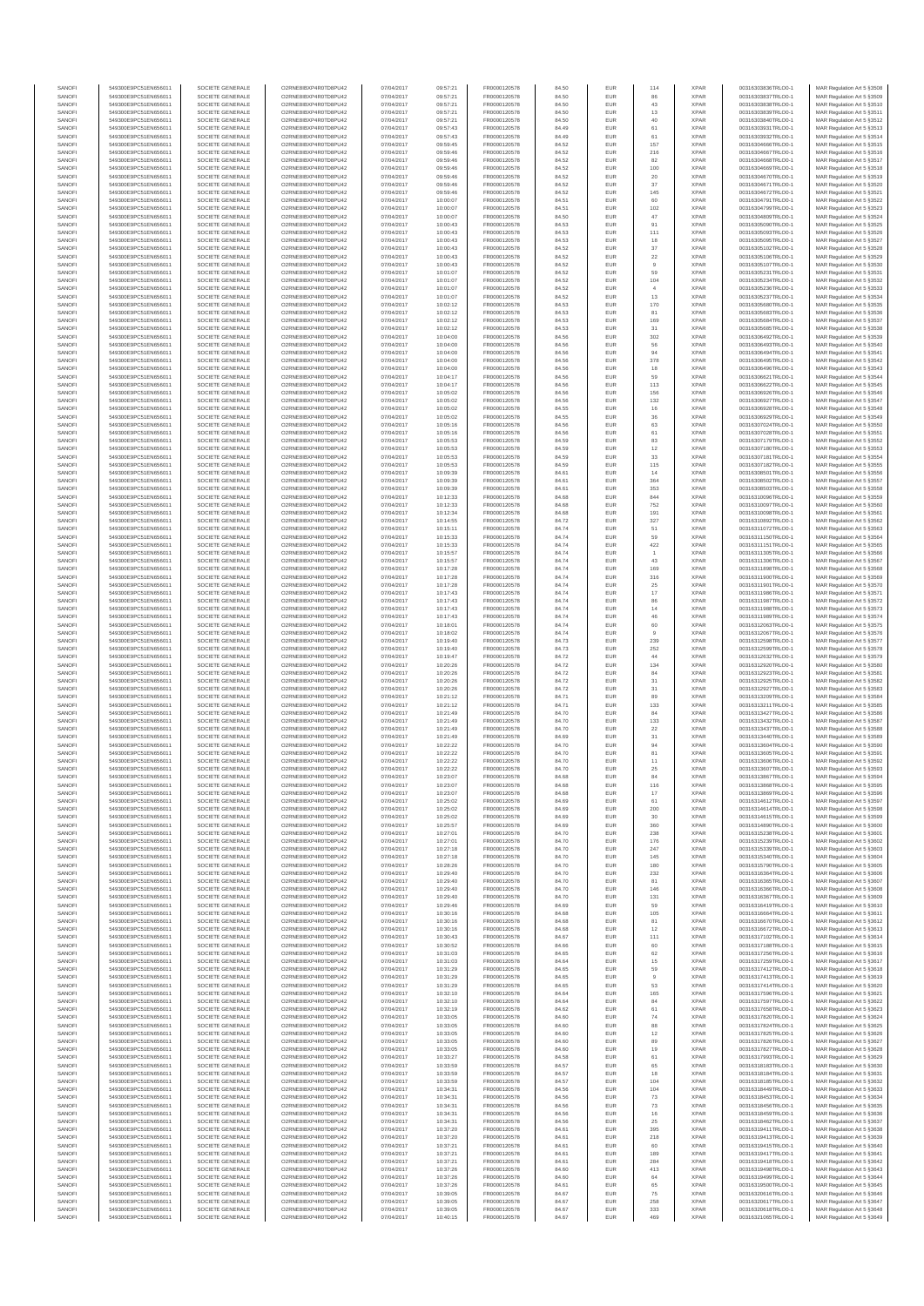| SANOF            | 549300E9PC51EN656011                         | SOCIETE GENERALE                     | O2RNE8IBXP4R0TD8PU42                          | 07/04/2017               | 09:57:21             | FR0000120578                 | 84.50          | EUR               | 114                   | <b>XPAR</b>                | 00316303836TRLO0-1                       | MAR Regulation Art 5 §3508                                |
|------------------|----------------------------------------------|--------------------------------------|-----------------------------------------------|--------------------------|----------------------|------------------------------|----------------|-------------------|-----------------------|----------------------------|------------------------------------------|-----------------------------------------------------------|
| SANOFI<br>SANOFI | 549300E9PC51EN656011                         | SOCIETE GENERALE<br>SOCIETE GENERALE | O2RNE8IBXP4R0TD8PLI42                         | 07/04/2017               | 09:57:21             | FR0000120578                 | 84.50          | EUR               | 86<br>43              | <b>XPAR</b><br><b>XPAR</b> | 00316303837TRLO0-1                       | MAR Regulation Art 5 §3509                                |
| SANOFI           | 549300E9PC51EN656011<br>549300E9PC51EN656011 | SOCIETE GENERALE                     | O2RNE8IBXP4R0TD8PU42<br>O2RNE8IBXP4R0TD8PLI42 | 07/04/2017<br>07/04/2017 | 09:57:21<br>09:57:21 | FR0000120578<br>FR0000120578 | 84.50<br>84.50 | EUR<br>EUR        | 13                    | <b>XPAR</b>                | 00316303838TRLO0-1<br>00316303839TRLO0-1 | MAR Regulation Art 5 §3510<br>MAR Regulation Art 5 §3511  |
| SANOFI           | 549300E9PC51EN656011                         | SOCIETE GENERALE                     | O2RNE8IBXP4R0TD8PU42                          | 07/04/2017               | 09:57:21             | FR0000120578                 | 84.50          | EUR               | 40                    | <b>XPAR</b>                | 00316303840TRLO0-1                       | MAR Regulation Art 5 §3512                                |
| SANOFI           | 549300E9PC51EN656011                         | SOCIETE GENERALE                     | O2RNE8IBXP4R0TD8PU42                          | 07/04/2017               | 09:57:43             | FR0000120578                 | 84.49          | EUR               | 61                    | <b>XPAR</b>                | 00316303931TRLO0-1                       | MAR Regulation Art 5 §3513                                |
| SANOFI<br>SANOFI | 549300E9PC51EN656011<br>549300E9PC51EN656011 | SOCIETE GENERALE<br>SOCIETE GENERALE | O2RNE8IBXP4R0TD8PU42<br>O2RNE8IBXP4R0TD8PU42  | 07/04/2017<br>07/04/2017 | 09:57:43<br>09:59:45 | FR0000120578<br>FR0000120578 | 84.49<br>84.52 | EUR<br>EUR        | 61<br>157             | <b>XPAR</b><br><b>XPAR</b> | 00316303932TRLO0-1<br>00316304666TRLO0-1 | MAR Regulation Art 5 \$3514<br>MAR Regulation Art 5 §3515 |
| SANOFI           | 549300E9PC51EN656011                         | SOCIETE GENERALE                     | O2RNE8IBXP4R0TD8PU42                          | 07/04/2017               | 09:59:46             | FR0000120578                 | 84.52          | EUR               | 216                   | <b>XPAR</b>                | 00316304667TRLO0-1                       | MAR Regulation Art 5 \$3516                               |
| SANOFI           | 549300E9PC51EN656011                         | SOCIETE GENERALE                     | O2RNE8IBXP4R0TD8PU42                          | 07/04/2017               | 09:59:46             | FR0000120578                 | 84.52          | EUR               | 82                    | <b>XPAR</b>                | 00316304668TRLO0-1                       | MAR Regulation Art 5 §3517                                |
| SANOFI<br>SANOFI | 549300E9PC51EN656011<br>549300E9PC51EN656011 | SOCIETE GENERALE<br>SOCIETE GENERALE | O2RNE8IBXP4R0TD8PU42<br>O2RNE8IBXP4R0TD8PU42  | 07/04/2017<br>07/04/2017 | 09:59:46<br>09:59:46 | FR0000120578<br>FR0000120578 | 84.52<br>84.52 | EUR<br>EUR        | 100<br>$20\,$         | <b>XPAR</b><br><b>XPAR</b> | 00316304669TRLO0-1<br>00316304670TRLO0-1 | MAR Regulation Art 5 §3518<br>MAR Regulation Art 5 §3519  |
| SANOFI           | 549300E9PC51EN656011                         | SOCIETE GENERALE                     | O2RNESIBXP4R0TD8PLI42                         | 07/04/2017               | 09:59:46             | FR0000120578                 | 84.52          | EUR               | 37                    | <b>XPAR</b>                | 00316304671TRLO0-1                       | MAR Regulation Art 5 §3520                                |
| SANOFI           | 549300E9PC51EN656011                         | SOCIETE GENERALE                     | O2RNE8IBXP4R0TD8PU42                          | 07/04/2017               | 09:59:46             | FR0000120578                 | 84.52          | EUR               | 145                   | <b>XPAR</b>                | 00316304672TRLO0-1                       | MAR Regulation Art 5 §3521                                |
| SANOFI           | 549300E9PC51EN656011                         | SOCIETE GENERALE                     | O2RNE8IBXP4R0TD8PU42                          | 07/04/2017               | 10:00:07             | FR0000120578                 | 84.51          | EUR               | 60                    | <b>XPAR</b>                | 00316304791TRLO0-1                       | MAR Regulation Art 5 §3522                                |
| SANOFI<br>SANOFI | 549300E9PC51EN656011<br>549300E9PC51EN656011 | SOCIETE GENERALE<br>SOCIETE GENERALE | O2RNE8IBXP4R0TD8PU42<br>O2RNE8IBXP4R0TD8PU42  | 07/04/2017<br>07/04/2017 | 10:00:07<br>10:00:07 | FR0000120578<br>FR0000120578 | 84.51<br>84.50 | EUR<br>EUR        | 102<br>47             | <b>XPAR</b><br><b>XPAR</b> | 00316304799TRLO0-1<br>00316304809TRLO0-1 | MAR Regulation Art 5 §3523<br>MAR Regulation Art 5 §3524  |
| SANOFI           | 549300E9PC51EN656011                         | SOCIETE GENERALE                     | O2RNE8IBXP4R0TD8PU42                          | 07/04/2017               | 10:00:43             | FR0000120578                 | 84.53          | EUR               | 91                    | <b>XPAR</b>                | 00316305090TRLO0-1                       | MAR Regulation Art 5 §3525                                |
| SANOFI           | 549300E9PC51EN656011                         | SOCIETE GENERALE                     | O2RNE8IBXP4R0TD8PU42                          | 07/04/2017               | 10:00:43             | FR0000120578                 | 84.53          | EUR               | 111                   | <b>XPAR</b>                | 00316305093TRLO0-1                       | MAR Regulation Art 5 §3526                                |
| SANOFI           | 549300E9PC51EN656011                         | SOCIETE GENERALE                     | O2RNE8IBXP4R0TD8PU42                          | 07/04/2017               | 10:00:43             | FR0000120578                 | 84.53          | EUR               | 18                    | <b>XPAR</b>                | 00316305095TRLO0-1                       | MAR Regulation Art 5 §3527                                |
| SANOFI<br>SANOFI | 549300E9PC51EN656011<br>549300E9PC51EN656011 | SOCIETE GENERALE<br>SOCIETE GENERALE | O2RNE8IBXP4R0TD8PU42<br>O2RNE8IBXP4R0TD8PLI42 | 07/04/2017<br>07/04/2017 | 10:00:43<br>10:00:43 | FR0000120578<br>FR0000120578 | 84.52<br>84.52 | EUR<br>EUR        | $37\,$<br>$22\,$      | <b>XPAR</b><br><b>XPAR</b> | 00316305102TRLO0-1<br>00316305106TRLO0-1 | MAR Regulation Art 5 §3528<br>MAR Regulation Art 5 §3529  |
| SANOFI           | 549300E9PC51EN656011                         | SOCIETE GENERALE                     | O2RNE8IBXP4R0TD8PU42                          | 07/04/2017               | 10:00:43             | FR0000120578                 | 84.52          | EUR               | $\overline{9}$        | <b>XPAR</b>                | 00316305107TRLO0-1                       | MAR Regulation Art 5 §3530                                |
| SANOFI           | 549300E9PC51EN656011                         | SOCIETE GENERALE                     | O2RNE8IBXP4R0TD8PU42                          | 07/04/2017               | 10:01:07             | FR0000120578                 | 84.52          | EUR               | 59                    | <b>XPAR</b>                | 00316305231TRLO0-1                       | MAR Regulation Art 5 §3531                                |
| SANOFI<br>SANOFI | 549300E9PC51EN656011<br>549300E9PC51EN656011 | SOCIETE GENERALE<br>SOCIETE GENERALE | O2RNE8IBXP4R0TD8PU42<br>O2RNE8IBXP4R0TD8PU42  | 07/04/2017<br>07/04/2017 | 10:01:07<br>10:01:07 | FR0000120578<br>FR0000120578 | 84.52<br>84.52 | EUR<br>EUR        | 104                   | <b>XPAR</b><br><b>XPAR</b> | 00316305234TRLO0-1<br>00316305236TRLO0-1 | MAR Regulation Art 5 §3532<br>MAR Regulation Art 5 \$3533 |
| SANOFI           | 549300E9PC51EN656011                         | SOCIETE GENERALE                     | O2RNE8IBXP4R0TD8PU42                          | 07/04/2017               | 10:01:07             | FR0000120578                 | 84.52          | EUR               | 13                    | <b>XPAR</b>                | 00316305237TRLO0-1                       | MAR Regulation Art 5 §3534                                |
| SANOFI           | 549300E9PC51EN656011                         | SOCIETE GENERALE                     | O2RNE8IBXP4R0TD8PU42                          | 07/04/2017               | 10:02:12             | FR0000120578                 | 84.53          | EUR               | 170                   | <b>XPAR</b>                | 00316305680TRLO0-1                       | MAR Regulation Art 5 §3535                                |
| SANOFI           | 549300E9PC51EN656011                         | SOCIETE GENERALE                     | O2RNE8IBXP4R0TD8PU42                          | 07/04/2017               | 10:02:12             | FR0000120578                 | 84.53          | EUR               | 81                    | <b>XPAR</b>                | 00316305683TRLO0-1                       | MAR Regulation Art 5 §3536                                |
| SANOFI<br>SANOFI | 549300E9PC51EN656011<br>549300E9PC51EN656011 | SOCIETE GENERALE<br>SOCIETE GENERALE | O2RNE8IBXP4R0TD8PU42<br>O2RNE8IBXP4R0TD8PU42  | 07/04/2017<br>07/04/2017 | 10:02:12<br>10:02:12 | FR0000120578<br>FR0000120578 | 84.53<br>84.53 | EUR<br>EUR        | 169<br>31             | <b>XPAR</b><br><b>XPAR</b> | 00316305684TRLO0-1<br>00316305685TRLO0-1 | MAR Regulation Art 5 §3537<br>MAR Regulation Art 5 §3538  |
| SANOFI           | 549300E9PC51EN656011                         | SOCIETE GENERALE                     | O2RNE8IBXP4R0TD8PU42                          | 07/04/2017               | 10:04:00             | FR0000120578                 | 84.56          | EUR               | 302                   | <b>XPAR</b>                | 00316306492TRLO0-1                       | MAR Regulation Art 5 §3539                                |
| SANOFI           | 549300E9PC51EN656011                         | SOCIETE GENERALE                     | O2RNE8IBXP4R0TD8PU42                          | 07/04/2017               | 10:04:00             | FR0000120578                 | 84.56          | EUR               | 56                    | <b>XPAR</b>                | 00316306493TRLO0-1                       | MAR Regulation Art 5 §3540                                |
| SANOFI<br>SANOFI | 549300E9PC51EN656011<br>549300E9PC51EN656011 | SOCIETE GENERALE<br>SOCIETE GENERALE | O2RNE8IBXP4R0TD8PU42<br>O2RNE8IBXP4R0TD8PU42  | 07/04/2017<br>07/04/2017 | 10:04:00<br>10:04:00 | FR0000120578<br>FR0000120578 | 84.56<br>84.56 | EUR<br>EUR        | 94                    | <b>XPAR</b><br><b>XPAR</b> | 00316306494TRLO0-1<br>00316306495TRLO0-1 | MAR Regulation Art 5 §3541                                |
| SANOFI           | 549300E9PC51EN656011                         | SOCIETE GENERALE                     | O2RNE8IBXP4R0TD8PU42                          | 07/04/2017               | 10:04:00             | FR0000120578                 | 84.56          | EUR               | 378<br>18             | <b>XPAR</b>                | 00316306496TRLO0-1                       | MAR Regulation Art 5 §3542<br>MAR Regulation Art 5 §3543  |
| SANOFI           | 549300E9PC51EN656011                         | SOCIETE GENERALE                     | O2RNE8IBXP4R0TD8PU42                          | 07/04/2017               | 10:04:17             | FR0000120578                 | 84.56          | EUR               | 59                    | <b>XPAR</b>                | 00316306621TRLO0-1                       | MAR Regulation Art 5 §3544                                |
| SANOFI           | 549300E9PC51EN656011                         | SOCIETE GENERALE                     | O2RNE8IBXP4R0TD8PU42                          | 07/04/2017               | 10:04:17             | FR0000120578                 | 84.56          | EUR               | 113                   | <b>XPAR</b>                | 00316306622TRLO0-1                       | MAR Regulation Art 5 §3545                                |
| SANOFI<br>SANOFI | 549300E9PC51EN656011<br>549300E9PC51EN656011 | SOCIETE GENERALE<br>SOCIETE GENERALE | O2RNE8IBXP4R0TD8PU42<br>O2RNE8IBXP4R0TD8PU42  | 07/04/2017<br>07/04/2017 | 10:05:02<br>10:05:02 | FR0000120578<br>FR0000120578 | 84.56<br>84.56 | EUR<br>EUR        | 156<br>132            | <b>XPAR</b><br><b>XPAR</b> | 00316306926TRLO0-1<br>00316306927TRLO0-1 | MAR Regulation Art 5 §3546<br>MAR Regulation Art 5 §3547  |
| SANOFI           | 549300E9PC51EN656011                         | SOCIETE GENERALE                     | O2RNE8IBXP4R0TD8PU42                          | 07/04/2017               | 10:05:02             | FR0000120578                 | 84.55          | EUR               | 16                    | <b>XPAR</b>                | 00316306928TRLO0-1                       | MAR Regulation Art 5 §3548                                |
| SANOFI           | 549300E9PC51EN656011                         | SOCIETE GENERALE                     | O2RNE8IBXP4R0TD8PU42                          | 07/04/2017               | 10:05:02             | FR0000120578                 | 84.55          | EUR               | 36                    | <b>XPAR</b>                | 00316306929TRLO0-1                       | MAR Regulation Art 5 §3549                                |
| SANOFI           | 549300E9PC51EN656011                         | SOCIETE GENERALE                     | O2RNE8IBXP4R0TD8PU42                          | 07/04/2017               | 10:05:16             | FR0000120578                 | 84.56          | EUR               | 63                    | <b>XPAR</b>                | 00316307024TRLO0-1<br>00316307028TRLO0-1 | MAR Regulation Art 5 §3550                                |
| SANOFI<br>SANOFI | 549300E9PC51EN656011<br>549300E9PC51EN656011 | SOCIETE GENERALE<br>SOCIETE GENERALE | O2RNE8IBXP4R0TD8PU42<br>O2RNE8IBXP4R0TD8PU42  | 07/04/2017<br>07/04/2017 | 10:05:16<br>10:05:53 | FR0000120578<br>FR0000120578 | 84.56<br>84.59 | EUR<br>EUR        | 61<br>83              | <b>XPAR</b><br><b>XPAR</b> | 00316307179TRLO0-1                       | MAR Regulation Art 5 §3551<br>MAR Regulation Art 5 §3552  |
| SANOFI           | 549300E9PC51EN656011                         | SOCIETE GENERALE                     | O2RNE8IBXP4R0TD8PU42                          | 07/04/2017               | 10:05:53             | FR0000120578                 | 84.59          | EUR               | 12                    | <b>XPAR</b>                | 00316307180TRLO0-1                       | MAR Regulation Art 5 §3553                                |
| SANOFI           | 549300E9PC51EN656011                         | SOCIETE GENERALE                     | O2RNE8IBXP4R0TD8PLI42                         | 07/04/2017               | 10:05:53             | FR0000120578                 | 84.59          | EUR               | 33                    | <b>XPAR</b>                | 00316307181TRLO0-1                       | MAR Regulation Art 5 §3554                                |
| SANOFI           | 549300E9PC51EN656011                         | SOCIETE GENERALE                     | O2RNE8IBXP4R0TD8PU42                          | 07/04/2017               | 10:05:53             | FR0000120578                 | 84.59          | EUR               | 115                   | <b>XPAR</b>                | 00316307182TRLO0-1                       | MAR Regulation Art 5 §3555                                |
| SANOFI<br>SANOFI | 549300E9PC51EN656011<br>549300E9PC51EN656011 | SOCIETE GENERALE<br>SOCIETE GENERALE | O2RNE8IBXP4R0TD8PU42<br>O2RNE8IBXP4R0TD8PU42  | 07/04/2017<br>07/04/2017 | 10:09:39<br>10:09:39 | FR0000120578<br>FR0000120578 | 84.61<br>84.61 | EUR<br>EUR        | 14<br>364             | <b>XPAR</b><br><b>XPAR</b> | 00316308501TRLO0-1<br>00316308502TRLO0-1 | MAR Regulation Art 5 §3556<br>MAR Regulation Art 5 §3557  |
| SANOFI           | 549300E9PC51EN656011                         | SOCIETE GENERALE                     | O2RNE8IBXP4R0TD8PU42                          | 07/04/2017               | 10:09:39             | FR0000120578                 | 84.61          | EUR               | 353                   | <b>XPAR</b>                | 00316308503TRLO0-1                       | MAR Regulation Art 5 §3558                                |
| SANOFI           | 549300E9PC51EN656011                         | SOCIETE GENERALE                     | O2RNE8IBXP4R0TD8PU42                          | 07/04/2017               | 10:12:33             | FR0000120578                 | 84.68          | EUR               | 844                   | <b>XPAR</b>                | 00316310096TRLO0-1                       | MAR Regulation Art 5 §3559                                |
| SANOFI           | 549300E9PC51EN656011                         | SOCIETE GENERALE                     | O2RNE8IBXP4R0TD8PU42                          | 07/04/2017               | 10:12:33             | FR0000120578                 | 84.68          | EUR<br>EUR        | 752<br>191            | <b>XPAR</b><br><b>XPAR</b> | 00316310097TRLO0-1<br>00316310098TRLO0-1 | MAR Regulation Art 5 §3560<br>MAR Regulation Art 5 §3561  |
| SANOFI<br>SANOFI | 549300E9PC51EN656011<br>549300E9PC51EN656011 | SOCIETE GENERALE<br>SOCIETE GENERALE | O2RNE8IBXP4R0TD8PU42<br>O2RNE8IBXP4R0TD8PU42  | 07/04/2017<br>07/04/2017 | 10:12:34<br>10:14:55 | FR0000120578<br>FR0000120578 | 84.68<br>84.72 | EUR               | 327                   | <b>XPAR</b>                | 00316310892TRLO0-1                       | MAR Regulation Art 5 §3562                                |
| SANOFI           | 549300E9PC51EN656011                         | SOCIETE GENERALE                     | O2RNE8IBXP4R0TD8PU42                          | 07/04/2017               | 10:15:11             | FR0000120578                 | 84.74          | EUR               | 51                    | <b>XPAR</b>                | 00316311072TRLO0-1                       | MAR Regulation Art 5 §3563                                |
| SANOFI           | 549300E9PC51EN656011                         | SOCIETE GENERALE                     | O2RNE8IBXP4R0TD8PU42                          | 07/04/2017               | 10:15:33             | FR0000120578                 | 84.74          | EUR               | 59                    | <b>XPAR</b>                | 00316311150TRLO0-1                       | MAR Regulation Art 5 §3564                                |
| SANOFI<br>SANOFI | 549300E9PC51EN656011<br>549300E9PC51EN656011 | SOCIETE GENERALE<br>SOCIETE GENERALE | O2RNE8IBXP4R0TD8PU42<br>O2RNE8IBXP4R0TD8PU42  | 07/04/2017<br>07/04/2017 | 10:15:33<br>10:15:57 | FR0000120578<br>FR0000120578 | 84.74<br>84.74 | EUR<br>EUR        | 422<br>$\overline{1}$ | <b>XPAR</b><br><b>XPAR</b> | 00316311151TRLO0-1<br>00316311305TRLO0-1 | MAR Regulation Art 5 §3565<br>MAR Regulation Art 5 §3566  |
| SANOFI           | 549300E9PC51EN656011                         | SOCIETE GENERALE                     | O2RNE8IBXP4R0TD8PU42                          | 07/04/2017               | 10:15:57             | FR0000120578                 | 84.74          | EUR               | 43                    | <b>XPAR</b>                | 00316311306TRLO0-1                       | MAR Regulation Art 5 §3567                                |
| SANOFI           | 549300E9PC51EN656011                         | SOCIETE GENERALE                     | O2RNE8IBXP4R0TD8PU42                          | 07/04/2017               | 10:17:28             | FR0000120578                 | 84.74          | EUR               | 169                   | <b>XPAR</b>                | 00316311898TRLO0-1                       | MAR Regulation Art 5 §3568                                |
| SANOFI           | 549300E9PC51EN656011                         | SOCIETE GENERALE                     | O2RNE8IBXP4R0TD8PU42                          | 07/04/2017               | 10:17:28             | FR0000120578                 | 84.74          | EUR               | 316                   | <b>XPAR</b>                | 00316311900TRLO0-1                       | MAR Regulation Art 5 §3569                                |
| SANOFI<br>SANOFI | 549300E9PC51EN656011<br>549300E9PC51EN656011 | SOCIETE GENERALE<br>SOCIETE GENERALE | O2RNE8IBXP4R0TD8PU42<br>O2RNE8IBXP4R0TD8PU42  | 07/04/2017<br>07/04/2017 | 10:17:28<br>10:17:43 | FR0000120578<br>FR0000120578 | 84.74<br>84.74 | EUR<br>EUR        | 25<br>$17\,$          | <b>XPAR</b><br><b>XPAR</b> | 00316311901TRLO0-1<br>00316311986TRLO0-1 | MAR Regulation Art 5 §3570<br>MAR Regulation Art 5 §3571  |
| SANOFI           | 549300E9PC51EN656011                         | SOCIETE GENERALE                     | O2RNE8IBXP4R0TD8PU42                          | 07/04/2017               | 10:17:43             | FR0000120578                 | 84.74          | EUR               | 86                    | <b>XPAR</b>                | 00316311987TRLO0-1                       | MAR Regulation Art 5 §3572                                |
| SANOFI           | 549300E9PC51EN656011                         | SOCIETE GENERALE                     | O2RNE8IBXP4R0TD8PU42                          | 07/04/2017               | 10:17:43             | FR0000120578                 | 84.74          | EUR               | 14                    | <b>XPAR</b>                | 00316311988TRLO0-1                       | MAR Regulation Art 5 §3573                                |
| SANOFI           | 549300E9PC51EN656011                         | SOCIETE GENERALE                     | O2RNE8IBXP4R0TD8PU42                          | 07/04/2017               | 10:17:43             | FR0000120578                 | 84.74          | EUR               | 46                    | <b>XPAR</b>                | 00316311989TRLO0-1                       | MAR Regulation Art 5 §3574                                |
| SANOFI<br>SANOFI | 549300E9PC51EN656011<br>549300E9PC51EN656011 | SOCIETE GENERALE<br>SOCIETE GENERALE | O2RNE8IBXP4R0TD8PU42<br>O2RNE8IBXP4R0TD8PU42  | 07/04/2017<br>07/04/2017 | 10:18:01<br>10:18:02 | FR0000120578<br>FR0000120578 | 84.74<br>84.74 | EUR<br>EUR        | 60                    | <b>XPAR</b><br><b>XPAR</b> | 00316312063TRLO0-1<br>00316312067TRLO0-1 | MAR Regulation Art 5 §3575<br>MAR Regulation Art 5 §3576  |
| SANOFI           | 549300E9PC51EN656011                         | SOCIETE GENERALE                     | O2RNE8IBXP4R0TD8PU42                          | 07/04/2017               | 10:19:40             | FR0000120578                 | 84.73          | EUR               | 239                   | <b>XPAR</b>                | 00316312598TRLO0-1                       | MAR Regulation Art 5 §3577                                |
| SANOFI           | 549300E9PC51EN656011                         | SOCIETE GENERALE                     | O2RNE8IBXP4R0TD8PU42                          | 07/04/2017               | 10:19:40             | FR0000120578                 | 84.73          | EUR               | 252                   | <b>XPAR</b>                | 00316312599TRLO0-1                       | MAR Regulation Art 5 §3578                                |
| SANOFI<br>SANOFI | 549300E9PC51EN656011<br>549300E9PC51EN656011 | SOCIETE GENERALE<br>SOCIETE GENERALE | O2RNE8IBXP4R0TD8PU42<br>O2RNE8IBXP4R0TD8PU42  | 07/04/2017<br>07/04/2017 | 10:19:47<br>10:20:26 | FR0000120578<br>FR0000120578 | 84.72<br>84.72 | EUR<br>EUR        | $44\,$<br>134         | <b>XPAR</b><br><b>XPAR</b> | 00316312632TRLO0-1<br>00316312920TRLO0-1 | MAR Regulation Art 5 §3579<br>MAR Regulation Art 5 §3580  |
| SANOFI           | 549300E9PC51EN656011                         | SOCIETE GENERALE                     | O2RNE8IBXP4R0TD8PU42                          | 07/04/2017               | 10:20:26             | FR0000120578                 | 84.72          | EUR               | 84                    | <b>XPAR</b>                | 00316312923TRLO0-1                       | MAR Regulation Art 5 §3581                                |
| SANOFI           | 549300E9PC51EN656011                         | SOCIETE GENERALE                     | O2RNE8IBXP4R0TD8PU42                          | 07/04/2017               | 10:20:26             | FR0000120578                 | 84.72          | EUR               | 31                    | <b>XPAR</b>                | 00316312925TRLO0-1                       | MAR Regulation Art 5 §3582                                |
| SANOFI<br>SANOFI | 549300E9PC51EN656011<br>549300E9PC51EN656011 | SOCIETE GENERALE<br>SOCIETE GENERALE | O2RNE8IBXP4R0TD8PU42<br>O2RNE8IBXP4R0TD8PU42  | 07/04/2017<br>07/04/2017 | 10:20:26<br>10:21:12 | FR0000120578<br>FR0000120578 | 84.72<br>84.71 | EUR               | $31\,$<br>89          | <b>XPAR</b><br><b>XPAR</b> | 00316312927TRLO0-1<br>00316313209TRLO0-1 | MAR Regulation Art 5 \$3583                               |
| SANOFI           | 549300E9PC51EN656011                         | SOCIETE GENERALE                     | O2RNE8IBXP4R0TD8PU42                          | 07/04/2017               | 10:21:12             | FR0000120578                 | 84.71          | EUR<br>EUR        | 133                   | <b>XPAR</b>                | 00316313211TRLO0-1                       | MAR Regulation Art 5 §3584<br>MAR Regulation Art 5 §3585  |
| SANOFI           | 549300E9PC51EN656011                         | SOCIETE GENERALE                     | O2RNE8IBXP4R0TD8PU42                          | 07/04/2017               | 10:21:49             | FR0000120578                 | 84.70          | EUR               | 84                    | <b>XPAR</b>                | 00316313427TRLO0-1                       | MAR Regulation Art 5 §3586                                |
| SANOFI           | 549300E9PC51EN656011                         | SOCIETE GENERALE                     | O2RNE8IBXP4R0TD8PU42                          | 07/04/2017               | 10:21:49             | FR0000120578                 | 84.70          | EUR               | 133                   | <b>XPAR</b>                | 00316313432TRLO0-1                       | MAR Regulation Art 5 §3587                                |
| SANOFI<br>SANOFI | 549300E9PC51EN656011<br>549300E9PC51EN656011 | SOCIETE GENERALE<br>SOCIETE GENERALE | O2RNE8IBXP4R0TD8PU42<br>O2RNE8IBXP4R0TD8PU42  | 07/04/2017<br>07/04/2017 | 10:21:49             | FR0000120578<br>FR0000120578 | 84.70<br>84.69 | EUR<br>EUR        | 22                    | <b>XPAR</b><br><b>XPAR</b> | 00316313437TRLO0-1<br>00316313440TRLO0-1 | MAR Regulation Art 5 §3588                                |
| SANOFI           | 549300E9PC51EN656011                         | SOCIETE GENERALE                     | O2RNE8IBXP4R0TD8PU42                          | 07/04/2017               | 10:21:49<br>10:22:22 | FR0000120578                 | 84.70          | EUR               | 31<br>94              | <b>XPAR</b>                | 00316313604TRLO0-1                       | MAR Regulation Art 5 §3589<br>MAR Regulation Art 5 §3590  |
| SANOFI           | 549300E9PC51EN656011                         | SOCIETE GENERALE                     | O2RNE8IBXP4R0TD8PLI42                         | 07/04/2017               | 10:22:22             | FR0000120578                 | 84.70          | EUR               | 81                    | <b>XPAR</b>                | 00316313605TRLO0-1                       | MAR Regulation Art 5 \$3591                               |
| SANOFI           | 549300E9PC51EN656011<br>549300E9PC51EN656011 | SOCIETE GENERALE                     | O2RNE8IBXP4R0TD8PU42                          | 07/04/2017               | 10:22:22             | FR0000120578<br>FR0000120578 | 84.70          | EUR               | 11                    | <b>XPAR</b>                | 00316313606TRLO0-1                       | MAR Regulation Art 5 §3592                                |
| SANOFI<br>SANOFI | 549300E9PC51EN656011                         | SOCIETE GENERALE<br>SOCIETE GENERALE | O2RNE8IBXP4R0TD8PU42<br>O2RNE8IBXP4R0TD8PU42  | 07/04/2017<br>07/04/2017 | 10:22:22<br>10:23:07 | FR0000120578                 | 84.70<br>84.68 | <b>EUR</b><br>EUR | 25<br>84              | <b>XPAR</b><br><b>XPAR</b> | 00316313607TRLO0-1<br>00316313867TRLO0-1 | MAR Regulation Art 5 §3593<br>MAR Regulation Art 5 §3594  |
| SANOFI           | 549300E9PC51EN656011                         | SOCIETE GENERALE                     | O2RNE8IBXP4R0TD8PU42                          | 07/04/2017               | 10:23:07             | FR0000120578                 | 84.68          | EUR               | 116                   | <b>XPAR</b>                | 00316313868TRLO0-1                       | MAR Regulation Art 5 §3595                                |
| SANOFI           | 549300E9PC51EN656011                         | SOCIETE GENERALE                     | O2RNE8IBXP4R0TD8PU42                          | 07/04/2017               | 10:23:07             | FR0000120578                 | 84.68          | <b>EUR</b>        | 17                    | <b>XPAR</b>                | 00316313869TRLO0-1                       | MAR Regulation Art 5 §3596                                |
| SANOFI           | 549300E9PC51EN656011                         | SOCIETE GENERALE<br>SOCIETE GENERALE | O2RNESIBXP4R0TD8PLI42<br>O2RNE8IBXP4R0TD8PU42 | 07/04/2017               | 10:25:02             | FR0000120578                 | 84.69          | EUR               | 61                    | <b>XPAR</b>                | 00316314612TRLO0-1<br>00316314614TRLO0-1 | MAR Regulation Art 5 §3597                                |
| SANOFI<br>SANOFI | 549300E9PC51EN656011<br>549300E9PC51EN656011 | SOCIETE GENERALE                     | O2RNE8IBXP4R0TD8PU42                          | 07/04/2017<br>07/04/2017 | 10:25:02<br>10:25:02 | FR0000120578<br>FR0000120578 | 84.69<br>84.69 | EUR<br>EUR        | 200<br>30             | <b>XPAR</b><br><b>XPAR</b> | 00316314615TRLO0-1                       | MAR Regulation Art 5 §3598<br>MAR Regulation Art 5 §3599  |
| SANOFI           | 549300E9PC51EN656011                         | SOCIETE GENERALE                     | O2RNE8IBXP4R0TD8PU42                          | 07/04/2017               | 10:25:57             | FR0000120578                 | 84.69          | <b>EUR</b>        | 360                   | <b>XPAR</b>                | 00316314890TRLO0-1                       | MAR Regulation Art 5 §3600                                |
| SANOFI           | 549300E9PC51EN656011                         | SOCIETE GENERALE                     | O2RNE8IBXP4R0TD8PU42                          | 07/04/2017               | 10:27:01             | FR0000120578                 | 84.70          | EUR               | 238                   | <b>XPAR</b>                | 00316315238TRLO0-1                       | MAR Regulation Art 5 §3601                                |
| SANOFI<br>SANOFI | 549300E9PC51EN656011<br>549300E9PC51EN656011 | SOCIETE GENERALE<br>SOCIETE GENERALE | O2RNE8IBXP4R0TD8PU42<br>O2RNE8IBXP4R0TD8PU42  | 07/04/2017<br>07/04/2017 | 10:27:01<br>10:27:18 | FR0000120578<br>FR0000120578 | 84.70<br>84.70 | EUR<br>EUR        | 176<br>247            | <b>XPAR</b><br><b>XPAR</b> | 00316315239TRLO0-1<br>00316315339TRLO0-1 | MAR Regulation Art 5 §3602<br>MAR Regulation Art 5 §3603  |
| SANOFI           | 549300E9PC51EN656011                         | SOCIETE GENERALE                     | O2RNE8IBXP4R0TD8PU42                          | 07/04/2017               | 10:27:18             | FR0000120578                 | 84.70          | EUR               | 145                   | <b>XPAR</b>                | 00316315340TRLO0-1                       | MAR Regulation Art 5 §3604                                |
| SANOFI           | 549300E9PC51EN656011                         | SOCIETE GENERALE                     | O2RNE8IBXP4R0TD8PU42                          | 07/04/2017               | 10:28:26             | FR0000120578                 | 84.70          | EUR               | 180                   | <b>XPAR</b>                | 00316315790TRLO0-1                       | MAR Regulation Art 5 §3605                                |
| SANOFI<br>SANOFI | 549300E9PC51EN656011<br>549300E9PC51EN656011 | SOCIETE GENERALE<br>SOCIETE GENERALE | O2RNE8IBXP4R0TD8PU42<br>O2RNE8IBXP4R0TD8PU42  | 07/04/2017<br>07/04/2017 | 10:29:40<br>10:29:40 | FR0000120578<br>FR0000120578 | 84.70<br>84.70 | EUR<br><b>EUR</b> | 232<br>81             | <b>XPAR</b><br><b>XPAR</b> | 00316316364TRLO0-1<br>00316316365TRLO0-1 | MAR Regulation Art 5 §3606<br>MAR Regulation Art 5 §3607  |
| SANOFI           | 549300E9PC51EN656011                         | SOCIETE GENERALE                     | O2RNE8IBXP4R0TD8PU42                          | 07/04/2017               | 10:29:40             | FR0000120578                 | 84.70          | EUR               | 146                   | <b>XPAR</b>                | 00316316366TRLO0-1                       | MAR Regulation Art 5 §3608                                |
| SANOFI           | 549300E9PC51EN656011                         | SOCIETE GENERALE                     | O2RNE8IBXP4R0TD8PU42                          | 07/04/2017               | 10:29:40             | FR0000120578                 | 84.70          | EUR               | 131                   | <b>XPAR</b>                | 00316316367TRLO0-1                       | MAR Regulation Art 5 §3609                                |
| SANOFI<br>SANOFI | 549300E9PC51EN656011<br>549300E9PC51EN656011 | SOCIETE GENERALE<br>SOCIETE GENERALE | O2RNE8IBXP4R0TD8PU42<br>O2RNE8IBXP4R0TD8PU42  | 07/04/2017<br>07/04/2017 | 10:29:46<br>10:30:16 | FR0000120578<br>FR0000120578 | 84.69<br>84.68 | EUR<br>EUR        | 59<br>105             | <b>XPAR</b><br><b>XPAR</b> | 00316316419TRLO0-1<br>00316316664TRLO0-1 | MAR Regulation Art 5 §3610<br>MAR Regulation Art 5 §3611  |
| SANOFI           | 549300E9PC51EN656011                         | SOCIETE GENERALE                     | O2RNE8IBXP4R0TD8PU42                          | 07/04/2017               | 10:30:16             | FR0000120578                 | 84.68          | EUR               | 81                    | <b>XPAR</b>                | 00316316670TRLO0-1                       | MAR Regulation Art 5 §3612                                |
| SANOFI           | 549300E9PC51EN656011                         | SOCIETE GENERALE                     | O2RNE8IBXP4R0TD8PU42                          | 07/04/2017               | 10:30:16             | FR0000120578                 | 84.68          | EUR               | 12                    | <b>XPAR</b>                | 00316316672TRLO0-1                       | MAR Regulation Art 5 §3613                                |
| SANOFI<br>SANOFI | 549300E9PC51EN656011<br>549300E9PC51EN656011 | SOCIETE GENERALE<br>SOCIETE GENERALE | O2RNE8IBXP4R0TD8PU42<br>O2RNE8IBXP4R0TD8PU42  | 07/04/2017<br>07/04/2017 | 10:30:43<br>10:30:52 | FR0000120578<br>FR0000120578 | 84.67<br>84.66 | EUR<br>EUR        | 111<br>60             | <b>XPAR</b><br><b>XPAR</b> | 00316317102TRLO0-1<br>00316317188TRLO0-1 | MAR Regulation Art 5 §3614<br>MAR Regulation Art 5 §3615  |
| SANOFI           | 549300E9PC51EN656011                         | SOCIETE GENERALE                     | O2RNE8IBXP4R0TD8PU42                          | 07/04/2017               | 10:31:03             | FR0000120578                 | 84.65          | EUR               | 62                    | <b>XPAR</b>                | 00316317256TRLO0-1                       | MAR Regulation Art 5 §3616                                |
| SANOFI           | 549300E9PC51EN656011                         | SOCIETE GENERALE                     | O2RNE8IBXP4R0TD8PU42                          | 07/04/2017               | 10:31:03             | FR0000120578                 | 84.64          | EUR               | 15                    | <b>XPAR</b>                | 00316317259TRLO0-1                       | MAR Regulation Art 5 §3617                                |
| SANOFI           | 549300E9PC51EN656011                         | SOCIETE GENERALE                     | O2RNE8IBXP4R0TD8PU42                          | 07/04/2017               | 10:31:29             | FR0000120578                 | 84.65          | EUR               | 59                    | <b>XPAR</b>                | 00316317412TRLO0-1                       | MAR Regulation Art 5 §3618                                |
| SANOFI<br>SANOFI | 549300E9PC51EN656011                         | SOCIETE GENERALE<br>SOCIETE GENERALE | O2RNE8IBXP4R0TD8PU42<br>O2RNE8IBXP4R0TD8PU42  | 07/04/2017               | 10:31:29             | FR0000120578                 | 84.65          | EUR<br>EUR        | $\overline{9}$<br>53  | <b>XPAR</b><br><b>XPAR</b> | 00316317413TRLO0-1                       | MAR Regulation Art 5 §3619<br>MAR Regulation Art 5 §3620  |
| SANOFI           | 549300E9PC51EN656011<br>549300E9PC51EN656011 | SOCIETE GENERALE                     | O2RNE8IBXP4R0TD8PU42                          | 07/04/2017<br>07/04/2017 | 10:31:29<br>10:32:10 | FR0000120578<br>FR0000120578 | 84.65<br>84.64 | EUR               | 165                   | <b>XPAR</b>                | 00316317414TRLO0-1<br>00316317596TRLO0-1 | MAR Regulation Art 5 §3621                                |
| SANOFI           | 549300E9PC51EN656011                         | SOCIETE GENERALE                     | O2RNE8IBXP4R0TD8PU42                          | 07/04/2017               | 10:32:10             | FR0000120578                 | 84.64          | EUR               | 84                    | <b>XPAR</b>                | 00316317597TRLO0-1                       | MAR Regulation Art 5 §3622                                |
| SANOFI           | 549300E9PC51EN656011                         | SOCIETE GENERALE                     | O2RNE8IBXP4R0TD8PU42                          | 07/04/2017               | 10:32:19             | FR0000120578                 | 84.62          | EUR               | 61                    | <b>XPAR</b>                | 00316317658TRLO0-1                       | MAR Regulation Art 5 §3623                                |
| SANOFI<br>SANOFI | 549300E9PC51EN656011<br>549300E9PC51EN656011 | SOCIETE GENERALE<br>SOCIETE GENERALE | O2RNE8IBXP4R0TD8PU42<br>O2RNE8IBXP4R0TD8PU42  | 07/04/2017<br>07/04/2017 | 10:33:05<br>10:33:05 | FR0000120578<br>FR0000120578 | 84.60<br>84.60 | EUR<br><b>EUR</b> | 74<br>88              | <b>XPAR</b><br><b>XPAR</b> | 00316317820TRLO0-1<br>00316317824TRLO0-1 | MAR Regulation Art 5 §3624                                |
| SANOFI           | 549300E9PC51EN656011                         | SOCIETE GENERALE                     | O2RNE8IBXP4R0TD8PU42                          | 07/04/2017               | 10:33:05             | FR0000120578                 | 84.60          | EUR               | $12\,$                | <b>XPAR</b>                | 00316317825TRLO0-1                       | MAR Regulation Art 5 §3625<br>MAR Regulation Art 5 §3626  |
| SANOFI           | 549300E9PC51EN656011                         | SOCIETE GENERALE                     | O2RNE8IBXP4R0TD8PU42                          | 07/04/2017               | 10:33:05             | FR0000120578                 | 84.60          | EUR               | 89                    | <b>XPAR</b>                | 00316317826TRLO0-1                       | MAR Regulation Art 5 §3627                                |
| SANOFI           | 549300E9PC51EN656011                         | SOCIETE GENERALE                     | O2RNE8IBXP4R0TD8PU42                          | 07/04/2017               | 10:33:05             | FR0000120578                 | 84.60          | EUR               | 19                    | <b>XPAR</b>                | 00316317827TRLO0-1                       | MAR Regulation Art 5 §3628                                |
| SANOFI<br>SANOFI | 549300E9PC51EN656011<br>549300E9PC51EN656011 | SOCIETE GENERALE<br>SOCIETE GENERALE | O2RNE8IBXP4R0TD8PU42<br>O2RNE8IBXP4R0TD8PU42  | 07/04/2017<br>07/04/2017 | 10:33:27<br>10:33:59 | FR0000120578<br>FR0000120578 | 84.58<br>84.57 | EUR<br>EUR        | 61<br>65              | <b>XPAR</b><br><b>XPAR</b> | 00316317993TRLO0-1<br>00316318183TRLO0-1 | MAR Regulation Art 5 §3629<br>MAR Regulation Art 5 §3630  |
| SANOFI           | 549300E9PC51EN656011                         | SOCIETE GENERALE                     | O2RNE8IBXP4R0TD8PU42                          | 07/04/2017               | 10:33:59             | FR0000120578                 | 84.57          | EUR               | 18                    | <b>XPAR</b>                | 00316318184TRLO0-1                       | MAR Regulation Art 5 §3631                                |
| SANOFI           | 549300E9PC51EN656011                         | SOCIETE GENERALE                     | O2RNE8IBXP4R0TD8PU42                          | 07/04/2017               | 10:33:59             | FR0000120578                 | 84.57          | EUR               | 104                   | <b>XPAR</b>                | 00316318185TRLO0-1                       | MAR Regulation Art 5 §3632                                |
| SANOFI           | 549300E9PC51EN656011                         | SOCIETE GENERALE                     | O2RNE8IBXP4R0TD8PU42                          | 07/04/2017               | 10:34:31             | FR0000120578                 | 84.56          | EUR               | 104                   | <b>XPAR</b>                | 00316318449TRLO0-1                       | MAR Regulation Art 5 §3633                                |
| SANOFI<br>SANOFI | 549300E9PC51EN656011<br>549300E9PC51EN656011 | SOCIETE GENERALE<br>SOCIETE GENERALE | O2RNE8IBXP4R0TD8PU42<br>O2RNE8IBXP4R0TD8PU42  | 07/04/2017<br>07/04/2017 | 10:34:31<br>10:34:31 | FR0000120578<br>FR0000120578 | 84.56<br>84.56 | EUR<br>EUR        | 73<br>$\mathbf{73}$   | <b>XPAR</b><br><b>XPAR</b> | 00316318453TRLO0-1<br>00316318456TRLO0-1 | MAR Regulation Art 5 §3634<br>MAR Regulation Art 5 §3635  |
| SANOFI           | 549300E9PC51EN656011                         | SOCIETE GENERALE                     | O2RNE8IBXP4R0TD8PU42                          | 07/04/2017               | 10:34:31             | FR0000120578                 | 84.56          | <b>EUR</b>        | 16                    | <b>XPAR</b>                | 00316318459TRLO0-1                       | MAR Regulation Art 5 §3636                                |
| SANOFI           | 549300E9PC51EN656011                         | SOCIETE GENERALE                     | O2RNE8IBXP4R0TD8PU42                          | 07/04/2017               | 10:34:31             | FR0000120578                 | 84.56          | EUR               | $25\,$                | <b>XPAR</b>                | 00316318462TRLO0-1                       | MAR Regulation Art 5 §3637                                |
| SANOFI<br>SANOFI | 549300E9PC51EN656011<br>549300E9PC51EN656011 | SOCIETE GENERALE<br>SOCIETE GENERALE | O2RNE8IBXP4R0TD8PU42<br>O2RNE8IBXP4R0TD8PU42  | 07/04/2017<br>07/04/2017 | 10:37:20             | FR0000120578<br>FR0000120578 | 84.61          | EUR               | 395<br>218            | <b>XPAR</b><br><b>XPAR</b> | 00316319411TRLO0-1<br>00316319413TRLO0-1 | MAR Regulation Art 5 §3638                                |
| SANOFI           | 549300E9PC51EN656011                         | SOCIETE GENERALE                     | O2RNE8IBXP4R0TD8PU42                          | 07/04/2017               | 10:37:20<br>10:37:21 | FR0000120578                 | 84.61<br>84.61 | EUR<br>EUR        | 60                    | <b>XPAR</b>                | 00316319415TRLO0-1                       | MAR Regulation Art 5 §3639<br>MAR Regulation Art 5 §3640  |
| SANOFI           | 549300E9PC51EN656011                         | SOCIETE GENERALE                     | O2RNE8IBXP4R0TD8PU42                          | 07/04/2017               | 10:37:21             | FR0000120578                 | 84.61          | EUR               | 189                   | <b>XPAR</b>                | 00316319417TRLO0-1                       | MAR Regulation Art 5 §3641                                |
| SANOFI           | 549300E9PC51EN656011                         | SOCIETE GENERALE                     | O2RNE8IBXP4R0TD8PU42                          | 07/04/2017               | 10:37:21             | FR0000120578                 | 84.61          | EUR               | 284                   | <b>XPAR</b>                | 00316319418TRLO0-1                       | MAR Regulation Art 5 §3642                                |
| SANOFI<br>SANOFI | 549300E9PC51EN656011<br>549300E9PC51EN656011 | SOCIETE GENERALE<br>SOCIETE GENERALE | O2RNE8IBXP4R0TD8PU42<br>O2RNE8IBXP4R0TD8PU42  | 07/04/2017<br>07/04/2017 | 10:37:26<br>10:37:26 | FR0000120578<br>FR0000120578 | 84.60<br>84.60 | <b>EUR</b><br>EUR | 413<br>64             | <b>XPAR</b><br><b>XPAR</b> | 00316319498TRLO0-1<br>00316319499TRLO0-1 | MAR Regulation Art 5 §3643<br>MAR Regulation Art 5 §3644  |
| SANOFI           | 549300E9PC51EN656011                         | SOCIETE GENERALE                     | O2RNE8IBXP4R0TD8PU42                          | 07/04/2017               | 10:37:26             | FR0000120578                 | 84.61          | EUR               | 65                    | <b>XPAR</b>                | 00316319500TRLO0-1                       | MAR Regulation Art 5 §3645                                |
| SANOFI           | 549300E9PC51EN656011                         | SOCIETE GENERALE                     | O2RNE8IBXP4R0TD8PU42                          | 07/04/2017               | 10:39:05             | FR0000120578                 | 84.67          | EUR               | 75                    | <b>XPAR</b>                | 00316320616TRLO0-1                       | MAR Regulation Art 5 §3646                                |
| SANOFI           | 549300E9PC51EN656011                         | SOCIETE GENERALE                     | O2RNE8IBXP4R0TD8PU42                          | 07/04/2017               | 10:39:05             | FR0000120578                 | 84.67          | EUR               | 258                   | <b>XPAR</b>                | 00316320617TRLO0-1                       | MAR Regulation Art 5 §3647                                |
| SANOFI<br>SANOFI | 549300E9PC51EN656011<br>549300E9PC51EN656011 | SOCIETE GENERALE<br>SOCIETE GENERALE | O2RNE8IBXP4R0TD8PU42<br>O2RNE8IBXP4R0TD8PU42  | 07/04/2017<br>07/04/2017 | 10:39:05<br>10:40:15 | FR0000120578<br>FR0000120578 | 84.67<br>84.67 | EUR<br>EUR        | 333<br>469            | <b>XPAR</b><br>XPAR        | 00316320618TRLO0-1<br>00316321065TRLO0-1 | MAR Regulation Art 5 §3648<br>MAR Regulation Art 5 §3649  |
|                  |                                              |                                      |                                               |                          |                      |                              |                |                   |                       |                            |                                          |                                                           |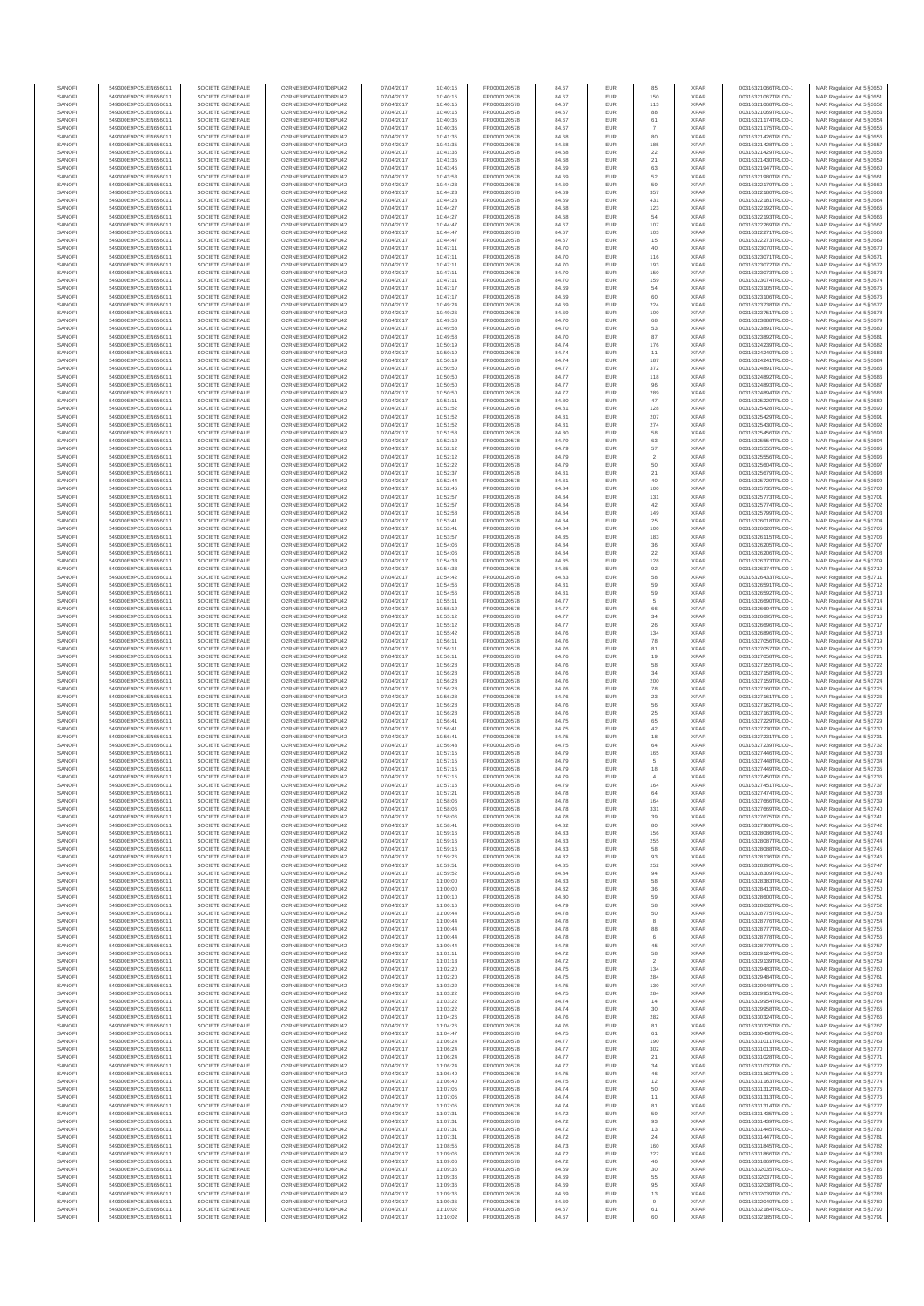| SANOF            | 549300E9PC51EN656011                         | SOCIETE GENERALE                     | O2RNE8IBXP4R0TD8PU42                          | 07/04/2017               | 10:40:15             | FR0000120578                 | 84.67          | EUR               |                | <b>XPAR</b>                | 00316321066TRLO0-1                       | MAR Regulation Art 5 §3650                               |
|------------------|----------------------------------------------|--------------------------------------|-----------------------------------------------|--------------------------|----------------------|------------------------------|----------------|-------------------|----------------|----------------------------|------------------------------------------|----------------------------------------------------------|
| SANOFI<br>SANOFI | 549300E9PC51EN656011                         | SOCIETE GENERALE<br>SOCIETE GENERALE | O2RNE8IBXP4R0TD8PLI42                         | 07/04/2017               | 10:40:15             | FR0000120578                 | 84.67          | EUR               | 150            | <b>XPAR</b><br><b>XPAR</b> | 00316321067TRLO0-1                       | MAR Regulation Art 5 §3651                               |
| SANOFI           | 549300E9PC51EN656011<br>549300E9PC51EN656011 | SOCIETE GENERALE                     | O2RNE8IBXP4R0TD8PU42<br>O2RNE8IBXP4R0TD8PLI42 | 07/04/2017<br>07/04/2017 | 10:40:15<br>10:40:15 | FR0000120578<br>FR0000120578 | 84.67<br>84.67 | EUR<br>EUR        | 113<br>88      | <b>XPAR</b>                | 00316321068TRLO0-1<br>00316321069TRLO0-1 | MAR Regulation Art 5 §3652<br>MAR Regulation Art 5 §3653 |
| SANOFI           | 549300E9PC51EN656011                         | SOCIETE GENERALE                     | O2RNE8IBXP4R0TD8PU42                          | 07/04/2017               | 10:40:35             | FR0000120578                 | 84.67          | EUR               | 61             | <b>XPAR</b>                | 00316321174TRLO0-1                       | MAR Regulation Art 5 §3654                               |
| SANOFI           | 549300E9PC51EN656011                         | SOCIETE GENERALE                     | O2RNE8IBXP4R0TD8PU42                          | 07/04/2017               | 10:40:35             | FR0000120578                 | 84.67          | EUR               |                | <b>XPAR</b>                | 00316321175TRLO0-1                       | MAR Regulation Art 5 §3655                               |
| SANOFI<br>SANOFI | 549300E9PC51EN656011<br>549300E9PC51EN656011 | SOCIETE GENERALE<br>SOCIETE GENERALE | O2RNE8IBXP4R0TD8PU42<br>O2RNE8IBXP4R0TD8PU42  | 07/04/2017<br>07/04/2017 | 10:41:35<br>10:41:35 | FR0000120578<br>FR0000120578 | 84.68<br>84.68 | EUR<br>EUR        | 80<br>185      | <b>XPAR</b><br><b>XPAR</b> | 00316321426TRLO0-1<br>00316321428TRLO0-1 | MAR Regulation Art 5 §3656<br>MAR Regulation Art 5 §3657 |
| SANOFI           | 549300E9PC51EN656011                         | SOCIETE GENERALE                     | O2RNE8IBXP4R0TD8PU42                          | 07/04/2017               | 10:41:35             | FR0000120578                 | 84.68          | EUR               | 22             | <b>XPAR</b>                | 00316321429TRLO0-1                       | MAR Regulation Art 5 \$3658                              |
| SANOFI           | 549300E9PC51EN656011                         | SOCIETE GENERALE                     | O2RNE8IBXP4R0TD8PU42                          | 07/04/2017               | 10:41:35             | FR0000120578                 | 84.68          | EUR               | 21             | <b>XPAR</b>                | 00316321430TRLO0-1                       | MAR Regulation Art 5 §3659                               |
| SANOFI<br>SANOFI | 549300E9PC51EN656011<br>549300E9PC51EN656011 | SOCIETE GENERALE<br>SOCIETE GENERALE | O2RNE8IBXP4R0TD8PU42<br>O2RNE8IBXP4R0TD8PU42  | 07/04/2017<br>07/04/2017 | 10:43:45<br>10:43:53 | FR0000120578<br>FR0000120578 | 84.69<br>84.69 | EUR<br>EUR        | 63<br>52       | <b>XPAR</b><br><b>XPAR</b> | 00316321947TRLO0-1<br>00316321980TRLO0-1 | MAR Regulation Art 5 §3660<br>MAR Regulation Art 5 §3661 |
| SANOFI           | 549300E9PC51EN656011                         | SOCIETE GENERALE                     | O2RNESIBXP4R0TD8PLI42                         | 07/04/2017               | 10:44:23             | FR0000120578                 | 84.69          | EUR               | 59             | <b>XPAR</b>                | 00316322179TRLO0-1                       | MAR Regulation Art 5 §3662                               |
| SANOFI           | 549300E9PC51EN656011                         | SOCIETE GENERALE                     | O2RNE8IBXP4R0TD8PU42                          | 07/04/2017               | 10:44:23             | FR0000120578                 | 84.69          | EUR               | 357            | <b>XPAR</b>                | 00316322180TRLO0-1                       | MAR Regulation Art 5 §3663                               |
| SANOFI           | 549300E9PC51EN656011                         | SOCIETE GENERALE                     | O2RNE8IBXP4R0TD8PU42                          | 07/04/2017               | 10:44:23             | FR0000120578                 | 84.69          | EUR               | 431            | <b>XPAR</b>                | 00316322181TRLO0-1                       | MAR Regulation Art 5 §3664                               |
| SANOFI<br>SANOFI | 549300E9PC51EN656011<br>549300E9PC51EN656011 | SOCIETE GENERALE<br>SOCIETE GENERALE | O2RNE8IBXP4R0TD8PU42<br>O2RNE8IBXP4R0TD8PU42  | 07/04/2017<br>07/04/2017 | 10:44:27<br>10:44:27 | FR0000120578<br>FR0000120578 | 84.68<br>84.68 | EUR<br>EUR        | 123<br>54      | <b>XPAR</b><br><b>XPAR</b> | 00316322192TRLO0-1<br>00316322193TRLO0-1 | MAR Regulation Art 5 §3665<br>MAR Regulation Art 5 §3666 |
| SANOFI           | 549300E9PC51EN656011                         | SOCIETE GENERALE                     | O2RNE8IBXP4R0TD8PU42                          | 07/04/2017               | 10:44:47             | FR0000120578                 | 84.67          | EUR               | 107            | <b>XPAR</b>                | 00316322269TRLO0-1                       | MAR Regulation Art 5 §3667                               |
| SANOFI           | 549300E9PC51EN656011                         | SOCIETE GENERALE                     | O2RNE8IBXP4R0TD8PU42                          | 07/04/2017               | 10:44:47             | FR0000120578                 | 84.67          | EUR               | 103            | <b>XPAR</b>                | 00316322271TRLO0-1                       | MAR Regulation Art 5 §3668                               |
| SANOFI           | 549300E9PC51EN656011                         | SOCIETE GENERALE                     | O2RNE8IBXP4R0TD8PU42                          | 07/04/2017               | 10:44:47             | FR0000120578                 | 84.67          | EUR               | 15             | <b>XPAR</b>                | 00316322273TRLO0-1                       | MAR Regulation Art 5 \$3669                              |
| SANOFI<br>SANOFI | 549300E9PC51EN656011<br>549300E9PC51EN656011 | SOCIETE GENERALE<br>SOCIETE GENERALE | O2RNE8IBXP4R0TD8PU42<br>O2RNE8IBXP4R0TD8PLI42 | 07/04/2017<br>07/04/2017 | 10:47:11<br>10:47:11 | FR0000120578<br>FR0000120578 | 84.70<br>84.70 | EUR<br>EUR        | 40<br>116      | <b>XPAR</b><br><b>XPAR</b> | 00316323070TRLO0-1<br>00316323071TRLO0-1 | MAR Regulation Art 5 §3670<br>MAR Regulation Art 5 §3671 |
| SANOFI           | 549300E9PC51EN656011                         | SOCIETE GENERALE                     | O2RNE8IBXP4R0TD8PU42                          | 07/04/2017               | 10:47:11             | FR0000120578                 | 84.70          | EUR               | 193            | <b>XPAR</b>                | 00316323072TRLO0-1                       | MAR Regulation Art 5 §3672                               |
| SANOFI           | 549300E9PC51EN656011                         | SOCIETE GENERALE                     | O2RNE8IBXP4R0TD8PU42                          | 07/04/2017               | 10:47:11             | FR0000120578                 | 84.70          | EUR               | 150            | <b>XPAR</b>                | 00316323073TRLO0-1                       | MAR Regulation Art 5 §3673                               |
| SANOFI           | 549300E9PC51EN656011                         | SOCIETE GENERALE                     | O2RNE8IBXP4R0TD8PU42                          | 07/04/2017               | 10:47:11             | FR0000120578                 | 84.70          | EUR               | 159            | <b>XPAR</b>                | 00316323074TRLO0-1                       | MAR Regulation Art 5 §3674                               |
| SANOFI<br>SANOFI | 549300E9PC51EN656011<br>549300E9PC51EN656011 | SOCIETE GENERALE<br>SOCIETE GENERALE | O2RNE8IBXP4R0TD8PU42<br>O2RNE8IBXP4R0TD8PU42  | 07/04/2017<br>07/04/2017 | 10:47:17<br>10:47:17 | FR0000120578<br>FR0000120578 | 84.69<br>84.69 | EUR<br>EUR        | 54<br>60       | <b>XPAR</b><br><b>XPAR</b> | 00316323105TRLO0-1<br>00316323106TRLO0-1 | MAR Regulation Art 5 §3675<br>MAR Regulation Art 5 §3676 |
| SANOFI           | 549300E9PC51EN656011                         | SOCIETE GENERALE                     | O2RNE8IBXP4R0TD8PU42                          | 07/04/2017               | 10:49:24             | FR0000120578                 | 84.69          | EUR               | 224            | <b>XPAR</b>                | 00316323738TRLO0-1                       | MAR Regulation Art 5 §3677                               |
| SANOFI           | 549300E9PC51EN656011                         | SOCIETE GENERALE                     | O2RNE8IBXP4R0TD8PU42                          | 07/04/2017               | 10:49:26             | FR0000120578                 | 84.69          | EUR               | 100            | <b>XPAR</b>                | 00316323751TRLO0-1                       | MAR Regulation Art 5 §3678                               |
| SANOFI<br>SANOFI | 549300E9PC51EN656011<br>549300E9PC51EN656011 | SOCIETE GENERALE<br>SOCIETE GENERALE | O2RNE8IBXP4R0TD8PU42<br>O2RNE8IBXP4R0TD8PU42  | 07/04/2017<br>07/04/2017 | 10:49:58<br>10:49:58 | FR0000120578<br>FR0000120578 | 84.70<br>84.70 | EUR<br>EUR        | 68<br>53       | <b>XPAR</b><br><b>XPAR</b> | 00316323888TRLO0-1<br>00316323891TRLO0-1 | MAR Regulation Art 5 §3679<br>MAR Regulation Art 5 §3680 |
| SANOFI           | 549300E9PC51EN656011                         | SOCIETE GENERALE                     | O2RNE8IBXP4R0TD8PU42                          | 07/04/2017               | 10:49:58             | FR0000120578                 | 84.70          | EUR               | 87             | <b>XPAR</b>                | 00316323892TRLO0-1                       | MAR Regulation Art 5 §3681                               |
| SANOFI           | 549300E9PC51EN656011                         | SOCIETE GENERALE                     | O2RNE8IBXP4R0TD8PU42                          | 07/04/2017               | 10:50:19             | FR0000120578                 | 84.74          | EUR               | 176            | <b>XPAR</b>                | 00316324239TRLO0-1                       | MAR Regulation Art 5 §3682                               |
| SANOFI           | 549300E9PC51EN656011                         | SOCIETE GENERALE                     | O2RNE8IBXP4R0TD8PU42                          | 07/04/2017               | 10:50:19             | FR0000120578                 | 84.74          | EUR               | 11             | <b>XPAR</b>                | 00316324240TRLO0-1                       | MAR Regulation Art 5 §3683                               |
| SANOFI<br>SANOFI | 549300E9PC51EN656011<br>549300E9PC51EN656011 | SOCIETE GENERALE<br>SOCIETE GENERALE | O2RNE8IBXP4R0TD8PU42<br>O2RNE8IBXP4R0TD8PU42  | 07/04/2017<br>07/04/2017 | 10:50:19<br>10:50:50 | FR0000120578<br>FR0000120578 | 84.74<br>84.77 | EUR<br>EUR        | 187<br>372     | <b>XPAR</b><br><b>XPAR</b> | 00316324241TRLO0-1<br>00316324891TRLO0-1 | MAR Regulation Art 5 §3684<br>MAR Regulation Art 5 §3685 |
| SANOFI           | 549300E9PC51EN656011                         | SOCIETE GENERALE                     | O2RNE8IBXP4R0TD8PU42                          | 07/04/2017               | 10:50:50             | FR0000120578                 | 84.77          | EUR               | 118            | <b>XPAR</b>                | 00316324892TRLO0-1                       | MAR Regulation Art 5 §3686                               |
| SANOFI           | 549300E9PC51EN656011                         | SOCIETE GENERALE                     | O2RNE8IBXP4R0TD8PU42                          | 07/04/2017               | 10:50:50             | FR0000120578                 | 84.77          | EUR               | 96             | <b>XPAR</b>                | 00316324893TRLO0-1                       | MAR Regulation Art 5 §3687                               |
| SANOFI           | 549300E9PC51EN656011                         | SOCIETE GENERALE                     | O2RNE8IBXP4R0TD8PU42                          | 07/04/2017               | 10:50:50             | FR0000120578                 | 84.77          | EUR               | 289            | <b>XPAR</b>                | 00316324894TRLO0-1                       | MAR Regulation Art 5 §3688                               |
| SANOFI<br>SANOFI | 549300E9PC51EN656011<br>549300E9PC51EN656011 | SOCIETE GENERALE<br>SOCIETE GENERALE | O2RNE8IBXP4R0TD8PU42<br>O2RNE8IBXP4R0TD8PU42  | 07/04/2017<br>07/04/2017 | 10:51:11<br>10:51:52 | FR0000120578<br>FR0000120578 | 84.80<br>84.81 | EUR<br>EUR        | 47<br>128      | <b>XPAR</b><br><b>XPAR</b> | 00316325220TRLO0-1<br>00316325428TRLO0-1 | MAR Regulation Art 5 §3689<br>MAR Regulation Art 5 §3690 |
| SANOFI           | 549300E9PC51EN656011                         | SOCIETE GENERALE                     | O2RNE8IBXP4R0TD8PU42                          | 07/04/2017               | 10:51:52             | FR0000120578                 | 84.81          | EUR               | 207            | <b>XPAR</b>                | 00316325429TRLO0-1                       | MAR Regulation Art 5 §3691                               |
| SANOFI           | 549300E9PC51EN656011                         | SOCIETE GENERALE                     | O2RNE8IBXP4R0TD8PU42                          | 07/04/2017               | 10:51:52             | FR0000120578                 | 84.81          | EUR               | 274            | <b>XPAR</b>                | 00316325430TRLO0-1                       | MAR Regulation Art 5 \$3692                              |
| SANOFI           | 549300E9PC51EN656011                         | SOCIETE GENERALE                     | O2RNE8IBXP4R0TD8PU42                          | 07/04/2017               | 10:51:58             | FR0000120578                 | 84.80          | EUR               | 58             | <b>XPAR</b>                | 00316325456TRLO0-1                       | MAR Regulation Art 5 \$3693                              |
| SANOFI<br>SANOFI | 549300E9PC51EN656011<br>549300E9PC51EN656011 | SOCIETE GENERALE<br>SOCIETE GENERALE | O2RNE8IBXP4R0TD8PU42<br>O2RNE8IBXP4R0TD8PU42  | 07/04/2017<br>07/04/2017 | 10:52:12<br>10:52:12 | FR0000120578<br>FR0000120578 | 84.79<br>84.79 | EUR<br>EUR        | 63<br>57       | <b>XPAR</b><br><b>XPAR</b> | 00316325554TRLO0-1<br>00316325555TRLO0-1 | MAR Regulation Art 5 §3694<br>MAR Regulation Art 5 §3695 |
| SANOFI           | 549300E9PC51EN656011                         | SOCIETE GENERALE                     | O2RNE8IBXP4R0TD8PLI42                         | 07/04/2017               | 10:52:12             | FR0000120578                 | 84.79          | EUR               | $\overline{2}$ | <b>XPAR</b>                | 00316325556TRLO0-1                       | MAR Regulation Art 5 \$3696                              |
| SANOFI           | 549300E9PC51EN656011                         | SOCIETE GENERALE                     | O2RNE8IBXP4R0TD8PU42                          | 07/04/2017               | 10:52:22             | FR0000120578                 | 84.79          | EUR               | 50             | <b>XPAR</b>                | 00316325604TRLO0-1                       | MAR Regulation Art 5 §3697                               |
| SANOFI           | 549300E9PC51EN656011<br>549300E9PC51EN656011 | SOCIETE GENERALE                     | O2RNE8IBXP4R0TD8PU42                          | 07/04/2017               | 10:52:37             | FR0000120578                 | 84.81          | EUR               | 21             | <b>XPAR</b>                | 00316325679TRLO0-1                       | MAR Regulation Art 5 §3698                               |
| SANOFI<br>SANOFI | 549300E9PC51EN656011                         | SOCIETE GENERALE<br>SOCIETE GENERALE | O2RNE8IBXP4R0TD8PU42<br>O2RNE8IBXP4R0TD8PU42  | 07/04/2017<br>07/04/2017 | 10:52:44<br>10:52:45 | FR0000120578<br>FR0000120578 | 84.81<br>84.84 | EUR<br>EUR        | 40<br>100      | <b>XPAR</b><br><b>XPAR</b> | 00316325729TRLO0-1<br>00316325735TRLO0-1 | MAR Regulation Art 5 §3699<br>MAR Regulation Art 5 §3700 |
| SANOFI           | 549300E9PC51EN656011                         | SOCIETE GENERALE                     | O2RNE8IBXP4R0TD8PU42                          | 07/04/2017               | 10:52:57             | FR0000120578                 | 84.84          | EUR               | 131            | <b>XPAR</b>                | 00316325773TRLO0-1                       | MAR Regulation Art 5 §3701                               |
| SANOFI           | 549300E9PC51EN656011                         | SOCIETE GENERALE                     | O2RNE8IBXP4R0TD8PU42                          | 07/04/2017               | 10:52:57             | FR0000120578                 | 84.84          | EUR               | 42             | <b>XPAR</b>                | 00316325774TRLO0-1                       | MAR Regulation Art 5 §3702                               |
| SANOFI           | 549300E9PC51EN656011                         | SOCIETE GENERALE                     | O2RNE8IBXP4R0TD8PU42                          | 07/04/2017               | 10:52:58             | FR0000120578                 | 84.84          | EUR               | 149            | <b>XPAR</b>                | 00316325799TRLO0-1<br>00316326018TRLO0-1 | MAR Regulation Art 5 §3703                               |
| SANOFI<br>SANOFI | 549300E9PC51EN656011<br>549300E9PC51EN656011 | SOCIETE GENERALE<br>SOCIETE GENERALE | O2RNE8IBXP4R0TD8PU42<br>O2RNE8IBXP4R0TD8PU42  | 07/04/2017<br>07/04/2017 | 10:53:41<br>10:53:41 | FR0000120578<br>FR0000120578 | 84.84<br>84.84 | EUR<br>EUR        | $25\,$<br>100  | <b>XPAR</b><br><b>XPAR</b> | 00316326020TRLO0-1                       | MAR Regulation Art 5 §3704<br>MAR Regulation Art 5 §3705 |
| SANOFI           | 549300E9PC51EN656011                         | SOCIETE GENERALE                     | O2RNE8IBXP4R0TD8PU42                          | 07/04/2017               | 10:53:57             | FR0000120578                 | 84.85          | EUR               | 183            | <b>XPAR</b>                | 00316326115TRLO0-1                       | MAR Regulation Art 5 §3706                               |
| SANOFI           | 549300E9PC51EN656011                         | SOCIETE GENERALE                     | O2RNE8IBXP4R0TD8PU42                          | 07/04/2017               | 10:54:06             | FR0000120578                 | 84.84          | EUR               | 36             | <b>XPAR</b>                | 00316326205TRLO0-1                       | MAR Regulation Art 5 §3707                               |
| SANOFI           | 549300E9PC51EN656011                         | SOCIETE GENERALE                     | O2RNE8IBXP4R0TD8PU42                          | 07/04/2017               | 10:54:06             | FR0000120578                 | 84.84          | EUR               | 22             | <b>XPAR</b>                | 00316326206TRLO0-1                       | MAR Regulation Art 5 §3708                               |
| SANOFI<br>SANOFI | 549300E9PC51EN656011<br>549300E9PC51EN656011 | SOCIETE GENERALE<br>SOCIETE GENERALE | O2RNE8IBXP4R0TD8PU42<br>O2RNE8IBXP4R0TD8PU42  | 07/04/2017<br>07/04/2017 | 10:54:33<br>10:54:33 | FR0000120578<br>FR0000120578 | 84.85<br>84.85 | EUR<br>EUR        | 128<br>92      | <b>XPAR</b><br><b>XPAR</b> | 00316326373TRLO0-1<br>00316326374TRLO0-1 | MAR Regulation Art 5 §3709<br>MAR Regulation Art 5 §3710 |
| SANOFI           | 549300E9PC51EN656011                         | SOCIETE GENERALE                     | O2RNE8IBXP4R0TD8PU42                          | 07/04/2017               | 10:54:42             | FR0000120578                 | 84.83          | EUR               | 58             | <b>XPAR</b>                | 00316326433TRLO0-1                       | MAR Regulation Art 5 §3711                               |
| SANOFI           | 549300E9PC51EN656011                         | SOCIETE GENERALE                     | O2RNE8IBXP4R0TD8PU42                          | 07/04/2017               | 10:54:56             | FR0000120578                 | 84.81          | EUR               | 59             | <b>XPAR</b>                | 00316326591TRLO0-1                       | MAR Regulation Art 5 §3712                               |
| SANOFI<br>SANOFI | 549300E9PC51EN656011<br>549300E9PC51EN656011 | SOCIETE GENERALE<br>SOCIETE GENERALE | O2RNE8IBXP4R0TD8PU42<br>O2RNE8IBXP4R0TD8PU42  | 07/04/2017<br>07/04/2017 | 10:54:56<br>10:55:11 | FR0000120578<br>FR0000120578 | 84.81<br>84.77 | EUR<br>EUR        | 59<br>5        | <b>XPAR</b><br><b>XPAR</b> | 00316326592TRLO0-1<br>00316326690TRLO0-1 | MAR Regulation Art 5 §3713<br>MAR Regulation Art 5 §3714 |
| SANOFI           | 549300E9PC51EN656011                         | SOCIETE GENERALE                     | O2RNE8IBXP4R0TD8PU42                          | 07/04/2017               | 10:55:12             | FR0000120578                 | 84.77          | EUR               | 66             | <b>XPAR</b>                | 00316326694TRLO0-1                       | MAR Regulation Art 5 §3715                               |
| SANOFI           | 549300E9PC51EN656011                         | SOCIETE GENERALE                     | O2RNE8IBXP4R0TD8PU42                          | 07/04/2017               | 10:55:12             | FR0000120578                 | 84.77          | EUR               | 34             | <b>XPAR</b>                | 00316326695TRLO0-1                       | MAR Regulation Art 5 §3716                               |
| SANOFI           | 549300E9PC51EN656011                         | SOCIETE GENERALE                     | O2RNE8IBXP4R0TD8PU42                          | 07/04/2017               | 10:55:12             | FR0000120578                 | 84.77          | EUR               | 26             | <b>XPAR</b>                | 00316326696TRLO0-1                       | MAR Regulation Art 5 §3717                               |
| SANOFI<br>SANOFI | 549300E9PC51EN656011<br>549300E9PC51EN656011 | SOCIETE GENERALE<br>SOCIETE GENERALE | O2RNE8IBXP4R0TD8PU42<br>O2RNE8IBXP4R0TD8PU42  | 07/04/2017<br>07/04/2017 | 10:55:42<br>10:56:11 | FR0000120578<br>FR0000120578 | 84.76<br>84.76 | EUR<br>EUR        | 134<br>78      | <b>XPAR</b><br><b>XPAR</b> | 00316326896TRLO0-1<br>00316327056TRLO0-1 | MAR Regulation Art 5 §3718<br>MAR Regulation Art 5 §3719 |
| SANOFI           | 549300E9PC51EN656011                         | SOCIETE GENERALE                     | O2RNE8IBXP4R0TD8PU42                          | 07/04/2017               | 10:56:11             | FR0000120578                 | 84.76          | EUR               | 81             | <b>XPAR</b>                | 00316327057TRLO0-1                       | MAR Regulation Art 5 §3720                               |
| SANOFI           | 549300E9PC51EN656011                         | SOCIETE GENERALE                     | O2RNE8IBXP4R0TD8PU42                          | 07/04/2017               | 10:56:11             | FR0000120578                 | 84.76          | EUR               | 19             | <b>XPAR</b>                | 00316327058TRLO0-1                       | MAR Regulation Art 5 §3721                               |
| SANOFI<br>SANOFI | 549300E9PC51EN656011<br>549300E9PC51EN656011 | SOCIETE GENERALE<br>SOCIETE GENERALE | O2RNE8IBXP4R0TD8PU42<br>O2RNE8IBXP4R0TD8PU42  | 07/04/2017<br>07/04/2017 | 10:56:28<br>10:56:28 | FR0000120578<br>FR0000120578 | 84.76<br>84.76 | EUR<br>EUR        | 58<br>34       | <b>XPAR</b><br><b>XPAR</b> | 00316327155TRLO0-1<br>00316327158TRLO0-1 | MAR Regulation Art 5 §3722<br>MAR Regulation Art 5 §3723 |
| SANOFI           | 549300E9PC51EN656011                         | SOCIETE GENERALE                     | O2RNE8IBXP4R0TD8PU42                          | 07/04/2017               | 10:56:28             | FR0000120578                 | 84.76          | EUR               | 200            | <b>XPAR</b>                | 00316327159TRLO0-1                       | MAR Regulation Art 5 §3724                               |
| SANOFI           | 549300E9PC51EN656011                         | SOCIETE GENERALE                     | O2RNE8IBXP4R0TD8PU42                          | 07/04/2017               | 10:56:28             | FR0000120578                 | 84.76          | EUR               | ${\bf 78}$     | <b>XPAR</b>                | 00316327160TRLO0-1                       | MAR Regulation Art 5 \$3725                              |
| SANOFI           | 549300E9PC51EN656011<br>549300E9PC51EN656011 | SOCIETE GENERALE                     | O2RNE8IBXP4R0TD8PU42                          | 07/04/2017               | 10:56:28             | FR0000120578                 | 84.76          | EUR               | $23\,$         | <b>XPAR</b>                | 00316327161TRLO0-1                       | MAR Regulation Art 5 §3726                               |
| SANOFI<br>SANOFI | 549300E9PC51EN656011                         | SOCIETE GENERALE<br>SOCIETE GENERALE | O2RNE8IBXP4R0TD8PU42<br>O2RNE8IBXP4R0TD8PU42  | 07/04/2017<br>07/04/2017 | 10:56:28<br>10:56:28 | FR0000120578<br>FR0000120578 | 84.76<br>84.76 | EUR<br>EUR        | 56<br>25       | <b>XPAR</b><br><b>XPAR</b> | 00316327162TRLO0-1<br>00316327163TRLO0-1 | MAR Regulation Art 5 §3727<br>MAR Regulation Art 5 §3728 |
| SANOFI           | 549300E9PC51EN656011                         | SOCIETE GENERALE                     | O2RNE8IBXP4R0TD8PU42                          | 07/04/2017               | 10:56:41             | FR0000120578                 | 84.75          | EUR               | 65             | <b>XPAR</b>                | 00316327229TRLO0-1                       | MAR Regulation Art 5 §3729                               |
| SANOFI           | 549300E9PC51EN656011                         | SOCIETE GENERALE                     | O2RNE8IBXP4R0TD8PU42                          | 07/04/2017               | 10:56:41             | FR0000120578                 | 84.75          | EUR               | 42             | <b>XPAR</b>                | 00316327230TRLO0-1                       | MAR Regulation Art 5 §3730                               |
| SANOFI<br>SANOFI | 549300E9PC51EN656011<br>549300E9PC51EN656011 | SOCIETE GENERALE<br>SOCIETE GENERALE | O2RNE8IBXP4R0TD8PU42<br>O2RNE8IBXP4R0TD8PU42  | 07/04/2017<br>07/04/2017 | 10:56:41<br>10:56:43 | FR0000120578<br>FR0000120578 | 84.75<br>84.75 | EUR<br>EUR        | 18<br>64       | <b>XPAR</b><br><b>XPAR</b> | 00316327231TRLO0-1<br>00316327239TRLO0-1 | MAR Regulation Art 5 §3731<br>MAR Regulation Art 5 §3732 |
| SANOFI           | 549300E9PC51EN656011                         | SOCIETE GENERALE                     | O2RNE8IBXP4R0TD8PU42                          | 07/04/2017               | 10:57:15             | FR0000120578                 | 84.79          | EUR               | 165            | <b>XPAR</b>                | 00316327446TRLO0-1                       | MAR Regulation Art 5 \$3733                              |
| SANOFI           | 549300E9PC51EN656011                         | SOCIETE GENERALE                     | O2RNE8IBXP4R0TD8PU42                          | 07/04/2017               | 10:57:15             | FR0000120578                 | 84.79          | EUR               | 5              | <b>XPAR</b>                | 00316327448TRLO0-1                       | MAR Regulation Art 5 §3734                               |
| SANOFI           | 549300E9PC51EN656011                         | SOCIETE GENERALE                     | O2RNE8IBXP4R0TD8PU42                          | 07/04/2017               | 10:57:15             | FR0000120578<br>FR0000120578 | 84.79          | <b>EUR</b>        | 18             | <b>XPAR</b>                | 00316327449TRLO0-1                       | MAR Regulation Art 5 §3735                               |
| SANOFI<br>SANOFI | 549300E9PC51EN656011<br>549300E9PC51EN656011 | SOCIETE GENERALE<br>SOCIETE GENERALE | O2RNE8IBXP4R0TD8PU42<br>O2RNE8IBXP4R0TD8PU42  | 07/04/2017<br>07/04/2017 | 10:57:15<br>10:57:15 | FR0000120578                 | 84.79<br>84.79 | EUR<br>EUR        | 164            | <b>XPAR</b><br><b>XPAR</b> | 00316327450TRLO0-1<br>00316327451TRLO0-1 | MAR Regulation Art 5 §3736<br>MAR Regulation Art 5 §3737 |
| SANOFI           | 549300E9PC51EN656011                         | SOCIETE GENERALE                     | O2RNE8IBXP4R0TD8PU42                          | 07/04/2017               | 10:57:21             | FR0000120578                 | 84.78          | <b>EUR</b>        | 64             | <b>XPAR</b>                | 00316327474TRLO0-1                       | MAR Regulation Art 5 §3738                               |
| SANOFI           | 549300E9PC51EN656011                         | SOCIETE GENERALE                     | O2RNESIBXP4R0TD8PLI42                         | 07/04/2017               | 10:58:06             | FR0000120578                 | 84.78          | EUR               | 164            | <b>XPAR</b>                | 00316327666TRLO0-1                       | MAR Regulation Art 5 §3739                               |
| SANOFI<br>SANOFI | 549300E9PC51EN656011<br>549300E9PC51EN656011 | SOCIETE GENERALE<br>SOCIETE GENERALE | O2RNE8IBXP4R0TD8PU42<br>O2RNE8IBXP4R0TD8PU42  | 07/04/2017<br>07/04/2017 | 10:58:06<br>10:58:06 | FR0000120578<br>FR0000120578 | 84.78<br>84.78 | EUR<br>EUR        | 331<br>39      | <b>XPAR</b><br><b>XPAR</b> | 00316327669TRLO0-1<br>00316327675TRLO0-1 | MAR Regulation Art 5 §3740                               |
| SANOFI           | 549300E9PC51EN656011                         | SOCIETE GENERALE                     | O2RNE8IBXP4R0TD8PU42                          | 07/04/2017               | 10:58:41             | FR0000120578                 | 84.82          | <b>EUR</b>        | 80             | <b>XPAR</b>                | 00316327908TRLO0-1                       | MAR Regulation Art 5 §3741<br>MAR Regulation Art 5 §3742 |
| SANOFI           | 549300E9PC51EN656011                         | SOCIETE GENERALE                     | O2RNE8IBXP4R0TD8PU42                          | 07/04/2017               | 10:59:16             | FR0000120578                 | 84.83          | EUR               | 156            | <b>XPAR</b>                | 00316328086TRLO0-1                       | MAR Regulation Art 5 §3743                               |
| SANOFI           | 549300E9PC51EN656011                         | SOCIETE GENERALE                     | O2RNE8IBXP4R0TD8PU42                          | 07/04/2017               | 10:59:16             | FR0000120578                 | 84.83          | EUR               | 255            | <b>XPAR</b>                | 00316328087TRLO0-1                       | MAR Regulation Art 5 §3744                               |
| SANOFI<br>SANOFI | 549300E9PC51EN656011<br>549300E9PC51EN656011 | SOCIETE GENERALE<br>SOCIETE GENERALE | O2RNE8IBXP4R0TD8PU42<br>O2RNE8IBXP4R0TD8PU42  | 07/04/2017<br>07/04/2017 | 10:59:16<br>10:59:26 | FR0000120578<br>FR0000120578 | 84.83<br>84.82 | EUR<br>EUR        | 58<br>93       | <b>XPAR</b><br><b>XPAR</b> | 00316328088TRLO0-1<br>00316328136TRLO0-1 | MAR Regulation Art 5 §3745<br>MAR Regulation Art 5 §3746 |
| SANOFI           | 549300E9PC51EN656011                         | SOCIETE GENERALE                     | O2RNE8IBXP4R0TD8PU42                          | 07/04/2017               | 10:59:51             | FR0000120578                 | 84.85          | EUR               | 252            | <b>XPAR</b>                | 00316328293TRLO0-1                       | MAR Regulation Art 5 §3747                               |
| SANOFI           | 549300E9PC51EN656011                         | SOCIETE GENERALE                     | O2RNE8IBXP4R0TD8PU42                          | 07/04/2017               | 10:59:52             | FR0000120578                 | 84.84          | EUR               | 94             | <b>XPAR</b>                | 00316328309TRLO0-1                       | MAR Regulation Art 5 §3748                               |
| SANOFI<br>SANOFI | 549300E9PC51EN656011<br>549300E9PC51EN656011 | SOCIETE GENERALE<br>SOCIETE GENERALE | O2RNE8IBXP4R0TD8PU42<br>O2RNE8IBXP4R0TD8PU42  | 07/04/2017<br>07/04/2017 | 11:00:00<br>11:00:00 | FR0000120578<br>FR0000120578 | 84.83<br>84.82 | <b>EUR</b><br>EUR | 58<br>36       | <b>XPAR</b><br><b>XPAR</b> | 00316328383TRLO0-1<br>00316328413TRLO0-1 | MAR Regulation Art 5 §3749<br>MAR Regulation Art 5 §3750 |
| SANOFI           | 549300E9PC51EN656011                         | SOCIETE GENERALE                     | O2RNE8IBXP4R0TD8PU42                          | 07/04/2017               | 11:00:10             | FR0000120578                 | 84.80          | EUR               | 59             | <b>XPAR</b>                | 00316328600TRLO0-1                       | MAR Regulation Art 5 §3751                               |
| SANOFI           | 549300E9PC51EN656011                         | SOCIETE GENERALE                     | O2RNE8IBXP4R0TD8PU42                          | 07/04/2017               | 11:00:16             | FR0000120578                 | 84.79          | EUR               | 58             | <b>XPAR</b>                | 00316328632TRLO0-1                       | MAR Regulation Art 5 §3752                               |
| SANOFI           | 549300E9PC51EN656011                         | SOCIETE GENERALE<br>SOCIETE GENERALE | O2RNE8IBXP4R0TD8PU42                          | 07/04/2017               | 11:00:44             | FR0000120578                 | 84.78          | EUR               | 50             | <b>XPAR</b>                | 00316328775TRLO0-1                       | MAR Regulation Art 5 §3753                               |
| SANOFI<br>SANOFI | 549300E9PC51EN656011<br>549300E9PC51EN656011 | SOCIETE GENERALE                     | O2RNE8IBXP4R0TD8PU42<br>O2RNE8IBXP4R0TD8PU42  | 07/04/2017<br>07/04/2017 | 11:00:44<br>11:00:44 | FR0000120578<br>FR0000120578 | 84.78<br>84.78 | EUR<br>EUR        | 8<br>88        | <b>XPAR</b><br><b>XPAR</b> | 00316328776TRLO0-1<br>00316328777TRLO0-1 | MAR Regulation Art 5 §3754<br>MAR Regulation Art 5 §3755 |
| SANOFI           | 549300E9PC51EN656011                         | SOCIETE GENERALE                     | O2RNE8IBXP4R0TD8PU42                          | 07/04/2017               | 11:00:44             | FR0000120578                 | 84.78          | EUR               |                | <b>XPAR</b>                | 00316328778TRLO0-1                       | MAR Regulation Art 5 §3756                               |
| SANOFI           | 549300E9PC51EN656011                         | SOCIETE GENERALE                     | O2RNE8IBXP4R0TD8PU42                          | 07/04/2017               | 11:00:44             | FR0000120578                 | 84.78          | EUR               | 45             | <b>XPAR</b>                | 00316328779TRLO0-1                       | MAR Regulation Art 5 §3757                               |
| SANOFI<br>SANOFI | 549300E9PC51EN656011<br>549300E9PC51EN656011 | SOCIETE GENERALE<br>SOCIETE GENERALE | O2RNE8IBXP4R0TD8PU42<br>O2RNE8IBXP4R0TD8PU42  | 07/04/2017<br>07/04/2017 | 11:01:11<br>11:01:13 | FR0000120578<br>FR0000120578 | 84.72<br>84.72 | EUR<br>EUR        | 58             | <b>XPAR</b><br><b>XPAR</b> | 00316329124TRLO0-1<br>00316329139TRLO0-1 | MAR Regulation Art 5 §3758<br>MAR Regulation Art 5 §3759 |
| SANOFI           | 549300E9PC51EN656011                         | SOCIETE GENERALE                     | O2RNE8IBXP4R0TD8PLI42                         | 07/04/2017               | 11:02:20             | FR0000120578                 | 84.75          | EUR               | 134            | <b>XPAR</b>                | 00316329483TRLO0-1                       | MAR Regulation Art 5 §3760                               |
| SANOFI           | 549300E9PC51EN656011                         | SOCIETE GENERALE                     | O2RNE8IBXP4R0TD8PU42                          | 07/04/2017               | 11:02:20             | FR0000120578                 | 84.75          | EUR               | 284            | <b>XPAR</b>                | 00316329484TRLO0-1                       | MAR Regulation Art 5 §3761                               |
| SANOFI           | 549300E9PC51EN656011                         | SOCIETE GENERALE                     | O2RNE8IBXP4R0TD8PU42                          | 07/04/2017               | 11:03:22             | FR0000120578                 | 84.75          | EUR               | 130            | <b>XPAR</b>                | 00316329948TRLO0-1                       | MAR Regulation Art 5 §3762                               |
| SANOFI<br>SANOFI | 549300E9PC51EN656011<br>549300E9PC51EN656011 | SOCIETE GENERALE<br>SOCIETE GENERALE | O2RNE8IBXP4R0TD8PU42<br>O2RNE8IBXP4R0TD8PU42  | 07/04/2017<br>07/04/2017 | 11:03:22<br>11:03:22 | FR0000120578<br>FR0000120578 | 84.75<br>84.74 | EUR<br>EUR        | 284<br>$14$    | <b>XPAR</b><br><b>XPAR</b> | 00316329951TRLO0-1<br>00316329954TRLO0-1 | MAR Regulation Art 5 §3763<br>MAR Regulation Art 5 §3764 |
| SANOFI           | 549300E9PC51EN656011                         | SOCIETE GENERALE                     | O2RNE8IBXP4R0TD8PU42                          | 07/04/2017               | 11:03:22             | FR0000120578                 | 84.74          | EUR               | 30             | <b>XPAR</b>                | 00316329958TRLO0-1                       | MAR Regulation Art 5 §3765                               |
| SANOFI           | 549300E9PC51EN656011                         | SOCIETE GENERALE                     | O2RNE8IBXP4R0TD8PU42                          | 07/04/2017               | 11:04:26             | FR0000120578                 | 84.76          | EUR               | 282            | <b>XPAR</b>                | 00316330324TRLO0-1                       | MAR Regulation Art 5 §3766                               |
| SANOFI<br>SANOFI | 549300E9PC51EN656011<br>549300E9PC51EN656011 | SOCIETE GENERALE<br>SOCIETE GENERALE | O2RNE8IBXP4R0TD8PU42<br>O2RNE8IBXP4R0TD8PU42  | 07/04/2017<br>07/04/2017 | 11:04:26<br>11:04:47 | FR0000120578<br>FR0000120578 | 84.76<br>84.75 | EUR<br>EUR        | 81<br>61       | <b>XPAR</b><br><b>XPAR</b> | 00316330325TRLO0-1<br>00316330430TRLO0-1 | MAR Regulation Art 5 §3767                               |
| SANOFI           | 549300E9PC51EN656011                         | SOCIETE GENERALE                     | O2RNE8IBXP4R0TD8PU42                          | 07/04/2017               | 11:06:24             | FR0000120578                 | 84.77          | EUR               | 190            | <b>XPAR</b>                | 00316331011TRLO0-1                       | MAR Regulation Art 5 §3768<br>MAR Regulation Art 5 §3769 |
| SANOFI           | 549300E9PC51EN656011                         | SOCIETE GENERALE                     | O2RNE8IBXP4R0TD8PU42                          | 07/04/2017               | 11:06:24             | FR0000120578                 | 84.77          | EUR               | 302            | <b>XPAR</b>                | 00316331013TRLO0-1                       | MAR Regulation Art 5 §3770                               |
| SANOFI           | 549300E9PC51EN656011                         | SOCIETE GENERALE                     | O2RNE8IBXP4R0TD8PU42                          | 07/04/2017               | 11:06:24             | FR0000120578                 | 84.77          | EUR               | $21\,$         | <b>XPAR</b>                | 00316331028TRLO0-1                       | MAR Regulation Art 5 §3771                               |
| SANOFI<br>SANOFI | 549300E9PC51EN656011<br>549300E9PC51EN656011 | SOCIETE GENERALE<br>SOCIETE GENERALE | O2RNE8IBXP4R0TD8PU42<br>O2RNE8IBXP4R0TD8PU42  | 07/04/2017<br>07/04/2017 | 11:06:24<br>11:06:40 | FR0000120578<br>FR0000120578 | 84.77<br>84.75 | EUR<br>EUR        | 34<br>46       | <b>XPAR</b><br><b>XPAR</b> | 00316331032TRLO0-1<br>00316331162TRLO0-1 | MAR Regulation Art 5 §3772<br>MAR Regulation Art 5 §3773 |
| SANOFI           | 549300E9PC51EN656011                         | SOCIETE GENERALE                     | O2RNE8IBXP4R0TD8PU42                          | 07/04/2017               | 11:06:40             | FR0000120578                 | 84.75          | EUR               | $12\,$         | <b>XPAR</b>                | 00316331163TRLO0-1                       | MAR Regulation Art 5 §3774                               |
| SANOFI           | 549300E9PC51EN656011                         | SOCIETE GENERALE                     | O2RNE8IBXP4R0TD8PU42                          | 07/04/2017               | 11:07:05             | FR0000120578                 | 84.74          | EUR               | 50             | <b>XPAR</b>                | 00316331312TRLO0-1                       | MAR Regulation Art 5 §3775                               |
| SANOFI           | 549300E9PC51EN656011                         | SOCIETE GENERALE                     | O2RNE8IBXP4R0TD8PU42                          | 07/04/2017               | 11:07:05             | FR0000120578                 | 84.74          | EUR               | 11             | <b>XPAR</b>                | 00316331313TRLO0-1                       | MAR Regulation Art 5 §3776                               |
| SANOFI<br>SANOFI | 549300E9PC51EN656011<br>549300E9PC51EN656011 | SOCIETE GENERALE<br>SOCIETE GENERALE | O2RNE8IBXP4R0TD8PU42<br>O2RNE8IBXP4R0TD8PU42  | 07/04/2017<br>07/04/2017 | 11:07:05<br>11:07:31 | FR0000120578<br>FR0000120578 | 84.74<br>84.72 | EUR<br><b>EUR</b> | 81<br>59       | <b>XPAR</b><br><b>XPAR</b> | 00316331314TRLO0-1<br>00316331435TRLO0-1 | MAR Regulation Art 5 §3777<br>MAR Regulation Art 5 §3778 |
| SANOFI           | 549300E9PC51EN656011                         | SOCIETE GENERALE                     | O2RNE8IBXP4R0TD8PU42                          | 07/04/2017               | 11:07:31             | FR0000120578                 | 84.72          | EUR               | $93\,$         | <b>XPAR</b>                | 00316331439TRLO0-1                       | MAR Regulation Art 5 §3779                               |
| SANOFI           | 549300E9PC51EN656011                         | SOCIETE GENERALE                     | O2RNE8IBXP4R0TD8PU42                          | 07/04/2017               | 11:07:31             | FR0000120578                 | 84.72          | EUR               | 13             | <b>XPAR</b>                | 00316331445TRLO0-1                       | MAR Regulation Art 5 §3780                               |
| SANOFI           | 549300E9PC51EN656011                         | SOCIETE GENERALE                     | O2RNE8IBXP4R0TD8PU42                          | 07/04/2017               | 11:07:31             | FR0000120578                 | 84.72<br>84.73 | EUR               | 24             | <b>XPAR</b><br><b>XPAR</b> | 00316331447TRLO0-1                       | MAR Regulation Art 5 §3781                               |
| SANOFI<br>SANOFI | 549300E9PC51EN656011<br>549300E9PC51EN656011 | SOCIETE GENERALE<br>SOCIETE GENERALE | O2RNE8IBXP4R0TD8PU42<br>O2RNE8IBXP4R0TD8PU42  | 07/04/2017<br>07/04/2017 | 11:08:55<br>11:09:06 | FR0000120578<br>FR0000120578 | 84.72          | EUR<br><b>EUR</b> | 160<br>222     | <b>XPAR</b>                | 00316331845TRLO0-1<br>00316331866TRLO0-1 | MAR Regulation Art 5 §3782<br>MAR Regulation Art 5 §3783 |
| SANOFI           | 549300E9PC51EN656011                         | SOCIETE GENERALE                     | O2RNE8IBXP4R0TD8PU42                          | 07/04/2017               | 11:09:06             | FR0000120578                 | 84.72          | EUR               | 46             | <b>XPAR</b>                | 00316331869TRLO0-1                       | MAR Regulation Art 5 §3784                               |
| SANOFI           | 549300E9PC51EN656011                         | SOCIETE GENERALE                     | O2RNE8IBXP4R0TD8PU42                          | 07/04/2017               | 11:09:36             | FR0000120578                 | 84.69          | <b>EUR</b>        | 30             | <b>XPAR</b>                | 00316332035TRLO0-1                       | MAR Regulation Art 5 §3785                               |
| SANOFI<br>SANOFI | 549300E9PC51EN656011<br>549300E9PC51EN656011 | SOCIETE GENERALE<br>SOCIETE GENERALE | O2RNE8IBXP4R0TD8PU42<br>O2RNE8IBXP4R0TD8PU42  | 07/04/2017<br>07/04/2017 | 11:09:36<br>11:09:36 | FR0000120578<br>FR0000120578 | 84.69<br>84.69 | EUR<br>EUR        | 55<br>95       | <b>XPAR</b><br><b>XPAR</b> | 00316332037TRLO0-1<br>00316332038TRLO0-1 | MAR Regulation Art 5 §3786<br>MAR Regulation Art 5 §3787 |
| SANOFI           | 549300E9PC51EN656011                         | SOCIETE GENERALE                     | O2RNE8IBXP4R0TD8PU42                          | 07/04/2017               | 11:09:36             | FR0000120578                 | 84.69          | EUR               | $13\,$         | <b>XPAR</b>                | 00316332039TRLO0-1                       | MAR Regulation Art 5 §3788                               |
| SANOFI           | 549300E9PC51EN656011                         | SOCIETE GENERALE                     | O2RNE8IBXP4R0TD8PU42                          | 07/04/2017               | 11:09:36             | FR0000120578                 | 84.69          | EUR               | $9$            | <b>XPAR</b>                | 00316332040TRLO0-1                       | MAR Regulation Art 5 §3789                               |
| SANOFI<br>SANOFI | 549300E9PC51EN656011<br>549300E9PC51EN656011 | SOCIETE GENERALE<br>SOCIETE GENERALE | O2RNE8IBXP4R0TD8PU42<br>O2RNE8IBXP4R0TD8PU42  | 07/04/2017<br>07/04/2017 | 11:10:02             | FR0000120578                 | 84.67          | EUR               | 61             | <b>XPAR</b>                | 00316332184TRLO0-1<br>00316332185TRLO0-1 | MAR Regulation Art 5 §3790                               |
|                  |                                              |                                      |                                               |                          | 11:10:02             | FR0000120578                 | 84.67          | EUR               | 60             | XPAR                       |                                          | MAR Regulation Art 5 §3791                               |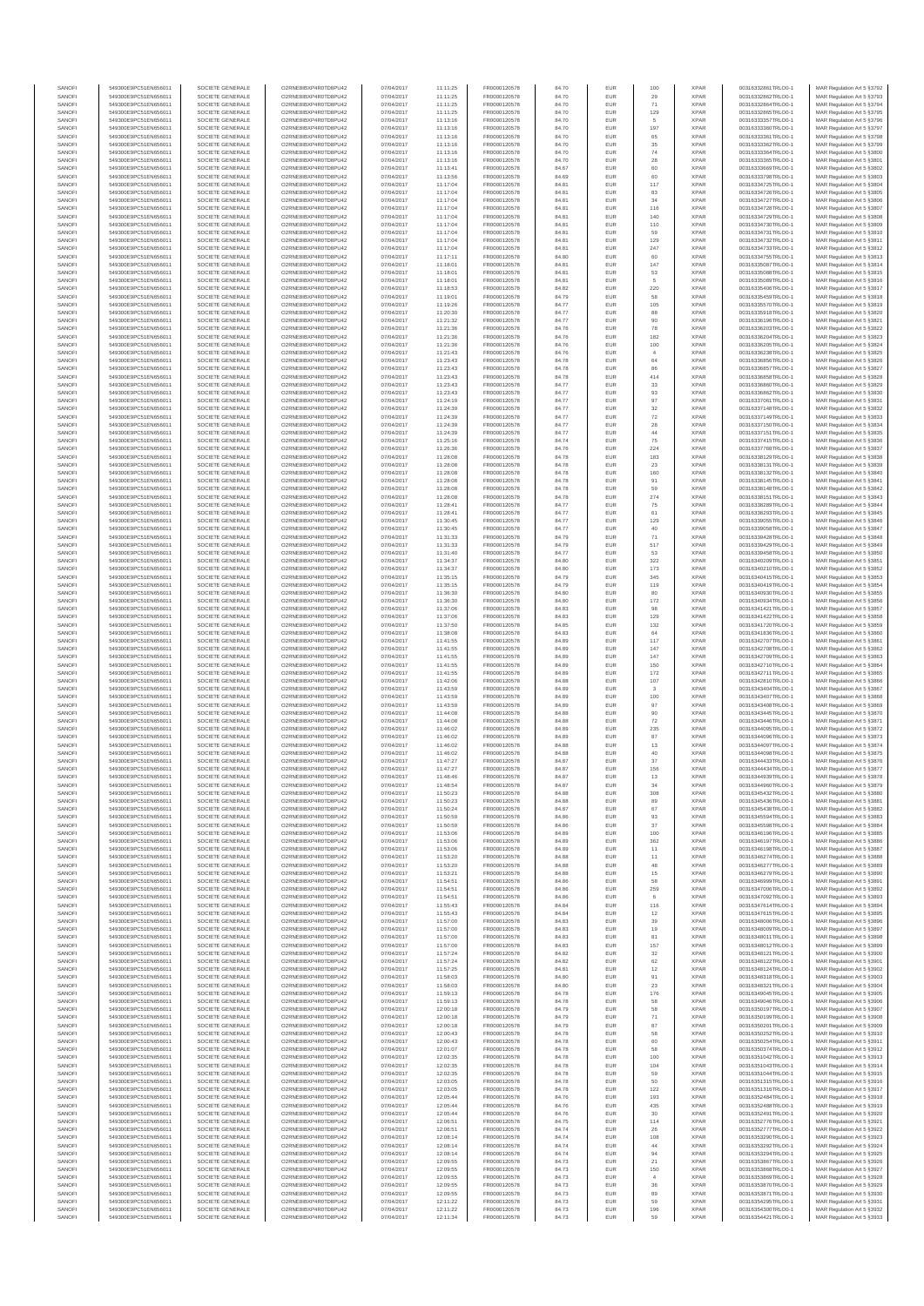| SANOF            | 549300E9PC51EN656011                         | SOCIETE GENERALE                     | O2RNE8IBXP4R0TD8PU42                          | 07/04/2017               | 11:11:25             | FR0000120578                 | 84.70          | EUR               | 100                | <b>XPAR</b>                | 00316332861TRLO0-1                       | MAR Regulation Art 5 §3792                                |
|------------------|----------------------------------------------|--------------------------------------|-----------------------------------------------|--------------------------|----------------------|------------------------------|----------------|-------------------|--------------------|----------------------------|------------------------------------------|-----------------------------------------------------------|
| SANOFI<br>SANOFI | 549300E9PC51EN656011<br>549300E9PC51EN656011 | SOCIETE GENERALE<br>SOCIETE GENERALE | O2RNE8IBXP4R0TD8PU42<br>O2RNE8IBXP4R0TD8PU42  | 07/04/2017               | 11:11:25             | FR0000120578                 | 84.70          | EUR<br>EUR        | 29                 | <b>XPAR</b><br><b>XPAR</b> | 00316332862TRLO0-1<br>00316332864TRLO0-1 | MAR Regulation Art 5 §3793                                |
| SANOFI           | 549300E9PC51EN656011                         | SOCIETE GENERALE                     | O2RNE8IBXP4R0TD8PU42                          | 07/04/2017<br>07/04/2017 | 11:11:25<br>11:11:25 | FR0000120578<br>FR0000120578 | 84.70<br>84.70 | EUR               | 71<br>129          | <b>XPAR</b>                | 00316332865TRLO0-1                       | MAR Regulation Art 5 §3794<br>MAR Regulation Art 5 §3795  |
| SANOFI           | 549300E9PC51EN656011                         | SOCIETE GENERALE                     | O2RNE8IBXP4R0TD8PU42                          | 07/04/2017               | 11:13:16             | FR0000120578                 | 84.70          | EUR               |                    | <b>XPAR</b>                | 00316333357TRLO0-1                       | MAR Regulation Art 5 §3796                                |
| SANOFI           | 549300E9PC51EN656011                         | SOCIETE GENERALE                     | O2RNE8IBXP4R0TD8PU42                          | 07/04/2017               | 11:13:16             | FR0000120578                 | 84.70          | EUR               | 197                | <b>XPAR</b>                | 00316333360TRLO0-1                       | MAR Regulation Art 5 §3797                                |
| SANOFI<br>SANOFI | 549300E9PC51EN656011<br>549300E9PC51EN656011 | SOCIETE GENERALE<br>SOCIETE GENERALE | O2RNE8IBXP4R0TD8PU42<br>O2RNE8IBXP4R0TD8PU42  | 07/04/2017<br>07/04/2017 | 11:13:16<br>11:13:16 | FR0000120578<br>FR0000120578 | 84.70<br>84.70 | EUR<br>EUR        | 65<br>35           | <b>XPAR</b><br><b>XPAR</b> | 00316333361TRLO0-1<br>00316333362TRLO0-1 | MAR Regulation Art 5 §3798<br>MAR Regulation Art 5 §3799  |
| SANOFI           | 549300E9PC51EN656011                         | SOCIETE GENERALE                     | O2RNE8IBXP4R0TD8PU42                          | 07/04/2017               | 11:13:16             | FR0000120578                 | 84.70          | EUR               | $\mathbf{74}$      | <b>XPAR</b>                | 00316333364TRLO0-1                       | MAR Regulation Art 5 §3800                                |
| SANOFI           | 549300E9PC51EN656011                         | SOCIETE GENERALE                     | O2RNE8IBXP4R0TD8PU42                          | 07/04/2017               | 11:13:16             | FR0000120578                 | 84.70          | EUR               | 28                 | <b>XPAR</b>                | 00316333365TRLO0-1                       | MAR Regulation Art 5 §3801                                |
| SANOFI<br>SANOFI | 549300E9PC51EN656011<br>549300E9PC51EN656011 | SOCIETE GENERALE<br>SOCIETE GENERALE | O2RNE8IBXP4R0TD8PU42<br>O2RNE8IBXP4R0TD8PU42  | 07/04/2017<br>07/04/2017 | 11:13:41<br>11:13:56 | FR0000120578<br>FR0000120578 | 84.67<br>84.69 | EUR<br>EUR        | 60<br>60           | <b>XPAR</b><br><b>XPAR</b> | 00316333669TRLO0-1<br>00316333798TRLO0-1 | MAR Regulation Art 5 §3802<br>MAR Regulation Art 5 §3803  |
| SANOFI           | 549300E9PC51EN656011                         | SOCIETE GENERALE                     | O2RNE8IBXP4R0TD8PLI42                         | 07/04/2017               | 11:17:04             | FR0000120578                 | 84.81          | EUR               | 117                | <b>XPAR</b>                | 00316334725TRLO0-1                       | MAR Regulation Art 5 §3804                                |
| SANOFI           | 549300E9PC51EN656011                         | SOCIETE GENERALE                     | O2RNE8IBXP4R0TD8PU42                          | 07/04/2017               | 11:17:04             | FR0000120578                 | 84.81          | EUR               | 83                 | <b>XPAR</b>                | 00316334726TRLO0-1                       | MAR Regulation Art 5 §3805                                |
| SANOFI           | 549300E9PC51EN656011                         | SOCIETE GENERALE                     | O2RNE8IBXP4R0TD8PU42                          | 07/04/2017               | 11:17:04             | FR0000120578                 | 84.81          | EUR               | 34                 | <b>XPAR</b>                | 00316334727TRLO0-1                       | MAR Regulation Art 5 §3806                                |
| SANOFI<br>SANOFI | 549300E9PC51EN656011<br>549300E9PC51EN656011 | SOCIETE GENERALE<br>SOCIETE GENERALE | O2RNE8IBXP4R0TD8PU42<br>O2RNE8IBXP4R0TD8PU42  | 07/04/2017<br>07/04/2017 | 11:17:04<br>11:17:04 | FR0000120578<br>FR0000120578 | 84.81<br>84.81 | EUR<br>EUR        | 116<br>140         | <b>XPAR</b><br><b>XPAR</b> | 00316334728TRLO0-1<br>00316334729TRLO0-1 | MAR Regulation Art 5 §3807<br>MAR Regulation Art 5 §3808  |
| SANOFI           | 549300E9PC51EN656011                         | SOCIETE GENERALE                     | O2RNE8IBXP4R0TD8PU42                          | 07/04/2017               | 11:17:04             | FR0000120578                 | 84.81          | EUR               | 110                | <b>XPAR</b>                | 00316334730TRLO0-1                       | MAR Regulation Art 5 §3809                                |
| SANOFI           | 549300E9PC51EN656011                         | SOCIETE GENERALE                     | O2RNE8IBXP4R0TD8PU42                          | 07/04/2017               | 11:17:04             | FR0000120578                 | 84.81          | EUR               | 59                 | <b>XPAR</b>                | 00316334731TRLO0-1                       | MAR Regulation Art 5 §3810                                |
| SANOFI           | 549300E9PC51EN656011                         | SOCIETE GENERALE                     | O2RNE8IBXP4R0TD8PU42                          | 07/04/2017               | 11:17:04             | FR0000120578                 | 84.81          | EUR               | 129                | <b>XPAR</b>                | 00316334732TRLO0-1                       | MAR Regulation Art 5 §3811                                |
| SANOFI<br>SANOFI | 549300E9PC51EN656011<br>549300E9PC51EN656011 | SOCIETE GENERALE<br>SOCIETE GENERALE | O2RNE8IBXP4R0TD8PU42<br>O2RNE8IBXP4R0TD8PU42  | 07/04/2017<br>07/04/2017 | 11:17:04<br>11:17:11 | FR0000120578<br>FR0000120578 | 84.81<br>84.80 | EUR<br>EUR        | 247<br>60          | <b>XPAR</b><br><b>XPAR</b> | 00316334733TRLO0-1<br>00316334755TRLO0-1 | MAR Regulation Art 5 §3812<br>MAR Regulation Art 5 §3813  |
| SANOFI           | 549300E9PC51EN656011                         | SOCIETE GENERALE                     | O2RNE8IBXP4R0TD8PU42                          | 07/04/2017               | 11:18:01             | FR0000120578                 | 84.81          | EUR               | 147                | <b>XPAR</b>                | 00316335087TRLO0-1                       | MAR Regulation Art 5 §3814                                |
| SANOFI           | 549300E9PC51EN656011                         | SOCIETE GENERALE                     | O2RNE8IBXP4R0TD8PU42                          | 07/04/2017               | 11:18:01             | FR0000120578                 | 84.81          | EUR               | 53                 | <b>XPAR</b>                | 00316335088TRLO0-1                       | MAR Regulation Art 5 §3815                                |
| SANOFI           | 549300E9PC51EN656011                         | SOCIETE GENERALE<br>SOCIETE GENERALE | O2RNE8IBXP4R0TD8PU42                          | 07/04/2017               | 11:18:01             | FR0000120578                 | 84.81          | EUR               | 5                  | <b>XPAR</b>                | 00316335089TRLO0-1                       | MAR Regulation Art 5 §3816                                |
| SANOFI<br>SANOFI | 549300E9PC51EN656011<br>549300E9PC51EN656011 | SOCIETE GENERALE                     | O2RNE8IBXP4R0TD8PU42<br>O2RNE8IBXP4R0TD8PU42  | 07/04/2017<br>07/04/2017 | 11:18:53<br>11:19:01 | FR0000120578<br>FR0000120578 | 84.82<br>84.79 | EUR<br>EUR        | 220<br>58          | <b>XPAR</b><br><b>XPAR</b> | 00316335406TRLO0-1<br>00316335459TRLO0-1 | MAR Regulation Art 5 §3817<br>MAR Regulation Art 5 §3818  |
| SANOFI           | 549300E9PC51EN656011                         | SOCIETE GENERALE                     | O2RNE8IBXP4R0TD8PU42                          | 07/04/2017               | 11:19:26             | FR0000120578                 | 84.77          | EUR               | 105                | <b>XPAR</b>                | 00316335570TRLO0-1                       | MAR Regulation Art 5 §3819                                |
| SANOFI           | 549300E9PC51EN656011                         | SOCIETE GENERALE                     | O2RNE8IBXP4R0TD8PU42                          | 07/04/2017               | 11:20:30             | FR0000120578                 | 84.77          | EUR               | 88                 | <b>XPAR</b>                | 00316335918TRLO0-1                       | MAR Regulation Art 5 §3820                                |
| SANOFI<br>SANOFI | 549300E9PC51EN656011<br>549300E9PC51EN656011 | SOCIETE GENERALE<br>SOCIETE GENERALE | O2RNE8IBXP4R0TD8PU42<br>O2RNE8IBXP4R0TD8PU42  | 07/04/2017<br>07/04/2017 | 11:21:32<br>11:21:36 | FR0000120578<br>FR0000120578 | 84.77<br>84.76 | EUR<br>EUR        | 90<br>78           | <b>XPAR</b><br><b>XPAR</b> | 00316336196TRLO0-1<br>00316336203TRLO0-1 | MAR Regulation Art 5 §3821<br>MAR Regulation Art 5 §3822  |
| SANOFI           | 549300E9PC51EN656011                         | SOCIETE GENERALE                     | O2RNE8IBXP4R0TD8PU42                          | 07/04/2017               | 11:21:36             | FR0000120578                 | 84.76          | EUR               | 182                | <b>XPAR</b>                | 00316336204TRLO0-1                       | MAR Regulation Art 5 §3823                                |
| SANOFI           | 549300E9PC51EN656011                         | SOCIETE GENERALE                     | O2RNE8IBXP4R0TD8PU42                          | 07/04/2017               | 11:21:36             | FR0000120578                 | 84.76          | EUR               | 100                | <b>XPAR</b>                | 00316336205TRLO0-1                       | MAR Regulation Art 5 §3824                                |
| SANOFI           | 549300E9PC51EN656011                         | SOCIETE GENERALE                     | O2RNE8IBXP4R0TD8PU42                          | 07/04/2017               | 11:21:43             | FR0000120578                 | 84.76          | EUR               | $\overline{4}$     | <b>XPAR</b>                | 00316336238TRLO0-1                       | MAR Regulation Art 5 §3825                                |
| SANOFI<br>SANOFI | 549300E9PC51EN656011<br>549300E9PC51EN656011 | SOCIETE GENERALE<br>SOCIETE GENERALE | O2RNE8IBXP4R0TD8PU42<br>O2RNE8IBXP4R0TD8PU42  | 07/04/2017<br>07/04/2017 | 11:23:43<br>11:23:43 | FR0000120578<br>FR0000120578 | 84.78<br>84.78 | EUR<br>EUR        | 64<br>86           | <b>XPAR</b><br><b>XPAR</b> | 00316336856TRLO0-1<br>00316336857TRLO0-1 | MAR Regulation Art 5 §3826<br>MAR Regulation Art 5 §3827  |
| SANOFI           | 549300E9PC51EN656011                         | SOCIETE GENERALE                     | O2RNE8IBXP4R0TD8PU42                          | 07/04/2017               | 11:23:43             | FR0000120578                 | 84.78          | EUR               | 414                | <b>XPAR</b>                | 00316336858TRLO0-1                       | MAR Regulation Art 5 §3828                                |
| SANOFI           | 549300E9PC51EN656011                         | SOCIETE GENERALE                     | O2RNE8IBXP4R0TD8PU42                          | 07/04/2017               | 11:23:43             | FR0000120578                 | 84.77          | EUR               | 33                 | <b>XPAR</b>                | 00316336860TRLO0-1                       | MAR Regulation Art 5 §3829                                |
| SANOFI           | 549300E9PC51EN656011                         | SOCIETE GENERALE                     | O2RNE8IBXP4R0TD8PU42                          | 07/04/2017               | 11:23:43             | FR0000120578                 | 84.77          | EUR               | 93                 | <b>XPAR</b>                | 00316336862TRLO0-1                       | MAR Regulation Art 5 §3830                                |
| SANOFI<br>SANOFI | 549300E9PC51EN656011<br>549300E9PC51EN656011 | SOCIETE GENERALE<br>SOCIETE GENERALE | O2RNE8IBXP4R0TD8PU42<br>O2RNE8IBXP4R0TD8PU42  | 07/04/2017<br>07/04/2017 | 11:24:19<br>11:24:39 | FR0000120578<br>FR0000120578 | 84.77<br>84.77 | EUR<br>EUR        | 97<br>32           | <b>XPAR</b><br><b>XPAR</b> | 00316337061TRLO0-1<br>00316337148TRLO0-1 | MAR Regulation Art 5 §3831<br>MAR Regulation Art 5 \$3832 |
| SANOFI           | 549300E9PC51EN656011                         | SOCIETE GENERALE                     | O2RNE8IBXP4R0TD8PU42                          | 07/04/2017               | 11:24:39             | FR0000120578                 | 84.77          | EUR               | $\scriptstyle{72}$ | <b>XPAR</b>                | 00316337149TRLO0-1                       | MAR Regulation Art 5 §3833                                |
| SANOFI           | 549300E9PC51EN656011                         | SOCIETE GENERALE                     | O2RNE8IBXP4R0TD8PU42                          | 07/04/2017               | 11:24:39             | FR0000120578                 | 84.77          | EUR               | 28                 | <b>XPAR</b>                | 00316337150TRLO0-1                       | MAR Regulation Art 5 §3834                                |
| SANOFI           | 549300E9PC51EN656011                         | SOCIETE GENERALE                     | O2RNE8IBXP4R0TD8PU42                          | 07/04/2017               | 11:24:39             | FR0000120578                 | 84.77          | EUR               | 44                 | <b>XPAR</b>                | 00316337151TRLO0-1                       | MAR Regulation Art 5 §3835                                |
| SANOFI<br>SANOFI | 549300E9PC51EN656011<br>549300E9PC51EN656011 | SOCIETE GENERALE<br>SOCIETE GENERALE | O2RNE8IBXP4R0TD8PU42<br>O2RNE8IBXP4R0TD8PU42  | 07/04/2017<br>07/04/2017 | 11:25:16<br>11:26:36 | FR0000120578<br>FR0000120578 | 84.74<br>84.76 | EUR<br>EUR        | 75<br>224          | <b>XPAR</b><br><b>XPAR</b> | 00316337415TRLO0-1<br>00316337768TRLO0-1 | MAR Regulation Art 5 §3836<br>MAR Regulation Art 5 §3837  |
| SANOFI           | 549300E9PC51EN656011                         | SOCIETE GENERALE                     | O2RNE8IBXP4R0TD8PU42                          | 07/04/2017               | 11:28:08             | FR0000120578                 | 84.78          | EUR               | 183                | <b>XPAR</b>                | 00316338129TRLO0-1                       | MAR Regulation Art 5 \$3838                               |
| SANOFI           | 549300E9PC51EN656011                         | SOCIETE GENERALE                     | O2RNE8IBXP4R0TD8PU42                          | 07/04/2017               | 11:28:08             | FR0000120578                 | 84.78          | EUR               | 23                 | <b>XPAR</b>                | 00316338131TRLO0-1                       | MAR Regulation Art 5 §3839                                |
| SANOFI           | 549300E9PC51EN656011                         | SOCIETE GENERALE                     | O2RNE8IBXP4R0TD8PU42                          | 07/04/2017               | 11:28:08             | FR0000120578                 | 84.78          | EUR               | 160                | <b>XPAR</b>                | 00316338132TRLO0-1                       | MAR Regulation Art 5 §3840                                |
| SANOFI<br>SANOFI | 549300E9PC51EN656011<br>549300E9PC51EN656011 | SOCIETE GENERALE<br>SOCIETE GENERALE | O2RNE8IBXP4R0TD8PU42<br>O2RNE8IBXP4R0TD8PU42  | 07/04/2017<br>07/04/2017 | 11:28:08<br>11:28:08 | FR0000120578<br>FR0000120578 | 84.78<br>84.78 | EUR<br>EUR        | 91<br>59           | <b>XPAR</b><br><b>XPAR</b> | 00316338145TRLO0-1<br>00316338148TRLO0-1 | MAR Regulation Art 5 §3841<br>MAR Regulation Art 5 §3842  |
| SANOFI           | 549300E9PC51EN656011                         | SOCIETE GENERALE                     | O2RNE8IBXP4R0TD8PU42                          | 07/04/2017               | 11:28:08             | FR0000120578                 | 84.78          | EUR               | 274                | <b>XPAR</b>                | 00316338151TRLO0-1                       | MAR Regulation Art 5 §3843                                |
| SANOFI           | 549300E9PC51EN656011                         | SOCIETE GENERALE                     | O2RNE8IBXP4R0TD8PU42                          | 07/04/2017               | 11:28:41             | FR0000120578                 | 84.77          | EUR               | 75                 | <b>XPAR</b>                | 00316338289TRLO0-1                       | MAR Regulation Art 5 §3844                                |
| SANOFI           | 549300E9PC51EN656011                         | SOCIETE GENERALE                     | O2RNE8IBXP4R0TD8PU42<br>O2RNE8IBXP4R0TD8PU42  | 07/04/2017               | 11:28:41             | FR0000120578                 | 84.77          | EUR               | 61                 | <b>XPAR</b>                | 00316338293TRLO0-1                       | MAR Regulation Art 5 §3845                                |
| SANOFI<br>SANOFI | 549300E9PC51EN656011<br>549300E9PC51EN656011 | SOCIETE GENERALE<br>SOCIETE GENERALE | O2RNE8IBXP4R0TD8PU42                          | 07/04/2017<br>07/04/2017 | 11:30:45<br>11:30:45 | FR0000120578<br>FR0000120578 | 84.77<br>84.77 | EUR<br>EUR        | 129<br>40          | <b>XPAR</b><br><b>XPAR</b> | 00316339055TRLO0-1<br>00316339058TRLO0-1 | MAR Regulation Art 5 §3846<br>MAR Regulation Art 5 §3847  |
| SANOFI           | 549300E9PC51EN656011                         | SOCIETE GENERALE                     | O2RNE8IBXP4R0TD8PU42                          | 07/04/2017               | 11:31:33             | FR0000120578                 | 84.79          | EUR               | 71                 | <b>XPAR</b>                | 00316339428TRLO0-1                       | MAR Regulation Art 5 §3848                                |
| SANOFI           | 549300E9PC51EN656011                         | SOCIETE GENERALE                     | O2RNE8IBXP4R0TD8PU42                          | 07/04/2017               | 11:31:33             | FR0000120578                 | 84.79          | EUR               | 517                | <b>XPAR</b>                | 00316339429TRLO0-1                       | MAR Regulation Art 5 §3849                                |
| SANOFI<br>SANOFI | 549300E9PC51EN656011<br>549300E9PC51EN656011 | SOCIETE GENERALE<br>SOCIETE GENERALE | O2RNE8IBXP4R0TD8PU42<br>O2RNE8IBXP4R0TD8PU42  | 07/04/2017<br>07/04/2017 | 11:31:40<br>11:34:37 | FR0000120578<br>FR0000120578 | 84.77<br>84.80 | EUR<br>EUR        | 53<br>322          | <b>XPAR</b><br><b>XPAR</b> | 00316339458TRLO0-1<br>00316340209TRLO0-1 | MAR Regulation Art 5 §3850                                |
| SANOFI           | 549300E9PC51EN656011                         | SOCIETE GENERALE                     | O2RNE8IBXP4R0TD8PU42                          | 07/04/2017               | 11:34:37             | FR0000120578                 | 84.80          | EUR               | 173                | <b>XPAR</b>                | 00316340210TRLO0-1                       | MAR Regulation Art 5 §3851<br>MAR Regulation Art 5 §3852  |
| SANOFI           | 549300E9PC51EN656011                         | SOCIETE GENERALE                     | O2RNE8IBXP4R0TD8PU42                          | 07/04/2017               | 11:35:15             | FR0000120578                 | 84.79          | EUR               | 345                | <b>XPAR</b>                | 00316340415TRLO0-1                       | MAR Regulation Art 5 §3853                                |
| SANOFI           | 549300E9PC51EN656011                         | SOCIETE GENERALE                     | O2RNE8IBXP4R0TD8PU42                          | 07/04/2017               | 11:35:15             | FR0000120578                 | 84.79          | EUR               | 119                | <b>XPAR</b>                | 00316340419TRLO0-1                       | MAR Regulation Art 5 §3854                                |
| SANOFI<br>SANOFI | 549300E9PC51EN656011<br>549300E9PC51EN656011 | SOCIETE GENERALE<br>SOCIETE GENERALE | O2RNE8IBXP4R0TD8PU42<br>O2RNE8IBXP4R0TD8PU42  | 07/04/2017<br>07/04/2017 | 11:36:30<br>11:36:30 | FR0000120578<br>FR0000120578 | 84.80<br>84.80 | EUR<br>EUR        | 80<br>172          | <b>XPAR</b><br><b>XPAR</b> | 00316340930TRLO0-1<br>00316340934TRLO0-1 | MAR Regulation Art 5 §3855<br>MAR Regulation Art 5 §3856  |
| SANOFI           | 549300E9PC51EN656011                         | SOCIETE GENERALE                     | O2RNE8IBXP4R0TD8PU42                          | 07/04/2017               | 11:37:06             | FR0000120578                 | 84.83          | EUR               | 98                 | <b>XPAR</b>                | 00316341421TRLO0-1                       | MAR Regulation Art 5 §3857                                |
| SANOFI           | 549300E9PC51EN656011                         | SOCIETE GENERALE                     | O2RNE8IBXP4R0TD8PU42                          | 07/04/2017               | 11:37:06             | FR0000120578                 | 84.83          | EUR               | 129                | <b>XPAR</b>                | 00316341422TRLO0-1                       | MAR Regulation Art 5 §3858                                |
| SANOFI           | 549300E9PC51EN656011                         | SOCIETE GENERALE                     | O2RNE8IBXP4R0TD8PU42                          | 07/04/2017               | 11:37:50             | FR0000120578                 | 84.85          | EUR               | 132                | <b>XPAR</b>                | 00316341720TRLO0-1                       | MAR Regulation Art 5 §3859                                |
| SANOFI<br>SANOFI | 549300E9PC51EN656011<br>549300E9PC51EN656011 | SOCIETE GENERALE<br>SOCIETE GENERALE | O2RNE8IBXP4R0TD8PU42<br>O2RNE8IBXP4R0TD8PU42  | 07/04/2017<br>07/04/2017 | 11:38:08<br>11:41:55 | FR0000120578<br>FR0000120578 | 84.83<br>84.89 | EUR<br>EUR        | 64<br>117          | <b>XPAR</b><br><b>XPAR</b> | 00316341836TRLO0-1<br>00316342707TRLO0-1 | MAR Regulation Art 5 §3860<br>MAR Regulation Art 5 §3861  |
| SANOFI           | 549300E9PC51EN656011                         | SOCIETE GENERALE                     | O2RNE8IBXP4R0TD8PU42                          | 07/04/2017               | 11:41:55             | FR0000120578                 | 84.89          | EUR               | 147                | <b>XPAR</b>                | 00316342708TRLO0-1                       | MAR Regulation Art 5 §3862                                |
| SANOFI           | 549300E9PC51EN656011                         | SOCIETE GENERALE                     | O2RNE8IBXP4R0TD8PU42                          | 07/04/2017               | 11:41:55             | FR0000120578                 | 84.89          | EUR               | 147                | <b>XPAR</b>                | 00316342709TRLO0-1                       | MAR Regulation Art 5 §3863                                |
| SANOFI<br>SANOFI | 549300E9PC51EN656011<br>549300E9PC51EN656011 | SOCIETE GENERALE<br>SOCIETE GENERALE | O2RNE8IBXP4R0TD8PU42<br>O2RNE8IBXP4R0TD8PU42  | 07/04/2017<br>07/04/2017 | 11:41:55<br>11:41:55 | FR0000120578<br>FR0000120578 | 84.89<br>84.89 | EUR<br>EUR        | 150<br>172         | <b>XPAR</b><br><b>XPAR</b> | 00316342710TRLO0-1<br>00316342711TRLO0-1 | MAR Regulation Art 5 §3864<br>MAR Regulation Art 5 §3865  |
| SANOFI           | 549300E9PC51EN656011                         | SOCIETE GENERALE                     | O2RNE8IBXP4R0TD8PU42                          | 07/04/2017               | 11:42:06             | FR0000120578                 | 84.88          | EUR               | 107                | <b>XPAR</b>                | 00316342810TRLO0-1                       | MAR Regulation Art 5 §3866                                |
| SANOFI           | 549300E9PC51EN656011                         | SOCIETE GENERALE                     | O2RNE8IBXP4R0TD8PU42                          | 07/04/2017               | 11:43:59             | FR0000120578                 | 84.89          | EUR               |                    | <b>XPAR</b>                | 00316343404TRLO0-1                       | MAR Regulation Art 5 §3867                                |
| SANOFI           | 549300E9PC51EN656011                         | SOCIETE GENERALE                     | O2RNE8IBXP4R0TD8PU42                          | 07/04/2017               | 11:43:59             | FR0000120578                 | 84.89          | EUR               | 100                | <b>XPAR</b>                | 00316343407TRLO0-1                       | MAR Regulation Art 5 §3868                                |
| SANOFI<br>SANOFI | 549300E9PC51EN656011<br>549300E9PC51EN656011 | SOCIETE GENERALE<br>SOCIETE GENERALE | O2RNE8IBXP4R0TD8PU42<br>O2RNE8IBXP4R0TD8PU42  | 07/04/2017<br>07/04/2017 | 11:43:59<br>11:44:08 | FR0000120578<br>FR0000120578 | 84.89<br>84.88 | EUR<br>EUR        | 97<br>90           | <b>XPAR</b><br><b>XPAR</b> | 00316343408TRLO0-1<br>00316343445TRLO0-1 | MAR Regulation Art 5 §3869<br>MAR Regulation Art 5 §3870  |
| SANOFI           | 549300E9PC51EN656011                         | SOCIETE GENERALE                     | O2RNE8IBXP4R0TD8PU42                          | 07/04/2017               | 11:44:08             | FR0000120578                 | 84.88          | EUR               | $\scriptstyle{72}$ | <b>XPAR</b>                | 00316343446TRLO0-1                       | MAR Regulation Art 5 §3871                                |
| SANOFI           | 549300E9PC51EN656011                         | SOCIETE GENERALE                     | O2RNE8IBXP4R0TD8PU42                          | 07/04/2017               | 11:46:02             | FR0000120578                 | 84.89          | EUR               | 235                | <b>XPAR</b>                | 00316344095TRLO0-1                       | MAR Regulation Art 5 §3872                                |
| SANOFI           | 549300E9PC51EN656011                         | SOCIETE GENERALE                     | O2RNE8IBXP4R0TD8PU42                          | 07/04/2017               | 11:46:02             | FR0000120578                 | 84.89          | EUR               | 87                 | <b>XPAR</b>                | 00316344096TRLO0-1                       | MAR Regulation Art 5 §3873                                |
| SANOFI<br>SANOFI | 549300E9PC51EN656011<br>549300E9PC51EN656011 | SOCIETE GENERALE<br>SOCIETE GENERALE | O2RNE8IBXP4R0TD8PU42<br>O2RNE8IBXP4R0TD8PU42  | 07/04/2017<br>07/04/2017 | 11:46:02<br>11:46:02 | FR0000120578<br>FR0000120578 | 84.88<br>84.88 | EUR<br>EUR        | 13<br>40           | <b>XPAR</b><br><b>XPAR</b> | 00316344097TRLO0-1<br>00316344098TRLO0-1 | MAR Regulation Art 5 §3874<br>MAR Regulation Art 5 §3875  |
| SANOFI           | 549300E9PC51EN656011                         | SOCIETE GENERALE                     | O2RNE8IBXP4R0TD8PU42                          | 07/04/2017               | 11:47:27             | FR0000120578                 | 84.87          | EUR               | 37                 | <b>XPAR</b>                | 00316344433TRLO0-1                       | MAR Regulation Art 5 §3876                                |
| SANOFI           | 549300E9PC51EN656011                         | SOCIETE GENERALE                     | O2RNE8IBXP4R0TD8PU42                          | 07/04/2017               | 11:47:27             | FR0000120578                 | 84.87          | <b>EUR</b>        | 156                | <b>XPAR</b>                | 00316344434TRLO0-1                       | MAR Regulation Art 5 \$3877                               |
| SANOFI<br>SANOFI | 549300E9PC51EN656011<br>549300E9PC51EN656011 | SOCIETE GENERALE<br>SOCIETE GENERALE | O2RNE8IBXP4R0TD8PU42<br>O2RNE8IBXP4R0TD8PLI42 | 07/04/2017<br>07/04/2017 | 11:48:46<br>11:48:54 | FR0000120578<br>FR0000120578 | 84.87<br>84.87 | EUR<br>EUR        | 13                 | <b>XPAR</b><br><b>XPAR</b> | 00316344939TRLO0-1<br>00316344960TRLO0-1 | MAR Regulation Art 5 §3878<br>MAR Regulation Art 5 §3879  |
| SANOFI           | 549300E9PC51EN656011                         | SOCIETE GENERALE                     | O2RNE8IBXP4R0TD8PU42                          | 07/04/2017               | 11:50:23             | FR0000120578                 | 84.88          | EUR               | 308                | <b>XPAR</b>                | 00316345432TRLO0-1                       | MAR Regulation Art 5 §3880                                |
| SANOFI           | 549300E9PC51EN656011                         | SOCIETE GENERALE                     | O2RNE8IBXP4R0TD8PU42                          | 07/04/2017               | 11:50:23             | FR0000120578                 | 84.88          | EUR               | 89                 | <b>XPAR</b>                | 00316345436TRLO0-1                       | MAR Regulation Art 5 §3881                                |
| SANOFI           | 549300E9PC51EN656011                         | SOCIETE GENERALE                     | O2RNE8IBXP4R0TD8PU42                          | 07/04/2017               | 11:50:24             | FR0000120578                 | 84.87          | EUR               | 67                 | <b>XPAR</b>                | 00316345438TRLO0-1                       | MAR Regulation Art 5 §3882                                |
| SANOFI<br>SANOFI | 549300E9PC51EN656011<br>549300E9PC51EN656011 | SOCIETE GENERALE<br>SOCIETE GENERALE | O2RNE8IBXP4R0TD8PU42<br>O2RNE8IBXP4R0TD8PU42  | 07/04/2017<br>07/04/2017 | 11:50:59<br>11:50:59 | FR0000120578<br>FR0000120578 | 84.86<br>84.86 | EUR<br>EUR        | 93<br>37           | <b>XPAR</b><br><b>XPAR</b> | 00316345594TRLO0-1<br>00316345598TRLO0-1 | MAR Regulation Art 5 §3883<br>MAR Regulation Art 5 §3884  |
| SANOFI           | 549300E9PC51EN656011                         | SOCIETE GENERALE                     | O2RNE8IBXP4R0TD8PU42                          | 07/04/2017               | 11:53:06             | FR0000120578                 | 84.89          | EUR               | 100                | <b>XPAR</b>                | 00316346196TRLO0-1                       | MAR Regulation Art 5 §3885                                |
| SANOFI           | 549300E9PC51EN656011                         | SOCIETE GENERALE                     | O2RNE8IBXP4R0TD8PU42                          | 07/04/2017               | 11:53:06             | FR0000120578                 | 84.89          | EUR               | 362                | <b>XPAR</b>                | 00316346197TRLO0-1                       | MAR Regulation Art 5 §3886                                |
| SANOFI<br>SANOFI | 549300E9PC51EN656011<br>549300E9PC51EN656011 | SOCIETE GENERALE<br>SOCIETE GENERALE | O2RNE8IBXP4R0TD8PU42<br>O2RNE8IBXP4R0TD8PU42  | 07/04/2017<br>07/04/2017 | 11:53:06             | FR0000120578<br>FR0000120578 | 84.89<br>84.88 | EUR<br>EUR        | 11<br>11           | <b>XPAR</b><br><b>XPAR</b> | 00316346198TRLO0-1                       | MAR Regulation Art 5 §3887<br>MAR Regulation Art 5 §3888  |
| SANOFI           | 549300E9PC51EN656011                         | SOCIETE GENERALE                     | O2RNE8IBXP4R0TD8PU42                          | 07/04/2017               | 11:53:20<br>11:53:20 | FR0000120578                 | 84.88          | EUR               | 48                 | <b>XPAR</b>                | 00316346274TRLO0-1<br>00316346277TRLO0-1 | MAR Regulation Art 5 §3889                                |
| SANOFI           | 549300E9PC51EN656011                         | SOCIETE GENERALE                     | O2RNE8IBXP4R0TD8PU42                          | 07/04/2017               | 11:53:21             | FR0000120578                 | 84.88          | EUR               | 15                 | <b>XPAR</b>                | 00316346279TRLO0-1                       | MAR Regulation Art 5 §3890                                |
| SANOFI<br>SANOFI | 549300E9PC51EN656011<br>549300E9PC51EN656011 | SOCIETE GENERALE<br>SOCIETE GENERALE | O2RNE8IBXP4R0TD8PU42<br>O2RNE8IBXP4R0TD8PU42  | 07/04/2017<br>07/04/2017 | 11:54:51<br>11:54:51 | FR0000120578<br>FR0000120578 | 84.86<br>84.86 | <b>EUR</b><br>EUR | 58<br>259          | <b>XPAR</b><br><b>XPAR</b> | 00316346999TRLO0-1<br>00316347006TRLO0-1 | MAR Regulation Art 5 §3891                                |
| SANOFI           | 549300E9PC51EN656011                         | SOCIETE GENERALE                     | O2RNE8IBXP4R0TD8PU42                          | 07/04/2017               | 11:54:51             | FR0000120578                 | 84.86          | EUR               | 6                  | <b>XPAR</b>                | 00316347092TRLO0-1                       | MAR Regulation Art 5 §3892<br>MAR Regulation Art 5 §3893  |
| SANOFI           | 549300E9PC51EN656011                         | SOCIETE GENERALE                     | O2RNE8IBXP4R0TD8PU42                          | 07/04/2017               | 11:55:43             | FR0000120578                 | 84.84          | EUR               | 116                | <b>XPAR</b>                | 00316347614TRLO0-1                       | MAR Regulation Art 5 §3894                                |
| SANOFI           | 549300E9PC51EN656011                         | SOCIETE GENERALE                     | O2RNE8IBXP4R0TD8PU42                          | 07/04/2017               | 11:55:43             | FR0000120578                 | 84.84          | EUR               | 12                 | <b>XPAR</b>                | 00316347615TRLO0-1                       | MAR Regulation Art 5 §3895                                |
| SANOFI<br>SANOFI | 549300E9PC51EN656011<br>549300E9PC51EN656011 | SOCIETE GENERALE<br>SOCIETE GENERALE | O2RNE8IBXP4R0TD8PU42<br>O2RNE8IBXP4R0TD8PU42  | 07/04/2017<br>07/04/2017 | 11:57:00<br>11:57:00 | FR0000120578<br>FR0000120578 | 84.83<br>84.83 | EUR<br>EUR        | 39<br>19           | <b>XPAR</b><br><b>XPAR</b> | 00316348006TRLO0-1<br>00316348009TRLO0-1 | MAR Regulation Art 5 §3896<br>MAR Regulation Art 5 §3897  |
| SANOFI           | 549300E9PC51EN656011                         | SOCIETE GENERALE                     | O2RNE8IBXP4R0TD8PU42                          | 07/04/2017               | 11:57:00             | FR0000120578                 | 84.83          | EUR               | 81                 | <b>XPAR</b>                | 00316348011TRLO0-1                       | MAR Regulation Art 5 §3898                                |
| SANOFI           | 549300E9PC51EN656011                         | SOCIETE GENERALE                     | O2RNE8IBXP4R0TD8PU42                          | 07/04/2017               | 11:57:00             | FR0000120578                 | 84.83          | EUR               | 157                | <b>XPAR</b>                | 00316348012TRLO0-1                       | MAR Regulation Art 5 §3899                                |
| SANOFI           | 549300E9PC51EN656011                         | SOCIETE GENERALE                     | O2RNE8IBXP4R0TD8PU42                          | 07/04/2017               | 11:57:24             | FR0000120578                 | 84.82          | EUR               | 32                 | <b>XPAR</b>                | 00316348121TRLO0-1                       | MAR Regulation Art 5 §3900                                |
| SANOFI<br>SANOFI | 549300E9PC51EN656011<br>549300E9PC51EN656011 | SOCIETE GENERALE<br>SOCIETE GENERALE | O2RNE8IBXP4R0TD8PU42<br>O2RNE8IBXP4R0TD8PU42  | 07/04/2017<br>07/04/2017 | 11:57:24<br>11:57:25 | FR0000120578<br>FR0000120578 | 84.82<br>84.81 | EUR<br>EUR        | 62<br>$12$         | <b>XPAR</b><br><b>XPAR</b> | 00316348122TRLO0-1<br>00316348124TRLO0-1 | MAR Regulation Art 5 §3901<br>MAR Regulation Art 5 §3902  |
| SANOFI           | 549300E9PC51EN656011                         | SOCIETE GENERALE                     | O2RNE8IBXP4R0TD8PU42                          | 07/04/2017               | 11:58:03             | FR0000120578                 | 84.80          | EUR               | 91                 | <b>XPAR</b>                | 00316348318TRLO0-1                       | MAR Regulation Art 5 §3903                                |
| SANOFI           | 549300E9PC51EN656011                         | SOCIETE GENERALE                     | O2RNE8IBXP4R0TD8PU42                          | 07/04/2017               | 11:58:03             | FR0000120578                 | 84.80          | EUR               | 23                 | <b>XPAR</b>                | 00316348321TRLO0-1                       | MAR Regulation Art 5 §3904                                |
| SANOFI           | 549300E9PC51EN656011                         | SOCIETE GENERALE                     | O2RNE8IBXP4R0TD8PU42                          | 07/04/2017               | 11:59:13             | FR0000120578                 | 84.78          | EUR               | 176                | <b>XPAR</b>                | 00316349045TRLO0-1                       | MAR Regulation Art 5 §3905                                |
| SANOFI<br>SANOFI | 549300E9PC51EN656011<br>549300E9PC51EN656011 | SOCIETE GENERALE<br>SOCIETE GENERALE | O2RNE8IBXP4R0TD8PU42<br>O2RNE8IBXP4R0TD8PU42  | 07/04/2017<br>07/04/2017 | 11:59:13<br>12:00:18 | FR0000120578                 | 84.78<br>84.79 | EUR               | 58                 | <b>XPAR</b><br><b>XPAR</b> | 00316349046TRLO0-1<br>00316350197TRLO0-1 | MAR Regulation Art 5 §3906                                |
| SANOFI           | 549300E9PC51EN656011                         | SOCIETE GENERALE                     | O2RNE8IBXP4R0TD8PU42                          | 07/04/2017               | 12:00:18             | FR0000120578<br>FR0000120578 | 84.79          | EUR<br>EUR        | 58<br>$71\,$       | <b>XPAR</b>                | 00316350199TRLO0-1                       | MAR Regulation Art 5 §3907<br>MAR Regulation Art 5 §3908  |
| SANOFI           | 549300E9PC51EN656011                         | SOCIETE GENERALE                     | O2RNE8IBXP4R0TD8PU42                          | 07/04/2017               | 12:00:18             | FR0000120578                 | 84.79          | EUR               | 87                 | <b>XPAR</b>                | 00316350201TRLO0-1                       | MAR Regulation Art 5 §3909                                |
| SANOFI           | 549300E9PC51EN656011                         | SOCIETE GENERALE                     | O2RNE8IBXP4R0TD8PU42                          | 07/04/2017               | 12:00:43             | FR0000120578                 | 84.78          | EUR               | 58                 | <b>XPAR</b>                | 00316350252TRLO0-1                       | MAR Regulation Art 5 §3910                                |
| SANOFI<br>SANOFI | 549300E9PC51EN656011<br>549300E9PC51EN656011 | SOCIETE GENERALE<br>SOCIETE GENERALE | O2RNE8IBXP4R0TD8PU42<br>O2RNE8IBXP4R0TD8PU42  | 07/04/2017<br>07/04/2017 | 12:00:43<br>12:01:07 | FR0000120578<br>FR0000120578 | 84.78<br>84.78 | EUR<br>EUR        | 60<br>58           | <b>XPAR</b><br><b>XPAR</b> | 00316350254TRLO0-1<br>00316350374TRLO0-1 | MAR Regulation Art 5 §3911<br>MAR Regulation Art 5 §3912  |
| SANOFI           | 549300E9PC51EN656011                         | SOCIETE GENERALE                     | O2RNE8IBXP4R0TD8PU42                          | 07/04/2017               | 12:02:35             | FR0000120578                 | 84.78          | EUR               | 100                | <b>XPAR</b>                | 00316351042TRLO0-1                       | MAR Regulation Art 5 §3913                                |
| SANOFI           | 549300E9PC51EN656011                         | SOCIETE GENERALE                     | O2RNE8IBXP4R0TD8PU42                          | 07/04/2017               | 12:02:35             | FR0000120578                 | 84.78          | EUR               | 104                | <b>XPAR</b>                | 00316351043TRLO0-1                       | MAR Regulation Art 5 §3914                                |
| SANOFI           | 549300E9PC51EN656011                         | SOCIETE GENERALE                     | O2RNE8IBXP4R0TD8PU42                          | 07/04/2017               | 12:02:35             | FR0000120578                 | 84.78          | EUR               | 59                 | <b>XPAR</b>                | 00316351044TRLO0-1                       | MAR Regulation Art 5 §3915                                |
| SANOFI<br>SANOFI | 549300E9PC51EN656011<br>549300E9PC51EN656011 | SOCIETE GENERALE<br>SOCIETE GENERALE | O2RNE8IBXP4R0TD8PU42<br>O2RNE8IBXP4R0TD8PU42  | 07/04/2017<br>07/04/2017 | 12:03:05<br>12:03:05 | FR0000120578<br>FR0000120578 | 84.78<br>84.78 | EUR<br>EUR        | 50<br>122          | <b>XPAR</b><br><b>XPAR</b> | 00316351315TRLO0-1<br>00316351316TRLO0-1 | MAR Regulation Art 5 §3916<br>MAR Regulation Art 5 §3917  |
| SANOFI           | 549300E9PC51EN656011                         | SOCIETE GENERALE                     | O2RNE8IBXP4R0TD8PU42                          | 07/04/2017               | 12:05:44             | FR0000120578                 | 84.76          | EUR               | 193                | <b>XPAR</b>                | 00316352484TRLO0-1                       | MAR Regulation Art 5 §3918                                |
| SANOFI           | 549300E9PC51EN656011                         | SOCIETE GENERALE                     | O2RNE8IBXP4R0TD8PU42                          | 07/04/2017               | 12:05:44             | FR0000120578                 | 84.76          | EUR               | 435                | <b>XPAR</b>                | 00316352488TRLO0-1                       | MAR Regulation Art 5 §3919                                |
| SANOFI           | 549300E9PC51EN656011                         | SOCIETE GENERALE                     | O2RNE8IBXP4R0TD8PU42                          | 07/04/2017               | 12:05:44             | FR0000120578                 | 84.76          | EUR               | 30                 | <b>XPAR</b>                | 00316352491TRLO0-1                       | MAR Regulation Art 5 §3920                                |
| SANOFI<br>SANOFI | 549300E9PC51EN656011<br>549300E9PC51EN656011 | SOCIETE GENERALE<br>SOCIETE GENERALE | O2RNE8IBXP4R0TD8PU42<br>O2RNE8IBXP4R0TD8PU42  | 07/04/2017<br>07/04/2017 | 12:06:51<br>12:06:51 | FR0000120578<br>FR0000120578 | 84.75<br>84.74 | EUR<br>EUR        | 114<br>26          | <b>XPAR</b><br><b>XPAR</b> | 00316352776TRLO0-1<br>00316352777TRLO0-1 | MAR Regulation Art 5 §3921<br>MAR Regulation Art 5 §3922  |
| SANOFI           | 549300E9PC51EN656011                         | SOCIETE GENERALE                     | O2RNE8IBXP4R0TD8PU42                          | 07/04/2017               | 12:08:14             | FR0000120578                 | 84.74          | EUR               | 108                | <b>XPAR</b>                | 00316353290TRLO0-1                       | MAR Regulation Art 5 §3923                                |
| SANOFI           | 549300E9PC51EN656011                         | SOCIETE GENERALE                     | O2RNE8IBXP4R0TD8PU42                          | 07/04/2017               | 12:08:14             | FR0000120578                 | 84.74          | EUR               | 44                 | <b>XPAR</b>                | 00316353292TRLO0-1                       | MAR Regulation Art 5 §3924                                |
| SANOFI           | 549300E9PC51EN656011                         | SOCIETE GENERALE                     | O2RNE8IBXP4R0TD8PU42                          | 07/04/2017               | 12:08:14             | FR0000120578                 | 84.74          | EUR               | 94                 | <b>XPAR</b>                | 00316353294TRLO0-1                       | MAR Regulation Art 5 §3925                                |
| SANOFI<br>SANOFI | 549300E9PC51EN656011<br>549300E9PC51EN656011 | SOCIETE GENERALE<br>SOCIETE GENERALE | O2RNE8IBXP4R0TD8PU42<br>O2RNE8IBXP4R0TD8PU42  | 07/04/2017<br>07/04/2017 | 12:09:55<br>12:09:55 | FR0000120578<br>FR0000120578 | 84.73<br>84.73 | EUR<br>EUR        | 21<br>150          | <b>XPAR</b><br><b>XPAR</b> | 00316353867TRLO0-1<br>00316353868TRLO0-1 | MAR Regulation Art 5 §3926<br>MAR Regulation Art 5 §3927  |
| SANOFI           | 549300E9PC51EN656011                         | SOCIETE GENERALE                     | O2RNE8IBXP4R0TD8PU42                          | 07/04/2017               | 12:09:55             | FR0000120578                 | 84.73          | EUR               | $\sqrt{4}$         | <b>XPAR</b>                | 00316353869TRLO0-1                       | MAR Regulation Art 5 §3928                                |
| SANOFI           | 549300E9PC51EN656011                         | SOCIETE GENERALE                     | O2RNE8IBXP4R0TD8PU42                          | 07/04/2017               | 12:09:55             | FR0000120578                 | 84.73          | EUR               | 36                 | <b>XPAR</b>                | 00316353870TRLO0-1                       | MAR Regulation Art 5 §3929                                |
| SANOFI<br>SANOFI | 549300E9PC51EN656011<br>549300E9PC51EN656011 | SOCIETE GENERALE<br>SOCIETE GENERALE | O2RNE8IBXP4R0TD8PU42<br>O2RNE8IBXP4R0TD8PU42  | 07/04/2017<br>07/04/2017 | 12:09:55<br>12:11:22 | FR0000120578<br>FR0000120578 | 84.73<br>84.73 | EUR<br>EUR        | 89<br>59           | <b>XPAR</b><br><b>XPAR</b> | 00316353871TRLO0-1<br>00316354295TRLO0-1 | MAR Regulation Art 5 §3930<br>MAR Regulation Art 5 §3931  |
| SANOFI           | 549300E9PC51EN656011                         | SOCIETE GENERALE                     | O2RNE8IBXP4R0TD8PU42                          | 07/04/2017               | 12:11:22             | FR0000120578                 | 84.73          | EUR               | 196                | <b>XPAR</b>                | 00316354300TRLO0-1                       | MAR Regulation Art 5 §3932                                |
| SANOFI           | 549300E9PC51EN656011                         | SOCIETE GENERALE                     | O2RNE8IBXP4R0TD8PU42                          | 07/04/2017               | 12:11:34             | FR0000120578                 | 84.73          | EUR               | 59                 | XPAR                       | 00316354421TRLO0-1                       | MAR Regulation Art 5 §3933                                |
|                  |                                              |                                      |                                               |                          |                      |                              |                |                   |                    |                            |                                          |                                                           |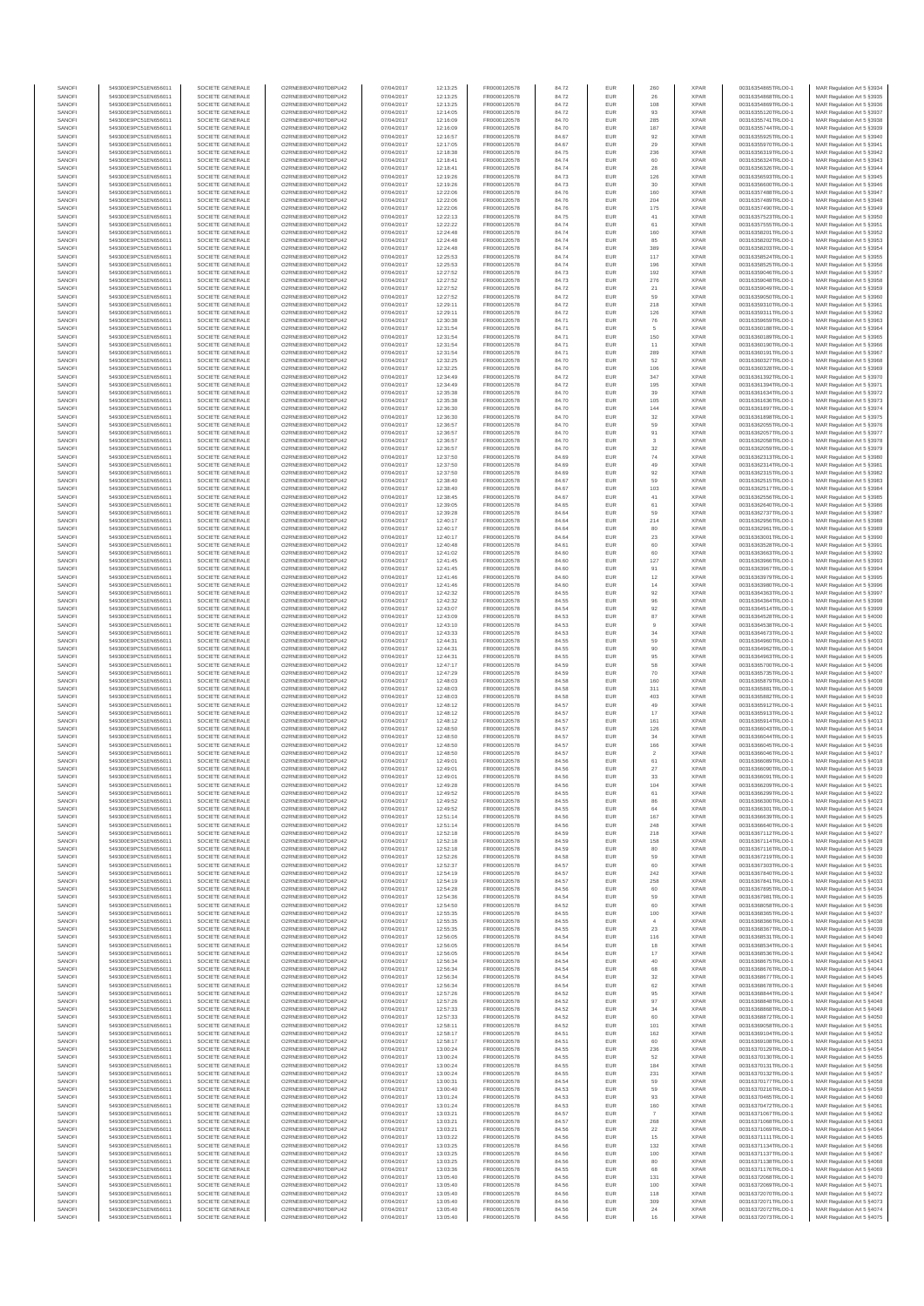| SANOF            | 549300E9PC51EN656011                         | SOCIETE GENERALE                     | O2RNE8IBXP4R0TD8PU42                          | 07/04/2017               | 12:13:25             | FR0000120578                 | 84.72          | EUR               | 260                     | <b>XPAR</b>                | 00316354865TRLO0-1                       | MAR Regulation Art 5 §3934                                |
|------------------|----------------------------------------------|--------------------------------------|-----------------------------------------------|--------------------------|----------------------|------------------------------|----------------|-------------------|-------------------------|----------------------------|------------------------------------------|-----------------------------------------------------------|
| SANOFI<br>SANOFI | 549300E9PC51EN656011                         | SOCIETE GENERALE<br>SOCIETE GENERALE | O2RNE8IBXP4R0TD8PLI42                         | 07/04/2017               | 12:13:25             | FR0000120578                 | 84.72          | EUR               | 26                      | <b>XPAR</b><br><b>XPAR</b> | 00316354868TRLO0-1                       | MAR Regulation Art 5 §3935                                |
| SANOFI           | 549300E9PC51EN656011<br>549300E9PC51EN656011 | SOCIETE GENERALE                     | O2RNE8IBXP4R0TD8PU42<br>O2RNE8IBXP4R0TD8PLI42 | 07/04/2017<br>07/04/2017 | 12:13:25<br>12:14:05 | FR0000120578<br>FR0000120578 | 84.72<br>84.72 | EUR<br>EUR        | 108<br>93               | <b>XPAR</b>                | 00316354869TRLO0-1<br>00316355120TRLO0-1 | MAR Regulation Art 5 §3936<br>MAR Regulation Art 5 §3937  |
| SANOFI           | 549300E9PC51EN656011                         | SOCIETE GENERALE                     | O2RNE8IBXP4R0TD8PU42                          | 07/04/2017               | 12:16:09             | FR0000120578                 | 84.70          | EUR               | 285                     | <b>XPAR</b>                | 00316355741TRLO0-1                       | MAR Regulation Art 5 §3938                                |
| SANOFI           | 549300E9PC51EN656011                         | SOCIETE GENERALE                     | O2RNE8IBXP4R0TD8PU42                          | 07/04/2017               | 12:16:09             | FR0000120578                 | 84.70          | EUR               | 187                     | <b>XPAR</b>                | 00316355744TRLO0-1                       | MAR Regulation Art 5 §3939                                |
| SANOFI<br>SANOFI | 549300E9PC51EN656011<br>549300E9PC51EN656011 | SOCIETE GENERALE<br>SOCIETE GENERALE | O2RNE8IBXP4R0TD8PU42<br>O2RNE8IBXP4R0TD8PU42  | 07/04/2017<br>07/04/2017 | 12:16:57<br>12:17:05 | FR0000120578<br>FR0000120578 | 84.67<br>84.67 | EUR<br>EUR        | 92<br>29                | <b>XPAR</b><br><b>XPAR</b> | 00316355925TRLO0-1<br>00316355970TRLO0-1 | MAR Regulation Art 5 §3940<br>MAR Regulation Art 5 §3941  |
| SANOFI           | 549300E9PC51EN656011                         | SOCIETE GENERALE                     | O2RNE8IBXP4R0TD8PU42                          | 07/04/2017               | 12:18:38             | FR0000120578                 | 84.75          | EUR               | 236                     | <b>XPAR</b>                | 00316356319TRLO0-1                       | MAR Regulation Art 5 \$3942                               |
| SANOFI           | 549300E9PC51EN656011                         | SOCIETE GENERALE                     | O2RNE8IBXP4R0TD8PU42                          | 07/04/2017               | 12:18:41             | FR0000120578                 | 84.74          | EUR               | 60                      | <b>XPAR</b>                | 00316356324TRLO0-1                       | MAR Regulation Art 5 §3943                                |
| SANOFI<br>SANOFI | 549300E9PC51EN656011<br>549300E9PC51EN656011 | SOCIETE GENERALE<br>SOCIETE GENERALE | O2RNE8IBXP4R0TD8PU42<br>O2RNE8IBXP4R0TD8PU42  | 07/04/2017<br>07/04/2017 | 12:18:41<br>12:19:26 | FR0000120578<br>FR0000120578 | 84.74<br>84.73 | EUR<br>EUR        | $\rm 28$<br>126         | <b>XPAR</b><br><b>XPAR</b> | 00316356326TRLO0-1<br>00316356593TRLO0-1 | MAR Regulation Art 5 §3944<br>MAR Regulation Art 5 §3945  |
| SANOFI           | 549300E9PC51EN656011                         | SOCIETE GENERALE                     | O2RNESIBXP4R0TD8PLI42                         | 07/04/2017               | 12:19:26             | FR0000120578                 | 84.73          | EUR               | 30                      | <b>XPAR</b>                | 00316356600TRLO0-1                       | MAR Regulation Art 5 §3946                                |
| SANOFI           | 549300E9PC51EN656011                         | SOCIETE GENERALE                     | O2RNE8IBXP4R0TD8PU42                          | 07/04/2017               | 12:22:06             | FR0000120578                 | 84.76          | EUR               | 160                     | <b>XPAR</b>                | 00316357488TRLO0-1                       | MAR Regulation Art 5 §3947                                |
| SANOFI           | 549300E9PC51EN656011                         | SOCIETE GENERALE                     | O2RNE8IBXP4R0TD8PU42                          | 07/04/2017               | 12:22:06             | FR0000120578                 | 84.76          | EUR               | 204                     | <b>XPAR</b>                | 00316357489TRLO0-1                       | MAR Regulation Art 5 §3948                                |
| SANOFI<br>SANOFI | 549300E9PC51EN656011<br>549300E9PC51EN656011 | SOCIETE GENERALE<br>SOCIETE GENERALE | O2RNE8IBXP4R0TD8PU42<br>O2RNE8IBXP4R0TD8PU42  | 07/04/2017<br>07/04/2017 | 12:22:06<br>12:22:13 | FR0000120578<br>FR0000120578 | 84.76<br>84.75 | EUR<br>EUR        | 175<br>41               | <b>XPAR</b><br><b>XPAR</b> | 00316357490TRLO0-1<br>00316357523TRLO0-1 | MAR Regulation Art 5 §3949<br>MAR Regulation Art 5 §3950  |
| SANOFI           | 549300E9PC51EN656011                         | SOCIETE GENERALE                     | O2RNE8IBXP4R0TD8PU42                          | 07/04/2017               | 12:22:22             | FR0000120578                 | 84.74          | EUR               | 61                      | <b>XPAR</b>                | 00316357555TRLO0-1                       | MAR Regulation Art 5 §3951                                |
| SANOFI           | 549300E9PC51EN656011                         | SOCIETE GENERALE                     | O2RNE8IBXP4R0TD8PU42                          | 07/04/2017               | 12:24:48             | FR0000120578                 | 84.74          | EUR               | 160                     | <b>XPAR</b>                | 00316358201TRLO0-1                       | MAR Regulation Art 5 §3952                                |
| SANOFI           | 549300E9PC51EN656011                         | SOCIETE GENERALE                     | O2RNE8IBXP4R0TD8PU42                          | 07/04/2017               | 12:24:48             | FR0000120578                 | 84.74          | EUR               | 85                      | <b>XPAR</b>                | 00316358202TRLO0-1                       | MAR Regulation Art 5 §3953                                |
| SANOFI<br>SANOFI | 549300E9PC51EN656011<br>549300E9PC51EN656011 | SOCIETE GENERALE<br>SOCIETE GENERALE | O2RNE8IBXP4R0TD8PU42<br>O2RNE8IBXP4R0TD8PLI42 | 07/04/2017<br>07/04/2017 | 12:24:48<br>12:25:53 | FR0000120578<br>FR0000120578 | 84.74<br>84.74 | EUR<br>EUR        | 389<br>117              | <b>XPAR</b><br><b>XPAR</b> | 00316358203TRLO0-1<br>00316358524TRLO0-1 | MAR Regulation Art 5 §3954<br>MAR Regulation Art 5 §3955  |
| SANOFI           | 549300E9PC51EN656011                         | SOCIETE GENERALE                     | O2RNE8IBXP4R0TD8PU42                          | 07/04/2017               | 12:25:53             | FR0000120578                 | 84.74          | EUR               | 196                     | <b>XPAR</b>                | 00316358525TRLO0-1                       | MAR Regulation Art 5 §3956                                |
| SANOFI           | 549300E9PC51EN656011                         | SOCIETE GENERALE                     | O2RNE8IBXP4R0TD8PU42                          | 07/04/2017               | 12:27:52             | FR0000120578                 | 84.73          | EUR               | 192                     | <b>XPAR</b>                | 00316359046TRLO0-1                       | MAR Regulation Art 5 §3957                                |
| SANOFI           | 549300E9PC51EN656011                         | SOCIETE GENERALE                     | O2RNE8IBXP4R0TD8PU42                          | 07/04/2017               | 12:27:52             | FR0000120578                 | 84.73          | EUR               | 276                     | <b>XPAR</b>                | 00316359048TRLO0-1                       | MAR Regulation Art 5 §3958<br>MAR Regulation Art 5 \$3959 |
| SANOFI<br>SANOFI | 549300E9PC51EN656011<br>549300E9PC51EN656011 | SOCIETE GENERALE<br>SOCIETE GENERALE | O2RNE8IBXP4R0TD8PU42<br>O2RNE8IBXP4R0TD8PU42  | 07/04/2017<br>07/04/2017 | 12:27:52<br>12:27:52 | FR0000120578<br>FR0000120578 | 84.72<br>84.72 | EUR<br>EUR        | $21\,$<br>59            | <b>XPAR</b><br><b>XPAR</b> | 00316359049TRLO0-1<br>00316359050TRLO0-1 | MAR Regulation Art 5 §3960                                |
| SANOFI           | 549300E9PC51EN656011                         | SOCIETE GENERALE                     | O2RNE8IBXP4R0TD8PU42                          | 07/04/2017               | 12:29:11             | FR0000120578                 | 84.72          | EUR               | 218                     | <b>XPAR</b>                | 00316359310TRLO0-1                       | MAR Regulation Art 5 §3961                                |
| SANOFI           | 549300E9PC51EN656011                         | SOCIETE GENERALE                     | O2RNE8IBXP4R0TD8PU42                          | 07/04/2017               | 12:29:11             | FR0000120578                 | 84.72          | EUR               | 126                     | <b>XPAR</b>                | 00316359311TRLO0-1                       | MAR Regulation Art 5 §3962                                |
| SANOFI<br>SANOFI | 549300E9PC51EN656011<br>549300E9PC51EN656011 | SOCIETE GENERALE<br>SOCIETE GENERALE | O2RNE8IBXP4R0TD8PU42<br>O2RNE8IBXP4R0TD8PU42  | 07/04/2017<br>07/04/2017 | 12:30:38<br>12:31:54 | FR0000120578<br>FR0000120578 | 84.71<br>84.71 | EUR<br>EUR        | ${\bf 76}$              | <b>XPAR</b><br><b>XPAR</b> | 00316359659TRLO0-1<br>00316360188TRLO0-1 | MAR Regulation Art 5 §3963<br>MAR Regulation Art 5 §3964  |
| SANOFI           | 549300E9PC51EN656011                         | SOCIETE GENERALE                     | O2RNE8IBXP4R0TD8PU42                          | 07/04/2017               | 12:31:54             | FR0000120578                 | 84.71          | EUR               | 150                     | <b>XPAR</b>                | 00316360189TRLO0-1                       | MAR Regulation Art 5 §3965                                |
| SANOFI           | 549300E9PC51EN656011                         | SOCIETE GENERALE                     | O2RNE8IBXP4R0TD8PU42                          | 07/04/2017               | 12:31:54             | FR0000120578                 | 84.71          | EUR               | 11                      | <b>XPAR</b>                | 00316360190TRLO0-1                       | MAR Regulation Art 5 §3966                                |
| SANOFI<br>SANOFI | 549300E9PC51EN656011<br>549300E9PC51EN656011 | SOCIETE GENERALE<br>SOCIETE GENERALE | O2RNE8IBXP4R0TD8PU42<br>O2RNE8IBXP4R0TD8PU42  | 07/04/2017<br>07/04/2017 | 12:31:54<br>12:32:25 | FR0000120578<br>FR0000120578 | 84.71<br>84.70 | EUR<br>EUR        | 289<br>52               | <b>XPAR</b><br><b>XPAR</b> | 00316360191TRLO0-1<br>00316360327TRLO0-1 | MAR Regulation Art 5 §3967                                |
| SANOFI           | 549300E9PC51EN656011                         | SOCIETE GENERALE                     | O2RNE8IBXP4R0TD8PU42                          | 07/04/2017               | 12:32:25             | FR0000120578                 | 84.70          | EUR               | 106                     | <b>XPAR</b>                | 00316360328TRLO0-1                       | MAR Regulation Art 5 §3968<br>MAR Regulation Art 5 §3969  |
| SANOFI           | 549300E9PC51EN656011                         | SOCIETE GENERALE                     | O2RNE8IBXP4R0TD8PU42                          | 07/04/2017               | 12:34:49             | FR0000120578                 | 84.72          | EUR               | 347                     | <b>XPAR</b>                | 00316361392TRLO0-1                       | MAR Regulation Art 5 §3970                                |
| SANOFI           | 549300E9PC51EN656011                         | SOCIETE GENERALE                     | O2RNE8IBXP4R0TD8PU42                          | 07/04/2017               | 12:34:49             | FR0000120578                 | 84.72          | EUR               | 195                     | <b>XPAR</b>                | 00316361394TRLO0-1                       | MAR Regulation Art 5 §3971                                |
| SANOFI<br>SANOFI | 549300E9PC51EN656011<br>549300E9PC51EN656011 | SOCIETE GENERALE<br>SOCIETE GENERALE | O2RNE8IBXP4R0TD8PU42<br>O2RNE8IBXP4R0TD8PU42  | 07/04/2017<br>07/04/2017 | 12:35:38<br>12:35:38 | FR0000120578<br>FR0000120578 | 84.70<br>84.70 | EUR<br>EUR        | 39<br>105               | <b>XPAR</b><br><b>XPAR</b> | 00316361634TRLO0-1<br>00316361636TRLO0-1 | MAR Regulation Art 5 §3972<br>MAR Regulation Art 5 §3973  |
| SANOFI           | 549300E9PC51EN656011                         | SOCIETE GENERALE                     | O2RNE8IBXP4R0TD8PU42                          | 07/04/2017               | 12:36:30             | FR0000120578                 | 84.70          | EUR               | 144                     | <b>XPAR</b>                | 00316361897TRLO0-1                       | MAR Regulation Art 5 §3974                                |
| SANOFI           | 549300E9PC51EN656011                         | SOCIETE GENERALE                     | O2RNE8IBXP4R0TD8PU42                          | 07/04/2017               | 12:36:30             | FR0000120578                 | 84.70          | EUR               | $_{\rm 32}$             | <b>XPAR</b>                | 00316361898TRLO0-1                       | MAR Regulation Art 5 §3975                                |
| SANOFI           | 549300E9PC51EN656011                         | SOCIETE GENERALE                     | O2RNE8IBXP4R0TD8PU42                          | 07/04/2017               | 12:36:57             | FR0000120578<br>FR0000120578 | 84.70          | EUR               | 59                      | <b>XPAR</b>                | 00316362055TRLO0-1                       | MAR Regulation Art 5 §3976                                |
| SANOFI<br>SANOFI | 549300E9PC51EN656011<br>549300E9PC51EN656011 | SOCIETE GENERALE<br>SOCIETE GENERALE | O2RNE8IBXP4R0TD8PU42<br>O2RNE8IBXP4R0TD8PU42  | 07/04/2017<br>07/04/2017 | 12:36:57<br>12:36:57 | FR0000120578                 | 84.70<br>84.70 | EUR<br>EUR        | 91<br>3                 | <b>XPAR</b><br><b>XPAR</b> | 00316362057TRLO0-1<br>00316362058TRLO0-1 | MAR Regulation Art 5 §3977<br>MAR Regulation Art 5 §3978  |
| SANOFI           | 549300E9PC51EN656011                         | SOCIETE GENERALE                     | O2RNE8IBXP4R0TD8PU42                          | 07/04/2017               | 12:36:57             | FR0000120578                 | 84.70          | EUR               | $_{\rm 32}$             | <b>XPAR</b>                | 00316362059TRLO0-1                       | MAR Regulation Art 5 §3979                                |
| SANOFI           | 549300E9PC51EN656011                         | SOCIETE GENERALE                     | O2RNE8IBXP4R0TD8PLI42                         | 07/04/2017               | 12:37:50             | FR0000120578                 | 84.69          | EUR               | $74\,$                  | <b>XPAR</b>                | 00316362313TRLO0-1                       | MAR Regulation Art 5 §3980                                |
| SANOFI           | 549300E9PC51EN656011                         | SOCIETE GENERALE                     | O2RNE8IBXP4R0TD8PU42                          | 07/04/2017               | 12:37:50             | FR0000120578                 | 84.69          | EUR               | 49                      | <b>XPAR</b>                | 00316362314TRLO0-1                       | MAR Regulation Art 5 §3981                                |
| SANOFI<br>SANOFI | 549300E9PC51EN656011<br>549300E9PC51EN656011 | SOCIETE GENERALE<br>SOCIETE GENERALE | O2RNE8IBXP4R0TD8PU42<br>O2RNE8IBXP4R0TD8PU42  | 07/04/2017<br>07/04/2017 | 12:37:50<br>12:38:40 | FR0000120578<br>FR0000120578 | 84.69<br>84.67 | EUR<br>EUR        | 92<br>59                | <b>XPAR</b><br><b>XPAR</b> | 00316362315TRLO0-1<br>00316362515TRLO0-1 | MAR Regulation Art 5 §3982<br>MAR Regulation Art 5 §3983  |
| SANOFI           | 549300E9PC51EN656011                         | SOCIETE GENERALE                     | O2RNE8IBXP4R0TD8PU42                          | 07/04/2017               | 12:38:40             | FR0000120578                 | 84.67          | EUR               | 103                     | <b>XPAR</b>                | 00316362517TRLO0-1                       | MAR Regulation Art 5 §3984                                |
| SANOFI           | 549300E9PC51EN656011                         | SOCIETE GENERALE                     | O2RNE8IBXP4R0TD8PU42                          | 07/04/2017               | 12:38:45             | FR0000120578                 | 84.67          | EUR               | 41                      | <b>XPAR</b>                | 00316362556TRLO0-1                       | MAR Regulation Art 5 §3985                                |
| SANOFI           | 549300E9PC51EN656011                         | SOCIETE GENERALE                     | O2RNE8IBXP4R0TD8PU42                          | 07/04/2017               | 12:39:05             | FR0000120578                 | 84.65          | EUR<br>EUR        | 61<br>59                | <b>XPAR</b><br><b>XPAR</b> | 00316362640TRLO0-1                       | MAR Regulation Art 5 §3986<br>MAR Regulation Art 5 §3987  |
| SANOFI<br>SANOFI | 549300E9PC51EN656011<br>549300E9PC51EN656011 | SOCIETE GENERALE<br>SOCIETE GENERALE | O2RNE8IBXP4R0TD8PU42<br>O2RNE8IBXP4R0TD8PU42  | 07/04/2017<br>07/04/2017 | 12:39:28<br>12:40:17 | FR0000120578<br>FR0000120578 | 84.64<br>84.64 | EUR               | 214                     | <b>XPAR</b>                | 00316362737TRLO0-1<br>00316362956TRLO0-1 | MAR Regulation Art 5 §3988                                |
| SANOFI           | 549300E9PC51EN656011                         | SOCIETE GENERALE                     | O2RNE8IBXP4R0TD8PU42                          | 07/04/2017               | 12:40:17             | FR0000120578                 | 84.64          | EUR               | 80                      | <b>XPAR</b>                | 00316362961TRLO0-1                       | MAR Regulation Art 5 §3989                                |
| SANOFI           | 549300E9PC51EN656011                         | SOCIETE GENERALE                     | O2RNE8IBXP4R0TD8PU42                          | 07/04/2017               | 12:40:17             | FR0000120578                 | 84.64          | EUR               | 23                      | <b>XPAR</b>                | 00316363001TRLO0-1                       | MAR Regulation Art 5 §3990                                |
| SANOFI<br>SANOFI | 549300E9PC51EN656011<br>549300E9PC51EN656011 | SOCIETE GENERALE<br>SOCIETE GENERALE | O2RNE8IBXP4R0TD8PU42<br>O2RNE8IBXP4R0TD8PU42  | 07/04/2017<br>07/04/2017 | 12:40:48<br>12:41:02 | FR0000120578<br>FR0000120578 | 84.61<br>84.60 | EUR<br>EUR        | 60<br>60                | <b>XPAR</b><br><b>XPAR</b> | 00316363528TRLO0-1<br>00316363663TRLO0-1 | MAR Regulation Art 5 §3991<br>MAR Regulation Art 5 §3992  |
| SANOFI           | 549300E9PC51EN656011                         | SOCIETE GENERALE                     | O2RNE8IBXP4R0TD8PU42                          | 07/04/2017               | 12:41:45             | FR0000120578                 | 84.60          | EUR               | 127                     | <b>XPAR</b>                | 00316363966TRLO0-1                       | MAR Regulation Art 5 §3993                                |
| SANOFI           | 549300E9PC51EN656011                         | SOCIETE GENERALE                     | O2RNE8IBXP4R0TD8PU42                          | 07/04/2017               | 12:41:45             | FR0000120578                 | 84.60          | EUR               | 91                      | <b>XPAR</b>                | 00316363967TRLO0-1                       | MAR Regulation Art 5 §3994                                |
| SANOFI           | 549300E9PC51EN656011                         | SOCIETE GENERALE                     | O2RNE8IBXP4R0TD8PU42                          | 07/04/2017               | 12:41:46             | FR0000120578                 | 84.60          | EUR               | $12\,$                  | <b>XPAR</b>                | 00316363979TRLO0-1                       | MAR Regulation Art 5 §3995                                |
| SANOFI<br>SANOFI | 549300E9PC51EN656011<br>549300E9PC51EN656011 | SOCIETE GENERALE<br>SOCIETE GENERALE | O2RNE8IBXP4R0TD8PU42<br>O2RNE8IBXP4R0TD8PU42  | 07/04/2017<br>07/04/2017 | 12:41:46<br>12:42:32 | FR0000120578<br>FR0000120578 | 84.60<br>84.55 | EUR<br>EUR        | 14<br>92                | <b>XPAR</b><br><b>XPAR</b> | 00316363980TRLO0-1<br>00316364363TRLO0-1 | MAR Regulation Art 5 §3996<br>MAR Regulation Art 5 §3997  |
| SANOFI           | 549300E9PC51EN656011                         | SOCIETE GENERALE                     | O2RNE8IBXP4R0TD8PU42                          | 07/04/2017               | 12:42:32             | FR0000120578                 | 84.55          | EUR               | 96                      | <b>XPAR</b>                | 00316364364TRLO0-1                       | MAR Regulation Art 5 §3998                                |
| SANOFI           | 549300E9PC51EN656011                         | SOCIETE GENERALE                     | O2RNE8IBXP4R0TD8PU42                          | 07/04/2017               | 12:43:07             | FR0000120578                 | 84.54          | EUR               | 92                      | <b>XPAR</b>                | 00316364514TRLO0-1                       | MAR Regulation Art 5 §3999                                |
| SANOFI           | 549300E9PC51EN656011                         | SOCIETE GENERALE                     | O2RNE8IBXP4R0TD8PU42                          | 07/04/2017               | 12:43:09             | FR0000120578                 | 84.53          | EUR               | 87                      | <b>XPAR</b>                | 00316364528TRLO0-1                       | MAR Regulation Art 5 §4000                                |
| SANOFI<br>SANOFI | 549300E9PC51EN656011<br>549300E9PC51EN656011 | SOCIETE GENERALE<br>SOCIETE GENERALE | O2RNE8IBXP4R0TD8PU42<br>O2RNE8IBXP4R0TD8PU42  | 07/04/2017<br>07/04/2017 | 12:43:10<br>12:43:33 | FR0000120578<br>FR0000120578 | 84.53<br>84.53 | EUR<br>EUR        | $\overline{9}$<br>34    | <b>XPAR</b><br><b>XPAR</b> | 00316364538TRLO0-1<br>00316364673TRLO0-1 | MAR Regulation Art 5 §4001<br>MAR Regulation Art 5 §4002  |
| SANOFI           | 549300E9PC51EN656011                         | SOCIETE GENERALE                     | O2RNE8IBXP4R0TD8PU42                          | 07/04/2017               | 12:44:31             | FR0000120578                 | 84.55          | EUR               | 59                      | <b>XPAR</b>                | 00316364960TRLO0-1                       | MAR Regulation Art 5 §4003                                |
| SANOFI           | 549300E9PC51EN656011                         | SOCIETE GENERALE                     | O2RNE8IBXP4R0TD8PU42                          | 07/04/2017               | 12:44:31             | FR0000120578                 | 84.55          | EUR               | 90                      | <b>XPAR</b>                | 00316364962TRLO0-1                       | MAR Regulation Art 5 §4004                                |
| SANOFI<br>SANOFI | 549300E9PC51EN656011<br>549300E9PC51EN656011 | SOCIETE GENERALE<br>SOCIETE GENERALE | O2RNE8IBXP4R0TD8PU42<br>O2RNE8IBXP4R0TD8PU42  | 07/04/2017<br>07/04/2017 | 12:44:31<br>12:47:17 | FR0000120578<br>FR0000120578 | 84.55<br>84.59 | EUR<br>EUR        | 95<br>58                | <b>XPAR</b><br><b>XPAR</b> | 00316364963TRLO0-1<br>00316365700TRLO0-1 | MAR Regulation Art 5 §4005<br>MAR Regulation Art 5 §4006  |
| SANOFI           | 549300E9PC51EN656011                         | SOCIETE GENERALE                     | O2RNE8IBXP4R0TD8PU42                          | 07/04/2017               | 12:47:29             | FR0000120578                 | 84.59          | EUR               | 70                      | <b>XPAR</b>                | 00316365735TRLO0-1                       | MAR Regulation Art 5 §4007                                |
| SANOFI           | 549300E9PC51EN656011                         | SOCIETE GENERALE                     | O2RNE8IBXP4R0TD8PU42                          | 07/04/2017               | 12:48:03             | FR0000120578                 | 84.58          | EUR               | 160                     | <b>XPAR</b>                | 00316365879TRLO0-1                       | MAR Regulation Art 5 §4008                                |
| SANOFI<br>SANOFI | 549300E9PC51EN656011<br>549300E9PC51EN656011 | SOCIETE GENERALE<br>SOCIETE GENERALE | O2RNE8IBXP4R0TD8PU42<br>O2RNE8IBXP4R0TD8PU42  | 07/04/2017<br>07/04/2017 | 12:48:03<br>12:48:03 | FR0000120578<br>FR0000120578 | 84.58<br>84.58 | EUR               | 311                     | <b>XPAR</b><br><b>XPAR</b> | 00316365881TRLO0-1<br>00316365882TRLO0-1 | MAR Regulation Art 5 §4009                                |
| SANOFI           | 549300E9PC51EN656011                         | SOCIETE GENERALE                     | O2RNE8IBXP4R0TD8PU42                          | 07/04/2017               | 12:48:12             | FR0000120578                 | 84.57          | EUR<br>EUR        | 403<br>49               | <b>XPAR</b>                | 00316365912TRLO0-1                       | MAR Regulation Art 5 §4010<br>MAR Regulation Art 5 §4011  |
| SANOFI           | 549300E9PC51EN656011                         | SOCIETE GENERALE                     | O2RNE8IBXP4R0TD8PU42                          | 07/04/2017               | 12:48:12             | FR0000120578                 | 84.57          | EUR               | $17\,$                  | <b>XPAR</b>                | 00316365913TRLO0-1                       | MAR Regulation Art 5 §4012                                |
| SANOFI           | 549300E9PC51EN656011                         | SOCIETE GENERALE                     | O2RNE8IBXP4R0TD8PU42                          | 07/04/2017               | 12:48:12             | FR0000120578                 | 84.57          | EUR               | 161                     | <b>XPAR</b>                | 00316365914TRLO0-1                       | MAR Regulation Art 5 §4013                                |
| SANOFI<br>SANOFI | 549300E9PC51EN656011<br>549300E9PC51EN656011 | SOCIETE GENERALE<br>SOCIETE GENERALE | O2RNE8IBXP4R0TD8PU42<br>O2RNE8IBXP4R0TD8PU42  | 07/04/2017<br>07/04/2017 | 12:48:50<br>12:48:50 | FR0000120578<br>FR0000120578 | 84.57<br>84.57 | EUR<br>EUR        | 126<br>34               | <b>XPAR</b><br><b>XPAR</b> | 00316366043TRLO0-1<br>00316366044TRLO0-1 | MAR Regulation Art 5 §4014<br>MAR Regulation Art 5 §4015  |
| SANOFI           | 549300E9PC51EN656011                         | SOCIETE GENERALE                     | O2RNE8IBXP4R0TD8PU42                          | 07/04/2017               | 12:48:50             | FR0000120578                 | 84.57          | EUR               | 166                     | <b>XPAR</b>                | 00316366045TRLO0-1                       | MAR Regulation Art 5 §4016                                |
| SANOFI           | 549300E9PC51EN656011                         | SOCIETE GENERALE                     | O2RNE8IBXP4R0TD8PLI42                         | 07/04/2017               | 12:48:50             | FR0000120578                 | 84.57          | EUR               | $\overline{2}$          | <b>XPAR</b>                | 00316366046TRLO0-1                       | MAR Regulation Art 5 §4017                                |
| SANOFI           | 549300E9PC51EN656011<br>549300E9PC51EN656011 | SOCIETE GENERALE                     | O2RNE8IBXP4R0TD8PU42                          | 07/04/2017               | 12:49:01             | FR0000120578                 | 84.56          | EUR               | 61                      | <b>XPAR</b>                | 00316366089TRLO0-1                       | MAR Regulation Art 5 §4018                                |
| SANOFI<br>SANOFI | 549300E9PC51EN656011                         | SOCIETE GENERALE<br>SOCIETE GENERALE | O2RNE8IBXP4R0TD8PU42<br>O2RNE8IBXP4R0TD8PU42  | 07/04/2017<br>07/04/2017 | 12:49:01<br>12:49:01 | FR0000120578<br>FR0000120578 | 84.56<br>84.56 | <b>EUR</b><br>EUR | 27<br>33                | <b>XPAR</b><br><b>XPAR</b> | 00316366090TRLO0-1<br>00316366091TRLO0-1 | MAR Regulation Art 5 §4019<br>MAR Regulation Art 5 §4020  |
| SANOFI           | 549300E9PC51EN656011                         | SOCIETE GENERALE                     | O2RNE8IBXP4R0TD8PU42                          | 07/04/2017               | 12:49:28             | FR0000120578                 | 84.56          | EUR               | 104                     | <b>XPAR</b>                | 00316366209TRLO0-1                       | MAR Regulation Art 5 §4021                                |
| SANOFI           | 549300E9PC51EN656011                         | SOCIETE GENERALE                     | O2RNE8IBXP4R0TD8PU42                          | 07/04/2017               | 12:49:52             | FR0000120578                 | 84.55          | <b>EUR</b>        | 61                      | <b>XPAR</b>                | 00316366299TRLO0-1                       | MAR Regulation Art 5 §4022                                |
| SANOFI           | 549300E9PC51EN656011                         | SOCIETE GENERALE                     | O2RNESIBXP4R0TD8PLI42<br>O2RNE8IBXP4R0TD8PU42 | 07/04/2017               | 12:49:52             | FR0000120578                 | 84.55          | EUR               | 86                      | <b>XPAR</b>                | 00316366300TRLO0-1                       | MAR Regulation Art 5 §4023                                |
| SANOFI<br>SANOFI | 549300E9PC51EN656011<br>549300E9PC51EN656011 | SOCIETE GENERALE<br>SOCIETE GENERALE | O2RNE8IBXP4R0TD8PU42                          | 07/04/2017<br>07/04/2017 | 12:49:52<br>12:51:14 | FR0000120578<br>FR0000120578 | 84.55<br>84.56 | EUR<br>EUR        | 64<br>167               | <b>XPAR</b><br><b>XPAR</b> | 00316366301TRLO0-1<br>00316366639TRLO0-1 | MAR Regulation Art 5 §4024<br>MAR Regulation Art 5 §4025  |
| SANOFI           | 549300E9PC51EN656011                         | SOCIETE GENERALE                     | O2RNE8IBXP4R0TD8PU42                          | 07/04/2017               | 12:51:14             | FR0000120578                 | 84.56          | EUR               | 248                     | <b>XPAR</b>                | 00316366640TRLO0-1                       | MAR Regulation Art 5 §4026                                |
| SANOFI           | 549300E9PC51EN656011                         | SOCIETE GENERALE                     | O2RNE8IBXP4R0TD8PU42                          | 07/04/2017               | 12:52:18             | FR0000120578                 | 84.59          | EUR               | 218                     | <b>XPAR</b>                | 00316367112TRLO0-1                       | MAR Regulation Art 5 §4027                                |
| SANOFI<br>SANOFI | 549300E9PC51EN656011<br>549300E9PC51EN656011 | SOCIETE GENERALE<br>SOCIETE GENERALE | O2RNE8IBXP4R0TD8PU42<br>O2RNE8IBXP4R0TD8PU42  | 07/04/2017<br>07/04/2017 | 12:52:18<br>12:52:18 | FR0000120578<br>FR0000120578 | 84.59<br>84.59 | EUR<br>EUR        | 158<br>80               | <b>XPAR</b><br><b>XPAR</b> | 00316367114TRLO0-1<br>00316367116TRLO0-1 | MAR Regulation Art 5 §4028<br>MAR Regulation Art 5 §4029  |
| SANOFI           | 549300E9PC51EN656011                         | SOCIETE GENERALE                     | O2RNE8IBXP4R0TD8PU42                          | 07/04/2017               | 12:52:26             | FR0000120578                 | 84.58          | EUR               | 59                      | <b>XPAR</b>                | 00316367219TRLO0-1                       | MAR Regulation Art 5 \$4030                               |
| SANOFI           | 549300E9PC51EN656011                         | SOCIETE GENERALE                     | O2RNE8IBXP4R0TD8PU42                          | 07/04/2017               | 12:52:37             | FR0000120578                 | 84.57          | EUR               | 60                      | <b>XPAR</b>                | 00316367303TRLO0-1                       | MAR Regulation Art 5 §4031                                |
| SANOFI<br>SANOFI | 549300E9PC51EN656011<br>549300E9PC51EN656011 | SOCIETE GENERALE<br>SOCIETE GENERALE | O2RNE8IBXP4R0TD8PU42<br>O2RNE8IBXP4R0TD8PU42  | 07/04/2017<br>07/04/2017 | 12:54:19<br>12:54:19 | FR0000120578<br>FR0000120578 | 84.57<br>84.57 | EUR<br><b>EUR</b> | 242<br>258              | <b>XPAR</b><br><b>XPAR</b> | 00316367840TRLO0-1<br>00316367841TRLO0-1 | MAR Regulation Art 5 §4032<br>MAR Regulation Art 5 §4033  |
| SANOFI           | 549300E9PC51EN656011                         | SOCIETE GENERALE                     | O2RNE8IBXP4R0TD8PU42                          | 07/04/2017               | 12:54:28             | FR0000120578                 | 84.56          | EUR               | 60                      | <b>XPAR</b>                | 00316367895TRLO0-1                       | MAR Regulation Art 5 §4034                                |
| SANOFI           | 549300E9PC51EN656011                         | SOCIETE GENERALE                     | O2RNE8IBXP4R0TD8PU42                          | 07/04/2017               | 12:54:36             | FR0000120578                 | 84.54          | EUR               | 59                      | <b>XPAR</b>                | 00316367981TRLO0-1                       | MAR Regulation Art 5 §4035                                |
| SANOFI<br>SANOFI | 549300E9PC51EN656011<br>549300E9PC51EN656011 | SOCIETE GENERALE<br>SOCIETE GENERALE | O2RNE8IBXP4R0TD8PU42<br>O2RNE8IBXP4R0TD8PU42  | 07/04/2017<br>07/04/2017 | 12:54:50<br>12:55:35 | FR0000120578<br>FR0000120578 | 84.52<br>84.55 | EUR<br>EUR        | 60<br>100               | <b>XPAR</b><br><b>XPAR</b> | 00316368058TRLO0-1<br>00316368365TRLO0-1 | MAR Regulation Art 5 §4036<br>MAR Regulation Art 5 §4037  |
| SANOFI           | 549300E9PC51EN656011                         | SOCIETE GENERALE                     | O2RNE8IBXP4R0TD8PU42                          | 07/04/2017               | 12:55:35             | FR0000120578                 | 84.55          | EUR               | $\overline{4}$          | <b>XPAR</b>                | 00316368366TRLO0-1                       | MAR Regulation Art 5 §4038                                |
| SANOFI           | 549300E9PC51EN656011                         | SOCIETE GENERALE                     | O2RNE8IBXP4R0TD8PU42                          | 07/04/2017               | 12:55:35             | FR0000120578                 | 84.55          | EUR               | 23                      | <b>XPAR</b>                | 00316368367TRLO0-1                       | MAR Regulation Art 5 §4039                                |
| SANOFI<br>SANOFI | 549300E9PC51EN656011<br>549300E9PC51EN656011 | SOCIETE GENERALE<br>SOCIETE GENERALE | O2RNE8IBXP4R0TD8PU42<br>O2RNE8IBXP4R0TD8PU42  | 07/04/2017<br>07/04/2017 | 12:56:05<br>12:56:05 | FR0000120578<br>FR0000120578 | 84.54<br>84.54 | EUR<br>EUR        | 116<br>18               | <b>XPAR</b><br><b>XPAR</b> | 00316368531TRLO0-1<br>00316368534TRLO0-1 | MAR Regulation Art 5 §4040                                |
| SANOFI           | 549300E9PC51EN656011                         | SOCIETE GENERALE                     | O2RNE8IBXP4R0TD8PU42                          | 07/04/2017               | 12:56:05             | FR0000120578                 | 84.54          | EUR               | 17                      | <b>XPAR</b>                | 00316368536TRLO0-1                       | MAR Regulation Art 5 §4041<br>MAR Regulation Art 5 §4042  |
| SANOFI           | 549300E9PC51EN656011                         | SOCIETE GENERALE                     | O2RNE8IBXP4R0TD8PU42                          | 07/04/2017               | 12:56:34             | FR0000120578                 | 84.54          | EUR               | 40                      | <b>XPAR</b>                | 00316368675TRLO0-1                       | MAR Regulation Art 5 §4043                                |
| SANOFI           | 549300E9PC51EN656011                         | SOCIETE GENERALE                     | O2RNE8IBXP4R0TD8PU42                          | 07/04/2017               | 12:56:34             | FR0000120578                 | 84.54          | EUR               | 68                      | <b>XPAR</b>                | 00316368676TRLO0-1                       | MAR Regulation Art 5 §4044                                |
| SANOFI<br>SANOFI | 549300E9PC51EN656011<br>549300E9PC51EN656011 | SOCIETE GENERALE<br>SOCIETE GENERALE | O2RNE8IBXP4R0TD8PU42<br>O2RNE8IBXP4R0TD8PU42  | 07/04/2017<br>07/04/2017 | 12:56:34<br>12:56:34 | FR0000120578<br>FR0000120578 | 84.54<br>84.54 | EUR<br>EUR        | 32<br>62                | <b>XPAR</b><br><b>XPAR</b> | 00316368677TRLO0-1<br>00316368678TRLO0-1 | MAR Regulation Art 5 §4045<br>MAR Regulation Art 5 §4046  |
| SANOFI           | 549300E9PC51EN656011                         | SOCIETE GENERALE                     | O2RNE8IBXP4R0TD8PU42                          | 07/04/2017               | 12:57:26             | FR0000120578                 | 84.52          | EUR               | 95                      | <b>XPAR</b>                | 00316368844TRLO0-1                       | MAR Regulation Art 5 §4047                                |
| SANOFI           | 549300E9PC51EN656011                         | SOCIETE GENERALE                     | O2RNE8IBXP4R0TD8PU42                          | 07/04/2017               | 12:57:26             | FR0000120578                 | 84.52          | EUR               | 97                      | <b>XPAR</b>                | 00316368848TRLO0-1                       | MAR Regulation Art 5 §4048                                |
| SANOFI           | 549300E9PC51EN656011                         | SOCIETE GENERALE                     | O2RNE8IBXP4R0TD8PU42                          | 07/04/2017               | 12:57:33             | FR0000120578                 | 84.52          | EUR               | 34                      | <b>XPAR</b>                | 00316368868TRLO0-1                       | MAR Regulation Art 5 §4049                                |
| SANOFI<br>SANOFI | 549300E9PC51EN656011<br>549300E9PC51EN656011 | SOCIETE GENERALE<br>SOCIETE GENERALE | O2RNE8IBXP4R0TD8PU42<br>O2RNE8IBXP4R0TD8PU42  | 07/04/2017<br>07/04/2017 | 12:57:33<br>12:58:11 | FR0000120578<br>FR0000120578 | 84.52<br>84.52 | EUR<br>EUR        | 60<br>101               | <b>XPAR</b><br><b>XPAR</b> | 00316368872TRLO0-1<br>00316369058TRLO0-1 | MAR Regulation Art 5 §4050<br>MAR Regulation Art 5 §4051  |
| SANOFI           | 549300E9PC51EN656011                         | SOCIETE GENERALE                     | O2RNE8IBXP4R0TD8PU42                          | 07/04/2017               | 12:58:17             | FR0000120578                 | 84.51          | EUR               | 162                     | <b>XPAR</b>                | 00316369104TRLO0-1                       | MAR Regulation Art 5 §4052                                |
| SANOFI           | 549300E9PC51EN656011                         | SOCIETE GENERALE                     | O2RNE8IBXP4R0TD8PU42                          | 07/04/2017               | 12:58:17             | FR0000120578                 | 84.51          | EUR               | 60                      | <b>XPAR</b>                | 00316369108TRLO0-1                       | MAR Regulation Art 5 §4053                                |
| SANOFI<br>SANOFI | 549300E9PC51EN656011<br>549300E9PC51EN656011 | SOCIETE GENERALE<br>SOCIETE GENERALE | O2RNE8IBXP4R0TD8PU42<br>O2RNE8IBXP4R0TD8PU42  | 07/04/2017<br>07/04/2017 | 13:00:24<br>13:00:24 | FR0000120578<br>FR0000120578 | 84.55<br>84.55 | EUR<br>EUR        | 236<br>52               | <b>XPAR</b><br><b>XPAR</b> | 00316370129TRLO0-1                       | MAR Regulation Art 5 §4054<br>MAR Regulation Art 5 §4055  |
| SANOFI           | 549300E9PC51EN656011                         | SOCIETE GENERALE                     | O2RNE8IBXP4R0TD8PU42                          | 07/04/2017               | 13:00:24             | FR0000120578                 | 84.55          | EUR               | 184                     | <b>XPAR</b>                | 00316370130TRLO0-1<br>00316370131TRLO0-1 | MAR Regulation Art 5 §4056                                |
| SANOFI           | 549300E9PC51EN656011                         | SOCIETE GENERALE                     | O2RNE8IBXP4R0TD8PU42                          | 07/04/2017               | 13:00:24             | FR0000120578                 | 84.55          | EUR               | 231                     | <b>XPAR</b>                | 00316370132TRLO0-1                       | MAR Regulation Art 5 §4057                                |
| SANOFI           | 549300E9PC51EN656011                         | SOCIETE GENERALE                     | O2RNE8IBXP4R0TD8PU42                          | 07/04/2017               | 13:00:31             | FR0000120578                 | 84.54          | EUR               | 59                      | <b>XPAR</b>                | 00316370177TRLO0-1                       | MAR Regulation Art 5 §4058                                |
| SANOFI<br>SANOFI | 549300E9PC51EN656011<br>549300E9PC51EN656011 | SOCIETE GENERALE<br>SOCIETE GENERALE | O2RNE8IBXP4R0TD8PU42<br>O2RNE8IBXP4R0TD8PU42  | 07/04/2017               | 13:00:40<br>13:01:24 | FR0000120578                 | 84.53<br>84.53 | EUR               | 59<br>93                | <b>XPAR</b><br><b>XPAR</b> | 00316370216TRLO0-1<br>00316370465TRLO0-1 | MAR Regulation Art 5 §4059                                |
| SANOFI           | 549300E9PC51EN656011                         | SOCIETE GENERALE                     | O2RNE8IBXP4R0TD8PU42                          | 07/04/2017<br>07/04/2017 | 13:01:24             | FR0000120578<br>FR0000120578 | 84.53          | EUR<br>EUR        | 160                     | <b>XPAR</b>                | 00316370472TRLO0-1                       | MAR Regulation Art 5 §4060<br>MAR Regulation Art 5 §4061  |
| SANOFI           | 549300E9PC51EN656011                         | SOCIETE GENERALE                     | O2RNE8IBXP4R0TD8PU42                          | 07/04/2017               | 13:03:21             | FR0000120578                 | 84.57          | <b>EUR</b>        | $\overline{7}$          | <b>XPAR</b>                | 00316371067TRLO0-1                       | MAR Regulation Art 5 §4062                                |
| SANOFI           | 549300E9PC51EN656011                         | SOCIETE GENERALE                     | O2RNE8IBXP4R0TD8PU42                          | 07/04/2017               | 13:03:21             | FR0000120578                 | 84.57          | EUR               | 268                     | <b>XPAR</b>                | 00316371068TRLO0-1                       | MAR Regulation Art 5 §4063                                |
| SANOFI<br>SANOFI | 549300E9PC51EN656011<br>549300E9PC51EN656011 | SOCIETE GENERALE<br>SOCIETE GENERALE | O2RNE8IBXP4R0TD8PU42<br>O2RNE8IBXP4R0TD8PU42  | 07/04/2017<br>07/04/2017 | 13:03:21<br>13:03:22 | FR0000120578<br>FR0000120578 | 84.56<br>84.56 | EUR<br>EUR        | 22<br>15                | <b>XPAR</b><br><b>XPAR</b> | 00316371069TRLO0-1<br>00316371111TRLO0-1 | MAR Regulation Art 5 §4064<br>MAR Regulation Art 5 §4065  |
| SANOFI           | 549300E9PC51EN656011                         | SOCIETE GENERALE                     | O2RNE8IBXP4R0TD8PU42                          | 07/04/2017               | 13:03:25             | FR0000120578                 | 84.56          | EUR               | 132                     | <b>XPAR</b>                | 00316371134TRLO0-1                       | MAR Regulation Art 5 §4066                                |
| SANOFI           | 549300E9PC51EN656011                         | SOCIETE GENERALE                     | O2RNE8IBXP4R0TD8PU42                          | 07/04/2017               | 13:03:25             | FR0000120578                 | 84.56          | EUR               | 100                     | <b>XPAR</b>                | 00316371137TRLO0-1                       | MAR Regulation Art 5 §4067                                |
| SANOFI<br>SANOFI | 549300E9PC51EN656011<br>549300E9PC51EN656011 | SOCIETE GENERALE<br>SOCIETE GENERALE | O2RNE8IBXP4R0TD8PU42<br>O2RNE8IBXP4R0TD8PU42  | 07/04/2017<br>07/04/2017 | 13:03:25<br>13:03:36 | FR0000120578<br>FR0000120578 | 84.56<br>84.55 | EUR<br><b>EUR</b> | 80<br>68                | <b>XPAR</b><br><b>XPAR</b> | 00316371138TRLO0-1<br>00316371176TRLO0-1 | MAR Regulation Art 5 §4068                                |
| SANOFI           | 549300E9PC51EN656011                         | SOCIETE GENERALE                     | O2RNE8IBXP4R0TD8PU42                          | 07/04/2017               | 13:05:40             | FR0000120578                 | 84.56          | EUR               | 131                     | <b>XPAR</b>                | 00316372068TRLO0-1                       | MAR Regulation Art 5 §4069<br>MAR Regulation Art 5 §4070  |
| SANOFI           | 549300E9PC51EN656011                         | SOCIETE GENERALE                     | O2RNE8IBXP4R0TD8PU42                          | 07/04/2017               | 13:05:40             | FR0000120578                 | 84.56          | EUR               | 100                     | <b>XPAR</b>                | 00316372069TRLO0-1                       | MAR Regulation Art 5 §4071                                |
| SANOFI           | 549300E9PC51EN656011                         | SOCIETE GENERALE                     | O2RNE8IBXP4R0TD8PU42                          | 07/04/2017               | 13:05:40             | FR0000120578                 | 84.56          | EUR               | 118                     | <b>XPAR</b>                | 00316372070TRLO0-1                       | MAR Regulation Art 5 §4072                                |
| SANOFI<br>SANOFI | 549300E9PC51EN656011<br>549300E9PC51EN656011 | SOCIETE GENERALE<br>SOCIETE GENERALE | O2RNE8IBXP4R0TD8PU42<br>O2RNE8IBXP4R0TD8PU42  | 07/04/2017<br>07/04/2017 | 13:05:40<br>13:05:40 | FR0000120578<br>FR0000120578 | 84.56<br>84.56 | EUR<br>EUR        | 309<br>$\mathbf{^{24}}$ | <b>XPAR</b><br><b>XPAR</b> | 00316372071TRLO0-1<br>00316372072TRLO0-1 | MAR Regulation Art 5 §4073<br>MAR Regulation Art 5 §4074  |
| SANOFI           | 549300E9PC51EN656011                         | SOCIETE GENERALE                     | O2RNE8IBXP4R0TD8PU42                          | 07/04/2017               | 13:05:40             | FR0000120578                 | 84.56          | EUR               | 16                      | XPAR                       | 00316372073TRLO0-1                       | MAR Regulation Art 5 §4075                                |
|                  |                                              |                                      |                                               |                          |                      |                              |                |                   |                         |                            |                                          |                                                           |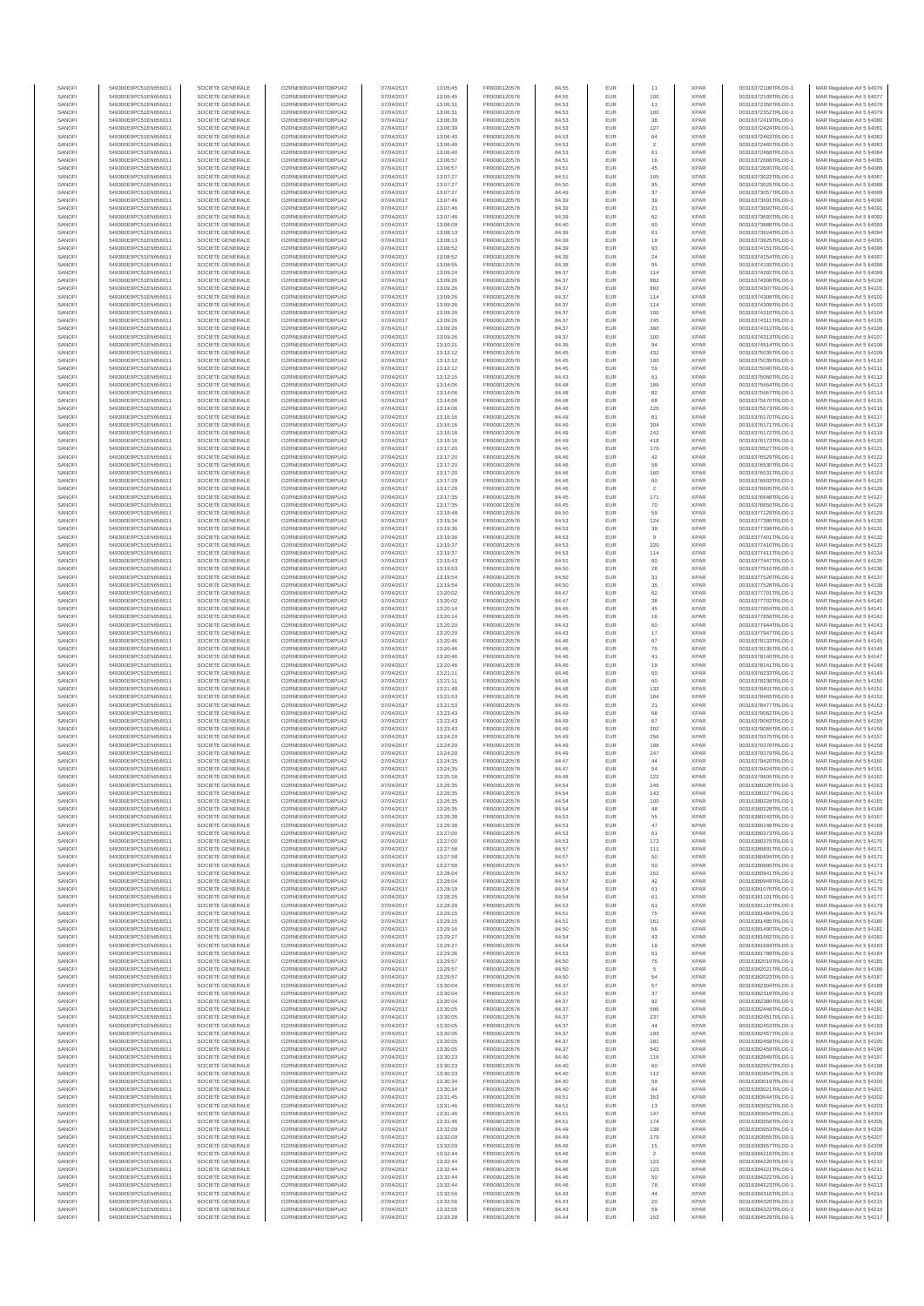| SANOFI<br>SANOFI | 549300E9PC51EN656011<br>549300E9PC51EN656011 | SOCIETE GENERALE<br>SOCIETE GENERALE | O2RNE8IBXP4R0TD8PU42<br>O2RNE8IBXP4R0TD8PU42  | 07/04/2017<br>07/04/2017 | 13:05:45<br>13:05:45 | FR0000120578<br>FR0000120578 | 84.55<br>84.55 | EUR<br>EUR        | 11<br>100              | <b>XPAR</b><br><b>XPAR</b> | 00316372108TRLO0-1<br>00316372109TRLO0-1 | MAR Regulation Art 5 §4076<br>MAR Regulation Art 5 §4077  |
|------------------|----------------------------------------------|--------------------------------------|-----------------------------------------------|--------------------------|----------------------|------------------------------|----------------|-------------------|------------------------|----------------------------|------------------------------------------|-----------------------------------------------------------|
| SANOFI           | 549300E9PC51EN656011                         | SOCIETE GENERALE                     | O2RNE8IBXP4R0TD8PU42                          | 07/04/2017               | 13:06:31             | FR0000120578                 | 84.53          | <b>EUR</b>        | 11                     | <b>XPAR</b>                | 00316372350TRLO0-1                       | MAR Regulation Art 5 §4078                                |
| SANOFI           | 549300E9PC51EN656011                         | SOCIETE GENERALE                     | O2RNE8IBXP4R0TD8PU42                          | 07/04/2017               | 13:06:31             | FR0000120578                 | 84.53          | EUR               | 100                    | <b>XPAR</b>                | 00316372352TRLO0-1                       | MAR Regulation Art 5 \$4079                               |
| SANOFI<br>SANOFI | 549300E9PC51EN656011<br>549300E9PC51EN656011 | SOCIETE GENERALE<br>SOCIETE GENERALE | O2RNE8IBXP4R0TD8PU42<br>O2RNE8IBXP4R0TD8PU42  | 07/04/2017<br>07/04/2017 | 13:06:39<br>13:06:39 | FR0000120578<br>FR0000120578 | 84.53<br>84.53 | EUR<br>EUR        | 38<br>127              | <b>XPAR</b><br><b>XPAR</b> | 00316372419TRLO0-1<br>00316372424TRLO0-1 | MAR Regulation Art 5 §4080<br>MAR Regulation Art 5 §4081  |
| SANOFI           | 549300E9PC51EN656011                         | SOCIETE GENERALE                     | O2RNE8IBXP4R0TD8PLI42                         | 07/04/2017               | 13:06:40             | FR0000120578                 | 84.53          | EUR               | $_{\rm 64}$            | <b>XPAR</b>                | 00316372463TRLO0-1                       | MAR Regulation Art 5 §4082                                |
| SANOFI<br>SANOFI | 549300E9PC51EN656011<br>549300E9PC51EN656011 | SOCIETE GENERALE<br>SOCIETE GENERALE | O2RNE8IBXP4R0TD8PU42<br>O2RNE8IBXP4R0TD8PU42  | 07/04/2017<br>07/04/2017 | 13:06:40<br>13:06:40 | FR0000120578<br>FR0000120578 | 84.53<br>84.53 | EUR<br>EUR        | $\overline{2}$<br>61   | <b>XPAR</b><br><b>XPAR</b> | 00316372465TRLO0-1<br>00316372468TRLO0-1 | MAR Regulation Art 5 §4083<br>MAR Regulation Art 5 §4084  |
| SANOFI           | 549300E9PC51EN656011                         | SOCIETE GENERALE                     | O2RNE8IBXP4R0TD8PU42                          | 07/04/2017               | 13:06:57             | FR0000120578                 | 84.51          | EUR               | 16                     | <b>XPAR</b>                | 00316372688TRLO0-1                       | MAR Regulation Art 5 §4085                                |
| SANOFI           | 549300E9PC51EN656011                         | SOCIETE GENERALE                     | O2RNE8IBXP4R0TD8PU42                          | 07/04/2017               | 13:06:57             | FR0000120578                 | 84.51          | EUR               | 45                     | <b>XPAR</b>                | 00316372693TRLO0-1                       | MAR Regulation Art 5 §4086                                |
| SANOFI<br>SANOFI | 549300E9PC51EN656011<br>549300E9PC51EN656011 | SOCIETE GENERALE<br>SOCIETE GENERALE | O2RNE8IBXP4R0TD8PU42<br>O2RNE8IBXP4R0TD8PU42  | 07/04/2017<br>07/04/2017 | 13:07:27<br>13:07:27 | FR0000120578<br>FR0000120578 | 84.51<br>84.50 | EUR<br>EUR        | 105<br>95              | <b>XPAR</b><br><b>XPAR</b> | 00316373022TRLO0-1<br>00316373025TRLO0-1 | MAR Regulation Art 5 §4087<br>MAR Regulation Art 5 §4088  |
| SANOFI           | 549300E9PC51EN656011                         | SOCIETE GENERALE                     | O2RNE8IBXP4R0TD8PU42                          | 07/04/2017               | 13:07:27             | FR0000120578                 | 84.49          | EUR               | 37                     | <b>XPAR</b>                | 00316373057TRLO0-1                       | MAR Regulation Art 5 §4089                                |
| SANOFI<br>SANOFI | 549300E9PC51EN656011<br>549300E9PC51EN656011 | SOCIETE GENERALE<br>SOCIETE GENERALE | O2RNE8IBXP4R0TD8PU42<br>O2RNE8IBXP4R0TD8PU42  | 07/04/2017<br>07/04/2017 | 13:07:46<br>13:07:46 | FR0000120578<br>FR0000120578 | 84.39<br>84.39 | EUR<br>EUR        | 39<br>21               | <b>XPAR</b><br><b>XPAR</b> | 00316373691TRLO0-1<br>00316373692TRLO0-1 | MAR Regulation Art 5 §4090<br>MAR Regulation Art 5 §4091  |
| SANOFI           | 549300E9PC51EN656011                         | SOCIETE GENERALE                     | O2RNE8IBXP4R0TD8PU42                          | 07/04/2017               | 13:07:46             | FR0000120578                 | 84.39          | EUR               | 62                     | <b>XPAR</b>                | 00316373693TRLO0-1                       | MAR Regulation Art 5 §4092                                |
| SANOFI           | 549300E9PC51EN656011                         | SOCIETE GENERALE                     | O2RNE8IBXP4R0TD8PU42                          | 07/04/2017               | 13:08:09             | FR0000120578                 | 84.40          | EUR               | 60                     | <b>XPAR</b>                | 00316373888TRLO0-1                       | MAR Regulation Art 5 §4093                                |
| SANOFI<br>SANOFI | 549300E9PC51EN656011<br>549300E9PC51EN656011 | SOCIETE GENERALE<br>SOCIETE GENERALE | O2RNE8IBXP4R0TD8PU42<br>O2RNE8IBXP4R0TD8PU42  | 07/04/2017<br>07/04/2017 | 13:08:13<br>13:08:13 | FR0000120578<br>FR0000120578 | 84.39<br>84.39 | EUR<br>EUR        | 61<br>18               | <b>XPAR</b><br><b>XPAR</b> | 00316373924TRLO0-1<br>00316373925TRLO0-1 | MAR Regulation Art 5 §4094<br>MAR Regulation Art 5 §4095  |
| SANOFI           | 549300E9PC51EN656011                         | SOCIETE GENERALE                     | O2RNE8IBXP4R0TD8PU42                          | 07/04/2017               | 13:08:52             | FR0000120578                 | 84.39          | EUR               | 93                     | <b>XPAR</b>                | 00316374151TRLO0-1                       | MAR Regulation Art 5 §4096                                |
| SANOFI<br>SANOFI | 549300E9PC51EN656011<br>549300E9PC51EN656011 | SOCIETE GENERALE<br>SOCIETE GENERALE | O2RNE8IBXP4R0TD8PU42<br>O2RNE8IBXP4R0TD8PU42  | 07/04/2017<br>07/04/2017 | 13:08:52<br>13:08:55 | FR0000120578<br>FR0000120578 | 84.39<br>84.38 | EUR<br>EUR        | 24<br>95               | <b>XPAR</b><br><b>XPAR</b> | 00316374154TRLO0-1<br>00316374192TRLO0-1 | MAR Regulation Art 5 §4097<br>MAR Regulation Art 5 §4098  |
| SANOFI           | 549300E9PC51EN656011                         | SOCIETE GENERALE                     | O2RNE8IBXP4R0TD8PU42                          | 07/04/2017               | 13:09:24             | FR0000120578                 | 84.37          | EUR               | 114                    | <b>XPAR</b>                | 00316374292TRLO0-1                       | MAR Regulation Art 5 §4099                                |
| SANOFI           | 549300E9PC51EN656011                         | SOCIETE GENERALE                     | O2RNE8IBXP4R0TD8PLI42                         | 07/04/2017               | 13:09:26             | FR0000120578                 | 84.37          | EUR               | 882                    | <b>XPAR</b>                | 00316374306TRLO0-1                       | MAR Regulation Art 5 §4100                                |
| SANOFI<br>SANOFI | 549300E9PC51EN656011<br>549300E9PC51EN656011 | SOCIETE GENERALE<br>SOCIETE GENERALE | O2RNE8IBXP4R0TD8PU42<br>O2RNE8IBXP4R0TD8PU42  | 07/04/2017<br>07/04/2017 | 13:09:26<br>13:09:26 | FR0000120578<br>FR0000120578 | 84.37<br>84.37 | EUR<br>EUR        | 882<br>114             | <b>XPAR</b><br><b>XPAR</b> | 00316374307TRLO0-1<br>00316374308TRLO0-1 | MAR Regulation Art 5 §4101<br>MAR Regulation Art 5 §4102  |
| SANOFI           | 549300E9PC51EN656011                         | SOCIETE GENERALE                     | O2RNE8IBXP4R0TD8PU42                          | 07/04/2017               | 13:09:26             | FR0000120578                 | 84.37          | EUR               | 114                    | <b>XPAR</b>                | 00316374309TRLO0-1                       | MAR Regulation Art 5 §4103                                |
| SANOFI<br>SANOFI | 549300E9PC51EN656011<br>549300E9PC51EN656011 | SOCIETE GENERALE<br>SOCIETE GENERALE | O2RNE8IBXP4R0TD8PU42<br>O2RNE8IBXP4R0TD8PU42  | 07/04/2017<br>07/04/2017 | 13:09:26<br>13:09:26 | FR0000120578<br>FR0000120578 | 84.37<br>84.37 | EUR<br>EUR        | 100<br>245             | <b>XPAR</b><br><b>XPAR</b> | 00316374310TRLO0-1<br>00316374311TRLO0-1 | MAR Regulation Art 5 §4104<br>MAR Regulation Art 5 §4105  |
| SANOFI           | 549300E9PC51EN656011                         | SOCIETE GENERALE                     | O2RNE8IBXP4R0TD8PU42                          | 07/04/2017               | 13:09:26             | FR0000120578                 | 84.37          | EUR               | 380                    | <b>XPAR</b>                | 00316374312TRLO0-1                       | MAR Regulation Art 5 §4106                                |
| SANOFI           | 549300E9PC51EN656011                         | SOCIETE GENERALE                     | O2RNE8IBXP4R0TD8PU42                          | 07/04/2017               | 13:09:26             | FR0000120578                 | 84.37          | EUR               | 100                    | <b>XPAR</b>                | 00316374313TRLO0-1                       | MAR Regulation Art 5 §4107                                |
| SANOFI<br>SANOFI | 549300E9PC51EN656011<br>549300E9PC51EN656011 | SOCIETE GENERALE<br>SOCIETE GENERALE | O2RNE8IBXP4R0TD8PU42<br>O2RNE8IBXP4R0TD8PU42  | 07/04/2017<br>07/04/2017 | 13:10:21<br>13:12:12 | FR0000120578<br>FR0000120578 | 84.39<br>84.45 | EUR<br>EUR        | 94<br>432              | <b>XPAR</b><br><b>XPAR</b> | 00316374514TRLO0-1<br>00316375035TRLO0-1 | MAR Regulation Art 5 §4108<br>MAR Regulation Art 5 §4109  |
| SANOFI           | 549300E9PC51EN656011                         | SOCIETE GENERALE                     | O2RNE8IBXP4R0TD8PU42                          | 07/04/2017               | 13:12:12             | FR0000120578                 | 84.45          | EUR               | 100                    | <b>XPAR</b>                | 00316375039TRLO0-1                       | MAR Regulation Art 5 §4110                                |
| SANOFI<br>SANOFI | 549300E9PC51EN656011<br>549300E9PC51EN656011 | SOCIETE GENERALE<br>SOCIETE GENERALE | O2RNE8IBXP4R0TD8PU42<br>O2RNE8IBXP4R0TD8PU42  | 07/04/2017<br>07/04/2017 | 13:12:12<br>13:12:15 | FR0000120578<br>FR0000120578 | 84.45<br>84.43 | EUR<br>EUR        | 59<br>61               | <b>XPAR</b><br><b>XPAR</b> | 00316375040TRLO0-1<br>00316375060TRLO0-1 | MAR Regulation Art 5 §4111<br>MAR Regulation Art 5 §4112  |
| SANOFI           | 549300E9PC51EN656011                         | SOCIETE GENERALE                     | O2RNE8IBXP4R0TD8PU42                          | 07/04/2017               | 13:14:06             | FR0000120578                 | 84.48          | EUR               | 186                    | <b>XPAR</b>                | 00316375664TRLO0-1                       | MAR Regulation Art 5 §4113                                |
| SANOFI           | 549300E9PC51EN656011                         | SOCIETE GENERALE<br>SOCIETE GENERALE | O2RNE8IBXP4R0TD8PU42                          | 07/04/2017               | 13:14:06             | FR0000120578                 | 84.48          | EUR               | 82                     | <b>XPAR</b>                | 00316375667TRLO0-1                       | MAR Regulation Art 5 §4114                                |
| SANOFI<br>SANOFI | 549300E9PC51EN656011<br>549300E9PC51EN656011 | SOCIETE GENERALE                     | O2RNE8IBXP4R0TD8PU42<br>O2RNE8IBXP4R0TD8PU42  | 07/04/2017<br>07/04/2017 | 13:14:06<br>13:14:06 | FR0000120578<br>FR0000120578 | 84.48<br>84.48 | EUR<br>EUR        | 68<br>226              | <b>XPAR</b><br><b>XPAR</b> | 00316375670TRLO0-1<br>00316375673TRLO0-1 | MAR Regulation Art 5 §4115<br>MAR Regulation Art 5 §4116  |
| SANOFI           | 549300E9PC51EN656011                         | SOCIETE GENERALE                     | O2RNE8IBXP4R0TD8PU42                          | 07/04/2017               | 13:16:16             | FR0000120578                 | 84.49          | EUR               | 81                     | <b>XPAR</b>                | 00316376170TRLO0-1                       | MAR Regulation Art 5 §4117                                |
| SANOFI<br>SANOFI | 549300E9PC51EN656011<br>549300E9PC51EN656011 | SOCIETE GENERALE<br>SOCIETE GENERALE | O2RNE8IBXP4R0TD8PU42<br>O2RNE8IBXP4R0TD8PU42  | 07/04/2017<br>07/04/2017 | 13:16:16<br>13:16:16 | FR0000120578<br>FR0000120578 | 84.49<br>84.49 | EUR<br>EUR        | 304<br>242             | <b>XPAR</b><br><b>XPAR</b> | 00316376171TRLO0-1<br>00316376172TRLO0-1 | MAR Regulation Art 5 §4118<br>MAR Regulation Art 5 §4119  |
| SANOFI           | 549300E9PC51EN656011                         | SOCIETE GENERALE                     | O2RNE8IBXP4R0TD8PU42                          | 07/04/2017               | 13:16:16             | FR0000120578                 | 84.49          | EUR               | 418                    | <b>XPAR</b>                | 00316376173TRLO0-1                       | MAR Regulation Art 5 §4120                                |
| SANOFI           | 549300E9PC51EN656011                         | SOCIETE GENERALE                     | O2RNE8IBXP4R0TD8PU42                          | 07/04/2017               | 13:17:20             | FR0000120578                 | 84.46          | EUR               | 176                    | <b>XPAR</b>                | 00316376527TRLO0-1                       | MAR Regulation Art 5 §4121                                |
| SANOFI<br>SANOFI | 549300E9PC51EN656011<br>549300E9PC51EN656011 | SOCIETE GENERALE<br>SOCIETE GENERALE | O2RNE8IBXP4R0TD8PU42<br>O2RNE8IBXP4R0TD8PU42  | 07/04/2017<br>07/04/2017 | 13:17:20<br>13:17:20 | FR0000120578<br>FR0000120578 | 84.46<br>84.46 | EUR<br>EUR        | 42<br>58               | <b>XPAR</b><br><b>XPAR</b> | 00316376529TRLO0-1<br>00316376530TRLO0-1 | MAR Regulation Art 5 §4122<br>MAR Regulation Art 5 §4123  |
| SANOFI           | 549300E9PC51EN656011                         | SOCIETE GENERALE                     | O2RNE8IBXP4R0TD8PU42                          | 07/04/2017               | 13:17:20             | FR0000120578                 | 84.46          | EUR               | 160                    | <b>XPAR</b>                | 00316376531TRLO0-1                       | MAR Regulation Art 5 §4124                                |
| SANOFI<br>SANOFI | 549300E9PC51EN656011<br>549300E9PC51EN656011 | SOCIETE GENERALE<br>SOCIETE GENERALE | O2RNE8IBXP4R0TD8PLI42<br>O2RNE8IBXP4R0TD8PU42 | 07/04/2017<br>07/04/2017 | 13:17:29             | FR0000120578<br>FR0000120578 | 84.46<br>84.46 | EUR               | 60<br>$\overline{2}$   | <b>XPAR</b><br><b>XPAR</b> | 00316376603TRLO0-1<br>00316376605TRLO0-1 | MAR Regulation Art 5 §4125                                |
| SANOFI           | 549300E9PC51EN656011                         | SOCIETE GENERALE                     | O2RNE8IBXP4R0TD8PU42                          | 07/04/2017               | 13:17:29<br>13:17:35 | FR0000120578                 | 84.45          | EUR<br>EUR        | 171                    | <b>XPAR</b>                | 00316376648TRLO0-1                       | MAR Regulation Art 5 §4126<br>MAR Regulation Art 5 §4127  |
| SANOFI           | 549300E9PC51EN656011                         | SOCIETE GENERALE                     | O2RNE8IBXP4R0TD8PU42                          | 07/04/2017               | 13:17:35             | FR0000120578                 | 84.45          | EUR               | 70                     | <b>XPAR</b>                | 00316376650TRLO0-1                       | MAR Regulation Art 5 §4128                                |
| SANOFI<br>SANOFI | 549300E9PC51EN656011<br>549300E9PC51EN656011 | SOCIETE GENERALE<br>SOCIETE GENERALE | O2RNE8IBXP4R0TD8PU42<br>O2RNE8IBXP4R0TD8PU42  | 07/04/2017<br>07/04/2017 | 13:18:48<br>13:19:34 | FR0000120578<br>FR0000120578 | 84.50<br>84.53 | EUR<br>EUR        | 59<br>124              | <b>XPAR</b><br><b>XPAR</b> | 00316377129TRLO0-1<br>00316377386TRLO0-1 | MAR Regulation Art 5 §4129<br>MAR Regulation Art 5 §4130  |
| SANOFI           | 549300E9PC51EN656011                         | SOCIETE GENERALE                     | O2RNE8IBXP4R0TD8PU42                          | 07/04/2017               | 13:19:36             | FR0000120578                 | 84.53          | EUR               | 39                     | <b>XPAR</b>                | 00316377398TRLO0-1                       | MAR Regulation Art 5 §4131                                |
| SANOFI<br>SANOFI | 549300E9PC51EN656011<br>549300E9PC51EN656011 | SOCIETE GENERALE<br>SOCIETE GENERALE | O2RNE8IBXP4R0TD8PU42<br>O2RNE8IBXP4R0TD8PU42  | 07/04/2017<br>07/04/2017 | 13:19:36<br>13:19:37 | FR0000120578<br>FR0000120578 | 84.53<br>84.53 | EUR<br>EUR        | $\overline{9}$<br>320  | <b>XPAR</b><br><b>XPAR</b> | 00316377401TRLO0-1<br>00316377410TRLO0-1 | MAR Regulation Art 5 §4132<br>MAR Regulation Art 5 §4133  |
| SANOFI           | 549300E9PC51EN656011                         | SOCIETE GENERALE                     | O2RNE8IBXP4R0TD8PU42                          | 07/04/2017               | 13:19:37             | FR0000120578                 | 84.53          | EUR               | 114                    | <b>XPAR</b>                | 00316377411TRLO0-1                       | MAR Regulation Art 5 §4134                                |
| SANOFI           | 549300E9PC51EN656011                         | SOCIETE GENERALE                     | O2RNE8IBXP4R0TD8PU42                          | 07/04/2017               | 13:19:43             | FR0000120578                 | 84.51          | EUR               | 60                     | <b>XPAR</b>                | 00316377447TRLO0-1                       | MAR Regulation Art 5 §4135                                |
| SANOFI<br>SANOFI | 549300E9PC51EN656011<br>549300E9PC51EN656011 | SOCIETE GENERALE<br>SOCIETE GENERALE | O2RNE8IBXP4R0TD8PU42<br>O2RNE8IBXP4R0TD8PU42  | 07/04/2017<br>07/04/2017 | 13:19:53<br>13:19:54 | FR0000120578<br>FR0000120578 | 84.50<br>84.50 | EUR<br>EUR        | $\bf 28$<br>31         | <b>XPAR</b><br><b>XPAR</b> | 00316377516TRLO0-1<br>00316377526TRLO0-1 | MAR Regulation Art 5 §4136<br>MAR Regulation Art 5 §4137  |
| SANOFI           | 549300E9PC51EN656011                         | SOCIETE GENERALE                     | O2RNE8IBXP4R0TD8PU42                          | 07/04/2017               | 13:19:54             | FR0000120578                 | 84.50          | EUR               | 35                     | <b>XPAR</b>                | 00316377528TRLO0-1                       | MAR Regulation Art 5 §4138                                |
| SANOFI<br>SANOFI | 549300E9PC51EN656011<br>549300E9PC51EN656011 | SOCIETE GENERALE<br>SOCIETE GENERALE | O2RNE8IBXP4R0TD8PU42<br>O2RNE8IBXP4R0TD8PU42  | 07/04/2017<br>07/04/2017 | 13:20:02<br>13:20:02 | FR0000120578<br>FR0000120578 | 84.47<br>84.47 | EUR<br>EUR        | 62<br>38               | <b>XPAR</b><br><b>XPAR</b> | 00316377701TRLO0-1<br>00316377702TRLO0-1 | MAR Regulation Art 5 §4139<br>MAR Regulation Art 5 §4140  |
| SANOFI           | 549300E9PC51EN656011                         | SOCIETE GENERALE                     | O2RNE8IBXP4R0TD8PU42                          | 07/04/2017               | 13:20:14             | FR0000120578                 | 84.45          | EUR               | 45                     | <b>XPAR</b>                | 00316377854TRLO0-1                       | MAR Regulation Art 5 §4141                                |
| SANOFI           | 549300E9PC51EN656011                         | SOCIETE GENERALE                     | O2RNE8IBXP4R0TD8PU42                          | 07/04/2017               | 13:20:14             | FR0000120578                 | 84.45          | EUR               | 16                     | <b>XPAR</b>                | 00316377856TRLO0-1                       | MAR Regulation Art 5 §4142                                |
| SANOFI<br>SANOFI | 549300E9PC51EN656011<br>549300E9PC51EN656011 | SOCIETE GENERALE<br>SOCIETE GENERALE | O2RNE8IBXP4R0TD8PU42<br>O2RNE8IBXP4R0TD8PU42  | 07/04/2017<br>07/04/2017 | 13:20:20<br>13:20:20 | FR0000120578<br>FR0000120578 | 84.43<br>84.43 | EUR<br>EUR        | 60<br>$17\,$           | <b>XPAR</b><br><b>XPAR</b> | 00316377944TRLO0-1<br>00316377947TRLO0-1 | MAR Regulation Art 5 §4143<br>MAR Regulation Art 5 §4144  |
| SANOFI           | 549300E9PC51EN656011                         | SOCIETE GENERALE                     | O2RNE8IBXP4R0TD8PU42                          | 07/04/2017               | 13:20:46             | FR0000120578                 | 84.46          | EUR               | 67                     | <b>XPAR</b>                | 00316378133TRLO0-1                       | MAR Regulation Art 5 §4145                                |
| SANOFI<br>SANOFI | 549300E9PC51EN656011<br>549300E9PC51EN656011 | SOCIETE GENERALE<br>SOCIETE GENERALE | O2RNE8IBXP4R0TD8PU42<br>O2RNE8IBXP4R0TD8PU42  | 07/04/2017<br>07/04/2017 | 13:20:46<br>13:20:46 | FR0000120578<br>FR0000120578 | 84.46<br>84.46 | EUR<br>EUR        | ${\bf 75}$<br>41       | <b>XPAR</b><br><b>XPAR</b> | 00316378135TRLO0-1<br>00316378140TRLO0-1 | MAR Regulation Art 5 §4146<br>MAR Regulation Art 5 §4147  |
| SANOFI           | 549300E9PC51EN656011                         | SOCIETE GENERALE                     | O2RNE8IBXP4R0TD8PU42                          | 07/04/2017               | 13:20:46             | FR0000120578                 | 84.46          | EUR               | 19                     | <b>XPAR</b>                | 00316378141TRLO0-1                       | MAR Regulation Art 5 §4148                                |
| SANOFI           | 549300E9PC51EN656011                         | SOCIETE GENERALE                     | O2RNE8IBXP4R0TD8PU42                          | 07/04/2017               | 13:21:11             | FR0000120578                 | 84.46          | EUR               | 60                     | <b>XPAR</b>                | 00316378233TRLO0-1                       | MAR Regulation Art 5 §4149                                |
| SANOFI<br>SANOFI | 549300E9PC51EN656011<br>549300E9PC51EN656011 | SOCIETE GENERALE<br>SOCIETE GENERALE | O2RNE8IBXP4R0TD8PU42<br>O2RNE8IBXP4R0TD8PU42  | 07/04/2017<br>07/04/2017 | 13:21:11<br>13:21:48 | FR0000120578<br>FR0000120578 | 84.46<br>84.48 | EUR<br>EUR        | 60<br>132              | <b>XPAR</b><br><b>XPAR</b> | 00316378238TRLO0-1<br>00316378401TRLO0-1 | MAR Regulation Art 5 §4150<br>MAR Regulation Art 5 §4151  |
| SANOFI           | 549300E9PC51EN656011                         | SOCIETE GENERALE                     | O2RNE8IBXP4R0TD8PU42                          | 07/04/2017               | 13:21:53             | FR0000120578                 | 84.45          | EUR               | 184                    | <b>XPAR</b>                | 00316378465TRLO0-1                       | MAR Regulation Art 5 §4152                                |
| SANOFI<br>SANOFI | 549300E9PC51EN656011<br>549300E9PC51EN656011 | SOCIETE GENERALE<br>SOCIETE GENERALE | O2RNE8IBXP4R0TD8PU42<br>O2RNE8IBXP4R0TD8PU42  | 07/04/2017<br>07/04/2017 | 13:21:53<br>13:23:43 | FR0000120578<br>FR0000120578 | 84.45<br>84.49 | EUR<br>EUR        | 21<br>68               | <b>XPAR</b><br><b>XPAR</b> | 00316378477TRLO0-1<br>00316379062TRLO0-1 | MAR Regulation Art 5 §4153<br>MAR Regulation Art 5 §4154  |
| SANOFI           | 549300E9PC51EN656011                         | SOCIETE GENERALE                     | O2RNE8IBXP4R0TD8PLI42                         | 07/04/2017               | 13:23:43             | FR0000120578                 | 84.49          | EUR               | 67                     | <b>XPAR</b>                | 00316379063TRLO0-1                       | MAR Regulation Art 5 §4155                                |
| SANOFI           | 549300E9PC51EN656011                         | SOCIETE GENERALE                     | O2RNE8IBXP4R0TD8PU42                          | 07/04/2017               | 13:23:43             | FR0000120578                 | 84.49          | EUR               | 202                    | <b>XPAR</b>                | 00316379065TRLO0-1                       | MAR Regulation Art 5 §4156                                |
| SANOFI<br>SANOFI | 549300E9PC51EN656011<br>549300E9PC51EN656011 | SOCIETE GENERALE<br>SOCIETE GENERALE | O2RNE8IBXP4R0TD8PU42<br>O2RNE8IBXP4R0TD8PU42  | 07/04/2017<br>07/04/2017 | 13:24:29<br>13:24:29 | FR0000120578<br>FR0000120578 | 84.49<br>84.49 | EUR<br>EUR        | 256<br>188             | <b>XPAR</b><br><b>XPAR</b> | 00316379375TRLO0-1<br>00316379378TRLO0-1 | MAR Regulation Art 5 §4157<br>MAR Regulation Art 5 §4158  |
| SANOFI           | 549300E9PC51EN656011                         | SOCIETE GENERALE                     | O2RNE8IBXP4R0TD8PU42                          | 07/04/2017               | 13:24:29             | FR0000120578                 | 84.49          | EUR               | 247                    | <b>XPAR</b>                | 00316379379TRLO0-1                       | MAR Regulation Art 5 §4159                                |
| SANOFI<br>SANOFI | 549300E9PC51EN656011<br>549300E9PC51EN656011 | SOCIETE GENERALE<br>SOCIETE GENERALE | O2RNE8IBXP4R0TD8PU42<br>O2RNE8IBXP4R0TD8PU42  | 07/04/2017<br>07/04/2017 | 13:24:35<br>13:24:35 | FR0000120578<br>FR0000120578 | 84.47<br>84.47 | EUR<br>EUR        | $^{\rm 44}$<br>54      | <b>XPAR</b><br><b>XPAR</b> | 00316379420TRLO0-1<br>00316379424TRLO0-1 | MAR Regulation Art 5 §4160<br>MAR Regulation Art 5 \$4161 |
| SANOFI           | 549300E9PC51EN656011                         | SOCIETE GENERALE                     | O2RNE8IBXP4R0TD8PU42                          | 07/04/2017               | 13:25:16             | FR0000120578                 | 84.48          | <b>EUR</b>        | 122                    | <b>XPAR</b>                | 00316379605TRLO0-1                       | MAR Regulation Art 5 §4162                                |
| SANOF            | 549300E9PC51EN656011                         | SOCIETE GENERALE                     | O2RNE8IBXP4R0TD8PU42                          | 07/04/2017               | 13:26:35             | FR0000120578                 | 84.54          | EUR               | 246                    | <b>XPAR</b>                | 00316380226TRLO0-                        | MAR Regulation Art 5 §4163                                |
| SANOFI<br>SANOFI | 549300E9PC51EN656011<br>549300E9PC51EN656011 | SOCIETE GENERALE<br>SOCIETE GENERALE | O2RNE8IBXP4R0TD8PU42<br>O2RNE8IBXP4R0TD8PU42  | 07/04/2017<br>07/04/2017 | 13:26:35<br>13:26:35 | FR0000120578<br>FR0000120578 | 84.54<br>84.54 | <b>EUR</b><br>EUR | 143<br>100             | <b>XPAR</b><br><b>XPAR</b> | 00316380227TRLO0-1<br>00316380228TRLO0-1 | MAR Regulation Art 5 §4164<br>MAR Regulation Art 5 §4165  |
| SANOFI           | 549300E9PC51EN656011                         | SOCIETE GENERALE                     | O2RNE8IBXP4R0TD8PU42                          | 07/04/2017               | 13:26:35             | FR0000120578                 | 84.54          | EUR               | 48                     | <b>XPAR</b>                | 00316380229TRLO0-1                       | MAR Regulation Art 5 §4166                                |
| SANOFI<br>SANOFI | 549300E9PC51EN656011<br>549300E9PC51EN656011 | SOCIETE GENERALE<br>SOCIETE GENERALE | O2RNE8IBXP4R0TD8PU42<br>O2RNE8IBXP4R0TD8PU42  | 07/04/2017<br>07/04/2017 | 13:26:38<br>13:26:38 | FR0000120578<br>FR0000120578 | 84.53<br>84.53 | EUR<br>EUR        | 55<br>47               | <b>XPAR</b><br><b>XPAR</b> | 00316380243TRLO0-1<br>00316380246TRLO0-1 | MAR Regulation Art 5 §4167<br>MAR Regulation Art 5 §4168  |
| SANOFI           | 549300E9PC51EN656011                         | SOCIETE GENERALE                     | O2RNE8IBXP4R0TD8PU42                          | 07/04/2017               | 13:27:00             | FR0000120578                 | 84.53          | EUR               | 61                     | <b>XPAR</b>                | 00316380373TRLO0-1                       | MAR Regulation Art 5 §4169                                |
| SANOFI<br>SANOFI | 549300E9PC51EN656011<br>549300E9PC51EN656011 | SOCIETE GENERALE<br>SOCIETE GENERALE | O2RNE8IBXP4R0TD8PU42<br>O2RNE8IBXP4R0TD8PU42  | 07/04/2017<br>07/04/2017 | 13:27:00<br>13:27:58 | FR0000120578<br>FR0000120578 | 84.53<br>84.57 | EUR<br>EUR        | 173<br>111             | <b>XPAR</b><br><b>XPAR</b> | 00316380375TRLO0-1<br>00316380891TRLO0-1 | MAR Regulation Art 5 §4170                                |
| SANOFI           | 549300E9PC51EN656011                         | SOCIETE GENERALE                     | O2RNE8IBXP4R0TD8PU42                          | 07/04/2017               | 13:27:58             | FR0000120578                 | 84.57          | EUR               | 50                     | <b>XPAR</b>                | 00316380894TRLO0-1                       | MAR Regulation Art 5 §4171<br>MAR Regulation Art 5 §4172  |
| SANOFI           | 549300E9PC51EN656011                         | SOCIETE GENERALE                     | O2RNE8IBXP4R0TD8PLI42                         | 07/04/2017               | 13:27:58             | FR0000120578                 | 84.57          | EUR               | 50                     | <b>XPAR</b>                | 00316380895TRLO0-1                       | MAR Regulation Art 5 §4173                                |
| SANOFI<br>SANOFI | 549300E9PC51EN656011<br>549300E9PC51EN656011 | SOCIETE GENERALE<br>SOCIETE GENERALE | O2RNE8IBXP4R0TD8PU42<br>O2RNE8IBXP4R0TD8PU42  | 07/04/2017<br>07/04/2017 | 13:28:04<br>13:28:04 | FR0000120578<br>FR0000120578 | 84.57<br>84.57 | EUR<br>EUR        | 152<br>42              | <b>XPAR</b><br><b>XPAR</b> | 00316380941TRLO0-1<br>00316380949TRLO0-1 | MAR Regulation Art 5 §4174<br>MAR Regulation Art 5 §4175  |
| SANOFI           | 549300E9PC51EN656011                         | SOCIETE GENERALE                     | O2RNE8IBXP4R0TD8PU42                          | 07/04/2017               | 13:28:19             | FR0000120578                 | 84.54          | EUR               | 61                     | <b>XPAR</b>                | 00316381076TRLO0-1                       | MAR Regulation Art 5 §4176                                |
| SANOFI<br>SANOFI | 549300E9PC51EN656011<br>549300E9PC51EN656011 | SOCIETE GENERALE<br>SOCIETE GENERALE | O2RNE8IBXP4R0TD8PU42<br>O2RNE8IBXP4R0TD8PU42  | 07/04/2017<br>07/04/2017 | 13:28:25<br>13:28:28 | FR0000120578<br>FR0000120578 | 84.54<br>84.53 | EUR<br>EUR        | 61<br>61               | <b>XPAR</b><br><b>XPAR</b> | 00316381101TRLO0-1<br>00316381110TRLO0-1 | MAR Regulation Art 5 §4177<br>MAR Regulation Art 5 §4178  |
| SANOFI           | 549300E9PC51EN656011                         | SOCIETE GENERALE                     | O2RNE8IBXP4R0TD8PU42                          | 07/04/2017               | 13:29:15             | FR0000120578                 | 84.51          | EUR               | 75                     | <b>XPAR</b>                | 00316381484TRLO0-1                       | MAR Regulation Art 5 §4179                                |
| SANOFI<br>SANOFI | 549300E9PC51EN656011<br>549300E9PC51EN656011 | SOCIETE GENERALE<br>SOCIETE GENERALE | O2RNE8IBXP4R0TD8PU42<br>O2RNE8IBXP4R0TD8PU42  | 07/04/2017<br>07/04/2017 | 13:29:15<br>13:29:16 | FR0000120578<br>FR0000120578 | 84.51<br>84.50 | EUR<br>EUR        | 161<br>56              | <b>XPAR</b><br><b>XPAR</b> | 00316381485TRLO0-1<br>00316381490TRLO0-1 | MAR Regulation Art 5 §4180<br>MAR Regulation Art 5 §4181  |
| SANOFI           | 549300E9PC51EN656011                         | SOCIETE GENERALE                     | O2RNE8IBXP4R0TD8PU42                          | 07/04/2017               | 13:29:27             | FR0000120578                 | 84.54          | EUR               | 43                     | <b>XPAR</b>                | 00316381682TRLO0-1                       | MAR Regulation Art 5 §4182                                |
| SANOFI<br>SANOFI | 549300E9PC51EN656011<br>549300E9PC51EN656011 | SOCIETE GENERALE<br>SOCIETE GENERALE | O2RNE8IBXP4R0TD8PU42<br>O2RNE8IBXP4R0TD8PU42  | 07/04/2017<br>07/04/2017 | 13:29:27             | FR0000120578<br>FR0000120578 | 84.54          | EUR<br>EUR        | 19<br>61               | <b>XPAR</b><br><b>XPAR</b> | 00316381684TRLO0-1<br>00316381788TRLO0-1 | MAR Regulation Art 5 §4183<br>MAR Regulation Art 5 §4184  |
| SANOFI           | 549300E9PC51EN656011                         | SOCIETE GENERALE                     | O2RNE8IBXP4R0TD8PU42                          | 07/04/2017               | 13:29:36<br>13:29:57 | FR0000120578                 | 84.53<br>84.50 | EUR               | 75                     | <b>XPAR</b>                | 00316382019TRLO0-1                       | MAR Regulation Art 5 §4185                                |
| SANOFI           | 549300E9PC51EN656011                         | SOCIETE GENERALE                     | O2RNE8IBXP4R0TD8PU42                          | 07/04/2017               | 13:29:57             | FR0000120578                 | 84.50          | EUR               | 5                      | <b>XPAR</b>                | 00316382021TRLO0-1                       | MAR Regulation Art 5 §4186                                |
| SANOFI<br>SANOFI | 549300E9PC51EN656011<br>549300E9PC51EN656011 | SOCIETE GENERALE<br>SOCIETE GENERALE | O2RNE8IBXP4R0TD8PU42<br>O2RNE8IBXP4R0TD8PU42  | 07/04/2017<br>07/04/2017 | 13:29:57<br>13:30:04 | FR0000120578<br>FR0000120578 | 84.50<br>84.37 | EUR<br>EUR        | 54<br>57               | <b>XPAR</b><br><b>XPAR</b> | 00316382023TRLO0-1<br>00316382304TRLO0-1 | MAR Regulation Art 5 §4187                                |
| SANOFI           | 549300E9PC51EN656011                         | SOCIETE GENERALE                     | O2RNE8IBXP4R0TD8PU42                          | 07/04/2017               | 13:30:04             | FR0000120578                 | 84.37          | <b>EUR</b>        | 37                     | <b>XPAR</b>                | 00316382318TRLO0-1                       | MAR Regulation Art 5 §4188<br>MAR Regulation Art 5 §4189  |
| SANOFI           | 549300E9PC51EN656011                         | SOCIETE GENERALE                     | O2RNE8IBXP4R0TD8PU42                          | 07/04/2017               | 13:30:04             | FR0000120578                 | 84.37          | EUR               | 92                     | <b>XPAR</b>                | 00316382380TRLO0-1                       | MAR Regulation Art 5 §4190                                |
| SANOFI<br>SANOFI | 549300E9PC51EN656011<br>549300E9PC51EN656011 | SOCIETE GENERALE<br>SOCIETE GENERALE | O2RNE8IBXP4R0TD8PU42<br>O2RNE8IBXP4R0TD8PU42  | 07/04/2017<br>07/04/2017 | 13:30:05<br>13:30:05 | FR0000120578<br>FR0000120578 | 84.37<br>84.37 | EUR<br>EUR        | 586<br>237             | <b>XPAR</b><br><b>XPAR</b> | 00316382448TRLO0-1<br>00316382451TRLO0-1 | MAR Regulation Art 5 §4191<br>MAR Regulation Art 5 §4192  |
| SANOFI           | 549300E9PC51EN656011                         | SOCIETE GENERALE                     | O2RNE8IBXP4R0TD8PU42                          | 07/04/2017               | 13:30:05             | FR0000120578                 | 84.37          | EUR               | $44\,$                 | <b>XPAR</b>                | 00316382453TRLO0-1                       | MAR Regulation Art 5 §4193                                |
| SANOFI<br>SANOFI | 549300E9PC51EN656011<br>549300E9PC51EN656011 | SOCIETE GENERALE<br>SOCIETE GENERALE | O2RNE8IBXP4R0TD8PU42<br>O2RNE8IBXP4R0TD8PU42  | 07/04/2017<br>07/04/2017 | 13:30:05<br>13:30:05 | FR0000120578<br>FR0000120578 | 84.37<br>84.37 | EUR<br>EUR        | 193<br>281             | <b>XPAR</b><br><b>XPAR</b> | 00316382457TRLO0-1<br>00316382458TRLO0-1 | MAR Regulation Art 5 §4194<br>MAR Regulation Art 5 §4195  |
| SANOFI           | 549300E9PC51EN656011                         | SOCIETE GENERALE                     | O2RNE8IBXP4R0TD8PU42                          | 07/04/2017               | 13:30:05             | FR0000120578                 | 84.37          | <b>EUR</b>        | 542                    | <b>XPAR</b>                | 00316382459TRLO0-1                       | MAR Regulation Art 5 §4196                                |
| SANOFI           | 549300E9PC51EN656011                         | SOCIETE GENERALE                     | O2RNE8IBXP4R0TD8PU42                          | 07/04/2017               | 13:30:23             | FR0000120578                 | 84.40          | EUR               | 116                    | <b>XPAR</b>                | 00316382849TRLO0-1                       | MAR Regulation Art 5 §4197                                |
| SANOFI<br>SANOFI | 549300E9PC51EN656011<br>549300E9PC51EN656011 | SOCIETE GENERALE<br>SOCIETE GENERALE | O2RNE8IBXP4R0TD8PU42<br>O2RNE8IBXP4R0TD8PU42  | 07/04/2017<br>07/04/2017 | 13:30:23<br>13:30:23 | FR0000120578<br>FR0000120578 | 84.40<br>84.40 | EUR<br>EUR        | 60<br>112              | <b>XPAR</b><br><b>XPAR</b> | 00316382852TRLO0-1<br>00316382854TRLO0-1 | MAR Regulation Art 5 §4198<br>MAR Regulation Art 5 §4199  |
| SANOFI           | 549300E9PC51EN656011                         | SOCIETE GENERALE                     | O2RNE8IBXP4R0TD8PU42                          | 07/04/2017               | 13:30:34             | FR0000120578                 | 84.40          | EUR               | 59                     | <b>XPAR</b>                | 00316383019TRLO0-1                       | MAR Regulation Art 5 §4200                                |
| SANOFI<br>SANOFI | 549300E9PC51EN656011<br>549300E9PC51EN656011 | SOCIETE GENERALE<br>SOCIETE GENERALE | O2RNE8IBXP4R0TD8PU42<br>O2RNE8IBXP4R0TD8PU42  | 07/04/2017<br>07/04/2017 | 13:30:34<br>13:31:45 | FR0000120578<br>FR0000120578 | 84.40<br>84.51 | EUR<br>EUR        | 64<br>353              | <b>XPAR</b><br><b>XPAR</b> | 00316383021TRLO0-1<br>00316383644TRLO0-1 | MAR Regulation Art 5 §4201<br>MAR Regulation Art 5 §4202  |
| SANOFI           | 549300E9PC51EN656011                         | SOCIETE GENERALE                     | O2RNE8IBXP4R0TD8PU42                          | 07/04/2017               | 13:31:46             | FR0000120578                 | 84.51          | EUR               | $13\,$                 | <b>XPAR</b>                | 00316383652TRLO0-1                       | MAR Regulation Art 5 §4203                                |
| SANOFI           | 549300E9PC51EN656011                         | SOCIETE GENERALE                     | O2RNE8IBXP4R0TD8PU42                          | 07/04/2017               | 13:31:46             | FR0000120578                 | 84.51          | EUR               | 147                    | XPAR                       | 00316383654TRLO0-1                       | MAR Regulation Art 5 §4204                                |
| SANOFI<br>SANOFI | 549300E9PC51EN656011<br>549300E9PC51EN656011 | SOCIETE GENERALE<br>SOCIETE GENERALE | O2RNE8IBXP4R0TD8PU42<br>O2RNE8IBXP4R0TD8PU42  | 07/04/2017<br>07/04/2017 | 13:31:46<br>13:32:09 | FR0000120578<br>FR0000120578 | 84.51<br>84.49 | EUR<br>EUR        | 174<br>138             | <b>XPAR</b><br><b>XPAR</b> | 00316383656TRLO0-1<br>00316383953TRLO0-1 | MAR Regulation Art 5 §4205<br>MAR Regulation Art 5 §4206  |
| SANOFI           | 549300E9PC51EN656011                         | SOCIETE GENERALE                     | O2RNE8IBXP4R0TD8PU42                          | 07/04/2017               | 13:32:09             | FR0000120578                 | 84.49          | EUR               | 179                    | <b>XPAR</b>                | 00316383955TRLO0-1                       | MAR Regulation Art 5 §4207                                |
| SANOFI<br>SANOFI | 549300E9PC51EN656011<br>549300E9PC51EN656011 | SOCIETE GENERALE<br>SOCIETE GENERALE | O2RNE8IBXP4R0TD8PU42<br>O2RNE8IBXP4R0TD8PU42  | 07/04/2017<br>07/04/2017 | 13:32:09<br>13:32:44 | FR0000120578<br>FR0000120578 | 84.49<br>84.46 | EUR<br>EUR        | $15$<br>$\overline{2}$ | <b>XPAR</b><br><b>XPAR</b> | 00316383957TRLO0-1<br>00316384218TRLO0-1 | MAR Regulation Art 5 §4208<br>MAR Regulation Art 5 §4209  |
| SANOFI           | 549300E9PC51EN656011                         | SOCIETE GENERALE                     | O2RNE8IBXP4R0TD8PU42                          | 07/04/2017               | 13:32:44             | FR0000120578                 | 84.46          | EUR               | 123                    | <b>XPAR</b>                | 00316384220TRLO0-1                       | MAR Regulation Art 5 §4210                                |
| SANOFI           | 549300E9PC51EN656011                         | SOCIETE GENERALE                     | O2RNE8IBXP4R0TD8PU42                          | 07/04/2017               | 13:32:44             | FR0000120578                 | 84.46          | EUR               | 123                    | <b>XPAR</b>                | 00316384221TRLO0-1                       | MAR Regulation Art 5 §4211                                |
| SANOFI<br>SANOFI | 549300E9PC51EN656011<br>549300E9PC51EN656011 | SOCIETE GENERALE<br>SOCIETE GENERALE | O2RNE8IBXP4R0TD8PU42<br>O2RNE8IBXP4R0TD8PU42  | 07/04/2017<br>07/04/2017 | 13:32:44<br>13:32:44 | FR0000120578<br>FR0000120578 | 84.46<br>84.46 | EUR<br>EUR        | 50<br>78               | <b>XPAR</b><br><b>XPAR</b> | 00316384222TRLO0-1<br>00316384223TRLO0-1 | MAR Regulation Art 5 §4212<br>MAR Regulation Art 5 §4213  |
| SANOFI           | 549300E9PC51EN656011                         | SOCIETE GENERALE                     | O2RNE8IBXP4R0TD8PU42                          | 07/04/2017               | 13:32:56             | FR0000120578                 | 84.43          | EUR               | 44                     | <b>XPAR</b>                | 00316384316TRLO0-1                       | MAR Regulation Art 5 §4214                                |
| SANOFI<br>SANOFI | 549300E9PC51EN656011<br>549300E9PC51EN656011 | SOCIETE GENERALE<br>SOCIETE GENERALE | O2RNE8IBXP4R0TD8PU42<br>O2RNE8IBXP4R0TD8PU42  | 07/04/2017<br>07/04/2017 | 13:32:56<br>13:32:56 | FR0000120578                 | 84.43<br>84.43 | EUR<br>EUR        | $20\,$<br>59           | <b>XPAR</b><br><b>XPAR</b> | 00316384320TRLO0-1<br>00316384322TRLO0-1 | MAR Regulation Art 5 §4215                                |
| SANOFI           | 549300E9PC51EN656011                         | SOCIETE GENERALE                     | O2RNE8IBXP4R0TD8PU42                          | 07/04/2017               | 13:33:28             | FR0000120578<br>FR0000120578 | 84.44          | EUR               | 153                    | XPAR                       | 00316384529TRLO0-1                       | MAR Regulation Art 5 §4216<br>MAR Regulation Art 5 §4217  |
|                  |                                              |                                      |                                               |                          |                      |                              |                |                   |                        |                            |                                          |                                                           |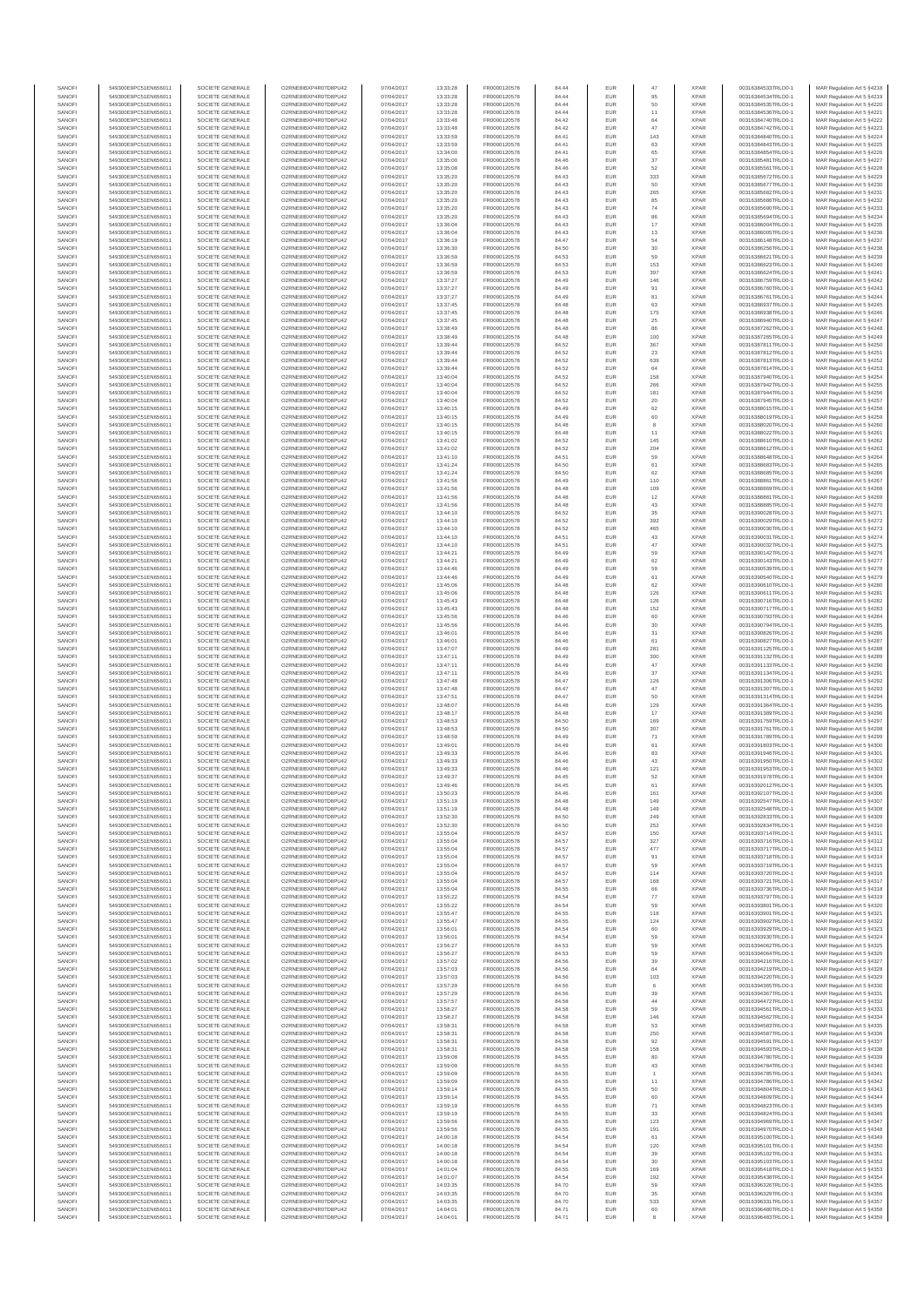| SANOFI           | 549300E9PC51EN656011                         | SOCIETE GENERALE                     | O2RNE8IBXP4R0TD8PLI42                         | 07/04/2017               | 13:33:28             | FR0000120578                 | 84.44          | EUR        | 47             | <b>XPAR</b>                | 00316384533TRLO0-1                       | MAR Regulation Art 5 §4218                                |
|------------------|----------------------------------------------|--------------------------------------|-----------------------------------------------|--------------------------|----------------------|------------------------------|----------------|------------|----------------|----------------------------|------------------------------------------|-----------------------------------------------------------|
| SANOFI<br>SANOFI | 549300E9PC51EN656011<br>549300E9PC51EN656011 | SOCIETE GENERALE<br>SOCIETE GENERALE | O2RNE8IBXP4R0TD8PU42<br>O2RNE8IBXP4R0TD8PU42  | 07/04/2017<br>07/04/2017 | 13:33:28<br>13:33:28 | FR0000120578<br>FR0000120578 | 84.44<br>84.44 | EUR<br>EUR | 95<br>50       | <b>XPAR</b><br><b>XPAR</b> | 00316384534TRLO0-1<br>00316384535TRLO0-1 | MAR Regulation Art 5 §4219<br>MAR Regulation Art 5 §4220  |
| SANOFI           | 549300E9PC51EN656011                         | SOCIETE GENERALE                     | O2RNE8IBXP4R0TD8PU42                          | 07/04/2017               | 13:33:28             | FR0000120578                 | 84.44          | EUR        | 11             | <b>XPAR</b>                | 00316384536TRLO0-1                       | MAR Regulation Art 5 \$4221                               |
| SANOFI           | 549300E9PC51EN656011                         | SOCIETE GENERALE                     | O2RNE8IBXP4R0TD8PU42                          | 07/04/2017               | 13:33:48             | FR0000120578                 | 84.42          | EUR        | 64             | <b>XPAR</b>                | 00316384740TRLO0-1                       | MAR Regulation Art 5 §4222                                |
| SANOFI<br>SANOFI | 549300E9PC51EN656011<br>549300E9PC51EN656011 | SOCIETE GENERALE<br>SOCIETE GENERALE | O2RNE8IBXP4R0TD8PU42<br>O2RNE8IBXP4R0TD8PU42  | 07/04/2017<br>07/04/2017 | 13:33:48<br>13:33:59 | FR0000120578<br>FR0000120578 | 84.42<br>84.41 | EUR<br>EUR | 47<br>143      | <b>XPAR</b><br><b>XPAR</b> | 00316384742TRLO0-1<br>00316384840TRLO0-1 | MAR Regulation Art 5 §4223<br>MAR Regulation Art 5 §4224  |
| SANOFI           | 549300E9PC51EN656011                         | SOCIETE GENERALE                     | O2RNE8IBXP4R0TD8PU42                          | 07/04/2017               | 13:33:59             | FR0000120578                 | 84.41          | EUR        | 63             | <b>XPAR</b>                | 00316384843TRLO0-1                       | MAR Regulation Art 5 §4225                                |
| SANOFI           | 549300E9PC51EN656011                         | SOCIETE GENERALE                     | O2RNE8IBXP4R0TD8PU42                          | 07/04/2017               | 13:34:00             | FR0000120578                 | 84.41          | EUR        | 65             | <b>XPAR</b>                | 00316384854TRLO0-1                       | MAR Regulation Art 5 §4226                                |
| SANOFI<br>SANOFI | 549300E9PC51EN656011<br>549300E9PC51EN656011 | SOCIETE GENERALE<br>SOCIETE GENERALE | O2RNE8IBXP4R0TD8PU42<br>O2RNE8IBXP4R0TD8PU42  | 07/04/2017<br>07/04/2017 | 13:35:00<br>13:35:08 | FR0000120578<br>FR0000120578 | 84.46<br>84.46 | EUR<br>EUR | 37<br>52       | <b>XPAR</b><br><b>XPAR</b> | 00316385481TRLO0-1<br>00316385561TRLO0-1 | MAR Regulation Art 5 §4227<br>MAR Regulation Art 5 §4228  |
| SANOFI           | 549300E9PC51EN656011                         | SOCIETE GENERALE                     | O2RNE8IBXP4R0TD8PU42                          | 07/04/2017               | 13:35:20             | FR0000120578                 | 84.43          | EUR        | 333            | <b>XPAR</b>                | 00316385672TRLO0-1                       | MAR Regulation Art 5 §4229                                |
| SANOFI           | 549300E9PC51EN656011                         | SOCIETE GENERALE                     | O2RNE8IBXP4R0TD8PU42                          | 07/04/2017               | 13:35:20             | FR0000120578                 | 84.43          | EUR        | 50             | <b>XPAR</b>                | 00316385677TRLO0-1                       | MAR Regulation Art 5 \$4230                               |
| SANOFI           | 549300E9PC51EN656011                         | SOCIETE GENERALE                     | O2RNE8IBXP4R0TD8PU42                          | 07/04/2017               | 13:35:20             | FR0000120578                 | 84.43          | EUR        | 265<br>85      | <b>XPAR</b><br><b>XPAR</b> | 00316385682TRLO0-1                       | MAR Regulation Art 5 §4231<br>MAR Regulation Art 5 §4232  |
| SANOFI<br>SANOFI | 549300E9PC51EN656011<br>549300E9PC51EN656011 | SOCIETE GENERALE<br>SOCIETE GENERALE | O2RNE8IBXP4R0TD8PU42<br>O2RNE8IBXP4R0TD8PU42  | 07/04/2017<br>07/04/2017 | 13:35:20<br>13:35:20 | FR0000120578<br>FR0000120578 | 84.43<br>84.43 | EUR<br>EUR | $\mathbf{74}$  | <b>XPAR</b>                | 00316385686TRLO0-1<br>00316385690TRLO0-1 | MAR Regulation Art 5 §4233                                |
| SANOFI           | 549300E9PC51EN656011                         | SOCIETE GENERALE                     | O2RNE8IBXP4R0TD8PU42                          | 07/04/2017               | 13:35:20             | FR0000120578                 | 84.43          | EUR        | 86             | <b>XPAR</b>                | 00316385694TRLO0-1                       | MAR Regulation Art 5 §4234                                |
| SANOFI           | 549300E9PC51EN656011                         | SOCIETE GENERALE                     | O2RNE8IBXP4R0TD8PU42                          | 07/04/2017               | 13:36:04             | FR0000120578                 | 84.43          | EUR        | 17             | <b>XPAR</b>                | 00316386004TRLO0-1                       | MAR Regulation Art 5 §4235                                |
| SANOFI<br>SANOFI | 549300E9PC51EN656011<br>549300E9PC51EN656011 | SOCIETE GENERALE<br>SOCIETE GENERALE | O2RNE8IBXP4R0TD8PU42<br>O2RNE8IBXP4R0TD8PU42  | 07/04/2017<br>07/04/2017 | 13:36:04<br>13:36:19 | FR0000120578<br>FR0000120578 | 84.43<br>84.47 | EUR<br>EUR | $13\,$         | <b>XPAR</b><br><b>XPAR</b> | 00316386005TRLO0-1<br>00316386148TRLO0-1 | MAR Regulation Art 5 §4236<br>MAR Regulation Art 5 \$4237 |
| SANOFI           | 549300E9PC51EN656011                         | SOCIETE GENERALE                     | O2RNE8IBXP4R0TD8PU42                          | 07/04/2017               | 13:36:30             | FR0000120578                 | 84.50          | EUR        | 54<br>30       | <b>XPAR</b>                | 00316386256TRLO0-1                       | MAR Regulation Art 5 §4238                                |
| SANOFI           | 549300E9PC51EN656011                         | SOCIETE GENERALE                     | O2RNE8IBXP4R0TD8PU42                          | 07/04/2017               | 13:36:59             | FR0000120578                 | 84.53          | EUR        | 59             | <b>XPAR</b>                | 00316386621TRLO0-1                       | MAR Regulation Art 5 §4239                                |
| SANOFI           | 549300E9PC51EN656011                         | SOCIETE GENERALE                     | O2RNE8IBXP4R0TD8PU42                          | 07/04/2017               | 13:36:59             | FR0000120578                 | 84.53          | EUR        | 153            | <b>XPAR</b>                | 00316386623TRLO0-1                       | MAR Regulation Art 5 §4240                                |
| SANOFI<br>SANOFI | 549300E9PC51EN656011<br>549300E9PC51EN656011 | SOCIETE GENERALE<br>SOCIETE GENERALE | O2RNE8IBXP4R0TD8PU42<br>O2RNE8IBXP4R0TD8PU42  | 07/04/2017<br>07/04/2017 | 13:36:59<br>13:37:27 | FR0000120578<br>FR0000120578 | 84.53<br>84.49 | EUR<br>EUR | 397<br>146     | <b>XPAR</b><br><b>XPAR</b> | 00316386624TRLO0-1<br>00316386759TRLO0-1 | MAR Regulation Art 5 §4241<br>MAR Regulation Art 5 §4242  |
| SANOFI           | 549300E9PC51EN656011                         | SOCIETE GENERALE                     | O2RNE8IBXP4R0TD8PU42                          | 07/04/2017               | 13:37:27             | FR0000120578                 | 84.49          | EUR        | 91             | <b>XPAR</b>                | 00316386760TRLO0-1                       | MAR Regulation Art 5 §4243                                |
| SANOFI           | 549300E9PC51EN656011                         | SOCIETE GENERALE                     | O2RNE8IBXP4R0TD8PU42                          | 07/04/2017               | 13:37:27             | FR0000120578                 | 84.49          | EUR        | 81             | <b>XPAR</b>                | 00316386761TRLO0-1                       | MAR Regulation Art 5 §4244                                |
| SANOFI<br>SANOFI | 549300E9PC51EN656011<br>549300E9PC51EN656011 | SOCIETE GENERALE<br>SOCIETE GENERALE | O2RNE8IBXP4R0TD8PU42<br>O2RNE8IBXP4R0TD8PU42  | 07/04/2017<br>07/04/2017 | 13:37:45<br>13:37:45 | FR0000120578<br>FR0000120578 | 84.48<br>84.48 | EUR<br>EUR | 63<br>175      | <b>XPAR</b><br><b>XPAR</b> | 00316386937TRLO0-1<br>00316386938TRLO0-1 | MAR Regulation Art 5 §4245<br>MAR Regulation Art 5 §4246  |
| SANOFI           | 549300E9PC51EN656011                         | SOCIETE GENERALE                     | O2RNE8IBXP4R0TD8PU42                          | 07/04/2017               | 13:37:45             | FR0000120578                 | 84.48          | EUR        | $25\,$         | <b>XPAR</b>                | 00316386940TRLO0-1                       | MAR Regulation Art 5 §4247                                |
| SANOFI           | 549300E9PC51EN656011                         | SOCIETE GENERALE                     | O2RNE8IBXP4R0TD8PU42                          | 07/04/2017               | 13:38:49             | FR0000120578                 | 84.48          | EUR        | 86             | <b>XPAR</b>                | 00316387262TRLO0-1                       | MAR Regulation Art 5 §4248                                |
| SANOFI<br>SANOFI | 549300E9PC51EN656011<br>549300E9PC51EN656011 | SOCIETE GENERALE<br>SOCIETE GENERALE | O2RNE8IBXP4R0TD8PU42<br>O2RNE8IBXP4R0TD8PU42  | 07/04/2017<br>07/04/2017 | 13:38:49<br>13:39:44 | FR0000120578<br>FR0000120578 | 84.48<br>84.52 | EUR<br>EUR | 100<br>367     | <b>XPAR</b><br><b>XPAR</b> | 00316387265TRLO0-1<br>00316387811TRLO0-1 | MAR Regulation Art 5 §4249<br>MAR Regulation Art 5 §4250  |
| SANOFI           | 549300E9PC51EN656011                         | SOCIETE GENERALE                     | O2RNE8IBXP4R0TD8PU42                          | 07/04/2017               | 13:39:44             | FR0000120578                 | 84.52          | EUR        | $23\,$         | <b>XPAR</b>                | 00316387812TRLO0-1                       | MAR Regulation Art 5 §4251                                |
| SANOFI           | 549300E9PC51EN656011                         | SOCIETE GENERALE                     | O2RNE8IBXP4R0TD8PU42                          | 07/04/2017               | 13:39:44             | FR0000120578                 | 84.52          | EUR        | 639            | <b>XPAR</b>                | 00316387813TRLO0-1                       | MAR Regulation Art 5 §4252                                |
| SANOFI           | 549300E9PC51EN656011                         | SOCIETE GENERALE                     | O2RNE8IBXP4R0TD8PU42                          | 07/04/2017               | 13:39:44             | FR0000120578                 | 84.52          | EUR        | 64             | <b>XPAR</b>                | 00316387814TRLO0-1                       | MAR Regulation Art 5 §4253                                |
| SANOFI<br>SANOFI | 549300E9PC51EN656011<br>549300E9PC51EN656011 | SOCIETE GENERALE<br>SOCIETE GENERALE | O2RNE8IBXP4R0TD8PU42<br>O2RNE8IBXP4R0TD8PU42  | 07/04/2017<br>07/04/2017 | 13:40:04<br>13:40:04 | FR0000120578<br>FR0000120578 | 84.52<br>84.52 | EUR<br>EUR | 158<br>266     | <b>XPAR</b><br><b>XPAR</b> | 00316387940TRLO0-1<br>00316387942TRLO0-1 | MAR Regulation Art 5 §4254<br>MAR Regulation Art 5 §4255  |
| SANOFI           | 549300E9PC51EN656011                         | SOCIETE GENERALE                     | O2RNE8IBXP4R0TD8PU42                          | 07/04/2017               | 13:40:04             | FR0000120578                 | 84.52          | EUR        | 181            | <b>XPAR</b>                | 00316387944TRLO0-1                       | MAR Regulation Art 5 §4256                                |
| SANOFI           | 549300E9PC51EN656011                         | SOCIETE GENERALE                     | O2RNE8IBXP4R0TD8PU42                          | 07/04/2017               | 13:40:04             | FR0000120578                 | 84.52          | EUR        | 20             | <b>XPAR</b>                | 00316387945TRLO0-1                       | MAR Regulation Art 5 §4257                                |
| SANOFI<br>SANOFI | 549300E9PC51EN656011<br>549300E9PC51EN656011 | SOCIETE GENERALE<br>SOCIETE GENERALE | O2RNE8IBXP4R0TD8PU42<br>O2RNE8IBXP4R0TD8PU42  | 07/04/2017<br>07/04/2017 | 13:40:15<br>13:40:15 | FR0000120578<br>FR0000120578 | 84.49<br>84.49 | EUR<br>EUR | 62<br>60       | <b>XPAR</b><br><b>XPAR</b> | 00316388015TRLO0-1<br>00316388019TRLO0-1 | MAR Regulation Art 5 §4258<br>MAR Regulation Art 5 §4259  |
| SANOFI           | 549300E9PC51EN656011                         | SOCIETE GENERALE                     | O2RNE8IBXP4R0TD8PU42                          | 07/04/2017               | 13:40:15             | FR0000120578                 | 84.48          | EUR        | 8              | <b>XPAR</b>                | 00316388020TRLO0-1                       | MAR Regulation Art 5 §4260                                |
| SANOFI           | 549300E9PC51EN656011                         | SOCIETE GENERALE                     | O2RNE8IBXP4R0TD8PLI42                         | 07/04/2017               | 13:40:15             | FR0000120578                 | 84.48          | EUR        | 11             | <b>XPAR</b>                | 00316388022TRLO0-1                       | MAR Regulation Art 5 \$4261                               |
| SANOFI           | 549300E9PC51EN656011                         | SOCIETE GENERALE                     | O2RNE8IBXP4R0TD8PU42                          | 07/04/2017               | 13:41:02             | FR0000120578                 | 84.52          | EUR        | 145            | <b>XPAR</b>                | 00316388610TRLO0-1                       | MAR Regulation Art 5 §4262                                |
| SANOFI<br>SANOFI | 549300E9PC51EN656011<br>549300E9PC51EN656011 | SOCIETE GENERALE<br>SOCIETE GENERALE | O2RNE8IBXP4R0TD8PU42<br>O2RNE8IBXP4R0TD8PU42  | 07/04/2017<br>07/04/2017 | 13:41:02<br>13:41:10 | FR0000120578<br>FR0000120578 | 84.52<br>84.51 | EUR<br>EUR | 204<br>59      | <b>XPAR</b><br><b>XPAR</b> | 00316388612TRLO0-1<br>00316388648TRLO0-1 | MAR Regulation Art 5 §4263<br>MAR Regulation Art 5 §4264  |
| SANOFI           | 549300E9PC51EN656011                         | SOCIETE GENERALE                     | O2RNE8IBXP4R0TD8PU42                          | 07/04/2017               | 13:41:24             | FR0000120578                 | 84.50          | EUR        | 61             | <b>XPAR</b>                | 00316388683TRLO0-1                       | MAR Regulation Art 5 §4265                                |
| SANOFI           | 549300E9PC51EN656011                         | SOCIETE GENERALE                     | O2RNE8IBXP4R0TD8PU42                          | 07/04/2017               | 13:41:24             | FR0000120578                 | 84.50          | EUR        | 62             | <b>XPAR</b>                | 00316388685TRLO0-1                       | MAR Regulation Art 5 §4266                                |
| SANOFI           | 549300E9PC51EN656011<br>549300E9PC51EN656011 | SOCIETE GENERALE                     | O2RNE8IBXP4R0TD8PU42<br>O2RNE8IBXP4R0TD8PLI42 | 07/04/2017               | 13:41:56             | FR0000120578                 | 84.49          | EUR        | 110            | <b>XPAR</b>                | 00316388861TRLO0-1                       | MAR Regulation Art 5 §4267                                |
| SANOFI<br>SANOFI | 549300E9PC51EN656011                         | SOCIETE GENERALE<br>SOCIETE GENERALE | O2RNE8IBXP4R0TD8PU42                          | 07/04/2017<br>07/04/2017 | 13:41:56<br>13:41:56 | FR0000120578<br>FR0000120578 | 84.48<br>84.48 | EUR<br>EUR | 109<br>$12$    | <b>XPAR</b><br><b>XPAR</b> | 00316388869TRLO0-1<br>00316388881TRLO0-1 | MAR Regulation Art 5 §4268<br>MAR Regulation Art 5 §4269  |
| SANOFI           | 549300E9PC51EN656011                         | SOCIETE GENERALE                     | O2RNE8IBXP4R0TD8PU42                          | 07/04/2017               | 13:41:56             | FR0000120578                 | 84.48          | EUR        | 43             | <b>XPAR</b>                | 00316388885TRLO0-1                       | MAR Regulation Art 5 §4270                                |
| SANOFI           | 549300E9PC51EN656011                         | SOCIETE GENERALE                     | O2RNE8IBXP4R0TD8PU42                          | 07/04/2017               | 13:44:10             | FR0000120578                 | 84.52          | EUR        | 35             | <b>XPAR</b>                | 00316390028TRLO0-1                       | MAR Regulation Art 5 §4271                                |
| SANOFI<br>SANOFI | 549300E9PC51EN656011<br>549300E9PC51EN656011 | SOCIETE GENERALE<br>SOCIETE GENERALE | O2RNE8IBXP4R0TD8PU42<br>O2RNE8IBXP4R0TD8PU42  | 07/04/2017<br>07/04/2017 | 13:44:10<br>13:44:10 | FR0000120578                 | 84.52<br>84.52 | EUR        | 392<br>465     | <b>XPAR</b><br><b>XPAR</b> | 00316390029TRLO0-1<br>00316390030TRLO0-1 | MAR Regulation Art 5 §4272                                |
| SANOFI           | 549300E9PC51EN656011                         | SOCIETE GENERALE                     | O2RNE8IBXP4R0TD8PU42                          | 07/04/2017               | 13:44:10             | FR0000120578<br>FR0000120578 | 84.51          | EUR<br>EUR | 43             | <b>XPAR</b>                | 00316390031TRLO0-1                       | MAR Regulation Art 5 §4273<br>MAR Regulation Art 5 §4274  |
| SANOFI           | 549300E9PC51EN656011                         | SOCIETE GENERALE                     | O2RNE8IBXP4R0TD8PU42                          | 07/04/2017               | 13:44:10             | FR0000120578                 | 84.51          | EUR        | $47\,$         | <b>XPAR</b>                | 00316390032TRLO0-1                       | MAR Regulation Art 5 §4275                                |
| SANOFI           | 549300E9PC51EN656011                         | SOCIETE GENERALE                     | O2RNE8IBXP4R0TD8PU42                          | 07/04/2017               | 13:44:21             | FR0000120578                 | 84.49          | EUR        | 59             | <b>XPAR</b>                | 00316390142TRLO0-1                       | MAR Regulation Art 5 §4276                                |
| SANOFI<br>SANOFI | 549300E9PC51EN656011<br>549300E9PC51EN656011 | SOCIETE GENERALE<br>SOCIETE GENERALE | O2RNE8IBXP4R0TD8PU42<br>O2RNE8IBXP4R0TD8PU42  | 07/04/2017<br>07/04/2017 | 13:44:21<br>13:44:46 | FR0000120578<br>FR0000120578 | 84.49<br>84.49 | EUR<br>EUR | 62<br>59       | <b>XPAR</b><br><b>XPAR</b> | 00316390143TRLO0-1<br>00316390539TRLO0-1 | MAR Regulation Art 5 §4277<br>MAR Regulation Art 5 §4278  |
| SANOFI           | 549300E9PC51EN656011                         | SOCIETE GENERALE                     | O2RNE8IBXP4R0TD8PU42                          | 07/04/2017               | 13:44:46             | FR0000120578                 | 84.49          | EUR        | 61             | <b>XPAR</b>                | 00316390540TRLO0-1                       | MAR Regulation Art 5 §4279                                |
| SANOFI           | 549300E9PC51EN656011                         | SOCIETE GENERALE                     | O2RNE8IBXP4R0TD8PU42                          | 07/04/2017               | 13:45:06             | FR0000120578                 | 84.48          | EUR        | 62             | <b>XPAR</b>                | 00316390610TRLO0-1                       | MAR Regulation Art 5 §4280                                |
| SANOFI<br>SANOFI | 549300E9PC51EN656011<br>549300E9PC51EN656011 | SOCIETE GENERALE<br>SOCIETE GENERALE | O2RNE8IBXP4R0TD8PU42<br>O2RNE8IBXP4R0TD8PU42  | 07/04/2017<br>07/04/2017 | 13:45:06<br>13:45:43 | FR0000120578<br>FR0000120578 | 84.48<br>84.48 | EUR<br>EUR | 126<br>126     | <b>XPAR</b><br><b>XPAR</b> | 00316390611TRLO0-1<br>00316390716TRLO0-1 | MAR Regulation Art 5 §4281<br>MAR Regulation Art 5 §4282  |
| SANOFI           | 549300E9PC51EN656011                         | SOCIETE GENERALE                     | O2RNE8IBXP4R0TD8PU42                          | 07/04/2017               | 13:45:43             | FR0000120578                 | 84.48          | EUR        | 152            | <b>XPAR</b>                | 00316390717TRLO0-1                       | MAR Regulation Art 5 §4283                                |
| SANOFI           | 549300E9PC51EN656011                         | SOCIETE GENERALE                     | O2RNE8IBXP4R0TD8PU42                          | 07/04/2017               | 13:45:56             | FR0000120578                 | 84.46          | EUR        | 60             | <b>XPAR</b>                | 00316390793TRLO0-1                       | MAR Regulation Art 5 §4284                                |
| SANOFI           | 549300E9PC51EN656011                         | SOCIETE GENERALE                     | O2RNE8IBXP4R0TD8PU42                          | 07/04/2017               | 13:45:56             | FR0000120578                 | 84.46          | EUR        | 30             | <b>XPAR</b>                | 00316390794TRLO0-1                       | MAR Regulation Art 5 §4285                                |
| SANOFI<br>SANOFI | 549300E9PC51EN656011<br>549300E9PC51EN656011 | SOCIETE GENERALE<br>SOCIETE GENERALE | O2RNE8IBXP4R0TD8PU42<br>O2RNE8IBXP4R0TD8PU42  | 07/04/2017<br>07/04/2017 | 13:46:01<br>13:46:01 | FR0000120578<br>FR0000120578 | 84.46<br>84.46 | EUR<br>EUR | 31<br>61       | <b>XPAR</b><br><b>XPAR</b> | 00316390826TRLO0-1<br>00316390827TRLO0-1 | MAR Regulation Art 5 §4286<br>MAR Regulation Art 5 §4287  |
| SANOFI           | 549300E9PC51EN656011                         | SOCIETE GENERALE                     | O2RNE8IBXP4R0TD8PU42                          | 07/04/2017               | 13:47:07             | FR0000120578                 | 84.49          | EUR        | 281            | <b>XPAR</b>                | 00316391125TRLO0-1                       | MAR Regulation Art 5 §4288                                |
| SANOFI           | 549300E9PC51EN656011                         | SOCIETE GENERALE                     | O2RNE8IBXP4R0TD8PU42                          | 07/04/2017               | 13:47:11             | FR0000120578                 | 84.49          | EUR        | 300            | <b>XPAR</b>                | 00316391132TRLO0-1                       | MAR Regulation Art 5 §4289                                |
| SANOFI<br>SANOFI | 549300E9PC51EN656011<br>549300E9PC51EN656011 | SOCIETE GENERALE<br>SOCIETE GENERALE | O2RNE8IBXP4R0TD8PU42<br>O2RNE8IBXP4R0TD8PU42  | 07/04/2017<br>07/04/2017 | 13:47:11<br>13:47:11 | FR0000120578<br>FR0000120578 | 84.49<br>84.49 | EUR<br>EUR | 47<br>37       | <b>XPAR</b><br><b>XPAR</b> | 00316391133TRLO0-1<br>00316391134TRLO0-1 | MAR Regulation Art 5 §4290<br>MAR Regulation Art 5 §4291  |
| SANOFI           | 549300E9PC51EN656011                         | SOCIETE GENERALE                     | O2RNE8IBXP4R0TD8PU42                          | 07/04/2017               | 13:47:48             | FR0000120578                 | 84.47          | EUR        | 126            | <b>XPAR</b>                | 00316391306TRLO0-1                       | MAR Regulation Art 5 §4292                                |
| SANOFI           | 549300E9PC51EN656011                         | SOCIETE GENERALE                     | O2RNE8IBXP4R0TD8PU42                          | 07/04/2017               | 13:47:48             | FR0000120578                 | 84.47          | EUR        | 47             | <b>XPAR</b>                | 00316391307TRLO0-1                       | MAR Regulation Art 5 §4293                                |
| SANOFI           | 549300E9PC51EN656011                         | SOCIETE GENERALE                     | O2RNE8IBXP4R0TD8PU42                          | 07/04/2017               | 13:47:51             | FR0000120578                 | 84.47          | EUR        | 50             | <b>XPAR</b>                | 00316391314TRLO0-1                       | MAR Regulation Art 5 §4294                                |
| SANOFI<br>SANOFI | 549300E9PC51EN656011<br>549300E9PC51EN656011 | SOCIETE GENERALE<br>SOCIETE GENERALE | O2RNE8IBXP4R0TD8PU42<br>O2RNE8IBXP4R0TD8PU42  | 07/04/2017<br>07/04/2017 | 13:48:07<br>13:48:17 | FR0000120578<br>FR0000120578 | 84.48<br>84.48 | EUR<br>EUR | 129<br>17      | <b>XPAR</b><br><b>XPAR</b> | 00316391364TRLO0-1<br>00316391389TRLO0-1 | MAR Regulation Art 5 §4295<br>MAR Regulation Art 5 §4296  |
| SANOFI           | 549300E9PC51EN656011                         | SOCIETE GENERALE                     | O2RNE8IBXP4R0TD8PU42                          | 07/04/2017               | 13:48:53             | FR0000120578                 | 84.50          | EUR        | 169            | <b>XPAR</b>                | 00316391759TRLO0-1                       | MAR Regulation Art 5 §4297                                |
| SANOFI           | 549300E9PC51EN656011                         | SOCIETE GENERALE                     | O2RNE8IBXP4R0TD8PU42                          | 07/04/2017               | 13:48:53             | FR0000120578                 | 84.50          | EUR        | 307            | <b>XPAR</b>                | 00316391761TRLO0-1                       | MAR Regulation Art 5 §4298                                |
| SANOFI<br>SANOFI | 549300E9PC51EN656011<br>549300E9PC51EN656011 | SOCIETE GENERALE<br>SOCIETE GENERALE | O2RNE8IBXP4R0TD8PU42<br>O2RNE8IBXP4R0TD8PU42  | 07/04/2017<br>07/04/2017 | 13:48:59<br>13:49:01 | FR0000120578<br>FR0000120578 | 84.49<br>84.49 | EUR<br>EUR | $71\,$<br>61   | <b>XPAR</b><br><b>XPAR</b> | 00316391789TRLO0-1<br>00316391803TRLO0-1 | MAR Regulation Art 5 §4299<br>MAR Regulation Art 5 §4300  |
| SANOFI           | 549300E9PC51EN656011                         | SOCIETE GENERALE                     | O2RNE8IBXP4R0TD8PU42                          | 07/04/2017               | 13:49:33             | FR0000120578                 | 84.46          | EUR        | 83             | <b>XPAR</b>                | 00316391946TRLO0-1                       | MAR Regulation Art 5 §4301                                |
| SANOFI           | 549300E9PC51EN656011                         | SOCIETE GENERALE                     | O2RNE8IBXP4R0TD8PU42                          | 07/04/2017               | 13:49:33             | FR0000120578                 | 84.46          | EUR        | 43             | <b>XPAR</b>                | 00316391950TRLO0-1                       | MAR Regulation Art 5 §4302                                |
| SANOFI<br>SANOFI | 549300E9PC51EN656011<br>549300E9PC51EN656011 | SOCIETE GENERALE<br>SOCIETE GENERALE | O2RNE8IBXP4R0TD8PU42<br>O2RNE8IBXP4R0TD8PU42  | 07/04/2017<br>07/04/2017 | 13:49:33<br>13:49:37 | FR0000120578<br>FR0000120578 | 84.46<br>84.45 | EUR<br>EUR | 121<br>52      | <b>XPAR</b><br><b>XPAR</b> | 00316391953TRLO0-1<br>00316391978TRLO0-1 | MAR Regulation Art 5 §4303                                |
| SANOFI           | 549300E9PC51EN656011                         | SOCIETE GENERALE                     | O2RNE8IBXP4R0TD8PU42                          | 07/04/2017               | 13:49:46             | FR0000120578                 | 84.45          | EUR        | 61             | <b>XPAR</b>                | 00316392012TRLO0-1                       | MAR Regulation Art 5 §4304<br>MAR Regulation Art 5 §4305  |
| SANOFI           | 549300E9PC51EN656011                         | SOCIETE GENERALE                     | O2RNE8IBXP4R0TD8PU42                          | 07/04/2017               | 13:50:23             | FR0000120578                 | 84.46          | EUR        | 161            | <b>XPAR</b>                | 00316392107TRLO0-1                       | MAR Regulation Art 5 §4306                                |
| SANOFI           | 549300E9PC51EN656011                         | SOCIETE GENERALE                     | O2RNE8IBXP4R0TD8PLI42                         | 07/04/2017               | 13:51:19             | FR0000120578                 | 84.48          | <b>EUR</b> | 149            | <b>XPAR</b>                | 00316392547TRLO0-1                       | MAR Regulation Art 5 §4307                                |
| SANOFI<br>SANOFI | 549300E9PC51EN656011<br>549300E9PC51EN656011 | SOCIETE GENERALE<br>SOCIETE GENERALE | O2RNE8IBXP4R0TD8PU42<br>O2RNE8IBXP4R0TD8PU42  | 07/04/2017<br>07/04/2017 | 13:51:19<br>13:52:30 | FR0000120578<br>FR0000120578 | 84.48<br>84.50 | EUR<br>EUR | 149<br>249     | <b>XPAR</b><br><b>XPAR</b> | 00316392548TRLO0-1<br>00316392833TRLO0-1 | MAR Regulation Art 5 §4308<br>MAR Regulation Art 5 §4309  |
| SANOFI           | 549300E9PC51EN656011                         | SOCIETE GENERALE                     | O2RNE8IBXP4R0TD8PU42                          | 07/04/2017               | 13:52:30             | FR0000120578                 | 84.50          | EUR        | 252            | <b>XPAR</b>                | 00316392834TRLO0-1                       | MAR Regulation Art 5 §4310                                |
| SANOFI           | 549300E9PC51EN656011                         | SOCIETE GENERALE                     | O2RNE8IBXP4R0TD8PU42                          | 07/04/2017               | 13:55:04             | FR0000120578                 | 84.57          | EUR        | 150            | <b>XPAR</b>                | 00316393714TRLO0-1                       | MAR Regulation Art 5 §4311                                |
| SANOFI<br>SANOFI | 549300E9PC51EN656011<br>549300E9PC51EN656011 | SOCIETE GENERALE<br>SOCIETE GENERALE | O2RNE8IBXP4R0TD8PU42<br>O2RNE8IBXP4R0TD8PU42  | 07/04/2017<br>07/04/2017 | 13:55:04<br>13:55:04 | FR0000120578<br>FR0000120578 | 84.57<br>84.57 | EUR<br>EUR | 327<br>477     | <b>XPAR</b><br><b>XPAR</b> | 00316393716TRLO0-1<br>00316393717TRLO0-1 | MAR Regulation Art 5 §4312<br>MAR Regulation Art 5 §4313  |
| SANOFI           | 549300E9PC51EN656011                         | SOCIETE GENERALE                     | O2RNE8IBXP4R0TD8PU42                          | 07/04/2017               | 13:55:04             | FR0000120578                 | 84.57          | EUR        | 91             | <b>XPAR</b>                | 00316393718TRLO0-1                       | MAR Regulation Art 5 §4314                                |
| SANOFI           | 549300E9PC51EN656011                         | SOCIETE GENERALE                     | O2RNE8IBXP4R0TD8PU42                          | 07/04/2017               | 13:55:04             | FR0000120578                 | 84.57          | EUR        | 59             | <b>XPAR</b>                | 00316393719TRLO0-1                       | MAR Regulation Art 5 §4315                                |
| SANOFI<br>SANOFI | 549300E9PC51EN656011<br>549300E9PC51EN656011 | SOCIETE GENERALE<br>SOCIETE GENERALE | O2RNE8IBXP4R0TD8PU42<br>O2RNE8IBXP4R0TD8PU42  | 07/04/2017<br>07/04/2017 | 13:55:04<br>13:55:04 | FR0000120578<br>FR0000120578 | 84.57<br>84.57 | EUR<br>EUR | 114<br>168     | <b>XPAR</b><br><b>XPAR</b> | 00316393720TRLO0-1<br>00316393721TRLO0-1 | MAR Regulation Art 5 §4316<br>MAR Regulation Art 5 §4317  |
| SANOFI           | 549300E9PC51EN656011                         | SOCIETE GENERALE                     | O2RNE8IBXP4R0TD8PU42                          | 07/04/2017               | 13:55:04             | FR0000120578                 | 84.55          | EUR        | 66             | XPAR                       | 00316393736TRLO0-1                       | MAR Regulation Art 5 §4318                                |
| SANOFI           | 549300E9PC51EN656011                         | SOCIETE GENERALE                     | O2RNE8IBXP4R0TD8PU42                          | 07/04/2017               | 13:55:22             | FR0000120578                 | 84.54          | EUR        | $77\,$         | <b>XPAR</b>                | 00316393797TRLO0-1                       | MAR Regulation Art 5 §4319                                |
| SANOFI<br>SANOFI | 549300E9PC51EN656011<br>549300E9PC51EN656011 | SOCIETE GENERALE<br>SOCIETE GENERALE | O2RNE8IBXP4R0TD8PU42<br>O2RNE8IBXP4R0TD8PU42  | 07/04/2017<br>07/04/2017 | 13:55:22<br>13:55:47 | FR0000120578<br>FR0000120578 | 84.54<br>84.55 | EUR<br>EUR | 59<br>118      | <b>XPAR</b><br><b>XPAR</b> | 00316393801TRLO0-1<br>00316393901TRLO0-1 | MAR Regulation Art 5 §4320<br>MAR Regulation Art 5 §4321  |
| SANOFI           | 549300E9PC51EN656011                         | SOCIETE GENERALE                     | O2RNE8IBXP4R0TD8PU42                          | 07/04/2017               | 13:55:47             | FR0000120578                 | 84.55          | EUR        | 124            | <b>XPAR</b>                | 00316393902TRLO0-1                       | MAR Regulation Art 5 §4322                                |
| SANOFI           | 549300E9PC51EN656011                         | SOCIETE GENERALE                     | O2RNE8IBXP4R0TD8PU42                          | 07/04/2017               | 13:56:01             | FR0000120578                 | 84.54          | EUR        | 60             | <b>XPAR</b>                | 00316393929TRLO0-1                       | MAR Regulation Art 5 §4323                                |
| SANOFI<br>SANOFI | 549300E9PC51EN656011<br>549300E9PC51EN656011 | SOCIETE GENERALE<br>SOCIETE GENERALE | O2RNE8IBXP4R0TD8PU42<br>O2RNE8IBXP4R0TD8PU42  | 07/04/2017<br>07/04/2017 | 13:56:01<br>13:56:27 | FR0000120578<br>FR0000120578 | 84.54<br>84.53 | EUR<br>EUR | 59<br>59       | <b>XPAR</b><br><b>XPAR</b> | 00316393930TRLO0-1<br>00316394062TRLO0-1 | MAR Regulation Art 5 §4324<br>MAR Regulation Art 5 §4325  |
| SANOFI           | 549300E9PC51EN656011                         | SOCIETE GENERALE                     | O2RNE8IBXP4R0TD8PU42                          | 07/04/2017               | 13:56:27             | FR0000120578                 | 84.53          | EUR        | 59             | <b>XPAR</b>                | 00316394064TRLO0-1                       | MAR Regulation Art 5 §4326                                |
| SANOFI           | 549300E9PC51EN656011                         | SOCIETE GENERALE                     | O2RNE8IBXP4R0TD8PU42                          | 07/04/2017               | 13:57:02             | FR0000120578                 | 84.56          | EUR        | 39             | <b>XPAR</b>                | 00316394216TRLO0-1                       | MAR Regulation Art 5 \$4327                               |
| SANOFI           | 549300E9PC51EN656011                         | SOCIETE GENERALE                     | O2RNE8IBXP4R0TD8PU42                          | 07/04/2017               | 13:57:03             | FR0000120578                 | 84.56          | EUR        | 64             | <b>XPAR</b>                | 00316394219TRLO0-1                       | MAR Regulation Art 5 §4328                                |
| SANOFI<br>SANOFI | 549300E9PC51EN656011<br>549300E9PC51EN656011 | SOCIETE GENERALE<br>SOCIETE GENERALE | O2RNE8IBXP4R0TD8PU42<br>O2RNE8IBXP4R0TD8PU42  | 07/04/2017<br>07/04/2017 | 13:57:03<br>13:57:29 | FR0000120578<br>FR0000120578 | 84.56<br>84.56 | EUR<br>EUR | 103<br>6       | <b>XPAR</b><br><b>XPAR</b> | 00316394220TRLO0-1<br>00316394365TRLO0-1 | MAR Regulation Art 5 §4329<br>MAR Regulation Art 5 §4330  |
| SANOFI           | 549300E9PC51EN656011                         | SOCIETE GENERALE                     | O2RNE8IBXP4R0TD8PU42                          | 07/04/2017               | 13:57:29             | FR0000120578                 | 84.56          | EUR        | 39             | <b>XPAR</b>                | 00316394367TRLO0-1                       | MAR Regulation Art 5 §4331                                |
| SANOFI           | 549300E9PC51EN656011                         | SOCIETE GENERALE                     | O2RNE8IBXP4R0TD8PU42                          | 07/04/2017               | 13:57:57             | FR0000120578                 | 84.58          | EUR        | 44             | <b>XPAR</b>                | 00316394472TRLO0-1                       | MAR Regulation Art 5 §4332                                |
| SANOFI<br>SANOFI | 549300E9PC51EN656011<br>549300E9PC51EN656011 | SOCIETE GENERALE<br>SOCIETE GENERALE | O2RNE8IBXP4R0TD8PU42<br>O2RNE8IBXP4R0TD8PU42  | 07/04/2017<br>07/04/2017 | 13:58:27<br>13:58:27 | FR0000120578<br>FR0000120578 | 84.58<br>84.58 | EUR<br>EUR | 59<br>146      | <b>XPAR</b><br><b>XPAR</b> | 00316394561TRLO0-1<br>00316394562TRLO0-1 | MAR Regulation Art 5 §4333<br>MAR Regulation Art 5 §4334  |
| SANOFI           | 549300E9PC51EN656011                         | SOCIETE GENERALE                     | O2RNE8IBXP4R0TD8PU42                          | 07/04/2017               | 13:58:31             | FR0000120578                 | 84.58          | EUR        | 53             | <b>XPAR</b>                | 00316394583TRLO0-1                       | MAR Regulation Art 5 §4335                                |
| SANOFI           | 549300E9PC51EN656011                         | SOCIETE GENERALE                     | O2RNE8IBXP4R0TD8PU42                          | 07/04/2017               | 13:58:31             | FR0000120578                 | 84.58          | EUR        | 250            | <b>XPAR</b>                | 00316394587TRLO0-1                       | MAR Regulation Art 5 §4336                                |
| SANOFI<br>SANOFI | 549300E9PC51EN656011<br>549300E9PC51EN656011 | SOCIETE GENERALE<br>SOCIETE GENERALE | O2RNE8IBXP4R0TD8PU42<br>O2RNE8IBXP4R0TD8PU42  | 07/04/2017<br>07/04/2017 | 13:58:31<br>13:58:31 | FR0000120578<br>FR0000120578 | 84.58<br>84.58 | EUR<br>EUR | 92<br>158      | <b>XPAR</b><br><b>XPAR</b> | 00316394591TRLO0-1<br>00316394593TRLO0-1 | MAR Regulation Art 5 §4337<br>MAR Regulation Art 5 §4338  |
| SANOFI           | 549300E9PC51EN656011                         | SOCIETE GENERALE                     | O2RNE8IBXP4R0TD8PU42                          | 07/04/2017               | 13:59:08             | FR0000120578                 | 84.55          | EUR        | 80             | <b>XPAR</b>                | 00316394780TRLO0-1                       | MAR Regulation Art 5 §4339                                |
| SANOFI           | 549300E9PC51EN656011                         | SOCIETE GENERALE                     | O2RNE8IBXP4R0TD8PU42                          | 07/04/2017               | 13:59:09             | FR0000120578                 | 84.55          | EUR        | 43             | <b>XPAR</b>                | 00316394784TRLO0-1                       | MAR Regulation Art 5 §4340                                |
| SANOFI           | 549300E9PC51EN656011                         | SOCIETE GENERALE                     | O2RNE8IBXP4R0TD8PU42                          | 07/04/2017               | 13:59:09             | FR0000120578                 | 84.55          | EUR        | $\overline{1}$ | <b>XPAR</b>                | 00316394785TRLO0-1                       | MAR Regulation Art 5 §4341                                |
| SANOFI<br>SANOFI | 549300E9PC51EN656011<br>549300E9PC51EN656011 | SOCIETE GENERALE<br>SOCIETE GENERALE | O2RNE8IBXP4R0TD8PU42<br>O2RNE8IBXP4R0TD8PU42  | 07/04/2017<br>07/04/2017 | 13:59:09<br>13:59:14 | FR0000120578<br>FR0000120578 | 84.55<br>84.55 | EUR<br>EUR | 11<br>50       | <b>XPAR</b><br><b>XPAR</b> | 00316394786TRLO0-1<br>00316394804TRLO0-1 | MAR Regulation Art 5 §4342<br>MAR Regulation Art 5 §4343  |
| SANOFI           | 549300E9PC51EN656011                         | SOCIETE GENERALE                     | O2RNE8IBXP4R0TD8PU42                          | 07/04/2017               | 13:59:14             | FR0000120578                 | 84.55          | EUR        | 60             | <b>XPAR</b>                | 00316394809TRLO0-1                       | MAR Regulation Art 5 §4344                                |
| SANOFI           | 549300E9PC51EN656011                         | SOCIETE GENERALE                     | O2RNE8IBXP4R0TD8PU42                          | 07/04/2017               | 13:59:19             | FR0000120578                 | 84.55          | EUR        | $71\,$         | <b>XPAR</b>                | 00316394823TRLO0-1                       | MAR Regulation Art 5 §4345                                |
| SANOFI<br>SANOFI | 549300E9PC51EN656011<br>549300E9PC51EN656011 | SOCIETE GENERALE<br>SOCIETE GENERALE | O2RNE8IBXP4R0TD8PU42<br>O2RNE8IBXP4R0TD8PU42  | 07/04/2017<br>07/04/2017 | 13:59:19<br>13:59:56 | FR0000120578<br>FR0000120578 | 84.55<br>84.55 | EUR<br>EUR | 33<br>123      | <b>XPAR</b><br><b>XPAR</b> | 00316394824TRLO0-1<br>00316394969TRLO0-1 | MAR Regulation Art 5 §4346<br>MAR Regulation Art 5 §4347  |
| SANOFI           | 549300E9PC51EN656011                         | SOCIETE GENERALE                     | O2RNE8IBXP4R0TD8PU42                          | 07/04/2017               | 13:59:56             | FR0000120578                 | 84.55          | EUR        | 191            | <b>XPAR</b>                | 00316394970TRLO0-1                       | MAR Regulation Art 5 §4348                                |
| SANOFI           | 549300E9PC51EN656011                         | SOCIETE GENERALE                     | O2RNE8IBXP4R0TD8PU42                          | 07/04/2017               | 14:00:18             | FR0000120578                 | 84.54          | EUR        | 61             | <b>XPAR</b>                | 00316395100TRLO0-1                       | MAR Regulation Art 5 §4349                                |
| SANOFI<br>SANOFI | 549300E9PC51EN656011<br>549300E9PC51EN656011 | SOCIETE GENERALE<br>SOCIETE GENERALE | O2RNE8IBXP4R0TD8PU42<br>O2RNE8IBXP4R0TD8PU42  | 07/04/2017<br>07/04/2017 | 14:00:18<br>14:00:18 | FR0000120578<br>FR0000120578 | 84.54<br>84.54 | EUR<br>EUR | 120<br>39      | <b>XPAR</b><br><b>XPAR</b> | 00316395101TRLO0-1<br>00316395102TRLO0-1 | MAR Regulation Art 5 §4350<br>MAR Regulation Art 5 §4351  |
| SANOFI           | 549300E9PC51EN656011                         | SOCIETE GENERALE                     | O2RNE8IBXP4R0TD8PU42                          | 07/04/2017               | 14:00:18             | FR0000120578                 | 84.54          | EUR        | 30             | <b>XPAR</b>                | 00316395103TRLO0-1                       | MAR Regulation Art 5 §4352                                |
| SANOFI           | 549300E9PC51EN656011                         | SOCIETE GENERALE                     | O2RNE8IBXP4R0TD8PU42                          | 07/04/2017               | 14:01:04             | FR0000120578                 | 84.55          | EUR        | 169            | <b>XPAR</b>                | 00316395418TRLO0-1                       | MAR Regulation Art 5 §4353                                |
| SANOFI<br>SANOFI | 549300E9PC51EN656011<br>549300E9PC51EN656011 | SOCIETE GENERALE<br>SOCIETE GENERALE | O2RNE8IBXP4R0TD8PU42<br>O2RNE8IBXP4R0TD8PU42  | 07/04/2017<br>07/04/2017 | 14:01:07<br>14:03:35 | FR0000120578<br>FR0000120578 | 84.54<br>84.70 | EUR<br>EUR | 192<br>59      | <b>XPAR</b><br><b>XPAR</b> | 00316395438TRLO0-1<br>00316396326TRLO0-1 | MAR Regulation Art 5 §4354<br>MAR Regulation Art 5 §4355  |
| SANOFI           | 549300E9PC51EN656011                         | SOCIETE GENERALE                     | O2RNE8IBXP4R0TD8PU42                          | 07/04/2017               | 14:03:35             | FR0000120578                 | 84.70          | EUR        | 35             | <b>XPAR</b>                | 00316396329TRLO0-1                       | MAR Regulation Art 5 §4356                                |
| SANOFI           | 549300E9PC51EN656011                         | SOCIETE GENERALE                     | O2RNE8IBXP4R0TD8PU42                          | 07/04/2017               | 14:03:35             | FR0000120578                 | 84.70          | EUR        | 533            | <b>XPAR</b>                | 00316396331TRLO0-1                       | MAR Regulation Art 5 §4357                                |
| SANOFI<br>SANOFI | 549300E9PC51EN656011<br>549300E9PC51EN656011 | SOCIETE GENERALE<br>SOCIETE GENERALE | O2RNE8IBXP4R0TD8PU42<br>O2RNE8IBXP4R0TD8PU42  | 07/04/2017<br>07/04/2017 | 14:04:01<br>14:04:01 | FR0000120578<br>FR0000120578 | 84.71<br>84.71 | EUR        | 60             | <b>XPAR</b><br><b>XPAR</b> | 00316396480TRLO0-1<br>00316396483TRLO0-1 | MAR Regulation Art 5 §4358<br>MAR Regulation Art 5 §4359  |
|                  |                                              |                                      |                                               |                          |                      |                              |                | EUR        |                |                            |                                          |                                                           |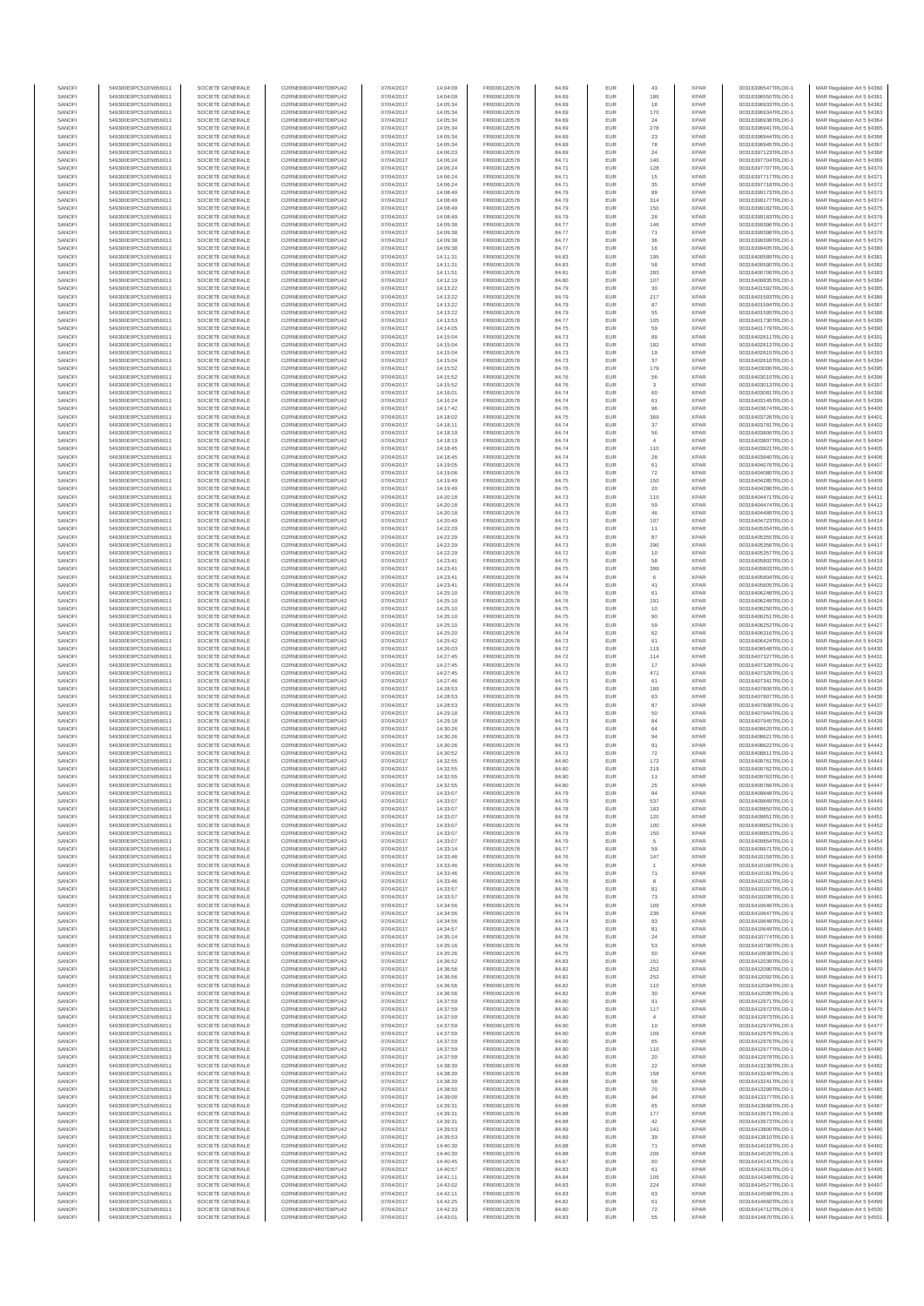| SANOF            | 549300E9PC51EN656011                         | SOCIETE GENERALE                     | O2RNE8IBXP4R0TD8PU42                          | 07/04/2017               | 14:04:09             | FR0000120578                 |                | EUR               | 43                        | <b>XPAR</b>                | 00316396547TRLO0-1                       | MAR Regulation Art 5 \$4360                              |
|------------------|----------------------------------------------|--------------------------------------|-----------------------------------------------|--------------------------|----------------------|------------------------------|----------------|-------------------|---------------------------|----------------------------|------------------------------------------|----------------------------------------------------------|
| SANOFI<br>SANOFI | 549300E9PC51EN656011                         | SOCIETE GENERALE<br>SOCIETE GENERALE | O2RNE8IBXP4R0TD8PU42                          | 07/04/2017               | 14:04:09             | FR0000120578                 | 84.69          | EUR<br>EUR        | 186                       | <b>XPAR</b><br><b>XPAR</b> | 00316396550TRLO0-1                       | MAR Regulation Art 5 §4361                               |
| SANOFI           | 549300E9PC51EN656011<br>549300E9PC51EN656011 | SOCIETE GENERALE                     | O2RNE8IBXP4R0TD8PU42<br>O2RNE8IBXP4R0TD8PU42  | 07/04/2017<br>07/04/2017 | 14:05:34<br>14:05:34 | FR0000120578<br>FR0000120578 | 84.69<br>84.69 | EUR               | 18<br>170                 | <b>XPAR</b>                | 00316396933TRLO0-1<br>00316396934TRLO0-1 | MAR Regulation Art 5 §4362<br>MAR Regulation Art 5 §4363 |
| SANOFI           | 549300E9PC51EN656011                         | SOCIETE GENERALE                     | O2RNE8IBXP4R0TD8PU42                          | 07/04/2017               | 14:05:34             | FR0000120578                 | 84.69          | EUR               | 24                        | <b>XPAR</b>                | 00316396938TRLO0-1                       | MAR Regulation Art 5 §4364                               |
| SANOFI           | 549300E9PC51EN656011                         | SOCIETE GENERALE                     | O2RNE8IBXP4R0TD8PU42                          | 07/04/2017               | 14:05:34             | FR0000120578                 | 84.69          | EUR               | 278                       | <b>XPAR</b>                | 00316396941TRLO0-1                       | MAR Regulation Art 5 §4365                               |
| SANOFI<br>SANOFI | 549300E9PC51EN656011<br>549300E9PC51EN656011 | SOCIETE GENERALE<br>SOCIETE GENERALE | O2RNE8IBXP4R0TD8PU42<br>O2RNE8IBXP4R0TD8PU42  | 07/04/2017<br>07/04/2017 | 14:05:34<br>14:05:34 | FR0000120578<br>FR0000120578 | 84.69<br>84.69 | EUR<br>EUR        | $23\,$<br>${\bf 78}$      | <b>XPAR</b><br><b>XPAR</b> | 00316396944TRLO0-1<br>00316396945TRLO0-1 | MAR Regulation Art 5 §4366<br>MAR Regulation Art 5 §4367 |
| SANOFI           | 549300E9PC51EN656011                         | SOCIETE GENERALE                     | O2RNE8IBXP4R0TD8PU42                          | 07/04/2017               | 14:06:03             | FR0000120578                 | 84.69          | EUR               | 24                        | <b>XPAR</b>                | 00316397123TRLO0-1                       | MAR Regulation Art 5 \$4368                              |
| SANOFI           | 549300E9PC51EN656011                         | SOCIETE GENERALE                     | O2RNE8IBXP4R0TD8PU42                          | 07/04/2017               | 14:06:24             | FR0000120578                 | 84.71          | EUR               | 140                       | <b>XPAR</b>                | 00316397704TRLO0-1                       | MAR Regulation Art 5 §4369                               |
| SANOFI<br>SANOFI | 549300E9PC51EN656011<br>549300E9PC51EN656011 | SOCIETE GENERALE<br>SOCIETE GENERALE | O2RNE8IBXP4R0TD8PU42<br>O2RNE8IBXP4R0TD8PU42  | 07/04/2017<br>07/04/2017 | 14:06:24<br>14:06:24 | FR0000120578<br>FR0000120578 | 84.71<br>84.71 | EUR<br>EUR        | 128<br>$15\,$             | <b>XPAR</b><br><b>XPAR</b> | 00316397707TRLO0-1<br>00316397717TRLO0-1 | MAR Regulation Art 5 §4370<br>MAR Regulation Art 5 §4371 |
| SANOFI           | 549300E9PC51EN656011                         | SOCIETE GENERALE                     | O2RNE8IBXP4R0TD8PLI42                         | 07/04/2017               | 14:06:24             | FR0000120578                 | 84.71          | EUR               | 35                        | <b>XPAR</b>                | 00316397718TRLO0-1                       | MAR Regulation Art 5 §4372                               |
| SANOFI           | 549300E9PC51EN656011                         | SOCIETE GENERALE                     | O2RNE8IBXP4R0TD8PU42                          | 07/04/2017               | 14:08:49             | FR0000120578                 | 84.79          | EUR               | 89                        | <b>XPAR</b>                | 00316399173TRLO0-1                       | MAR Regulation Art 5 §4373                               |
| SANOFI           | 549300E9PC51EN656011                         | SOCIETE GENERALE                     | O2RNE8IBXP4R0TD8PU42                          | 07/04/2017               | 14:08:49             | FR0000120578                 | 84.79          | EUR               | 314                       | <b>XPAR</b>                | 00316399177TRLO0-1                       | MAR Regulation Art 5 §4374                               |
| SANOFI<br>SANOFI | 549300E9PC51EN656011<br>549300E9PC51EN656011 | SOCIETE GENERALE<br>SOCIETE GENERALE | O2RNE8IBXP4R0TD8PU42<br>O2RNE8IBXP4R0TD8PU42  | 07/04/2017<br>07/04/2017 | 14:08:49<br>14:08:49 | FR0000120578<br>FR0000120578 | 84.79<br>84.79 | EUR<br>EUR        | 150<br>28                 | <b>XPAR</b><br><b>XPAR</b> | 00316399182TRLO0-1<br>00316399183TRLO0-1 | MAR Regulation Art 5 §4375<br>MAR Regulation Art 5 §4376 |
| SANOFI           | 549300E9PC51EN656011                         | SOCIETE GENERALE                     | O2RNE8IBXP4R0TD8PU42                          | 07/04/2017               | 14:09:38             | FR0000120578                 | 84.77          | EUR               | 146                       | <b>XPAR</b>                | 00316399396TRLO0-1                       | MAR Regulation Art 5 §4377                               |
| SANOFI           | 549300E9PC51EN656011                         | SOCIETE GENERALE                     | O2RNE8IBXP4R0TD8PU42                          | 07/04/2017               | 14:09:38             | FR0000120578                 | 84.77          | EUR               | $71\,$                    | <b>XPAR</b>                | 00316399398TRLO0-1                       | MAR Regulation Art 5 §4378                               |
| SANOFI           | 549300E9PC51EN656011                         | SOCIETE GENERALE                     | O2RNE8IBXP4R0TD8PU42                          | 07/04/2017               | 14:09:38             | FR0000120578                 | 84.77          | EUR               | 36                        | <b>XPAR</b>                | 00316399399TRLO0-1                       | MAR Regulation Art 5 §4379                               |
| SANOFI<br>SANOFI | 549300E9PC51EN656011<br>549300E9PC51EN656011 | SOCIETE GENERALE<br>SOCIETE GENERALE | O2RNE8IBXP4R0TD8PU42<br>O2RNE8IBXP4R0TD8PU42  | 07/04/2017<br>07/04/2017 | 14:09:38<br>14:11:31 | FR0000120578<br>FR0000120578 | 84.77<br>84.83 | EUR<br>EUR        | $16\,$<br>195             | <b>XPAR</b><br><b>XPAR</b> | 00316399405TRLO0-1<br>00316400589TRLO0-1 | MAR Regulation Art 5 §4380<br>MAR Regulation Art 5 §4381 |
| SANOFI           | 549300E9PC51EN656011                         | SOCIETE GENERALE                     | O2RNE8IBXP4R0TD8PU42                          | 07/04/2017               | 14:11:31             | FR0000120578                 | 84.83          | EUR               | 58                        | <b>XPAR</b>                | 00316400590TRLO0-1                       | MAR Regulation Art 5 §4382                               |
| SANOFI           | 549300E9PC51EN656011                         | SOCIETE GENERALE                     | O2RNE8IBXP4R0TD8PU42                          | 07/04/2017               | 14:11:51             | FR0000120578                 | 84.81          | EUR               | 283                       | <b>XPAR</b>                | 00316400706TRLO0-1                       | MAR Regulation Art 5 §4383                               |
| SANOFI<br>SANOFI | 549300E9PC51EN656011<br>549300E9PC51EN656011 | SOCIETE GENERALE<br>SOCIETE GENERALE | O2RNE8IBXP4R0TD8PU42<br>O2RNE8IBXP4R0TD8PU42  | 07/04/2017<br>07/04/2017 | 14:12:19<br>14:13:22 | FR0000120578<br>FR0000120578 | 84.80<br>84.79 | EUR<br>EUR        | 107<br>30                 | <b>XPAR</b><br><b>XPAR</b> | 00316400835TRLO0-1<br>00316401592TRLO0-1 | MAR Regulation Art 5 §4384<br>MAR Regulation Art 5 §4385 |
| SANOFI           | 549300E9PC51EN656011                         | SOCIETE GENERALE                     | O2RNE8IBXP4R0TD8PU42                          | 07/04/2017               | 14:13:22             | FR0000120578                 | 84.79          | EUR               | 217                       | <b>XPAR</b>                | 00316401593TRLO0-1                       | MAR Regulation Art 5 §4386                               |
| SANOFI           | 549300E9PC51EN656011                         | SOCIETE GENERALE                     | O2RNE8IBXP4R0TD8PU42                          | 07/04/2017               | 14:13:22             | FR0000120578                 | 84.79          | EUR               | 87                        | <b>XPAR</b>                | 00316401594TRLO0-1                       | MAR Regulation Art 5 §4387                               |
| SANOFI           | 549300E9PC51EN656011                         | SOCIETE GENERALE                     | O2RNE8IBXP4R0TD8PU42                          | 07/04/2017               | 14:13:22             | FR0000120578                 | 84.79          | EUR               | 55                        | <b>XPAR</b>                | 00316401595TRLO0-1                       | MAR Regulation Art 5 §4388                               |
| SANOFI<br>SANOFI | 549300E9PC51EN656011<br>549300E9PC51EN656011 | SOCIETE GENERALE<br>SOCIETE GENERALE | O2RNE8IBXP4R0TD8PU42<br>O2RNE8IBXP4R0TD8PU42  | 07/04/2017<br>07/04/2017 | 14:13:53<br>14:14:05 | FR0000120578<br>FR0000120578 | 84.77<br>84.75 | EUR<br>EUR        | 105<br>59                 | <b>XPAR</b><br><b>XPAR</b> | 00316401730TRLO0-1<br>00316401779TRLO0-1 | MAR Regulation Art 5 §4389<br>MAR Regulation Art 5 §4390 |
| SANOFI           | 549300E9PC51EN656011                         | SOCIETE GENERALE                     | O2RNE8IBXP4R0TD8PU42                          | 07/04/2017               | 14:15:04             | FR0000120578                 | 84.73          | EUR               | 89                        | <b>XPAR</b>                | 00316402611TRLO0-1                       | MAR Regulation Art 5 §4391                               |
| SANOFI           | 549300E9PC51EN656011                         | SOCIETE GENERALE                     | O2RNE8IBXP4R0TD8PU42                          | 07/04/2017               | 14:15:04             | FR0000120578                 | 84.73          | EUR               | 182                       | <b>XPAR</b>                | 00316402613TRLO0-1                       | MAR Regulation Art 5 §4392                               |
| SANOFI<br>SANOFI | 549300E9PC51EN656011<br>549300E9PC51EN656011 | SOCIETE GENERALE<br>SOCIETE GENERALE | O2RNE8IBXP4R0TD8PU42<br>O2RNE8IBXP4R0TD8PU42  | 07/04/2017<br>07/04/2017 | 14:15:04<br>14:15:04 | FR0000120578<br>FR0000120578 | 84.73<br>84.73 | EUR<br>EUR        | 19<br>37                  | <b>XPAR</b><br><b>XPAR</b> | 00316402615TRLO0-1<br>00316402616TRLO0-1 | MAR Regulation Art 5 §4393                               |
| SANOFI           | 549300E9PC51EN656011                         | SOCIETE GENERALE                     | O2RNE8IBXP4R0TD8PU42                          | 07/04/2017               | 14:15:52             | FR0000120578                 | 84.76          | EUR               | 179                       | <b>XPAR</b>                | 00316403006TRLO0-1                       | MAR Regulation Art 5 §4394<br>MAR Regulation Art 5 §4395 |
| SANOFI           | 549300E9PC51EN656011                         | SOCIETE GENERALE                     | O2RNE8IBXP4R0TD8PU42                          | 07/04/2017               | 14:15:52             | FR0000120578                 | 84.76          | EUR               | 56                        | <b>XPAR</b>                | 00316403010TRLO0-1                       | MAR Regulation Art 5 §4396                               |
| SANOFI           | 549300E9PC51EN656011                         | SOCIETE GENERALE                     | O2RNE8IBXP4R0TD8PU42                          | 07/04/2017               | 14:15:52             | FR0000120578                 | 84.76          | EUR               | 3                         | <b>XPAR</b>                | 00316403013TRLO0-1                       | MAR Regulation Art 5 §4397                               |
| SANOFI<br>SANOFI | 549300E9PC51EN656011<br>549300E9PC51EN656011 | SOCIETE GENERALE<br>SOCIETE GENERALE | O2RNE8IBXP4R0TD8PU42<br>O2RNE8IBXP4R0TD8PU42  | 07/04/2017<br>07/04/2017 | 14:16:01<br>14:16:24 | FR0000120578<br>FR0000120578 | 84.74<br>84.74 | EUR<br>EUR        | 60<br>61                  | <b>XPAR</b><br><b>XPAR</b> | 00316403081TRLO0-1<br>00316403145TRLO0-1 | MAR Regulation Art 5 §4398<br>MAR Regulation Art 5 §4399 |
| SANOFI           | 549300E9PC51EN656011                         | SOCIETE GENERALE                     | O2RNE8IBXP4R0TD8PU42                          | 07/04/2017               | 14:17:42             | FR0000120578                 | 84.76          | EUR               | 96                        | <b>XPAR</b>                | 00316403674TRLO0-1                       | MAR Regulation Art 5 §4400                               |
| SANOFI           | 549300E9PC51EN656011                         | SOCIETE GENERALE                     | O2RNE8IBXP4R0TD8PU42                          | 07/04/2017               | 14:18:02             | FR0000120578                 | 84.75          | EUR               | 369                       | <b>XPAR</b>                | 00316403726TRLO0-1                       | MAR Regulation Art 5 §4401                               |
| SANOFI           | 549300E9PC51EN656011                         | SOCIETE GENERALE                     | O2RNE8IBXP4R0TD8PU42                          | 07/04/2017               | 14:18:11             | FR0000120578                 | 84.74          | EUR               | 37                        | <b>XPAR</b>                | 00316403781TRLO0-1<br>00316403806TRLO0-1 | MAR Regulation Art 5 §4402                               |
| SANOFI<br>SANOFI | 549300E9PC51EN656011<br>549300E9PC51EN656011 | SOCIETE GENERALE<br>SOCIETE GENERALE | O2RNE8IBXP4R0TD8PU42<br>O2RNE8IBXP4R0TD8PU42  | 07/04/2017<br>07/04/2017 | 14:18:19<br>14:18:19 | FR0000120578<br>FR0000120578 | 84.74<br>84.74 | EUR<br>EUR        | 56<br>$\overline{4}$      | <b>XPAR</b><br><b>XPAR</b> | 00316403807TRLO0-1                       | MAR Regulation Art 5 §4403<br>MAR Regulation Art 5 §4404 |
| SANOFI           | 549300E9PC51EN656011                         | SOCIETE GENERALE                     | O2RNE8IBXP4R0TD8PU42                          | 07/04/2017               | 14:18:45             | FR0000120578                 | 84.74          | EUR               | 110                       | <b>XPAR</b>                | 00316403921TRLO0-1                       | MAR Regulation Art 5 §4405                               |
| SANOFI           | 549300E9PC51EN656011                         | SOCIETE GENERALE                     | O2RNE8IBXP4R0TD8PU42                          | 07/04/2017               | 14:18:45             | FR0000120578                 | 84.74          | EUR               | $\bf 28$                  | <b>XPAR</b>                | 00316403940TRLO0-1                       | MAR Regulation Art 5 §4406                               |
| SANOFI           | 549300E9PC51EN656011<br>549300E9PC51EN656011 | SOCIETE GENERALE                     | O2RNE8IBXP4R0TD8PU42                          | 07/04/2017               | 14:19:05             | FR0000120578                 | 84.73          | EUR               | 61                        | <b>XPAR</b>                | 00316404076TRLO0-1                       | MAR Regulation Art 5 §4407                               |
| SANOFI<br>SANOFI | 549300E9PC51EN656011                         | SOCIETE GENERALE<br>SOCIETE GENERALE | O2RNE8IBXP4R0TD8PU42<br>O2RNE8IBXP4R0TD8PU42  | 07/04/2017<br>07/04/2017 | 14:19:06<br>14:19:49 | FR0000120578<br>FR0000120578 | 84.73<br>84.75 | EUR<br>EUR        | $\scriptstyle{72}$<br>150 | <b>XPAR</b><br><b>XPAR</b> | 00316404080TRLO0-1<br>00316404285TRLO0-1 | MAR Regulation Art 5 §4408<br>MAR Regulation Art 5 §4409 |
| SANOFI           | 549300E9PC51EN656011                         | SOCIETE GENERALE                     | O2RNE8IBXP4R0TD8PU42                          | 07/04/2017               | 14:19:49             | FR0000120578                 | 84.75          | EUR               | 20                        | <b>XPAR</b>                | 00316404286TRLO0-1                       | MAR Regulation Art 5 §4410                               |
| SANOFI           | 549300E9PC51EN656011                         | SOCIETE GENERALE                     | O2RNE8IBXP4R0TD8PU42                          | 07/04/2017               | 14:20:18             | FR0000120578                 | 84.73          | EUR               | 110                       | <b>XPAR</b>                | 00316404471TRLO0-1                       | MAR Regulation Art 5 \$4411                              |
| SANOFI           | 549300E9PC51EN656011                         | SOCIETE GENERALE                     | O2RNE8IBXP4R0TD8PU42                          | 07/04/2017               | 14:20:18             | FR0000120578                 | 84.73          | EUR<br>EUR        | 59<br>46                  | <b>XPAR</b><br><b>XPAR</b> | 00316404474TRLO0-1                       | MAR Regulation Art 5 §4412<br>MAR Regulation Art 5 §4413 |
| SANOFI<br>SANOFI | 549300E9PC51EN656011<br>549300E9PC51EN656011 | SOCIETE GENERALE<br>SOCIETE GENERALE | O2RNE8IBXP4R0TD8PU42<br>O2RNE8IBXP4R0TD8PU42  | 07/04/2017<br>07/04/2017 | 14:20:18<br>14:20:49 | FR0000120578<br>FR0000120578 | 84.73<br>84.71 | EUR               | 107                       | <b>XPAR</b>                | 00316404489TRLO0-1<br>00316404723TRLO0-1 | MAR Regulation Art 5 §4414                               |
| SANOFI           | 549300E9PC51EN656011                         | SOCIETE GENERALE                     | O2RNE8IBXP4R0TD8PU42                          | 07/04/2017               | 14:22:29             | FR0000120578                 | 84.73          | EUR               | 11                        | <b>XPAR</b>                | 00316405354TRLO0-1                       | MAR Regulation Art 5 §4415                               |
| SANOFI           | 549300E9PC51EN656011                         | SOCIETE GENERALE                     | O2RNE8IBXP4R0TD8PU42                          | 07/04/2017               | 14:22:29             | FR0000120578                 | 84.73          | EUR               | 87                        | <b>XPAR</b>                | 00316405355TRLO0-1                       | MAR Regulation Art 5 §4416                               |
| SANOFI<br>SANOFI | 549300E9PC51EN656011<br>549300E9PC51EN656011 | SOCIETE GENERALE<br>SOCIETE GENERALE | O2RNE8IBXP4R0TD8PU42<br>O2RNE8IBXP4R0TD8PU42  | 07/04/2017<br>07/04/2017 | 14:22:29<br>14:22:29 | FR0000120578<br>FR0000120578 | 84.73<br>84.72 | EUR<br>EUR        | 290                       | <b>XPAR</b><br><b>XPAR</b> | 00316405356TRLO0-1<br>00316405357TRLO0-1 | MAR Regulation Art 5 §4417<br>MAR Regulation Art 5 §4418 |
| SANOFI           | 549300E9PC51EN656011                         | SOCIETE GENERALE                     | O2RNE8IBXP4R0TD8PU42                          | 07/04/2017               | 14:23:41             | FR0000120578                 | 84.75          | EUR               | $10$<br>58                | <b>XPAR</b>                | 00316405802TRLO0-1                       | MAR Regulation Art 5 §4419                               |
| SANOFI           | 549300E9PC51EN656011                         | SOCIETE GENERALE                     | O2RNE8IBXP4R0TD8PU42                          | 07/04/2017               | 14:23:41             | FR0000120578                 | 84.75          | EUR               | 399                       | <b>XPAR</b>                | 00316405803TRLO0-1                       | MAR Regulation Art 5 §4420                               |
| SANOFI           | 549300E9PC51EN656011                         | SOCIETE GENERALE                     | O2RNE8IBXP4R0TD8PU42                          | 07/04/2017               | 14:23:41             | FR0000120578                 | 84.74          | EUR               | $_{\rm 6}$                | <b>XPAR</b>                | 00316405804TRLO0-1                       | MAR Regulation Art 5 §4421                               |
| SANOFI<br>SANOFI | 549300E9PC51EN656011<br>549300E9PC51EN656011 | SOCIETE GENERALE<br>SOCIETE GENERALE | O2RNE8IBXP4R0TD8PU42<br>O2RNE8IBXP4R0TD8PU42  | 07/04/2017<br>07/04/2017 | 14:23:41<br>14:25:10 | FR0000120578<br>FR0000120578 | 84.74<br>84.76 | EUR<br>EUR        | 41<br>61                  | <b>XPAR</b><br><b>XPAR</b> | 00316405805TRLO0-1<br>00316406248TRLO0-1 | MAR Regulation Art 5 §4422<br>MAR Regulation Art 5 §4423 |
| SANOFI           | 549300E9PC51EN656011                         | SOCIETE GENERALE                     | O2RNE8IBXP4R0TD8PU42                          | 07/04/2017               | 14:25:10             | FR0000120578                 | 84.76          | EUR               | 191                       | <b>XPAR</b>                | 00316406249TRLO0-1                       | MAR Regulation Art 5 §4424                               |
| SANOFI           | 549300E9PC51EN656011                         | SOCIETE GENERALE                     | O2RNE8IBXP4R0TD8PU42                          | 07/04/2017               | 14:25:10             | FR0000120578                 | 84.75          | EUR               | 10                        | <b>XPAR</b>                | 00316406250TRLO0-1                       | MAR Regulation Art 5 §4425                               |
| SANOFI           | 549300E9PC51EN656011                         | SOCIETE GENERALE                     | O2RNE8IBXP4R0TD8PU42                          | 07/04/2017               | 14:25:10             | FR0000120578                 | 84.75          | EUR               | 90<br>59                  | <b>XPAR</b>                | 00316406251TRLO0-1                       | MAR Regulation Art 5 §4426                               |
| SANOFI<br>SANOFI | 549300E9PC51EN656011<br>549300E9PC51EN656011 | SOCIETE GENERALE<br>SOCIETE GENERALE | O2RNE8IBXP4R0TD8PU42<br>O2RNE8IBXP4R0TD8PU42  | 07/04/2017<br>07/04/2017 | 14:25:10<br>14:25:20 | FR0000120578<br>FR0000120578 | 84.76<br>84.74 | EUR<br>EUR        | 62                        | <b>XPAR</b><br><b>XPAR</b> | 00316406252TRLO0-1<br>00316406316TRLO0-1 | MAR Regulation Art 5 §4427<br>MAR Regulation Art 5 §4428 |
| SANOFI           | 549300E9PC51EN656011                         | SOCIETE GENERALE                     | O2RNE8IBXP4R0TD8PU42                          | 07/04/2017               | 14:25:42             | FR0000120578                 | 84.73          | EUR               | 61                        | <b>XPAR</b>                | 00316406424TRLO0-1                       | MAR Regulation Art 5 §4429                               |
| SANOFI           | 549300E9PC51EN656011                         | SOCIETE GENERALE                     | O2RNE8IBXP4R0TD8PU42                          | 07/04/2017               | 14:26:03             | FR0000120578                 | 84.72          | EUR               | 119                       | <b>XPAR</b>                | 00316406548TRLO0-1                       | MAR Regulation Art 5 §4430                               |
| SANOFI<br>SANOFI | 549300E9PC51EN656011<br>549300E9PC51EN656011 | SOCIETE GENERALE<br>SOCIETE GENERALE | O2RNE8IBXP4R0TD8PU42<br>O2RNE8IBXP4R0TD8PU42  | 07/04/2017<br>07/04/2017 | 14:27:45<br>14:27:45 | FR0000120578<br>FR0000120578 | 84.72<br>84.72 | EUR<br>EUR        | 114<br>17                 | <b>XPAR</b><br><b>XPAR</b> | 00316407327TRLO0-1<br>00316407328TRLO0-1 | MAR Regulation Art 5 §4431<br>MAR Regulation Art 5 §4432 |
| SANOFI           | 549300E9PC51EN656011                         | SOCIETE GENERALE                     | O2RNE8IBXP4R0TD8PU42                          | 07/04/2017               | 14:27:45             | FR0000120578                 | 84.72          | EUR               | 471                       | <b>XPAR</b>                | 00316407329TRLO0-1                       | MAR Regulation Art 5 §4433                               |
| SANOFI           | 549300E9PC51EN656011                         | SOCIETE GENERALE                     | O2RNE8IBXP4R0TD8PU42                          | 07/04/2017               | 14:27:46             | FR0000120578                 | 84.71          | EUR               | 61                        | <b>XPAR</b>                | 00316407341TRLO0-1                       | MAR Regulation Art 5 §4434                               |
| SANOFI<br>SANOFI | 549300E9PC51EN656011<br>549300E9PC51EN656011 | SOCIETE GENERALE<br>SOCIETE GENERALE | O2RNE8IBXP4R0TD8PU42<br>O2RNE8IBXP4R0TD8PU42  | 07/04/2017               | 14:28:53<br>14:28:53 | FR0000120578<br>FR0000120578 | 84.75          | EUR               | 189                       | <b>XPAR</b><br><b>XPAR</b> | 00316407806TRLO0-1<br>00316407807TRLO0-1 | MAR Regulation Art 5 \$4435                              |
| SANOFI           | 549300E9PC51EN656011                         | SOCIETE GENERALE                     | O2RNE8IBXP4R0TD8PU42                          | 07/04/2017<br>07/04/2017 | 14:28:53             | FR0000120578                 | 84.75<br>84.75 | EUR<br>EUR        | 63<br>87                  | <b>XPAR</b>                | 00316407808TRLO0-1                       | MAR Regulation Art 5 §4436<br>MAR Regulation Art 5 §4437 |
| SANOFI           | 549300E9PC51EN656011                         | SOCIETE GENERALE                     | O2RNE8IBXP4R0TD8PU42                          | 07/04/2017               | 14:29:18             | FR0000120578                 | 84.73          | EUR               | 50                        | <b>XPAR</b>                | 00316407944TRLO0-1                       | MAR Regulation Art 5 §4438                               |
| SANOFI           | 549300E9PC51EN656011                         | SOCIETE GENERALE                     | O2RNE8IBXP4R0TD8PU42                          | 07/04/2017               | 14:29:18             | FR0000120578                 | 84.73          | EUR               | 84                        | <b>XPAR</b>                | 00316407945TRLO0-1                       | MAR Regulation Art 5 §4439                               |
| SANOFI<br>SANOFI | 549300E9PC51EN656011<br>549300E9PC51EN656011 | SOCIETE GENERALE<br>SOCIETE GENERALE | O2RNE8IBXP4R0TD8PLI42<br>O2RNE8IBXP4R0TD8PU42 | 07/04/2017<br>07/04/2017 | 14:30:26             | FR0000120578<br>FR0000120578 | 84.73          | EUR<br>EUR        | 64                        | <b>XPAR</b><br><b>XPAR</b> | 00316408620TRLO0-1<br>00316408621TRLO0-1 | MAR Regulation Art 5 §4440                               |
| SANOFI           | 549300E9PC51EN656011                         | SOCIETE GENERALE                     | O2RNE8IBXP4R0TD8PU42                          | 07/04/2017               | 14:30:26<br>14:30:26 | FR0000120578                 | 84.73<br>84.73 | EUR               | 94<br>91                  | <b>XPAR</b>                | 00316408622TRLO0-1                       | MAR Regulation Art 5 §4441<br>MAR Regulation Art 5 §4442 |
| SANOFI           | 549300E9PC51EN656011                         | SOCIETE GENERALE                     | O2RNE8IBXP4R0TD8PU42                          | 07/04/2017               | 14:30:52             | FR0000120578                 | 84.72          | EUR               | $\scriptstyle{72}$        | <b>XPAR</b>                | 00316408811TRLO0-1                       | MAR Regulation Art 5 §4443                               |
| SANOFI           | 549300E9PC51EN656011                         | SOCIETE GENERALE                     | O2RNE8IBXP4R0TD8PU42                          | 07/04/2017               | 14:32:55             | FR0000120578                 | 84.80          | EUR               | 172                       | <b>XPAR</b>                | 00316409761TRLO0-1                       | MAR Regulation Art 5 §4444                               |
| SANOFI<br>SANOFI | 549300E9PC51EN656011<br>549300E9PC51EN656011 | SOCIETE GENERALE<br>SOCIETE GENERALE | O2RNE8IBXP4R0TD8PU42<br>O2RNE8IBXP4R0TD8PU42  | 07/04/2017<br>07/04/2017 | 14:32:55<br>14:32:55 | FR0000120578<br>FR0000120578 | 84.80<br>84.80 | <b>EUR</b><br>EUR | 219<br>11                 | <b>XPAR</b><br><b>XPAR</b> | 00316409762TRLO0-1<br>00316409763TRLO0-1 | MAR Regulation Art 5 §4445<br>MAR Regulation Art 5 §4446 |
| SANOFI           | 549300E9PC51EN656011                         | SOCIETE GENERALE                     | O2RNE8IBXP4R0TD8PLI42                         | 07/04/2017               | 14:32:55             | FR0000120578                 | 84.80          | EUR               | 25                        | <b>XPAR</b>                | 00316409766TRLO0-1                       | MAR Regulation Art 5 §4447                               |
| SANOFI           | 549300E9PC51EN656011                         | SOCIETE GENERALE                     | O2RNE8IBXP4R0TD8PU42                          | 07/04/2017               | 14:33:07             | FR0000120578                 | 84.79          | EUR               | 94                        | <b>XPAR</b>                | 00316409848TRLO0-1                       | MAR Regulation Art 5 §4448                               |
| SANOFI           | 549300E9PC51EN656011                         | SOCIETE GENERALE                     | O2RNE8IBXP4R0TD8PU42                          | 07/04/2017               | 14:33:07             | FR0000120578                 | 84.79          | EUR               | 537                       | <b>XPAR</b>                | 00316409849TRLO0-1<br>00316409850TRLO0-1 | MAR Regulation Art 5 §4449                               |
| SANOFI<br>SANOFI | 549300E9PC51EN656011<br>549300E9PC51EN656011 | SOCIETE GENERALE<br>SOCIETE GENERALE | O2RNE8IBXP4R0TD8PU42<br>O2RNE8IBXP4R0TD8PU42  | 07/04/2017<br>07/04/2017 | 14:33:07<br>14:33:07 | FR0000120578<br>FR0000120578 | 84.78<br>84.78 | EUR<br>EUR        | 183<br>120                | <b>XPAR</b><br><b>XPAR</b> | 00316409851TRLO0-1                       | MAR Regulation Art 5 §4450<br>MAR Regulation Art 5 §4451 |
| SANOFI           | 549300E9PC51EN656011                         | SOCIETE GENERALE                     | O2RNE8IBXP4R0TD8PU42                          | 07/04/2017               | 14:33:07             | FR0000120578                 | 84.78          | EUR               | 100                       | <b>XPAR</b>                | 00316409852TRLO0-1                       | MAR Regulation Art 5 §4452                               |
| SANOFI           | 549300E9PC51EN656011                         | SOCIETE GENERALE                     | O2RNE8IBXP4R0TD8PU42                          | 07/04/2017               | 14:33:07             | FR0000120578                 | 84.79          | EUR               | 150                       | <b>XPAR</b>                | 00316409853TRLO0-1                       | MAR Regulation Art 5 §4453                               |
| SANOFI<br>SANOFI | 549300E9PC51EN656011<br>549300E9PC51EN656011 | SOCIETE GENERALE<br>SOCIETE GENERALE | O2RNE8IBXP4R0TD8PU42<br>O2RNE8IBXP4R0TD8PU42  | 07/04/2017<br>07/04/2017 | 14:33:07<br>14:33:14 | FR0000120578<br>FR0000120578 | 84.79<br>84.77 | EUR<br>EUR        | 5<br>59                   | <b>XPAR</b><br><b>XPAR</b> | 00316409854TRLO0-1<br>00316409971TRLO0-1 | MAR Regulation Art 5 §4454<br>MAR Regulation Art 5 §4455 |
| SANOFI           | 549300E9PC51EN656011                         | SOCIETE GENERALE                     | O2RNE8IBXP4R0TD8PU42                          | 07/04/2017               | 14:33:46             | FR0000120578                 | 84.76          | EUR               | 147                       | <b>XPAR</b>                | 00316410159TRLO0-1                       | MAR Regulation Art 5 §4456                               |
| SANOFI           | 549300E9PC51EN656011                         | SOCIETE GENERALE                     | O2RNE8IBXP4R0TD8PU42                          | 07/04/2017               | 14:33:46             | FR0000120578                 | 84.76          | EUR               |                           | <b>XPAR</b>                | 00316410160TRLO0-1                       | MAR Regulation Art 5 §4457                               |
| SANOFI<br>SANOFI | 549300E9PC51EN656011<br>549300E9PC51EN656011 | SOCIETE GENERALE<br>SOCIETE GENERALE | O2RNE8IBXP4R0TD8PU42<br>O2RNE8IBXP4R0TD8PU42  | 07/04/2017<br>07/04/2017 | 14:33:46<br>14:33:46 | FR0000120578<br>FR0000120578 | 84.76<br>84.76 | EUR<br>EUR        | $71\,$<br>8               | <b>XPAR</b><br><b>XPAR</b> | 00316410161TRLO0-1<br>00316410162TRLO0-1 | MAR Regulation Art 5 §4458<br>MAR Regulation Art 5 §4459 |
| SANOFI           | 549300E9PC51EN656011                         | SOCIETE GENERALE                     | O2RNE8IBXP4R0TD8PU42                          | 07/04/2017               | 14:33:57             | FR0000120578                 | 84.76          | EUR               | 81                        | <b>XPAR</b>                | 00316410207TRLO0-1                       | MAR Regulation Art 5 §4460                               |
| SANOFI           | 549300E9PC51EN656011                         | SOCIETE GENERALE                     | O2RNE8IBXP4R0TD8PU42                          | 07/04/2017               | 14:33:57             | FR0000120578                 | 84.76          | EUR               | 73                        | <b>XPAR</b>                | 00316410208TRLO0-1                       | MAR Regulation Art 5 §4461                               |
| SANOFI<br>SANOFI | 549300E9PC51EN656011<br>549300E9PC51EN656011 | SOCIETE GENERALE<br>SOCIETE GENERALE | O2RNE8IBXP4R0TD8PU42<br>O2RNE8IBXP4R0TD8PU42  | 07/04/2017<br>07/04/2017 | 14:34:56<br>14:34:56 | FR0000120578<br>FR0000120578 | 84.74<br>84.74 | EUR<br>EUR        | 109<br>236                | <b>XPAR</b><br><b>XPAR</b> | 00316410646TRLO0-1<br>00316410647TRLO0-1 | MAR Regulation Art 5 §4462<br>MAR Regulation Art 5 §4463 |
| SANOFI           | 549300E9PC51EN656011                         | SOCIETE GENERALE                     | O2RNE8IBXP4R0TD8PU42                          | 07/04/2017               | 14:34:56             | FR0000120578                 | 84.74          | EUR               | 93                        | <b>XPAR</b>                | 00316410648TRLO0-1                       | MAR Regulation Art 5 §4464                               |
| SANOFI           | 549300E9PC51EN656011                         | SOCIETE GENERALE                     | O2RNE8IBXP4R0TD8PU42                          | 07/04/2017               | 14:34:57             | FR0000120578                 | 84.73          | EUR               | 81                        | <b>XPAR</b>                | 00316410649TRLO0-1                       | MAR Regulation Art 5 §4465                               |
| SANOFI<br>SANOFI | 549300E9PC51EN656011<br>549300E9PC51EN656011 | SOCIETE GENERALE<br>SOCIETE GENERALE | O2RNE8IBXP4R0TD8PU42<br>O2RNE8IBXP4R0TD8PU42  | 07/04/2017<br>07/04/2017 | 14:35:14<br>14:35:16 | FR0000120578<br>FR0000120578 | 84.76<br>84.76 | EUR<br>EUR        | $\sqrt{24}$<br>53         | <b>XPAR</b><br><b>XPAR</b> | 00316410774TRLO0-1<br>00316410790TRLO0-1 | MAR Regulation Art 5 §4466<br>MAR Regulation Art 5 §4467 |
| SANOFI           | 549300E9PC51EN656011                         | SOCIETE GENERALE                     | O2RNE8IBXP4R0TD8PU42                          | 07/04/2017               | 14:35:26             | FR0000120578                 | 84.75          | EUR               | 50                        | <b>XPAR</b>                | 00316410838TRLO0-1                       | MAR Regulation Art 5 §4468                               |
| SANOFI           | 549300E9PC51EN656011                         | SOCIETE GENERALE                     | O2RNE8IBXP4R0TD8PU42                          | 07/04/2017               | 14:36:52             | FR0000120578                 | 84.83          | EUR               | 151                       | <b>XPAR</b>                | 00316412039TRLO0-1                       | MAR Regulation Art 5 §4469                               |
| SANOFI           | 549300E9PC51EN656011                         | SOCIETE GENERALE                     | O2RNE8IBXP4R0TD8PU42                          | 07/04/2017               | 14:36:56             | FR0000120578                 | 84.82          | EUR               | 252                       | <b>XPAR</b>                | 00316412090TRLO0-1                       | MAR Regulation Art 5 §4470                               |
| SANOFI<br>SANOFI | 549300E9PC51EN656011<br>549300E9PC51EN656011 | SOCIETE GENERALE<br>SOCIETE GENERALE | O2RNE8IBXP4R0TD8PU42<br>O2RNE8IBXP4R0TD8PU42  | 07/04/2017<br>07/04/2017 | 14:36:56<br>14:36:56 | FR0000120578<br>FR0000120578 | 84.82<br>84.82 | EUR<br>EUR        | 252<br>110                | <b>XPAR</b><br><b>XPAR</b> | 00316412092TRLO0-1<br>00316412094TRLO0-1 | MAR Regulation Art 5 §4471<br>MAR Regulation Art 5 §4472 |
| SANOFI           | 549300E9PC51EN656011                         | SOCIETE GENERALE                     | O2RNE8IBXP4R0TD8PU42                          | 07/04/2017               | 14:36:56             | FR0000120578                 | 84.82          | EUR               | $30\,$                    | <b>XPAR</b>                | 00316412095TRLO0-1                       | MAR Regulation Art 5 §4473                               |
| SANOFI           | 549300E9PC51EN656011                         | SOCIETE GENERALE                     | O2RNE8IBXP4R0TD8PU42                          | 07/04/2017               | 14:37:59             | FR0000120578                 | 84.90          | EUR               | 91                        | <b>XPAR</b>                | 00316412971TRLO0-1                       | MAR Regulation Art 5 §4474                               |
| SANOFI           | 549300E9PC51EN656011                         | SOCIETE GENERALE                     | O2RNE8IBXP4R0TD8PU42                          | 07/04/2017               | 14:37:59             | FR0000120578                 | 84.90          | EUR               | 117                       | <b>XPAR</b>                | 00316412972TRLO0-1                       | MAR Regulation Art 5 §4475                               |
| SANOFI<br>SANOFI | 549300E9PC51EN656011<br>549300E9PC51EN656011 | SOCIETE GENERALE<br>SOCIETE GENERALE | O2RNE8IBXP4R0TD8PU42<br>O2RNE8IBXP4R0TD8PU42  | 07/04/2017<br>07/04/2017 | 14:37:59<br>14:37:59 | FR0000120578<br>FR0000120578 | 84.90<br>84.90 | EUR<br>EUR        | $\sqrt{4}$<br>$10$        | <b>XPAR</b><br><b>XPAR</b> | 00316412973TRLO0-1<br>00316412974TRLO0-1 | MAR Regulation Art 5 §4476<br>MAR Regulation Art 5 §4477 |
| SANOFI           | 549300E9PC51EN656011                         | SOCIETE GENERALE                     | O2RNE8IBXP4R0TD8PU42                          | 07/04/2017               | 14:37:59             | FR0000120578                 | 84.90          | EUR               | 109                       | <b>XPAR</b>                | 00316412975TRLO0-1                       | MAR Regulation Art 5 §4478                               |
| SANOFI           | 549300E9PC51EN656011                         | SOCIETE GENERALE                     | O2RNE8IBXP4R0TD8PU42                          | 07/04/2017               | 14:37:59             | FR0000120578                 | 84.90          | EUR               | 65                        | <b>XPAR</b>                | 00316412976TRLO0-1                       | MAR Regulation Art 5 §4479                               |
| SANOFI<br>SANOFI | 549300E9PC51EN656011<br>549300E9PC51EN656011 | SOCIETE GENERALE<br>SOCIETE GENERALE | O2RNE8IBXP4R0TD8PU42<br>O2RNE8IBXP4R0TD8PU42  | 07/04/2017<br>07/04/2017 | 14:37:59<br>14:37:59 | FR0000120578                 | 84.90<br>84.90 | EUR<br>EUR        | 110<br>$20\,$             | <b>XPAR</b><br><b>XPAR</b> | 00316412977TRLO0-1                       | MAR Regulation Art 5 §4480<br>MAR Regulation Art 5 §4481 |
| SANOFI           | 549300E9PC51EN656011                         | SOCIETE GENERALE                     | O2RNE8IBXP4R0TD8PU42                          | 07/04/2017               | 14:38:39             | FR0000120578<br>FR0000120578 | 84.88          | EUR               | $22\,$                    | <b>XPAR</b>                | 00316412978TRLO0-1<br>00316413239TRLO0-1 | MAR Regulation Art 5 §4482                               |
| SANOFI           | 549300E9PC51EN656011                         | SOCIETE GENERALE                     | O2RNE8IBXP4R0TD8PU42                          | 07/04/2017               | 14:38:39             | FR0000120578                 | 84.88          | EUR               | 158                       | <b>XPAR</b>                | 00316413240TRLO0-1                       | MAR Regulation Art 5 §4483                               |
| SANOFI           | 549300E9PC51EN656011                         | SOCIETE GENERALE                     | O2RNE8IBXP4R0TD8PU42                          | 07/04/2017               | 14:38:39             | FR0000120578                 | 84.88          | EUR               | 58                        | <b>XPAR</b>                | 00316413241TRLO0-1                       | MAR Regulation Art 5 §4484                               |
| SANOFI<br>SANOFI | 549300E9PC51EN656011<br>549300E9PC51EN656011 | SOCIETE GENERALE<br>SOCIETE GENERALE | O2RNE8IBXP4R0TD8PU42<br>O2RNE8IBXP4R0TD8PU42  | 07/04/2017               | 14:38:50<br>14:39:00 | FR0000120578                 | 84.86          | EUR               | 70<br>84                  | <b>XPAR</b><br><b>XPAR</b> | 00316413299TRLO0-1<br>00316413377TRLO0-1 | MAR Regulation Art 5 §4485                               |
| SANOFI           | 549300E9PC51EN656011                         | SOCIETE GENERALE                     | O2RNE8IBXP4R0TD8PU42                          | 07/04/2017<br>07/04/2017 | 14:39:31             | FR0000120578<br>FR0000120578 | 84.85<br>84.88 | EUR<br>EUR        | 65                        | <b>XPAR</b>                | 00316413668TRLO0-1                       | MAR Regulation Art 5 §4486<br>MAR Regulation Art 5 §4487 |
| SANOFI           | 549300E9PC51EN656011                         | SOCIETE GENERALE                     | O2RNE8IBXP4R0TD8PU42                          | 07/04/2017               | 14:39:31             | FR0000120578                 | 84.88          | EUR               | 177                       | <b>XPAR</b>                | 00316413671TRLO0-1                       | MAR Regulation Art 5 §4488                               |
| SANOFI           | 549300E9PC51EN656011                         | SOCIETE GENERALE                     | O2RNE8IBXP4R0TD8PU42                          | 07/04/2017               | 14:39:31             | FR0000120578                 | 84.88          | EUR               | $42\,$                    | <b>XPAR</b>                | 00316413673TRLO0-1                       | MAR Regulation Art 5 §4489                               |
| SANOFI<br>SANOFI | 549300E9PC51EN656011<br>549300E9PC51EN656011 | SOCIETE GENERALE<br>SOCIETE GENERALE | O2RNE8IBXP4R0TD8PU42<br>O2RNE8IBXP4R0TD8PU42  | 07/04/2017<br>07/04/2017 | 14:39:53<br>14:39:53 | FR0000120578<br>FR0000120578 | 84.89<br>84.89 | EUR<br>EUR        | 141<br>39                 | <b>XPAR</b><br><b>XPAR</b> | 00316413800TRLO0-1<br>00316413810TRLO0-1 | MAR Regulation Art 5 §4490<br>MAR Regulation Art 5 §4491 |
| SANOFI           | 549300E9PC51EN656011                         | SOCIETE GENERALE                     | O2RNE8IBXP4R0TD8PU42                          | 07/04/2017               | 14:40:30             | FR0000120578                 | 84.88          | EUR               | $71\,$                    | <b>XPAR</b>                | 00316414019TRLO0-1                       | MAR Regulation Art 5 §4492                               |
| SANOFI           | 549300E9PC51EN656011                         | SOCIETE GENERALE                     | O2RNE8IBXP4R0TD8PU42                          | 07/04/2017               | 14:40:30             | FR0000120578                 | 84.88          | EUR               | 206                       | <b>XPAR</b>                | 00316414020TRLO0-1                       | MAR Regulation Art 5 §4493                               |
| SANOFI<br>SANOFI | 549300E9PC51EN656011<br>549300E9PC51EN656011 | SOCIETE GENERALE<br>SOCIETE GENERALE | O2RNE8IBXP4R0TD8PU42<br>O2RNE8IBXP4R0TD8PU42  | 07/04/2017<br>07/04/2017 | 14:40:45<br>14:40:57 | FR0000120578<br>FR0000120578 | 84.87<br>84.83 | EUR<br>EUR        | 60<br>61                  | <b>XPAR</b><br><b>XPAR</b> | 00316414141TRLO0-1<br>00316414231TRLO0-1 | MAR Regulation Art 5 §4494                               |
| SANOFI           | 549300E9PC51EN656011                         | SOCIETE GENERALE                     | O2RNE8IBXP4R0TD8PU42                          | 07/04/2017               | 14:41:11             | FR0000120578                 | 84.84          | EUR               | 105                       | <b>XPAR</b>                | 00316414349TRLO0-1                       | MAR Regulation Art 5 §4495<br>MAR Regulation Art 5 §4496 |
| SANOFI           | 549300E9PC51EN656011                         | SOCIETE GENERALE                     | O2RNE8IBXP4R0TD8PU42                          | 07/04/2017               | 14:42:02             | FR0000120578                 | 84.83          | EUR               | 224                       | <b>XPAR</b>                | 00316414527TRLO0-1                       | MAR Regulation Art 5 §4497                               |
| SANOFI           | 549300E9PC51EN656011                         | SOCIETE GENERALE                     | O2RNE8IBXP4R0TD8PU42                          | 07/04/2017               | 14:42:11             | FR0000120578                 | 84.83          | EUR               | 63                        | <b>XPAR</b>                | 00316414568TRLO0-1                       | MAR Regulation Art 5 §4498                               |
| SANOFI<br>SANOFI | 549300E9PC51EN656011<br>549300E9PC51EN656011 | SOCIETE GENERALE<br>SOCIETE GENERALE | O2RNE8IBXP4R0TD8PU42<br>O2RNE8IBXP4R0TD8PU42  | 07/04/2017<br>07/04/2017 | 14:42:25<br>14:42:33 | FR0000120578<br>FR0000120578 | 84.82<br>84.80 | EUR<br>EUR        | 61<br>$\scriptstyle{72}$  | <b>XPAR</b><br><b>XPAR</b> | 00316414660TRLO0-1<br>00316414712TRLO0-1 | MAR Regulation Art 5 §4499<br>MAR Regulation Art 5 §4500 |
| SANOFI           | 549300E9PC51EN656011                         | SOCIETE GENERALE                     | O2RNE8IBXP4R0TD8PU42                          | 07/04/2017               | 14:43:01             | FR0000120578                 | 84.83          | EUR               | 55                        | XPAR                       | 00316414870TRLO0-1                       | MAR Regulation Art 5 §4501                               |
|                  |                                              |                                      |                                               |                          |                      |                              |                |                   |                           |                            |                                          |                                                          |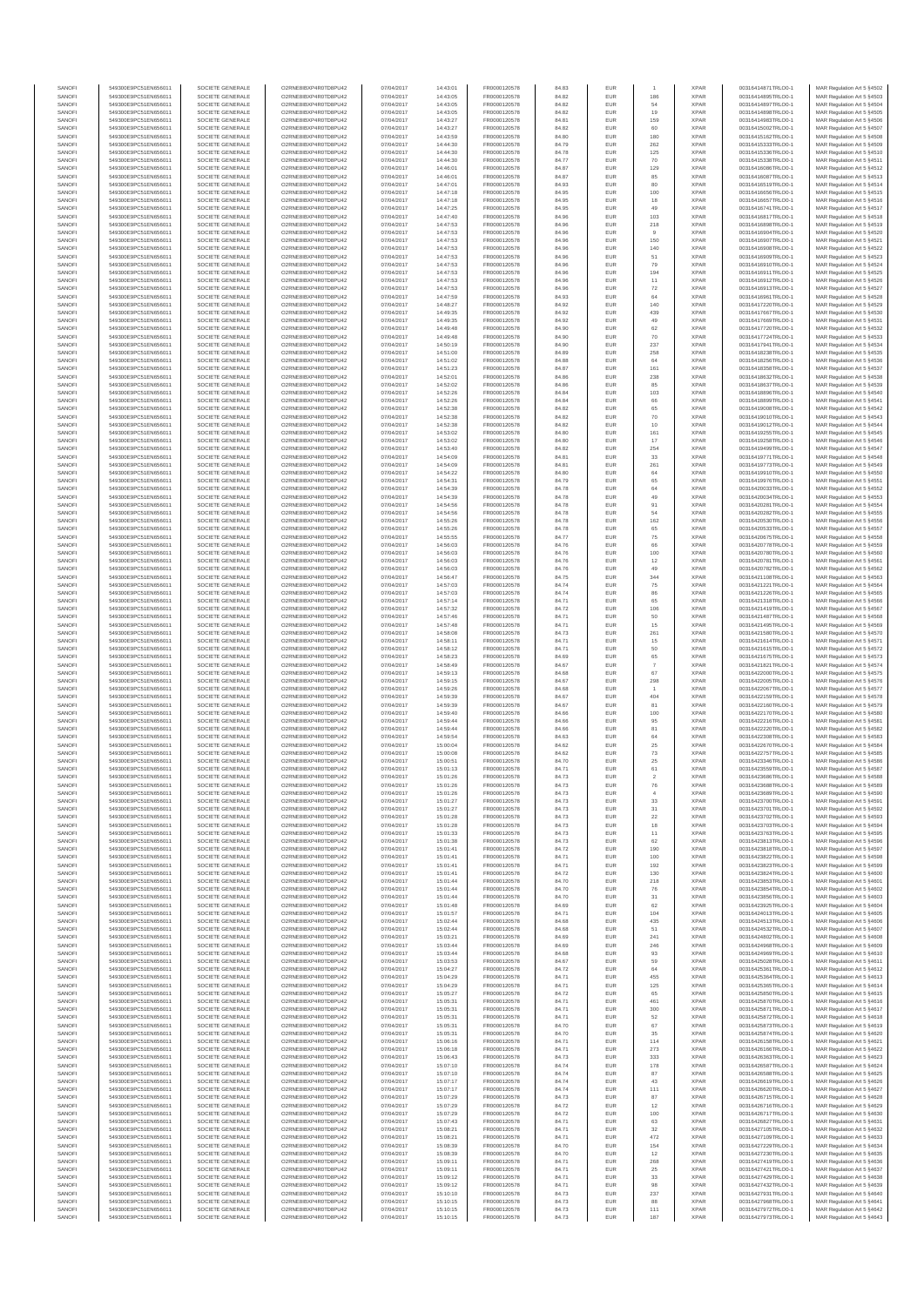| SANOFI<br>SANOFI | 549300E9PC51EN656011<br>549300E9PC51EN656011 | SOCIETE GENERALE<br>SOCIETE GENERALE | O2RNE8IBXP4R0TD8PU42<br>O2RNE8IBXP4R0TD8PU42 | 07/04/2017<br>07/04/2017 | 14:43:01<br>14:43:05 | FR0000120578<br>FR0000120578 | 84.83<br>84.82 | EUR<br>EUR        | 186                      | <b>XPAR</b><br><b>XPAR</b> | 00316414871TRLO0-1<br>00316414895TRLO0-1 | MAR Regulation Art 5 §4502<br>MAR Regulation Art 5 §4503  |
|------------------|----------------------------------------------|--------------------------------------|----------------------------------------------|--------------------------|----------------------|------------------------------|----------------|-------------------|--------------------------|----------------------------|------------------------------------------|-----------------------------------------------------------|
| SANOFI           | 549300E9PC51EN656011                         | SOCIETE GENERALE                     | O2RNE8IBXP4R0TD8PU42                         | 07/04/2017               | 14:43:05             | FR0000120578                 | 84.82          | EUR               | 54                       | <b>XPAR</b>                | 00316414897TRLO0-1                       | MAR Regulation Art 5 §4504                                |
| SANOFI           | 549300E9PC51EN656011                         | SOCIETE GENERALE                     | O2RNE8IBXP4R0TD8PU42                         | 07/04/2017               | 14:43:05             | FR0000120578                 | 84.82          | EUR               | 19                       | <b>XPAR</b>                | 00316414898TRLO0-1                       | MAR Regulation Art 5 §4505                                |
| SANOFI<br>SANOFI | 549300E9PC51EN656011<br>549300E9PC51EN656011 | SOCIETE GENERALE<br>SOCIETE GENERALE | O2RNE8IBXP4R0TD8PU42<br>O2RNE8IBXP4R0TD8PU42 | 07/04/2017<br>07/04/2017 | 14:43:27<br>14:43:27 | FR0000120578<br>FR0000120578 | 84.81<br>84.82 | EUR<br>EUR        | 159<br>60                | <b>XPAR</b><br><b>XPAR</b> | 00316414983TRLO0-1<br>00316415002TRLO0-1 | MAR Regulation Art 5 \$4506<br>MAR Regulation Art 5 §4507 |
| SANOFI           | 549300E9PC51EN656011                         | SOCIETE GENERALE                     | O2RNE8IBXP4R0TD8PLI42                        | 07/04/2017               | 14:43:59             | FR0000120578                 | 84.80          | EUR               | 180                      | <b>XPAR</b>                | 00316415162TRLO0-1                       | MAR Regulation Art 5 §4508                                |
| SANOFI<br>SANOFI | 549300E9PC51EN656011<br>549300E9PC51EN656011 | SOCIETE GENERALE<br>SOCIETE GENERALE | O2RNE8IBXP4R0TD8PU42<br>O2RNE8IBXP4R0TD8PU42 | 07/04/2017               | 14:44:30<br>14:44:30 | FR0000120578<br>FR0000120578 | 84.79          | EUR<br>EUR        | 262<br>125               | <b>XPAR</b><br><b>XPAR</b> | 00316415333TRLO0-1<br>00316415336TRLO0-1 | MAR Regulation Art 5 §4509<br>MAR Regulation Art 5 §4510  |
| SANOFI           | 549300E9PC51EN656011                         | SOCIETE GENERALE                     | O2RNE8IBXP4R0TD8PU42                         | 07/04/2017<br>07/04/2017 | 14:44:30             | FR0000120578                 | 84.78<br>84.77 | EUR               | 70                       | <b>XPAR</b>                | 00316415338TRLO0-1                       | MAR Regulation Art 5 §4511                                |
| SANOFI           | 549300E9PC51EN656011                         | SOCIETE GENERALE                     | O2RNE8IBXP4R0TD8PU42                         | 07/04/2017               | 14:46:01             | FR0000120578                 | 84.87          | EUR               | 129                      | <b>XPAR</b>                | 00316416086TRLO0-1                       | MAR Regulation Art 5 §4512                                |
| SANOFI<br>SANOFI | 549300E9PC51EN656011<br>549300E9PC51EN656011 | SOCIETE GENERALE<br>SOCIETE GENERALE | O2RNE8IBXP4R0TD8PU42<br>O2RNE8IBXP4R0TD8PU42 | 07/04/2017<br>07/04/2017 | 14:46:01<br>14:47:01 | FR0000120578<br>FR0000120578 | 84.87<br>84.93 | EUR<br>EUR        | 85<br>80                 | <b>XPAR</b><br><b>XPAR</b> | 00316416087TRLO0-1<br>00316416519TRLO0-1 | MAR Regulation Art 5 §4513<br>MAR Regulation Art 5 §4514  |
| SANOFI           | 549300E9PC51EN656011                         | SOCIETE GENERALE                     | O2RNE8IBXP4R0TD8PU42                         | 07/04/2017               | 14:47:18             | FR0000120578                 | 84.95          | EUR               | 100                      | <b>XPAR</b>                | 00316416656TRLO0-1                       | MAR Regulation Art 5 §4515                                |
| SANOFI<br>SANOFI | 549300E9PC51EN656011<br>549300E9PC51EN656011 | SOCIETE GENERALE<br>SOCIETE GENERALE | O2RNE8IBXP4R0TD8PU42<br>O2RNE8IBXP4R0TD8PU42 | 07/04/2017<br>07/04/2017 | 14:47:18<br>14:47:25 | FR0000120578<br>FR0000120578 | 84.95<br>84.95 | EUR<br>EUR        | 18<br>49                 | <b>XPAR</b><br><b>XPAR</b> | 00316416657TRLO0-1<br>00316416741TRLO0-1 | MAR Regulation Art 5 §4516<br>MAR Regulation Art 5 §4517  |
| SANOFI           | 549300E9PC51EN656011                         | SOCIETE GENERALE                     | O2RNE8IBXP4R0TD8PU42                         | 07/04/2017               | 14:47:40             | FR0000120578                 | 84.96          | EUR               | 103                      | <b>XPAR</b>                | 00316416817TRLO0-1                       | MAR Regulation Art 5 §4518                                |
| SANOFI           | 549300E9PC51EN656011                         | SOCIETE GENERALE                     | O2RNE8IBXP4R0TD8PU42                         | 07/04/2017               | 14:47:53             | FR0000120578                 | 84.96          | EUR               | 218<br>$\mathbf{a}$      | <b>XPAR</b>                | 00316416898TRLO0-1                       | MAR Regulation Art 5 §4519                                |
| SANOFI<br>SANOFI | 549300E9PC51EN656011<br>549300E9PC51EN656011 | SOCIETE GENERALE<br>SOCIETE GENERALE | O2RNE8IBXP4R0TD8PU42<br>O2RNE8IBXP4R0TD8PU42 | 07/04/2017<br>07/04/2017 | 14:47:53<br>14:47:53 | FR0000120578<br>FR0000120578 | 84.96<br>84.96 | EUR<br>EUR        | 150                      | <b>XPAR</b><br><b>XPAR</b> | 00316416904TRLO0-1<br>00316416907TRLO0-1 | MAR Regulation Art 5 §4520<br>MAR Regulation Art 5 §4521  |
| SANOFI           | 549300E9PC51EN656011                         | SOCIETE GENERALE                     | O2RNE8IBXP4R0TD8PLI42                        | 07/04/2017               | 14:47:53             | FR0000120578                 | 84.96          | EUR               | 140                      | <b>XPAR</b>                | 00316416908TRLO0-1                       | MAR Regulation Art 5 §4522                                |
| SANOFI<br>SANOFI | 549300E9PC51EN656011<br>549300E9PC51EN656011 | SOCIETE GENERALE<br>SOCIETE GENERALE | O2RNE8IBXP4R0TD8PU42<br>O2RNE8IBXP4R0TD8PU42 | 07/04/2017<br>07/04/2017 | 14:47:53<br>14:47:53 | FR0000120578<br>FR0000120578 | 84.96<br>84.96 | EUR<br>EUR        | 51<br>79                 | <b>XPAR</b><br><b>XPAR</b> | 00316416909TRLO0-1<br>00316416910TRLO0-1 | MAR Regulation Art 5 §4523<br>MAR Regulation Art 5 §4524  |
| SANOFI           | 549300E9PC51EN656011                         | SOCIETE GENERALE                     | O2RNE8IBXP4R0TD8PU42                         | 07/04/2017               | 14:47:53             | FR0000120578                 | 84.96          | EUR               | 194                      | <b>XPAR</b>                | 00316416911TRLO0-1                       | MAR Regulation Art 5 §4525                                |
| SANOFI           | 549300E9PC51EN656011                         | SOCIETE GENERALE                     | O2RNE8IBXP4R0TD8PU42                         | 07/04/2017               | 14:47:53             | FR0000120578                 | 84.96          | EUR               | 11                       | <b>XPAR</b>                | 00316416912TRLO0-1                       | MAR Regulation Art 5 §4526                                |
| SANOFI<br>SANOFI | 549300E9PC51EN656011<br>549300E9PC51EN656011 | SOCIETE GENERALE<br>SOCIETE GENERALE | O2RNE8IBXP4R0TD8PU42<br>O2RNE8IBXP4R0TD8PU42 | 07/04/2017<br>07/04/2017 | 14:47:53<br>14:47:59 | FR0000120578<br>FR0000120578 | 84.96<br>84.93 | EUR<br>EUR        | $\scriptstyle{72}$<br>64 | <b>XPAR</b><br><b>XPAR</b> | 00316416913TRLO0-1<br>00316416961TRLO0-1 | MAR Regulation Art 5 §4527<br>MAR Regulation Art 5 §4528  |
| SANOFI           | 549300E9PC51EN656011                         | SOCIETE GENERALE                     | O2RNE8IBXP4R0TD8PU42                         | 07/04/2017               | 14:48:27             | FR0000120578                 | 84.92          | EUR               | 140                      | <b>XPAR</b>                | 00316417220TRLO0-1                       | MAR Regulation Art 5 §4529                                |
| SANOFI<br>SANOFI | 549300E9PC51EN656011<br>549300E9PC51EN656011 | SOCIETE GENERALE<br>SOCIETE GENERALE | O2RNE8IBXP4R0TD8PU42<br>O2RNE8IBXP4R0TD8PU42 | 07/04/2017<br>07/04/2017 | 14:49:35<br>14:49:35 | FR0000120578<br>FR0000120578 | 84.92<br>84.92 | EUR<br>EUR        | 439<br>49                | <b>XPAR</b><br><b>XPAR</b> | 00316417667TRLO0-1<br>00316417669TRLO0-1 | MAR Regulation Art 5 §4530<br>MAR Regulation Art 5 §4531  |
| SANOFI           | 549300E9PC51EN656011                         | SOCIETE GENERALE                     | O2RNE8IBXP4R0TD8PU42                         | 07/04/2017               | 14:49:48             | FR0000120578                 | 84.90          | EUR               | 62                       | <b>XPAR</b>                | 00316417720TRLO0-1                       | MAR Regulation Art 5 §4532                                |
| SANOFI           | 549300E9PC51EN656011                         | SOCIETE GENERALE                     | O2RNE8IBXP4R0TD8PU42                         | 07/04/2017               | 14:49:48             | FR0000120578                 | 84.90          | EUR               | 70                       | <b>XPAR</b>                | 00316417724TRLO0-1                       | MAR Regulation Art 5 §4533                                |
| SANOFI<br>SANOFI | 549300E9PC51EN656011<br>549300E9PC51EN656011 | SOCIETE GENERALE<br>SOCIETE GENERALE | O2RNE8IBXP4R0TD8PU42<br>O2RNE8IBXP4R0TD8PU42 | 07/04/2017<br>07/04/2017 | 14:50:19<br>14:51:00 | FR0000120578<br>FR0000120578 | 84.90<br>84.89 | EUR<br>EUR        | 237<br>258               | <b>XPAR</b><br><b>XPAR</b> | 00316417941TRLO0-1<br>00316418238TRLO0-1 | MAR Regulation Art 5 §4534<br>MAR Regulation Art 5 §4535  |
| SANOFI           | 549300E9PC51EN656011                         | SOCIETE GENERALE                     | O2RNE8IBXP4R0TD8PU42                         | 07/04/2017               | 14:51:02             | FR0000120578                 | 84.88          | EUR               | 64                       | <b>XPAR</b>                | 00316418256TRLO0-1                       | MAR Regulation Art 5 §4536                                |
| SANOFI<br>SANOFI | 549300E9PC51EN656011<br>549300E9PC51EN656011 | SOCIETE GENERALE<br>SOCIETE GENERALE | O2RNE8IBXP4R0TD8PU42<br>O2RNE8IBXP4R0TD8PU42 | 07/04/2017<br>07/04/2017 | 14:51:23<br>14:52:01 | FR0000120578<br>FR0000120578 | 84.87<br>84.86 | EUR<br>EUR        | 161<br>238               | <b>XPAR</b><br><b>XPAR</b> | 00316418358TRLO0-1<br>00316418632TRLO0-1 | MAR Regulation Art 5 §4537<br>MAR Regulation Art 5 §4538  |
| SANOFI           | 549300E9PC51EN656011                         | SOCIETE GENERALE                     | O2RNE8IBXP4R0TD8PU42                         | 07/04/2017               | 14:52:02             | FR0000120578                 | 84.86          | EUR               | 85                       | <b>XPAR</b>                | 00316418637TRLO0-1                       | MAR Regulation Art 5 §4539                                |
| SANOFI           | 549300E9PC51EN656011                         | SOCIETE GENERALE                     | O2RNE8IBXP4R0TD8PU42                         | 07/04/2017               | 14:52:26             | FR0000120578                 | 84.84          | EUR               | 103                      | <b>XPAR</b>                | 00316418896TRLO0-1                       | MAR Regulation Art 5 §4540                                |
| SANOFI<br>SANOFI | 549300E9PC51EN656011<br>549300E9PC51EN656011 | SOCIETE GENERALE<br>SOCIETE GENERALE | O2RNE8IBXP4R0TD8PU42<br>O2RNE8IBXP4R0TD8PU42 | 07/04/2017<br>07/04/2017 | 14:52:26<br>14:52:38 | FR0000120578<br>FR0000120578 | 84.84<br>84.82 | EUR<br>EUR        | 66<br>65                 | <b>XPAR</b><br><b>XPAR</b> | 00316418899TRLO0-1<br>00316419008TRLO0-1 | MAR Regulation Art 5 §4541<br>MAR Regulation Art 5 §4542  |
| SANOFI           | 549300E9PC51EN656011                         | SOCIETE GENERALE                     | O2RNE8IBXP4R0TD8PU42                         | 07/04/2017               | 14:52:38             | FR0000120578                 | 84.82          | EUR               | $70$                     | <b>XPAR</b>                | 00316419010TRLO0-1                       | MAR Regulation Art 5 §4543                                |
| SANOFI<br>SANOFI | 549300E9PC51EN656011<br>549300E9PC51EN656011 | SOCIETE GENERALE<br>SOCIETE GENERALE | O2RNE8IBXP4R0TD8PU42<br>O2RNE8IBXP4R0TD8PU42 | 07/04/2017<br>07/04/2017 | 14:52:38<br>14:53:02 | FR0000120578<br>FR0000120578 | 84.82          | EUR<br>EUR        | $10$                     | <b>XPAR</b><br><b>XPAR</b> | 00316419012TRLO0-1<br>00316419255TRLO0-1 | MAR Regulation Art 5 §4544                                |
| SANOFI           | 549300E9PC51EN656011                         | SOCIETE GENERALE                     | O2RNE8IBXP4R0TD8PU42                         | 07/04/2017               | 14:53:02             | FR0000120578                 | 84.80<br>84.80 | EUR               | 161<br>17                | <b>XPAR</b>                | 00316419258TRLO0-1                       | MAR Regulation Art 5 §4545<br>MAR Regulation Art 5 §4546  |
| SANOFI           | 549300E9PC51EN656011                         | SOCIETE GENERALE                     | O2RNE8IBXP4R0TD8PU42                         | 07/04/2017               | 14:53:40             | FR0000120578                 | 84.82          | EUR               | 254                      | <b>XPAR</b>                | 00316419499TRLO0-1                       | MAR Regulation Art 5 §4547                                |
| SANOFI<br>SANOFI | 549300E9PC51EN656011<br>549300E9PC51EN656011 | SOCIETE GENERALE<br>SOCIETE GENERALE | O2RNE8IBXP4R0TD8PU42<br>O2RNE8IBXP4R0TD8PU42 | 07/04/2017<br>07/04/2017 | 14:54:09<br>14:54:09 | FR0000120578<br>FR0000120578 | 84.81<br>84.81 | EUR<br>EUR        | 33<br>261                | <b>XPAR</b><br><b>XPAR</b> | 00316419771TRLO0-1<br>00316419773TRLO0-1 | MAR Regulation Art 5 §4548<br>MAR Regulation Art 5 §4549  |
| SANOFI           | 549300E9PC51EN656011                         | SOCIETE GENERALE                     | O2RNE8IBXP4R0TD8PU42                         | 07/04/2017               | 14:54:22             | FR0000120578                 | 84.80          | EUR               | 64                       | <b>XPAR</b>                | 00316419910TRLO0-1                       | MAR Regulation Art 5 §4550                                |
| SANOFI           | 549300E9PC51EN656011                         | SOCIETE GENERALE                     | O2RNE8IBXP4R0TD8PLI42                        | 07/04/2017               | 14:54:31             | FR0000120578                 | 84.79          | EUR               | 65                       | <b>XPAR</b>                | 00316419976TRLO0-1<br>00316420033TRLO0-1 | MAR Regulation Art 5 §4551                                |
| SANOFI<br>SANOFI | 549300E9PC51EN656011<br>549300E9PC51EN656011 | SOCIETE GENERALE<br>SOCIETE GENERALE | O2RNE8IBXP4R0TD8PU42<br>O2RNE8IBXP4R0TD8PU42 | 07/04/2017<br>07/04/2017 | 14:54:39<br>14:54:39 | FR0000120578<br>FR0000120578 | 84.78<br>84.78 | EUR<br>EUR        | 64<br>49                 | <b>XPAR</b><br><b>XPAR</b> | 00316420034TRLO0-1                       | MAR Regulation Art 5 §4552<br>MAR Regulation Art 5 §4553  |
| SANOFI           | 549300E9PC51EN656011                         | SOCIETE GENERALE                     | O2RNE8IBXP4R0TD8PU42                         | 07/04/2017               | 14:54:56             | FR0000120578                 | 84.78          | EUR               | 91                       | <b>XPAR</b>                | 00316420281TRLO0-1                       | MAR Regulation Art 5 §4554                                |
| SANOFI<br>SANOFI | 549300E9PC51EN656011<br>549300E9PC51EN656011 | SOCIETE GENERALE<br>SOCIETE GENERALE | O2RNE8IBXP4R0TD8PU42<br>O2RNE8IBXP4R0TD8PU42 | 07/04/2017<br>07/04/2017 | 14:54:56<br>14:55:26 | FR0000120578<br>FR0000120578 | 84.78<br>84.78 | EUR<br>EUR        | 54<br>162                | <b>XPAR</b><br><b>XPAR</b> | 00316420282TRLO0-1<br>00316420530TRLO0-1 | MAR Regulation Art 5 §4555<br>MAR Regulation Art 5 §4556  |
| SANOFI           | 549300E9PC51EN656011                         | SOCIETE GENERALE                     | O2RNE8IBXP4R0TD8PU42                         | 07/04/2017               | 14:55:26             | FR0000120578                 | 84.78          | EUR               | 65                       | <b>XPAR</b>                | 00316420533TRLO0-1                       | MAR Regulation Art 5 §4557                                |
| SANOFI<br>SANOFI | 549300E9PC51EN656011                         | SOCIETE GENERALE                     | O2RNE8IBXP4R0TD8PU42                         | 07/04/2017               | 14:55:55             | FR0000120578<br>FR0000120578 | 84.77          | EUR               | 75                       | <b>XPAR</b><br><b>XPAR</b> | 00316420675TRLO0-1                       | MAR Regulation Art 5 §4558                                |
| SANOFI           | 549300E9PC51EN656011<br>549300E9PC51EN656011 | SOCIETE GENERALE<br>SOCIETE GENERALE | O2RNE8IBXP4R0TD8PU42<br>O2RNE8IBXP4R0TD8PU42 | 07/04/2017<br>07/04/2017 | 14:56:03<br>14:56:03 | FR0000120578                 | 84.76<br>84.76 | EUR<br>EUR        | 66<br>100                | <b>XPAR</b>                | 00316420778TRLO0-1<br>00316420780TRLO0-1 | MAR Regulation Art 5 §4559<br>MAR Regulation Art 5 §4560  |
| SANOFI           | 549300E9PC51EN656011                         | SOCIETE GENERALE                     | O2RNE8IBXP4R0TD8PU42                         | 07/04/2017               | 14:56:03             | FR0000120578                 | 84.76          | EUR               | $12$                     | <b>XPAR</b>                | 00316420781TRLO0-1                       | MAR Regulation Art 5 §4561                                |
| SANOFI<br>SANOFI | 549300E9PC51EN656011<br>549300E9PC51EN656011 | SOCIETE GENERALE<br>SOCIETE GENERALE | O2RNE8IBXP4R0TD8PU42<br>O2RNE8IBXP4R0TD8PU42 | 07/04/2017<br>07/04/2017 | 14:56:03<br>14:56:47 | FR0000120578<br>FR0000120578 | 84.76<br>84.75 | EUR<br>EUR        | 49<br>344                | <b>XPAR</b><br><b>XPAR</b> | 00316420782TRLO0-1<br>00316421108TRLO0-1 | MAR Regulation Art 5 §4562<br>MAR Regulation Art 5 §4563  |
| SANOFI           | 549300E9PC51EN656011                         | SOCIETE GENERALE                     | O2RNE8IBXP4R0TD8PU42                         | 07/04/2017               | 14:57:03             | FR0000120578                 | 84.74          | EUR               | ${\bf 75}$               | <b>XPAR</b>                | 00316421221TRLO0-1                       | MAR Regulation Art 5 §4564                                |
| SANOFI           | 549300E9PC51EN656011                         | SOCIETE GENERALE                     | O2RNE8IBXP4R0TD8PU42                         | 07/04/2017               | 14:57:03             | FR0000120578                 | 84.74          | EUR               | 86                       | <b>XPAR</b>                | 00316421226TRLO0-1                       | MAR Regulation Art 5 §4565                                |
| SANOFI<br>SANOFI | 549300E9PC51EN656011<br>549300E9PC51EN656011 | SOCIETE GENERALE<br>SOCIETE GENERALE | O2RNE8IBXP4R0TD8PU42<br>O2RNE8IBXP4R0TD8PU42 | 07/04/2017<br>07/04/2017 | 14:57:14<br>14:57:32 | FR0000120578<br>FR0000120578 | 84.71<br>84.72 | EUR<br>EUR        | 65<br>106                | <b>XPAR</b><br><b>XPAR</b> | 00316421318TRLO0-1<br>00316421419TRLO0-1 | MAR Regulation Art 5 §4566<br>MAR Regulation Art 5 §4567  |
| SANOFI           | 549300E9PC51EN656011                         | SOCIETE GENERALE                     | O2RNE8IBXP4R0TD8PU42                         | 07/04/2017               | 14:57:46             | FR0000120578                 | 84.71          | EUR               | 50                       | <b>XPAR</b>                | 00316421487TRLO0-1                       | MAR Regulation Art 5 §4568                                |
| SANOFI<br>SANOFI | 549300E9PC51EN656011<br>549300E9PC51EN656011 | SOCIETE GENERALE<br>SOCIETE GENERALE | O2RNE8IBXP4R0TD8PU42<br>O2RNE8IBXP4R0TD8PU42 | 07/04/2017<br>07/04/2017 | 14:57:48<br>14:58:08 | FR0000120578<br>FR0000120578 | 84.71<br>84.73 | EUR<br>EUR        | 15<br>261                | <b>XPAR</b><br><b>XPAR</b> | 00316421495TRLO0-1<br>00316421580TRLO0-1 | MAR Regulation Art 5 §4569<br>MAR Regulation Art 5 §4570  |
| SANOFI           | 549300E9PC51EN656011                         | SOCIETE GENERALE                     | O2RNE8IBXP4R0TD8PU42                         | 07/04/2017               | 14:58:11             | FR0000120578                 | 84.71          | EUR               | $15\,$                   | <b>XPAR</b>                | 00316421614TRLO0-1                       | MAR Regulation Art 5 §4571                                |
| SANOFI<br>SANOFI | 549300E9PC51EN656011<br>549300E9PC51EN656011 | SOCIETE GENERALE<br>SOCIETE GENERALE | O2RNE8IBXP4R0TD8PU42<br>O2RNE8IBXP4R0TD8PU42 | 07/04/2017<br>07/04/2017 | 14:58:12<br>14:58:23 | FR0000120578<br>FR0000120578 | 84.71<br>84.69 | EUR<br>EUR        | 50<br>65                 | <b>XPAR</b><br><b>XPAR</b> | 00316421615TRLO0-1<br>00316421675TRLO0-1 | MAR Regulation Art 5 §4572<br>MAR Regulation Art 5 §4573  |
| SANOFI           | 549300E9PC51EN656011                         | SOCIETE GENERALE                     | O2RNE8IBXP4R0TD8PU42                         | 07/04/2017               | 14:58:49             | FR0000120578                 | 84.67          | EUR               | $\overline{7}$           | <b>XPAR</b>                | 00316421821TRLO0-1                       | MAR Regulation Art 5 §4574                                |
| SANOFI           | 549300E9PC51EN656011                         | SOCIETE GENERALE                     | O2RNE8IBXP4R0TD8PU42                         | 07/04/2017               | 14:59:13             | FR0000120578                 | 84.68          | EUR               | 67                       | <b>XPAR</b>                | 00316422000TRLO0-1                       | MAR Regulation Art 5 §4575                                |
| SANOFI<br>SANOFI | 549300E9PC51EN656011<br>549300E9PC51EN656011 | SOCIETE GENERALE<br>SOCIETE GENERALE | O2RNE8IBXP4R0TD8PU42<br>O2RNE8IBXP4R0TD8PU42 | 07/04/2017<br>07/04/2017 | 14:59:15<br>14:59:26 | FR0000120578<br>FR0000120578 | 84.67<br>84.68 | EUR<br>EUR        | 298                      | <b>XPAR</b><br><b>XPAR</b> | 00316422005TRLO0-1<br>00316422067TRLO0-1 | MAR Regulation Art 5 §4576<br>MAR Regulation Art 5 §4577  |
| SANOFI           | 549300E9PC51EN656011                         | SOCIETE GENERALE                     | O2RNE8IBXP4R0TD8PU42                         | 07/04/2017               | 14:59:39             | FR0000120578                 | 84.67          | EUR               | 404                      | <b>XPAR</b>                | 00316422159TRLO0-1                       | MAR Regulation Art 5 §4578                                |
| SANOFI<br>SANOFI | 549300E9PC51EN656011<br>549300E9PC51EN656011 | SOCIETE GENERALE<br>SOCIETE GENERALE | O2RNE8IBXP4R0TD8PU42<br>O2RNE8IBXP4R0TD8PU42 | 07/04/2017<br>07/04/2017 | 14:59:39<br>14:59:40 | FR0000120578<br>FR0000120578 | 84.67<br>84.66 | EUR<br>EUR        | 81                       | <b>XPAR</b><br><b>XPAR</b> | 00316422160TRLO0-1<br>00316422170TRLO0-1 | MAR Regulation Art 5 §4579<br>MAR Regulation Art 5 §4580  |
| SANOFI           | 549300E9PC51EN656011                         | SOCIETE GENERALE                     | O2RNE8IBXP4R0TD8PLI42                        | 07/04/2017               | 14:59:44             | FR0000120578                 | 84.66          | EUR               | 100<br>95                | <b>XPAR</b>                | 00316422216TRLO0-1                       | MAR Regulation Art 5 §4581                                |
| SANOFI           | 549300E9PC51EN656011                         | SOCIETE GENERALE                     | O2RNE8IBXP4R0TD8PU42                         | 07/04/2017               | 14:59:44             | FR0000120578                 | 84.66          | EUR               | 81                       | <b>XPAR</b>                | 00316422220TRLO0-1                       | MAR Regulation Art 5 §4582                                |
| SANOFI<br>SANOFI | 549300E9PC51EN656011<br>549300E9PC51EN656011 | SOCIETE GENERALE<br>SOCIETE GENERALE | O2RNE8IBXP4R0TD8PU42<br>O2RNE8IBXP4R0TD8PU42 | 07/04/2017<br>07/04/2017 | 14:59:54<br>15:00:04 | FR0000120578<br>FR0000120578 | 84.63<br>84.62 | EUR<br>EUR        | 64<br>$25\,$             | <b>XPAR</b><br><b>XPAR</b> | 00316422308TRLO0-1<br>00316422670TRLO0-1 | MAR Regulation Art 5 §4583<br>MAR Regulation Art 5 §4584  |
| SANOFI           | 549300E9PC51EN656011                         | SOCIETE GENERALE                     | O2RNE8IBXP4R0TD8PU42                         | 07/04/2017               | 15:00:08             | FR0000120578                 | 84.62          | EUR               | $\sqrt{73}$              | <b>XPAR</b>                | 00316422757TRLO0-1                       | MAR Regulation Art 5 §4585                                |
| SANOFI<br>SANOFI | 549300E9PC51EN656011<br>549300E9PC51EN656011 | SOCIETE GENERALE<br>SOCIETE GENERALE | O2RNE8IBXP4R0TD8PU42<br>O2RNE8IBXP4R0TD8PU42 | 07/04/2017<br>07/04/2017 | 15:00:51<br>15:01:13 | FR0000120578<br>FR0000120578 | 84.70<br>84.71 | EUR<br>EUR        | 25<br>61                 | <b>XPAR</b><br><b>XPAR</b> | 00316423346TRLO0-1<br>00316423559TRLO0-1 | MAR Regulation Art 5 §4586<br>MAR Regulation Art 5 \$4587 |
| SANOFI           | 549300E9PC51EN656011                         | SOCIETE GENERALE                     | O2RNE8IBXP4R0TD8PU42                         | 07/04/2017               | 15:01:26             | FR0000120578                 | 84.73          | <b>EUR</b>        | $\overline{2}$           | <b>XPAR</b>                | 00316423686TRLO0-1                       | MAR Regulation Art 5 §4588                                |
| SANOF            | 549300E9PC51EN656011                         | SOCIETE GENERALE                     | O2RNE8IBXP4R0TD8PU42                         | 07/04/2017               | 15:01:26             | FR0000120578                 | 84.73          | EUR               | 76                       | <b>XPAR</b>                | 00316423688TRLO0-1                       | MAR Regulation Art 5 §4589                                |
| SANOFI<br>SANOFI | 549300E9PC51EN656011<br>549300E9PC51EN656011 | SOCIETE GENERALE<br>SOCIETE GENERALE | O2RNE8IBXP4R0TD8PU42<br>O2RNE8IBXP4R0TD8PU42 | 07/04/2017<br>07/04/2017 | 15:01:26<br>15:01:27 | FR0000120578<br>FR0000120578 | 84.73<br>84.73 | EUR<br>EUR        | 33                       | <b>XPAR</b><br><b>XPAR</b> | 00316423689TRLO0-1<br>00316423700TRLO0-1 | MAR Regulation Art 5 §4590<br>MAR Regulation Art 5 §4591  |
| SANOFI           | 549300E9PC51EN656011                         | SOCIETE GENERALE                     | O2RNE8IBXP4R0TD8PU42                         | 07/04/2017               | 15:01:27             | FR0000120578                 | 84.73          | EUR               | 31                       | <b>XPAR</b>                | 00316423701TRLO0-1                       | MAR Regulation Art 5 §4592                                |
| SANOFI<br>SANOFI | 549300E9PC51EN656011<br>549300E9PC51EN656011 | SOCIETE GENERALE<br>SOCIETE GENERALE | O2RNE8IBXP4R0TD8PU42<br>O2RNE8IBXP4R0TD8PU42 | 07/04/2017<br>07/04/2017 | 15:01:28<br>15:01:28 | FR0000120578<br>FR0000120578 | 84.73<br>84.73 | EUR<br>EUR        | $22\,$<br>18             | <b>XPAR</b><br><b>XPAR</b> | 00316423702TRLO0-1<br>00316423703TRLO0-1 | MAR Regulation Art 5 §4593<br>MAR Regulation Art 5 §4594  |
| SANOFI           | 549300E9PC51EN656011                         | SOCIETE GENERALE                     | O2RNE8IBXP4R0TD8PU42                         | 07/04/2017               | 15:01:33             | FR0000120578                 | 84.73          | EUR               | 11                       | <b>XPAR</b>                | 00316423763TRLO0-1                       | MAR Regulation Art 5 §4595                                |
| SANOFI           | 549300E9PC51EN656011                         | SOCIETE GENERALE                     | O2RNE8IBXP4R0TD8PU42                         | 07/04/2017               | 15:01:38             | FR0000120578                 | 84.73          | EUR               | 62                       | <b>XPAR</b>                | 00316423813TRLO0-1                       | MAR Regulation Art 5 §4596                                |
| SANOFI<br>SANOFI | 549300E9PC51EN656011<br>549300E9PC51EN656011 | SOCIETE GENERALE<br>SOCIETE GENERALE | O2RNE8IBXP4R0TD8PU42<br>O2RNE8IBXP4R0TD8PU42 | 07/04/2017<br>07/04/2017 | 15:01:41<br>15:01:41 | FR0000120578<br>FR0000120578 | 84.72<br>84.71 | EUR<br>EUR        | 190<br>100               | <b>XPAR</b><br><b>XPAR</b> | 00316423818TRLO0-1<br>00316423822TRLO0-1 | MAR Regulation Art 5 §4597<br>MAR Regulation Art 5 §4598  |
| SANOFI           | 549300E9PC51EN656011                         | SOCIETE GENERALE                     | O2RNE8IBXP4R0TD8PLI42                        | 07/04/2017               | 15:01:41             | FR0000120578                 | 84.71          | EUR               | 192                      | <b>XPAR</b>                | 00316423823TRLO0-1                       | MAR Regulation Art 5 §4599                                |
| SANOFI<br>SANOFI | 549300E9PC51EN656011<br>549300E9PC51EN656011 | SOCIETE GENERALE<br>SOCIETE GENERALE | O2RNE8IBXP4R0TD8PU42<br>O2RNE8IBXP4R0TD8PU42 | 07/04/2017<br>07/04/2017 | 15:01:41<br>15:01:44 | FR0000120578<br>FR0000120578 | 84.72<br>84.70 | EUR<br>EUR        | 130<br>218               | <b>XPAR</b><br><b>XPAR</b> | 00316423824TRLO0-1<br>00316423853TRLO0-1 | MAR Regulation Art 5 §4600<br>MAR Regulation Art 5 §4601  |
| SANOFI           | 549300E9PC51EN656011                         | SOCIETE GENERALE                     | O2RNE8IBXP4R0TD8PU42                         | 07/04/2017               | 15:01:44             | FR0000120578                 | 84.70          | EUR               | ${\bf 76}$               | <b>XPAR</b>                | 00316423854TRLO0-1                       | MAR Regulation Art 5 §4602                                |
| SANOFI<br>SANOFI | 549300E9PC51EN656011<br>549300E9PC51EN656011 | SOCIETE GENERALE<br>SOCIETE GENERALE | O2RNE8IBXP4R0TD8PU42<br>O2RNE8IBXP4R0TD8PU42 | 07/04/2017<br>07/04/2017 | 15:01:44<br>15:01:48 | FR0000120578                 | 84.70<br>84.69 | EUR<br>EUR        | 31                       | <b>XPAR</b><br><b>XPAR</b> | 00316423856TRLO0-1<br>00316423925TRLO0-1 | MAR Regulation Art 5 \$4603                               |
| SANOFI           | 549300E9PC51EN656011                         | SOCIETE GENERALE                     | O2RNE8IBXP4R0TD8PU42                         | 07/04/2017               | 15:01:57             | FR0000120578<br>FR0000120578 | 84.71          | EUR               | 62<br>104                | <b>XPAR</b>                | 00316424013TRLO0-1                       | MAR Regulation Art 5 §4604<br>MAR Regulation Art 5 §4605  |
| SANOFI           | 549300E9PC51EN656011                         | SOCIETE GENERALE                     | O2RNE8IBXP4R0TD8PU42                         | 07/04/2017               | 15:02:44             | FR0000120578                 | 84.68          | EUR               | 435                      | <b>XPAR</b>                | 00316424513TRLO0-1                       | MAR Regulation Art 5 §4606                                |
| SANOFI<br>SANOFI | 549300E9PC51EN656011<br>549300E9PC51EN656011 | SOCIETE GENERALE<br>SOCIETE GENERALE | O2RNE8IBXP4R0TD8PU42<br>O2RNE8IBXP4R0TD8PU42 | 07/04/2017<br>07/04/2017 | 15:02:44<br>15:03:21 | FR0000120578<br>FR0000120578 | 84.68<br>84.69 | EUR<br>EUR        | 51<br>241                | <b>XPAR</b><br><b>XPAR</b> | 00316424532TRLO0-1<br>00316424802TRLO0-1 | MAR Regulation Art 5 §4607<br>MAR Regulation Art 5 §4608  |
| SANOFI           | 549300E9PC51EN656011                         | SOCIETE GENERALE                     | O2RNE8IBXP4R0TD8PU42                         | 07/04/2017               | 15:03:44             | FR0000120578                 | 84.69          | EUR               | 246                      | <b>XPAR</b>                | 00316424968TRLO0-1                       | MAR Regulation Art 5 §4609                                |
| SANOFI<br>SANOFI | 549300E9PC51EN656011<br>549300E9PC51EN656011 | SOCIETE GENERALE<br>SOCIETE GENERALE | O2RNE8IBXP4R0TD8PU42<br>O2RNE8IBXP4R0TD8PU42 | 07/04/2017<br>07/04/2017 | 15:03:44<br>15:03:53 | FR0000120578<br>FR0000120578 | 84.68<br>84.67 | EUR<br>EUR        | 93<br>59                 | <b>XPAR</b><br><b>XPAR</b> | 00316424969TRLO0-1<br>00316425028TRLO0-1 | MAR Regulation Art 5 §4610<br>MAR Regulation Art 5 §4611  |
| SANOFI           | 549300E9PC51EN656011                         | SOCIETE GENERALE                     | O2RNE8IBXP4R0TD8PU42                         | 07/04/2017               | 15:04:27             | FR0000120578                 | 84.72          | EUR               | 64                       | <b>XPAR</b>                | 00316425361TRLO0-1                       | MAR Regulation Art 5 §4612                                |
| SANOFI<br>SANOFI | 549300E9PC51EN656011<br>549300E9PC51EN656011 | SOCIETE GENERALE<br>SOCIETE GENERALE | O2RNE8IBXP4R0TD8PU42<br>O2RNE8IBXP4R0TD8PU42 | 07/04/2017<br>07/04/2017 | 15:04:29<br>15:04:29 | FR0000120578<br>FR0000120578 | 84.71<br>84.71 | EUR<br>EUR        | 455                      | <b>XPAR</b><br><b>XPAR</b> | 00316425364TRLO0-1<br>00316425365TRLO0-1 | MAR Regulation Art 5 §4613                                |
| SANOFI           | 549300E9PC51EN656011                         | SOCIETE GENERALE                     | O2RNE8IBXP4R0TD8PU42                         | 07/04/2017               | 15:05:27             | FR0000120578                 | 84.72          | EUR               | 125<br>65                | <b>XPAR</b>                | 00316425850TRLO0-1                       | MAR Regulation Art 5 §4614<br>MAR Regulation Art 5 §4615  |
| SANOFI           | 549300E9PC51EN656011                         | SOCIETE GENERALE                     | O2RNE8IBXP4R0TD8PU42                         | 07/04/2017               | 15:05:31             | FR0000120578                 | 84.71          | EUR               | 461                      | <b>XPAR</b>                | 00316425870TRLO0-1                       | MAR Regulation Art 5 §4616                                |
| SANOFI<br>SANOFI | 549300E9PC51EN656011<br>549300E9PC51EN656011 | SOCIETE GENERALE<br>SOCIETE GENERALE | O2RNE8IBXP4R0TD8PU42<br>O2RNE8IBXP4R0TD8PU42 | 07/04/2017<br>07/04/2017 | 15:05:31<br>15:05:31 | FR0000120578<br>FR0000120578 | 84.71<br>84.71 | EUR<br>EUR        | 300<br>52                | <b>XPAR</b><br><b>XPAR</b> | 00316425871TRLO0-1<br>00316425872TRLO0-1 | MAR Regulation Art 5 §4617<br>MAR Regulation Art 5 §4618  |
| SANOFI           | 549300E9PC51EN656011                         | SOCIETE GENERALE                     | O2RNE8IBXP4R0TD8PU42                         | 07/04/2017               | 15:05:31             | FR0000120578                 | 84.70          | EUR               | 67                       | <b>XPAR</b>                | 00316425873TRLO0-1                       | MAR Regulation Art 5 §4619                                |
| SANOFI           | 549300E9PC51EN656011                         | SOCIETE GENERALE                     | O2RNE8IBXP4R0TD8PU42                         | 07/04/2017               | 15:05:31             | FR0000120578                 | 84.70          | EUR               | 35                       | <b>XPAR</b>                | 00316425874TRLO0-1                       | MAR Regulation Art 5 §4620                                |
| SANOFI<br>SANOFI | 549300E9PC51EN656011<br>549300E9PC51EN656011 | SOCIETE GENERALE<br>SOCIETE GENERALE | O2RNE8IBXP4R0TD8PU42<br>O2RNE8IBXP4R0TD8PU42 | 07/04/2017<br>07/04/2017 | 15:06:16<br>15:06:18 | FR0000120578<br>FR0000120578 | 84.71<br>84.71 | EUR<br><b>EUR</b> | 114<br>273               | <b>XPAR</b><br><b>XPAR</b> | 00316426158TRLO0-1<br>00316426166TRLO0-1 | MAR Regulation Art 5 §4621<br>MAR Regulation Art 5 §4622  |
| SANOFI           | 549300E9PC51EN656011                         | SOCIETE GENERALE                     | O2RNE8IBXP4R0TD8PU42                         | 07/04/2017               | 15:06:43             | FR0000120578                 | 84.73          | EUR               | 333                      | <b>XPAR</b>                | 00316426363TRLO0-1                       | MAR Regulation Art 5 §4623                                |
| SANOFI<br>SANOFI | 549300E9PC51EN656011<br>549300E9PC51EN656011 | SOCIETE GENERALE<br>SOCIETE GENERALE | O2RNE8IBXP4R0TD8PU42<br>O2RNE8IBXP4R0TD8PU42 | 07/04/2017<br>07/04/2017 | 15:07:10<br>15:07:10 | FR0000120578<br>FR0000120578 | 84.74<br>84.74 | EUR<br>EUR        | 178<br>87                | <b>XPAR</b><br><b>XPAR</b> | 00316426587TRLO0-1<br>00316426588TRLO0-1 | MAR Regulation Art 5 §4624<br>MAR Regulation Art 5 §4625  |
| SANOFI           | 549300E9PC51EN656011                         | SOCIETE GENERALE                     | O2RNE8IBXP4R0TD8PU42                         | 07/04/2017               | 15:07:17             | FR0000120578                 | 84.74          | EUR               | 43                       | <b>XPAR</b>                | 00316426619TRLO0-1                       | MAR Regulation Art 5 §4626                                |
| SANOFI           | 549300E9PC51EN656011                         | SOCIETE GENERALE                     | O2RNE8IBXP4R0TD8PU42                         | 07/04/2017               | 15:07:17             | FR0000120578                 | 84.74          | EUR               | 111                      | <b>XPAR</b>                | 00316426620TRLO0-1                       | MAR Regulation Art 5 §4627                                |
| SANOFI<br>SANOFI | 549300E9PC51EN656011<br>549300E9PC51EN656011 | SOCIETE GENERALE<br>SOCIETE GENERALE | O2RNE8IBXP4R0TD8PU42<br>O2RNE8IBXP4R0TD8PU42 | 07/04/2017<br>07/04/2017 | 15:07:29<br>15:07:29 | FR0000120578<br>FR0000120578 | 84.73<br>84.72 | EUR<br>EUR        | 87<br>$12$               | <b>XPAR</b><br><b>XPAR</b> | 00316426715TRLO0-1<br>00316426716TRLO0-1 | MAR Regulation Art 5 §4628<br>MAR Regulation Art 5 §4629  |
| SANOFI           | 549300E9PC51EN656011                         | SOCIETE GENERALE                     | O2RNE8IBXP4R0TD8PU42                         | 07/04/2017               | 15:07:29             | FR0000120578                 | 84.72          | EUR               | 100                      | XPAR                       | 00316426717TRLO0-1                       | MAR Regulation Art 5 §4630                                |
| SANOFI<br>SANOFI | 549300E9PC51EN656011<br>549300E9PC51EN656011 | SOCIETE GENERALE<br>SOCIETE GENERALE | O2RNE8IBXP4R0TD8PU42<br>O2RNE8IBXP4R0TD8PU42 | 07/04/2017<br>07/04/2017 | 15:07:43<br>15:08:21 | FR0000120578<br>FR0000120578 | 84.71<br>84.71 | EUR<br>EUR        | 63<br>32                 | <b>XPAR</b><br><b>XPAR</b> | 00316426827TRLO0-1<br>00316427105TRLO0-1 | MAR Regulation Art 5 §4631<br>MAR Regulation Art 5 §4632  |
| SANOFI           | 549300E9PC51EN656011                         | SOCIETE GENERALE                     | O2RNE8IBXP4R0TD8PU42                         | 07/04/2017               | 15:08:21             | FR0000120578                 | 84.71          | EUR               | 472                      | <b>XPAR</b>                | 00316427109TRLO0-1                       | MAR Regulation Art 5 §4633                                |
| SANOFI           | 549300E9PC51EN656011                         | SOCIETE GENERALE                     | O2RNE8IBXP4R0TD8PU42                         | 07/04/2017               | 15:08:39             | FR0000120578                 | 84.70          | EUR               | 154                      | <b>XPAR</b>                | 00316427229TRLO0-1                       | MAR Regulation Art 5 §4634                                |
| SANOFI<br>SANOFI | 549300E9PC51EN656011<br>549300E9PC51EN656011 | SOCIETE GENERALE<br>SOCIETE GENERALE | O2RNE8IBXP4R0TD8PU42<br>O2RNE8IBXP4R0TD8PU42 | 07/04/2017<br>07/04/2017 | 15:08:39<br>15:09:11 | FR0000120578<br>FR0000120578 | 84.70<br>84.71 | EUR<br>EUR        | 12<br>268                | <b>XPAR</b><br><b>XPAR</b> | 00316427230TRLO0-1<br>00316427419TRLO0-1 | MAR Regulation Art 5 §4635<br>MAR Regulation Art 5 §4636  |
| SANOFI           | 549300E9PC51EN656011                         | SOCIETE GENERALE                     | O2RNE8IBXP4R0TD8PU42                         | 07/04/2017               | 15:09:11             | FR0000120578                 | 84.71          | EUR               | $25\,$                   | <b>XPAR</b>                | 00316427421TRLO0-1                       | MAR Regulation Art 5 §4637                                |
| SANOFI<br>SANOFI | 549300E9PC51EN656011<br>549300E9PC51EN656011 | SOCIETE GENERALE<br>SOCIETE GENERALE | O2RNE8IBXP4R0TD8PU42<br>O2RNE8IBXP4R0TD8PU42 | 07/04/2017<br>07/04/2017 | 15:09:12<br>15:09:12 | FR0000120578<br>FR0000120578 | 84.71<br>84.71 | EUR<br>EUR        | 33<br>98                 | <b>XPAR</b><br><b>XPAR</b> | 00316427429TRLO0-1<br>00316427432TRLO0-1 | MAR Regulation Art 5 §4638<br>MAR Regulation Art 5 §4639  |
| SANOFI           | 549300E9PC51EN656011                         | SOCIETE GENERALE                     | O2RNE8IBXP4R0TD8PU42                         | 07/04/2017               | 15:10:10             | FR0000120578                 | 84.73          | EUR               | 237                      | <b>XPAR</b>                | 00316427931TRLO0-1                       | MAR Regulation Art 5 §4640                                |
| SANOFI           | 549300E9PC51EN656011                         | SOCIETE GENERALE                     | O2RNE8IBXP4R0TD8PU42                         | 07/04/2017               | 15:10:15             | FR0000120578                 | 84.73          | EUR               | 88                       | <b>XPAR</b>                | 00316427968TRLO0-1                       | MAR Regulation Art 5 §4641                                |
| SANOFI<br>SANOFI | 549300E9PC51EN656011<br>549300E9PC51EN656011 | SOCIETE GENERALE<br>SOCIETE GENERALE | O2RNE8IBXP4R0TD8PU42<br>O2RNE8IBXP4R0TD8PU42 | 07/04/2017<br>07/04/2017 | 15:10:15<br>15:10:15 | FR0000120578<br>FR0000120578 | 84.73<br>84.73 | EUR<br>EUR        | 111<br>187               | <b>XPAR</b><br>XPAR        | 00316427972TRLO0-1<br>00316427973TRLO0-1 | MAR Regulation Art 5 §4642<br>MAR Regulation Art 5 §4643  |
|                  |                                              |                                      |                                              |                          |                      |                              |                |                   |                          |                            |                                          |                                                           |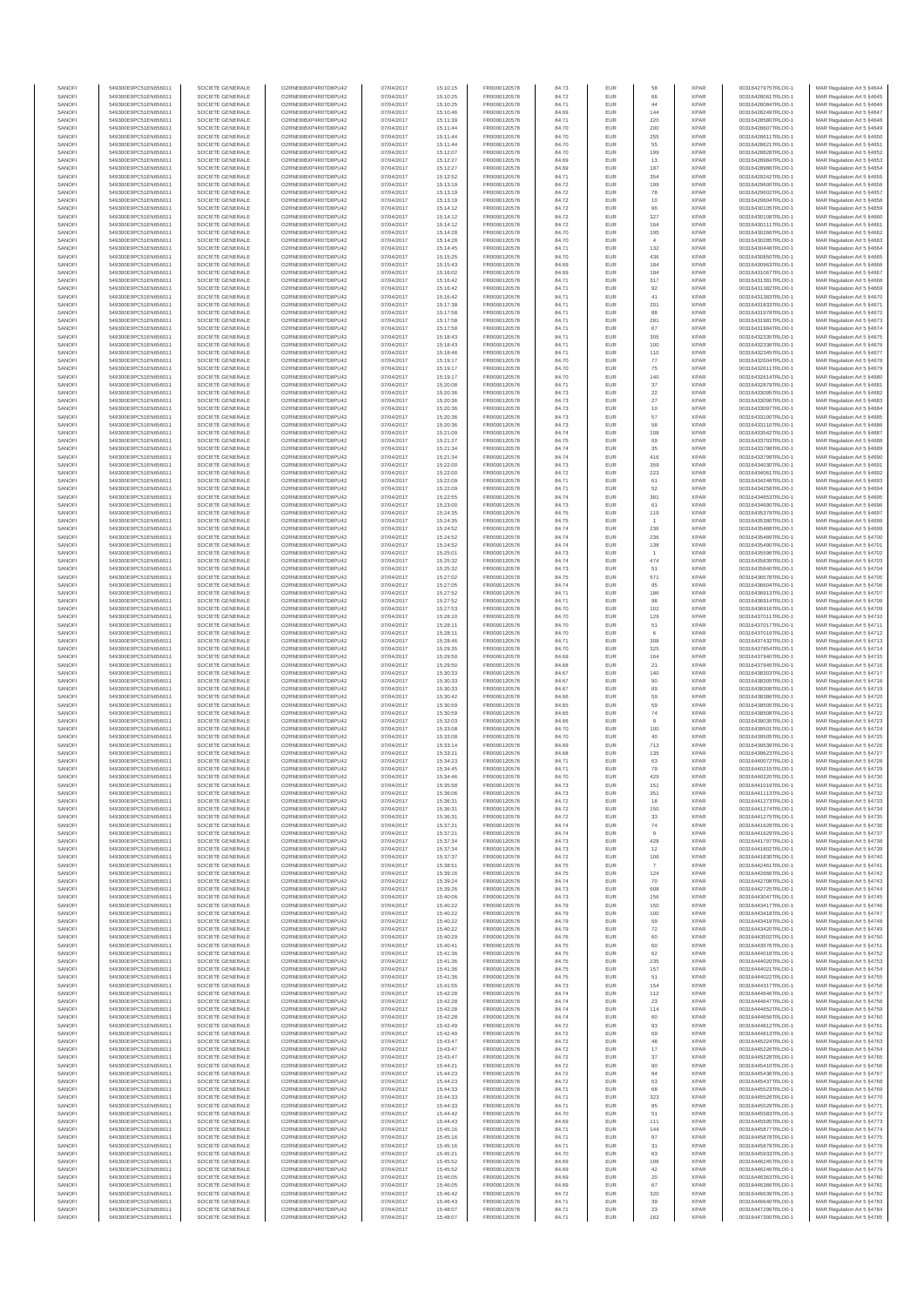| SANOFI<br>SANOFI       | 549300E9PC51EN656011<br>549300E9PC51EN656011 | SOCIETE GENERALE<br>SOCIETE GENERALE | O2RNE8IBXP4R0TD8PU42<br>O2RNE8IBXP4R0TD8PU42  | 07/04/2017<br>07/04/2017 | 15:10:15<br>15:10:25 | FR0000120578<br>FR0000120578 | 84.73<br>84.72 | EUR<br>EUR        | 58                    | <b>XPAR</b><br><b>XPAR</b> | 00316427975TRLO0-1<br>00316428061TRLO0-1 | MAR Regulation Art 5 §4644<br>MAR Regulation Art 5 §4645  |
|------------------------|----------------------------------------------|--------------------------------------|-----------------------------------------------|--------------------------|----------------------|------------------------------|----------------|-------------------|-----------------------|----------------------------|------------------------------------------|-----------------------------------------------------------|
| SANOFI                 | 549300E9PC51EN656011                         | SOCIETE GENERALE                     | O2RNE8IBXP4R0TD8PU42                          | 07/04/2017               | 15:10:25             | FR0000120578                 | 84.71          | EUR               | 44                    | <b>XPAR</b>                | 00316428084TRLO0-1                       | MAR Regulation Art 5 §4646                                |
| SANOFI                 | 549300E9PC51EN656011                         | SOCIETE GENERALE                     | O2RNE8IBXP4R0TD8PU42                          | 07/04/2017               | 15:10:46             | FR0000120578                 | 84.69          | EUR               | 144                   | <b>XPAR</b>                | 00316428249TRLO0-1                       | MAR Regulation Art 5 §4647                                |
| SANOFI<br>SANOFI       | 549300E9PC51EN656011<br>549300E9PC51EN656011 | SOCIETE GENERALE<br>SOCIETE GENERALE | O2RNE8IBXP4R0TD8PU42<br>O2RNE8IBXP4R0TD8PU42  | 07/04/2017<br>07/04/2017 | 15:11:39<br>15:11:44 | FR0000120578<br>FR0000120578 | 84.71<br>84.70 | EUR<br>EUR        | 220<br>200            | <b>XPAR</b><br><b>XPAR</b> | 00316428580TRLO0-1<br>00316428607TRLO0-1 | MAR Regulation Art 5 \$4648<br>MAR Regulation Art 5 §4649 |
| SANOFI                 | 549300E9PC51EN656011                         | SOCIETE GENERALE                     | O2RNE8IBXP4R0TD8PLI42                         | 07/04/2017               | 15:11:44             | FR0000120578                 | 84.70          | EUR               | 255                   | <b>XPAR</b>                | 00316428611TRLO0-1                       | MAR Regulation Art 5 §4650                                |
| SANOFI<br>SANOFI       | 549300E9PC51EN656011<br>549300E9PC51EN656011 | SOCIETE GENERALE<br>SOCIETE GENERALE | O2RNE8IBXP4R0TD8PU42<br>O2RNE8IBXP4R0TD8PU42  | 07/04/2017               | 15:11:44<br>15:12:07 | FR0000120578<br>FR0000120578 | 84.70          | EUR<br>EUR        | 55<br>199             | <b>XPAR</b><br><b>XPAR</b> | 00316428621TRLO0-1<br>00316428828TRLO0-1 | MAR Regulation Art 5 §4651<br>MAR Regulation Art 5 §4652  |
| SANOFI                 | 549300E9PC51EN656011                         | SOCIETE GENERALE                     | O2RNE8IBXP4R0TD8PU42                          | 07/04/2017<br>07/04/2017 | 15:12:27             | FR0000120578                 | 84.70<br>84.69 | EUR               | 13                    | <b>XPAR</b>                | 00316428984TRLO0-1                       | MAR Regulation Art 5 §4653                                |
| SANOFI                 | 549300E9PC51EN656011                         | SOCIETE GENERALE                     | O2RNE8IBXP4R0TD8PU42                          | 07/04/2017               | 15:12:27             | FR0000120578                 | 84.69          | EUR               | 187                   | <b>XPAR</b>                | 00316428986TRLO0-1                       | MAR Regulation Art 5 §4654                                |
| SANOFI<br>SANOFI       | 549300E9PC51EN656011<br>549300E9PC51EN656011 | SOCIETE GENERALE<br>SOCIETE GENERALE | O2RNE8IBXP4R0TD8PU42<br>O2RNE8IBXP4R0TD8PU42  | 07/04/2017<br>07/04/2017 | 15:12:52<br>15:13:19 | FR0000120578<br>FR0000120578 | 84.71<br>84.72 | EUR<br>EUR        | 354<br>199            | <b>XPAR</b><br><b>XPAR</b> | 00316429242TRLO0-1<br>00316429600TRLO0-1 | MAR Regulation Art 5 §4655<br>MAR Regulation Art 5 §4656  |
| SANOFI                 | 549300E9PC51EN656011                         | SOCIETE GENERALE                     | O2RNE8IBXP4R0TD8PU42                          | 07/04/2017               | 15:13:19             | FR0000120578                 | 84.72          | EUR               | 78                    | <b>XPAR</b>                | 00316429602TRLO0-1                       | MAR Regulation Art 5 §4657                                |
| SANOFI                 | 549300E9PC51EN656011                         | SOCIETE GENERALE                     | O2RNE8IBXP4R0TD8PU42                          | 07/04/2017               | 15:13:19             | FR0000120578                 | 84.72          | EUR               | $10$                  | <b>XPAR</b>                | 00316429604TRLO0-1                       | MAR Regulation Art 5 §4658                                |
| SANOFI<br>SANOFI       | 549300E9PC51EN656011<br>549300E9PC51EN656011 | SOCIETE GENERALE<br>SOCIETE GENERALE | O2RNE8IBXP4R0TD8PU42<br>O2RNE8IBXP4R0TD8PU42  | 07/04/2017<br>07/04/2017 | 15:14:12<br>15:14:12 | FR0000120578<br>FR0000120578 | 84.72<br>84.72 | EUR<br>EUR        | 96<br>327             | <b>XPAR</b><br><b>XPAR</b> | 00316430105TRLO0-1<br>00316430108TRLO0-1 | MAR Regulation Art 5 §4659<br>MAR Regulation Art 5 §4660  |
| SANOFI                 | 549300E9PC51EN656011                         | SOCIETE GENERALE                     | O2RNE8IBXP4R0TD8PU42                          | 07/04/2017               | 15:14:12             | FR0000120578                 | 84.72          | EUR               | 164                   | <b>XPAR</b>                | 00316430111TRLO0-1                       | MAR Regulation Art 5 §4661                                |
| SANOFI                 | 549300E9PC51EN656011                         | SOCIETE GENERALE                     | O2RNE8IBXP4R0TD8PU42                          | 07/04/2017               | 15:14:28             | FR0000120578                 | 84.70          | EUR               | 195                   | <b>XPAR</b>                | 00316430266TRLO0-1                       | MAR Regulation Art 5 §4662                                |
| SANOFI<br>SANOFI       | 549300E9PC51EN656011<br>549300E9PC51EN656011 | SOCIETE GENERALE<br>SOCIETE GENERALE | O2RNE8IBXP4R0TD8PU42<br>O2RNE8IBXP4R0TD8PU42  | 07/04/2017<br>07/04/2017 | 15:14:28<br>15:14:45 | FR0000120578<br>FR0000120578 | 84.70<br>84.71 | EUR<br>EUR        | 132                   | <b>XPAR</b><br><b>XPAR</b> | 00316430285TRLO0-1<br>00316430448TRLO0-1 | MAR Regulation Art 5 §4663<br>MAR Regulation Art 5 §4664  |
| SANOFI                 | 549300E9PC51EN656011                         | SOCIETE GENERALE                     | O2RNE8IBXP4R0TD8PU42                          | 07/04/2017               | 15:15:25             | FR0000120578                 | 84.70          | EUR               | 436                   | <b>XPAR</b>                | 00316430850TRLO0-1                       | MAR Regulation Art 5 §4665                                |
| SANOFI                 | 549300E9PC51EN656011                         | SOCIETE GENERALE                     | O2RNE8IBXP4R0TD8PU42                          | 07/04/2017               | 15:15:43             | FR0000120578                 | 84.69          | EUR               | 184                   | <b>XPAR</b>                | 00316430963TRLO0-1                       | MAR Regulation Art 5 §4666                                |
| SANOFI<br>SANOFI       | 549300E9PC51EN656011<br>549300E9PC51EN656011 | SOCIETE GENERALE<br>SOCIETE GENERALE | O2RNE8IBXP4R0TD8PU42<br>O2RNE8IBXP4R0TD8PU42  | 07/04/2017<br>07/04/2017 | 15:16:02<br>15:16:42 | FR0000120578<br>FR0000120578 | 84.69<br>84.71 | EUR<br>EUR        | 184<br>317            | <b>XPAR</b><br><b>XPAR</b> | 00316431067TRLO0-1<br>00316431381TRLO0-1 | MAR Regulation Art 5 §4667<br>MAR Regulation Art 5 §4668  |
| SANOFI                 | 549300E9PC51EN656011                         | SOCIETE GENERALE                     | O2RNE8IBXP4R0TD8PU42                          | 07/04/2017               | 15:16:42             | FR0000120578                 | 84.71          | EUR               | 92                    | <b>XPAR</b>                | 00316431382TRLO0-1                       | MAR Regulation Art 5 §4669                                |
| SANOFI<br>SANOFI       | 549300E9PC51EN656011<br>549300E9PC51EN656011 | SOCIETE GENERALE<br>SOCIETE GENERALE | O2RNE8IBXP4R0TD8PU42<br>O2RNE8IBXP4R0TD8PU42  | 07/04/2017<br>07/04/2017 | 15:16:42<br>15:17:38 | FR0000120578<br>FR0000120578 | 84.71<br>84.71 | EUR<br>EUR        | 41<br>201             | <b>XPAR</b><br><b>XPAR</b> | 00316431383TRLO0-1<br>00316431833TRLO0-1 | MAR Regulation Art 5 §4670<br>MAR Regulation Art 5 §4671  |
| SANOFI                 | 549300E9PC51EN656011                         | SOCIETE GENERALE                     | O2RNE8IBXP4R0TD8PU42                          | 07/04/2017               | 15:17:58             | FR0000120578                 | 84.71          | EUR               | 88                    | <b>XPAR</b>                | 00316431978TRLO0-1                       | MAR Regulation Art 5 §4672                                |
| SANOFI                 | 549300E9PC51EN656011                         | SOCIETE GENERALE                     | O2RNE8IBXP4R0TD8PU42                          | 07/04/2017               | 15:17:58             | FR0000120578                 | 84.71          | EUR               | 281                   | <b>XPAR</b>                | 00316431981TRLO0-1                       | MAR Regulation Art 5 §4673                                |
| SANOFI<br>SANOFI       | 549300E9PC51EN656011<br>549300E9PC51EN656011 | SOCIETE GENERALE<br>SOCIETE GENERALE | O2RNE8IBXP4R0TD8PU42<br>O2RNE8IBXP4R0TD8PU42  | 07/04/2017<br>07/04/2017 | 15:17:58<br>15:18:43 | FR0000120578<br>FR0000120578 | 84.71<br>84.71 | EUR<br>EUR        | 67<br>305             | <b>XPAR</b><br><b>XPAR</b> | 00316431984TRLO0-1<br>00316432335TRLO0-1 | MAR Regulation Art 5 §4674<br>MAR Regulation Art 5 §4675  |
| SANOFI                 | 549300E9PC51EN656011                         | SOCIETE GENERALE                     | O2RNE8IBXP4R0TD8PU42                          | 07/04/2017               | 15:18:43             | FR0000120578                 | 84.71          | EUR               | 100                   | <b>XPAR</b>                | 00316432336TRLO0-1                       | MAR Regulation Art 5 §4676                                |
| SANOFI                 | 549300E9PC51EN656011                         | SOCIETE GENERALE                     | O2RNE8IBXP4R0TD8PU42                          | 07/04/2017               | 15:18:46             | FR0000120578                 | 84.71          | EUR               | 110                   | <b>XPAR</b>                | 00316432345TRLO0-1                       | MAR Regulation Art 5 §4677                                |
| SANOFI<br>SANOFI       | 549300E9PC51EN656011<br>549300E9PC51EN656011 | SOCIETE GENERALE<br>SOCIETE GENERALE | O2RNE8IBXP4R0TD8PU42<br>O2RNE8IBXP4R0TD8PU42  | 07/04/2017<br>07/04/2017 | 15:19:17<br>15:19:17 | FR0000120578<br>FR0000120578 | 84.70<br>84.70 | EUR<br>EUR        | $77\,$<br>${\bf 75}$  | <b>XPAR</b><br><b>XPAR</b> | 00316432604TRLO0-1<br>00316432611TRLO0-1 | MAR Regulation Art 5 §4678<br>MAR Regulation Art 5 §4679  |
| SANOFI                 | 549300E9PC51EN656011                         | SOCIETE GENERALE                     | O2RNE8IBXP4R0TD8PU42                          | 07/04/2017               | 15:19:17             | FR0000120578                 | 84.70          | EUR               | 140                   | <b>XPAR</b>                | 00316432614TRLO0-1                       | MAR Regulation Art 5 §4680                                |
| SANOFI<br>SANOFI       | 549300E9PC51EN656011<br>549300E9PC51EN656011 | SOCIETE GENERALE<br>SOCIETE GENERALE | O2RNE8IBXP4R0TD8PU42<br>O2RNE8IBXP4R0TD8PU42  | 07/04/2017<br>07/04/2017 | 15:20:08<br>15:20:36 | FR0000120578<br>FR0000120578 | 84.71<br>84.73 | EUR<br>EUR        | 37<br>$22\,$          | <b>XPAR</b><br><b>XPAR</b> | 00316432879TRLO0-1<br>00316433095TRLO0-1 | MAR Regulation Art 5 §4681<br>MAR Regulation Art 5 §4682  |
| SANOFI                 | 549300E9PC51EN656011                         | SOCIETE GENERALE                     | O2RNE8IBXP4R0TD8PU42                          | 07/04/2017               | 15:20:36             | FR0000120578                 | 84.73          | EUR               | $27\,$                | <b>XPAR</b>                | 00316433096TRLO0-1                       | MAR Regulation Art 5 §4683                                |
| SANOFI                 | 549300E9PC51EN656011                         | SOCIETE GENERALE                     | O2RNE8IBXP4R0TD8PU42                          | 07/04/2017               | 15:20:36             | FR0000120578                 | 84.73          | EUR               | 10                    | <b>XPAR</b>                | 00316433097TRLO0-1                       | MAR Regulation Art 5 §4684                                |
| SANOFI<br>SANOFI       | 549300E9PC51EN656011<br>549300E9PC51EN656011 | SOCIETE GENERALE<br>SOCIETE GENERALE | O2RNE8IBXP4R0TD8PU42<br>O2RNE8IBXP4R0TD8PU42  | 07/04/2017<br>07/04/2017 | 15:20:36<br>15:20:36 | FR0000120578<br>FR0000120578 | 84.73<br>84.73 | EUR<br>EUR        | 57<br>58              | <b>XPAR</b><br><b>XPAR</b> | 00316433100TRLO0-1<br>00316433110TRLO0-1 | MAR Regulation Art 5 §4685<br>MAR Regulation Art 5 §4686  |
| SANOFI                 | 549300E9PC51EN656011                         | SOCIETE GENERALE                     | O2RNE8IBXP4R0TD8PU42                          | 07/04/2017               | 15:21:09             | FR0000120578                 | 84.74          | EUR               | 108                   | <b>XPAR</b>                | 00316433542TRLO0-1                       | MAR Regulation Art 5 §4687                                |
| SANOFI<br>SANOFI       | 549300E9PC51EN656011<br>549300E9PC51EN656011 | SOCIETE GENERALE<br>SOCIETE GENERALE | O2RNE8IBXP4R0TD8PU42<br>O2RNE8IBXP4R0TD8PU42  | 07/04/2017<br>07/04/2017 | 15:21:27<br>15:21:34 | FR0000120578<br>FR0000120578 | 84.75<br>84.74 | EUR<br>EUR        | 69<br>35              | <b>XPAR</b><br><b>XPAR</b> | 00316433703TRLO0-1<br>00316433798TRLO0-1 | MAR Regulation Art 5 §4688<br>MAR Regulation Art 5 §4689  |
| SANOFI                 | 549300E9PC51EN656011                         | SOCIETE GENERALE                     | O2RNE8IBXP4R0TD8PU42                          | 07/04/2017               | 15:21:34             | FR0000120578                 | 84.74          | EUR               | 416                   | <b>XPAR</b>                | 00316433799TRLO0-1                       | MAR Regulation Art 5 §4690                                |
| SANOFI                 | 549300E9PC51EN656011                         | SOCIETE GENERALE                     | O2RNE8IBXP4R0TD8PU42                          | 07/04/2017               | 15:22:00             | FR0000120578                 | 84.73          | EUR               | 359                   | <b>XPAR</b>                | 00316434030TRLO0-1                       | MAR Regulation Art 5 §4691                                |
| SANOFI<br>SANOFI       | 549300E9PC51EN656011<br>549300E9PC51EN656011 | SOCIETE GENERALE<br>SOCIETE GENERALE | O2RNE8IBXP4R0TD8PU42<br>O2RNE8IBXP4R0TD8PLI42 | 07/04/2017<br>07/04/2017 | 15:22:00<br>15:22:09 | FR0000120578<br>FR0000120578 | 84.72<br>84.71 | EUR<br>EUR        | 223<br>61             | <b>XPAR</b><br><b>XPAR</b> | 00316434061TRLO0-1<br>00316434248TRLO0-1 | MAR Regulation Art 5 §4692<br>MAR Regulation Art 5 §4693  |
| SANOFI                 | 549300E9PC51EN656011                         | SOCIETE GENERALE                     | O2RNE8IBXP4R0TD8PU42                          | 07/04/2017               | 15:22:09             | FR0000120578                 | 84.71          | EUR               | 52                    | <b>XPAR</b>                | 00316434258TRLO0-1                       | MAR Regulation Art 5 §4694                                |
| SANOFI<br>SANOFI       | 549300E9PC51EN656011<br>549300E9PC51EN656011 | SOCIETE GENERALE<br>SOCIETE GENERALE | O2RNE8IBXP4R0TD8PU42<br>O2RNE8IBXP4R0TD8PU42  | 07/04/2017<br>07/04/2017 | 15:22:55<br>15:23:00 | FR0000120578<br>FR0000120578 | 84.74<br>84.73 | EUR<br>EUR        | 381<br>61             | <b>XPAR</b><br><b>XPAR</b> | 00316434653TRLO0-1<br>00316434690TRLO0-1 | MAR Regulation Art 5 §4695<br>MAR Regulation Art 5 §4696  |
| SANOFI                 | 549300E9PC51EN656011                         | SOCIETE GENERALE                     | O2RNE8IBXP4R0TD8PU42                          | 07/04/2017               | 15:24:35             | FR0000120578                 | 84.75          | EUR               | 119                   | <b>XPAR</b>                | 00316435379TRLO0-1                       | MAR Regulation Art 5 §4697                                |
| SANOFI                 | 549300E9PC51EN656011                         | SOCIETE GENERALE                     | O2RNE8IBXP4R0TD8PU42                          | 07/04/2017               | 15:24:35             | FR0000120578                 | 84.75          | EUR               |                       | <b>XPAR</b>                | 00316435380TRLO0-1                       | MAR Regulation Art 5 §4698                                |
| SANOFI<br>SANOFI       | 549300E9PC51EN656011<br>549300E9PC51EN656011 | SOCIETE GENERALE<br>SOCIETE GENERALE | O2RNE8IBXP4R0TD8PU42<br>O2RNE8IBXP4R0TD8PU42  | 07/04/2017<br>07/04/2017 | 15:24:52<br>15:24:52 | FR0000120578<br>FR0000120578 | 84.74<br>84.74 | EUR<br>EUR        | 236<br>236            | <b>XPAR</b><br><b>XPAR</b> | 00316435488TRLO0-1<br>00316435489TRLO0-1 | MAR Regulation Art 5 §4699<br>MAR Regulation Art 5 §4700  |
| SANOFI                 | 549300E9PC51EN656011                         | SOCIETE GENERALE                     | O2RNE8IBXP4R0TD8PU42                          | 07/04/2017               | 15:24:52             | FR0000120578                 | 84.74          | EUR               | 138                   | <b>XPAR</b>                | 00316435490TRLO0-1                       | MAR Regulation Art 5 §4701                                |
| SANOFI<br>SANOFI       | 549300E9PC51EN656011                         | SOCIETE GENERALE<br>SOCIETE GENERALE | O2RNE8IBXP4R0TD8PU42<br>O2RNE8IBXP4R0TD8PU42  | 07/04/2017               | 15:25:01             | FR0000120578                 | 84.73          | EUR<br>EUR        |                       | <b>XPAR</b><br><b>XPAR</b> | 00316435596TRLO0-1                       | MAR Regulation Art 5 §4702                                |
| SANOFI                 | 549300E9PC51EN656011<br>549300E9PC51EN656011 | SOCIETE GENERALE                     | O2RNE8IBXP4R0TD8PU42                          | 07/04/2017<br>07/04/2017 | 15:25:32<br>15:25:32 | FR0000120578<br>FR0000120578 | 84.74<br>84.73 | EUR               | 474<br>51             | <b>XPAR</b>                | 00316435839TRLO0-1<br>00316435840TRLO0-1 | MAR Regulation Art 5 §4703<br>MAR Regulation Art 5 §4704  |
| SANOFI                 | 549300E9PC51EN656011                         | SOCIETE GENERALE                     | O2RNE8IBXP4R0TD8PU42                          | 07/04/2017               | 15:27:02             | FR0000120578                 | 84.75          | EUR               | 571                   | <b>XPAR</b>                | 00316436578TRLO0-1                       | MAR Regulation Art 5 §4705                                |
| SANOFI<br>SANOFI       | 549300E9PC51EN656011<br>549300E9PC51EN656011 | SOCIETE GENERALE<br>SOCIETE GENERALE | O2RNE8IBXP4R0TD8PU42<br>O2RNE8IBXP4R0TD8PU42  | 07/04/2017<br>07/04/2017 | 15:27:05<br>15:27:52 | FR0000120578<br>FR0000120578 | 84.74<br>84.71 | EUR<br>EUR        | 95<br>186             | <b>XPAR</b><br><b>XPAR</b> | 00316436604TRLO0-1<br>00316436913TRLO0-1 | MAR Regulation Art 5 §4706<br>MAR Regulation Art 5 §4707  |
| SANOFI                 | 549300E9PC51EN656011                         | SOCIETE GENERALE                     | O2RNE8IBXP4R0TD8PU42                          | 07/04/2017               | 15:27:52             | FR0000120578                 | 84.71          | EUR               | 98                    | <b>XPAR</b>                | 00316436914TRLO0-1                       | MAR Regulation Art 5 §4708                                |
| SANOFI<br>SANOFI       | 549300E9PC51EN656011                         | SOCIETE GENERALE                     | O2RNE8IBXP4R0TD8PU42                          | 07/04/2017               | 15:27:53             | FR0000120578                 | 84.70          | EUR               | 102                   | <b>XPAR</b><br><b>XPAR</b> | 00316436916TRLO0-1                       | MAR Regulation Art 5 §4709                                |
| SANOFI                 | 549300E9PC51EN656011<br>549300E9PC51EN656011 | SOCIETE GENERALE<br>SOCIETE GENERALE | O2RNE8IBXP4R0TD8PU42<br>O2RNE8IBXP4R0TD8PU42  | 07/04/2017<br>07/04/2017 | 15:28:10<br>15:28:11 | FR0000120578<br>FR0000120578 | 84.70<br>84.70 | EUR<br>EUR        | 129<br>51             | <b>XPAR</b>                | 00316437011TRLO0-1<br>00316437017TRLO0-1 | MAR Regulation Art 5 §4710<br>MAR Regulation Art 5 §4711  |
| SANOFI                 | 549300E9PC51EN656011                         | SOCIETE GENERALE                     | O2RNE8IBXP4R0TD8PU42                          | 07/04/2017               | 15:28:11             | FR0000120578                 | 84.70          | EUR               | 6                     | <b>XPAR</b>                | 00316437019TRLO0-1                       | MAR Regulation Art 5 §4712                                |
| SANOFI<br>SANOFI       | 549300E9PC51EN656011<br>549300E9PC51EN656011 | SOCIETE GENERALE<br>SOCIETE GENERALE | O2RNE8IBXP4R0TD8PU42<br>O2RNE8IBXP4R0TD8PU42  | 07/04/2017<br>07/04/2017 | 15:28:46<br>15:29:35 | FR0000120578<br>FR0000120578 | 84.71<br>84.70 | EUR<br>EUR        | 308<br>325            | <b>XPAR</b><br><b>XPAR</b> | 00316437432TRLO0-1<br>00316437854TRLO0-1 | MAR Regulation Art 5 §4713<br>MAR Regulation Art 5 §4714  |
| SANOFI                 | 549300E9PC51EN656011                         | SOCIETE GENERALE                     | O2RNE8IBXP4R0TD8PU42                          | 07/04/2017               | 15:29:50             | FR0000120578                 | 84.69          | EUR               | 164                   | <b>XPAR</b>                | 00316437940TRLO0-1                       | MAR Regulation Art 5 §4715                                |
| SANOFI                 | 549300E9PC51EN656011                         | SOCIETE GENERALE                     | O2RNE8IBXP4R0TD8PU42                          | 07/04/2017               | 15:29:50             | FR0000120578                 | 84.68          | EUR               | 21                    | <b>XPAR</b>                | 00316437945TRLO0-1                       | MAR Regulation Art 5 §4716                                |
| SANOFI<br>SANOFI       | 549300E9PC51EN656011<br>549300E9PC51EN656011 | SOCIETE GENERALE<br>SOCIETE GENERALE | O2RNE8IBXP4R0TD8PU42<br>O2RNE8IBXP4R0TD8PU42  | 07/04/2017<br>07/04/2017 | 15:30:33<br>15:30:33 | FR0000120578<br>FR0000120578 | 84.67<br>84.67 | EUR<br>EUR        | 140<br>90             | <b>XPAR</b><br><b>XPAR</b> | 00316438303TRLO0-1<br>00316438305TRLO0-1 | MAR Regulation Art 5 §4717<br>MAR Regulation Art 5 §4718  |
| SANOFI                 | 549300E9PC51EN656011                         | SOCIETE GENERALE                     | O2RNE8IBXP4R0TD8PU42                          | 07/04/2017               | 15:30:33             | FR0000120578                 | 84.67          | EUR               | 89                    | <b>XPAR</b>                | 00316438308TRLO0-1                       | MAR Regulation Art 5 §4719                                |
| SANOFI<br>SANOFI       | 549300E9PC51EN656011<br>549300E9PC51EN656011 | SOCIETE GENERALE<br>SOCIETE GENERALE | O2RNE8IBXP4R0TD8PU42<br>O2RNE8IBXP4R0TD8PU42  | 07/04/2017<br>07/04/2017 | 15:30:42<br>15:30:59 | FR0000120578<br>FR0000120578 | 84.66<br>84.65 | EUR<br>EUR        | 59<br>59              | <b>XPAR</b><br><b>XPAR</b> | 00316438386TRLO0-1<br>00316438505TRLO0-1 | MAR Regulation Art 5 §4720<br>MAR Regulation Art 5 §4721  |
| SANOFI                 | 549300E9PC51EN656011                         | SOCIETE GENERALE                     | O2RNE8IBXP4R0TD8PU42                          | 07/04/2017               | 15:30:59             | FR0000120578                 | 84.65          | EUR               | $74\,$                | <b>XPAR</b>                | 00316438508TRLO0-1                       | MAR Regulation Art 5 §4722                                |
| SANOFI                 | 549300E9PC51EN656011                         | SOCIETE GENERALE                     | O2RNE8IBXP4R0TD8PLI42                         | 07/04/2017               | 15:32:03             | FR0000120578                 | 84.66          | EUR               | $\overline{9}$        | <b>XPAR</b>                | 00316439035TRLO0-1                       | MAR Regulation Art 5 §4723                                |
| SANOFI<br>SANOFI       | 549300E9PC51EN656011<br>549300E9PC51EN656011 | SOCIETE GENERALE<br>SOCIETE GENERALE | O2RNE8IBXP4R0TD8PU42<br>O2RNE8IBXP4R0TD8PU42  | 07/04/2017<br>07/04/2017 | 15:33:08<br>15:33:08 | FR0000120578<br>FR0000120578 | 84.70<br>84.70 | EUR<br>EUR        | 100<br>40             | <b>XPAR</b><br><b>XPAR</b> | 00316439501TRLO0-1<br>00316439505TRLO0-1 | MAR Regulation Art 5 §4724<br>MAR Regulation Art 5 §4725  |
| SANOFI                 | 549300E9PC51EN656011                         | SOCIETE GENERALE                     | O2RNE8IBXP4R0TD8PU42                          | 07/04/2017               | 15:33:14             | FR0000120578                 | 84.69          | EUR               | 713                   | <b>XPAR</b>                | 00316439539TRLO0-1                       | MAR Regulation Art 5 §4726                                |
| SANOFI<br>SANOFI       | 549300E9PC51EN656011<br>549300E9PC51EN656011 | SOCIETE GENERALE<br>SOCIETE GENERALE | O2RNE8IBXP4R0TD8PU42<br>O2RNE8IBXP4R0TD8PU42  | 07/04/2017<br>07/04/2017 | 15:33:21<br>15:34:23 | FR0000120578<br>FR0000120578 | 84.68<br>84.71 | EUR<br>EUR        | 135<br>63             | <b>XPAR</b><br><b>XPAR</b> | 00316439623TRLO0-1<br>00316440072TRLO0-1 | MAR Regulation Art 5 §4727<br>MAR Regulation Art 5 §4728  |
| SANOFI                 | 549300E9PC51EN656011                         | SOCIETE GENERALE                     | O2RNE8IBXP4R0TD8PU42                          | 07/04/2017               | 15:34:45             | FR0000120578                 | 84.71          | EUR               | 79                    | <b>XPAR</b>                | 00316440215TRLO0-1                       | MAR Regulation Art 5 §4729                                |
| SANOFI<br><b>SANOF</b> | 549300E9PC51EN656011<br>549300E9PC51EN656011 | SOCIETE GENERALE<br>SOCIETE GENERALE | O2RNE8IBXP4R0TD8PU42<br>O2RNE8IBXP4R0TD8PU42  | 07/04/2017<br>07/04/2017 | 15:34:46<br>15:35:58 | FR0000120578<br>FR0000120578 | 84.70<br>84.73 | <b>EUR</b><br>EUR | 429<br>15'            | <b>XPAR</b><br><b>XPAR</b> | 00316440220TRLO0-1<br>00316441019TRLO0-1 | MAR Regulation Art 5 §4730<br>MAR Regulation Art 5 §4731  |
| SANOFI                 | 549300E9PC51EN656011                         | SOCIETE GENERALE                     | O2RNE8IBXP4R0TD8PU42                          | 07/04/2017               | 15:36:06             | FR0000120578                 | 84.73          | EUR               | 351                   | <b>XPAR</b>                | 00316441113TRLO0-1                       | MAR Regulation Art 5 §4732                                |
| SANOFI                 | 549300E9PC51EN656011                         | SOCIETE GENERALE                     | O2RNE8IBXP4R0TD8PU42                          | 07/04/2017               | 15:36:31             | FR0000120578                 | 84.72          | EUR               | 18                    | <b>XPAR</b>                | 00316441273TRLO0-1                       | MAR Regulation Art 5 §4733                                |
| SANOFI<br>SANOFI       | 549300E9PC51EN656011<br>549300E9PC51EN656011 | SOCIETE GENERALE<br>SOCIETE GENERALE | O2RNE8IBXP4R0TD8PU42<br>O2RNE8IBXP4R0TD8PU42  | 07/04/2017<br>07/04/2017 | 15:36:31<br>15:36:31 | FR0000120578<br>FR0000120578 | 84.72<br>84.72 | EUR<br>EUR        | 150<br>33             | <b>XPAR</b><br><b>XPAR</b> | 00316441274TRLO0-1<br>00316441275TRLO0-1 | MAR Regulation Art 5 §4734<br>MAR Regulation Art 5 §4735  |
| SANOFI                 | 549300E9PC51EN656011                         | SOCIETE GENERALE                     | O2RNE8IBXP4R0TD8PU42                          | 07/04/2017               | 15:37:21             | FR0000120578                 | 84.74          | EUR               | $74\,$                | <b>XPAR</b>                | 00316441628TRLO0-1                       | MAR Regulation Art 5 §4736                                |
| SANOFI<br>SANOFI       | 549300E9PC51EN656011<br>549300E9PC51EN656011 | SOCIETE GENERALE<br>SOCIETE GENERALE | O2RNE8IBXP4R0TD8PU42<br>O2RNE8IBXP4R0TD8PU42  | 07/04/2017<br>07/04/2017 | 15:37:21<br>15:37:34 | FR0000120578<br>FR0000120578 | 84.74          | EUR<br>EUR        | $\overline{9}$<br>428 | <b>XPAR</b><br><b>XPAR</b> | 00316441629TRLO0-1<br>00316441797TRLO0-1 | MAR Regulation Art 5 §4737<br>MAR Regulation Art 5 §4738  |
| SANOFI                 | 549300E9PC51EN656011                         | SOCIETE GENERALE                     | O2RNE8IBXP4R0TD8PU42                          | 07/04/2017               | 15:37:34             | FR0000120578                 | 84.73<br>84.73 | EUR               | $12$                  | <b>XPAR</b>                | 00316441802TRLO0-1                       | MAR Regulation Art 5 §4739                                |
| SANOFI                 | 549300E9PC51EN656011                         | SOCIETE GENERALE                     | O2RNE8IBXP4R0TD8PU42                          | 07/04/2017               | 15:37:37             | FR0000120578                 | 84.72          | EUR               | 106                   | <b>XPAR</b>                | 00316441830TRLO0-1                       | MAR Regulation Art 5 §4740                                |
| SANOFI<br>SANOFI       | 549300E9PC51EN656011<br>549300E9PC51EN656011 | SOCIETE GENERALE<br>SOCIETE GENERALE | O2RNE8IBXP4R0TD8PU42<br>O2RNE8IBXP4R0TD8PU42  | 07/04/2017<br>07/04/2017 | 15:38:51<br>15:39:16 | FR0000120578<br>FR0000120578 | 84.75<br>84.75 | EUR<br>EUR        | $\overline{7}$<br>124 | <b>XPAR</b><br><b>XPAR</b> | 00316442461TRLO0-1<br>00316442666TRLO0-1 | MAR Regulation Art 5 §4741<br>MAR Regulation Art 5 §4742  |
| SANOFI                 | 549300E9PC51EN656011                         | SOCIETE GENERALE                     | O2RNE8IBXP4R0TD8PU42                          | 07/04/2017               | 15:39:24             | FR0000120578                 | 84.74          | EUR               | 70                    | <b>XPAR</b>                | 00316442708TRLO0-1                       | MAR Regulation Art 5 §4743                                |
| SANOFI<br>SANOFI       | 549300E9PC51EN656011<br>549300E9PC51EN656011 | SOCIETE GENERALE<br>SOCIETE GENERALE | O2RNE8IBXP4R0TD8PU42<br>O2RNE8IBXP4R0TD8PU42  | 07/04/2017<br>07/04/2017 | 15:39:26<br>15:40:06 | FR0000120578<br>FR0000120578 | 84.73<br>84.73 | EUR<br>EUR        | 608<br>156            | <b>XPAR</b><br><b>XPAR</b> | 00316442725TRLO0-1<br>00316443047TRLO0-1 | MAR Regulation Art 5 §4744<br>MAR Regulation Art 5 \$4745 |
| SANOFI                 | 549300E9PC51EN656011                         | SOCIETE GENERALE                     | O2RNE8IBXP4R0TD8PU42                          | 07/04/2017               | 15:40:22             | FR0000120578                 | 84.79          | EUR               | 150                   | <b>XPAR</b>                | 00316443417TRLO0-1                       | MAR Regulation Art 5 §4746                                |
| SANOFI                 | 549300E9PC51EN656011                         | SOCIETE GENERALE                     | O2RNE8IBXP4R0TD8PU42                          | 07/04/2017               | 15:40:22             | FR0000120578                 | 84.79          | EUR               | 100                   | <b>XPAR</b>                | 00316443418TRLO0-1                       | MAR Regulation Art 5 §4747                                |
| SANOFI<br>SANOFI       | 549300E9PC51EN656011<br>549300E9PC51EN656011 | SOCIETE GENERALE<br>SOCIETE GENERALE | O2RNE8IBXP4R0TD8PU42<br>O2RNE8IBXP4R0TD8PU42  | 07/04/2017<br>07/04/2017 | 15:40:22<br>15:40:22 | FR0000120578<br>FR0000120578 | 84.79<br>84.79 | EUR<br>EUR        | 59<br>72              | <b>XPAR</b><br><b>XPAR</b> | 00316443419TRLO0-1<br>00316443420TRLO0-1 | MAR Regulation Art 5 §4748<br>MAR Regulation Art 5 §4749  |
| SANOFI                 | 549300E9PC51EN656011                         | SOCIETE GENERALE                     | O2RNE8IBXP4R0TD8PU42                          | 07/04/2017               | 15:40:29             | FR0000120578                 | 84.76          | EUR               | 60                    | <b>XPAR</b>                | 00316443502TRLO0-1                       | MAR Regulation Art 5 §4750                                |
| SANOFI<br>SANOFI       | 549300E9PC51EN656011<br>549300E9PC51EN656011 | SOCIETE GENERALE<br>SOCIETE GENERALE | O2RNE8IBXP4R0TD8PU42<br>O2RNE8IBXP4R0TD8PU42  | 07/04/2017               | 15:40:41             | FR0000120578<br>FR0000120578 | 84.75<br>84.75 | EUR<br>EUR        | 60<br>62              | <b>XPAR</b><br><b>XPAR</b> | 00316443576TRLO0-1<br>00316444018TRLO0-1 | MAR Regulation Art 5 §4751<br>MAR Regulation Art 5 §4752  |
| SANOFI                 | 549300E9PC51EN656011                         | SOCIETE GENERALE                     | O2RNE8IBXP4R0TD8PU42                          | 07/04/2017<br>07/04/2017 | 15:41:36<br>15:41:36 | FR0000120578                 | 84.75          | EUR               | 235                   | <b>XPAR</b>                | 00316444020TRLO0-1                       | MAR Regulation Art 5 §4753                                |
| SANOFI                 | 549300E9PC51EN656011                         | SOCIETE GENERALE                     | O2RNE8IBXP4R0TD8PU42                          | 07/04/2017               | 15:41:36             | FR0000120578                 | 84.75          | EUR               | 157                   | <b>XPAR</b>                | 00316444021TRLO0-1                       | MAR Regulation Art 5 §4754                                |
| SANOFI<br>SANOFI       | 549300E9PC51EN656011<br>549300E9PC51EN656011 | SOCIETE GENERALE<br>SOCIETE GENERALE | O2RNE8IBXP4R0TD8PU42<br>O2RNE8IBXP4R0TD8PU42  | 07/04/2017<br>07/04/2017 | 15:41:36<br>15:41:55 | FR0000120578<br>FR0000120578 | 84.75<br>84.73 | EUR<br>EUR        | 51<br>154             | <b>XPAR</b><br><b>XPAR</b> | 00316444022TRLO0-1<br>00316444317TRLO0-1 | MAR Regulation Art 5 §4755<br>MAR Regulation Art 5 §4756  |
| SANOFI                 | 549300E9PC51EN656011                         | SOCIETE GENERALE                     | O2RNE8IBXP4R0TD8PU42                          | 07/04/2017               | 15:42:28             | FR0000120578                 | 84.74          | EUR               | 112                   | <b>XPAR</b>                | 00316444646TRLO0-1                       | MAR Regulation Art 5 §4757                                |
| SANOFI<br>SANOFI       | 549300E9PC51EN656011<br>549300E9PC51EN656011 | SOCIETE GENERALE<br>SOCIETE GENERALE | O2RNE8IBXP4R0TD8PU42<br>O2RNE8IBXP4R0TD8PU42  | 07/04/2017<br>07/04/2017 | 15:42:28<br>15:42:28 | FR0000120578<br>FR0000120578 | 84.74<br>84.74 | EUR<br>EUR        | 23<br>114             | <b>XPAR</b><br><b>XPAR</b> | 00316444647TRLO0-1<br>00316444652TRLO0-1 | MAR Regulation Art 5 §4758<br>MAR Regulation Art 5 §4759  |
| SANOFI                 | 549300E9PC51EN656011                         | SOCIETE GENERALE                     | O2RNE8IBXP4R0TD8PU42                          | 07/04/2017               | 15:42:28             | FR0000120578                 | 84.74          | EUR               | 60                    | <b>XPAR</b>                | 00316444656TRLO0-1                       | MAR Regulation Art 5 §4760                                |
| SANOFI<br>SANOFI       | 549300E9PC51EN656011<br>549300E9PC51EN656011 | SOCIETE GENERALE<br>SOCIETE GENERALE | O2RNE8IBXP4R0TD8PU42<br>O2RNE8IBXP4R0TD8PU42  | 07/04/2017<br>07/04/2017 | 15:42:49<br>15:42:49 | FR0000120578                 | 84.72<br>84.72 | EUR               | 93                    | <b>XPAR</b><br><b>XPAR</b> | 00316444812TRLO0-1<br>00316444813TRLO0-1 | MAR Regulation Art 5 §4761                                |
| SANOFI                 | 549300E9PC51EN656011                         | SOCIETE GENERALE                     | O2RNE8IBXP4R0TD8PU42                          | 07/04/2017               | 15:43:47             | FR0000120578<br>FR0000120578 | 84.72          | EUR<br>EUR        | 69<br>48              | <b>XPAR</b>                | 00316445224TRLO0-1                       | MAR Regulation Art 5 §4762<br>MAR Regulation Art 5 §4763  |
| SANOFI                 | 549300E9PC51EN656011                         | SOCIETE GENERALE                     | O2RNE8IBXP4R0TD8PU42                          | 07/04/2017               | 15:43:47             | FR0000120578                 | 84.72          | <b>EUR</b>        | $17\,$                | <b>XPAR</b>                | 00316445226TRLO0-1                       | MAR Regulation Art 5 §4764                                |
| SANOFI<br>SANOFI       | 549300E9PC51EN656011<br>549300E9PC51EN656011 | SOCIETE GENERALE<br>SOCIETE GENERALE | O2RNE8IBXP4R0TD8PU42<br>O2RNE8IBXP4R0TD8PU42  | 07/04/2017<br>07/04/2017 | 15:43:47<br>15:44:21 | FR0000120578<br>FR0000120578 | 84.72<br>84.72 | EUR<br>EUR        | 37<br>90              | <b>XPAR</b><br><b>XPAR</b> | 00316445228TRLO0-1<br>00316445410TRLO0-1 | MAR Regulation Art 5 §4765<br>MAR Regulation Art 5 §4766  |
| SANOFI                 | 549300E9PC51EN656011                         | SOCIETE GENERALE                     | O2RNE8IBXP4R0TD8PU42                          | 07/04/2017               | 15:44:23             | FR0000120578                 | 84.72          | EUR               | 84                    | <b>XPAR</b>                | 00316445436TRLO0-1                       | MAR Regulation Art 5 §4767                                |
| SANOFI<br>SANOFI       | 549300E9PC51EN656011<br>549300E9PC51EN656011 | SOCIETE GENERALE<br>SOCIETE GENERALE | O2RNE8IBXP4R0TD8PU42<br>O2RNE8IBXP4R0TD8PU42  | 07/04/2017<br>07/04/2017 | 15:44:23<br>15:44:33 | FR0000120578<br>FR0000120578 | 84.72<br>84.71 | EUR<br>EUR        | 63<br>68              | <b>XPAR</b><br><b>XPAR</b> | 00316445437TRLO0-1<br>00316445523TRLO0-1 | MAR Regulation Art 5 §4768<br>MAR Regulation Art 5 §4769  |
| SANOFI                 | 549300E9PC51EN656011                         | SOCIETE GENERALE                     | O2RNE8IBXP4R0TD8PU42                          | 07/04/2017               | 15:44:33             | FR0000120578                 | 84.71          | EUR               | 323                   | <b>XPAR</b>                | 00316445526TRLO0-1                       | MAR Regulation Art 5 §4770                                |
| SANOFI                 | 549300E9PC51EN656011                         | SOCIETE GENERALE                     | O2RNE8IBXP4R0TD8PU42                          | 07/04/2017               | 15:44:33             | FR0000120578                 | 84.71          | EUR               | 85                    | <b>XPAR</b>                | 00316445529TRLO0-1                       | MAR Regulation Art 5 §4771                                |
| SANOFI<br>SANOFI       | 549300E9PC51EN656011<br>549300E9PC51EN656011 | SOCIETE GENERALE<br>SOCIETE GENERALE | O2RNE8IBXP4R0TD8PU42<br>O2RNE8IBXP4R0TD8PU42  | 07/04/2017<br>07/04/2017 | 15:44:42<br>15:44:43 | FR0000120578<br>FR0000120578 | 84.70<br>84.69 | EUR<br>EUR        | 51<br>111             | XPAR<br><b>XPAR</b>        | 00316445583TRLO0-1<br>00316445595TRLO0-1 | MAR Regulation Art 5 §4772<br>MAR Regulation Art 5 §4773  |
| SANOFI                 | 549300E9PC51EN656011                         | SOCIETE GENERALE                     | O2RNE8IBXP4R0TD8PU42                          | 07/04/2017               | 15:45:16             | FR0000120578                 | 84.71          | EUR               | 144                   | <b>XPAR</b>                | 00316445877TRLO0-1                       | MAR Regulation Art 5 §4774                                |
| SANOFI<br>SANOFI       | 549300E9PC51EN656011<br>549300E9PC51EN656011 | SOCIETE GENERALE<br>SOCIETE GENERALE | O2RNE8IBXP4R0TD8PU42<br>O2RNE8IBXP4R0TD8PU42  | 07/04/2017<br>07/04/2017 | 15:45:16<br>15:45:16 | FR0000120578<br>FR0000120578 | 84.71<br>84.71 | EUR<br>EUR        | 97<br>31              | <b>XPAR</b><br><b>XPAR</b> | 00316445878TRLO0-1<br>00316445879TRLO0-1 | MAR Regulation Art 5 §4775<br>MAR Regulation Art 5 §4776  |
| SANOFI                 | 549300E9PC51EN656011                         | SOCIETE GENERALE                     | O2RNE8IBXP4R0TD8PU42                          | 07/04/2017               | 15:45:21             | FR0000120578                 | 84.70          | EUR               | 63                    | <b>XPAR</b>                | 00316445933TRLO0-1                       | MAR Regulation Art 5 §4777                                |
| SANOFI                 | 549300E9PC51EN656011                         | SOCIETE GENERALE                     | O2RNE8IBXP4R0TD8PU42                          | 07/04/2017               | 15:45:52             | FR0000120578                 | 84.69          | EUR               | 106                   | <b>XPAR</b>                | 00316446245TRLO0-1                       | MAR Regulation Art 5 §4778                                |
| SANOFI<br>SANOFI       | 549300E9PC51EN656011<br>549300E9PC51EN656011 | SOCIETE GENERALE<br>SOCIETE GENERALE | O2RNE8IBXP4R0TD8PU42<br>O2RNE8IBXP4R0TD8PU42  | 07/04/2017<br>07/04/2017 | 15:45:52<br>15:46:05 | FR0000120578<br>FR0000120578 | 84.69<br>84.69 | EUR<br>EUR        | 42<br>20              | <b>XPAR</b><br><b>XPAR</b> | 00316446246TRLO0-1<br>00316446363TRLO0-1 | MAR Regulation Art 5 §4779<br>MAR Regulation Art 5 §4780  |
| SANOFI                 | 549300E9PC51EN656011                         | SOCIETE GENERALE                     | O2RNE8IBXP4R0TD8PU42                          | 07/04/2017               | 15:46:05             | FR0000120578                 | 84.69          | EUR               | 67                    | <b>XPAR</b>                | 00316446366TRLO0-1                       | MAR Regulation Art 5 §4781                                |
| SANOFI<br>SANOFI       | 549300E9PC51EN656011<br>549300E9PC51EN656011 | SOCIETE GENERALE<br>SOCIETE GENERALE | O2RNE8IBXP4R0TD8PU42<br>O2RNE8IBXP4R0TD8PU42  | 07/04/2017<br>07/04/2017 | 15:46:42<br>15:46:43 | FR0000120578<br>FR0000120578 | 84.72<br>84.71 | EUR<br>EUR        | 320<br>39             | <b>XPAR</b><br><b>XPAR</b> | 00316446639TRLO0-1<br>00316446640TRLO0-1 | MAR Regulation Art 5 §4782<br>MAR Regulation Art 5 §4783  |
| SANOFI                 | 549300E9PC51EN656011                         | SOCIETE GENERALE                     | O2RNE8IBXP4R0TD8PU42                          | 07/04/2017               | 15:48:07             | FR0000120578                 | 84.71          | EUR               | $23\,$                | <b>XPAR</b>                | 00316447296TRLO0-1                       | MAR Regulation Art 5 §4784                                |
| SANOFI                 | 549300E9PC51EN656011                         | SOCIETE GENERALE                     | O2RNE8IBXP4R0TD8PU42                          | 07/04/2017               | 15:48:07             | FR0000120578                 | 84.71          | EUR               | 162                   | XPAR                       | 00316447300TRLO0-1                       | MAR Regulation Art 5 §4785                                |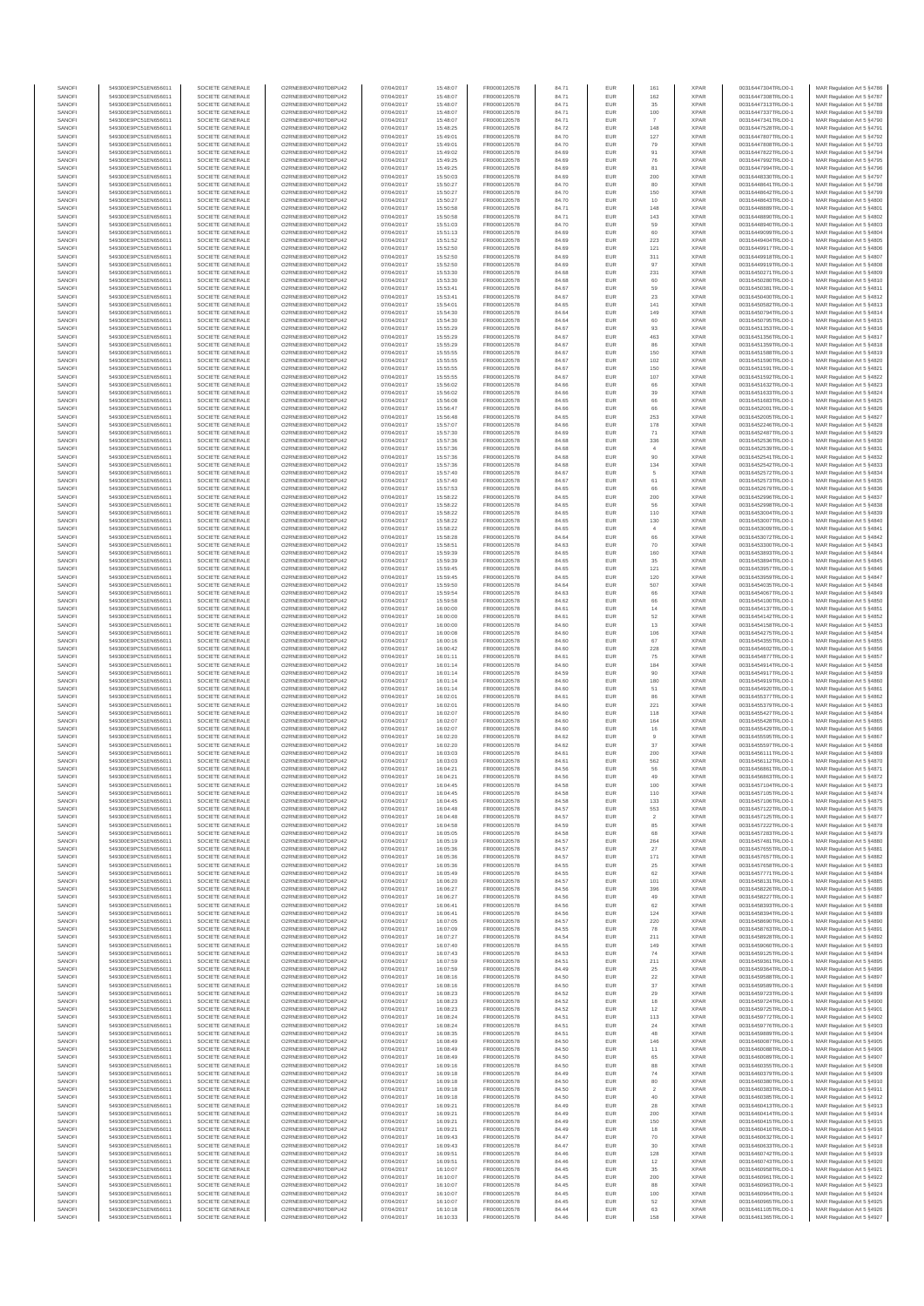| SANOF            | 549300E9PC51EN656011                         | SOCIETE GENERALE                     | O2RNE8IBXP4R0TD8PU42                          | 07/04/2017               | 15:48:07             | FR0000120578                 | 84.71          | EUR                      | 161                     | <b>XPAR</b>                | 00316447304TRLO0-1                       | MAR Regulation Art 5 §4786                                |
|------------------|----------------------------------------------|--------------------------------------|-----------------------------------------------|--------------------------|----------------------|------------------------------|----------------|--------------------------|-------------------------|----------------------------|------------------------------------------|-----------------------------------------------------------|
| SANOFI<br>SANOFI | 549300E9PC51EN656011<br>549300E9PC51EN656011 | SOCIETE GENERALE<br>SOCIETE GENERALE | O2RNE8IBXP4R0TD8PU42<br>O2RNE8IBXP4R0TD8PU42  | 07/04/2017<br>07/04/2017 | 15:48:07<br>15:48:07 | FR0000120578<br>FR0000120578 | 84.71<br>84.71 | EUR<br>EUR               | 162<br>35               | <b>XPAR</b><br><b>XPAR</b> | 00316447308TRLO0-1<br>00316447313TRLO0-1 | MAR Regulation Art 5 §4787<br>MAR Regulation Art 5 §4788  |
| SANOFI           | 549300E9PC51EN656011                         | SOCIETE GENERALE                     | O2RNE8IBXP4R0TD8PU42                          | 07/04/2017               | 15:48:07             | FR0000120578                 | 84.71          | EUR                      | 100                     | <b>XPAR</b>                | 00316447337TRLO0-1                       | MAR Regulation Art 5 \$4789                               |
| SANOFI<br>SANOFI | 549300E9PC51EN656011<br>549300E9PC51EN656011 | SOCIETE GENERALE<br>SOCIETE GENERALE | O2RNE8IBXP4R0TD8PU42<br>O2RNE8IBXP4R0TD8PU42  | 07/04/2017<br>07/04/2017 | 15:48:07<br>15:48:25 | FR0000120578<br>FR0000120578 | 84.71<br>84.72 | EUR<br>EUR               | 148                     | <b>XPAR</b><br><b>XPAR</b> | 00316447341TRLO0-1<br>00316447528TRLO0-1 | MAR Regulation Art 5 §4790<br>MAR Regulation Art 5 §4791  |
| SANOFI           | 549300E9PC51EN656011                         | SOCIETE GENERALE                     | O2RNE8IBXP4R0TD8PLI42                         | 07/04/2017               | 15:49:01             | FR0000120578                 | 84.70          | EUR                      | 127                     | <b>XPAR</b>                | 00316447807TRLO0-1                       | MAR Regulation Art 5 §4792                                |
| SANOFI           | 549300E9PC51EN656011                         | SOCIETE GENERALE                     | O2RNE8IBXP4R0TD8PU42                          | 07/04/2017               | 15:49:01             | FR0000120578                 | 84.70          | EUR                      | 79                      | <b>XPAR</b>                | 00316447808TRLO0-1                       | MAR Regulation Art 5 §4793                                |
| SANOFI<br>SANOFI | 549300E9PC51EN656011<br>549300E9PC51EN656011 | SOCIETE GENERALE<br>SOCIETE GENERALE | O2RNE8IBXP4R0TD8PU42<br>O2RNE8IBXP4R0TD8PU42  | 07/04/2017<br>07/04/2017 | 15:49:02<br>15:49:25 | FR0000120578<br>FR0000120578 | 84.69<br>84.69 | EUR<br>EUR               | 91<br>76                | <b>XPAR</b><br><b>XPAR</b> | 00316447822TRLO0-1<br>00316447992TRLO0-1 | MAR Regulation Art 5 §4794<br>MAR Regulation Art 5 §4795  |
| SANOFI           | 549300E9PC51EN656011                         | SOCIETE GENERALE                     | O2RNE8IBXP4R0TD8PU42                          | 07/04/2017               | 15:49:25             | FR0000120578                 | 84.69          | EUR                      | 81                      | <b>XPAR</b>                | 00316447994TRLO0-1                       | MAR Regulation Art 5 §4796                                |
| SANOFI<br>SANOFI | 549300E9PC51EN656011<br>549300E9PC51EN656011 | SOCIETE GENERALE<br>SOCIETE GENERALE | O2RNE8IBXP4R0TD8PU42<br>O2RNE8IBXP4R0TD8PU42  | 07/04/2017<br>07/04/2017 | 15:50:03<br>15:50:27 | FR0000120578<br>FR0000120578 | 84.69<br>84.70 | EUR<br><b>EUR</b>        | 200<br>80               | <b>XPAR</b><br><b>XPAR</b> | 00316448330TRLO0-1<br>00316448641TRLO0-1 | MAR Regulation Art 5 §4797<br>MAR Regulation Art 5 §4798  |
| SANOFI           | 549300E9PC51EN656011                         | SOCIETE GENERALE                     | O2RNE8IBXP4R0TD8PU42                          | 07/04/2017               | 15:50:27             | FR0000120578                 | 84.70          | EUR                      | 150                     | <b>XPAR</b>                | 00316448642TRLO0-1                       | MAR Regulation Art 5 §4799                                |
| SANOFI<br>SANOFI | 549300E9PC51EN656011<br>549300E9PC51EN656011 | SOCIETE GENERALE<br>SOCIETE GENERALE | O2RNE8IBXP4R0TD8PU42<br>O2RNE8IBXP4R0TD8PU42  | 07/04/2017<br>07/04/2017 | 15:50:27<br>15:50:58 | FR0000120578<br>FR0000120578 | 84.70<br>84.71 | EUR<br>EUR               | 10<br>148               | <b>XPAR</b><br><b>XPAR</b> | 00316448643TRLO0-1<br>00316448889TRLO0-1 | MAR Regulation Art 5 §4800<br>MAR Regulation Art 5 §4801  |
| SANOFI           | 549300E9PC51EN656011                         | SOCIETE GENERALE                     | O2RNE8IBXP4R0TD8PU42                          | 07/04/2017               | 15:50:58             | FR0000120578                 | 84.71          | EUR                      | 143                     | <b>XPAR</b>                | 00316448890TRLO0-1                       | MAR Regulation Art 5 §4802                                |
| SANOFI           | 549300E9PC51EN656011                         | SOCIETE GENERALE                     | O2RNE8IBXP4R0TD8PU42                          | 07/04/2017               | 15:51:03             | FR0000120578                 | 84.70          | <b>EUR</b>               | 59                      | <b>XPAR</b>                | 00316448940TRLO0-1                       | MAR Regulation Art 5 §4803                                |
| SANOFI<br>SANOFI | 549300E9PC51EN656011<br>549300E9PC51EN656011 | SOCIETE GENERALE<br>SOCIETE GENERALE | O2RNE8IBXP4R0TD8PU42<br>O2RNE8IBXP4R0TD8PU42  | 07/04/2017<br>07/04/2017 | 15:51:13<br>15:51:52 | FR0000120578<br>FR0000120578 | 84.69<br>84.69 | EUR<br><b>EUR</b>        | 60<br>223               | <b>XPAR</b><br><b>XPAR</b> | 00316449099TRLO0-1<br>00316449404TRLO0-1 | MAR Regulation Art 5 §4804<br>MAR Regulation Art 5 §4805  |
| SANOFI           | 549300E9PC51EN656011                         | SOCIETE GENERALE                     | O2RNE8IBXP4R0TD8PU42                          | 07/04/2017               | 15:52:50             | FR0000120578                 | 84.69          | EUR                      | 121                     | <b>XPAR</b>                | 00316449917TRLO0-1                       | MAR Regulation Art 5 §4806                                |
| SANOFI<br>SANOFI | 549300E9PC51EN656011<br>549300E9PC51EN656011 | SOCIETE GENERALE<br>SOCIETE GENERALE | O2RNESIBXP4R0TD8PLI42<br>O2RNE8IBXP4R0TD8PU42 | 07/04/2017<br>07/04/2017 | 15:52:50<br>15:52:50 | FR0000120578<br>FR0000120578 | 84.69<br>84.69 | EUR<br>EUR               | 311<br>97               | <b>XPAR</b><br><b>XPAR</b> | 00316449918TRLO0-1<br>00316449919TRLO0-1 | MAR Regulation Art 5 §4807<br>MAR Regulation Art 5 §4808  |
| SANOFI           | 549300E9PC51EN656011                         | SOCIETE GENERALE                     | O2RNE8IBXP4R0TD8PU42                          | 07/04/2017               | 15:53:30             | FR0000120578                 | 84.68          | EUR                      | 231                     | <b>XPAR</b>                | 00316450271TRLO0-1                       | MAR Regulation Art 5 §4809                                |
| SANOFI<br>SANOFI | 549300E9PC51EN656011<br>549300E9PC51EN656011 | SOCIETE GENERALE<br>SOCIETE GENERALE | O2RNE8IBXP4R0TD8PU42<br>O2RNE8IBXP4R0TD8PU42  | 07/04/2017<br>07/04/2017 | 15:53:30<br>15:53:41 | FR0000120578<br>FR0000120578 | 84.68<br>84.67 | EUR<br>EUR               | 60<br>59                | <b>XPAR</b><br><b>XPAR</b> | 00316450280TRLO0-1<br>00316450381TRLO0-1 | MAR Regulation Art 5 §4810<br>MAR Regulation Art 5 §4811  |
| SANOFI           | 549300E9PC51EN656011                         | SOCIETE GENERALE                     | O2RNE8IBXP4R0TD8PU42                          | 07/04/2017               | 15:53:41             | FR0000120578                 | 84.67          | EUR                      | 23                      | <b>XPAR</b>                | 00316450400TRLO0-1                       | MAR Regulation Art 5 §4812                                |
| SANOFI           | 549300E9PC51EN656011                         | SOCIETE GENERALE                     | O2RNE8IBXP4R0TD8PU42                          | 07/04/2017               | 15:54:01             | FR0000120578                 | 84.65          | EUR                      | 141                     | <b>XPAR</b>                | 00316450582TRLO0-1                       | MAR Regulation Art 5 §4813                                |
| SANOFI<br>SANOFI | 549300E9PC51EN656011<br>549300E9PC51EN656011 | SOCIETE GENERALE<br>SOCIETE GENERALE | O2RNE8IBXP4R0TD8PU42<br>O2RNE8IBXP4R0TD8PU42  | 07/04/2017<br>07/04/2017 | 15:54:30<br>15:54:30 | FR0000120578<br>FR0000120578 | 84.64<br>84.64 | EUR<br>EUR               | 149<br>60               | <b>XPAR</b><br><b>XPAR</b> | 00316450794TRLO0-1<br>00316450795TRLO0-1 | MAR Regulation Art 5 §4814<br>MAR Regulation Art 5 §4815  |
| SANOFI           | 549300E9PC51EN656011                         | SOCIETE GENERALE                     | O2RNE8IBXP4R0TD8PU42                          | 07/04/2017               | 15:55:29             | FR0000120578                 | 84.67          | EUR                      | 93                      | <b>XPAR</b>                | 00316451353TRLO0-1                       | MAR Regulation Art 5 §4816                                |
| SANOFI<br>SANOFI | 549300E9PC51EN656011<br>549300E9PC51EN656011 | SOCIETE GENERALE<br>SOCIETE GENERALE | O2RNE8IBXP4R0TD8PU42<br>O2RNE8IBXP4R0TD8PU42  | 07/04/2017<br>07/04/2017 | 15:55:29<br>15:55:29 | FR0000120578<br>FR0000120578 | 84.67<br>84.67 | EUR<br>EUR               | 463<br>86               | <b>XPAR</b><br><b>XPAR</b> | 00316451356TRLO0-1<br>00316451359TRLO0-1 | MAR Regulation Art 5 §4817<br>MAR Regulation Art 5 §4818  |
| SANOFI           | 549300E9PC51EN656011                         | SOCIETE GENERALE                     | O2RNE8IBXP4R0TD8PU42                          | 07/04/2017               | 15:55:55             | FR0000120578                 | 84.67          | EUR                      | 150                     | <b>XPAR</b>                | 00316451588TRLO0-1                       | MAR Regulation Art 5 §4819                                |
| SANOFI<br>SANOFI | 549300E9PC51EN656011<br>549300E9PC51EN656011 | SOCIETE GENERALE<br>SOCIETE GENERALE | O2RNE8IBXP4R0TD8PU42<br>O2RNE8IBXP4R0TD8PU42  | 07/04/2017<br>07/04/2017 | 15:55:55<br>15:55:55 | FR0000120578<br>FR0000120578 | 84.67<br>84.67 | EUR<br>EUR               | 102<br>150              | <b>XPAR</b><br><b>XPAR</b> | 00316451590TRLO0-1<br>00316451591TRLO0-1 | MAR Regulation Art 5 §4820<br>MAR Regulation Art 5 §4821  |
| SANOFI           | 549300E9PC51EN656011                         | SOCIETE GENERALE                     | O2RNE8IBXP4R0TD8PU42                          | 07/04/2017               | 15:55:55             | FR0000120578                 | 84.67          | EUR                      | $107$                   | <b>XPAR</b>                | 00316451592TRLO0-1                       | MAR Regulation Art 5 §4822                                |
| SANOFI           | 549300E9PC51EN656011                         | SOCIETE GENERALE                     | O2RNE8IBXP4R0TD8PU42                          | 07/04/2017               | 15:56:02             | FR0000120578                 | 84.66          | EUR                      | 66                      | <b>XPAR</b>                | 00316451632TRLO0-1                       | MAR Regulation Art 5 §4823                                |
| SANOFI<br>SANOFI | 549300E9PC51EN656011<br>549300E9PC51EN656011 | SOCIETE GENERALE<br>SOCIETE GENERALE | O2RNE8IBXP4R0TD8PU42<br>O2RNE8IBXP4R0TD8PU42  | 07/04/2017<br>07/04/2017 | 15:56:02<br>15:56:08 | FR0000120578<br>FR0000120578 | 84.66<br>84.65 | EUR<br>EUR               | 39<br>66                | <b>XPAR</b><br><b>XPAR</b> | 00316451633TRLO0-1<br>00316451683TRLO0-1 | MAR Regulation Art 5 §4824<br>MAR Regulation Art 5 §4825  |
| SANOFI           | 549300E9PC51EN656011                         | SOCIETE GENERALE                     | O2RNE8IBXP4R0TD8PU42                          | 07/04/2017               | 15:56:47             | FR0000120578                 | 84.66          | EUR                      | 66                      | <b>XPAR</b>                | 00316452001TRLO0-1                       | MAR Regulation Art 5 §4826                                |
| SANOFI<br>SANOFI | 549300E9PC51EN656011<br>549300E9PC51EN656011 | SOCIETE GENERALE<br>SOCIETE GENERALE | O2RNE8IBXP4R0TD8PU42<br>O2RNE8IBXP4R0TD8PU42  | 07/04/2017<br>07/04/2017 | 15:56:48<br>15:57:07 | FR0000120578<br>FR0000120578 | 84.65<br>84.66 | EUR<br>EUR               | 253<br>178              | <b>XPAR</b><br><b>XPAR</b> | 00316452005TRLO0-1<br>00316452246TRLO0-1 | MAR Regulation Art 5 §4827<br>MAR Regulation Art 5 §4828  |
| SANOFI           | 549300E9PC51EN656011                         | SOCIETE GENERALE                     | O2RNE8IBXP4R0TD8PU42                          | 07/04/2017               | 15:57:30             | FR0000120578                 | 84.69          | EUR                      | 71                      | <b>XPAR</b>                | 00316452487TRLO0-1                       | MAR Regulation Art 5 §4829                                |
| SANOFI<br>SANOFI | 549300E9PC51EN656011<br>549300E9PC51EN656011 | SOCIETE GENERALE<br>SOCIETE GENERALE | O2RNE8IBXP4R0TD8PU42<br>O2RNE8IBXP4R0TD8PU42  | 07/04/2017<br>07/04/2017 | 15:57:36<br>15:57:36 | FR0000120578<br>FR0000120578 | 84.68<br>84.68 | <b>EUR</b><br>EUR        | 336<br>$\overline{4}$   | <b>XPAR</b><br><b>XPAR</b> | 00316452536TRLO0-1<br>00316452539TRLO0-1 | MAR Regulation Art 5 \$4830<br>MAR Regulation Art 5 §4831 |
| SANOFI           | 549300E9PC51EN656011                         | SOCIETE GENERALE                     | O2RNE8IBXP4R0TD8PU42                          | 07/04/2017               | 15:57:36             | FR0000120578                 | 84.68          | EUR                      | 90                      | <b>XPAR</b>                | 00316452541TRLO0-1                       | MAR Regulation Art 5 §4832                                |
| SANOFI           | 549300E9PC51EN656011                         | SOCIETE GENERALE                     | O2RNE8IBXP4R0TD8PU42<br>O2RNE8IBXP4R0TD8PU42  | 07/04/2017               | 15:57:36             | FR0000120578                 | 84.68          | EUR                      | 134                     | <b>XPAR</b>                | 00316452542TRLO0-1                       | MAR Regulation Art 5 §4833                                |
| SANOFI<br>SANOFI | 549300E9PC51EN656011<br>549300E9PC51EN656011 | SOCIETE GENERALE<br>SOCIETE GENERALE | O2RNE8IBXP4R0TD8PU42                          | 07/04/2017<br>07/04/2017 | 15:57:40<br>15:57:40 | FR0000120578<br>FR0000120578 | 84.67<br>84.67 | EUR<br><b>EUR</b>        | 5<br>61                 | <b>XPAR</b><br><b>XPAR</b> | 00316452572TRLO0-1<br>00316452573TRLO0-1 | MAR Regulation Art 5 §4834<br>MAR Regulation Art 5 §4835  |
| SANOFI           | 549300E9PC51EN656011                         | SOCIETE GENERALE                     | O2RNE8IBXP4R0TD8PU42                          | 07/04/2017               | 15:57:53             | FR0000120578                 | 84.65          | EUR                      | 66                      | <b>XPAR</b>                | 00316452679TRLO0-1                       | MAR Regulation Art 5 §4836                                |
| SANOFI<br>SANOFI | 549300E9PC51EN656011<br>549300E9PC51EN656011 | SOCIETE GENERALE<br>SOCIETE GENERALE | O2RNE8IBXP4R0TD8PU42<br>O2RNE8IBXP4R0TD8PU42  | 07/04/2017<br>07/04/2017 | 15:58:22<br>15:58:22 | FR0000120578<br>FR0000120578 | 84.65<br>84.65 | EUR<br>EUR               | 200<br>56               | <b>XPAR</b><br><b>XPAR</b> | 00316452996TRLO0-1<br>00316452998TRLO0-1 | MAR Regulation Art 5 \$4837<br>MAR Regulation Art 5 §4838 |
| SANOFI           | 549300E9PC51EN656011                         | SOCIETE GENERALE                     | O2RNE8IBXP4R0TD8PU42                          | 07/04/2017               | 15:58:22             | FR0000120578                 | 84.65          | EUR                      | 110                     | <b>XPAR</b>                | 00316453004TRLO0-1                       | MAR Regulation Art 5 §4839                                |
| SANOFI           | 549300E9PC51EN656011                         | SOCIETE GENERALE                     | O2RNE8IBXP4R0TD8PU42                          | 07/04/2017               | 15:58:22             | FR0000120578                 | 84.65          | EUR                      | 130                     | <b>XPAR</b>                | 00316453007TRLO0-1                       | MAR Regulation Art 5 §4840                                |
| SANOFI<br>SANOFI | 549300E9PC51EN656011<br>549300E9PC51EN656011 | SOCIETE GENERALE<br>SOCIETE GENERALE | O2RNE8IBXP4R0TD8PU42<br>O2RNE8IBXP4R0TD8PU42  | 07/04/2017<br>07/04/2017 | 15:58:22<br>15:58:28 | FR0000120578<br>FR0000120578 | 84.65<br>84.64 | EUR<br>EUR               | $\overline{4}$<br>66    | <b>XPAR</b><br><b>XPAR</b> | 00316453009TRLO0-1<br>00316453072TRLO0-1 | MAR Regulation Art 5 §4841<br>MAR Regulation Art 5 §4842  |
| SANOFI           | 549300E9PC51EN656011                         | SOCIETE GENERALE                     | O2RNE8IBXP4R0TD8PU42                          | 07/04/2017               | 15:58:51             | FR0000120578                 | 84.63          | EUR                      | 70                      | <b>XPAR</b>                | 00316453300TRLO0-1                       | MAR Regulation Art 5 §4843                                |
| SANOFI<br>SANOFI | 549300E9PC51EN656011<br>549300E9PC51EN656011 | SOCIETE GENERALE<br>SOCIETE GENERALE | O2RNE8IBXP4R0TD8PU42<br>O2RNE8IBXP4R0TD8PU42  | 07/04/2017<br>07/04/2017 | 15:59:39<br>15:59:39 | FR0000120578<br>FR0000120578 | 84.65<br>84.65 | EUR<br>EUR               | 160<br>35               | <b>XPAR</b><br><b>XPAR</b> | 00316453893TRLO0-1<br>00316453894TRLO0-1 | MAR Regulation Art 5 §4844<br>MAR Regulation Art 5 §4845  |
| SANOFI           | 549300E9PC51EN656011                         | SOCIETE GENERALE                     | O2RNE8IBXP4R0TD8PU42                          | 07/04/2017               | 15:59:45             | FR0000120578                 | 84.65          | <b>EUR</b>               | 121                     | <b>XPAR</b>                | 00316453957TRLO0-1                       | MAR Regulation Art 5 §4846                                |
| SANOFI<br>SANOFI | 549300E9PC51EN656011<br>549300E9PC51EN656011 | SOCIETE GENERALE<br>SOCIETE GENERALE | O2RNE8IBXP4R0TD8PU42<br>O2RNE8IBXP4R0TD8PU42  | 07/04/2017<br>07/04/2017 | 15:59:45<br>15:59:50 | FR0000120578<br>FR0000120578 | 84.65<br>84.64 | EUR<br><b>EUR</b>        | 120<br>507              | <b>XPAR</b><br><b>XPAR</b> | 00316453959TRLO0-1<br>00316454035TRLO0-1 | MAR Regulation Art 5 §4847<br>MAR Regulation Art 5 §4848  |
| SANOFI           | 549300E9PC51EN656011                         | SOCIETE GENERALE                     | O2RNE8IBXP4R0TD8PU42                          | 07/04/2017               | 15:59:54             | FR0000120578                 | 84.63          | EUR                      | 66                      | <b>XPAR</b>                | 00316454067TRLO0-1                       | MAR Regulation Art 5 §4849                                |
| SANOFI<br>SANOFI | 549300E9PC51EN656011                         | SOCIETE GENERALE<br>SOCIETE GENERALE | O2RNE8IBXP4R0TD8PU42<br>O2RNE8IBXP4R0TD8PU42  | 07/04/2017               | 15:59:58             | FR0000120578                 | 84.62          | EUR                      | 66<br>14                | <b>XPAR</b><br><b>XPAR</b> | 00316454100TRLO0-1                       | MAR Regulation Art 5 §4850                                |
| SANOFI           | 549300E9PC51EN656011<br>549300E9PC51EN656011 | SOCIETE GENERALE                     | O2RNE8IBXP4R0TD8PU42                          | 07/04/2017<br>07/04/2017 | 16:00:00<br>16:00:00 | FR0000120578<br>FR0000120578 | 84.61<br>84.61 | EUR<br>EUR               | 52                      | <b>XPAR</b>                | 00316454137TRLO0-1<br>00316454142TRLO0-1 | MAR Regulation Art 5 §4851<br>MAR Regulation Art 5 §4852  |
| SANOFI           | 549300E9PC51EN656011                         | SOCIETE GENERALE                     | O2RNE8IBXP4R0TD8PU42                          | 07/04/2017               | 16:00:00             | FR0000120578                 | 84.60          | EUR                      | 13                      | <b>XPAR</b>                | 00316454158TRLO0-1                       | MAR Regulation Art 5 §4853                                |
| SANOFI<br>SANOFI | 549300E9PC51EN656011<br>549300E9PC51EN656011 | SOCIETE GENERALE<br>SOCIETE GENERALE | O2RNE8IBXP4R0TD8PU42<br>O2RNE8IBXP4R0TD8PU42  | 07/04/2017<br>07/04/2017 | 16:00:08<br>16:00:16 | FR0000120578<br>FR0000120578 | 84.60<br>84.60 | EUR<br>EUR               | 106<br>67               | <b>XPAR</b><br><b>XPAR</b> | 00316454275TRLO0-1<br>00316454355TRLO0-1 | MAR Regulation Art 5 §4854<br>MAR Regulation Art 5 §4855  |
| SANOFI           | 549300E9PC51EN656011                         | SOCIETE GENERALE                     | O2RNE8IBXP4R0TD8PU42                          | 07/04/2017               | 16:00:42             | FR0000120578                 | 84.60          | EUR                      | 228                     | <b>XPAR</b>                | 00316454602TRLO0-1                       | MAR Regulation Art 5 §4856                                |
| SANOFI<br>SANOFI | 549300E9PC51EN656011<br>549300E9PC51EN656011 | SOCIETE GENERALE<br>SOCIETE GENERALE | O2RNE8IBXP4R0TD8PU42<br>O2RNE8IBXP4R0TD8PU42  | 07/04/2017<br>07/04/2017 | 16:01:11<br>16:01:14 | FR0000120578<br>FR0000120578 | 84.61<br>84.60 | EUR<br>EUR               | 75<br>184               | <b>XPAR</b><br><b>XPAR</b> | 00316454877TRLO0-1<br>00316454914TRLO0-1 | MAR Regulation Art 5 §4857<br>MAR Regulation Art 5 §4858  |
| SANOFI           | 549300E9PC51EN656011                         | SOCIETE GENERALE                     | O2RNE8IBXP4R0TD8PU42                          | 07/04/2017               | 16:01:14             | FR0000120578                 | 84.59          | EUR                      | 90                      | <b>XPAR</b>                | 00316454917TRLO0-1                       | MAR Regulation Art 5 §4859                                |
| SANOFI<br>SANOFI | 549300E9PC51EN656011<br>549300E9PC51EN656011 | SOCIETE GENERALE<br>SOCIETE GENERALE | O2RNE8IBXP4R0TD8PU42<br>O2RNE8IBXP4R0TD8PU42  | 07/04/2017<br>07/04/2017 | 16:01:14<br>16:01:14 | FR0000120578<br>FR0000120578 | 84.60<br>84.60 | <b>EUR</b><br>EUR        | 180<br>51               | <b>XPAR</b><br><b>XPAR</b> | 00316454919TRLO0-1<br>00316454920TRLO0-1 | MAR Regulation Art 5 §4860<br>MAR Regulation Art 5 §4861  |
| SANOFI           | 549300E9PC51EN656011                         | SOCIETE GENERALE                     | O2RNE8IBXP4R0TD8PU42                          | 07/04/2017               | 16:02:01             | FR0000120578                 | 84.61          | EUR                      | 86                      | <b>XPAR</b>                | 00316455377TRLO0-1                       | MAR Regulation Art 5 §4862                                |
| SANOFI           | 549300E9PC51EN656011                         | SOCIETE GENERALE                     | O2RNE8IBXP4R0TD8PU42                          | 07/04/2017               | 16:02:01             | FR0000120578                 | 84.60          | EUR                      | 221                     | <b>XPAR</b>                | 00316455379TRLO0-1                       | MAR Regulation Art 5 §4863                                |
| SANOFI<br>SANOFI | 549300E9PC51EN656011<br>549300E9PC51EN656011 | SOCIETE GENERALE<br>SOCIETE GENERALE | O2RNE8IBXP4R0TD8PU42<br>O2RNE8IBXP4R0TD8PU42  | 07/04/2017<br>07/04/2017 | 16:02:07<br>16:02:07 | FR0000120578<br>FR0000120578 | 84.60<br>84.60 | EUR<br>EUR               | 118<br>$164\,$          | <b>XPAR</b><br><b>XPAR</b> | 00316455427TRLO0-1<br>00316455428TRLO0-1 | MAR Regulation Art 5 §4864<br>MAR Regulation Art 5 §4865  |
| SANOFI           | 549300E9PC51EN656011                         | SOCIETE GENERALE                     | O2RNE8IBXP4R0TD8PU42                          | 07/04/2017               | 16:02:07             | FR0000120578                 | 84.60          | EUR                      | 16                      | <b>XPAR</b>                | 00316455429TRLO0-1                       | MAR Regulation Art 5 §4866                                |
| SANOFI<br>SANOFI | 549300E9PC51EN656011<br>549300E9PC51EN656011 | SOCIETE GENERALE<br>SOCIETE GENERALE | O2RNE8IBXP4R0TD8PU42<br>O2RNE8IBXP4R0TD8PU42  | 07/04/2017<br>07/04/2017 | 16:02:20<br>16:02:20 | FR0000120578<br>FR0000120578 | 84.62<br>84.62 | EUR<br>EUR               | 9<br>37                 | <b>XPAR</b><br><b>XPAR</b> | 00316455595TRLO0-1<br>00316455597TRLO0-1 | MAR Regulation Art 5 §4867<br>MAR Regulation Art 5 §4868  |
| SANOFI           | 549300E9PC51EN656011                         | SOCIETE GENERALE                     | O2RNE8IBXP4R0TD8PU42                          | 07/04/2017               | 16:03:03             | FR0000120578                 | 84.61          | <b>EUR</b>               | 200                     | XPAR                       | 00316456111TRLO0-1                       | MAR Regulation Art 5 §4869                                |
| SANOFI<br>SANOFI | 549300E9PC51EN656011<br>549300E9PC51EN656011 | SOCIETE GENERALE<br>SOCIETE GENERALE | O2RNE8IBXP4R0TD8PU42<br>O2RNE8IBXP4R0TD8PU42  | 07/04/2017<br>07/04/2017 | 16:03:03<br>16:04:21 | FR0000120578<br>FR0000120578 | 84.61<br>84.56 | EUR<br><b>EUR</b>        | 562<br>56               | <b>XPAR</b><br><b>XPAR</b> | 00316456112TRLO0-1<br>00316456861TRLO0-1 | MAR Regulation Art 5 §4870<br>MAR Regulation Art 5 §4871  |
| SANOFI           | 549300E9PC51EN656011                         | SOCIETE GENERALE                     | O2RNE8IBXP4R0TD8PU42                          | 07/04/2017               | 16:04:21             | FR0000120578                 | 84.56          | EUR                      | 49                      | <b>XPAR</b>                | 00316456863TRLO0-1                       | MAR Regulation Art 5 §4872                                |
| SANOFI<br>SANOFI | 549300E9PC51EN656011                         | SOCIETE GENERALE                     | O2RNE8IBXP4R0TD8PU42                          | 07/04/2017               | 16:04:45             | FR0000120578                 | 84.58          | EUR                      | 100                     | <b>XPAR</b><br><b>XPAR</b> | 00316457104TRLO0-1                       | MAR Regulation Art 5 §4873                                |
| SANOFI           | 549300E9PC51EN656011<br>549300E9PC51EN656011 | SOCIETE GENERALE<br>SOCIETE GENERALE | O2RNE8IBXP4R0TD8PU42<br>O2RNESIBXP4R0TD8PLI42 | 07/04/2017<br>07/04/2017 | 16:04:45<br>16:04:45 | FR0000120578<br>FR0000120578 | 84.58<br>84.58 | <b>EUR</b><br>EUR        | 110<br>133              | <b>XPAR</b>                | 00316457105TRLO0-1<br>00316457106TRLO0-1 | MAR Regulation Art 5 §4874<br>MAR Regulation Art 5 §4875  |
| SANOFI           | 549300E9PC51EN656011                         | SOCIETE GENERALE                     | O2RNE8IBXP4R0TD8PU42                          | 07/04/2017               | 16:04:48             | FR0000120578                 | 84.57          | EUR                      | 553                     | <b>XPAR</b>                | 00316457122TRLO0-1                       | MAR Regulation Art 5 §4876                                |
| SANOFI<br>SANOFI | 549300E9PC51EN656011<br>549300E9PC51EN656011 | SOCIETE GENERALE<br>SOCIETE GENERALE | O2RNE8IBXP4R0TD8PU42<br>O2RNE8IBXP4R0TD8PU42  | 07/04/2017<br>07/04/2017 | 16:04:48<br>16:04:58 | FR0000120578<br>FR0000120578 | 84.57<br>84.59 | EUR<br><b>EUR</b>        | $\overline{2}$<br>85    | <b>XPAR</b><br><b>XPAR</b> | 00316457125TRLO0-1<br>00316457222TRLO0-1 | MAR Regulation Art 5 §4877<br>MAR Regulation Art 5 §4878  |
| SANOFI           | 549300E9PC51EN656011                         | SOCIETE GENERALE                     | O2RNE8IBXP4R0TD8PU42                          | 07/04/2017               | 16:05:05             | FR0000120578                 | 84.58          | EUR                      | 68                      | <b>XPAR</b>                | 00316457283TRLO0-1                       | MAR Regulation Art 5 §4879                                |
| SANOFI<br>SANOFI | 549300E9PC51EN656011<br>549300E9PC51EN656011 | SOCIETE GENERALE<br>SOCIETE GENERALE | O2RNE8IBXP4R0TD8PU42<br>O2RNE8IBXP4R0TD8PU42  | 07/04/2017<br>07/04/2017 | 16:05:19<br>16:05:36 | FR0000120578<br>FR0000120578 | 84.57<br>84.57 | <b>EUR</b><br><b>EUR</b> | 264<br>$27\,$           | <b>XPAR</b><br><b>XPAR</b> | 00316457481TRLO0-1<br>00316457655TRLO0-1 | MAR Regulation Art 5 \$4880<br>MAR Regulation Art 5 §4881 |
| SANOFI           | 549300E9PC51EN656011                         | SOCIETE GENERALE                     | O2RNE8IBXP4R0TD8PU42                          | 07/04/2017               | 16:05:36             | FR0000120578                 | 84.57          | EUR                      | 171                     | <b>XPAR</b>                | 00316457657TRLO0-1                       | MAR Regulation Art 5 §4882                                |
| SANOFI<br>SANOFI | 549300E9PC51EN656011<br>549300E9PC51EN656011 | SOCIETE GENERALE<br>SOCIETE GENERALE | O2RNE8IBXP4R0TD8PU42<br>O2RNE8IBXP4R0TD8PU42  | 07/04/2017<br>07/04/2017 | 16:05:36<br>16:05:49 | FR0000120578<br>FR0000120578 | 84.55<br>84.55 | EUR<br>EUR               | $\boldsymbol{25}$<br>62 | <b>XPAR</b><br><b>XPAR</b> | 00316457658TRLO0-1<br>00316457771TRLO0-1 | MAR Regulation Art 5 §4883<br>MAR Regulation Art 5 §4884  |
| SANOFI           | 549300E9PC51EN656011                         | SOCIETE GENERALE                     | O2RNE8IBXP4R0TD8PU42                          | 07/04/2017               | 16:06:20             | FR0000120578                 | 84.57          | <b>EUR</b>               | 101                     | <b>XPAR</b>                | 00316458131TRLO0-1                       | MAR Regulation Art 5 §4885                                |
| SANOFI<br>SANOFI | 549300E9PC51EN656011<br>549300E9PC51EN656011 | SOCIETE GENERALE<br>SOCIETE GENERALE | O2RNE8IBXP4R0TD8PU42<br>O2RNE8IBXP4R0TD8PU42  | 07/04/2017<br>07/04/2017 | 16:06:27<br>16:06:27 | FR0000120578<br>FR0000120578 | 84.56<br>84.56 | EUR<br><b>EUR</b>        | 396<br>49               | <b>XPAR</b><br><b>XPAR</b> | 00316458226TRLO0-1<br>00316458227TRLO0-1 | MAR Regulation Art 5 §4886<br>MAR Regulation Art 5 §4887  |
| SANOFI           | 549300E9PC51EN656011                         | SOCIETE GENERALE                     | O2RNE8IBXP4R0TD8PU42                          | 07/04/2017               | 16:06:41             | FR0000120578                 | 84.56          | EUR                      | 62                      | <b>XPAR</b>                | 00316458393TRLO0-1                       | MAR Regulation Art 5 §4888                                |
| SANOFI<br>SANOFI | 549300E9PC51EN656011                         | SOCIETE GENERALE<br>SOCIETE GENERALE | O2RNE8IBXP4R0TD8PU42<br>O2RNE8IBXP4R0TD8PU42  | 07/04/2017<br>07/04/2017 | 16:06:41<br>16:07:05 | FR0000120578                 | 84.56<br>84.57 | EUR<br>EUR               | 124                     | <b>XPAR</b><br><b>XPAR</b> | 00316458394TRLO0-1                       | MAR Regulation Art 5 §4889                                |
| SANOFI           | 549300E9PC51EN656011<br>549300E9PC51EN656011 | SOCIETE GENERALE                     | O2RNE8IBXP4R0TD8PU42                          | 07/04/2017               | 16:07:09             | FR0000120578<br>FR0000120578 | 84.55          | EUR                      | 220<br>78               | <b>XPAR</b>                | 00316458690TRLO0-1<br>00316458763TRLO0-1 | MAR Regulation Art 5 §4890<br>MAR Regulation Art 5 §4891  |
| SANOFI           | 549300E9PC51EN656011                         | SOCIETE GENERALE                     | O2RNE8IBXP4R0TD8PU42<br>O2RNE8IBXP4R0TD8PU42  | 07/04/2017               | 16:07:27             | FR0000120578<br>FR0000120578 | 84.54          | EUR                      | 211                     | <b>XPAR</b>                | 00316458928TRLO0-1                       | MAR Regulation Art 5 §4892                                |
| SANOFI<br>SANOFI | 549300E9PC51EN656011<br>549300E9PC51EN656011 | SOCIETE GENERALE<br>SOCIETE GENERALE | O2RNE8IBXP4R0TD8PU42                          | 07/04/2017<br>07/04/2017 | 16:07:40<br>16:07:43 | FR0000120578                 | 84.55<br>84.53 | EUR<br><b>EUR</b>        | 149<br>74               | <b>XPAR</b><br><b>XPAR</b> | 00316459060TRLO0-1<br>00316459125TRLO0-1 | MAR Regulation Art 5 §4893<br>MAR Regulation Art 5 §4894  |
| SANOFI           | 549300E9PC51EN656011                         | SOCIETE GENERALE                     | O2RNE8IBXP4R0TD8PU42                          | 07/04/2017               | 16:07:59             | FR0000120578                 | 84.51          | EUR                      | 211                     | <b>XPAR</b>                | 00316459361TRLO0-1                       | MAR Regulation Art 5 §4895                                |
| SANOFI<br>SANOFI | 549300E9PC51EN656011<br>549300E9PC51EN656011 | SOCIETE GENERALE<br>SOCIETE GENERALE | O2RNE8IBXP4R0TD8PU42<br>O2RNE8IBXP4R0TD8PU42  | 07/04/2017<br>07/04/2017 | 16:07:59<br>16:08:16 | FR0000120578<br>FR0000120578 | 84.49<br>84.50 | <b>EUR</b><br>EUR        | 25<br>22                | <b>XPAR</b><br><b>XPAR</b> | 00316459364TRLO0-1<br>00316459588TRLO0-1 | MAR Regulation Art 5 §4896<br>MAR Regulation Art 5 §4897  |
| SANOFI           | 549300E9PC51EN656011                         | SOCIETE GENERALE                     | O2RNE8IBXP4R0TD8PU42                          | 07/04/2017               | 16:08:16             | FR0000120578                 | 84.50          | EUR                      | 37                      | <b>XPAR</b>                | 00316459589TRLO0-1                       | MAR Regulation Art 5 §4898                                |
| SANOFI<br>SANOFI | 549300E9PC51EN656011<br>549300E9PC51EN656011 | SOCIETE GENERALE<br>SOCIETE GENERALE | O2RNE8IBXP4R0TD8PU42<br>O2RNE8IBXP4R0TD8PU42  | 07/04/2017<br>07/04/2017 | 16:08:23<br>16:08:23 | FR0000120578<br>FR0000120578 | 84.52<br>84.52 | EUR<br>EUR               | 29<br>18                | <b>XPAR</b><br><b>XPAR</b> | 00316459723TRLO0-1<br>00316459724TRLO0-1 | MAR Regulation Art 5 §4899<br>MAR Regulation Art 5 §4900  |
| SANOFI           | 549300E9PC51EN656011                         | SOCIETE GENERALE                     | O2RNE8IBXP4R0TD8PU42                          | 07/04/2017               | 16:08:23             | FR0000120578                 | 84.52          | <b>EUR</b>               | 12                      | <b>XPAR</b>                | 00316459725TRLO0-1                       | MAR Regulation Art 5 §4901                                |
| SANOFI<br>SANOFI | 549300E9PC51EN656011<br>549300E9PC51EN656011 | SOCIETE GENERALE<br>SOCIETE GENERALE | O2RNE8IBXP4R0TD8PU42<br>O2RNE8IBXP4R0TD8PU42  | 07/04/2017<br>07/04/2017 | 16:08:24<br>16:08:24 | FR0000120578<br>FR0000120578 | 84.51<br>84.51 | EUR<br><b>EUR</b>        | 113<br>24               | <b>XPAR</b><br><b>XPAR</b> | 00316459772TRLO0-1                       | MAR Regulation Art 5 §4902                                |
| SANOFI           | 549300E9PC51EN656011                         | SOCIETE GENERALE                     | O2RNE8IBXP4R0TD8PU42                          | 07/04/2017               | 16:08:35             | FR0000120578                 | 84.51          | EUR                      | 48                      | <b>XPAR</b>                | 00316459776TRLO0-1<br>00316459889TRLO0-1 | MAR Regulation Art 5 §4903<br>MAR Regulation Art 5 §4904  |
| SANOFI           | 549300E9PC51EN656011                         | SOCIETE GENERALE                     | O2RNE8IBXP4R0TD8PU42                          | 07/04/2017               | 16:08:49             | FR0000120578                 | 84.50          | <b>EUR</b>               | 146                     | <b>XPAR</b>                | 00316460087TRLO0-1                       | MAR Regulation Art 5 §4905                                |
| SANOFI<br>SANOFI | 549300E9PC51EN656011<br>549300E9PC51EN656011 | SOCIETE GENERALE<br>SOCIETE GENERALE | O2RNE8IBXP4R0TD8PU42<br>O2RNE8IBXP4R0TD8PU42  | 07/04/2017<br>07/04/2017 | 16:08:49<br>16:08:49 | FR0000120578<br>FR0000120578 | 84.50<br>84.50 | <b>EUR</b><br>EUR        | 11<br>65                | <b>XPAR</b><br><b>XPAR</b> | 00316460088TRLO0-1<br>00316460089TRLO0-1 | MAR Regulation Art 5 §4906<br>MAR Regulation Art 5 §4907  |
| SANOFI           | 549300E9PC51EN656011                         | SOCIETE GENERALE                     | O2RNE8IBXP4R0TD8PU42                          | 07/04/2017               | 16:09:16             | FR0000120578                 | 84.50          | EUR                      | 88                      | <b>XPAR</b>                | 00316460355TRLO0-1                       | MAR Regulation Art 5 §4908                                |
| SANOFI<br>SANOFI | 549300E9PC51EN656011<br>549300E9PC51EN656011 | SOCIETE GENERALE<br>SOCIETE GENERALE | O2RNE8IBXP4R0TD8PU42<br>O2RNE8IBXP4R0TD8PU42  | 07/04/2017<br>07/04/2017 | 16:09:18<br>16:09:18 | FR0000120578<br>FR0000120578 | 84.49<br>84.50 | EUR<br><b>EUR</b>        | 74<br>80                | <b>XPAR</b><br><b>XPAR</b> | 00316460379TRLO0-1<br>00316460380TRLO0-1 | MAR Regulation Art 5 §4909<br>MAR Regulation Art 5 §4910  |
| SANOFI           | 549300E9PC51EN656011                         | SOCIETE GENERALE                     | O2RNE8IBXP4R0TD8PU42                          | 07/04/2017               | 16:09:18             | FR0000120578                 | 84.50          | EUR                      | $\overline{2}$          | <b>XPAR</b>                | 00316460383TRLO0-1                       | MAR Regulation Art 5 §4911                                |
| SANOFI<br>SANOFI | 549300E9PC51EN656011<br>549300E9PC51EN656011 | SOCIETE GENERALE<br>SOCIETE GENERALE | O2RNE8IBXP4R0TD8PU42<br>O2RNE8IBXP4R0TD8PU42  | 07/04/2017<br>07/04/2017 | 16:09:18<br>16:09:21 | FR0000120578<br>FR0000120578 | 84.50<br>84.49 | <b>EUR</b><br>EUR        | 40<br>28                | <b>XPAR</b><br><b>XPAR</b> | 00316460385TRLO0-1<br>00316460413TRLO0-1 | MAR Regulation Art 5 §4912                                |
| SANOFI           | 549300E9PC51EN656011                         | SOCIETE GENERALE                     | O2RNE8IBXP4R0TD8PU42                          | 07/04/2017               | 16:09:21             | FR0000120578                 | 84.49          | <b>EUR</b>               | 200                     | <b>XPAR</b>                | 00316460414TRLO0-1                       | MAR Regulation Art 5 §4913<br>MAR Regulation Art 5 §4914  |
| SANOFI           | 549300E9PC51EN656011                         | SOCIETE GENERALE                     | O2RNE8IBXP4R0TD8PU42                          | 07/04/2017               | 16:09:21             | FR0000120578                 | 84.49          | EUR                      | 150                     | <b>XPAR</b><br><b>XPAR</b> | 00316460415TRLO0-1                       | MAR Regulation Art 5 §4915                                |
| SANOFI<br>SANOFI | 549300E9PC51EN656011<br>549300E9PC51EN656011 | SOCIETE GENERALE<br>SOCIETE GENERALE | O2RNE8IBXP4R0TD8PU42<br>O2RNE8IBXP4R0TD8PU42  | 07/04/2017<br>07/04/2017 | 16:09:21<br>16:09:43 | FR0000120578<br>FR0000120578 | 84.49<br>84.47 | EUR<br>EUR               | 18<br>70                | <b>XPAR</b>                | 00316460416TRLO0-1<br>00316460632TRLO0-1 | MAR Regulation Art 5 §4916<br>MAR Regulation Art 5 §4917  |
| SANOFI           | 549300E9PC51EN656011                         | SOCIETE GENERALE                     | O2RNE8IBXP4R0TD8PU42                          | 07/04/2017               | 16:09:43             | FR0000120578                 | 84.47          | EUR                      | 30                      | <b>XPAR</b>                | 00316460633TRLO0-1                       | MAR Regulation Art 5 §4918                                |
| SANOFI<br>SANOFI | 549300E9PC51EN656011<br>549300E9PC51EN656011 | SOCIETE GENERALE<br>SOCIETE GENERALE | O2RNE8IBXP4R0TD8PU42<br>O2RNE8IBXP4R0TD8PU42  | 07/04/2017<br>07/04/2017 | 16:09:51<br>16:09:51 | FR0000120578<br>FR0000120578 | 84.46<br>84.46 | <b>EUR</b><br>EUR        | 128<br>12               | <b>XPAR</b><br><b>XPAR</b> | 00316460742TRLO0-1<br>00316460743TRLO0-1 | MAR Regulation Art 5 §4919<br>MAR Regulation Art 5 §4920  |
| SANOFI           | 549300E9PC51EN656011                         | SOCIETE GENERALE                     | O2RNE8IBXP4R0TD8PU42                          | 07/04/2017               | 16:10:07             | FR0000120578                 | 84.45          | <b>EUR</b>               | 35                      | <b>XPAR</b>                | 00316460958TRLO0-1                       | MAR Regulation Art 5 §4921                                |
| SANOFI<br>SANOFI | 549300E9PC51EN656011<br>549300E9PC51EN656011 | SOCIETE GENERALE<br>SOCIETE GENERALE | O2RNE8IBXP4R0TD8PU42<br>O2RNE8IBXP4R0TD8PU42  | 07/04/2017<br>07/04/2017 | 16:10:07<br>16:10:07 | FR0000120578<br>FR0000120578 | 84.45<br>84.45 | EUR<br>EUR               | 200<br>88               | <b>XPAR</b><br><b>XPAR</b> | 00316460961TRLO0-1<br>00316460963TRLO0-1 | MAR Regulation Art 5 §4922<br>MAR Regulation Art 5 §4923  |
| SANOFI           | 549300E9PC51EN656011                         | SOCIETE GENERALE                     | O2RNE8IBXP4R0TD8PU42                          | 07/04/2017               | 16:10:07             | FR0000120578                 | 84.45          | EUR                      | 100                     | <b>XPAR</b>                | 00316460964TRLO0-1                       | MAR Regulation Art 5 §4924                                |
| SANOFI<br>SANOFI | 549300E9PC51EN656011<br>549300E9PC51EN656011 | SOCIETE GENERALE<br>SOCIETE GENERALE | O2RNE8IBXP4R0TD8PU42<br>O2RNE8IBXP4R0TD8PU42  | 07/04/2017<br>07/04/2017 | 16:10:07             | FR0000120578                 | 84.45<br>84.44 | EUR                      | 52                      | <b>XPAR</b><br><b>XPAR</b> | 00316460965TRLO0-1                       | MAR Regulation Art 5 §4925                                |
| SANOFI           | 549300E9PC51EN656011                         | SOCIETE GENERALE                     | O2RNE8IBXP4R0TD8PU42                          | 07/04/2017               | 16:10:18<br>16:10:33 | FR0000120578<br>FR0000120578 | 84.46          | EUR<br>EUR               | 63<br>158               | <b>XPAR</b>                | 00316461105TRLO0-1<br>00316461365TRLO0-1 | MAR Regulation Art 5 §4926<br>MAR Regulation Art 5 §4927  |
|                  |                                              |                                      |                                               |                          |                      |                              |                |                          |                         |                            |                                          |                                                           |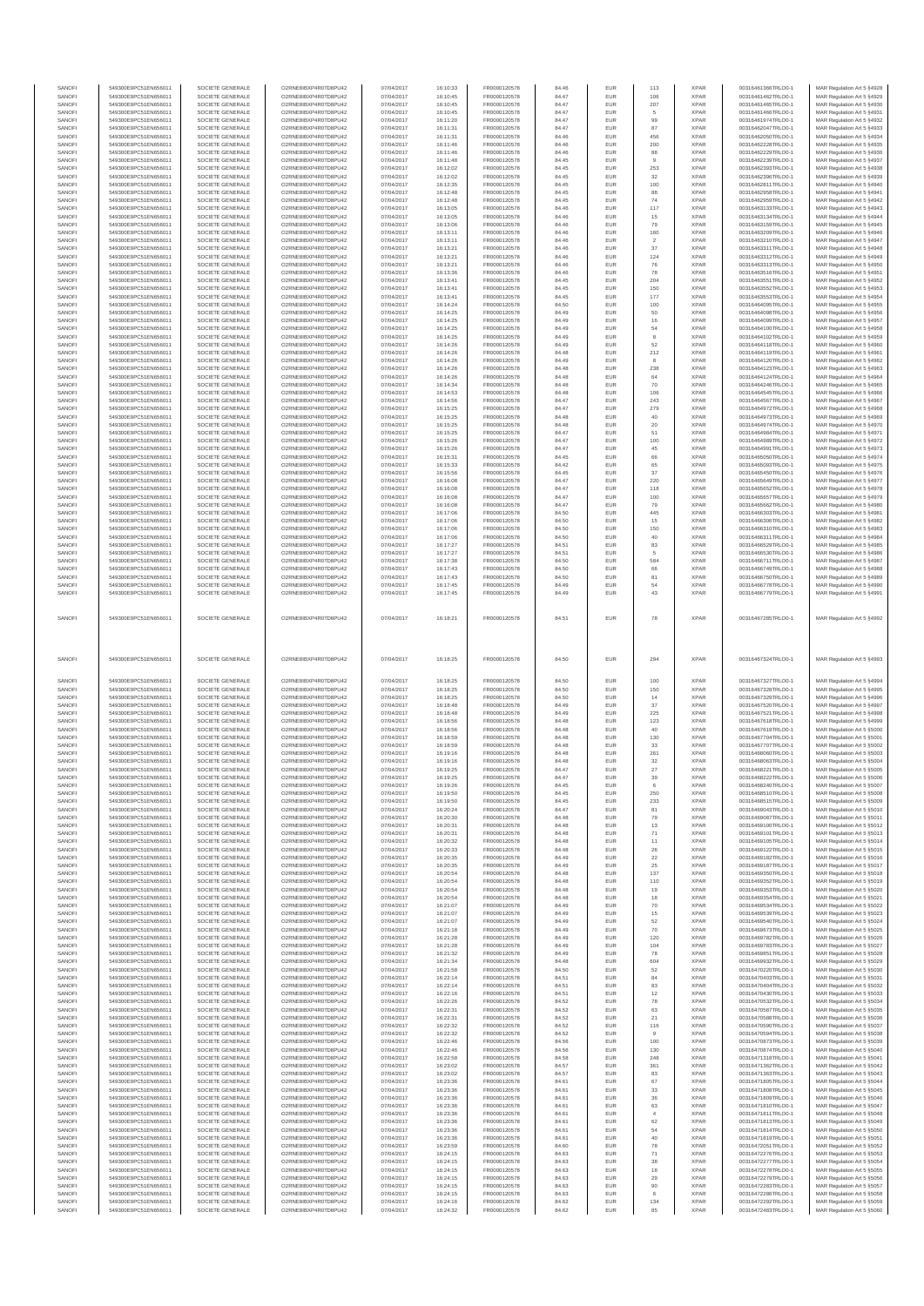| SANOFI           | 549300E9PC51EN656011                         | SOCIETE GENERALE                     | O2RNE8IBXP4R0TD8PU42                          | 07/04/2017               | 16:10:33             | FR0000120578                 | 84.46          | <b>EUR</b>        | 113                   | <b>XPAR</b>                | 00316461366TRLO0-1                       | MAR Regulation Art 5 §4928                                |
|------------------|----------------------------------------------|--------------------------------------|-----------------------------------------------|--------------------------|----------------------|------------------------------|----------------|-------------------|-----------------------|----------------------------|------------------------------------------|-----------------------------------------------------------|
| SANOFI           | 549300E9PC51EN656011<br>549300E9PC51EN656011 | SOCIETE GENERALE                     | O2RNE8IBXP4R0TD8PU42                          | 07/04/2017               | 16:10:45             | FR0000120578<br>FR0000120578 | 84.47          | EUR               | 106                   | <b>XPAR</b>                | 00316461462TRLO0-1                       | MAR Regulation Art 5 §4929                                |
| SANOFI<br>SANOFI | 549300E9PC51EN656011                         | SOCIETE GENERALE<br>SOCIETE GENERALE | O2RNE8IBXP4R0TD8PU42<br>O2RNE8IBXP4R0TD8PU42  | 07/04/2017<br>07/04/2017 | 16:10:45<br>16:10:45 | FR0000120578                 | 84.47<br>84.47 | <b>EUR</b><br>EUR | 207<br>5              | <b>XPAR</b><br><b>XPAR</b> | 00316461465TRLO0-1<br>00316461466TRLO0-1 | MAR Regulation Art 5 §4930<br>MAR Regulation Art 5 §4931  |
| SANOFI           | 549300E9PC51EN656011                         | SOCIETE GENERALE                     | O2RNE8IBXP4R0TD8PU42                          | 07/04/2017               | 16:11:20             | FR0000120578                 | 84.47          | <b>EUR</b>        | 99                    | <b>XPAR</b>                | 00316461974TRLO0-1                       | MAR Regulation Art 5 §4932                                |
| SANOFI           | 549300E9PC51EN656011                         | SOCIETE GENERALE                     | O2RNE8IBXP4R0TD8PU42                          | 07/04/2017               | 16:11:31             | FR0000120578                 | 84.47          | EUR               | 87                    | <b>XPAR</b>                | 00316462047TRLO0-1                       | MAR Regulation Art 5 §4933                                |
| SANOFI           | 549300E9PC51EN656011                         | SOCIETE GENERALE                     | O2RNE8IBXP4R0TD8PU42                          | 07/04/2017               | 16:11:31             | FR0000120578                 | 84.46          | EUR               | 456                   | <b>XPAR</b>                | 00316462050TRLO0-1                       | MAR Regulation Art 5 §4934                                |
| SANOFI<br>SANOFI | 549300E9PC51EN656011<br>549300E9PC51EN656011 | SOCIETE GENERALE<br>SOCIETE GENERALE | O2RNE8IBXP4R0TD8PU42<br>O2RNE8IBXP4R0TD8PU42  | 07/04/2017<br>07/04/2017 | 16:11:46<br>16:11:46 | FR0000120578<br>FR0000120578 | 84.46<br>84.46 | EUR<br>EUR        | $200\,$<br>88         | <b>XPAR</b><br><b>XPAR</b> | 00316462228TRLO0-1<br>00316462229TRLO0-1 | MAR Regulation Art 5 §4935<br>MAR Regulation Art 5 §4936  |
| SANOFI           | 549300E9PC51EN656011                         | SOCIETE GENERALE                     | O2RNE8IBXP4R0TD8PU42                          | 07/04/2017               | 16:11:48             | FR0000120578                 | 84.45          | <b>EUR</b>        | $\overline{9}$        | <b>XPAR</b>                | 00316462239TRLO0-1                       | MAR Regulation Art 5 §4937                                |
| SANOFI           | 549300E9PC51EN656011                         | SOCIETE GENERALE                     | O2RNE8IBXP4R0TD8PU42                          | 07/04/2017               | 16:12:02             | FR0000120578                 | 84.45          | EUR               | 253                   | <b>XPAR</b>                | 00316462393TRLO0-1                       | MAR Regulation Art 5 §4938                                |
| SANOFI           | 549300E9PC51EN656011                         | SOCIETE GENERALE                     | O2RNE8IBXP4R0TD8PU42                          | 07/04/2017               | 16:12:02             | FR0000120578                 | 84.45          | <b>EUR</b>        | 32                    | <b>XPAR</b>                | 00316462396TRLO0-1                       | MAR Regulation Art 5 §4939                                |
| SANOFI<br>SANOFI | 549300E9PC51EN656011<br>549300E9PC51EN656011 | SOCIETE GENERALE<br>SOCIETE GENERALE | O2RNE8IBXP4R0TD8PU42<br>O2RNE8IBXP4R0TD8PU42  | 07/04/2017<br>07/04/2017 | 16:12:35<br>16:12:48 | FR0000120578<br>FR0000120578 | 84.45<br>84.45 | EUR<br><b>EUR</b> | 100<br>88             | <b>XPAR</b><br><b>XPAR</b> | 00316462811TRLO0-1<br>00316462958TRLO0-1 | MAR Regulation Art 5 §4940<br>MAR Regulation Art 5 §4941  |
| SANOFI           | 549300E9PC51EN656011                         | SOCIETE GENERALE                     | O2RNE8IBXP4R0TD8PU42                          | 07/04/2017               | 16:12:48             | FR0000120578                 | 84.45          | EUR               | 74                    | <b>XPAR</b>                | 00316462959TRLO0-1                       | MAR Regulation Art 5 §4942                                |
| SANOFI           | 549300E9PC51EN656011                         | SOCIETE GENERALE                     | O2RNE8IBXP4R0TD8PU42                          | 07/04/2017               | 16:13:05             | FR0000120578                 | 84.46          | EUR               | 117                   | <b>XPAR</b>                | 00316463133TRLO0-1                       | MAR Regulation Art 5 §4943                                |
| SANOFI           | 549300E9PC51EN656011                         | SOCIETE GENERALE                     | O2RNE8IBXP4R0TD8PU42                          | 07/04/2017               | 16:13:05             | FR0000120578                 | 84.46          | EUR               | $15\,$                | <b>XPAR</b>                | 00316463134TRLO0-1                       | MAR Regulation Art 5 §4944                                |
| SANOFI<br>SANOFI | 549300E9PC51EN656011<br>549300E9PC51EN656011 | SOCIETE GENERALE<br>SOCIETE GENERALE | O2RNE8IBXP4R0TD8PU42<br>O2RNE8IBXP4R0TD8PU42  | 07/04/2017<br>07/04/2017 | 16:13:06<br>16:13:11 | FR0000120578<br>FR0000120578 | 84.46<br>84.46 | EUR<br><b>EUR</b> | 79<br>160             | <b>XPAR</b><br><b>XPAR</b> | 00316463159TRLO0-1<br>00316463209TRLO0-1 | MAR Regulation Art 5 §4945<br>MAR Regulation Art 5 §4946  |
| SANOFI           | 549300E9PC51EN656011                         | SOCIETE GENERALE                     | O2RNE8IBXP4R0TD8PU42                          | 07/04/2017               | 16:13:11             | FR0000120578                 | 84.46          | EUR               | $\overline{2}$        | <b>XPAR</b>                | 00316463210TRLO0-1                       | MAR Regulation Art 5 §4947                                |
| SANOFI           | 549300E9PC51EN656011                         | SOCIETE GENERALE                     | O2RNE8IBXP4R0TD8PU42                          | 07/04/2017               | 16:13:21             | FR0000120578                 | 84.46          | <b>EUR</b>        | 37                    | <b>XPAR</b>                | 00316463311TRLO0-1                       | MAR Regulation Art 5 §4948                                |
| SANOFI           | 549300E9PC51EN656011                         | SOCIETE GENERALE                     | O2RNE8IBXP4R0TD8PU42                          | 07/04/2017               | 16:13:21             | FR0000120578                 | 84.46          | EUR               | 124                   | <b>XPAR</b>                | 00316463312TRLO0-1                       | MAR Regulation Art 5 §4949                                |
| SANOFI<br>SANOFI | 549300E9PC51EN656011<br>549300E9PC51EN656011 | SOCIETE GENERALE<br>SOCIETE GENERALE | O2RNE8IBXP4R0TD8PU42<br>O2RNE8IBXP4R0TD8PU42  | 07/04/2017<br>07/04/2017 | 16:13:21<br>16:13:36 | FR0000120578<br>FR0000120578 | 84.46<br>84.46 | EUR<br>EUR        | 76<br>78              | <b>XPAR</b><br><b>XPAR</b> | 00316463313TRLO0-1<br>00316463516TRLO0-1 | MAR Regulation Art 5 §4950<br>MAR Regulation Art 5 §4951  |
| SANOFI           | 549300E9PC51EN656011                         | SOCIETE GENERALE                     | O2RNE8IBXP4R0TD8PU42                          | 07/04/2017               | 16:13:41             | FR0000120578                 | 84.45          | EUR               | 204                   | <b>XPAR</b>                | 00316463551TRLO0-1                       | MAR Regulation Art 5 §4952                                |
| SANOFI           | 549300E9PC51EN656011                         | SOCIETE GENERALE                     | O2RNE8IBXP4R0TD8PU42                          | 07/04/2017               | 16:13:41             | FR0000120578                 | 84.45          | EUR               | 150                   | <b>XPAR</b>                | 00316463552TRLO0-1                       | MAR Regulation Art 5 §4953                                |
| SANOFI           | 549300E9PC51EN656011                         | SOCIETE GENERALE                     | O2RNE8IBXP4R0TD8PU42                          | 07/04/2017               | 16:13:41             | FR0000120578                 | 84.45          | EUR               | 177                   | <b>XPAR</b>                | 00316463553TRLO0-1                       | MAR Regulation Art 5 §4954                                |
| SANOFI<br>SANOFI | 549300E9PC51EN656011<br>549300E9PC51EN656011 | SOCIETE GENERALE<br>SOCIETE GENERALE | O2RNE8IBXP4R0TD8PLI42<br>O2RNE8IBXP4R0TD8PU42 | 07/04/2017<br>07/04/2017 | 16:14:24<br>16:14:25 | FR0000120578<br>FR0000120578 | 84.50<br>84.49 | <b>EUR</b><br>EUR | 100<br>50             | <b>XPAR</b><br><b>XPAR</b> | 00316464095TRLO0-1<br>00316464098TRLO0-1 | MAR Regulation Art 5 \$4955<br>MAR Regulation Art 5 §4956 |
| SANOFI           | 549300E9PC51EN656011                         | SOCIETE GENERALE                     | O2RNE8IBXP4R0TD8PU42                          | 07/04/2017               | 16:14:25             | FR0000120578                 | 84.49          | <b>EUR</b>        | 16                    | <b>XPAR</b>                | 00316464099TRLO0-1                       | MAR Regulation Art 5 §4957                                |
| SANOFI           | 549300E9PC51EN656011                         | SOCIETE GENERALE                     | O2RNE8IBXP4R0TD8PU42                          | 07/04/2017               | 16:14:25             | FR0000120578                 | 84.49          | EUR               | 54                    | <b>XPAR</b>                | 00316464100TRLO0-1                       | MAR Regulation Art 5 §4958                                |
| SANOFI           | 549300E9PC51EN656011                         | SOCIETE GENERALE                     | O2RNE8IBXP4R0TD8PU42                          | 07/04/2017               | 16:14:25             | FR0000120578                 | 84.49          | <b>EUR</b>        | 8                     | <b>XPAR</b>                | 00316464102TRLO0-1                       | MAR Regulation Art 5 §4959                                |
| SANOFI<br>SANOFI | 549300E9PC51EN656011<br>549300E9PC51EN656011 | SOCIETE GENERALE<br>SOCIETE GENERALE | O2RNE8IBXP4R0TD8PU42<br>O2RNE8IBXP4R0TD8PU42  | 07/04/2017<br>07/04/2017 | 16:14:26<br>16:14:26 | FR0000120578<br>FR0000120578 | 84.49<br>84.48 | EUR<br>EUR        | 52<br>212             | <b>XPAR</b><br><b>XPAR</b> | 00316464118TRLO0-1<br>00316464119TRLO0-1 | MAR Regulation Art 5 §4960<br>MAR Regulation Art 5 §4961  |
| SANOFI           | 549300E9PC51EN656011                         | SOCIETE GENERALE                     | O2RNE8IBXP4R0TD8PU42                          | 07/04/2017               | 16:14:26             | FR0000120578                 | 84.49          | EUR               | 8                     | <b>XPAR</b>                | 00316464120TRLO0-1                       | MAR Regulation Art 5 §4962                                |
| SANOFI           | 549300E9PC51EN656011                         | SOCIETE GENERALE                     | O2RNE8IBXP4R0TD8PU42                          | 07/04/2017               | 16:14:26             | FR0000120578                 | 84.48          | EUR               | 238                   | <b>XPAR</b>                | 00316464123TRLO0-1                       | MAR Regulation Art 5 §4963                                |
| SANOFI           | 549300E9PC51EN656011                         | SOCIETE GENERALE                     | O2RNE8IBXP4R0TD8PU42                          | 07/04/2017               | 16:14:26             | FR0000120578                 | 84.48          | <b>EUR</b>        | 64                    | <b>XPAR</b>                | 00316464124TRLO0-1                       | MAR Regulation Art 5 §4964                                |
| SANOFI<br>SANOFI | 549300E9PC51EN656011<br>549300E9PC51EN656011 | SOCIETE GENERALE<br>SOCIETE GENERALE | O2RNE8IBXP4R0TD8PU42<br>O2RNE8IBXP4R0TD8PU42  | 07/04/2017<br>07/04/2017 | 16:14:34<br>16:14:53 | FR0000120578<br>FR0000120578 | 84.48<br>84.48 | EUR<br><b>EUR</b> | 70<br>106             | <b>XPAR</b><br><b>XPAR</b> | 00316464246TRLO0-1<br>00316464545TRLO0-1 | MAR Regulation Art 5 \$4965<br>MAR Regulation Art 5 §4966 |
| SANOFI           | 549300E9PC51EN656011                         | SOCIETE GENERALE                     | O2RNE8IBXP4R0TD8PU42                          | 07/04/2017               | 16:14:56             | FR0000120578                 | 84.47          | EUR               | $\boldsymbol{243}$    | <b>XPAR</b>                | 00316464567TRLO0-1                       | MAR Regulation Art 5 §4967                                |
| SANOFI           | 549300E9PC51EN656011                         | SOCIETE GENERALE                     | O2RNE8IBXP4R0TD8PU42                          | 07/04/2017               | 16:15:25             | FR0000120578                 | 84.47          | EUR               | 279                   | <b>XPAR</b>                | 00316464972TRLO0-1                       | MAR Regulation Art 5 §4968                                |
| SANOFI           | 549300E9PC51EN656011                         | SOCIETE GENERALE                     | O2RNE8IBXP4R0TD8PU42                          | 07/04/2017               | 16:15:25             | FR0000120578                 | 84.48          | EUR               | $40\,$                | <b>XPAR</b>                | 00316464973TRLO0-1                       | MAR Regulation Art 5 §4969                                |
| SANOFI<br>SANOFI | 549300E9PC51EN656011<br>549300E9PC51EN656011 | SOCIETE GENERALE<br>SOCIETE GENERALE | O2RNE8IBXP4R0TD8PU42<br>O2RNE8IBXP4R0TD8PU42  | 07/04/2017<br>07/04/2017 | 16:15:25<br>16:15:25 | FR0000120578<br>FR0000120578 | 84.48<br>84.47 | EUR<br>EUR        | 20<br>51              | <b>XPAR</b><br><b>XPAR</b> | 00316464974TRLO0-1<br>00316464984TRLO0-1 | MAR Regulation Art 5 §4970<br>MAR Regulation Art 5 §4971  |
| SANOFI           | 549300E9PC51EN656011                         | SOCIETE GENERALE                     | O2RNE8IBXP4R0TD8PU42                          | 07/04/2017               | 16:15:26             | FR0000120578                 | 84.47          | EUR               | 100                   | <b>XPAR</b>                | 00316464989TRLO0-1                       | MAR Regulation Art 5 §4972                                |
| SANOFI           | 549300E9PC51EN656011                         | SOCIETE GENERALE                     | O2RNE8IBXP4R0TD8PU42                          | 07/04/2017               | 16:15:26             | FR0000120578                 | 84.47          | <b>EUR</b>        | 45                    | <b>XPAR</b>                | 00316464991TRLO0-1                       | MAR Regulation Art 5 §4973                                |
| SANOFI           | 549300E9PC51EN656011                         | SOCIETE GENERALE                     | O2RNE8IBXP4R0TD8PU42                          | 07/04/2017               | 16:15:31             | FR0000120578                 | 84.45          | EUR               | 66                    | <b>XPAR</b>                | 00316465050TRLO0-1                       | MAR Regulation Art 5 §4974                                |
| SANOFI<br>SANOFI | 549300E9PC51EN656011<br>549300E9PC51EN656011 | SOCIETE GENERALE<br>SOCIETE GENERALE | O2RNE8IBXP4R0TD8PU42<br>O2RNE8IBXP4R0TD8PU42  | 07/04/2017<br>07/04/2017 | 16:15:33<br>16:15:56 | FR0000120578<br>FR0000120578 | 84.42<br>84.45 | <b>EUR</b><br>EUR | 65<br>37              | <b>XPAR</b><br><b>XPAR</b> | 00316465093TRLO0-1<br>00316465450TRLO0-1 | MAR Regulation Art 5 §4975<br>MAR Regulation Art 5 §4976  |
| SANOFI           | 549300E9PC51EN656011                         | SOCIETE GENERALE                     | O2RNESIBXP4R0TD8PLI42                         | 07/04/2017               | 16:16:08             | FR0000120578                 | 84.47          | EUR               | 220                   | <b>XPAR</b>                | 00316465649TRLO0-1                       | MAR Regulation Art 5 §4977                                |
| SANOFI           | 549300E9PC51EN656011                         | SOCIETE GENERALE                     | O2RNE8IBXP4R0TD8PU42                          | 07/04/2017               | 16:16:08             | FR0000120578                 | 84.47          | EUR               | 118                   | <b>XPAR</b>                | 00316465652TRLO0-1                       | MAR Regulation Art 5 §4978                                |
| SANOFI           | 549300E9PC51EN656011                         | SOCIETE GENERALE                     | O2RNE8IBXP4R0TD8PU42                          | 07/04/2017               | 16:16:08             | FR0000120578                 | 84.47          | EUR               | 100                   | <b>XPAR</b>                | 00316465657TRLO0-1                       | MAR Regulation Art 5 §4979                                |
| SANOFI           | 549300E9PC51EN656011                         | SOCIETE GENERALE                     | O2RNE8IBXP4R0TD8PU42                          | 07/04/2017               | 16:16:08             | FR0000120578                 | 84.47          | <b>EUR</b>        | 79                    | <b>XPAR</b>                | 00316465662TRLO0-1                       | MAR Regulation Art 5 §4980                                |
| SANOFI<br>SANOFI | 549300E9PC51EN656011<br>549300E9PC51EN656011 | SOCIETE GENERALE<br>SOCIETE GENERALE | O2RNE8IBXP4R0TD8PU42<br>O2RNE8IBXP4R0TD8PU42  | 07/04/2017<br>07/04/2017 | 16:17:06<br>16:17:06 | FR0000120578<br>FR0000120578 | 84.50          | EUR<br><b>EUR</b> | 445<br>15             | <b>XPAR</b><br><b>XPAR</b> | 00316466303TRLO0-1<br>00316466306TRLO0-1 | MAR Regulation Art 5 §4981                                |
| SANOFI           | 549300E9PC51EN656011                         | SOCIETE GENERALE                     | O2RNE8IBXP4R0TD8PU42                          | 07/04/2017               | 16:17:06             | FR0000120578                 | 84.50<br>84.50 | EUR               | 150                   | <b>XPAR</b>                | 00316466310TRLO0-1                       | MAR Regulation Art 5 §4982<br>MAR Regulation Art 5 §4983  |
| SANOFI           | 549300E9PC51EN656011                         | SOCIETE GENERALE                     | O2RNE8IBXP4R0TD8PU42                          | 07/04/2017               | 16:17:06             | FR0000120578                 | 84.50          | <b>EUR</b>        | 40                    | <b>XPAR</b>                | 00316466311TRLO0-1                       | MAR Regulation Art 5 §4984                                |
| SANOFI           | 549300E9PC51EN656011                         | SOCIETE GENERALE                     | O2RNE8IBXP4R0TD8PU42                          | 07/04/2017               | 16:17:27             | FR0000120578                 | 84.51          | EUR               | 83                    | <b>XPAR</b>                | 00316466529TRLO0-1                       | MAR Regulation Art 5 §4985                                |
| SANOFI           | 549300E9PC51EN656011                         | SOCIETE GENERALE                     | O2RNE8IBXP4R0TD8PU42                          | 07/04/2017               | 16:17:27             | FR0000120578                 | 84.51          | EUR               | $\overline{5}$        | <b>XPAR</b>                | 00316466530TRLO0-1                       | MAR Regulation Art 5 §4986                                |
| SANOFI<br>SANOFI | 549300E9PC51EN656011<br>549300E9PC51EN656011 | SOCIETE GENERALE<br>SOCIETE GENERALE | O2RNE8IBXP4R0TD8PU42<br>O2RNE8IBXP4R0TD8PU42  | 07/04/2017<br>07/04/2017 | 16:17:38<br>16:17:43 | FR0000120578<br>FR0000120578 | 84.50<br>84.50 | EUR<br>EUR        | 584<br>66             | <b>XPAR</b><br><b>XPAR</b> | 00316466711TRLO0-1<br>00316466749TRLO0-1 | MAR Regulation Art 5 §4987<br>MAR Regulation Art 5 §4988  |
| SANOFI           | 549300E9PC51EN656011                         | SOCIETE GENERALE                     | O2RNE8IBXP4R0TD8PU42                          | 07/04/2017               | 16:17:43             | FR0000120578                 | 84.50          | <b>EUR</b>        | 81                    | <b>XPAR</b>                | 00316466750TRLO0-1                       | MAR Regulation Art 5 §4989                                |
| SANOFI           | 549300E9PC51EN656011                         | SOCIETE GENERALE                     | O2RNE8IBXP4R0TD8PU42                          | 07/04/2017               | 16:17:45             | FR0000120578                 | 84.49          | EUR               | 54                    | <b>XPAR</b>                | 00316466778TRLO0-1                       | MAR Regulation Art 5 §4990                                |
| SANOFI           | 549300E9PC51EN656011                         | SOCIETE GENERALE                     | O2RNE8IBXP4R0TD8PU42                          | 07/04/2017               | 16:17:45             | FR0000120578                 | 84.49          | EUR               | 43                    | <b>XPAR</b>                | 00316466779TRLO0-1                       | MAR Regulation Art 5 §4991                                |
|                  |                                              |                                      |                                               |                          |                      |                              |                |                   |                       |                            |                                          |                                                           |
| SANOFI           | 549300E9PC51EN656011                         | SOCIETE GENERALE                     | O2RNE8IBXP4R0TD8PU42                          | 07/04/2017               | 16:18:21             | FR0000120578                 | 84.51          | EUR               | 78                    | <b>XPAR</b>                | 00316467285TRLO0-1                       | MAR Regulation Art 5 §4992                                |
|                  |                                              |                                      |                                               |                          |                      |                              |                |                   |                       |                            |                                          |                                                           |
|                  |                                              |                                      |                                               |                          |                      |                              |                |                   |                       |                            |                                          |                                                           |
|                  |                                              |                                      |                                               |                          |                      |                              |                |                   |                       |                            |                                          |                                                           |
|                  |                                              |                                      |                                               |                          |                      |                              |                |                   |                       |                            |                                          |                                                           |
|                  |                                              |                                      |                                               |                          |                      |                              |                |                   |                       |                            |                                          |                                                           |
| SANOFI           | 549300E9PC51EN656011                         | SOCIETE GENERALE                     | O2RNE8IBXP4R0TD8PU42                          | 07/04/2017               | 16:18:25             | FR0000120578                 | 84.50          | EUR               | 294                   | <b>XPAR</b>                | 00316467324TRLO0-1                       | MAR Regulation Art 5 §4993                                |
|                  |                                              |                                      |                                               |                          |                      |                              |                |                   |                       |                            |                                          |                                                           |
| SANOFI           | 549300E9PC51EN656011                         | SOCIETE GENERALE                     | O2RNE8IBXP4R0TD8PU42                          | 07/04/2017               | 16:18:25             | FR0000120578                 | 84.50          | <b>EUR</b>        | 100                   | <b>XPAR</b>                | 00316467327TRLO0-1                       | MAR Regulation Art 5 §4994                                |
| SANOFI           | 549300E9PC51EN656011                         | SOCIETE GENERALE                     | O2RNE8IBXP4R0TD8PU42                          | 07/04/2017               | 16:18:25             | FR0000120578                 | 84.50          | EUR               | 150                   | <b>XPAR</b>                | 00316467328TRLO0-1                       | MAR Regulation Art 5 §4995                                |
| SANOFI           | 549300E9PC51EN656011                         | SOCIETE GENERALE                     | O2RNE8IBXP4R0TD8PU42                          | 07/04/2017               | 16:18:25             | FR0000120578                 | 84.50          | EUR               | 14                    | <b>XPAR</b>                | 00316467329TRLO0-1                       | MAR Regulation Art 5 §4996                                |
| SANOFI           | 549300E9PC51EN656011                         | SOCIETE GENERALE                     | O2RNE8IBXP4R0TD8PU42                          | 07/04/2017               | 16:18:48             | FR0000120578                 | 84.49          | EUR               | 37                    | <b>XPAR</b>                | 00316467520TRLO0-1                       | MAR Regulation Art 5 §4997                                |
| SANOFI<br>SANOFI | 549300E9PC51EN656011<br>549300E9PC51EN656011 | SOCIETE GENERALE<br>SOCIETE GENERALE | O2RNE8IBXP4R0TD8PU42<br>O2RNE8IBXP4R0TD8PU42  | 07/04/2017<br>07/04/2017 | 16:18:48<br>16:18:56 | FR0000120578<br>FR0000120578 | 84.49<br>84.48 | EUR<br>EUR        | 225                   | <b>XPAR</b><br><b>XPAR</b> | 00316467521TRLO0-1<br>00316467618TRLO0-1 | MAR Regulation Art 5 §4998                                |
| SANOFI           | 549300E9PC51EN656011                         | SOCIETE GENERALE                     | O2RNE8IBXP4R0TD8PU42                          | 07/04/2017               | 16:18:56             | FR0000120578                 | 84.48          | EUR               | 123<br>40             | <b>XPAR</b>                | 00316467619TRLO0-1                       | MAR Regulation Art 5 §4999<br>MAR Regulation Art 5 §5000  |
| SANOFI           | 549300E9PC51EN656011                         | SOCIETE GENERALE                     | O2RNE8IBXP4R0TD8PLI42                         | 07/04/2017               | 16:18:59             | FR0000120578                 | 84.48          | <b>EUR</b>        | 130                   | <b>XPAR</b>                | 00316467704TRLO0-1                       | MAR Regulation Art 5 §5001                                |
| SANOFI           | 549300E9PC51EN656011                         | SOCIETE GENERALE                     | O2RNE8IBXP4R0TD8PU42                          | 07/04/2017               | 16:18:59             | FR0000120578                 | 84.48          | EUR               | 33                    | <b>XPAR</b>                | 00316467707TRLO0-1                       | MAR Regulation Art 5 §5002                                |
| SANOFI           | 549300E9PC51EN656011                         | SOCIETE GENERALE                     | O2RNE8IBXP4R0TD8PU42                          | 07/04/2017               | 16:19:16             | FR0000120578                 | 84.48          | <b>EUR</b>        | 261                   | <b>XPAR</b>                | 00316468060TRLO0-1                       | MAR Regulation Art 5 §5003                                |
| SANOFI<br>SANOFI | 549300E9PC51EN656011<br>549300E9PC51EN656011 | SOCIETE GENERALE<br>SOCIETE GENERALE | O2RNE8IBXP4R0TD8PU42<br>O2RNE8IBXP4R0TD8PU42  | 07/04/2017<br>07/04/2017 | 16:19:16<br>16:19:25 | FR0000120578<br>FR0000120578 | 84.48<br>84.47 | EUR<br>EUR        | $32\,$<br>27          | <b>XPAR</b><br>XPAR        | 00316468063TRLO0-1<br>00316468221TRLO0-1 | MAR Regulation Art 5 §5004<br>MAR Regulation Art 5 §5005  |
| SANOFI           | 549300E9PC51EN656011                         | SOCIETE GENERALE                     | O2RNE8IBXP4R0TD8PU42                          | 07/04/2017               | 16:19:25             | FR0000120578                 | 84.47          | EUR               | $39\,$                | XPAR                       | 00316468222TRLO0-1                       | MAR Regulation Art 5 §5006                                |
| SANOFI           | 549300E9PC51EN656011                         | SOCIETE GENERALE                     | O2RNE8IBXP4R0TD8PLI42                         | 07/04/2017               | 16:19:26             | FR0000120578                 | 84.45          | <b>EUR</b>        |                       | <b>XPAR</b>                | 00316468240TRLO0-1                       | MAR Regulation Art 5 §5007                                |
| SANOFI           | 549300E9PC51EN656011                         | SOCIETE GENERALE                     | O2RNE8IBXP4R0TD8PU42                          | 07/04/2017               | 16:19:50             | FR0000120578                 | 84.45          | EUR               | 250                   | <b>XPAR</b>                | 00316468510TRLO0-1                       | MAR Regulation Art 5 §5008                                |
| SANOFI<br>SANOFI | 549300E9PC51EN656011<br>549300E9PC51EN656011 | SOCIETE GENERALE<br>SOCIETE GENERALE | O2RNE8IBXP4R0TD8PU42<br>O2RNE8IBXP4R0TD8PLI42 | 07/04/2017<br>07/04/2017 | 16:19:50<br>16:20:24 | FR0000120578<br>FR0000120578 | 84.45<br>84.47 | EUR<br><b>EUR</b> | 233<br>81             | <b>XPAR</b><br><b>XPAR</b> | 00316468515TRLO0-1<br>00316469043TRLO0-1 | MAR Regulation Art 5 §5009                                |
| SANOFI           | 549300E9PC51EN656011                         | SOCIETE GENERALE                     | O2RNE8IBXP4R0TD8PU42                          | 07/04/2017               | 16:20:30             | FR0000120578                 | 84.48          | EUR               | 79                    | <b>XPAR</b>                | 00316469087TRLO0-1                       | MAR Regulation Art 5 §5010<br>MAR Regulation Art 5 §5011  |
| SANOFI           | 549300E9PC51EN656011                         | SOCIETE GENERALE                     | O2RNE8IBXP4R0TD8PU42                          | 07/04/2017               | 16:20:31             | FR0000120578                 | 84.48          | <b>EUR</b>        | 13                    | <b>XPAR</b>                | 00316469100TRLO0-1                       | MAR Regulation Art 5 §5012                                |
| SANOFI           | 549300E9PC51EN656011                         | SOCIETE GENERALE                     | O2RNE8IBXP4R0TD8PU42                          | 07/04/2017               | 16:20:31             | FR0000120578                 | 84.48          | EUR               | $71\,$                | <b>XPAR</b>                | 00316469101TRLO0-1                       | MAR Regulation Art 5 §5013                                |
| SANOFI           | 549300E9PC51EN656011                         | SOCIETE GENERALE<br>SOCIETE GENERALE | O2RNE8IBXP4R0TD8PU42                          | 07/04/2017               | 16:20:32             | FR0000120578                 | 84.48          | EUR               | 11                    | <b>XPAR</b><br><b>XPAR</b> | 00316469105TRLO0-1                       | MAR Regulation Art 5 §5014                                |
| SANOFI<br>SANOFI | 549300E9PC51EN656011<br>549300E9PC51EN656011 | SOCIETE GENERALE                     | O2RNE8IBXP4R0TD8PU42<br>O2RNE8IBXP4R0TD8PU42  | 07/04/2017<br>07/04/2017 | 16:20:33<br>16:20:35 | FR0000120578<br>FR0000120578 | 84.48<br>84.49 | EUR<br>EUR        | $\sqrt{26}$<br>22     | <b>XPAR</b>                | 00316469122TRLO0-1<br>00316469182TRLO0-1 | MAR Regulation Art 5 §5015<br>MAR Regulation Art 5 §5016  |
| SANOFI           | 549300E9PC51EN656011                         | SOCIETE GENERALE                     | O2RNE8IBXP4R0TD8PLI42                         | 07/04/2017               | 16:20:35             | FR0000120578                 | 84.49          | <b>EUR</b>        | 25                    | <b>XPAR</b>                | 00316469187TRLO0-1                       | MAR Regulation Art 5 §5017                                |
| SANOFI           | 549300E9PC51EN656011                         | SOCIETE GENERALE                     | O2RNE8IBXP4R0TD8PU42                          | 07/04/2017               | 16:20:54             | FR0000120578                 | 84.48          | EUR               | 137                   | <b>XPAR</b>                | 00316469350TRLO0-1                       | MAR Regulation Art 5 §5018                                |
| SANOFI           | 549300E9PC51EN656011                         | SOCIETE GENERALE                     | O2RNE8IBXP4R0TD8PU42                          | 07/04/2017               | 16:20:54             | FR0000120578<br>FR0000120578 | 84.48          | <b>EUR</b>        | 110                   | <b>XPAR</b>                | 00316469352TRLO0-1                       | MAR Regulation Art 5 \$5019                               |
| SANOFI<br>SANOFI | 549300E9PC51EN656011<br>549300E9PC51EN656011 | SOCIETE GENERALE<br>SOCIETE GENERALE | O2RNE8IBXP4R0TD8PU42<br>O2RNE8IBXP4R0TD8PU42  | 07/04/2017<br>07/04/2017 | 16:20:54<br>16:20:54 | FR0000120578                 | 84.48<br>84.48 | EUR<br><b>EUR</b> | 19<br>18              | <b>XPAR</b><br><b>XPAR</b> | 00316469353TRLO0-1<br>00316469354TRLO0-1 | MAR Regulation Art 5 §5020<br>MAR Regulation Art 5 §5021  |
| SANOFI           | 549300E9PC51EN656011                         | SOCIETE GENERALE                     | O2RNE8IBXP4R0TD8PU42                          | 07/04/2017               | 16:21:07             | FR0000120578                 | 84.49          | EUR               | $70$                  | <b>XPAR</b>                | 00316469534TRLO0-1                       | MAR Regulation Art 5 §5022                                |
| SANOFI           | 549300E9PC51EN656011                         | SOCIETE GENERALE                     | O2RNE8IBXP4R0TD8PU42                          | 07/04/2017               | 16:21:07             | FR0000120578                 | 84.49          | EUR               | 15                    | <b>XPAR</b>                | 00316469539TRLO0-1                       | MAR Regulation Art 5 §5023                                |
| SANOFI           | 549300E9PC51EN656011                         | SOCIETE GENERALE                     | O2RNE8IBXP4R0TD8PU42                          | 07/04/2017               | 16:21:07             | FR0000120578                 | 84.49          | EUR               | 52                    | <b>XPAR</b>                | 00316469540TRLO0-1                       | MAR Regulation Art 5 §5024                                |
| SANOFI           | 549300E9PC51EN656011                         | SOCIETE GENERALE                     | O2RNE8IBXP4R0TD8PU42<br>O2RNE8IBXP4R0TD8PLI42 | 07/04/2017               | 16:21:18             | FR0000120578<br>FR0000120578 | 84.49          | EUR               | 70                    | <b>XPAR</b>                | 00316469673TRLO0-1                       | MAR Regulation Art 5 §5025                                |
| SANOFI<br>SANOFI | 549300E9PC51EN656011<br>549300E9PC51EN656011 | SOCIETE GENERALE<br>SOCIETE GENERALE | O2RNE8IBXP4R0TD8PU42                          | 07/04/2017<br>07/04/2017 | 16:21:28<br>16:21:28 | FR0000120578                 | 84.49<br>84.49 | <b>EUR</b><br>EUR | 120                   | <b>XPAR</b><br><b>XPAR</b> | 00316469782TRLO0-1<br>00316469783TRLO0-1 | MAR Regulation Art 5 §5026                                |
| SANOFI           | 549300E9PC51EN656011                         | SOCIETE GENERALE                     | O2RNE8IBXP4R0TD8PU42                          | 07/04/2017               | 16:21:32             | FR0000120578                 | 84.49          | <b>EUR</b>        | 104<br>78             | <b>XPAR</b>                | 00316469851TRLO0-1                       | MAR Regulation Art 5 §5027<br>MAR Regulation Art 5 §5028  |
| SANOFI           | 549300E9PC51EN656011                         | SOCIETE GENERALE                     | O2RNE8IBXP4R0TD8PU42                          | 07/04/2017               | 16:21:34             | FR0000120578                 | 84.48          | EUR               | 604                   | <b>XPAR</b>                | 00316469932TRLO0-1                       | MAR Regulation Art 5 §5029                                |
| SANOFI           | 549300E9PC51EN656011                         | SOCIETE GENERALE                     | O2RNE8IBXP4R0TD8PU42                          | 07/04/2017               | 16:21:58             | FR0000120578                 | 84.50          | EUR               | 52                    | <b>XPAR</b>                | 00316470220TRLO0-1                       | MAR Regulation Art 5 §5030                                |
| SANOFI           | 549300E9PC51EN656011                         | SOCIETE GENERALE                     | O2RNE8IBXP4R0TD8PU42                          | 07/04/2017               | 16:22:14             | FR0000120578                 | 84.51          | EUR               | 84                    | <b>XPAR</b>                | 00316470403TRLO0-1                       | MAR Regulation Art 5 §5031                                |
| SANOFI<br>SANOFI | 549300E9PC51EN656011<br>549300E9PC51EN656011 | SOCIETE GENERALE<br>SOCIETE GENERALE | O2RNE8IBXP4R0TD8PU42<br>O2RNE8IBXP4R0TD8PU42  | 07/04/2017<br>07/04/2017 | 16:22:14<br>16:22:16 | FR0000120578                 | 84.51<br>84.51 | EUR<br>EUR        | 83                    | <b>XPAR</b><br><b>XPAR</b> | 00316470404TRLO0-1<br>00316470430TRLO0-1 | MAR Regulation Art 5 §5032                                |
| SANOFI           | 549300E9PC51EN656011                         | SOCIETE GENERALE                     | O2RNE8IBXP4R0TD8PU42                          | 07/04/2017               | 16:22:26             | FR0000120578<br>FR0000120578 | 84.52          | EUR               | 12<br>78              | <b>XPAR</b>                | 00316470532TRLO0-1                       | MAR Regulation Art 5 §5033<br>MAR Regulation Art 5 §5034  |
| SANOFI           | 549300E9PC51EN656011                         | SOCIETE GENERALE                     | O2RNE8IBXP4R0TD8PU42                          | 07/04/2017               | 16:22:31             | FR0000120578                 | 84.52          | <b>EUR</b>        | 63                    | <b>XPAR</b>                | 00316470587TRLO0-1                       | MAR Regulation Art 5 §5035                                |
| SANOFI           | 549300E9PC51EN656011                         | SOCIETE GENERALE                     | O2RNE8IBXP4R0TD8PU42                          | 07/04/2017               | 16:22:31             | FR0000120578                 | 84.52          | EUR               | 21                    | <b>XPAR</b>                | 00316470588TRLO0-1                       | MAR Regulation Art 5 §5036                                |
| SANOFI           | 549300E9PC51EN656011                         | SOCIETE GENERALE                     | O2RNE8IBXP4R0TD8PU42                          | 07/04/2017               | 16:22:32             | FR0000120578                 | 84.52          | <b>EUR</b>        | 116                   | <b>XPAR</b>                | 00316470590TRLO0-1                       | MAR Regulation Art 5 §5037                                |
| SANOFI<br>SANOFI | 549300E9PC51EN656011<br>549300E9PC51EN656011 | SOCIETE GENERALE<br>SOCIETE GENERALE | O2RNE8IBXP4R0TD8PU42<br>O2RNE8IBXP4R0TD8PU42  | 07/04/2017<br>07/04/2017 | 16:22:32<br>16:22:46 | FR0000120578<br>FR0000120578 | 84.52<br>84.56 | EUR<br>EUR        | $\overline{9}$<br>100 | <b>XPAR</b><br><b>XPAR</b> | 00316470594TRLO0-1<br>00316470873TRLO0-1 | MAR Regulation Art 5 §5038                                |
| SANOFI           | 549300E9PC51EN656011                         | SOCIETE GENERALE                     | O2RNE8IBXP4R0TD8PU42                          | 07/04/2017               | 16:22:46             | FR0000120578                 | 84.56          | EUR               | 130                   | <b>XPAR</b>                | 00316470874TRLO0-1                       | MAR Regulation Art 5 §5039<br>MAR Regulation Art 5 §5040  |
| SANOFI           | 549300E9PC51EN656011                         | SOCIETE GENERALE                     | O2RNE8IBXP4R0TD8PU42                          | 07/04/2017               | 16:22:58             | FR0000120578                 | 84.58          | EUR               | 248                   | <b>XPAR</b>                | 00316471318TRLO0-1                       | MAR Regulation Art 5 §5041                                |
| SANOFI           | 549300E9PC51EN656011                         | SOCIETE GENERALE                     | O2RNE8IBXP4R0TD8PU42                          | 07/04/2017               | 16:23:02             | FR0000120578                 | 84.57          | EUR               | 361                   | <b>XPAR</b>                | 00316471362TRLO0-1                       | MAR Regulation Art 5 §5042                                |
| SANOFI           | 549300E9PC51EN656011                         | SOCIETE GENERALE                     | O2RNE8IBXP4R0TD8PU42                          | 07/04/2017               | 16:23:02             | FR0000120578                 | 84.57          | EUR               | 83                    | <b>XPAR</b>                | 00316471363TRLO0-1                       | MAR Regulation Art 5 §5043                                |
| SANOFI           | 549300E9PC51EN656011                         | SOCIETE GENERALE                     | O2RNE8IBXP4R0TD8PU42                          | 07/04/2017               | 16:23:36             | FR0000120578                 | 84.61          | <b>EUR</b>        | 67                    | <b>XPAR</b>                | 00316471805TRLO0-1                       | MAR Regulation Art 5 §5044                                |
| SANOFI<br>SANOFI | 549300E9PC51EN656011<br>549300E9PC51EN656011 | SOCIETE GENERALE<br>SOCIETE GENERALE | O2RNE8IBXP4R0TD8PU42<br>O2RNE8IBXP4R0TD8PU42  | 07/04/2017<br>07/04/2017 | 16:23:36<br>16:23:36 | FR0000120578<br>FR0000120578 | 84.61<br>84.61 | EUR<br><b>EUR</b> | 33<br>36              | <b>XPAR</b><br><b>XPAR</b> | 00316471808TRLO0-1<br>00316471809TRLO0-1 | MAR Regulation Art 5 §5045<br>MAR Regulation Art 5 §5046  |
| SANOFI           | 549300E9PC51EN656011                         | SOCIETE GENERALE                     | O2RNE8IBXP4R0TD8PU42                          | 07/04/2017               | 16:23:36             | FR0000120578                 | 84.61          | EUR               | 63                    | <b>XPAR</b>                | 00316471810TRLO0-1                       | MAR Regulation Art 5 §5047                                |
| SANOFI           | 549300E9PC51EN656011                         | SOCIETE GENERALE                     | O2RNE8IBXP4R0TD8PU42                          | 07/04/2017               | 16:23:36             | FR0000120578                 | 84.61          | <b>EUR</b>        | $\overline{4}$        | <b>XPAR</b>                | 00316471811TRLO0-1                       | MAR Regulation Art 5 §5048                                |
| SANOFI           | 549300E9PC51EN656011                         | SOCIETE GENERALE                     | O2RNE8IBXP4R0TD8PU42                          | 07/04/2017               | 16:23:36             | FR0000120578                 | 84.61          | EUR               | 62                    | <b>XPAR</b>                | 00316471813TRLO0-1                       | MAR Regulation Art 5 §5049                                |
| SANOFI<br>SANOFI | 549300E9PC51EN656011<br>549300E9PC51EN656011 | SOCIETE GENERALE<br>SOCIETE GENERALE | O2RNE8IBXP4R0TD8PU42<br>O2RNE8IBXP4R0TD8PU42  | 07/04/2017               | 16:23:36             | FR0000120578                 | 84.61          | EUR               | 54                    | <b>XPAR</b><br><b>XPAR</b> | 00316471814TRLO0-1                       | MAR Regulation Art 5 §5050                                |
| SANOFI           | 549300E9PC51EN656011                         | SOCIETE GENERALE                     | O2RNE8IBXP4R0TD8PU42                          | 07/04/2017<br>07/04/2017 | 16:23:36<br>16:23:59 | FR0000120578<br>FR0000120578 | 84.61<br>84.60 | <b>EUR</b><br>EUR | 40<br>78              | <b>XPAR</b>                | 00316471819TRLO0-1<br>00316472051TRLO0-1 | MAR Regulation Art 5 §5051<br>MAR Regulation Art 5 §5052  |
| SANOFI           | 549300E9PC51EN656011                         | SOCIETE GENERALE                     | O2RNE8IBXP4R0TD8PU42                          | 07/04/2017               | 16:24:15             | FR0000120578                 | 84.63          | <b>EUR</b>        | 71                    | <b>XPAR</b>                | 00316472276TRLO0-1                       | MAR Regulation Art 5 §5053                                |
| SANOFI           | 549300E9PC51EN656011                         | SOCIETE GENERALE                     | O2RNE8IBXP4R0TD8PU42                          | 07/04/2017               | 16:24:15             | FR0000120578                 | 84.63          | EUR               | 38                    | <b>XPAR</b>                | 00316472277TRLO0-1                       | MAR Regulation Art 5 §5054                                |
| SANOFI           | 549300E9PC51EN656011                         | SOCIETE GENERALE                     | O2RNE8IBXP4R0TD8PU42                          | 07/04/2017               | 16:24:15             | FR0000120578                 | 84.63          | <b>EUR</b>        | 18                    | <b>XPAR</b>                | 00316472278TRLO0-1                       | MAR Regulation Art 5 §5055                                |
| SANOFI<br>SANOFI | 549300E9PC51EN656011<br>549300E9PC51EN656011 | SOCIETE GENERALE<br>SOCIETE GENERALE | O2RNE8IBXP4R0TD8PU42<br>O2RNE8IBXP4R0TD8PU42  | 07/04/2017<br>07/04/2017 | 16:24:15<br>16:24:15 | FR0000120578<br>FR0000120578 | 84.63<br>84.63 | EUR<br>EUR        | 29                    | <b>XPAR</b><br><b>XPAR</b> | 00316472279TRLO0-1<br>00316472283TRLO0-1 | MAR Regulation Art 5 §5056<br>MAR Regulation Art 5 §5057  |
| SANOFI           | 549300E9PC51EN656011                         | SOCIETE GENERALE                     | O2RNE8IBXP4R0TD8PU42                          | 07/04/2017               | 16:24:15             | FR0000120578                 | 84.63          | EUR               | 90<br>6               | <b>XPAR</b>                | 00316472286TRLO0-1                       | MAR Regulation Art 5 §5058                                |
| SANOFI<br>SANOFI | 549300E9PC51EN656011<br>549300E9PC51EN656011 | SOCIETE GENERALE<br>SOCIETE GENERALE | O2RNE8IBXP4R0TD8PU42<br>O2RNE8IBXP4R0TD8PU42  | 07/04/2017<br>07/04/2017 | 16:24:16<br>16:24:32 | FR0000120578<br>FR0000120578 | 84.62<br>84.62 | EUR<br>EUR        | 134<br>85             | <b>XPAR</b><br><b>XPAR</b> | 00316472292TRLO0-1<br>00316472483TRLO0-1 | MAR Regulation Art 5 §5059<br>MAR Regulation Art 5 §5060  |